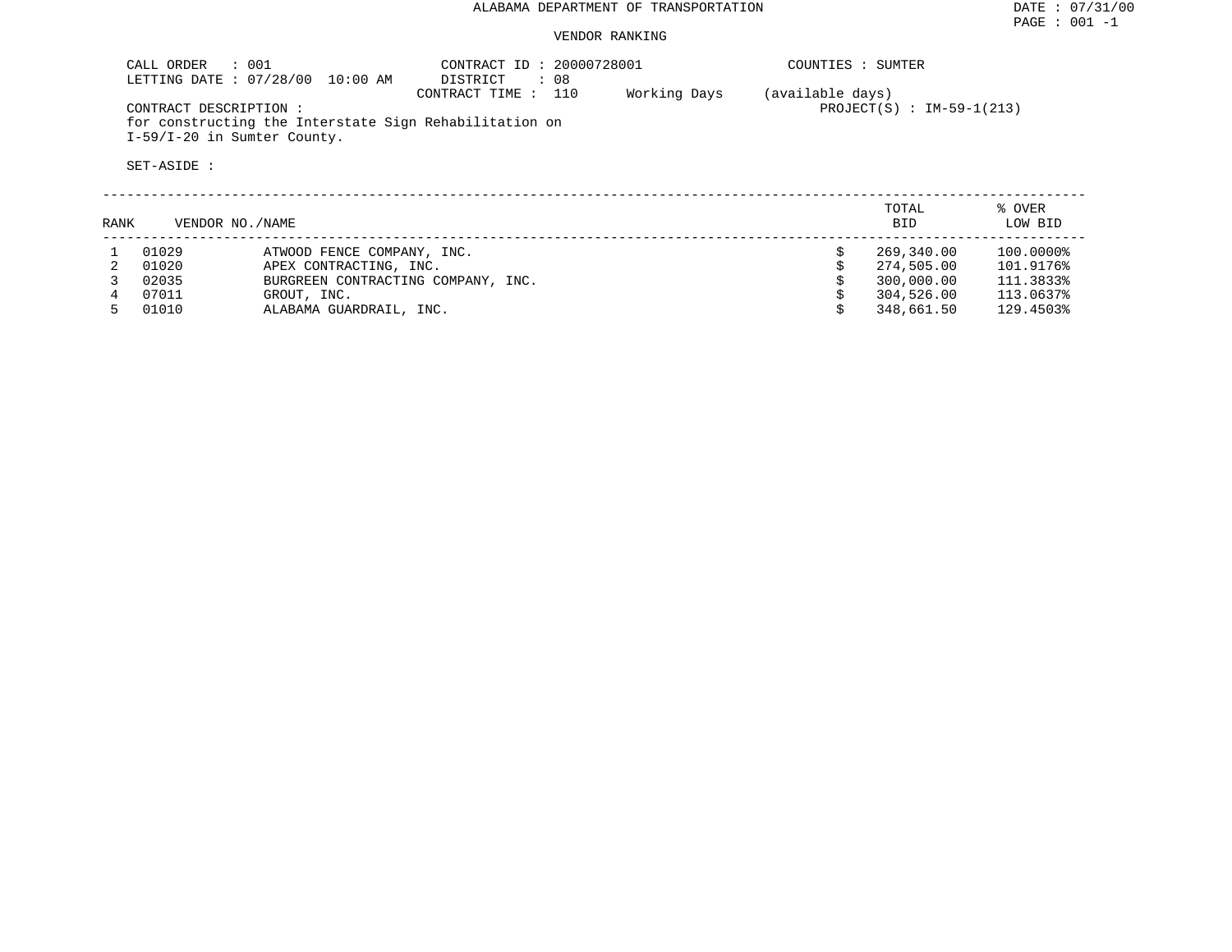## ALABAMA DEPARTMENT OF TRANSPORTATION DATE : 07/31/00

### VENDOR RANKING

| CALL ORDER : 001<br>LETTING DATE: 07/28/00<br>$10:00$ AM                                                       | CONTRACT ID: 20000728001<br>$\therefore$ 08<br>DISTRICT | COUNTIES : SUMTER                |                                          |
|----------------------------------------------------------------------------------------------------------------|---------------------------------------------------------|----------------------------------|------------------------------------------|
| CONTRACT DESCRIPTION:<br>for constructing the Interstate Sign Rehabilitation on<br>I-59/I-20 in Sumter County. | 110<br>CONTRACT TIME:                                   | Working Days<br>(available days) | PROJECT(S) : $IM-59-1(213)$              |
| SET-ASIDE :                                                                                                    |                                                         |                                  |                                          |
| RANK<br>VENDOR NO. / NAME                                                                                      |                                                         |                                  | TOTAL<br>% OVER<br>LOW BID<br><b>BID</b> |

| 01029 | ATWOOD FENCE COMPANY, INC.         | 269,340.00 | 100.0000% |
|-------|------------------------------------|------------|-----------|
| 01020 | APEX CONTRACTING, INC.             | 274,505.00 | 101.9176% |
| 02035 | BURGREEN CONTRACTING COMPANY, INC. | 300,000.00 | 111.3833% |
| 07011 | GROUT, INC.                        | 304,526.00 | 113.0637% |
| 01010 | ALABAMA GUARDRAIL, INC.            | 348,661.50 | 129.4503% |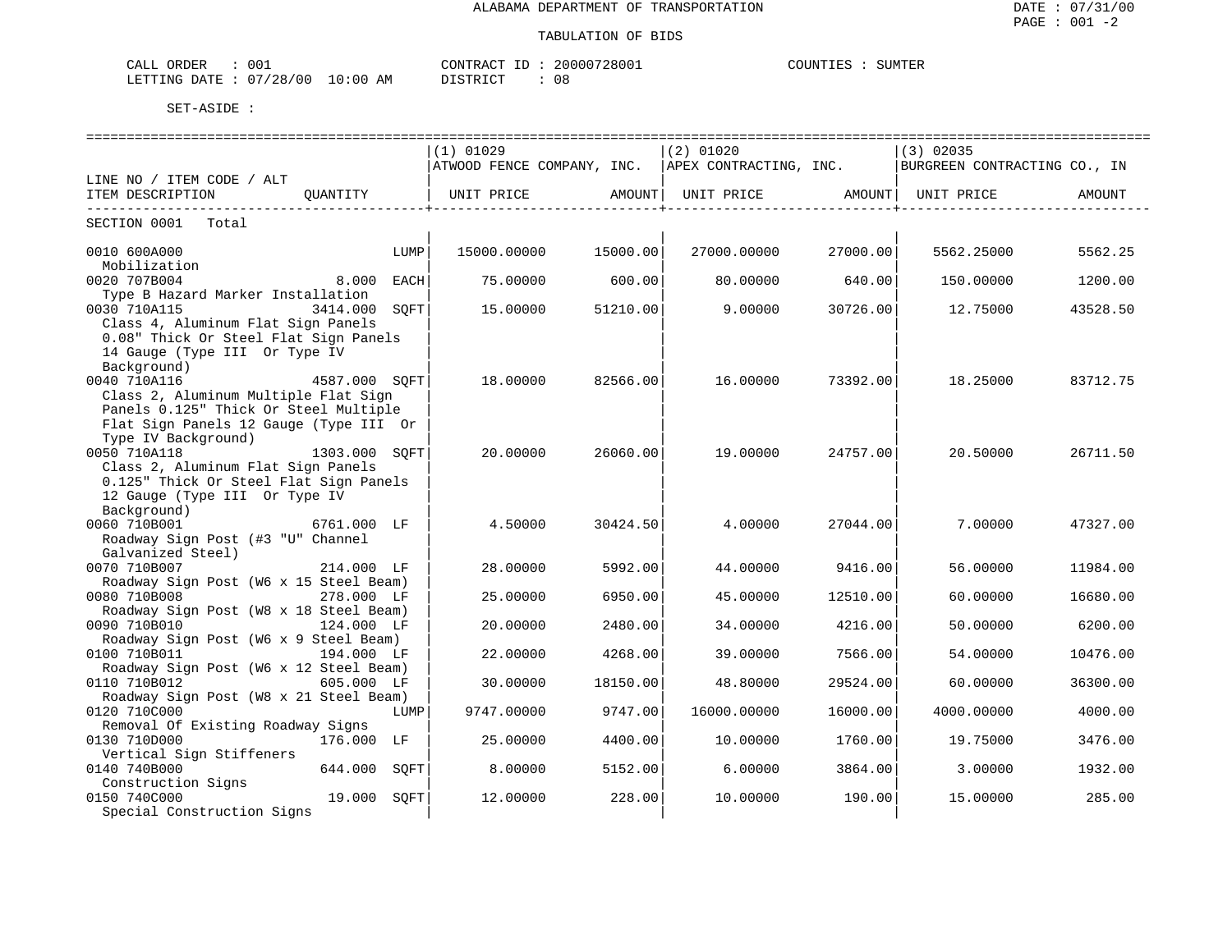| CALL ORDER                       | 001 | CONTRACT ID: 20000728001 |  | COUNTIES : | SUMTER |
|----------------------------------|-----|--------------------------|--|------------|--------|
| LETTING DATE : 07/28/00 10:00 AM |     | DISTRICT                 |  |            |        |

|                                        |               |      | (1) 01029                  |          | (2) 01020                    |                      | (3) 02035                    |          |
|----------------------------------------|---------------|------|----------------------------|----------|------------------------------|----------------------|------------------------------|----------|
|                                        |               |      | ATWOOD FENCE COMPANY, INC. |          | APEX CONTRACTING, INC.       |                      | BURGREEN CONTRACTING CO., IN |          |
| LINE NO / ITEM CODE / ALT              |               |      |                            |          |                              |                      |                              |          |
| ITEM DESCRIPTION                       | OUANTITY      |      | UNIT PRICE                 | AMOUNT   | UNIT PRICE AMOUNT UNIT PRICE |                      |                              | AMOUNT   |
| -----------------------------          |               |      |                            |          |                              | -------------------- |                              |          |
| SECTION 0001<br>Total                  |               |      |                            |          |                              |                      |                              |          |
| 0010 600A000                           |               | LUMP | 15000.00000                | 15000.00 | 27000.00000                  | 27000.00             | 5562.25000                   | 5562.25  |
| Mobilization                           |               |      |                            |          |                              |                      |                              |          |
| 0020 707B004                           | 8.000         | EACH | 75.00000                   | 600.00   | 80,00000                     | 640.00               | 150.00000                    | 1200.00  |
| Type B Hazard Marker Installation      |               |      |                            |          |                              |                      |                              |          |
| 0030 710A115                           | 3414.000 SOFT |      | 15.00000                   | 51210.00 | 9,00000                      | 30726.00             | 12.75000                     | 43528.50 |
| Class 4, Aluminum Flat Sign Panels     |               |      |                            |          |                              |                      |                              |          |
| 0.08" Thick Or Steel Flat Sign Panels  |               |      |                            |          |                              |                      |                              |          |
| 14 Gauge (Type III Or Type IV          |               |      |                            |          |                              |                      |                              |          |
| Background)                            |               |      |                            |          |                              |                      |                              |          |
| 0040 710A116                           | 4587.000 SOFT |      | 18.00000                   | 82566.00 | 16.00000                     | 73392.00             | 18.25000                     | 83712.75 |
| Class 2, Aluminum Multiple Flat Sign   |               |      |                            |          |                              |                      |                              |          |
| Panels 0.125" Thick Or Steel Multiple  |               |      |                            |          |                              |                      |                              |          |
| Flat Sign Panels 12 Gauge (Type III Or |               |      |                            |          |                              |                      |                              |          |
| Type IV Background)                    |               |      |                            |          |                              |                      |                              |          |
| 0050 710A118                           | 1303.000 SOFT |      | 20.00000                   | 26060.00 | 19.00000                     | 24757.00             | 20.50000                     | 26711.50 |
| Class 2, Aluminum Flat Sign Panels     |               |      |                            |          |                              |                      |                              |          |
| 0.125" Thick Or Steel Flat Sign Panels |               |      |                            |          |                              |                      |                              |          |
| 12 Gauge (Type III Or Type IV          |               |      |                            |          |                              |                      |                              |          |
| Background)                            |               |      |                            |          |                              |                      |                              |          |
| 0060 710B001                           | 6761.000 LF   |      | 4.50000                    | 30424.50 | 4.00000                      | 27044.00             | 7.00000                      | 47327.00 |
| Roadway Sign Post (#3 "U" Channel      |               |      |                            |          |                              |                      |                              |          |
| Galvanized Steel)                      |               |      |                            |          |                              |                      |                              |          |
| 0070 710B007                           | 214.000 LF    |      | 28.00000                   | 5992.00  | 44.00000                     | 9416.00              | 56.00000                     | 11984.00 |
| Roadway Sign Post (W6 x 15 Steel Beam) |               |      |                            |          |                              |                      |                              |          |
| 0080 710B008                           | 278.000 LF    |      | 25.00000                   | 6950.00  | 45.00000                     | 12510.00             | 60.00000                     | 16680.00 |
| Roadway Sign Post (W8 x 18 Steel Beam) |               |      |                            |          |                              |                      |                              |          |
| 0090 710B010                           | 124.000 LF    |      | 20,00000                   | 2480.00  | 34.00000                     | 4216.00              | 50.00000                     | 6200.00  |
| Roadway Sign Post (W6 x 9 Steel Beam)  |               |      |                            |          |                              |                      |                              |          |
| 0100 710B011                           | 194.000 LF    |      | 22.00000                   | 4268.00  | 39.00000                     | 7566.00              | 54.00000                     | 10476.00 |
| Roadway Sign Post (W6 x 12 Steel Beam) |               |      |                            |          |                              |                      |                              |          |
| 0110 710B012                           | 605.000 LF    |      | 30.00000                   | 18150.00 | 48.80000                     | 29524.00             | 60.00000                     | 36300.00 |
|                                        |               |      |                            |          |                              |                      |                              |          |
| Roadway Sign Post (W8 x 21 Steel Beam) |               |      |                            |          |                              |                      |                              |          |
| 0120 710C000                           |               | LUMP | 9747.00000                 | 9747.00  | 16000.00000                  | 16000.00             | 4000.00000                   | 4000.00  |
| Removal Of Existing Roadway Signs      |               |      |                            |          |                              |                      |                              |          |
| 0130 710D000                           | 176.000 LF    |      | 25.00000                   | 4400.00  | 10.00000                     | 1760.00              | 19.75000                     | 3476.00  |
| Vertical Sign Stiffeners               |               |      |                            |          |                              |                      |                              |          |
| 0140 740B000                           | 644.000 SOFT  |      | 8,00000                    | 5152.00  | 6,00000                      | 3864.00              | 3.00000                      | 1932.00  |
| Construction Signs                     |               |      |                            |          |                              |                      |                              |          |
| 0150 740C000                           | 19.000        | SQFT | 12.00000                   | 228.00   | 10.00000                     | 190.00               | 15.00000                     | 285.00   |
| Special Construction Signs             |               |      |                            |          |                              |                      |                              |          |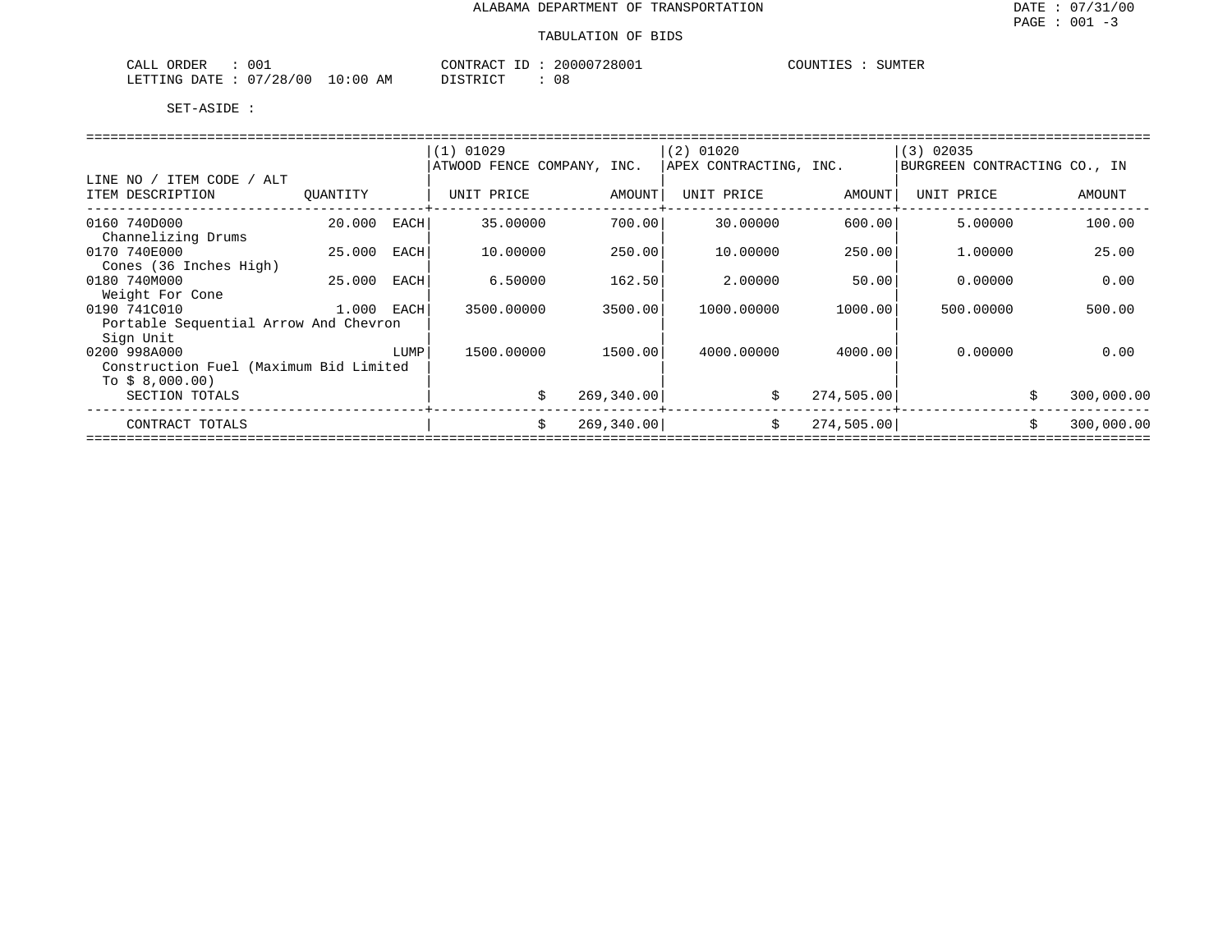#### TABULATION OF BIDS

| 001<br>ORDER<br>CALL                                 |                       | $\sim$<br><b>CONTL</b><br>CONTRAC | '28001<br>200007 | <b>COUNTIE.</b><br>3111.50000<br>SUMILK |
|------------------------------------------------------|-----------------------|-----------------------------------|------------------|-----------------------------------------|
| $\cap$<br>00 /<br>'28/<br>LETTING<br>R מיד∆ת<br>____ | $\sim$<br>AΜ<br>10:00 | DIAMBIAT                          | U C              |                                         |

|                                        |              |      | $(1)$ 01029                |             | $(2)$ 01020            |            | (3) 02035                    |                  |
|----------------------------------------|--------------|------|----------------------------|-------------|------------------------|------------|------------------------------|------------------|
|                                        |              |      | ATWOOD FENCE COMPANY, INC. |             | APEX CONTRACTING, INC. |            | BURGREEN CONTRACTING CO., IN |                  |
| LINE NO / ITEM CODE / ALT              |              |      |                            |             |                        |            |                              |                  |
| ITEM DESCRIPTION                       | OUANTITY     |      | UNIT PRICE                 | AMOUNT      | UNIT PRICE             | AMOUNT     | UNIT PRICE                   | AMOUNT           |
|                                        |              |      |                            |             |                        |            |                              |                  |
| 0160 740D000                           | 20,000       | EACH | 35.00000                   | 700.00      | 30,00000               | 600.00     | 5.00000                      | 100.00           |
| Channelizing Drums                     |              |      |                            |             |                        |            |                              |                  |
| 0170 740E000                           | 25.000       | EACH | 10.00000                   | 250.00      | 10.00000               | 250.00     | 1,00000                      | 25.00            |
| Cones (36 Inches High)                 |              |      |                            |             |                        |            |                              |                  |
| 0180 740M000                           | 25.000       | EACH | 6.50000                    | 162.50      | 2.00000                | 50.00      | 0.00000                      | 0.00             |
| Weight For Cone                        |              |      |                            |             |                        |            |                              |                  |
| 0190 741C010                           | $1.000$ EACH |      | 3500.00000                 | 3500.00     | 1000.00000             | 1000.00    | 500.00000                    | 500.00           |
| Portable Sequential Arrow And Chevron  |              |      |                            |             |                        |            |                              |                  |
| Sign Unit                              |              |      |                            |             |                        |            |                              |                  |
| 0200 998A000                           |              | LUMP | 1500.00000                 | 1500.00     | 4000.00000             | 4000.001   | 0.00000                      | 0.00             |
| Construction Fuel (Maximum Bid Limited |              |      |                            |             |                        |            |                              |                  |
| To $$8,000.00)$                        |              |      |                            |             |                        |            |                              |                  |
| SECTION TOTALS                         |              |      | \$                         | 269, 340.00 | \$                     | 274,505.00 |                              | \$<br>300,000.00 |
| CONTRACT TOTALS                        |              |      | \$                         | 269, 340.00 | Ŝ.                     | 274,505.00 |                              | 300,000.00<br>Ŝ. |
|                                        |              |      |                            |             |                        |            |                              |                  |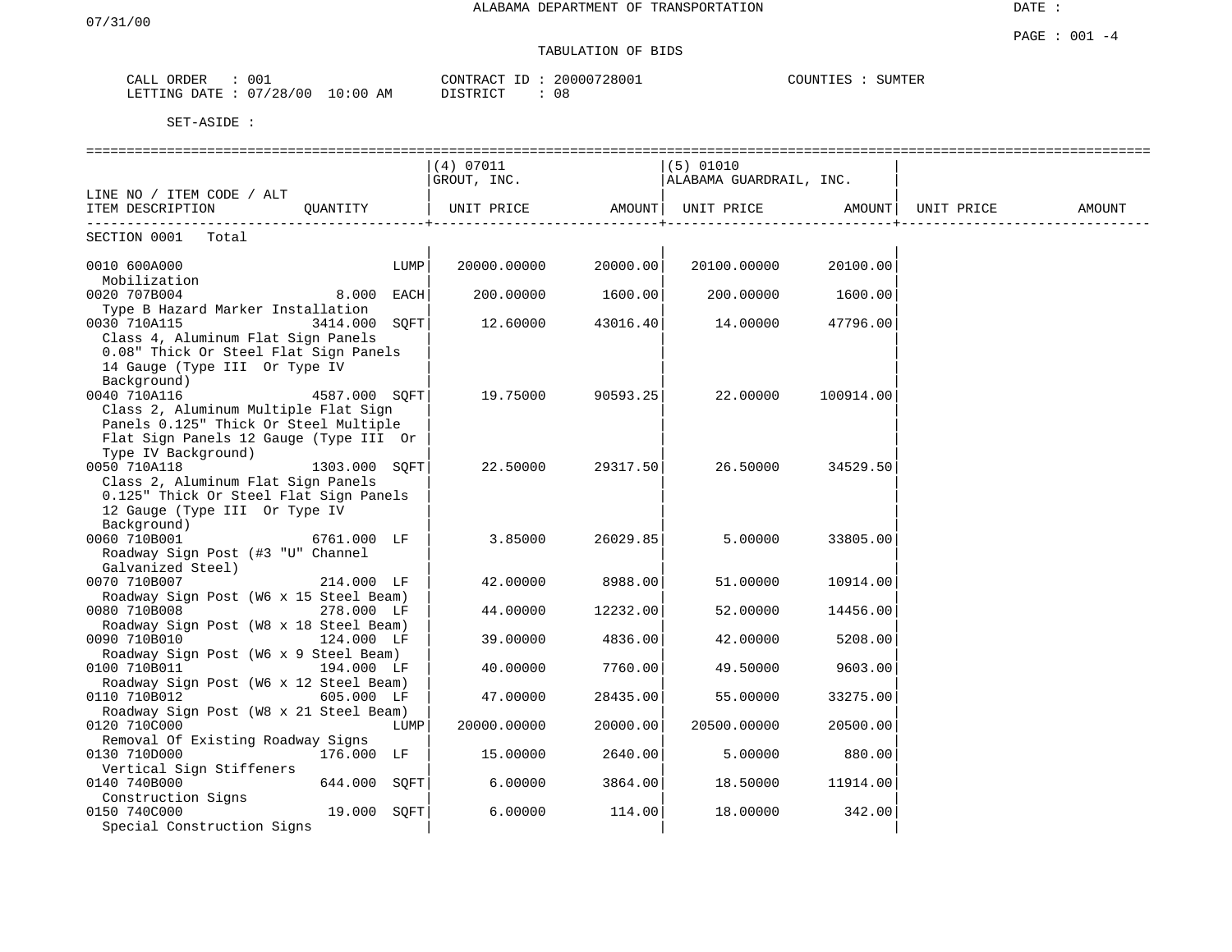# TABULATION OF BIDS

| 001<br>CALL (<br>ORDER                   | 20000728001<br>CONTRACT ID: | COUNTIES<br>SUMTER |
|------------------------------------------|-----------------------------|--------------------|
| : 07/28/00<br>$10:00$ AM<br>LETTING DATE | $\cap$ C<br>DISTRICT<br>Uč  |                    |

|                                                      |               |      | (4) 07011   |          | $(5)$ 01010             |           |            |        |
|------------------------------------------------------|---------------|------|-------------|----------|-------------------------|-----------|------------|--------|
|                                                      |               |      | GROUT, INC. |          | ALABAMA GUARDRAIL, INC. |           |            |        |
| LINE NO / ITEM CODE / ALT                            |               |      |             |          |                         |           |            |        |
| ITEM DESCRIPTION                                     | OUANTITY      |      | UNIT PRICE  | AMOUNT   | UNIT PRICE              | AMOUNT    | UNIT PRICE | AMOUNT |
| ---------------------------<br>SECTION 0001<br>Total |               |      |             |          |                         |           |            |        |
| 0010 600A000                                         |               | LUMP | 20000.00000 | 20000.00 | 20100.00000             | 20100.00  |            |        |
| Mobilization                                         |               |      |             |          |                         |           |            |        |
| 0020 707B004                                         | 8.000 EACH    |      | 200.00000   | 1600.00  | 200.00000               | 1600.00   |            |        |
| Type B Hazard Marker Installation                    |               |      |             |          |                         |           |            |        |
| 0030 710A115                                         | 3414.000 SOFT |      | 12.60000    | 43016.40 | 14.00000                | 47796.00  |            |        |
| Class 4, Aluminum Flat Sign Panels                   |               |      |             |          |                         |           |            |        |
| 0.08" Thick Or Steel Flat Sign Panels                |               |      |             |          |                         |           |            |        |
| 14 Gauge (Type III Or Type IV                        |               |      |             |          |                         |           |            |        |
| Background)                                          |               |      |             |          |                         |           |            |        |
| 0040 710A116                                         | 4587.000 SOFT |      | 19.75000    | 90593.25 | 22.00000                | 100914.00 |            |        |
| Class 2, Aluminum Multiple Flat Sign                 |               |      |             |          |                         |           |            |        |
| Panels 0.125" Thick Or Steel Multiple                |               |      |             |          |                         |           |            |        |
| Flat Sign Panels 12 Gauge (Type III Or               |               |      |             |          |                         |           |            |        |
| Type IV Background)                                  |               |      |             |          |                         |           |            |        |
| 0050 710A118                                         | 1303.000 SOFT |      | 22.50000    | 29317.50 | 26.50000                | 34529.50  |            |        |
| Class 2, Aluminum Flat Sign Panels                   |               |      |             |          |                         |           |            |        |
| 0.125" Thick Or Steel Flat Sign Panels               |               |      |             |          |                         |           |            |        |
| 12 Gauge (Type III Or Type IV                        |               |      |             |          |                         |           |            |        |
| Background)                                          |               |      |             |          |                         |           |            |        |
| 0060 710B001                                         | 6761.000 LF   |      | 3.85000     | 26029.85 | 5.00000                 | 33805.00  |            |        |
| Roadway Sign Post (#3 "U" Channel                    |               |      |             |          |                         |           |            |        |
| Galvanized Steel)                                    |               |      |             |          |                         |           |            |        |
| 0070 710B007                                         | 214.000 LF    |      | 42.00000    | 8988.00  | 51.00000                | 10914.00  |            |        |
| Roadway Sign Post (W6 x 15 Steel Beam)               |               |      |             |          |                         |           |            |        |
| 0080 710B008                                         | 278.000 LF    |      | 44.00000    | 12232.00 | 52.00000                | 14456.00  |            |        |
| Roadway Sign Post (W8 x 18 Steel Beam)               |               |      |             |          |                         |           |            |        |
| 0090 710B010                                         | 124.000 LF    |      | 39.00000    | 4836.00  | 42.00000                | 5208.00   |            |        |
| Roadway Sign Post (W6 x 9 Steel Beam)                |               |      |             |          |                         |           |            |        |
| 0100 710B011                                         | 194.000 LF    |      | 40.00000    | 7760.00  | 49.50000                | 9603.00   |            |        |
| Roadway Sign Post (W6 x 12 Steel Beam)               |               |      |             |          |                         |           |            |        |
| 0110 710B012                                         | 605.000 LF    |      | 47.00000    | 28435.00 | 55.00000                | 33275.00  |            |        |
| Roadway Sign Post (W8 x 21 Steel Beam)               |               |      |             |          |                         |           |            |        |
| 0120 710C000                                         |               | LUMP | 20000.00000 | 20000.00 | 20500.00000             | 20500.00  |            |        |
| Removal Of Existing Roadway Signs                    |               |      |             |          |                         |           |            |        |
| 0130 710D000                                         | 176.000 LF    |      | 15.00000    | 2640.00  | 5.00000                 | 880.00    |            |        |
| Vertical Sign Stiffeners                             |               |      |             |          |                         |           |            |        |
| 0140 740B000                                         | 644.000 SOFT  |      | 6.00000     | 3864.00  | 18.50000                | 11914.00  |            |        |
| Construction Signs                                   |               |      |             |          |                         |           |            |        |
| 0150 740C000                                         | 19.000 SQFT   |      | 6.00000     | 114.00   | 18.00000                | 342.00    |            |        |
| Special Construction Signs                           |               |      |             |          |                         |           |            |        |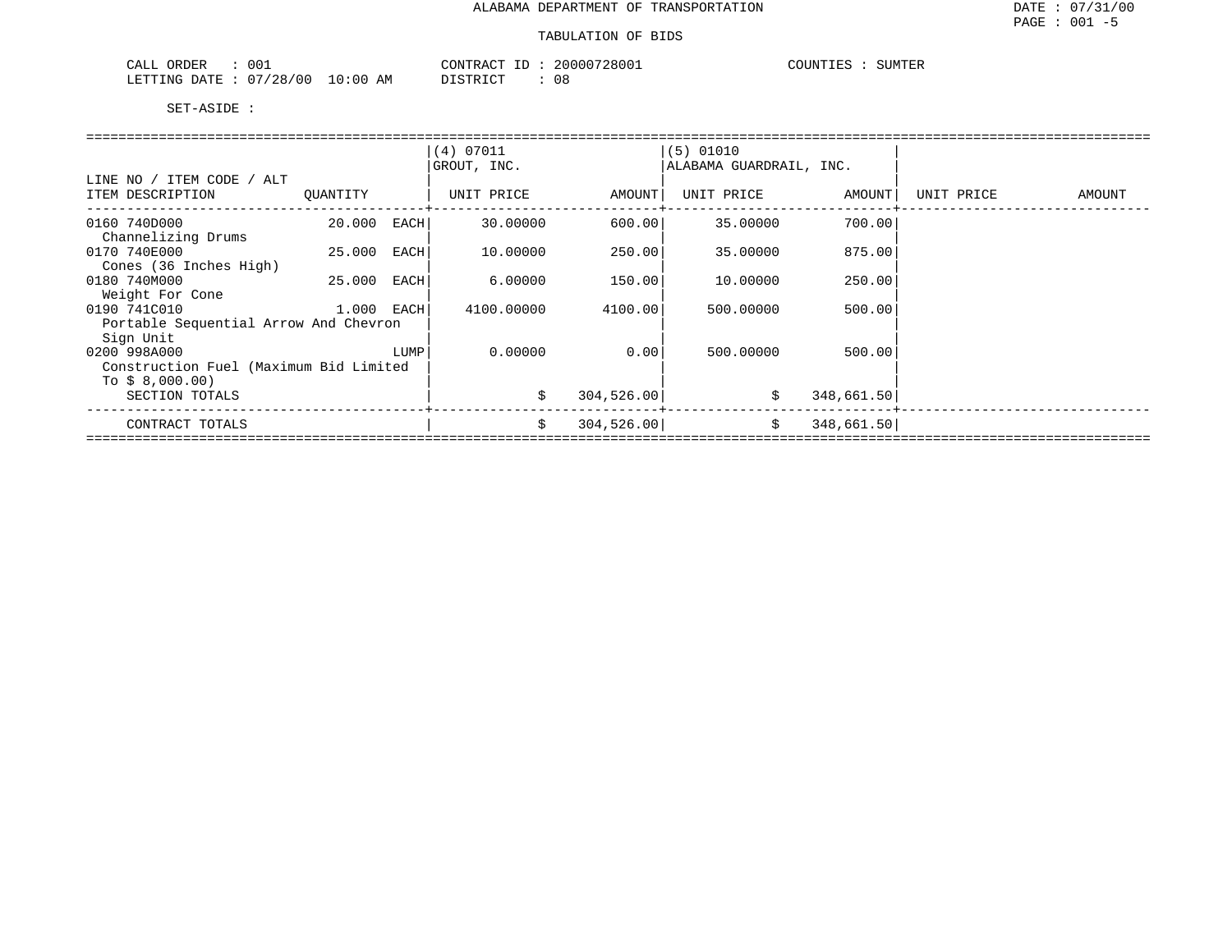| ORDER<br>$00 -$<br>CALL    |            | CONTRACT ID<br>ID : | 20000728001 | COUNTIES<br>SUMTER |
|----------------------------|------------|---------------------|-------------|--------------------|
| 07/28/00<br>LETTING DATE : | $10:00$ AM | DISTRICT            | 08          |                    |

|                                        |              |      | (4) 07011   |             | $(5)$ 01010             |            |            |        |
|----------------------------------------|--------------|------|-------------|-------------|-------------------------|------------|------------|--------|
|                                        |              |      | GROUT, INC. |             | ALABAMA GUARDRAIL, INC. |            |            |        |
| LINE NO / ITEM CODE / ALT              |              |      |             |             |                         |            |            |        |
| ITEM DESCRIPTION                       | OUANTITY     |      | UNIT PRICE  | AMOUNT      | UNIT PRICE              | AMOUNT     | UNIT PRICE | AMOUNT |
|                                        |              |      |             |             |                         |            |            |        |
| 0160 740D000                           | 20.000       | EACH | 30.00000    | 600.00      | 35,00000                | 700.00     |            |        |
| Channelizing Drums                     |              |      |             |             |                         |            |            |        |
| 0170 740E000                           | 25.000       | EACH | 10.00000    | 250.00      | 35.00000                | 875.00     |            |        |
| Cones (36 Inches High)                 |              |      |             |             |                         |            |            |        |
| 0180 740M000                           | 25.000       | EACH | 6.00000     | 150.00      | 10.00000                | 250.00     |            |        |
| Weight For Cone                        |              |      |             |             |                         |            |            |        |
| 0190 741C010                           | $1.000$ EACH |      | 4100.00000  | 4100.00     | 500,00000               | 500.00     |            |        |
| Portable Sequential Arrow And Chevron  |              |      |             |             |                         |            |            |        |
| Sign Unit                              |              |      |             |             |                         |            |            |        |
| 0200 998A000                           |              | LUMP | 0.00000     | 0.00        | 500,00000               | 500.00     |            |        |
| Construction Fuel (Maximum Bid Limited |              |      |             |             |                         |            |            |        |
| To $$8,000.00)$                        |              |      |             |             |                         |            |            |        |
| SECTION TOTALS                         |              |      | \$          | 304,526.00  | \$                      | 348,661.50 |            |        |
|                                        |              |      |             |             |                         |            |            |        |
| CONTRACT TOTALS                        |              |      | \$          | 304, 526.00 | \$                      | 348,661.50 |            |        |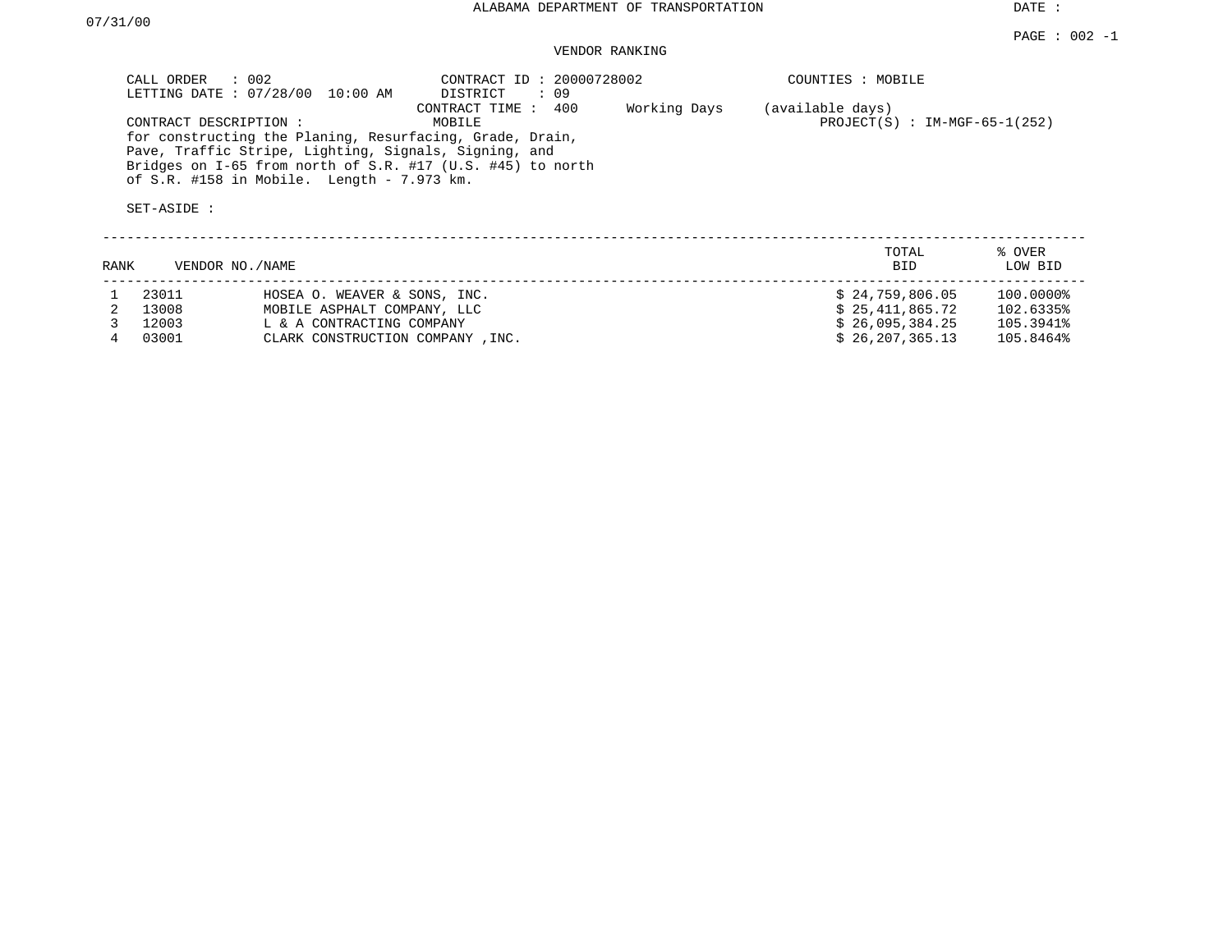DATE :

#### $\texttt{PAGE}$  : 002 -1 VENDOR RANKING

| CALL ORDER : 002<br>LETTING DATE : 07/28/00 10:00 AM                                                                                                                                                                                                   | CONTRACT ID: 20000728002<br>DISTRICT : 09 |              | COUNTIES : MOBILE                                   |
|--------------------------------------------------------------------------------------------------------------------------------------------------------------------------------------------------------------------------------------------------------|-------------------------------------------|--------------|-----------------------------------------------------|
| CONTRACT DESCRIPTION:<br>for constructing the Planing, Resurfacing, Grade, Drain,<br>Pave, Traffic Stripe, Lighting, Signals, Signing, and<br>Bridges on I-65 from north of S.R. #17 (U.S. #45) to north<br>of S.R. #158 in Mobile. Length - 7.973 km. | 400<br>CONTRACT TIME:<br>MOBILE           | Working Days | (available days)<br>$PROJECT(S)$ : IM-MGF-65-1(252) |
| SET-ASIDE :                                                                                                                                                                                                                                            |                                           |              |                                                     |
|                                                                                                                                                                                                                                                        |                                           |              | TOTAL<br>% OVER                                     |

| <b>RANK</b> |       | VENDOR NO./NAME                   | -----<br><b>BID</b> | . <u>.</u><br>LOW BID |
|-------------|-------|-----------------------------------|---------------------|-----------------------|
|             | 23011 | HOSEA O. WEAVER & SONS, INC.      | \$24.759.806.05     | 100.0000%             |
|             | 13008 | MOBILE ASPHALT COMPANY, LLC       | \$25,411,865.72     | 102.6335%             |
|             | 12003 | L & A CONTRACTING COMPANY         | \$26.095.384.25     | 105.3941%             |
|             | 03001 | CLARK CONSTRUCTION COMPANY , INC. | \$26,207,365.13     | 105.8464%             |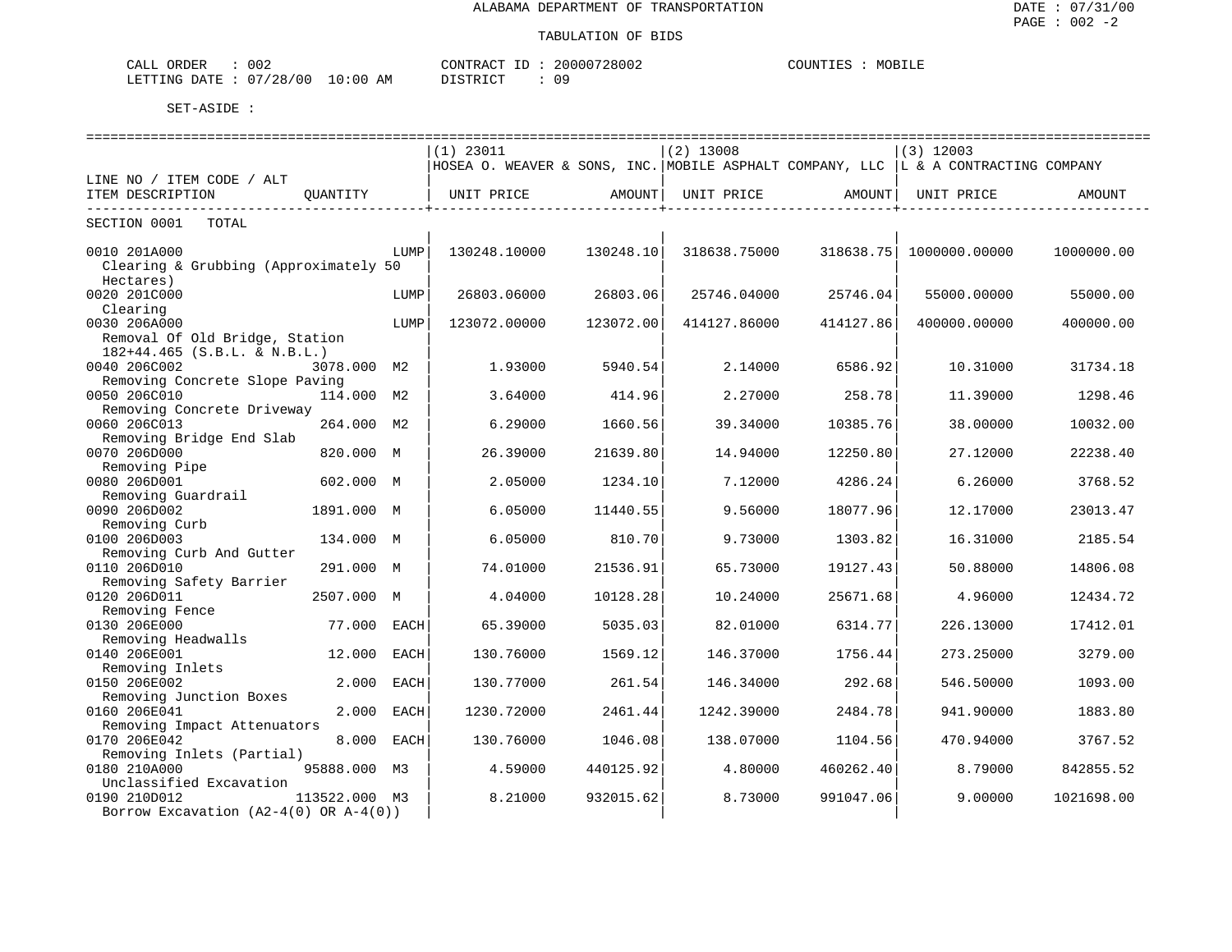| 002<br>ORDER<br>CALL        |             | CONTRACT<br>$-1$ | 20000728002 | MOBILE<br>COUNTIES |
|-----------------------------|-------------|------------------|-------------|--------------------|
| 07/28/00<br>LETTING<br>DATE | 10:00<br>ΆM | DI STR TOT       | n n         |                    |

|                                         |               |      | $(1)$ 23011                                                                         |           | $(2)$ 13008  |           | $(3)$ 12003   |            |
|-----------------------------------------|---------------|------|-------------------------------------------------------------------------------------|-----------|--------------|-----------|---------------|------------|
|                                         |               |      | HOSEA O. WEAVER & SONS, INC. MOBILE ASPHALT COMPANY, LLC  L & A CONTRACTING COMPANY |           |              |           |               |            |
| LINE NO / ITEM CODE / ALT               |               |      |                                                                                     |           |              |           |               |            |
| ITEM DESCRIPTION                        | OUANTITY      |      | UNIT PRICE                                                                          | AMOUNT    | UNIT PRICE   | AMOUNT    | UNIT PRICE    | AMOUNT     |
|                                         |               |      |                                                                                     |           |              |           |               |            |
| SECTION 0001<br>TOTAL                   |               |      |                                                                                     |           |              |           |               |            |
|                                         |               |      |                                                                                     |           |              |           |               |            |
| 0010 201A000                            |               | LUMP | 130248.10000                                                                        | 130248.10 | 318638.75000 | 318638.75 | 1000000.00000 | 1000000.00 |
| Clearing & Grubbing (Approximately 50   |               |      |                                                                                     |           |              |           |               |            |
| Hectares)                               |               |      |                                                                                     |           |              |           |               |            |
| 0020 201C000                            |               | LUMP | 26803.06000                                                                         | 26803.06  | 25746.04000  | 25746.04  | 55000.00000   | 55000.00   |
| Clearing                                |               |      |                                                                                     |           |              |           |               |            |
| 0030 206A000                            |               | LUMP | 123072.00000                                                                        | 123072.00 | 414127.86000 | 414127.86 | 400000.00000  | 400000.00  |
|                                         |               |      |                                                                                     |           |              |           |               |            |
| Removal Of Old Bridge, Station          |               |      |                                                                                     |           |              |           |               |            |
| $182+44.465$ (S.B.L. & N.B.L.)          |               |      |                                                                                     |           |              |           |               |            |
| 0040 206C002                            | 3078.000 M2   |      | 1.93000                                                                             | 5940.54   | 2.14000      | 6586.92   | 10.31000      | 31734.18   |
| Removing Concrete Slope Paving          |               |      |                                                                                     |           |              |           |               |            |
| 0050 206C010                            | 114.000 M2    |      | 3.64000                                                                             | 414.96    | 2.27000      | 258.78    | 11,39000      | 1298.46    |
| Removing Concrete Driveway              |               |      |                                                                                     |           |              |           |               |            |
| 0060 206C013                            | 264.000 M2    |      | 6.29000                                                                             | 1660.56   | 39.34000     | 10385.76  | 38,00000      | 10032.00   |
| Removing Bridge End Slab                |               |      |                                                                                     |           |              |           |               |            |
| 0070 206D000                            | 820.000 M     |      | 26.39000                                                                            | 21639.80  | 14.94000     | 12250.80  | 27.12000      | 22238.40   |
| Removing Pipe                           |               |      |                                                                                     |           |              |           |               |            |
| 0080 206D001                            | 602.000 M     |      | 2.05000                                                                             | 1234.10   | 7.12000      | 4286.24   | 6.26000       | 3768.52    |
| Removing Guardrail                      |               |      |                                                                                     |           |              |           |               |            |
| 0090 206D002                            | 1891.000 M    |      | 6.05000                                                                             | 11440.55  | 9.56000      | 18077.96  | 12.17000      | 23013.47   |
| Removing Curb                           |               |      |                                                                                     |           |              |           |               |            |
| 0100 206D003                            | 134.000 M     |      | 6.05000                                                                             | 810.70    | 9.73000      | 1303.82   | 16.31000      | 2185.54    |
| Removing Curb And Gutter                |               |      |                                                                                     |           |              |           |               |            |
| 0110 206D010                            | 291.000 M     |      | 74.01000                                                                            | 21536.91  | 65.73000     | 19127.43  | 50.88000      | 14806.08   |
| Removing Safety Barrier                 |               |      |                                                                                     |           |              |           |               |            |
| 0120 206D011                            | 2507.000 M    |      | 4.04000                                                                             | 10128.28  | 10.24000     | 25671.68  | 4.96000       | 12434.72   |
| Removing Fence                          |               |      |                                                                                     |           |              |           |               |            |
| 0130 206E000                            | 77.000        | EACH | 65.39000                                                                            | 5035.03   | 82.01000     | 6314.77   | 226.13000     | 17412.01   |
| Removing Headwalls                      |               |      |                                                                                     |           |              |           |               |            |
| 0140 206E001                            | 12,000        | EACH | 130.76000                                                                           | 1569.12   | 146.37000    | 1756.44   | 273.25000     | 3279.00    |
| Removing Inlets                         |               |      |                                                                                     |           |              |           |               |            |
| 0150 206E002                            | 2.000         | EACH | 130.77000                                                                           | 261.54    | 146.34000    | 292.68    | 546.50000     | 1093.00    |
| Removing Junction Boxes                 |               |      |                                                                                     |           |              |           |               |            |
| 0160 206E041                            | 2.000         | EACH | 1230.72000                                                                          | 2461.44   | 1242.39000   | 2484.78   | 941.90000     | 1883.80    |
| Removing Impact Attenuators             |               |      |                                                                                     |           |              |           |               |            |
| 0170 206E042                            | 8.000 EACH    |      | 130.76000                                                                           | 1046.08   | 138.07000    | 1104.56   | 470.94000     | 3767.52    |
| Removing Inlets (Partial)               |               |      |                                                                                     |           |              |           |               |            |
| 0180 210A000                            | 95888.000 M3  |      | 4.59000                                                                             | 440125.92 | 4.80000      | 460262.40 | 8,79000       | 842855.52  |
| Unclassified Excavation                 |               |      |                                                                                     |           |              |           |               |            |
|                                         |               |      |                                                                                     |           |              |           |               |            |
| 0190 210D012                            | 113522.000 M3 |      | 8.21000                                                                             | 932015.62 | 8.73000      | 991047.06 | 9.00000       | 1021698.00 |
| Borrow Excavation $(A2-4(0)$ OR A-4(0)) |               |      |                                                                                     |           |              |           |               |            |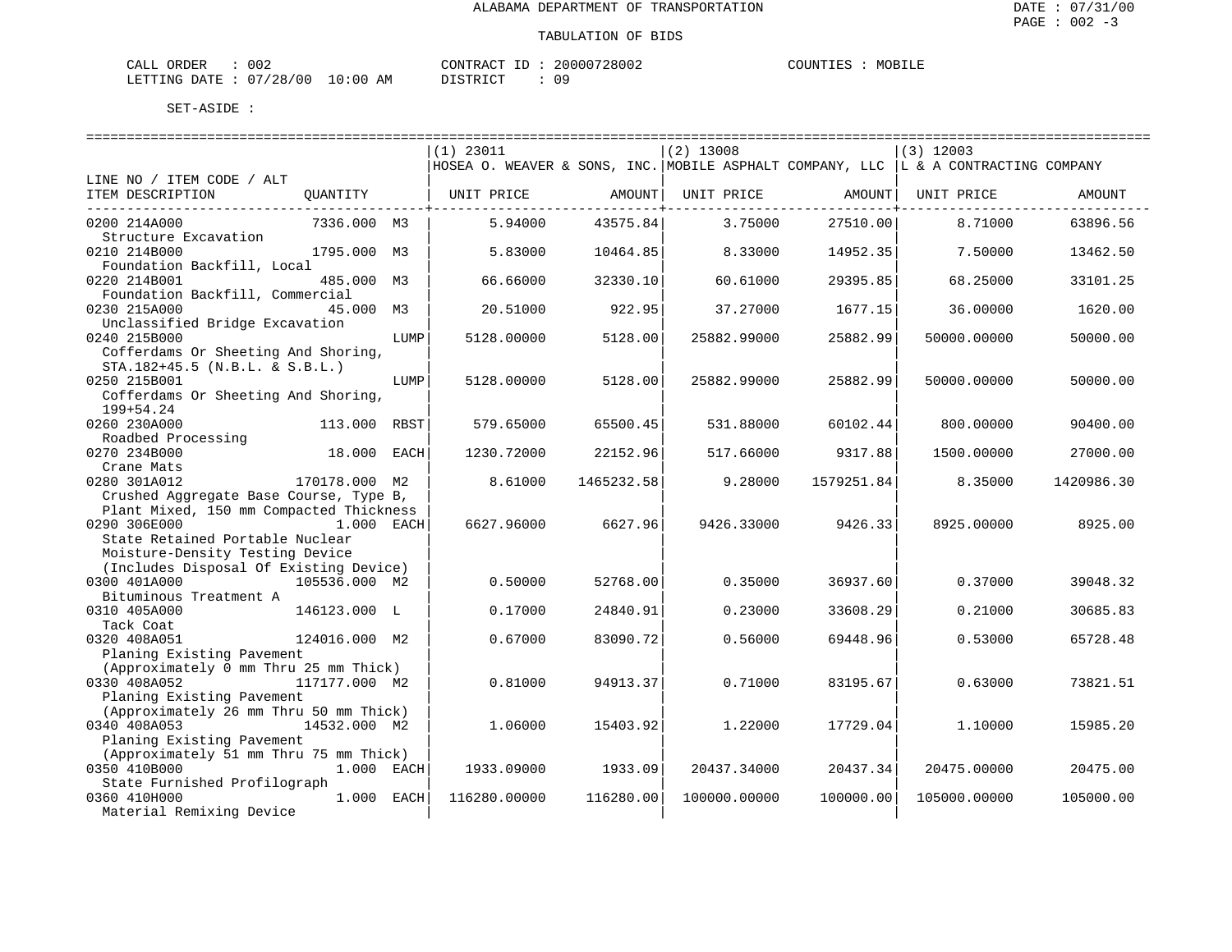| CALL ORDER                       | 002 | CONTRACT ID: | 20000728002 | COUNTIES | MOBILE |
|----------------------------------|-----|--------------|-------------|----------|--------|
| LETTING DATE : 07/28/00 10:00 AM |     | DISTRICT     |             |          |        |

|                                         |               |      | $(1)$ 23011                                                                         |            | $(2)$ 13008  |            | $(3)$ 12003  |            |
|-----------------------------------------|---------------|------|-------------------------------------------------------------------------------------|------------|--------------|------------|--------------|------------|
|                                         |               |      | HOSEA O. WEAVER & SONS, INC. MOBILE ASPHALT COMPANY, LLC  L & A CONTRACTING COMPANY |            |              |            |              |            |
| LINE NO / ITEM CODE / ALT               |               |      |                                                                                     |            |              |            |              |            |
| ITEM DESCRIPTION                        | QUANTITY      |      | UNIT PRICE                                                                          | AMOUNT     | UNIT PRICE   | AMOUNT     | UNIT PRICE   | AMOUNT     |
|                                         |               |      |                                                                                     |            |              |            |              |            |
| 0200 214A000                            | 7336.000 M3   |      | 5.94000                                                                             | 43575.84   | 3.75000      | 27510.00   | 8.71000      | 63896.56   |
| Structure Excavation                    |               |      |                                                                                     |            |              |            |              |            |
| 0210 214B000                            | 1795.000 M3   |      | 5.83000                                                                             | 10464.85   | 8.33000      | 14952.35   | 7.50000      | 13462.50   |
| Foundation Backfill, Local              |               |      |                                                                                     |            |              |            |              |            |
| 0220 214B001                            | 485.000       | М3   | 66.66000                                                                            | 32330.10   | 60.61000     | 29395.85   | 68.25000     | 33101.25   |
| Foundation Backfill, Commercial         |               |      |                                                                                     |            |              |            |              |            |
| 0230 215A000                            | 45.000 M3     |      | 20.51000                                                                            | 922.95     | 37.27000     | 1677.15    | 36.00000     | 1620.00    |
| Unclassified Bridge Excavation          |               |      |                                                                                     |            |              |            |              |            |
| 0240 215B000                            |               | LUMP | 5128.00000                                                                          | 5128.00    | 25882.99000  | 25882.99   | 50000.00000  | 50000.00   |
| Cofferdams Or Sheeting And Shoring,     |               |      |                                                                                     |            |              |            |              |            |
| STA.182+45.5 (N.B.L. & S.B.L.)          |               |      |                                                                                     |            |              |            |              |            |
| 0250 215B001                            |               | LUMP | 5128.00000                                                                          | 5128.00    | 25882.99000  | 25882.99   | 50000.00000  | 50000.00   |
| Cofferdams Or Sheeting And Shoring,     |               |      |                                                                                     |            |              |            |              |            |
| 199+54.24                               |               |      |                                                                                     |            |              |            |              |            |
| 0260 230A000                            | 113.000 RBST  |      | 579.65000                                                                           | 65500.45   | 531.88000    | 60102.44   | 800.00000    | 90400.00   |
| Roadbed Processing                      |               |      |                                                                                     |            |              |            |              |            |
| 0270 234B000                            | 18.000 EACH   |      | 1230.72000                                                                          | 22152.96   | 517.66000    | 9317.88    | 1500.00000   | 27000.00   |
| Crane Mats                              |               |      |                                                                                     |            |              |            |              |            |
| 0280 301A012                            | 170178.000 M2 |      | 8.61000                                                                             | 1465232.58 | 9.28000      | 1579251.84 | 8.35000      | 1420986.30 |
| Crushed Aggregate Base Course, Type B,  |               |      |                                                                                     |            |              |            |              |            |
| Plant Mixed, 150 mm Compacted Thickness |               |      |                                                                                     |            |              |            |              |            |
| 0290 306E000                            | 1.000 EACH    |      | 6627.96000                                                                          | 6627.96    | 9426.33000   | 9426.33    | 8925,00000   | 8925.00    |
| State Retained Portable Nuclear         |               |      |                                                                                     |            |              |            |              |            |
| Moisture-Density Testing Device         |               |      |                                                                                     |            |              |            |              |            |
| (Includes Disposal Of Existing Device)  |               |      |                                                                                     |            |              |            |              |            |
| 0300 401A000                            | 105536.000 M2 |      | 0.50000                                                                             | 52768.00   | 0.35000      | 36937.60   | 0.37000      | 39048.32   |
| Bituminous Treatment A                  |               |      |                                                                                     |            |              |            |              |            |
| 0310 405A000                            | 146123.000 L  |      | 0.17000                                                                             | 24840.91   | 0.23000      | 33608.29   | 0.21000      | 30685.83   |
| Tack Coat                               |               |      |                                                                                     |            |              |            |              |            |
| 0320 408A051                            | 124016.000 M2 |      | 0.67000                                                                             | 83090.72   | 0.56000      | 69448.96   | 0.53000      | 65728.48   |
| Planing Existing Pavement               |               |      |                                                                                     |            |              |            |              |            |
| (Approximately 0 mm Thru 25 mm Thick)   |               |      |                                                                                     |            |              |            |              |            |
| 0330 408A052                            | 117177.000 M2 |      | 0.81000                                                                             | 94913.37   | 0.71000      | 83195.67   | 0.63000      | 73821.51   |
| Planing Existing Pavement               |               |      |                                                                                     |            |              |            |              |            |
| (Approximately 26 mm Thru 50 mm Thick)  |               |      |                                                                                     |            |              |            |              |            |
| 0340 408A053                            | 14532.000 M2  |      | 1,06000                                                                             | 15403.92   | 1,22000      | 17729.04   | 1.10000      | 15985.20   |
| Planing Existing Pavement               |               |      |                                                                                     |            |              |            |              |            |
| (Approximately 51 mm Thru 75 mm Thick)  |               |      |                                                                                     |            |              |            |              |            |
| 0350 410B000                            | 1.000 EACH    |      | 1933.09000                                                                          | 1933.09    | 20437.34000  | 20437.34   | 20475.00000  | 20475.00   |
| State Furnished Profilograph            |               |      |                                                                                     |            |              |            |              |            |
| 0360 410H000                            | 1.000 EACH    |      | 116280.00000                                                                        | 116280.00  | 100000.00000 | 100000.00  | 105000.00000 | 105000.00  |
| Material Remixing Device                |               |      |                                                                                     |            |              |            |              |            |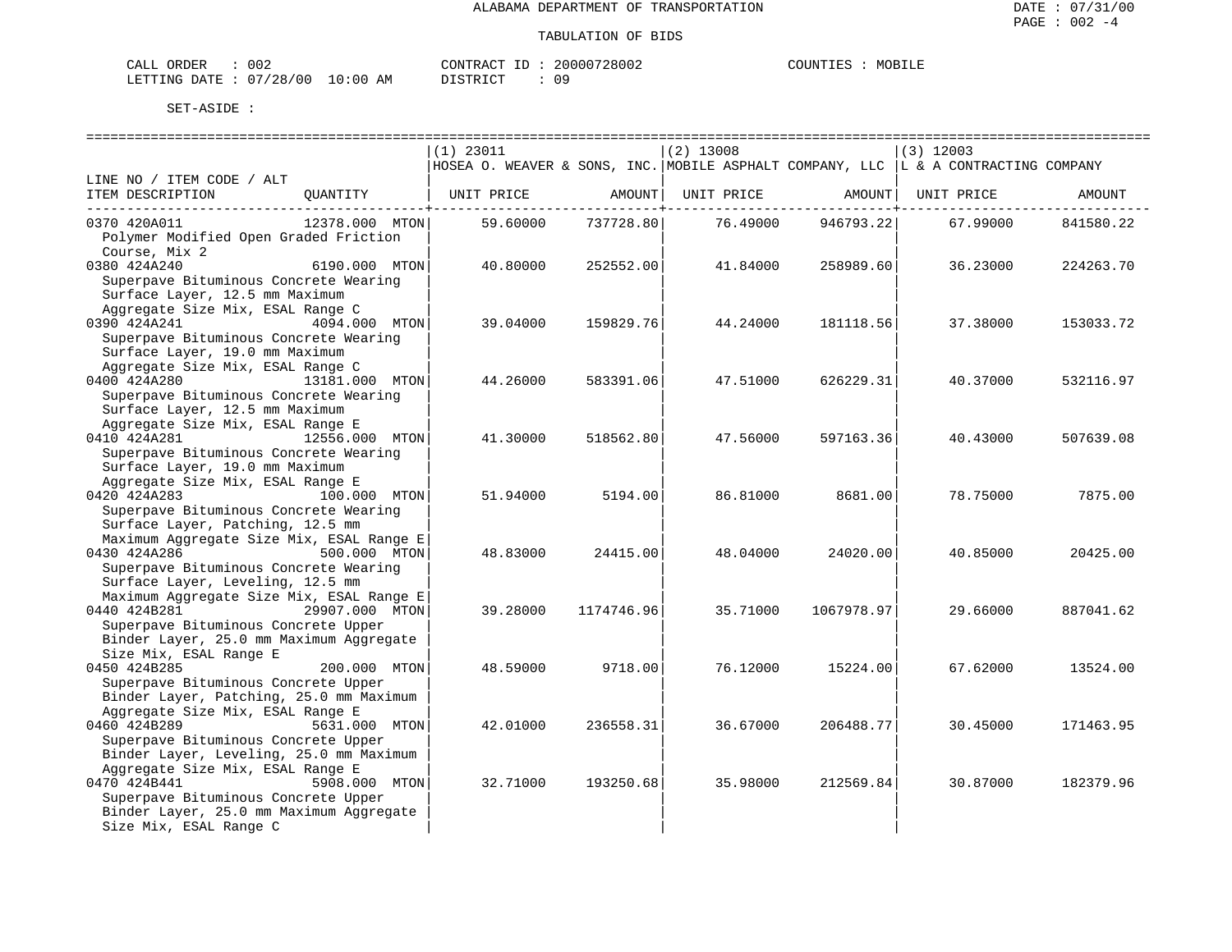| ORDER<br>CALL          | 002 |             | CONTRACT ID: | 20000728002 | COUNTIES | MOBILE |
|------------------------|-----|-------------|--------------|-------------|----------|--------|
| LETTING DATE: 07/28/00 |     | 10:00<br>AM | DISTRICT     |             |          |        |

|                                                                                                                                                              |                | $(1)$ 23011<br>HOSEA O. WEAVER & SONS, INC. MOBILE ASPHALT COMPANY, LLC $ L \times A$ CONTRACTING COMPANY |            | $(2)$ 13008 |            | $(3)$ 12003                    |           |
|--------------------------------------------------------------------------------------------------------------------------------------------------------------|----------------|-----------------------------------------------------------------------------------------------------------|------------|-------------|------------|--------------------------------|-----------|
| LINE NO / ITEM CODE / ALT<br>ITEM DESCRIPTION QUANTITY                                                                                                       |                | UNIT PRICE AMOUNT                                                                                         |            |             |            | UNIT PRICE AMOUNT   UNIT PRICE | AMOUNT    |
| 0370 420A011<br>Polymer Modified Open Graded Friction<br>Course, Mix 2                                                                                       | 12378.000 MTON | 59.60000                                                                                                  | 737728.80  | 76.49000    | 946793.22  | 67.99000                       | 841580.22 |
| 0380 424A240<br>Superpave Bituminous Concrete Wearing<br>Surface Layer, 12.5 mm Maximum<br>Aggregate Size Mix, ESAL Range C                                  | 6190.000 MTON  | 40.80000                                                                                                  | 252552.00  | 41.84000    | 258989.60  | 36.23000                       | 224263.70 |
| 0390 424A241<br>Superpave Bituminous Concrete Wearing<br>Surface Layer, 19.0 mm Maximum                                                                      | 4094.000 MTON  | 39.04000                                                                                                  | 159829.76  | 44.24000    | 181118.56  | 37.38000                       | 153033.72 |
| Aggregate Size Mix, ESAL Range C<br>0400 424A280<br>13181.000 MTON<br>Superpave Bituminous Concrete Wearing<br>Surface Layer, 12.5 mm Maximum                |                | 44.26000                                                                                                  | 583391.06  | 47.51000    | 626229.31  | 40.37000                       | 532116.97 |
| Aggregate Size Mix, ESAL Range E<br>0410 424A281<br>12556.000 MTON<br>Superpave Bituminous Concrete Wearing<br>Surface Layer, 19.0 mm Maximum                |                | 41.30000                                                                                                  | 518562.80  | 47.56000    | 597163.36  | 40.43000                       | 507639.08 |
| Aggregate Size Mix, ESAL Range E<br>0420 424A283<br>Superpave Bituminous Concrete Wearing<br>Surface Layer, Patching, 12.5 mm                                | 100.000 MTON   | 51.94000                                                                                                  | 5194.00    | 86.81000    | 8681.00    | 78.75000                       | 7875.00   |
| Maximum Aggregate Size Mix, ESAL Range E<br>500.000 MTON<br>0430 424A286<br>Superpave Bituminous Concrete Wearing<br>Surface Layer, Leveling, 12.5 mm        |                | 48.83000                                                                                                  | 24415.00   | 48.04000    | 24020.00   | 40.85000                       | 20425.00  |
| Maximum Aggregate Size Mix, ESAL Range E<br>0440 424B281<br>Superpave Bituminous Concrete Upper<br>Binder Layer, 25.0 mm Maximum Aggregate                   | 29907.000 MTON | 39.28000                                                                                                  | 1174746.96 | 35.71000    | 1067978.97 | 29.66000                       | 887041.62 |
| Size Mix, ESAL Range E<br>0450 424B285<br>Superpave Bituminous Concrete Upper<br>Binder Layer, Patching, 25.0 mm Maximum                                     | 200.000 MTON   | 48.59000                                                                                                  | 9718.00    | 76.12000    | 15224.00   | 67.62000                       | 13524.00  |
| Aggregate Size Mix, ESAL Range E<br>0460 424B289<br>Superpave Bituminous Concrete Upper<br>Binder Layer, Leveling, 25.0 mm Maximum                           | 5631.000 MTON  | 42.01000                                                                                                  | 236558.31  | 36.67000    | 206488.77  | 30.45000                       | 171463.95 |
| Aggregate Size Mix, ESAL Range E<br>0470 424B441<br>Superpave Bituminous Concrete Upper<br>Binder Layer, 25.0 mm Maximum Aggregate<br>Size Mix, ESAL Range C | 5908.000 MTON  | 32.71000                                                                                                  | 193250.68  | 35.98000    | 212569.84  | 30.87000                       | 182379.96 |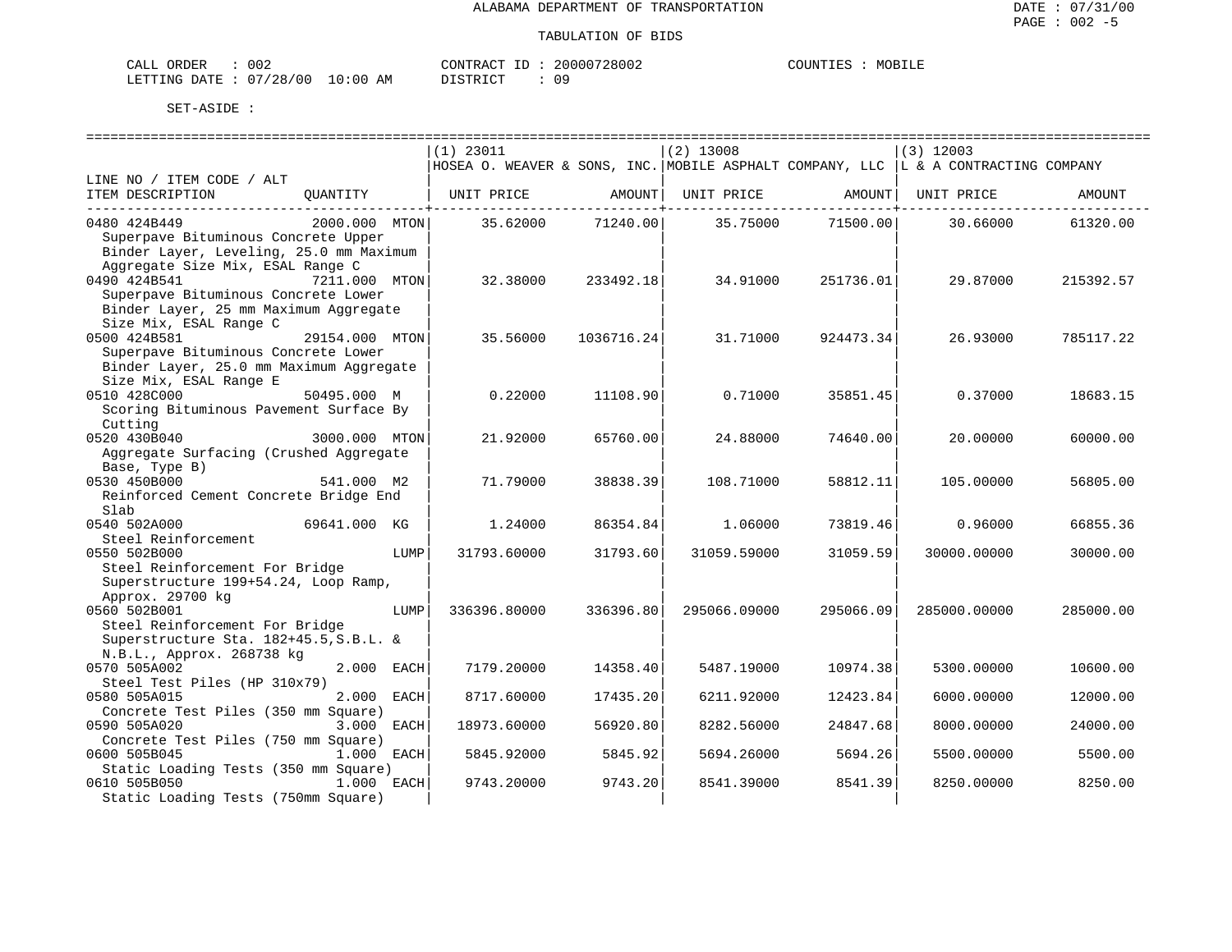| CALL ORDER                      | 002 |          | CONTRACT ID: 20000728002 | COUNTIES | MOBILE |
|---------------------------------|-----|----------|--------------------------|----------|--------|
| LETTING DATE: 07/28/00 10:00 AM |     | DISTRICT | n c                      |          |        |

|                                                                                                                                                              | $(1)$ 23011                                                                         |                              | $(2)$ 13008  |                                                        | $(3)$ 12003  |           |
|--------------------------------------------------------------------------------------------------------------------------------------------------------------|-------------------------------------------------------------------------------------|------------------------------|--------------|--------------------------------------------------------|--------------|-----------|
|                                                                                                                                                              | HOSEA O. WEAVER & SONS, INC. MOBILE ASPHALT COMPANY, LLC  L & A CONTRACTING COMPANY |                              |              |                                                        |              |           |
| LINE NO / ITEM CODE / ALT<br>ITEM DESCRIPTION<br>QUANTITY   UNIT PRICE                                                                                       |                                                                                     | AMOUNT  <br>----------+----- |              | UNIT PRICE AMOUNT<br>. _ _ _ _ _ _ _ _ _ _ + _ _ _ _ _ | UNIT PRICE   | AMOUNT    |
| 0480 424B449<br>2000.000 MTON<br>Superpave Bituminous Concrete Upper<br>Binder Layer, Leveling, 25.0 mm Maximum                                              | 35.62000                                                                            | 71240.00                     | 35.75000     | 71500.00                                               | 30.66000     | 61320.00  |
| Aggregate Size Mix, ESAL Range C<br>0490 424B541<br>7211.000 MTON<br>Superpave Bituminous Concrete Lower<br>Binder Layer, 25 mm Maximum Aggregate            | 32.38000                                                                            | 233492.18                    | 34.91000     | 251736.01                                              | 29.87000     | 215392.57 |
| Size Mix, ESAL Range C<br>0500 424B581<br>29154.000 MTON<br>Superpave Bituminous Concrete Lower                                                              | 35.56000                                                                            | 1036716.24                   | 31.71000     | 924473.34                                              | 26.93000     | 785117.22 |
| Binder Layer, 25.0 mm Maximum Aggregate<br>Size Mix, ESAL Range E<br>0510 428C000<br>50495.000 M<br>Scoring Bituminous Pavement Surface By                   | 0.22000                                                                             | 11108.90                     | 0.71000      | 35851.45                                               | 0.37000      | 18683.15  |
| Cutting<br>0520 430B040<br>3000.000 MTON<br>Aggregate Surfacing (Crushed Aggregate                                                                           | 21.92000                                                                            | 65760.00                     | 24.88000     | 74640.00                                               | 20.00000     | 60000.00  |
| Base, Type B)<br>0530 450B000<br>541.000 M2<br>Reinforced Cement Concrete Bridge End                                                                         | 71.79000                                                                            | 38838.39                     | 108.71000    | 58812.11                                               | 105,00000    | 56805.00  |
| Slab<br>69641.000 KG<br>0540 502A000<br>Steel Reinforcement                                                                                                  | 1,24000                                                                             | 86354.84                     | 1,06000      | 73819.46                                               | 0.96000      | 66855.36  |
| 0550 502B000<br>LUMP<br>Steel Reinforcement For Bridge                                                                                                       | 31793.60000                                                                         | 31793.60                     | 31059.59000  | 31059.59                                               | 30000.00000  | 30000.00  |
| Superstructure 199+54.24, Loop Ramp,<br>Approx. 29700 kg<br>0560 502B001<br>LUMP<br>Steel Reinforcement For Bridge<br>Superstructure Sta. 182+45.5, S.B.L. & | 336396.80000                                                                        | 336396.80                    | 295066.09000 | 295066.09                                              | 285000.00000 | 285000.00 |
| N.B.L., Approx. 268738 kg<br>2.000 EACH<br>0570 505A002<br>Steel Test Piles (HP 310x79)                                                                      | 7179.20000                                                                          | 14358.40                     | 5487.19000   | 10974.38                                               | 5300.00000   | 10600.00  |
| 0580 505A015<br>2.000<br>EACH                                                                                                                                | 8717.60000                                                                          | 17435.20                     | 6211.92000   | 12423.84                                               | 6000.00000   | 12000.00  |
| Concrete Test Piles (350 mm Square)<br>0590 505A020<br>3.000<br>EACH                                                                                         | 18973.60000                                                                         | 56920.80                     | 8282.56000   | 24847.68                                               | 8000.00000   | 24000.00  |
| Concrete Test Piles (750 mm Square)<br>0600 505B045<br>1.000 EACH                                                                                            | 5845.92000                                                                          | 5845.92                      | 5694.26000   | 5694.26                                                | 5500.00000   | 5500.00   |
| Static Loading Tests (350 mm Square)<br>1.000 EACH<br>0610 505B050<br>Static Loading Tests (750mm Square)                                                    | 9743.20000                                                                          | 9743.20                      | 8541.39000   | 8541.39                                                | 8250.00000   | 8250.00   |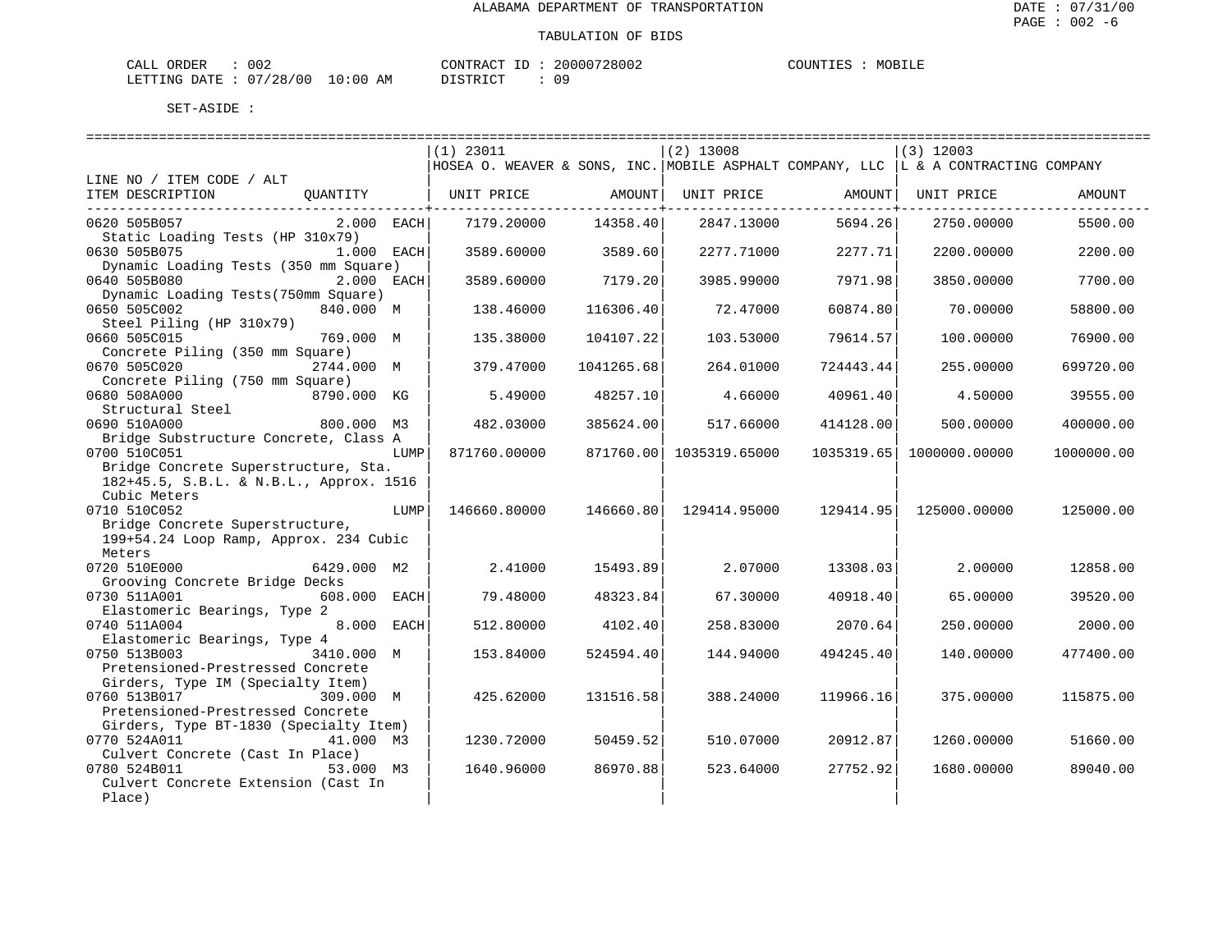| ORDER<br>CALL          | 002 |             | CONTRACT ID: | 20000728002 | COUNTIES | MOBILE |
|------------------------|-----|-------------|--------------|-------------|----------|--------|
| LETTING DATE: 07/28/00 |     | 10:00<br>AM | DISTRICT     |             |          |        |

|                                                                                                                                                      |      | ===============================<br>$(1)$ 23011                                       |            | -----------------------------<br>$(2)$ 13008 |           | --------------------------<br>$(3)$ 12003 |            |
|------------------------------------------------------------------------------------------------------------------------------------------------------|------|--------------------------------------------------------------------------------------|------------|----------------------------------------------|-----------|-------------------------------------------|------------|
|                                                                                                                                                      |      | HOSEA O. WEAVER & SONS, INC. MOBILE ASPHALT COMPANY, LLC   L & A CONTRACTING COMPANY |            |                                              |           |                                           |            |
| LINE NO / ITEM CODE / ALT<br>ITEM DESCRIPTION<br>OUANTITY                                                                                            |      | UNIT PRICE                                                                           | AMOUNT     | UNIT PRICE                                   | AMOUNT    | UNIT PRICE                                | AMOUNT     |
| 0620 505B057<br>$2.000$ EACH<br>Static Loading Tests (HP 310x79)                                                                                     |      | 7179.20000                                                                           | 14358.40   | 2847.13000                                   | 5694.26   | 2750.00000                                | 5500.00    |
| 1.000 EACH<br>0630 505B075<br>Dynamic Loading Tests (350 mm Square)                                                                                  |      | 3589.60000                                                                           | 3589.60    | 2277.71000                                   | 2277.71   | 2200.00000                                | 2200.00    |
| 0640 505B080<br>2.000 EACH<br>Dynamic Loading Tests (750mm Square)                                                                                   |      | 3589.60000                                                                           | 7179.20    | 3985.99000                                   | 7971.98   | 3850.00000                                | 7700.00    |
| 0650 505C002<br>840.000 M<br>Steel Piling (HP 310x79)                                                                                                |      | 138.46000                                                                            | 116306.40  | 72.47000                                     | 60874.80  | 70.00000                                  | 58800.00   |
| 0660 505C015<br>769.000 M<br>Concrete Piling (350 mm Square)                                                                                         |      | 135.38000                                                                            | 104107.22  | 103.53000                                    | 79614.57  | 100.00000                                 | 76900.00   |
| 0670 505C020<br>2744.000 M<br>Concrete Piling (750 mm Square)                                                                                        |      | 379.47000                                                                            | 1041265.68 | 264.01000                                    | 724443.44 | 255.00000                                 | 699720.00  |
| 0680 508A000<br>8790.000 KG<br>Structural Steel                                                                                                      |      | 5.49000                                                                              | 48257.10   | 4.66000                                      | 40961.40  | 4.50000                                   | 39555.00   |
| 0690 510A000<br>800.000 M3<br>Bridge Substructure Concrete, Class A                                                                                  |      | 482.03000                                                                            | 385624.00  | 517.66000                                    | 414128.00 | 500.00000                                 | 400000.00  |
| 0700 510C051<br>Bridge Concrete Superstructure, Sta.                                                                                                 | LUMP | 871760.00000                                                                         |            | 871760.00 1035319.65000                      |           | 1035319.65   1000000.00000                | 1000000.00 |
| 182+45.5, S.B.L. & N.B.L., Approx. 1516<br>Cubic Meters<br>0710 510C052<br>Bridge Concrete Superstructure,<br>199+54.24 Loop Ramp, Approx. 234 Cubic | LUMP | 146660.80000                                                                         | 146660.80  | 129414.95000                                 |           | 129414.95   125000.00000                  | 125000.00  |
| Meters<br>0720 510E000<br>6429.000 M2                                                                                                                |      | 2.41000                                                                              | 15493.89   | 2.07000                                      | 13308.03  | 2,00000                                   | 12858.00   |
| Grooving Concrete Bridge Decks<br>608.000 EACH<br>0730 511A001                                                                                       |      | 79.48000                                                                             | 48323.84   | 67.30000                                     | 40918.40  | 65.00000                                  | 39520.00   |
| Elastomeric Bearings, Type 2<br>0740 511A004<br>8.000 EACH<br>Elastomeric Bearings, Type 4                                                           |      | 512.80000                                                                            | 4102.40    | 258.83000                                    | 2070.64   | 250.00000                                 | 2000.00    |
| 0750 513B003<br>3410.000 M<br>Pretensioned-Prestressed Concrete                                                                                      |      | 153.84000                                                                            | 524594.40  | 144.94000                                    | 494245.40 | 140.00000                                 | 477400.00  |
| Girders, Type IM (Specialty Item)<br>0760 513B017<br>309.000 M<br>Pretensioned-Prestressed Concrete                                                  |      | 425.62000                                                                            | 131516.58  | 388.24000                                    | 119966.16 | 375,00000                                 | 115875.00  |
| Girders, Type BT-1830 (Specialty Item)<br>0770 524A011<br>41.000 M3<br>Culvert Concrete (Cast In Place)                                              |      | 1230.72000                                                                           | 50459.52   | 510.07000                                    | 20912.87  | 1260.00000                                | 51660.00   |
| 0780 524B011<br>53.000 M3<br>Culvert Concrete Extension (Cast In<br>Place)                                                                           |      | 1640.96000                                                                           | 86970.88   | 523.64000                                    | 27752.92  | 1680.00000                                | 89040.00   |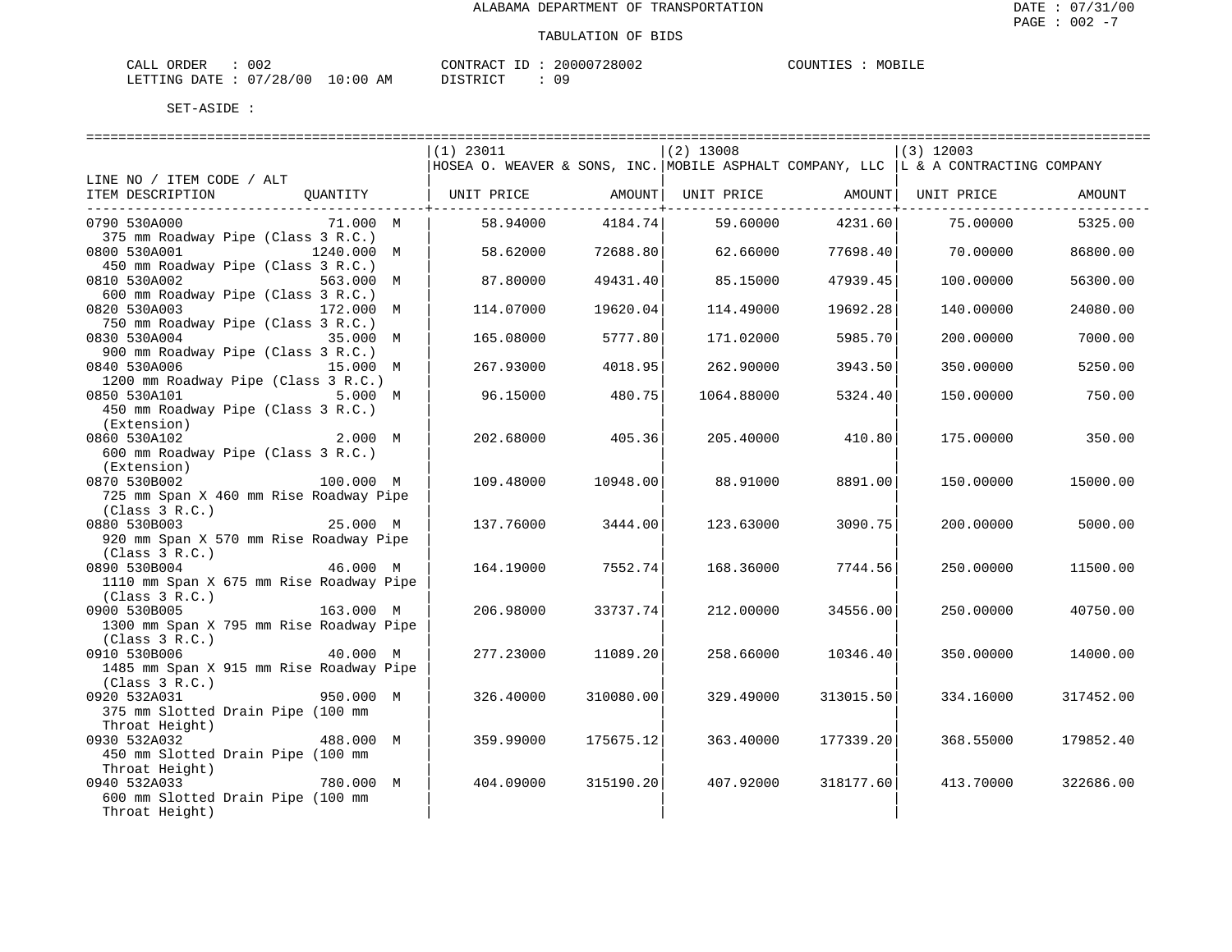| ORDER<br>CALL          | 002 |             | CONTRACT ID: | 20000728002 | COUNTIES | MOBILE |
|------------------------|-----|-------------|--------------|-------------|----------|--------|
| LETTING DATE: 07/28/00 |     | 10:00<br>AM | DISTRICT     |             |          |        |

| $(2)$ 13008<br>$(1)$ 23011<br>$(3)$ 12003<br> HOSEA O. WEAVER & SONS, INC. MOBILE ASPHALT COMPANY, LLC  L & A CONTRACTING COMPANY<br>LINE NO / ITEM CODE / ALT<br>ITEM DESCRIPTION<br>OUANTITY<br>UNIT PRICE<br>AMOUNT  <br>UNIT PRICE<br>AMOUNT  <br>UNIT PRICE<br>AMOUNT<br>-------------+<br>------------+--<br>4184.74<br>4231.60<br>0790 530A000<br>71.000 M<br>58.94000<br>59.60000<br>5325.00<br>75.00000<br>375 mm Roadway Pipe (Class 3 R.C.)<br>0800 530A001<br>1240.000 M<br>72688.80<br>62.66000<br>77698.40<br>70.00000<br>58.62000<br>86800.00<br>450 mm Roadway Pipe (Class 3 R.C.)<br>0810 530A002<br>49431.40<br>563.000 M<br>87.80000<br>85.15000<br>47939.45<br>100.00000<br>56300.00<br>600 mm Roadway Pipe (Class 3 R.C.)<br>0820 530A003<br>172.000 M<br>19620.04<br>19692.28<br>24080.00<br>114.07000<br>114,49000<br>140.00000<br>750 mm Roadway Pipe (Class 3 R.C.)<br>0830 530A004<br>5777.80<br>171.02000<br>7000.00<br>35.000 M<br>165.08000<br>5985.70<br>200.00000<br>900 mm Roadway Pipe (Class 3 R.C.)<br>0840 530A006<br>267.93000<br>4018.95<br>262.90000<br>350.00000<br>5250.00<br>15.000 M<br>3943.50<br>1200 mm Roadway Pipe (Class 3 R.C.)<br>0850 530A101<br>5.000 M<br>96.15000<br>480.75<br>1064.88000<br>5324.40<br>150.00000<br>750.00<br>450 mm Roadway Pipe (Class 3 R.C.)<br>(Extension)<br>405.36<br>0860 530A102<br>2.000 M<br>202.68000<br>205.40000<br>410.80<br>175.00000<br>350.00<br>600 mm Roadway Pipe (Class 3 R.C.)<br>(Extension)<br>0870 530B002<br>100.000 M<br>109.48000<br>10948.00<br>88.91000<br>8891.00<br>150.00000<br>15000.00<br>725 mm Span X 460 mm Rise Roadway Pipe<br>(Class 3 R.C.)<br>0880 530B003<br>25.000 M<br>137.76000<br>3444.00<br>123.63000<br>3090.75<br>200.00000<br>5000.00<br>920 mm Span X 570 mm Rise Roadway Pipe<br>(Class 3 R.C.)<br>0890 530B004<br>46.000 M<br>7552.74<br>7744.56<br>250.00000<br>164.19000<br>168.36000<br>11500.00<br>1110 mm Span X 675 mm Rise Roadway Pipe<br>(Class 3 R.C.)<br>0900 530B005<br>34556.00<br>163.000 M<br>206.98000<br>33737.74<br>212,00000<br>250.00000<br>40750.00<br>1300 mm Span X 795 mm Rise Roadway Pipe<br>(Class 3 R.C.)<br>0910 530B006<br>40.000 M<br>277.23000<br>11089.20<br>258.66000<br>10346.40<br>350.00000<br>14000.00<br>1485 mm Span X 915 mm Rise Roadway Pipe<br>(Class 3 R.C.)<br>0920 532A031<br>950.000 M<br>326.40000<br>310080.00<br>329.49000<br>313015.50<br>334.16000<br>317452.00<br>375 mm Slotted Drain Pipe (100 mm<br>Throat Height) |                           | =============================== | ============================== | ============================ |
|-------------------------------------------------------------------------------------------------------------------------------------------------------------------------------------------------------------------------------------------------------------------------------------------------------------------------------------------------------------------------------------------------------------------------------------------------------------------------------------------------------------------------------------------------------------------------------------------------------------------------------------------------------------------------------------------------------------------------------------------------------------------------------------------------------------------------------------------------------------------------------------------------------------------------------------------------------------------------------------------------------------------------------------------------------------------------------------------------------------------------------------------------------------------------------------------------------------------------------------------------------------------------------------------------------------------------------------------------------------------------------------------------------------------------------------------------------------------------------------------------------------------------------------------------------------------------------------------------------------------------------------------------------------------------------------------------------------------------------------------------------------------------------------------------------------------------------------------------------------------------------------------------------------------------------------------------------------------------------------------------------------------------------------------------------------------------------------------------------------------------------------------------------------------------------------------------------------------------------------------------------------------------------------------------------------------------------------------------------------------------------------------------------------------------------------------------------------------------------------------------------------|---------------------------|---------------------------------|--------------------------------|------------------------------|
|                                                                                                                                                                                                                                                                                                                                                                                                                                                                                                                                                                                                                                                                                                                                                                                                                                                                                                                                                                                                                                                                                                                                                                                                                                                                                                                                                                                                                                                                                                                                                                                                                                                                                                                                                                                                                                                                                                                                                                                                                                                                                                                                                                                                                                                                                                                                                                                                                                                                                                             |                           |                                 |                                |                              |
|                                                                                                                                                                                                                                                                                                                                                                                                                                                                                                                                                                                                                                                                                                                                                                                                                                                                                                                                                                                                                                                                                                                                                                                                                                                                                                                                                                                                                                                                                                                                                                                                                                                                                                                                                                                                                                                                                                                                                                                                                                                                                                                                                                                                                                                                                                                                                                                                                                                                                                             |                           |                                 |                                |                              |
|                                                                                                                                                                                                                                                                                                                                                                                                                                                                                                                                                                                                                                                                                                                                                                                                                                                                                                                                                                                                                                                                                                                                                                                                                                                                                                                                                                                                                                                                                                                                                                                                                                                                                                                                                                                                                                                                                                                                                                                                                                                                                                                                                                                                                                                                                                                                                                                                                                                                                                             |                           |                                 |                                |                              |
|                                                                                                                                                                                                                                                                                                                                                                                                                                                                                                                                                                                                                                                                                                                                                                                                                                                                                                                                                                                                                                                                                                                                                                                                                                                                                                                                                                                                                                                                                                                                                                                                                                                                                                                                                                                                                                                                                                                                                                                                                                                                                                                                                                                                                                                                                                                                                                                                                                                                                                             |                           |                                 |                                |                              |
|                                                                                                                                                                                                                                                                                                                                                                                                                                                                                                                                                                                                                                                                                                                                                                                                                                                                                                                                                                                                                                                                                                                                                                                                                                                                                                                                                                                                                                                                                                                                                                                                                                                                                                                                                                                                                                                                                                                                                                                                                                                                                                                                                                                                                                                                                                                                                                                                                                                                                                             |                           |                                 |                                |                              |
|                                                                                                                                                                                                                                                                                                                                                                                                                                                                                                                                                                                                                                                                                                                                                                                                                                                                                                                                                                                                                                                                                                                                                                                                                                                                                                                                                                                                                                                                                                                                                                                                                                                                                                                                                                                                                                                                                                                                                                                                                                                                                                                                                                                                                                                                                                                                                                                                                                                                                                             |                           |                                 |                                |                              |
|                                                                                                                                                                                                                                                                                                                                                                                                                                                                                                                                                                                                                                                                                                                                                                                                                                                                                                                                                                                                                                                                                                                                                                                                                                                                                                                                                                                                                                                                                                                                                                                                                                                                                                                                                                                                                                                                                                                                                                                                                                                                                                                                                                                                                                                                                                                                                                                                                                                                                                             |                           |                                 |                                |                              |
|                                                                                                                                                                                                                                                                                                                                                                                                                                                                                                                                                                                                                                                                                                                                                                                                                                                                                                                                                                                                                                                                                                                                                                                                                                                                                                                                                                                                                                                                                                                                                                                                                                                                                                                                                                                                                                                                                                                                                                                                                                                                                                                                                                                                                                                                                                                                                                                                                                                                                                             |                           |                                 |                                |                              |
|                                                                                                                                                                                                                                                                                                                                                                                                                                                                                                                                                                                                                                                                                                                                                                                                                                                                                                                                                                                                                                                                                                                                                                                                                                                                                                                                                                                                                                                                                                                                                                                                                                                                                                                                                                                                                                                                                                                                                                                                                                                                                                                                                                                                                                                                                                                                                                                                                                                                                                             |                           |                                 |                                |                              |
|                                                                                                                                                                                                                                                                                                                                                                                                                                                                                                                                                                                                                                                                                                                                                                                                                                                                                                                                                                                                                                                                                                                                                                                                                                                                                                                                                                                                                                                                                                                                                                                                                                                                                                                                                                                                                                                                                                                                                                                                                                                                                                                                                                                                                                                                                                                                                                                                                                                                                                             |                           |                                 |                                |                              |
|                                                                                                                                                                                                                                                                                                                                                                                                                                                                                                                                                                                                                                                                                                                                                                                                                                                                                                                                                                                                                                                                                                                                                                                                                                                                                                                                                                                                                                                                                                                                                                                                                                                                                                                                                                                                                                                                                                                                                                                                                                                                                                                                                                                                                                                                                                                                                                                                                                                                                                             |                           |                                 |                                |                              |
|                                                                                                                                                                                                                                                                                                                                                                                                                                                                                                                                                                                                                                                                                                                                                                                                                                                                                                                                                                                                                                                                                                                                                                                                                                                                                                                                                                                                                                                                                                                                                                                                                                                                                                                                                                                                                                                                                                                                                                                                                                                                                                                                                                                                                                                                                                                                                                                                                                                                                                             |                           |                                 |                                |                              |
|                                                                                                                                                                                                                                                                                                                                                                                                                                                                                                                                                                                                                                                                                                                                                                                                                                                                                                                                                                                                                                                                                                                                                                                                                                                                                                                                                                                                                                                                                                                                                                                                                                                                                                                                                                                                                                                                                                                                                                                                                                                                                                                                                                                                                                                                                                                                                                                                                                                                                                             |                           |                                 |                                |                              |
|                                                                                                                                                                                                                                                                                                                                                                                                                                                                                                                                                                                                                                                                                                                                                                                                                                                                                                                                                                                                                                                                                                                                                                                                                                                                                                                                                                                                                                                                                                                                                                                                                                                                                                                                                                                                                                                                                                                                                                                                                                                                                                                                                                                                                                                                                                                                                                                                                                                                                                             |                           |                                 |                                |                              |
|                                                                                                                                                                                                                                                                                                                                                                                                                                                                                                                                                                                                                                                                                                                                                                                                                                                                                                                                                                                                                                                                                                                                                                                                                                                                                                                                                                                                                                                                                                                                                                                                                                                                                                                                                                                                                                                                                                                                                                                                                                                                                                                                                                                                                                                                                                                                                                                                                                                                                                             |                           |                                 |                                |                              |
|                                                                                                                                                                                                                                                                                                                                                                                                                                                                                                                                                                                                                                                                                                                                                                                                                                                                                                                                                                                                                                                                                                                                                                                                                                                                                                                                                                                                                                                                                                                                                                                                                                                                                                                                                                                                                                                                                                                                                                                                                                                                                                                                                                                                                                                                                                                                                                                                                                                                                                             |                           |                                 |                                |                              |
|                                                                                                                                                                                                                                                                                                                                                                                                                                                                                                                                                                                                                                                                                                                                                                                                                                                                                                                                                                                                                                                                                                                                                                                                                                                                                                                                                                                                                                                                                                                                                                                                                                                                                                                                                                                                                                                                                                                                                                                                                                                                                                                                                                                                                                                                                                                                                                                                                                                                                                             |                           |                                 |                                |                              |
|                                                                                                                                                                                                                                                                                                                                                                                                                                                                                                                                                                                                                                                                                                                                                                                                                                                                                                                                                                                                                                                                                                                                                                                                                                                                                                                                                                                                                                                                                                                                                                                                                                                                                                                                                                                                                                                                                                                                                                                                                                                                                                                                                                                                                                                                                                                                                                                                                                                                                                             |                           |                                 |                                |                              |
|                                                                                                                                                                                                                                                                                                                                                                                                                                                                                                                                                                                                                                                                                                                                                                                                                                                                                                                                                                                                                                                                                                                                                                                                                                                                                                                                                                                                                                                                                                                                                                                                                                                                                                                                                                                                                                                                                                                                                                                                                                                                                                                                                                                                                                                                                                                                                                                                                                                                                                             |                           |                                 |                                |                              |
|                                                                                                                                                                                                                                                                                                                                                                                                                                                                                                                                                                                                                                                                                                                                                                                                                                                                                                                                                                                                                                                                                                                                                                                                                                                                                                                                                                                                                                                                                                                                                                                                                                                                                                                                                                                                                                                                                                                                                                                                                                                                                                                                                                                                                                                                                                                                                                                                                                                                                                             |                           |                                 |                                |                              |
|                                                                                                                                                                                                                                                                                                                                                                                                                                                                                                                                                                                                                                                                                                                                                                                                                                                                                                                                                                                                                                                                                                                                                                                                                                                                                                                                                                                                                                                                                                                                                                                                                                                                                                                                                                                                                                                                                                                                                                                                                                                                                                                                                                                                                                                                                                                                                                                                                                                                                                             |                           |                                 |                                |                              |
|                                                                                                                                                                                                                                                                                                                                                                                                                                                                                                                                                                                                                                                                                                                                                                                                                                                                                                                                                                                                                                                                                                                                                                                                                                                                                                                                                                                                                                                                                                                                                                                                                                                                                                                                                                                                                                                                                                                                                                                                                                                                                                                                                                                                                                                                                                                                                                                                                                                                                                             |                           |                                 |                                |                              |
|                                                                                                                                                                                                                                                                                                                                                                                                                                                                                                                                                                                                                                                                                                                                                                                                                                                                                                                                                                                                                                                                                                                                                                                                                                                                                                                                                                                                                                                                                                                                                                                                                                                                                                                                                                                                                                                                                                                                                                                                                                                                                                                                                                                                                                                                                                                                                                                                                                                                                                             |                           |                                 |                                |                              |
|                                                                                                                                                                                                                                                                                                                                                                                                                                                                                                                                                                                                                                                                                                                                                                                                                                                                                                                                                                                                                                                                                                                                                                                                                                                                                                                                                                                                                                                                                                                                                                                                                                                                                                                                                                                                                                                                                                                                                                                                                                                                                                                                                                                                                                                                                                                                                                                                                                                                                                             |                           |                                 |                                |                              |
|                                                                                                                                                                                                                                                                                                                                                                                                                                                                                                                                                                                                                                                                                                                                                                                                                                                                                                                                                                                                                                                                                                                                                                                                                                                                                                                                                                                                                                                                                                                                                                                                                                                                                                                                                                                                                                                                                                                                                                                                                                                                                                                                                                                                                                                                                                                                                                                                                                                                                                             |                           |                                 |                                |                              |
|                                                                                                                                                                                                                                                                                                                                                                                                                                                                                                                                                                                                                                                                                                                                                                                                                                                                                                                                                                                                                                                                                                                                                                                                                                                                                                                                                                                                                                                                                                                                                                                                                                                                                                                                                                                                                                                                                                                                                                                                                                                                                                                                                                                                                                                                                                                                                                                                                                                                                                             |                           |                                 |                                |                              |
|                                                                                                                                                                                                                                                                                                                                                                                                                                                                                                                                                                                                                                                                                                                                                                                                                                                                                                                                                                                                                                                                                                                                                                                                                                                                                                                                                                                                                                                                                                                                                                                                                                                                                                                                                                                                                                                                                                                                                                                                                                                                                                                                                                                                                                                                                                                                                                                                                                                                                                             |                           |                                 |                                |                              |
|                                                                                                                                                                                                                                                                                                                                                                                                                                                                                                                                                                                                                                                                                                                                                                                                                                                                                                                                                                                                                                                                                                                                                                                                                                                                                                                                                                                                                                                                                                                                                                                                                                                                                                                                                                                                                                                                                                                                                                                                                                                                                                                                                                                                                                                                                                                                                                                                                                                                                                             |                           |                                 |                                |                              |
|                                                                                                                                                                                                                                                                                                                                                                                                                                                                                                                                                                                                                                                                                                                                                                                                                                                                                                                                                                                                                                                                                                                                                                                                                                                                                                                                                                                                                                                                                                                                                                                                                                                                                                                                                                                                                                                                                                                                                                                                                                                                                                                                                                                                                                                                                                                                                                                                                                                                                                             |                           |                                 |                                |                              |
|                                                                                                                                                                                                                                                                                                                                                                                                                                                                                                                                                                                                                                                                                                                                                                                                                                                                                                                                                                                                                                                                                                                                                                                                                                                                                                                                                                                                                                                                                                                                                                                                                                                                                                                                                                                                                                                                                                                                                                                                                                                                                                                                                                                                                                                                                                                                                                                                                                                                                                             |                           |                                 |                                |                              |
|                                                                                                                                                                                                                                                                                                                                                                                                                                                                                                                                                                                                                                                                                                                                                                                                                                                                                                                                                                                                                                                                                                                                                                                                                                                                                                                                                                                                                                                                                                                                                                                                                                                                                                                                                                                                                                                                                                                                                                                                                                                                                                                                                                                                                                                                                                                                                                                                                                                                                                             |                           |                                 |                                |                              |
|                                                                                                                                                                                                                                                                                                                                                                                                                                                                                                                                                                                                                                                                                                                                                                                                                                                                                                                                                                                                                                                                                                                                                                                                                                                                                                                                                                                                                                                                                                                                                                                                                                                                                                                                                                                                                                                                                                                                                                                                                                                                                                                                                                                                                                                                                                                                                                                                                                                                                                             |                           |                                 |                                |                              |
|                                                                                                                                                                                                                                                                                                                                                                                                                                                                                                                                                                                                                                                                                                                                                                                                                                                                                                                                                                                                                                                                                                                                                                                                                                                                                                                                                                                                                                                                                                                                                                                                                                                                                                                                                                                                                                                                                                                                                                                                                                                                                                                                                                                                                                                                                                                                                                                                                                                                                                             |                           |                                 |                                |                              |
|                                                                                                                                                                                                                                                                                                                                                                                                                                                                                                                                                                                                                                                                                                                                                                                                                                                                                                                                                                                                                                                                                                                                                                                                                                                                                                                                                                                                                                                                                                                                                                                                                                                                                                                                                                                                                                                                                                                                                                                                                                                                                                                                                                                                                                                                                                                                                                                                                                                                                                             |                           |                                 |                                |                              |
|                                                                                                                                                                                                                                                                                                                                                                                                                                                                                                                                                                                                                                                                                                                                                                                                                                                                                                                                                                                                                                                                                                                                                                                                                                                                                                                                                                                                                                                                                                                                                                                                                                                                                                                                                                                                                                                                                                                                                                                                                                                                                                                                                                                                                                                                                                                                                                                                                                                                                                             |                           |                                 |                                |                              |
|                                                                                                                                                                                                                                                                                                                                                                                                                                                                                                                                                                                                                                                                                                                                                                                                                                                                                                                                                                                                                                                                                                                                                                                                                                                                                                                                                                                                                                                                                                                                                                                                                                                                                                                                                                                                                                                                                                                                                                                                                                                                                                                                                                                                                                                                                                                                                                                                                                                                                                             |                           |                                 |                                |                              |
|                                                                                                                                                                                                                                                                                                                                                                                                                                                                                                                                                                                                                                                                                                                                                                                                                                                                                                                                                                                                                                                                                                                                                                                                                                                                                                                                                                                                                                                                                                                                                                                                                                                                                                                                                                                                                                                                                                                                                                                                                                                                                                                                                                                                                                                                                                                                                                                                                                                                                                             |                           |                                 |                                |                              |
|                                                                                                                                                                                                                                                                                                                                                                                                                                                                                                                                                                                                                                                                                                                                                                                                                                                                                                                                                                                                                                                                                                                                                                                                                                                                                                                                                                                                                                                                                                                                                                                                                                                                                                                                                                                                                                                                                                                                                                                                                                                                                                                                                                                                                                                                                                                                                                                                                                                                                                             |                           |                                 |                                |                              |
|                                                                                                                                                                                                                                                                                                                                                                                                                                                                                                                                                                                                                                                                                                                                                                                                                                                                                                                                                                                                                                                                                                                                                                                                                                                                                                                                                                                                                                                                                                                                                                                                                                                                                                                                                                                                                                                                                                                                                                                                                                                                                                                                                                                                                                                                                                                                                                                                                                                                                                             |                           |                                 |                                |                              |
|                                                                                                                                                                                                                                                                                                                                                                                                                                                                                                                                                                                                                                                                                                                                                                                                                                                                                                                                                                                                                                                                                                                                                                                                                                                                                                                                                                                                                                                                                                                                                                                                                                                                                                                                                                                                                                                                                                                                                                                                                                                                                                                                                                                                                                                                                                                                                                                                                                                                                                             |                           |                                 |                                |                              |
|                                                                                                                                                                                                                                                                                                                                                                                                                                                                                                                                                                                                                                                                                                                                                                                                                                                                                                                                                                                                                                                                                                                                                                                                                                                                                                                                                                                                                                                                                                                                                                                                                                                                                                                                                                                                                                                                                                                                                                                                                                                                                                                                                                                                                                                                                                                                                                                                                                                                                                             |                           |                                 |                                |                              |
|                                                                                                                                                                                                                                                                                                                                                                                                                                                                                                                                                                                                                                                                                                                                                                                                                                                                                                                                                                                                                                                                                                                                                                                                                                                                                                                                                                                                                                                                                                                                                                                                                                                                                                                                                                                                                                                                                                                                                                                                                                                                                                                                                                                                                                                                                                                                                                                                                                                                                                             | 0930 532A032<br>488.000 M | 175675.12<br>359.99000          | 177339.20<br>363.40000         | 179852.40<br>368.55000       |
| 450 mm Slotted Drain Pipe (100 mm                                                                                                                                                                                                                                                                                                                                                                                                                                                                                                                                                                                                                                                                                                                                                                                                                                                                                                                                                                                                                                                                                                                                                                                                                                                                                                                                                                                                                                                                                                                                                                                                                                                                                                                                                                                                                                                                                                                                                                                                                                                                                                                                                                                                                                                                                                                                                                                                                                                                           |                           |                                 |                                |                              |
| Throat Height)                                                                                                                                                                                                                                                                                                                                                                                                                                                                                                                                                                                                                                                                                                                                                                                                                                                                                                                                                                                                                                                                                                                                                                                                                                                                                                                                                                                                                                                                                                                                                                                                                                                                                                                                                                                                                                                                                                                                                                                                                                                                                                                                                                                                                                                                                                                                                                                                                                                                                              |                           |                                 |                                |                              |
| 0940 532A033<br>780.000 M<br>404.09000<br>315190.20<br>407.92000<br>318177.60<br>413.70000<br>322686.00                                                                                                                                                                                                                                                                                                                                                                                                                                                                                                                                                                                                                                                                                                                                                                                                                                                                                                                                                                                                                                                                                                                                                                                                                                                                                                                                                                                                                                                                                                                                                                                                                                                                                                                                                                                                                                                                                                                                                                                                                                                                                                                                                                                                                                                                                                                                                                                                     |                           |                                 |                                |                              |
| 600 mm Slotted Drain Pipe (100 mm                                                                                                                                                                                                                                                                                                                                                                                                                                                                                                                                                                                                                                                                                                                                                                                                                                                                                                                                                                                                                                                                                                                                                                                                                                                                                                                                                                                                                                                                                                                                                                                                                                                                                                                                                                                                                                                                                                                                                                                                                                                                                                                                                                                                                                                                                                                                                                                                                                                                           |                           |                                 |                                |                              |
| Throat Height)                                                                                                                                                                                                                                                                                                                                                                                                                                                                                                                                                                                                                                                                                                                                                                                                                                                                                                                                                                                                                                                                                                                                                                                                                                                                                                                                                                                                                                                                                                                                                                                                                                                                                                                                                                                                                                                                                                                                                                                                                                                                                                                                                                                                                                                                                                                                                                                                                                                                                              |                           |                                 |                                |                              |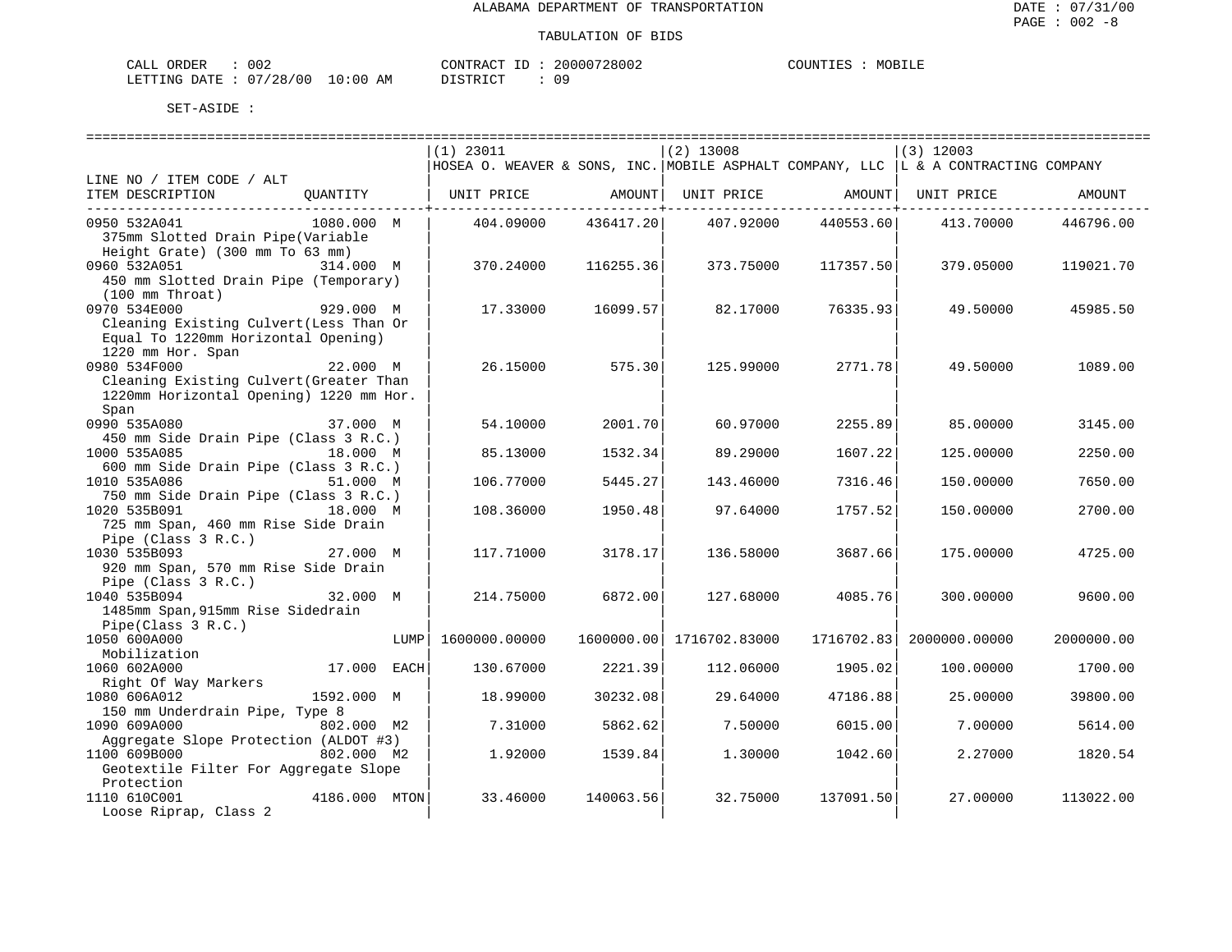| CALL ORDER                       | 002 | CONTRACT ID: | 20000728002 | COUNTIES | MOBILE |
|----------------------------------|-----|--------------|-------------|----------|--------|
| LETTING DATE : 07/28/00 10:00 AM |     | DISTRICT     |             |          |        |

|                                         |               |      | $(1)$ 23011                                                                         |            | $(2)$ 13008   |            | $(3)$ 12003   |            |
|-----------------------------------------|---------------|------|-------------------------------------------------------------------------------------|------------|---------------|------------|---------------|------------|
|                                         |               |      | HOSEA O. WEAVER & SONS, INC. MOBILE ASPHALT COMPANY, LLC  L & A CONTRACTING COMPANY |            |               |            |               |            |
| LINE NO / ITEM CODE / ALT               |               |      |                                                                                     |            |               |            |               |            |
| ITEM DESCRIPTION                        | QUANTITY      |      | UNIT PRICE                                                                          | AMOUNT     | UNIT PRICE    | AMOUNT     | UNIT PRICE    | AMOUNT     |
|                                         |               |      |                                                                                     |            |               |            |               |            |
| 0950 532A041                            | 1080.000 M    |      | 404.09000                                                                           | 436417.20  | 407.92000     | 440553.60  | 413.70000     | 446796.00  |
| 375mm Slotted Drain Pipe(Variable       |               |      |                                                                                     |            |               |            |               |            |
| Height Grate) (300 mm To 63 mm)         |               |      |                                                                                     |            |               |            |               |            |
| 0960 532A051                            | 314.000 M     |      | 370.24000                                                                           | 116255.36  | 373.75000     | 117357.50  | 379.05000     | 119021.70  |
| 450 mm Slotted Drain Pipe (Temporary)   |               |      |                                                                                     |            |               |            |               |            |
| $(100 \, \text{mm}$ Throat)             |               |      |                                                                                     |            |               |            |               |            |
| 0970 534E000                            | 929.000 M     |      | 17.33000                                                                            | 16099.57   | 82.17000      | 76335.93   | 49.50000      | 45985.50   |
| Cleaning Existing Culvert (Less Than Or |               |      |                                                                                     |            |               |            |               |            |
| Equal To 1220mm Horizontal Opening)     |               |      |                                                                                     |            |               |            |               |            |
| 1220 mm Hor. Span                       |               |      |                                                                                     |            |               |            |               |            |
| 0980 534F000                            | 22.000 M      |      | 26.15000                                                                            | 575.30     | 125.99000     | 2771.78    | 49.50000      | 1089.00    |
| Cleaning Existing Culvert (Greater Than |               |      |                                                                                     |            |               |            |               |            |
| 1220mm Horizontal Opening) 1220 mm Hor. |               |      |                                                                                     |            |               |            |               |            |
| Span                                    |               |      |                                                                                     |            |               |            |               |            |
| 0990 535A080                            | 37.000 M      |      | 54.10000                                                                            | 2001.70    | 60.97000      | 2255.89    | 85.00000      | 3145.00    |
| 450 mm Side Drain Pipe (Class 3 R.C.)   |               |      |                                                                                     |            |               |            |               |            |
| 1000 535A085                            | 18.000 M      |      | 85.13000                                                                            | 1532.34    | 89.29000      | 1607.22    | 125.00000     | 2250.00    |
| 600 mm Side Drain Pipe (Class 3 R.C.)   |               |      |                                                                                     |            |               |            |               |            |
| 1010 535A086                            | 51.000 M      |      | 106.77000                                                                           | 5445.27    | 143.46000     | 7316.46    | 150.00000     | 7650.00    |
| 750 mm Side Drain Pipe (Class 3 R.C.)   |               |      |                                                                                     |            |               |            |               |            |
| 1020 535B091                            | 18.000 M      |      | 108.36000                                                                           | 1950.48    | 97.64000      | 1757.52    | 150.00000     | 2700.00    |
| 725 mm Span, 460 mm Rise Side Drain     |               |      |                                                                                     |            |               |            |               |            |
| Pipe (Class 3 R.C.)                     |               |      |                                                                                     |            |               |            |               |            |
| 1030 535B093                            | 27.000 M      |      | 117.71000                                                                           | 3178.17    | 136.58000     | 3687.66    | 175.00000     | 4725.00    |
| 920 mm Span, 570 mm Rise Side Drain     |               |      |                                                                                     |            |               |            |               |            |
| Pipe (Class $3 R.C.$ )                  |               |      |                                                                                     |            |               |            |               |            |
| 1040 535B094                            | 32.000 M      |      | 214.75000                                                                           | 6872.00    | 127.68000     | 4085.76    | 300,00000     | 9600.00    |
| 1485mm Span, 915mm Rise Sidedrain       |               |      |                                                                                     |            |               |            |               |            |
| Pipe(Class 3 R.C.)                      |               |      |                                                                                     |            |               |            |               |            |
| 1050 600A000                            |               | LUMP | 1600000.00000                                                                       | 1600000.00 | 1716702.83000 | 1716702.83 | 2000000.00000 | 2000000.00 |
| Mobilization                            |               |      |                                                                                     |            |               |            |               |            |
| 1060 602A000                            | 17.000 EACH   |      | 130.67000                                                                           | 2221.39    | 112,06000     | 1905.02    | 100.00000     | 1700.00    |
| Right Of Way Markers                    |               |      |                                                                                     |            |               |            |               |            |
| 1080 606A012                            | 1592.000 M    |      | 18.99000                                                                            | 30232.08   | 29.64000      | 47186.88   | 25.00000      | 39800.00   |
| 150 mm Underdrain Pipe, Type 8          |               |      |                                                                                     |            |               |            |               |            |
| 1090 609A000                            | 802.000 M2    |      | 7.31000                                                                             | 5862.62    | 7.50000       | 6015.00    | 7.00000       | 5614.00    |
| Aggregate Slope Protection (ALDOT #3)   |               |      |                                                                                     |            |               |            |               |            |
| 1100 609B000                            | 802.000 M2    |      | 1.92000                                                                             | 1539.84    | 1.30000       | 1042.60    | 2.27000       | 1820.54    |
| Geotextile Filter For Aggregate Slope   |               |      |                                                                                     |            |               |            |               |            |
| Protection                              |               |      |                                                                                     |            |               |            |               |            |
| 1110 610C001                            | 4186.000 MTON |      | 33.46000                                                                            | 140063.56  | 32.75000      | 137091.50  | 27.00000      | 113022.00  |
| Loose Riprap, Class 2                   |               |      |                                                                                     |            |               |            |               |            |
|                                         |               |      |                                                                                     |            |               |            |               |            |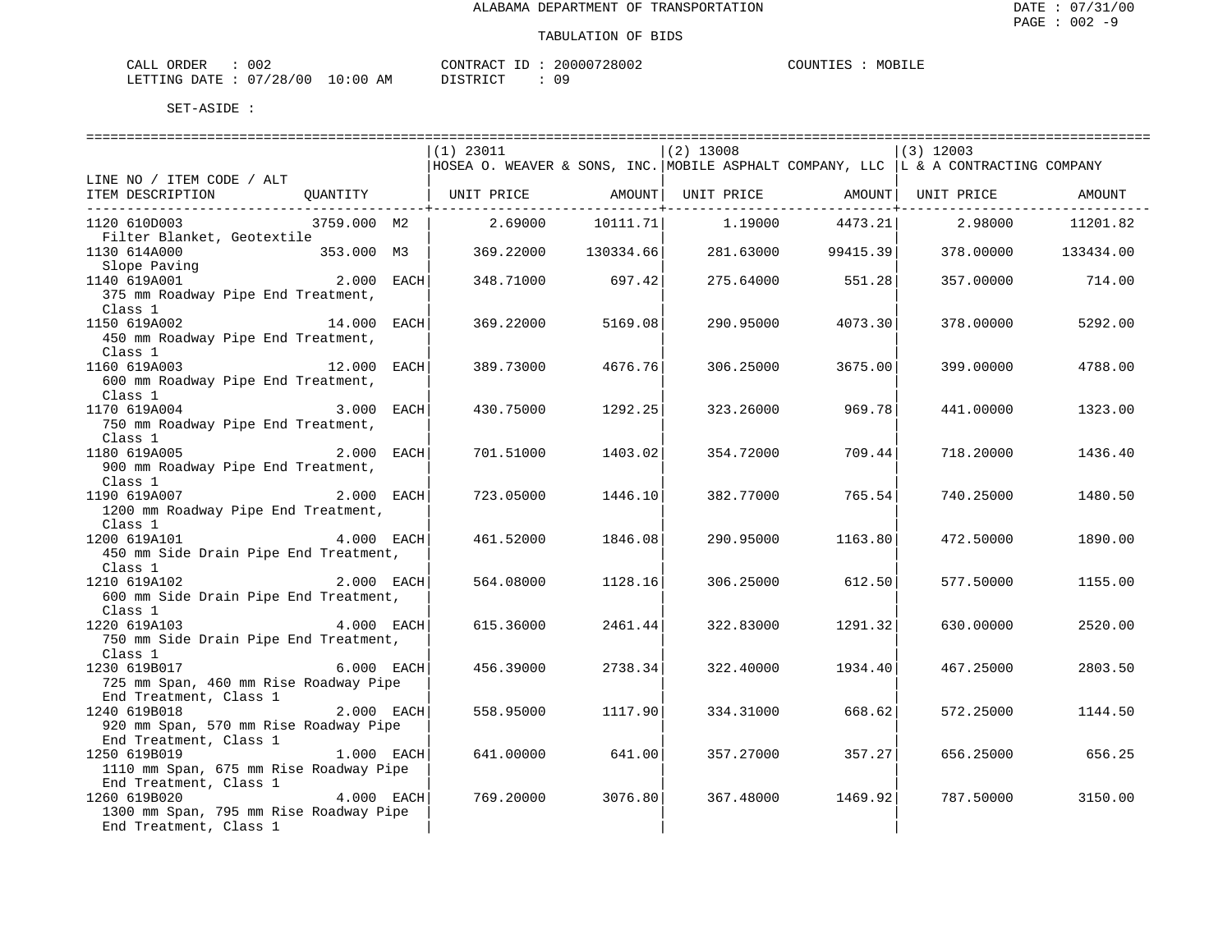| ORDER<br>CALL          | 002 |             | CONTRACT ID: | 20000728002 | COUNTIES | MOBILE |
|------------------------|-----|-------------|--------------|-------------|----------|--------|
| LETTING DATE: 07/28/00 |     | 10:00<br>AM | DISTRICT     |             |          |        |

|                                                                      |               |      | $(1)$ 23011                                                                        |                                                  | $(2)$ 13008 |                     | $(3)$ 12003 |                     |
|----------------------------------------------------------------------|---------------|------|------------------------------------------------------------------------------------|--------------------------------------------------|-------------|---------------------|-------------|---------------------|
|                                                                      |               |      | HOSEA O. WEAVER & SONS, INC. MOBILE ASPHALT COMPANY, LLC L & A CONTRACTING COMPANY |                                                  |             |                     |             |                     |
| LINE NO / ITEM CODE / ALT                                            |               |      |                                                                                    |                                                  |             |                     |             |                     |
| ITEM DESCRIPTION                                                     |               |      |                                                                                    |                                                  |             |                     |             | AMOUNT              |
| 1120 610D003                                                         | 3759.000 M2   |      | 2.69000                                                                            | - - - - - - - - - - - <del>+</del> - - - - - - - |             | ------------+------ | 2.98000     | 11201.82            |
| Filter Blanket, Geotextile                                           |               |      |                                                                                    |                                                  |             |                     |             |                     |
| 1130 614A000<br>$353.000$ M3                                         |               |      | 369.22000                                                                          | 130334.66                                        |             | 281.63000 99415.39  |             | 378.00000 133434.00 |
|                                                                      |               |      |                                                                                    |                                                  |             |                     |             |                     |
| Slope Paving<br>1140 619A001 1140 2.000 EACH                         |               |      | 348.71000                                                                          | 697.42                                           |             | 275.64000 551.28    | 357.00000   | 714.00              |
| 375 mm Roadway Pipe End Treatment,                                   |               |      |                                                                                    |                                                  |             |                     |             |                     |
| Class 1                                                              |               |      |                                                                                    |                                                  |             |                     |             |                     |
| $\begin{bmatrix} 14.000 & \text{EACH} \end{bmatrix}$<br>1150 619A002 |               |      | 369.22000                                                                          | 5169.08                                          |             | 290.95000 4073.30   | 378.00000   | 5292.00             |
| 450 mm Roadway Pipe End Treatment,                                   |               |      |                                                                                    |                                                  |             |                     |             |                     |
| Class 1                                                              |               |      |                                                                                    |                                                  |             |                     |             |                     |
| 1160 619A003                                                         | $12.000$ EACH |      | 389.73000                                                                          | 4676.76                                          | 306.25000   | 3675.00             | 399.00000   | 4788.00             |
| 600 mm Roadway Pipe End Treatment,                                   |               |      |                                                                                    |                                                  |             |                     |             |                     |
| Class 1                                                              |               |      |                                                                                    |                                                  |             |                     |             |                     |
| 3.000<br>1170 619A004                                                |               | EACH | 430.75000                                                                          | 1292.25                                          | 323.26000   | 969.78              | 441.00000   | 1323.00             |
| 750 mm Roadway Pipe End Treatment,                                   |               |      |                                                                                    |                                                  |             |                     |             |                     |
| Class 1                                                              |               |      |                                                                                    |                                                  |             |                     |             |                     |
| 1180 619A005 2.000 EACH                                              |               |      | 701.51000                                                                          | 1403.02                                          | 354.72000   | 709.44              | 718.20000   | 1436.40             |
| 900 mm Roadway Pipe End Treatment,                                   |               |      |                                                                                    |                                                  |             |                     |             |                     |
| Class 1                                                              |               |      |                                                                                    |                                                  |             |                     |             |                     |
| $2.000$ EACH<br>1190 619A007                                         |               |      | 723.05000                                                                          | 1446.10                                          | 382.77000   | 765.54              | 740.25000   | 1480.50             |
| 1200 mm Roadway Pipe End Treatment,                                  |               |      |                                                                                    |                                                  |             |                     |             |                     |
| Class 1                                                              |               |      |                                                                                    |                                                  |             |                     |             |                     |
| 1200 619A101                                                         | 4.000 EACH    |      | 461.52000                                                                          | 1846.08                                          | 290.95000   | 1163.80             | 472.50000   | 1890.00             |
| 450 mm Side Drain Pipe End Treatment,                                |               |      |                                                                                    |                                                  |             |                     |             |                     |
| Class 1                                                              |               |      |                                                                                    |                                                  |             |                     |             |                     |
| 2.000 EACH<br>1210 619A102                                           |               |      | 564.08000                                                                          | 1128.16                                          |             | 306.25000 612.50    | 577.50000   | 1155.00             |
| 600 mm Side Drain Pipe End Treatment,                                |               |      |                                                                                    |                                                  |             |                     |             |                     |
| Class 1                                                              | 4.000 EACH    |      | 615.36000                                                                          | 2461.44                                          | 322.83000   | 1291.32             | 630.00000   |                     |
| 1220 619A103<br>750 mm Side Drain Pipe End Treatment,                |               |      |                                                                                    |                                                  |             |                     |             | 2520.00             |
| Class 1                                                              |               |      |                                                                                    |                                                  |             |                     |             |                     |
| 1230 619B017                                                         | $6.000$ EACH  |      | 456.39000                                                                          | 2738.34                                          | 322.40000   | 1934.40             | 467.25000   | 2803.50             |
| 725 mm Span, 460 mm Rise Roadway Pipe                                |               |      |                                                                                    |                                                  |             |                     |             |                     |
| End Treatment, Class 1                                               |               |      |                                                                                    |                                                  |             |                     |             |                     |
| 1240 619B018<br>2.000 EACH                                           |               |      | 558.95000                                                                          | 1117.90                                          | 334.31000   | 668.62              | 572.25000   | 1144.50             |
| 920 mm Span, 570 mm Rise Roadway Pipe                                |               |      |                                                                                    |                                                  |             |                     |             |                     |
| End Treatment, Class 1                                               |               |      |                                                                                    |                                                  |             |                     |             |                     |
| $1.000$ EACH<br>1250 619B019                                         |               |      | 641.00000                                                                          | 641.00                                           | 357.27000   | 357.27              | 656.25000   | 656.25              |
| 1110 mm Span, 675 mm Rise Roadway Pipe                               |               |      |                                                                                    |                                                  |             |                     |             |                     |
| End Treatment, Class 1                                               |               |      |                                                                                    |                                                  |             |                     |             |                     |
| 1260 619B020                                                         | $4.000$ EACH  |      | 769.20000                                                                          | 3076.80                                          | 367.48000   | 1469.92             | 787.50000   | 3150.00             |
| 1300 mm Span, 795 mm Rise Roadway Pipe                               |               |      |                                                                                    |                                                  |             |                     |             |                     |
| End Treatment, Class 1                                               |               |      |                                                                                    |                                                  |             |                     |             |                     |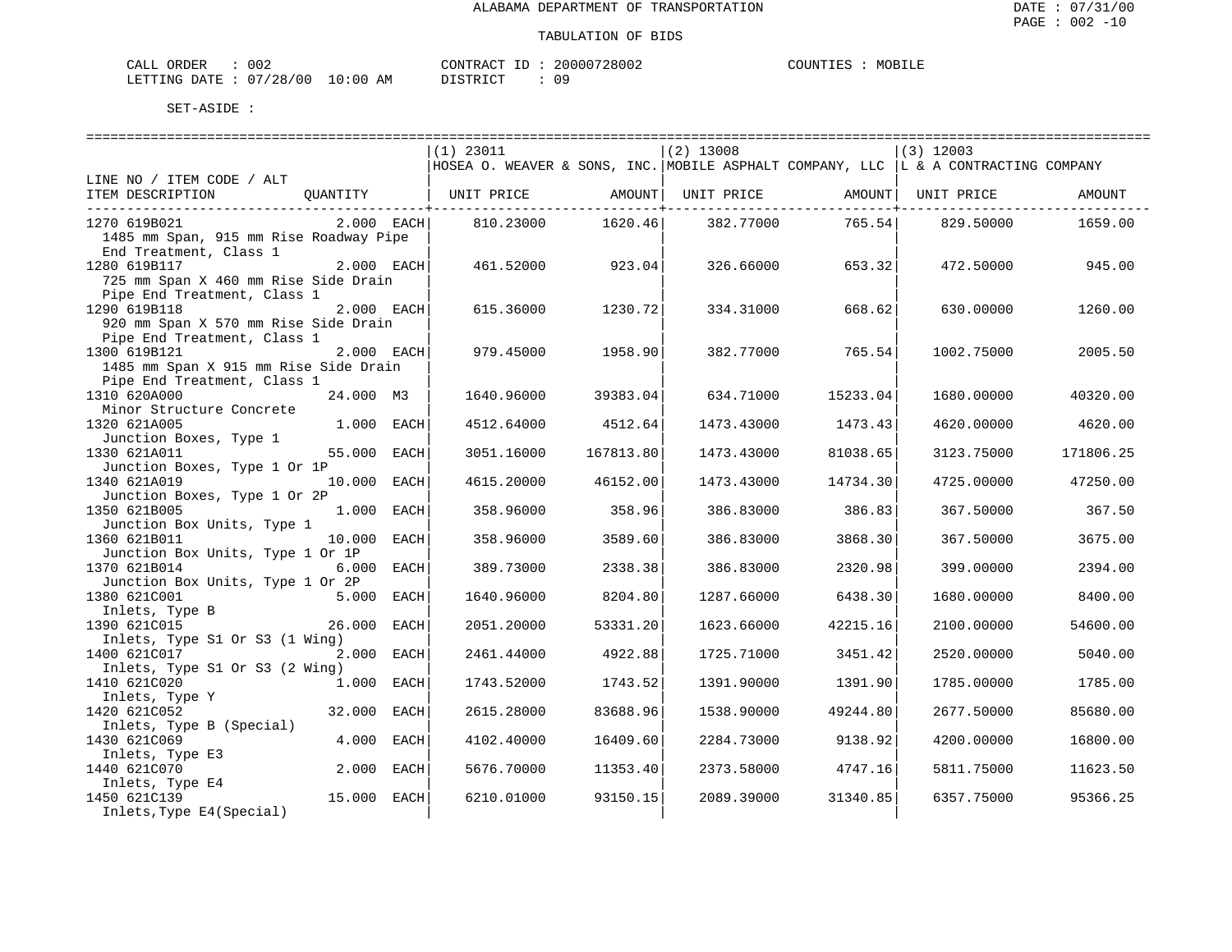| ORDER<br>CALL          | 002 |             | CONTRACT ID: | 20000728002 | COUNTIES | MOBILE |
|------------------------|-----|-------------|--------------|-------------|----------|--------|
| LETTING DATE: 07/28/00 |     | 10:00<br>AM | DISTRICT     |             |          |        |

|                                                                 |                           | $(1)$ 23011                                                                            |           | $(2)$ 13008 |                               | $(3)$ 12003                  |           |
|-----------------------------------------------------------------|---------------------------|----------------------------------------------------------------------------------------|-----------|-------------|-------------------------------|------------------------------|-----------|
|                                                                 |                           | HOSEA O. WEAVER & SONS, INC. MOBILE ASPHALT COMPANY, LLC $ L \& A$ CONTRACTING COMPANY |           |             |                               |                              |           |
| LINE NO / ITEM CODE / ALT                                       |                           |                                                                                        |           |             |                               |                              |           |
| ITEM DESCRIPTION QUANTITY   UNIT PRICE AMOUNT                   |                           |                                                                                        |           |             |                               | UNIT PRICE AMOUNT UNIT PRICE | AMOUNT    |
|                                                                 |                           |                                                                                        |           |             | -----------------+----------- |                              |           |
| 1270 619B021                                                    | 2.000 EACH                | 810.23000                                                                              | 1620.46   | 382.77000   | 765.54                        | 829.50000                    | 1659.00   |
| 1485 mm Span, 915 mm Rise Roadway Pipe                          |                           |                                                                                        |           |             |                               |                              |           |
| End Treatment, Class 1                                          |                           |                                                                                        |           |             |                               |                              |           |
| 1280 619B117                                                    | $2.000$ EACH              | 461.52000                                                                              | 923.04    | 326.66000   | 653.32                        | 472.50000                    | 945.00    |
| 725 mm Span X 460 mm Rise Side Drain                            |                           |                                                                                        |           |             |                               |                              |           |
| Pipe End Treatment, Class 1                                     |                           |                                                                                        |           |             |                               |                              |           |
| 1290 619B118                                                    | 2.000 EACH                | 615.36000                                                                              | 1230.72   | 334.31000   | 668.62                        | 630,00000                    | 1260.00   |
| 920 mm Span X 570 mm Rise Side Drain                            |                           |                                                                                        |           |             |                               |                              |           |
| Pipe End Treatment, Class 1                                     |                           |                                                                                        |           |             |                               |                              |           |
| 1300 619B121                                                    | 2.000 EACH                | 979.45000                                                                              | 1958.90   | 382.77000   | 765.54                        | 1002.75000                   | 2005.50   |
| 1485 mm Span X 915 mm Rise Side Drain                           |                           |                                                                                        |           |             |                               |                              |           |
| Pipe End Treatment, Class 1                                     |                           |                                                                                        |           |             |                               |                              |           |
| 1310 620A000                                                    | 24.000 M3                 | 1640.96000                                                                             | 39383.04  | 634.71000   | 15233.04                      | 1680.00000                   | 40320.00  |
| Minor Structure Concrete                                        |                           |                                                                                        |           |             |                               |                              |           |
| 1320 621A005                                                    | 1.000 EACH                | 4512.64000                                                                             | 4512.64   | 1473.43000  | 1473.43                       | 4620.00000                   | 4620.00   |
| Junction Boxes, Type 1                                          |                           |                                                                                        |           |             |                               |                              |           |
| 1330 621A011                                                    | 55.000 EACH               | 3051.16000                                                                             | 167813.80 | 1473.43000  | 81038.65                      | 3123.75000                   | 171806.25 |
| Junction Boxes, Type 1 Or 1P                                    |                           |                                                                                        |           |             |                               |                              |           |
| 1340 621A019                                                    | 10.000 EACH               | 4615.20000                                                                             | 46152.00  | 1473.43000  | 14734.30                      | 4725.00000                   | 47250.00  |
| Junction Boxes, Type 1 Or 2P                                    |                           |                                                                                        |           |             |                               |                              |           |
| 1350 621B005                                                    | 1.000 EACH                | 358.96000                                                                              | 358.96    | 386.83000   | 386.83                        | 367.50000                    | 367.50    |
| Junction Box Units, Type 1                                      |                           |                                                                                        |           |             |                               |                              |           |
| 1360 621B011                                                    | 10.000 EACH               | 358.96000                                                                              | 3589.60   | 386.83000   | 3868.30                       | 367.50000                    | 3675.00   |
| Junction Box Units, Type 1 Or 1P                                |                           |                                                                                        |           |             |                               |                              |           |
| 1370 621B014                                                    | 6.000 EACH                | 389.73000                                                                              | 2338.38   | 386.83000   | 2320.98                       | 399.00000                    | 2394.00   |
| Junction Box Units, Type 1 Or 2P                                |                           |                                                                                        |           |             |                               |                              |           |
| 1380 621C001                                                    | 5.000 EACH                | 1640.96000                                                                             | 8204.80   | 1287.66000  | 6438.30                       | 1680.00000                   | 8400.00   |
| Inlets, Type B                                                  |                           |                                                                                        |           |             |                               |                              |           |
| 1390 621C015                                                    | 26.000 EACH               | 2051.20000                                                                             | 53331.20  | 1623.66000  | 42215.16                      | 2100.00000                   | 54600.00  |
| Inlets, Type S1 Or S3 (1 Wing)                                  |                           |                                                                                        |           |             |                               |                              |           |
| 1400 621C017                                                    | 2.000 EACH                | 2461.44000                                                                             | 4922.88   | 1725.71000  | 3451.42                       | 2520.00000                   | 5040.00   |
| Inlets, Type S1 Or S3 (2 Wing)                                  |                           |                                                                                        |           |             |                               |                              |           |
| 1410 621C020                                                    | $1.000 \quad \text{EACH}$ | 1743.52000                                                                             | 1743.52   | 1391.90000  | 1391.90                       | 1785.00000                   | 1785.00   |
| Inlets, Type Y                                                  |                           |                                                                                        |           |             |                               |                              |           |
| 1420 621C052                                                    | 32.000 EACH               | 2615.28000                                                                             | 83688.96  | 1538.90000  | 49244.80                      | 2677.50000                   | 85680.00  |
| Inlets, Type B (Special)                                        |                           |                                                                                        |           |             |                               |                              |           |
| 1430 621C069                                                    | 4.000 EACH                | 4102.40000                                                                             | 16409.60  | 2284.73000  | 9138.92                       | 4200.00000                   | 16800.00  |
| Inlets, Type E3                                                 |                           |                                                                                        |           |             |                               |                              |           |
| 1440 621C070                                                    | 2.000 EACH                | 5676.70000                                                                             | 11353.40  | 2373.58000  | 4747.16                       | 5811.75000                   | 11623.50  |
| $140 \text{ years}$<br>Inlets, Type E4<br>$15.000 \text{ EACH}$ |                           |                                                                                        |           |             |                               |                              |           |
| 1450 621C139                                                    |                           | 6210.01000                                                                             | 93150.15  | 2089.39000  | 31340.85                      | 6357.75000                   | 95366.25  |
| Inlets, Type E4(Special)                                        |                           |                                                                                        |           |             |                               |                              |           |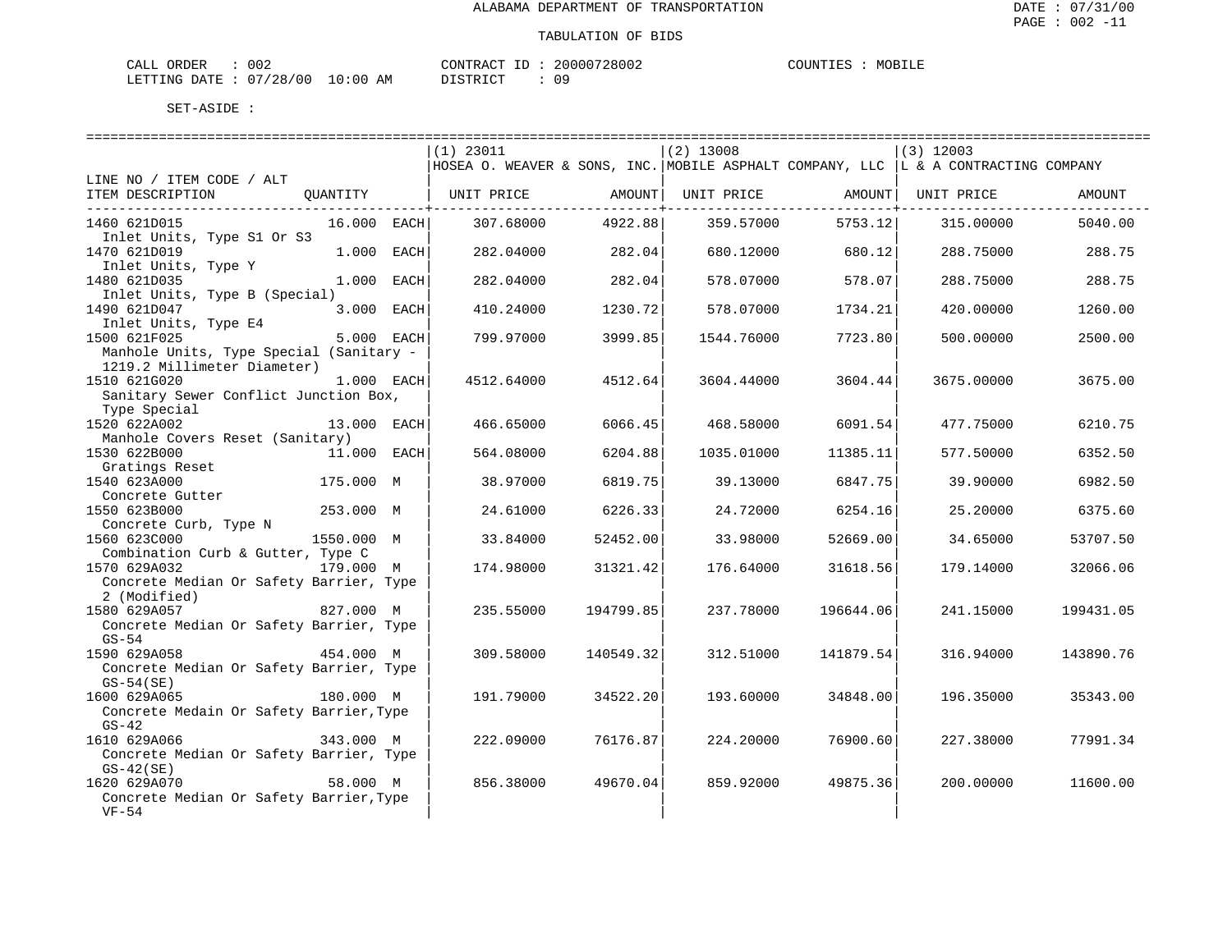| ORDER<br>CALL          | 002 |             | CONTRACT ID: | 20000728002 | COUNTIES | MOBILE |
|------------------------|-----|-------------|--------------|-------------|----------|--------|
| LETTING DATE: 07/28/00 |     | 10:00<br>AM | DISTRICT     |             |          |        |

|                                         | $(1)$ 23011                                                                         |             | $(2)$ 13008 |              | $(3)$ 12003        |           |
|-----------------------------------------|-------------------------------------------------------------------------------------|-------------|-------------|--------------|--------------------|-----------|
|                                         | HOSEA O. WEAVER & SONS, INC. MOBILE ASPHALT COMPANY, LLC  L & A CONTRACTING COMPANY |             |             |              |                    |           |
| LINE NO / ITEM CODE / ALT               |                                                                                     |             |             |              |                    |           |
| ITEM DESCRIPTION<br>OUANTITY            | UNIT PRICE                                                                          | AMOUNT      | UNIT PRICE  |              | AMOUNT  UNIT PRICE | AMOUNT    |
|                                         |                                                                                     | ----------- |             | ------------ |                    |           |
| 1460 621D015<br>16.000 EACH             | 307.68000                                                                           | 4922.88     | 359.57000   | 5753.12      | 315,00000          | 5040.00   |
| Inlet Units, Type S1 Or S3              |                                                                                     |             |             |              |                    |           |
| 1470 621D019<br>1.000 EACH              | 282.04000                                                                           | 282.04      | 680.12000   | 680.12       | 288.75000          | 288.75    |
| Inlet Units, Type Y                     |                                                                                     |             |             |              |                    |           |
| 1480 621D035<br>1.000 EACH              | 282.04000                                                                           | 282.04      | 578.07000   | 578.07       | 288.75000          | 288.75    |
| Inlet Units, Type B (Special)           |                                                                                     |             |             |              |                    |           |
| 3.000 EACH<br>1490 621D047              | 410.24000                                                                           | 1230.72     | 578.07000   | 1734.21      | 420.00000          | 1260.00   |
| Inlet Units, Type E4                    |                                                                                     |             |             |              |                    |           |
| 5.000 EACH<br>1500 621F025              | 799.97000                                                                           | 3999.85     | 1544.76000  | 7723.80      | 500.00000          | 2500.00   |
| Manhole Units, Type Special (Sanitary - |                                                                                     |             |             |              |                    |           |
| 1219.2 Millimeter Diameter)             |                                                                                     |             |             |              |                    |           |
| 1510 621G020<br>1.000 EACH              | 4512.64000                                                                          | 4512.64     | 3604.44000  | 3604.44      | 3675.00000         | 3675.00   |
| Sanitary Sewer Conflict Junction Box,   |                                                                                     |             |             |              |                    |           |
| Type Special                            |                                                                                     |             |             |              |                    |           |
| 1520 622A002<br>13.000 EACH             | 466.65000                                                                           | 6066.45     | 468.58000   | 6091.54      | 477.75000          | 6210.75   |
| Manhole Covers Reset (Sanitary)         |                                                                                     |             |             |              |                    |           |
| 1530 622B000<br>11.000 EACH             | 564.08000                                                                           | 6204.88     | 1035.01000  | 11385.11     | 577.50000          | 6352.50   |
| Gratings Reset                          |                                                                                     |             |             |              |                    |           |
| 1540 623A000<br>175.000 M               | 38.97000                                                                            | 6819.75     | 39.13000    | 6847.75      | 39.90000           | 6982.50   |
| Concrete Gutter                         |                                                                                     |             |             |              |                    |           |
| 253.000 M<br>1550 623B000               | 24.61000                                                                            | 6226.33     | 24.72000    | 6254.16      | 25.20000           | 6375.60   |
| Concrete Curb, Type N                   |                                                                                     |             |             |              |                    |           |
| 1560 623C000<br>1550.000 M              | 33.84000                                                                            | 52452.00    | 33.98000    | 52669.00     | 34.65000           | 53707.50  |
| Combination Curb & Gutter, Type C       |                                                                                     |             |             |              |                    |           |
| 1570 629A032<br>179.000 M               | 174.98000                                                                           | 31321.42    | 176.64000   | 31618.56     | 179.14000          | 32066.06  |
| Concrete Median Or Safety Barrier, Type |                                                                                     |             |             |              |                    |           |
| 2 (Modified)                            |                                                                                     |             |             |              |                    |           |
| 1580 629A057<br>827.000 M               | 235.55000                                                                           | 194799.85   | 237.78000   | 196644.06    | 241.15000          | 199431.05 |
| Concrete Median Or Safety Barrier, Type |                                                                                     |             |             |              |                    |           |
| $GS-54$                                 |                                                                                     |             |             |              |                    |           |
| 1590 629A058<br>454.000 M               | 309.58000                                                                           | 140549.32   | 312.51000   | 141879.54    | 316.94000          | 143890.76 |
| Concrete Median Or Safety Barrier, Type |                                                                                     |             |             |              |                    |           |
| $GS-54(SE)$                             |                                                                                     |             |             |              |                    |           |
| 1600 629A065<br>180.000 M               | 191.79000                                                                           | 34522.20    | 193.60000   | 34848.00     | 196.35000          | 35343.00  |
| Concrete Medain Or Safety Barrier, Type |                                                                                     |             |             |              |                    |           |
| $GS-42$                                 |                                                                                     |             |             |              |                    |           |
| 1610 629A066<br>343.000 M               | 222.09000                                                                           | 76176.87    | 224.20000   | 76900.60     | 227.38000          | 77991.34  |
| Concrete Median Or Safety Barrier, Type |                                                                                     |             |             |              |                    |           |
| $GS-42(SE)$                             |                                                                                     |             |             |              |                    |           |
| 1620 629A070<br>58.000 M                | 856.38000                                                                           | 49670.04    | 859.92000   | 49875.36     | 200.00000          | 11600.00  |
| Concrete Median Or Safety Barrier, Type |                                                                                     |             |             |              |                    |           |
| $VF-54$                                 |                                                                                     |             |             |              |                    |           |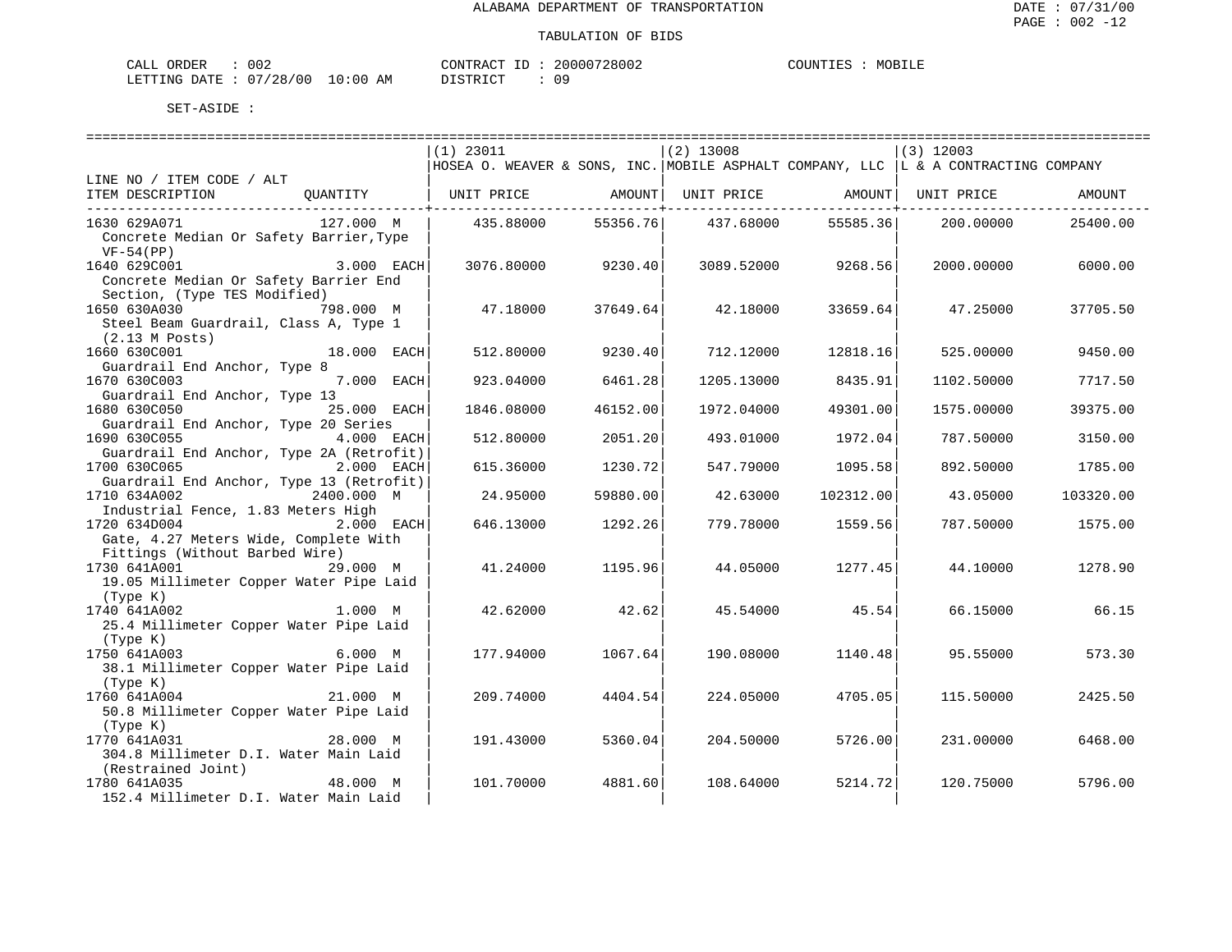| ORDER<br>CALL          | 002 |             | CONTRACT ID: | 20000728002 | COUNTIES | MOBILE |
|------------------------|-----|-------------|--------------|-------------|----------|--------|
| LETTING DATE: 07/28/00 |     | 10:00<br>AM | DISTRICT     |             |          |        |

|                                                                                                                             |             | $(1)$ 23011                                                                                |          | $(2)$ 13008             |                    | $(3)$ 12003 |           |
|-----------------------------------------------------------------------------------------------------------------------------|-------------|--------------------------------------------------------------------------------------------|----------|-------------------------|--------------------|-------------|-----------|
|                                                                                                                             |             | HOSEA O. WEAVER & SONS, INC. MOBILE ASPHALT COMPANY, LLC $\vert$ L & A CONTRACTING COMPANY |          |                         |                    |             |           |
| LINE NO / ITEM CODE / ALT                                                                                                   |             |                                                                                            |          |                         |                    |             |           |
| ITEM DESCRIPTION                                                                                                            |             | QUANTITY   UNIT PRICE     AMOUNT  UNIT PRICE     AMOUNT  UNIT PRICE                        |          | ----------------------- |                    |             | AMOUNT    |
| 1630 629A071<br>127.000 M<br>Concrete Median Or Safety Barrier, Type                                                        |             | 435.88000                                                                                  | 55356.76 | 437.68000               | 55585.36           | 200.00000   | 25400.00  |
| $VF-54(PP)$<br>1640 629C001<br>Concrete Median Or Safety Barrier End                                                        | 3.000 EACH  | 3076.80000                                                                                 | 9230.40  |                         | 3089.52000 9268.56 | 2000.00000  | 6000.00   |
| Section, (Type TES Modified)<br>1650 630A030 798.000 M<br>Steel Beam Guardrail, Class A, Type 1<br>$(2.13 \,$ M $\,$ Posts) |             | 47.18000                                                                                   | 37649.64 | 42.18000                | 33659.64           | 47.25000    | 37705.50  |
| 18.000 EACH<br>1660 630C001<br>Guardrail End Anchor, Type 8                                                                 |             | 512,80000                                                                                  | 9230.40  | 712.12000               | 12818.16           | 525.00000   | 9450.00   |
| 1670 630C003<br>Guardrail End Anchor, Type 13                                                                               | 7.000 EACH  | 923.04000                                                                                  | 6461.28  | 1205.13000              | 8435.91            | 1102.50000  | 7717.50   |
| 1680 630C050                                                                                                                | 25.000 EACH | 1846.08000                                                                                 | 46152.00 | 1972.04000              | 49301.00           | 1575.00000  | 39375.00  |
| Guardrail End Anchor, Type 20 Series<br>1690 630C055<br>Guardrail End Anchor, Type 2A (Retrofit)                            | 4.000 EACH  | 512.80000                                                                                  | 2051.20  | 493.01000               | 1972.04            | 787.50000   | 3150.00   |
| 1700 630C065<br>Guardrail End Anchor, Type 13 (Retrofit)                                                                    | 2.000 EACH  | 615.36000                                                                                  | 1230.72  | 547.79000               | 1095.58            | 892.50000   | 1785.00   |
| 1710 634A002<br>Industrial Fence, 1.83 Meters High                                                                          | 2400.000 M  | 24.95000                                                                                   | 59880.00 | 42.63000                | 102312.00          | 43.05000    | 103320.00 |
| 1720 634D004<br>2.000 EACH<br>Gate, 4.27 Meters Wide, Complete With                                                         |             | 646.13000                                                                                  | 1292.26  | 779.78000               | 1559.56            | 787.50000   | 1575.00   |
| Fittings (Without Barbed Wire)                                                                                              |             |                                                                                            |          |                         |                    |             |           |
| 1730 641A001<br>19.05 Millimeter Copper Water Pipe Laid                                                                     | 29.000 M    | 41.24000                                                                                   | 1195.96  | 44.05000                | 1277.45            | 44.10000    | 1278.90   |
| (Type K)<br>1740 641A002                                                                                                    | 1.000 M     | 42.62000                                                                                   | 42.62    | 45.54000                | 45.54              | 66.15000    | 66.15     |
| 25.4 Millimeter Copper Water Pipe Laid<br>(Type K)                                                                          |             |                                                                                            |          |                         |                    |             |           |
| 1750 641A003<br>38.1 Millimeter Copper Water Pipe Laid                                                                      | 6.000 M     | 177.94000                                                                                  | 1067.64  | 190.08000               | 1140.48            | 95.55000    | 573.30    |
| (Type K)<br>1760 641A004<br>50.8 Millimeter Copper Water Pipe Laid                                                          | 21.000 M    | 209.74000                                                                                  | 4404.54  | 224.05000               | 4705.05            | 115.50000   | 2425.50   |
| (Type K)<br>1770 641A031<br>304.8 Millimeter D.I. Water Main Laid                                                           | 28.000 M    | 191.43000                                                                                  | 5360.04  | 204.50000               | 5726.00            | 231,00000   | 6468.00   |
| (Restrained Joint)<br>1780 641A035<br>152.4 Millimeter D.I. Water Main Laid                                                 | 48.000 M    | 101.70000                                                                                  | 4881.60  | 108.64000               | 5214.72            | 120.75000   | 5796.00   |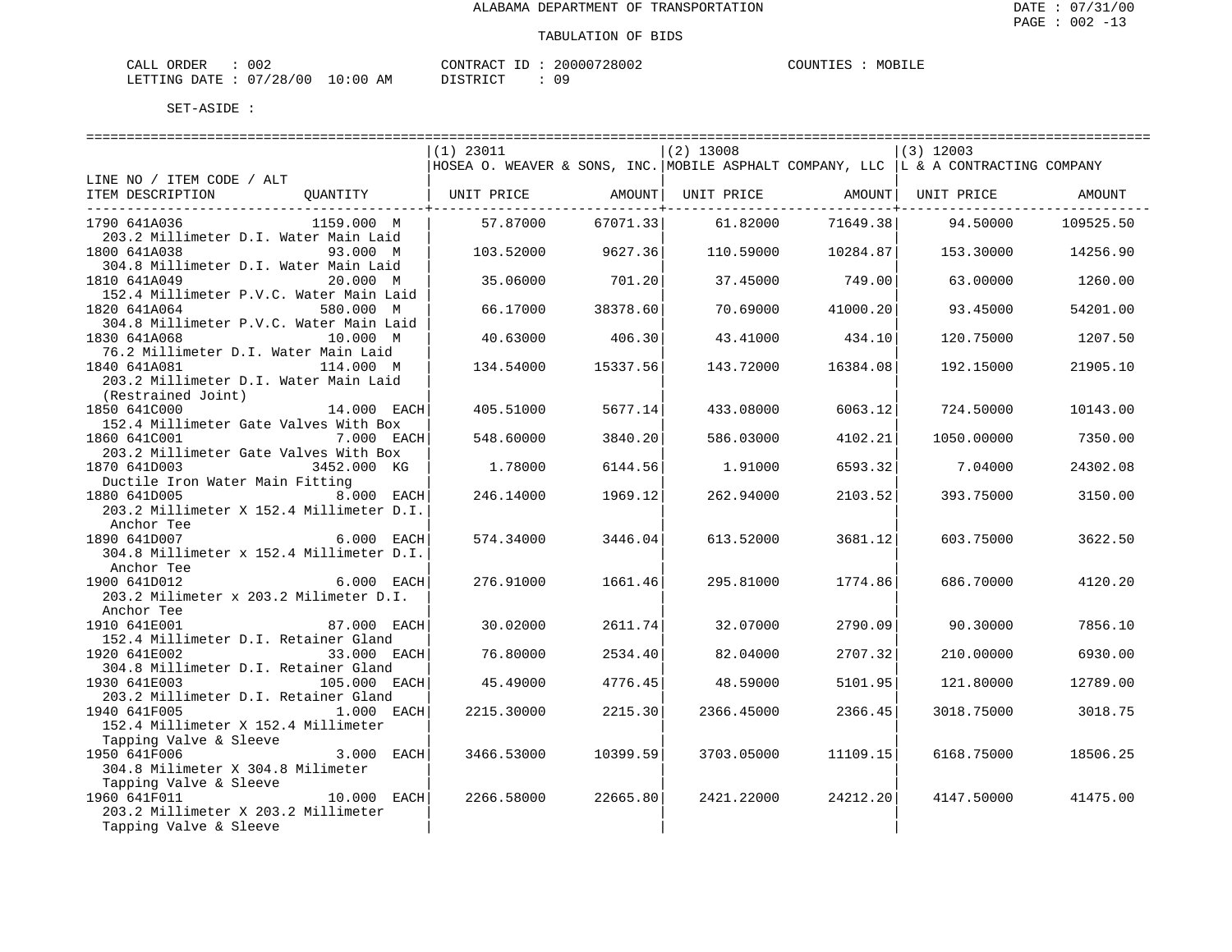| ORDER<br>CALL | 002          |             | CONTRACT ID                | 20000728002 | COUNTIES | MOBILE |
|---------------|--------------|-------------|----------------------------|-------------|----------|--------|
| LETTING DATE  | . : 07/28/00 | 10:00<br>AΜ | חי חי חידו פידי פ<br>----- | n c         |          |        |

|                                                                      | $(1)$ 23011                                                                          |          | $(2)$ 13008 |          | $(3)$ 12003 |           |
|----------------------------------------------------------------------|--------------------------------------------------------------------------------------|----------|-------------|----------|-------------|-----------|
|                                                                      | HOSEA O. WEAVER & SONS, INC. MOBILE ASPHALT COMPANY, LLC   L & A CONTRACTING COMPANY |          |             |          |             |           |
| LINE NO / ITEM CODE / ALT                                            |                                                                                      |          |             |          |             |           |
| ITEM DESCRIPTION<br>OUANTITY                                         | UNIT PRICE                                                                           | AMOUNT   | UNIT PRICE  | AMOUNT   | UNIT PRICE  | AMOUNT    |
|                                                                      |                                                                                      |          |             |          |             |           |
| 1790 641A036<br>1159.000 M<br>203.2 Millimeter D.I. Water Main Laid  | 57.87000                                                                             | 67071.33 | 61.82000    | 71649.38 | 94.50000    | 109525.50 |
| 1800 641A038<br>93.000 M                                             | 103.52000                                                                            | 9627.36  | 110.59000   | 10284.87 | 153.30000   | 14256.90  |
| 304.8 Millimeter D.I. Water Main Laid                                |                                                                                      |          |             |          |             |           |
| 1810 641A049<br>20.000 M                                             | 35.06000                                                                             | 701.20   | 37.45000    | 749.00   | 63.00000    | 1260.00   |
| 152.4 Millimeter P.V.C. Water Main Laid                              |                                                                                      |          |             |          |             |           |
| 1820 641A064<br>580.000 M                                            | 66.17000                                                                             | 38378.60 | 70.69000    | 41000.20 | 93.45000    | 54201.00  |
| 304.8 Millimeter P.V.C. Water Main Laid                              |                                                                                      |          |             |          |             |           |
| 1830 641A068<br>10.000 M                                             | 40.63000                                                                             | 406.30   | 43.41000    | 434.10   | 120.75000   | 1207.50   |
| 76.2 Millimeter D.I. Water Main Laid                                 |                                                                                      |          |             |          |             |           |
| 1840 641A081<br>114.000 M                                            | 134.54000                                                                            | 15337.56 | 143.72000   | 16384.08 | 192.15000   | 21905.10  |
| 203.2 Millimeter D.I. Water Main Laid                                |                                                                                      |          |             |          |             |           |
| (Restrained Joint)                                                   |                                                                                      |          |             |          |             |           |
| 1850 641C000<br>14.000 EACH                                          | 405.51000                                                                            | 5677.14  | 433.08000   | 6063.12  | 724.50000   | 10143.00  |
| 152.4 Millimeter Gate Valves With Box                                |                                                                                      |          |             |          |             |           |
| 1860 641C001<br>7.000 EACH                                           | 548.60000                                                                            | 3840.20  | 586.03000   | 4102.21  | 1050.00000  | 7350.00   |
| 203.2 Millimeter Gate Valves With Box                                |                                                                                      |          |             |          |             |           |
| 1870 641D003<br>3452.000 KG                                          | 1.78000                                                                              | 6144.56  | 1.91000     | 6593.32  | 7.04000     | 24302.08  |
| Ductile Iron Water Main Fitting                                      |                                                                                      |          |             |          |             |           |
| 1880 641D005<br>8.000 EACH                                           | 246.14000                                                                            | 1969.12  | 262.94000   | 2103.52  | 393.75000   | 3150.00   |
| 203.2 Millimeter X 152.4 Millimeter D.I.                             |                                                                                      |          |             |          |             |           |
| Anchor Tee                                                           |                                                                                      |          |             |          |             |           |
| 1890 641D007<br>6.000 EACH                                           | 574.34000                                                                            | 3446.04  | 613.52000   | 3681.12  | 603.75000   | 3622.50   |
| 304.8 Millimeter x 152.4 Millimeter D.I.                             |                                                                                      |          |             |          |             |           |
| Anchor Tee                                                           |                                                                                      |          |             |          |             |           |
| 1900 641D012<br>6.000 EACH                                           | 276.91000                                                                            | 1661.46  | 295.81000   | 1774.86  | 686.70000   | 4120.20   |
| 203.2 Milimeter x 203.2 Milimeter D.I.                               |                                                                                      |          |             |          |             |           |
| Anchor Tee                                                           |                                                                                      |          |             |          |             |           |
| 1910 641E001<br>87.000 EACH                                          | 30.02000                                                                             | 2611.74  | 32.07000    | 2790.09  | 90.30000    | 7856.10   |
| 152.4 Millimeter D.I. Retainer Gland                                 |                                                                                      |          |             |          |             |           |
| 1920 641E002<br>33.000 EACH                                          | 76.80000                                                                             | 2534.40  | 82.04000    | 2707.32  | 210.00000   | 6930.00   |
| 304.8 Millimeter D.I. Retainer Gland<br>1930 641E003<br>105.000 EACH | 45.49000                                                                             | 4776.45  | 48.59000    | 5101.95  | 121.80000   | 12789.00  |
| 203.2 Millimeter D.I. Retainer Gland                                 |                                                                                      |          |             |          |             |           |
| 1940 641F005<br>1.000 EACH                                           | 2215.30000                                                                           | 2215.30  | 2366.45000  | 2366.45  | 3018.75000  | 3018.75   |
| 152.4 Millimeter X 152.4 Millimeter                                  |                                                                                      |          |             |          |             |           |
| Tapping Valve & Sleeve                                               |                                                                                      |          |             |          |             |           |
| 1950 641F006<br>3.000 EACH                                           | 3466.53000                                                                           | 10399.59 | 3703.05000  | 11109.15 | 6168.75000  | 18506.25  |
| 304.8 Milimeter X 304.8 Milimeter                                    |                                                                                      |          |             |          |             |           |
| Tapping Valve & Sleeve                                               |                                                                                      |          |             |          |             |           |
| 1960 641F011<br>10.000 EACH                                          | 2266.58000                                                                           | 22665.80 | 2421.22000  | 24212.20 | 4147.50000  | 41475.00  |
| 203.2 Millimeter X 203.2 Millimeter                                  |                                                                                      |          |             |          |             |           |
| Tapping Valve & Sleeve                                               |                                                                                      |          |             |          |             |           |
|                                                                      |                                                                                      |          |             |          |             |           |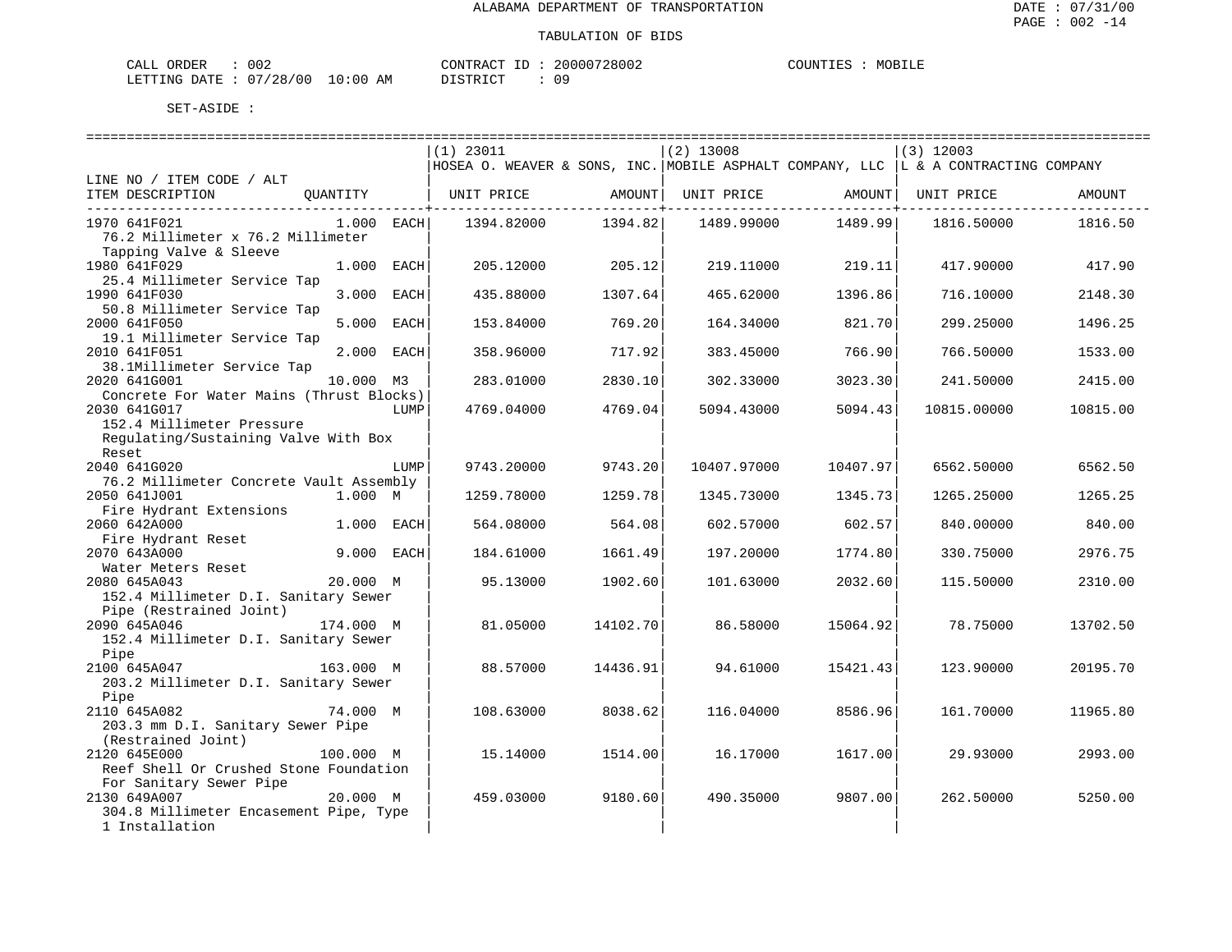| CALL ORDER                       | 002 | CONTRACT ID: | 20000728002 | COUNTIES | MOBILE |
|----------------------------------|-----|--------------|-------------|----------|--------|
| LETTING DATE : 07/28/00 10:00 AM |     | DISTRICT     |             |          |        |

|                                                         |              |      | $(1)$ 23011                                                                          |             | $(2)$ 13008 |          | $(3)$ 12003 |          |
|---------------------------------------------------------|--------------|------|--------------------------------------------------------------------------------------|-------------|-------------|----------|-------------|----------|
|                                                         |              |      | HOSEA O. WEAVER & SONS, INC. MOBILE ASPHALT COMPANY, LLC   L & A CONTRACTING COMPANY |             |             |          |             |          |
| LINE NO / ITEM CODE / ALT                               |              |      |                                                                                      |             |             |          |             |          |
| ITEM DESCRIPTION                                        | OUANTITY     |      | UNIT PRICE                                                                           | AMOUNT      | UNIT PRICE  | AMOUNT   | UNIT PRICE  | AMOUNT   |
|                                                         |              |      |                                                                                      | ----------+ |             |          |             |          |
| 1970 641F021                                            | $1.000$ EACH |      | 1394.82000                                                                           | 1394.82     | 1489.99000  | 1489.99  | 1816.50000  | 1816.50  |
| 76.2 Millimeter x 76.2 Millimeter                       |              |      |                                                                                      |             |             |          |             |          |
| Tapping Valve & Sleeve                                  |              |      |                                                                                      |             |             |          |             |          |
| 1980 641F029                                            | 1,000        | EACH | 205.12000                                                                            | 205.12      | 219.11000   | 219.11   | 417.90000   | 417.90   |
| 25.4 Millimeter Service Tap                             |              |      |                                                                                      |             |             |          |             |          |
| 1990 641F030                                            | 3.000        | EACH | 435.88000                                                                            | 1307.64     | 465.62000   | 1396.86  | 716.10000   | 2148.30  |
| 50.8 Millimeter Service Tap                             |              |      |                                                                                      |             |             |          |             |          |
| 2000 641F050                                            | 5.000        | EACH | 153.84000                                                                            | 769.20      | 164.34000   | 821.70   | 299.25000   | 1496.25  |
| 19.1 Millimeter Service Tap                             |              |      |                                                                                      |             |             |          |             |          |
| 2010 641F051                                            | 2.000        | EACH | 358.96000                                                                            | 717.92      | 383.45000   | 766.90   | 766.50000   | 1533.00  |
| 38.1Millimeter Service Tap                              |              |      |                                                                                      |             |             |          |             |          |
| 2020 641G001                                            | 10.000 M3    |      | 283.01000                                                                            | 2830.10     | 302.33000   | 3023.30  | 241.50000   | 2415.00  |
| Concrete For Water Mains (Thrust Blocks)                |              |      |                                                                                      |             |             |          |             |          |
| 2030 641G017                                            |              | LUMP | 4769.04000                                                                           | 4769.04     | 5094.43000  | 5094.43  | 10815.00000 | 10815.00 |
| 152.4 Millimeter Pressure                               |              |      |                                                                                      |             |             |          |             |          |
| Regulating/Sustaining Valve With Box                    |              |      |                                                                                      |             |             |          |             |          |
| Reset<br>2040 641G020                                   |              |      |                                                                                      |             |             |          |             | 6562.50  |
|                                                         |              | LUMP | 9743.20000                                                                           | 9743.20     | 10407.97000 | 10407.97 | 6562.50000  |          |
| 76.2 Millimeter Concrete Vault Assembly<br>2050 641J001 | 1.000 M      |      | 1259.78000                                                                           | 1259.78     | 1345.73000  | 1345.73  | 1265.25000  | 1265.25  |
|                                                         |              |      |                                                                                      |             |             |          |             |          |
| Fire Hydrant Extensions<br>2060 642A000                 | 1.000 EACH   |      | 564.08000                                                                            | 564.08      | 602.57000   | 602.57   | 840.00000   | 840.00   |
| Fire Hydrant Reset                                      |              |      |                                                                                      |             |             |          |             |          |
| 2070 643A000                                            | 9.000 EACH   |      | 184.61000                                                                            | 1661.49     | 197.20000   | 1774.80  | 330.75000   | 2976.75  |
| Water Meters Reset                                      |              |      |                                                                                      |             |             |          |             |          |
| 2080 645A043                                            | 20.000 M     |      | 95.13000                                                                             | 1902.60     | 101.63000   | 2032.60  | 115.50000   | 2310.00  |
| 152.4 Millimeter D.I. Sanitary Sewer                    |              |      |                                                                                      |             |             |          |             |          |
| Pipe (Restrained Joint)                                 |              |      |                                                                                      |             |             |          |             |          |
| 2090 645A046                                            | 174.000 M    |      | 81.05000                                                                             | 14102.70    | 86.58000    | 15064.92 | 78.75000    | 13702.50 |
| 152.4 Millimeter D.I. Sanitary Sewer                    |              |      |                                                                                      |             |             |          |             |          |
| Pipe                                                    |              |      |                                                                                      |             |             |          |             |          |
| 2100 645A047                                            | 163.000 M    |      | 88.57000                                                                             | 14436.91    | 94.61000    | 15421.43 | 123.90000   | 20195.70 |
| 203.2 Millimeter D.I. Sanitary Sewer                    |              |      |                                                                                      |             |             |          |             |          |
| Pipe                                                    |              |      |                                                                                      |             |             |          |             |          |
| 2110 645A082                                            | 74.000 M     |      | 108.63000                                                                            | 8038.62     | 116.04000   | 8586.96  | 161.70000   | 11965.80 |
| 203.3 mm D.I. Sanitary Sewer Pipe                       |              |      |                                                                                      |             |             |          |             |          |
| (Restrained Joint)                                      |              |      |                                                                                      |             |             |          |             |          |
| 2120 645E000                                            | 100.000 M    |      | 15.14000                                                                             | 1514.00     | 16.17000    | 1617.00  | 29.93000    | 2993.00  |
| Reef Shell Or Crushed Stone Foundation                  |              |      |                                                                                      |             |             |          |             |          |
| For Sanitary Sewer Pipe                                 |              |      |                                                                                      |             |             |          |             |          |
| 2130 649A007                                            | 20.000 M     |      | 459.03000                                                                            | 9180.60     | 490.35000   | 9807.00  | 262.50000   | 5250.00  |
| 304.8 Millimeter Encasement Pipe, Type                  |              |      |                                                                                      |             |             |          |             |          |
| 1 Installation                                          |              |      |                                                                                      |             |             |          |             |          |
|                                                         |              |      |                                                                                      |             |             |          |             |          |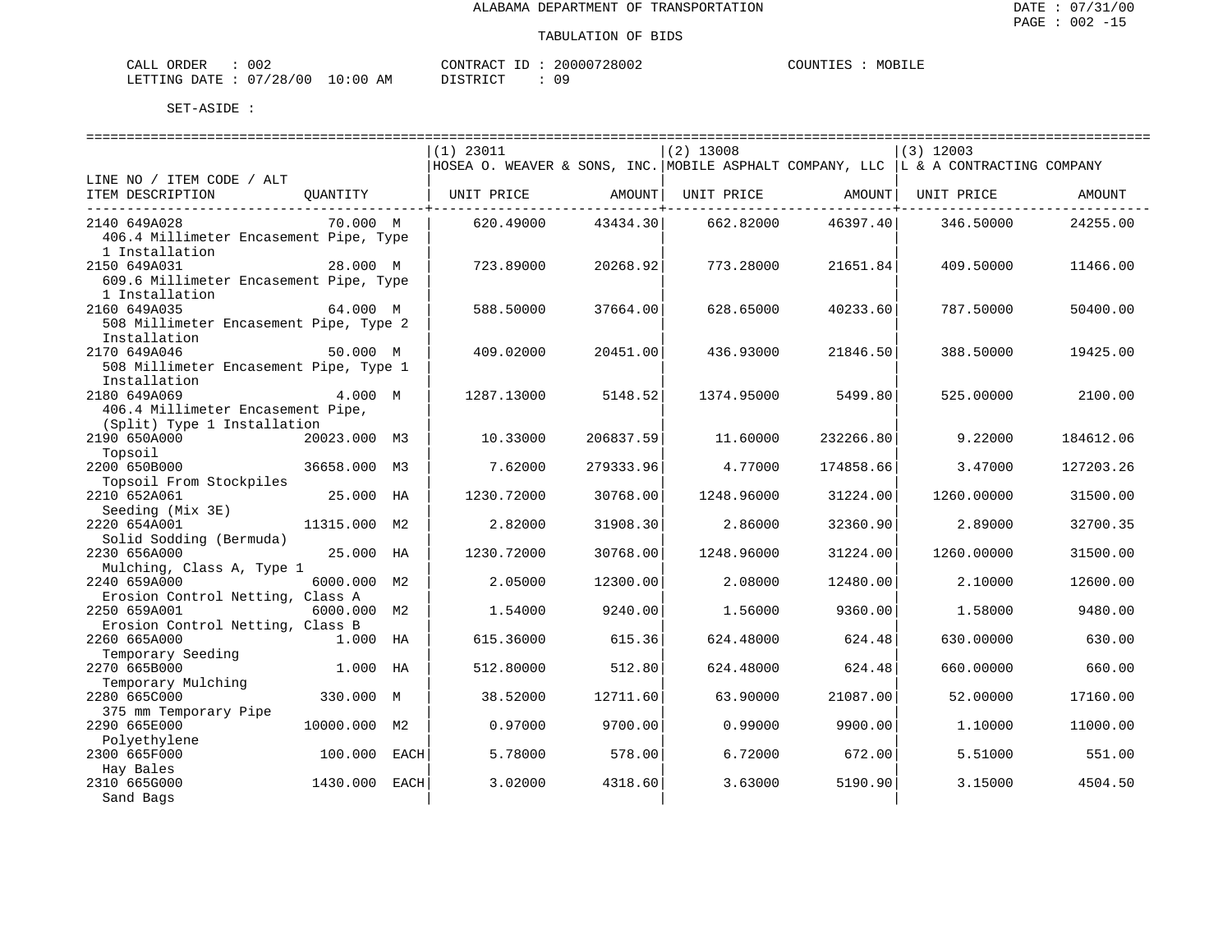| ORDER<br>CALL          | 002 |             | CONTRACT ID: | 20000728002 | COUNTIES | MOBILE |
|------------------------|-----|-------------|--------------|-------------|----------|--------|
| LETTING DATE: 07/28/00 |     | 10:00<br>AM | DISTRICT     |             |          |        |

|                                        |              |      |                                                                                      |           | ============================== |           | =================================== |           |
|----------------------------------------|--------------|------|--------------------------------------------------------------------------------------|-----------|--------------------------------|-----------|-------------------------------------|-----------|
|                                        |              |      | $(1)$ 23011                                                                          |           | $(2)$ 13008                    |           | $(3)$ 12003                         |           |
|                                        |              |      | HOSEA O. WEAVER & SONS, INC. MOBILE ASPHALT COMPANY, LLC   L & A CONTRACTING COMPANY |           |                                |           |                                     |           |
| LINE NO / ITEM CODE / ALT              |              |      |                                                                                      |           |                                |           |                                     |           |
| ITEM DESCRIPTION                       | OUANTITY     |      | UNIT PRICE                                                                           | AMOUNT    | UNIT PRICE                     | AMOUNT    | UNIT PRICE                          | AMOUNT    |
|                                        |              |      |                                                                                      |           |                                |           |                                     |           |
| 2140 649A028                           | 70.000 M     |      | 620.49000                                                                            | 43434.30  | 662.82000                      | 46397.40  | 346.50000                           | 24255.00  |
| 406.4 Millimeter Encasement Pipe, Type |              |      |                                                                                      |           |                                |           |                                     |           |
| 1 Installation                         |              |      |                                                                                      |           |                                |           |                                     |           |
| 2150 649A031                           | 28.000 M     |      | 723.89000                                                                            | 20268.92  | 773.28000                      | 21651.84  | 409.50000                           | 11466.00  |
| 609.6 Millimeter Encasement Pipe, Type |              |      |                                                                                      |           |                                |           |                                     |           |
| 1 Installation                         |              |      |                                                                                      |           |                                |           |                                     |           |
|                                        | 64.000 M     |      |                                                                                      |           | 628.65000                      |           | 787.50000                           |           |
| 2160 649A035                           |              |      | 588.50000                                                                            | 37664.00  |                                | 40233.60  |                                     | 50400.00  |
| 508 Millimeter Encasement Pipe, Type 2 |              |      |                                                                                      |           |                                |           |                                     |           |
| Installation                           |              |      |                                                                                      |           |                                |           |                                     |           |
| 2170 649A046                           | 50.000 M     |      | 409.02000                                                                            | 20451.00  | 436.93000                      | 21846.50  | 388.50000                           | 19425.00  |
| 508 Millimeter Encasement Pipe, Type 1 |              |      |                                                                                      |           |                                |           |                                     |           |
| Installation                           |              |      |                                                                                      |           |                                |           |                                     |           |
| 2180 649A069                           | 4.000 M      |      | 1287.13000                                                                           | 5148.52   | 1374.95000                     | 5499.80   | 525.00000                           | 2100.00   |
| 406.4 Millimeter Encasement Pipe,      |              |      |                                                                                      |           |                                |           |                                     |           |
| (Split) Type 1 Installation            |              |      |                                                                                      |           |                                |           |                                     |           |
| 2190 650A000                           | 20023.000 M3 |      | 10.33000                                                                             | 206837.59 | 11.60000                       | 232266.80 | 9.22000                             | 184612.06 |
| Topsoil                                |              |      |                                                                                      |           |                                |           |                                     |           |
| 2200 650B000                           | 36658.000 M3 |      | 7.62000                                                                              | 279333.96 | 4.77000                        | 174858.66 | 3.47000                             | 127203.26 |
| Topsoil From Stockpiles                |              |      |                                                                                      |           |                                |           |                                     |           |
| 2210 652A061                           | 25.000 HA    |      | 1230.72000                                                                           | 30768.00  | 1248.96000                     | 31224.00  | 1260.00000                          | 31500.00  |
| Seeding (Mix 3E)                       |              |      |                                                                                      |           |                                |           |                                     |           |
| 2220 654A001                           | 11315.000 M2 |      | 2.82000                                                                              | 31908.30  | 2.86000                        | 32360.90  | 2.89000                             | 32700.35  |
| Solid Sodding (Bermuda)                |              |      |                                                                                      |           |                                |           |                                     |           |
| 2230 656A000                           | 25.000 HA    |      | 1230.72000                                                                           | 30768.00  | 1248.96000                     | 31224.00  | 1260.00000                          | 31500.00  |
| Mulching, Class A, Type 1              |              |      |                                                                                      |           |                                |           |                                     |           |
| 2240 659A000                           | 6000.000 M2  |      | 2.05000                                                                              | 12300.00  |                                | 12480.00  |                                     |           |
| Erosion Control Netting, Class A       |              |      |                                                                                      |           | 2.08000                        |           | 2.10000                             | 12600.00  |
|                                        |              |      |                                                                                      |           |                                |           |                                     |           |
| 2250 659A001                           | 6000.000 M2  |      | 1.54000                                                                              | 9240.00   | 1.56000                        | 9360.00   | 1.58000                             | 9480.00   |
| Erosion Control Netting, Class B       |              |      |                                                                                      |           |                                |           |                                     |           |
| 2260 665A000                           | 1.000        | HA   | 615.36000                                                                            | 615.36    | 624.48000                      | 624.48    | 630.00000                           | 630.00    |
| Temporary Seeding                      |              |      |                                                                                      |           |                                |           |                                     |           |
| 2270 665B000                           | 1.000 HA     |      | 512.80000                                                                            | 512.80    | 624.48000                      | 624.48    | 660.00000                           | 660.00    |
| Temporary Mulching                     |              |      |                                                                                      |           |                                |           |                                     |           |
| 2280 665C000                           | 330.000 M    |      | 38.52000                                                                             | 12711.60  | 63.90000                       | 21087.00  | 52.00000                            | 17160.00  |
| 375 mm Temporary Pipe                  |              |      |                                                                                      |           |                                |           |                                     |           |
| 2290 665E000                           | 10000.000    | M2   | 0.97000                                                                              | 9700.00   | 0.99000                        | 9900.00   | 1.10000                             | 11000.00  |
| Polyethylene                           |              |      |                                                                                      |           |                                |           |                                     |           |
| 2300 665F000                           | 100.000      | EACH | 5.78000                                                                              | 578.00    | 6.72000                        | 672.00    | 5.51000                             | 551.00    |
| Hay Bales                              |              |      |                                                                                      |           |                                |           |                                     |           |
| 2310 665G000                           | 1430.000     | EACH | 3.02000                                                                              | 4318.60   | 3.63000                        | 5190.90   | 3.15000                             | 4504.50   |
| Sand Bags                              |              |      |                                                                                      |           |                                |           |                                     |           |
|                                        |              |      |                                                                                      |           |                                |           |                                     |           |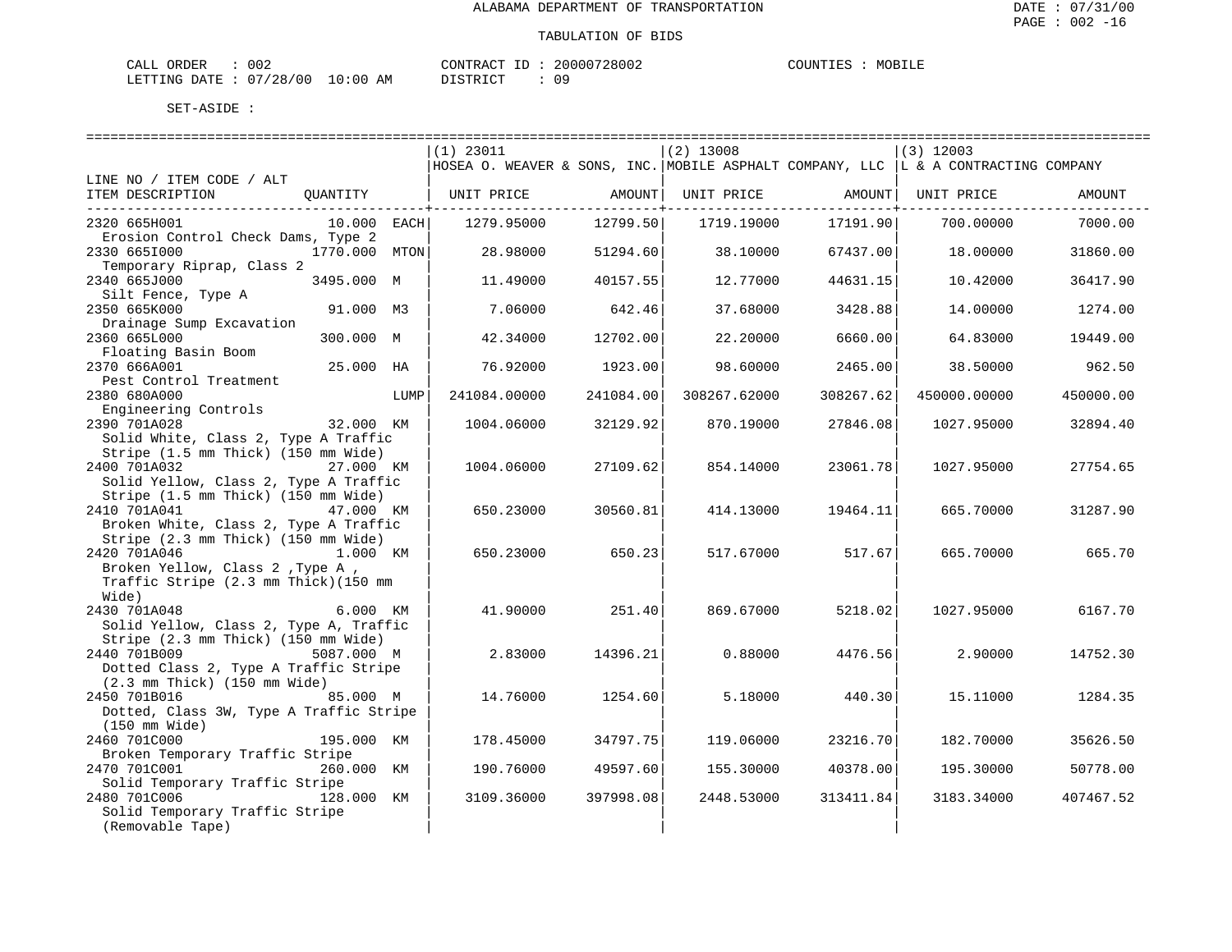| ORDER<br>CALL          | 002 |             | CONTRACT ID: | 20000728002 | COUNTIES | MOBILE |
|------------------------|-----|-------------|--------------|-------------|----------|--------|
| LETTING DATE: 07/28/00 |     | 10:00<br>AM | DISTRICT     |             |          |        |

|                                                  |               |      | $(1)$ 23011                                                                         |                         | $(2)$ 13008  |                            | (3) 12003    |           |
|--------------------------------------------------|---------------|------|-------------------------------------------------------------------------------------|-------------------------|--------------|----------------------------|--------------|-----------|
|                                                  |               |      | HOSEA O. WEAVER & SONS, INC. MOBILE ASPHALT COMPANY, LLC  L & A CONTRACTING COMPANY |                         |              |                            |              |           |
| LINE NO / ITEM CODE / ALT                        |               |      |                                                                                     |                         |              |                            |              |           |
| ITEM DESCRIPTION                                 | OUANTITY      |      | UNIT PRICE                                                                          | AMOUNT<br>-----------+- | UNIT PRICE   | AMOUNT  <br>-----------+-- | UNIT PRICE   | AMOUNT    |
| 2320 665H001                                     | $10.000$ EACH |      | 1279.95000                                                                          | 12799.50                | 1719.19000   | 17191.90                   | 700.00000    | 7000.00   |
| Erosion Control Check Dams, Type 2               |               |      |                                                                                     |                         |              |                            |              |           |
| 2330 6651000                                     | 1770.000 MTON |      | 28.98000                                                                            | 51294.60                | 38.10000     | 67437.00                   | 18.00000     | 31860.00  |
| Temporary Riprap, Class 2                        |               |      |                                                                                     |                         |              |                            |              |           |
| 2340 665J000                                     | 3495.000 M    |      | 11.49000                                                                            | 40157.55                | 12.77000     | 44631.15                   | 10.42000     | 36417.90  |
| Silt Fence, Type A                               |               |      |                                                                                     |                         |              |                            |              |           |
| 2350 665K000                                     | 91.000 M3     |      | 7.06000                                                                             | 642.46                  | 37.68000     | 3428.88                    | 14.00000     | 1274.00   |
| Drainage Sump Excavation<br>2360 665L000         |               |      |                                                                                     |                         |              |                            |              |           |
| Floating Basin Boom                              | 300.000 M     |      | 42.34000                                                                            | 12702.00                | 22.20000     | 6660.00                    | 64.83000     | 19449.00  |
| 2370 666A001                                     | 25.000 HA     |      | 76.92000                                                                            | 1923.00                 | 98.60000     | 2465.00                    | 38.50000     | 962.50    |
| Pest Control Treatment                           |               |      |                                                                                     |                         |              |                            |              |           |
| 2380 680A000                                     |               | LUMP | 241084.00000                                                                        | 241084.00               | 308267.62000 | 308267.62                  | 450000.00000 | 450000.00 |
| Engineering Controls                             |               |      |                                                                                     |                         |              |                            |              |           |
| 2390 701A028                                     | 32.000 KM     |      | 1004.06000                                                                          | 32129.92                | 870.19000    | 27846.08                   | 1027.95000   | 32894.40  |
| Solid White, Class 2, Type A Traffic             |               |      |                                                                                     |                         |              |                            |              |           |
| Stripe (1.5 mm Thick) (150 mm Wide)              |               |      |                                                                                     |                         |              |                            |              |           |
| 2400 701A032                                     | 27.000 KM     |      | 1004.06000                                                                          | 27109.62                | 854.14000    | 23061.78                   | 1027.95000   | 27754.65  |
| Solid Yellow, Class 2, Type A Traffic            |               |      |                                                                                     |                         |              |                            |              |           |
| Stripe (1.5 mm Thick) (150 mm Wide)              |               |      |                                                                                     |                         |              |                            |              |           |
| 2410 701A041                                     | 47.000 KM     |      | 650.23000                                                                           | 30560.81                | 414.13000    | 19464.11                   | 665.70000    | 31287.90  |
| Broken White, Class 2, Type A Traffic            |               |      |                                                                                     |                         |              |                            |              |           |
| Stripe (2.3 mm Thick) (150 mm Wide)              |               |      |                                                                                     |                         |              |                            |              |           |
| 2420 701A046                                     | 1.000 KM      |      | 650.23000                                                                           | 650.23                  | 517.67000    | 517.67                     | 665.70000    | 665.70    |
| Broken Yellow, Class 2, Type A,                  |               |      |                                                                                     |                         |              |                            |              |           |
| Traffic Stripe (2.3 mm Thick) (150 mm            |               |      |                                                                                     |                         |              |                            |              |           |
| Wide)                                            |               |      |                                                                                     |                         |              |                            |              |           |
| 2430 701A048                                     | 6.000 KM      |      | 41.90000                                                                            | 251.40                  | 869.67000    | 5218.02                    | 1027.95000   | 6167.70   |
| Solid Yellow, Class 2, Type A, Traffic           |               |      |                                                                                     |                         |              |                            |              |           |
| Stripe (2.3 mm Thick) (150 mm Wide)              |               |      |                                                                                     |                         |              |                            |              |           |
| 2440 701B009<br>5087.000 M                       |               |      | 2.83000                                                                             | 14396.21                | 0.88000      | 4476.56                    | 2.90000      | 14752.30  |
| Dotted Class 2, Type A Traffic Stripe            |               |      |                                                                                     |                         |              |                            |              |           |
| $(2.3 \text{ mm}$ Thick) $(150 \text{ mm}$ Wide) |               |      |                                                                                     |                         |              |                            |              |           |
| 2450 701B016                                     | 85.000 M      |      | 14.76000                                                                            | 1254.60                 | 5.18000      | 440.30                     | 15.11000     | 1284.35   |
| Dotted, Class 3W, Type A Traffic Stripe          |               |      |                                                                                     |                         |              |                            |              |           |
| (150 mm Wide)                                    |               |      |                                                                                     |                         |              |                            |              |           |
| 2460 701C000                                     | 195.000 KM    |      | 178.45000                                                                           | 34797.75                | 119.06000    | 23216.70                   | 182.70000    | 35626.50  |
| Broken Temporary Traffic Stripe                  |               |      |                                                                                     |                         |              |                            |              |           |
| 2470 701C001<br>Solid Temporary Traffic Stripe   | 260.000 KM    |      | 190.76000                                                                           | 49597.60                | 155.30000    | 40378.00                   | 195.30000    | 50778.00  |
| 2480 701C006                                     | 128.000 KM    |      | 3109.36000                                                                          | 397998.08               | 2448.53000   | 313411.84                  | 3183.34000   | 407467.52 |
| Solid Temporary Traffic Stripe                   |               |      |                                                                                     |                         |              |                            |              |           |
| (Removable Tape)                                 |               |      |                                                                                     |                         |              |                            |              |           |
|                                                  |               |      |                                                                                     |                         |              |                            |              |           |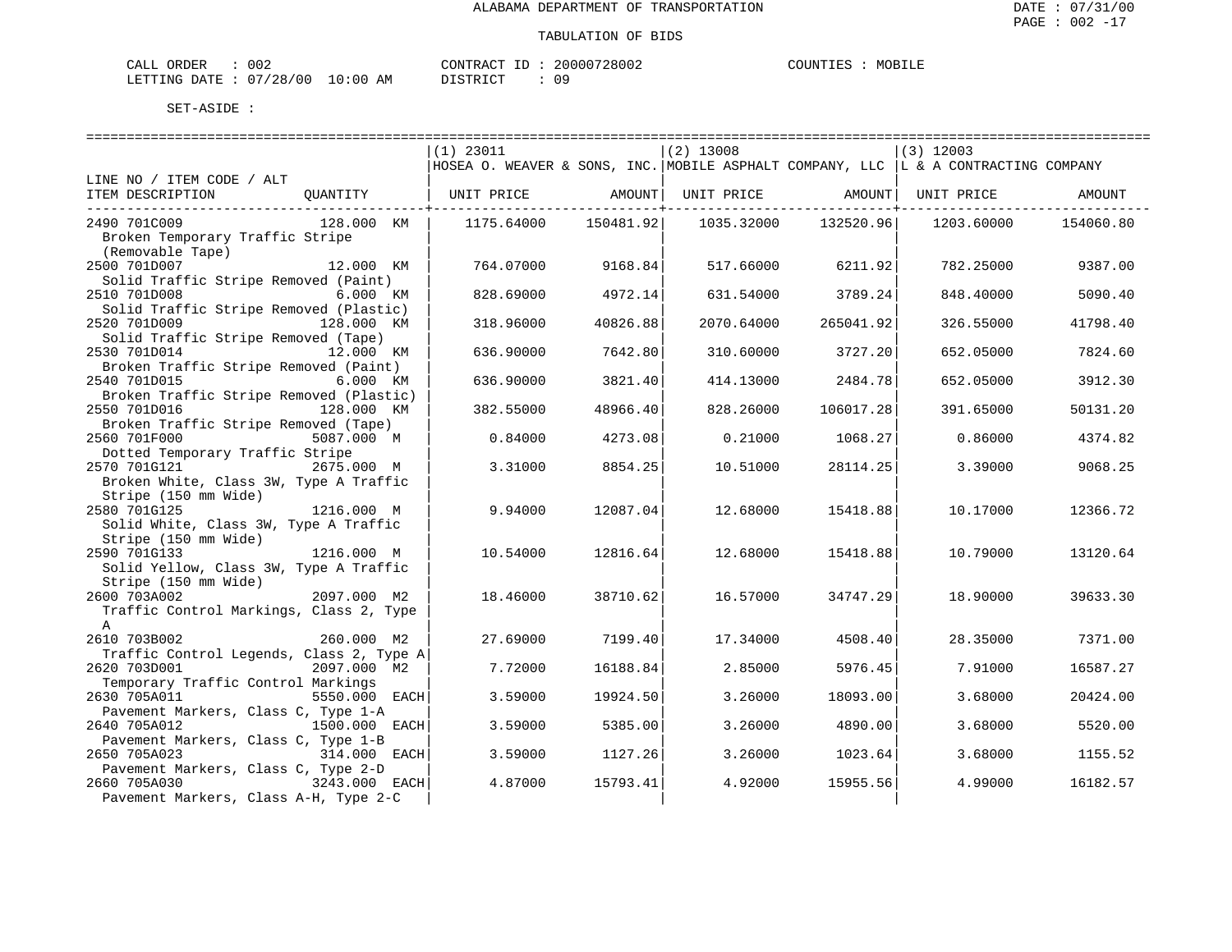| CALL ORDER                      | 002 |          | CONTRACT ID: 20000728002 | COUNTIES | MOBILE |
|---------------------------------|-----|----------|--------------------------|----------|--------|
| LETTING DATE: 07/28/00 10:00 AM |     | DISTRICT | n c                      |          |        |

ULT : 09

|                                          |                                                                                     |           | ============================= |                   |             | ================================= |
|------------------------------------------|-------------------------------------------------------------------------------------|-----------|-------------------------------|-------------------|-------------|-----------------------------------|
|                                          | $(1)$ 23011                                                                         |           | $(2)$ 13008                   |                   | $(3)$ 12003 |                                   |
|                                          | HOSEA O. WEAVER & SONS, INC. MOBILE ASPHALT COMPANY, LLC  L & A CONTRACTING COMPANY |           |                               |                   |             |                                   |
| LINE NO / ITEM CODE / ALT                |                                                                                     |           |                               |                   |             |                                   |
| ITEM DESCRIPTION<br>OUANTITY             | UNIT PRICE                                                                          | AMOUNT    |                               | UNIT PRICE AMOUNT | UNIT PRICE  | AMOUNT                            |
|                                          |                                                                                     |           |                               |                   |             |                                   |
| 2490 701C009<br>128.000 KM               | 1175.64000                                                                          | 150481.92 | 1035.32000                    | 132520.96         | 1203.60000  | 154060.80                         |
| Broken Temporary Traffic Stripe          |                                                                                     |           |                               |                   |             |                                   |
| (Removable Tape)                         |                                                                                     |           |                               |                   |             |                                   |
| 2500 701D007<br>12.000 KM                | 764.07000                                                                           | 9168.84   | 517.66000                     | 6211.92           | 782.25000   | 9387.00                           |
| Solid Traffic Stripe Removed (Paint)     |                                                                                     |           |                               |                   |             |                                   |
| 2510 701D008<br>6.000 KM                 | 828.69000                                                                           | 4972.14   | 631.54000                     | 3789.24           | 848.40000   | 5090.40                           |
| Solid Traffic Stripe Removed (Plastic)   |                                                                                     |           |                               |                   |             |                                   |
|                                          |                                                                                     |           |                               |                   |             |                                   |
| 2520 701D009<br>128.000 KM               | 318.96000                                                                           | 40826.88  | 2070.64000                    | 265041.92         | 326.55000   | 41798.40                          |
| Solid Traffic Stripe Removed (Tape)      |                                                                                     |           |                               |                   |             |                                   |
| 2530 701D014<br>12.000 KM                | 636.90000                                                                           | 7642.80   | 310.60000                     | 3727.20           | 652.05000   | 7824.60                           |
| Broken Traffic Stripe Removed (Paint)    |                                                                                     |           |                               |                   |             |                                   |
| 2540 701D015<br>6.000 KM                 | 636.90000                                                                           | 3821.40   | 414.13000                     | 2484.78           | 652.05000   | 3912.30                           |
| Broken Traffic Stripe Removed (Plastic)  |                                                                                     |           |                               |                   |             |                                   |
| 2550 701D016<br>128.000 KM               | 382.55000                                                                           | 48966.40  | 828.26000                     | 106017.28         | 391.65000   | 50131.20                          |
| Broken Traffic Stripe Removed (Tape)     |                                                                                     |           |                               |                   |             |                                   |
| 2560 701F000<br>5087.000 M               | 0.84000                                                                             | 4273.08   | 0.21000                       | 1068.27           | 0.86000     | 4374.82                           |
| Dotted Temporary Traffic Stripe          |                                                                                     |           |                               |                   |             |                                   |
| 2570 701G121<br>2675.000 M               | 3.31000                                                                             | 8854.25   | 10.51000                      | 28114.25          | 3.39000     | 9068.25                           |
| Broken White, Class 3W, Type A Traffic   |                                                                                     |           |                               |                   |             |                                   |
| Stripe (150 mm Wide)                     |                                                                                     |           |                               |                   |             |                                   |
| 2580 701G125<br>1216.000 M               | 9.94000                                                                             | 12087.04  | 12.68000                      | 15418.88          | 10.17000    | 12366.72                          |
| Solid White, Class 3W, Type A Traffic    |                                                                                     |           |                               |                   |             |                                   |
| Stripe (150 mm Wide)                     |                                                                                     |           |                               |                   |             |                                   |
| 1216.000 M<br>2590 701G133               | 10.54000                                                                            | 12816.64  | 12.68000                      | 15418.88          | 10.79000    | 13120.64                          |
| Solid Yellow, Class 3W, Type A Traffic   |                                                                                     |           |                               |                   |             |                                   |
|                                          |                                                                                     |           |                               |                   |             |                                   |
| Stripe (150 mm Wide)                     |                                                                                     |           |                               |                   |             |                                   |
| 2600 703A002<br>2097.000 M2              | 18.46000                                                                            | 38710.62  | 16.57000                      | 34747.29          | 18.90000    | 39633.30                          |
| Traffic Control Markings, Class 2, Type  |                                                                                     |           |                               |                   |             |                                   |
| $\mathbb{A}$                             |                                                                                     |           |                               |                   |             |                                   |
| 2610 703B002<br>260.000 M2               | 27.69000                                                                            | 7199.40   | 17.34000                      | 4508.40           | 28.35000    | 7371.00                           |
| Traffic Control Legends, Class 2, Type A |                                                                                     |           |                               |                   |             |                                   |
| 2620 703D001<br>2097.000 M2              | 7.72000                                                                             | 16188.84  | 2.85000                       | 5976.45           | 7.91000     | 16587.27                          |
| Temporary Traffic Control Markings       |                                                                                     |           |                               |                   |             |                                   |
| 2630 705A011<br>5550.000 EACH            | 3.59000                                                                             | 19924.50  | 3.26000                       | 18093.00          | 3.68000     | 20424.00                          |
| Pavement Markers, Class C, Type 1-A      |                                                                                     |           |                               |                   |             |                                   |
| 1500.000 EACH<br>2640 705A012            | 3.59000                                                                             | 5385.00   | 3.26000                       | 4890.00           | 3.68000     | 5520.00                           |
| Pavement Markers, Class C, Type 1-B      |                                                                                     |           |                               |                   |             |                                   |
| 2650 705A023<br>314.000 EACH             | 3.59000                                                                             | 1127.26   | 3.26000                       | 1023.64           | 3.68000     | 1155.52                           |
| Pavement Markers, Class C, Type 2-D      |                                                                                     |           |                               |                   |             |                                   |
| 2660 705A030<br>3243.000 EACH            | 4.87000                                                                             | 15793.41  | 4.92000                       | 15955.56          | 4.99000     | 16182.57                          |
| Pavement Markers, Class A-H, Type 2-C    |                                                                                     |           |                               |                   |             |                                   |
|                                          |                                                                                     |           |                               |                   |             |                                   |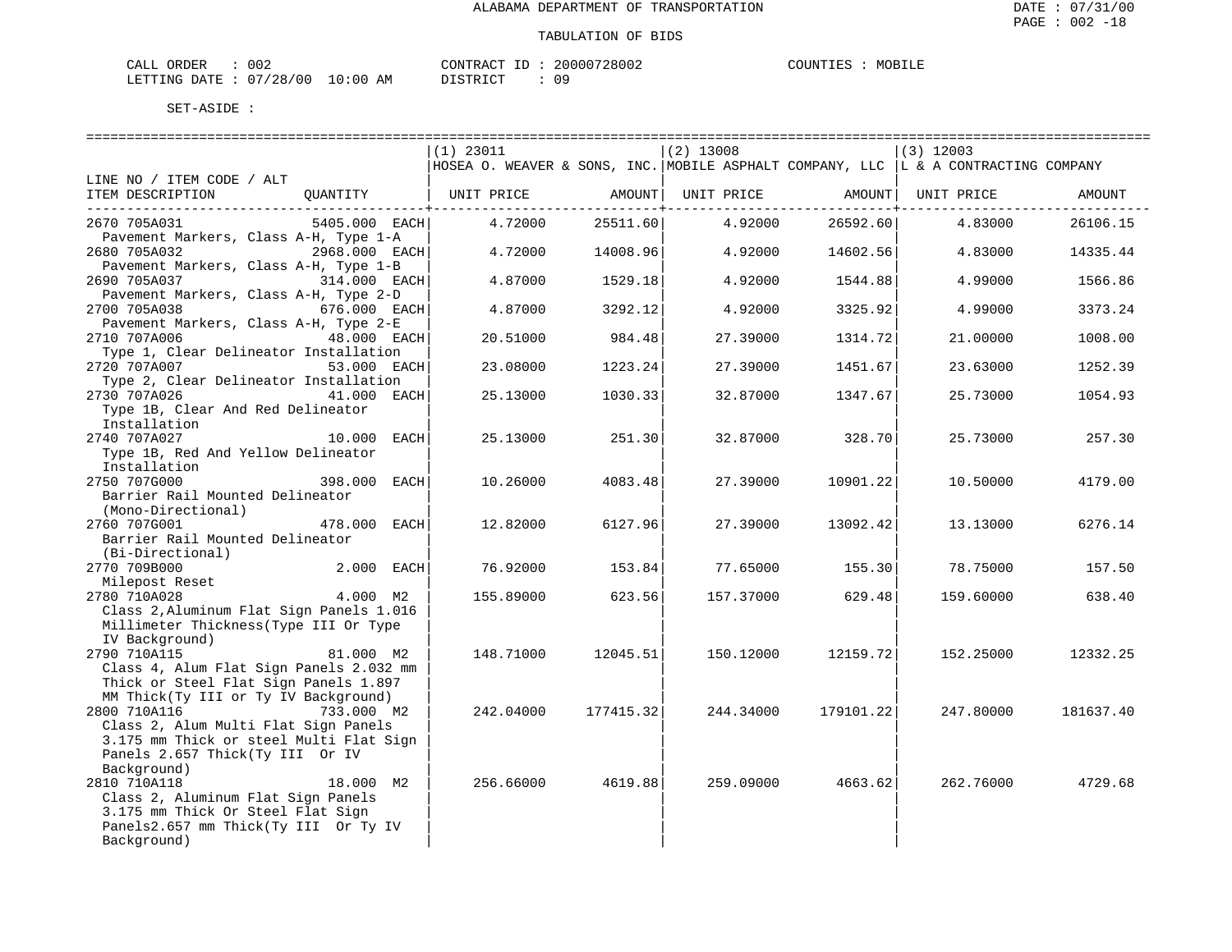| CALL ORDER                       | 002 |          | CONTRACT ID: 20000728002 | COUNTIES | MOBILE |
|----------------------------------|-----|----------|--------------------------|----------|--------|
| LETTING DATE : 07/28/00 10:00 AM |     | DISTRICT |                          |          |        |

|                                          |               | $(1)$ 23011                                                                         |           | $(2)$ 13008 |                   | $(3)$ 12003 |           |
|------------------------------------------|---------------|-------------------------------------------------------------------------------------|-----------|-------------|-------------------|-------------|-----------|
|                                          |               | HOSEA O. WEAVER & SONS, INC. MOBILE ASPHALT COMPANY, LLC  L & A CONTRACTING COMPANY |           |             |                   |             |           |
| LINE NO / ITEM CODE / ALT                |               |                                                                                     |           |             |                   |             |           |
| ITEM DESCRIPTION                         | QUANTITY      | UNIT PRICE AMOUNT                                                                   |           |             | UNIT PRICE AMOUNT | UNIT PRICE  | AMOUNT    |
|                                          |               |                                                                                     |           |             |                   |             |           |
| 2670 705A031                             | 5405.000 EACH | 4.72000                                                                             | 25511.60  | 4.92000     | 26592.60          | 4.83000     | 26106.15  |
| Pavement Markers, Class A-H, Type 1-A    |               |                                                                                     |           |             |                   |             |           |
| 2680 705A032<br>2968.000 EACH            |               | 4.72000                                                                             | 14008.96  | 4.92000     | 14602.56          | 4.83000     | 14335.44  |
| Pavement Markers, Class A-H, Type 1-B    |               |                                                                                     |           |             |                   |             |           |
| 2690 705A037                             | 314.000 EACH  | 4.87000                                                                             | 1529.18   | 4.92000     | 1544.88           | 4.99000     | 1566.86   |
| Pavement Markers, Class A-H, Type 2-D    |               |                                                                                     |           |             |                   |             |           |
| 2700 705A038                             | 676.000 EACH  | 4.87000                                                                             | 3292.12   | 4.92000     | 3325.92           | 4.99000     | 3373.24   |
| Pavement Markers, Class A-H, Type 2-E    |               |                                                                                     |           |             |                   |             |           |
| 2710 707A006                             | 48.000 EACH   | 20.51000                                                                            | 984.48    | 27.39000    | 1314.72           | 21.00000    | 1008.00   |
| Type 1, Clear Delineator Installation    |               |                                                                                     |           |             |                   |             |           |
| 2720 707A007                             | 53.000 EACH   | 23.08000                                                                            | 1223.24   | 27.39000    | 1451.67           | 23.63000    | 1252.39   |
| Type 2, Clear Delineator Installation    |               |                                                                                     |           |             |                   |             |           |
| 2730 707A026                             | 41.000 EACH   | 25.13000                                                                            | 1030.33   | 32.87000    | 1347.67           | 25.73000    | 1054.93   |
| Type 1B, Clear And Red Delineator        |               |                                                                                     |           |             |                   |             |           |
| Installation                             |               |                                                                                     |           |             |                   |             |           |
| 2740 707A027                             | 10.000 EACH   | 25.13000                                                                            | 251.30    | 32.87000    | 328.70            | 25.73000    | 257.30    |
| Type 1B, Red And Yellow Delineator       |               |                                                                                     |           |             |                   |             |           |
| Installation                             |               |                                                                                     |           |             |                   |             |           |
| 2750 707G000                             | 398.000 EACH  | 10.26000                                                                            | 4083.48   | 27.39000    | 10901.22          | 10.50000    | 4179.00   |
| Barrier Rail Mounted Delineator          |               |                                                                                     |           |             |                   |             |           |
| (Mono-Directional)<br>2760 707G001       |               |                                                                                     |           |             |                   |             |           |
|                                          | 478.000 EACH  | 12.82000                                                                            | 6127.96   | 27.39000    | 13092.42          | 13.13000    | 6276.14   |
| Barrier Rail Mounted Delineator          |               |                                                                                     |           |             |                   |             |           |
| (Bi-Directional)                         |               |                                                                                     |           |             |                   |             |           |
| 2770 709B000                             | 2.000 EACH    | 76.92000                                                                            | 153.84    | 77.65000    | 155.30            | 78.75000    | 157.50    |
| 2780 710A028                             | 4.000 M2      | 155.89000                                                                           | 623.56    | 157.37000   | 629.48            | 159.60000   | 638.40    |
| Class 2, Aluminum Flat Sign Panels 1.016 |               |                                                                                     |           |             |                   |             |           |
| Millimeter Thickness (Type III Or Type   |               |                                                                                     |           |             |                   |             |           |
| IV Background)                           |               |                                                                                     |           |             |                   |             |           |
| 2790 710A115                             | 81.000 M2     | 148.71000                                                                           | 12045.51  | 150.12000   | 12159.72          | 152.25000   | 12332.25  |
| Class 4, Alum Flat Sign Panels 2.032 mm  |               |                                                                                     |           |             |                   |             |           |
| Thick or Steel Flat Sign Panels 1.897    |               |                                                                                     |           |             |                   |             |           |
| MM Thick(Ty III or Ty IV Background)     |               |                                                                                     |           |             |                   |             |           |
| 2800 710A116                             | 733.000 M2    | 242.04000                                                                           | 177415.32 | 244.34000   | 179101.22         | 247.80000   | 181637.40 |
| Class 2, Alum Multi Flat Sign Panels     |               |                                                                                     |           |             |                   |             |           |
| 3.175 mm Thick or steel Multi Flat Sign  |               |                                                                                     |           |             |                   |             |           |
| Panels 2.657 Thick(Ty III Or IV          |               |                                                                                     |           |             |                   |             |           |
| Background)                              |               |                                                                                     |           |             |                   |             |           |
| 2810 710A118                             | 18.000 M2     | 256.66000                                                                           | 4619.88   | 259.09000   | 4663.62           | 262.76000   | 4729.68   |
| Class 2, Aluminum Flat Sign Panels       |               |                                                                                     |           |             |                   |             |           |
| 3.175 mm Thick Or Steel Flat Sign        |               |                                                                                     |           |             |                   |             |           |
| Panels2.657 mm Thick(Ty III Or Ty IV     |               |                                                                                     |           |             |                   |             |           |
| Background)                              |               |                                                                                     |           |             |                   |             |           |
|                                          |               |                                                                                     |           |             |                   |             |           |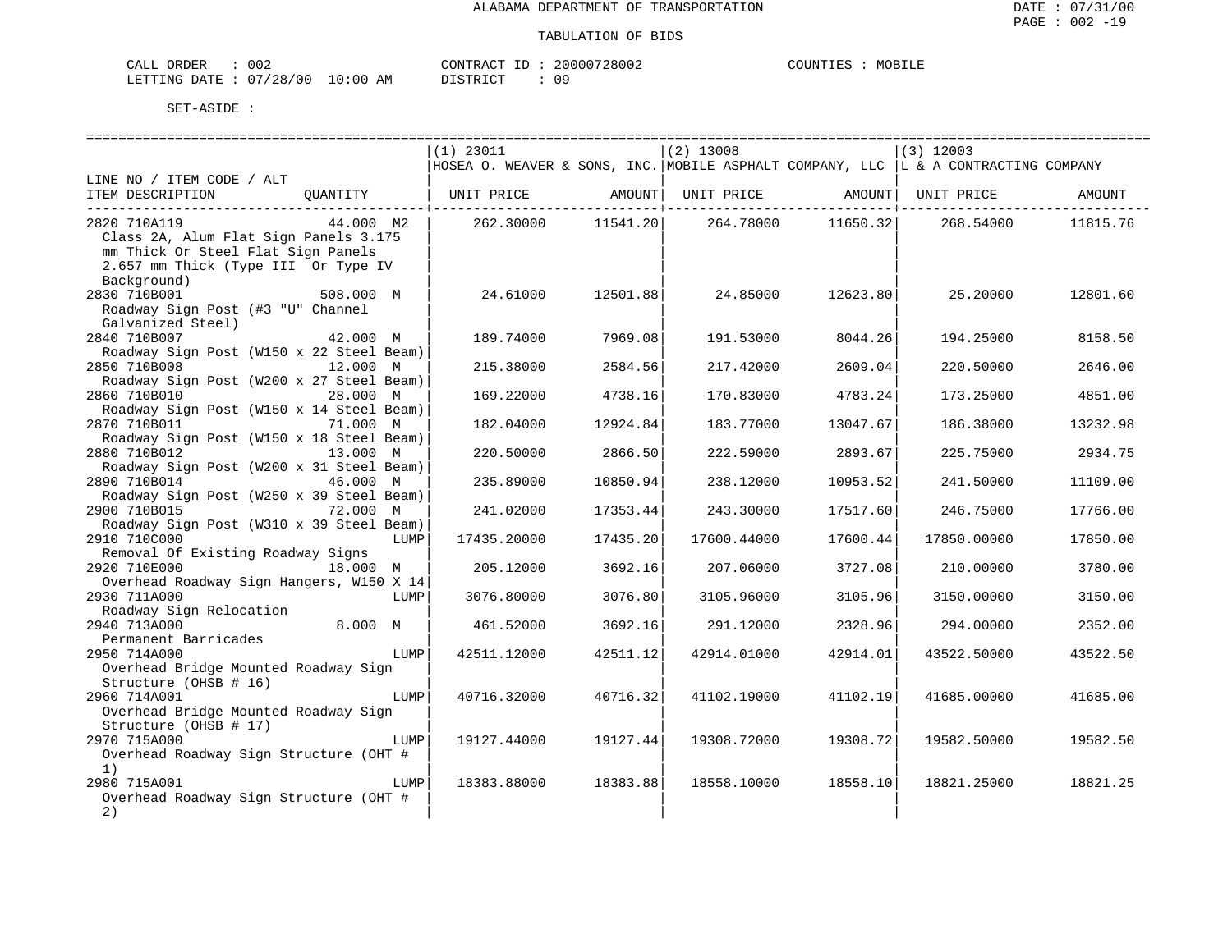| CALL ORDER                       | 002 |          |  | CONTRACT ID: 20000728002 | COUNTIES | MOBILE |
|----------------------------------|-----|----------|--|--------------------------|----------|--------|
| LETTING DATE : 07/28/00 10:00 AM |     | DISTRICT |  |                          |          |        |

|                                          |           |      | $(1)$ 23011                                                                         |                          | $(2)$ 13008 |                     | $(3)$ 12003                  |          |
|------------------------------------------|-----------|------|-------------------------------------------------------------------------------------|--------------------------|-------------|---------------------|------------------------------|----------|
|                                          |           |      | HOSEA O. WEAVER & SONS, INC. MOBILE ASPHALT COMPANY, LLC  L & A CONTRACTING COMPANY |                          |             |                     |                              |          |
| LINE NO / ITEM CODE / ALT                |           |      |                                                                                     |                          |             |                     |                              |          |
| ITEM DESCRIPTION                         | OUANTITY  |      | UNIT PRICE                                                                          | AMOUNT                   |             |                     | UNIT PRICE AMOUNT UNIT PRICE | AMOUNT   |
|                                          |           |      |                                                                                     | ---------------+-------- |             | ----------------+-- |                              |          |
| 2820 710A119                             | 44.000 M2 |      | 262.30000                                                                           | 11541.20                 | 264.78000   | 11650.32            | 268.54000                    | 11815.76 |
| Class 2A, Alum Flat Sign Panels 3.175    |           |      |                                                                                     |                          |             |                     |                              |          |
| mm Thick Or Steel Flat Sign Panels       |           |      |                                                                                     |                          |             |                     |                              |          |
| 2.657 mm Thick (Type III Or Type IV      |           |      |                                                                                     |                          |             |                     |                              |          |
| Background)                              |           |      |                                                                                     |                          |             |                     |                              |          |
| 2830 710B001                             | 508.000 M |      | 24.61000                                                                            | 12501.88                 | 24.85000    | 12623.80            | 25.20000                     | 12801.60 |
| Roadway Sign Post (#3 "U" Channel        |           |      |                                                                                     |                          |             |                     |                              |          |
| Galvanized Steel)                        |           |      |                                                                                     |                          |             |                     |                              |          |
| 2840 710B007                             | 42.000 M  |      |                                                                                     |                          |             |                     |                              |          |
|                                          |           |      | 189.74000                                                                           | 7969.08                  | 191.53000   | 8044.26             | 194.25000                    | 8158.50  |
| Roadway Sign Post (W150 x 22 Steel Beam) |           |      |                                                                                     |                          |             |                     |                              |          |
| 2850 710B008                             | 12.000 M  |      | 215.38000                                                                           | 2584.56                  | 217.42000   | 2609.04             | 220.50000                    | 2646.00  |
| Roadway Sign Post (W200 x 27 Steel Beam) |           |      |                                                                                     |                          |             |                     |                              |          |
| 2860 710B010                             | 28.000 M  |      | 169.22000                                                                           | 4738.16                  | 170.83000   | 4783.24             | 173.25000                    | 4851.00  |
| Roadway Sign Post (W150 x 14 Steel Beam) |           |      |                                                                                     |                          |             |                     |                              |          |
| 2870 710B011                             | 71.000 M  |      | 182.04000                                                                           | 12924.84                 | 183.77000   | 13047.67            | 186.38000                    | 13232.98 |
| Roadway Sign Post (W150 x 18 Steel Beam) |           |      |                                                                                     |                          |             |                     |                              |          |
| 2880 710B012                             | 13.000 M  |      | 220.50000                                                                           | 2866.50                  | 222.59000   | 2893.67             | 225.75000                    | 2934.75  |
| Roadway Sign Post (W200 x 31 Steel Beam) |           |      |                                                                                     |                          |             |                     |                              |          |
| 2890 710B014                             | 46.000 M  |      | 235.89000                                                                           | 10850.94                 | 238.12000   | 10953.52            | 241.50000                    | 11109.00 |
| Roadway Sign Post (W250 x 39 Steel Beam) |           |      |                                                                                     |                          |             |                     |                              |          |
| 2900 710B015                             | 72.000 M  |      | 241.02000                                                                           | 17353.44                 | 243.30000   | 17517.60            | 246.75000                    | 17766.00 |
| Roadway Sign Post (W310 x 39 Steel Beam) |           |      |                                                                                     |                          |             |                     |                              |          |
| 2910 710C000                             |           | LUMP | 17435.20000                                                                         | 17435.20                 | 17600.44000 | 17600.44            | 17850.00000                  | 17850.00 |
| Removal Of Existing Roadway Signs        |           |      |                                                                                     |                          |             |                     |                              |          |
| 2920 710E000                             | 18.000 M  |      | 205.12000                                                                           | 3692.16                  | 207.06000   | 3727.08             | 210.00000                    | 3780.00  |
| Overhead Roadway Sign Hangers, W150 X 14 |           |      |                                                                                     |                          |             |                     |                              |          |
| 2930 711A000                             |           | LUMP | 3076.80000                                                                          | 3076.80                  | 3105.96000  | 3105.96             | 3150.00000                   | 3150.00  |
| Roadway Sign Relocation                  |           |      |                                                                                     |                          |             |                     |                              |          |
| 2940 713A000                             | 8.000 M   |      | 461.52000                                                                           | 3692.16                  | 291.12000   | 2328.96             | 294.00000                    | 2352.00  |
| Permanent Barricades                     |           |      |                                                                                     |                          |             |                     |                              |          |
| 2950 714A000                             |           | LUMP | 42511.12000                                                                         | 42511.12                 | 42914.01000 | 42914.01            | 43522.50000                  | 43522.50 |
| Overhead Bridge Mounted Roadway Sign     |           |      |                                                                                     |                          |             |                     |                              |          |
| Structure (OHSB # 16)                    |           |      |                                                                                     |                          |             |                     |                              |          |
| 2960 714A001                             |           | LUMP | 40716.32000                                                                         | 40716.32                 | 41102.19000 | 41102.19            | 41685.00000                  | 41685.00 |
| Overhead Bridge Mounted Roadway Sign     |           |      |                                                                                     |                          |             |                     |                              |          |
| Structure (OHSB # 17)                    |           |      |                                                                                     |                          |             |                     |                              |          |
| 2970 715A000                             |           | LUMP | 19127.44000                                                                         | 19127.44                 | 19308.72000 | 19308.72            | 19582.50000                  | 19582.50 |
| Overhead Roadway Sign Structure (OHT #   |           |      |                                                                                     |                          |             |                     |                              |          |
| 1)                                       |           |      |                                                                                     |                          |             |                     |                              |          |
| 2980 715A001                             |           | LUMP | 18383.88000                                                                         | 18383.88                 | 18558.10000 | 18558.10            | 18821.25000                  | 18821.25 |
| Overhead Roadway Sign Structure (OHT #   |           |      |                                                                                     |                          |             |                     |                              |          |
| 2)                                       |           |      |                                                                                     |                          |             |                     |                              |          |
|                                          |           |      |                                                                                     |                          |             |                     |                              |          |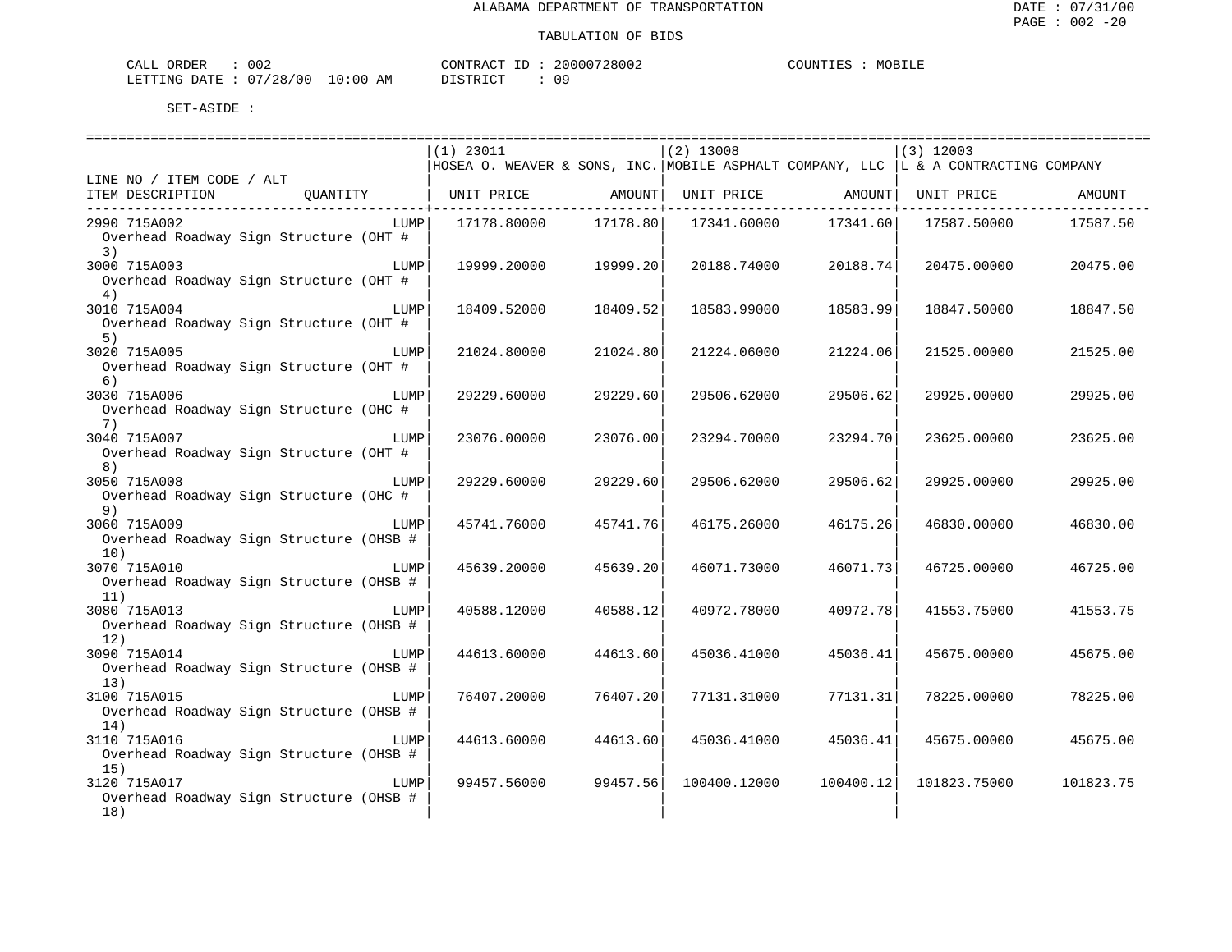| CALI<br>ORDER  | 002        |             | CONTRACT          |  | 20000728002 | COUNT <sup>T</sup><br>TTR2. | MORT<br>டிடிச |
|----------------|------------|-------------|-------------------|--|-------------|-----------------------------|---------------|
| LETTING DATE : | : 07/28/00 | 10:00<br>ΑM | TSTRICT TO<br>◡∸◡ |  | 09          |                             |               |

|                                         | ============================= |           |              |                   | ========================                                                             |           |
|-----------------------------------------|-------------------------------|-----------|--------------|-------------------|--------------------------------------------------------------------------------------|-----------|
|                                         | $(1)$ 23011                   |           | $(2)$ 13008  |                   | $(3)$ 12003                                                                          |           |
|                                         |                               |           |              |                   | HOSEA O. WEAVER & SONS, INC. MOBILE ASPHALT COMPANY, LLC   L & A CONTRACTING COMPANY |           |
| LINE NO / ITEM CODE / ALT               |                               |           |              |                   |                                                                                      |           |
| ITEM DESCRIPTION<br>QUANTITY            | UNIT PRICE                    | AMOUNT    |              | UNIT PRICE AMOUNT | UNIT PRICE                                                                           | AMOUNT    |
| 2990 715A002<br>LUMP                    | 17178.80000                   | 17178.80  | 17341.60000  | 17341.60          | 17587.50000                                                                          | 17587.50  |
| Overhead Roadway Sign Structure (OHT #  |                               |           |              |                   |                                                                                      |           |
| 3)                                      |                               |           |              |                   |                                                                                      |           |
| 3000 715A003<br>LUMP                    | 19999.20000                   | 19999.201 | 20188.74000  | 20188.74          | 20475.00000                                                                          | 20475.00  |
| Overhead Roadway Sign Structure (OHT #  |                               |           |              |                   |                                                                                      |           |
| 4)                                      |                               |           |              |                   |                                                                                      |           |
| 3010 715A004<br>LUMP                    | 18409.52000                   | 18409.52  | 18583.99000  | 18583.99          | 18847.50000                                                                          | 18847.50  |
| Overhead Roadway Sign Structure (OHT #  |                               |           |              |                   |                                                                                      |           |
| 5)                                      |                               |           |              |                   |                                                                                      |           |
| 3020 715A005<br>LUMP                    | 21024.80000                   | 21024.80  | 21224.06000  | 21224.06          | 21525.00000                                                                          | 21525.00  |
| Overhead Roadway Sign Structure (OHT #  |                               |           |              |                   |                                                                                      |           |
| 6)                                      |                               |           |              |                   |                                                                                      |           |
| 3030 715A006<br>LUMP                    | 29229.60000                   | 29229.60  | 29506.62000  | 29506.62          | 29925.00000                                                                          | 29925.00  |
| Overhead Roadway Sign Structure (OHC #  |                               |           |              |                   |                                                                                      |           |
| 7)<br>3040 715A007<br>LUMP              | 23076.00000                   | 23076.00  | 23294.70000  | 23294.70          | 23625.00000                                                                          | 23625.00  |
| Overhead Roadway Sign Structure (OHT #  |                               |           |              |                   |                                                                                      |           |
| 8)                                      |                               |           |              |                   |                                                                                      |           |
| 3050 715A008<br>LUMP                    | 29229.60000                   | 29229.60  | 29506.62000  | 29506.62          | 29925.00000                                                                          | 29925.00  |
| Overhead Roadway Sign Structure (OHC #  |                               |           |              |                   |                                                                                      |           |
| 9)                                      |                               |           |              |                   |                                                                                      |           |
| 3060 715A009<br>LUMP                    | 45741.76000                   | 45741.76  | 46175.26000  | 46175.26          | 46830.00000                                                                          | 46830.00  |
| Overhead Roadway Sign Structure (OHSB # |                               |           |              |                   |                                                                                      |           |
| 10)                                     |                               |           |              |                   |                                                                                      |           |
| 3070 715A010<br>LUMP                    | 45639.20000                   | 45639.20  | 46071.73000  | 46071.73          | 46725.00000                                                                          | 46725.00  |
| Overhead Roadway Sign Structure (OHSB # |                               |           |              |                   |                                                                                      |           |
| 11)                                     |                               |           |              |                   |                                                                                      |           |
| 3080 715A013<br>LUMP                    | 40588.12000                   | 40588.12  | 40972.78000  | 40972.78          | 41553.75000                                                                          | 41553.75  |
| Overhead Roadway Sign Structure (OHSB # |                               |           |              |                   |                                                                                      |           |
| 12)<br>3090 715A014<br>LUMP             | 44613.60000                   | 44613.60  | 45036.41000  | 45036.41          | 45675.00000                                                                          | 45675.00  |
| Overhead Roadway Sign Structure (OHSB # |                               |           |              |                   |                                                                                      |           |
| 13)                                     |                               |           |              |                   |                                                                                      |           |
| 3100 715A015<br>LUMP                    | 76407.20000                   | 76407.20  | 77131.31000  | 77131.31          | 78225.00000                                                                          | 78225.00  |
| Overhead Roadway Sign Structure (OHSB # |                               |           |              |                   |                                                                                      |           |
| 14)                                     |                               |           |              |                   |                                                                                      |           |
| 3110 715A016<br>LUMP                    | 44613.60000                   | 44613.60  | 45036.41000  | 45036.41          | 45675.00000                                                                          | 45675.00  |
| Overhead Roadway Sign Structure (OHSB # |                               |           |              |                   |                                                                                      |           |
| 15)                                     |                               |           |              |                   |                                                                                      |           |
| 3120 715A017<br>LUMP                    | 99457.56000                   | 99457.56  | 100400.12000 | 100400.12         | 101823.75000                                                                         | 101823.75 |
| Overhead Roadway Sign Structure (OHSB # |                               |           |              |                   |                                                                                      |           |
| 18)                                     |                               |           |              |                   |                                                                                      |           |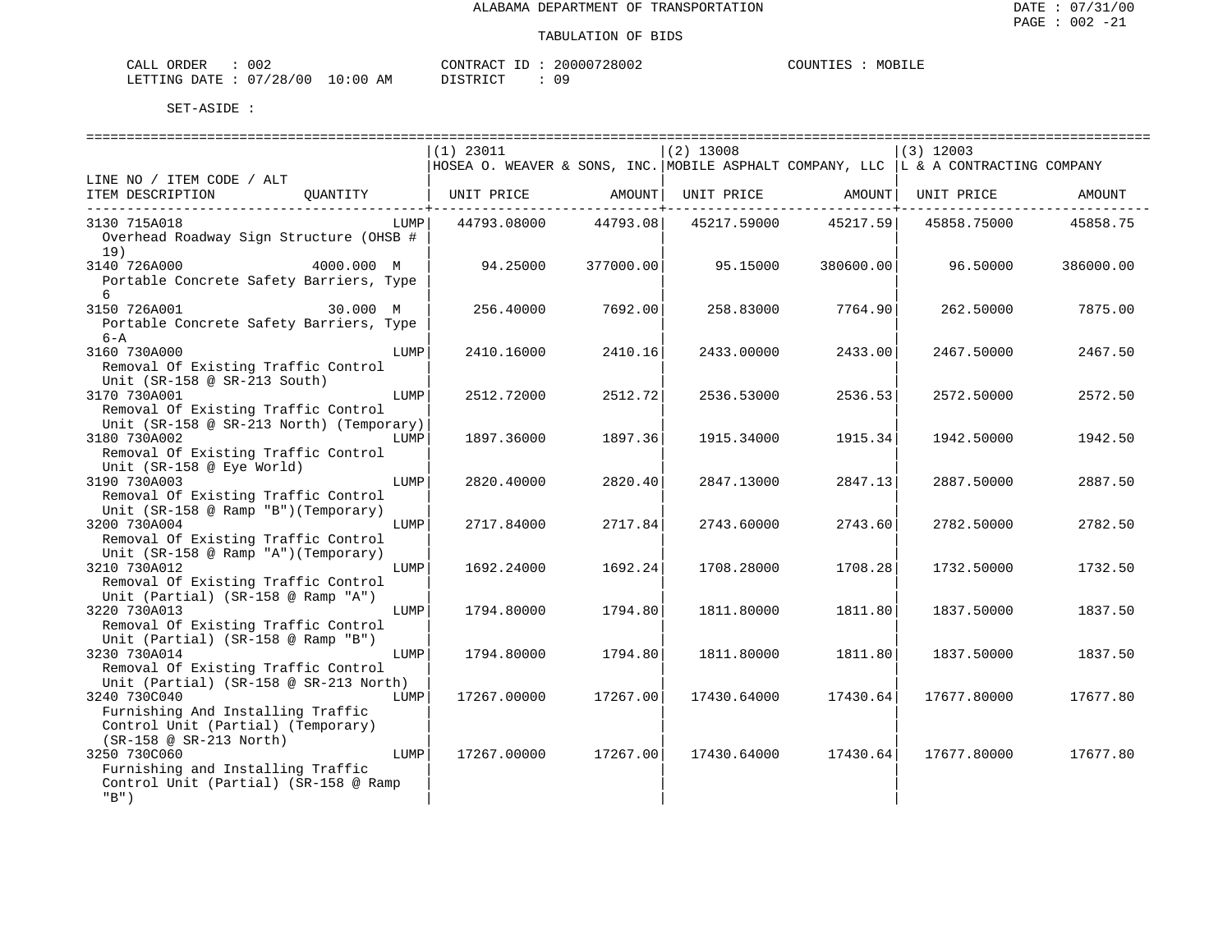MOBILE

| CALL ORDER                      | 002 | CONTRACT ID: $\frac{1}{2}$ | 20000728002 | COUNTIES | MOBILE |
|---------------------------------|-----|----------------------------|-------------|----------|--------|
| LETTING DATE: 07/28/00 10:00 AM |     | DISTRICT                   | n c         |          |        |

|                                                                                                                                 |      | $(1)$ 23011                                                                         |           | $(2)$ 13008 |                        | $(3)$ 12003 |           |
|---------------------------------------------------------------------------------------------------------------------------------|------|-------------------------------------------------------------------------------------|-----------|-------------|------------------------|-------------|-----------|
|                                                                                                                                 |      | HOSEA O. WEAVER & SONS, INC. MOBILE ASPHALT COMPANY, LLC  L & A CONTRACTING COMPANY |           |             |                        |             |           |
| LINE NO / ITEM CODE / ALT<br>ITEM DESCRIPTION<br>QUANTITY                                                                       |      | UNIT PRICE AMOUNT                                                                   |           |             | UNIT PRICE AMOUNT<br>. | UNIT PRICE  | AMOUNT    |
| 3130 715A018<br>Overhead Roadway Sign Structure (OHSB #<br>19)                                                                  | LUMP | 44793.08000 44793.08                                                                |           | 45217.59000 | 45217.59               | 45858.75000 | 45858.75  |
| 4000.000 M<br>3140 726A000<br>Portable Concrete Safety Barriers, Type<br>6                                                      |      | 94.25000                                                                            | 377000.00 | 95.15000    | 380600.00              | 96.50000    | 386000.00 |
| 3150 726A001<br>30.000 M<br>Portable Concrete Safety Barriers, Type<br>$6 - A$                                                  |      | 256.40000                                                                           | 7692.00   | 258.83000   | 7764.90                | 262.50000   | 7875.00   |
| 3160 730A000<br>Removal Of Existing Traffic Control<br>Unit (SR-158 @ SR-213 South)                                             | LUMP | 2410.16000                                                                          | 2410.16   | 2433.00000  | 2433.00                | 2467.50000  | 2467.50   |
| 3170 730A001<br>Removal Of Existing Traffic Control                                                                             | LUMP | 2512.72000                                                                          | 2512.72   | 2536.53000  | 2536.53                | 2572.50000  | 2572.50   |
| Unit (SR-158 @ SR-213 North) (Temporary)<br>3180 730A002<br>Removal Of Existing Traffic Control                                 | LUMP | 1897.36000                                                                          | 1897.36   | 1915.34000  | 1915.34                | 1942.50000  | 1942.50   |
| Unit (SR-158 @ Eye World)<br>3190 730A003<br>Removal Of Existing Traffic Control                                                | LUMP | 2820.40000                                                                          | 2820.40   | 2847.13000  | 2847.13                | 2887.50000  | 2887.50   |
| Unit (SR-158 @ Ramp "B") (Temporary)<br>3200 730A004<br>Removal Of Existing Traffic Control                                     | LUMP | 2717.84000                                                                          | 2717.84   | 2743.60000  | 2743.60                | 2782.50000  | 2782.50   |
| Unit (SR-158 @ Ramp "A")(Temporary)<br>3210 730A012<br>Removal Of Existing Traffic Control                                      | LUMP | 1692.24000                                                                          | 1692.24   | 1708.28000  | 1708.28                | 1732.50000  | 1732.50   |
| Unit (Partial) (SR-158 @ Ramp "A")<br>3220 730A013<br>Removal Of Existing Traffic Control<br>Unit (Partial) (SR-158 @ Ramp "B") | LUMP | 1794.80000                                                                          | 1794.80   | 1811.80000  | 1811.80                | 1837.50000  | 1837.50   |
| 3230 730A014<br>Removal Of Existing Traffic Control<br>Unit (Partial) (SR-158 @ SR-213 North)                                   | LUMP | 1794.80000                                                                          | 1794.80   | 1811.80000  | 1811.80                | 1837.50000  | 1837.50   |
| 3240 730C040<br>Furnishing And Installing Traffic<br>Control Unit (Partial) (Temporary)<br>(SR-158 @ SR-213 North)              | LUMP | 17267.00000                                                                         | 17267.00  | 17430.64000 | 17430.64               | 17677.80000 | 17677.80  |
| 3250 730C060<br>Furnishing and Installing Traffic<br>Control Unit (Partial) (SR-158 @ Ramp<br>$"B"$ )                           | LUMP | 17267.00000                                                                         | 17267.00  | 17430.64000 | 17430.64               | 17677.80000 | 17677.80  |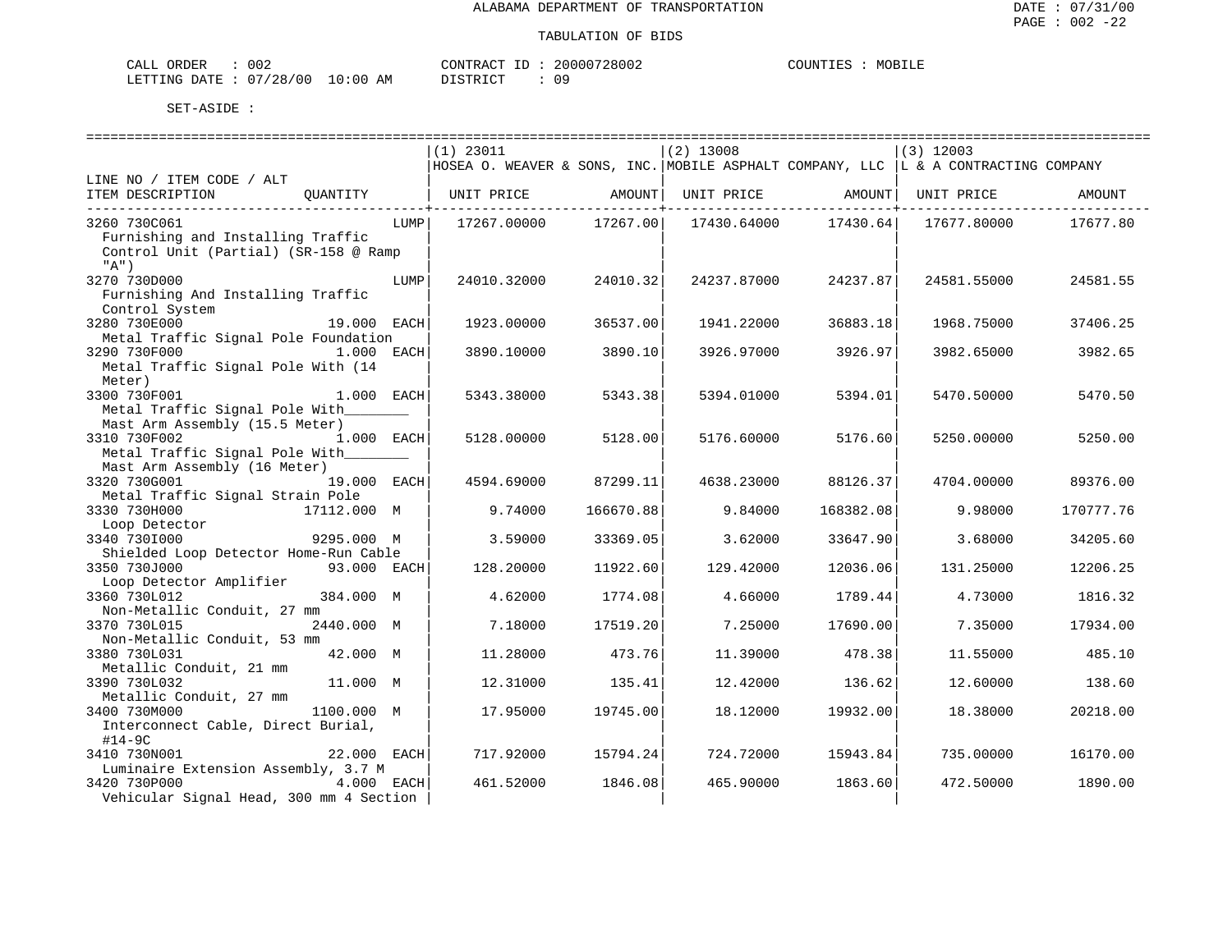| ORDER<br>CALL          | 002 |             | TD.<br>CONTRACT | 20000728002 | COUNTIES | MOBILE |
|------------------------|-----|-------------|-----------------|-------------|----------|--------|
| LETTING DATE: 07/28/00 |     | 10:00<br>ΆM | חימים דת        |             |          |        |

|                                                         |              |      | $(1)$ 23011                                                                         |                                     | $(2)$ 13008 |                                     | $(3)$ 12003 |           |
|---------------------------------------------------------|--------------|------|-------------------------------------------------------------------------------------|-------------------------------------|-------------|-------------------------------------|-------------|-----------|
|                                                         |              |      | HOSEA O. WEAVER & SONS, INC. MOBILE ASPHALT COMPANY, LLC  L & A CONTRACTING COMPANY |                                     |             |                                     |             |           |
| LINE NO / ITEM CODE / ALT                               |              |      |                                                                                     |                                     |             |                                     |             |           |
| ITEM DESCRIPTION                                        | OUANTITY     |      | UNIT PRICE                                                                          | AMOUNT<br>. _ _ _ _ _ _ _ _ _ _ _ + |             | UNIT PRICE AMOUNT<br>------------+- | UNIT PRICE  | AMOUNT    |
| 3260 730C061                                            |              | LUMP | 17267.00000                                                                         | 17267.00                            | 17430.64000 | 17430.64                            | 17677.80000 | 17677.80  |
| Furnishing and Installing Traffic                       |              |      |                                                                                     |                                     |             |                                     |             |           |
| Control Unit (Partial) (SR-158 @ Ramp                   |              |      |                                                                                     |                                     |             |                                     |             |           |
| "A")                                                    |              |      |                                                                                     |                                     |             |                                     |             |           |
| 3270 730D000                                            |              | LUMP | 24010.32000                                                                         | 24010.32                            | 24237.87000 | 24237.87                            | 24581.55000 | 24581.55  |
| Furnishing And Installing Traffic                       |              |      |                                                                                     |                                     |             |                                     |             |           |
| Control System                                          |              |      |                                                                                     |                                     |             |                                     |             |           |
| 3280 730E000                                            | 19.000 EACH  |      | 1923.00000                                                                          | 36537.00                            | 1941.22000  | 36883.18                            | 1968.75000  | 37406.25  |
| Metal Traffic Signal Pole Foundation                    |              |      |                                                                                     |                                     |             |                                     |             |           |
| 3290 730F000                                            | $1.000$ EACH |      | 3890.10000                                                                          | 3890.10                             | 3926.97000  | 3926.97                             | 3982.65000  | 3982.65   |
| Metal Traffic Signal Pole With (14                      |              |      |                                                                                     |                                     |             |                                     |             |           |
| Meter)                                                  |              |      |                                                                                     |                                     |             |                                     |             |           |
| 3300 730F001                                            | 1.000 EACH   |      | 5343.38000                                                                          | 5343.38                             | 5394.01000  | 5394.01                             | 5470.50000  | 5470.50   |
| Metal Traffic Signal Pole With                          |              |      |                                                                                     |                                     |             |                                     |             |           |
| Mast Arm Assembly (15.5 Meter)                          |              |      |                                                                                     |                                     |             |                                     |             |           |
| 3310 730F002<br>1.000 EACH                              |              |      | 5128.00000                                                                          | 5128.00                             | 5176.60000  | 5176.60                             | 5250.00000  | 5250.00   |
| Metal Traffic Signal Pole With                          |              |      |                                                                                     |                                     |             |                                     |             |           |
| Mast Arm Assembly (16 Meter)<br>3320 730G001            | 19.000 EACH  |      |                                                                                     | 87299.11                            |             | 88126.37                            |             |           |
| Metal Traffic Signal Strain Pole                        |              |      | 4594.69000                                                                          |                                     | 4638.23000  |                                     | 4704.00000  | 89376.00  |
| 3330 730H000                                            | 17112.000 M  |      | 9.74000                                                                             | 166670.88                           | 9.84000     | 168382.08                           | 9.98000     | 170777.76 |
| Loop Detector                                           |              |      |                                                                                     |                                     |             |                                     |             |           |
| 3340 7301000                                            | 9295.000 M   |      | 3.59000                                                                             | 33369.05                            | 3.62000     | 33647.90                            | 3.68000     | 34205.60  |
| Shielded Loop Detector Home-Run Cable                   |              |      |                                                                                     |                                     |             |                                     |             |           |
| 3350 730J000                                            | 93.000 EACH  |      | 128.20000                                                                           | 11922.60                            | 129.42000   | 12036.06                            | 131.25000   | 12206.25  |
| Loop Detector Amplifier                                 |              |      |                                                                                     |                                     |             |                                     |             |           |
| 3360 730L012                                            | 384.000 M    |      | 4.62000                                                                             | 1774.08                             | 4.66000     | 1789.44                             | 4.73000     | 1816.32   |
| Non-Metallic Conduit, 27 mm                             |              |      |                                                                                     |                                     |             |                                     |             |           |
| 3370 730L015                                            | 2440.000 M   |      | 7.18000                                                                             | 17519.20                            | 7.25000     | 17690.00                            | 7.35000     | 17934.00  |
| Non-Metallic Conduit, 53 mm                             |              |      |                                                                                     |                                     |             |                                     |             |           |
| 3380 730L031                                            | 42.000 M     |      | 11.28000                                                                            | 473.76                              | 11.39000    | 478.38                              | 11.55000    | 485.10    |
| Metallic Conduit, 21 mm                                 |              |      |                                                                                     |                                     |             |                                     |             |           |
| 3390 730L032                                            | 11.000 M     |      | 12.31000                                                                            | 135.41                              | 12.42000    | 136.62                              | 12.60000    | 138.60    |
| Metallic Conduit, 27 mm                                 |              |      |                                                                                     |                                     |             |                                     |             |           |
| 3400 730M000                                            | 1100.000 M   |      | 17.95000                                                                            | 19745.00                            | 18.12000    | 19932.00                            | 18.38000    | 20218.00  |
| Interconnect Cable, Direct Burial,                      |              |      |                                                                                     |                                     |             |                                     |             |           |
| $#14-9C$                                                |              |      |                                                                                     |                                     |             |                                     |             |           |
| 3410 730N001                                            | 22.000 EACH  |      | 717.92000                                                                           | 15794.24                            | 724.72000   | 15943.84                            | 735.00000   | 16170.00  |
| Luminaire Extension Assembly, 3.7 M                     |              |      |                                                                                     |                                     |             |                                     |             |           |
| 3420 730P000<br>Vehicular Signal Head, 300 mm 4 Section | 4.000 EACH   |      | 461.52000                                                                           | 1846.08                             | 465.90000   | 1863.60                             | 472.50000   | 1890.00   |
|                                                         |              |      |                                                                                     |                                     |             |                                     |             |           |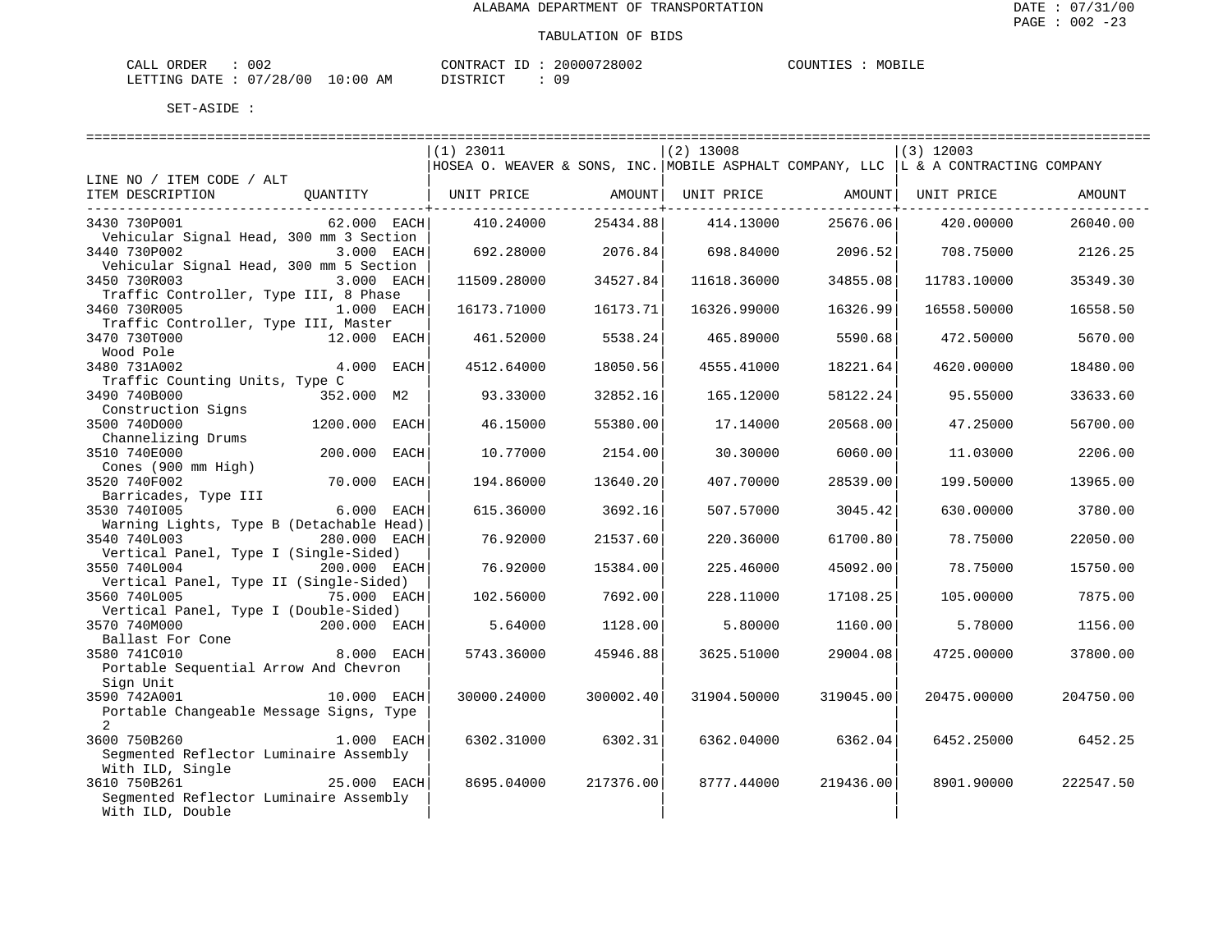| ORDER<br>CALL | 002      |             | CONTRACT<br>TD.   | 20000728002 | COUNTIES | MOBILE |
|---------------|----------|-------------|-------------------|-------------|----------|--------|
| LETTING DATE  | 07/28/00 | 10:00<br>AM | חי חי חידו פידי פ |             |          |        |

|                                          |                        | $(1)$ 23011 |           | $(2)$ 13008 |                   | $(3)$ 12003                                                                         |           |
|------------------------------------------|------------------------|-------------|-----------|-------------|-------------------|-------------------------------------------------------------------------------------|-----------|
|                                          |                        |             |           |             |                   | HOSEA O. WEAVER & SONS, INC. MOBILE ASPHALT COMPANY, LLC  L & A CONTRACTING COMPANY |           |
| LINE NO / ITEM CODE / ALT                |                        |             |           |             |                   |                                                                                     |           |
| ITEM DESCRIPTION                         | OUANTITY               | UNIT PRICE  | AMOUNT    |             | UNIT PRICE AMOUNT | UNIT PRICE                                                                          | AMOUNT    |
|                                          |                        |             |           |             |                   |                                                                                     |           |
| 3430 730P001                             | $62.000$ EACH          | 410.24000   | 25434.88  | 414.13000   | 25676.06          | 420.00000                                                                           | 26040.00  |
| Vehicular Signal Head, 300 mm 3 Section  |                        |             |           |             |                   |                                                                                     |           |
| 3440 730P002                             | 3.000 EACH             | 692.28000   | 2076.84   | 698.84000   | 2096.52           | 708.75000                                                                           | 2126.25   |
| Vehicular Signal Head, 300 mm 5 Section  |                        |             |           |             |                   |                                                                                     |           |
| 3450 730R003                             | 3.000 EACH             | 11509.28000 | 34527.84  | 11618.36000 | 34855.08          | 11783.10000                                                                         | 35349.30  |
| Traffic Controller, Type III, 8 Phase    |                        |             |           |             |                   |                                                                                     |           |
| 3460 730R005                             | 1.000 EACH             | 16173.71000 | 16173.71  | 16326.99000 | 16326.99          | 16558.50000                                                                         | 16558.50  |
| Traffic Controller, Type III, Master     |                        |             |           |             |                   |                                                                                     |           |
| 3470 730T000                             | 12.000 EACH            | 461.52000   | 5538.24   | 465.89000   | 5590.68           | 472.50000                                                                           | 5670.00   |
| Wood Pole                                |                        |             |           |             |                   |                                                                                     |           |
| 3480 731A002                             | 4.000 EACH             | 4512.64000  | 18050.56  | 4555.41000  | 18221.64          | 4620.00000                                                                          | 18480.00  |
| Traffic Counting Units, Type C           |                        |             |           |             |                   |                                                                                     |           |
| 3490 740B000                             | 352.000 M2             | 93.33000    | 32852.16  | 165.12000   | 58122.24          | 95.55000                                                                            | 33633.60  |
| Construction Signs                       |                        |             |           |             |                   |                                                                                     |           |
| 3500 740D000                             | 1200.000 EACH          | 46.15000    | 55380.00  | 17.14000    | 20568.00          | 47.25000                                                                            | 56700.00  |
| Channelizing Drums                       |                        |             |           |             |                   |                                                                                     |           |
| 3510 740E000                             | 200.000 EACH           | 10.77000    | 2154.00   | 30.30000    | 6060.00           | 11.03000                                                                            | 2206.00   |
| Cones (900 mm High)                      |                        |             |           |             |                   |                                                                                     |           |
| 3520 740F002                             | 70.000 EACH            | 194.86000   | 13640.20  | 407.70000   | 28539.00          | 199.50000                                                                           | 13965.00  |
|                                          |                        |             |           |             |                   |                                                                                     |           |
| Barricades, Type III<br>3530 7401005     | 6.000 EACH             | 615.36000   | 3692.16   | 507.57000   | 3045.42           | 630.00000                                                                           | 3780.00   |
| Warning Lights, Type B (Detachable Head) |                        |             |           |             |                   |                                                                                     |           |
| 3540 740L003                             | 280.000 EACH           | 76.92000    |           |             |                   |                                                                                     |           |
| Vertical Panel, Type I (Single-Sided)    |                        |             | 21537.60  | 220.36000   | 61700.80          | 78.75000                                                                            | 22050.00  |
|                                          |                        |             |           |             |                   |                                                                                     |           |
| 3550 740L004                             | 200.000 EACH           | 76.92000    | 15384.00  | 225.46000   | 45092.00          | 78.75000                                                                            | 15750.00  |
| Vertical Panel, Type II (Single-Sided)   | <sup>75.000</sup> EACH |             | 7692.00   |             |                   |                                                                                     | 7875.00   |
| 3560 740L005                             |                        | 102.56000   |           | 228.11000   | 17108.25          | 105.00000                                                                           |           |
| Vertical Panel, Type I (Double-Sided)    |                        |             |           |             |                   |                                                                                     |           |
| 3570 740M000                             | 200.000 EACH           | 5.64000     | 1128.00   | 5.80000     | 1160.00           | 5.78000                                                                             | 1156.00   |
| Ballast For Cone                         |                        |             |           |             |                   |                                                                                     |           |
| 3580 741C010                             | 8.000 EACH             | 5743.36000  | 45946.88  | 3625.51000  | 29004.08          | 4725.00000                                                                          | 37800.00  |
| Portable Sequential Arrow And Chevron    |                        |             |           |             |                   |                                                                                     |           |
| Sign Unit                                |                        |             |           |             |                   |                                                                                     |           |
| 3590 742A001                             | 10.000 EACH            | 30000.24000 | 300002.40 | 31904.50000 | 319045.00         | 20475.00000                                                                         | 204750.00 |
| Portable Changeable Message Signs, Type  |                        |             |           |             |                   |                                                                                     |           |
| $\overline{2}$                           |                        |             |           |             |                   |                                                                                     |           |
| 3600 750B260                             | 1.000 EACH             | 6302.31000  | 6302.31   | 6362.04000  | 6362.04           | 6452.25000                                                                          | 6452.25   |
| Segmented Reflector Luminaire Assembly   |                        |             |           |             |                   |                                                                                     |           |
| With ILD, Single                         |                        |             |           |             |                   |                                                                                     |           |
| 3610 750B261                             | 25.000 EACH            | 8695.04000  | 217376.00 | 8777.44000  | 219436.00         | 8901.90000                                                                          | 222547.50 |
| Segmented Reflector Luminaire Assembly   |                        |             |           |             |                   |                                                                                     |           |
| With ILD, Double                         |                        |             |           |             |                   |                                                                                     |           |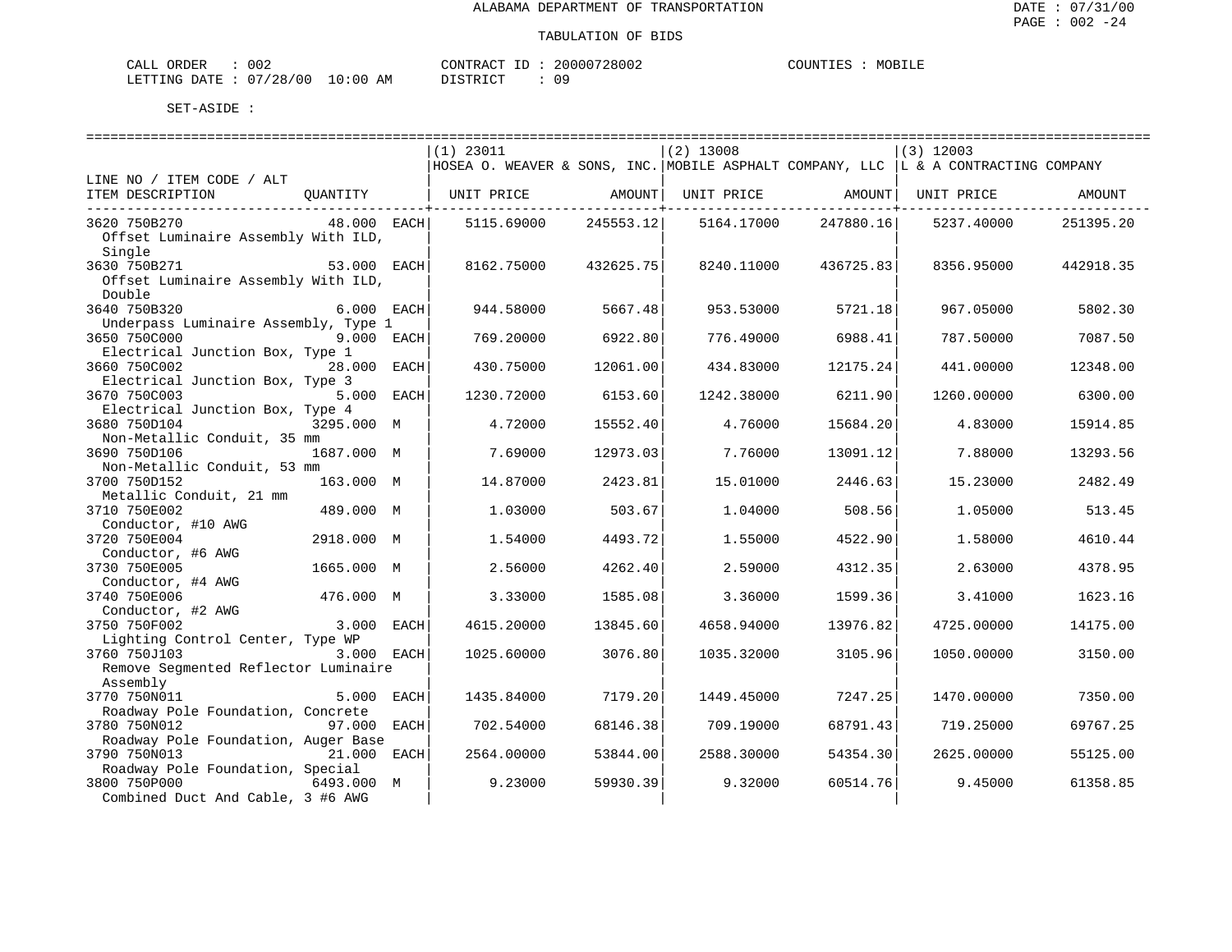| ORDER<br>CALL | 002        |             | TD.<br>CONTRACT | 20000728002 | COUNTIES | MOBILE |
|---------------|------------|-------------|-----------------|-------------|----------|--------|
| LETTING DATE  | : 07/28/00 | 10:00<br>AΜ | DICTDICT        |             |          |        |

|                                                 |             | $(1)$ 23011                                                                          |           | $(2)$ 13008 |           | $(3)$ 12003 |           |
|-------------------------------------------------|-------------|--------------------------------------------------------------------------------------|-----------|-------------|-----------|-------------|-----------|
|                                                 |             | HOSEA O. WEAVER & SONS, INC. MOBILE ASPHALT COMPANY, LLC   L & A CONTRACTING COMPANY |           |             |           |             |           |
| LINE NO / ITEM CODE / ALT<br>ITEM DESCRIPTION   |             |                                                                                      |           |             |           |             |           |
|                                                 | OUANTITY    | UNIT PRICE                                                                           | AMOUNT    | UNIT PRICE  | AMOUNT    | UNIT PRICE  | AMOUNT    |
| 3620 750B270                                    | 48.000 EACH | 5115.69000                                                                           | 245553.12 | 5164.17000  | 247880.16 | 5237.40000  | 251395.20 |
| Offset Luminaire Assembly With ILD,             |             |                                                                                      |           |             |           |             |           |
| Single                                          |             |                                                                                      |           |             |           |             |           |
| 3630 750B271                                    | 53.000 EACH | 8162.75000                                                                           | 432625.75 | 8240.11000  | 436725.83 | 8356.95000  | 442918.35 |
| Offset Luminaire Assembly With ILD,<br>Double   |             |                                                                                      |           |             |           |             |           |
| 3640 750B320                                    | 6.000 EACH  | 944.58000                                                                            | 5667.48   | 953.53000   | 5721.18   | 967.05000   | 5802.30   |
| Underpass Luminaire Assembly, Type 1            |             |                                                                                      |           |             |           |             |           |
| 3650 750C000                                    | 9.000 EACH  | 769.20000                                                                            | 6922.80   | 776.49000   | 6988.41   | 787.50000   | 7087.50   |
| Electrical Junction Box, Type 1                 |             |                                                                                      |           |             |           |             |           |
| 3660 750C002                                    | 28.000 EACH | 430.75000                                                                            | 12061.00  | 434.83000   | 12175.24  | 441.00000   | 12348.00  |
| Electrical Junction Box, Type 3<br>3670 750C003 | 5.000 EACH  | 1230.72000                                                                           | 6153.60   | 1242.38000  | 6211.90   | 1260.00000  | 6300.00   |
| Electrical Junction Box, Type 4                 |             |                                                                                      |           |             |           |             |           |
| 3680 750D104                                    | 3295.000 M  | 4.72000                                                                              | 15552.40  | 4.76000     | 15684.20  | 4.83000     | 15914.85  |
| Non-Metallic Conduit, 35 mm                     |             |                                                                                      |           |             |           |             |           |
| 3690 750D106                                    | 1687.000 M  | 7.69000                                                                              | 12973.03  | 7.76000     | 13091.12  | 7.88000     | 13293.56  |
| Non-Metallic Conduit, 53 mm                     |             |                                                                                      |           |             |           |             |           |
| 3700 750D152<br>Metallic Conduit, 21 mm         | 163.000 M   | 14.87000                                                                             | 2423.81   | 15,01000    | 2446.63   | 15.23000    | 2482.49   |
| 3710 750E002                                    | 489.000 M   | 1.03000                                                                              | 503.67    | 1.04000     | 508.56    | 1.05000     | 513.45    |
| Conductor, #10 AWG                              |             |                                                                                      |           |             |           |             |           |
| 3720 750E004                                    | 2918.000 M  | 1.54000                                                                              | 4493.72   | 1.55000     | 4522.90   | 1.58000     | 4610.44   |
| Conductor, #6 AWG                               |             |                                                                                      |           |             |           |             |           |
| 3730 750E005                                    | 1665.000 M  | 2.56000                                                                              | 4262.40   | 2.59000     | 4312.35   | 2.63000     | 4378.95   |
| Conductor, #4 AWG<br>3740 750E006               | 476.000 M   | 3.33000                                                                              | 1585.08   | 3.36000     | 1599.36   | 3.41000     | 1623.16   |
| Conductor, #2 AWG                               |             |                                                                                      |           |             |           |             |           |
| 3750 750F002                                    | 3.000 EACH  | 4615.20000                                                                           | 13845.60  | 4658.94000  | 13976.82  | 4725.00000  | 14175.00  |
| Lighting Control Center, Type WP                |             |                                                                                      |           |             |           |             |           |
| 3760 750J103                                    | 3.000 EACH  | 1025.60000                                                                           | 3076.80   | 1035.32000  | 3105.96   | 1050.00000  | 3150.00   |
| Remove Seqmented Reflector Luminaire            |             |                                                                                      |           |             |           |             |           |
| Assembly<br>3770 750N011                        | 5.000 EACH  |                                                                                      |           |             | 7247.25   |             |           |
| Roadway Pole Foundation, Concrete               |             | 1435.84000                                                                           | 7179.20   | 1449.45000  |           | 1470.00000  | 7350.00   |
| 3780 750N012                                    | 97.000 EACH | 702.54000                                                                            | 68146.38  | 709.19000   | 68791.43  | 719.25000   | 69767.25  |
| Roadway Pole Foundation, Auger Base             |             |                                                                                      |           |             |           |             |           |
| 3790 750N013                                    | 21.000 EACH | 2564.00000                                                                           | 53844.00  | 2588.30000  | 54354.30  | 2625.00000  | 55125.00  |
| Roadway Pole Foundation, Special                |             |                                                                                      |           |             |           |             |           |
| 3800 750P000                                    | 6493.000 M  | 9.23000                                                                              | 59930.39  | 9.32000     | 60514.76  | 9.45000     | 61358.85  |
| Combined Duct And Cable, 3 #6 AWG               |             |                                                                                      |           |             |           |             |           |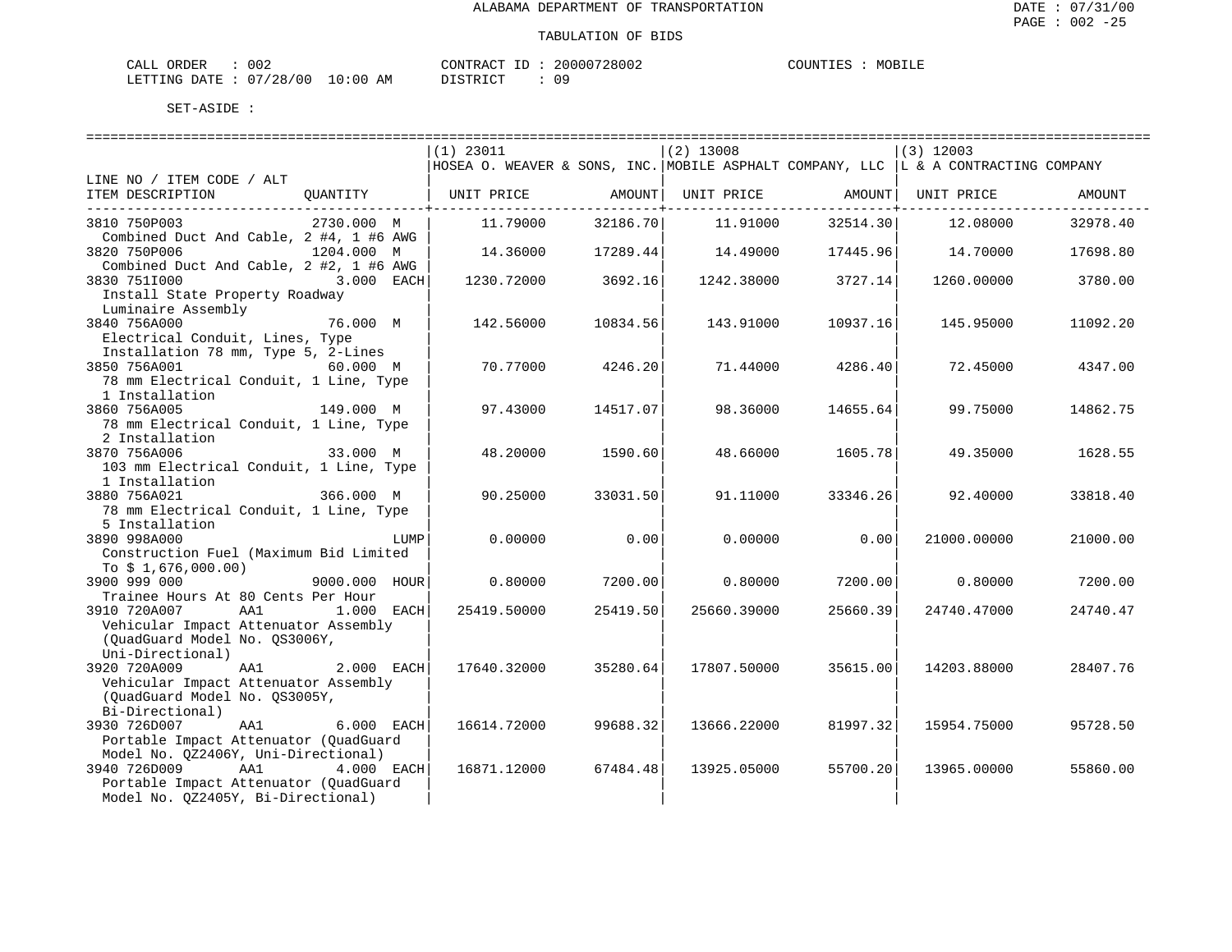| ORDER<br>CALL | 002      |             | CONTRACT<br>TD.   | 20000728002 | COUNTIES | MOBILE |
|---------------|----------|-------------|-------------------|-------------|----------|--------|
| LETTING DATE  | 07/28/00 | 10:00<br>AM | חי חי חידו פידי פ |             |          |        |

|                                                                                         | ==========================                                                          |                  | ============================ |                                | ============================                |          |
|-----------------------------------------------------------------------------------------|-------------------------------------------------------------------------------------|------------------|------------------------------|--------------------------------|---------------------------------------------|----------|
|                                                                                         | $(1)$ 23011                                                                         |                  | $(2)$ 13008                  |                                | $(3)$ 12003                                 |          |
|                                                                                         | HOSEA O. WEAVER & SONS, INC. MOBILE ASPHALT COMPANY, LLC  L & A CONTRACTING COMPANY |                  |                              |                                |                                             |          |
| LINE NO / ITEM CODE / ALT                                                               |                                                                                     |                  |                              |                                |                                             |          |
| QUANTITY   UNIT PRICE     AMOUNT  UNIT PRICE     AMOUNT  UNIT PRICE<br>ITEM DESCRIPTION |                                                                                     |                  |                              |                                |                                             | AMOUNT   |
| 3810 750P003<br>2730.000 M                                                              | 11.79000                                                                            | ----------+----- | 32186.70 11.91000            | -------------+----<br>32514.30 | 12.08000                                    | 32978.40 |
| Combined Duct And Cable, 2 #4, 1 #6 AWG                                                 |                                                                                     |                  |                              |                                |                                             |          |
| 1204.000 M<br>3820 750P006                                                              | 14.36000                                                                            |                  |                              |                                | $17289.44$ $14.49000$ $17445.96$ $14.70000$ | 17698.80 |
| Combined Duct And Cable, 2 #2, 1 #6 AWG<br>3830 7511000<br>3.000 EACH                   | 1230.72000                                                                          | 3692.16          |                              | $1242.38000$ 3727.14           | 1260.00000                                  | 3780.00  |
| Install State Property Roadway<br>Luminaire Assembly                                    |                                                                                     |                  |                              |                                |                                             |          |
| 76.000 M<br>3840 756A000                                                                | 142.56000                                                                           | 10834.56         | 143.91000                    | 10937.16                       | 145.95000                                   | 11092.20 |
| Electrical Conduit, Lines, Type<br>Installation 78 mm, Type 5, 2-Lines                  |                                                                                     |                  |                              |                                |                                             |          |
| 60.000 M<br>3850 756A001                                                                | 70.77000                                                                            | 4246.20          | 71.44000                     | 4286.40                        | 72.45000                                    | 4347.00  |
| 78 mm Electrical Conduit, 1 Line, Type                                                  |                                                                                     |                  |                              |                                |                                             |          |
| 1 Installation<br>149.000 M<br>3860 756A005                                             | 97.43000                                                                            | 14517.07         | 98.36000                     | 14655.64                       | 99.75000                                    | 14862.75 |
| 78 mm Electrical Conduit, 1 Line, Type                                                  |                                                                                     |                  |                              |                                |                                             |          |
| 2 Installation                                                                          |                                                                                     |                  |                              |                                |                                             |          |
| 33.000 M<br>3870 756A006                                                                | 48.20000                                                                            | 1590.60          | 48.66000                     | 1605.78                        | 49.35000                                    | 1628.55  |
| 103 mm Electrical Conduit, 1 Line, Type                                                 |                                                                                     |                  |                              |                                |                                             |          |
| 1 Installation                                                                          |                                                                                     |                  |                              |                                |                                             |          |
| ----<br>366.000 М<br>3880 756A021                                                       | 90.25000                                                                            | 33031.50         | 91.11000                     | 33346.26                       | 92.40000                                    | 33818.40 |
| 78 mm Electrical Conduit, 1 Line, Type                                                  |                                                                                     |                  |                              |                                |                                             |          |
| 5 Installation                                                                          |                                                                                     |                  |                              |                                |                                             |          |
| 3890 998A000<br>LUMP                                                                    | 0.00000                                                                             | 0.001            | 0.00000                      | 0.00                           | 21000.00000                                 | 21000.00 |
| Construction Fuel (Maximum Bid Limited                                                  |                                                                                     |                  |                              |                                |                                             |          |
| To $$1,676,000.00)$                                                                     |                                                                                     |                  |                              |                                |                                             |          |
| 3900 999 000<br>9000.000 HOUR<br>Trainee Hours At 80 Cents Per Hour                     | 0.80000                                                                             | 7200.00          |                              | $0.80000$ 7200.00              | 0.80000                                     | 7200.00  |
| 3910 720A007<br>AA1<br>$1.000$ EACH                                                     | 25419.50000                                                                         | 25419.50         | 25660.39000                  | 25660.39                       | 24740.47000                                 | 24740.47 |
| Vehicular Impact Attenuator Assembly                                                    |                                                                                     |                  |                              |                                |                                             |          |
| (OuadGuard Model No. OS3006Y,                                                           |                                                                                     |                  |                              |                                |                                             |          |
| Uni-Directional)                                                                        |                                                                                     |                  |                              |                                |                                             |          |
| 3920 720A009<br>AA1 2.000 EACH                                                          | 17640.32000                                                                         | 35280.64         | 17807.50000                  | 35615.00                       | 14203.88000                                 | 28407.76 |
| Vehicular Impact Attenuator Assembly                                                    |                                                                                     |                  |                              |                                |                                             |          |
| (QuadGuard Model No. QS3005Y,                                                           |                                                                                     |                  |                              |                                |                                             |          |
| Bi-Directional)                                                                         |                                                                                     |                  |                              |                                |                                             |          |
| 3930 726D007<br>AA1 6.000 EACH                                                          | 16614.72000                                                                         | 99688.32         | 13666.22000                  | 81997.32                       | 15954.75000                                 | 95728.50 |
| Portable Impact Attenuator (QuadGuard                                                   |                                                                                     |                  |                              |                                |                                             |          |
| Model No. 0Z2406Y, Uni-Directional)                                                     |                                                                                     |                  |                              |                                |                                             |          |
| 3940 726D009<br>AA1<br>4.000 EACH                                                       | 16871.12000                                                                         | 67484.48         | 13925.05000                  | 55700.20                       | 13965.00000                                 | 55860.00 |
| Portable Impact Attenuator (OuadGuard                                                   |                                                                                     |                  |                              |                                |                                             |          |
| Model No. QZ2405Y, Bi-Directional)                                                      |                                                                                     |                  |                              |                                |                                             |          |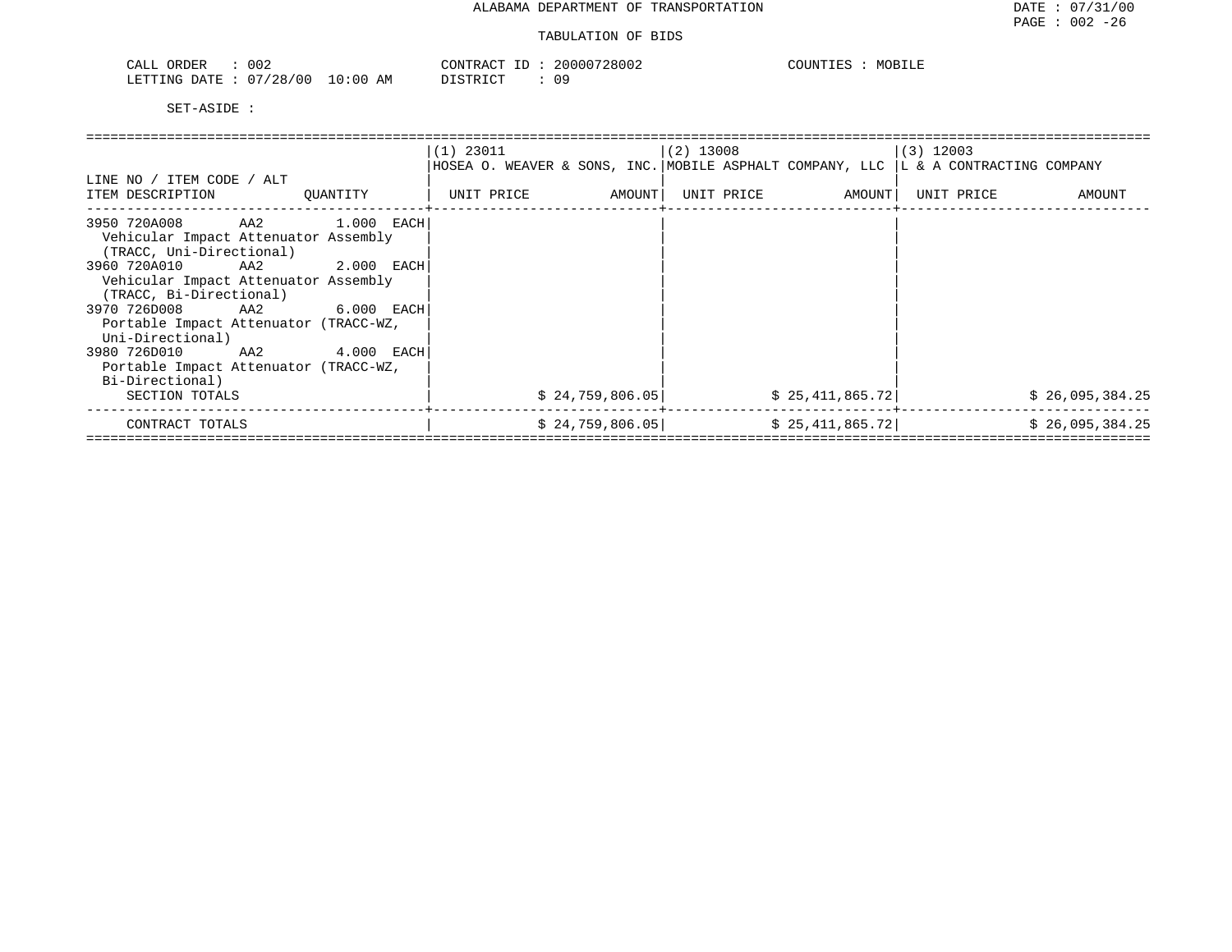| 002<br>$\sim$ $\sim$ $\sim$ $\sim$<br><b>ORDER</b><br>ىلىلەت | CONTRACT                                   | 20000728002 | COUNTIES<br>MOBILE<br>. TR2. |
|--------------------------------------------------------------|--------------------------------------------|-------------|------------------------------|
| 07/28/00<br>LETTING DATE                                     | 10:00<br>AM<br>יד פידף דרי<br><i>┙</i> ∸┙∸ |             |                              |

|                                                                                                              | $(1)$ 23011          | (2) 13008                                                                            | $(3)$ 12003          |
|--------------------------------------------------------------------------------------------------------------|----------------------|--------------------------------------------------------------------------------------|----------------------|
|                                                                                                              |                      | HOSEA O. WEAVER & SONS, INC. MOBILE ASPHALT COMPANY, LLC   L & A CONTRACTING COMPANY |                      |
| LINE NO / ITEM CODE / ALT                                                                                    |                      |                                                                                      |                      |
| ITEM DESCRIPTION<br>OUANTITY                                                                                 | UNIT PRICE<br>AMOUNT | UNIT PRICE AMOUNT                                                                    | UNIT PRICE<br>AMOUNT |
| AA2<br>3950 720A008<br>$1.000$ EACH<br>Vehicular Impact Attenuator Assembly<br>(TRACC, Uni-Directional)      |                      |                                                                                      |                      |
| 3960 720A010 AA2<br>$2.000$ EACH<br>Vehicular Impact Attenuator Assembly<br>(TRACC, Bi-Directional)          |                      |                                                                                      |                      |
| 3970 726D008 AA2 6.000 EACH<br>Portable Impact Attenuator (TRACC-WZ,<br>Uni-Directional)                     |                      |                                                                                      |                      |
| 3980 726D010<br>AA2 4.000 EACH<br>Portable Impact Attenuator (TRACC-WZ,<br>Bi-Directional)<br>SECTION TOTALS | \$24,759,806.05      | \$25,411,865.72]                                                                     | \$26,095,384.25      |
| CONTRACT TOTALS                                                                                              | \$24,759,806.05      | \$25,411,865.72]                                                                     | \$26,095,384.25      |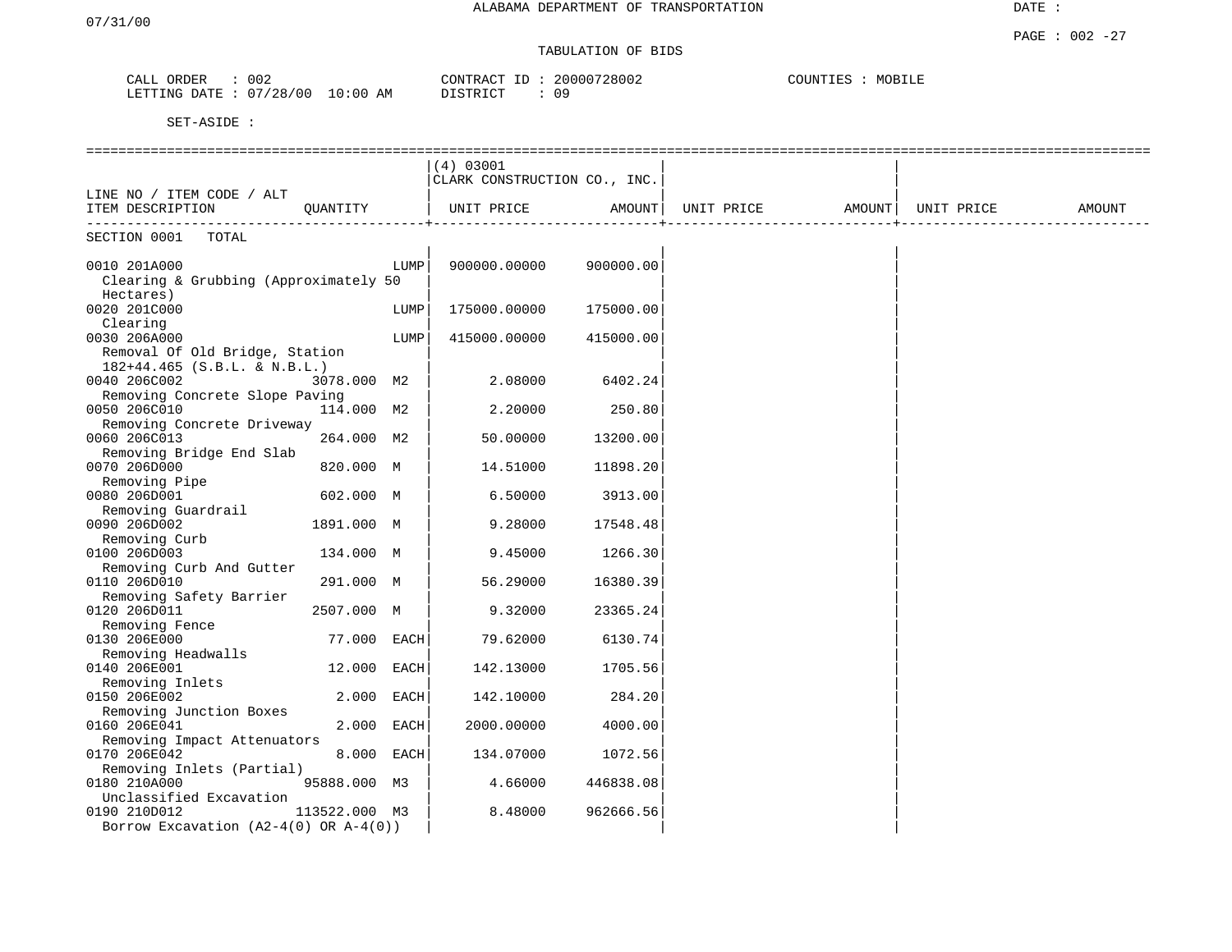## TABULATION OF BIDS

| ORDER<br>CALL  | 002        |            | CONTRACT ID: | 20000728002 | COUNTIES | MOBILE |
|----------------|------------|------------|--------------|-------------|----------|--------|
| LETTING DATE : | : 07/28/00 | $10:00$ AM | DISTRICT     | 09          |          |        |

|                                            |               |      | (4) 03001                    |           |                                |  |        |
|--------------------------------------------|---------------|------|------------------------------|-----------|--------------------------------|--|--------|
|                                            |               |      | CLARK CONSTRUCTION CO., INC. |           |                                |  |        |
| LINE NO / ITEM CODE / ALT                  |               |      |                              |           |                                |  |        |
| ITEM DESCRIPTION                           | QUANTITY      |      | UNIT PRICE                   | AMOUNT    | UNIT PRICE AMOUNT   UNIT PRICE |  | AMOUNT |
|                                            |               |      |                              |           |                                |  |        |
| SECTION 0001<br>TOTAL                      |               |      |                              |           |                                |  |        |
| 0010 201A000                               |               | LUMP | 900000.00000                 | 900000.00 |                                |  |        |
| Clearing & Grubbing (Approximately 50      |               |      |                              |           |                                |  |        |
| Hectares)                                  |               |      |                              |           |                                |  |        |
| 0020 201C000                               |               | LUMP | 175000.00000                 | 175000.00 |                                |  |        |
| Clearing                                   |               |      |                              |           |                                |  |        |
| 0030 206A000                               |               | LUMP | 415000.00000                 | 415000.00 |                                |  |        |
| Removal Of Old Bridge, Station             |               |      |                              |           |                                |  |        |
| $182+44.465$ (S.B.L. & N.B.L.)             |               |      |                              |           |                                |  |        |
| 0040 206C002                               | 3078.000 M2   |      | 2.08000                      | 6402.24   |                                |  |        |
| Removing Concrete Slope Paving             |               |      |                              |           |                                |  |        |
| 0050 206C010                               | 114.000 M2    |      | 2,20000                      | 250.80    |                                |  |        |
| Removing Concrete Driveway                 |               |      |                              |           |                                |  |        |
| 0060 206C013                               | 264.000 M2    |      | 50.00000                     | 13200.00  |                                |  |        |
| Removing Bridge End Slab                   |               |      |                              |           |                                |  |        |
| 0070 206D000                               | 820.000 M     |      | 14.51000                     | 11898.20  |                                |  |        |
| Removing Pipe<br>0080 206D001              | 602.000 M     |      | 6.50000                      | 3913.00   |                                |  |        |
| Removing Guardrail                         |               |      |                              |           |                                |  |        |
| 0090 206D002                               | 1891.000 M    |      | 9.28000                      | 17548.48  |                                |  |        |
| Removing Curb                              |               |      |                              |           |                                |  |        |
| 0100 206D003                               | 134.000 M     |      | 9.45000                      | 1266.30   |                                |  |        |
| Removing Curb And Gutter                   |               |      |                              |           |                                |  |        |
| 0110 206D010                               | 291.000 M     |      | 56.29000                     | 16380.39  |                                |  |        |
| Removing Safety Barrier                    |               |      |                              |           |                                |  |        |
| 0120 206D011                               | 2507.000 M    |      | 9.32000                      | 23365.24  |                                |  |        |
| Removing Fence                             |               |      |                              |           |                                |  |        |
| 0130 206E000                               | 77.000 EACH   |      | 79.62000                     | 6130.74   |                                |  |        |
| Removing Headwalls                         |               |      |                              |           |                                |  |        |
| 0140 206E001                               | 12.000        | EACH | 142.13000                    | 1705.56   |                                |  |        |
| Removing Inlets                            |               |      |                              |           |                                |  |        |
| 0150 206E002<br>Removing Junction Boxes    | 2.000 EACH    |      | 142.10000                    | 284.20    |                                |  |        |
| 0160 206E041                               | 2.000         | EACH | 2000.00000                   | 4000.00   |                                |  |        |
| Removing Impact Attenuators                |               |      |                              |           |                                |  |        |
| 0170 206E042                               | 8.000 EACH    |      | 134.07000                    | 1072.56   |                                |  |        |
| Removing Inlets (Partial)                  |               |      |                              |           |                                |  |        |
| 0180 210A000                               | 95888.000 M3  |      | 4.66000                      | 446838.08 |                                |  |        |
| Unclassified Excavation                    |               |      |                              |           |                                |  |        |
| 0190 210D012                               | 113522.000 M3 |      | 8.48000                      | 962666.56 |                                |  |        |
| Borrow Excavation $(A2-4(0)$ OR $A-4(0)$ ) |               |      |                              |           |                                |  |        |
|                                            |               |      |                              |           |                                |  |        |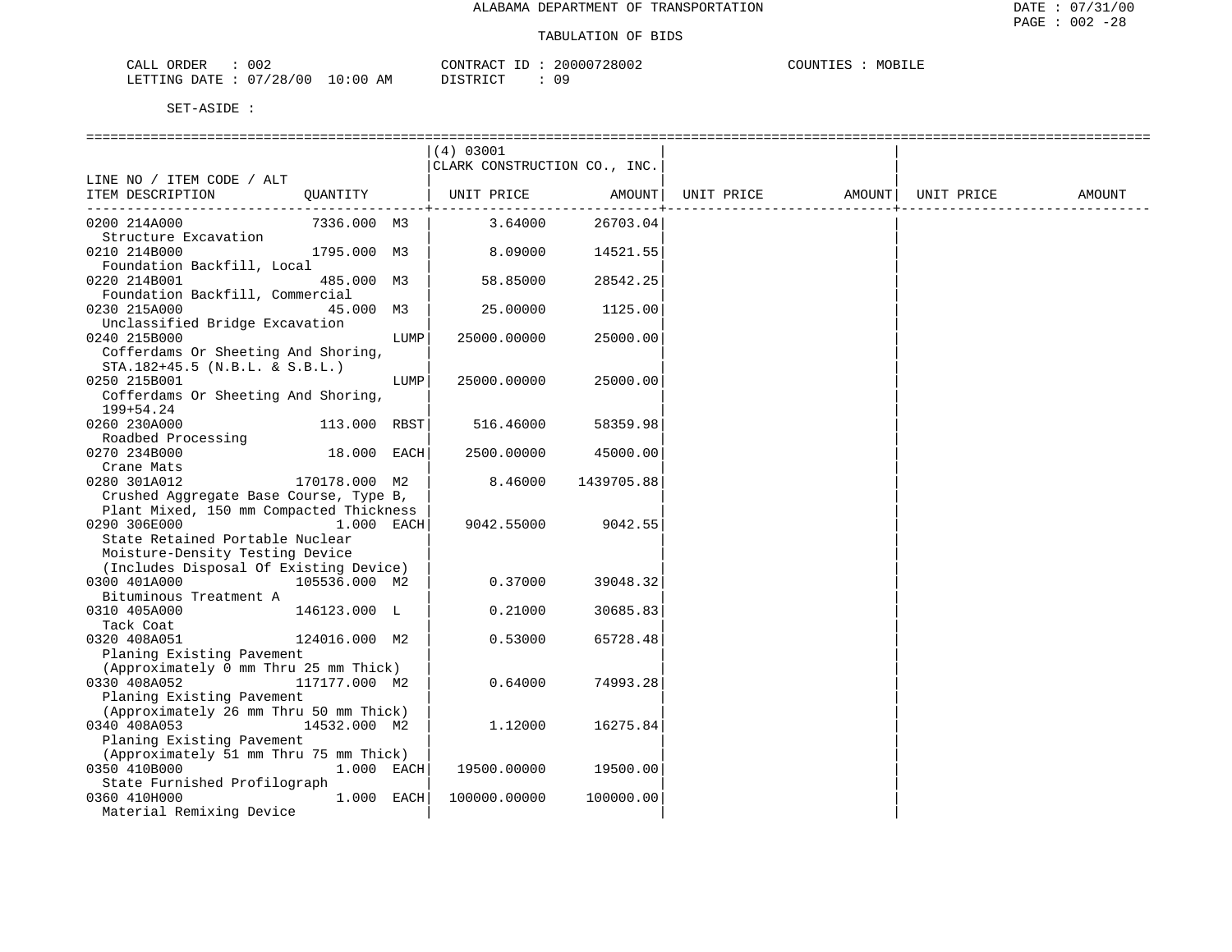| 002<br>ORDER<br>CALL      |            | CONTRACT<br>TD. | 20000728002 | COUNTIES<br>MOBILE |
|---------------------------|------------|-----------------|-------------|--------------------|
| LETTING DATE : $07/28/00$ | $10:00$ AM | DISTRICT        | 09          |                    |

|                                                  |      | (4) 03001                    |            |            |        |            |        |
|--------------------------------------------------|------|------------------------------|------------|------------|--------|------------|--------|
|                                                  |      | CLARK CONSTRUCTION CO., INC. |            |            |        |            |        |
| LINE NO / ITEM CODE / ALT                        |      |                              |            |            |        |            |        |
| ITEM DESCRIPTION<br>QUANTITY                     |      | UNIT PRICE                   | AMOUNT     | UNIT PRICE | AMOUNT | UNIT PRICE | AMOUNT |
|                                                  |      |                              |            |            |        |            |        |
| 7336.000 M3<br>0200 214A000                      |      | 3.64000                      | 26703.04   |            |        |            |        |
| Structure Excavation                             |      |                              |            |            |        |            |        |
| 0210 214B000<br>1795.000 M3                      |      | 8.09000                      | 14521.55   |            |        |            |        |
| Foundation Backfill, Local                       |      |                              |            |            |        |            |        |
| 485.000 M3<br>0220 214B001                       |      | 58.85000                     | 28542.25   |            |        |            |        |
| Foundation Backfill, Commercial                  |      |                              |            |            |        |            |        |
| 0230 215A000<br>45.000 M3                        |      | 25,00000                     | 1125.00    |            |        |            |        |
| Unclassified Bridge Excavation                   |      |                              |            |            |        |            |        |
| 0240 215B000                                     | LUMP | 25000.00000                  | 25000.00   |            |        |            |        |
| Cofferdams Or Sheeting And Shoring,              |      |                              |            |            |        |            |        |
| $STA.182+45.5$ (N.B.L. & S.B.L.)                 |      |                              |            |            |        |            |        |
| 0250 215B001                                     | LUMP | 25000.00000                  | 25000.00   |            |        |            |        |
| Cofferdams Or Sheeting And Shoring,<br>199+54.24 |      |                              |            |            |        |            |        |
| 0260 230A000<br>113.000 RBST                     |      | 516.46000                    | 58359.98   |            |        |            |        |
| Roadbed Processing                               |      |                              |            |            |        |            |        |
| 0270 234B000<br>18.000 EACH                      |      | 2500.00000                   | 45000.00   |            |        |            |        |
| Crane Mats                                       |      |                              |            |            |        |            |        |
| 0280 301A012<br>170178.000 M2                    |      | 8.46000                      | 1439705.88 |            |        |            |        |
| Crushed Aggregate Base Course, Type B,           |      |                              |            |            |        |            |        |
| Plant Mixed, 150 mm Compacted Thickness          |      |                              |            |            |        |            |        |
| 0290 306E000<br>$1.000$ EACH                     |      | 9042.55000                   | 9042.55    |            |        |            |        |
| State Retained Portable Nuclear                  |      |                              |            |            |        |            |        |
| Moisture-Density Testing Device                  |      |                              |            |            |        |            |        |
| (Includes Disposal Of Existing Device)           |      |                              |            |            |        |            |        |
| 0300 401A000<br>105536.000 M2                    |      | 0.37000                      | 39048.32   |            |        |            |        |
| Bituminous Treatment A                           |      |                              |            |            |        |            |        |
| 0310 405A000<br>146123.000 L                     |      | 0.21000                      | 30685.83   |            |        |            |        |
| Tack Coat                                        |      |                              |            |            |        |            |        |
| 0320 408A051<br>124016.000 M2                    |      | 0.53000                      | 65728.48   |            |        |            |        |
| Planing Existing Pavement                        |      |                              |            |            |        |            |        |
| (Approximately 0 mm Thru 25 mm Thick)            |      |                              |            |            |        |            |        |
| 0330 408A052<br>117177.000 M2                    |      | 0.64000                      | 74993.28   |            |        |            |        |
| Planing Existing Pavement                        |      |                              |            |            |        |            |        |
| (Approximately 26 mm Thru 50 mm Thick)           |      |                              |            |            |        |            |        |
| 0340 408A053<br>14532.000 M2                     |      | 1,12000                      | 16275.84   |            |        |            |        |
| Planing Existing Pavement                        |      |                              |            |            |        |            |        |
| (Approximately 51 mm Thru 75 mm Thick)           |      |                              |            |            |        |            |        |
| 0350 410B000<br>$1.000$ EACH                     |      | 19500.00000                  | 19500.00   |            |        |            |        |
| State Furnished Profilograph                     |      |                              |            |            |        |            |        |
| 1.000 EACH<br>0360 410H000                       |      | 100000.00000                 | 100000.00  |            |        |            |        |
| Material Remixing Device                         |      |                              |            |            |        |            |        |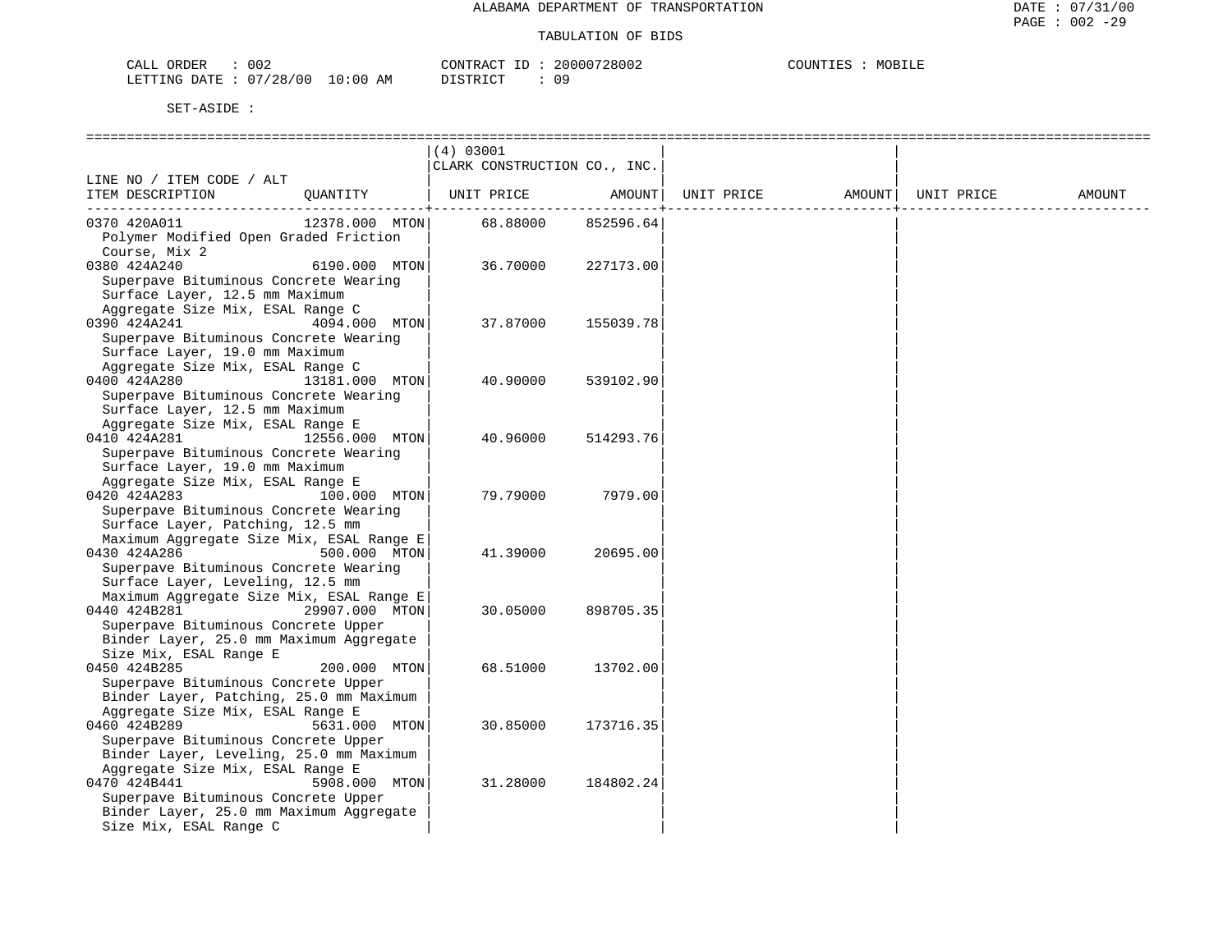| 002<br>CALL<br>ORDEF                                      | 20000728002<br>CONTR<br>u manam i             | COUNT<br>MOB.<br>ᆠᆈᄘ<br>متسلط . |
|-----------------------------------------------------------|-----------------------------------------------|---------------------------------|
| '28<br>100 V<br>ETTING<br>LO : 00<br>⊡ר∆רח<br>U 1<br>ᅭᅹᆂᆂ | AΜ<br>ידי איד פידי פידי<br>$\cap$ $\cap$<br>. |                                 |

|                                                                              |                | (4) 03001                    |           |            |        |            |        |
|------------------------------------------------------------------------------|----------------|------------------------------|-----------|------------|--------|------------|--------|
|                                                                              |                | CLARK CONSTRUCTION CO., INC. |           |            |        |            |        |
| LINE NO / ITEM CODE / ALT                                                    |                |                              |           |            |        |            |        |
| ITEM DESCRIPTION                                                             | OUANTITY       | UNIT PRICE                   | AMOUNT    | UNIT PRICE | AMOUNT | UNIT PRICE | AMOUNT |
| 0370 420A011                                                                 | 12378.000 MTON | 68.88000                     | 852596.64 |            |        |            |        |
| Polymer Modified Open Graded Friction                                        |                |                              |           |            |        |            |        |
| Course, Mix 2                                                                |                |                              |           |            |        |            |        |
| 0380 424A240                                                                 | 6190.000 MTON  | 36.70000                     | 227173.00 |            |        |            |        |
| Superpave Bituminous Concrete Wearing                                        |                |                              |           |            |        |            |        |
| Surface Layer, 12.5 mm Maximum                                               |                |                              |           |            |        |            |        |
| Aggregate Size Mix, ESAL Range C                                             |                |                              |           |            |        |            |        |
| 0390 424A241                                                                 | 4094.000 MTON  | 37.87000                     | 155039.78 |            |        |            |        |
| Superpave Bituminous Concrete Wearing<br>Surface Layer, 19.0 mm Maximum      |                |                              |           |            |        |            |        |
| Aggregate Size Mix, ESAL Range C                                             |                |                              |           |            |        |            |        |
| 0400 424A280                                                                 | 13181.000 MTON | 40.90000                     | 539102.90 |            |        |            |        |
| Superpave Bituminous Concrete Wearing                                        |                |                              |           |            |        |            |        |
| Surface Layer, 12.5 mm Maximum                                               |                |                              |           |            |        |            |        |
| Aggregate Size Mix, ESAL Range E                                             |                |                              |           |            |        |            |        |
| 0410 424A281                                                                 | 12556.000 MTON | 40.96000                     | 514293.76 |            |        |            |        |
| Superpave Bituminous Concrete Wearing                                        |                |                              |           |            |        |            |        |
| Surface Layer, 19.0 mm Maximum                                               |                |                              |           |            |        |            |        |
| Aggregate Size Mix, ESAL Range E                                             |                |                              |           |            |        |            |        |
| 0420 424A283                                                                 | 100.000 MTON   | 79.79000                     | 7979.00   |            |        |            |        |
| Superpave Bituminous Concrete Wearing                                        |                |                              |           |            |        |            |        |
| Surface Layer, Patching, 12.5 mm                                             |                |                              |           |            |        |            |        |
| Maximum Aggregate Size Mix, ESAL Range E                                     |                |                              |           |            |        |            |        |
| 0430 424A286                                                                 | 500.000 MTON   | 41.39000                     | 20695.00  |            |        |            |        |
| Superpave Bituminous Concrete Wearing                                        |                |                              |           |            |        |            |        |
| Surface Layer, Leveling, 12.5 mm<br>Maximum Aggregate Size Mix, ESAL Range E |                |                              |           |            |        |            |        |
| 0440 424B281                                                                 | 29907.000 MTON | 30.05000                     | 898705.35 |            |        |            |        |
| Superpave Bituminous Concrete Upper                                          |                |                              |           |            |        |            |        |
| Binder Layer, 25.0 mm Maximum Aggregate                                      |                |                              |           |            |        |            |        |
| Size Mix, ESAL Range E                                                       |                |                              |           |            |        |            |        |
| 0450 424B285                                                                 | 200.000 MTON   | 68.51000                     | 13702.00  |            |        |            |        |
| Superpave Bituminous Concrete Upper                                          |                |                              |           |            |        |            |        |
| Binder Layer, Patching, 25.0 mm Maximum                                      |                |                              |           |            |        |            |        |
| Aggregate Size Mix, ESAL Range E                                             |                |                              |           |            |        |            |        |
| 0460 424B289                                                                 | 5631.000 MTON  | 30.85000                     | 173716.35 |            |        |            |        |
| Superpave Bituminous Concrete Upper                                          |                |                              |           |            |        |            |        |
| Binder Layer, Leveling, 25.0 mm Maximum                                      |                |                              |           |            |        |            |        |
| Aggregate Size Mix, ESAL Range E                                             |                |                              |           |            |        |            |        |
| 0470 424B441<br>Superpave Bituminous Concrete Upper                          | 5908.000 MTON  | 31,28000                     | 184802.24 |            |        |            |        |
| Binder Layer, 25.0 mm Maximum Aggregate                                      |                |                              |           |            |        |            |        |
| Size Mix, ESAL Range C                                                       |                |                              |           |            |        |            |        |
|                                                                              |                |                              |           |            |        |            |        |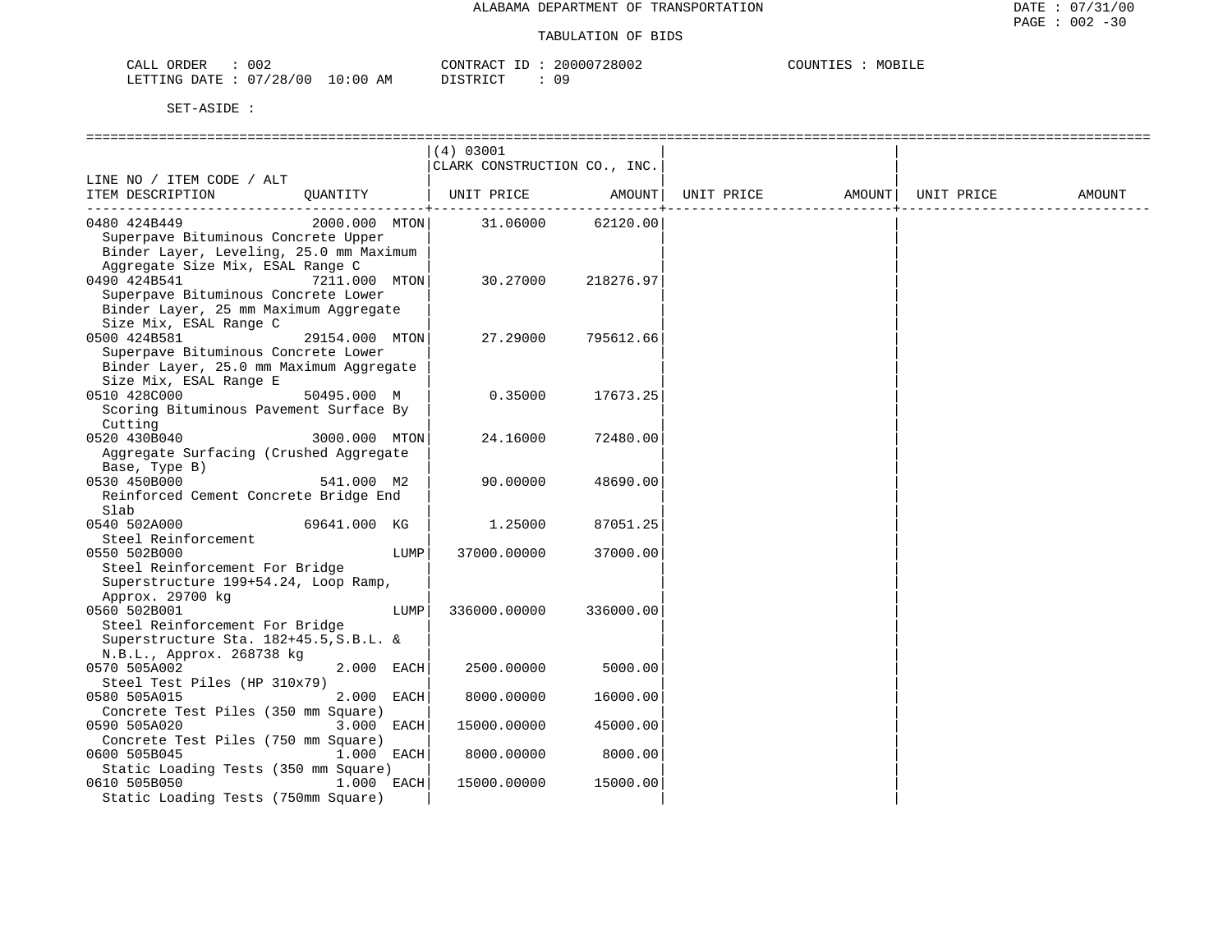| CALL ORDER             | 002 |          | CONTRACT | 20000728002 | COUNTIES | MOBILE |
|------------------------|-----|----------|----------|-------------|----------|--------|
| LETTING DATE: 07/28/00 |     | 10:00 AM | DISTRICT | 0 9         |          |        |

|                                                                                                                                    |                |      | (4) 03001<br>CLARK CONSTRUCTION CO., INC. |           |                                |  |        |
|------------------------------------------------------------------------------------------------------------------------------------|----------------|------|-------------------------------------------|-----------|--------------------------------|--|--------|
| LINE NO / ITEM CODE / ALT<br>ITEM DESCRIPTION                                                                                      |                |      | QUANTITY   UNIT PRICE AMOUNT              |           | UNIT PRICE AMOUNT   UNIT PRICE |  | AMOUNT |
| 0480 424B449<br>Superpave Bituminous Concrete Upper<br>Binder Layer, Leveling, 25.0 mm Maximum<br>Aggregate Size Mix, ESAL Range C | 2000.000 MTON  |      | 31.06000                                  | 62120.00  |                                |  |        |
| 0490 424B541<br>Superpave Bituminous Concrete Lower<br>Binder Layer, 25 mm Maximum Aggregate<br>Size Mix, ESAL Range C             | 7211.000 MTON  |      | 30.27000                                  | 218276.97 |                                |  |        |
| 0500 424B581<br>Superpave Bituminous Concrete Lower<br>Binder Layer, 25.0 mm Maximum Aggregate<br>Size Mix, ESAL Range E           | 29154.000 MTON |      | 27.29000                                  | 795612.66 |                                |  |        |
| 0510 428C000<br>Scoring Bituminous Pavement Surface By<br>Cutting                                                                  | 50495.000 M    |      | 0.35000                                   | 17673.25  |                                |  |        |
| 0520 430B040<br>Aggregate Surfacing (Crushed Aggregate<br>Base, Type B)                                                            | 3000.000 MTON  |      | 24.16000                                  | 72480.00  |                                |  |        |
| 0530 450B000<br>Reinforced Cement Concrete Bridge End<br>Slab                                                                      | 541.000 M2     |      | 90.00000                                  | 48690.00  |                                |  |        |
| 0540 502A000<br>Steel Reinforcement                                                                                                | 69641.000 KG   |      | 1.25000                                   | 87051.25  |                                |  |        |
| 0550 502B000<br>Steel Reinforcement For Bridge<br>Superstructure 199+54.24, Loop Ramp,<br>Approx. 29700 kg                         |                | LUMP | 37000.00000                               | 37000.00  |                                |  |        |
| 0560 502B001<br>Steel Reinforcement For Bridge<br>Superstructure Sta. 182+45.5, S.B.L. &<br>N.B.L., Approx. 268738 kg              |                | LUMP | 336000.00000                              | 336000.00 |                                |  |        |
| 0570 505A002<br>Steel Test Piles (HP 310x79)                                                                                       | 2.000 EACH     |      | 2500.00000                                | 5000.00   |                                |  |        |
| 0580 505A015<br>Concrete Test Piles (350 mm Square)                                                                                | 2.000 EACH     |      | 8000.00000                                | 16000.00  |                                |  |        |
| 0590 505A020<br>Concrete Test Piles (750 mm Square)                                                                                | 3.000 EACH     |      | 15000.00000                               | 45000.00  |                                |  |        |
| 0600 505B045<br>Static Loading Tests (350 mm Square)                                                                               | 1.000 EACH     |      | 8000.00000                                | 8000.00   |                                |  |        |
| 0610 505B050<br>Static Loading Tests (750mm Square)                                                                                | 1.000 EACH     |      | 15000.00000                               | 15000.00  |                                |  |        |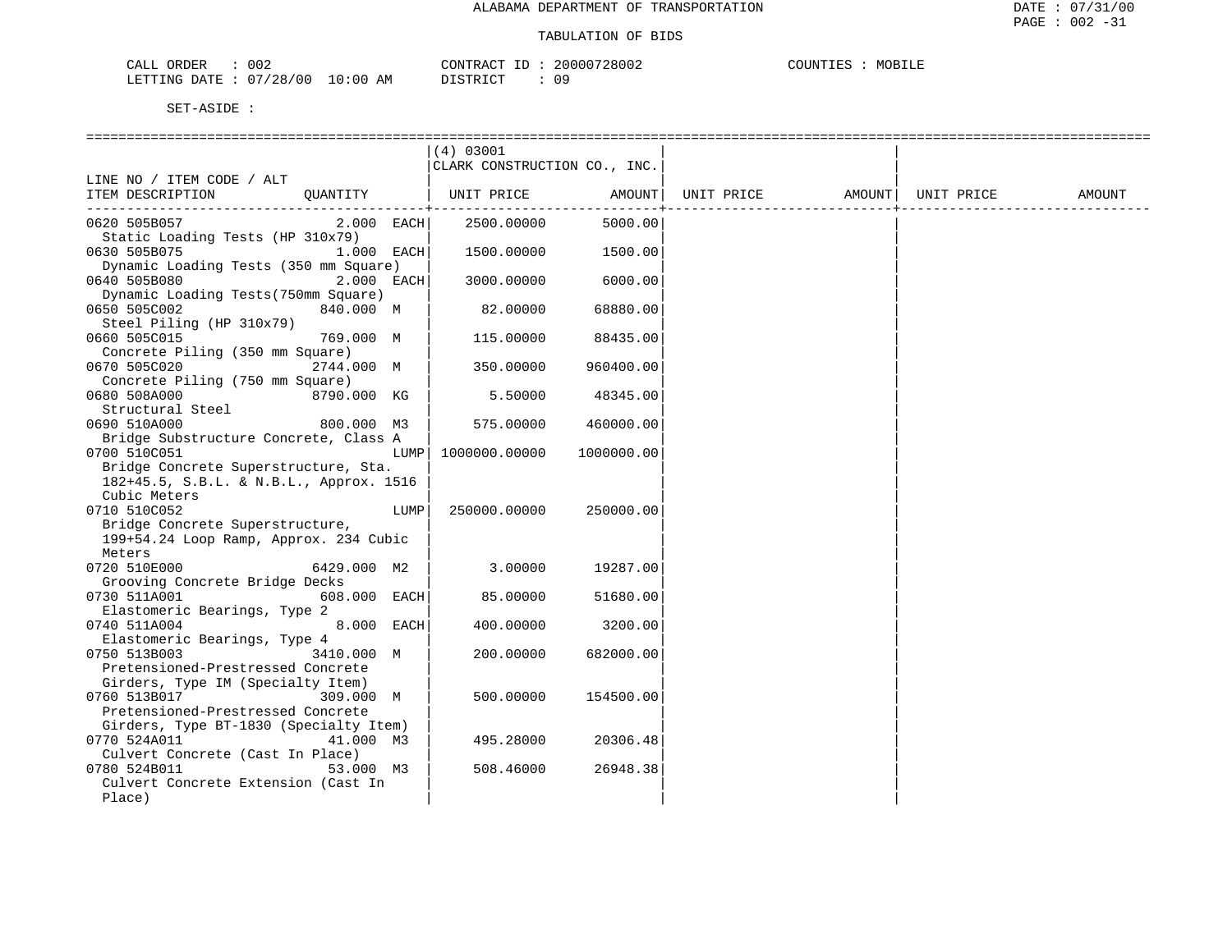| ORDER<br>CALL          | 002 |             | TD.<br>CONTRACT | 20000728002 | COUNTIES | MOBILE |
|------------------------|-----|-------------|-----------------|-------------|----------|--------|
| LETTING DATE: 07/28/00 |     | 10:00<br>ΆM | חימים דת        |             |          |        |

|                                                                    | $(4)$ 03001                  |                         |            |        |            |        |
|--------------------------------------------------------------------|------------------------------|-------------------------|------------|--------|------------|--------|
|                                                                    | CLARK CONSTRUCTION CO., INC. |                         |            |        |            |        |
| LINE NO / ITEM CODE / ALT                                          |                              |                         |            |        |            |        |
| ITEM DESCRIPTION<br>OUANTITY                                       | UNIT PRICE                   | AMOUNT<br>$- - - - - -$ | UNIT PRICE | AMOUNT | UNIT PRICE | AMOUNT |
| 0620 505B057<br>2.000 EACH                                         | 2500.00000                   | 5000.00                 |            |        |            |        |
| Static Loading Tests (HP 310x79)                                   |                              |                         |            |        |            |        |
| 1.000 EACH<br>0630 505B075                                         | 1500.00000                   | 1500.00                 |            |        |            |        |
| Dynamic Loading Tests (350 mm Square)                              |                              |                         |            |        |            |        |
| 0640 505B080<br>2.000 EACH<br>Dynamic Loading Tests (750mm Square) | 3000.00000                   | 6000.00                 |            |        |            |        |
| 840.000 M<br>0650 505C002                                          | 82.00000                     | 68880.00                |            |        |            |        |
| Steel Piling (HP 310x79)                                           |                              |                         |            |        |            |        |
| 0660 505C015<br>769.000 M                                          | 115.00000                    | 88435.00                |            |        |            |        |
| Concrete Piling (350 mm Square)                                    |                              |                         |            |        |            |        |
| 0670 505C020<br>2744.000 M<br>Concrete Piling (750 mm Square)      | 350.00000                    | 960400.00               |            |        |            |        |
| 0680 508A000<br>8790.000 KG                                        | 5.50000                      | 48345.00                |            |        |            |        |
| Structural Steel                                                   |                              |                         |            |        |            |        |
| 0690 510A000<br>800.000 M3                                         | 575.00000                    | 460000.00               |            |        |            |        |
| Bridge Substructure Concrete, Class A                              |                              |                         |            |        |            |        |
| 0700 510C051<br><b>LUMP</b>                                        | 1000000.00000                | 1000000.00              |            |        |            |        |
| Bridge Concrete Superstructure, Sta.                               |                              |                         |            |        |            |        |
| 182+45.5, S.B.L. & N.B.L., Approx. 1516<br>Cubic Meters            |                              |                         |            |        |            |        |
| 0710 510C052<br>LUMP                                               | 250000.00000                 | 250000.00               |            |        |            |        |
| Bridge Concrete Superstructure,                                    |                              |                         |            |        |            |        |
| 199+54.24 Loop Ramp, Approx. 234 Cubic                             |                              |                         |            |        |            |        |
| Meters                                                             |                              |                         |            |        |            |        |
| 0720 510E000<br>6429.000 M2                                        | 3.00000                      | 19287.00                |            |        |            |        |
| Grooving Concrete Bridge Decks                                     |                              |                         |            |        |            |        |
| 0730 511A001<br>608.000 EACH<br>Elastomeric Bearings, Type 2       | 85.00000                     | 51680.00                |            |        |            |        |
| 0740 511A004<br>8.000 EACH                                         | 400.00000                    | 3200.00                 |            |        |            |        |
| Elastomeric Bearings, Type 4                                       |                              |                         |            |        |            |        |
| 3410.000 M<br>0750 513B003                                         | 200.00000                    | 682000.00               |            |        |            |        |
| Pretensioned-Prestressed Concrete                                  |                              |                         |            |        |            |        |
| Girders, Type IM (Specialty Item)                                  |                              |                         |            |        |            |        |
| 0760 513B017<br>309.000 M<br>Pretensioned-Prestressed Concrete     | 500.00000                    | 154500.00               |            |        |            |        |
| Girders, Type BT-1830 (Specialty Item)                             |                              |                         |            |        |            |        |
| 0770 524A011<br>41.000 M3                                          | 495.28000                    | 20306.48                |            |        |            |        |
| Culvert Concrete (Cast In Place)                                   |                              |                         |            |        |            |        |
| 0780 524B011<br>53.000 M3                                          | 508.46000                    | 26948.38                |            |        |            |        |
| Culvert Concrete Extension (Cast In                                |                              |                         |            |        |            |        |
| Place)                                                             |                              |                         |            |        |            |        |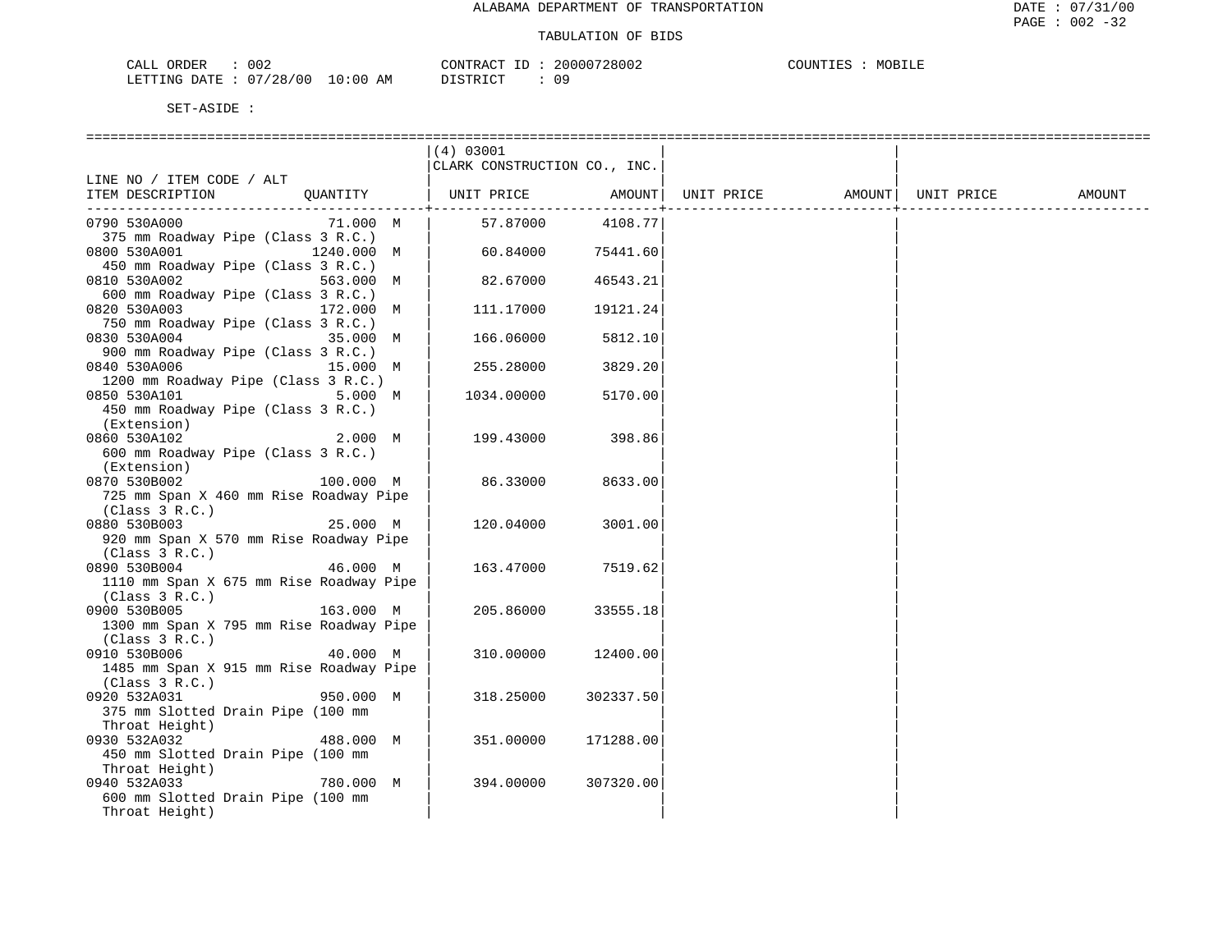| CALL ORDER                       | 002 |          | CONTRACT ID: 20000728002 | COUNTIES | MOBILE |
|----------------------------------|-----|----------|--------------------------|----------|--------|
| LETTING DATE : 07/28/00 10:00 AM |     | DISTRICT |                          |          |        |

|                                         | (4) 03001                    |           |            |        |            |        |
|-----------------------------------------|------------------------------|-----------|------------|--------|------------|--------|
|                                         | CLARK CONSTRUCTION CO., INC. |           |            |        |            |        |
| LINE NO / ITEM CODE / ALT               |                              |           |            |        |            |        |
| ITEM DESCRIPTION<br>QUANTITY            | UNIT PRICE                   | AMOUNT    | UNIT PRICE | AMOUNT | UNIT PRICE | AMOUNT |
|                                         |                              |           |            |        |            |        |
| 71.000 M<br>0790 530A000                | 57.87000                     | 4108.77   |            |        |            |        |
| 375 mm Roadway Pipe (Class 3 R.C.)      |                              |           |            |        |            |        |
| 0800 530A001<br>1240.000 M              | 60.84000                     | 75441.60  |            |        |            |        |
| 450 mm Roadway Pipe (Class 3 R.C.)      |                              |           |            |        |            |        |
| 0810 530A002<br>563.000 M               | 82.67000                     | 46543.21  |            |        |            |        |
| 600 mm Roadway Pipe (Class 3 R.C.)      |                              |           |            |        |            |        |
| 0820 530A003<br>172.000 M               | 111.17000                    | 19121.24  |            |        |            |        |
| 750 mm Roadway Pipe (Class 3 R.C.)      |                              |           |            |        |            |        |
| 0830 530A004<br>35.000 M                | 166.06000                    | 5812.10   |            |        |            |        |
| 900 mm Roadway Pipe (Class 3 R.C.)      |                              |           |            |        |            |        |
| 0840 530A006<br>15.000 M                | 255.28000                    | 3829.20   |            |        |            |        |
| 1200 mm Roadway Pipe (Class 3 R.C.)     |                              |           |            |        |            |        |
| 0850 530A101<br>5.000 M                 | 1034.00000                   | 5170.00   |            |        |            |        |
| 450 mm Roadway Pipe (Class 3 R.C.)      |                              |           |            |        |            |        |
| (Extension)                             |                              |           |            |        |            |        |
| 0860 530A102<br>2.000 M                 | 199.43000                    | 398.86    |            |        |            |        |
| 600 mm Roadway Pipe (Class 3 R.C.)      |                              |           |            |        |            |        |
| (Extension)                             |                              |           |            |        |            |        |
| 0870 530B002<br>100.000 M               | 86.33000                     | 8633.00   |            |        |            |        |
| 725 mm Span X 460 mm Rise Roadway Pipe  |                              |           |            |        |            |        |
| (Class 3 R.C.)                          |                              |           |            |        |            |        |
| 0880 530B003<br>25.000 M                | 120.04000                    | 3001.00   |            |        |            |        |
| 920 mm Span X 570 mm Rise Roadway Pipe  |                              |           |            |        |            |        |
| (Class 3 R.C.)                          |                              |           |            |        |            |        |
| 0890 530B004<br>46.000 M                | 163.47000                    | 7519.62   |            |        |            |        |
| 1110 mm Span X 675 mm Rise Roadway Pipe |                              |           |            |        |            |        |
| (Class 3 R.C.)                          |                              |           |            |        |            |        |
| 0900 530B005<br>163.000 M               | 205.86000                    | 33555.18  |            |        |            |        |
| 1300 mm Span X 795 mm Rise Roadway Pipe |                              |           |            |        |            |        |
| (Class 3 R.C.)                          |                              |           |            |        |            |        |
| 0910 530B006<br>40.000 M                | 310.00000                    | 12400.00  |            |        |            |        |
| 1485 mm Span X 915 mm Rise Roadway Pipe |                              |           |            |        |            |        |
| (Class 3 R.C.)                          |                              |           |            |        |            |        |
| 0920 532A031<br>950.000 M               | 318.25000                    | 302337.50 |            |        |            |        |
| 375 mm Slotted Drain Pipe (100 mm       |                              |           |            |        |            |        |
| Throat Height)                          |                              |           |            |        |            |        |
| 0930 532A032<br>488.000 M               | 351,00000                    | 171288.00 |            |        |            |        |
| 450 mm Slotted Drain Pipe (100 mm       |                              |           |            |        |            |        |
| Throat Height)                          |                              |           |            |        |            |        |
| 0940 532A033<br>780.000 M               | 394.00000                    | 307320.00 |            |        |            |        |
| 600 mm Slotted Drain Pipe (100 mm       |                              |           |            |        |            |        |
| Throat Height)                          |                              |           |            |        |            |        |
|                                         |                              |           |            |        |            |        |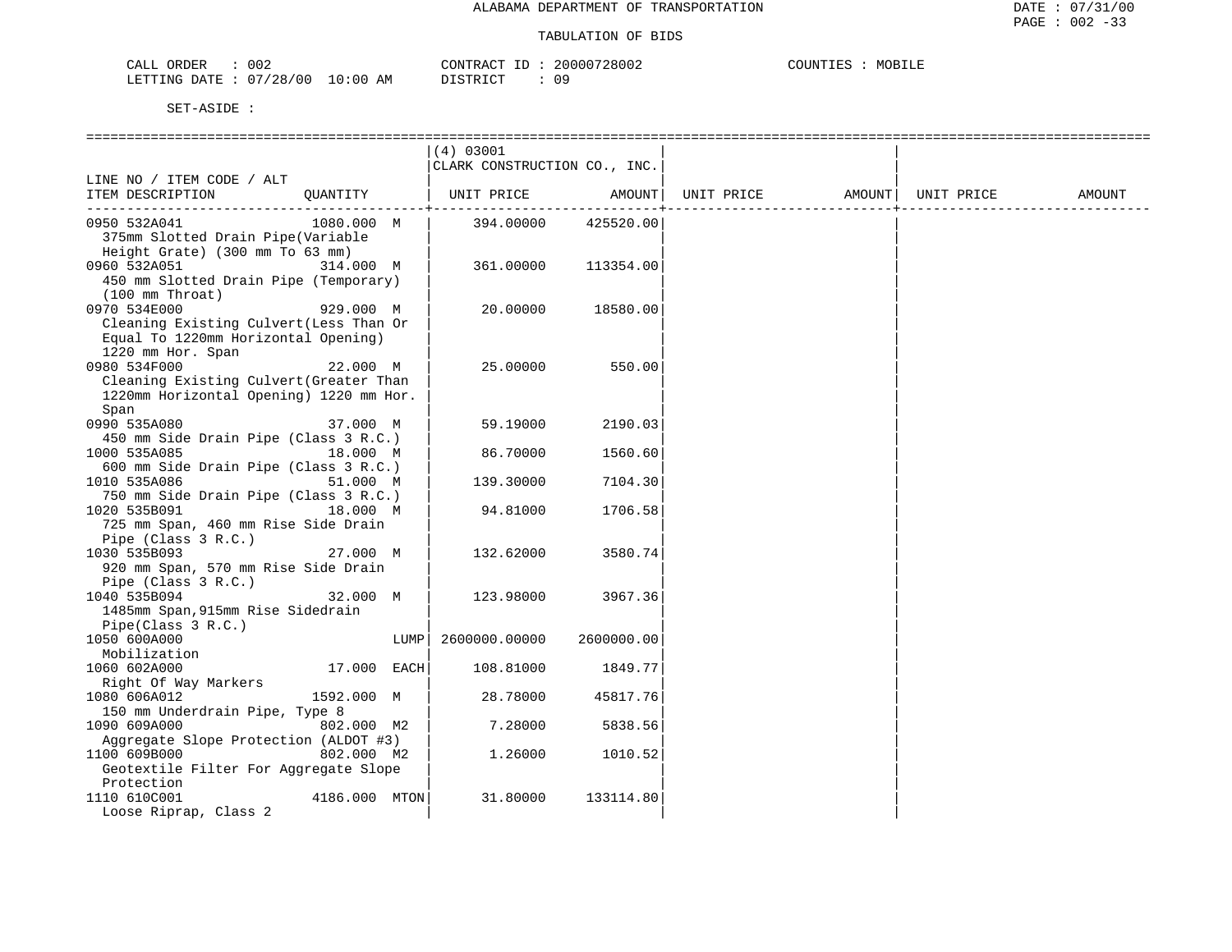| 002<br>CALL ORDER               | CONTRACT ID: | 20000728002 | COUNTIES<br>MOBILE |
|---------------------------------|--------------|-------------|--------------------|
| LETTING DATE: 07/28/00 10:00 AM | DISTRICT     | 09          |                    |

|                                                                     | (4) 03001                    |            |            |        |            |        |
|---------------------------------------------------------------------|------------------------------|------------|------------|--------|------------|--------|
|                                                                     | CLARK CONSTRUCTION CO., INC. |            |            |        |            |        |
| LINE NO / ITEM CODE / ALT                                           |                              |            |            |        |            |        |
| ITEM DESCRIPTION<br>OUANTITY                                        | UNIT PRICE                   | AMOUNT     | UNIT PRICE | AMOUNT | UNIT PRICE | AMOUNT |
|                                                                     |                              |            |            |        |            |        |
| 0950 532A041<br>1080.000 M                                          | 394.00000                    | 425520.00  |            |        |            |        |
| 375mm Slotted Drain Pipe (Variable                                  |                              |            |            |        |            |        |
| Height Grate) (300 mm To 63 mm)                                     |                              |            |            |        |            |        |
| 0960 532A051<br>314.000 M                                           | 361.00000                    | 113354.00  |            |        |            |        |
| 450 mm Slotted Drain Pipe (Temporary)                               |                              |            |            |        |            |        |
| $(100 \, \text{mm} \, \text{Throat})$                               |                              |            |            |        |            |        |
| 0970 534E000<br>929.000 M                                           | 20.00000                     | 18580.00   |            |        |            |        |
| Cleaning Existing Culvert (Less Than Or                             |                              |            |            |        |            |        |
| Equal To 1220mm Horizontal Opening)                                 |                              |            |            |        |            |        |
| 1220 mm Hor. Span                                                   |                              |            |            |        |            |        |
| 0980 534F000<br>22.000 M<br>Cleaning Existing Culvert (Greater Than | 25.00000                     | 550.00     |            |        |            |        |
| 1220mm Horizontal Opening) 1220 mm Hor.                             |                              |            |            |        |            |        |
|                                                                     |                              |            |            |        |            |        |
| Span<br>0990 535A080<br>37.000 M                                    | 59.19000                     | 2190.03    |            |        |            |        |
| 450 mm Side Drain Pipe (Class 3 R.C.)                               |                              |            |            |        |            |        |
| 1000 535A085<br>18.000 M                                            | 86.70000                     | 1560.60    |            |        |            |        |
| 600 mm Side Drain Pipe (Class 3 R.C.)                               |                              |            |            |        |            |        |
| 1010 535A086<br>51.000 M                                            | 139.30000                    | 7104.30    |            |        |            |        |
| 750 mm Side Drain Pipe (Class 3 R.C.)                               |                              |            |            |        |            |        |
| 1020 535B091<br>18.000 M                                            | 94.81000                     | 1706.58    |            |        |            |        |
| 725 mm Span, 460 mm Rise Side Drain                                 |                              |            |            |        |            |        |
| Pipe (Class 3 R.C.)                                                 |                              |            |            |        |            |        |
| 1030 535B093<br>27.000 M                                            | 132.62000                    | 3580.74    |            |        |            |        |
| 920 mm Span, 570 mm Rise Side Drain                                 |                              |            |            |        |            |        |
| Pipe (Class 3 R.C.)                                                 |                              |            |            |        |            |        |
| 32.000 M<br>1040 535B094                                            | 123.98000                    | 3967.36    |            |        |            |        |
| 1485mm Span, 915mm Rise Sidedrain                                   |                              |            |            |        |            |        |
| Pipe(Class 3 R.C.)                                                  |                              |            |            |        |            |        |
| 1050 600A000<br>LUMP                                                | 2600000.00000                | 2600000.00 |            |        |            |        |
| Mobilization                                                        |                              |            |            |        |            |        |
| 17.000 EACH<br>1060 602A000                                         | 108.81000                    | 1849.77    |            |        |            |        |
| Right Of Way Markers                                                |                              |            |            |        |            |        |
| 1080 606A012<br>1592.000 M                                          | 28.78000                     | 45817.76   |            |        |            |        |
| 150 mm Underdrain Pipe, Type 8                                      |                              |            |            |        |            |        |
| 1090 609A000<br>802.000 M2                                          | 7.28000                      | 5838.56    |            |        |            |        |
| Aggregate Slope Protection (ALDOT #3)                               |                              |            |            |        |            |        |
| 1100 609B000<br>802.000 M2                                          | 1.26000                      | 1010.52    |            |        |            |        |
| Geotextile Filter For Aggregate Slope                               |                              |            |            |        |            |        |
| Protection                                                          |                              |            |            |        |            |        |
| 4186.000 MTON<br>1110 610C001                                       | 31.80000                     | 133114.80  |            |        |            |        |
| Loose Riprap, Class 2                                               |                              |            |            |        |            |        |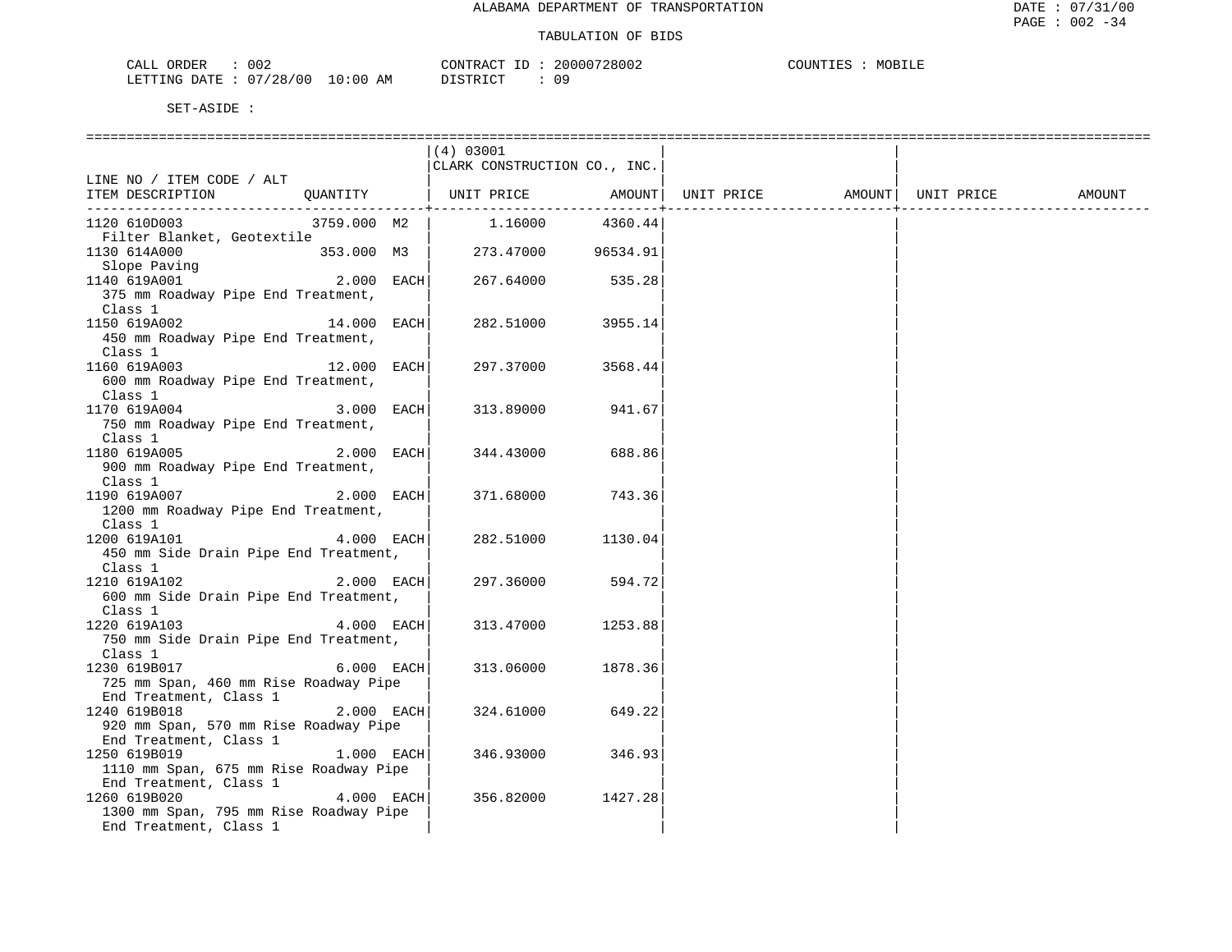| 002<br>CALL<br>ORDER                 | CONTR<br>ີ່ ∴⊦¤ ∑ຕີ | 20000728002 | TUTIOT<br>MOB<br>۳ سا ہ<br>人口行 |
|--------------------------------------|---------------------|-------------|--------------------------------|
| /28<br>07<br>'00<br>LETTING<br>חים∆ח | AΜ<br>ד פידיף דרו   | n 6.        |                                |

|                                               |               | (4) 03001                    |         |            |                    |        |
|-----------------------------------------------|---------------|------------------------------|---------|------------|--------------------|--------|
|                                               |               | CLARK CONSTRUCTION CO., INC. |         |            |                    |        |
| LINE NO / ITEM CODE / ALT<br>ITEM DESCRIPTION | QUANTITY      | UNIT PRICE                   | AMOUNT  | UNIT PRICE | AMOUNT  UNIT PRICE | AMOUNT |
|                                               |               |                              |         |            |                    |        |
| 1120 610D003                                  | 3759.000 M2   | 1.16000                      | 4360.44 |            |                    |        |
| Filter Blanket, Geotextile                    |               |                              |         |            |                    |        |
| 1130 614A000                                  | 353.000 M3    | 273.47000 96534.91           |         |            |                    |        |
| Slope Paving                                  |               |                              |         |            |                    |        |
| 1140 619A001                                  | $2.000$ EACH  | 267.64000                    | 535.28  |            |                    |        |
| 375 mm Roadway Pipe End Treatment,            |               |                              |         |            |                    |        |
| Class 1                                       |               |                              |         |            |                    |        |
| 1150 619A002                                  | 14.000 EACH   | 282.51000                    | 3955.14 |            |                    |        |
| 450 mm Roadway Pipe End Treatment,            |               |                              |         |            |                    |        |
| Class 1                                       |               |                              |         |            |                    |        |
| 1160 619A003                                  | $12.000$ EACH | 297.37000                    | 3568.44 |            |                    |        |
| 600 mm Roadway Pipe End Treatment,            |               |                              |         |            |                    |        |
| Class 1                                       |               |                              |         |            |                    |        |
| 1170 619A004                                  | 3.000 EACH    | 313.89000                    | 941.67  |            |                    |        |
| 750 mm Roadway Pipe End Treatment,            |               |                              |         |            |                    |        |
| Class 1                                       |               |                              |         |            |                    |        |
| 1180 619A005                                  | 2.000 EACH    | 344.43000                    | 688.86  |            |                    |        |
| 900 mm Roadway Pipe End Treatment,<br>Class 1 |               |                              |         |            |                    |        |
| 1190 619A007                                  | 2.000 EACH    | 371.68000                    | 743.36  |            |                    |        |
| 1200 mm Roadway Pipe End Treatment,           |               |                              |         |            |                    |        |
| Class 1                                       |               |                              |         |            |                    |        |
| 1200 619A101                                  | $4.000$ EACH  | 282.51000                    | 1130.04 |            |                    |        |
| 450 mm Side Drain Pipe End Treatment,         |               |                              |         |            |                    |        |
| Class 1                                       |               |                              |         |            |                    |        |
| 1210 619A102                                  | 2.000 EACH    | 297.36000                    | 594.72  |            |                    |        |
| 600 mm Side Drain Pipe End Treatment,         |               |                              |         |            |                    |        |
| Class 1                                       |               |                              |         |            |                    |        |
| 1220 619A103                                  | 4.000 EACH    | 313.47000                    | 1253.88 |            |                    |        |
| 750 mm Side Drain Pipe End Treatment,         |               |                              |         |            |                    |        |
| Class 1                                       |               |                              |         |            |                    |        |
| 1230 619B017                                  | 6.000 EACH    | 313.06000                    | 1878.36 |            |                    |        |
| 725 mm Span, 460 mm Rise Roadway Pipe         |               |                              |         |            |                    |        |
| End Treatment, Class 1                        |               |                              |         |            |                    |        |
| 1240 619B018                                  | $2.000$ EACH  | 324.61000                    | 649.22  |            |                    |        |
| 920 mm Span, 570 mm Rise Roadway Pipe         |               |                              |         |            |                    |        |
| End Treatment, Class 1                        |               |                              |         |            |                    |        |
| 1250 619B019                                  | $1.000$ EACH  | 346.93000                    | 346.93  |            |                    |        |
| 1110 mm Span, 675 mm Rise Roadway Pipe        |               |                              |         |            |                    |        |
| End Treatment, Class 1<br>1260 619B020        | 4.000 EACH    | 356.82000                    | 1427.28 |            |                    |        |
| 1300 mm Span, 795 mm Rise Roadway Pipe        |               |                              |         |            |                    |        |
| End Treatment, Class 1                        |               |                              |         |            |                    |        |
|                                               |               |                              |         |            |                    |        |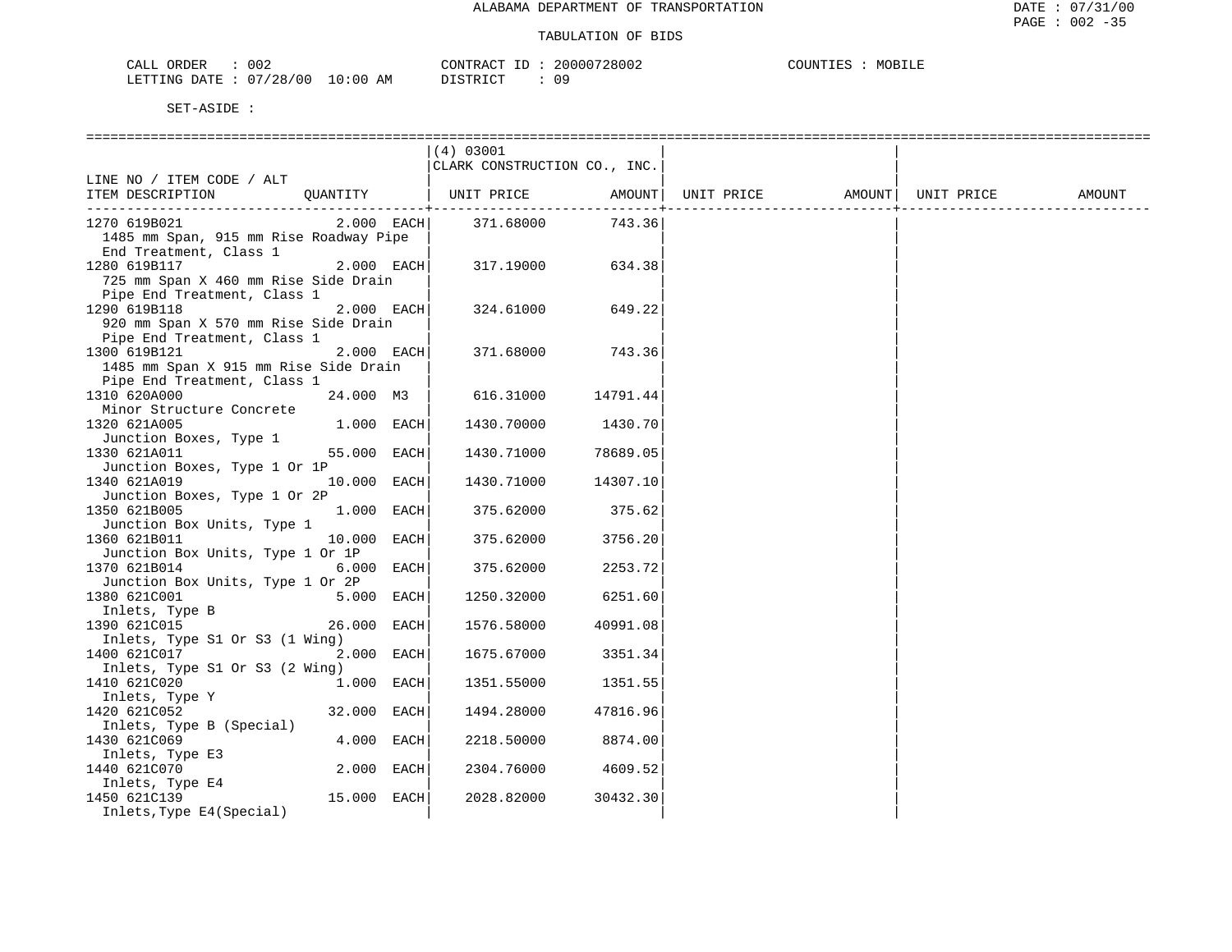| CALL ORDER                      | 002 | CONTRACT ID: | 20000728002 | COUNTIES : | MOBILE |
|---------------------------------|-----|--------------|-------------|------------|--------|
| LETTING DATE: 07/28/00 10:00 AM |     | DISTRICT     | 09          |            |        |

|                                                           | (4) 03001                    |          |            |                    |        |
|-----------------------------------------------------------|------------------------------|----------|------------|--------------------|--------|
|                                                           | CLARK CONSTRUCTION CO., INC. |          |            |                    |        |
| LINE NO / ITEM CODE / ALT                                 |                              |          |            |                    |        |
| QUANTITY<br>ITEM DESCRIPTION                              | UNIT PRICE AMOUNT            |          | UNIT PRICE | AMOUNT  UNIT PRICE | AMOUNT |
|                                                           |                              |          |            |                    |        |
| $2.000$ EACH<br>1270 619B021                              | 371.68000                    | 743.36   |            |                    |        |
| 1485 mm Span, 915 mm Rise Roadway Pipe                    |                              |          |            |                    |        |
| End Treatment, Class 1                                    |                              |          |            |                    |        |
| 1280 619B117<br>2.000 EACH                                | 317.19000                    | 634.38   |            |                    |        |
| 725 mm Span X 460 mm Rise Side Drain                      |                              |          |            |                    |        |
| Pipe End Treatment, Class 1                               |                              |          |            |                    |        |
| 1290 619B118<br>2.000 EACH                                | 324.61000                    | 649.22   |            |                    |        |
| 920 mm Span X 570 mm Rise Side Drain                      |                              |          |            |                    |        |
| Pipe End Treatment, Class 1                               |                              |          |            |                    |        |
| 2.000 EACH<br>1300 619B121                                | 371.68000                    | 743.36   |            |                    |        |
| 1485 mm Span X 915 mm Rise Side Drain                     |                              |          |            |                    |        |
| Pipe End Treatment, Class 1                               |                              |          |            |                    |        |
| 24.000 M3<br>1310 620A000                                 | 616.31000                    | 14791.44 |            |                    |        |
| Minor Structure Concrete                                  |                              |          |            |                    |        |
| 1320 621A005<br>1.000 EACH                                | 1430.70000                   | 1430.70  |            |                    |        |
| Junction Boxes, Type 1                                    |                              |          |            |                    |        |
| 1330 621A011<br>55.000 EACH                               | 1430.71000                   | 78689.05 |            |                    |        |
| Junction Boxes, Type 1 Or 1P                              |                              |          |            |                    |        |
| 10.000 EACH<br>1340 621A019                               | 1430.71000                   | 14307.10 |            |                    |        |
| Junction Boxes, Type 1 Or 2P                              |                              |          |            |                    |        |
| $1.000$ EACH<br>1350 621B005                              | 375.62000                    | 375.62   |            |                    |        |
| Junction Box Units, Type 1<br>1360 621B011<br>10.000 EACH | 375.62000                    | 3756.20  |            |                    |        |
| Junction Box Units, Type 1 Or 1P                          |                              |          |            |                    |        |
| 6.000 EACH<br>1370 621B014                                | 375.62000                    | 2253.72  |            |                    |        |
| Junction Box Units, Type 1 Or 2P                          |                              |          |            |                    |        |
| 1380 621C001<br>5.000 EACH                                | 1250.32000                   | 6251.60  |            |                    |        |
| Inlets, Type B                                            |                              |          |            |                    |        |
| 1390 621C015<br>26.000 EACH                               | 1576.58000                   | 40991.08 |            |                    |        |
| Inlets, Type S1 Or S3 (1 Wing)                            |                              |          |            |                    |        |
| 2.000 EACH<br>1400 621C017                                | 1675.67000                   | 3351.34  |            |                    |        |
| Inlets, Type S1 Or S3 (2 Wing)                            |                              |          |            |                    |        |
| 1410 621C020<br>$1.000$ EACH                              | 1351.55000                   | 1351.55  |            |                    |        |
| Inlets, Type Y                                            |                              |          |            |                    |        |
| 32.000 EACH<br>1420 621C052                               | 1494.28000                   | 47816.96 |            |                    |        |
| Inlets, Type B (Special)                                  |                              |          |            |                    |        |
| 4.000 EACH<br>1430 621C069                                | 2218.50000                   | 8874.00  |            |                    |        |
| Inlets, Type E3                                           |                              |          |            |                    |        |
| 1440 621C070<br>2.000 EACH                                | 2304.76000                   | 4609.52  |            |                    |        |
| Inlets, Type E4                                           |                              |          |            |                    |        |
| 15.000 EACH<br>1450 621C139                               | 2028.82000                   | 30432.30 |            |                    |        |
| Inlets, Type E4(Special)                                  |                              |          |            |                    |        |
|                                                           |                              |          |            |                    |        |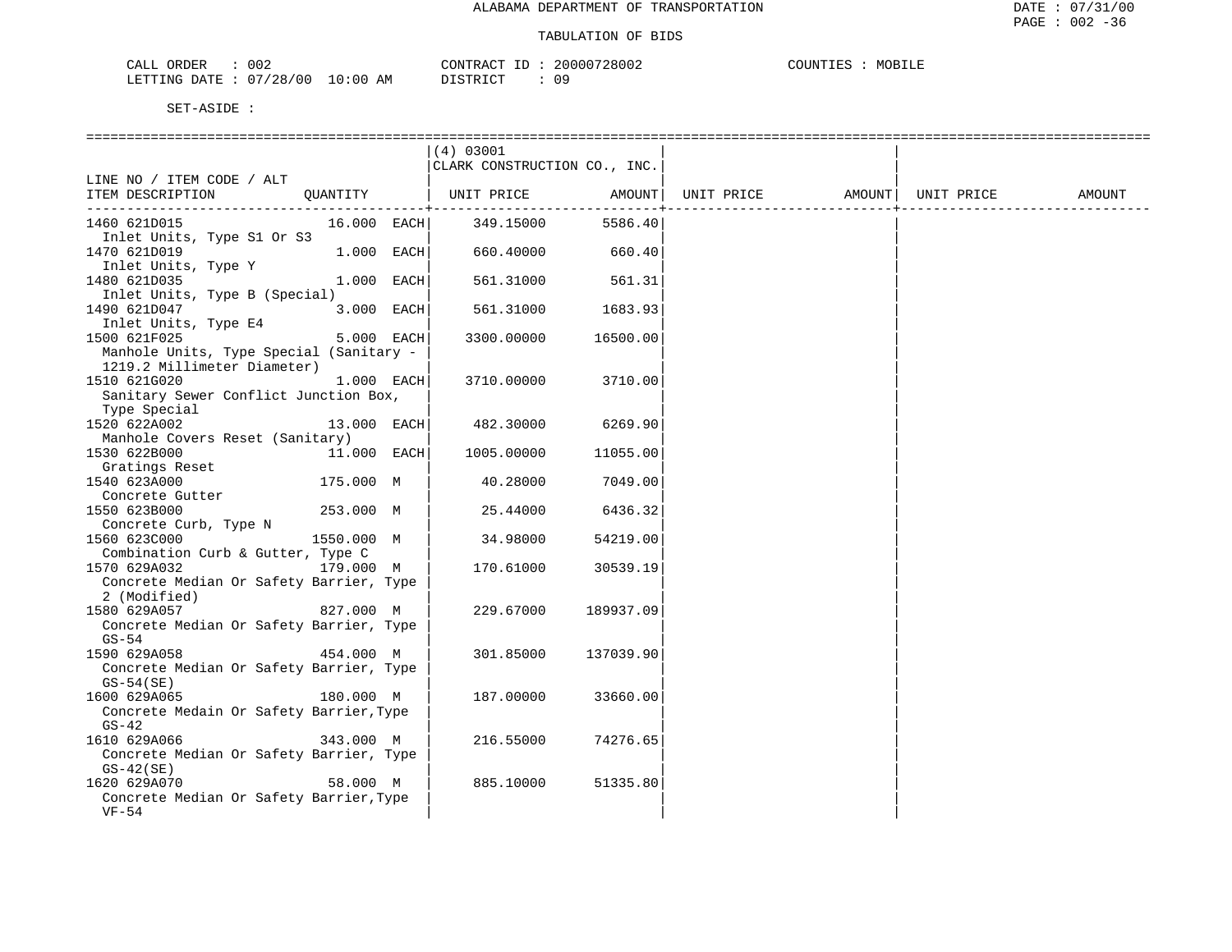| CALL ORDER             | 002 |          | CONTRACT | 20000728002 | COUNTIES | MOBILE |
|------------------------|-----|----------|----------|-------------|----------|--------|
| LETTING DATE: 07/28/00 |     | 10:00 AM | DISTRICT | Ωg          |          |        |

|                                                       |               |            | (4) 03001                    |           |            |        |            |        |
|-------------------------------------------------------|---------------|------------|------------------------------|-----------|------------|--------|------------|--------|
|                                                       |               |            | CLARK CONSTRUCTION CO., INC. |           |            |        |            |        |
| LINE NO / ITEM CODE / ALT                             |               |            |                              |           |            |        |            |        |
| ITEM DESCRIPTION                                      | OUANTITY      |            | UNIT PRICE                   | AMOUNT    | UNIT PRICE | AMOUNT | UNIT PRICE | AMOUNT |
| 1460 621D015                                          | $16.000$ EACH |            | 349.15000                    | 5586.40   |            |        |            |        |
| Inlet Units, Type S1 Or S3                            |               |            |                              |           |            |        |            |        |
| 1470 621D019                                          |               | 1.000 EACH | 660.40000                    | 660.40    |            |        |            |        |
| Inlet Units, Type Y                                   |               |            |                              |           |            |        |            |        |
| 1480 621D035                                          |               | 1.000 EACH | 561.31000                    | 561.31    |            |        |            |        |
| Inlet Units, Type B (Special)                         |               |            |                              |           |            |        |            |        |
| 1490 621D047                                          |               | 3.000 EACH | 561.31000                    | 1683.93   |            |        |            |        |
| Inlet Units, Type E4                                  |               |            |                              |           |            |        |            |        |
| 1500 621F025                                          | 5.000 EACH    |            | 3300.00000                   | 16500.00  |            |        |            |        |
| Manhole Units, Type Special (Sanitary -               |               |            |                              |           |            |        |            |        |
| 1219.2 Millimeter Diameter)                           |               |            |                              |           |            |        |            |        |
| 1510 621G020                                          |               | 1.000 EACH | 3710.00000                   | 3710.00   |            |        |            |        |
| Sanitary Sewer Conflict Junction Box,<br>Type Special |               |            |                              |           |            |        |            |        |
| 1520 622A002                                          | 13.000 EACH   |            | 482.30000                    | 6269.90   |            |        |            |        |
| Manhole Covers Reset (Sanitary)                       |               |            |                              |           |            |        |            |        |
| 1530 622B000                                          | 11.000 EACH   |            | 1005.00000                   | 11055.00  |            |        |            |        |
| Gratings Reset                                        |               |            |                              |           |            |        |            |        |
| 1540 623A000                                          | 175.000 M     |            | 40.28000                     | 7049.00   |            |        |            |        |
| Concrete Gutter                                       |               |            |                              |           |            |        |            |        |
| 1550 623B000                                          | 253.000 M     |            | 25.44000                     | 6436.32   |            |        |            |        |
| Concrete Curb, Type N                                 |               |            |                              |           |            |        |            |        |
| 1560 623C000                                          | 1550.000 M    |            | 34.98000                     | 54219.00  |            |        |            |        |
| Combination Curb & Gutter, Type C                     |               |            |                              |           |            |        |            |        |
| 1570 629A032                                          | 179.000 M     |            | 170.61000                    | 30539.19  |            |        |            |        |
| Concrete Median Or Safety Barrier, Type               |               |            |                              |           |            |        |            |        |
| 2 (Modified)                                          |               |            |                              |           |            |        |            |        |
| 1580 629A057                                          | 827.000 M     |            | 229.67000                    | 189937.09 |            |        |            |        |
| Concrete Median Or Safety Barrier, Type<br>$GS-54$    |               |            |                              |           |            |        |            |        |
| 1590 629A058                                          | 454.000 M     |            | 301.85000                    | 137039.90 |            |        |            |        |
| Concrete Median Or Safety Barrier, Type               |               |            |                              |           |            |        |            |        |
| $GS-54(SE)$                                           |               |            |                              |           |            |        |            |        |
| 1600 629A065                                          | 180.000 M     |            | 187.00000                    | 33660.00  |            |        |            |        |
| Concrete Medain Or Safety Barrier, Type               |               |            |                              |           |            |        |            |        |
| $GS-42$                                               |               |            |                              |           |            |        |            |        |
| 1610 629A066                                          | 343.000 M     |            | 216.55000                    | 74276.65  |            |        |            |        |
| Concrete Median Or Safety Barrier, Type               |               |            |                              |           |            |        |            |        |
| $GS-42(SE)$                                           |               |            |                              |           |            |        |            |        |
| 1620 629A070                                          | 58.000 M      |            | 885.10000                    | 51335.80  |            |        |            |        |
| Concrete Median Or Safety Barrier, Type               |               |            |                              |           |            |        |            |        |
| $VF-54$                                               |               |            |                              |           |            |        |            |        |
|                                                       |               |            |                              |           |            |        |            |        |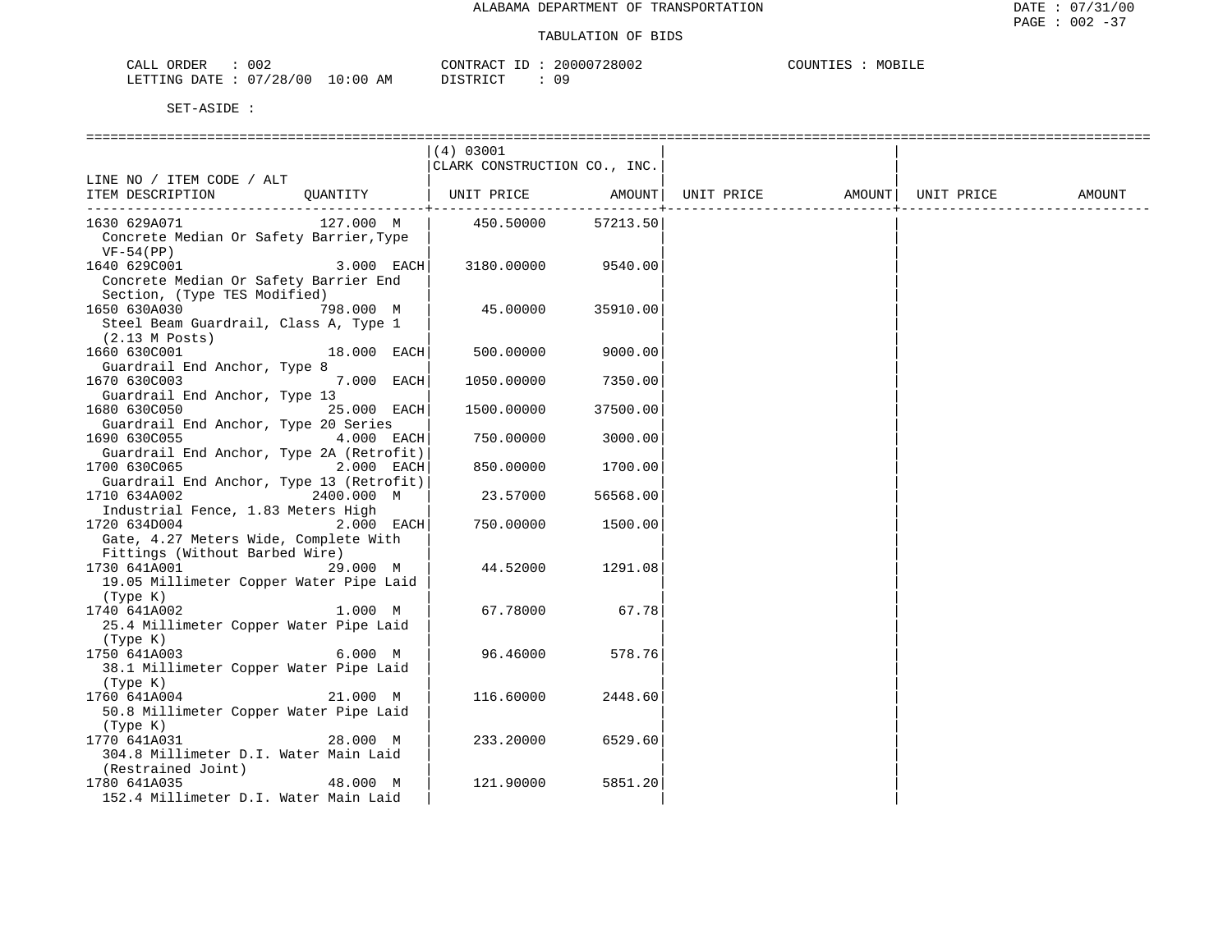| ORDER<br>CALL          | 002 |             | TD.<br>CONTRACT | 20000728002 | COUNTIES | MOBILE |
|------------------------|-----|-------------|-----------------|-------------|----------|--------|
| LETTING DATE: 07/28/00 |     | 10:00<br>ΆM | חימים דת        |             |          |        |

|                                          | (4) 03001                    |                    |                   |            |        |
|------------------------------------------|------------------------------|--------------------|-------------------|------------|--------|
|                                          | CLARK CONSTRUCTION CO., INC. |                    |                   |            |        |
| LINE NO / ITEM CODE / ALT                |                              |                    |                   |            |        |
| OUANTITY<br>ITEM DESCRIPTION             | UNIT PRICE                   | AMOUNT             | UNIT PRICE AMOUNT | UNIT PRICE | AMOUNT |
|                                          |                              |                    |                   |            |        |
| 127.000 M<br>1630 629A071                | 450.50000                    | 57213.50           |                   |            |        |
| Concrete Median Or Safety Barrier, Type  |                              |                    |                   |            |        |
| VF-54(PP)                                |                              |                    |                   |            |        |
| $3.000$ EACH<br>1640 629C001             |                              | 3180.00000 9540.00 |                   |            |        |
| Concrete Median Or Safety Barrier End    |                              |                    |                   |            |        |
| Section, (Type TES Modified)             |                              |                    |                   |            |        |
| 798.000 M<br>1650 630A030                | 45.00000                     | 35910.00           |                   |            |        |
| Steel Beam Guardrail, Class A, Type 1    |                              |                    |                   |            |        |
| (2.13 M Posts)                           |                              |                    |                   |            |        |
| $18.000$ EACH<br>1660 630C001            | 500.00000                    | 9000.00            |                   |            |        |
| Guardrail End Anchor, Type 8             |                              |                    |                   |            |        |
| 7.000 EACH                               |                              |                    |                   |            |        |
| 1670 630C003                             | 1050.00000                   | 7350.00            |                   |            |        |
| Guardrail End Anchor, Type 13            |                              |                    |                   |            |        |
| $25.000$ EACH<br>1680 630C050            | 1500.00000                   | 37500.00           |                   |            |        |
| Guardrail End Anchor, Type 20 Series     |                              |                    |                   |            |        |
| 1690 630C055<br>$4.000$ EACH             | 750.00000                    | 3000.00            |                   |            |        |
| Guardrail End Anchor, Type 2A (Retrofit) |                              |                    |                   |            |        |
| 1700 630C065<br>2.000 EACH               | 850.00000                    | 1700.00            |                   |            |        |
| Guardrail End Anchor, Type 13 (Retrofit) |                              |                    |                   |            |        |
| 1710 634A002 2400.000 M                  | 23.57000                     | 56568.00           |                   |            |        |
| Industrial Fence, 1.83 Meters High       |                              |                    |                   |            |        |
| 1720 634D004<br>$2.000$ EACH             | 750.00000                    | 1500.00            |                   |            |        |
| Gate, 4.27 Meters Wide, Complete With    |                              |                    |                   |            |        |
| Fittings (Without Barbed Wire)           |                              |                    |                   |            |        |
| — 29.000 м<br>1730 641A001               | 44.52000                     | 1291.08            |                   |            |        |
| 19.05 Millimeter Copper Water Pipe Laid  |                              |                    |                   |            |        |
| (Type K)                                 |                              |                    |                   |            |        |
| 1740 641A002<br>1.000 M                  | 67.78000                     | 67.78              |                   |            |        |
| 25.4 Millimeter Copper Water Pipe Laid   |                              |                    |                   |            |        |
|                                          |                              |                    |                   |            |        |
| (Type K)                                 |                              |                    |                   |            |        |
| 6.000 M<br>1750 641A003                  | 96.46000                     | 578.76             |                   |            |        |
| 38.1 Millimeter Copper Water Pipe Laid   |                              |                    |                   |            |        |
| (Type K)                                 |                              |                    |                   |            |        |
| 21.000 M<br>1760 641A004                 | 116.60000                    | 2448.60            |                   |            |        |
| 50.8 Millimeter Copper Water Pipe Laid   |                              |                    |                   |            |        |
| (Type K)                                 |                              |                    |                   |            |        |
| 1770 641A031<br>28.000 M                 | 233.20000                    | 6529.60            |                   |            |        |
| 304.8 Millimeter D.I. Water Main Laid    |                              |                    |                   |            |        |
| (Restrained Joint)                       |                              |                    |                   |            |        |
| 1780 641A035<br>48.000 M                 | 121.90000                    | 5851.20            |                   |            |        |
| 152.4 Millimeter D.I. Water Main Laid    |                              |                    |                   |            |        |
|                                          |                              |                    |                   |            |        |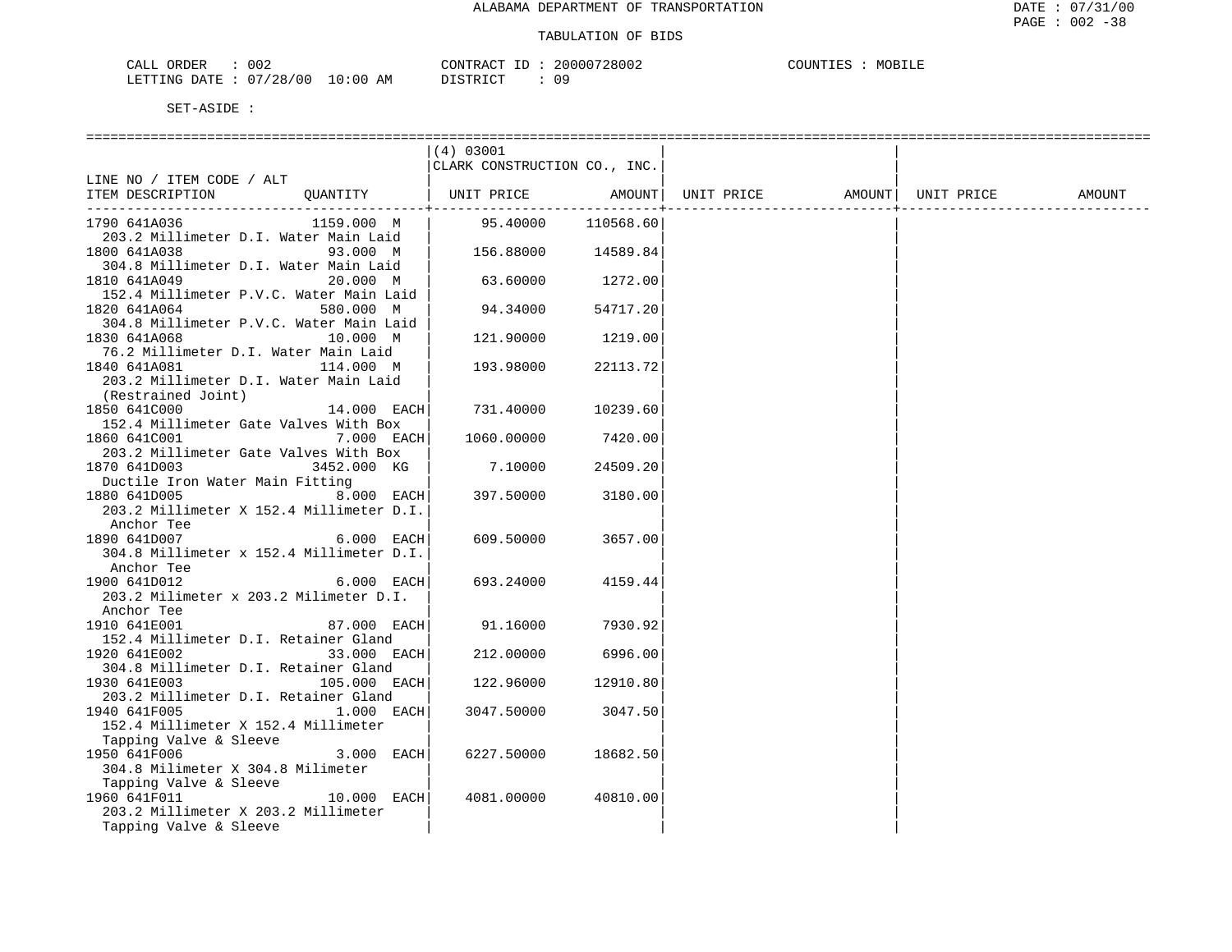LETTING DATE : 07/28/00 10:00 AM DISTRICT : 09

|                                                                     | (4) 03001                    |           |            |        |            |        |
|---------------------------------------------------------------------|------------------------------|-----------|------------|--------|------------|--------|
|                                                                     | CLARK CONSTRUCTION CO., INC. |           |            |        |            |        |
| LINE NO / ITEM CODE / ALT                                           |                              |           |            | AMOUNT | UNIT PRICE | AMOUNT |
| ITEM DESCRIPTION<br>QUANTITY                                        | UNIT PRICE                   | AMOUNT    | UNIT PRICE |        |            |        |
| 1159.000 M<br>1790 641A036                                          | 95.40000                     | 110568.60 |            |        |            |        |
| 203.2 Millimeter D.I. Water Main Laid                               |                              |           |            |        |            |        |
| 1800 641A038<br>93.000 M                                            | 156.88000                    | 14589.84  |            |        |            |        |
| 304.8 Millimeter D.I. Water Main Laid                               |                              |           |            |        |            |        |
| 1810 641A049<br>20.000 M                                            | 63.60000                     | 1272.00   |            |        |            |        |
| 152.4 Millimeter P.V.C. Water Main Laid                             |                              |           |            |        |            |        |
| 1820 641A064<br>580.000 M                                           | 94.34000                     | 54717.20  |            |        |            |        |
| 304.8 Millimeter P.V.C. Water Main Laid                             |                              |           |            |        |            |        |
| 1830 641A068<br>10.000 M<br>76.2 Millimeter D.I. Water Main Laid    | 121.90000                    | 1219.00   |            |        |            |        |
| 1840 641A081<br>114.000 M                                           | 193.98000                    | 22113.72  |            |        |            |        |
| 203.2 Millimeter D.I. Water Main Laid                               |                              |           |            |        |            |        |
| (Restrained Joint)                                                  |                              |           |            |        |            |        |
| 1850 641C000<br>14.000 EACH                                         | 731.40000                    | 10239.60  |            |        |            |        |
| 152.4 Millimeter Gate Valves With Box                               |                              |           |            |        |            |        |
| 1860 641C001<br>7.000 EACH                                          | 1060.00000                   | 7420.00   |            |        |            |        |
| 203.2 Millimeter Gate Valves With Box                               |                              |           |            |        |            |        |
| 1870 641D003<br>3452.000 KG                                         | 7.10000                      | 24509.20  |            |        |            |        |
| Ductile Iron Water Main Fitting                                     |                              |           |            |        |            |        |
| 8.000 EACH<br>1880 641D005                                          | 397.50000                    | 3180.00   |            |        |            |        |
| 203.2 Millimeter X 152.4 Millimeter D.I.                            |                              |           |            |        |            |        |
| Anchor Tee                                                          |                              |           |            |        |            |        |
| 1890 641D007<br>6.000 EACH                                          | 609.50000                    | 3657.00   |            |        |            |        |
| 304.8 Millimeter x 152.4 Millimeter D.I.                            |                              |           |            |        |            |        |
| Anchor Tee                                                          |                              |           |            |        |            |        |
| 1900 641D012<br>6.000 EACH                                          | 693.24000                    | 4159.44   |            |        |            |        |
| 203.2 Milimeter x 203.2 Milimeter D.I.                              |                              |           |            |        |            |        |
| Anchor Tee                                                          |                              |           |            |        |            |        |
| 1910 641E001<br>87.000 EACH                                         | 91.16000                     | 7930.92   |            |        |            |        |
| 152.4 Millimeter D.I. Retainer Gland<br>1920 641E002<br>33.000 EACH |                              | 6996.00   |            |        |            |        |
| 304.8 Millimeter D.I. Retainer Gland                                | 212,00000                    |           |            |        |            |        |
| 1930 641E003<br>105.000 EACH                                        | 122.96000                    | 12910.80  |            |        |            |        |
| 203.2 Millimeter D.I. Retainer Gland                                |                              |           |            |        |            |        |
| 1940 641F005<br>1.000 EACH                                          | 3047.50000                   | 3047.50   |            |        |            |        |
| 152.4 Millimeter X 152.4 Millimeter                                 |                              |           |            |        |            |        |
| Tapping Valve & Sleeve                                              |                              |           |            |        |            |        |
| 1950 641F006<br>3.000 EACH                                          | 6227.50000                   | 18682.50  |            |        |            |        |
| 304.8 Milimeter X 304.8 Milimeter                                   |                              |           |            |        |            |        |
| Tapping Valve & Sleeve                                              |                              |           |            |        |            |        |
| 1960 641F011<br>10.000 EACH                                         | 4081,00000                   | 40810.00  |            |        |            |        |
| 203.2 Millimeter X 203.2 Millimeter                                 |                              |           |            |        |            |        |
| Tapping Valve & Sleeve                                              |                              |           |            |        |            |        |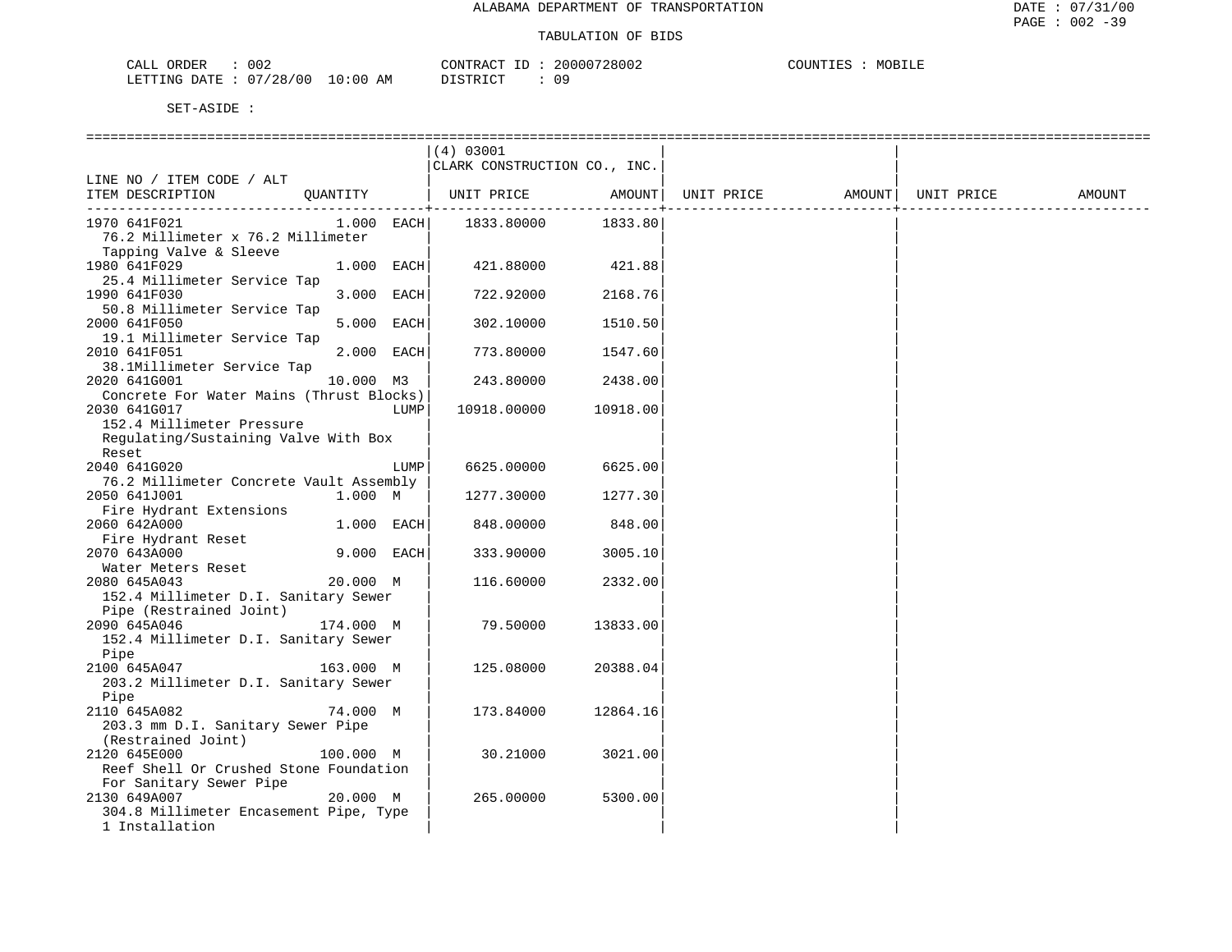| 002<br>ORDER<br>CALL             | CONTRACT ID | 20000728002 | COUNTIES<br>MOBILE |
|----------------------------------|-------------|-------------|--------------------|
| LETTING DATE : 07/28/00 10:00 AM | DISTRICT    | 09          |                    |

|                                                                                                    | =================<br>(4) 03001<br>CLARK CONSTRUCTION CO., INC. |          |            |        |            |        |
|----------------------------------------------------------------------------------------------------|----------------------------------------------------------------|----------|------------|--------|------------|--------|
| LINE NO / ITEM CODE / ALT<br>ITEM DESCRIPTION<br>OUANTITY                                          | UNIT PRICE                                                     | AMOUNT   | UNIT PRICE | AMOUNT | UNIT PRICE | AMOUNT |
| 1.000 EACH<br>1970 641F021<br>76.2 Millimeter x 76.2 Millimeter                                    | 1833.80000                                                     | 1833.80  |            |        |            |        |
| Tapping Valve & Sleeve<br>1.000 EACH<br>1980 641F029<br>25.4 Millimeter Service Tap                | 421.88000                                                      | 421.88   |            |        |            |        |
| 3.000 EACH<br>1990 641F030<br>50.8 Millimeter Service Tap                                          | 722.92000                                                      | 2168.76  |            |        |            |        |
| 5.000 EACH<br>2000 641F050<br>19.1 Millimeter Service Tap                                          | 302.10000                                                      | 1510.50  |            |        |            |        |
| 2.000 EACH<br>2010 641F051<br>38.1Millimeter Service Tap                                           | 773.80000                                                      | 1547.60  |            |        |            |        |
| 2020 641G001<br>10.000 M3<br>Concrete For Water Mains (Thrust Blocks)                              | 243.80000                                                      | 2438.00  |            |        |            |        |
| 2030 641G017<br>LUMP<br>152.4 Millimeter Pressure<br>Regulating/Sustaining Valve With Box<br>Reset | 10918.00000                                                    | 10918.00 |            |        |            |        |
| 2040 641G020<br>LUMP<br>76.2 Millimeter Concrete Vault Assembly                                    | 6625.00000                                                     | 6625.00  |            |        |            |        |
| 2050 641J001<br>1.000 M<br>Fire Hydrant Extensions                                                 | 1277.30000                                                     | 1277.30  |            |        |            |        |
| 2060 642A000<br>1.000 EACH<br>Fire Hydrant Reset                                                   | 848.00000                                                      | 848.00   |            |        |            |        |
| 9.000 EACH<br>2070 643A000<br>Water Meters Reset                                                   | 333.90000                                                      | 3005.10  |            |        |            |        |
| 20.000 M<br>2080 645A043<br>152.4 Millimeter D.I. Sanitary Sewer<br>Pipe (Restrained Joint)        | 116.60000                                                      | 2332.00  |            |        |            |        |
| 174.000 M<br>2090 645A046<br>152.4 Millimeter D.I. Sanitary Sewer<br>Pipe                          | 79.50000                                                       | 13833.00 |            |        |            |        |
| 163.000 M<br>2100 645A047<br>203.2 Millimeter D.I. Sanitary Sewer                                  | 125.08000                                                      | 20388.04 |            |        |            |        |
| Pipe<br>74.000 M<br>2110 645A082<br>203.3 mm D.I. Sanitary Sewer Pipe<br>(Restrained Joint)        | 173.84000                                                      | 12864.16 |            |        |            |        |
| 2120 645E000<br>100.000 M<br>Reef Shell Or Crushed Stone Foundation<br>For Sanitary Sewer Pipe     | 30.21000                                                       | 3021.00  |            |        |            |        |
| 20.000 M<br>2130 649A007<br>304.8 Millimeter Encasement Pipe, Type<br>1 Installation               | 265.00000                                                      | 5300.00  |            |        |            |        |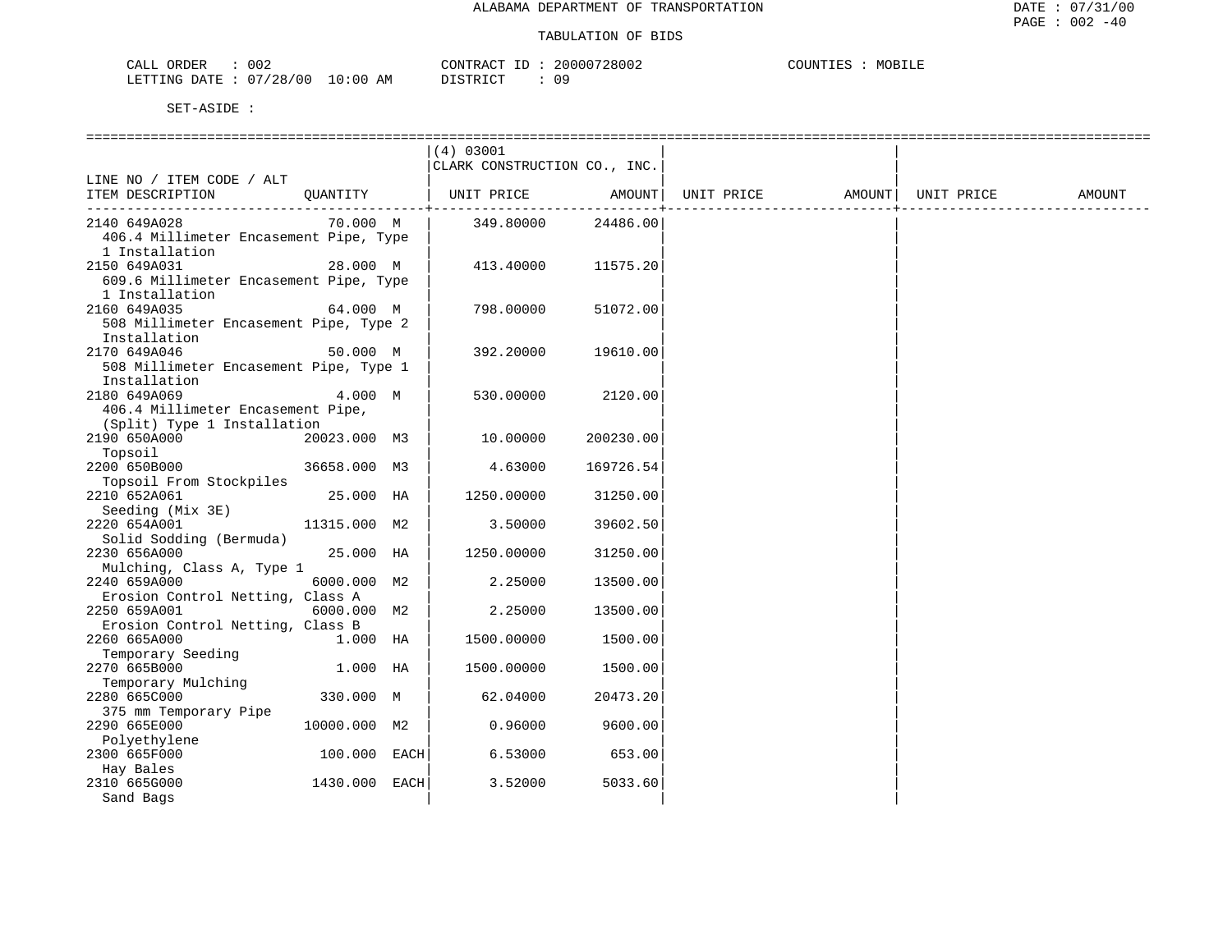| CALL ORDER                      | 002 | CONTRACT | ID : | 20000728002 | COUNTIES | MOBILE |
|---------------------------------|-----|----------|------|-------------|----------|--------|
| LETTING DATE: 07/28/00 10:00 AM |     | DISTRICT |      | 09          |          |        |

|                                        |               | (4) 03001                    |           |                   |            |        |
|----------------------------------------|---------------|------------------------------|-----------|-------------------|------------|--------|
|                                        |               | CLARK CONSTRUCTION CO., INC. |           |                   |            |        |
| LINE NO / ITEM CODE / ALT              |               |                              |           |                   |            |        |
| ITEM DESCRIPTION                       | OUANTITY      | UNIT PRICE                   | AMOUNT    | UNIT PRICE AMOUNT | UNIT PRICE | AMOUNT |
| 2140 649A028                           | 70.000 M      | 349.80000                    | 24486.00  |                   |            |        |
| 406.4 Millimeter Encasement Pipe, Type |               |                              |           |                   |            |        |
| 1 Installation                         |               |                              |           |                   |            |        |
| 2150 649A031                           | 28.000 M      | 413.40000                    | 11575.20  |                   |            |        |
| 609.6 Millimeter Encasement Pipe, Type |               |                              |           |                   |            |        |
| 1 Installation                         |               |                              |           |                   |            |        |
| 2160 649A035                           | 64.000 M      | 798.00000                    | 51072.00  |                   |            |        |
| 508 Millimeter Encasement Pipe, Type 2 |               |                              |           |                   |            |        |
|                                        |               |                              |           |                   |            |        |
| Installation                           |               |                              |           |                   |            |        |
| 2170 649A046                           | 50.000 M      | 392.20000                    | 19610.00  |                   |            |        |
| 508 Millimeter Encasement Pipe, Type 1 |               |                              |           |                   |            |        |
| Installation                           |               |                              |           |                   |            |        |
| 2180 649A069                           | 4.000 M       | 530.00000                    | 2120.00   |                   |            |        |
| 406.4 Millimeter Encasement Pipe,      |               |                              |           |                   |            |        |
| (Split) Type 1 Installation            |               |                              |           |                   |            |        |
| 2190 650A000                           | 20023.000 M3  | 10.00000                     | 200230.00 |                   |            |        |
| Topsoil                                |               |                              |           |                   |            |        |
| 2200 650B000                           | 36658.000 M3  | 4.63000                      | 169726.54 |                   |            |        |
| Topsoil From Stockpiles                |               |                              |           |                   |            |        |
| 2210 652A061                           | 25.000 HA     | 1250.00000                   | 31250.00  |                   |            |        |
| Seeding (Mix 3E)                       |               |                              |           |                   |            |        |
| 2220 654A001                           | 11315.000 M2  | 3.50000                      | 39602.50  |                   |            |        |
| Solid Sodding (Bermuda)                |               |                              |           |                   |            |        |
| 2230 656A000                           | 25.000 HA     | 1250.00000                   | 31250.00  |                   |            |        |
| Mulching, Class A, Type 1              |               |                              |           |                   |            |        |
| 2240 659A000                           | 6000.000 M2   | 2.25000                      | 13500.00  |                   |            |        |
| Erosion Control Netting, Class A       |               |                              |           |                   |            |        |
| 2250 659A001                           | 6000.000 M2   | 2.25000                      | 13500.00  |                   |            |        |
| Erosion Control Netting, Class B       |               |                              |           |                   |            |        |
| 2260 665A000                           | $1.000$ HA    | 1500.00000                   | 1500.00   |                   |            |        |
| Temporary Seeding                      |               |                              |           |                   |            |        |
| 2270 665B000                           | 1.000 HA      | 1500.00000                   | 1500.00   |                   |            |        |
| Temporary Mulching                     |               |                              |           |                   |            |        |
| 2280 665C000                           | 330.000 M     | 62.04000                     | 20473.20  |                   |            |        |
| 375 mm Temporary Pipe                  |               |                              |           |                   |            |        |
| 2290 665E000                           | 10000.000 M2  | 0.96000                      | 9600.00   |                   |            |        |
| Polyethylene                           |               |                              |           |                   |            |        |
| 2300 665F000                           | 100.000 EACH  | 6.53000                      | 653.00    |                   |            |        |
| Hay Bales                              |               |                              |           |                   |            |        |
| 2310 665G000                           | 1430.000 EACH | 3.52000                      | 5033.60   |                   |            |        |
| Sand Bags                              |               |                              |           |                   |            |        |
|                                        |               |                              |           |                   |            |        |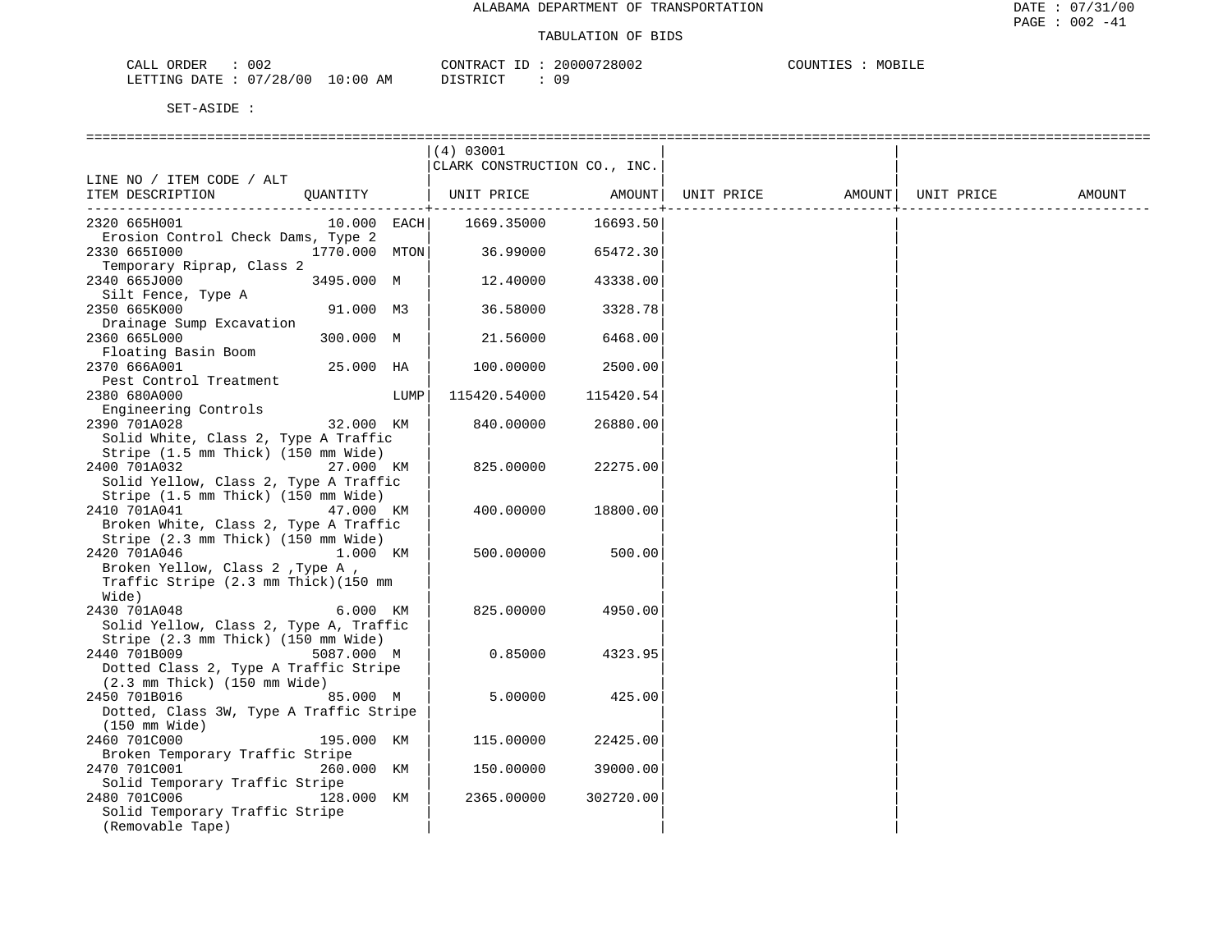| CALL ORDER                       | 002 | CONTRACT ID: | 20000728002 | COUNTIES | MOBILE |
|----------------------------------|-----|--------------|-------------|----------|--------|
| LETTING DATE : 07/28/00 10:00 AM |     | DISTRICT     |             |          |        |

|                                                                          |      | (4) 03001                    |           |            |        |            |        |
|--------------------------------------------------------------------------|------|------------------------------|-----------|------------|--------|------------|--------|
|                                                                          |      | CLARK CONSTRUCTION CO., INC. |           |            |        |            |        |
| LINE NO / ITEM CODE / ALT                                                |      |                              |           |            |        |            |        |
| ITEM DESCRIPTION<br>QUANTITY                                             |      | UNIT PRICE                   | AMOUNT    | UNIT PRICE | AMOUNT | UNIT PRICE | AMOUNT |
|                                                                          |      |                              |           |            |        |            |        |
| $10.000$ EACH<br>2320 665H001                                            |      | 1669.35000                   | 16693.50  |            |        |            |        |
| Erosion Control Check Dams, Type 2                                       |      |                              |           |            |        |            |        |
| 2330 6651000<br>1770.000 MTON                                            |      | 36.99000                     | 65472.30  |            |        |            |        |
| Temporary Riprap, Class 2                                                |      |                              |           |            |        |            |        |
| 3495.000 M<br>2340 665J000                                               |      | 12.40000                     | 43338.00  |            |        |            |        |
| Silt Fence, Type A                                                       |      |                              |           |            |        |            |        |
| 2350 665K000<br>91.000 M3                                                |      | 36.58000                     | 3328.78   |            |        |            |        |
| Drainage Sump Excavation                                                 |      |                              |           |            |        |            |        |
| 2360 665L000<br>300.000 M                                                |      | 21.56000                     | 6468.00   |            |        |            |        |
| Floating Basin Boom                                                      |      |                              |           |            |        |            |        |
| 2370 666A001<br>25.000 HA                                                |      | 100.00000                    | 2500.00   |            |        |            |        |
| Pest Control Treatment                                                   |      |                              |           |            |        |            |        |
| 2380 680A000                                                             | LUMP | 115420.54000                 | 115420.54 |            |        |            |        |
| Engineering Controls                                                     |      |                              |           |            |        |            |        |
| 2390 701A028<br>32.000 KM                                                |      | 840.00000                    | 26880.00  |            |        |            |        |
| Solid White, Class 2, Type A Traffic                                     |      |                              |           |            |        |            |        |
| Stripe (1.5 mm Thick) (150 mm Wide)                                      |      |                              |           |            |        |            |        |
| 2400 701A032<br>27.000 KM                                                |      | 825.00000                    | 22275.00  |            |        |            |        |
| Solid Yellow, Class 2, Type A Traffic                                    |      |                              |           |            |        |            |        |
| Stripe (1.5 mm Thick) (150 mm Wide)                                      |      |                              |           |            |        |            |        |
| 2410 701A041<br>47.000 KM                                                |      | 400.00000                    | 18800.00  |            |        |            |        |
| Broken White, Class 2, Type A Traffic                                    |      |                              |           |            |        |            |        |
| Stripe (2.3 mm Thick) (150 mm Wide)<br>2420 701A046<br>1.000 KM          |      |                              | 500.00    |            |        |            |        |
| Broken Yellow, Class 2 , Type A ,                                        |      | 500.00000                    |           |            |        |            |        |
| Traffic Stripe (2.3 mm Thick)(150 mm                                     |      |                              |           |            |        |            |        |
| Wide)                                                                    |      |                              |           |            |        |            |        |
| 6.000 KM<br>2430 701A048                                                 |      | 825.00000                    | 4950.00   |            |        |            |        |
| Solid Yellow, Class 2, Type A, Traffic                                   |      |                              |           |            |        |            |        |
| Stripe (2.3 mm Thick) (150 mm Wide)                                      |      |                              |           |            |        |            |        |
| 2440 701B009<br>5087.000 M                                               |      | 0.85000                      | 4323.95   |            |        |            |        |
| Dotted Class 2, Type A Traffic Stripe                                    |      |                              |           |            |        |            |        |
| $(2.3 \, \text{mm} \, \text{Thick})$ $(150 \, \text{mm} \, \text{Wide})$ |      |                              |           |            |        |            |        |
| 2450 701B016<br>85.000 M                                                 |      | 5.00000                      | 425.00    |            |        |            |        |
| Dotted, Class 3W, Type A Traffic Stripe                                  |      |                              |           |            |        |            |        |
| (150 mm Wide)                                                            |      |                              |           |            |        |            |        |
| 2460 701C000<br>195.000 KM                                               |      | 115.00000                    | 22425.00  |            |        |            |        |
| Broken Temporary Traffic Stripe                                          |      |                              |           |            |        |            |        |
| 2470 701C001<br>260.000 KM                                               |      | 150.00000                    | 39000.00  |            |        |            |        |
| Solid Temporary Traffic Stripe                                           |      |                              |           |            |        |            |        |
| 2480 701C006<br>128.000 KM                                               |      | 2365.00000                   | 302720.00 |            |        |            |        |
| Solid Temporary Traffic Stripe                                           |      |                              |           |            |        |            |        |
| (Removable Tape)                                                         |      |                              |           |            |        |            |        |
|                                                                          |      |                              |           |            |        |            |        |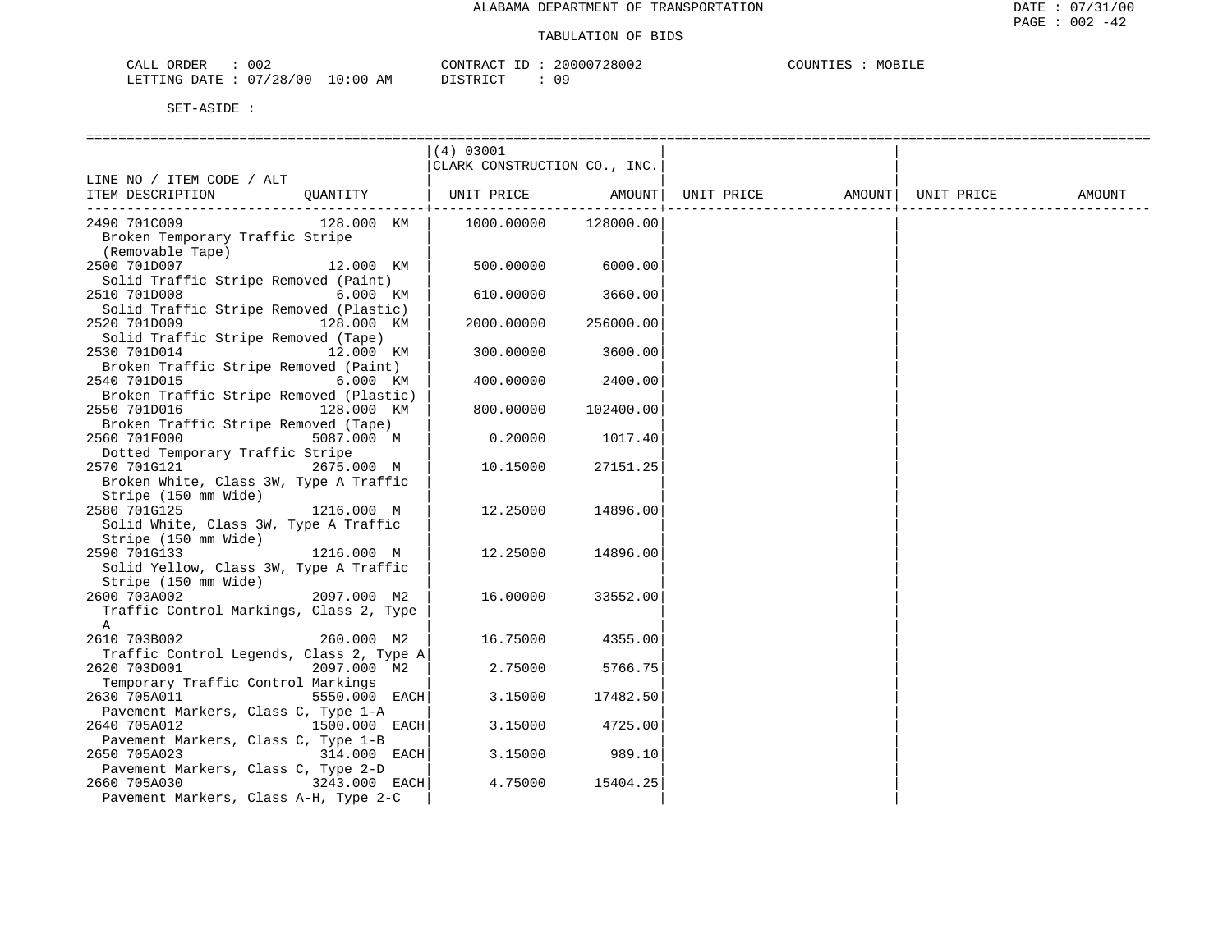|                                                                                              |               | (4) 03001<br>CLARK CONSTRUCTION CO., INC. |           |            |                    |        |
|----------------------------------------------------------------------------------------------|---------------|-------------------------------------------|-----------|------------|--------------------|--------|
| LINE NO / ITEM CODE / ALT<br>ITEM DESCRIPTION                                                | QUANTITY      | UNIT PRICE AMOUNT                         |           | UNIT PRICE | AMOUNT  UNIT PRICE | AMOUNT |
| 2490 701C009<br>Broken Temporary Traffic Stripe<br>(Removable Tape)                          | 128.000 KM    | 1000.00000                                | 128000.00 |            |                    |        |
| 2500 701D007<br>Solid Traffic Stripe Removed (Paint)                                         | 12.000 KM     | 500.00000                                 | 6000.00   |            |                    |        |
| 2510 701D008<br>Solid Traffic Stripe Removed (Plastic)                                       | 6.000 KM      | 610.00000                                 | 3660.00   |            |                    |        |
| 2520 701D009<br>Solid Traffic Stripe Removed (Tape)                                          | 128.000 KM    | 2000.00000                                | 256000.00 |            |                    |        |
| 2530 701D014<br>Broken Traffic Stripe Removed (Paint)                                        | 12.000 KM     | 300.00000                                 | 3600.00   |            |                    |        |
| 2540 701D015<br>Broken Traffic Stripe Removed (Plastic)                                      | 6.000 KM      | 400.00000                                 | 2400.00   |            |                    |        |
| 2550 701D016<br>Broken Traffic Stripe Removed (Tape)                                         | 128.000 KM    | 800.00000                                 | 102400.00 |            |                    |        |
| 2560 701F000<br>Dotted Temporary Traffic Stripe                                              | 5087.000 M    | 0.20000                                   | 1017.40   |            |                    |        |
| 2570 701G121<br>Broken White, Class 3W, Type A Traffic<br>Stripe (150 mm Wide)               | 2675.000 M    | 10.15000                                  | 27151.25  |            |                    |        |
| 2580 701G125<br>Solid White, Class 3W, Type A Traffic<br>Stripe (150 mm Wide)                | 1216.000 M    | 12.25000                                  | 14896.00  |            |                    |        |
| 2590 701G133<br>Solid Yellow, Class 3W, Type A Traffic<br>Stripe (150 mm Wide)               | 1216.000 M    | 12.25000                                  | 14896.00  |            |                    |        |
| 2600 703A002<br>Traffic Control Markings, Class 2, Type<br>Α                                 | 2097.000 M2   | 16.00000                                  | 33552.00  |            |                    |        |
| 2610 703B002<br>Traffic Control Legends, Class 2, Type A                                     | 260.000 M2    | 16.75000                                  | 4355.00   |            |                    |        |
| 2620 703D001                                                                                 | 2097.000 M2   | 2.75000                                   | 5766.75   |            |                    |        |
| Temporary Traffic Control Markings<br>2630 705A011<br>Pavement Markers, Class C, Type 1-A    | 5550.000 EACH | 3.15000                                   | 17482.50  |            |                    |        |
| 2640 705A012                                                                                 | 1500.000 EACH | 3.15000                                   | 4725.00   |            |                    |        |
| Pavement Markers, Class C, Type 1-B<br>2650 705A023                                          | 314.000 EACH  | 3.15000                                   | 989.10    |            |                    |        |
| Pavement Markers, Class C, Type 2-D<br>2660 705A030<br>Pavement Markers, Class A-H, Type 2-C | 3243.000 EACH | 4.75000                                   | 15404.25  |            |                    |        |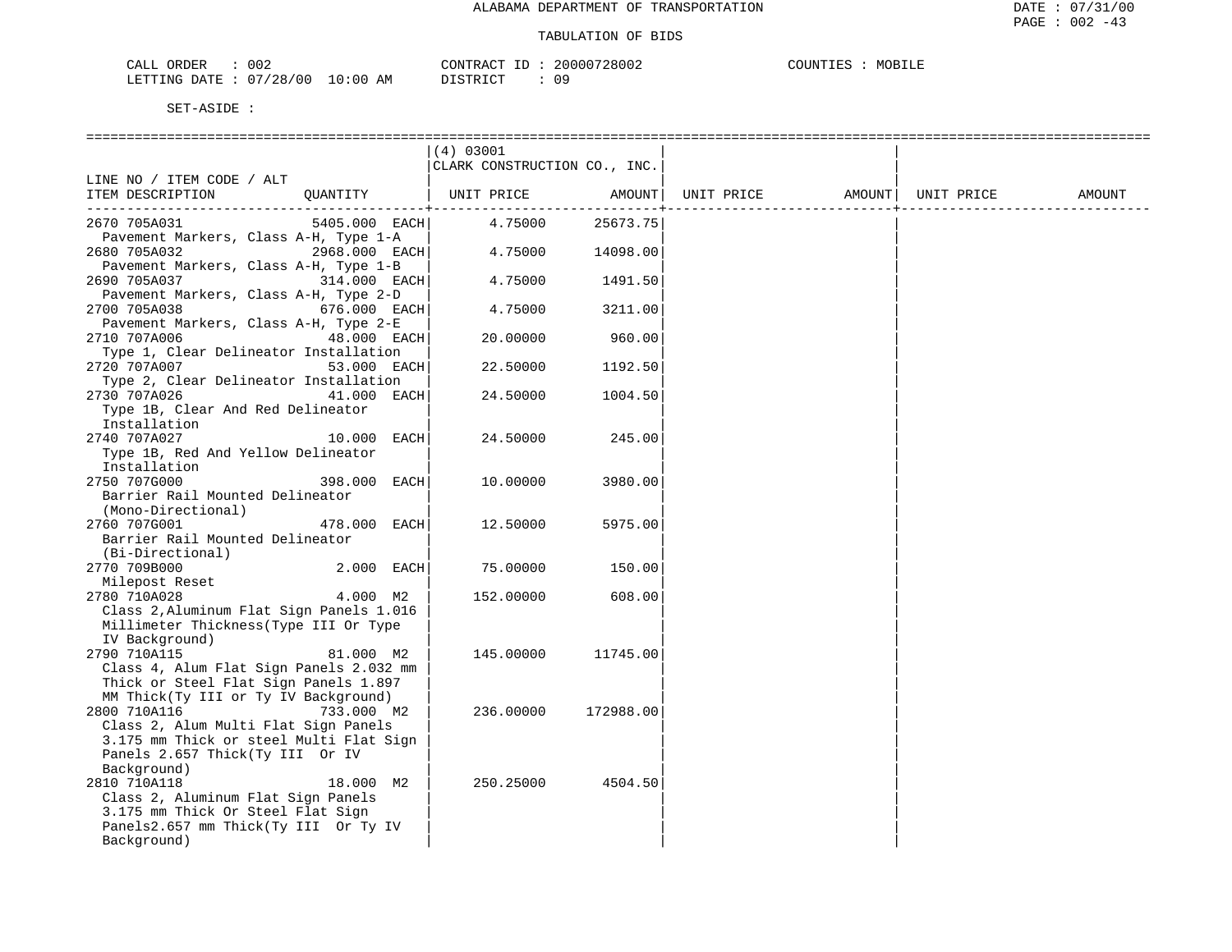| CALL ORDER                      | 002 |          | CONTRACT ID: 20000728002 | COUNTIES | MOBILE |
|---------------------------------|-----|----------|--------------------------|----------|--------|
| LETTING DATE: 07/28/00 10:00 AM |     | DISTRICT | n c                      |          |        |

|                                                                                                                                                                 | (4) 03001                    |           |            |        |            |        |
|-----------------------------------------------------------------------------------------------------------------------------------------------------------------|------------------------------|-----------|------------|--------|------------|--------|
|                                                                                                                                                                 | CLARK CONSTRUCTION CO., INC. |           |            |        |            |        |
| LINE NO / ITEM CODE / ALT<br>ITEM DESCRIPTION<br>QUANTITY                                                                                                       | UNIT PRICE                   | AMOUNT    | UNIT PRICE | AMOUNT | UNIT PRICE | AMOUNT |
| 2670 705A031<br>5405.000 EACH<br>Pavement Markers, Class A-H, Type 1-A                                                                                          | 4.75000                      | 25673.75  |            |        |            |        |
| 2680 705A032<br>2968.000 EACH<br>Pavement Markers, Class A-H, Type 1-B                                                                                          | 4.75000                      | 14098.00  |            |        |            |        |
| 2690 705A037<br>314.000 EACH                                                                                                                                    | 4.75000                      | 1491.50   |            |        |            |        |
| Pavement Markers, Class A-H, Type 2-D<br>2700 705A038<br>676.000 EACH                                                                                           | 4.75000                      | 3211.00   |            |        |            |        |
| Pavement Markers, Class A-H, Type 2-E<br>2710 707A006<br>48.000 EACH<br>Type 1, Clear Delineator Installation                                                   | 20,00000                     | 960.00    |            |        |            |        |
| 2720 707A007<br>53.000 EACH                                                                                                                                     | 22.50000                     | 1192.50   |            |        |            |        |
| Type 2, Clear Delineator Installation<br>2730 707A026<br>41.000 EACH                                                                                            | 24.50000                     | 1004.50   |            |        |            |        |
| Type 1B, Clear And Red Delineator<br>Installation                                                                                                               |                              |           |            |        |            |        |
| 2740 707A027<br>10.000<br>EACH<br>Type 1B, Red And Yellow Delineator<br>Installation                                                                            | 24.50000                     | 245.00    |            |        |            |        |
| 2750 707G000<br>398.000<br>EACH<br>Barrier Rail Mounted Delineator<br>(Mono-Directional)                                                                        | 10.00000                     | 3980.00   |            |        |            |        |
| 2760 707G001<br>478.000 EACH<br>Barrier Rail Mounted Delineator<br>(Bi-Directional)                                                                             | 12.50000                     | 5975.00   |            |        |            |        |
| 2770 709B000<br>2.000 EACH                                                                                                                                      | 75.00000                     | 150.00    |            |        |            |        |
| Milepost Reset<br>4.000 M2<br>2780 710A028<br>Class 2, Aluminum Flat Sign Panels 1.016<br>Millimeter Thickness (Type III Or Type<br>IV Background)              | 152.00000                    | 608.00    |            |        |            |        |
| 2790 710A115<br>81.000 M2<br>Class 4, Alum Flat Sign Panels 2.032 mm<br>Thick or Steel Flat Sign Panels 1.897<br>MM Thick(Ty III or Ty IV Background)           | 145.00000                    | 11745.00  |            |        |            |        |
| 2800 710A116<br>733.000 M2<br>Class 2, Alum Multi Flat Sign Panels<br>3.175 mm Thick or steel Multi Flat Sign<br>Panels 2.657 Thick(Ty III Or IV<br>Background) | 236.00000                    | 172988.00 |            |        |            |        |
| 2810 710A118<br>18.000 M2<br>Class 2, Aluminum Flat Sign Panels<br>3.175 mm Thick Or Steel Flat Sign<br>Panels2.657 mm Thick(Ty III Or Ty IV<br>Background)     | 250.25000                    | 4504.50   |            |        |            |        |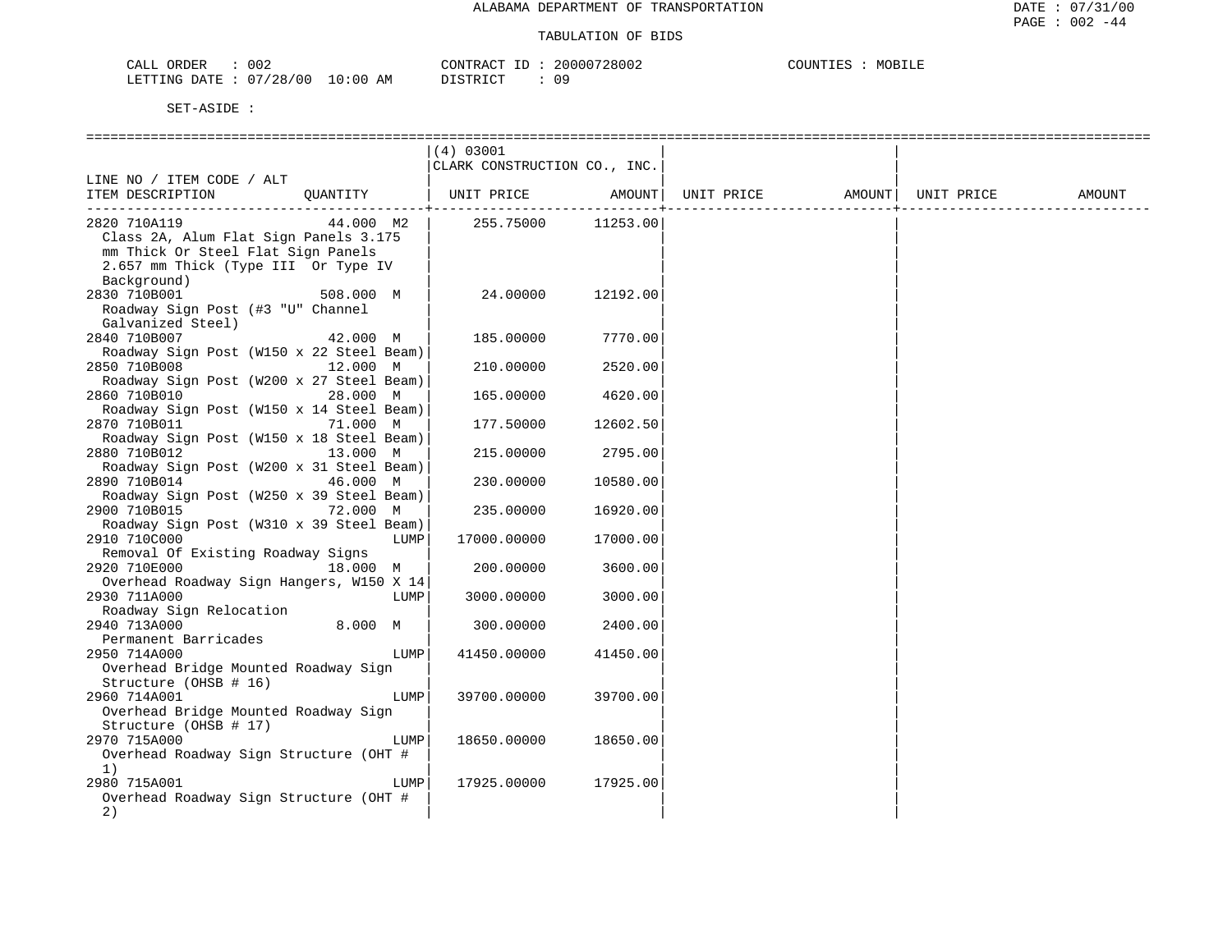|                                                          |           | (4) 03001                    |          |            |        |            |        |
|----------------------------------------------------------|-----------|------------------------------|----------|------------|--------|------------|--------|
|                                                          |           | CLARK CONSTRUCTION CO., INC. |          |            |        |            |        |
| LINE NO / ITEM CODE / ALT                                |           |                              |          |            |        |            |        |
| ITEM DESCRIPTION                                         | QUANTITY  | UNIT PRICE                   | AMOUNT   | UNIT PRICE | AMOUNT | UNIT PRICE | AMOUNT |
|                                                          |           |                              |          |            |        |            |        |
| 2820 710A119                                             | 44.000 M2 | 255.75000                    | 11253.00 |            |        |            |        |
| Class 2A, Alum Flat Sign Panels 3.175                    |           |                              |          |            |        |            |        |
| mm Thick Or Steel Flat Sign Panels                       |           |                              |          |            |        |            |        |
| 2.657 mm Thick (Type III Or Type IV                      |           |                              |          |            |        |            |        |
| Background)                                              |           |                              |          |            |        |            |        |
| 2830 710B001                                             | 508.000 M | 24.00000                     | 12192.00 |            |        |            |        |
| Roadway Sign Post (#3 "U" Channel                        |           |                              |          |            |        |            |        |
| Galvanized Steel)                                        |           |                              |          |            |        |            |        |
| 2840 710B007                                             | 42.000 M  | 185.00000                    | 7770.00  |            |        |            |        |
| Roadway Sign Post (W150 x 22 Steel Beam)                 |           |                              |          |            |        |            |        |
| 2850 710B008                                             | 12.000 M  | 210.00000                    | 2520.00  |            |        |            |        |
|                                                          |           |                              |          |            |        |            |        |
| Roadway Sign Post (W200 x 27 Steel Beam)<br>2860 710B010 |           |                              |          |            |        |            |        |
|                                                          | 28.000 M  | 165.00000                    | 4620.00  |            |        |            |        |
| Roadway Sign Post (W150 x 14 Steel Beam)                 |           |                              |          |            |        |            |        |
| 2870 710B011                                             | 71.000 M  | 177.50000                    | 12602.50 |            |        |            |        |
| Roadway Sign Post (W150 x 18 Steel Beam)                 |           |                              |          |            |        |            |        |
| 2880 710B012                                             | 13.000 M  | 215,00000                    | 2795.00  |            |        |            |        |
| Roadway Sign Post (W200 x 31 Steel Beam)                 |           |                              |          |            |        |            |        |
| 2890 710B014                                             | 46.000 M  | 230.00000                    | 10580.00 |            |        |            |        |
| Roadway Sign Post (W250 x 39 Steel Beam)                 |           |                              |          |            |        |            |        |
| 2900 710B015                                             | 72.000 M  | 235.00000                    | 16920.00 |            |        |            |        |
| Roadway Sign Post (W310 x 39 Steel Beam)                 |           |                              |          |            |        |            |        |
| 2910 710C000                                             | LUMP      | 17000.00000                  | 17000.00 |            |        |            |        |
| Removal Of Existing Roadway Signs                        |           |                              |          |            |        |            |        |
| 2920 710E000                                             | 18.000 M  | 200.00000                    | 3600.00  |            |        |            |        |
| Overhead Roadway Sign Hangers, W150 X 14                 |           |                              |          |            |        |            |        |
| 2930 711A000                                             | LUMP      | 3000.00000                   | 3000.00  |            |        |            |        |
| Roadway Sign Relocation                                  |           |                              |          |            |        |            |        |
| 2940 713A000                                             | 8.000 M   | 300.00000                    | 2400.00  |            |        |            |        |
| Permanent Barricades                                     |           |                              |          |            |        |            |        |
| 2950 714A000                                             | LUMP      | 41450.00000                  | 41450.00 |            |        |            |        |
| Overhead Bridge Mounted Roadway Sign                     |           |                              |          |            |        |            |        |
| Structure (OHSB # 16)                                    |           |                              |          |            |        |            |        |
| 2960 714A001                                             | LUMP      | 39700.00000                  | 39700.00 |            |        |            |        |
| Overhead Bridge Mounted Roadway Sign                     |           |                              |          |            |        |            |        |
| Structure (OHSB # 17)                                    |           |                              |          |            |        |            |        |
| 2970 715A000                                             | LUMP      | 18650.00000                  | 18650.00 |            |        |            |        |
| Overhead Roadway Sign Structure (OHT #                   |           |                              |          |            |        |            |        |
| 1)                                                       |           |                              |          |            |        |            |        |
| 2980 715A001                                             | LUMP      | 17925.00000                  | 17925.00 |            |        |            |        |
| Overhead Roadway Sign Structure (OHT #                   |           |                              |          |            |        |            |        |
| 2)                                                       |           |                              |          |            |        |            |        |
|                                                          |           |                              |          |            |        |            |        |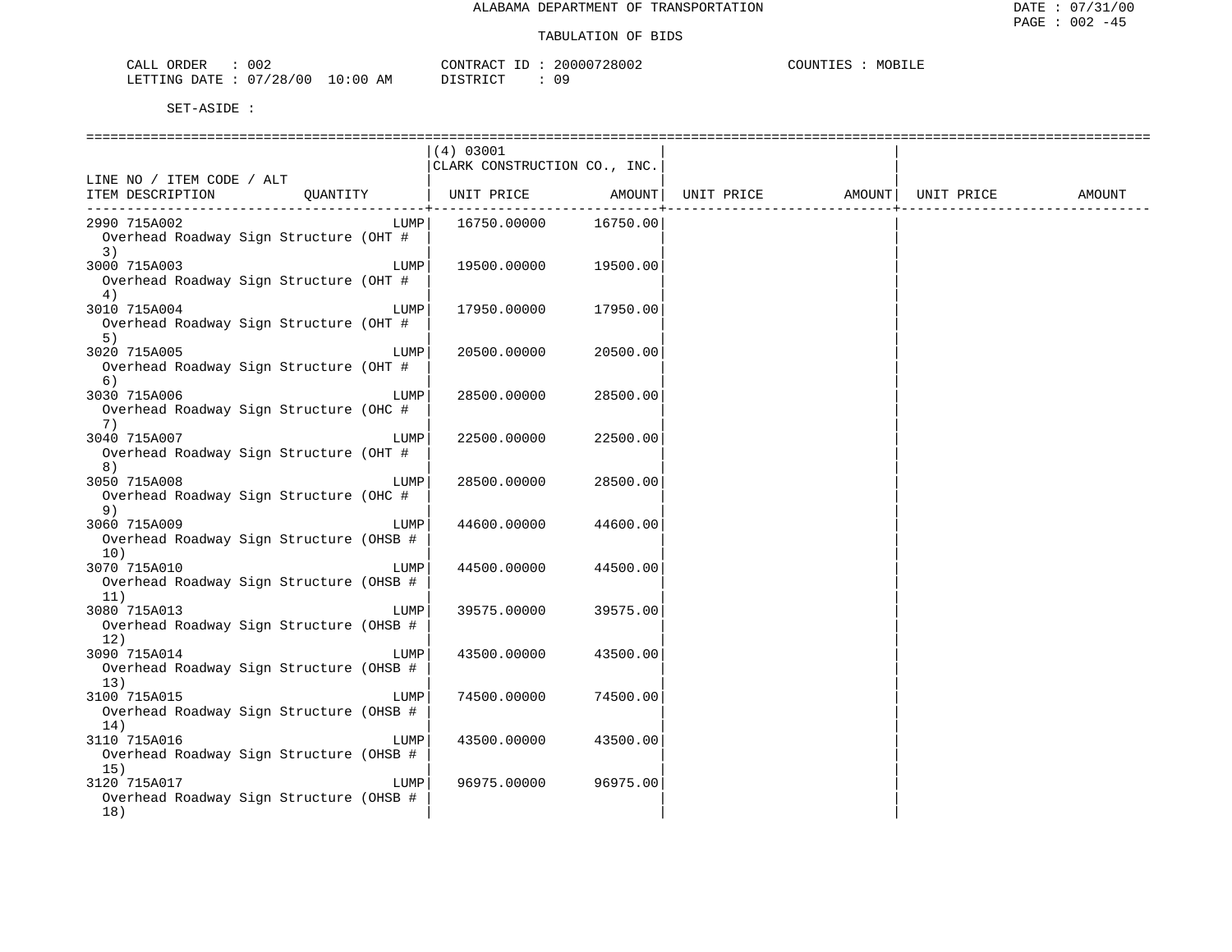| 002<br>DEF<br>للطاب                                       | 20000728002<br>חידוג∩י<br>__<br>$\sim$<br>$\cdots$ | COUNTT-<br>MC.<br>ᆠᆈᄄ |
|-----------------------------------------------------------|----------------------------------------------------|-----------------------|
| .00<br>LETTING<br>'28/<br>10.7<br>$\cap$<br>DATE<br>′ O C | TAT<br>חידים דרי<br>n r<br>ΑM<br>---<br>.          |                       |

|                                                                |          | (4) 03001<br>CLARK CONSTRUCTION CO., INC. |          |            |        |            |        |
|----------------------------------------------------------------|----------|-------------------------------------------|----------|------------|--------|------------|--------|
| LINE NO / ITEM CODE / ALT<br>ITEM DESCRIPTION                  | QUANTITY | UNIT PRICE                                | AMOUNT   | UNIT PRICE | AMOUNT | UNIT PRICE | AMOUNT |
| 2990 715A002<br>Overhead Roadway Sign Structure (OHT #<br>3)   | LUMP     | 16750.00000                               | 16750.00 |            |        |            |        |
| 3000 715A003<br>Overhead Roadway Sign Structure (OHT #<br>4)   | LUMP     | 19500.00000                               | 19500.00 |            |        |            |        |
| 3010 715A004<br>Overhead Roadway Sign Structure (OHT #<br>5)   | LUMP     | 17950.00000                               | 17950.00 |            |        |            |        |
| 3020 715A005<br>Overhead Roadway Sign Structure (OHT #<br>6)   | LUMP     | 20500.00000                               | 20500.00 |            |        |            |        |
| 3030 715A006<br>Overhead Roadway Sign Structure (OHC #<br>7)   | LUMP     | 28500.00000                               | 28500.00 |            |        |            |        |
| 3040 715A007<br>Overhead Roadway Sign Structure (OHT #<br>8)   | LUMP     | 22500.00000                               | 22500.00 |            |        |            |        |
| 3050 715A008<br>Overhead Roadway Sign Structure (OHC #<br>9)   | LUMP     | 28500.00000                               | 28500.00 |            |        |            |        |
| 3060 715A009<br>Overhead Roadway Sign Structure (OHSB #<br>10) | LUMP     | 44600.00000                               | 44600.00 |            |        |            |        |
| 3070 715A010<br>Overhead Roadway Sign Structure (OHSB #<br>11) | LUMP     | 44500.00000                               | 44500.00 |            |        |            |        |
| 3080 715A013<br>Overhead Roadway Sign Structure (OHSB #<br>12) | LUMP     | 39575.00000                               | 39575.00 |            |        |            |        |
| 3090 715A014<br>Overhead Roadway Sign Structure (OHSB #<br>13) | LUMP     | 43500.00000                               | 43500.00 |            |        |            |        |
| 3100 715A015<br>Overhead Roadway Sign Structure (OHSB #<br>14) | LUMP     | 74500.00000                               | 74500.00 |            |        |            |        |
| 3110 715A016<br>Overhead Roadway Sign Structure (OHSB #<br>15) | LUMP     | 43500.00000                               | 43500.00 |            |        |            |        |
| 3120 715A017<br>Overhead Roadway Sign Structure (OHSB #<br>18) | LUMP     | 96975.00000                               | 96975.00 |            |        |            |        |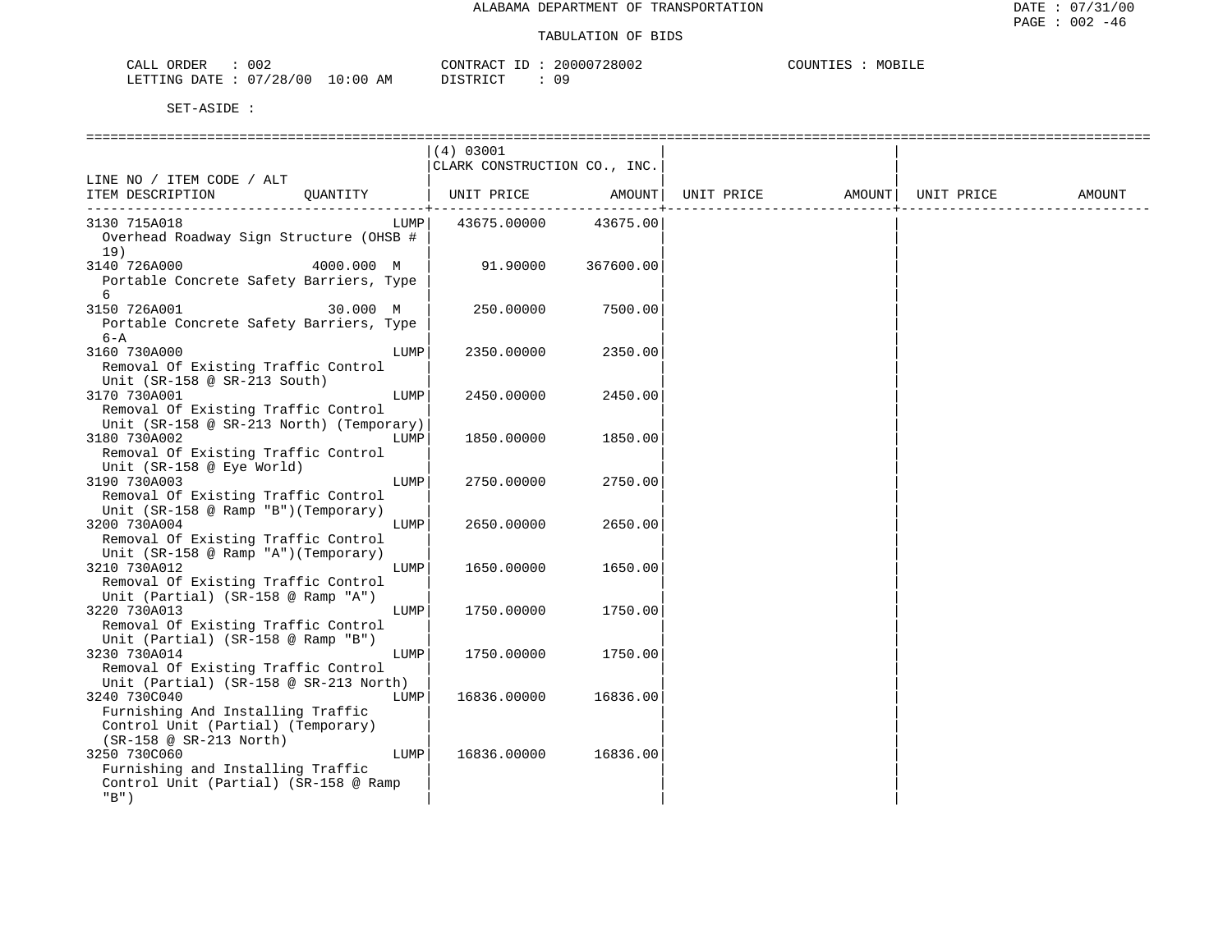| 002<br>'UER<br>໋<br>لللطب                                      | 20000728002<br><b>AONTRL</b><br>$\sim$ | COUNT<br>MOB<br>正巴西 |
|----------------------------------------------------------------|----------------------------------------|---------------------|
| $\cdot$ 0.0<br>LETTING<br>128/00<br>10:00<br>DATE<br>ΔM<br>. . | DICTO ICT<br>n o<br>ぃっ                 |                     |

|                                                                                                                                          |            |      | (4) 03001<br>CLARK CONSTRUCTION CO., INC. |           |            |        |            |        |
|------------------------------------------------------------------------------------------------------------------------------------------|------------|------|-------------------------------------------|-----------|------------|--------|------------|--------|
| LINE NO / ITEM CODE / ALT<br>ITEM DESCRIPTION                                                                                            | OUANTITY   |      | UNIT PRICE                                | AMOUNT    | UNIT PRICE | AMOUNT | UNIT PRICE | AMOUNT |
| 3130 715A018<br>Overhead Roadway Sign Structure (OHSB #<br>19)                                                                           |            | LUMP | 43675.00000                               | 43675.00  |            |        |            |        |
| 3140 726A000<br>Portable Concrete Safety Barriers, Type<br>6                                                                             | 4000.000 M |      | 91.90000                                  | 367600.00 |            |        |            |        |
| 3150 726A001<br>Portable Concrete Safety Barriers, Type<br>$6 - A$                                                                       | 30.000 M   |      | 250.00000                                 | 7500.00   |            |        |            |        |
| 3160 730A000<br>Removal Of Existing Traffic Control<br>Unit ( $SR-158$ @ $SR-213$ South)                                                 |            | LUMP | 2350.00000                                | 2350.00   |            |        |            |        |
| 3170 730A001<br>Removal Of Existing Traffic Control<br>Unit (SR-158 @ SR-213 North) (Temporary)                                          |            | LUMP | 2450.00000                                | 2450.00   |            |        |            |        |
| 3180 730A002<br>Removal Of Existing Traffic Control<br>Unit (SR-158 @ Eye World)                                                         |            | LUMP | 1850.00000                                | 1850.00   |            |        |            |        |
| 3190 730A003<br>Removal Of Existing Traffic Control<br>Unit (SR-158 @ Ramp "B") (Temporary)                                              |            | LUMP | 2750.00000                                | 2750.00   |            |        |            |        |
| 3200 730A004<br>Removal Of Existing Traffic Control<br>Unit (SR-158 @ Ramp "A") (Temporary)                                              |            | LUMP | 2650.00000                                | 2650.00   |            |        |            |        |
| 3210 730A012<br>Removal Of Existing Traffic Control<br>Unit (Partial) ( $SR-158$ @ Ramp "A")                                             |            | LUMP | 1650.00000                                | 1650.00   |            |        |            |        |
| 3220 730A013<br>Removal Of Existing Traffic Control<br>Unit (Partial) (SR-158 @ Ramp "B")                                                |            | LUMP | 1750.00000                                | 1750.00   |            |        |            |        |
| 3230 730A014<br>Removal Of Existing Traffic Control<br>Unit (Partial) (SR-158 @ SR-213 North)                                            |            | LUMP | 1750.00000                                | 1750.00   |            |        |            |        |
| 3240 730C040<br>Furnishing And Installing Traffic<br>Control Unit (Partial) (Temporary)                                                  |            | LUMP | 16836.00000                               | 16836.00  |            |        |            |        |
| $(SR-158 \oslash SR-213 North)$<br>3250 730C060<br>Furnishing and Installing Traffic<br>Control Unit (Partial) (SR-158 @ Ramp<br>$"B"$ ) |            | LUMP | 16836.00000                               | 16836.00  |            |        |            |        |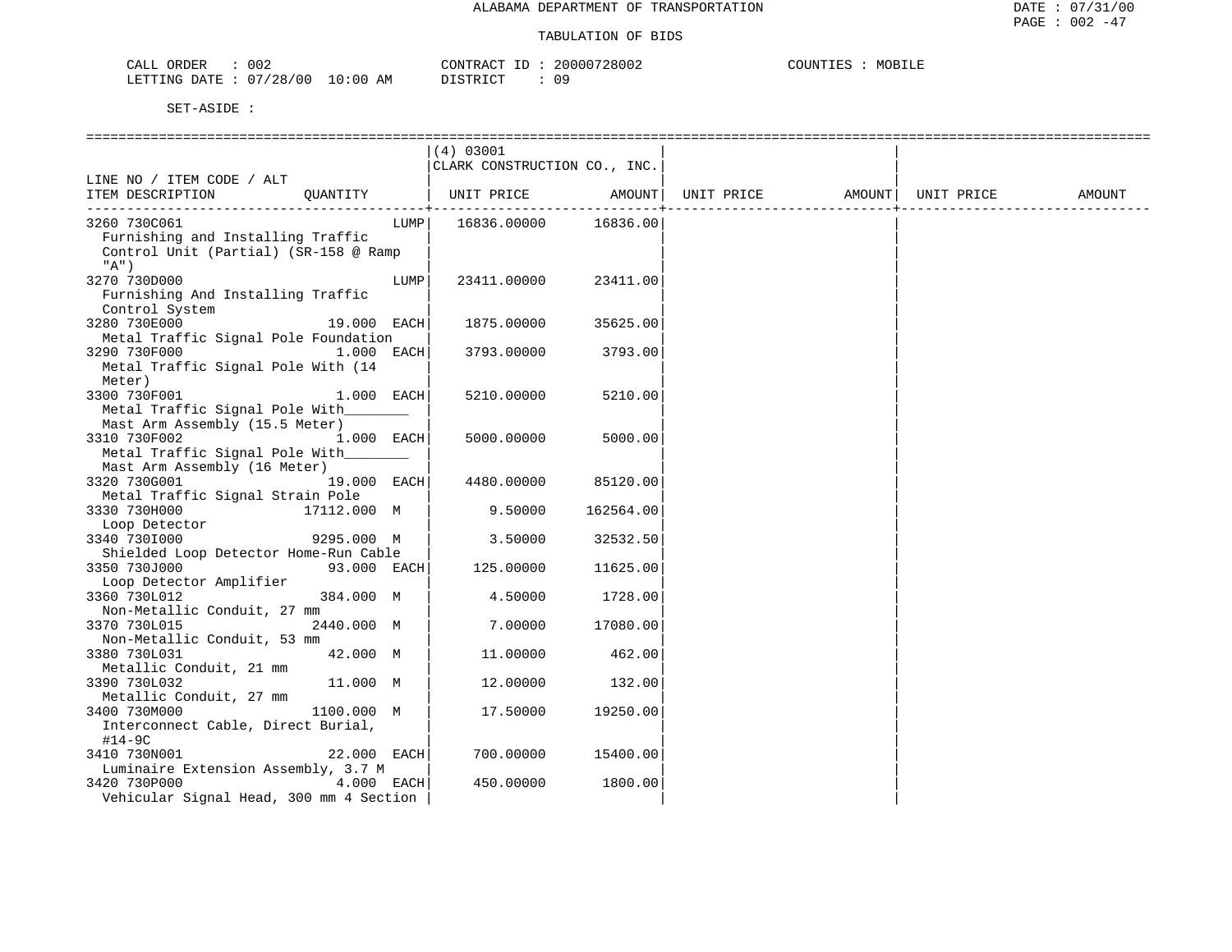| 002<br>CALL ORDER                | CONTRACT ID : | 20000728002 | MOBILE<br>COUNTIES |
|----------------------------------|---------------|-------------|--------------------|
| LETTING DATE : 07/28/00 10:00 AM | DISTRICT      |             |                    |

| (4) 03001<br>CLARK CONSTRUCTION CO., INC.<br>LINE NO / ITEM CODE / ALT<br>OUANTITY<br>UNIT PRICE<br>AMOUNT<br>ITEM DESCRIPTION<br>UNIT PRICE<br>AMOUNT  <br>UNIT PRICE<br>AMOUNT<br>3260 730C061<br>16836.00000<br>16836.00<br>LUMP  <br>Furnishing and Installing Traffic<br>Control Unit (Partial) (SR-158 @ Ramp<br>"A")<br>3270 730D000<br>23411.00<br>LUMP<br>23411.00000<br>Furnishing And Installing Traffic<br>Control System<br>3280 730E000<br>19.000 EACH<br>1875.00000<br>35625.00<br>Metal Traffic Signal Pole Foundation<br>3290 730F000<br>1.000 EACH<br>3793.00<br>3793.00000<br>Metal Traffic Signal Pole With (14<br>Meter)<br>3300 730F001<br>1.000 EACH<br>5210.00000<br>5210.00<br>Metal Traffic Signal Pole With<br>Mast Arm Assembly (15.5 Meter)<br>3310 730F002<br>1.000 EACH<br>5000.00000<br>5000.00<br>Metal Traffic Signal Pole With<br>Mast Arm Assembly (16 Meter)<br>3320 730G001<br>19.000 EACH<br>4480.00000<br>85120.00<br>Metal Traffic Signal Strain Pole<br>3330 730H000<br>17112.000 M<br>9.50000<br>162564.00<br>Loop Detector<br>9295.000 M<br>3340 7301000<br>3.50000<br>32532.50<br>Shielded Loop Detector Home-Run Cable<br>3350 730J000<br>93.000 EACH<br>125.00000<br>11625.00<br>Loop Detector Amplifier<br>1728.00<br>3360 730L012<br>384.000 M<br>4.50000<br>Non-Metallic Conduit, 27 mm<br>17080.00<br>3370 730L015<br>2440.000 M<br>7.00000<br>Non-Metallic Conduit, 53 mm<br>3380 730L031<br>42.000 M<br>11,00000<br>462.00<br>Metallic Conduit, 21 mm<br>3390 730L032<br>11.000 M<br>12.00000<br>132.00<br>Metallic Conduit, 27 mm<br>1100.000 M<br>19250.00<br>3400 730M000<br>17.50000<br>Interconnect Cable, Direct Burial,<br>$#14-9C$<br>3410 730N001<br>700.00000<br>15400.00<br>22.000 EACH<br>Luminaire Extension Assembly, 3.7 M<br>3420 730P000<br>4.000 EACH<br>450.00000<br>1800.00<br>Vehicular Signal Head, 300 mm 4 Section |  |  |  |  |
|-------------------------------------------------------------------------------------------------------------------------------------------------------------------------------------------------------------------------------------------------------------------------------------------------------------------------------------------------------------------------------------------------------------------------------------------------------------------------------------------------------------------------------------------------------------------------------------------------------------------------------------------------------------------------------------------------------------------------------------------------------------------------------------------------------------------------------------------------------------------------------------------------------------------------------------------------------------------------------------------------------------------------------------------------------------------------------------------------------------------------------------------------------------------------------------------------------------------------------------------------------------------------------------------------------------------------------------------------------------------------------------------------------------------------------------------------------------------------------------------------------------------------------------------------------------------------------------------------------------------------------------------------------------------------------------------------------------------------------------------------------------------------------------------------------------------------------------------------------------------------------------------------|--|--|--|--|
|                                                                                                                                                                                                                                                                                                                                                                                                                                                                                                                                                                                                                                                                                                                                                                                                                                                                                                                                                                                                                                                                                                                                                                                                                                                                                                                                                                                                                                                                                                                                                                                                                                                                                                                                                                                                                                                                                                 |  |  |  |  |
|                                                                                                                                                                                                                                                                                                                                                                                                                                                                                                                                                                                                                                                                                                                                                                                                                                                                                                                                                                                                                                                                                                                                                                                                                                                                                                                                                                                                                                                                                                                                                                                                                                                                                                                                                                                                                                                                                                 |  |  |  |  |
|                                                                                                                                                                                                                                                                                                                                                                                                                                                                                                                                                                                                                                                                                                                                                                                                                                                                                                                                                                                                                                                                                                                                                                                                                                                                                                                                                                                                                                                                                                                                                                                                                                                                                                                                                                                                                                                                                                 |  |  |  |  |
|                                                                                                                                                                                                                                                                                                                                                                                                                                                                                                                                                                                                                                                                                                                                                                                                                                                                                                                                                                                                                                                                                                                                                                                                                                                                                                                                                                                                                                                                                                                                                                                                                                                                                                                                                                                                                                                                                                 |  |  |  |  |
|                                                                                                                                                                                                                                                                                                                                                                                                                                                                                                                                                                                                                                                                                                                                                                                                                                                                                                                                                                                                                                                                                                                                                                                                                                                                                                                                                                                                                                                                                                                                                                                                                                                                                                                                                                                                                                                                                                 |  |  |  |  |
|                                                                                                                                                                                                                                                                                                                                                                                                                                                                                                                                                                                                                                                                                                                                                                                                                                                                                                                                                                                                                                                                                                                                                                                                                                                                                                                                                                                                                                                                                                                                                                                                                                                                                                                                                                                                                                                                                                 |  |  |  |  |
|                                                                                                                                                                                                                                                                                                                                                                                                                                                                                                                                                                                                                                                                                                                                                                                                                                                                                                                                                                                                                                                                                                                                                                                                                                                                                                                                                                                                                                                                                                                                                                                                                                                                                                                                                                                                                                                                                                 |  |  |  |  |
|                                                                                                                                                                                                                                                                                                                                                                                                                                                                                                                                                                                                                                                                                                                                                                                                                                                                                                                                                                                                                                                                                                                                                                                                                                                                                                                                                                                                                                                                                                                                                                                                                                                                                                                                                                                                                                                                                                 |  |  |  |  |
|                                                                                                                                                                                                                                                                                                                                                                                                                                                                                                                                                                                                                                                                                                                                                                                                                                                                                                                                                                                                                                                                                                                                                                                                                                                                                                                                                                                                                                                                                                                                                                                                                                                                                                                                                                                                                                                                                                 |  |  |  |  |
|                                                                                                                                                                                                                                                                                                                                                                                                                                                                                                                                                                                                                                                                                                                                                                                                                                                                                                                                                                                                                                                                                                                                                                                                                                                                                                                                                                                                                                                                                                                                                                                                                                                                                                                                                                                                                                                                                                 |  |  |  |  |
|                                                                                                                                                                                                                                                                                                                                                                                                                                                                                                                                                                                                                                                                                                                                                                                                                                                                                                                                                                                                                                                                                                                                                                                                                                                                                                                                                                                                                                                                                                                                                                                                                                                                                                                                                                                                                                                                                                 |  |  |  |  |
|                                                                                                                                                                                                                                                                                                                                                                                                                                                                                                                                                                                                                                                                                                                                                                                                                                                                                                                                                                                                                                                                                                                                                                                                                                                                                                                                                                                                                                                                                                                                                                                                                                                                                                                                                                                                                                                                                                 |  |  |  |  |
|                                                                                                                                                                                                                                                                                                                                                                                                                                                                                                                                                                                                                                                                                                                                                                                                                                                                                                                                                                                                                                                                                                                                                                                                                                                                                                                                                                                                                                                                                                                                                                                                                                                                                                                                                                                                                                                                                                 |  |  |  |  |
|                                                                                                                                                                                                                                                                                                                                                                                                                                                                                                                                                                                                                                                                                                                                                                                                                                                                                                                                                                                                                                                                                                                                                                                                                                                                                                                                                                                                                                                                                                                                                                                                                                                                                                                                                                                                                                                                                                 |  |  |  |  |
|                                                                                                                                                                                                                                                                                                                                                                                                                                                                                                                                                                                                                                                                                                                                                                                                                                                                                                                                                                                                                                                                                                                                                                                                                                                                                                                                                                                                                                                                                                                                                                                                                                                                                                                                                                                                                                                                                                 |  |  |  |  |
|                                                                                                                                                                                                                                                                                                                                                                                                                                                                                                                                                                                                                                                                                                                                                                                                                                                                                                                                                                                                                                                                                                                                                                                                                                                                                                                                                                                                                                                                                                                                                                                                                                                                                                                                                                                                                                                                                                 |  |  |  |  |
|                                                                                                                                                                                                                                                                                                                                                                                                                                                                                                                                                                                                                                                                                                                                                                                                                                                                                                                                                                                                                                                                                                                                                                                                                                                                                                                                                                                                                                                                                                                                                                                                                                                                                                                                                                                                                                                                                                 |  |  |  |  |
|                                                                                                                                                                                                                                                                                                                                                                                                                                                                                                                                                                                                                                                                                                                                                                                                                                                                                                                                                                                                                                                                                                                                                                                                                                                                                                                                                                                                                                                                                                                                                                                                                                                                                                                                                                                                                                                                                                 |  |  |  |  |
|                                                                                                                                                                                                                                                                                                                                                                                                                                                                                                                                                                                                                                                                                                                                                                                                                                                                                                                                                                                                                                                                                                                                                                                                                                                                                                                                                                                                                                                                                                                                                                                                                                                                                                                                                                                                                                                                                                 |  |  |  |  |
|                                                                                                                                                                                                                                                                                                                                                                                                                                                                                                                                                                                                                                                                                                                                                                                                                                                                                                                                                                                                                                                                                                                                                                                                                                                                                                                                                                                                                                                                                                                                                                                                                                                                                                                                                                                                                                                                                                 |  |  |  |  |
|                                                                                                                                                                                                                                                                                                                                                                                                                                                                                                                                                                                                                                                                                                                                                                                                                                                                                                                                                                                                                                                                                                                                                                                                                                                                                                                                                                                                                                                                                                                                                                                                                                                                                                                                                                                                                                                                                                 |  |  |  |  |
|                                                                                                                                                                                                                                                                                                                                                                                                                                                                                                                                                                                                                                                                                                                                                                                                                                                                                                                                                                                                                                                                                                                                                                                                                                                                                                                                                                                                                                                                                                                                                                                                                                                                                                                                                                                                                                                                                                 |  |  |  |  |
|                                                                                                                                                                                                                                                                                                                                                                                                                                                                                                                                                                                                                                                                                                                                                                                                                                                                                                                                                                                                                                                                                                                                                                                                                                                                                                                                                                                                                                                                                                                                                                                                                                                                                                                                                                                                                                                                                                 |  |  |  |  |
|                                                                                                                                                                                                                                                                                                                                                                                                                                                                                                                                                                                                                                                                                                                                                                                                                                                                                                                                                                                                                                                                                                                                                                                                                                                                                                                                                                                                                                                                                                                                                                                                                                                                                                                                                                                                                                                                                                 |  |  |  |  |
|                                                                                                                                                                                                                                                                                                                                                                                                                                                                                                                                                                                                                                                                                                                                                                                                                                                                                                                                                                                                                                                                                                                                                                                                                                                                                                                                                                                                                                                                                                                                                                                                                                                                                                                                                                                                                                                                                                 |  |  |  |  |
|                                                                                                                                                                                                                                                                                                                                                                                                                                                                                                                                                                                                                                                                                                                                                                                                                                                                                                                                                                                                                                                                                                                                                                                                                                                                                                                                                                                                                                                                                                                                                                                                                                                                                                                                                                                                                                                                                                 |  |  |  |  |
|                                                                                                                                                                                                                                                                                                                                                                                                                                                                                                                                                                                                                                                                                                                                                                                                                                                                                                                                                                                                                                                                                                                                                                                                                                                                                                                                                                                                                                                                                                                                                                                                                                                                                                                                                                                                                                                                                                 |  |  |  |  |
|                                                                                                                                                                                                                                                                                                                                                                                                                                                                                                                                                                                                                                                                                                                                                                                                                                                                                                                                                                                                                                                                                                                                                                                                                                                                                                                                                                                                                                                                                                                                                                                                                                                                                                                                                                                                                                                                                                 |  |  |  |  |
|                                                                                                                                                                                                                                                                                                                                                                                                                                                                                                                                                                                                                                                                                                                                                                                                                                                                                                                                                                                                                                                                                                                                                                                                                                                                                                                                                                                                                                                                                                                                                                                                                                                                                                                                                                                                                                                                                                 |  |  |  |  |
|                                                                                                                                                                                                                                                                                                                                                                                                                                                                                                                                                                                                                                                                                                                                                                                                                                                                                                                                                                                                                                                                                                                                                                                                                                                                                                                                                                                                                                                                                                                                                                                                                                                                                                                                                                                                                                                                                                 |  |  |  |  |
|                                                                                                                                                                                                                                                                                                                                                                                                                                                                                                                                                                                                                                                                                                                                                                                                                                                                                                                                                                                                                                                                                                                                                                                                                                                                                                                                                                                                                                                                                                                                                                                                                                                                                                                                                                                                                                                                                                 |  |  |  |  |
|                                                                                                                                                                                                                                                                                                                                                                                                                                                                                                                                                                                                                                                                                                                                                                                                                                                                                                                                                                                                                                                                                                                                                                                                                                                                                                                                                                                                                                                                                                                                                                                                                                                                                                                                                                                                                                                                                                 |  |  |  |  |
|                                                                                                                                                                                                                                                                                                                                                                                                                                                                                                                                                                                                                                                                                                                                                                                                                                                                                                                                                                                                                                                                                                                                                                                                                                                                                                                                                                                                                                                                                                                                                                                                                                                                                                                                                                                                                                                                                                 |  |  |  |  |
|                                                                                                                                                                                                                                                                                                                                                                                                                                                                                                                                                                                                                                                                                                                                                                                                                                                                                                                                                                                                                                                                                                                                                                                                                                                                                                                                                                                                                                                                                                                                                                                                                                                                                                                                                                                                                                                                                                 |  |  |  |  |
|                                                                                                                                                                                                                                                                                                                                                                                                                                                                                                                                                                                                                                                                                                                                                                                                                                                                                                                                                                                                                                                                                                                                                                                                                                                                                                                                                                                                                                                                                                                                                                                                                                                                                                                                                                                                                                                                                                 |  |  |  |  |
|                                                                                                                                                                                                                                                                                                                                                                                                                                                                                                                                                                                                                                                                                                                                                                                                                                                                                                                                                                                                                                                                                                                                                                                                                                                                                                                                                                                                                                                                                                                                                                                                                                                                                                                                                                                                                                                                                                 |  |  |  |  |
|                                                                                                                                                                                                                                                                                                                                                                                                                                                                                                                                                                                                                                                                                                                                                                                                                                                                                                                                                                                                                                                                                                                                                                                                                                                                                                                                                                                                                                                                                                                                                                                                                                                                                                                                                                                                                                                                                                 |  |  |  |  |
|                                                                                                                                                                                                                                                                                                                                                                                                                                                                                                                                                                                                                                                                                                                                                                                                                                                                                                                                                                                                                                                                                                                                                                                                                                                                                                                                                                                                                                                                                                                                                                                                                                                                                                                                                                                                                                                                                                 |  |  |  |  |
|                                                                                                                                                                                                                                                                                                                                                                                                                                                                                                                                                                                                                                                                                                                                                                                                                                                                                                                                                                                                                                                                                                                                                                                                                                                                                                                                                                                                                                                                                                                                                                                                                                                                                                                                                                                                                                                                                                 |  |  |  |  |
|                                                                                                                                                                                                                                                                                                                                                                                                                                                                                                                                                                                                                                                                                                                                                                                                                                                                                                                                                                                                                                                                                                                                                                                                                                                                                                                                                                                                                                                                                                                                                                                                                                                                                                                                                                                                                                                                                                 |  |  |  |  |
|                                                                                                                                                                                                                                                                                                                                                                                                                                                                                                                                                                                                                                                                                                                                                                                                                                                                                                                                                                                                                                                                                                                                                                                                                                                                                                                                                                                                                                                                                                                                                                                                                                                                                                                                                                                                                                                                                                 |  |  |  |  |
|                                                                                                                                                                                                                                                                                                                                                                                                                                                                                                                                                                                                                                                                                                                                                                                                                                                                                                                                                                                                                                                                                                                                                                                                                                                                                                                                                                                                                                                                                                                                                                                                                                                                                                                                                                                                                                                                                                 |  |  |  |  |
|                                                                                                                                                                                                                                                                                                                                                                                                                                                                                                                                                                                                                                                                                                                                                                                                                                                                                                                                                                                                                                                                                                                                                                                                                                                                                                                                                                                                                                                                                                                                                                                                                                                                                                                                                                                                                                                                                                 |  |  |  |  |
|                                                                                                                                                                                                                                                                                                                                                                                                                                                                                                                                                                                                                                                                                                                                                                                                                                                                                                                                                                                                                                                                                                                                                                                                                                                                                                                                                                                                                                                                                                                                                                                                                                                                                                                                                                                                                                                                                                 |  |  |  |  |
|                                                                                                                                                                                                                                                                                                                                                                                                                                                                                                                                                                                                                                                                                                                                                                                                                                                                                                                                                                                                                                                                                                                                                                                                                                                                                                                                                                                                                                                                                                                                                                                                                                                                                                                                                                                                                                                                                                 |  |  |  |  |
|                                                                                                                                                                                                                                                                                                                                                                                                                                                                                                                                                                                                                                                                                                                                                                                                                                                                                                                                                                                                                                                                                                                                                                                                                                                                                                                                                                                                                                                                                                                                                                                                                                                                                                                                                                                                                                                                                                 |  |  |  |  |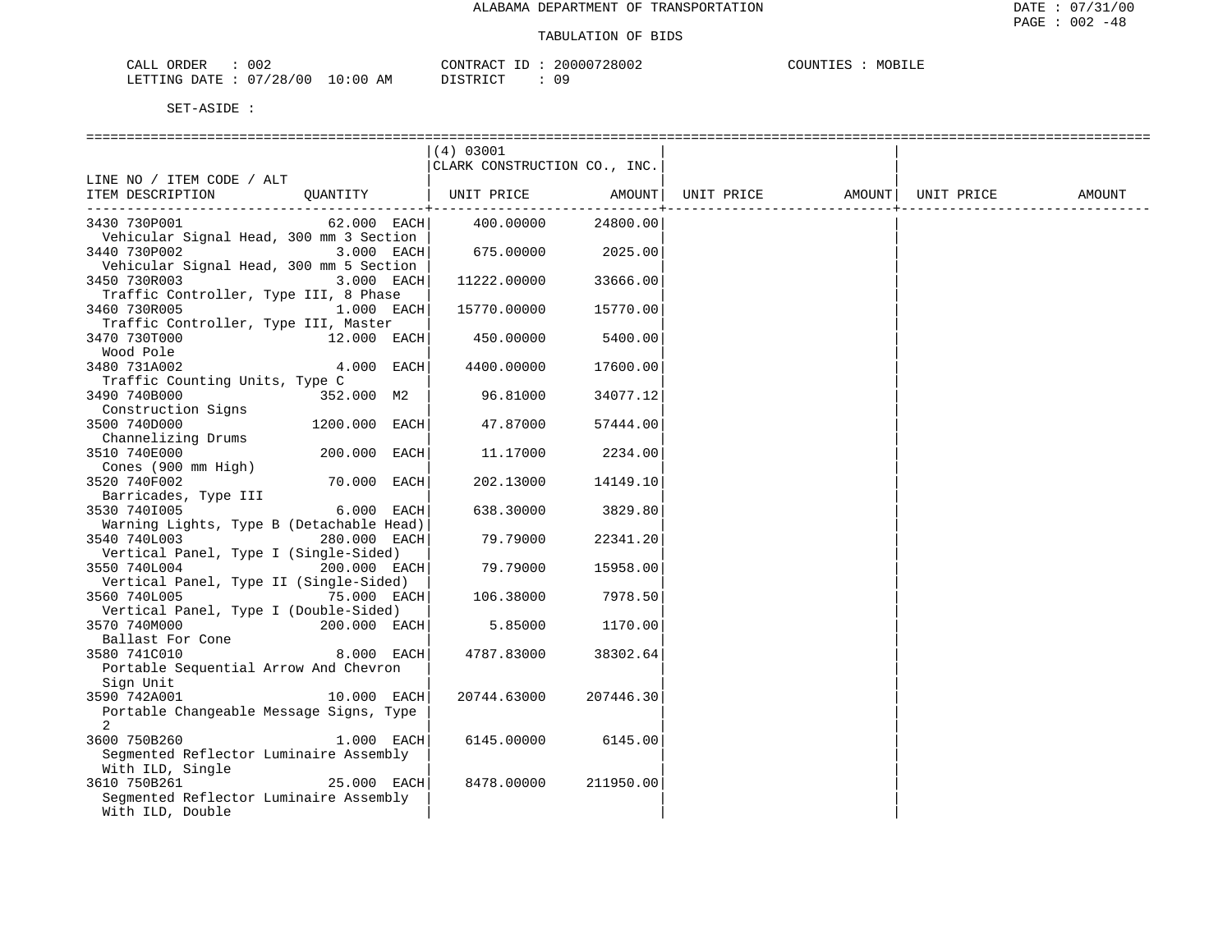| ORDER<br>CALL | 002      |             | CONTRACT<br>TD.   | 20000728002 | COUNTIES | MOBILE |
|---------------|----------|-------------|-------------------|-------------|----------|--------|
| LETTING DATE  | 07/28/00 | 10:00<br>AM | חי חי חידו פידי פ |             |          |        |

DISTRICT : 09

|                                                         |                | (4) 03001<br>CLARK CONSTRUCTION CO., INC. |           |            |                    |        |
|---------------------------------------------------------|----------------|-------------------------------------------|-----------|------------|--------------------|--------|
| LINE NO / ITEM CODE / ALT                               |                |                                           |           |            |                    |        |
| ITEM DESCRIPTION                                        | QUANTITY       | UNIT PRICE                                | AMOUNT    | UNIT PRICE | AMOUNT  UNIT PRICE | AMOUNT |
|                                                         |                |                                           |           |            |                    |        |
| 3430 730P001                                            |                | 62.000 EACH 400.00000                     | 24800.00  |            |                    |        |
| Vehicular Signal Head, 300 mm 3 Section<br>3440 730P002 | $3.000$ EACH   | 675.00000                                 | 2025.00   |            |                    |        |
| Vehicular Signal Head, 300 mm 5 Section                 |                |                                           |           |            |                    |        |
| 3450 730R003                                            | $3.000$ EACH   | 11222.00000                               | 33666.00  |            |                    |        |
| Traffic Controller, Type III, 8 Phase                   |                |                                           |           |            |                    |        |
| 3460 730R005                                            | $1.000$ EACH   | 15770.00000                               | 15770.00  |            |                    |        |
| Traffic Controller, Type III, Master                    |                |                                           |           |            |                    |        |
| 3470 730T000<br>Wood Pole                               | $12.000$ EACH  | 450.00000                                 | 5400.00   |            |                    |        |
| 3480 731A002                                            | $4.000$ EACH   | 4400.00000                                | 17600.00  |            |                    |        |
| Traffic Counting Units, Type C                          |                |                                           |           |            |                    |        |
| 3490 740B000                                            | 352.000 M2     | 96.81000                                  | 34077.12  |            |                    |        |
| Construction Signs                                      |                |                                           |           |            |                    |        |
| 3500 740D000                                            | 1200.000 EACH  | 47.87000                                  | 57444.00  |            |                    |        |
| Channelizing Drums                                      | 200.000 EACH   |                                           |           |            |                    |        |
| 3510 740E000<br>Cones (900 mm High)                     |                | 11.17000                                  | 2234.00   |            |                    |        |
| 3520 740F002                                            | 70.000 EACH    | 202.13000                                 | 14149.10  |            |                    |        |
| Barricades, Type III                                    |                |                                           |           |            |                    |        |
| 3530 7401005                                            | $6.000$ EACH   | 638.30000                                 | 3829.80   |            |                    |        |
| Warning Lights, Type B (Detachable Head)                |                |                                           |           |            |                    |        |
| 3540 740L003                                            | 280.000 EACH   | 79.79000                                  | 22341.20  |            |                    |        |
| Vertical Panel, Type I (Single-Sided)<br>3550 740L004   | 200.000 EACH   | 79.79000                                  | 15958.00  |            |                    |        |
| Vertical Panel, Type II (Single-Sided)                  |                |                                           |           |            |                    |        |
| 3560 740L005                                            | $75.000$ EACH  | 106.38000                                 | 7978.50   |            |                    |        |
| Vertical Panel, Type I (Double-Sided)                   |                |                                           |           |            |                    |        |
| 3570 740M000                                            | $200.000$ EACH | 5.85000                                   | 1170.00   |            |                    |        |
| Ballast For Cone                                        |                |                                           |           |            |                    |        |
| 3580 741C010<br>Portable Sequential Arrow And Chevron   | 8.000 EACH     | 4787.83000                                | 38302.64  |            |                    |        |
| Sign Unit                                               |                |                                           |           |            |                    |        |
| 3590 742A001                                            | $10.000$ EACH  | 20744.63000                               | 207446.30 |            |                    |        |
| Portable Changeable Message Signs, Type                 |                |                                           |           |            |                    |        |
| $\overline{a}$                                          |                |                                           |           |            |                    |        |
| 3600 750B260                                            | 1.000 EACH     | 6145.00000                                | 6145.00   |            |                    |        |
| Seqmented Reflector Luminaire Assembly                  |                |                                           |           |            |                    |        |
| With ILD, Single<br>3610 750B261                        | 25.000 EACH    | 8478.00000                                | 211950.00 |            |                    |        |
| Seqmented Reflector Luminaire Assembly                  |                |                                           |           |            |                    |        |
| With ILD, Double                                        |                |                                           |           |            |                    |        |
|                                                         |                |                                           |           |            |                    |        |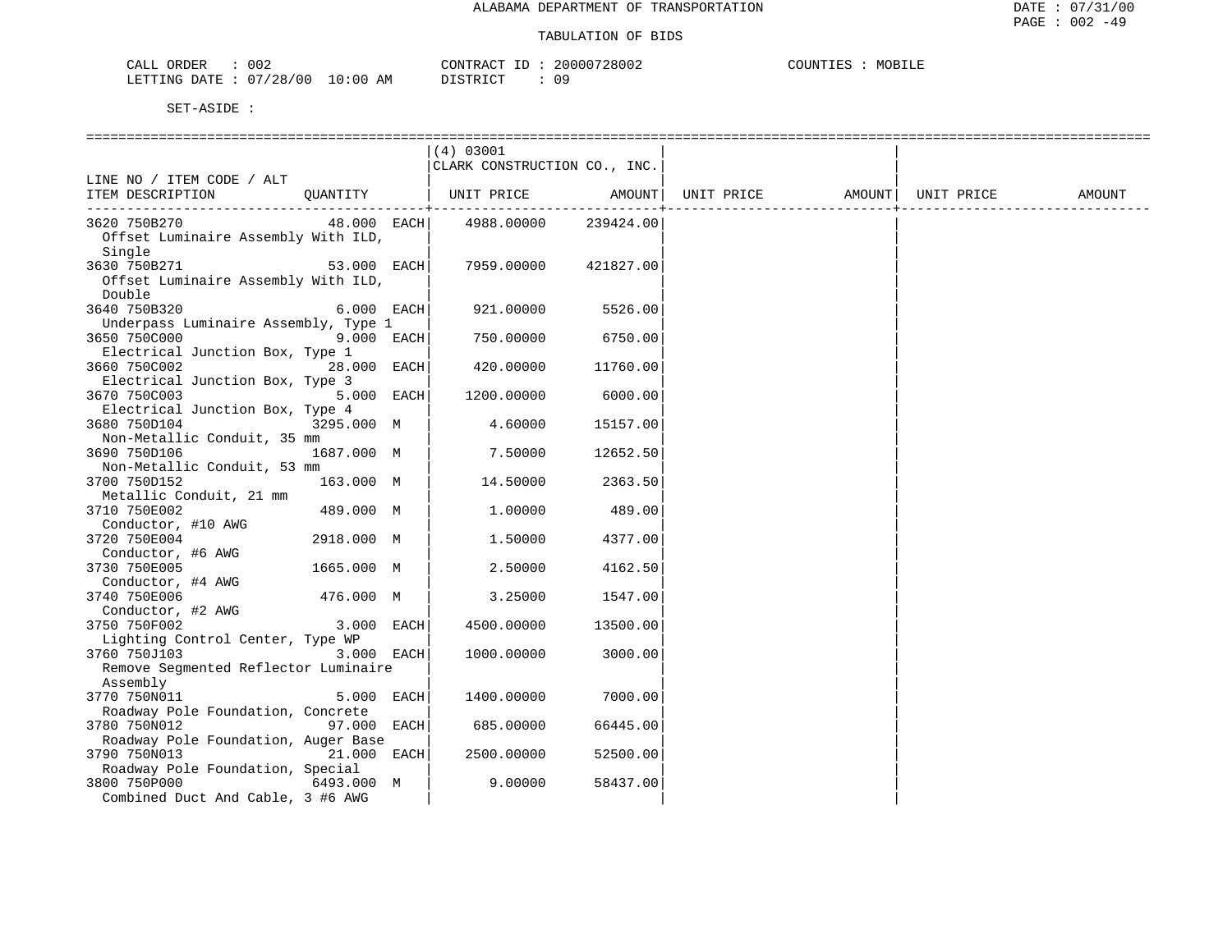| 002<br>CALL ORDER               |          | CONTRACT ID: 20000728002 | MOBILE<br>COUNTIES : |
|---------------------------------|----------|--------------------------|----------------------|
| LETTING DATE: 07/28/00 10:00 AM | DISTRICT | 09                       |                      |

|                                                               |             | (4) 03001<br>CLARK CONSTRUCTION CO., INC. |           |            |        |            |        |
|---------------------------------------------------------------|-------------|-------------------------------------------|-----------|------------|--------|------------|--------|
| LINE NO / ITEM CODE / ALT                                     |             |                                           |           |            |        |            |        |
| ITEM DESCRIPTION                                              | OUANTITY    | UNIT PRICE                                | AMOUNT    | UNIT PRICE | AMOUNT | UNIT PRICE | AMOUNT |
| 3620 750B270<br>Offset Luminaire Assembly With ILD,<br>Single | 48.000 EACH | 4988.00000                                | 239424.00 |            |        |            |        |
| 3630 750B271<br>Offset Luminaire Assembly With ILD,<br>Double | 53.000 EACH | 7959.00000                                | 421827.00 |            |        |            |        |
| 3640 750B320<br>Underpass Luminaire Assembly, Type 1          | 6.000 EACH  | 921.00000                                 | 5526.00   |            |        |            |        |
| 3650 750C000<br>Electrical Junction Box, Type 1               | 9.000 EACH  | 750.00000                                 | 6750.00   |            |        |            |        |
| 3660 750C002                                                  | 28.000 EACH | 420.00000                                 | 11760.00  |            |        |            |        |
| Electrical Junction Box, Type 3<br>3670 750C003               | 5.000 EACH  | 1200.00000                                | 6000.00   |            |        |            |        |
| Electrical Junction Box, Type 4<br>3680 750D104               | 3295.000 M  | 4.60000                                   | 15157.00  |            |        |            |        |
| Non-Metallic Conduit, 35 mm<br>3690 750D106                   | 1687.000 M  | 7.50000                                   | 12652.50  |            |        |            |        |
| Non-Metallic Conduit, 53 mm<br>3700 750D152                   | 163.000 M   | 14.50000                                  | 2363.50   |            |        |            |        |
| Metallic Conduit, 21 mm<br>3710 750E002                       | 489.000 M   | 1.00000                                   | 489.00    |            |        |            |        |
| Conductor, #10 AWG<br>3720 750E004                            | 2918.000 M  | 1.50000                                   | 4377.00   |            |        |            |        |
| Conductor, #6 AWG<br>3730 750E005                             | 1665.000 M  | 2.50000                                   | 4162.50   |            |        |            |        |
| Conductor, #4 AWG<br>3740 750E006                             | 476.000 M   | 3.25000                                   | 1547.00   |            |        |            |        |
| Conductor, #2 AWG<br>3750 750F002                             | 3.000 EACH  | 4500.00000                                | 13500.00  |            |        |            |        |
| Lighting Control Center, Type WP<br>3760 750J103              | 3.000 EACH  | 1000.00000                                | 3000.00   |            |        |            |        |
| Remove Segmented Reflector Luminaire<br>Assembly              |             |                                           |           |            |        |            |        |
| 3770 750N011<br>Roadway Pole Foundation, Concrete             | 5.000 EACH  | 1400.00000                                | 7000.00   |            |        |            |        |
| 3780 750N012<br>Roadway Pole Foundation, Auger Base           | 97.000 EACH | 685.00000                                 | 66445.00  |            |        |            |        |
| 3790 750N013<br>Roadway Pole Foundation, Special              | 21.000 EACH | 2500.00000                                | 52500.00  |            |        |            |        |
| 3800 750P000<br>Combined Duct And Cable, 3 #6 AWG             | 6493.000 M  | 9.00000                                   | 58437.00  |            |        |            |        |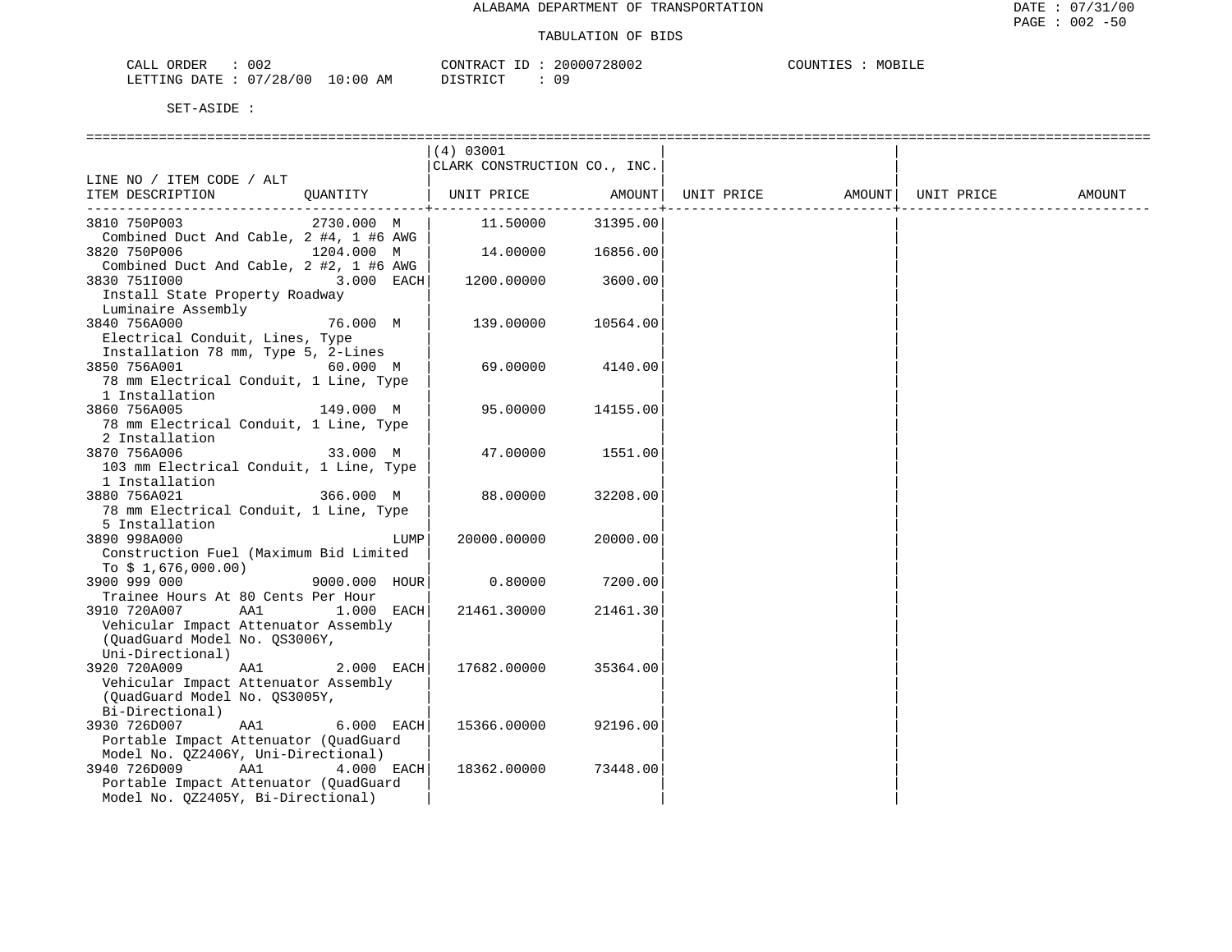| CALL ORDER                       | 002 | CONTRACT ID: | 20000728002 | COUNTIES | MOBILE |
|----------------------------------|-----|--------------|-------------|----------|--------|
| LETTING DATE : 07/28/00 10:00 AM |     | DISTRICT     |             |          |        |

|                                                           |               | (4) 03001                    |          |                   |            |        |
|-----------------------------------------------------------|---------------|------------------------------|----------|-------------------|------------|--------|
|                                                           |               | CLARK CONSTRUCTION CO., INC. |          |                   |            |        |
| LINE NO / ITEM CODE / ALT                                 |               |                              |          |                   |            |        |
| ITEM DESCRIPTION                                          | OUANTITY      | UNIT PRICE                   | AMOUNT   | UNIT PRICE AMOUNT | UNIT PRICE | AMOUNT |
| 3810 750P003                                              | 2730.000 M    | 11.50000                     | 31395.00 |                   |            |        |
| Combined Duct And Cable, 2 #4, 1 #6 AWG                   |               |                              |          |                   |            |        |
| 3820 750P006                                              | 1204.000 M    | 14.00000                     | 16856.00 |                   |            |        |
| Combined Duct And Cable, 2 #2, 1 #6 AWG<br>3830 7511000   | 3.000 EACH    | 1200.00000                   | 3600.00  |                   |            |        |
| Install State Property Roadway<br>Luminaire Assembly      |               |                              |          |                   |            |        |
| 3840 756A000                                              | 76.000 M      | 139.00000                    | 10564.00 |                   |            |        |
| Electrical Conduit, Lines, Type                           |               |                              |          |                   |            |        |
| Installation 78 mm, Type 5, 2-Lines                       |               |                              |          |                   |            |        |
| 3850 756A001                                              | 60.000 M      | 69.00000                     | 4140.00  |                   |            |        |
| 78 mm Electrical Conduit, 1 Line, Type<br>1 Installation  |               |                              |          |                   |            |        |
| 3860 756A005                                              | 149.000 M     | 95.00000                     | 14155.00 |                   |            |        |
| 78 mm Electrical Conduit, 1 Line, Type<br>2 Installation  |               |                              |          |                   |            |        |
| 3870 756A006                                              | 33.000 M      | 47.00000                     | 1551.00  |                   |            |        |
| 103 mm Electrical Conduit, 1 Line, Type<br>1 Installation |               |                              |          |                   |            |        |
| 3880 756A021                                              | 366.000 M     | 88.00000                     | 32208.00 |                   |            |        |
| 78 mm Electrical Conduit, 1 Line, Type                    |               |                              |          |                   |            |        |
| 5 Installation                                            |               |                              |          |                   |            |        |
| 3890 998A000                                              | LUMP          | 20000.00000                  | 20000.00 |                   |            |        |
| Construction Fuel (Maximum Bid Limited                    |               |                              |          |                   |            |        |
| To $$1,676,000.00)$                                       |               |                              |          |                   |            |        |
| 3900 999 000                                              | 9000.000 HOUR | 0.80000                      | 7200.00  |                   |            |        |
| Trainee Hours At 80 Cents Per Hour                        |               |                              |          |                   |            |        |
| 3910 720A007<br>AA1                                       | 1.000 EACH    | 21461.30000                  | 21461.30 |                   |            |        |
| Vehicular Impact Attenuator Assembly                      |               |                              |          |                   |            |        |
| (QuadGuard Model No. QS3006Y,                             |               |                              |          |                   |            |        |
| Uni-Directional)<br>3920 720A009<br>AA1                   | 2.000 EACH    | 17682.00000                  | 35364.00 |                   |            |        |
| Vehicular Impact Attenuator Assembly                      |               |                              |          |                   |            |        |
| (QuadGuard Model No. QS3005Y,                             |               |                              |          |                   |            |        |
| Bi-Directional)                                           |               |                              |          |                   |            |        |
| 3930 726D007<br>AA1                                       | 6.000 EACH    | 15366.00000                  | 92196.00 |                   |            |        |
| Portable Impact Attenuator (QuadGuard                     |               |                              |          |                   |            |        |
| Model No. QZ2406Y, Uni-Directional)                       |               |                              |          |                   |            |        |
| AA1<br>3940 726D009                                       | 4.000 EACH    | 18362.00000                  | 73448.00 |                   |            |        |
| Portable Impact Attenuator (OuadGuard                     |               |                              |          |                   |            |        |
| Model No. QZ2405Y, Bi-Directional)                        |               |                              |          |                   |            |        |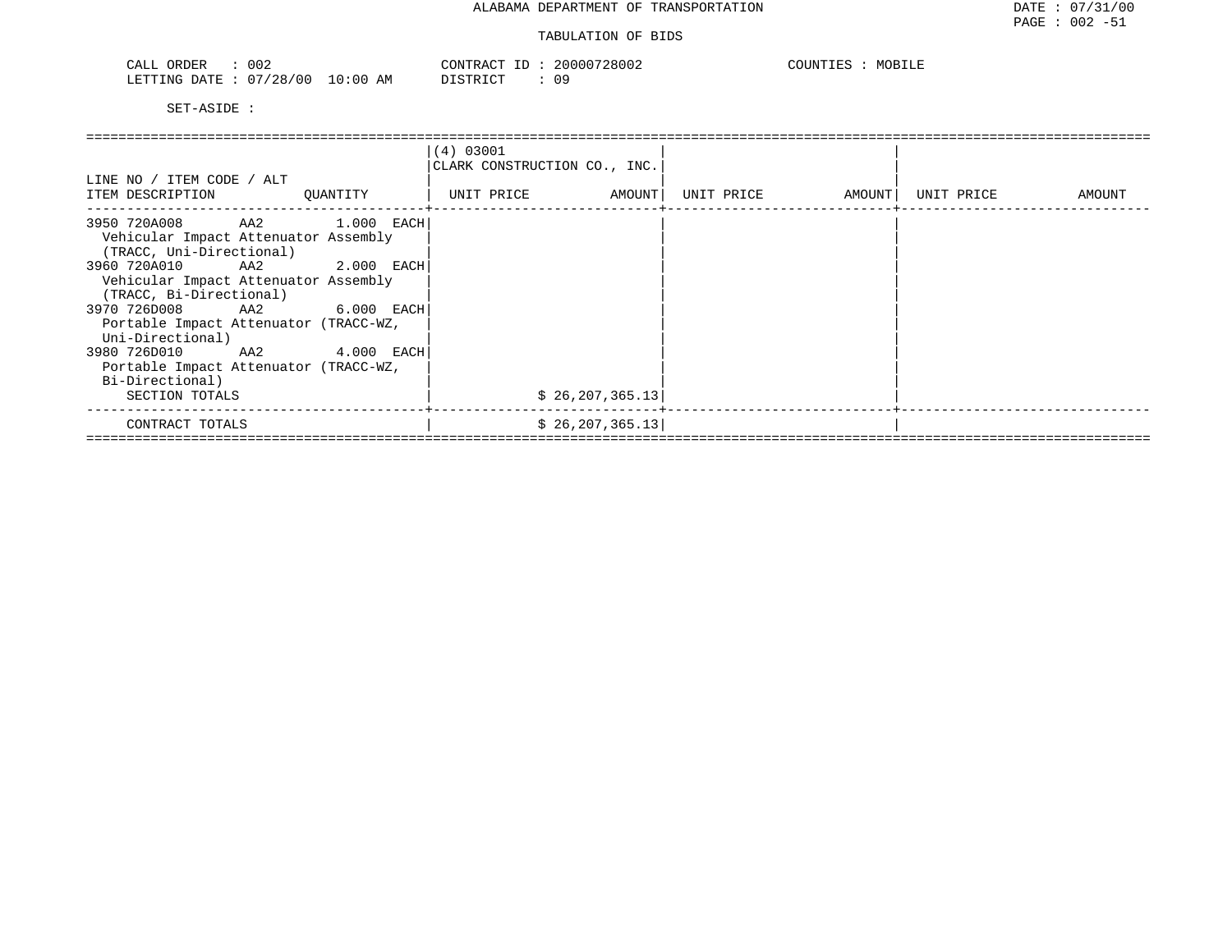| 002<br>ORDER<br>$\neg \Delta$<br>لمسلما                      | 28002<br>20000   | COUNTIF<br>5 L L L |
|--------------------------------------------------------------|------------------|--------------------|
| <b>ETTING</b><br>128.<br>700<br>ΆM<br><b>DATE</b><br>- U - 1 | ו סידי דרו<br>09 |                    |

| LINE NO / ITEM CODE / ALT<br>ITEM DESCRIPTION                                                     | QUANTITY       | (4) 03001<br>CLARK CONSTRUCTION CO., INC.<br>AMOUNT  <br>UNIT PRICE | UNIT PRICE<br>AMOUNT | UNIT PRICE<br>AMOUNT |
|---------------------------------------------------------------------------------------------------|----------------|---------------------------------------------------------------------|----------------------|----------------------|
| 3950 720A008<br>Vehicular Impact Attenuator Assembly<br>(TRACC, Uni-Directional)                  | AA2 1.000 EACH |                                                                     |                      |                      |
| 3960 720A010<br>AA2<br>Vehicular Impact Attenuator Assembly<br>(TRACC, Bi-Directional)            | $2.000$ EACH   |                                                                     |                      |                      |
| 3970 726D008<br>AA2<br>Portable Impact Attenuator (TRACC-WZ,<br>Uni-Directional)                  | 6.000 EACH     |                                                                     |                      |                      |
| 3980 726D010<br>AA2<br>Portable Impact Attenuator (TRACC-WZ,<br>Bi-Directional)<br>SECTION TOTALS | $4.000$ EACH   | \$26, 207, 365.13                                                   |                      |                      |
| CONTRACT TOTALS                                                                                   |                | \$26, 207, 365.13                                                   |                      |                      |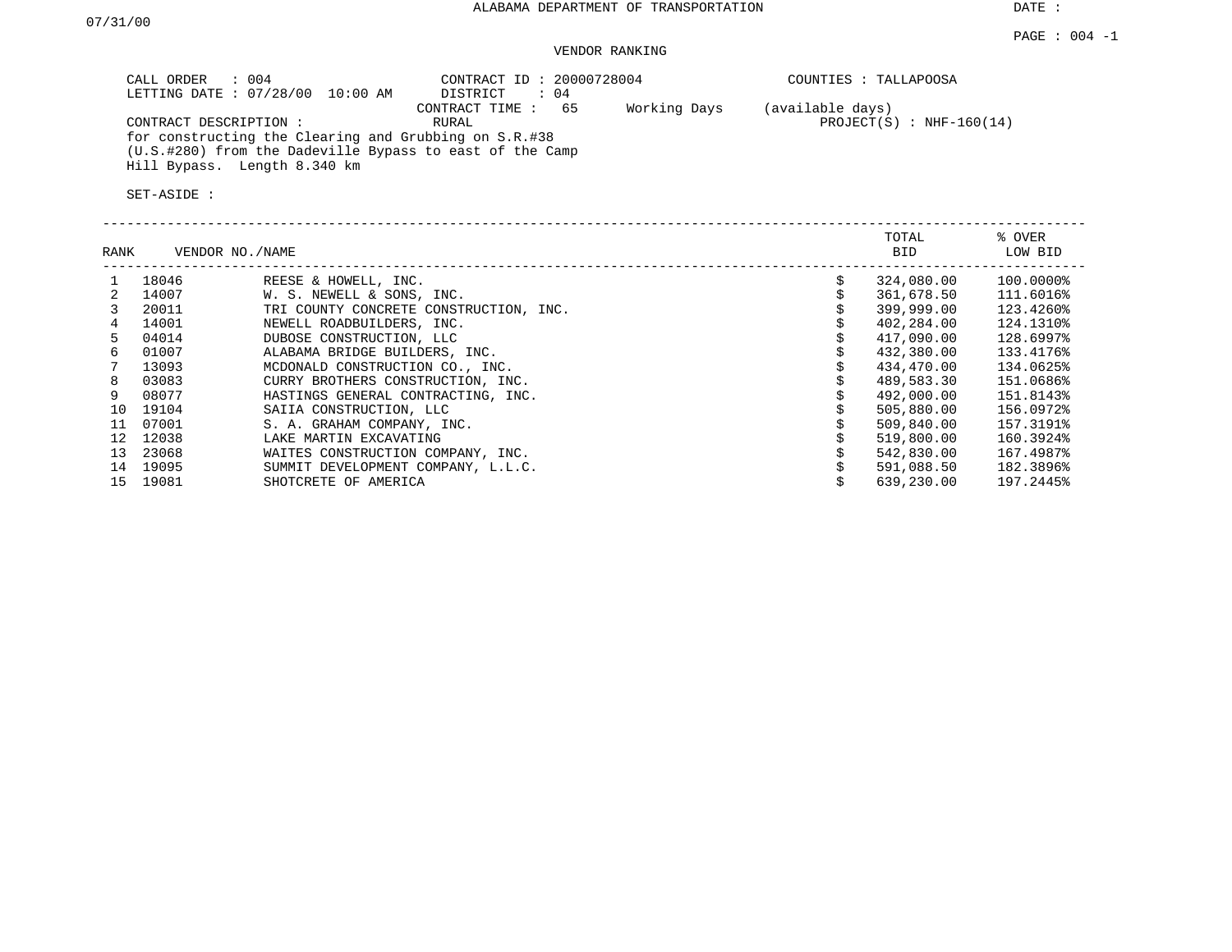DATE :

### VENDOR RANKING

| $\therefore$ 004<br>CALL ORDER<br>LETTING DATE : 07/28/00 10:00 AM                                                                                                         | CONTRACT ID: 20000728004<br>: 04<br>DISTRICT | COUNTIES : TALLAPOOSA                                          |
|----------------------------------------------------------------------------------------------------------------------------------------------------------------------------|----------------------------------------------|----------------------------------------------------------------|
| CONTRACT DESCRIPTION:<br>for constructing the Clearing and Grubbing on S.R.#38<br>(U.S.#280) from the Dadeville Bypass to east of the Camp<br>Hill Bypass. Length 8.340 km | CONTRACT TIME: 65<br>RURAL                   | Working Days<br>(available days)<br>$PROJECT(S)$ : NHF-160(14) |

| RANK |       | VENDOR NO./NAME                        | TOTAL<br>BID | % OVER<br>LOW BID |
|------|-------|----------------------------------------|--------------|-------------------|
|      | 18046 | REESE & HOWELL, INC.                   | 324,080.00   | 100.0000%         |
|      | 14007 | W. S. NEWELL & SONS, INC.              | 361,678.50   | 111.6016%         |
|      | 20011 | TRI COUNTY CONCRETE CONSTRUCTION, INC. | 399,999.00   | 123.4260%         |
|      | 14001 | NEWELL ROADBUILDERS, INC.              | 402,284.00   | 124.1310%         |
| ъ.   | 04014 | DUBOSE CONSTRUCTION, LLC               | 417,090.00   | 128.6997%         |
| 6    | 01007 | ALABAMA BRIDGE BUILDERS, INC.          | 432,380.00   | 133.4176%         |
|      | 13093 | MCDONALD CONSTRUCTION CO., INC.        | 434,470.00   | 134.0625%         |
| 8    | 03083 | CURRY BROTHERS CONSTRUCTION, INC.      | 489,583.30   | 151.0686%         |
|      | 08077 | HASTINGS GENERAL CONTRACTING, INC.     | 492,000.00   | 151.8143%         |
| 10   | 19104 | SAIIA CONSTRUCTION, LLC                | 505,880.00   | 156.0972%         |
| 11   | 07001 | S. A. GRAHAM COMPANY, INC.             | 509,840.00   | 157.3191%         |
| 12   | 12038 | LAKE MARTIN EXCAVATING                 | 519,800.00   | 160.3924%         |
| 13   | 23068 | WAITES CONSTRUCTION COMPANY, INC.      | 542,830.00   | 167.4987%         |
| 14   | 19095 | SUMMIT DEVELOPMENT COMPANY, L.L.C.     | 591,088.50   | 182.3896%         |
| 15   | 19081 | SHOTCRETE OF AMERICA                   | 639,230.00   | 197.2445%         |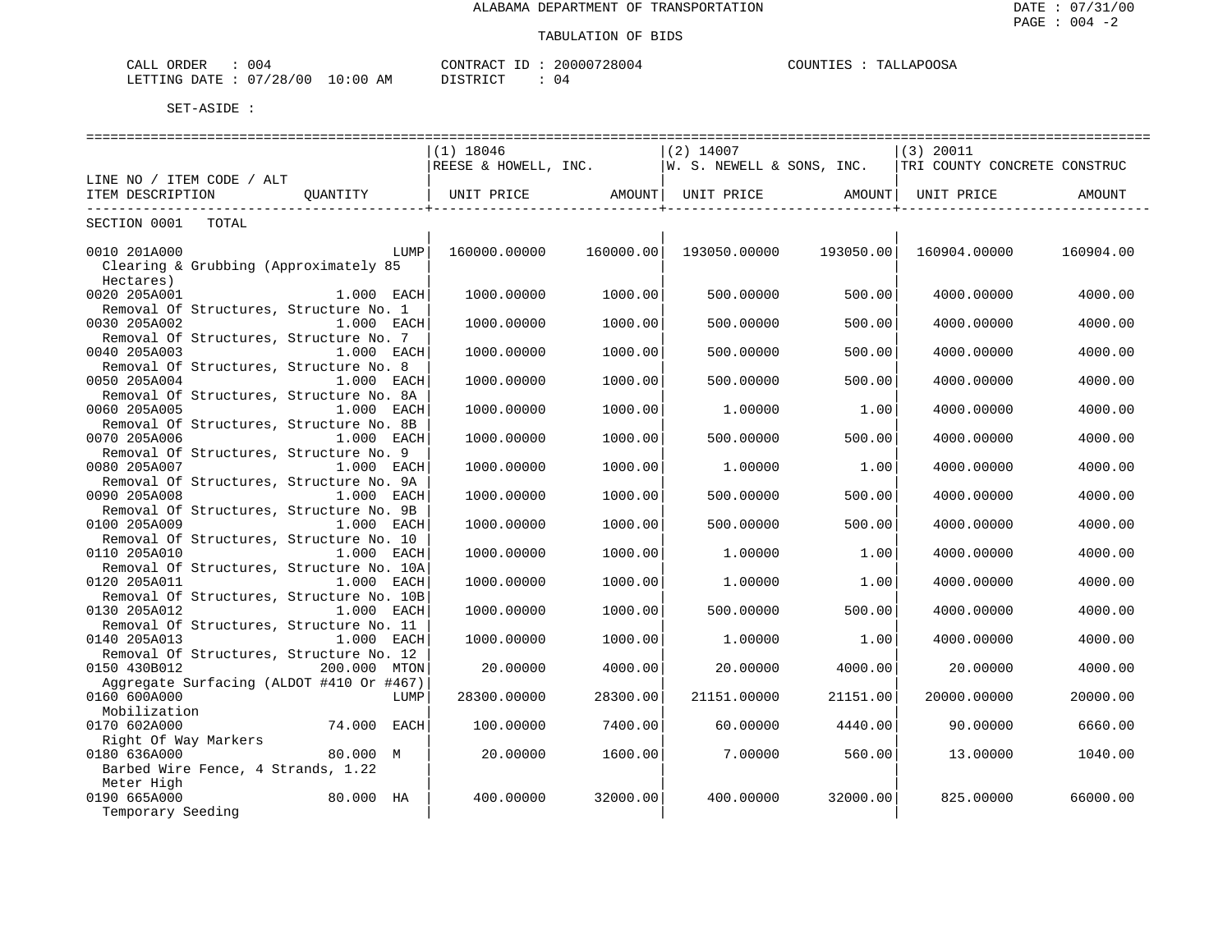| <b>ORDER</b><br>للطخ   | 005                                         |                 | <b>∩NTF</b><br>$ -$<br>ז בי קי | ה כ<br>.<br>28004 | TINTT | m <sub>n</sub><br>$\sqrt{2}$ |
|------------------------|---------------------------------------------|-----------------|--------------------------------|-------------------|-------|------------------------------|
| <b>ETTING</b><br>DATE: | $\sim$<br>$\cap$<br>$^{\circ}28$<br>αL<br>U | AΜ<br>) : () () | DICTDIA                        | (14)              |       |                              |

|                                          |              |              |           |              |           | =============================                                                                           |           |
|------------------------------------------|--------------|--------------|-----------|--------------|-----------|---------------------------------------------------------------------------------------------------------|-----------|
|                                          |              | $(1)$ 18046  |           | $(2)$ 14007  |           | $(3)$ 20011                                                                                             |           |
|                                          |              |              |           |              |           | REESE & HOWELL, INC.   W. S. NEWELL & SONS, INC.  TRI COUNTY CONCRETE CONSTRUC                          |           |
| LINE NO / ITEM CODE / ALT                |              |              |           |              |           |                                                                                                         |           |
| ITEM DESCRIPTION<br>OUANTITY             |              |              |           |              |           | UNIT PRICE               AMOUNT    UNIT PRICE               AMOUNT    UNIT PRICE                 AMOUNT |           |
|                                          |              |              |           |              |           | _____________                                                                                           |           |
| SECTION 0001 TOTAL                       |              |              |           |              |           |                                                                                                         |           |
|                                          |              |              |           |              |           |                                                                                                         |           |
| 0010 201A000                             | LUMP         | 160000.00000 | 160000.00 | 193050.00000 | 193050.00 | 160904.00000                                                                                            | 160904.00 |
| Clearing & Grubbing (Approximately 85    |              |              |           |              |           |                                                                                                         |           |
| Hectares)                                |              |              |           |              |           |                                                                                                         |           |
| 0020 205A001                             | 1.000 EACH   | 1000.00000   | 1000.00   | 500.00000    | 500.00    | 4000.00000                                                                                              | 4000.00   |
| Removal Of Structures, Structure No. 1   |              |              |           |              |           |                                                                                                         |           |
| 0030 205A002                             | 1.000 EACH   | 1000.00000   | 1000.00   | 500.00000    | 500.00    | 4000.00000                                                                                              | 4000.00   |
| Removal Of Structures, Structure No. 7   |              |              |           |              |           |                                                                                                         |           |
| 0040 205A003                             | 1.000 EACH   | 1000.00000   | 1000.00   | 500.00000    | 500.00    | 4000.00000                                                                                              | 4000.00   |
|                                          |              |              |           |              |           |                                                                                                         |           |
| Removal Of Structures, Structure No. 8   |              |              |           |              |           |                                                                                                         |           |
| 0050 205A004                             | 1.000 EACH   | 1000.00000   | 1000.00   | 500.00000    | 500.00    | 4000.00000                                                                                              | 4000.00   |
| Removal Of Structures, Structure No. 8A  |              |              |           |              |           |                                                                                                         |           |
| 0060 205A005                             | 1.000 EACH   | 1000.00000   | 1000.00   | 1,00000      | 1.00      | 4000.00000                                                                                              | 4000.00   |
| Removal Of Structures, Structure No. 8B  |              |              |           |              |           |                                                                                                         |           |
| 0070 205A006                             | 1.000 EACH   | 1000.00000   | 1000.00   | 500.00000    | 500.00    | 4000.00000                                                                                              | 4000.00   |
| Removal Of Structures, Structure No. 9   |              |              |           |              |           |                                                                                                         |           |
| 0080 205A007                             | 1.000 EACH   | 1000.00000   | 1000.00   | 1,00000      | 1.00      | 4000.00000                                                                                              | 4000.00   |
| Removal Of Structures, Structure No. 9A  |              |              |           |              |           |                                                                                                         |           |
| 0090 205A008                             | $1.000$ EACH | 1000.00000   | 1000.00   | 500.00000    | 500.00    | 4000.00000                                                                                              | 4000.00   |
| Removal Of Structures, Structure No. 9B  |              |              |           |              |           |                                                                                                         |           |
| 0100 205A009                             | 1.000 EACH   | 1000.00000   | 1000.00   | 500.00000    | 500.00    | 4000.00000                                                                                              | 4000.00   |
| Removal Of Structures, Structure No. 10  |              |              |           |              |           |                                                                                                         |           |
| 0110 205A010                             | 1.000 EACH   | 1000.00000   | 1000.00   | 1,00000      | 1.00      | 4000.00000                                                                                              | 4000.00   |
| Removal Of Structures, Structure No. 10A |              |              |           |              |           |                                                                                                         |           |
| 0120 205A011                             | 1.000 EACH   | 1000.00000   | 1000.00   | 1,00000      | 1.00      | 4000.00000                                                                                              | 4000.00   |
| Removal Of Structures, Structure No. 10B |              |              |           |              |           |                                                                                                         |           |
| 0130 205A012                             | 1.000 EACH   | 1000.00000   | 1000.00   | 500.00000    | 500.00    | 4000.00000                                                                                              | 4000.00   |
| Removal Of Structures, Structure No. 11  |              |              |           |              |           |                                                                                                         |           |
| 0140 205A013                             | 1.000 EACH   | 1000.00000   | 1000.00   | 1,00000      | 1.00      | 4000.00000                                                                                              | 4000.00   |
| Removal Of Structures, Structure No. 12  |              |              |           |              |           |                                                                                                         |           |
| 0150 430B012                             | 200.000 MTON | 20.00000     | 4000.00   | 20.00000     | 4000.00   | 20.00000                                                                                                | 4000.00   |
| Aggregate Surfacing (ALDOT #410 Or #467) |              |              |           |              |           |                                                                                                         |           |
| 0160 600A000                             | LUMP         | 28300.00000  | 28300.00  | 21151.00000  | 21151.00  | 20000.00000                                                                                             | 20000.00  |
| Mobilization                             |              |              |           |              |           |                                                                                                         |           |
| 0170 602A000                             | 74.000 EACH  | 100.00000    | 7400.00   | 60.00000     | 4440.00   | 90.00000                                                                                                | 6660.00   |
| Right Of Way Markers                     |              |              |           |              |           |                                                                                                         |           |
| 0180 636A000<br>80.000 M                 |              | 20.00000     | 1600.00   | 7.00000      | 560.00    | 13.00000                                                                                                | 1040.00   |
| Barbed Wire Fence, 4 Strands, 1.22       |              |              |           |              |           |                                                                                                         |           |
| Meter High                               |              |              |           |              |           |                                                                                                         |           |
| 80.000 HA<br>0190 665A000                |              | 400.00000    | 32000.00  | 400.00000    | 32000.00  | 825.00000                                                                                               | 66000.00  |
| Temporary Seeding                        |              |              |           |              |           |                                                                                                         |           |
|                                          |              |              |           |              |           |                                                                                                         |           |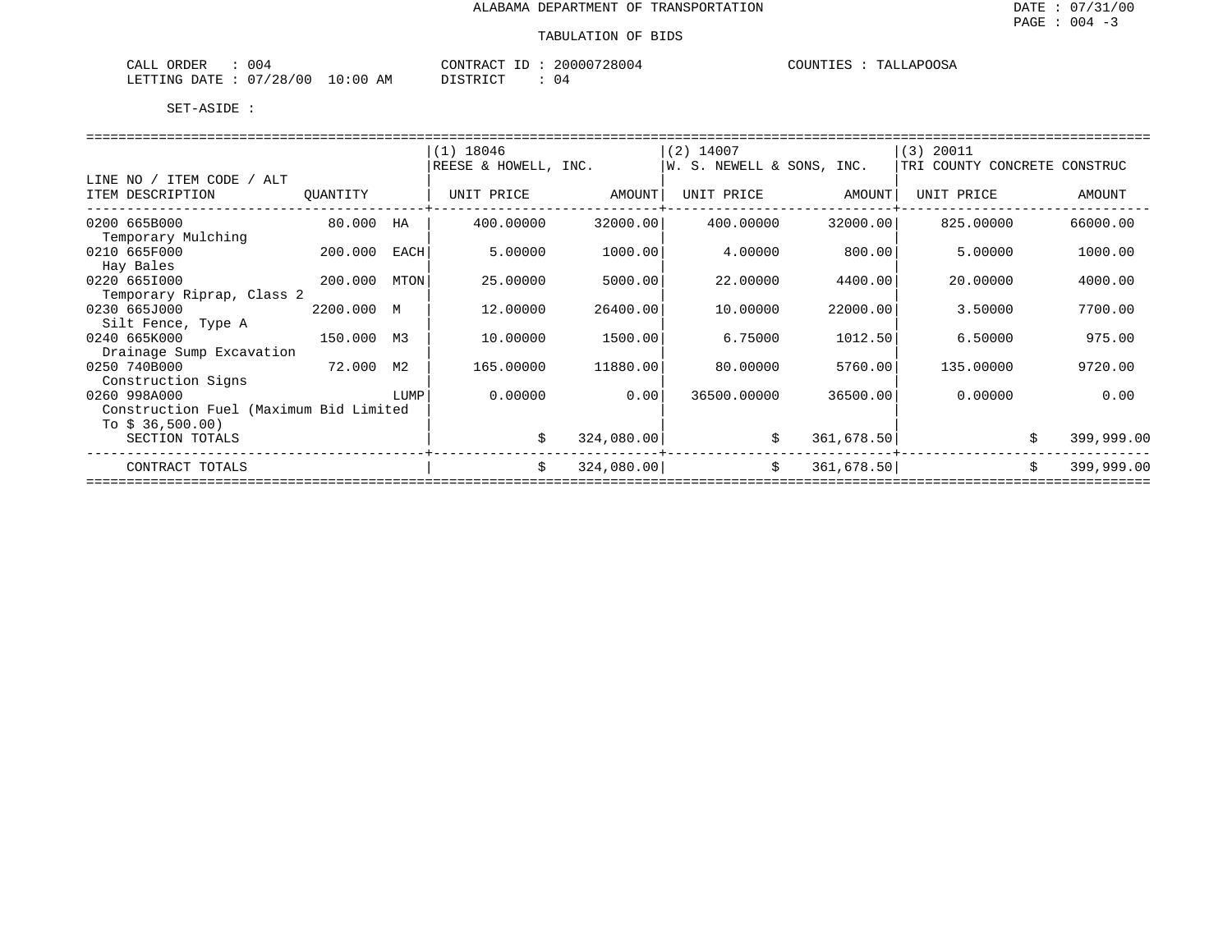| 004<br>ORDER<br>CALL                |             | CONTRACT          | 20000728004 | TALLAPOOSA<br><b>COUNTIES</b> |
|-------------------------------------|-------------|-------------------|-------------|-------------------------------|
| . U 4<br>728/00<br>LETTING<br>DATE. | 10:00<br>AΜ | T T C T T T T T T | U 4         |                               |

|                                        |            |      | $(1)$ 18046          |            | $(2)$ 14007               |            | $(3)$ 20011                  |                  |
|----------------------------------------|------------|------|----------------------|------------|---------------------------|------------|------------------------------|------------------|
|                                        |            |      | REESE & HOWELL, INC. |            | W. S. NEWELL & SONS, INC. |            | TRI COUNTY CONCRETE CONSTRUC |                  |
| LINE NO / ITEM CODE / ALT              |            |      |                      |            |                           |            |                              |                  |
| ITEM DESCRIPTION                       | QUANTITY   |      | UNIT PRICE           | AMOUNT     | UNIT PRICE                | AMOUNT     | UNIT PRICE                   | AMOUNT           |
|                                        |            |      |                      |            |                           |            |                              |                  |
| 0200 665B000                           | 80.000     | HA   | 400.00000            | 32000.00   | 400.00000                 | 32000.00   | 825,00000                    | 66000.00         |
| Temporary Mulching                     |            |      |                      |            |                           |            |                              |                  |
| 0210 665F000                           | 200.000    | EACH | 5,00000              | 1000.00    | 4,00000                   | 800.00     | 5.00000                      | 1000.00          |
| Hay Bales                              |            |      |                      |            |                           |            |                              |                  |
| 0220 6651000                           | 200.000    | MTON | 25.00000             | 5000.00    | 22.00000                  | 4400.00    | 20,00000                     | 4000.00          |
| Temporary Riprap, Class 2              |            |      |                      |            |                           |            |                              |                  |
| 0230 665J000                           | 2200.000 M |      | 12.00000             | 26400.00   | 10.00000                  | 22000.00   | 3.50000                      | 7700.00          |
| Silt Fence, Type A                     |            |      |                      |            |                           |            |                              |                  |
| 0240 665K000                           | 150.000 M3 |      | 10.00000             | 1500.00    | 6.75000                   | 1012.50    | 6.50000                      | 975.00           |
| Drainage Sump Excavation               |            |      |                      |            |                           |            |                              |                  |
| 0250 740B000<br>72.000                 |            | М2   | 165.00000            | 11880.00   | 80,00000                  | 5760.00    | 135,00000                    | 9720.00          |
| Construction Signs                     |            |      |                      |            |                           |            |                              |                  |
| 0260 998A000                           |            | LUMP | 0.00000              | 0.00       | 36500.00000               | 36500.00   | 0.00000                      | 0.00             |
| Construction Fuel (Maximum Bid Limited |            |      |                      |            |                           |            |                              |                  |
| To $$36,500.00$                        |            |      |                      |            |                           |            |                              |                  |
| SECTION TOTALS                         |            |      | \$                   | 324,080.00 | \$                        | 361,678.50 |                              | 399,999.00       |
|                                        |            |      |                      |            |                           |            |                              |                  |
| CONTRACT TOTALS                        |            |      | \$                   | 324,080.00 | \$                        | 361,678.50 |                              | 399,999.00<br>\$ |
|                                        |            |      |                      |            |                           |            |                              |                  |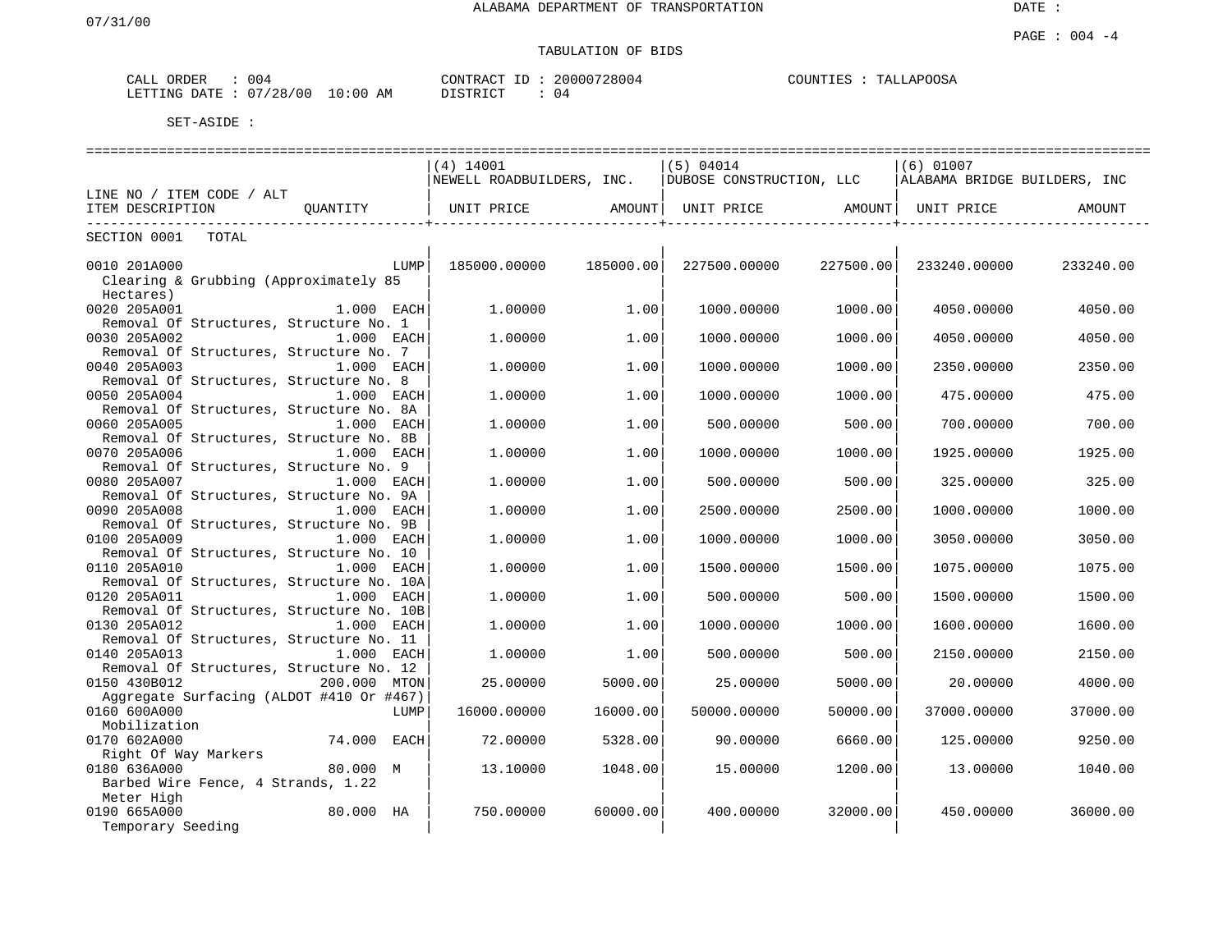| CALL ORDER | 004                              | CONTRACT ID: | 20000728004 | COUNTIES<br>TALLAPOOSA |
|------------|----------------------------------|--------------|-------------|------------------------|
|            | LETTING DATE : 07/28/00 10:00 AM | DISTRICT     | 04          |                        |

|                                          | (4) 14001                 |           | (5) 04014                |                     | $(6)$ 01007                  |           |  |
|------------------------------------------|---------------------------|-----------|--------------------------|---------------------|------------------------------|-----------|--|
|                                          | NEWELL ROADBUILDERS, INC. |           | DUBOSE CONSTRUCTION, LLC |                     | ALABAMA BRIDGE BUILDERS, INC |           |  |
| LINE NO / ITEM CODE / ALT                |                           |           |                          |                     |                              |           |  |
| QUANTITY<br>ITEM DESCRIPTION             | UNIT PRICE AMOUNT         |           |                          |                     |                              | AMOUNT    |  |
| ---------------------------              |                           |           |                          | -----------------+- |                              |           |  |
| SECTION 0001<br>TOTAL                    |                           |           |                          |                     |                              |           |  |
|                                          |                           |           |                          |                     |                              |           |  |
| 0010 201A000<br>LUMP                     | 185000.00000              | 185000.00 | 227500.00000             | 227500.00           | 233240.00000                 | 233240.00 |  |
| Clearing & Grubbing (Approximately 85    |                           |           |                          |                     |                              |           |  |
| Hectares)                                |                           |           |                          |                     |                              |           |  |
| 0020 205A001<br>1.000 EACH               | 1,00000                   | 1.00      | 1000.00000               | 1000.00             | 4050,00000                   | 4050.00   |  |
| Removal Of Structures, Structure No. 1   |                           |           |                          |                     |                              |           |  |
| 0030 205A002<br>1.000 EACH               | 1,00000                   | 1.00      | 1000.00000               | 1000.00             | 4050.00000                   | 4050.00   |  |
| Removal Of Structures, Structure No. 7   |                           |           |                          |                     |                              |           |  |
| 0040 205A003<br>1.000 EACH               | 1.00000                   | 1.00      | 1000.00000               | 1000.00             | 2350.00000                   | 2350.00   |  |
| Removal Of Structures, Structure No. 8   |                           |           |                          |                     |                              |           |  |
| 0050 205A004<br>1.000 EACH               | 1.00000                   | 1.00      | 1000.00000               | 1000.00             | 475,00000                    | 475.00    |  |
| Removal Of Structures, Structure No. 8A  |                           |           |                          |                     |                              |           |  |
| 0060 205A005<br>$1.000$ EACH             | 1,00000                   | 1.00      | 500.00000                | 500.00              | 700.00000                    | 700.00    |  |
| Removal Of Structures, Structure No. 8B  |                           |           |                          |                     |                              |           |  |
| 0070 205A006<br>$1.000$ EACH             | 1.00000                   | 1.00      | 1000.00000               | 1000.00             | 1925.00000                   | 1925.00   |  |
| Removal Of Structures, Structure No. 9   |                           |           |                          |                     |                              |           |  |
| 0080 205A007<br>1.000 EACH               | 1,00000                   | 1.00      | 500.00000                | 500.00              | 325,00000                    | 325.00    |  |
| Removal Of Structures, Structure No. 9A  |                           |           |                          |                     |                              |           |  |
| 0090 205A008<br>$1.000$ EACH             | 1.00000                   | 1.00      | 2500.00000               | 2500.00             | 1000.00000                   | 1000.00   |  |
| Removal Of Structures, Structure No. 9B  |                           |           |                          |                     |                              |           |  |
| 0100 205A009<br>1.000 EACH               | 1.00000                   | 1.00      | 1000.00000               | 1000.00             | 3050.00000                   | 3050.00   |  |
| Removal Of Structures, Structure No. 10  |                           |           |                          |                     |                              |           |  |
| 0110 205A010<br>1.000 EACH               | 1,00000                   | 1.00      | 1500.00000               | 1500.00             | 1075.00000                   | 1075.00   |  |
| Removal Of Structures, Structure No. 10A |                           |           |                          |                     |                              |           |  |
| 0120 205A011<br>1.000 EACH               | 1.00000                   | 1.00      | 500.00000                | 500.00              | 1500.00000                   | 1500.00   |  |
| Removal Of Structures, Structure No. 10B |                           |           |                          |                     |                              |           |  |
| 0130 205A012<br>1.000 EACH               | 1.00000                   | 1.00      | 1000.00000               | 1000.00             | 1600.00000                   | 1600.00   |  |
| Removal Of Structures, Structure No. 11  |                           |           |                          |                     |                              |           |  |
| 0140 205A013<br>1.000 EACH               | 1,00000                   | 1.00      | 500.00000                | 500.00              | 2150.00000                   | 2150.00   |  |
| Removal Of Structures, Structure No. 12  |                           |           |                          |                     |                              |           |  |
| 0150 430B012<br>200.000 MTON             | 25.00000                  | 5000.00   | 25.00000                 | 5000.00             | 20,00000                     | 4000.00   |  |
| Aggregate Surfacing (ALDOT #410 Or #467) |                           |           |                          |                     |                              |           |  |
| 0160 600A000<br>LUMP                     | 16000.00000               | 16000.00  | 50000.00000              | 50000.00            | 37000.00000                  | 37000.00  |  |
| Mobilization                             |                           |           |                          |                     |                              |           |  |
| 0170 602A000<br>74.000 EACH              | 72.00000                  | 5328.00   | 90.00000                 | 6660.00             | 125.00000                    | 9250.00   |  |
| Right Of Way Markers                     |                           |           |                          |                     |                              |           |  |
| 0180 636A000<br>80.000 M                 | 13,10000                  | 1048.00   | 15,00000                 | 1200.00             | 13,00000                     | 1040.00   |  |
| Barbed Wire Fence, 4 Strands, 1.22       |                           |           |                          |                     |                              |           |  |
| Meter High                               |                           |           |                          |                     |                              |           |  |
| 0190 665A000<br>80.000 HA                | 750.00000                 | 60000.00  | 400.00000                | 32000.00            | 450.00000                    | 36000.00  |  |
| Temporary Seeding                        |                           |           |                          |                     |                              |           |  |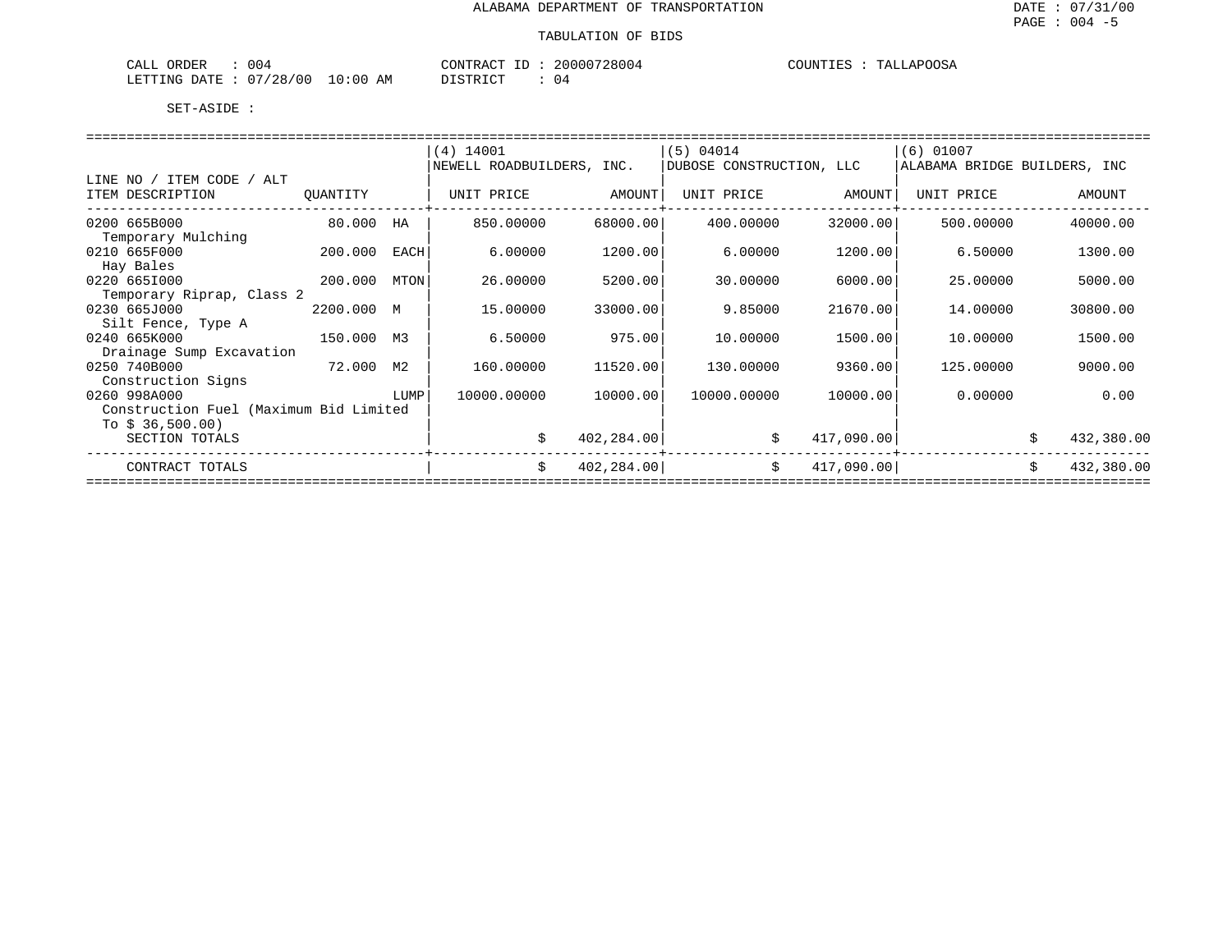| <b>ORDER</b><br>$\Delta$<br>للتنعب | 00.                                     |              | __<br>ാവല<br>MONTR<br>RΔ<br>5 U U 4 | TTNTT<br>m <sub>n</sub><br>$\sim$ |
|------------------------------------|-----------------------------------------|--------------|-------------------------------------|-----------------------------------|
| 2.77<br>.ETTTNG<br>$\mathsf{L}$    | $\sim$<br>$\sim$<br>28<br>$\cdots$<br>U | AΜ<br>) : 00 | DIAMPIAN<br>(14)                    |                                   |

|                                        |            |      | (4) 14001                 |            | (5) 04014                |            | $(6)$ 01007                  |                  |  |  |
|----------------------------------------|------------|------|---------------------------|------------|--------------------------|------------|------------------------------|------------------|--|--|
|                                        |            |      | NEWELL ROADBUILDERS, INC. |            | DUBOSE CONSTRUCTION, LLC |            | ALABAMA BRIDGE BUILDERS, INC |                  |  |  |
| LINE NO / ITEM CODE / ALT              |            |      |                           |            |                          |            |                              |                  |  |  |
| ITEM DESCRIPTION                       | QUANTITY   |      | UNIT PRICE                | AMOUNT     | UNIT PRICE               | AMOUNT     | UNIT PRICE                   | AMOUNT           |  |  |
|                                        |            |      |                           |            |                          |            |                              |                  |  |  |
| 0200 665B000                           | 80.000     | HA   | 850.00000                 | 68000.00   | 400.00000                | 32000.00   | 500.00000                    | 40000.00         |  |  |
| Temporary Mulching                     |            |      |                           |            |                          |            |                              |                  |  |  |
| 0210 665F000                           | 200.000    | EACH | 6.00000                   | 1200.00    | 6.00000                  | 1200.00    | 6.50000                      | 1300.00          |  |  |
| Hay Bales                              |            |      |                           |            |                          |            |                              |                  |  |  |
| 0220 6651000                           | 200.000    | MTON | 26.00000                  | 5200.00    | 30.00000                 | 6000.00    | 25,00000                     | 5000.00          |  |  |
| Temporary Riprap, Class 2              |            |      |                           |            |                          |            |                              |                  |  |  |
| 0230 665J000                           | 2200.000 M |      | 15.00000                  | 33000.00   | 9.85000                  | 21670.00   | 14.00000                     | 30800.00         |  |  |
| Silt Fence, Type A                     |            |      |                           |            |                          |            |                              |                  |  |  |
| 0240 665K000                           | 150.000 M3 |      | 6.50000                   | 975.00     | 10,00000                 | 1500.00    | 10.00000                     | 1500.00          |  |  |
|                                        |            |      |                           |            |                          |            |                              |                  |  |  |
| Drainage Sump Excavation               |            |      |                           |            |                          |            |                              |                  |  |  |
| 0250 740B000<br>72.000                 |            | М2   | 160.00000                 | 11520.00   | 130.00000                | 9360.00    | 125,00000                    | 9000.00          |  |  |
| Construction Signs                     |            |      |                           |            |                          |            |                              |                  |  |  |
| 0260 998A000                           |            | LUMP | 10000.00000               | 10000.00   | 10000.00000              | 10000.00   | 0.00000                      | 0.00             |  |  |
| Construction Fuel (Maximum Bid Limited |            |      |                           |            |                          |            |                              |                  |  |  |
| To $$36,500.00)$                       |            |      |                           |            |                          |            |                              |                  |  |  |
| SECTION TOTALS                         |            |      | \$                        | 402,284.00 |                          | 417,090.00 |                              | 432,380.00       |  |  |
|                                        |            |      |                           |            |                          |            |                              |                  |  |  |
| CONTRACT TOTALS                        |            |      | \$                        | 402,284.00 | \$                       | 417,090.00 |                              | \$<br>432,380.00 |  |  |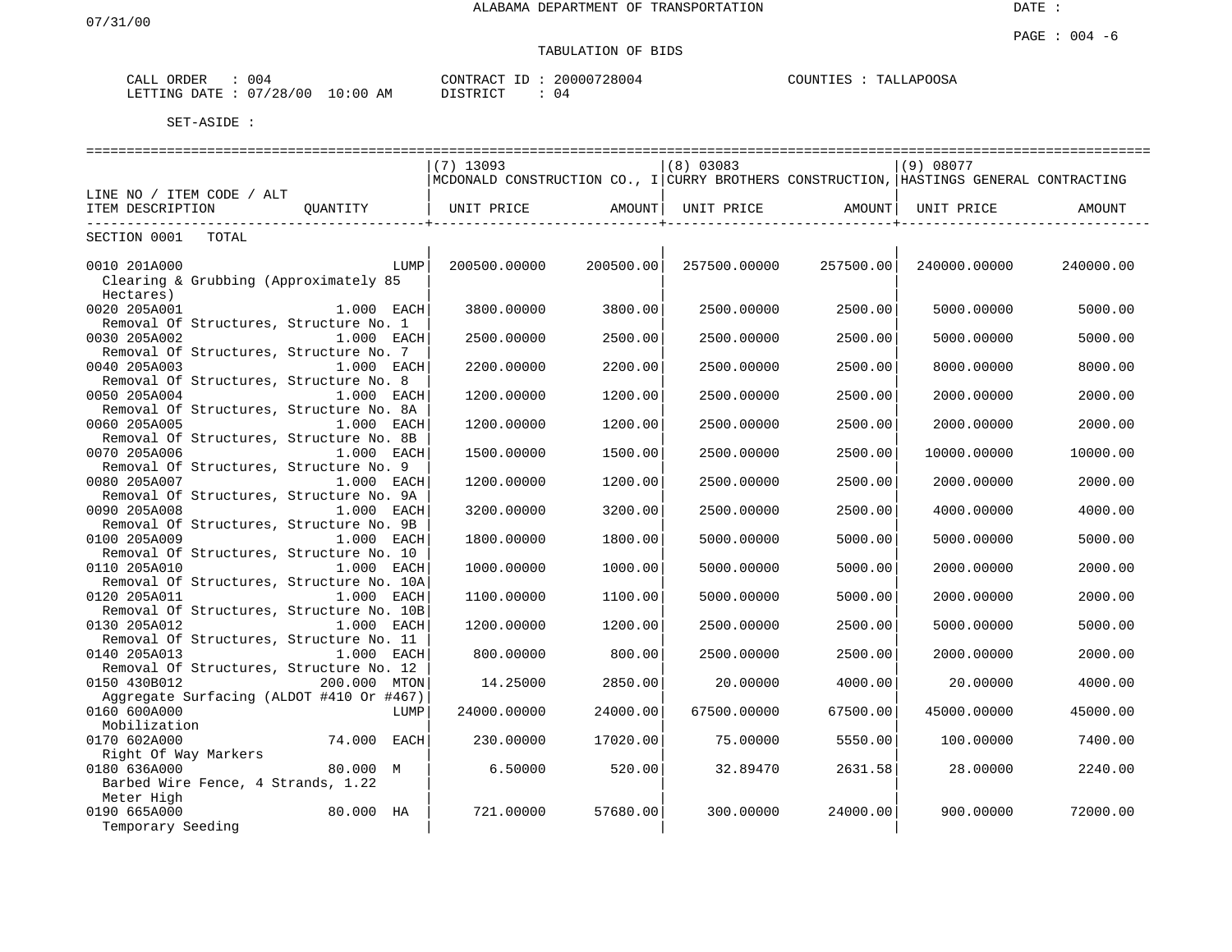| ORDER<br>CALL    | 004      |             | CONTRACT | 20000728004 | COUNTIES | <b>TALLAPOOSA</b> |
|------------------|----------|-------------|----------|-------------|----------|-------------------|
| LETTING<br>DATE. | 07/28/00 | 10:00<br>AΜ | TSTRICT  | 04          |          |                   |

|                                          |              | $(7)$ 13093                                                                            |           | $(8)$ 03083  |           | (9) 08077    |           |
|------------------------------------------|--------------|----------------------------------------------------------------------------------------|-----------|--------------|-----------|--------------|-----------|
|                                          |              | MCDONALD CONSTRUCTION CO., I CURRY BROTHERS CONSTRUCTION, HASTINGS GENERAL CONTRACTING |           |              |           |              |           |
| LINE NO / ITEM CODE / ALT                |              |                                                                                        |           |              |           |              |           |
| ITEM DESCRIPTION                         | OUANTITY     | UNIT PRICE                                                                             | AMOUNT    | UNIT PRICE   | AMOUNT    | UNIT PRICE   | AMOUNT    |
| ------------------------                 |              |                                                                                        |           |              |           |              |           |
| SECTION 0001<br>TOTAL                    |              |                                                                                        |           |              |           |              |           |
|                                          |              |                                                                                        |           |              |           |              |           |
| 0010 201A000                             | LUMP         | 200500.00000                                                                           | 200500.00 | 257500.00000 | 257500.00 | 240000.00000 | 240000.00 |
| Clearing & Grubbing (Approximately 85    |              |                                                                                        |           |              |           |              |           |
| Hectares)                                |              |                                                                                        |           |              |           |              |           |
| 0020 205A001                             | 1.000 EACH   | 3800.00000                                                                             | 3800.00   | 2500.00000   | 2500.00   | 5000.00000   | 5000.00   |
| Removal Of Structures, Structure No. 1   |              |                                                                                        |           |              |           |              |           |
| 0030 205A002                             | 1.000 EACH   | 2500.00000                                                                             | 2500.00   | 2500.00000   | 2500.00   | 5000.00000   | 5000.00   |
| Removal Of Structures, Structure No. 7   |              |                                                                                        |           |              |           |              |           |
| 0040 205A003                             | 1.000 EACH   | 2200.00000                                                                             | 2200.00   | 2500.00000   | 2500.00   | 8000.00000   | 8000.00   |
| Removal Of Structures, Structure No. 8   |              |                                                                                        |           |              |           |              |           |
| 0050 205A004                             | 1.000 EACH   | 1200.00000                                                                             | 1200.00   | 2500.00000   | 2500.00   | 2000.00000   | 2000.00   |
| Removal Of Structures, Structure No. 8A  |              |                                                                                        |           |              |           |              |           |
| 0060 205A005                             | $1.000$ EACH | 1200.00000                                                                             | 1200.00   | 2500.00000   | 2500.00   | 2000.00000   | 2000.00   |
| Removal Of Structures, Structure No. 8B  |              |                                                                                        |           |              |           |              |           |
| 0070 205A006                             | 1.000 EACH   | 1500.00000                                                                             | 1500.00   | 2500.00000   | 2500.00   | 10000.00000  | 10000.00  |
| Removal Of Structures, Structure No. 9   |              |                                                                                        |           |              |           |              |           |
| 0080 205A007                             | 1.000 EACH   | 1200.00000                                                                             | 1200.00   | 2500.00000   | 2500.00   | 2000.00000   | 2000.00   |
| Removal Of Structures, Structure No. 9A  |              |                                                                                        |           |              |           |              |           |
| 0090 205A008                             | $1.000$ EACH | 3200.00000                                                                             | 3200.00   | 2500.00000   | 2500.00   | 4000.00000   | 4000.00   |
| Removal Of Structures, Structure No. 9B  |              |                                                                                        |           |              |           |              |           |
| 0100 205A009                             | 1.000 EACH   | 1800.00000                                                                             | 1800.00   | 5000.00000   | 5000.00   | 5000.00000   | 5000.00   |
| Removal Of Structures, Structure No. 10  |              |                                                                                        |           |              |           |              |           |
| 0110 205A010                             | 1.000 EACH   | 1000.00000                                                                             | 1000.00   | 5000.00000   | 5000.00   | 2000.00000   | 2000.00   |
| Removal Of Structures, Structure No. 10A |              |                                                                                        |           |              |           |              |           |
| 0120 205A011                             | 1.000 EACH   | 1100.00000                                                                             | 1100.00   | 5000.00000   | 5000.00   | 2000.00000   | 2000.00   |
| Removal Of Structures, Structure No. 10B |              |                                                                                        |           |              |           |              |           |
| 0130 205A012                             | 1.000 EACH   | 1200.00000                                                                             | 1200.00   | 2500.00000   | 2500.00   | 5000.00000   | 5000.00   |
| Removal Of Structures, Structure No. 11  |              |                                                                                        |           |              |           |              |           |
| 0140 205A013                             | 1.000 EACH   | 800.00000                                                                              | 800.00    | 2500.00000   | 2500.00   | 2000.00000   | 2000.00   |
| Removal Of Structures, Structure No. 12  |              |                                                                                        |           |              |           |              |           |
| 0150 430B012                             | 200.000 MTON | 14.25000                                                                               | 2850.00   | 20.00000     | 4000.00   | 20.00000     | 4000.00   |
| Aggregate Surfacing (ALDOT #410 Or #467) |              |                                                                                        |           |              |           |              |           |
| 0160 600A000                             | LUMP         | 24000.00000                                                                            | 24000.00  | 67500.00000  | 67500.00  | 45000.00000  | 45000.00  |
| Mobilization                             |              |                                                                                        |           |              |           |              |           |
| 0170 602A000                             | 74.000 EACH  | 230.00000                                                                              | 17020.00  | 75.00000     | 5550.00   | 100.00000    | 7400.00   |
| Right Of Way Markers                     |              |                                                                                        |           |              |           |              |           |
| 0180 636A000                             | 80.000 M     | 6.50000                                                                                | 520.00    | 32.89470     | 2631.58   | 28.00000     | 2240.00   |
| Barbed Wire Fence, 4 Strands, 1.22       |              |                                                                                        |           |              |           |              |           |
| Meter High                               |              |                                                                                        |           |              |           |              |           |
| 0190 665A000                             | 80.000 HA    | 721.00000                                                                              | 57680.00  | 300,00000    | 24000.001 | 900.00000    | 72000.00  |
| Temporary Seeding                        |              |                                                                                        |           |              |           |              |           |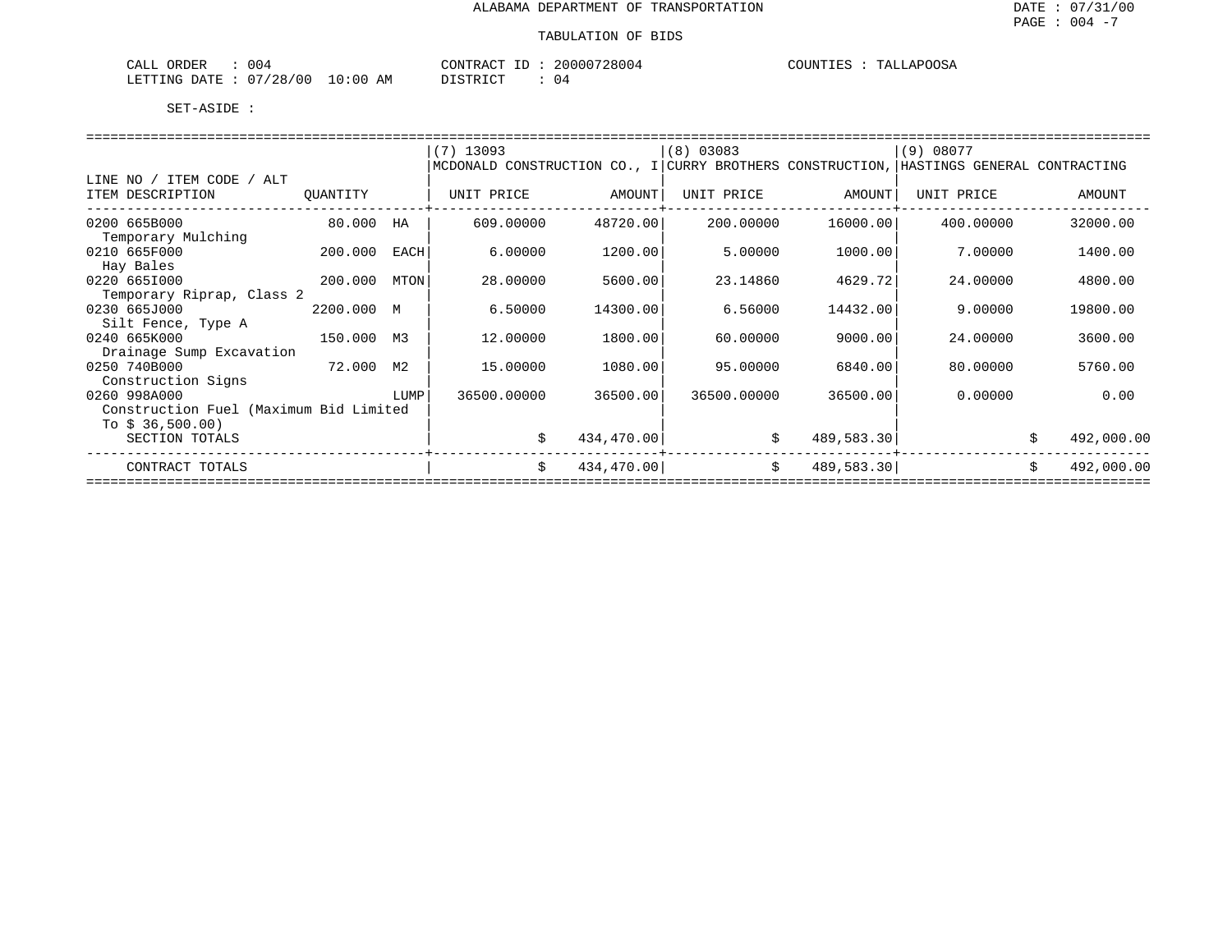| 004<br>CALL ORDER               |          | CONTRACT ID: 20000728004 | COUNTIES : TALLAPOOSA |
|---------------------------------|----------|--------------------------|-----------------------|
| LETTING DATE: 07/28/00 10:00 AM | DISTRICT |                          |                       |

|                                        |            |      | $(7)$ 13093 |            | $(8)$ 03083 |            | (9) 08077                                                                              |                  |
|----------------------------------------|------------|------|-------------|------------|-------------|------------|----------------------------------------------------------------------------------------|------------------|
|                                        |            |      |             |            |             |            | MCDONALD CONSTRUCTION CO., I CURRY BROTHERS CONSTRUCTION, HASTINGS GENERAL CONTRACTING |                  |
| LINE NO / ITEM CODE / ALT              |            |      |             |            |             |            |                                                                                        |                  |
| ITEM DESCRIPTION                       | QUANTITY   |      | UNIT PRICE  | AMOUNT     | UNIT PRICE  | AMOUNT     | UNIT PRICE                                                                             | AMOUNT           |
|                                        |            |      |             |            |             |            |                                                                                        |                  |
| 0200 665B000                           | 80.000     | HA   | 609,00000   | 48720.00   | 200,00000   | 16000.00   | 400.00000                                                                              | 32000.00         |
| Temporary Mulching                     |            |      |             |            |             |            |                                                                                        |                  |
| 0210 665F000                           | 200.000    | EACH | 6.00000     | 1200.00    | 5,00000     | 1000.00    | 7.00000                                                                                | 1400.00          |
| Hay Bales                              |            |      |             |            |             |            |                                                                                        |                  |
| 0220 6651000                           | 200.000    | MTON | 28,00000    | 5600.00    | 23.14860    | 4629.72    | 24.00000                                                                               | 4800.00          |
| Temporary Riprap, Class 2              |            |      |             |            |             |            |                                                                                        |                  |
| 0230 665J000                           | 2200.000 M |      | 6.50000     | 14300.00   | 6.56000     | 14432.00   | 9.00000                                                                                | 19800.00         |
| Silt Fence, Type A                     |            |      |             |            |             |            |                                                                                        |                  |
| 0240 665K000                           | 150.000 M3 |      | 12.00000    | 1800.00    | 60.00000    | 9000.00    | 24.00000                                                                               | 3600.00          |
| Drainage Sump Excavation               |            |      |             |            |             |            |                                                                                        |                  |
| 0250 740B000<br>72.000                 |            | М2   | 15.00000    | 1080.00    | 95.00000    | 6840.00    | 80,00000                                                                               | 5760.00          |
| Construction Signs                     |            |      |             |            |             |            |                                                                                        |                  |
| 0260 998A000                           |            | LUMP | 36500.00000 | 36500.00   | 36500.00000 | 36500.00   | 0.00000                                                                                | 0.00             |
| Construction Fuel (Maximum Bid Limited |            |      |             |            |             |            |                                                                                        |                  |
| To $$36,500.00$                        |            |      |             |            |             |            |                                                                                        |                  |
| SECTION TOTALS                         |            |      | S.          | 434,470.00 |             | 489,583.30 |                                                                                        | 492,000.00       |
| CONTRACT TOTALS                        |            |      | \$          | 434,470.00 | \$          | 489,583.30 |                                                                                        | 492,000.00<br>\$ |
|                                        |            |      |             |            |             |            |                                                                                        |                  |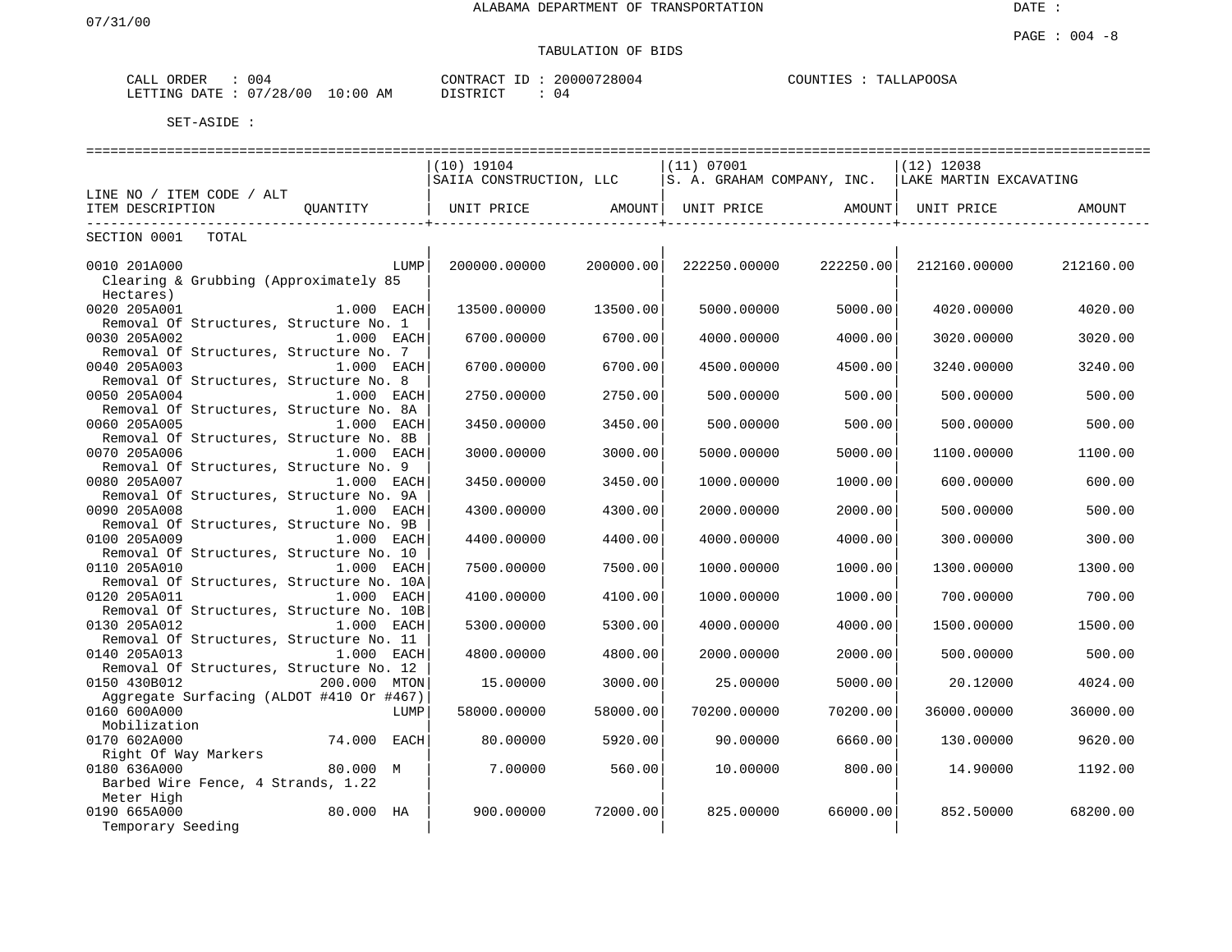| 004<br>CALL ORDER               | CONTRACT ID: | 20000728004 | TALLAPOOSA<br>COUNTIES : ' |
|---------------------------------|--------------|-------------|----------------------------|
| LETTING DATE: 07/28/00 10:00 AM | DISTRICT     | 04          |                            |

|                                          | $(10)$ 19104                                                                  |           | (11) 07001                     |           | $(12)$ 12038 |           |  |  |  |  |
|------------------------------------------|-------------------------------------------------------------------------------|-----------|--------------------------------|-----------|--------------|-----------|--|--|--|--|
|                                          | SAIIA CONSTRUCTION, LLC   S. A. GRAHAM COMPANY, INC.   LAKE MARTIN EXCAVATING |           |                                |           |              |           |  |  |  |  |
| LINE NO / ITEM CODE / ALT                |                                                                               |           |                                |           |              |           |  |  |  |  |
| QUANTITY<br>ITEM DESCRIPTION             | UNIT PRICE AMOUNT                                                             |           | UNIT PRICE AMOUNT   UNIT PRICE |           |              | AMOUNT    |  |  |  |  |
| --------------------------               |                                                                               |           |                                |           |              |           |  |  |  |  |
| TOTAL<br>SECTION 0001                    |                                                                               |           |                                |           |              |           |  |  |  |  |
|                                          |                                                                               |           |                                |           |              |           |  |  |  |  |
| 0010 201A000<br>LUMP                     | 200000.00000                                                                  | 200000.00 | 222250.00000                   | 222250.00 | 212160.00000 | 212160.00 |  |  |  |  |
| Clearing & Grubbing (Approximately 85    |                                                                               |           |                                |           |              |           |  |  |  |  |
| Hectares)                                |                                                                               |           |                                |           |              |           |  |  |  |  |
| 0020 205A001<br>$1.000$ EACH             | 13500.00000                                                                   | 13500.00  | 5000.00000                     | 5000.00   | 4020,00000   | 4020.00   |  |  |  |  |
| Removal Of Structures, Structure No. 1   |                                                                               |           |                                |           |              |           |  |  |  |  |
| 0030 205A002<br>1.000 EACH               | 6700.00000                                                                    | 6700.00   | 4000.00000                     | 4000.00   | 3020.00000   | 3020.00   |  |  |  |  |
| Removal Of Structures, Structure No. 7   |                                                                               |           |                                |           |              |           |  |  |  |  |
| 0040 205A003<br>1.000 EACH               | 6700.00000                                                                    | 6700.00   | 4500.00000                     | 4500.00   | 3240.00000   | 3240.00   |  |  |  |  |
| Removal Of Structures, Structure No. 8   |                                                                               |           |                                |           |              |           |  |  |  |  |
| 0050 205A004<br>1.000 EACH               | 2750.00000                                                                    | 2750.00   | 500.00000                      | 500.00    | 500,00000    | 500.00    |  |  |  |  |
| Removal Of Structures, Structure No. 8A  |                                                                               |           |                                |           |              |           |  |  |  |  |
| 0060 205A005<br>$1.000$ EACH             | 3450.00000                                                                    | 3450.00   | 500.00000                      | 500.00    | 500.00000    | 500.00    |  |  |  |  |
| Removal Of Structures, Structure No. 8B  |                                                                               |           |                                |           |              |           |  |  |  |  |
| 0070 205A006<br>1.000 EACH               | 3000.00000                                                                    | 3000.00   | 5000.00000                     | 5000.00   | 1100.00000   | 1100.00   |  |  |  |  |
| Removal Of Structures, Structure No. 9   |                                                                               |           |                                |           |              |           |  |  |  |  |
| 0080 205A007<br>1.000 EACH               | 3450.00000                                                                    | 3450.00   | 1000.00000                     | 1000.00   | 600,00000    | 600.00    |  |  |  |  |
| Removal Of Structures, Structure No. 9A  |                                                                               |           |                                |           |              |           |  |  |  |  |
| 0090 205A008<br>$1.000$ EACH             | 4300.00000                                                                    | 4300.00   | 2000.00000                     | 2000.00   | 500.00000    | 500.00    |  |  |  |  |
| Removal Of Structures, Structure No. 9B  |                                                                               |           |                                |           |              |           |  |  |  |  |
| 0100 205A009<br>1.000 EACH               | 4400.00000                                                                    | 4400.00   | 4000.00000                     | 4000.00   | 300.00000    | 300.00    |  |  |  |  |
| Removal Of Structures, Structure No. 10  |                                                                               |           |                                |           |              |           |  |  |  |  |
| 0110 205A010<br>1.000 EACH               | 7500.00000                                                                    | 7500.00   | 1000.00000                     | 1000.00   | 1300.00000   | 1300.00   |  |  |  |  |
| Removal Of Structures, Structure No. 10A |                                                                               |           |                                |           |              |           |  |  |  |  |
| 0120 205A011<br>$1.000$ EACH             | 4100.00000                                                                    | 4100.00   | 1000.00000                     | 1000.00   | 700,00000    | 700.00    |  |  |  |  |
| Removal Of Structures, Structure No. 10B |                                                                               |           |                                |           |              |           |  |  |  |  |
| 0130 205A012<br>1.000 EACH               | 5300.00000                                                                    | 5300.00   | 4000.00000                     | 4000.00   | 1500.00000   | 1500.00   |  |  |  |  |
| Removal Of Structures, Structure No. 11  |                                                                               |           |                                |           |              |           |  |  |  |  |
| 0140 205A013<br>1.000 EACH               | 4800.00000                                                                    | 4800.00   | 2000.00000                     | 2000.00   | 500.00000    | 500.00    |  |  |  |  |
| Removal Of Structures, Structure No. 12  |                                                                               |           |                                |           |              |           |  |  |  |  |
| 0150 430B012<br>200.000 MTON             | 15,00000                                                                      | 3000.00   | 25.00000                       | 5000.00   | 20.12000     | 4024.00   |  |  |  |  |
| Aggregate Surfacing (ALDOT #410 Or #467) |                                                                               |           |                                |           |              |           |  |  |  |  |
| 0160 600A000<br>LUMP                     | 58000.00000                                                                   | 58000.00  | 70200.00000                    | 70200.00  | 36000.00000  | 36000.00  |  |  |  |  |
| Mobilization                             |                                                                               |           |                                |           |              |           |  |  |  |  |
| 0170 602A000<br>74.000 EACH              | 80.00000                                                                      | 5920.00   | 90.00000                       | 6660.00   | 130.00000    | 9620.00   |  |  |  |  |
| Right Of Way Markers                     |                                                                               |           |                                |           |              |           |  |  |  |  |
| 0180 636A000<br>80.000 M                 | 7.00000                                                                       | 560.00    | 10.00000                       | 800.00    | 14,90000     | 1192.00   |  |  |  |  |
| Barbed Wire Fence, 4 Strands, 1.22       |                                                                               |           |                                |           |              |           |  |  |  |  |
| Meter High                               |                                                                               |           |                                |           |              |           |  |  |  |  |
| 0190 665A000<br>80.000 HA                | 900.00000                                                                     | 72000.00  | 825.00000                      | 66000.00  | 852.50000    | 68200.00  |  |  |  |  |
| Temporary Seeding                        |                                                                               |           |                                |           |              |           |  |  |  |  |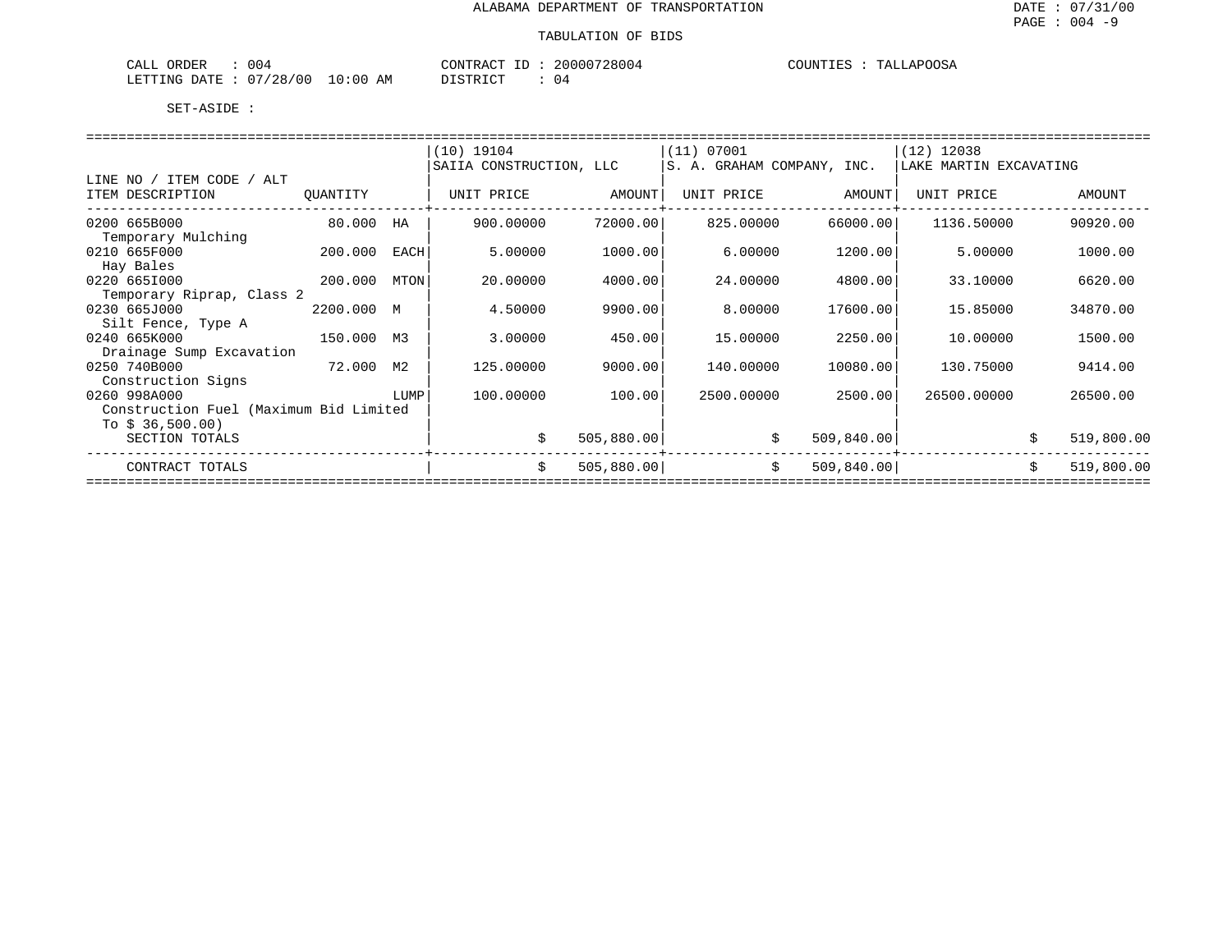| ORDER<br>CALL          | 004 |             | CONTRACT<br>ΙD | 20000728004 | TALLAPOOSA<br>COUNTIES |
|------------------------|-----|-------------|----------------|-------------|------------------------|
| LETTING DATE: 07/28/00 |     | 10:00<br>ΑM | DISTRICT       | ن ر         |                        |

|                                                                                                                |            |      | $(10)$ 19104            |            | (11) 07001 |                   | $(12)$ 12038                                       |                  |
|----------------------------------------------------------------------------------------------------------------|------------|------|-------------------------|------------|------------|-------------------|----------------------------------------------------|------------------|
|                                                                                                                |            |      | SAIIA CONSTRUCTION, LLC |            |            |                   | S. A. GRAHAM COMPANY, INC.  LAKE MARTIN EXCAVATING |                  |
| LINE NO / ITEM CODE / ALT                                                                                      |            |      |                         |            |            |                   |                                                    |                  |
| ITEM DESCRIPTION                                                                                               | QUANTITY   |      | UNIT PRICE AMOUNT       |            |            | UNIT PRICE AMOUNT | UNIT PRICE                                         | AMOUNT           |
| --------------------------                                                                                     |            |      |                         |            |            |                   |                                                    |                  |
| 0200 665B000                                                                                                   | 80.000 HA  |      | 900.00000               | 72000.00   | 825.00000  | 66000.00          | 1136.50000                                         | 90920.00         |
| Temporary Mulching                                                                                             |            |      |                         |            |            |                   |                                                    |                  |
| 0210 665F000                                                                                                   | 200.000    | EACH | 5.00000                 | 1000.00    | 6.00000    | 1200.00           | 5.00000                                            | 1000.00          |
| Hay Bales                                                                                                      |            |      |                         |            |            |                   |                                                    |                  |
| 0220 6651000                                                                                                   | 200.000    | MTON | 20.00000                | 4000.00    | 24.00000   | 4800.00           | 33.10000                                           | 6620.00          |
| Temporary Riprap, Class 2                                                                                      |            |      |                         |            |            |                   |                                                    |                  |
| 0230 665J000                                                                                                   | 2200.000 M |      | 4.50000                 | 9900.00    | 8.00000    | 17600.00          | 15.85000                                           | 34870.00         |
| Silt Fence, Type A                                                                                             |            |      |                         |            |            |                   |                                                    |                  |
| 0240 665K000<br>150.000 M3                                                                                     |            |      | 3.00000                 | 450.00     | 15.00000   | 2250.00           | 10.00000                                           | 1500.00          |
| Drainage Sump Excavation                                                                                       |            |      |                         |            |            |                   |                                                    |                  |
| 72.000 M2<br>0250 740B000                                                                                      |            |      | 125.00000               | 9000.00    | 140.00000  | 10080.00          | 130.75000                                          | 9414.00          |
| Construction Signs                                                                                             |            |      |                         |            |            |                   |                                                    |                  |
| 0260 998A000<br><b>EXECUTE:</b> THE EXECUTIVE RESPONDENTLY TO A REPORT OF THE EXECUTIVE RESPONDENTLY PROPERTY. |            |      | 100.00000               | 100.00     | 2500.00000 | 2500.00           | 26500.00000                                        | 26500.00         |
| Construction Fuel (Maximum Bid Limited                                                                         |            |      |                         |            |            |                   |                                                    |                  |
| To $$36,500.00$                                                                                                |            |      |                         |            |            |                   |                                                    |                  |
| SECTION TOTALS                                                                                                 |            |      | \$                      | 505,880.00 |            | \$<br>509,840.00  |                                                    | \$<br>519,800.00 |
|                                                                                                                |            |      |                         |            |            |                   |                                                    |                  |
| CONTRACT TOTALS                                                                                                |            |      | \$                      | 505,880.00 |            | \$<br>509, 840.00 |                                                    | \$<br>519,800.00 |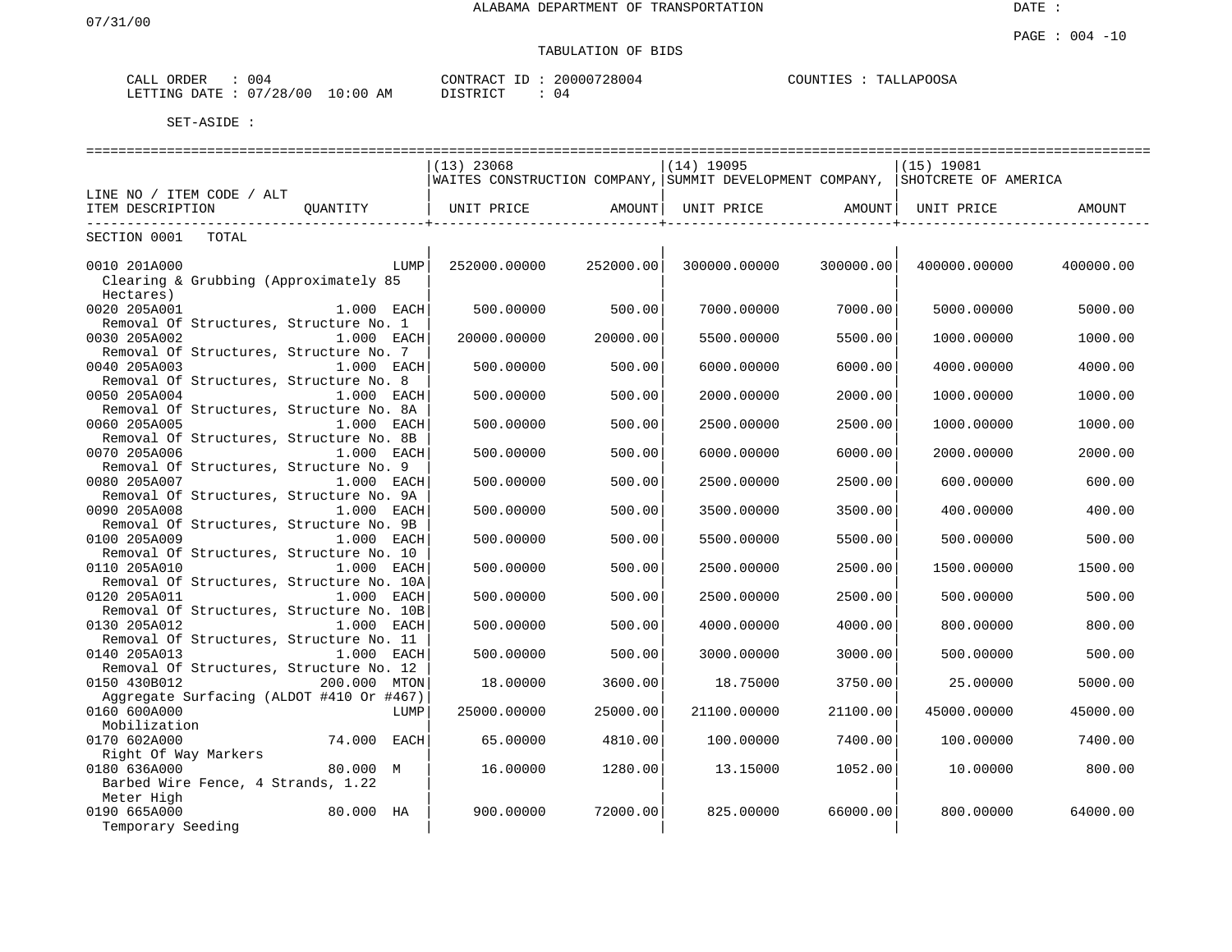| ORDER<br>CALL    | 004              |                         | CONTRACT         | 20000728004 | COUNTIES | TALLAPOOSA |
|------------------|------------------|-------------------------|------------------|-------------|----------|------------|
| LETTING<br>DATE. | /28/00<br>$\cap$ | 10:0 <sub>0</sub><br>ΆM | ידי איד פידי פור | 04          |          |            |

|                                          |              | $(13)$ 23068      |           | $(14)$ 19095                                             |           | $(15)$ 19081         |           |
|------------------------------------------|--------------|-------------------|-----------|----------------------------------------------------------|-----------|----------------------|-----------|
|                                          |              |                   |           | WAITES CONSTRUCTION COMPANY, SUMMIT DEVELOPMENT COMPANY, |           | SHOTCRETE OF AMERICA |           |
| LINE NO / ITEM CODE / ALT                |              |                   |           |                                                          |           |                      |           |
| ITEM DESCRIPTION                         | OUANTITY     | UNIT PRICE AMOUNT |           | UNIT PRICE AMOUNT                                        |           | UNIT PRICE           | AMOUNT    |
| -------------------------                |              |                   |           |                                                          |           |                      |           |
| SECTION 0001<br>TOTAL                    |              |                   |           |                                                          |           |                      |           |
|                                          |              |                   |           |                                                          |           |                      |           |
| 0010 201A000                             | LUMP         | 252000.00000      | 252000.00 | 300000.00000                                             | 300000.00 | 400000.00000         | 400000.00 |
| Clearing & Grubbing (Approximately 85    |              |                   |           |                                                          |           |                      |           |
| Hectares)                                |              |                   |           |                                                          |           |                      |           |
| 0020 205A001                             | 1.000 EACH   | 500.00000         | 500.00    | 7000.00000                                               | 7000.00   | 5000.00000           | 5000.00   |
| Removal Of Structures, Structure No. 1   |              |                   |           |                                                          |           |                      |           |
| 0030 205A002                             | 1.000 EACH   | 20000.00000       | 20000.00  | 5500.00000                                               | 5500.00   | 1000.00000           | 1000.00   |
| Removal Of Structures, Structure No. 7   |              |                   |           |                                                          |           |                      |           |
| 0040 205A003                             | 1.000 EACH   | 500.00000         | 500.00    | 6000.00000                                               | 6000.00   | 4000.00000           | 4000.00   |
| Removal Of Structures, Structure No. 8   |              |                   |           |                                                          |           |                      |           |
| 0050 205A004                             | 1.000 EACH   | 500.00000         | 500.00    | 2000.00000                                               | 2000.00   | 1000.00000           | 1000.00   |
| Removal Of Structures, Structure No. 8A  |              |                   |           |                                                          |           |                      |           |
| 0060 205A005                             | 1.000 EACH   | 500.00000         | 500.00    | 2500.00000                                               | 2500.00   | 1000.00000           | 1000.00   |
| Removal Of Structures, Structure No. 8B  |              |                   |           |                                                          |           |                      |           |
| 0070 205A006                             | 1.000 EACH   | 500.00000         | 500.00    | 6000.00000                                               | 6000.00   | 2000.00000           | 2000.00   |
| Removal Of Structures, Structure No. 9   |              |                   |           |                                                          |           |                      |           |
| 0080 205A007                             | 1.000 EACH   | 500.00000         | 500.00    | 2500.00000                                               | 2500.00   | 600.00000            | 600.00    |
| Removal Of Structures, Structure No. 9A  |              |                   |           |                                                          |           |                      |           |
| 0090 205A008                             | 1.000 EACH   | 500.00000         | 500.00    | 3500.00000                                               | 3500.00   | 400.00000            | 400.00    |
| Removal Of Structures, Structure No. 9B  |              |                   |           |                                                          |           |                      |           |
| 0100 205A009                             | 1.000 EACH   | 500.00000         | 500.00    | 5500.00000                                               | 5500.00   | 500.00000            | 500.00    |
| Removal Of Structures, Structure No. 10  |              |                   |           |                                                          |           |                      |           |
| 0110 205A010                             | 1.000 EACH   | 500.00000         | 500.00    | 2500.00000                                               | 2500.00   | 1500.00000           | 1500.00   |
| Removal Of Structures, Structure No. 10A |              |                   |           |                                                          |           |                      |           |
| 0120 205A011                             | 1.000 EACH   | 500.00000         | 500.00    | 2500.00000                                               | 2500.00   | 500.00000            | 500.00    |
| Removal Of Structures, Structure No. 10B |              |                   |           |                                                          |           |                      |           |
| 0130 205A012                             | 1.000 EACH   | 500.00000         | 500.00    | 4000.00000                                               | 4000.00   | 800,00000            | 800.00    |
| Removal Of Structures, Structure No. 11  |              |                   |           |                                                          |           |                      |           |
| 0140 205A013                             | 1.000 EACH   | 500.00000         | 500.00    | 3000.00000                                               | 3000.00   | 500.00000            | 500.00    |
| Removal Of Structures, Structure No. 12  |              |                   |           |                                                          |           |                      |           |
| 0150 430B012                             | 200.000 MTON | 18.00000          | 3600.00   | 18.75000                                                 | 3750.00   | 25.00000             | 5000.00   |
| Aggregate Surfacing (ALDOT #410 Or #467) |              |                   |           |                                                          |           |                      |           |
| 0160 600A000                             | LUMP         | 25000.00000       | 25000.00  | 21100.00000                                              | 21100.00  | 45000.00000          | 45000.00  |
| Mobilization                             |              |                   |           |                                                          |           |                      |           |
| 0170 602A000                             | 74.000 EACH  | 65.00000          | 4810.00   | 100.00000                                                | 7400.00   | 100.00000            | 7400.00   |
| Right Of Way Markers                     |              |                   |           |                                                          |           |                      |           |
| 0180 636A000                             | 80.000 M     | 16.00000          | 1280.00   | 13.15000                                                 | 1052.00   | 10.00000             | 800.00    |
| Barbed Wire Fence, 4 Strands, 1.22       |              |                   |           |                                                          |           |                      |           |
| Meter High                               |              |                   |           |                                                          |           |                      |           |
| 0190 665A000                             | 80.000 HA    | 900.00000         | 72000.00  | 825,00000                                                | 66000.00  | 800,00000            | 64000.00  |
| Temporary Seeding                        |              |                   |           |                                                          |           |                      |           |
|                                          |              |                   |           |                                                          |           |                      |           |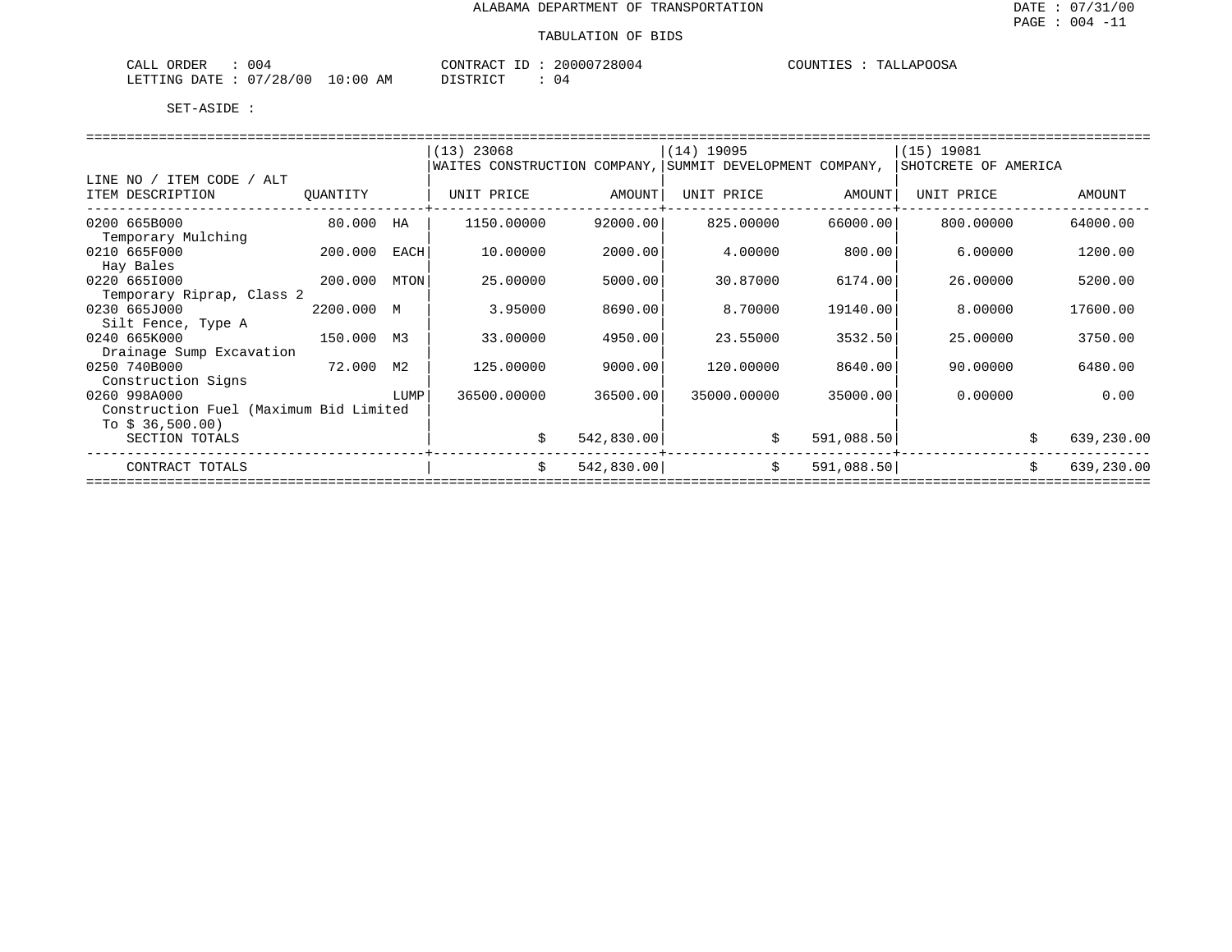| 004<br>ORDER<br>CALL   |            | CONTRACT<br>ID | 20000728004 | COUNTIES<br>TALLAPOOSA |
|------------------------|------------|----------------|-------------|------------------------|
| LETTING DATE: 07/28/00 | $10:00$ AM | DISTRICT       |             |                        |

|                                        |            |      | $(13)$ 23068                                                                  |            | $(14)$ 19095 |            | (15) 19081 |            |
|----------------------------------------|------------|------|-------------------------------------------------------------------------------|------------|--------------|------------|------------|------------|
|                                        |            |      | WAITES CONSTRUCTION COMPANY, SUMMIT DEVELOPMENT COMPANY, SHOTCRETE OF AMERICA |            |              |            |            |            |
| LINE NO / ITEM CODE / ALT              |            |      |                                                                               |            |              |            |            |            |
| ITEM DESCRIPTION                       | QUANTITY   |      | UNIT PRICE                                                                    | AMOUNT     | UNIT PRICE   | AMOUNT     | UNIT PRICE | AMOUNT     |
|                                        |            |      |                                                                               |            |              |            |            |            |
| 0200 665B000                           | 80.000     | HA   | 1150.00000                                                                    | 92000.00   | 825.00000    | 66000.00   | 800.00000  | 64000.00   |
| Temporary Mulching                     |            |      |                                                                               |            |              |            |            |            |
| 0210 665F000                           | 200.000    | EACH | 10.00000                                                                      | 2000.00    | 4.00000      | 800.00     | 6.00000    | 1200.00    |
| Hay Bales                              |            |      |                                                                               |            |              |            |            |            |
| 0220 6651000                           | 200.000    | MTON | 25.00000                                                                      | 5000.00    | 30.87000     | 6174.00    | 26,00000   | 5200.00    |
| Temporary Riprap, Class 2              |            |      |                                                                               |            |              |            |            |            |
| 0230 665J000                           | 2200.000 M |      | 3.95000                                                                       | 8690.00    | 8,70000      | 19140.00   | 8,00000    | 17600.00   |
| Silt Fence, Type A                     |            |      |                                                                               |            |              |            |            |            |
| 0240 665K000                           | 150.000 M3 |      | 33.00000                                                                      | 4950.00    | 23.55000     | 3532.50    | 25.00000   | 3750.00    |
| Drainage Sump Excavation               |            |      |                                                                               |            |              |            |            |            |
| 0250 740B000                           | 72.000     | M2   | 125.00000                                                                     | 9000.00    | 120.00000    | 8640.00    | 90.00000   | 6480.00    |
| Construction Signs                     |            |      |                                                                               |            |              |            |            |            |
| 0260 998A000                           |            | LUMP | 36500.00000                                                                   | 36500.00   | 35000.00000  | 35000.00   | 0.00000    | 0.00       |
| Construction Fuel (Maximum Bid Limited |            |      |                                                                               |            |              |            |            |            |
| To $$36,500.00$                        |            |      |                                                                               |            |              |            |            |            |
| SECTION TOTALS                         |            |      |                                                                               | 542,830.00 |              | 591,088.50 |            | 639,230.00 |
|                                        |            |      |                                                                               |            |              |            |            |            |
| CONTRACT TOTALS                        |            |      | \$                                                                            | 542,830.00 | \$           | 591,088.50 |            | 639,230.00 |
|                                        |            |      |                                                                               |            |              |            |            |            |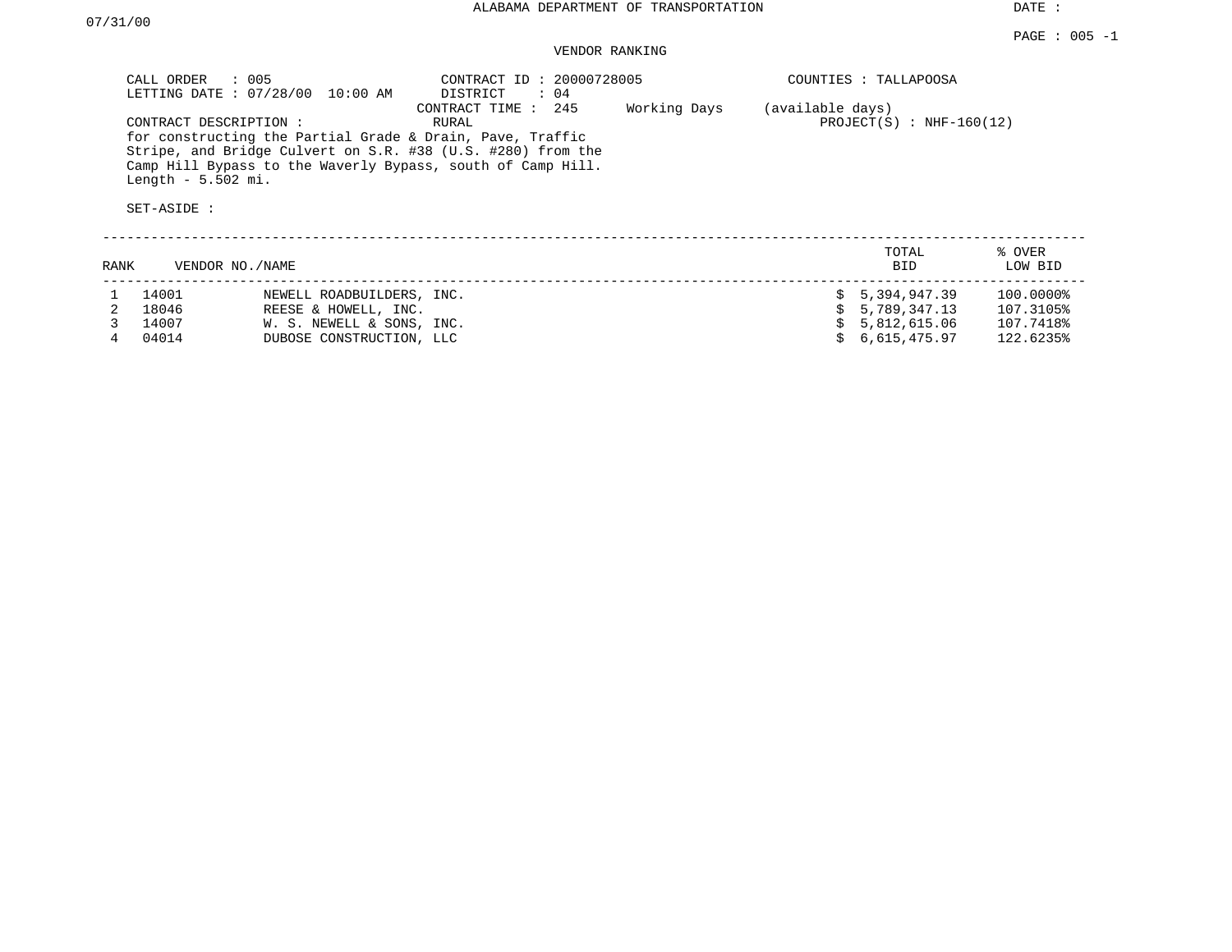DATE :

#### VENDOR RANKING

| CALL ORDER<br>$\therefore$ 005                                                                                                                                                                                                                                              | CONTRACT ID: 20000728005                                                | COUNTIES : TALLAPOOSA                              |  |  |  |
|-----------------------------------------------------------------------------------------------------------------------------------------------------------------------------------------------------------------------------------------------------------------------------|-------------------------------------------------------------------------|----------------------------------------------------|--|--|--|
| LETTING DATE : 07/28/00 10:00 AM<br>CONTRACT DESCRIPTION:<br>for constructing the Partial Grade & Drain, Pave, Traffic<br>Stripe, and Bridge Culvert on S.R. #38 (U.S. #280) from the<br>Camp Hill Bypass to the Waverly Bypass, south of Camp Hill.<br>Length $-5.502$ mi. | DISTRICT<br>$\colon$ 04<br>CONTRACT TIME : 245<br>Working Days<br>RURAL | (available days)<br>PROJECT $(S)$ : NHF-160 $(12)$ |  |  |  |
| SET-ASIDE :                                                                                                                                                                                                                                                                 |                                                                         |                                                    |  |  |  |
| RANK<br>VENDOR NO./NAME                                                                                                                                                                                                                                                     |                                                                         | % OVER<br>TOTAL<br>LOW BID<br>BID.                 |  |  |  |
| 14001<br>NEMELL POADBIITLOFPS TNC                                                                                                                                                                                                                                           |                                                                         | 5 394 947 39<br>100 0000 <del>2</del><br>Ċ.        |  |  |  |

| 14001 | NEWELL ROADBUILDERS, INC. | \$ 5,394,947.39 | 100.0000% |
|-------|---------------------------|-----------------|-----------|
| 18046 | REESE & HOWELL, INC.      | \$ 5,789,347.13 | 107.3105% |
| 14007 | W. S. NEWELL & SONS, INC. | \$ 5,812,615.06 | 107.7418% |
| 04014 | DUBOSE CONSTRUCTION, LLC  | \$6.615.475.97  | 122.6235% |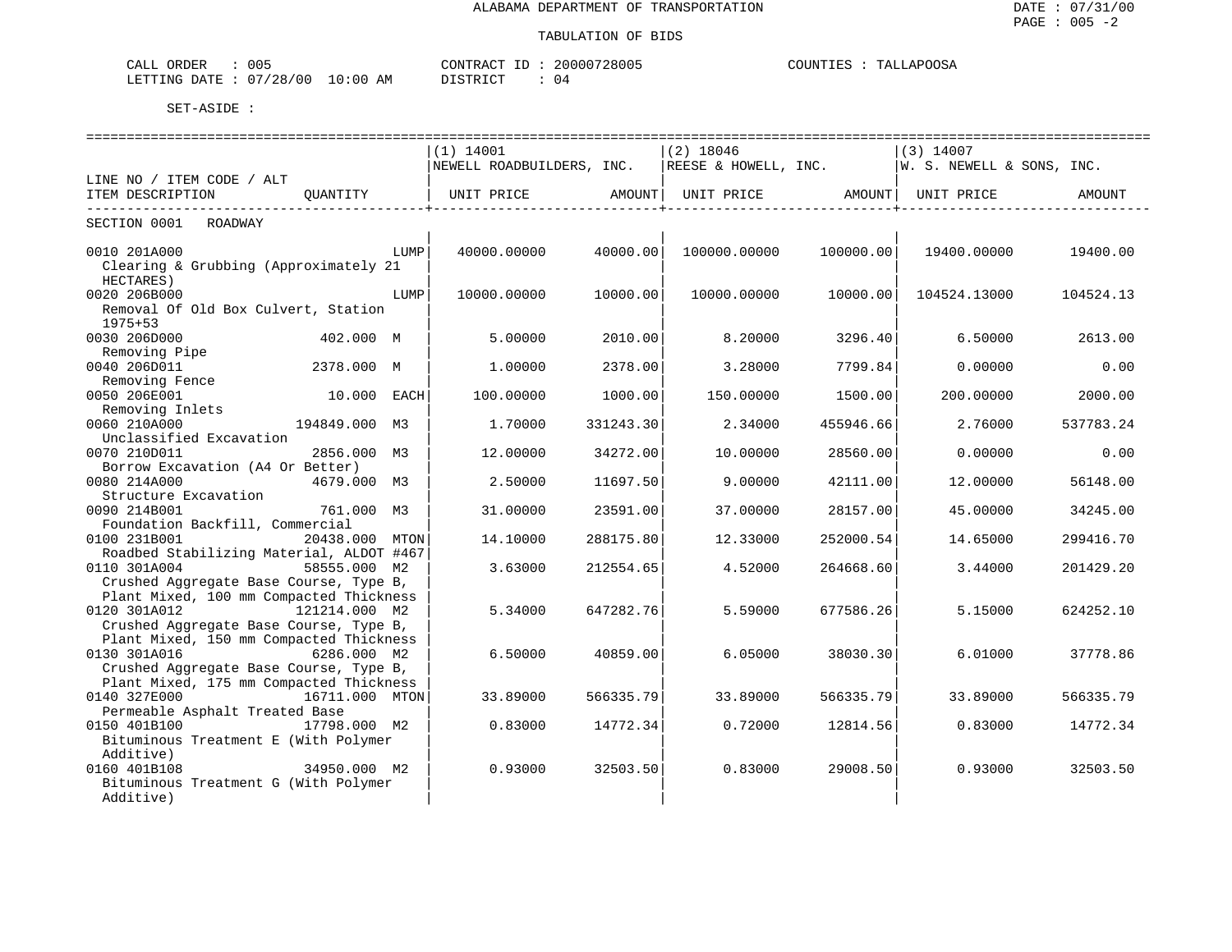| 005<br>ORDER<br>ىلىلەپ   |             | CONTRACT<br>$- -$ | 20000728005 | COUNTIES<br>TALLAPOOSA |
|--------------------------|-------------|-------------------|-------------|------------------------|
| 07/28/00<br>LETTING DATE | 10:00<br>ΆM | <b>DISTRICT</b>   | 4 ل         |                        |

|                                                                                   |                | ====================      |           |                      |           | ===============           |           |
|-----------------------------------------------------------------------------------|----------------|---------------------------|-----------|----------------------|-----------|---------------------------|-----------|
|                                                                                   |                | $(1)$ 14001               |           | $(2)$ 18046          |           | $(3)$ 14007               |           |
|                                                                                   |                | NEWELL ROADBUILDERS, INC. |           | REESE & HOWELL, INC. |           | W. S. NEWELL & SONS, INC. |           |
| LINE NO / ITEM CODE / ALT                                                         |                |                           |           |                      |           |                           |           |
| ITEM DESCRIPTION                                                                  | OUANTITY       | UNIT PRICE                | AMOUNT    | UNIT PRICE AMOUNT    |           | UNIT PRICE                | AMOUNT    |
| SECTION 0001<br>ROADWAY                                                           |                |                           |           |                      |           |                           |           |
| 0010 201A000                                                                      | LUMP           | 40000.00000               | 40000.00  | 100000.00000         | 100000.00 | 19400.00000               | 19400.00  |
| Clearing & Grubbing (Approximately 21<br>HECTARES)                                |                |                           |           |                      |           |                           |           |
| 0020 206B000                                                                      | LUMP           | 10000.00000               | 10000.00  | 10000.00000          | 10000.00  | 104524.13000              | 104524.13 |
| Removal Of Old Box Culvert, Station                                               |                |                           |           |                      |           |                           |           |
| $1975 + 53$                                                                       |                |                           |           |                      |           |                           |           |
| 0030 206D000                                                                      | 402.000 M      | 5.00000                   | 2010.00   | 8.20000              | 3296.40   | 6.50000                   | 2613.00   |
| Removing Pipe                                                                     |                |                           |           |                      |           |                           |           |
| 0040 206D011                                                                      | 2378.000 M     | 1,00000                   | 2378.00   | 3.28000              | 7799.84   | 0.00000                   | 0.00      |
| Removing Fence                                                                    |                |                           |           |                      |           |                           |           |
| 0050 206E001<br>Removing Inlets                                                   | 10.000 EACH    | 100.00000                 | 1000.00   | 150.00000            | 1500.00   | 200.00000                 | 2000.00   |
| 0060 210A000                                                                      | 194849.000 M3  | 1,70000                   | 331243.30 | 2.34000              | 455946.66 | 2.76000                   | 537783.24 |
| Unclassified Excavation                                                           |                |                           |           |                      |           |                           |           |
| 0070 210D011                                                                      | 2856.000 M3    | 12.00000                  | 34272.00  | 10.00000             | 28560.00  | 0.00000                   | 0.00      |
| Borrow Excavation (A4 Or Better)                                                  |                |                           |           |                      |           |                           |           |
| 0080 214A000                                                                      | 4679.000 M3    | 2.50000                   | 11697.50  | 9.00000              | 42111.00  | 12,00000                  | 56148.00  |
| Structure Excavation                                                              |                |                           |           |                      |           |                           |           |
| 0090 214B001                                                                      | 761.000 M3     | 31.00000                  | 23591.00  | 37.00000             | 28157.00  | 45.00000                  | 34245.00  |
| Foundation Backfill, Commercial                                                   |                |                           |           |                      |           |                           |           |
| 0100 231B001                                                                      | 20438.000 MTON | 14.10000                  | 288175.80 | 12.33000             | 252000.54 | 14.65000                  | 299416.70 |
| Roadbed Stabilizing Material, ALDOT #467                                          |                |                           |           |                      |           |                           |           |
| 0110 301A004                                                                      | 58555.000 M2   | 3.63000                   | 212554.65 | 4.52000              | 264668.60 | 3.44000                   | 201429.20 |
| Crushed Aggregate Base Course, Type B,                                            |                |                           |           |                      |           |                           |           |
| Plant Mixed, 100 mm Compacted Thickness                                           |                |                           |           |                      |           |                           |           |
| 0120 301A012                                                                      | 121214.000 M2  | 5.34000                   | 647282.76 | 5.59000              | 677586.26 | 5.15000                   | 624252.10 |
| Crushed Aggregate Base Course, Type B,                                            |                |                           |           |                      |           |                           |           |
| Plant Mixed, 150 mm Compacted Thickness                                           |                |                           |           |                      |           |                           |           |
| 0130 301A016<br>$6286.000$ M2                                                     |                | 6.50000                   | 40859.00  | 6.05000              | 38030.30  | 6.01000                   | 37778.86  |
| Crushed Aggregate Base Course, Type B,<br>Plant Mixed, 175 mm Compacted Thickness |                |                           |           |                      |           |                           |           |
| 0140 327E000                                                                      | 16711.000 MTON | 33.89000                  | 566335.79 | 33.89000             | 566335.79 | 33.89000                  | 566335.79 |
| Permeable Asphalt Treated Base                                                    |                |                           |           |                      |           |                           |           |
| 0150 401B100                                                                      | 17798.000 M2   | 0.83000                   | 14772.34  | 0.72000              | 12814.56  | 0.83000                   | 14772.34  |
| Bituminous Treatment E (With Polymer                                              |                |                           |           |                      |           |                           |           |
| Additive)                                                                         |                |                           |           |                      |           |                           |           |
| 0160 401B108                                                                      | 34950.000 M2   | 0.93000                   | 32503.50  | 0.83000              | 29008.50  | 0.93000                   | 32503.50  |
| Bituminous Treatment G (With Polymer                                              |                |                           |           |                      |           |                           |           |
| Additive)                                                                         |                |                           |           |                      |           |                           |           |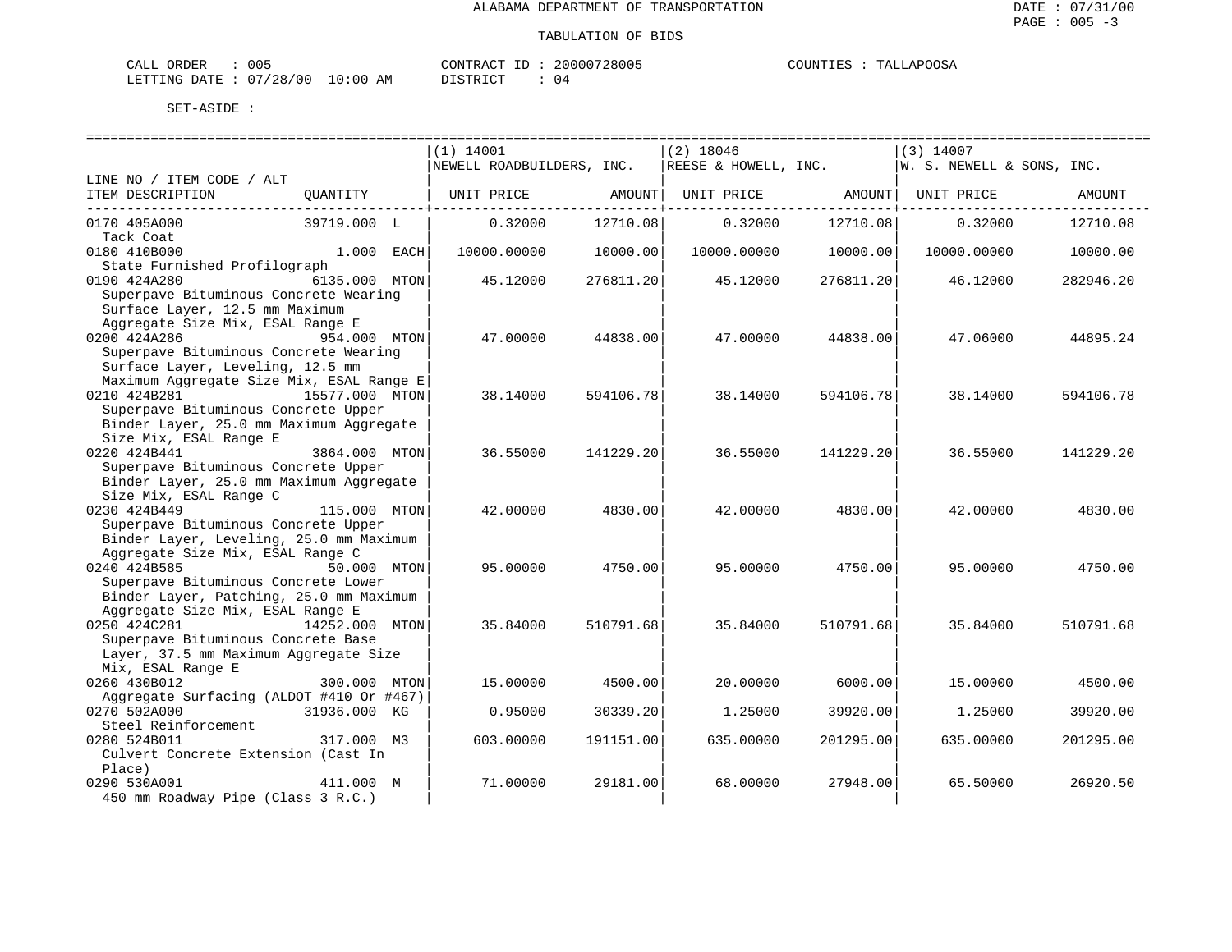| CALL ORDER                      | 005 |          | CONTRACT ID: 20000728005 | COUNTIES : TALLAPOOSA |
|---------------------------------|-----|----------|--------------------------|-----------------------|
| LETTING DATE: 07/28/00 10:00 AM |     | DISTRICT |                          |                       |

|                                                  |                | $(1)$ 14001               |            | $(2)$ 18046          |           | $(3)$ 14007               |           |
|--------------------------------------------------|----------------|---------------------------|------------|----------------------|-----------|---------------------------|-----------|
|                                                  |                | NEWELL ROADBUILDERS, INC. |            | REESE & HOWELL, INC. |           | W. S. NEWELL & SONS, INC. |           |
| LINE NO / ITEM CODE / ALT                        |                |                           |            |                      |           |                           |           |
| ITEM DESCRIPTION                                 | OUANTITY       | UNIT PRICE                | AMOUNT     | UNIT PRICE           | AMOUNT    | UNIT PRICE                | AMOUNT    |
| 0170 405A000                                     | 39719.000 L    | 0.32000                   | 12710.08   | 0.32000              | 12710.08  | 0.32000                   | 12710.08  |
| Tack Coat                                        |                |                           |            |                      |           |                           |           |
| 0180 410B000                                     | 1.000 EACH     | 10000.00000               | 10000.00   | 10000.00000          | 10000.00  | 10000.00000               | 10000.00  |
| State Furnished Profilograph<br>0190 424A280     | 6135.000 MTON  | 45.12000                  | 276811.20  | 45.12000             | 276811.20 | 46.12000                  | 282946.20 |
| Superpave Bituminous Concrete Wearing            |                |                           |            |                      |           |                           |           |
| Surface Layer, 12.5 mm Maximum                   |                |                           |            |                      |           |                           |           |
| Aggregate Size Mix, ESAL Range E                 |                |                           |            |                      |           |                           |           |
| 0200 424A286                                     | 954.000 MTON   | 47.00000                  | 44838.00   | 47.00000             | 44838.00  | 47.06000                  | 44895.24  |
| Superpave Bituminous Concrete Wearing            |                |                           |            |                      |           |                           |           |
| Surface Layer, Leveling, 12.5 mm                 |                |                           |            |                      |           |                           |           |
| Maximum Aggregate Size Mix, ESAL Range E         |                |                           |            |                      |           |                           |           |
| 0210 424B281                                     | 15577.000 MTON | 38.14000                  | 594106.78  | 38.14000             | 594106.78 | 38.14000                  | 594106.78 |
| Superpave Bituminous Concrete Upper              |                |                           |            |                      |           |                           |           |
| Binder Layer, 25.0 mm Maximum Aggregate          |                |                           |            |                      |           |                           |           |
| Size Mix, ESAL Range E                           |                |                           |            |                      |           |                           |           |
| 0220 424B441                                     | 3864.000 MTON  | 36.55000                  | 141229.201 | 36.55000             | 141229.20 | 36.55000                  | 141229.20 |
| Superpave Bituminous Concrete Upper              |                |                           |            |                      |           |                           |           |
| Binder Layer, 25.0 mm Maximum Aggregate          |                |                           |            |                      |           |                           |           |
| Size Mix, ESAL Range C                           |                |                           |            |                      |           |                           |           |
| 0230 424B449                                     | 115.000 MTON   | 42.00000                  | 4830.00    | 42.00000             | 4830.00   | 42.00000                  | 4830.00   |
| Superpave Bituminous Concrete Upper              |                |                           |            |                      |           |                           |           |
| Binder Layer, Leveling, 25.0 mm Maximum          |                |                           |            |                      |           |                           |           |
| Aggregate Size Mix, ESAL Range C                 |                |                           |            |                      |           |                           |           |
| 0240 424B585                                     | 50.000 MTON    | 95.00000                  | 4750.00    | 95.00000             | 4750.00   | 95.00000                  | 4750.00   |
| Superpave Bituminous Concrete Lower              |                |                           |            |                      |           |                           |           |
| Binder Layer, Patching, 25.0 mm Maximum          |                |                           |            |                      |           |                           |           |
| Aggregate Size Mix, ESAL Range E<br>0250 424C281 | 14252.000 MTON | 35.84000                  | 510791.68  | 35.84000             |           | 35.84000                  | 510791.68 |
| Superpave Bituminous Concrete Base               |                |                           |            |                      | 510791.68 |                           |           |
| Layer, 37.5 mm Maximum Aggregate Size            |                |                           |            |                      |           |                           |           |
| Mix, ESAL Range E                                |                |                           |            |                      |           |                           |           |
| 0260 430B012                                     | 300.000 MTON   | 15.00000                  | 4500.00    | 20.00000             | 6000.00   | 15.00000                  | 4500.00   |
| Aggregate Surfacing (ALDOT #410 Or #467)         |                |                           |            |                      |           |                           |           |
| 0270 502A000                                     | 31936.000 KG   | 0.95000                   | 30339.20   | 1.25000              | 39920.00  | 1.25000                   | 39920.00  |
| Steel Reinforcement                              |                |                           |            |                      |           |                           |           |
| 0280 524B011                                     | 317.000 M3     | 603.00000                 | 191151.00  | 635.00000            | 201295.00 | 635.00000                 | 201295.00 |
| Culvert Concrete Extension (Cast In              |                |                           |            |                      |           |                           |           |
| Place)                                           |                |                           |            |                      |           |                           |           |
| 0290 530A001                                     | 411.000 M      | 71.00000                  | 29181.00   | 68,00000             | 27948.00  | 65.50000                  | 26920.50  |
| 450 mm Roadway Pipe (Class 3 R.C.)               |                |                           |            |                      |           |                           |           |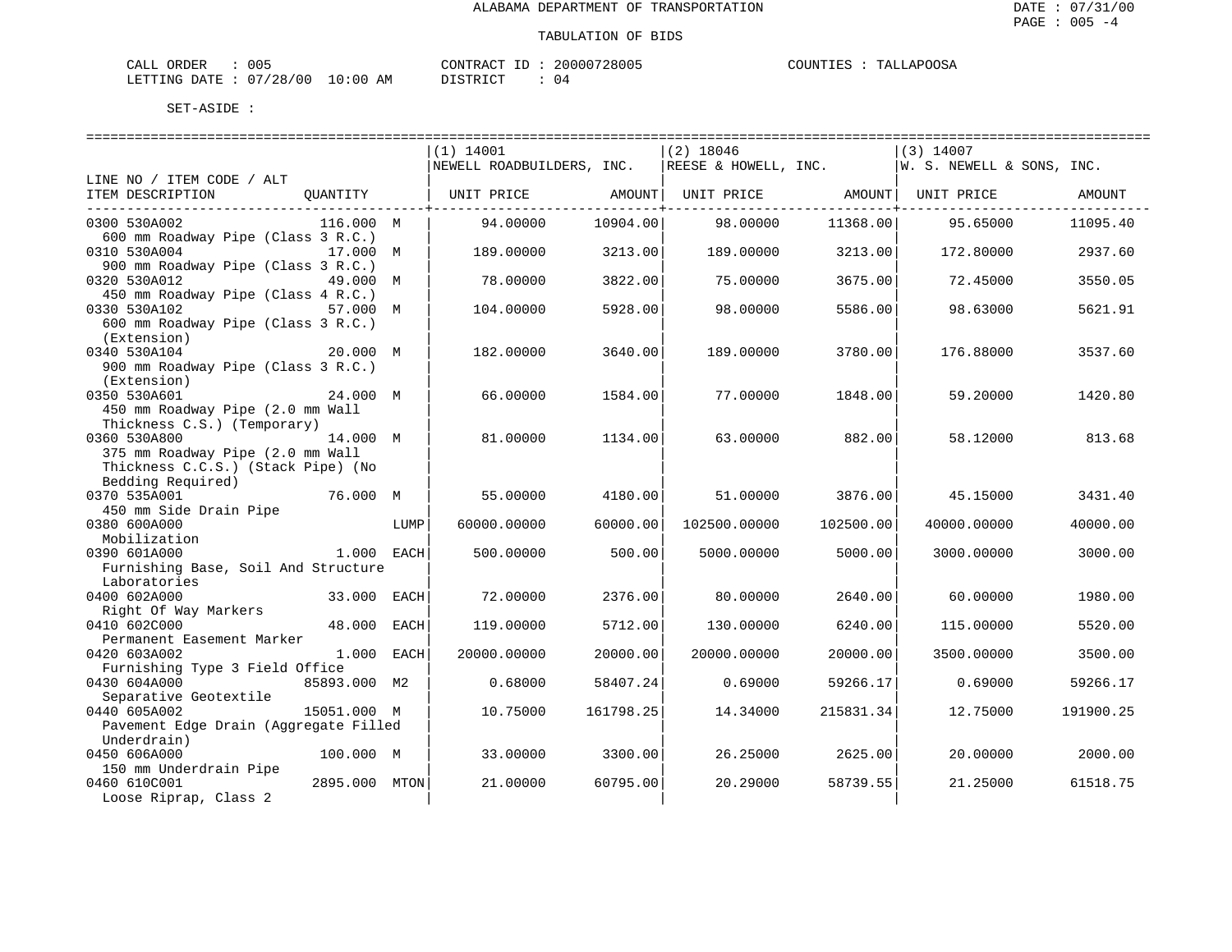| CALL ORDER                      | 005 |          | CONTRACT ID: 20000728005 | COUNTIES : TALLAPOOSA |
|---------------------------------|-----|----------|--------------------------|-----------------------|
| LETTING DATE: 07/28/00 10:00 AM |     | DISTRICT |                          |                       |

|                                                                |      | (1) 14001                 |           | $(2)$ 18046          |           | $(3)$ 14007               |           |
|----------------------------------------------------------------|------|---------------------------|-----------|----------------------|-----------|---------------------------|-----------|
|                                                                |      | NEWELL ROADBUILDERS, INC. |           | REESE & HOWELL, INC. |           | W. S. NEWELL & SONS, INC. |           |
| LINE NO / ITEM CODE / ALT                                      |      |                           |           |                      |           |                           |           |
| ITEM DESCRIPTION<br>QUANTITY                                   |      | UNIT PRICE                | AMOUNT    | UNIT PRICE           |           | AMOUNT   UNIT PRICE       | AMOUNT    |
|                                                                |      |                           |           |                      |           |                           |           |
| 0300 530A002<br>116.000 M                                      |      | 94.00000                  | 10904.00  | 98,00000             | 11368.00  | 95.65000                  | 11095.40  |
| 600 mm Roadway Pipe (Class 3 R.C.)                             |      |                           |           |                      |           |                           |           |
| 0310 530A004<br>17.000 M                                       |      | 189.00000                 | 3213.00   | 189.00000            | 3213.00   | 172.80000                 | 2937.60   |
| 900 mm Roadway Pipe (Class 3 R.C.)                             |      |                           |           |                      |           |                           |           |
| 0320 530A012<br>49.000 M                                       |      | 78.00000                  | 3822.00   | 75.00000             | 3675.00   | 72.45000                  | 3550.05   |
| 450 mm Roadway Pipe (Class 4 R.C.)                             |      |                           |           |                      |           |                           |           |
| 0330 530A102<br>57.000 M                                       |      | 104.00000                 | 5928.00   | 98.00000             | 5586.00   | 98.63000                  | 5621.91   |
| 600 mm Roadway Pipe (Class 3 R.C.)                             |      |                           |           |                      |           |                           |           |
| (Extension)<br>0340 530A104<br>20.000 M                        |      | 182.00000                 | 3640.00   | 189.00000            | 3780.00   | 176.88000                 | 3537.60   |
| 900 mm Roadway Pipe (Class 3 R.C.)                             |      |                           |           |                      |           |                           |           |
| (Extension)                                                    |      |                           |           |                      |           |                           |           |
| 0350 530A601<br>24.000 M                                       |      | 66.00000                  | 1584.00   | 77.00000             | 1848.00   | 59.20000                  | 1420.80   |
| 450 mm Roadway Pipe (2.0 mm Wall                               |      |                           |           |                      |           |                           |           |
| Thickness C.S.) (Temporary)                                    |      |                           |           |                      |           |                           |           |
| 0360 530A800<br>14.000 M                                       |      | 81.00000                  | 1134.00   | 63.00000             | 882.00    | 58.12000                  | 813.68    |
| 375 mm Roadway Pipe (2.0 mm Wall                               |      |                           |           |                      |           |                           |           |
| Thickness C.C.S.) (Stack Pipe) (No                             |      |                           |           |                      |           |                           |           |
| Bedding Required)                                              |      |                           |           |                      |           |                           |           |
| 0370 535A001<br>76.000 M                                       |      | 55.00000                  | 4180.00   | 51,00000             | 3876.00   | 45.15000                  | 3431.40   |
| 450 mm Side Drain Pipe                                         |      |                           |           |                      |           |                           |           |
| 0380 600A000                                                   | LUMP | 60000.00000               | 60000.00  | 102500.00000         | 102500.00 | 40000.00000               | 40000.00  |
| Mobilization                                                   |      |                           |           |                      |           |                           |           |
| 0390 601A000<br>1.000 EACH                                     |      | 500.00000                 | 500.00    | 5000.00000           | 5000.00   | 3000.00000                | 3000.00   |
| Furnishing Base, Soil And Structure                            |      |                           |           |                      |           |                           |           |
| Laboratories                                                   |      |                           |           |                      |           |                           |           |
| 0400 602A000<br>33.000 EACH                                    |      | 72.00000                  | 2376.00   | 80.00000             | 2640.00   | 60.00000                  | 1980.00   |
| Right Of Way Markers                                           |      |                           |           |                      |           |                           |           |
| 0410 602C000<br>48.000 EACH                                    |      | 119.00000                 | 5712.00   | 130.00000            | 6240.00   | 115.00000                 | 5520.00   |
| Permanent Easement Marker                                      |      |                           |           |                      |           |                           |           |
| 1.000 EACH<br>0420 603A002                                     |      | 20000.00000               | 20000.00  | 20000.00000          | 20000.00  | 3500.00000                | 3500.00   |
| Furnishing Type 3 Field Office<br>0430 604A000<br>85893.000 M2 |      | 0.68000                   | 58407.24  | 0.69000              | 59266.17  |                           | 59266.17  |
|                                                                |      |                           |           |                      |           | 0.69000                   |           |
| Separative Geotextile<br>15051.000 M<br>0440 605A002           |      | 10.75000                  | 161798.25 | 14.34000             | 215831.34 | 12.75000                  | 191900.25 |
| Pavement Edge Drain (Aggregate Filled                          |      |                           |           |                      |           |                           |           |
| Underdrain)                                                    |      |                           |           |                      |           |                           |           |
| 0450 606A000<br>100.000 M                                      |      | 33.00000                  | 3300.00   | 26.25000             | 2625.00   | 20.00000                  | 2000.00   |
| 150 mm Underdrain Pipe                                         |      |                           |           |                      |           |                           |           |
| 0460 610C001<br>2895.000 MTON                                  |      | 21.00000                  | 60795.00  | 20.29000             | 58739.55  | 21.25000                  | 61518.75  |
| Loose Riprap, Class 2                                          |      |                           |           |                      |           |                           |           |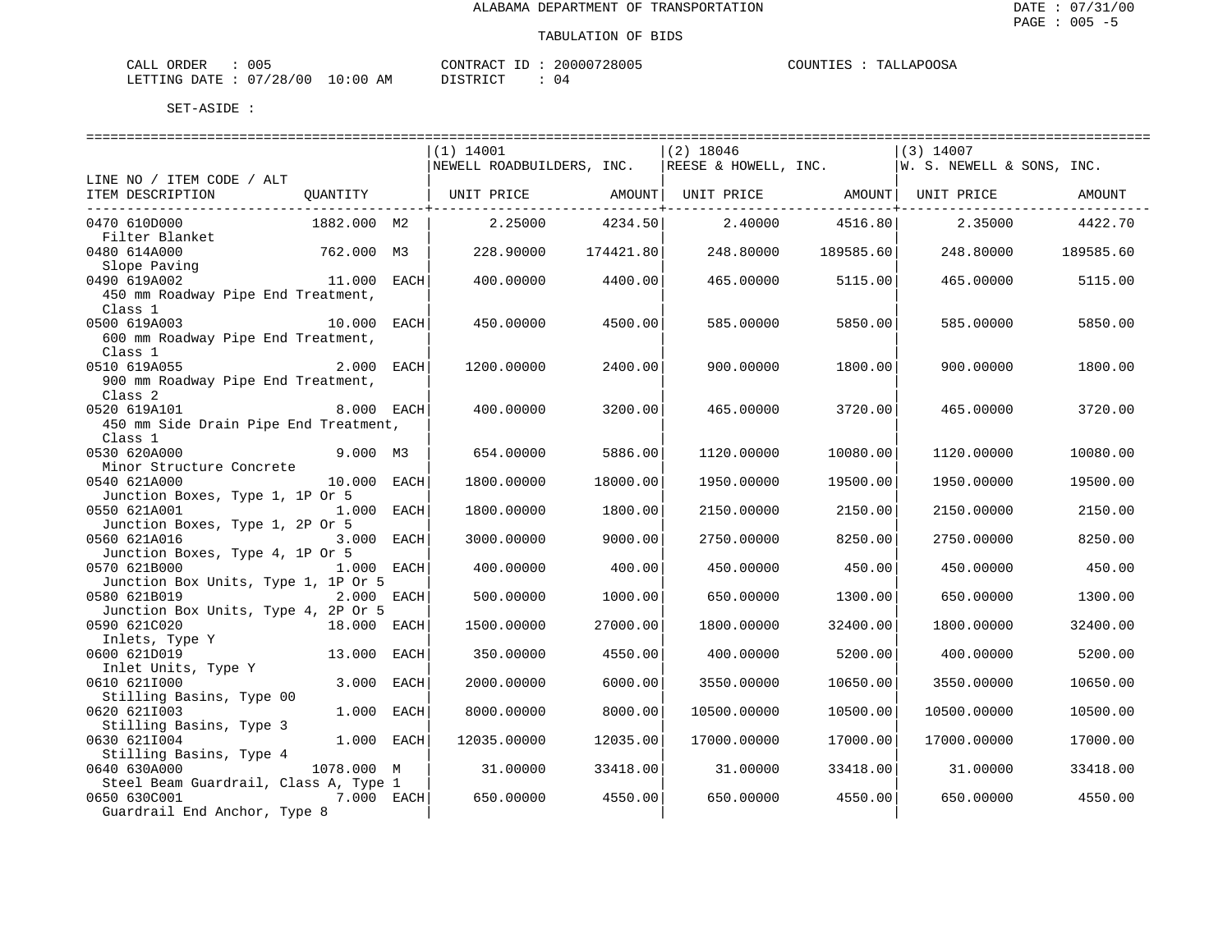| CALL ORDER                      | 005 | CONTRACT ID | 20000728005 | COUNTIES : | TALLAPOOSA |
|---------------------------------|-----|-------------|-------------|------------|------------|
| LETTING DATE: 07/28/00 10:00 AM |     | DISTRICT    |             |            |            |

|                                                     |             | $(1)$ 14001               |           | $(2)$ 18046 |                       | $(3)$ 14007                                        |           |
|-----------------------------------------------------|-------------|---------------------------|-----------|-------------|-----------------------|----------------------------------------------------|-----------|
|                                                     |             | NEWELL ROADBUILDERS, INC. |           |             |                       | REESE & HOWELL, INC. $ W. S. NEWELL \& SONS, INC.$ |           |
| LINE NO / ITEM CODE / ALT                           |             |                           |           |             |                       |                                                    |           |
| ITEM DESCRIPTION                                    |             |                           |           |             | ---------------+----- |                                                    | AMOUNT    |
| 0470 610D000                                        | 1882.000 M2 | 2.25000                   | 4234.50   |             | 2.40000 4516.80       | 2.35000                                            | 4422.70   |
| Filter Blanket                                      |             |                           |           |             |                       |                                                    |           |
| 0480 614A000                                        | 762.000 M3  | 228,90000                 | 174421.80 |             | 248.80000 189585.60   | 248.80000                                          | 189585.60 |
| Slope Paving<br>0490 619A002                        | 11.000 EACH | 400.00000                 | 4400.00   | 465.00000   | 5115.00               | 465.00000                                          | 5115.00   |
| 450 mm Roadway Pipe End Treatment,                  |             |                           |           |             |                       |                                                    |           |
| Class 1                                             |             |                           |           |             |                       |                                                    |           |
| 0500 619A003                                        | 10.000 EACH | 450.00000                 | 4500.00   | 585.00000   | 5850.00               | 585.00000                                          | 5850.00   |
| 600 mm Roadway Pipe End Treatment,                  |             |                           |           |             |                       |                                                    |           |
| Class 1                                             |             |                           |           |             |                       |                                                    |           |
| 0510 619A055                                        | 2.000 EACH  | 1200.00000                | 2400.00   | 900.00000   | 1800.00               | 900.00000                                          | 1800.00   |
| 900 mm Roadway Pipe End Treatment,                  |             |                           |           |             |                       |                                                    |           |
| Class 2                                             |             |                           |           |             |                       |                                                    |           |
| 0520 619A101                                        | 8.000 EACH  | 400.00000                 | 3200.00   | 465.00000   | 3720.00               | 465.00000                                          | 3720.00   |
| 450 mm Side Drain Pipe End Treatment,               |             |                           |           |             |                       |                                                    |           |
| Class 1<br>0530 620A000                             | 9.000 M3    | 654.00000                 | 5886.00   | 1120.00000  | 10080.00              | 1120.00000                                         | 10080.00  |
| Minor Structure Concrete                            |             |                           |           |             |                       |                                                    |           |
| 0540 621A000                                        | 10.000 EACH | 1800.00000                | 18000.00  | 1950.00000  | 19500.00              | 1950.00000                                         | 19500.00  |
| Junction Boxes, Type 1, 1P Or 5                     |             |                           |           |             |                       |                                                    |           |
| 0550 621A001                                        | 1.000 EACH  | 1800.00000                | 1800.00   | 2150.00000  | 2150.00               | 2150.00000                                         | 2150.00   |
| Junction Boxes, Type 1, 2P Or 5                     |             |                           |           |             |                       |                                                    |           |
| 0560 621A016                                        | 3.000 EACH  | 3000.00000                | 9000.00   | 2750.00000  | 8250.00               | 2750.00000                                         | 8250.00   |
| Junction Boxes, Type 4, 1P Or 5                     |             |                           |           |             |                       |                                                    |           |
| 0570 621B000                                        | 1.000 EACH  | 400.00000                 | 400.00    | 450.00000   | 450.00                | 450.00000                                          | 450.00    |
| Junction Box Units, Type 1, 1P Or 5                 |             |                           |           |             |                       |                                                    |           |
| 0580 621B019                                        | 2.000 EACH  | 500.00000                 | 1000.00   | 650.00000   | 1300.00               | 650.00000                                          | 1300.00   |
| Junction Box Units, Type 4, 2P Or 5<br>0590 621C020 | 18.000 EACH | 1500.00000                | 27000.00  | 1800.00000  | 32400.00              | 1800.00000                                         | 32400.00  |
| Inlets, Type Y                                      |             |                           |           |             |                       |                                                    |           |
| 0600 621D019                                        | 13.000 EACH | 350.00000                 | 4550.00   | 400.00000   | 5200.00               | 400.00000                                          | 5200.00   |
| Inlet Units, Type Y                                 |             |                           |           |             |                       |                                                    |           |
| 0610 6211000                                        | 3.000 EACH  | 2000.00000                | 6000.00   | 3550.00000  | 10650.00              | 3550.00000                                         | 10650.00  |
| Stilling Basins, Type 00                            |             |                           |           |             |                       |                                                    |           |
| 0620 6211003                                        | 1.000 EACH  | 8000.00000                | 8000.00   | 10500.00000 | 10500.00              | 10500.00000                                        | 10500.00  |
| Stilling Basins, Type 3                             |             |                           |           |             |                       |                                                    |           |
| 0630 6211004                                        | 1.000 EACH  | 12035.00000               | 12035.00  | 17000.00000 | 17000.00              | 17000.00000                                        | 17000.00  |
| Stilling Basins, Type 4<br>0640 630A000             | 1078.000 M  | 31.00000                  | 33418.00  | 31.00000    | 33418.00              | 31.00000                                           | 33418.00  |
| Steel Beam Guardrail, Class A, Type 1               |             |                           |           |             |                       |                                                    |           |
| 0650 630C001<br>7.000 EACH                          |             | 650.00000                 | 4550.00   | 650.00000   | 4550.00               | 650.00000                                          | 4550.00   |
| Guardrail End Anchor, Type 8                        |             |                           |           |             |                       |                                                    |           |
|                                                     |             |                           |           |             |                       |                                                    |           |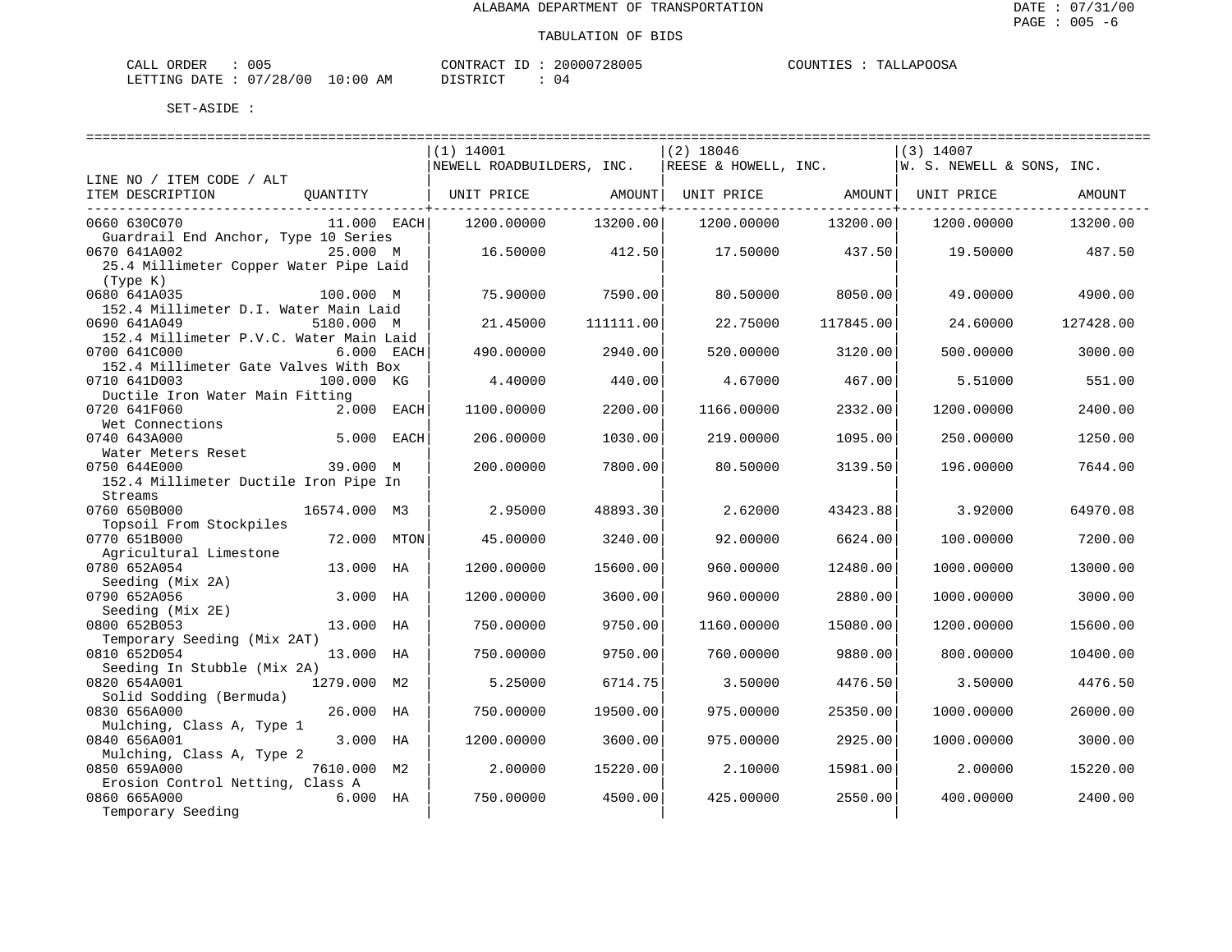| 005<br>ORDER<br>CALL                                          |             | CONTRAC<br>$- -$ | 20000728005 | <b>JAPOOSA</b><br>COUNT<br>┅ѧт<br>ن ط ط ا<br>,,,,,,, |
|---------------------------------------------------------------|-------------|------------------|-------------|------------------------------------------------------|
| $\sim$ $\sim$<br>/28/00<br>LETTING<br>DATE<br>$\cup$ $\prime$ | 10:00<br>ΆM | דת לידי את ה     | <b>17</b>   |                                                      |

|                                         |               | ----------------------------- |           |             |           |                                                    |           |
|-----------------------------------------|---------------|-------------------------------|-----------|-------------|-----------|----------------------------------------------------|-----------|
|                                         |               | $(1)$ 14001                   |           | $(2)$ 18046 |           | (3) 14007                                          |           |
|                                         |               | NEWELL ROADBUILDERS, INC.     |           |             |           | REESE & HOWELL, INC. $ W. S. NEWELL \& SONS, INC.$ |           |
| LINE NO / ITEM CODE / ALT               |               |                               |           |             |           |                                                    |           |
| ITEM DESCRIPTION                        | QUANTITY      | UNIT PRICE AMOUNT             |           |             |           | UNIT PRICE AMOUNT   UNIT PRICE                     | AMOUNT    |
|                                         |               |                               |           |             |           |                                                    |           |
| 0660 630C070                            | $11.000$ EACH | 1200.00000                    | 13200.00  | 1200.00000  | 13200.00  | 1200.00000                                         | 13200.00  |
| Guardrail End Anchor, Type 10 Series    |               |                               |           |             |           |                                                    |           |
| 0670 641A002                            | 25.000 M      | 16.50000                      | 412.50    | 17.50000    | 437.50    | 19.50000                                           | 487.50    |
| 25.4 Millimeter Copper Water Pipe Laid  |               |                               |           |             |           |                                                    |           |
| (Type K)                                |               |                               |           |             |           |                                                    |           |
| 0680 641A035                            | 100.000 M     | 75.90000                      | 7590.00   | 80.50000    | 8050.00   | 49.00000                                           | 4900.00   |
| 152.4 Millimeter D.I. Water Main Laid   |               |                               |           |             |           |                                                    |           |
| 0690 641A049                            | 5180.000 M    | 21.45000                      | 111111.00 | 22.75000    | 117845.00 | 24.60000                                           | 127428.00 |
| 152.4 Millimeter P.V.C. Water Main Laid |               |                               |           |             |           |                                                    |           |
| 0700 641C000                            | $6.000$ EACH  | 490.00000                     | 2940.00   | 520.00000   | 3120.00   | 500.00000                                          | 3000.00   |
| 152.4 Millimeter Gate Valves With Box   |               |                               |           |             |           |                                                    |           |
| 0710 641D003                            | 100.000 KG    | 4.40000                       | 440.00    | 4.67000     | 467.00    | 5.51000                                            | 551.00    |
| Ductile Iron Water Main Fitting         |               |                               |           |             |           |                                                    |           |
| 0720 641F060                            | 2.000 EACH    | 1100.00000                    | 2200.00   | 1166.00000  | 2332.00   | 1200.00000                                         | 2400.00   |
| Wet Connections                         |               |                               |           |             |           |                                                    |           |
| 0740 643A000                            | 5.000 EACH    | 206.00000                     | 1030.00   | 219.00000   | 1095.00   | 250.00000                                          | 1250.00   |
| Water Meters Reset                      |               |                               |           |             |           |                                                    |           |
| 0750 644E000                            | 39.000 M      | 200.00000                     | 7800.00   | 80.50000    | 3139.50   | 196.00000                                          | 7644.00   |
| 152.4 Millimeter Ductile Iron Pipe In   |               |                               |           |             |           |                                                    |           |
| Streams                                 |               |                               |           |             |           |                                                    |           |
| 0760 650B000                            | 16574.000 M3  | 2.95000                       | 48893.30  | 2.62000     | 43423.88  | 3.92000                                            | 64970.08  |
| Topsoil From Stockpiles                 |               |                               |           |             |           |                                                    |           |
| 0770 651B000                            | 72.000 MTON   | 45.00000                      | 3240.00   | 92.00000    | 6624.00   | 100.00000                                          | 7200.00   |
| Agricultural Limestone                  |               |                               |           |             |           |                                                    |           |
| 0780 652A054                            | 13.000 HA     | 1200.00000                    | 15600.00  | 960.00000   | 12480.00  | 1000.00000                                         | 13000.00  |
| Seeding (Mix 2A)                        |               |                               |           |             |           |                                                    |           |
| 0790 652A056                            | 3.000 HA      | 1200.00000                    | 3600.00   | 960.00000   | 2880.00   | 1000.00000                                         | 3000.00   |
| Seeding (Mix 2E)                        |               |                               |           |             |           |                                                    |           |
| 0800 652B053                            | 13.000 HA     | 750.00000                     | 9750.00   | 1160.00000  | 15080.00  | 1200.00000                                         | 15600.00  |
| Temporary Seeding (Mix 2AT)             |               |                               |           |             |           |                                                    |           |
| 0810 652D054                            | 13.000 HA     | 750.00000                     | 9750.00   | 760.00000   | 9880.00   | 800.00000                                          | 10400.00  |
| Seeding In Stubble (Mix 2A)             |               |                               |           |             |           |                                                    |           |
| 0820 654A001                            | 1279.000 M2   | 5.25000                       | 6714.75   | 3.50000     | 4476.50   | 3.50000                                            | 4476.50   |
| Solid Sodding (Bermuda)                 |               |                               |           |             |           |                                                    |           |
| 0830 656A000                            | 26.000 HA     | 750.00000                     | 19500.00  | 975,00000   | 25350.00  | 1000.00000                                         | 26000.00  |
| Mulching, Class A, Type 1               |               |                               |           |             |           |                                                    |           |
| 0840 656A001                            | 3.000 HA      | 1200.00000                    | 3600.00   | 975.00000   | 2925.00   | 1000.00000                                         | 3000.00   |
| Mulching, Class A, Type 2               |               |                               |           |             |           |                                                    |           |
| 0850 659A000                            | 7610.000 M2   | 2.00000                       | 15220.00  | 2.10000     | 15981.00  | 2.00000                                            | 15220.00  |
| Erosion Control Netting, Class A        |               |                               |           |             |           |                                                    |           |
| 0860 665A000                            | $6.000$ HA    | 750.00000                     | 4500.00   | 425.00000   | 2550.00   | 400.00000                                          | 2400.00   |
| Temporary Seeding                       |               |                               |           |             |           |                                                    |           |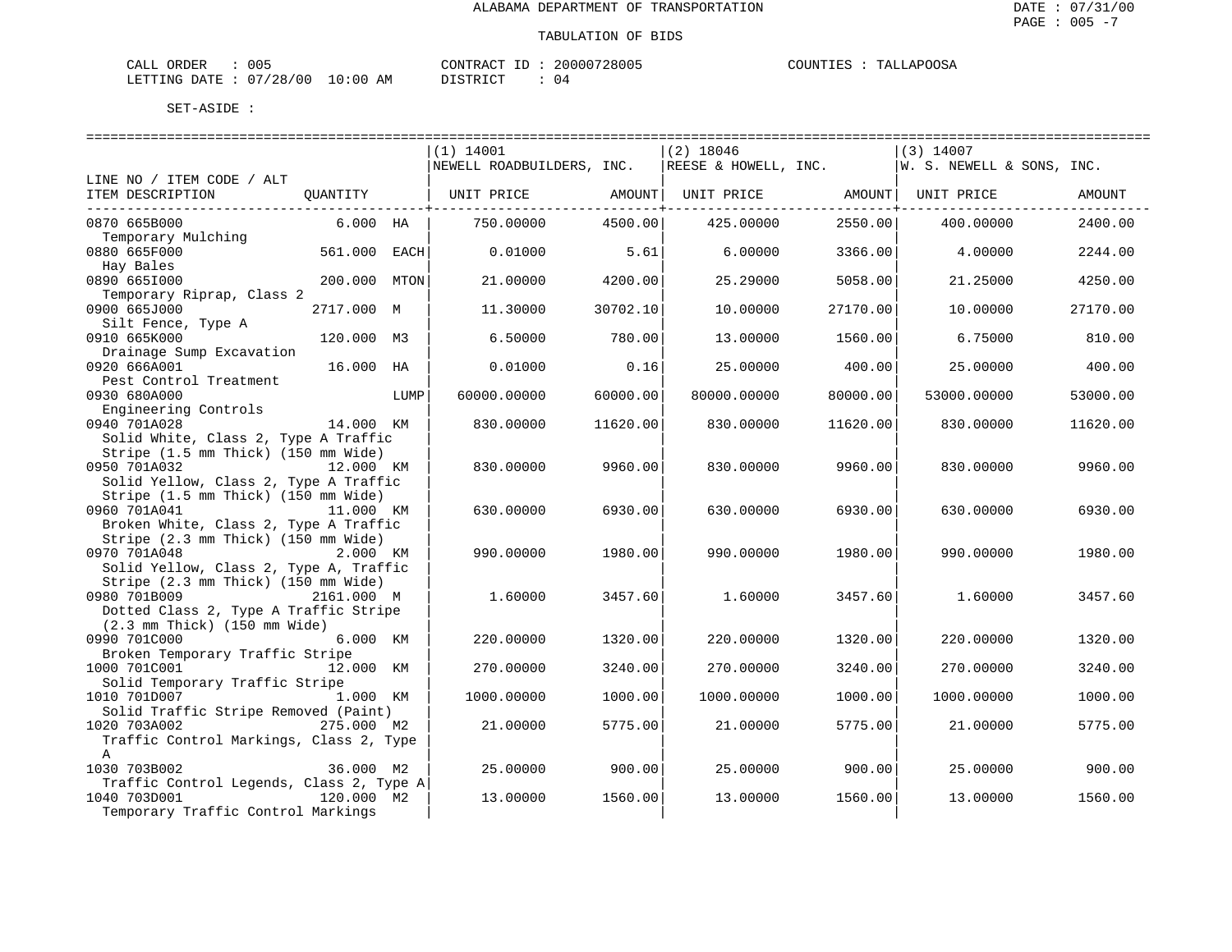| ORDER<br>CALL | 005      |             | CONTRACT     | 20000728005 | COUNTIES | TALLAPOOSA |
|---------------|----------|-------------|--------------|-------------|----------|------------|
| LETTING DATE  | 07/28/00 | 10:00<br>AM | יחי הדים דרי | U 4         |          |            |

| $(2)$ 18046<br>$(1)$ 14001<br>$(3)$ 14007<br>NEWELL ROADBUILDERS, INC.<br>REESE & HOWELL, INC.<br>W. S. NEWELL & SONS, INC.<br>LINE NO / ITEM CODE / ALT<br>ITEM DESCRIPTION<br>AMOUNT<br>OUANTITY<br>UNIT PRICE<br>AMOUNT  UNIT PRICE               AMOUNT  UNIT PRICE<br>------------+<br>0870 665B000<br>$6.000$ HA<br>750.00000<br>4500.00<br>425.00000<br>2550.00<br>400.00000<br>2400.00<br>Temporary Mulching<br>0880 665F000<br>561.000 EACH<br>5.61<br>0.01000<br>6.00000<br>3366.00<br>4.00000<br>2244.00<br>Hay Bales<br>0890 6651000<br>200.000 MTON<br>21,00000<br>4200.00<br>25.29000<br>5058.00<br>4250.00<br>21.25000<br>Temporary Riprap, Class 2<br>0900 665J000<br>2717.000 M<br>30702.10<br>10.00000<br>27170.00<br>11.30000<br>27170.00<br>10.00000<br>Silt Fence, Type A<br>0910 665K000<br>120.000 M3<br>6.50000<br>780.00<br>13,00000<br>1560.00<br>6.75000<br>810.00<br>Drainage Sump Excavation<br>16.000 HA<br>0920 666A001<br>0.01000<br>0.16<br>25.00000<br>400.00<br>25.00000<br>400.00<br>Pest Control Treatment<br>0930 680A000<br>60000.00000<br>60000.00<br>LUMP<br>80000.00000<br>80000.00<br>53000.00000<br>53000.00<br>Engineering Controls<br>0940 701A028<br>14.000 KM<br>830.00000<br>11620.00<br>830.00000<br>11620.00<br>830.00000<br>11620.00<br>Solid White, Class 2, Type A Traffic<br>Stripe (1.5 mm Thick) (150 mm Wide)<br>0950 701A032<br>12.000 KM<br>830.00000<br>9960.00<br>830.00000<br>9960.00<br>830.00000<br>9960.00<br>Solid Yellow, Class 2, Type A Traffic<br>Stripe (1.5 mm Thick) (150 mm Wide)<br>0960 701A041<br>11.000 KM<br>6930.00<br>630.00000<br>6930.00<br>630.00000<br>6930.00<br>630.00000<br>Broken White, Class 2, Type A Traffic<br>Stripe (2.3 mm Thick) (150 mm Wide)<br>0970 701A048<br>2.000 KM<br>990.00000<br>1980.00<br>990.00000<br>1980.00<br>990.00000<br>1980.00<br>Solid Yellow, Class 2, Type A, Traffic<br>Stripe (2.3 mm Thick) (150 mm Wide)<br>0980 701B009<br>2161.000 M<br>3457.60<br>1.60000<br>1.60000<br>3457.60<br>1.60000<br>3457.60<br>Dotted Class 2, Type A Traffic Stripe<br>$(2.3 \text{ mm}$ Thick) $(150 \text{ mm}$ Wide)<br>0990 701C000<br>6.000 KM<br>220.00000<br>1320.00<br>220.00000<br>1320.00<br>1320.00<br>220,00000<br>Broken Temporary Traffic Stripe<br>1000 701C001<br>3240.00<br>3240.00<br>12.000 KM<br>270.00000<br>270.00000<br>3240.00<br>270.00000<br>Solid Temporary Traffic Stripe<br>1010 701D007<br>1.000 KM<br>1000.00000<br>1000.00<br>1000.00000<br>1000.00<br>1000.00000<br>1000.00<br>Solid Traffic Stripe Removed (Paint)<br>1020 703A002<br>275.000 M2<br>5775.00<br>21,00000<br>5775.00<br>21.00000<br>5775.00<br>21.00000<br>Traffic Control Markings, Class 2, Type<br>$\mathbb{A}$<br>1030 703B002<br>36.000 M2<br>25.00000<br>900.00<br>25.00000<br>900.00<br>25.00000<br>900.00<br>Traffic Control Legends, Class 2, Type A<br>1040 703D001<br>1560.00<br>1560.00<br>120.000 M2<br>13.00000<br>13.00000<br>1560.00<br>13.00000<br>Temporary Traffic Control Markings |  |  |  |  |  |
|--------------------------------------------------------------------------------------------------------------------------------------------------------------------------------------------------------------------------------------------------------------------------------------------------------------------------------------------------------------------------------------------------------------------------------------------------------------------------------------------------------------------------------------------------------------------------------------------------------------------------------------------------------------------------------------------------------------------------------------------------------------------------------------------------------------------------------------------------------------------------------------------------------------------------------------------------------------------------------------------------------------------------------------------------------------------------------------------------------------------------------------------------------------------------------------------------------------------------------------------------------------------------------------------------------------------------------------------------------------------------------------------------------------------------------------------------------------------------------------------------------------------------------------------------------------------------------------------------------------------------------------------------------------------------------------------------------------------------------------------------------------------------------------------------------------------------------------------------------------------------------------------------------------------------------------------------------------------------------------------------------------------------------------------------------------------------------------------------------------------------------------------------------------------------------------------------------------------------------------------------------------------------------------------------------------------------------------------------------------------------------------------------------------------------------------------------------------------------------------------------------------------------------------------------------------------------------------------------------------------------------------------------------------------------------------------------------------------------------------------------------------------------------------------------------------------------------------------------------------------------------------------------------------------------------------------------------------------------------------------------------------------|--|--|--|--|--|
|                                                                                                                                                                                                                                                                                                                                                                                                                                                                                                                                                                                                                                                                                                                                                                                                                                                                                                                                                                                                                                                                                                                                                                                                                                                                                                                                                                                                                                                                                                                                                                                                                                                                                                                                                                                                                                                                                                                                                                                                                                                                                                                                                                                                                                                                                                                                                                                                                                                                                                                                                                                                                                                                                                                                                                                                                                                                                                                                                                                                                    |  |  |  |  |  |
|                                                                                                                                                                                                                                                                                                                                                                                                                                                                                                                                                                                                                                                                                                                                                                                                                                                                                                                                                                                                                                                                                                                                                                                                                                                                                                                                                                                                                                                                                                                                                                                                                                                                                                                                                                                                                                                                                                                                                                                                                                                                                                                                                                                                                                                                                                                                                                                                                                                                                                                                                                                                                                                                                                                                                                                                                                                                                                                                                                                                                    |  |  |  |  |  |
|                                                                                                                                                                                                                                                                                                                                                                                                                                                                                                                                                                                                                                                                                                                                                                                                                                                                                                                                                                                                                                                                                                                                                                                                                                                                                                                                                                                                                                                                                                                                                                                                                                                                                                                                                                                                                                                                                                                                                                                                                                                                                                                                                                                                                                                                                                                                                                                                                                                                                                                                                                                                                                                                                                                                                                                                                                                                                                                                                                                                                    |  |  |  |  |  |
|                                                                                                                                                                                                                                                                                                                                                                                                                                                                                                                                                                                                                                                                                                                                                                                                                                                                                                                                                                                                                                                                                                                                                                                                                                                                                                                                                                                                                                                                                                                                                                                                                                                                                                                                                                                                                                                                                                                                                                                                                                                                                                                                                                                                                                                                                                                                                                                                                                                                                                                                                                                                                                                                                                                                                                                                                                                                                                                                                                                                                    |  |  |  |  |  |
|                                                                                                                                                                                                                                                                                                                                                                                                                                                                                                                                                                                                                                                                                                                                                                                                                                                                                                                                                                                                                                                                                                                                                                                                                                                                                                                                                                                                                                                                                                                                                                                                                                                                                                                                                                                                                                                                                                                                                                                                                                                                                                                                                                                                                                                                                                                                                                                                                                                                                                                                                                                                                                                                                                                                                                                                                                                                                                                                                                                                                    |  |  |  |  |  |
|                                                                                                                                                                                                                                                                                                                                                                                                                                                                                                                                                                                                                                                                                                                                                                                                                                                                                                                                                                                                                                                                                                                                                                                                                                                                                                                                                                                                                                                                                                                                                                                                                                                                                                                                                                                                                                                                                                                                                                                                                                                                                                                                                                                                                                                                                                                                                                                                                                                                                                                                                                                                                                                                                                                                                                                                                                                                                                                                                                                                                    |  |  |  |  |  |
|                                                                                                                                                                                                                                                                                                                                                                                                                                                                                                                                                                                                                                                                                                                                                                                                                                                                                                                                                                                                                                                                                                                                                                                                                                                                                                                                                                                                                                                                                                                                                                                                                                                                                                                                                                                                                                                                                                                                                                                                                                                                                                                                                                                                                                                                                                                                                                                                                                                                                                                                                                                                                                                                                                                                                                                                                                                                                                                                                                                                                    |  |  |  |  |  |
|                                                                                                                                                                                                                                                                                                                                                                                                                                                                                                                                                                                                                                                                                                                                                                                                                                                                                                                                                                                                                                                                                                                                                                                                                                                                                                                                                                                                                                                                                                                                                                                                                                                                                                                                                                                                                                                                                                                                                                                                                                                                                                                                                                                                                                                                                                                                                                                                                                                                                                                                                                                                                                                                                                                                                                                                                                                                                                                                                                                                                    |  |  |  |  |  |
|                                                                                                                                                                                                                                                                                                                                                                                                                                                                                                                                                                                                                                                                                                                                                                                                                                                                                                                                                                                                                                                                                                                                                                                                                                                                                                                                                                                                                                                                                                                                                                                                                                                                                                                                                                                                                                                                                                                                                                                                                                                                                                                                                                                                                                                                                                                                                                                                                                                                                                                                                                                                                                                                                                                                                                                                                                                                                                                                                                                                                    |  |  |  |  |  |
|                                                                                                                                                                                                                                                                                                                                                                                                                                                                                                                                                                                                                                                                                                                                                                                                                                                                                                                                                                                                                                                                                                                                                                                                                                                                                                                                                                                                                                                                                                                                                                                                                                                                                                                                                                                                                                                                                                                                                                                                                                                                                                                                                                                                                                                                                                                                                                                                                                                                                                                                                                                                                                                                                                                                                                                                                                                                                                                                                                                                                    |  |  |  |  |  |
|                                                                                                                                                                                                                                                                                                                                                                                                                                                                                                                                                                                                                                                                                                                                                                                                                                                                                                                                                                                                                                                                                                                                                                                                                                                                                                                                                                                                                                                                                                                                                                                                                                                                                                                                                                                                                                                                                                                                                                                                                                                                                                                                                                                                                                                                                                                                                                                                                                                                                                                                                                                                                                                                                                                                                                                                                                                                                                                                                                                                                    |  |  |  |  |  |
|                                                                                                                                                                                                                                                                                                                                                                                                                                                                                                                                                                                                                                                                                                                                                                                                                                                                                                                                                                                                                                                                                                                                                                                                                                                                                                                                                                                                                                                                                                                                                                                                                                                                                                                                                                                                                                                                                                                                                                                                                                                                                                                                                                                                                                                                                                                                                                                                                                                                                                                                                                                                                                                                                                                                                                                                                                                                                                                                                                                                                    |  |  |  |  |  |
|                                                                                                                                                                                                                                                                                                                                                                                                                                                                                                                                                                                                                                                                                                                                                                                                                                                                                                                                                                                                                                                                                                                                                                                                                                                                                                                                                                                                                                                                                                                                                                                                                                                                                                                                                                                                                                                                                                                                                                                                                                                                                                                                                                                                                                                                                                                                                                                                                                                                                                                                                                                                                                                                                                                                                                                                                                                                                                                                                                                                                    |  |  |  |  |  |
|                                                                                                                                                                                                                                                                                                                                                                                                                                                                                                                                                                                                                                                                                                                                                                                                                                                                                                                                                                                                                                                                                                                                                                                                                                                                                                                                                                                                                                                                                                                                                                                                                                                                                                                                                                                                                                                                                                                                                                                                                                                                                                                                                                                                                                                                                                                                                                                                                                                                                                                                                                                                                                                                                                                                                                                                                                                                                                                                                                                                                    |  |  |  |  |  |
|                                                                                                                                                                                                                                                                                                                                                                                                                                                                                                                                                                                                                                                                                                                                                                                                                                                                                                                                                                                                                                                                                                                                                                                                                                                                                                                                                                                                                                                                                                                                                                                                                                                                                                                                                                                                                                                                                                                                                                                                                                                                                                                                                                                                                                                                                                                                                                                                                                                                                                                                                                                                                                                                                                                                                                                                                                                                                                                                                                                                                    |  |  |  |  |  |
|                                                                                                                                                                                                                                                                                                                                                                                                                                                                                                                                                                                                                                                                                                                                                                                                                                                                                                                                                                                                                                                                                                                                                                                                                                                                                                                                                                                                                                                                                                                                                                                                                                                                                                                                                                                                                                                                                                                                                                                                                                                                                                                                                                                                                                                                                                                                                                                                                                                                                                                                                                                                                                                                                                                                                                                                                                                                                                                                                                                                                    |  |  |  |  |  |
|                                                                                                                                                                                                                                                                                                                                                                                                                                                                                                                                                                                                                                                                                                                                                                                                                                                                                                                                                                                                                                                                                                                                                                                                                                                                                                                                                                                                                                                                                                                                                                                                                                                                                                                                                                                                                                                                                                                                                                                                                                                                                                                                                                                                                                                                                                                                                                                                                                                                                                                                                                                                                                                                                                                                                                                                                                                                                                                                                                                                                    |  |  |  |  |  |
|                                                                                                                                                                                                                                                                                                                                                                                                                                                                                                                                                                                                                                                                                                                                                                                                                                                                                                                                                                                                                                                                                                                                                                                                                                                                                                                                                                                                                                                                                                                                                                                                                                                                                                                                                                                                                                                                                                                                                                                                                                                                                                                                                                                                                                                                                                                                                                                                                                                                                                                                                                                                                                                                                                                                                                                                                                                                                                                                                                                                                    |  |  |  |  |  |
|                                                                                                                                                                                                                                                                                                                                                                                                                                                                                                                                                                                                                                                                                                                                                                                                                                                                                                                                                                                                                                                                                                                                                                                                                                                                                                                                                                                                                                                                                                                                                                                                                                                                                                                                                                                                                                                                                                                                                                                                                                                                                                                                                                                                                                                                                                                                                                                                                                                                                                                                                                                                                                                                                                                                                                                                                                                                                                                                                                                                                    |  |  |  |  |  |
|                                                                                                                                                                                                                                                                                                                                                                                                                                                                                                                                                                                                                                                                                                                                                                                                                                                                                                                                                                                                                                                                                                                                                                                                                                                                                                                                                                                                                                                                                                                                                                                                                                                                                                                                                                                                                                                                                                                                                                                                                                                                                                                                                                                                                                                                                                                                                                                                                                                                                                                                                                                                                                                                                                                                                                                                                                                                                                                                                                                                                    |  |  |  |  |  |
|                                                                                                                                                                                                                                                                                                                                                                                                                                                                                                                                                                                                                                                                                                                                                                                                                                                                                                                                                                                                                                                                                                                                                                                                                                                                                                                                                                                                                                                                                                                                                                                                                                                                                                                                                                                                                                                                                                                                                                                                                                                                                                                                                                                                                                                                                                                                                                                                                                                                                                                                                                                                                                                                                                                                                                                                                                                                                                                                                                                                                    |  |  |  |  |  |
|                                                                                                                                                                                                                                                                                                                                                                                                                                                                                                                                                                                                                                                                                                                                                                                                                                                                                                                                                                                                                                                                                                                                                                                                                                                                                                                                                                                                                                                                                                                                                                                                                                                                                                                                                                                                                                                                                                                                                                                                                                                                                                                                                                                                                                                                                                                                                                                                                                                                                                                                                                                                                                                                                                                                                                                                                                                                                                                                                                                                                    |  |  |  |  |  |
|                                                                                                                                                                                                                                                                                                                                                                                                                                                                                                                                                                                                                                                                                                                                                                                                                                                                                                                                                                                                                                                                                                                                                                                                                                                                                                                                                                                                                                                                                                                                                                                                                                                                                                                                                                                                                                                                                                                                                                                                                                                                                                                                                                                                                                                                                                                                                                                                                                                                                                                                                                                                                                                                                                                                                                                                                                                                                                                                                                                                                    |  |  |  |  |  |
|                                                                                                                                                                                                                                                                                                                                                                                                                                                                                                                                                                                                                                                                                                                                                                                                                                                                                                                                                                                                                                                                                                                                                                                                                                                                                                                                                                                                                                                                                                                                                                                                                                                                                                                                                                                                                                                                                                                                                                                                                                                                                                                                                                                                                                                                                                                                                                                                                                                                                                                                                                                                                                                                                                                                                                                                                                                                                                                                                                                                                    |  |  |  |  |  |
|                                                                                                                                                                                                                                                                                                                                                                                                                                                                                                                                                                                                                                                                                                                                                                                                                                                                                                                                                                                                                                                                                                                                                                                                                                                                                                                                                                                                                                                                                                                                                                                                                                                                                                                                                                                                                                                                                                                                                                                                                                                                                                                                                                                                                                                                                                                                                                                                                                                                                                                                                                                                                                                                                                                                                                                                                                                                                                                                                                                                                    |  |  |  |  |  |
|                                                                                                                                                                                                                                                                                                                                                                                                                                                                                                                                                                                                                                                                                                                                                                                                                                                                                                                                                                                                                                                                                                                                                                                                                                                                                                                                                                                                                                                                                                                                                                                                                                                                                                                                                                                                                                                                                                                                                                                                                                                                                                                                                                                                                                                                                                                                                                                                                                                                                                                                                                                                                                                                                                                                                                                                                                                                                                                                                                                                                    |  |  |  |  |  |
|                                                                                                                                                                                                                                                                                                                                                                                                                                                                                                                                                                                                                                                                                                                                                                                                                                                                                                                                                                                                                                                                                                                                                                                                                                                                                                                                                                                                                                                                                                                                                                                                                                                                                                                                                                                                                                                                                                                                                                                                                                                                                                                                                                                                                                                                                                                                                                                                                                                                                                                                                                                                                                                                                                                                                                                                                                                                                                                                                                                                                    |  |  |  |  |  |
|                                                                                                                                                                                                                                                                                                                                                                                                                                                                                                                                                                                                                                                                                                                                                                                                                                                                                                                                                                                                                                                                                                                                                                                                                                                                                                                                                                                                                                                                                                                                                                                                                                                                                                                                                                                                                                                                                                                                                                                                                                                                                                                                                                                                                                                                                                                                                                                                                                                                                                                                                                                                                                                                                                                                                                                                                                                                                                                                                                                                                    |  |  |  |  |  |
|                                                                                                                                                                                                                                                                                                                                                                                                                                                                                                                                                                                                                                                                                                                                                                                                                                                                                                                                                                                                                                                                                                                                                                                                                                                                                                                                                                                                                                                                                                                                                                                                                                                                                                                                                                                                                                                                                                                                                                                                                                                                                                                                                                                                                                                                                                                                                                                                                                                                                                                                                                                                                                                                                                                                                                                                                                                                                                                                                                                                                    |  |  |  |  |  |
|                                                                                                                                                                                                                                                                                                                                                                                                                                                                                                                                                                                                                                                                                                                                                                                                                                                                                                                                                                                                                                                                                                                                                                                                                                                                                                                                                                                                                                                                                                                                                                                                                                                                                                                                                                                                                                                                                                                                                                                                                                                                                                                                                                                                                                                                                                                                                                                                                                                                                                                                                                                                                                                                                                                                                                                                                                                                                                                                                                                                                    |  |  |  |  |  |
|                                                                                                                                                                                                                                                                                                                                                                                                                                                                                                                                                                                                                                                                                                                                                                                                                                                                                                                                                                                                                                                                                                                                                                                                                                                                                                                                                                                                                                                                                                                                                                                                                                                                                                                                                                                                                                                                                                                                                                                                                                                                                                                                                                                                                                                                                                                                                                                                                                                                                                                                                                                                                                                                                                                                                                                                                                                                                                                                                                                                                    |  |  |  |  |  |
|                                                                                                                                                                                                                                                                                                                                                                                                                                                                                                                                                                                                                                                                                                                                                                                                                                                                                                                                                                                                                                                                                                                                                                                                                                                                                                                                                                                                                                                                                                                                                                                                                                                                                                                                                                                                                                                                                                                                                                                                                                                                                                                                                                                                                                                                                                                                                                                                                                                                                                                                                                                                                                                                                                                                                                                                                                                                                                                                                                                                                    |  |  |  |  |  |
|                                                                                                                                                                                                                                                                                                                                                                                                                                                                                                                                                                                                                                                                                                                                                                                                                                                                                                                                                                                                                                                                                                                                                                                                                                                                                                                                                                                                                                                                                                                                                                                                                                                                                                                                                                                                                                                                                                                                                                                                                                                                                                                                                                                                                                                                                                                                                                                                                                                                                                                                                                                                                                                                                                                                                                                                                                                                                                                                                                                                                    |  |  |  |  |  |
|                                                                                                                                                                                                                                                                                                                                                                                                                                                                                                                                                                                                                                                                                                                                                                                                                                                                                                                                                                                                                                                                                                                                                                                                                                                                                                                                                                                                                                                                                                                                                                                                                                                                                                                                                                                                                                                                                                                                                                                                                                                                                                                                                                                                                                                                                                                                                                                                                                                                                                                                                                                                                                                                                                                                                                                                                                                                                                                                                                                                                    |  |  |  |  |  |
|                                                                                                                                                                                                                                                                                                                                                                                                                                                                                                                                                                                                                                                                                                                                                                                                                                                                                                                                                                                                                                                                                                                                                                                                                                                                                                                                                                                                                                                                                                                                                                                                                                                                                                                                                                                                                                                                                                                                                                                                                                                                                                                                                                                                                                                                                                                                                                                                                                                                                                                                                                                                                                                                                                                                                                                                                                                                                                                                                                                                                    |  |  |  |  |  |
|                                                                                                                                                                                                                                                                                                                                                                                                                                                                                                                                                                                                                                                                                                                                                                                                                                                                                                                                                                                                                                                                                                                                                                                                                                                                                                                                                                                                                                                                                                                                                                                                                                                                                                                                                                                                                                                                                                                                                                                                                                                                                                                                                                                                                                                                                                                                                                                                                                                                                                                                                                                                                                                                                                                                                                                                                                                                                                                                                                                                                    |  |  |  |  |  |
|                                                                                                                                                                                                                                                                                                                                                                                                                                                                                                                                                                                                                                                                                                                                                                                                                                                                                                                                                                                                                                                                                                                                                                                                                                                                                                                                                                                                                                                                                                                                                                                                                                                                                                                                                                                                                                                                                                                                                                                                                                                                                                                                                                                                                                                                                                                                                                                                                                                                                                                                                                                                                                                                                                                                                                                                                                                                                                                                                                                                                    |  |  |  |  |  |
|                                                                                                                                                                                                                                                                                                                                                                                                                                                                                                                                                                                                                                                                                                                                                                                                                                                                                                                                                                                                                                                                                                                                                                                                                                                                                                                                                                                                                                                                                                                                                                                                                                                                                                                                                                                                                                                                                                                                                                                                                                                                                                                                                                                                                                                                                                                                                                                                                                                                                                                                                                                                                                                                                                                                                                                                                                                                                                                                                                                                                    |  |  |  |  |  |
|                                                                                                                                                                                                                                                                                                                                                                                                                                                                                                                                                                                                                                                                                                                                                                                                                                                                                                                                                                                                                                                                                                                                                                                                                                                                                                                                                                                                                                                                                                                                                                                                                                                                                                                                                                                                                                                                                                                                                                                                                                                                                                                                                                                                                                                                                                                                                                                                                                                                                                                                                                                                                                                                                                                                                                                                                                                                                                                                                                                                                    |  |  |  |  |  |
|                                                                                                                                                                                                                                                                                                                                                                                                                                                                                                                                                                                                                                                                                                                                                                                                                                                                                                                                                                                                                                                                                                                                                                                                                                                                                                                                                                                                                                                                                                                                                                                                                                                                                                                                                                                                                                                                                                                                                                                                                                                                                                                                                                                                                                                                                                                                                                                                                                                                                                                                                                                                                                                                                                                                                                                                                                                                                                                                                                                                                    |  |  |  |  |  |
|                                                                                                                                                                                                                                                                                                                                                                                                                                                                                                                                                                                                                                                                                                                                                                                                                                                                                                                                                                                                                                                                                                                                                                                                                                                                                                                                                                                                                                                                                                                                                                                                                                                                                                                                                                                                                                                                                                                                                                                                                                                                                                                                                                                                                                                                                                                                                                                                                                                                                                                                                                                                                                                                                                                                                                                                                                                                                                                                                                                                                    |  |  |  |  |  |
|                                                                                                                                                                                                                                                                                                                                                                                                                                                                                                                                                                                                                                                                                                                                                                                                                                                                                                                                                                                                                                                                                                                                                                                                                                                                                                                                                                                                                                                                                                                                                                                                                                                                                                                                                                                                                                                                                                                                                                                                                                                                                                                                                                                                                                                                                                                                                                                                                                                                                                                                                                                                                                                                                                                                                                                                                                                                                                                                                                                                                    |  |  |  |  |  |
|                                                                                                                                                                                                                                                                                                                                                                                                                                                                                                                                                                                                                                                                                                                                                                                                                                                                                                                                                                                                                                                                                                                                                                                                                                                                                                                                                                                                                                                                                                                                                                                                                                                                                                                                                                                                                                                                                                                                                                                                                                                                                                                                                                                                                                                                                                                                                                                                                                                                                                                                                                                                                                                                                                                                                                                                                                                                                                                                                                                                                    |  |  |  |  |  |
|                                                                                                                                                                                                                                                                                                                                                                                                                                                                                                                                                                                                                                                                                                                                                                                                                                                                                                                                                                                                                                                                                                                                                                                                                                                                                                                                                                                                                                                                                                                                                                                                                                                                                                                                                                                                                                                                                                                                                                                                                                                                                                                                                                                                                                                                                                                                                                                                                                                                                                                                                                                                                                                                                                                                                                                                                                                                                                                                                                                                                    |  |  |  |  |  |
|                                                                                                                                                                                                                                                                                                                                                                                                                                                                                                                                                                                                                                                                                                                                                                                                                                                                                                                                                                                                                                                                                                                                                                                                                                                                                                                                                                                                                                                                                                                                                                                                                                                                                                                                                                                                                                                                                                                                                                                                                                                                                                                                                                                                                                                                                                                                                                                                                                                                                                                                                                                                                                                                                                                                                                                                                                                                                                                                                                                                                    |  |  |  |  |  |
|                                                                                                                                                                                                                                                                                                                                                                                                                                                                                                                                                                                                                                                                                                                                                                                                                                                                                                                                                                                                                                                                                                                                                                                                                                                                                                                                                                                                                                                                                                                                                                                                                                                                                                                                                                                                                                                                                                                                                                                                                                                                                                                                                                                                                                                                                                                                                                                                                                                                                                                                                                                                                                                                                                                                                                                                                                                                                                                                                                                                                    |  |  |  |  |  |
|                                                                                                                                                                                                                                                                                                                                                                                                                                                                                                                                                                                                                                                                                                                                                                                                                                                                                                                                                                                                                                                                                                                                                                                                                                                                                                                                                                                                                                                                                                                                                                                                                                                                                                                                                                                                                                                                                                                                                                                                                                                                                                                                                                                                                                                                                                                                                                                                                                                                                                                                                                                                                                                                                                                                                                                                                                                                                                                                                                                                                    |  |  |  |  |  |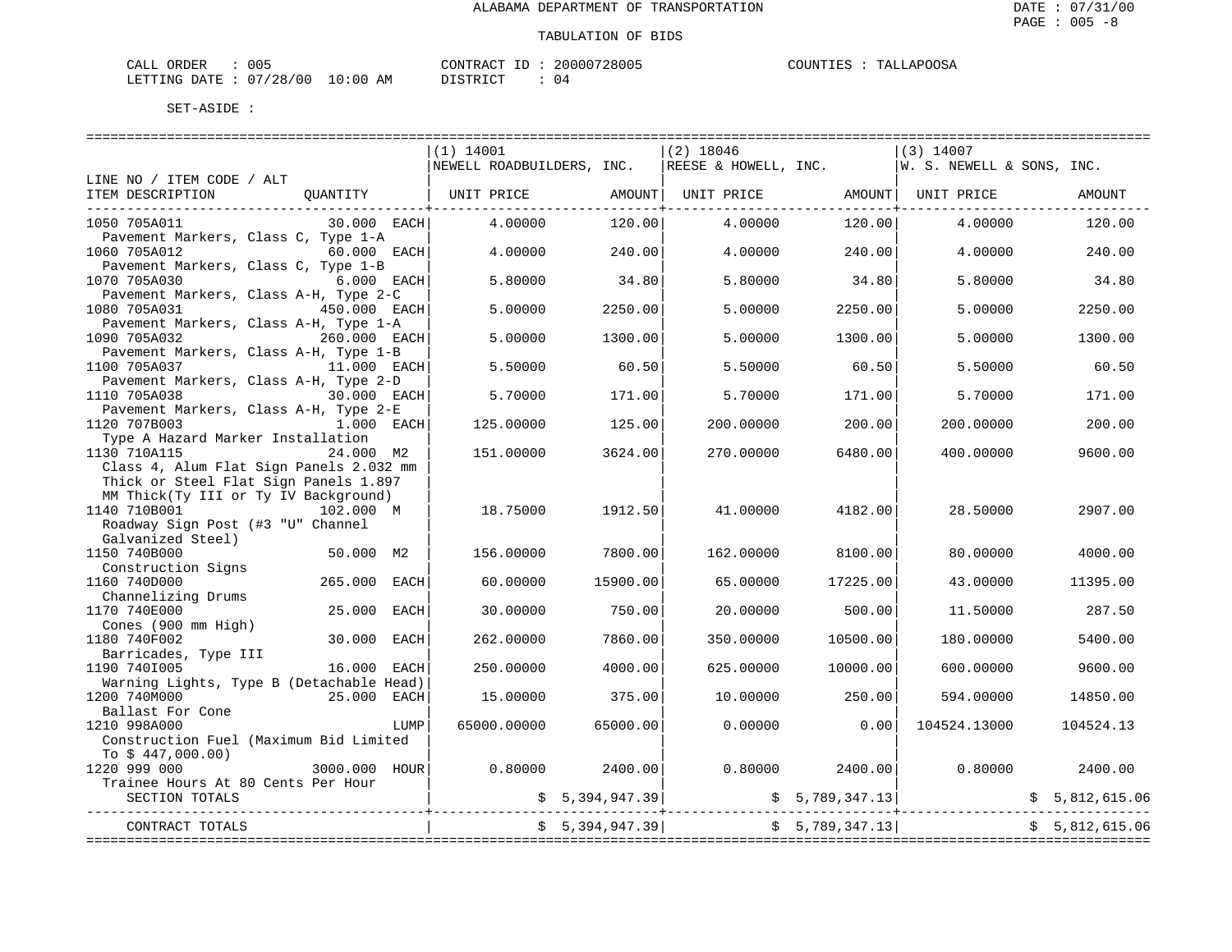| 005<br>ORDER<br>CALL                                          |             | CONTRAC<br>$- -$ | 20000728005 | <b>JAPOOSA</b><br>COUNT<br>┅ѧт<br>ن ط ط ا<br>,,,,,,, |
|---------------------------------------------------------------|-------------|------------------|-------------|------------------------------------------------------|
| $\sim$ $\sim$<br>/28/00<br>LETTING<br>DATE<br>$\cup$ $\prime$ | 10:00<br>ΆM | דת לידי את ה     | <b>17</b>   |                                                      |

STRICT : 04

|                                                                                     | $(1)$ 14001                                                              |                | $(2)$ 18046 |                 | $(3)$ 14007  |                |
|-------------------------------------------------------------------------------------|--------------------------------------------------------------------------|----------------|-------------|-----------------|--------------|----------------|
|                                                                                     | NEWELL ROADBUILDERS, INC. REESE & HOWELL, INC. W. S. NEWELL & SONS, INC. |                |             |                 |              |                |
| LINE NO / ITEM CODE / ALT                                                           |                                                                          |                |             |                 |              |                |
| ITEM DESCRIPTION QUANTITY   UNIT PRICE AMOUNT  UNIT PRICE AMOUNT  UNIT PRICE        |                                                                          |                |             |                 |              | AMOUNT         |
|                                                                                     |                                                                          |                |             |                 |              |                |
| 30.000 EACH<br>1050 705A011                                                         | 4.00000                                                                  | 120.00         | 4.00000     | 120.00          | 4.00000      | 120.00         |
| Pavement Markers, Class C, Type 1-A                                                 |                                                                          |                |             |                 |              |                |
| 1060 705A012<br>$60.000$ EACH                                                       | 4.00000                                                                  | 240.00         | 4.00000     | 240.00          | 4.00000      | 240.00         |
| Pavement Markers, Class C, Type 1-B                                                 |                                                                          |                |             |                 |              |                |
| 1070 705A030<br><b>6.000 EACH</b>                                                   | 5.80000                                                                  | 34.80          | 5.80000     | 34.80           | 5.80000      | 34.80          |
| Pavement Markers, Class A-H, Type 2-C                                               |                                                                          |                |             |                 |              |                |
| 450.000 EACH<br>1080 705A031                                                        | 5.00000                                                                  | 2250.00        | 5.00000     | 2250.00         | 5.00000      | 2250.00        |
| Pavement Markers, Class A-H, Type 1-A                                               |                                                                          |                |             |                 |              |                |
| 1090 705A032<br>260.000 EACH                                                        | 5.00000                                                                  | 1300.00        | 5.00000     | 1300.00         | 5.00000      | 1300.00        |
| Pavement Markers, Class A-H, Type 1-B                                               |                                                                          |                |             |                 |              |                |
| 1100 705A037<br>11.000 EACH                                                         | 5.50000                                                                  | 60.50          | 5.50000     | 60.50           | 5.50000      | 60.50          |
| Pavement Markers, Class A-H, Type 2-D                                               |                                                                          |                |             |                 |              |                |
| 1110 705A038<br>$30.000$ EACH                                                       | 5.70000                                                                  | 171.00         | 5.70000     | 171.00          | 5.70000      | 171.00         |
| Pavement Markers, Class A-H, Type 2-E                                               |                                                                          |                |             |                 |              |                |
| 1120 707B003<br>$1.000$ EACH                                                        | 125,00000                                                                | 125.00         | 200.00000   | 200.00          | 200.00000    | 200.00         |
|                                                                                     |                                                                          |                |             |                 |              |                |
| Type A Hazard Marker Installation                                                   |                                                                          |                |             |                 |              |                |
| 1130 710A115<br>24.000 M2                                                           | 151.00000                                                                | 3624.00        | 270.00000   | 6480.00         | 400.00000    | 9600.00        |
| Class 4, Alum Flat Sign Panels 2.032 mm                                             |                                                                          |                |             |                 |              |                |
| Thick or Steel Flat Sign Panels 1.897                                               |                                                                          |                |             |                 |              |                |
| MM Thick(Ty III or Ty IV Background)                                                |                                                                          |                |             |                 |              |                |
| 1140 710B001<br>102.000 M                                                           | 18.75000                                                                 | 1912.50        | 41.00000    | 4182.00         | 28.50000     | 2907.00        |
| Roadway Sign Post (#3 "U" Channel                                                   |                                                                          |                |             |                 |              |                |
| Galvanized Steel)                                                                   |                                                                          |                |             |                 |              |                |
| 1150 740B000<br>50.000 M2                                                           | 156.00000                                                                | 7800.00        | 162.00000   | 8100.00         | 80.00000     | 4000.00        |
| Construction Signs                                                                  |                                                                          |                |             |                 |              |                |
| 265.000 EACH<br>1160 740D000                                                        | 60,00000                                                                 | 15900.00       | 65,00000    | 17225.00        | 43.00000     | 11395.00       |
| Channelizing Drums                                                                  |                                                                          |                |             |                 |              |                |
| 1170 740E000<br>25.000 EACH                                                         | 30.00000                                                                 | 750.00         | 20,00000    | 500.00          | 11.50000     | 287.50         |
| Cones (900 mm High)                                                                 |                                                                          |                |             |                 |              |                |
| 1180 740F002<br>30.000 EACH                                                         | 262,00000                                                                | 7860.00        | 350.00000   | 10500.00        | 180.00000    | 5400.00        |
| Barricades, Type III                                                                |                                                                          |                |             |                 |              |                |
| 1190 7401005<br>16.000 EACH                                                         | 250.00000                                                                | 4000.00        | 625.00000   | 10000.00        | 600.00000    | 9600.00        |
| Warning Lights, Type B (Detachable Head)                                            |                                                                          |                |             |                 |              |                |
| 1200 740M000<br>25.000 EACH                                                         | 15.00000                                                                 | 375.00         | 10,00000    | 250.00          | 594.00000    | 14850.00       |
| Ballast For Cone                                                                    |                                                                          |                |             |                 |              |                |
| 1210 998A000<br>LUMP                                                                | 65000.00000                                                              | 65000.00       | 0.00000     | 0.00            | 104524.13000 | 104524.13      |
| Construction Fuel (Maximum Bid Limited                                              |                                                                          |                |             |                 |              |                |
|                                                                                     |                                                                          |                |             |                 |              |                |
| $T_0$ \$ 447,000.00)<br>$T_0$ \$ 447,000.00)<br>$T_0$ 3000.000 HOUR<br>1220 999 000 | 0.80000                                                                  | 2400.00        | 0.80000     | 2400.00         | 0.80000      | 2400.00        |
| Trainee Hours At 80 Cents Per Hour                                                  |                                                                          |                |             |                 |              |                |
| SECTION TOTALS                                                                      |                                                                          | \$5,394,947.39 |             | \$5,789,347.13] |              |                |
|                                                                                     |                                                                          |                | .           |                 |              |                |
| CONTRACT TOTALS                                                                     |                                                                          | \$5,394,947.39 |             | \$5,789,347.13] |              | \$5,812,615.06 |
|                                                                                     |                                                                          |                |             |                 |              |                |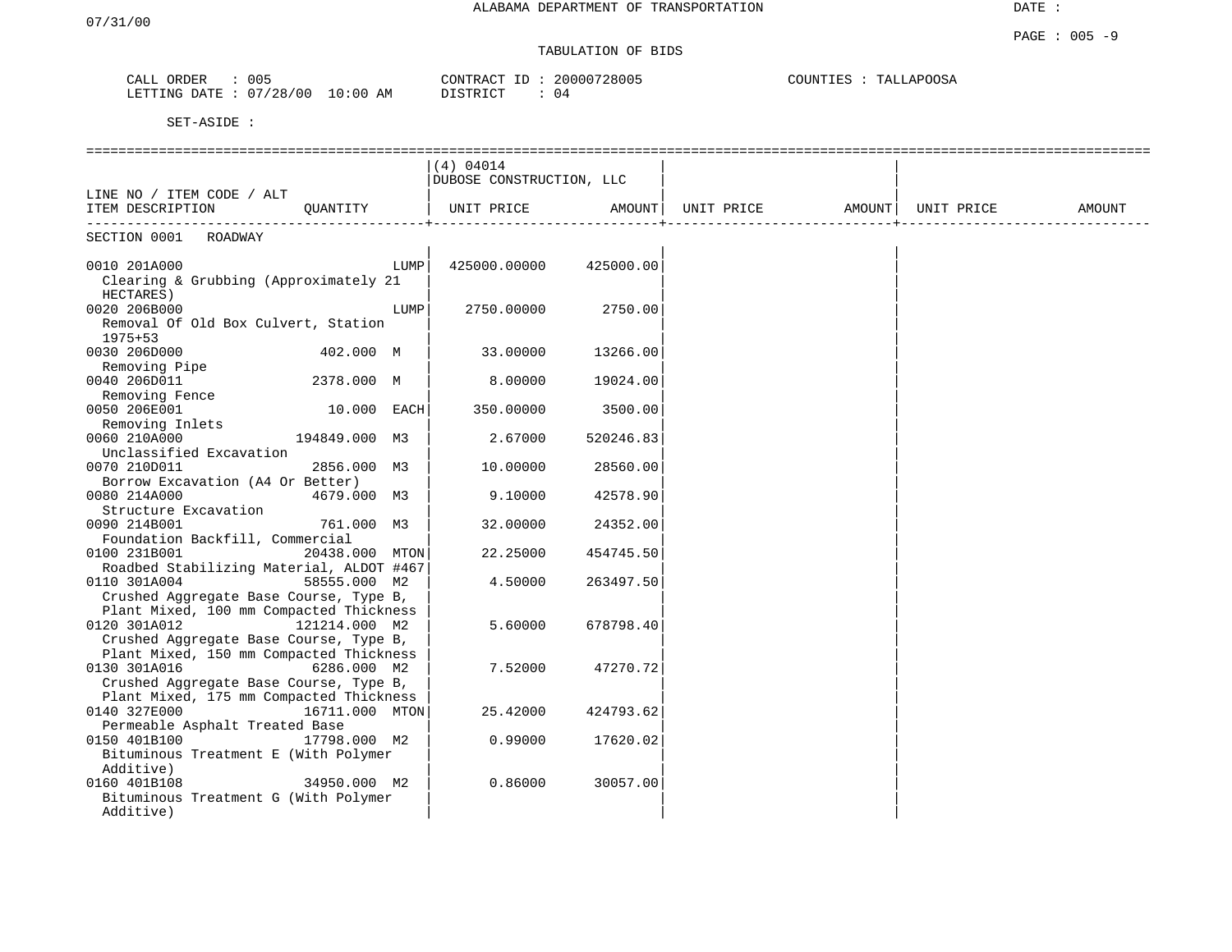# TABULATION OF BIDS

| ORDER<br>CALL  | 005      |            | CONTRACT ID | 20000728005 | COUNTIES<br>TALLAPOOSA |
|----------------|----------|------------|-------------|-------------|------------------------|
| LETTING DATE : | 07/28/00 | $10:00$ AM | DISTRICT    | 04          |                        |

|                                                                                   |                |      | (4) 04014                |           |                   |            |        |
|-----------------------------------------------------------------------------------|----------------|------|--------------------------|-----------|-------------------|------------|--------|
|                                                                                   |                |      | DUBOSE CONSTRUCTION, LLC |           |                   |            |        |
| LINE NO / ITEM CODE / ALT<br>ITEM DESCRIPTION                                     | QUANTITY       |      | UNIT PRICE               | AMOUNT    | UNIT PRICE AMOUNT | UNIT PRICE | AMOUNT |
|                                                                                   |                |      |                          |           |                   |            |        |
| SECTION 0001<br>ROADWAY                                                           |                |      |                          |           |                   |            |        |
| 0010 201A000                                                                      |                | LUMP | 425000.00000             | 425000.00 |                   |            |        |
| Clearing & Grubbing (Approximately 21                                             |                |      |                          |           |                   |            |        |
| HECTARES)                                                                         |                |      |                          |           |                   |            |        |
| 0020 206B000                                                                      |                | LUMP | 2750.00000               | 2750.00   |                   |            |        |
| Removal Of Old Box Culvert, Station<br>$1975 + 53$                                |                |      |                          |           |                   |            |        |
| 0030 206D000                                                                      | 402.000 M      |      | 33.00000                 | 13266.00  |                   |            |        |
| Removing Pipe                                                                     |                |      |                          |           |                   |            |        |
| 0040 206D011                                                                      | 2378.000 M     |      | 8.00000                  | 19024.00  |                   |            |        |
| Removing Fence                                                                    |                |      |                          |           |                   |            |        |
| 0050 206E001                                                                      | 10.000 EACH    |      | 350.00000                | 3500.00   |                   |            |        |
| Removing Inlets                                                                   |                |      |                          |           |                   |            |        |
| 0060 210A000<br>Unclassified Excavation                                           | 194849.000 M3  |      | 2.67000                  | 520246.83 |                   |            |        |
| 0070 210D011                                                                      | 2856.000 M3    |      | 10.00000                 | 28560.00  |                   |            |        |
| Borrow Excavation (A4 Or Better)                                                  |                |      |                          |           |                   |            |        |
| 0080 214A000                                                                      | 4679.000 M3    |      | 9.10000                  | 42578.90  |                   |            |        |
| Structure Excavation                                                              |                |      |                          |           |                   |            |        |
| 0090 214B001                                                                      | 761.000 M3     |      | 32.00000                 | 24352.00  |                   |            |        |
| Foundation Backfill, Commercial                                                   |                |      |                          |           |                   |            |        |
| 0100 231B001                                                                      | 20438.000 MTON |      | 22.25000                 | 454745.50 |                   |            |        |
| Roadbed Stabilizing Material, ALDOT #467<br>0110 301A004                          | 58555.000 M2   |      | 4.50000                  | 263497.50 |                   |            |        |
| Crushed Aggregate Base Course, Type B,                                            |                |      |                          |           |                   |            |        |
| Plant Mixed, 100 mm Compacted Thickness                                           |                |      |                          |           |                   |            |        |
| 0120 301A012                                                                      | 121214.000 M2  |      | 5.60000                  | 678798.40 |                   |            |        |
| Crushed Aggregate Base Course, Type B,                                            |                |      |                          |           |                   |            |        |
| Plant Mixed, 150 mm Compacted Thickness                                           |                |      |                          |           |                   |            |        |
| 0130 301A016                                                                      | 6286.000 M2    |      | 7.52000                  | 47270.72  |                   |            |        |
| Crushed Aggregate Base Course, Type B,<br>Plant Mixed, 175 mm Compacted Thickness |                |      |                          |           |                   |            |        |
| 0140 327E000                                                                      | 16711.000 MTON |      | 25.42000                 | 424793.62 |                   |            |        |
| Permeable Asphalt Treated Base                                                    |                |      |                          |           |                   |            |        |
| 0150 401B100                                                                      | 17798.000 M2   |      | 0.99000                  | 17620.02  |                   |            |        |
| Bituminous Treatment E (With Polymer                                              |                |      |                          |           |                   |            |        |
| Additive)                                                                         |                |      |                          |           |                   |            |        |
| 0160 401B108                                                                      | 34950.000 M2   |      | 0.86000                  | 30057.00  |                   |            |        |
| Bituminous Treatment G (With Polymer                                              |                |      |                          |           |                   |            |        |
| Additive)                                                                         |                |      |                          |           |                   |            |        |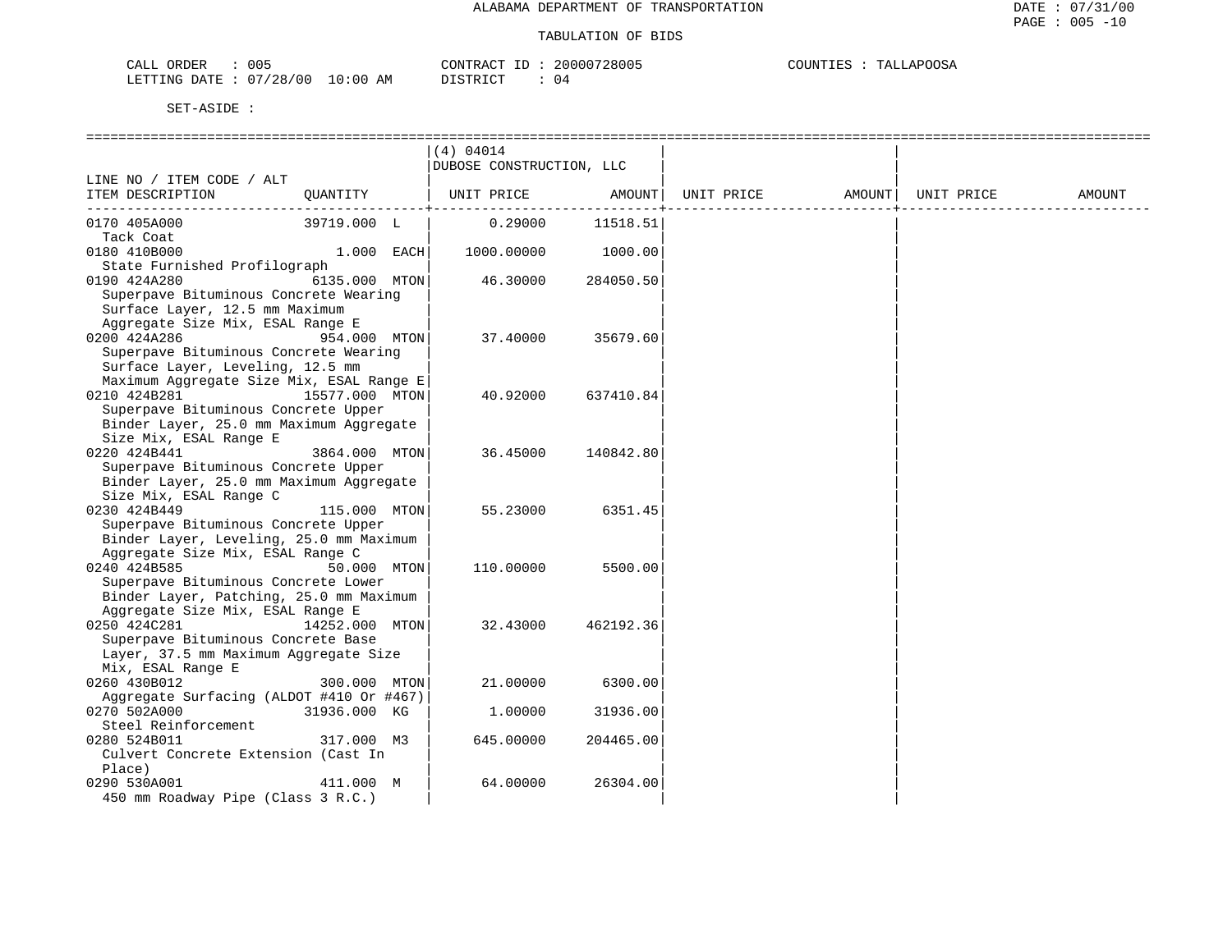| 005<br>ORDER<br>ىلىل                 |                   | $\lambda$ $\sim$<br>⊾ חידו חר<br>R A | '28005<br>20000 | POOSA<br>۰Δ.<br>$\overline{a}$ |
|--------------------------------------|-------------------|--------------------------------------|-----------------|--------------------------------|
| 28/00<br>$\cap$<br>LETTING DATE<br>u | . 0<br>AΜ<br>e na | ־ירחו                                | . 4             |                                |

|                                                                   |                | (4) 04014                |           |            |        |            |        |
|-------------------------------------------------------------------|----------------|--------------------------|-----------|------------|--------|------------|--------|
|                                                                   |                | DUBOSE CONSTRUCTION, LLC |           |            |        |            |        |
| LINE NO / ITEM CODE / ALT                                         |                |                          |           |            |        |            |        |
| ITEM DESCRIPTION                                                  | OUANTITY       | UNIT PRICE               | AMOUNT    | UNIT PRICE | AMOUNT | UNIT PRICE | AMOUNT |
| 0170 405A000                                                      | 39719.000 L    | 0.29000                  | 11518.51  |            |        |            |        |
| Tack Coat                                                         |                |                          |           |            |        |            |        |
| 0180 410B000                                                      | $1.000$ EACH   | 1000.00000               | 1000.00   |            |        |            |        |
| State Furnished Profilograph                                      |                |                          |           |            |        |            |        |
| 0190 424A280                                                      | 6135.000 MTON  | 46.30000                 | 284050.50 |            |        |            |        |
| Superpave Bituminous Concrete Wearing                             |                |                          |           |            |        |            |        |
| Surface Layer, 12.5 mm Maximum                                    |                |                          |           |            |        |            |        |
| Aggregate Size Mix, ESAL Range E                                  |                |                          |           |            |        |            |        |
| 0200 424A286                                                      | 954.000 MTON   | 37.40000                 | 35679.60  |            |        |            |        |
| Superpave Bituminous Concrete Wearing                             |                |                          |           |            |        |            |        |
| Surface Layer, Leveling, 12.5 mm                                  |                |                          |           |            |        |            |        |
| Maximum Aggregate Size Mix, ESAL Range E                          |                |                          |           |            |        |            |        |
| 0210 424B281                                                      | 15577.000 MTON | 40.92000                 | 637410.84 |            |        |            |        |
| Superpave Bituminous Concrete Upper                               |                |                          |           |            |        |            |        |
| Binder Layer, 25.0 mm Maximum Aggregate<br>Size Mix, ESAL Range E |                |                          |           |            |        |            |        |
| 0220 424B441                                                      | 3864.000 MTON  | 36.45000                 | 140842.80 |            |        |            |        |
| Superpave Bituminous Concrete Upper                               |                |                          |           |            |        |            |        |
| Binder Layer, 25.0 mm Maximum Aggregate                           |                |                          |           |            |        |            |        |
| Size Mix, ESAL Range C                                            |                |                          |           |            |        |            |        |
| 0230 424B449                                                      | 115.000 MTON   | 55.23000                 | 6351.45   |            |        |            |        |
| Superpave Bituminous Concrete Upper                               |                |                          |           |            |        |            |        |
| Binder Layer, Leveling, 25.0 mm Maximum                           |                |                          |           |            |        |            |        |
| Aggregate Size Mix, ESAL Range C                                  |                |                          |           |            |        |            |        |
| 0240 424B585                                                      | 50.000 MTON    | 110.00000                | 5500.00   |            |        |            |        |
| Superpave Bituminous Concrete Lower                               |                |                          |           |            |        |            |        |
| Binder Layer, Patching, 25.0 mm Maximum                           |                |                          |           |            |        |            |        |
| Aggregate Size Mix, ESAL Range E                                  |                |                          |           |            |        |            |        |
| 0250 424C281                                                      | 14252.000 MTON | 32.43000                 | 462192.36 |            |        |            |        |
| Superpave Bituminous Concrete Base                                |                |                          |           |            |        |            |        |
| Layer, 37.5 mm Maximum Aggregate Size                             |                |                          |           |            |        |            |        |
| Mix, ESAL Range E                                                 |                |                          |           |            |        |            |        |
| 0260 430B012<br>Aggregate Surfacing (ALDOT #410 Or #467)          | 300.000 MTON   | 21.00000                 | 6300.00   |            |        |            |        |
| 0270 502A000                                                      | 31936.000 KG   | 1,00000                  | 31936.00  |            |        |            |        |
| Steel Reinforcement                                               |                |                          |           |            |        |            |        |
| 0280 524B011                                                      | 317.000 M3     | 645.00000                | 204465.00 |            |        |            |        |
| Culvert Concrete Extension (Cast In                               |                |                          |           |            |        |            |        |
| Place)                                                            |                |                          |           |            |        |            |        |
| 0290 530A001                                                      | 411.000 M      | 64.00000                 | 26304.00  |            |        |            |        |
| 450 mm Roadway Pipe (Class 3 R.C.)                                |                |                          |           |            |        |            |        |
|                                                                   |                |                          |           |            |        |            |        |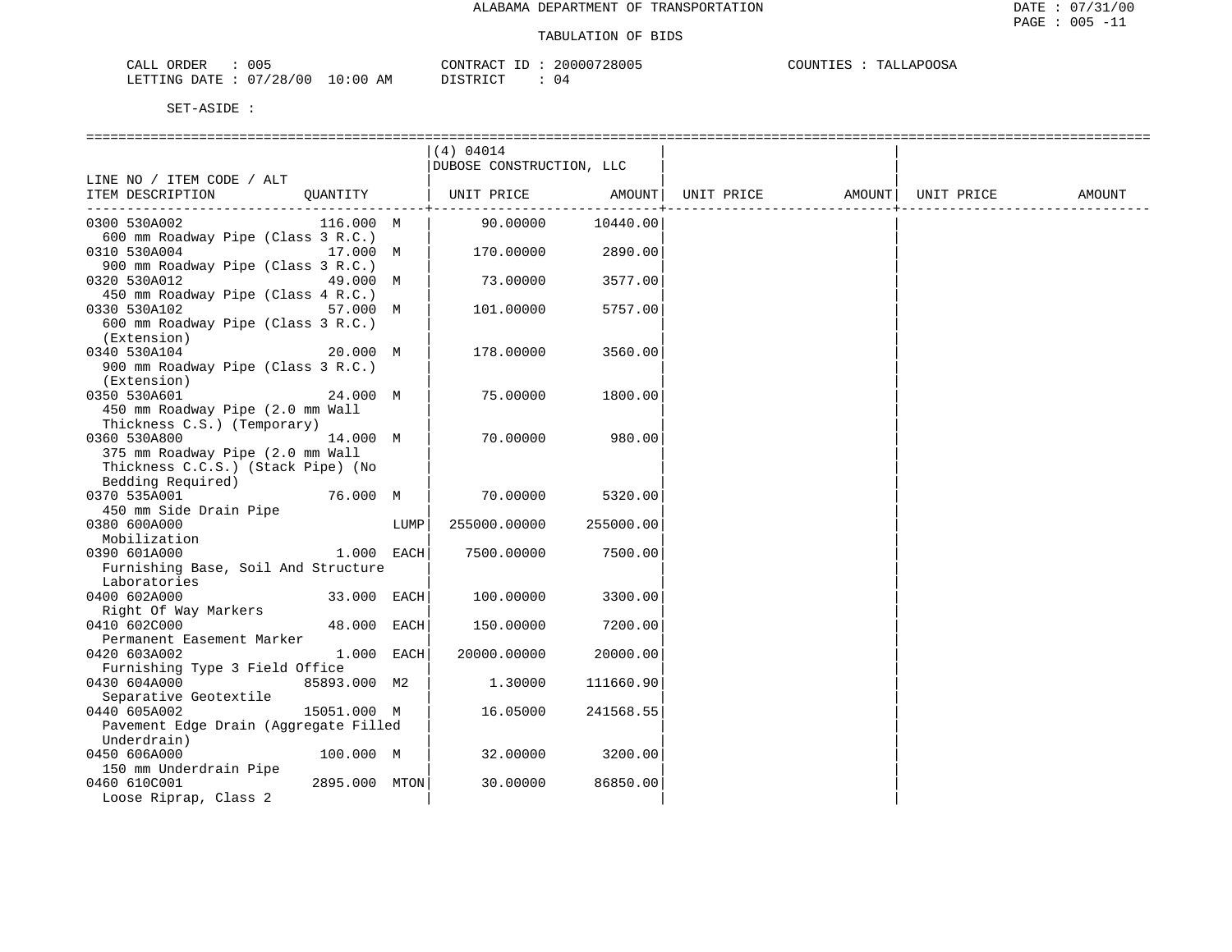| CALL ORDER                       | 005 |                        | CONTRACT ID: 20000728005 | COUNTIES | TALLAPOOSA |
|----------------------------------|-----|------------------------|--------------------------|----------|------------|
| LETTING DATE : 07/28/00 10:00 AM |     | ידי איד פידי את ה<br>. | 04                       |          |            |

|                                                                |      | (4) 04014                |           |                   |            |        |
|----------------------------------------------------------------|------|--------------------------|-----------|-------------------|------------|--------|
|                                                                |      | DUBOSE CONSTRUCTION, LLC |           |                   |            |        |
| LINE NO / ITEM CODE / ALT                                      |      |                          |           |                   |            |        |
| OUANTITY<br>ITEM DESCRIPTION                                   |      | UNIT PRICE AMOUNT        |           | UNIT PRICE AMOUNT | UNIT PRICE | AMOUNT |
|                                                                |      |                          |           |                   |            |        |
| 116.000 M<br>0300 530A002                                      |      | 90.00000                 | 10440.00  |                   |            |        |
| 600 mm Roadway Pipe (Class 3 R.C.)                             |      |                          |           |                   |            |        |
| 0310 530A004<br>17.000 M                                       |      | 170.00000                | 2890.00   |                   |            |        |
| 900 mm Roadway Pipe (Class 3 R.C.)                             |      |                          |           |                   |            |        |
| 0320 530A012<br>49.000 M                                       |      | 73.00000                 | 3577.00   |                   |            |        |
| 450 mm Roadway Pipe (Class 4 R.C.)                             |      |                          |           |                   |            |        |
| 0330 530A102<br>57.000 M                                       |      | 101.00000                | 5757.00   |                   |            |        |
| 600 mm Roadway Pipe (Class 3 R.C.)                             |      |                          |           |                   |            |        |
| (Extension)                                                    |      |                          |           |                   |            |        |
| 0340 530A104<br>20.000 M                                       |      | 178.00000                | 3560.00   |                   |            |        |
| 900 mm Roadway Pipe (Class 3 R.C.)                             |      |                          |           |                   |            |        |
| (Extension)                                                    |      |                          |           |                   |            |        |
| 0350 530A601<br>24.000 M                                       |      | 75.00000                 | 1800.00   |                   |            |        |
| 450 mm Roadway Pipe (2.0 mm Wall                               |      |                          |           |                   |            |        |
| Thickness C.S.) (Temporary)                                    |      |                          |           |                   |            |        |
| 14.000 M<br>0360 530A800                                       |      | 70.00000                 | 980.00    |                   |            |        |
| 375 mm Roadway Pipe (2.0 mm Wall                               |      |                          |           |                   |            |        |
| Thickness C.C.S.) (Stack Pipe) (No                             |      |                          |           |                   |            |        |
| Bedding Required)                                              |      |                          |           |                   |            |        |
| 76.000 M<br>0370 535A001                                       |      | 70.00000                 | 5320.00   |                   |            |        |
| 450 mm Side Drain Pipe                                         |      |                          |           |                   |            |        |
| 0380 600A000                                                   | LUMP | 255000.00000             | 255000.00 |                   |            |        |
| Mobilization                                                   |      |                          |           |                   |            |        |
| $1.000$ EACH<br>0390 601A000                                   |      | 7500.00000               | 7500.00   |                   |            |        |
| Furnishing Base, Soil And Structure                            |      |                          |           |                   |            |        |
| Laboratories                                                   |      |                          |           |                   |            |        |
| 0400 602A000<br>33.000 EACH                                    |      | 100.00000                | 3300.00   |                   |            |        |
| Right Of Way Markers                                           |      |                          |           |                   |            |        |
| 0410 602C000<br>48.000 EACH                                    |      | 150.00000                | 7200.00   |                   |            |        |
| Permanent Easement Marker<br>1.000 EACH                        |      |                          |           |                   |            |        |
| 0420 603A002                                                   |      | 20000.00000              | 20000.00  |                   |            |        |
| Furnishing Type 3 Field Office<br>0430 604A000<br>85893.000 M2 |      | 1.30000                  | 111660.90 |                   |            |        |
| Separative Geotextile                                          |      |                          |           |                   |            |        |
| 0440 605A002<br>15051.000 M                                    |      | 16.05000                 | 241568.55 |                   |            |        |
| Pavement Edge Drain (Aggregate Filled                          |      |                          |           |                   |            |        |
| Underdrain)                                                    |      |                          |           |                   |            |        |
| 0450 606A000<br>100.000 M                                      |      | 32.00000                 | 3200.00   |                   |            |        |
| 150 mm Underdrain Pipe                                         |      |                          |           |                   |            |        |
| 0460 610C001<br>2895.000 MTON                                  |      | 30.00000                 | 86850.00  |                   |            |        |
| Loose Riprap, Class 2                                          |      |                          |           |                   |            |        |
|                                                                |      |                          |           |                   |            |        |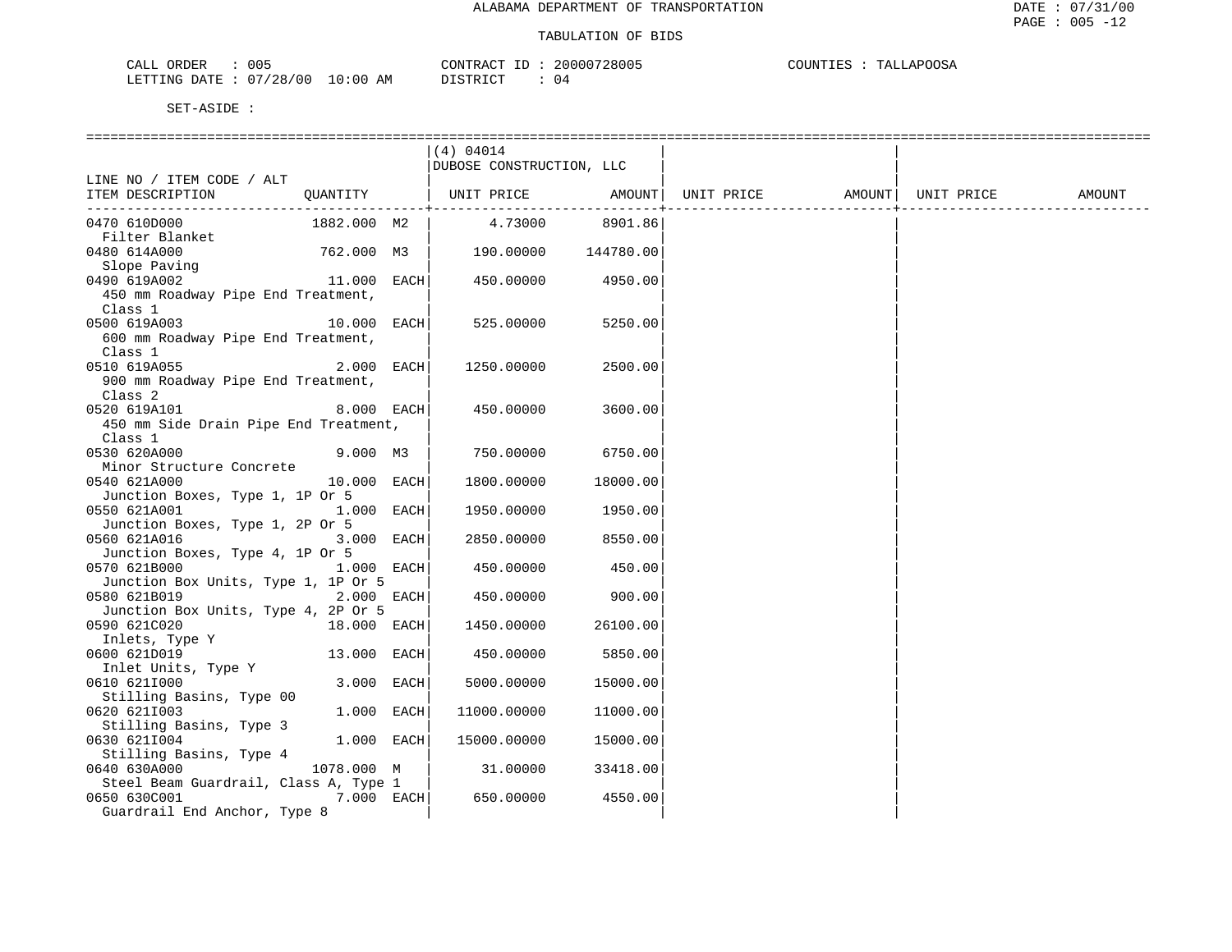| 005<br>ORDER<br>للطائب                                     |                      | $\Lambda$ א קידואי $\Lambda$ | 20000<br>$\sim$<br>つきけい<br>. | COIINT'<br>ח הדי<br>m <sub>n</sub><br><b>A</b> 1<br>. . |
|------------------------------------------------------------|----------------------|------------------------------|------------------------------|---------------------------------------------------------|
| 100<br>100<br>∩∆ጥቮ<br><b>DEEPTATO</b><br>NIC.<br>. н<br>28 | AΜ<br>' : 06<br>- 17 | . חידי                       | 4 ل                          |                                                         |

|                                                                                       |               | (4) 04014<br>DUBOSE CONSTRUCTION, LLC |                      |  |                    |        |
|---------------------------------------------------------------------------------------|---------------|---------------------------------------|----------------------|--|--------------------|--------|
| LINE NO / ITEM CODE / ALT                                                             |               |                                       |                      |  |                    |        |
| ITEM DESCRIPTION                                                                      | QUANTITY      | UNIT PRICE AMOUNT   UNIT PRICE        | -------------------- |  | AMOUNT  UNIT PRICE | AMOUNT |
| 0470 610D000                                                                          | 1882.000 M2   | 4.73000                               | 8901.86              |  |                    |        |
| Filter Blanket<br>0480 614A000                                                        |               | 762.000 M3   190.00000 144780.00      |                      |  |                    |        |
| Slope Paving<br>0490 619A002                                                          | $11.000$ EACH | 450.00000                             | 4950.00              |  |                    |        |
| 450 mm Roadway Pipe End Treatment,<br>Class 1                                         |               |                                       |                      |  |                    |        |
| $10.000$ EACH<br>0500 619A003                                                         |               | 525.00000                             | 5250.00              |  |                    |        |
| 600 mm Roadway Pipe End Treatment,<br>Class 1                                         |               |                                       |                      |  |                    |        |
| 0510 619A055                                                                          | 2.000 EACH    | 1250.00000                            | 2500.00              |  |                    |        |
| 900 mm Roadway Pipe End Treatment,<br>Class 2                                         |               |                                       |                      |  |                    |        |
| 0520 619A101                                                                          | 8.000 EACH    | 450.00000                             | 3600.00              |  |                    |        |
| 450 mm Side Drain Pipe End Treatment,                                                 |               |                                       |                      |  |                    |        |
| Class 1<br>0530 620A000                                                               | 9.000 M3      |                                       |                      |  |                    |        |
| Minor Structure Concrete                                                              |               | 750.00000                             | 6750.00              |  |                    |        |
| 0540 621A000                                                                          | 10.000 EACH   | 1800.00000                            | 18000.00             |  |                    |        |
| Junction Boxes, Type 1, 1P Or 5                                                       |               |                                       |                      |  |                    |        |
| 0550 621A001<br>$1.000$ EACH                                                          |               | 1950.00000                            | 1950.00              |  |                    |        |
| Junction Boxes, Type 1, 2P Or 5                                                       | 3.000 EACH    |                                       |                      |  |                    |        |
| 0560 621A016<br>Junction Boxes, Type 4, 1P Or 5                                       |               | 2850.00000                            | 8550.00              |  |                    |        |
| 0570 621B000<br>1.000 EACH                                                            |               | 450.00000                             | 450.00               |  |                    |        |
| Junction Box Units, Type 1, 1P Or 5                                                   |               |                                       |                      |  |                    |        |
| $2.000$ EACH<br>0580 621B019                                                          |               | 450.00000                             | 900.00               |  |                    |        |
| Junction Box Units, Type 4, 2P Or 5<br>0590 621C020                                   | 18.000 EACH   |                                       | 26100.00             |  |                    |        |
| Inlets, Type Y                                                                        |               | 1450.00000                            |                      |  |                    |        |
| 0600 621D019                                                                          | 13.000 EACH   | 450.00000                             | 5850.00              |  |                    |        |
| Inlet Units, Type Y                                                                   |               |                                       |                      |  |                    |        |
| 0610 6211000                                                                          | 3.000 EACH    | 5000.00000                            | 15000.00             |  |                    |        |
| Stilling Basins, Type 00<br>0620 621I003                                              | 1.000 EACH    | 11000.00000                           | 11000.00             |  |                    |        |
| Stilling Basins, Type 3<br>0630 6211004<br>Stilling Basins, Type 4                    | 1.000 EACH    | 15000.00000                           | 15000.00             |  |                    |        |
| 0640 630A000                                                                          | 1078.000 M    | 31.00000                              | 33418.00             |  |                    |        |
| Steel Beam Guardrail, Class A, Type 1<br>0650 630C001<br>Guardrail End Anchor, Type 8 | $7.000$ EACH  | 650.00000                             | 4550.00              |  |                    |        |
|                                                                                       |               |                                       |                      |  |                    |        |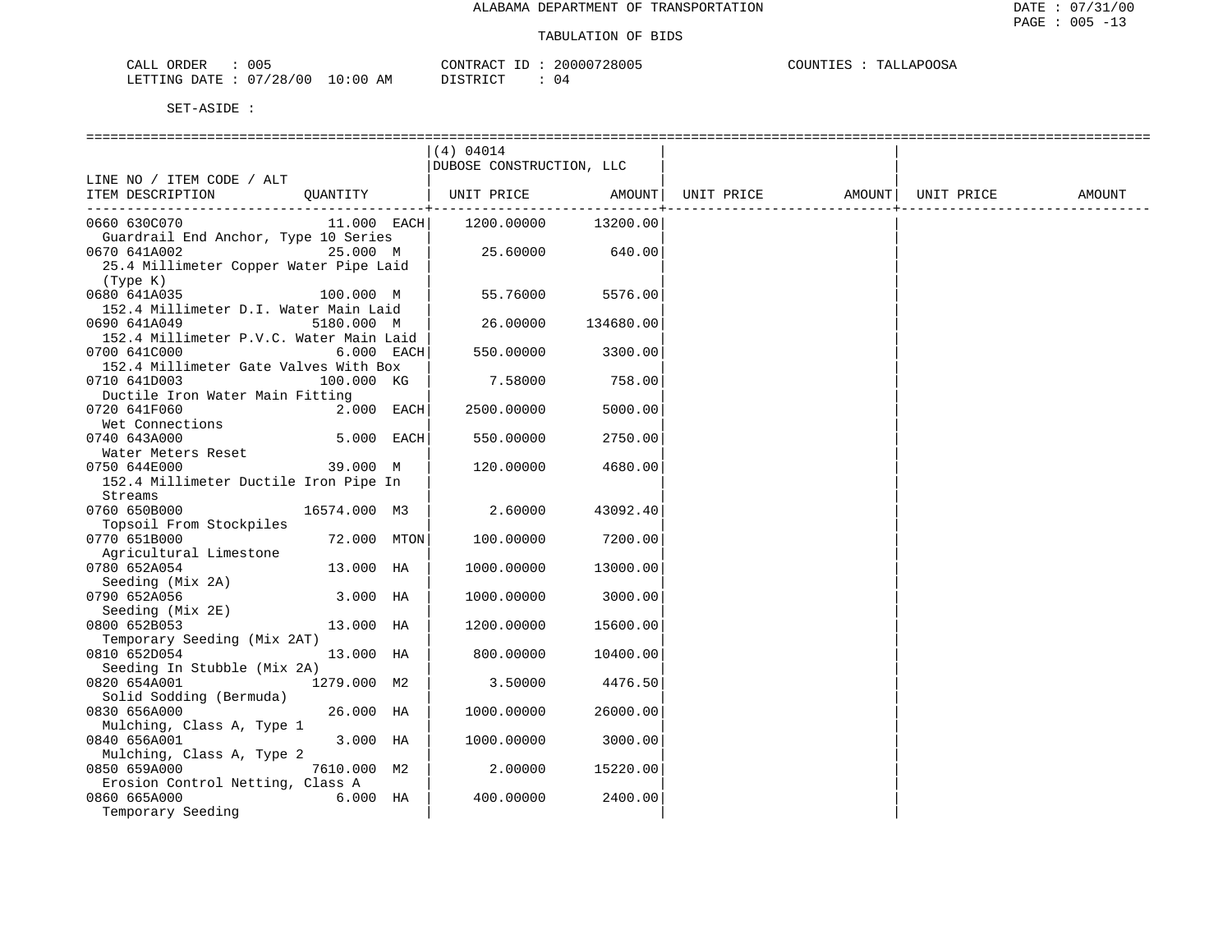| CALL ORDER             | 005 |            | CONTRACT<br>ID  | 20000728005 | TALLAPOOSA<br>COUNTIES |
|------------------------|-----|------------|-----------------|-------------|------------------------|
| LETTING DATE: 07/28/00 |     | $10:00$ AM | <b>DISTRICT</b> |             |                        |

|                                         |              | (4) 04014                |           |            |        |            |        |
|-----------------------------------------|--------------|--------------------------|-----------|------------|--------|------------|--------|
|                                         |              | DUBOSE CONSTRUCTION, LLC |           |            |        |            |        |
| LINE NO / ITEM CODE / ALT               |              |                          |           |            |        |            |        |
| ITEM DESCRIPTION                        | OUANTITY     | UNIT PRICE               | AMOUNT    | UNIT PRICE | AMOUNT | UNIT PRICE | AMOUNT |
|                                         |              |                          |           |            |        |            |        |
| 0660 630C070                            | 11.000 EACH  | 1200.00000               | 13200.00  |            |        |            |        |
| Guardrail End Anchor, Type 10 Series    |              |                          |           |            |        |            |        |
| 0670 641A002                            | 25.000 M     | 25.60000                 | 640.00    |            |        |            |        |
| 25.4 Millimeter Copper Water Pipe Laid  |              |                          |           |            |        |            |        |
| (Type K)                                |              |                          |           |            |        |            |        |
| 0680 641A035                            | 100.000 M    | 55.76000                 | 5576.00   |            |        |            |        |
| 152.4 Millimeter D.I. Water Main Laid   |              |                          |           |            |        |            |        |
| 0690 641A049                            | 5180.000 M   | 26.00000                 | 134680.00 |            |        |            |        |
| 152.4 Millimeter P.V.C. Water Main Laid |              |                          |           |            |        |            |        |
| 0700 641C000                            | 6.000 EACH   | 550.00000                | 3300.00   |            |        |            |        |
| 152.4 Millimeter Gate Valves With Box   |              |                          |           |            |        |            |        |
| 0710 641D003                            | 100.000 KG   | 7.58000                  | 758.00    |            |        |            |        |
| Ductile Iron Water Main Fitting         |              |                          |           |            |        |            |        |
| 0720 641F060                            | 2.000 EACH   | 2500.00000               | 5000.00   |            |        |            |        |
| Wet Connections                         |              |                          |           |            |        |            |        |
| 0740 643A000                            | 5.000 EACH   | 550.00000                | 2750.00   |            |        |            |        |
| Water Meters Reset                      |              |                          |           |            |        |            |        |
| 0750 644E000                            | 39.000 M     | 120.00000                | 4680.00   |            |        |            |        |
| 152.4 Millimeter Ductile Iron Pipe In   |              |                          |           |            |        |            |        |
| Streams                                 |              |                          |           |            |        |            |        |
| 0760 650B000                            | 16574.000 M3 | 2.60000                  | 43092.40  |            |        |            |        |
| Topsoil From Stockpiles                 |              |                          |           |            |        |            |        |
| 0770 651B000                            | 72.000 MTON  | 100.00000                | 7200.00   |            |        |            |        |
| Agricultural Limestone                  |              |                          |           |            |        |            |        |
| 0780 652A054                            | 13.000 HA    | 1000.00000               | 13000.00  |            |        |            |        |
|                                         |              |                          |           |            |        |            |        |
| Seeding (Mix 2A)<br>0790 652A056        | 3.000 HA     | 1000.00000               | 3000.00   |            |        |            |        |
|                                         |              |                          |           |            |        |            |        |
| Seeding (Mix 2E)                        |              |                          |           |            |        |            |        |
| 0800 652B053                            | 13.000 HA    | 1200.00000               | 15600.00  |            |        |            |        |
| Temporary Seeding (Mix 2AT)             |              |                          |           |            |        |            |        |
| 0810 652D054                            | 13.000 HA    | 800.00000                | 10400.00  |            |        |            |        |
| Seeding In Stubble (Mix 2A)             |              |                          |           |            |        |            |        |
| 0820 654A001                            | 1279.000 M2  | 3.50000                  | 4476.50   |            |        |            |        |
| Solid Sodding (Bermuda)                 |              |                          |           |            |        |            |        |
| 0830 656A000                            | 26.000 HA    | 1000.00000               | 26000.00  |            |        |            |        |
| Mulching, Class A, Type 1               |              |                          |           |            |        |            |        |
| 0840 656A001                            | 3.000 HA     | 1000.00000               | 3000.00   |            |        |            |        |
| Mulching, Class A, Type 2               |              |                          |           |            |        |            |        |
| 0850 659A000                            | 7610.000 M2  | 2,00000                  | 15220.00  |            |        |            |        |
| Erosion Control Netting, Class A        |              |                          |           |            |        |            |        |
| 0860 665A000                            | $6.000$ HA   | 400.00000                | 2400.00   |            |        |            |        |
| Temporary Seeding                       |              |                          |           |            |        |            |        |
|                                         |              |                          |           |            |        |            |        |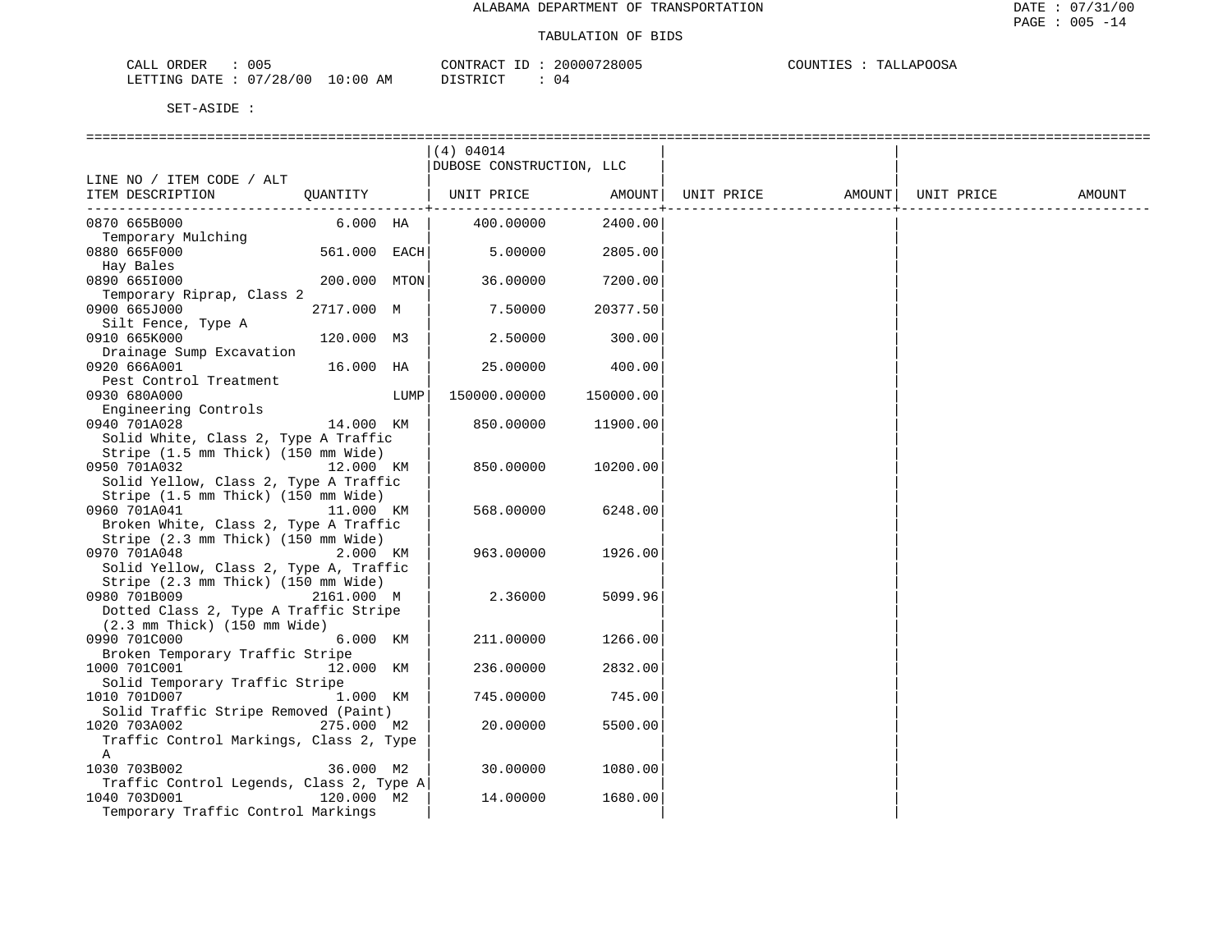| 005<br>ORDER<br>CALL   |            | CONTRACT<br>ID | 20000728005 | TALLAPOOSA<br>COUNTIES |
|------------------------|------------|----------------|-------------|------------------------|
| LETTING DATE: 07/28/00 | $10:00$ AM | DISTRICT       | 04          |                        |

|                                                        |              |      | (4) 04014                |           |            |        |            |        |
|--------------------------------------------------------|--------------|------|--------------------------|-----------|------------|--------|------------|--------|
|                                                        |              |      | DUBOSE CONSTRUCTION, LLC |           |            |        |            |        |
| LINE NO / ITEM CODE / ALT                              |              |      |                          |           |            |        |            |        |
| ITEM DESCRIPTION                                       | QUANTITY     |      | UNIT PRICE               | AMOUNT    | UNIT PRICE | AMOUNT | UNIT PRICE | AMOUNT |
| 0870 665B000                                           | $6.000$ HA   |      | 400.00000                | 2400.00   |            |        |            |        |
| Temporary Mulching                                     |              |      |                          |           |            |        |            |        |
| 0880 665F000                                           | 561.000 EACH |      | 5.00000                  | 2805.00   |            |        |            |        |
| Hay Bales                                              |              |      |                          |           |            |        |            |        |
| 0890 6651000                                           | 200.000 MTON |      | 36.00000                 | 7200.00   |            |        |            |        |
| Temporary Riprap, Class 2                              |              |      |                          |           |            |        |            |        |
| 0900 665J000                                           | 2717.000 M   |      | 7.50000                  | 20377.50  |            |        |            |        |
| Silt Fence, Type A                                     |              |      |                          |           |            |        |            |        |
| 0910 665K000<br>Drainage Sump Excavation               | 120.000 M3   |      | 2.50000                  | 300.00    |            |        |            |        |
| 0920 666A001                                           | 16.000 HA    |      | 25.00000                 | 400.00    |            |        |            |        |
| Pest Control Treatment                                 |              |      |                          |           |            |        |            |        |
| 0930 680A000                                           |              | LUMP | 150000.00000             | 150000.00 |            |        |            |        |
| Engineering Controls                                   |              |      |                          |           |            |        |            |        |
| 0940 701A028                                           | 14.000 KM    |      | 850.00000                | 11900.00  |            |        |            |        |
| Solid White, Class 2, Type A Traffic                   |              |      |                          |           |            |        |            |        |
| Stripe (1.5 mm Thick) (150 mm Wide)                    |              |      |                          |           |            |        |            |        |
| 0950 701A032                                           | 12.000 KM    |      | 850.00000                | 10200.00  |            |        |            |        |
| Solid Yellow, Class 2, Type A Traffic                  |              |      |                          |           |            |        |            |        |
| Stripe (1.5 mm Thick) (150 mm Wide)                    |              |      |                          |           |            |        |            |        |
| 0960 701A041                                           | 11.000 KM    |      | 568.00000                | 6248.00   |            |        |            |        |
| Broken White, Class 2, Type A Traffic                  |              |      |                          |           |            |        |            |        |
| Stripe (2.3 mm Thick) (150 mm Wide)                    |              |      |                          |           |            |        |            |        |
| 0970 701A048<br>Solid Yellow, Class 2, Type A, Traffic | 2.000 KM     |      | 963.00000                | 1926.00   |            |        |            |        |
| Stripe (2.3 mm Thick) (150 mm Wide)                    |              |      |                          |           |            |        |            |        |
| 0980 701B009                                           | 2161.000 M   |      | 2.36000                  | 5099.96   |            |        |            |        |
| Dotted Class 2, Type A Traffic Stripe                  |              |      |                          |           |            |        |            |        |
| $(2.3 \text{ mm}$ Thick) $(150 \text{ mm}$ Wide)       |              |      |                          |           |            |        |            |        |
| 0990 701C000                                           | 6.000 KM     |      | 211,00000                | 1266.00   |            |        |            |        |
| Broken Temporary Traffic Stripe                        |              |      |                          |           |            |        |            |        |
| 1000 701C001                                           | 12.000 KM    |      | 236.00000                | 2832.00   |            |        |            |        |
| Solid Temporary Traffic Stripe                         |              |      |                          |           |            |        |            |        |
| 1010 701D007                                           | 1.000 KM     |      | 745.00000                | 745.00    |            |        |            |        |
| Solid Traffic Stripe Removed (Paint)                   |              |      |                          |           |            |        |            |        |
| 1020 703A002                                           | 275.000 M2   |      | 20.00000                 | 5500.00   |            |        |            |        |
| Traffic Control Markings, Class 2, Type<br>Α           |              |      |                          |           |            |        |            |        |
| 1030 703B002                                           | 36.000 M2    |      | 30.00000                 | 1080.00   |            |        |            |        |
| Traffic Control Legends, Class 2, Type A               |              |      |                          |           |            |        |            |        |
| 1040 703D001                                           | 120.000 M2   |      | 14.00000                 | 1680.00   |            |        |            |        |
| Temporary Traffic Control Markings                     |              |      |                          |           |            |        |            |        |
|                                                        |              |      |                          |           |            |        |            |        |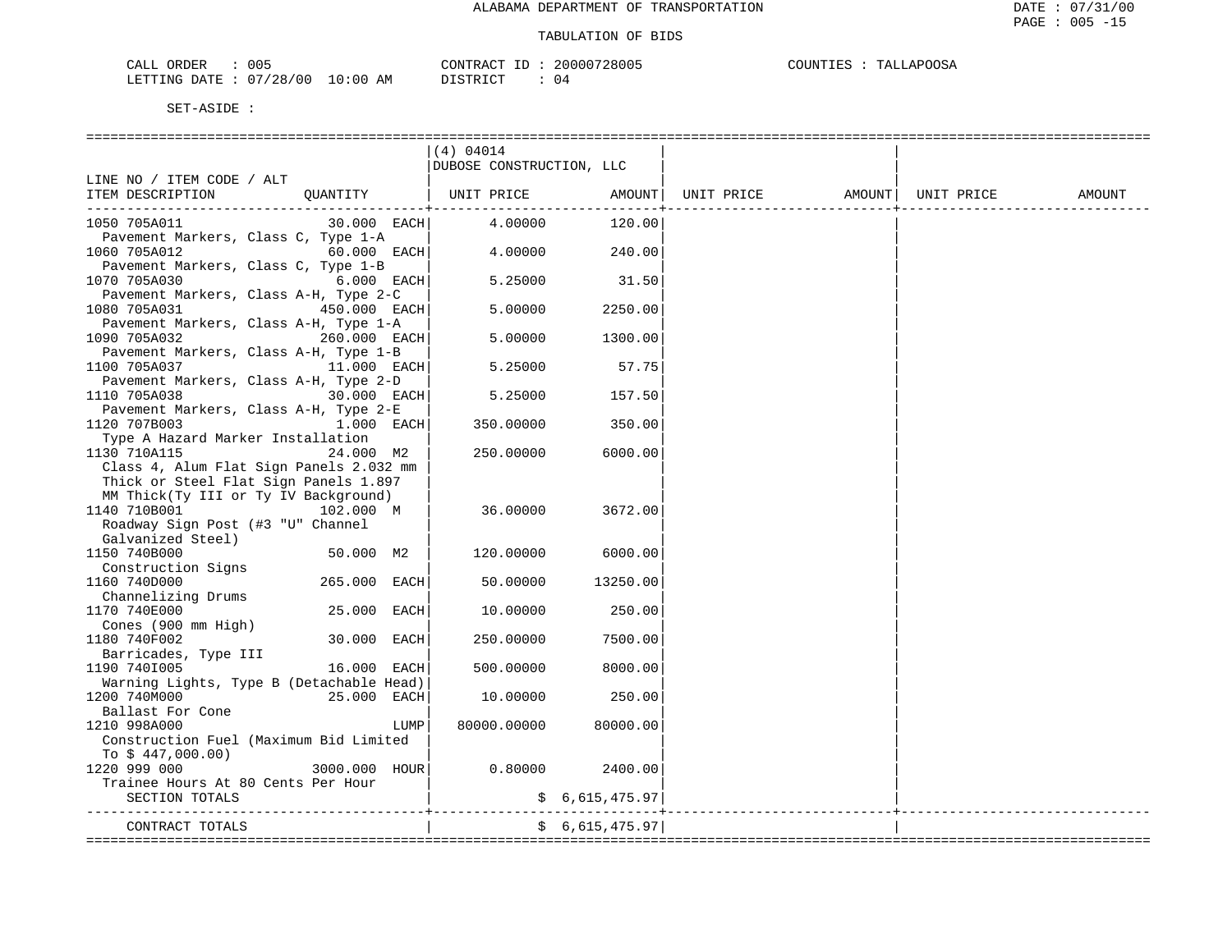| ORDER<br>CALL   | 005                       |                   | <b>CONTRAL</b>  | 20000728005 | COUNTI<br>. | J.APOOSA<br>┅ѧт |
|-----------------|---------------------------|-------------------|-----------------|-------------|-------------|-----------------|
| DATE<br>LETTING | 07<br>/28/00<br><u>U.</u> | 10:00<br>AM<br>__ | <b>דים דמיי</b> | U           |             |                 |

|                                                        | (4) 04014                |                |  |        |
|--------------------------------------------------------|--------------------------|----------------|--|--------|
|                                                        | DUBOSE CONSTRUCTION, LLC |                |  |        |
| LINE NO / ITEM CODE / ALT                              |                          |                |  |        |
| ITEM DESCRIPTION                                       |                          |                |  | AMOUNT |
|                                                        |                          |                |  |        |
| 30.000 EACH 4.00000<br>1050 705A011                    |                          | 120.00         |  |        |
| Pavement Markers, Class C, Type 1-A                    |                          |                |  |        |
| $60.000$ EACH<br>1060 705A012                          | $4.00000$ 240.00         |                |  |        |
| Pavement Markers, Class C, Type 1-B                    |                          |                |  |        |
| $6.000$ EACH<br>1070 705A030                           | 5.25000                  | 31.50          |  |        |
| Pavement Markers, Class A-H, Type 2-C                  |                          |                |  |        |
| 450.000 EACH<br>1080 705A031                           | 5.00000                  | 2250.00        |  |        |
| Pavement Markers, Class A-H, Type 1-A                  |                          |                |  |        |
| 260.000 EACH<br>1090 705A032                           | 5.00000                  | 1300.00        |  |        |
| Pavement Markers, Class A-H, Type 1-B                  |                          |                |  |        |
| 11.000 EACH<br>1100 705A037                            | 5.25000                  | 57.75          |  |        |
| Pavement Markers, Class A-H, Type 2-D                  |                          |                |  |        |
| 30.000 EACH<br>1110 705A038                            | 5.25000                  | 157.50         |  |        |
| Pavement Markers, Class A-H, Type 2-E                  |                          |                |  |        |
| 1.000 EACH<br>1120 707B003                             | 350.00000                | 350.00         |  |        |
| Type A Hazard Marker Installation                      |                          |                |  |        |
| 1130 710A115<br>24.000 M2                              | 250.00000                | 6000.00        |  |        |
| Class 4, Alum Flat Sign Panels 2.032 mm                |                          |                |  |        |
| Thick or Steel Flat Sign Panels 1.897                  |                          |                |  |        |
| MM Thick(Ty III or Ty IV Background)                   |                          |                |  |        |
| 1140 710B001<br>102.000 M                              | 36.00000                 | 3672.00        |  |        |
| Roadway Sign Post (#3 "U" Channel                      |                          |                |  |        |
| Galvanized Steel)                                      |                          |                |  |        |
| 50.000 M2<br>1150 740B000                              | 120.00000                | 6000.00        |  |        |
| Construction Signs                                     |                          |                |  |        |
| 1160 740D000<br>265.000 EACH                           | 50.00000                 | 13250.00       |  |        |
| Channelizing Drums                                     |                          |                |  |        |
| 25.000 EACH<br>1170 740E000                            | 10.00000                 | 250.00         |  |        |
| Cones (900 mm High)                                    |                          | 7500.00        |  |        |
| 1180 740F002<br>30.000 EACH                            | 250.00000                |                |  |        |
| Barricades, Type III<br>16.000<br>1190 7401005<br>EACH | 500.00000                | 8000.00        |  |        |
| Warning Lights, Type B (Detachable Head)               |                          |                |  |        |
| 1200 740M000<br>25.000 EACH                            | 10.00000                 | 250.00         |  |        |
| Ballast For Cone                                       |                          |                |  |        |
| 1210 998A000<br>LUMP                                   | 80000.00000              | 80000.00       |  |        |
| Construction Fuel (Maximum Bid Limited                 |                          |                |  |        |
| To $$447,000.00)$                                      |                          |                |  |        |
| 3000.000 HOUR<br>1220 999 000                          | 0.80000                  | 2400.00        |  |        |
| Trainee Hours At 80 Cents Per Hour                     |                          |                |  |        |
| SECTION TOTALS                                         |                          | \$6,615,475.97 |  |        |
|                                                        |                          |                |  |        |
| CONTRACT TOTALS                                        |                          | \$6.615.475.97 |  |        |
|                                                        | -------------------      |                |  |        |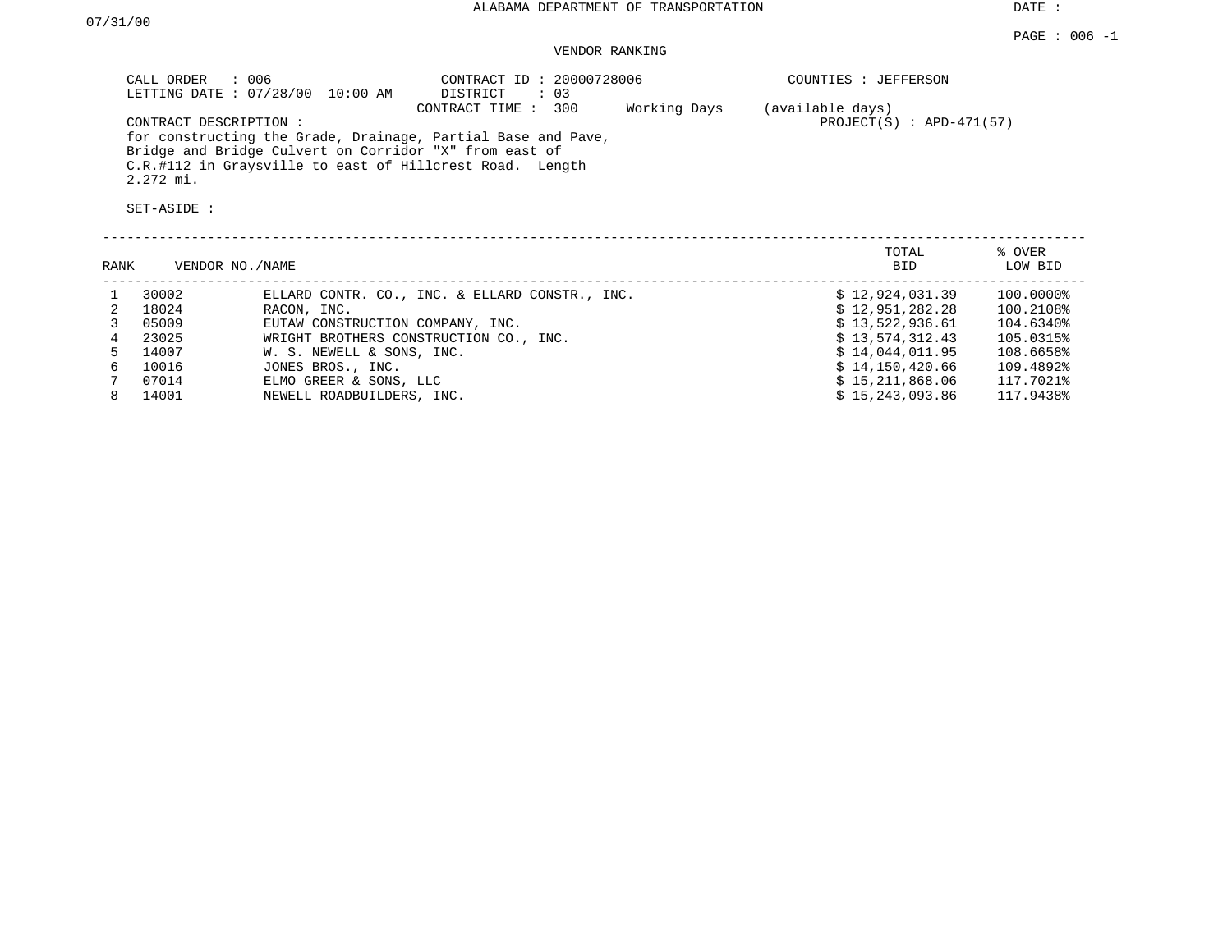DATE :

## VENDOR RANKING

| CALL ORDER : 006<br>LETTING DATE : 07/28/00 10:00 AM | CONTRACT ID: 20000728006<br>: 0.3<br>DISTRICT                                                                          |              | COUNTIES : JEFFERSON                           |
|------------------------------------------------------|------------------------------------------------------------------------------------------------------------------------|--------------|------------------------------------------------|
| CONTRACT DESCRIPTION:                                | CONTRACT TIME : 300                                                                                                    | Working Days | (available days)<br>$PROJECT(S)$ : APD-471(57) |
|                                                      | for constructing the Grade, Drainage, Partial Base and Pave,<br>Bridge and Bridge Culvert on Corridor "X" from east of |              |                                                |
| 2.272 mi.                                            | C.R.#112 in Graysville to east of Hillcrest Road. Length                                                               |              |                                                |
| SET-ASIDE :                                          |                                                                                                                        |              |                                                |

| RANK |       | VENDOR NO./NAME                                | TOTAL<br><b>BID</b> | % OVER<br>LOW BID |
|------|-------|------------------------------------------------|---------------------|-------------------|
|      | 30002 | ELLARD CONTR. CO., INC. & ELLARD CONSTR., INC. | \$12,924,031.39     | 100.0000%         |
|      | 18024 | RACON, INC.                                    | \$12,951,282.28     | 100.2108%         |
|      | 05009 | EUTAW CONSTRUCTION COMPANY, INC.               | \$13,522,936.61     | 104.6340%         |
|      | 23025 | WRIGHT BROTHERS CONSTRUCTION CO., INC.         | \$13.574.312.43     | 105.0315%         |
|      | 14007 | W. S. NEWELL & SONS, INC.                      | \$14,044,011.95     | 108.6658%         |
| 6    | 10016 | JONES BROS., INC.                              | \$14,150,420.66     | 109.4892%         |
|      | 07014 | ELMO GREER & SONS, LLC                         | \$15,211,868.06     | 117.7021%         |
|      | 14001 | NEWELL ROADBUILDERS, INC.                      | \$15.243.093.86     | 117.9438%         |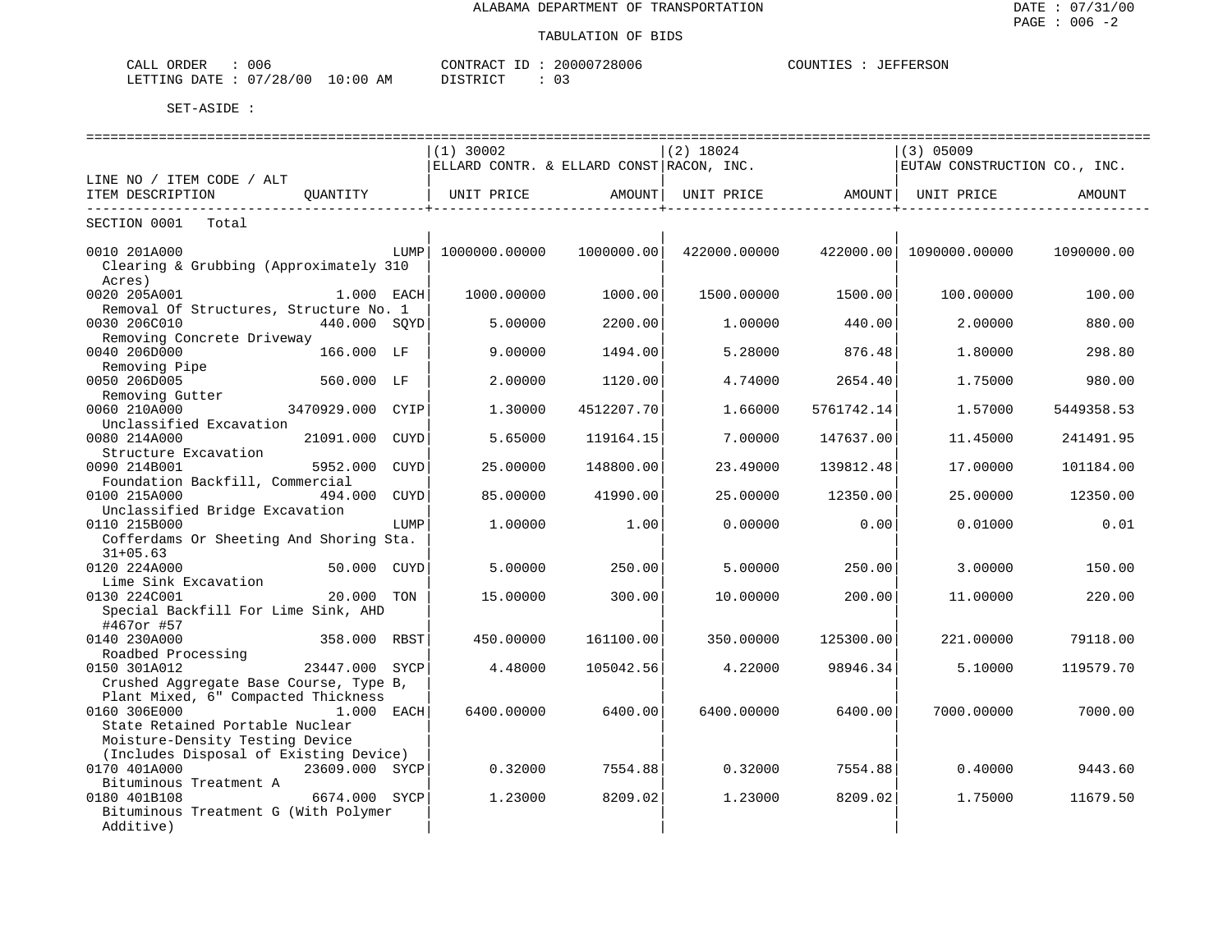| 006<br>ORDER<br>CALL     |             | CONTRACT         | 20000728006           | JEFFERSON<br>COUNTIES |
|--------------------------|-------------|------------------|-----------------------|-----------------------|
| 07/28/00<br>LETTING DATE | 10:00<br>ΑM | ידי איד אידי דרי | $\sim$<br><u>U – </u> |                       |

| ===============================                  |                  |             | =============================            |            | ================================ |            | =========================    |            |
|--------------------------------------------------|------------------|-------------|------------------------------------------|------------|----------------------------------|------------|------------------------------|------------|
|                                                  |                  |             | $(1)$ 30002                              |            | $(2)$ 18024                      |            | $(3)$ 05009                  |            |
|                                                  |                  |             | ELLARD CONTR. & ELLARD CONST RACON, INC. |            |                                  |            | EUTAW CONSTRUCTION CO., INC. |            |
| LINE NO / ITEM CODE / ALT                        |                  |             |                                          |            |                                  |            |                              |            |
| ITEM DESCRIPTION                                 | OUANTITY         |             | UNIT PRICE                               | AMOUNT     | UNIT PRICE AMOUNT                |            | UNIT PRICE                   | AMOUNT     |
| SECTION 0001<br>Total                            |                  |             |                                          |            |                                  |            |                              |            |
|                                                  |                  |             |                                          |            |                                  |            |                              |            |
| 0010 201A000                                     |                  | LUMP        | 1000000.00000                            | 1000000.00 | 422000.00000                     |            | 422000.00 1090000.00000      | 1090000.00 |
| Clearing & Grubbing (Approximately 310<br>Acres) |                  |             |                                          |            |                                  |            |                              |            |
| 0020 205A001                                     | 1.000 EACH       |             | 1000.00000                               | 1000.00    | 1500.00000                       | 1500.00    | 100.00000                    | 100.00     |
| Removal Of Structures, Structure No. 1           |                  |             |                                          |            |                                  |            |                              |            |
| 0030 206C010                                     | 440.000 SOYD     |             | 5.00000                                  | 2200.00    | 1,00000                          | 440.00     | 2.00000                      | 880.00     |
| Removing Concrete Driveway                       |                  |             |                                          |            |                                  |            |                              |            |
| 0040 206D000                                     | 166.000 LF       |             | 9.00000                                  | 1494.00    | 5.28000                          | 876.48     | 1.80000                      | 298.80     |
| Removing Pipe                                    |                  |             |                                          |            |                                  |            |                              |            |
| 0050 206D005                                     | 560.000 LF       |             | 2.00000                                  | 1120.00    | 4.74000                          | 2654.40    | 1.75000                      | 980.00     |
| Removing Gutter                                  |                  |             |                                          |            |                                  |            |                              |            |
| 0060 210A000                                     | 3470929.000 CYIP |             | 1.30000                                  | 4512207.70 | 1.66000                          | 5761742.14 | 1.57000                      | 5449358.53 |
| Unclassified Excavation                          |                  |             |                                          |            |                                  |            |                              |            |
| 0080 214A000                                     | 21091.000        | CUYD        | 5.65000                                  | 119164.15  | 7.00000                          | 147637.00  | 11.45000                     | 241491.95  |
| Structure Excavation                             |                  |             |                                          |            |                                  |            |                              |            |
| 0090 214B001                                     | 5952.000         | <b>CUYD</b> | 25.00000                                 | 148800.00  | 23.49000                         | 139812.48  | 17.00000                     | 101184.00  |
| Foundation Backfill, Commercial                  |                  |             |                                          |            |                                  |            |                              |            |
| 0100 215A000                                     | 494.000          | <b>CUYD</b> | 85.00000                                 | 41990.00   | 25.00000                         | 12350.00   | 25.00000                     | 12350.00   |
| Unclassified Bridge Excavation                   |                  |             |                                          |            |                                  |            |                              |            |
| 0110 215B000                                     |                  | LUMP        | 1,00000                                  | 1.00       | 0.00000                          | 0.00       | 0.01000                      | 0.01       |
| Cofferdams Or Sheeting And Shoring Sta.          |                  |             |                                          |            |                                  |            |                              |            |
| $31+05.63$                                       |                  |             |                                          |            |                                  |            |                              |            |
| 0120 224A000                                     | 50.000 CUYD      |             | 5.00000                                  | 250.00     | 5.00000                          | 250.00     | 3.00000                      | 150.00     |
| Lime Sink Excavation                             |                  |             |                                          |            |                                  |            |                              |            |
| 0130 224C001                                     | 20.000 TON       |             | 15.00000                                 | 300.00     | 10.00000                         | 200.00     | 11.00000                     | 220.00     |
| Special Backfill For Lime Sink, AHD              |                  |             |                                          |            |                                  |            |                              |            |
| #467or #57                                       |                  |             |                                          |            |                                  |            |                              |            |
| 0140 230A000                                     | 358.000 RBST     |             | 450.00000                                | 161100.00  | 350.00000                        | 125300.00  | 221,00000                    | 79118.00   |
| Roadbed Processing                               |                  |             |                                          |            |                                  |            |                              |            |
| 0150 301A012                                     | 23447.000        | SYCP        | 4.48000                                  | 105042.56  | 4.22000                          | 98946.34   | 5.10000                      | 119579.70  |
| Crushed Aggregate Base Course, Type B,           |                  |             |                                          |            |                                  |            |                              |            |
| Plant Mixed, 6" Compacted Thickness              |                  |             |                                          |            |                                  |            |                              |            |
| 0160 306E000                                     | 1.000 EACH       |             | 6400.00000                               | 6400.00    | 6400.00000                       | 6400.00    | 7000.00000                   | 7000.00    |
| State Retained Portable Nuclear                  |                  |             |                                          |            |                                  |            |                              |            |
| Moisture-Density Testing Device                  |                  |             |                                          |            |                                  |            |                              |            |
| (Includes Disposal of Existing Device)           |                  |             |                                          |            |                                  |            |                              |            |
| 0170 401A000                                     | 23609.000 SYCP   |             | 0.32000                                  | 7554.88    | 0.32000                          | 7554.88    | 0.40000                      | 9443.60    |
| Bituminous Treatment A                           |                  |             |                                          |            |                                  |            |                              |            |
| 0180 401B108                                     | 6674.000 SYCP    |             | 1,23000                                  | 8209.02    | 1.23000                          | 8209.02    | 1.75000                      | 11679.50   |
| Bituminous Treatment G (With Polymer             |                  |             |                                          |            |                                  |            |                              |            |
| Additive)                                        |                  |             |                                          |            |                                  |            |                              |            |
|                                                  |                  |             |                                          |            |                                  |            |                              |            |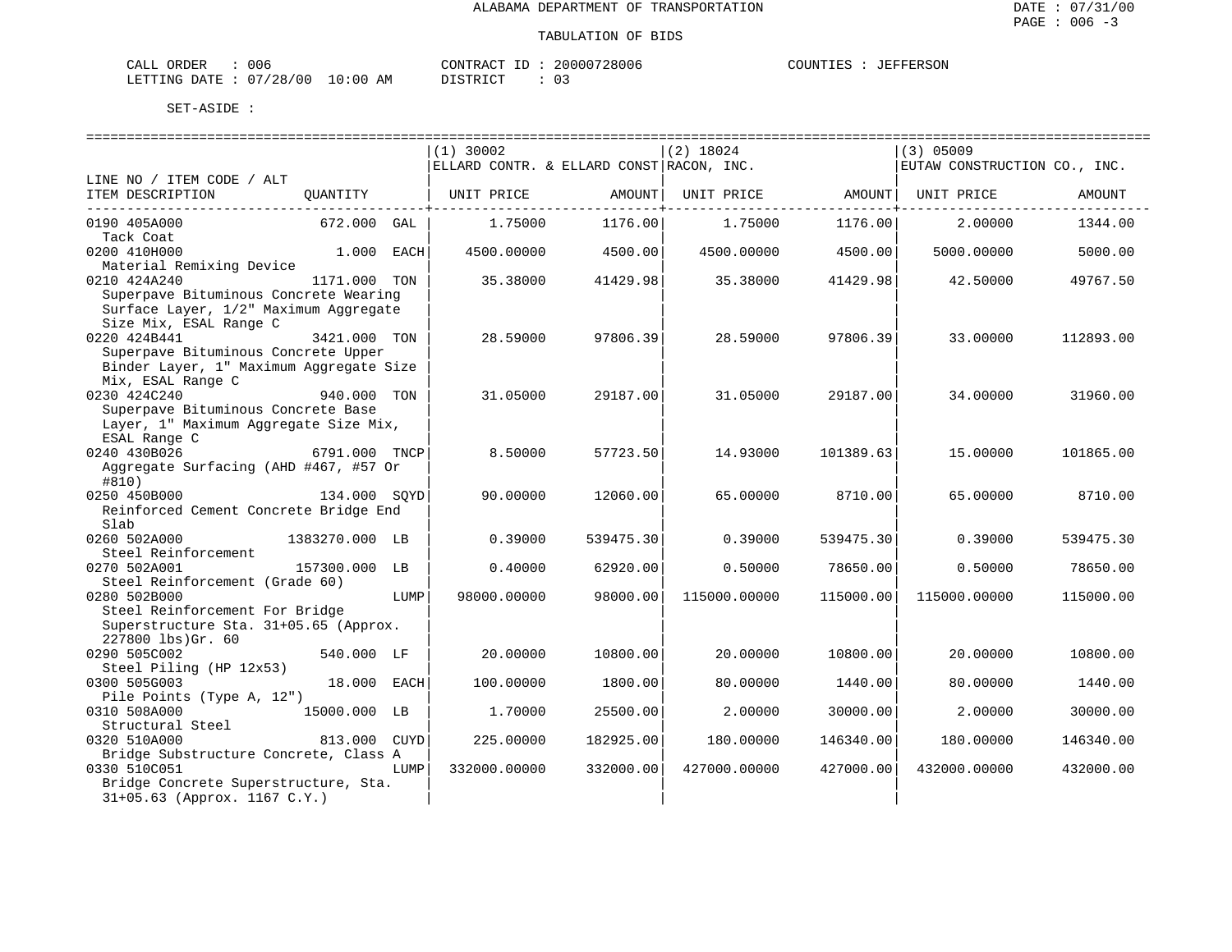| CALL ORDER                      | 006 | CONTRACT ID: 20000728006 |  | COUNTIES | : JEFFERSON |
|---------------------------------|-----|--------------------------|--|----------|-------------|
| LETTING DATE: 07/28/00 10:00 AM |     | DISTRICT                 |  |          |             |

| $(1)$ 30002<br>$(2)$ 18024<br>$(3)$ 05009<br>ELLARD CONTR. & ELLARD CONST RACON, INC.<br>EUTAW CONSTRUCTION CO., INC.<br>ITEM DESCRIPTION<br>OUANTITY<br>UNIT PRICE<br>AMOUNT<br>UNIT PRICE<br>AMOUNT  <br>UNIT PRICE<br>AMOUNT<br>0190 405A000<br>672.000 GAL<br>1.75000<br>1176.00<br>1.75000<br>2.00000<br>1344.00<br>1176.00<br>Tack Coat<br>0200 410H000<br>4500.00000<br>4500.00<br>1.000 EACH<br>4500.00<br>4500.00000<br>5000.00000<br>5000.00<br>Material Remixing Device<br>0210 424A240<br>35.38000<br>41429.98<br>35.38000<br>41429.98<br>42.50000<br>1171.000 TON<br>49767.50<br>Superpave Bituminous Concrete Wearing<br>Surface Layer, 1/2" Maximum Aggregate<br>Size Mix, ESAL Range C<br>28.59000<br>3421.000 TON<br>28.59000<br>97806.39<br>97806.39<br>33.00000<br>112893.00<br>Superpave Bituminous Concrete Upper<br>Binder Layer, 1" Maximum Aggregate Size<br>Mix, ESAL Range C<br>0230 424C240<br>31.05000<br>31.05000<br>29187.00<br>940.000<br>TON<br>29187.00<br>34.00000<br>31960.00<br>Superpave Bituminous Concrete Base<br>Layer, 1" Maximum Aggregate Size Mix,<br>ESAL Range C<br>0240 430B026<br>6791.000 TNCP<br>8.50000<br>57723.50<br>14.93000<br>101389.63<br>15,00000<br>101865.00<br>Aggregate Surfacing (AHD #467, #57 Or<br>#810)<br>134.000 SOYD<br>90.00000<br>12060.00<br>65.00000<br>8710.00<br>65.00000<br>8710.00<br>Reinforced Cement Concrete Bridge End<br>Slab<br>0260 502A000<br>0.39000<br>539475.30<br>539475.30<br>0.39000<br>539475.30<br>1383270.000 LB<br>0.39000<br>Steel Reinforcement<br>0270 502A001<br>157300.000 LB<br>0.40000<br>62920.00<br>0.50000<br>78650.00<br>0.50000<br>78650.00<br>Steel Reinforcement (Grade 60)<br>0280 502B000<br>LUMP<br>98000.00000<br>98000.00<br>115000.00000<br>115000.00<br>115000.00000<br>115000.00<br>Steel Reinforcement For Bridge<br>Superstructure Sta. 31+05.65 (Approx.<br>227800 lbs)Gr. 60<br>540.000 LF<br>20.00000<br>10800.00<br>20.00000<br>10800.00<br>20.00000<br>10800.00<br>Steel Piling (HP 12x53)<br>18.000 EACH<br>100.00000<br>1800.00<br>80.00000<br>1440.00<br>80.00000<br>1440.00<br>Pile Points (Type A, 12")<br>0310 508A000<br>25500.00<br>30000.00<br>15000.000 LB<br>1.70000<br>2.00000<br>2.00000<br>30000.00<br>Structural Steel<br>0320 510A000<br>813.000 CUYD<br>225.00000<br>182925.00<br>180.00000<br>146340.00<br>180.00000<br>146340.00<br>Bridge Substructure Concrete, Class A<br>0330 510C051<br>332000.00000<br>332000.00<br>427000.00000<br>427000.00<br>432000.00000<br>432000.00<br>LUMP<br>Bridge Concrete Superstructure, Sta. |                           |  |  |  |  |
|------------------------------------------------------------------------------------------------------------------------------------------------------------------------------------------------------------------------------------------------------------------------------------------------------------------------------------------------------------------------------------------------------------------------------------------------------------------------------------------------------------------------------------------------------------------------------------------------------------------------------------------------------------------------------------------------------------------------------------------------------------------------------------------------------------------------------------------------------------------------------------------------------------------------------------------------------------------------------------------------------------------------------------------------------------------------------------------------------------------------------------------------------------------------------------------------------------------------------------------------------------------------------------------------------------------------------------------------------------------------------------------------------------------------------------------------------------------------------------------------------------------------------------------------------------------------------------------------------------------------------------------------------------------------------------------------------------------------------------------------------------------------------------------------------------------------------------------------------------------------------------------------------------------------------------------------------------------------------------------------------------------------------------------------------------------------------------------------------------------------------------------------------------------------------------------------------------------------------------------------------------------------------------------------------------------------------------------------------------------------------------------------------------------------------------------------------------------------------------------------------------------------------------------------------------------------------------|---------------------------|--|--|--|--|
|                                                                                                                                                                                                                                                                                                                                                                                                                                                                                                                                                                                                                                                                                                                                                                                                                                                                                                                                                                                                                                                                                                                                                                                                                                                                                                                                                                                                                                                                                                                                                                                                                                                                                                                                                                                                                                                                                                                                                                                                                                                                                                                                                                                                                                                                                                                                                                                                                                                                                                                                                                                    |                           |  |  |  |  |
|                                                                                                                                                                                                                                                                                                                                                                                                                                                                                                                                                                                                                                                                                                                                                                                                                                                                                                                                                                                                                                                                                                                                                                                                                                                                                                                                                                                                                                                                                                                                                                                                                                                                                                                                                                                                                                                                                                                                                                                                                                                                                                                                                                                                                                                                                                                                                                                                                                                                                                                                                                                    | LINE NO / ITEM CODE / ALT |  |  |  |  |
|                                                                                                                                                                                                                                                                                                                                                                                                                                                                                                                                                                                                                                                                                                                                                                                                                                                                                                                                                                                                                                                                                                                                                                                                                                                                                                                                                                                                                                                                                                                                                                                                                                                                                                                                                                                                                                                                                                                                                                                                                                                                                                                                                                                                                                                                                                                                                                                                                                                                                                                                                                                    |                           |  |  |  |  |
|                                                                                                                                                                                                                                                                                                                                                                                                                                                                                                                                                                                                                                                                                                                                                                                                                                                                                                                                                                                                                                                                                                                                                                                                                                                                                                                                                                                                                                                                                                                                                                                                                                                                                                                                                                                                                                                                                                                                                                                                                                                                                                                                                                                                                                                                                                                                                                                                                                                                                                                                                                                    |                           |  |  |  |  |
|                                                                                                                                                                                                                                                                                                                                                                                                                                                                                                                                                                                                                                                                                                                                                                                                                                                                                                                                                                                                                                                                                                                                                                                                                                                                                                                                                                                                                                                                                                                                                                                                                                                                                                                                                                                                                                                                                                                                                                                                                                                                                                                                                                                                                                                                                                                                                                                                                                                                                                                                                                                    |                           |  |  |  |  |
|                                                                                                                                                                                                                                                                                                                                                                                                                                                                                                                                                                                                                                                                                                                                                                                                                                                                                                                                                                                                                                                                                                                                                                                                                                                                                                                                                                                                                                                                                                                                                                                                                                                                                                                                                                                                                                                                                                                                                                                                                                                                                                                                                                                                                                                                                                                                                                                                                                                                                                                                                                                    |                           |  |  |  |  |
|                                                                                                                                                                                                                                                                                                                                                                                                                                                                                                                                                                                                                                                                                                                                                                                                                                                                                                                                                                                                                                                                                                                                                                                                                                                                                                                                                                                                                                                                                                                                                                                                                                                                                                                                                                                                                                                                                                                                                                                                                                                                                                                                                                                                                                                                                                                                                                                                                                                                                                                                                                                    |                           |  |  |  |  |
|                                                                                                                                                                                                                                                                                                                                                                                                                                                                                                                                                                                                                                                                                                                                                                                                                                                                                                                                                                                                                                                                                                                                                                                                                                                                                                                                                                                                                                                                                                                                                                                                                                                                                                                                                                                                                                                                                                                                                                                                                                                                                                                                                                                                                                                                                                                                                                                                                                                                                                                                                                                    |                           |  |  |  |  |
|                                                                                                                                                                                                                                                                                                                                                                                                                                                                                                                                                                                                                                                                                                                                                                                                                                                                                                                                                                                                                                                                                                                                                                                                                                                                                                                                                                                                                                                                                                                                                                                                                                                                                                                                                                                                                                                                                                                                                                                                                                                                                                                                                                                                                                                                                                                                                                                                                                                                                                                                                                                    |                           |  |  |  |  |
|                                                                                                                                                                                                                                                                                                                                                                                                                                                                                                                                                                                                                                                                                                                                                                                                                                                                                                                                                                                                                                                                                                                                                                                                                                                                                                                                                                                                                                                                                                                                                                                                                                                                                                                                                                                                                                                                                                                                                                                                                                                                                                                                                                                                                                                                                                                                                                                                                                                                                                                                                                                    |                           |  |  |  |  |
|                                                                                                                                                                                                                                                                                                                                                                                                                                                                                                                                                                                                                                                                                                                                                                                                                                                                                                                                                                                                                                                                                                                                                                                                                                                                                                                                                                                                                                                                                                                                                                                                                                                                                                                                                                                                                                                                                                                                                                                                                                                                                                                                                                                                                                                                                                                                                                                                                                                                                                                                                                                    | 0220 424B441              |  |  |  |  |
|                                                                                                                                                                                                                                                                                                                                                                                                                                                                                                                                                                                                                                                                                                                                                                                                                                                                                                                                                                                                                                                                                                                                                                                                                                                                                                                                                                                                                                                                                                                                                                                                                                                                                                                                                                                                                                                                                                                                                                                                                                                                                                                                                                                                                                                                                                                                                                                                                                                                                                                                                                                    |                           |  |  |  |  |
|                                                                                                                                                                                                                                                                                                                                                                                                                                                                                                                                                                                                                                                                                                                                                                                                                                                                                                                                                                                                                                                                                                                                                                                                                                                                                                                                                                                                                                                                                                                                                                                                                                                                                                                                                                                                                                                                                                                                                                                                                                                                                                                                                                                                                                                                                                                                                                                                                                                                                                                                                                                    |                           |  |  |  |  |
|                                                                                                                                                                                                                                                                                                                                                                                                                                                                                                                                                                                                                                                                                                                                                                                                                                                                                                                                                                                                                                                                                                                                                                                                                                                                                                                                                                                                                                                                                                                                                                                                                                                                                                                                                                                                                                                                                                                                                                                                                                                                                                                                                                                                                                                                                                                                                                                                                                                                                                                                                                                    |                           |  |  |  |  |
|                                                                                                                                                                                                                                                                                                                                                                                                                                                                                                                                                                                                                                                                                                                                                                                                                                                                                                                                                                                                                                                                                                                                                                                                                                                                                                                                                                                                                                                                                                                                                                                                                                                                                                                                                                                                                                                                                                                                                                                                                                                                                                                                                                                                                                                                                                                                                                                                                                                                                                                                                                                    |                           |  |  |  |  |
|                                                                                                                                                                                                                                                                                                                                                                                                                                                                                                                                                                                                                                                                                                                                                                                                                                                                                                                                                                                                                                                                                                                                                                                                                                                                                                                                                                                                                                                                                                                                                                                                                                                                                                                                                                                                                                                                                                                                                                                                                                                                                                                                                                                                                                                                                                                                                                                                                                                                                                                                                                                    |                           |  |  |  |  |
|                                                                                                                                                                                                                                                                                                                                                                                                                                                                                                                                                                                                                                                                                                                                                                                                                                                                                                                                                                                                                                                                                                                                                                                                                                                                                                                                                                                                                                                                                                                                                                                                                                                                                                                                                                                                                                                                                                                                                                                                                                                                                                                                                                                                                                                                                                                                                                                                                                                                                                                                                                                    |                           |  |  |  |  |
|                                                                                                                                                                                                                                                                                                                                                                                                                                                                                                                                                                                                                                                                                                                                                                                                                                                                                                                                                                                                                                                                                                                                                                                                                                                                                                                                                                                                                                                                                                                                                                                                                                                                                                                                                                                                                                                                                                                                                                                                                                                                                                                                                                                                                                                                                                                                                                                                                                                                                                                                                                                    |                           |  |  |  |  |
|                                                                                                                                                                                                                                                                                                                                                                                                                                                                                                                                                                                                                                                                                                                                                                                                                                                                                                                                                                                                                                                                                                                                                                                                                                                                                                                                                                                                                                                                                                                                                                                                                                                                                                                                                                                                                                                                                                                                                                                                                                                                                                                                                                                                                                                                                                                                                                                                                                                                                                                                                                                    |                           |  |  |  |  |
|                                                                                                                                                                                                                                                                                                                                                                                                                                                                                                                                                                                                                                                                                                                                                                                                                                                                                                                                                                                                                                                                                                                                                                                                                                                                                                                                                                                                                                                                                                                                                                                                                                                                                                                                                                                                                                                                                                                                                                                                                                                                                                                                                                                                                                                                                                                                                                                                                                                                                                                                                                                    |                           |  |  |  |  |
|                                                                                                                                                                                                                                                                                                                                                                                                                                                                                                                                                                                                                                                                                                                                                                                                                                                                                                                                                                                                                                                                                                                                                                                                                                                                                                                                                                                                                                                                                                                                                                                                                                                                                                                                                                                                                                                                                                                                                                                                                                                                                                                                                                                                                                                                                                                                                                                                                                                                                                                                                                                    | 0250 450B000              |  |  |  |  |
|                                                                                                                                                                                                                                                                                                                                                                                                                                                                                                                                                                                                                                                                                                                                                                                                                                                                                                                                                                                                                                                                                                                                                                                                                                                                                                                                                                                                                                                                                                                                                                                                                                                                                                                                                                                                                                                                                                                                                                                                                                                                                                                                                                                                                                                                                                                                                                                                                                                                                                                                                                                    |                           |  |  |  |  |
|                                                                                                                                                                                                                                                                                                                                                                                                                                                                                                                                                                                                                                                                                                                                                                                                                                                                                                                                                                                                                                                                                                                                                                                                                                                                                                                                                                                                                                                                                                                                                                                                                                                                                                                                                                                                                                                                                                                                                                                                                                                                                                                                                                                                                                                                                                                                                                                                                                                                                                                                                                                    |                           |  |  |  |  |
|                                                                                                                                                                                                                                                                                                                                                                                                                                                                                                                                                                                                                                                                                                                                                                                                                                                                                                                                                                                                                                                                                                                                                                                                                                                                                                                                                                                                                                                                                                                                                                                                                                                                                                                                                                                                                                                                                                                                                                                                                                                                                                                                                                                                                                                                                                                                                                                                                                                                                                                                                                                    |                           |  |  |  |  |
|                                                                                                                                                                                                                                                                                                                                                                                                                                                                                                                                                                                                                                                                                                                                                                                                                                                                                                                                                                                                                                                                                                                                                                                                                                                                                                                                                                                                                                                                                                                                                                                                                                                                                                                                                                                                                                                                                                                                                                                                                                                                                                                                                                                                                                                                                                                                                                                                                                                                                                                                                                                    |                           |  |  |  |  |
|                                                                                                                                                                                                                                                                                                                                                                                                                                                                                                                                                                                                                                                                                                                                                                                                                                                                                                                                                                                                                                                                                                                                                                                                                                                                                                                                                                                                                                                                                                                                                                                                                                                                                                                                                                                                                                                                                                                                                                                                                                                                                                                                                                                                                                                                                                                                                                                                                                                                                                                                                                                    |                           |  |  |  |  |
|                                                                                                                                                                                                                                                                                                                                                                                                                                                                                                                                                                                                                                                                                                                                                                                                                                                                                                                                                                                                                                                                                                                                                                                                                                                                                                                                                                                                                                                                                                                                                                                                                                                                                                                                                                                                                                                                                                                                                                                                                                                                                                                                                                                                                                                                                                                                                                                                                                                                                                                                                                                    |                           |  |  |  |  |
|                                                                                                                                                                                                                                                                                                                                                                                                                                                                                                                                                                                                                                                                                                                                                                                                                                                                                                                                                                                                                                                                                                                                                                                                                                                                                                                                                                                                                                                                                                                                                                                                                                                                                                                                                                                                                                                                                                                                                                                                                                                                                                                                                                                                                                                                                                                                                                                                                                                                                                                                                                                    |                           |  |  |  |  |
|                                                                                                                                                                                                                                                                                                                                                                                                                                                                                                                                                                                                                                                                                                                                                                                                                                                                                                                                                                                                                                                                                                                                                                                                                                                                                                                                                                                                                                                                                                                                                                                                                                                                                                                                                                                                                                                                                                                                                                                                                                                                                                                                                                                                                                                                                                                                                                                                                                                                                                                                                                                    |                           |  |  |  |  |
|                                                                                                                                                                                                                                                                                                                                                                                                                                                                                                                                                                                                                                                                                                                                                                                                                                                                                                                                                                                                                                                                                                                                                                                                                                                                                                                                                                                                                                                                                                                                                                                                                                                                                                                                                                                                                                                                                                                                                                                                                                                                                                                                                                                                                                                                                                                                                                                                                                                                                                                                                                                    |                           |  |  |  |  |
|                                                                                                                                                                                                                                                                                                                                                                                                                                                                                                                                                                                                                                                                                                                                                                                                                                                                                                                                                                                                                                                                                                                                                                                                                                                                                                                                                                                                                                                                                                                                                                                                                                                                                                                                                                                                                                                                                                                                                                                                                                                                                                                                                                                                                                                                                                                                                                                                                                                                                                                                                                                    | 0290 505C002              |  |  |  |  |
|                                                                                                                                                                                                                                                                                                                                                                                                                                                                                                                                                                                                                                                                                                                                                                                                                                                                                                                                                                                                                                                                                                                                                                                                                                                                                                                                                                                                                                                                                                                                                                                                                                                                                                                                                                                                                                                                                                                                                                                                                                                                                                                                                                                                                                                                                                                                                                                                                                                                                                                                                                                    |                           |  |  |  |  |
|                                                                                                                                                                                                                                                                                                                                                                                                                                                                                                                                                                                                                                                                                                                                                                                                                                                                                                                                                                                                                                                                                                                                                                                                                                                                                                                                                                                                                                                                                                                                                                                                                                                                                                                                                                                                                                                                                                                                                                                                                                                                                                                                                                                                                                                                                                                                                                                                                                                                                                                                                                                    | 0300 505G003              |  |  |  |  |
|                                                                                                                                                                                                                                                                                                                                                                                                                                                                                                                                                                                                                                                                                                                                                                                                                                                                                                                                                                                                                                                                                                                                                                                                                                                                                                                                                                                                                                                                                                                                                                                                                                                                                                                                                                                                                                                                                                                                                                                                                                                                                                                                                                                                                                                                                                                                                                                                                                                                                                                                                                                    |                           |  |  |  |  |
|                                                                                                                                                                                                                                                                                                                                                                                                                                                                                                                                                                                                                                                                                                                                                                                                                                                                                                                                                                                                                                                                                                                                                                                                                                                                                                                                                                                                                                                                                                                                                                                                                                                                                                                                                                                                                                                                                                                                                                                                                                                                                                                                                                                                                                                                                                                                                                                                                                                                                                                                                                                    |                           |  |  |  |  |
|                                                                                                                                                                                                                                                                                                                                                                                                                                                                                                                                                                                                                                                                                                                                                                                                                                                                                                                                                                                                                                                                                                                                                                                                                                                                                                                                                                                                                                                                                                                                                                                                                                                                                                                                                                                                                                                                                                                                                                                                                                                                                                                                                                                                                                                                                                                                                                                                                                                                                                                                                                                    |                           |  |  |  |  |
|                                                                                                                                                                                                                                                                                                                                                                                                                                                                                                                                                                                                                                                                                                                                                                                                                                                                                                                                                                                                                                                                                                                                                                                                                                                                                                                                                                                                                                                                                                                                                                                                                                                                                                                                                                                                                                                                                                                                                                                                                                                                                                                                                                                                                                                                                                                                                                                                                                                                                                                                                                                    |                           |  |  |  |  |
|                                                                                                                                                                                                                                                                                                                                                                                                                                                                                                                                                                                                                                                                                                                                                                                                                                                                                                                                                                                                                                                                                                                                                                                                                                                                                                                                                                                                                                                                                                                                                                                                                                                                                                                                                                                                                                                                                                                                                                                                                                                                                                                                                                                                                                                                                                                                                                                                                                                                                                                                                                                    |                           |  |  |  |  |
|                                                                                                                                                                                                                                                                                                                                                                                                                                                                                                                                                                                                                                                                                                                                                                                                                                                                                                                                                                                                                                                                                                                                                                                                                                                                                                                                                                                                                                                                                                                                                                                                                                                                                                                                                                                                                                                                                                                                                                                                                                                                                                                                                                                                                                                                                                                                                                                                                                                                                                                                                                                    |                           |  |  |  |  |
| 31+05.63 (Approx. 1167 C.Y.)                                                                                                                                                                                                                                                                                                                                                                                                                                                                                                                                                                                                                                                                                                                                                                                                                                                                                                                                                                                                                                                                                                                                                                                                                                                                                                                                                                                                                                                                                                                                                                                                                                                                                                                                                                                                                                                                                                                                                                                                                                                                                                                                                                                                                                                                                                                                                                                                                                                                                                                                                       |                           |  |  |  |  |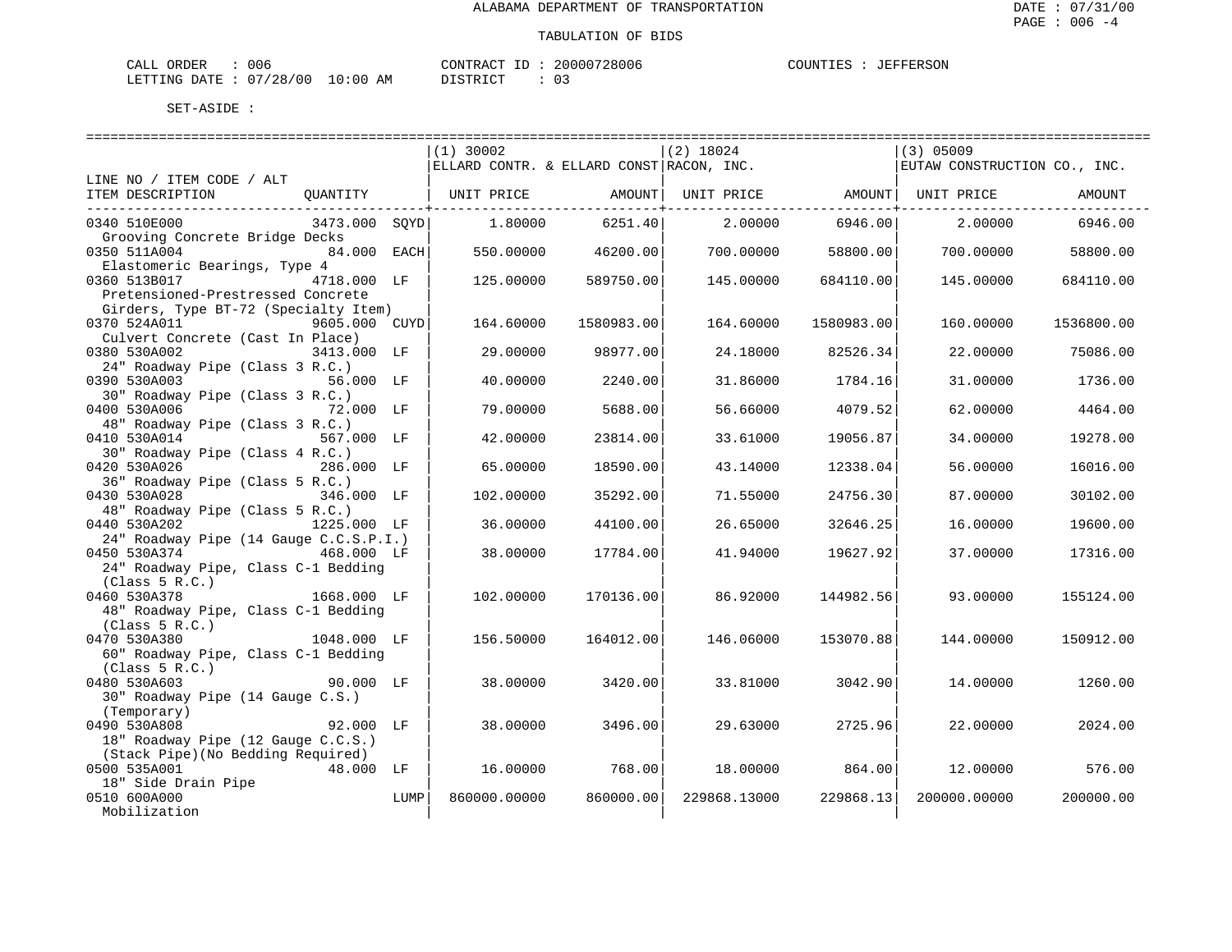| CALL ORDER                      | 006 |          | CONTRACT ID: 20000728006 | COUNTIES : JEFFERSON |  |
|---------------------------------|-----|----------|--------------------------|----------------------|--|
| LETTING DATE: 07/28/00 10:00 AM |     | DISTRICT |                          |                      |  |

|                                        | $(1)$ 30002                                                 |                      | $(2)$ 18024  |                 | $(3)$ 05009                  |            |
|----------------------------------------|-------------------------------------------------------------|----------------------|--------------|-----------------|------------------------------|------------|
|                                        | ELLARD CONTR. & ELLARD CONST RACON, INC.                    |                      |              |                 | EUTAW CONSTRUCTION CO., INC. |            |
| LINE NO / ITEM CODE / ALT              |                                                             |                      |              |                 |                              |            |
| ITEM DESCRIPTION                       | QUANTITY   UNIT PRICE AMOUNT  UNIT PRICE AMOUNT  UNIT PRICE |                      |              |                 |                              | AMOUNT     |
|                                        |                                                             | -------------+------ |              |                 |                              |            |
| 0340 510E000<br>3473.000 SOYD          | 1.80000                                                     | 6251.40              |              | 2.00000 6946.00 | 2,00000                      | 6946.00    |
| Grooving Concrete Bridge Decks         |                                                             |                      |              |                 |                              |            |
| 0350 511A004<br>84.000 EACH            | 550.00000                                                   | 46200.00             | 700.00000    | 58800.00        | 700.00000                    | 58800.00   |
| Elastomeric Bearings, Type 4           |                                                             |                      |              |                 |                              |            |
| 4718.000 LF<br>0360 513B017            | 125.00000                                                   | 589750.00            | 145.00000    | 684110.00       | 145.00000                    | 684110.00  |
| Pretensioned-Prestressed Concrete      |                                                             |                      |              |                 |                              |            |
| Girders, Type BT-72 (Specialty Item)   |                                                             |                      |              |                 |                              |            |
| 0370 524A011<br>9605.000 CUYD          | 164.60000                                                   | 1580983.00           | 164.60000    | 1580983.00      | 160.00000                    | 1536800.00 |
| Culvert Concrete (Cast In Place)       |                                                             |                      |              |                 |                              |            |
| 0380 530A002<br>3413.000 LF            | 29.00000                                                    | 98977.00             | 24.18000     | 82526.34        | 22.00000                     | 75086.00   |
| 24" Roadway Pipe (Class 3 R.C.)        |                                                             |                      |              |                 |                              |            |
| 0390 530A003<br>56.000 LF              | 40.00000                                                    | 2240.00              | 31.86000     | 1784.16         | 31.00000                     | 1736.00    |
| 30" Roadway Pipe (Class 3 R.C.)        |                                                             |                      |              |                 |                              |            |
| 0400 530A006<br>72.000 LF              | 79.00000                                                    | 5688.00              | 56.66000     | 4079.52         | 62.00000                     | 4464.00    |
| 48" Roadway Pipe (Class 3 R.C.)        |                                                             |                      |              |                 |                              |            |
| 0410 530A014<br>567.000 LF             | 42.00000                                                    | 23814.00             | 33.61000     | 19056.87        | 34,00000                     | 19278.00   |
| 30" Roadway Pipe (Class 4 R.C.)        |                                                             |                      |              |                 |                              |            |
| 0420 530A026<br>286.000 LF             | 65.00000                                                    | 18590.00             | 43.14000     | 12338.04        | 56.00000                     | 16016.00   |
| 36" Roadway Pipe (Class 5 R.C.)        |                                                             |                      |              |                 |                              |            |
| 0430 530A028<br>346.000 LF             | 102.00000                                                   | 35292.00             | 71.55000     | 24756.30        | 87.00000                     | 30102.00   |
| 48" Roadway Pipe (Class 5 R.C.)        |                                                             |                      |              |                 |                              |            |
| 0440 530A202<br>1225.000 LF            | 36.00000                                                    | 44100.00             | 26.65000     | 32646.25        | 16.00000                     | 19600.00   |
| 24" Roadway Pipe (14 Gauge C.C.S.P.I.) |                                                             |                      |              |                 |                              |            |
| 0450 530A374 468.000 LF                | 38.00000                                                    | 17784.00             | 41.94000     | 19627.92        | 37.00000                     | 17316.00   |
| 24" Roadway Pipe, Class C-1 Bedding    |                                                             |                      |              |                 |                              |            |
| (Class 5 R.C.)                         |                                                             |                      |              |                 |                              |            |
| 1668.000 LF<br>0460 530A378            | 102.00000                                                   | 170136.00            | 86.92000     | 144982.56       | 93.00000                     | 155124.00  |
| 48" Roadway Pipe, Class C-1 Bedding    |                                                             |                      |              |                 |                              |            |
| (Class 5 R.C.)                         |                                                             |                      |              |                 |                              |            |
| 0470 530A380<br>1048.000 LF            | 156.50000                                                   | 164012.00            | 146.06000    | 153070.88       | 144.00000                    | 150912.00  |
| 60" Roadway Pipe, Class C-1 Bedding    |                                                             |                      |              |                 |                              |            |
| (Class 5 R.C.)                         |                                                             |                      |              |                 |                              |            |
| 0480 530A603<br>$90.000$ LF            | 38.00000                                                    | 3420.00              | 33.81000     | 3042.90         | 14,00000                     | 1260.00    |
| 30" Roadway Pipe (14 Gauge C.S.)       |                                                             |                      |              |                 |                              |            |
| (Temporary)                            |                                                             |                      |              |                 |                              |            |
| 92.000 LF<br>0490 530A808              | 38.00000                                                    | 3496.00              | 29.63000     | 2725.96         | 22,00000                     | 2024.00    |
| 18" Roadway Pipe (12 Gauge C.C.S.)     |                                                             |                      |              |                 |                              |            |
| (Stack Pipe) (No Bedding Required)     |                                                             |                      |              |                 |                              |            |
| 0500 535A001<br>48.000 LF              | 16,00000                                                    | 768.00               | 18.00000     | 864.00          | 12.00000                     | 576.00     |
| 18" Side Drain Pipe                    |                                                             |                      |              |                 |                              |            |
| 0510 600A000<br>LUMP                   | 860000.00000                                                | 860000.00            | 229868.13000 | 229868.13       | 200000.00000                 | 200000.00  |
| Mobilization                           |                                                             |                      |              |                 |                              |            |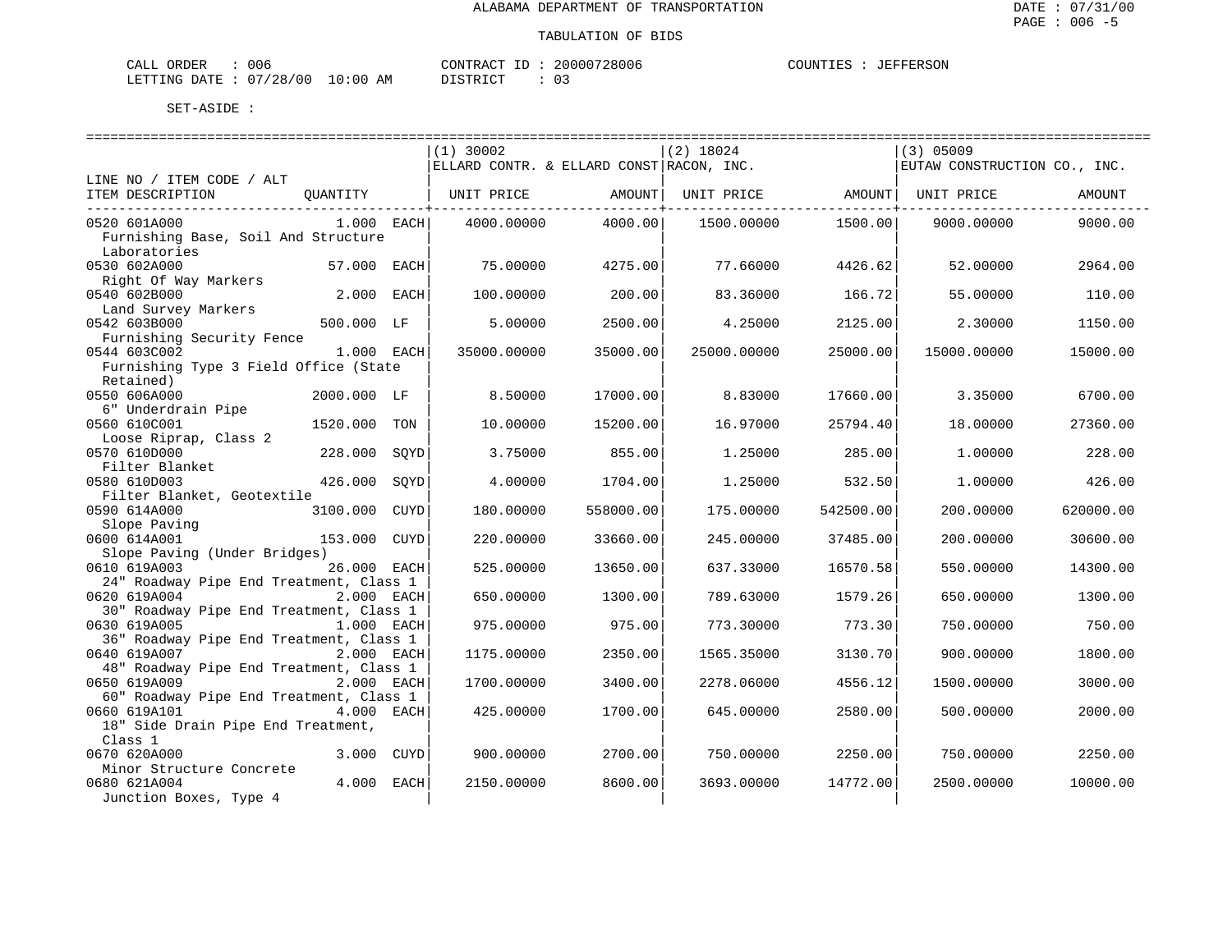| $\sim - -$<br><b>CRDER</b><br>لىلە: | $\sim$ $\sim$<br>uud          |             | סידיזו∩י<br>$\sim$ $\sim$ $\sim$ $\sim$ $\sim$ $\sim$                                                                                        | חחחי<br>- 106<br>بع د<br>. | 1 I M |
|-------------------------------------|-------------------------------|-------------|----------------------------------------------------------------------------------------------------------------------------------------------|----------------------------|-------|
| TNG<br>LETT <sup>-</sup><br>חיד בר. | 40 C<br>່າ ຊ<br>20<br>$\cdot$ | . O C<br>ΑМ | $\sim$<br>תי <i>ים</i> דת<br>the contract of the contract of the contract of the contract of the contract of the contract of the contract of | -<br>◡ –<br>___            |       |

|                                                                       |      | $(1)$ 30002                              |           | $(2)$ 18024 |           | $(3)$ 05009                  |           |
|-----------------------------------------------------------------------|------|------------------------------------------|-----------|-------------|-----------|------------------------------|-----------|
|                                                                       |      | ELLARD CONTR. & ELLARD CONST RACON, INC. |           |             |           | EUTAW CONSTRUCTION CO., INC. |           |
| LINE NO / ITEM CODE / ALT                                             |      |                                          |           |             |           |                              |           |
| ITEM DESCRIPTION<br>QUANTITY                                          |      | UNIT PRICE                               | AMOUNT    | UNIT PRICE  |           | AMOUNT  UNIT PRICE           | AMOUNT    |
|                                                                       |      |                                          |           |             |           |                              |           |
| 0520 601A000<br>$1.000$ EACH                                          |      | 4000.00000                               | 4000.00   | 1500.00000  | 1500.00   | 9000.00000                   | 9000.00   |
| Furnishing Base, Soil And Structure                                   |      |                                          |           |             |           |                              |           |
| Laboratories                                                          |      |                                          |           |             |           |                              |           |
| 0530 602A000<br>57.000 EACH<br>Right Of Way Markers                   |      | 75.00000                                 | 4275.00   | 77.66000    | 4426.62   | 52.00000                     | 2964.00   |
| 0540 602B000<br>2.000                                                 | EACH | 100.00000                                | 200.00    | 83.36000    | 166.72    | 55.00000                     | 110.00    |
| Land Survey Markers                                                   |      |                                          |           |             |           |                              |           |
| 0542 603B000<br>500.000 LF                                            |      | 5.00000                                  | 2500.00   | 4.25000     | 2125.00   | 2.30000                      | 1150.00   |
| Furnishing Security Fence                                             |      |                                          |           |             |           |                              |           |
| 0544 603C002<br>1.000 EACH                                            |      | 35000.00000                              | 35000.00  | 25000.00000 | 25000.00  | 15000.00000                  | 15000.00  |
| Furnishing Type 3 Field Office (State                                 |      |                                          |           |             |           |                              |           |
| Retained)                                                             |      |                                          |           |             |           |                              |           |
| 0550 606A000<br>2000.000 LF                                           |      | 8.50000                                  | 17000.00  | 8.83000     | 17660.00  | 3.35000                      | 6700.00   |
| 6" Underdrain Pipe                                                    |      |                                          |           |             |           |                              |           |
| 0560 610C001<br>1520.000                                              | TON  | 10,00000                                 | 15200.00  | 16.97000    | 25794.40  | 18,00000                     | 27360.00  |
| Loose Riprap, Class 2                                                 |      |                                          |           |             |           |                              |           |
| 0570 610D000<br>228.000                                               | SQYD | 3.75000                                  | 855.00    | 1.25000     | 285.00    | 1.00000                      | 228.00    |
| Filter Blanket                                                        |      |                                          |           |             |           |                              |           |
| 0580 610D003<br>426.000                                               | SOYD | 4.00000                                  | 1704.00   | 1.25000     | 532.50    | 1.00000                      | 426.00    |
| Filter Blanket, Geotextile                                            |      |                                          |           |             |           |                              |           |
| 0590 614A000<br>3100.000                                              | CUYD | 180.00000                                | 558000.00 | 175.00000   | 542500.00 | 200.00000                    | 620000.00 |
| Slope Paving                                                          |      |                                          |           |             |           |                              |           |
| 0600 614A001<br>153.000                                               | CUYD | 220.00000                                | 33660.00  | 245.00000   | 37485.00  | 200.00000                    | 30600.00  |
| Slope Paving (Under Bridges)                                          |      |                                          |           |             |           |                              |           |
| 0610 619A003<br>26.000 EACH                                           |      | 525.00000                                | 13650.00  | 637.33000   | 16570.58  | 550.00000                    | 14300.00  |
| 24" Roadway Pipe End Treatment, Class 1<br>0620 619A004<br>2.000 EACH |      | 650.00000                                | 1300.00   | 789.63000   | 1579.26   |                              | 1300.00   |
| 30" Roadway Pipe End Treatment, Class 1                               |      |                                          |           |             |           | 650.00000                    |           |
| 0630 619A005<br>1.000 EACH                                            |      | 975.00000                                | 975.00    | 773.30000   | 773.30    | 750.00000                    | 750.00    |
| 36" Roadway Pipe End Treatment, Class 1                               |      |                                          |           |             |           |                              |           |
| 2.000 EACH<br>0640 619A007                                            |      | 1175.00000                               | 2350.00   | 1565.35000  | 3130.70   | 900.00000                    | 1800.00   |
| 48" Roadway Pipe End Treatment, Class 1                               |      |                                          |           |             |           |                              |           |
| 0650 619A009<br>2.000 EACH                                            |      | 1700.00000                               | 3400.00   | 2278.06000  | 4556.12   | 1500.00000                   | 3000.00   |
| 60" Roadway Pipe End Treatment, Class 1                               |      |                                          |           |             |           |                              |           |
| 0660 619A101<br>4.000 EACH                                            |      | 425.00000                                | 1700.00   | 645.00000   | 2580.00   | 500.00000                    | 2000.00   |
| 18" Side Drain Pipe End Treatment,                                    |      |                                          |           |             |           |                              |           |
| Class 1                                                               |      |                                          |           |             |           |                              |           |
| 0670 620A000<br>3.000 CUYD                                            |      | 900.00000                                | 2700.00   | 750.00000   | 2250.00   | 750.00000                    | 2250.00   |
| Minor Structure Concrete                                              |      |                                          |           |             |           |                              |           |
| 4.000 EACH<br>0680 621A004                                            |      | 2150.00000                               | 8600.00   | 3693.00000  | 14772.00  | 2500.00000                   | 10000.00  |
| Junction Boxes, Type 4                                                |      |                                          |           |             |           |                              |           |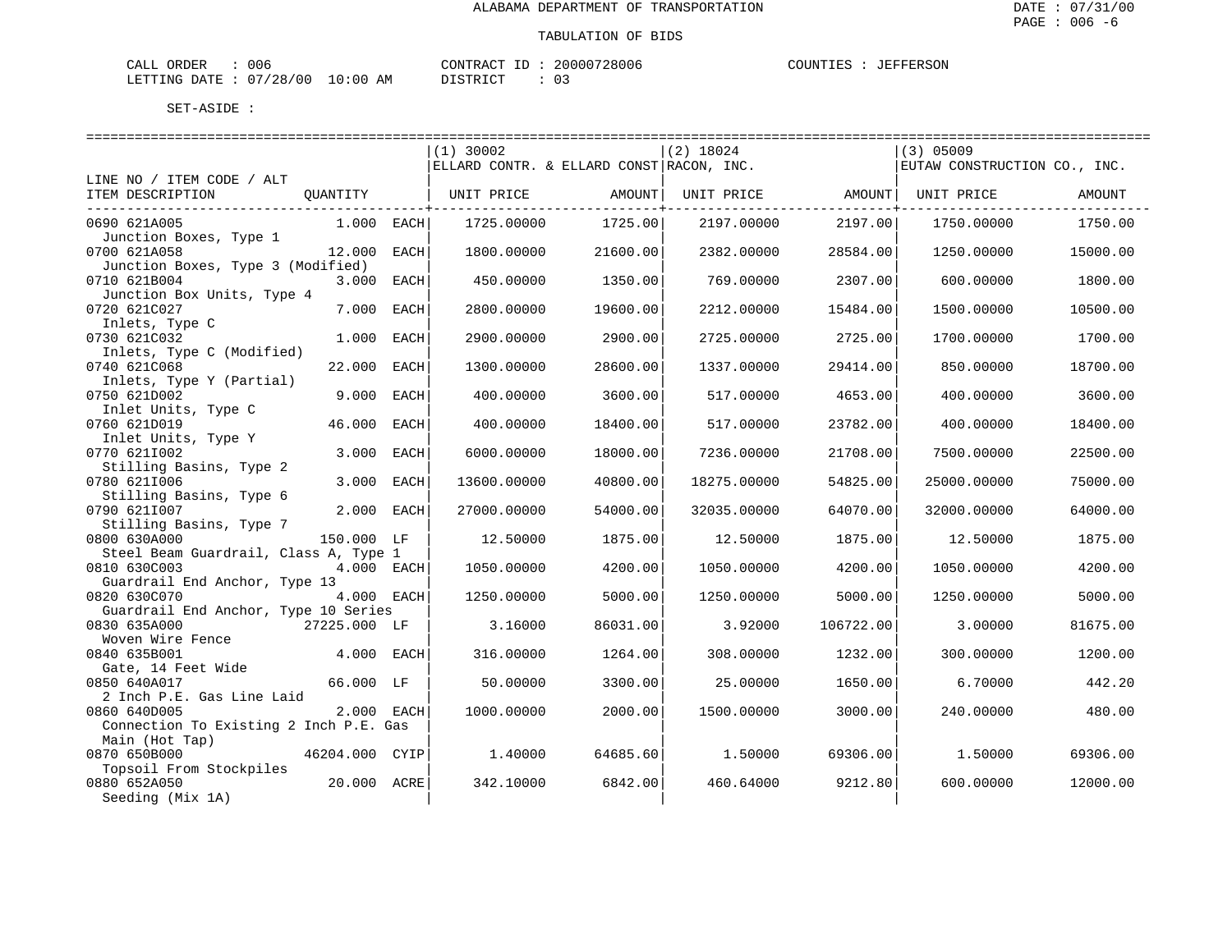| CALL ORDER                      | 006 |          | CONTRACT ID: 20000728006 | COUNTIES : JEFFERSON |  |
|---------------------------------|-----|----------|--------------------------|----------------------|--|
| LETTING DATE: 07/28/00 10:00 AM |     | DISTRICT |                          |                      |  |

|                                                                                                   | $(1)$ 30002<br>ELLARD CONTR. & ELLARD CONST RACON, INC. |          | $(2)$ 18024       |           | $(3)$ 05009<br>EUTAW CONSTRUCTION CO., INC. |          |
|---------------------------------------------------------------------------------------------------|---------------------------------------------------------|----------|-------------------|-----------|---------------------------------------------|----------|
| LINE NO / ITEM CODE / ALT                                                                         |                                                         |          |                   |           |                                             |          |
| ITEM DESCRIPTION<br>QUANTITY                                                                      | UNIT PRICE                                              | AMOUNT   | UNIT PRICE AMOUNT |           | UNIT PRICE                                  | AMOUNT   |
| 0690 621A005<br>$1.000$ EACH                                                                      | 1725.00000                                              | 1725.00  | 2197.00000        | 2197.00   | 1750.00000                                  | 1750.00  |
| Junction Boxes, Type 1<br>0700 621A058<br>12.000 EACH                                             | 1800.00000                                              | 21600.00 | 2382.00000        | 28584.00  | 1250.00000                                  | 15000.00 |
| Junction Boxes, Type 3 (Modified)<br>0710 621B004<br>3.000 EACH                                   | 450.00000                                               | 1350.00  | 769.00000         | 2307.00   | 600.00000                                   | 1800.00  |
| Junction Box Units, Type 4<br>7.000<br>0720 621C027<br>EACH                                       | 2800.00000                                              | 19600.00 | 2212,00000        | 15484.00  | 1500.00000                                  | 10500.00 |
| Inlets, Type C<br>0730 621C032<br>1.000 EACH                                                      | 2900.00000                                              | 2900.00  | 2725.00000        | 2725.00   | 1700.00000                                  | 1700.00  |
| Inlets, Type C (Modified)<br>0740 621C068<br>22.000<br>EACH                                       | 1300.00000                                              | 28600.00 | 1337.00000        | 29414.00  | 850,00000                                   | 18700.00 |
| Inlets, Type Y (Partial)<br>0750 621D002<br>9.000 EACH                                            | 400.00000                                               | 3600.00  | 517.00000         | 4653.00   | 400.00000                                   | 3600.00  |
| Inlet Units, Type C<br>0760 621D019<br>46.000<br>EACH                                             | 400.00000                                               | 18400.00 | 517.00000         | 23782.00  | 400.00000                                   | 18400.00 |
| Inlet Units, Type Y                                                                               |                                                         |          |                   |           |                                             |          |
| 0770 6211002<br>3.000<br>EACH<br>Stilling Basins, Type 2                                          | 6000.00000                                              | 18000.00 | 7236.00000        | 21708.00  | 7500.00000                                  | 22500.00 |
| 0780 6211006<br>3.000 EACH<br>Stilling Basins, Type 6                                             | 13600.00000                                             | 40800.00 | 18275.00000       | 54825.00  | 25000.00000                                 | 75000.00 |
| 0790 6211007<br>2.000 EACH                                                                        | 27000.00000                                             | 54000.00 | 32035.00000       | 64070.00  | 32000.00000                                 | 64000.00 |
| Stilling Basins, Type 7<br>0800 630A000<br>150.000 LF                                             | 12.50000                                                | 1875.00  | 12.50000          | 1875.00   | 12.50000                                    | 1875.00  |
| Steel Beam Guardrail, Class A, Type 1<br>0810 630C003<br>4.000 EACH                               | 1050.00000                                              | 4200.00  | 1050.00000        | 4200.00   | 1050.00000                                  | 4200.00  |
| Guardrail End Anchor, Type 13<br>4.000 EACH<br>0820 630C070                                       | 1250.00000                                              | 5000.00  | 1250.00000        | 5000.00   | 1250.00000                                  | 5000.00  |
| Guardrail End Anchor, Type 10 Series<br>0830 635A000<br>27225.000 LF                              | 3.16000                                                 | 86031.00 | 3.92000           | 106722.00 | 3.00000                                     | 81675.00 |
| Woven Wire Fence<br>0840 635B001<br>4.000 EACH                                                    | 316.00000                                               | 1264.00  | 308.00000         | 1232.00   | 300.00000                                   | 1200.00  |
| Gate, 14 Feet Wide<br>0850 640A017<br>66.000 LF                                                   | 50.00000                                                | 3300.00  | 25.00000          | 1650.00   | 6.70000                                     | 442.20   |
| 2 Inch P.E. Gas Line Laid<br>0860 640D005<br>2.000 EACH<br>Connection To Existing 2 Inch P.E. Gas | 1000.00000                                              | 2000.00  | 1500.00000        | 3000.00   | 240.00000                                   | 480.00   |
| Main (Hot Tap)<br>0870 650B000<br>46204.000 CYIP<br>Topsoil From Stockpiles                       | 1,40000                                                 | 64685.60 | 1,50000           | 69306.00  | 1.50000                                     | 69306.00 |
| 0880 652A050<br>20.000 ACRE<br>Seeding (Mix 1A)                                                   | 342.10000                                               | 6842.00  | 460.64000         | 9212.80   | 600.00000                                   | 12000.00 |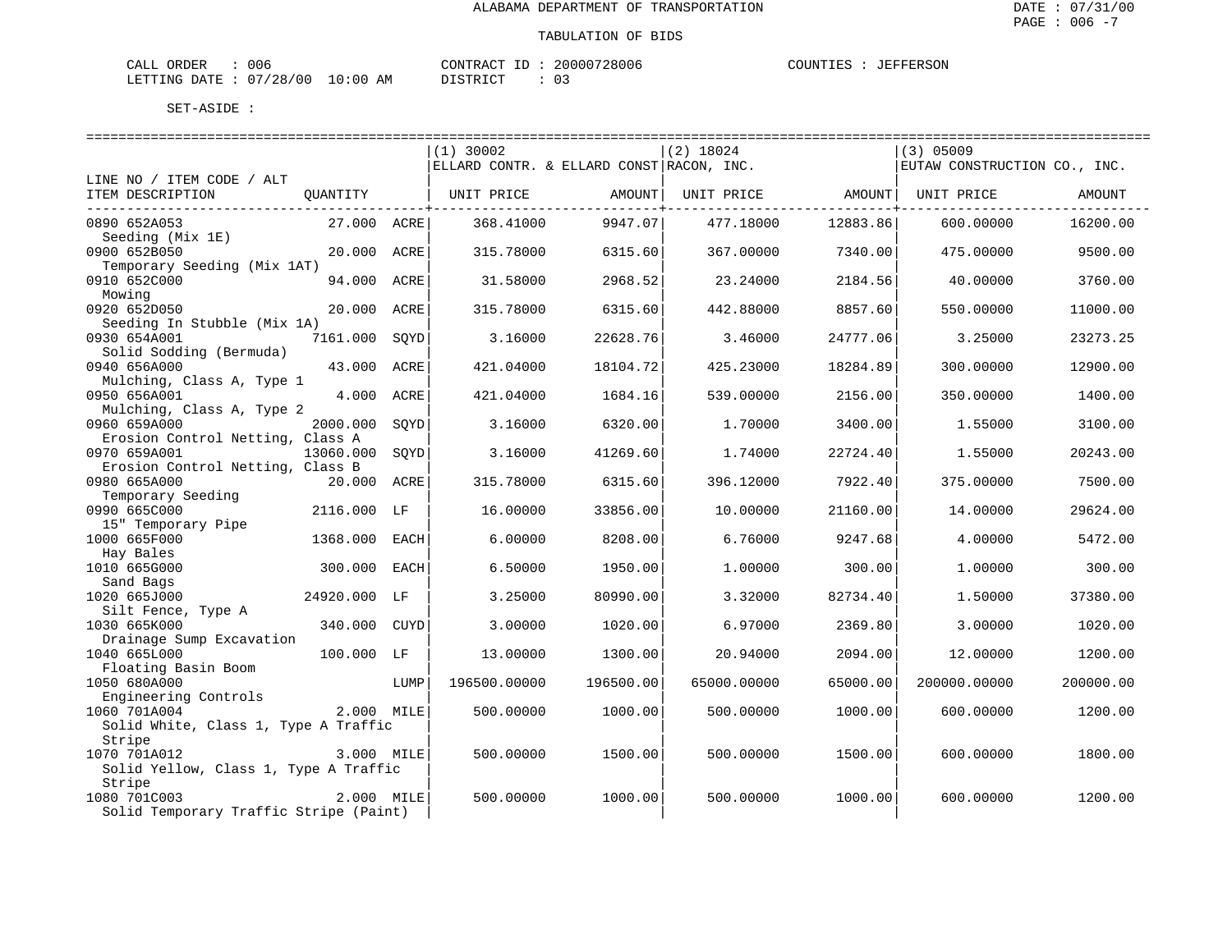| CALL ORDER                      | 006 |          | CONTRACT ID: 20000728006 | COUNTIES : JEFFERSON |  |
|---------------------------------|-----|----------|--------------------------|----------------------|--|
| LETTING DATE: 07/28/00 10:00 AM |     | DISTRICT |                          |                      |  |

|                                        |              |      | $(1)$ 30002                              |           | $(2)$ 18024       |                      | $(3)$ 05009                  |           |
|----------------------------------------|--------------|------|------------------------------------------|-----------|-------------------|----------------------|------------------------------|-----------|
|                                        |              |      | ELLARD CONTR. & ELLARD CONST RACON, INC. |           |                   |                      | EUTAW CONSTRUCTION CO., INC. |           |
| LINE NO / ITEM CODE / ALT              |              |      |                                          |           |                   |                      |                              |           |
| ITEM DESCRIPTION                       | OUANTITY     |      | UNIT PRICE                               | AMOUNT    | UNIT PRICE AMOUNT |                      | UNIT PRICE                   | AMOUNT    |
| ---------------------------------      |              |      |                                          |           |                   | ---------------+---- |                              |           |
| 0890 652A053                           | 27.000 ACRE  |      | 368.41000                                | 9947.07   | 477.18000         | 12883.86             | 600.00000                    | 16200.00  |
| Seeding (Mix 1E)                       |              |      |                                          |           |                   |                      |                              |           |
| 0900 652B050                           | 20.000 ACRE  |      |                                          | 6315.60   | 367.00000         | 7340.00              | 475.00000                    | 9500.00   |
|                                        |              |      | 315.78000                                |           |                   |                      |                              |           |
| Temporary Seeding (Mix 1AT)            |              |      |                                          |           |                   |                      |                              |           |
| 0910 652C000                           | 94.000 ACRE  |      | 31.58000                                 | 2968.52   | 23.24000          | 2184.56              | 40.00000                     | 3760.00   |
| Mowing                                 |              |      |                                          |           |                   |                      |                              |           |
| 0920 652D050                           | 20.000 ACRE  |      | 315.78000                                | 6315.60   | 442.88000         | 8857.60              | 550.00000                    | 11000.00  |
| Seeding In Stubble (Mix 1A)            |              |      |                                          |           |                   |                      |                              |           |
| 0930 654A001                           | 7161.000     | SOYD | 3.16000                                  | 22628.76  | 3.46000           | 24777.06             | 3.25000                      | 23273.25  |
| Solid Sodding (Bermuda)                |              |      |                                          |           |                   |                      |                              |           |
| 0940 656A000                           | 43.000 ACRE  |      | 421.04000                                | 18104.72  | 425.23000         | 18284.89             | 300.00000                    | 12900.00  |
| Mulching, Class A, Type 1              |              |      |                                          |           |                   |                      |                              |           |
| 0950 656A001                           | 4.000 ACRE   |      | 421.04000                                | 1684.16   | 539.00000         | 2156.00              | 350.00000                    | 1400.00   |
| Mulching, Class A, Type 2              |              |      |                                          |           |                   |                      |                              |           |
| 0960 659A000                           | 2000.000     | SQYD | 3.16000                                  | 6320.00   | 1,70000           | 3400.00              | 1.55000                      | 3100.00   |
| Erosion Control Netting, Class A       |              |      |                                          |           |                   |                      |                              |           |
| 0970 659A001                           | 13060.000    | SOYD | 3.16000                                  | 41269.60  | 1.74000           | 22724.40             | 1.55000                      | 20243.00  |
|                                        |              |      |                                          |           |                   |                      |                              |           |
| Erosion Control Netting, Class B       |              |      |                                          |           |                   |                      |                              |           |
| 0980 665A000                           | 20.000 ACRE  |      | 315.78000                                | 6315.60   | 396.12000         | 7922.40              | 375.00000                    | 7500.00   |
| Temporary Seeding                      |              |      |                                          |           |                   |                      |                              |           |
| 0990 665C000                           | 2116.000 LF  |      | 16.00000                                 | 33856.00  | 10.00000          | 21160.00             | 14.00000                     | 29624.00  |
| 15" Temporary Pipe                     |              |      |                                          |           |                   |                      |                              |           |
| 1000 665F000                           | 1368.000     | EACH | 6.00000                                  | 8208.00   | 6.76000           | 9247.68              | 4.00000                      | 5472.00   |
| Hay Bales                              |              |      |                                          |           |                   |                      |                              |           |
| 1010 665G000                           | 300.000      | EACH | 6.50000                                  | 1950.00   | 1.00000           | 300.00               | 1,00000                      | 300.00    |
| Sand Bags                              |              |      |                                          |           |                   |                      |                              |           |
| 1020 665J000                           | 24920.000 LF |      | 3.25000                                  | 80990.00  | 3.32000           | 82734.40             | 1.50000                      | 37380.00  |
| Silt Fence, Type A                     |              |      |                                          |           |                   |                      |                              |           |
| 1030 665K000                           | 340.000      | CUYD | 3.00000                                  | 1020.00   | 6.97000           | 2369.80              | 3.00000                      | 1020.00   |
| Drainage Sump Excavation               |              |      |                                          |           |                   |                      |                              |           |
| 1040 665L000                           | 100.000 LF   |      | 13.00000                                 | 1300.00   | 20.94000          | 2094.00              | 12.00000                     | 1200.00   |
| Floating Basin Boom                    |              |      |                                          |           |                   |                      |                              |           |
| 1050 680A000                           |              | LUMP | 196500.00000                             | 196500.00 | 65000.00000       | 65000.00             | 200000.00000                 | 200000.00 |
| Engineering Controls                   |              |      |                                          |           |                   |                      |                              |           |
| 1060 701A004                           | 2.000 MILE   |      | 500.00000                                | 1000.00   | 500.00000         | 1000.00              | 600.00000                    | 1200.00   |
|                                        |              |      |                                          |           |                   |                      |                              |           |
| Solid White, Class 1, Type A Traffic   |              |      |                                          |           |                   |                      |                              |           |
| Stripe                                 |              |      |                                          |           |                   |                      |                              |           |
| 1070 701A012                           | 3.000 MILE   |      | 500.00000                                | 1500.00   | 500.00000         | 1500.00              | 600.00000                    | 1800.00   |
| Solid Yellow, Class 1, Type A Traffic  |              |      |                                          |           |                   |                      |                              |           |
| Stripe                                 |              |      |                                          |           |                   |                      |                              |           |
| 1080 701C003                           | 2.000 MILE   |      | 500.00000                                | 1000.00   | 500.00000         | 1000.00              | 600.00000                    | 1200.00   |
| Solid Temporary Traffic Stripe (Paint) |              |      |                                          |           |                   |                      |                              |           |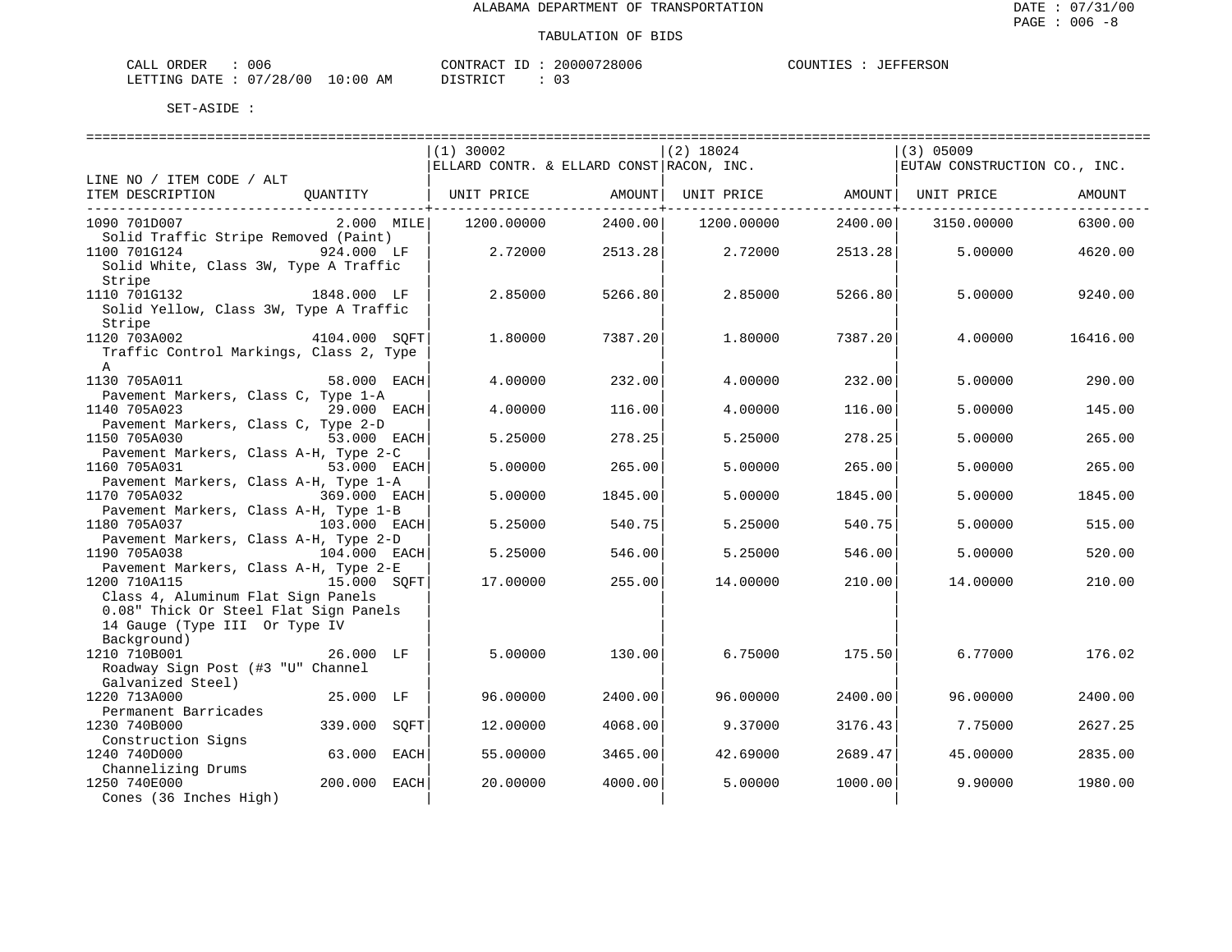| CALL ORDER                      | 006 |          | CONTRACT ID: 20000728006 | COUNTIES : JEFFERSON |  |
|---------------------------------|-----|----------|--------------------------|----------------------|--|
| LETTING DATE: 07/28/00 10:00 AM |     | DISTRICT |                          |                      |  |

|                                                                       | $(1)$ 30002                              | $(2)$ 18024                             | $(3)$ 05009                  |
|-----------------------------------------------------------------------|------------------------------------------|-----------------------------------------|------------------------------|
|                                                                       | ELLARD CONTR. & ELLARD CONST RACON, INC. |                                         | EUTAW CONSTRUCTION CO., INC. |
| LINE NO / ITEM CODE / ALT                                             |                                          |                                         |                              |
| ITEM DESCRIPTION<br>OUANTITY                                          | UNIT PRICE                               | AMOUNT <br>UNIT PRICE AMOUNT UNIT PRICE | AMOUNT                       |
|                                                                       |                                          |                                         |                              |
| 1090 701D007<br>$2.000$ MILE                                          | 1200.00000<br>2400.00                    | 1200.00000<br>2400.00                   | 3150.00000<br>6300.00        |
| Solid Traffic Stripe Removed (Paint)                                  |                                          |                                         |                              |
| 1100 701G124<br>924.000 LF                                            | 2.72000<br>2513.28                       | 2.72000<br>2513.28                      | 5,00000<br>4620.00           |
| Solid White, Class 3W, Type A Traffic                                 |                                          |                                         |                              |
| Stripe<br>1110 701G132 1848.000 LF                                    |                                          |                                         |                              |
| Solid Yellow, Class 3W, Type A Traffic                                | 2.85000<br>5266.80                       | 2.85000<br>5266.80                      | 5.00000<br>9240.00           |
| Stripe                                                                |                                          |                                         |                              |
| 1120 703A002<br>4104.000 SOFT                                         | 1,80000<br>7387.20                       | 1,80000<br>7387.20                      | 4.00000<br>16416.00          |
| Traffic Control Markings, Class 2, Type                               |                                          |                                         |                              |
| $\mathsf{A}$                                                          |                                          |                                         |                              |
| 1130 705A011<br>58.000 EACH                                           | 4.00000<br>232.00                        | 4.00000<br>232.00                       | 290.00<br>5.00000            |
| Pavement Markers, Class C, Type 1-A                                   |                                          |                                         |                              |
| 1140 705A023<br>29.000 EACH                                           | 4.00000<br>116.00                        | 4.00000<br>116.00                       | 5.00000<br>145.00            |
| Pavement Markers, Class C, Type 2-D                                   |                                          |                                         |                              |
| 1150 705A030<br>53.000 EACH                                           | 278.25<br>5.25000                        | 5.25000<br>278.25                       | 265.00<br>5.00000            |
| Pavement Markers, Class A-H, Type 2-C                                 |                                          |                                         |                              |
| 1160 705A031<br>53.000 EACH                                           | 5,00000<br>265.00                        | 5.00000<br>265.00                       | 265.00<br>5.00000            |
| Pavement Markers, Class A-H, Type 1-A                                 |                                          |                                         |                              |
| 1170 705A032<br>369.000 EACH                                          | 5.00000<br>1845.00                       | 5.00000<br>1845.00                      | 5.00000<br>1845.00           |
| Pavement Markers, Class A-H, Type 1-B                                 |                                          |                                         |                              |
| 1180 705A037<br>103.000 EACH                                          | 5.25000<br>540.75                        | 5.25000<br>540.75                       | 5.00000<br>515.00            |
| Pavement Markers, Class A-H, Type 2-D<br>1190 705A038<br>104.000 EACH | 546.00<br>5.25000                        | 5.25000<br>546.00                       | 5.00000<br>520.00            |
| Pavement Markers, Class A-H, Type 2-E                                 |                                          |                                         |                              |
| 1200 710A115<br>15.000 SOFT                                           | 17.00000<br>255.00                       | 210.00<br>14.00000                      | 210.00<br>14.00000           |
| Class 4, Aluminum Flat Sign Panels                                    |                                          |                                         |                              |
| 0.08" Thick Or Steel Flat Sign Panels                                 |                                          |                                         |                              |
| 14 Gauge (Type III Or Type IV                                         |                                          |                                         |                              |
| Background)                                                           |                                          |                                         |                              |
| 1210 710B001<br>26.000 LF                                             | 5.00000<br>130.00                        | 6.75000<br>175.50                       | 6.77000<br>176.02            |
| Roadway Sign Post (#3 "U" Channel                                     |                                          |                                         |                              |
| Galvanized Steel)                                                     |                                          |                                         |                              |
| 1220 713A000<br>25.000 LF                                             | 96.00000<br>2400.00                      | 96.00000<br>2400.00                     | 96.00000<br>2400.00          |
| Permanent Barricades                                                  |                                          |                                         |                              |
| 1230 740B000<br>339.000<br>SOFT                                       | 12.00000<br>4068.00                      | 9.37000<br>3176.43                      | 2627.25<br>7.75000           |
| Construction Signs<br>1240 740D000<br>63.000 EACH                     | 55.00000<br>3465.00                      | 42.69000<br>2689.47                     | 45.00000<br>2835.00          |
| Channelizing Drums                                                    |                                          |                                         |                              |
| 200.000 EACH<br>1250 740E000                                          | 20.00000<br>4000.00                      | 5.00000<br>1000.00                      | 9.90000<br>1980.00           |
| Cones (36 Inches High)                                                |                                          |                                         |                              |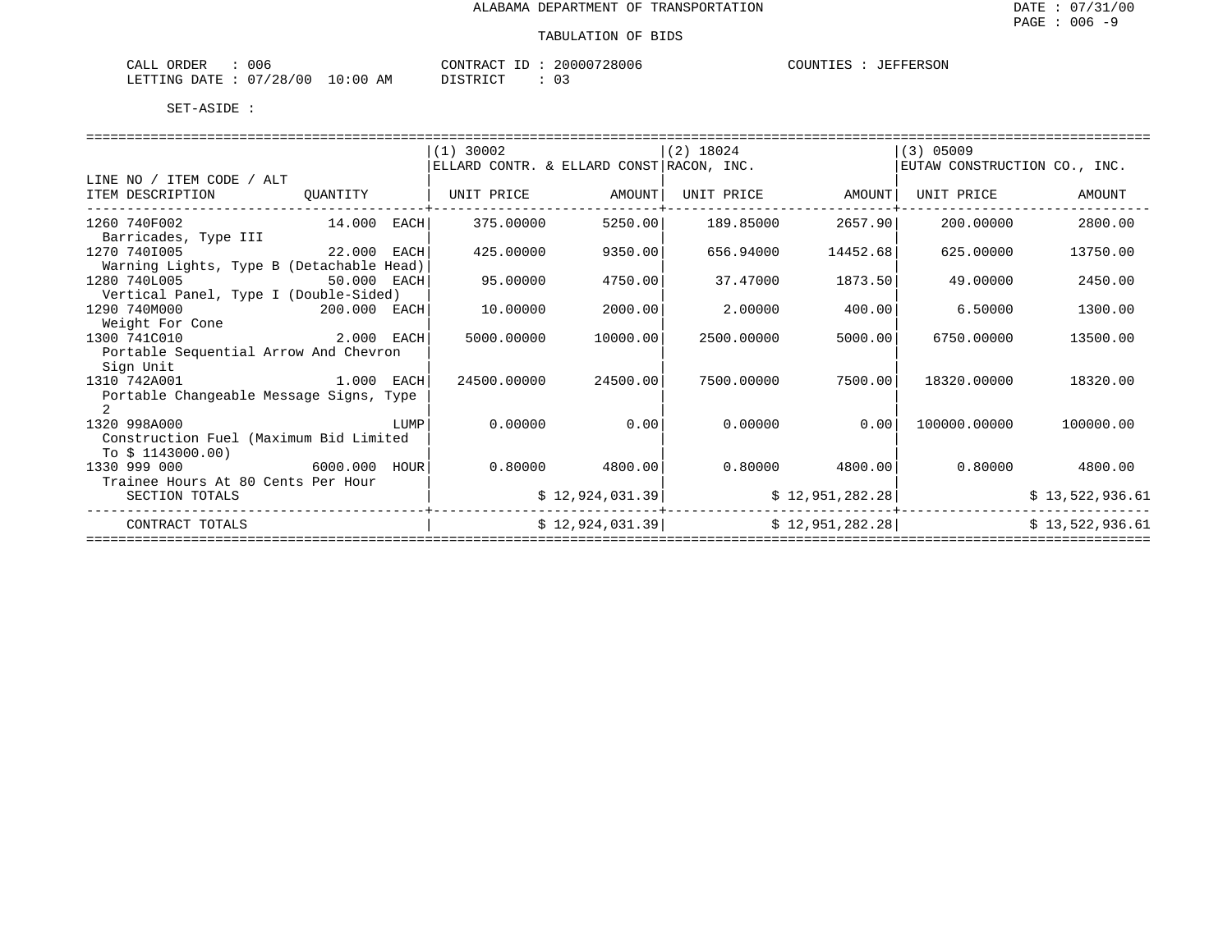| : 006<br>CALL ORDER |                                 | CONTRACT ID: 20000728006 | COUNTIES : JEFFERSON |
|---------------------|---------------------------------|--------------------------|----------------------|
|                     | LETTING DATE: 07/28/00 10:00 AM | DISTRICT                 |                      |

|                                          |             |      | $(1)$ 30002                              |                 | $(2)$ 18024 |                  | $(3)$ 05009                  |                 |  |
|------------------------------------------|-------------|------|------------------------------------------|-----------------|-------------|------------------|------------------------------|-----------------|--|
|                                          |             |      | ELLARD CONTR. & ELLARD CONST RACON, INC. |                 |             |                  | EUTAW CONSTRUCTION CO., INC. |                 |  |
| LINE NO / ITEM CODE / ALT                |             |      |                                          |                 |             |                  |                              |                 |  |
| ITEM DESCRIPTION                         | QUANTITY    |      | UNIT PRICE                               | AMOUNT          | UNIT PRICE  | AMOUNT           | UNIT PRICE                   | AMOUNT          |  |
|                                          |             |      |                                          |                 |             |                  |                              |                 |  |
| 1260 740F002                             | 14.000      | EACH | 375,00000                                | 5250.00         | 189.85000   | 2657.90          | 200,00000                    | 2800.00         |  |
| Barricades, Type III                     |             |      |                                          |                 |             |                  |                              |                 |  |
| 1270 7401005                             | 22.000 EACH |      | 425.00000                                | 9350.00         | 656.94000   | 14452.68         | 625.00000                    | 13750.00        |  |
| Warning Lights, Type B (Detachable Head) |             |      |                                          |                 |             |                  |                              |                 |  |
| 1280 740L005                             | 50.000 EACH |      | 95.00000                                 | 4750.00         | 37.47000    | 1873.50          | 49.00000                     | 2450.00         |  |
| Vertical Panel, Type I (Double-Sided)    |             |      |                                          |                 |             |                  |                              |                 |  |
| 1290 740M000<br>200.000 EACH             |             |      | 10.00000                                 | 2000.00         | 2,00000     | 400.00           | 6.50000                      | 1300.00         |  |
| Weight For Cone                          |             |      |                                          |                 |             |                  |                              |                 |  |
| 1300 741C010                             | 2.000 EACH  |      | 5000.00000                               | 10000.00        | 2500.00000  | 5000.00          | 6750.00000                   | 13500.00        |  |
| Portable Sequential Arrow And Chevron    |             |      |                                          |                 |             |                  |                              |                 |  |
| Sign Unit                                |             |      |                                          |                 |             |                  |                              |                 |  |
| 1310 742A001                             | 1.000 EACH  |      | 24500.00000                              | 24500.00        | 7500.00000  | 7500.00          | 18320.00000                  | 18320.00        |  |
| Portable Changeable Message Signs, Type  |             |      |                                          |                 |             |                  |                              |                 |  |
|                                          |             |      |                                          |                 |             |                  |                              |                 |  |
| 1320 998A000                             |             | LUMP | 0.00000                                  | 0.00            | 0.00000     | 0.001            | 100000.00000                 | 100000.00       |  |
| Construction Fuel (Maximum Bid Limited   |             |      |                                          |                 |             |                  |                              |                 |  |
| To $$1143000.00)$                        |             |      |                                          |                 |             |                  |                              |                 |  |
| 1330 999 000                             | 6000.000    | HOUR | 0.80000                                  | 4800.00         | 0.80000     | 4800.00          | 0.80000                      | 4800.00         |  |
| Trainee Hours At 80 Cents Per Hour       |             |      |                                          |                 |             |                  |                              |                 |  |
| SECTION TOTALS                           |             |      |                                          | \$12,924,031.39 |             | \$12,951,282.28] |                              | \$13,522,936.61 |  |
|                                          |             |      |                                          |                 |             |                  |                              |                 |  |
| CONTRACT TOTALS                          |             |      |                                          | \$12,924,031.39 |             | \$12,951,282.28  |                              | \$13,522,936.61 |  |
|                                          |             |      |                                          |                 |             |                  |                              |                 |  |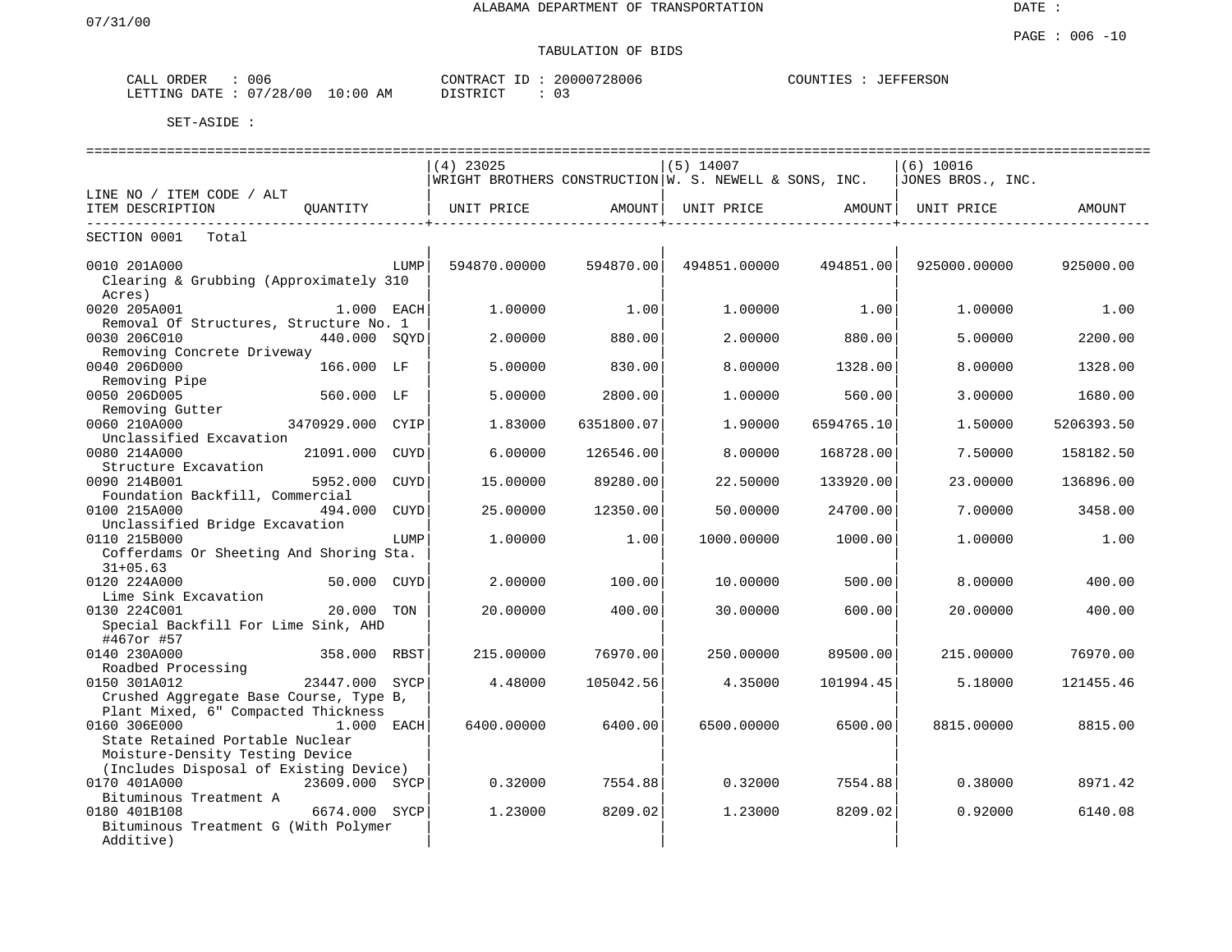# TABULATION OF BIDS

| ORDER<br>CALL | 006      |            | CONTRACT ID | 20000728006 | COUNTIES | <b>JEFFERSON</b> |
|---------------|----------|------------|-------------|-------------|----------|------------------|
| LETTING DATE  | 07/28/00 | $10:00$ AM | DISTRICT    | U3          |          |                  |

|                                                   |                |      | $(4)$ 23025                                              |            | $(5)$ 14007  |            | $(6)$ 10016       |            |
|---------------------------------------------------|----------------|------|----------------------------------------------------------|------------|--------------|------------|-------------------|------------|
|                                                   |                |      | WRIGHT BROTHERS CONSTRUCTION $W.$ S. NEWELL & SONS, INC. |            |              |            | JONES BROS., INC. |            |
| LINE NO / ITEM CODE / ALT                         |                |      |                                                          |            |              |            |                   |            |
| ITEM DESCRIPTION<br>-----------                   | OUANTITY       |      | UNIT PRICE                                               | AMOUNT     | UNIT PRICE   | AMOUNT     | UNIT PRICE        | AMOUNT     |
| SECTION 0001<br>Total                             |                |      |                                                          |            |              |            |                   |            |
| 0010 201A000                                      |                | LUMP | 594870.00000                                             | 594870.00  | 494851.00000 | 494851.00  | 925000.00000      | 925000.00  |
| Clearing & Grubbing (Approximately 310            |                |      |                                                          |            |              |            |                   |            |
| Acres)                                            |                |      |                                                          |            |              |            |                   |            |
| 0020 205A001                                      | $1.000$ EACH   |      | 1,00000                                                  | 1.00       | 1,00000      | 1.00       | 1.00000           | 1.00       |
| Removal Of Structures, Structure No. 1            |                |      |                                                          |            |              |            |                   |            |
| 0030 206C010                                      | 440.000 SOYD   |      | 2.00000                                                  | 880.00     | 2.00000      | 880.00     | 5.00000           | 2200.00    |
| Removing Concrete Driveway                        |                |      |                                                          |            |              |            |                   |            |
| 0040 206D000                                      | 166.000 LF     |      | 5.00000                                                  | 830.00     | 8,00000      | 1328.00    | 8.00000           | 1328.00    |
| Removing Pipe                                     |                |      |                                                          |            |              |            |                   |            |
| 0050 206D005                                      | 560.000 LF     |      | 5.00000                                                  | 2800.00    | 1,00000      | 560.00     | 3.00000           | 1680.00    |
| Removing Gutter                                   |                |      |                                                          |            |              |            |                   |            |
| 0060 210A000                                      | 3470929.000    | CYIP | 1.83000                                                  | 6351800.07 | 1.90000      | 6594765.10 | 1.50000           | 5206393.50 |
| Unclassified Excavation                           |                |      |                                                          |            |              |            |                   |            |
| 0080 214A000                                      | 21091.000      | CUYD | 6.00000                                                  | 126546.00  | 8,00000      | 168728.00  | 7.50000           | 158182.50  |
| Structure Excavation<br>0090 214B001              | 5952.000       | CUYD | 15.00000                                                 | 89280.00   | 22.50000     | 133920.00  | 23.00000          | 136896.00  |
| Foundation Backfill, Commercial                   |                |      |                                                          |            |              |            |                   |            |
| 0100 215A000                                      | 494.000        | CUYD | 25.00000                                                 | 12350.00   | 50.00000     | 24700.00   | 7.00000           | 3458.00    |
| Unclassified Bridge Excavation                    |                |      |                                                          |            |              |            |                   |            |
| 0110 215B000                                      |                | LUMP | 1,00000                                                  | 1.00       | 1000.00000   | 1000.00    | 1,00000           | 1.00       |
| Cofferdams Or Sheeting And Shoring Sta.           |                |      |                                                          |            |              |            |                   |            |
| $31+05.63$                                        |                |      |                                                          |            |              |            |                   |            |
| 0120 224A000                                      | 50.000 CUYD    |      | 2.00000                                                  | 100.00     | 10.00000     | 500.00     | 8.00000           | 400.00     |
| Lime Sink Excavation                              |                |      |                                                          |            |              |            |                   |            |
| 0130 224C001                                      | 20.000         | TON  | 20.00000                                                 | 400.00     | 30.00000     | 600.00     | 20.00000          | 400.00     |
| Special Backfill For Lime Sink, AHD<br>#467or #57 |                |      |                                                          |            |              |            |                   |            |
| 0140 230A000                                      | 358.000 RBST   |      | 215,00000                                                | 76970.00   | 250.00000    | 89500.00   | 215.00000         | 76970.00   |
| Roadbed Processing                                |                |      |                                                          |            |              |            |                   |            |
| 0150 301A012                                      | 23447.000 SYCP |      | 4.48000                                                  | 105042.56  | 4.35000      | 101994.45  | 5.18000           | 121455.46  |
| Crushed Aggregate Base Course, Type B,            |                |      |                                                          |            |              |            |                   |            |
| Plant Mixed, 6" Compacted Thickness               |                |      |                                                          |            |              |            |                   |            |
| 0160 306E000                                      | $1.000$ EACH   |      | 6400.00000                                               | 6400.00    | 6500.00000   | 6500.00    | 8815,00000        | 8815.00    |
| State Retained Portable Nuclear                   |                |      |                                                          |            |              |            |                   |            |
| Moisture-Density Testing Device                   |                |      |                                                          |            |              |            |                   |            |
| (Includes Disposal of Existing Device)            |                |      |                                                          |            |              |            |                   |            |
| 0170 401A000<br>Bituminous Treatment A            | 23609.000 SYCP |      | 0.32000                                                  | 7554.88    | 0.32000      | 7554.88    | 0.38000           | 8971.42    |
| 0180 401B108                                      | 6674.000 SYCP  |      | 1.23000                                                  | 8209.02    | 1.23000      | 8209.02    | 0.92000           | 6140.08    |
| Bituminous Treatment G (With Polymer              |                |      |                                                          |            |              |            |                   |            |
| Additive)                                         |                |      |                                                          |            |              |            |                   |            |
|                                                   |                |      |                                                          |            |              |            |                   |            |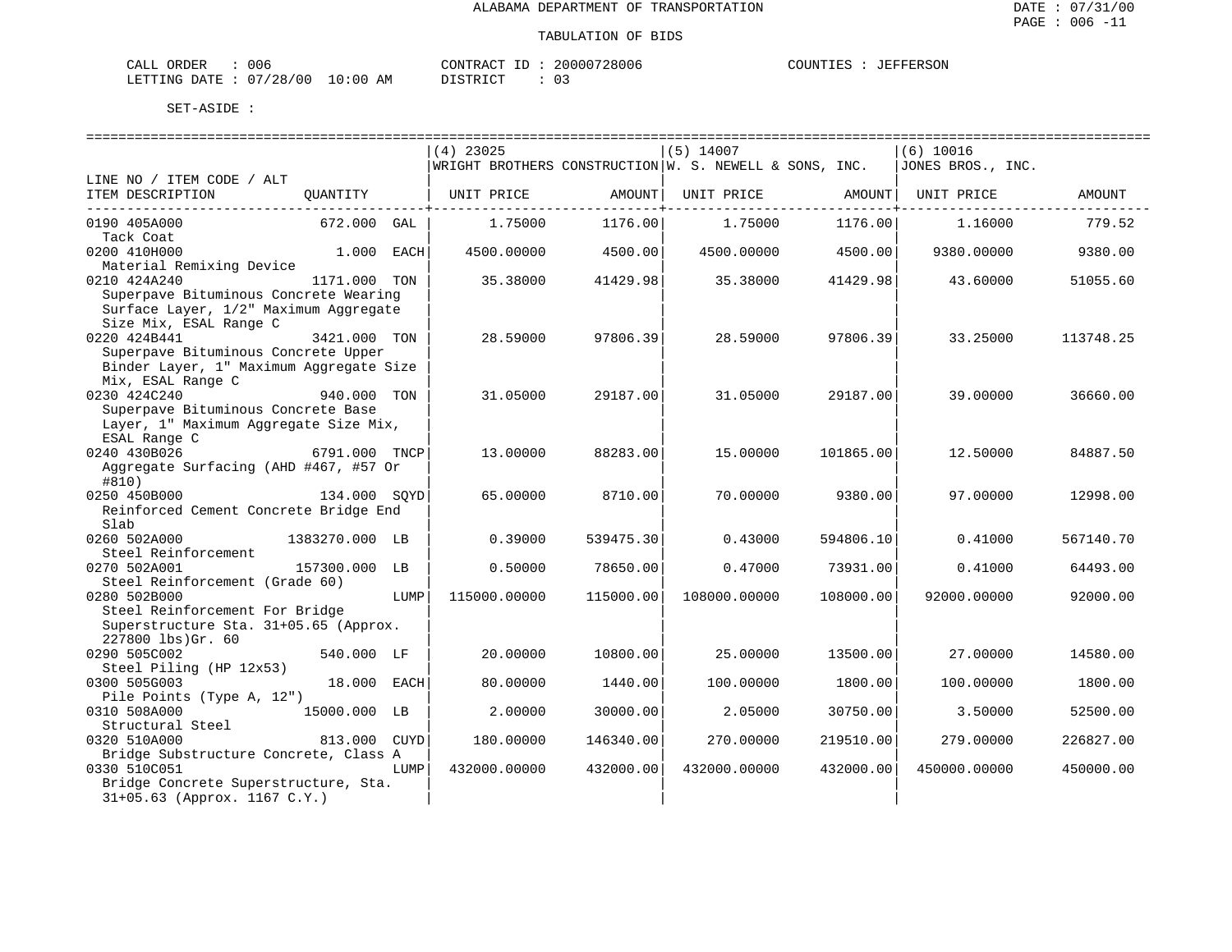| CALL ORDER                      | 006 | CONTRACT ID : | 20000728006 | COUNTIES | JEFFERSON |
|---------------------------------|-----|---------------|-------------|----------|-----------|
| LETTING DATE: 07/28/00 10:00 AM |     | DISTRICT      |             |          |           |

|                                                                                |                |      | $(4)$ 23025  |           | $(5)$ 14007                                            |           | $(6)$ 10016       |           |
|--------------------------------------------------------------------------------|----------------|------|--------------|-----------|--------------------------------------------------------|-----------|-------------------|-----------|
|                                                                                |                |      |              |           | WRIGHT BROTHERS CONSTRUCTION W. S. NEWELL & SONS, INC. |           | JONES BROS., INC. |           |
| LINE NO / ITEM CODE / ALT                                                      |                |      |              |           |                                                        |           |                   |           |
| ITEM DESCRIPTION                                                               | OUANTITY       |      | UNIT PRICE   | AMOUNT    | UNIT PRICE                                             | AMOUNT    | UNIT PRICE        | AMOUNT    |
|                                                                                |                |      |              |           |                                                        |           |                   |           |
| 0190 405A000                                                                   | 672.000 GAL    |      | 1.75000      | 1176.00   | 1.75000                                                | 1176.00   | 1,16000           | 779.52    |
| Tack Coat                                                                      |                |      |              |           |                                                        |           |                   |           |
| 0200 410H000                                                                   | 1.000          | EACH | 4500.00000   | 4500.00   | 4500.00000                                             | 4500.00   | 9380.00000        | 9380.00   |
| Material Remixing Device                                                       |                |      |              |           |                                                        |           |                   |           |
| 0210 424A240                                                                   | 1171.000 TON   |      | 35.38000     | 41429.98  | 35.38000                                               | 41429.98  | 43.60000          | 51055.60  |
| Superpave Bituminous Concrete Wearing                                          |                |      |              |           |                                                        |           |                   |           |
| Surface Layer, 1/2" Maximum Aggregate                                          |                |      |              |           |                                                        |           |                   |           |
| Size Mix, ESAL Range C                                                         |                |      |              |           |                                                        |           |                   |           |
| 0220 424B441                                                                   | 3421.000 TON   |      | 28.59000     | 97806.39  | 28.59000                                               | 97806.39  | 33.25000          | 113748.25 |
| Superpave Bituminous Concrete Upper<br>Binder Layer, 1" Maximum Aggregate Size |                |      |              |           |                                                        |           |                   |           |
| Mix, ESAL Range C                                                              |                |      |              |           |                                                        |           |                   |           |
| 0230 424C240                                                                   | 940.000 TON    |      | 31.05000     | 29187.00  | 31.05000                                               | 29187.00  | 39.00000          | 36660.00  |
| Superpave Bituminous Concrete Base                                             |                |      |              |           |                                                        |           |                   |           |
| Layer, 1" Maximum Aggregate Size Mix,                                          |                |      |              |           |                                                        |           |                   |           |
| ESAL Range C                                                                   |                |      |              |           |                                                        |           |                   |           |
| 0240 430B026                                                                   | 6791.000 TNCP  |      | 13.00000     | 88283.00  | 15.00000                                               | 101865.00 | 12.50000          | 84887.50  |
| Aggregate Surfacing (AHD #467, #57 Or                                          |                |      |              |           |                                                        |           |                   |           |
| #810)                                                                          |                |      |              |           |                                                        |           |                   |           |
| 0250 450B000                                                                   | 134.000 SOYD   |      | 65,00000     | 8710.00   | 70.00000                                               | 9380.00   | 97.00000          | 12998.00  |
| Reinforced Cement Concrete Bridge End                                          |                |      |              |           |                                                        |           |                   |           |
| Slab                                                                           |                |      |              |           |                                                        |           |                   |           |
| 0260 502A000                                                                   | 1383270.000 LB |      | 0.39000      | 539475.30 | 0.43000                                                | 594806.10 | 0.41000           | 567140.70 |
| Steel Reinforcement                                                            |                |      |              |           |                                                        |           |                   |           |
| 0270 502A001                                                                   | 157300.000 LB  |      | 0.50000      | 78650.00  | 0.47000                                                | 73931.00  | 0.41000           | 64493.00  |
| Steel Reinforcement (Grade 60)                                                 |                |      |              |           |                                                        |           |                   |           |
| 0280 502B000                                                                   |                | LUMP | 115000.00000 | 115000.00 | 108000.00000                                           | 108000.00 | 92000.00000       | 92000.00  |
| Steel Reinforcement For Bridge                                                 |                |      |              |           |                                                        |           |                   |           |
| Superstructure Sta. 31+05.65 (Approx.                                          |                |      |              |           |                                                        |           |                   |           |
| 227800 lbs)Gr. 60                                                              |                |      |              |           |                                                        |           |                   |           |
| 0290 505C002                                                                   | 540.000 LF     |      | 20.00000     | 10800.00  | 25.00000                                               | 13500.00  | 27.00000          | 14580.00  |
| Steel Piling (HP 12x53)<br>0300 505G003                                        | 18.000 EACH    |      | 80.00000     | 1440.00   | 100.00000                                              | 1800.00   | 100.00000         | 1800.00   |
| Pile Points (Type A, 12")                                                      |                |      |              |           |                                                        |           |                   |           |
| 0310 508A000                                                                   | 15000.000 LB   |      | 2.00000      | 30000.00  | 2.05000                                                | 30750.00  | 3.50000           | 52500.00  |
| Structural Steel                                                               |                |      |              |           |                                                        |           |                   |           |
| 0320 510A000                                                                   | 813.000        | CUYD | 180.00000    | 146340.00 | 270.00000                                              | 219510.00 | 279.00000         | 226827.00 |
| Bridge Substructure Concrete, Class A                                          |                |      |              |           |                                                        |           |                   |           |
| 0330 510C051                                                                   |                | LUMP | 432000.00000 | 432000.00 | 432000.00000                                           | 432000.00 | 450000.00000      | 450000.00 |
| Bridge Concrete Superstructure, Sta.                                           |                |      |              |           |                                                        |           |                   |           |
| 31+05.63 (Approx. 1167 C.Y.)                                                   |                |      |              |           |                                                        |           |                   |           |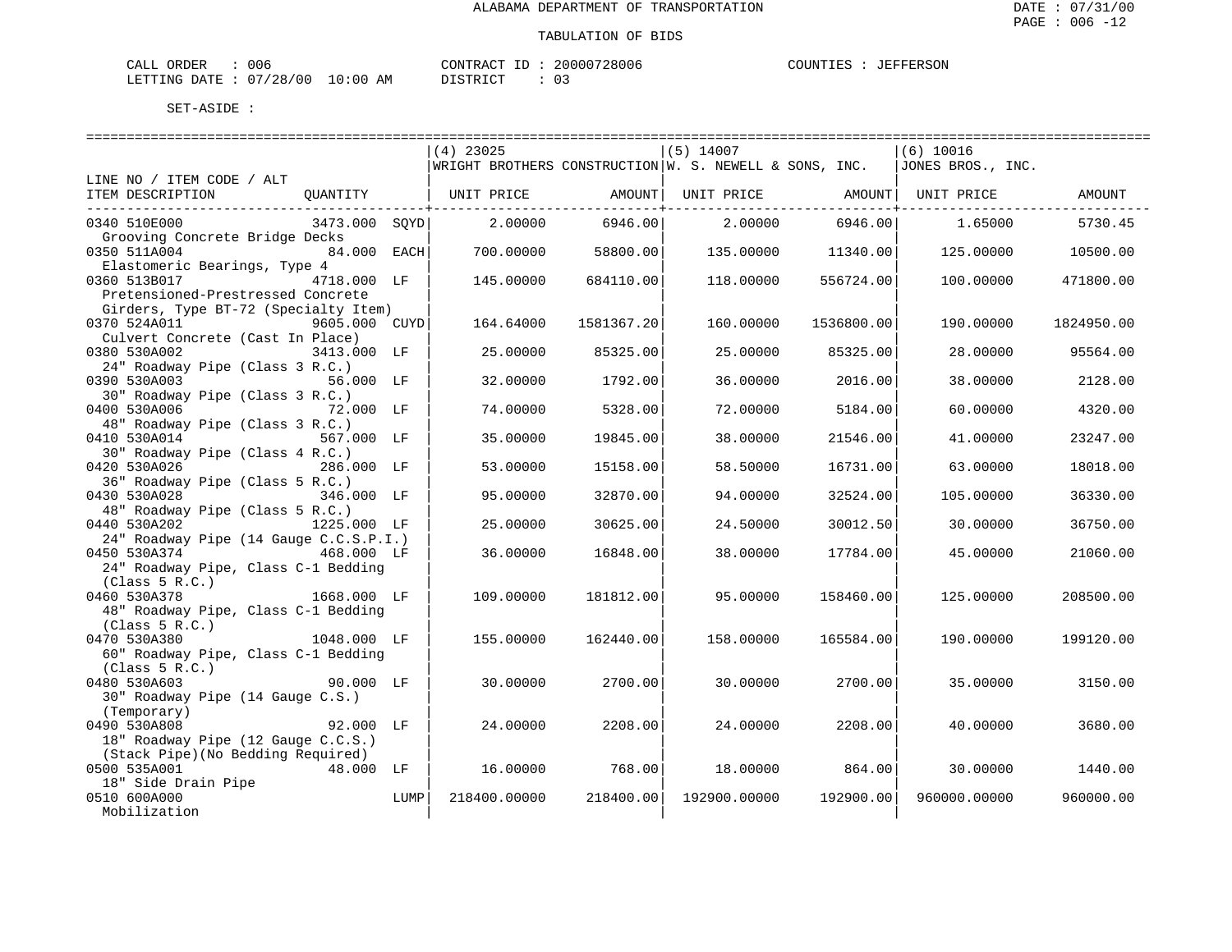| CALL ORDER                      | 006 |  |          | CONTRACT ID: 20000728006 |  | COUNTIES : JEFFERSON |
|---------------------------------|-----|--|----------|--------------------------|--|----------------------|
| LETTING DATE: 07/28/00 10:00 AM |     |  | DISTRICT |                          |  |                      |

|                                        |               |      | ============================= |            | ================================ |                    |                                                                                   |            |
|----------------------------------------|---------------|------|-------------------------------|------------|----------------------------------|--------------------|-----------------------------------------------------------------------------------|------------|
|                                        |               |      | $(4)$ 23025                   |            | $(5)$ 14007                      |                    | (6) 10016                                                                         |            |
|                                        |               |      |                               |            |                                  |                    | $ WRIGHT$ BROTHERS CONSTRUCTION $ W.$ S. NEWELL & SONS, INC. $ JONES$ BROS., INC. |            |
| LINE NO / ITEM CODE / ALT              |               |      |                               |            |                                  |                    |                                                                                   |            |
| ITEM DESCRIPTION                       |               |      | QUANTITY   UNIT PRICE AMOUNT  |            |                                  |                    | UNIT PRICE AMOUNT   UNIT PRICE                                                    | AMOUNT     |
|                                        |               |      |                               |            |                                  |                    |                                                                                   |            |
| 0340 510E000                           | 3473.000 SQYD |      | 2.00000                       | 6946.00    | 2.00000                          | 6946.00            | 1.65000                                                                           | 5730.45    |
| Grooving Concrete Bridge Decks         |               |      |                               |            |                                  |                    |                                                                                   |            |
| 0350 511A004                           | 84.000 EACH   |      | 700.00000                     | 58800.00   |                                  | 135.00000 11340.00 | 125.00000                                                                         | 10500.00   |
| Elastomeric Bearings, Type 4           |               |      |                               |            |                                  |                    |                                                                                   |            |
| 0360 513B017<br>4718.000 LF            |               |      | 145.00000                     | 684110.00  | 118.00000                        | 556724.00          | 100.00000                                                                         | 471800.00  |
| Pretensioned-Prestressed Concrete      |               |      |                               |            |                                  |                    |                                                                                   |            |
| Girders, Type BT-72 (Specialty Item)   |               |      |                               |            |                                  |                    |                                                                                   |            |
| 0370 524A011                           | 9605.000 CUYD |      | 164.64000                     | 1581367.20 | 160.00000                        | 1536800.00         | 190.00000                                                                         | 1824950.00 |
| Culvert Concrete (Cast In Place)       |               |      |                               |            |                                  |                    |                                                                                   |            |
| 0380 530A002                           | 3413.000 LF   |      | 25.00000                      | 85325.00   | 25.00000                         | 85325.00           | 28.00000                                                                          | 95564.00   |
| 24" Roadway Pipe (Class 3 R.C.)        |               |      |                               |            |                                  |                    |                                                                                   |            |
| 0390 530A003                           | 56.000 LF     |      | 32.00000                      | 1792.00    | 36,00000                         | 2016.00            | 38.00000                                                                          | 2128.00    |
| 30" Roadway Pipe (Class 3 R.C.)        |               |      |                               |            |                                  |                    |                                                                                   |            |
| 0400 530A006                           | 72.000 LF     |      | 74.00000                      | 5328.00    | 72.00000                         | 5184.00            | 60.00000                                                                          | 4320.00    |
| 48" Roadway Pipe (Class 3 R.C.)        |               |      |                               |            |                                  |                    |                                                                                   |            |
| 0410 530A014                           | 567.000 LF    |      | 35.00000                      | 19845.00   | 38.00000                         | 21546.00           | 41.00000                                                                          | 23247.00   |
| 30" Roadway Pipe (Class 4 R.C.)        |               |      |                               |            |                                  |                    |                                                                                   |            |
| 0420 530A026                           | 286.000 LF    |      | 53.00000                      | 15158.00   | 58.50000                         | 16731.00           | 63.00000                                                                          | 18018.00   |
| 36" Roadway Pipe (Class 5 R.C.)        |               |      |                               |            |                                  |                    |                                                                                   |            |
| 0430 530A028                           | 346.000 LF    |      | 95.00000                      | 32870.00   | 94.00000                         | 32524.00           | 105.00000                                                                         | 36330.00   |
| 48" Roadway Pipe (Class 5 R.C.)        |               |      |                               |            |                                  |                    |                                                                                   |            |
| 0440 530A202                           | 1225.000 LF   |      | 25,00000                      | 30625.00   | 24.50000                         | 30012.50           | 30.00000                                                                          | 36750.00   |
| 24" Roadway Pipe (14 Gauge C.C.S.P.I.) |               |      |                               |            |                                  |                    |                                                                                   |            |
| 0450 530A374 468.000 LF                |               |      | 36.00000                      | 16848.00   | 38.00000                         | 17784.00           | 45.00000                                                                          | 21060.00   |
| 24" Roadway Pipe, Class C-1 Bedding    |               |      |                               |            |                                  |                    |                                                                                   |            |
| (Class 5 R.C.)                         |               |      |                               |            |                                  |                    |                                                                                   |            |
| 0460 530A378                           | 1668.000 LF   |      | 109,00000                     | 181812.00  | 95.00000                         | 158460.00          | 125,00000                                                                         | 208500.00  |
| 48" Roadway Pipe, Class C-1 Bedding    |               |      |                               |            |                                  |                    |                                                                                   |            |
| (Class 5 R.C.)                         |               |      |                               |            |                                  |                    |                                                                                   |            |
| 0470 530A380                           | 1048.000 LF   |      | 155.00000                     | 162440.00  | 158.00000                        | 165584.00          | 190.00000                                                                         | 199120.00  |
| 60" Roadway Pipe, Class C-1 Bedding    |               |      |                               |            |                                  |                    |                                                                                   |            |
| (Class 5 R.C.)                         |               |      |                               |            |                                  |                    |                                                                                   |            |
| 0480 530A603                           | $90.000$ LF   |      | 30.00000                      | 2700.00    | 30.00000                         | 2700.00            | 35.00000                                                                          | 3150.00    |
| 30" Roadway Pipe (14 Gauge C.S.)       |               |      |                               |            |                                  |                    |                                                                                   |            |
| (Temporary)                            |               |      |                               |            |                                  |                    |                                                                                   |            |
| 0490 530A808                           | 92.000 LF     |      | 24,00000                      | 2208.00    | 24.00000                         | 2208.00            | 40.00000                                                                          | 3680.00    |
| 18" Roadway Pipe (12 Gauge C.C.S.)     |               |      |                               |            |                                  |                    |                                                                                   |            |
| (Stack Pipe) (No Bedding Required)     |               |      |                               |            |                                  |                    |                                                                                   |            |
| 0500 535A001                           | 48.000 LF     |      | 16.00000                      | 768.00     | 18.00000                         | 864.00             | 30.00000                                                                          | 1440.00    |
| 18" Side Drain Pipe                    |               |      |                               |            |                                  |                    |                                                                                   |            |
| 0510 600A000                           |               | LUMP | 218400.00000                  | 218400.00  | 192900.00000                     | 192900.00          | 960000.00000                                                                      | 960000.00  |
| Mobilization                           |               |      |                               |            |                                  |                    |                                                                                   |            |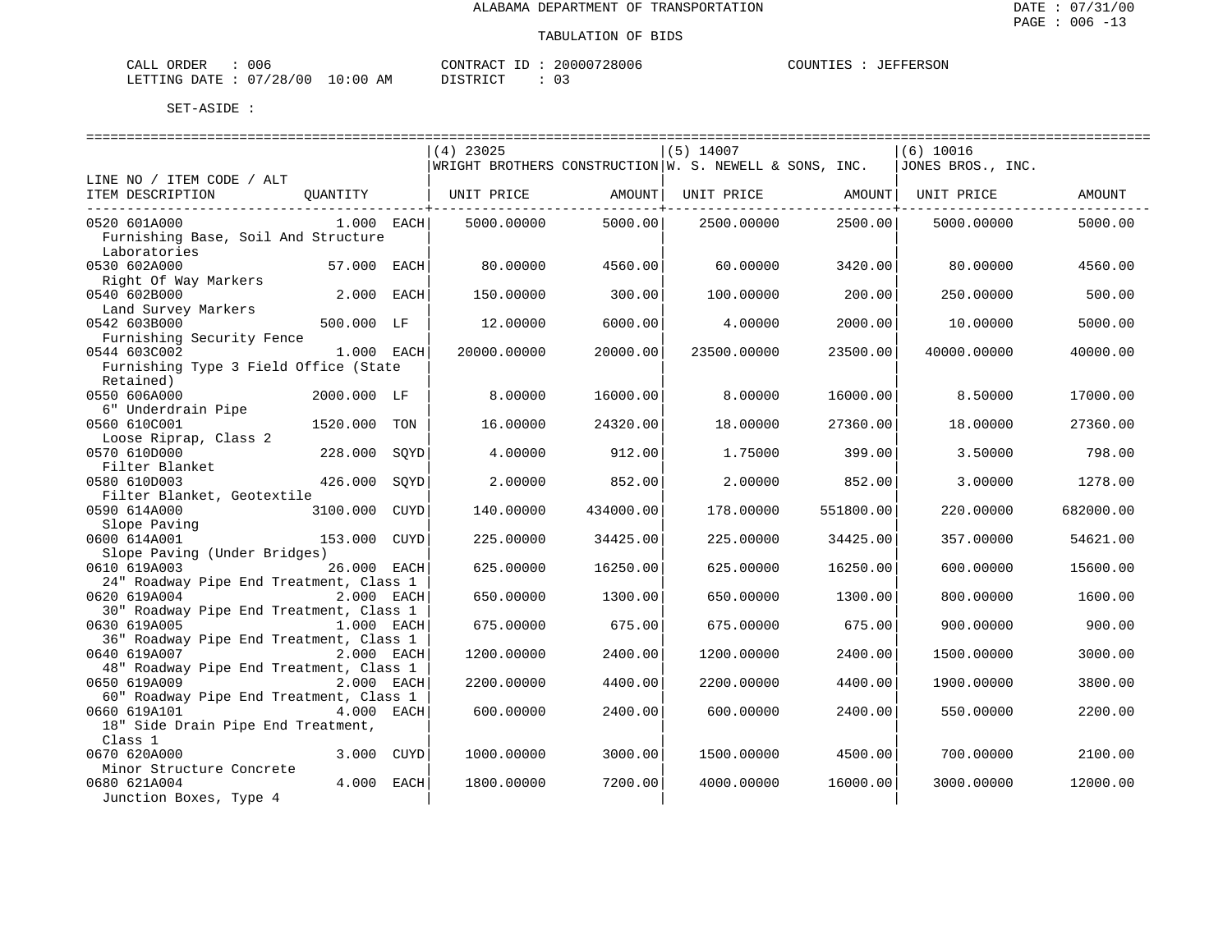| $\sim - -$<br><b>CRDER</b><br>لىلە: | $\sim$ $\sim$<br>uud          |             | סידיזו∩י<br>$\sim$ $\sim$ $\sim$ $\sim$ $\sim$ $\sim$                                                                                        | חחחי<br>- 106<br>بع د<br>. | 1 I M |
|-------------------------------------|-------------------------------|-------------|----------------------------------------------------------------------------------------------------------------------------------------------|----------------------------|-------|
| TNG<br>LETT <sup>-</sup><br>חיד בר. | 40 C<br>່າ ຊ<br>20<br>$\cdot$ | . O C<br>ΑМ | $\sim$<br>תי <i>ים</i> דת<br>the contract of the contract of the contract of the contract of the contract of the contract of the contract of | -<br>◡ –<br>___            |       |

|                                            |              |             | $(4)$ 23025                                              |           | $(5)$ 14007 |           | (6) 10016          |           |
|--------------------------------------------|--------------|-------------|----------------------------------------------------------|-----------|-------------|-----------|--------------------|-----------|
|                                            |              |             | WRIGHT BROTHERS CONSTRUCTION $W.$ S. NEWELL & SONS, INC. |           |             |           | JONES BROS., INC.  |           |
| LINE NO / ITEM CODE / ALT                  |              |             |                                                          |           |             |           |                    |           |
| ITEM DESCRIPTION                           | QUANTITY     |             | UNIT PRICE                                               | AMOUNT    | UNIT PRICE  |           | AMOUNT  UNIT PRICE | AMOUNT    |
| 0520 601A000                               | $1.000$ EACH |             | 5000.00000                                               | 5000.00   | 2500.00000  | 2500.00   | 5000.00000         | 5000.00   |
| Furnishing Base, Soil And Structure        |              |             |                                                          |           |             |           |                    |           |
| Laboratories                               |              |             |                                                          |           |             |           |                    |           |
| 0530 602A000                               | 57.000 EACH  |             | 80.00000                                                 | 4560.00   | 60.00000    | 3420.00   | 80.00000           | 4560.00   |
| Right Of Way Markers                       |              |             |                                                          |           |             |           |                    |           |
| 0540 602B000                               | $2.000$ EACH |             | 150.00000                                                | 300.00    | 100.00000   | 200.00    | 250.00000          | 500.00    |
| Land Survey Markers                        |              |             |                                                          |           |             |           |                    |           |
| 0542 603B000                               | 500.000 LF   |             | 12,00000                                                 | 6000.00   | 4.00000     | 2000.00   | 10.00000           | 5000.00   |
| Furnishing Security Fence                  |              |             |                                                          |           |             |           |                    |           |
| 0544 603C002                               | 1.000 EACH   |             | 20000.00000                                              | 20000.00  | 23500.00000 | 23500.00  | 40000.00000        | 40000.00  |
| Furnishing Type 3 Field Office (State      |              |             |                                                          |           |             |           |                    |           |
| Retained)                                  |              |             |                                                          |           |             |           |                    |           |
| 0550 606A000                               | 2000.000 LF  |             | 8.00000                                                  | 16000.00  | 8.00000     | 16000.00  | 8.50000            | 17000.00  |
| 6" Underdrain Pipe                         |              |             |                                                          |           |             |           |                    |           |
| 0560 610C001                               | 1520.000     | TON         | 16.00000                                                 | 24320.00  | 18,00000    | 27360.00  | 18,00000           | 27360.00  |
| Loose Riprap, Class 2                      |              |             |                                                          |           |             |           |                    |           |
| 0570 610D000                               | 228.000      | SOYD        | 4.00000                                                  | 912.00    | 1.75000     | 399.00    | 3.50000            | 798.00    |
| Filter Blanket                             |              |             |                                                          |           |             |           |                    |           |
| 0580 610D003                               | 426.000      | SOYD        | 2.00000                                                  | 852.00    | 2.00000     | 852.00    | 3,00000            | 1278.00   |
| Filter Blanket, Geotextile<br>0590 614A000 | 3100.000     | <b>CUYD</b> | 140.00000                                                | 434000.00 | 178.00000   | 551800.00 | 220,00000          | 682000.00 |
| Slope Paving                               |              |             |                                                          |           |             |           |                    |           |
| 0600 614A001                               | 153.000      | CUYD        | 225.00000                                                | 34425.00  | 225.00000   | 34425.00  | 357.00000          | 54621.00  |
| Slope Paving (Under Bridges)               |              |             |                                                          |           |             |           |                    |           |
| 0610 619A003                               | 26.000 EACH  |             | 625.00000                                                | 16250.00  | 625.00000   | 16250.00  | 600.00000          | 15600.00  |
| 24" Roadway Pipe End Treatment, Class 1    |              |             |                                                          |           |             |           |                    |           |
| 0620 619A004                               | 2.000 EACH   |             | 650.00000                                                | 1300.00   | 650.00000   | 1300.00   | 800.00000          | 1600.00   |
| 30" Roadway Pipe End Treatment, Class 1    |              |             |                                                          |           |             |           |                    |           |
| 0630 619A005                               | 1.000 EACH   |             | 675.00000                                                | 675.00    | 675.00000   | 675.00    | 900.00000          | 900.00    |
| 36" Roadway Pipe End Treatment, Class 1    |              |             |                                                          |           |             |           |                    |           |
| 0640 619A007                               | 2.000 EACH   |             | 1200.00000                                               | 2400.00   | 1200.00000  | 2400.00   | 1500.00000         | 3000.00   |
| 48" Roadway Pipe End Treatment, Class 1    |              |             |                                                          |           |             |           |                    |           |
| 0650 619A009                               | 2.000 EACH   |             | 2200.00000                                               | 4400.00   | 2200.00000  | 4400.00   | 1900.00000         | 3800.00   |
| 60" Roadway Pipe End Treatment, Class 1    |              |             |                                                          |           |             |           |                    |           |
| 0660 619A101                               | 4.000 EACH   |             | 600.00000                                                | 2400.00   | 600.00000   | 2400.00   | 550.00000          | 2200.00   |
| 18" Side Drain Pipe End Treatment,         |              |             |                                                          |           |             |           |                    |           |
| Class 1                                    |              |             |                                                          |           |             |           |                    |           |
| 0670 620A000                               | 3.000 CUYD   |             | 1000.00000                                               | 3000.00   | 1500.00000  | 4500.00   | 700.00000          | 2100.00   |
| Minor Structure Concrete<br>0680 621A004   | 4.000 EACH   |             |                                                          |           |             |           |                    |           |
| Junction Boxes, Type 4                     |              |             | 1800.00000                                               | 7200.00   | 4000.00000  | 16000.00  | 3000.00000         | 12000.00  |
|                                            |              |             |                                                          |           |             |           |                    |           |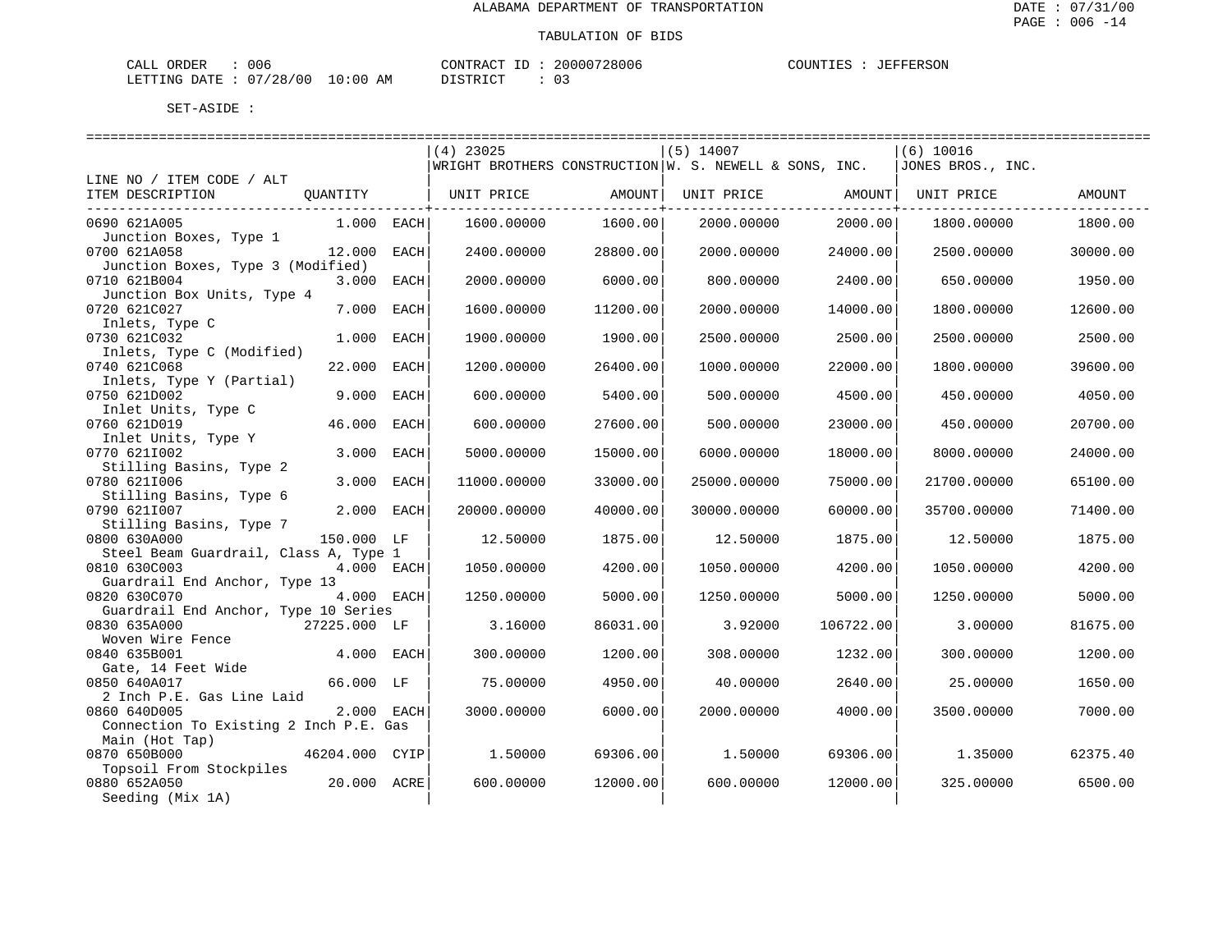| CALL ORDER                      | 006 |  |          | CONTRACT ID: 20000728006 |  | COUNTIES : JEFFERSON |
|---------------------------------|-----|--|----------|--------------------------|--|----------------------|
| LETTING DATE: 07/28/00 10:00 AM |     |  | DISTRICT |                          |  |                      |

|                                                                            | $(4)$ 23025 |          | $(5)$ 14007                                            |           | $(6)$ 10016       |          |
|----------------------------------------------------------------------------|-------------|----------|--------------------------------------------------------|-----------|-------------------|----------|
|                                                                            |             |          | WRIGHT BROTHERS CONSTRUCTION W. S. NEWELL & SONS, INC. |           | JONES BROS., INC. |          |
| LINE NO / ITEM CODE / ALT<br>ITEM DESCRIPTION<br>QUANTITY                  | UNIT PRICE  | AMOUNT   | UNIT PRICE                                             | AMOUNT    | UNIT PRICE        | AMOUNT   |
| 0690 621A005<br>$1.000$ EACH                                               | 1600.00000  | 1600.00  | 2000.00000                                             | 2000.00   | 1800.00000        | 1800.00  |
| Junction Boxes, Type 1<br>0700 621A058<br>12.000<br>EACH                   | 2400.00000  | 28800.00 | 2000.00000                                             | 24000.00  | 2500.00000        | 30000.00 |
| Junction Boxes, Type 3 (Modified)<br>0710 621B004<br>3.000 EACH            | 2000.00000  | 6000.00  | 800,00000                                              | 2400.00   | 650.00000         | 1950.00  |
| Junction Box Units, Type 4<br>0720 621C027<br>7.000<br>EACH                | 1600.00000  | 11200.00 | 2000.00000                                             | 14000.00  | 1800.00000        | 12600.00 |
| Inlets, Type C<br>0730 621C032<br>1.000<br>EACH                            | 1900.00000  | 1900.00  | 2500.00000                                             | 2500.00   | 2500.00000        | 2500.00  |
| Inlets, Type C (Modified)<br>0740 621C068<br>22.000<br><b>EACH</b>         | 1200.00000  | 26400.00 | 1000.00000                                             | 22000.00  | 1800.00000        | 39600.00 |
| Inlets, Type Y (Partial)                                                   |             |          |                                                        |           |                   |          |
| 9.000<br>0750 621D002<br>EACH<br>Inlet Units, Type C                       | 600.00000   | 5400.00  | 500.00000                                              | 4500.00   | 450.00000         | 4050.00  |
| 0760 621D019<br>46.000<br><b>EACH</b><br>Inlet Units, Type Y               | 600,00000   | 27600.00 | 500.00000                                              | 23000.00  | 450.00000         | 20700.00 |
| 0770 6211002<br>3,000<br><b>EACH</b><br>Stilling Basins, Type 2            | 5000.00000  | 15000.00 | 6000.00000                                             | 18000.00  | 8000.00000        | 24000.00 |
| 0780 6211006<br>3.000<br>EACH                                              | 11000.00000 | 33000.00 | 25000.00000                                            | 75000.00  | 21700.00000       | 65100.00 |
| Stilling Basins, Type 6<br>0790 6211007<br>2.000<br>EACH                   | 20000.00000 | 40000.00 | 30000.00000                                            | 60000.00  | 35700.00000       | 71400.00 |
| Stilling Basins, Type 7<br>0800 630A000<br>150.000 LF                      | 12.50000    | 1875.00  | 12.50000                                               | 1875.00   | 12.50000          | 1875.00  |
| Steel Beam Guardrail, Class A, Type 1<br>0810 630C003<br>4.000 EACH        | 1050.00000  | 4200.00  | 1050.00000                                             | 4200.00   | 1050.00000        | 4200.00  |
| Guardrail End Anchor, Type 13<br>4.000 EACH<br>0820 630C070                | 1250.00000  | 5000.00  | 1250.00000                                             | 5000.00   | 1250.00000        | 5000.00  |
| Guardrail End Anchor, Type 10 Series                                       |             |          |                                                        |           |                   |          |
| 0830 635A000<br>27225.000 LF<br>Woven Wire Fence                           | 3.16000     | 86031.00 | 3.92000                                                | 106722.00 | 3,00000           | 81675.00 |
| 0840 635B001<br>4.000<br>EACH<br>Gate, 14 Feet Wide                        | 300.00000   | 1200.00  | 308.00000                                              | 1232.00   | 300.00000         | 1200.00  |
| 0850 640A017<br>66.000 LF<br>2 Inch P.E. Gas Line Laid                     | 75.00000    | 4950.00  | 40.00000                                               | 2640.00   | 25.00000          | 1650.00  |
| 0860 640D005<br>2.000 EACH<br>Connection To Existing 2 Inch P.E. Gas       | 3000.00000  | 6000.00  | 2000.00000                                             | 4000.00   | 3500.00000        | 7000.00  |
| Main (Hot Tap)<br>0870 650B000<br>46204.000 CYIP                           | 1,50000     | 69306.00 | 1.50000                                                | 69306.00  | 1.35000           | 62375.40 |
| Topsoil From Stockpiles<br>0880 652A050<br>20.000 ACRE<br>Seeding (Mix 1A) | 600.00000   | 12000.00 | 600,00000                                              | 12000.00  | 325.00000         | 6500.00  |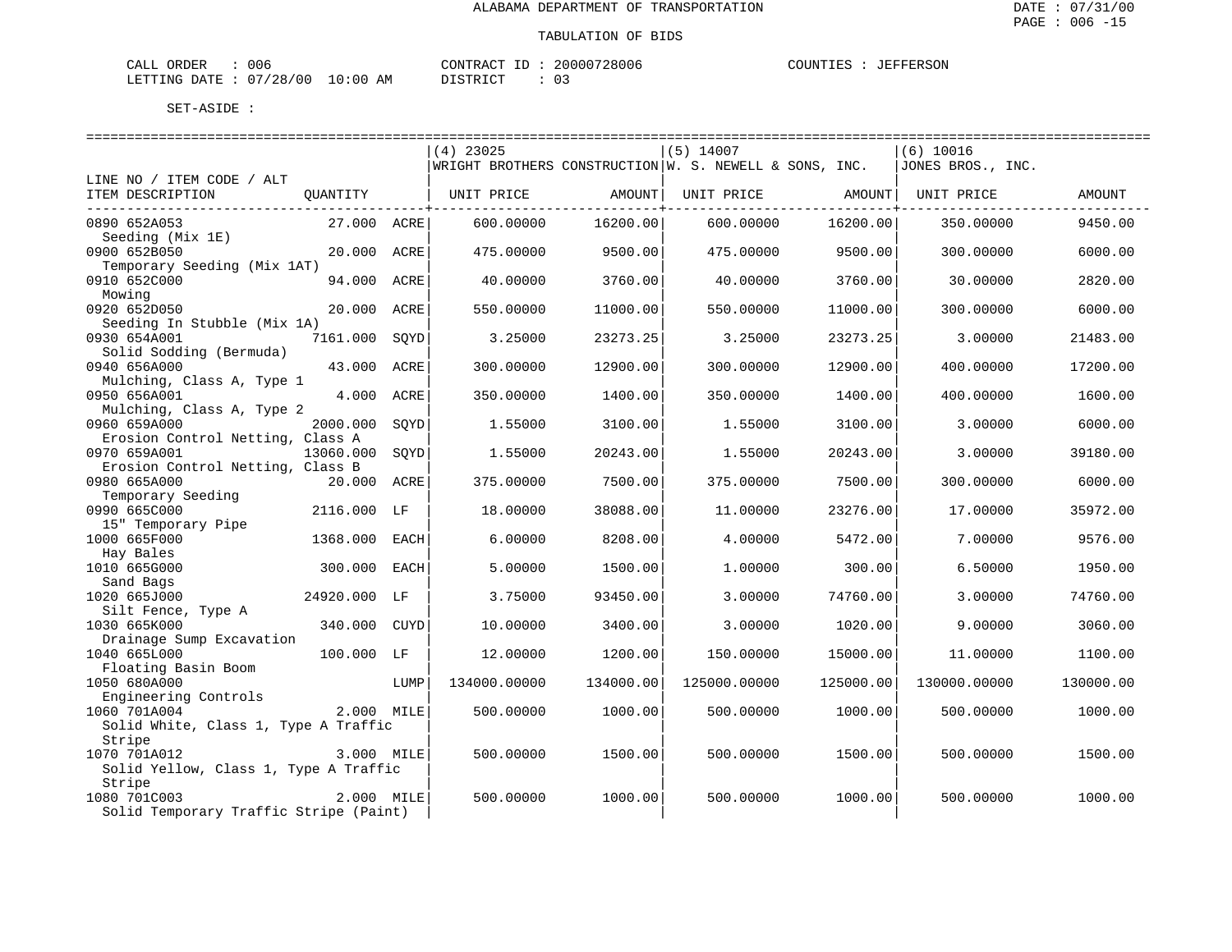| CALL ORDER                      | 006 |  |          | CONTRACT ID: 20000728006 |  | COUNTIES : JEFFERSON |
|---------------------------------|-----|--|----------|--------------------------|--|----------------------|
| LETTING DATE: 07/28/00 10:00 AM |     |  | DISTRICT |                          |  |                      |

|                                        |               |      | $(4)$ 23025                                                            |           | $(5)$ 14007  |                   | $(6)$ 10016       |           |
|----------------------------------------|---------------|------|------------------------------------------------------------------------|-----------|--------------|-------------------|-------------------|-----------|
|                                        |               |      | $\vert$ WRIGHT BROTHERS CONSTRUCTION $\vert$ W. S. NEWELL & SONS, INC. |           |              |                   | JONES BROS., INC. |           |
| LINE NO / ITEM CODE / ALT              |               |      |                                                                        |           |              |                   |                   |           |
| ITEM DESCRIPTION                       | QUANTITY      |      | UNIT PRICE                                                             | AMOUNT    |              | UNIT PRICE AMOUNT | UNIT PRICE        | AMOUNT    |
| -----------------------------          |               |      |                                                                        |           |              |                   |                   |           |
| 0890 652A053                           | 27.000 ACRE   |      | 600,00000                                                              | 16200.00  | 600.00000    | 16200.00          | 350.00000         | 9450.00   |
| Seeding (Mix 1E)                       |               |      |                                                                        |           |              |                   |                   |           |
| 0900 652B050                           | 20.000 ACRE   |      | 475.00000                                                              | 9500.00   | 475.00000    | 9500.00           | 300.00000         | 6000.00   |
| Temporary Seeding (Mix 1AT)            |               |      |                                                                        |           |              |                   |                   |           |
| 0910 652C000                           | 94.000        | ACRE | 40.00000                                                               | 3760.00   | 40.00000     | 3760.00           | 30.00000          | 2820.00   |
| Mowing                                 |               |      |                                                                        |           |              |                   |                   |           |
| 0920 652D050                           | 20.000 ACRE   |      | 550.00000                                                              | 11000.00  | 550.00000    | 11000.00          | 300.00000         | 6000.00   |
| Seeding In Stubble (Mix 1A)            |               |      |                                                                        |           |              |                   |                   |           |
| 0930 654A001                           | 7161.000 SQYD |      | 3.25000                                                                | 23273.25  | 3.25000      | 23273.25          | 3.00000           | 21483.00  |
| Solid Sodding (Bermuda)                |               |      |                                                                        |           |              |                   |                   |           |
| 0940 656A000                           | 43.000 ACRE   |      | 300.00000                                                              | 12900.00  | 300.00000    | 12900.00          | 400.00000         | 17200.00  |
| Mulching, Class A, Type 1              |               |      |                                                                        |           |              |                   |                   |           |
| 0950 656A001                           | 4.000 ACRE    |      | 350.00000                                                              | 1400.00   | 350.00000    | 1400.00           | 400.00000         | 1600.00   |
| Mulching, Class A, Type 2              |               |      |                                                                        |           |              |                   |                   |           |
| 0960 659A000                           | 2000.000      | SOYD | 1.55000                                                                | 3100.00   | 1.55000      | 3100.00           | 3.00000           | 6000.00   |
| Erosion Control Netting, Class A       |               |      |                                                                        |           |              |                   |                   |           |
| 0970 659A001                           | 13060.000     | SOYD | 1.55000                                                                | 20243.00  | 1.55000      | 20243.00          | 3.00000           | 39180.00  |
| Erosion Control Netting, Class B       |               |      |                                                                        |           |              |                   |                   |           |
| 0980 665A000                           | 20.000 ACRE   |      | 375.00000                                                              | 7500.00   | 375.00000    | 7500.00           | 300.00000         | 6000.00   |
| Temporary Seeding                      |               |      |                                                                        |           |              |                   |                   |           |
| 0990 665C000                           | 2116.000 LF   |      | 18.00000                                                               | 38088.00  | 11.00000     | 23276.00          | 17.00000          | 35972.00  |
| 15" Temporary Pipe                     |               |      |                                                                        |           |              |                   |                   |           |
| 1000 665F000                           | 1368.000      | EACH | 6.00000                                                                | 8208.00   | 4.00000      | 5472.00           | 7.00000           | 9576.00   |
| Hay Bales                              |               |      |                                                                        |           |              |                   |                   |           |
| 1010 665G000                           | 300.000 EACH  |      | 5.00000                                                                | 1500.00   | 1,00000      | 300.00            | 6.50000           | 1950.00   |
| Sand Bags                              |               |      |                                                                        |           |              |                   |                   |           |
| 1020 665J000                           | 24920.000 LF  |      | 3.75000                                                                | 93450.00  | 3.00000      | 74760.00          | 3.00000           | 74760.00  |
| Silt Fence, Type A                     |               |      |                                                                        |           |              |                   |                   |           |
| 1030 665K000                           | 340.000       | CUYD | 10.00000                                                               | 3400.00   | 3.00000      | 1020.00           | 9,00000           | 3060.00   |
| Drainage Sump Excavation               |               |      |                                                                        |           |              |                   |                   |           |
| 1040 665L000                           | 100.000 LF    |      | 12.00000                                                               | 1200.00   | 150.00000    | 15000.00          | 11,00000          | 1100.00   |
| Floating Basin Boom                    |               |      |                                                                        |           |              |                   |                   |           |
| 1050 680A000                           |               | LUMP | 134000.00000                                                           | 134000.00 | 125000.00000 | 125000.00         | 130000.00000      | 130000.00 |
| Engineering Controls                   |               |      |                                                                        |           |              |                   |                   |           |
| 1060 701A004                           | 2.000 MILE    |      | 500.00000                                                              | 1000.00   | 500.00000    | 1000.00           | 500.00000         | 1000.00   |
| Solid White, Class 1, Type A Traffic   |               |      |                                                                        |           |              |                   |                   |           |
| Stripe                                 |               |      |                                                                        |           |              |                   |                   |           |
| 1070 701A012                           | 3.000 MILE    |      | 500.00000                                                              | 1500.00   | 500.00000    | 1500.00           | 500.00000         | 1500.00   |
| Solid Yellow, Class 1, Type A Traffic  |               |      |                                                                        |           |              |                   |                   |           |
| Stripe                                 |               |      |                                                                        |           |              |                   |                   |           |
| 1080 701C003                           | 2.000 MILE    |      | 500.00000                                                              | 1000.00   | 500.00000    | 1000.00           | 500.00000         | 1000.00   |
|                                        |               |      |                                                                        |           |              |                   |                   |           |
| Solid Temporary Traffic Stripe (Paint) |               |      |                                                                        |           |              |                   |                   |           |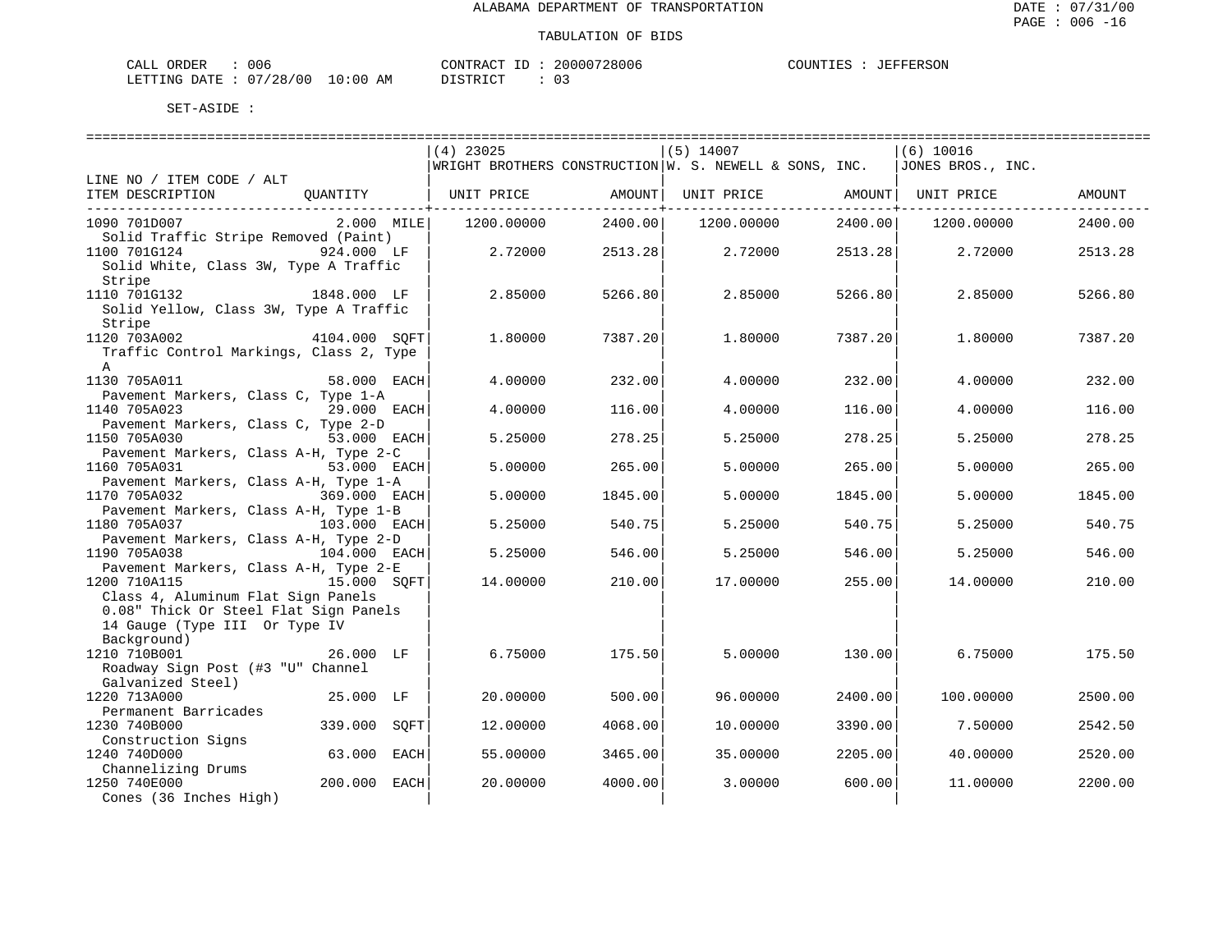| CALL ORDER                      | 006 |          | CONTRACT ID: 20000728006 | COUNTIES : JEFFERSON |  |
|---------------------------------|-----|----------|--------------------------|----------------------|--|
| LETTING DATE: 07/28/00 10:00 AM |     | DISTRICT |                          |                      |  |

|                                                       |                 |             |          | ===========================                                                           |          |                   |         |
|-------------------------------------------------------|-----------------|-------------|----------|---------------------------------------------------------------------------------------|----------|-------------------|---------|
|                                                       |                 | $(4)$ 23025 |          | $(5)$ 14007                                                                           |          | $(6)$ 10016       |         |
|                                                       |                 |             |          | $ \texttt{WRIGHT BROTHERS CONSTRUCTION} $ W. S. NEWELL & SONS, INC.                   |          | JONES BROS., INC. |         |
| LINE NO / ITEM CODE / ALT                             |                 |             |          |                                                                                       |          |                   |         |
| ITEM DESCRIPTION                                      | OUANTITY        |             |          | UNIT PRICE                  AMOUNT    UNIT PRICE                 AMOUNT    UNIT PRICE |          |                   | AMOUNT  |
|                                                       |                 |             |          |                                                                                       |          |                   |         |
| 1090 701D007                                          | $2.000$ MILE    | 1200.00000  | 2400.00  | 1200.00000                                                                            | 2400.00  | 1200.00000        | 2400.00 |
| Solid Traffic Stripe Removed (Paint)                  |                 |             |          |                                                                                       |          |                   |         |
| 1100 701G124                                          | 924.000 LF      | 2.72000     | 2513.28  | 2.72000                                                                               | 2513.28  | 2.72000           | 2513.28 |
| Solid White, Class 3W, Type A Traffic                 |                 |             |          |                                                                                       |          |                   |         |
| Stripe                                                |                 |             |          |                                                                                       |          |                   |         |
| 1110 701G132                                          | 1848.000 LF     | 2.85000     | 5266.80  | 2.85000                                                                               | 5266.80  | 2.85000           | 5266.80 |
| Solid Yellow, Class 3W, Type A Traffic                |                 |             |          |                                                                                       |          |                   |         |
| Stripe                                                |                 |             |          |                                                                                       |          |                   |         |
| 1120 703A002                                          | 4104.000 SQFT   | 1,80000     | 7387.201 | 1,80000                                                                               | 7387.201 | 1.80000           | 7387.20 |
| Traffic Control Markings, Class 2, Type               |                 |             |          |                                                                                       |          |                   |         |
| $\mathbb{A}$                                          |                 |             |          |                                                                                       |          |                   |         |
| 1130 705A011                                          | 58.000 EACH     | 4.00000     | 232.00   | 4,00000                                                                               | 232.00   | 4,00000           | 232.00  |
| Pavement Markers, Class C, Type 1-A                   |                 |             |          |                                                                                       |          |                   |         |
| 1140 705A023                                          | 29.000 EACH     | 4.00000     | 116.00   | 4,00000                                                                               | 116.00   | 4.00000           | 116.00  |
| Pavement Markers, Class C, Type 2-D                   |                 |             |          |                                                                                       |          |                   |         |
| 1150 705A030                                          | 53.000 EACH     | 5.25000     | 278.25   | 5.25000                                                                               | 278.25   | 5.25000           | 278.25  |
| Pavement Markers, Class A-H, Type 2-C                 |                 |             |          |                                                                                       |          |                   |         |
| 1160 705A031                                          | 53.000 EACH     | 5.00000     | 265.00   | 5.00000                                                                               | 265.00   | 5.00000           | 265.00  |
| Pavement Markers, Class A-H, Type 1-A                 |                 |             |          |                                                                                       |          |                   |         |
| 1170 705A032                                          | 369.000 EACH    | 5.00000     | 1845.00  | 5,00000                                                                               | 1845.00  | 5.00000           | 1845.00 |
| Pavement Markers, Class A-H, Type 1-B                 |                 |             |          |                                                                                       |          |                   |         |
| 1180 705A037                                          | 103.000 EACH    | 5.25000     | 540.75   | 5.25000                                                                               | 540.75   | 5.25000           | 540.75  |
| Pavement Markers, Class A-H, Type 2-D                 |                 |             |          |                                                                                       |          |                   |         |
| 1190 705A038                                          | 104.000 EACH    | 5.25000     | 546.00   | 5.25000                                                                               | 546.00   | 5.25000           | 546.00  |
| Pavement Markers, Class A-H, Type 2-E<br>1200 710A115 | 15.000 SOFT     | 14.00000    |          |                                                                                       |          |                   | 210.00  |
| Class 4, Aluminum Flat Sign Panels                    |                 |             | 210.00   | 17.00000                                                                              | 255.00   | 14.00000          |         |
| 0.08" Thick Or Steel Flat Sign Panels                 |                 |             |          |                                                                                       |          |                   |         |
| 14 Gauge (Type III Or Type IV                         |                 |             |          |                                                                                       |          |                   |         |
| Background)                                           |                 |             |          |                                                                                       |          |                   |         |
| 1210 710B001                                          | 26.000 LF       | 6.75000     | 175.50   | 5.00000                                                                               | 130.00   | 6.75000           | 175.50  |
| Roadway Sign Post (#3 "U" Channel                     |                 |             |          |                                                                                       |          |                   |         |
| Galvanized Steel)                                     |                 |             |          |                                                                                       |          |                   |         |
| 1220 713A000                                          | 25.000 LF       | 20,00000    | 500.00   | 96,00000                                                                              | 2400.00  | 100.00000         | 2500.00 |
| Permanent Barricades                                  |                 |             |          |                                                                                       |          |                   |         |
| 1230 740B000                                          | 339.000<br>SQFT | 12.00000    | 4068.00  | 10.00000                                                                              | 3390.00  | 7.50000           | 2542.50 |
| Construction Signs                                    |                 |             |          |                                                                                       |          |                   |         |
| 1240 740D000                                          | 63.000 EACH     | 55.00000    | 3465.00  | 35,00000                                                                              | 2205.00  | 40.00000          | 2520.00 |
| Channelizing Drums                                    |                 |             |          |                                                                                       |          |                   |         |
| 1250 740E000                                          | 200.000 EACH    | 20.00000    | 4000.00  | 3.00000                                                                               | 600.00   | 11.00000          | 2200.00 |
| Cones (36 Inches High)                                |                 |             |          |                                                                                       |          |                   |         |
|                                                       |                 |             |          |                                                                                       |          |                   |         |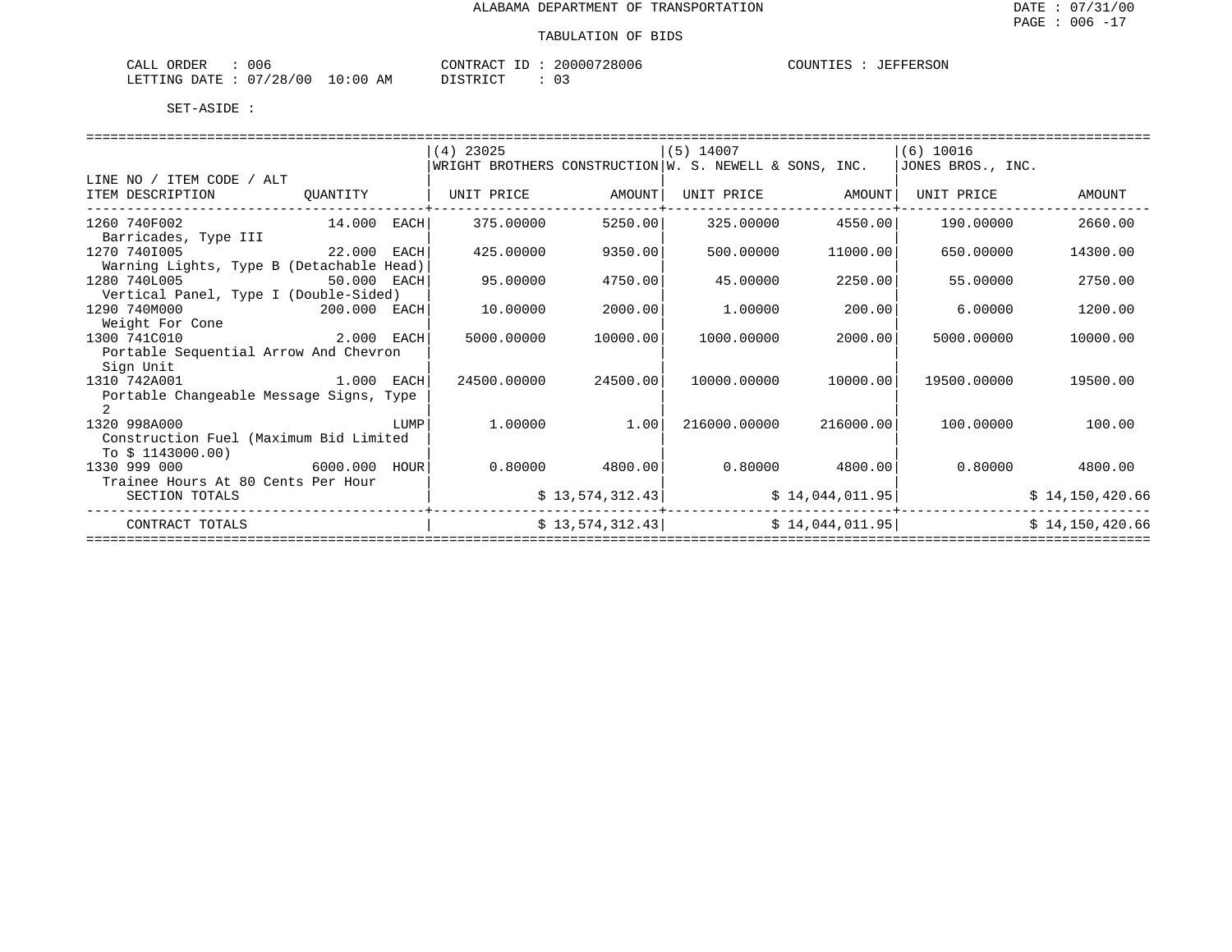| $\sim$ $ -$<br>ORDER<br>CALI | 06 ل                             |                | ∴∧ פידיזור^<br>$\sim$   | '28006<br>200007 | . דוגדור |  |
|------------------------------|----------------------------------|----------------|-------------------------|------------------|----------|--|
| LETTING<br>DATE.             | '00<br>12 R<br>- 7<br>20<br>____ | AΜ<br>$\cdots$ | T T T T T T T<br>$\sim$ |                  |          |  |

|                                                                                                                               |               |      | $(4)$ 23025       |                   | $(5)$ 14007  |                   | (6) 10016                                                                                        |                 |  |
|-------------------------------------------------------------------------------------------------------------------------------|---------------|------|-------------------|-------------------|--------------|-------------------|--------------------------------------------------------------------------------------------------|-----------------|--|
|                                                                                                                               |               |      |                   |                   |              |                   | $\vert$ WRIGHT BROTHERS CONSTRUCTION $\vert$ W. S. NEWELL & SONS, INC. $\vert$ JONES BROS., INC. |                 |  |
| LINE NO / ITEM CODE / ALT                                                                                                     |               |      |                   |                   |              |                   |                                                                                                  |                 |  |
| ITEM DESCRIPTION                                                                                                              | OUANTITY      |      | UNIT PRICE AMOUNT |                   |              | UNIT PRICE AMOUNT | UNIT PRICE                                                                                       | AMOUNT          |  |
| -----------------------<br>1260 740F002<br>Barricades, Type III                                                               | 14.000 EACH   |      | 375,00000         | 5250.00           | 325.00000    | 4550.00           | 190.00000                                                                                        | 2660.00         |  |
| 1270 7401005                                                                                                                  | 22.000 EACH   |      | 425.00000         | 9350.00           | 500.00000    | 11000.00          | 650.00000                                                                                        | 14300.00        |  |
| Warning Lights, Type B (Detachable Head)                                                                                      |               |      |                   |                   |              |                   |                                                                                                  |                 |  |
| 1280 740L005                                                                                                                  | 50.000 EACH   |      | 95.00000          | 4750.00           | 45.00000     | 2250.00           | 55.00000                                                                                         | 2750.00         |  |
| Vertical Panel, Type I (Double-Sided)                                                                                         |               |      |                   |                   |              |                   |                                                                                                  |                 |  |
| 1290 740M000<br>200.000 EACH                                                                                                  |               |      | 10.00000          | 2000.00           | 1,00000      | 200.00            | 6.00000                                                                                          | 1200.00         |  |
| Weight For Cone                                                                                                               |               |      |                   |                   |              |                   |                                                                                                  |                 |  |
| 2.000 EACH<br>1300 741C010                                                                                                    |               |      | 5000.00000        | 10000.00          | 1000.00000   | 2000.00           | 5000.00000                                                                                       | 10000.00        |  |
| Portable Sequential Arrow And Chevron                                                                                         |               |      |                   |                   |              |                   |                                                                                                  |                 |  |
| Sign Unit                                                                                                                     |               |      |                   |                   |              |                   |                                                                                                  |                 |  |
| 1310 742A001<br>ли в 1.000 г. п. на 1.000 г. п. на 1.000 г. п. на 1.000 г. п. на 1.000 г. п. на 1.000 г. п. на 1.000 г. п. на |               |      | 24500.00000       | 24500.00          | 10000.00000  | 10000.00          | 19500.00000                                                                                      | 19500.00        |  |
| Portable Changeable Message Signs, Type                                                                                       |               |      |                   |                   |              |                   |                                                                                                  |                 |  |
|                                                                                                                               |               |      |                   |                   |              |                   |                                                                                                  |                 |  |
| 1320 998A000                                                                                                                  |               | LUMP | 1.00000           | 1.00              | 216000.00000 | 216000.00         | 100.00000                                                                                        | 100.00          |  |
| Construction Fuel (Maximum Bid Limited                                                                                        |               |      |                   |                   |              |                   |                                                                                                  |                 |  |
| To $$1143000.00)$                                                                                                             |               |      |                   |                   |              |                   |                                                                                                  |                 |  |
| 1330 999 000                                                                                                                  | 6000.000 HOUR |      |                   | $0.80000$ 4800.00 |              | $0.80000$ 4800.00 | 0.80000                                                                                          | 4800.00         |  |
| Trainee Hours At 80 Cents Per Hour                                                                                            |               |      |                   |                   |              |                   |                                                                                                  |                 |  |
| SECTION TOTALS                                                                                                                |               |      |                   | \$13,574,312.43   |              | \$14,044,011.95]  |                                                                                                  | \$14,150,420.66 |  |
| CONTRACT TOTALS                                                                                                               |               |      |                   | \$13,574,312.43   |              |                   | \$14,044,011.95                                                                                  | \$14,150,420.66 |  |
|                                                                                                                               |               |      |                   |                   |              |                   |                                                                                                  |                 |  |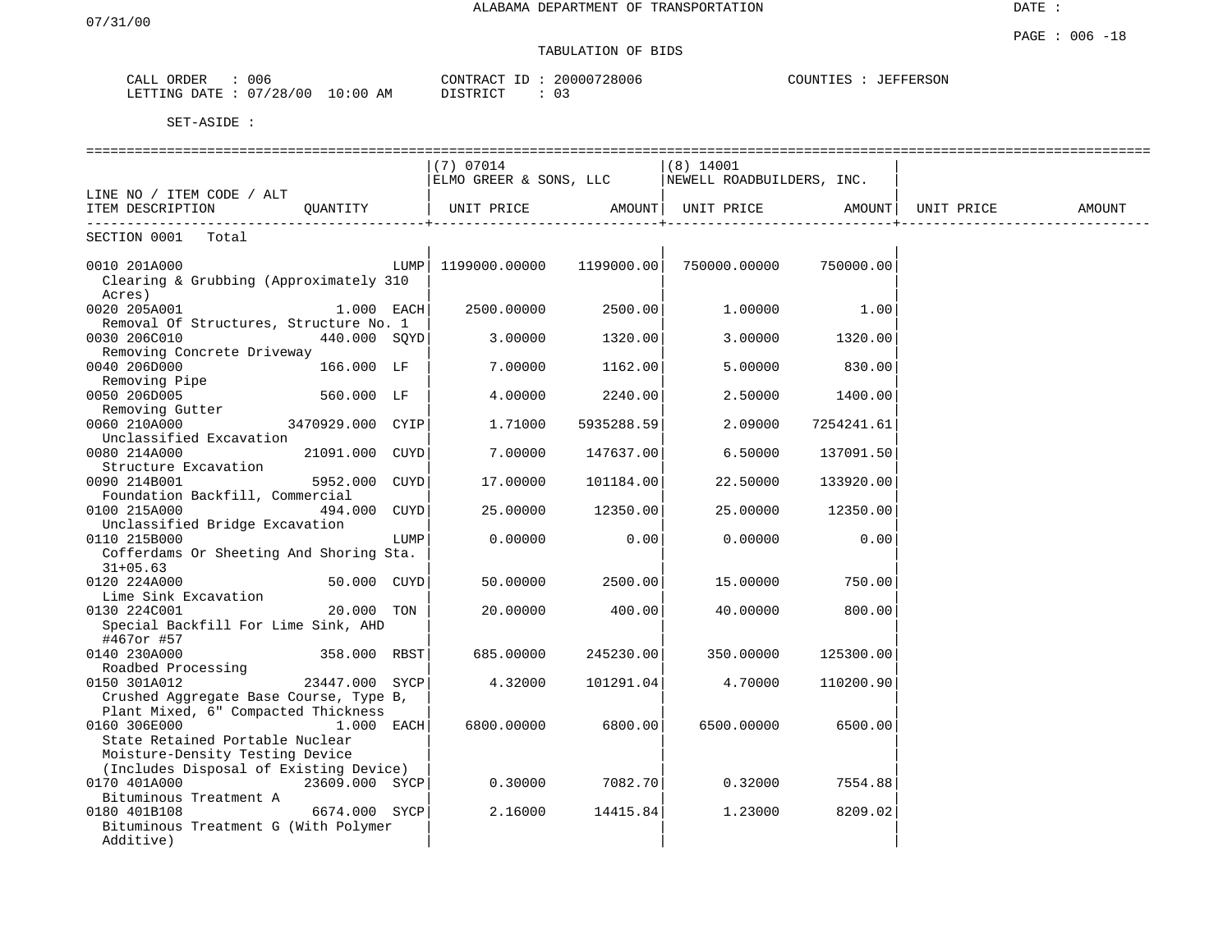DATE :

## TABULATION OF BIDS

| ORDER<br>CALL  | 006        |            | CONTRACT<br>ID | 20000728006   | COUNTIES : | JEFFERSON |
|----------------|------------|------------|----------------|---------------|------------|-----------|
| LETTING DATE : | : 07/28/00 | $10:00$ AM | DISTRICT       | $\cap$<br>. U |            |           |

|                                                 |                  |      | $(7)$ 07014            |            | $(8)$ 14001               |            |            |        |
|-------------------------------------------------|------------------|------|------------------------|------------|---------------------------|------------|------------|--------|
|                                                 |                  |      | ELMO GREER & SONS, LLC |            | NEWELL ROADBUILDERS, INC. |            |            |        |
| LINE NO / ITEM CODE / ALT                       |                  |      |                        |            |                           |            |            |        |
| ITEM DESCRIPTION                                | QUANTITY         |      | UNIT PRICE             | AMOUNT     | UNIT PRICE                | AMOUNT     | UNIT PRICE | AMOUNT |
| SECTION 0001<br>Total                           |                  |      |                        |            |                           |            |            |        |
|                                                 |                  |      |                        |            |                           |            |            |        |
| 0010 201A000                                    |                  |      |                        | 1199000.00 | 750000.00000              | 750000.00  |            |        |
| Clearing & Grubbing (Approximately 310          |                  |      |                        |            |                           |            |            |        |
| Acres)                                          |                  |      |                        |            |                           |            |            |        |
| 0020 205A001                                    | $1.000$ EACH     |      | 2500.00000             | 2500.00    | 1,00000                   | 1.00       |            |        |
| Removal Of Structures, Structure No. 1          |                  |      |                        |            |                           |            |            |        |
| 0030 206C010                                    | 440.000 SOYD     |      | 3.00000                | 1320.00    | 3.00000                   | 1320.00    |            |        |
| Removing Concrete Driveway                      |                  |      |                        |            |                           |            |            |        |
| 0040 206D000                                    | 166.000 LF       |      | 7.00000                | 1162.00    | 5.00000                   | 830.00     |            |        |
| Removing Pipe                                   |                  |      |                        |            |                           |            |            |        |
| 0050 206D005                                    | 560.000 LF       |      | 4.00000                | 2240.00    | 2.50000                   | 1400.00    |            |        |
| Removing Gutter                                 |                  |      |                        |            |                           |            |            |        |
| 0060 210A000                                    | 3470929.000 CYIP |      | 1.71000                | 5935288.59 | 2.09000                   | 7254241.61 |            |        |
| Unclassified Excavation                         |                  |      |                        |            |                           |            |            |        |
| 0080 214A000                                    | 21091.000 CUYD   |      | 7.00000                | 147637.00  | 6.50000                   | 137091.50  |            |        |
| Structure Excavation                            | 5952.000 CUYD    |      | 17,00000               |            |                           |            |            |        |
| 0090 214B001<br>Foundation Backfill, Commercial |                  |      |                        | 101184.00  | 22.50000                  | 133920.00  |            |        |
| 0100 215A000                                    | 494.000 CUYD     |      | 25.00000               | 12350.00   | 25.00000                  | 12350.00   |            |        |
| Unclassified Bridge Excavation                  |                  |      |                        |            |                           |            |            |        |
| 0110 215B000                                    |                  | LUMP | 0.00000                | 0.00       | 0.00000                   | 0.00       |            |        |
| Cofferdams Or Sheeting And Shoring Sta.         |                  |      |                        |            |                           |            |            |        |
| $31+05.63$                                      |                  |      |                        |            |                           |            |            |        |
| 0120 224A000                                    | 50.000 CUYD      |      | 50.00000               | 2500.00    | 15.00000                  | 750.00     |            |        |
| Lime Sink Excavation                            |                  |      |                        |            |                           |            |            |        |
| 0130 224C001                                    | 20.000 TON       |      | 20,00000               | 400.00     | 40.00000                  | 800.00     |            |        |
| Special Backfill For Lime Sink, AHD             |                  |      |                        |            |                           |            |            |        |
| #467or #57                                      |                  |      |                        |            |                           |            |            |        |
| 0140 230A000                                    | 358.000 RBST     |      | 685.00000              | 245230.00  | 350.00000                 | 125300.00  |            |        |
| Roadbed Processing                              |                  |      |                        |            |                           |            |            |        |
| 0150 301A012                                    | 23447.000 SYCP   |      | 4.32000                | 101291.04  | 4.70000                   | 110200.90  |            |        |
| Crushed Aggregate Base Course, Type B,          |                  |      |                        |            |                           |            |            |        |
| Plant Mixed, 6" Compacted Thickness             |                  |      |                        |            |                           |            |            |        |
| 0160 306E000                                    | $1.000$ EACH     |      | 6800.00000             | 6800.00    | 6500.00000                | 6500.00    |            |        |
| State Retained Portable Nuclear                 |                  |      |                        |            |                           |            |            |        |
| Moisture-Density Testing Device                 |                  |      |                        |            |                           |            |            |        |
| (Includes Disposal of Existing Device)          |                  |      |                        |            |                           |            |            |        |
| 0170 401A000                                    | 23609.000 SYCP   |      | 0.30000                | 7082.70    | 0.32000                   | 7554.88    |            |        |
| Bituminous Treatment A                          |                  |      |                        |            |                           |            |            |        |
| 0180 401B108                                    | 6674.000 SYCP    |      | 2.16000                | 14415.84   | 1,23000                   | 8209.02    |            |        |
| Bituminous Treatment G (With Polymer            |                  |      |                        |            |                           |            |            |        |
| Additive)                                       |                  |      |                        |            |                           |            |            |        |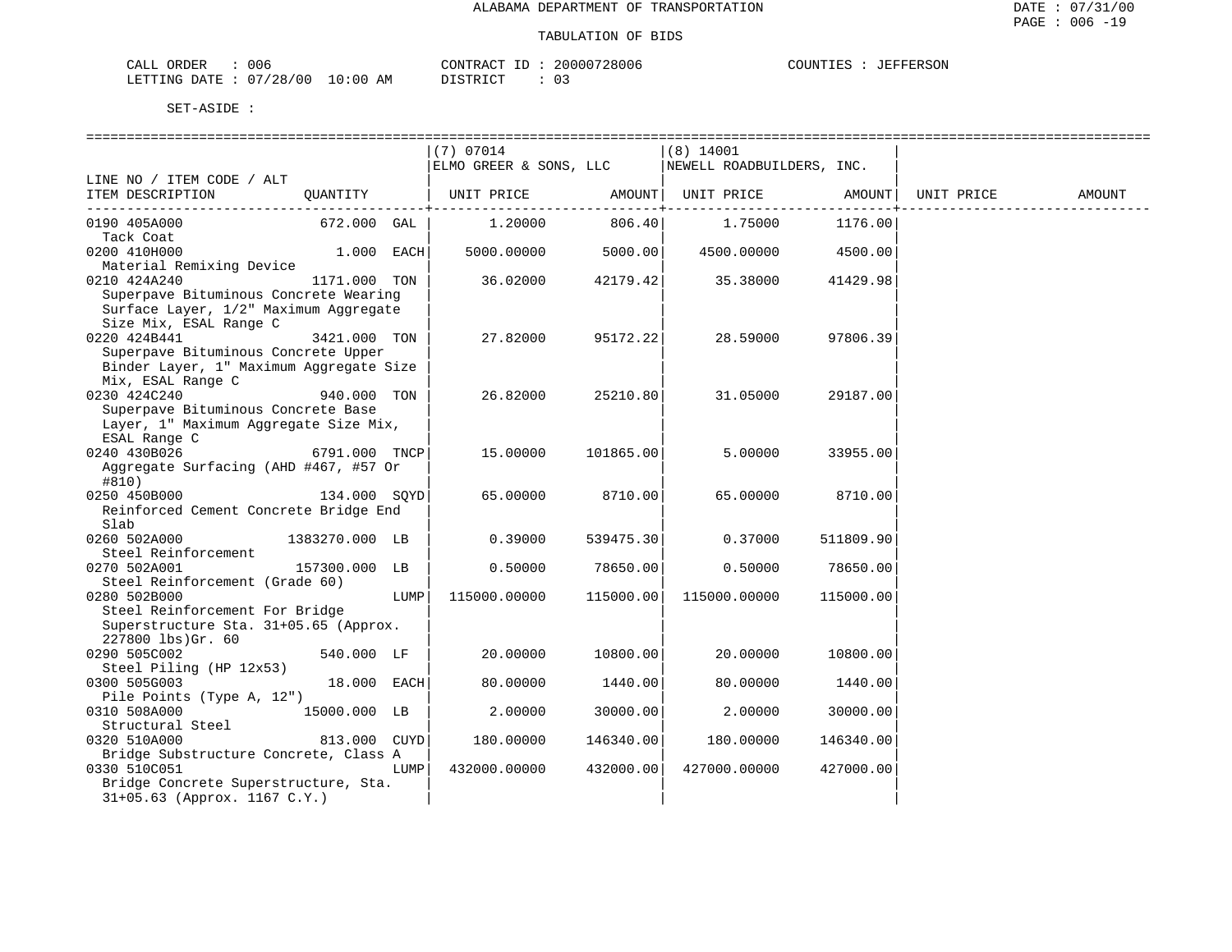| 006<br>CALL ORDER                | CONTRACT ID: 2 | 20000728006 | COUNTIES : JEFFERSON |
|----------------------------------|----------------|-------------|----------------------|
| LETTING DATE : 07/28/00 10:00 AM | DISTRICT       |             |                      |

|                                                                             |                |      | $(7)$ 07014            |                                     | $(8)$ 14001               |                       |            |        |
|-----------------------------------------------------------------------------|----------------|------|------------------------|-------------------------------------|---------------------------|-----------------------|------------|--------|
|                                                                             |                |      | ELMO GREER & SONS, LLC |                                     | NEWELL ROADBUILDERS, INC. |                       |            |        |
| LINE NO / ITEM CODE / ALT                                                   |                |      |                        |                                     |                           |                       |            |        |
| ITEM DESCRIPTION                                                            | QUANTITY       |      | UNIT PRICE             |                                     | AMOUNT   UNIT PRICE       | AMOUNT                | UNIT PRICE | AMOUNT |
| 0190 405A000                                                                | 672.000 GAL    |      | 1.20000                | . - - - - - - - - - - + -<br>806.40 | 1.75000                   | ---------+<br>1176.00 |            |        |
| Tack Coat                                                                   |                |      |                        |                                     |                           |                       |            |        |
| 0200 410H000                                                                | $1.000$ EACH   |      | 5000.00000             | 5000.00                             | 4500.00000                | 4500.00               |            |        |
| Material Remixing Device                                                    |                |      |                        |                                     |                           |                       |            |        |
| 0210 424A240                                                                | 1171.000 TON   |      | 36.02000               | 42179.42                            | 35.38000                  | 41429.98              |            |        |
| Superpave Bituminous Concrete Wearing                                       |                |      |                        |                                     |                           |                       |            |        |
| Surface Layer, 1/2" Maximum Aggregate                                       |                |      |                        |                                     |                           |                       |            |        |
| Size Mix, ESAL Range C                                                      |                |      |                        |                                     |                           |                       |            |        |
| 0220 424B441                                                                | 3421.000 TON   |      | 27.82000               | 95172.22                            | 28.59000                  | 97806.39              |            |        |
| Superpave Bituminous Concrete Upper                                         |                |      |                        |                                     |                           |                       |            |        |
| Binder Layer, 1" Maximum Aggregate Size                                     |                |      |                        |                                     |                           |                       |            |        |
| Mix, ESAL Range C                                                           |                |      |                        |                                     |                           |                       |            |        |
| 0230 424C240                                                                | 940.000 TON    |      | 26.82000               | 25210.80                            | 31.05000                  | 29187.00              |            |        |
| Superpave Bituminous Concrete Base<br>Layer, 1" Maximum Aggregate Size Mix, |                |      |                        |                                     |                           |                       |            |        |
| ESAL Range C                                                                |                |      |                        |                                     |                           |                       |            |        |
| 0240 430B026                                                                | 6791.000 TNCP  |      | 15.00000               | 101865.00                           | 5.00000                   | 33955.00              |            |        |
| Aggregate Surfacing (AHD #467, #57 Or                                       |                |      |                        |                                     |                           |                       |            |        |
| #810)                                                                       |                |      |                        |                                     |                           |                       |            |        |
| 0250 450B000                                                                | 134.000 SOYD   |      | 65.00000               | 8710.00                             | 65.00000                  | 8710.00               |            |        |
| Reinforced Cement Concrete Bridge End                                       |                |      |                        |                                     |                           |                       |            |        |
| Slab                                                                        |                |      |                        |                                     |                           |                       |            |        |
| 0260 502A000                                                                | 1383270.000 LB |      | 0.39000                | 539475.30                           | 0.37000                   | 511809.90             |            |        |
| Steel Reinforcement                                                         |                |      |                        |                                     |                           |                       |            |        |
| 0270 502A001                                                                | 157300.000 LB  |      | 0.50000                | 78650.00                            | 0.50000                   | 78650.00              |            |        |
| Steel Reinforcement (Grade 60)                                              |                |      |                        |                                     |                           |                       |            |        |
| 0280 502B000                                                                |                | LUMP | 115000.00000           | 115000.00                           | 115000.00000              | 115000.00             |            |        |
| Steel Reinforcement For Bridge                                              |                |      |                        |                                     |                           |                       |            |        |
| Superstructure Sta. 31+05.65 (Approx.                                       |                |      |                        |                                     |                           |                       |            |        |
| $227800$ lbs) $Gr. 60$                                                      |                |      |                        |                                     |                           |                       |            |        |
| 0290 505C002                                                                | 540.000 LF     |      | 20.00000               | 10800.00                            | 20.00000                  | 10800.00              |            |        |
| Steel Piling (HP 12x53)                                                     |                |      |                        |                                     |                           |                       |            |        |
| 0300 505G003                                                                | 18.000 EACH    |      | 80.00000               | 1440.00                             | 80.00000                  | 1440.00               |            |        |
| Pile Points (Type A, 12")                                                   |                |      |                        |                                     |                           |                       |            |        |
| 0310 508A000                                                                | 15000.000 LB   |      | 2.00000                | 30000.00                            | 2.00000                   | 30000.00              |            |        |
| Structural Steel                                                            |                |      |                        |                                     |                           |                       |            |        |
| 0320 510A000                                                                | 813.000 CUYD   |      | 180.00000              | 146340.00                           | 180.00000                 | 146340.00             |            |        |
| Bridge Substructure Concrete, Class A                                       |                |      |                        |                                     |                           |                       |            |        |
| 0330 510C051                                                                |                | LUMP | 432000.00000           | 432000.00                           | 427000.00000              | 427000.00             |            |        |
| Bridge Concrete Superstructure, Sta.                                        |                |      |                        |                                     |                           |                       |            |        |
| 31+05.63 (Approx. 1167 C.Y.)                                                |                |      |                        |                                     |                           |                       |            |        |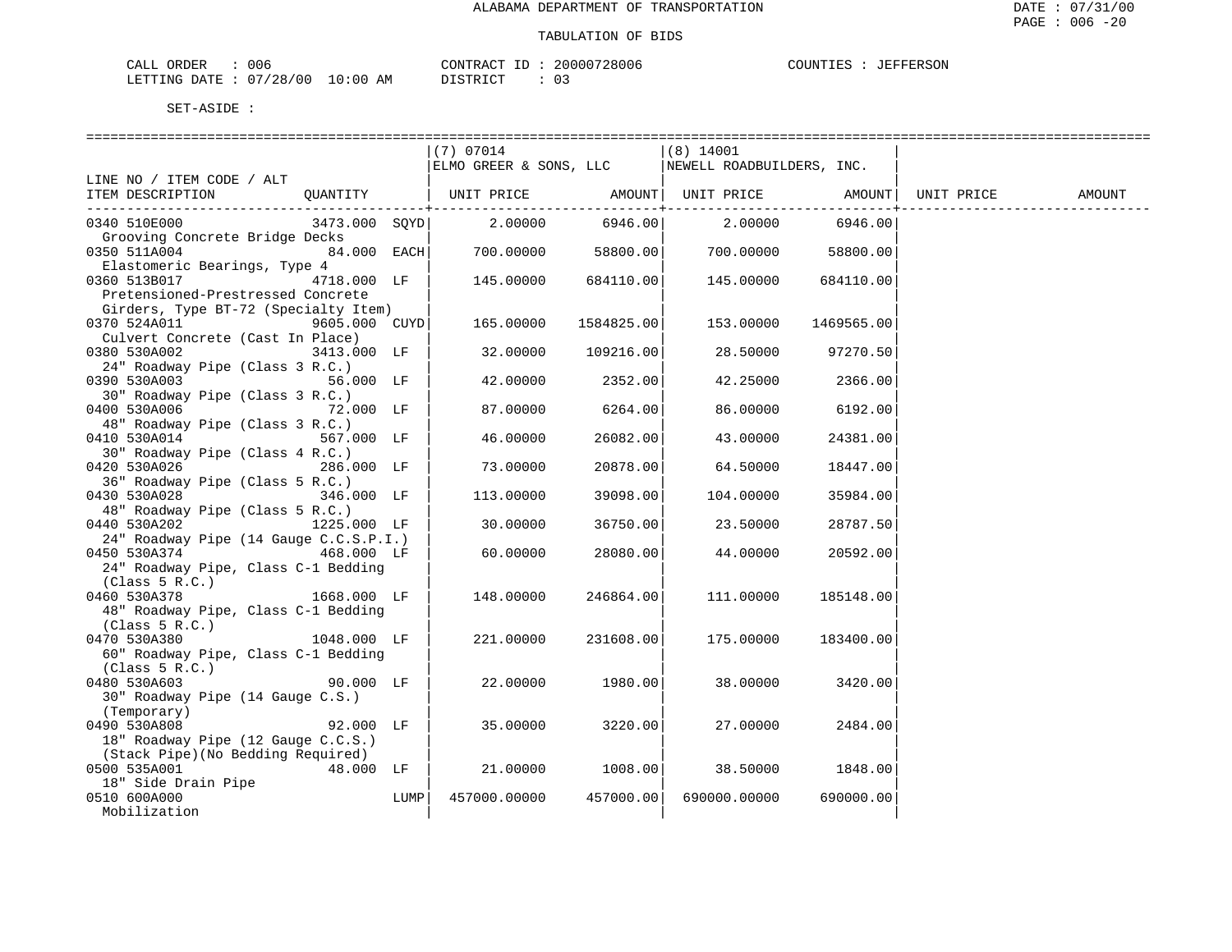| CALL ORDER                      | 006 |          | CONTRACT ID: 20000728006 | COUNTIES : JEFFERSON |  |
|---------------------------------|-----|----------|--------------------------|----------------------|--|
| LETTING DATE: 07/28/00 10:00 AM |     | DISTRICT |                          |                      |  |

| (7) 07014<br>$(8)$ 14001<br>ELMO GREER & SONS, LLC<br>NEWELL ROADBUILDERS, INC.<br>LINE NO / ITEM CODE / ALT<br>QUANTITY   UNIT PRICE AMOUNT  UNIT PRICE AMOUNT<br>ITEM DESCRIPTION<br>UNIT PRICE<br>AMOUNT<br>----------+------<br>$2.00000$ $6946.00$ $2.00000$ $6946.00$<br>0340 510E000<br>3473.000 SOYD<br>Grooving Concrete Bridge Decks<br>700.00000 58800.00<br>0350 511A004<br>84.000 EACH<br>700.00000 58800.00<br>Elastomeric Bearings, Type 4<br>0360 513B017<br>4718.000 LF<br>684110.00<br>684110.00<br>145.00000<br>145.00000<br>Pretensioned-Prestressed Concrete<br>Girders, Type BT-72 (Specialty Item)<br>0370 524A011<br>9605.000 CUYD<br>1584825.00<br>153.00000<br>165.00000<br>1469565.00<br>Culvert Concrete (Cast In Place)<br>0380 530A002<br>3413.000 LF<br>32.00000<br>109216.00<br>28.50000<br>97270.50<br>24" Roadway Pipe (Class 3 R.C.)<br>0390 530A003<br>2352.00<br>42.25000<br>56.000 LF<br>42.00000<br>2366.00<br>30" Roadway Pipe (Class 3 R.C.)<br>0400 530A006<br>72.000 LF<br>87.00000<br>6264.00<br>86.00000<br>6192.00<br>48" Roadway Pipe (Class 3 R.C.)<br>0410 530A014<br>26082.00<br>567.000 LF<br>46.00000<br>43.00000<br>24381.00<br>30" Roadway Pipe (Class 4 R.C.)<br>0420 530A026<br>20878.00<br>286.000 LF<br>73.00000<br>64.50000<br>18447.00<br>36" Roadway Pipe (Class 5 R.C.)<br>0430 530A028<br>346.000 LF<br>113.00000<br>39098.00<br>104.00000<br>35984.00<br>48" Roadway Pipe (Class 5 R.C.)<br>0440 530A202<br>1225.000 LF<br>30,00000<br>36750.00<br>23.50000<br>28787.50<br>24" Roadway Pipe (14 Gauge C.C.S.P.I.)<br>0450 530A374 468.000 LF<br>60.00000<br>28080.00<br>44.00000<br>20592.00<br>24" Roadway Pipe, Class C-1 Bedding<br>(Class 5 R.C.)<br>1668.000 LF<br>246864.00<br>0460 530A378<br>148.00000<br>111.00000<br>185148.00<br>48" Roadway Pipe, Class C-1 Bedding |  |  |  |  |
|-------------------------------------------------------------------------------------------------------------------------------------------------------------------------------------------------------------------------------------------------------------------------------------------------------------------------------------------------------------------------------------------------------------------------------------------------------------------------------------------------------------------------------------------------------------------------------------------------------------------------------------------------------------------------------------------------------------------------------------------------------------------------------------------------------------------------------------------------------------------------------------------------------------------------------------------------------------------------------------------------------------------------------------------------------------------------------------------------------------------------------------------------------------------------------------------------------------------------------------------------------------------------------------------------------------------------------------------------------------------------------------------------------------------------------------------------------------------------------------------------------------------------------------------------------------------------------------------------------------------------------------------------------------------------------------------------------------------------------------------------------------------------------------------------------------------------------------------------|--|--|--|--|
|                                                                                                                                                                                                                                                                                                                                                                                                                                                                                                                                                                                                                                                                                                                                                                                                                                                                                                                                                                                                                                                                                                                                                                                                                                                                                                                                                                                                                                                                                                                                                                                                                                                                                                                                                                                                                                                 |  |  |  |  |
|                                                                                                                                                                                                                                                                                                                                                                                                                                                                                                                                                                                                                                                                                                                                                                                                                                                                                                                                                                                                                                                                                                                                                                                                                                                                                                                                                                                                                                                                                                                                                                                                                                                                                                                                                                                                                                                 |  |  |  |  |
|                                                                                                                                                                                                                                                                                                                                                                                                                                                                                                                                                                                                                                                                                                                                                                                                                                                                                                                                                                                                                                                                                                                                                                                                                                                                                                                                                                                                                                                                                                                                                                                                                                                                                                                                                                                                                                                 |  |  |  |  |
|                                                                                                                                                                                                                                                                                                                                                                                                                                                                                                                                                                                                                                                                                                                                                                                                                                                                                                                                                                                                                                                                                                                                                                                                                                                                                                                                                                                                                                                                                                                                                                                                                                                                                                                                                                                                                                                 |  |  |  |  |
|                                                                                                                                                                                                                                                                                                                                                                                                                                                                                                                                                                                                                                                                                                                                                                                                                                                                                                                                                                                                                                                                                                                                                                                                                                                                                                                                                                                                                                                                                                                                                                                                                                                                                                                                                                                                                                                 |  |  |  |  |
|                                                                                                                                                                                                                                                                                                                                                                                                                                                                                                                                                                                                                                                                                                                                                                                                                                                                                                                                                                                                                                                                                                                                                                                                                                                                                                                                                                                                                                                                                                                                                                                                                                                                                                                                                                                                                                                 |  |  |  |  |
|                                                                                                                                                                                                                                                                                                                                                                                                                                                                                                                                                                                                                                                                                                                                                                                                                                                                                                                                                                                                                                                                                                                                                                                                                                                                                                                                                                                                                                                                                                                                                                                                                                                                                                                                                                                                                                                 |  |  |  |  |
|                                                                                                                                                                                                                                                                                                                                                                                                                                                                                                                                                                                                                                                                                                                                                                                                                                                                                                                                                                                                                                                                                                                                                                                                                                                                                                                                                                                                                                                                                                                                                                                                                                                                                                                                                                                                                                                 |  |  |  |  |
|                                                                                                                                                                                                                                                                                                                                                                                                                                                                                                                                                                                                                                                                                                                                                                                                                                                                                                                                                                                                                                                                                                                                                                                                                                                                                                                                                                                                                                                                                                                                                                                                                                                                                                                                                                                                                                                 |  |  |  |  |
|                                                                                                                                                                                                                                                                                                                                                                                                                                                                                                                                                                                                                                                                                                                                                                                                                                                                                                                                                                                                                                                                                                                                                                                                                                                                                                                                                                                                                                                                                                                                                                                                                                                                                                                                                                                                                                                 |  |  |  |  |
|                                                                                                                                                                                                                                                                                                                                                                                                                                                                                                                                                                                                                                                                                                                                                                                                                                                                                                                                                                                                                                                                                                                                                                                                                                                                                                                                                                                                                                                                                                                                                                                                                                                                                                                                                                                                                                                 |  |  |  |  |
|                                                                                                                                                                                                                                                                                                                                                                                                                                                                                                                                                                                                                                                                                                                                                                                                                                                                                                                                                                                                                                                                                                                                                                                                                                                                                                                                                                                                                                                                                                                                                                                                                                                                                                                                                                                                                                                 |  |  |  |  |
|                                                                                                                                                                                                                                                                                                                                                                                                                                                                                                                                                                                                                                                                                                                                                                                                                                                                                                                                                                                                                                                                                                                                                                                                                                                                                                                                                                                                                                                                                                                                                                                                                                                                                                                                                                                                                                                 |  |  |  |  |
|                                                                                                                                                                                                                                                                                                                                                                                                                                                                                                                                                                                                                                                                                                                                                                                                                                                                                                                                                                                                                                                                                                                                                                                                                                                                                                                                                                                                                                                                                                                                                                                                                                                                                                                                                                                                                                                 |  |  |  |  |
|                                                                                                                                                                                                                                                                                                                                                                                                                                                                                                                                                                                                                                                                                                                                                                                                                                                                                                                                                                                                                                                                                                                                                                                                                                                                                                                                                                                                                                                                                                                                                                                                                                                                                                                                                                                                                                                 |  |  |  |  |
|                                                                                                                                                                                                                                                                                                                                                                                                                                                                                                                                                                                                                                                                                                                                                                                                                                                                                                                                                                                                                                                                                                                                                                                                                                                                                                                                                                                                                                                                                                                                                                                                                                                                                                                                                                                                                                                 |  |  |  |  |
|                                                                                                                                                                                                                                                                                                                                                                                                                                                                                                                                                                                                                                                                                                                                                                                                                                                                                                                                                                                                                                                                                                                                                                                                                                                                                                                                                                                                                                                                                                                                                                                                                                                                                                                                                                                                                                                 |  |  |  |  |
|                                                                                                                                                                                                                                                                                                                                                                                                                                                                                                                                                                                                                                                                                                                                                                                                                                                                                                                                                                                                                                                                                                                                                                                                                                                                                                                                                                                                                                                                                                                                                                                                                                                                                                                                                                                                                                                 |  |  |  |  |
|                                                                                                                                                                                                                                                                                                                                                                                                                                                                                                                                                                                                                                                                                                                                                                                                                                                                                                                                                                                                                                                                                                                                                                                                                                                                                                                                                                                                                                                                                                                                                                                                                                                                                                                                                                                                                                                 |  |  |  |  |
|                                                                                                                                                                                                                                                                                                                                                                                                                                                                                                                                                                                                                                                                                                                                                                                                                                                                                                                                                                                                                                                                                                                                                                                                                                                                                                                                                                                                                                                                                                                                                                                                                                                                                                                                                                                                                                                 |  |  |  |  |
|                                                                                                                                                                                                                                                                                                                                                                                                                                                                                                                                                                                                                                                                                                                                                                                                                                                                                                                                                                                                                                                                                                                                                                                                                                                                                                                                                                                                                                                                                                                                                                                                                                                                                                                                                                                                                                                 |  |  |  |  |
|                                                                                                                                                                                                                                                                                                                                                                                                                                                                                                                                                                                                                                                                                                                                                                                                                                                                                                                                                                                                                                                                                                                                                                                                                                                                                                                                                                                                                                                                                                                                                                                                                                                                                                                                                                                                                                                 |  |  |  |  |
|                                                                                                                                                                                                                                                                                                                                                                                                                                                                                                                                                                                                                                                                                                                                                                                                                                                                                                                                                                                                                                                                                                                                                                                                                                                                                                                                                                                                                                                                                                                                                                                                                                                                                                                                                                                                                                                 |  |  |  |  |
|                                                                                                                                                                                                                                                                                                                                                                                                                                                                                                                                                                                                                                                                                                                                                                                                                                                                                                                                                                                                                                                                                                                                                                                                                                                                                                                                                                                                                                                                                                                                                                                                                                                                                                                                                                                                                                                 |  |  |  |  |
|                                                                                                                                                                                                                                                                                                                                                                                                                                                                                                                                                                                                                                                                                                                                                                                                                                                                                                                                                                                                                                                                                                                                                                                                                                                                                                                                                                                                                                                                                                                                                                                                                                                                                                                                                                                                                                                 |  |  |  |  |
|                                                                                                                                                                                                                                                                                                                                                                                                                                                                                                                                                                                                                                                                                                                                                                                                                                                                                                                                                                                                                                                                                                                                                                                                                                                                                                                                                                                                                                                                                                                                                                                                                                                                                                                                                                                                                                                 |  |  |  |  |
|                                                                                                                                                                                                                                                                                                                                                                                                                                                                                                                                                                                                                                                                                                                                                                                                                                                                                                                                                                                                                                                                                                                                                                                                                                                                                                                                                                                                                                                                                                                                                                                                                                                                                                                                                                                                                                                 |  |  |  |  |
|                                                                                                                                                                                                                                                                                                                                                                                                                                                                                                                                                                                                                                                                                                                                                                                                                                                                                                                                                                                                                                                                                                                                                                                                                                                                                                                                                                                                                                                                                                                                                                                                                                                                                                                                                                                                                                                 |  |  |  |  |
|                                                                                                                                                                                                                                                                                                                                                                                                                                                                                                                                                                                                                                                                                                                                                                                                                                                                                                                                                                                                                                                                                                                                                                                                                                                                                                                                                                                                                                                                                                                                                                                                                                                                                                                                                                                                                                                 |  |  |  |  |
|                                                                                                                                                                                                                                                                                                                                                                                                                                                                                                                                                                                                                                                                                                                                                                                                                                                                                                                                                                                                                                                                                                                                                                                                                                                                                                                                                                                                                                                                                                                                                                                                                                                                                                                                                                                                                                                 |  |  |  |  |
|                                                                                                                                                                                                                                                                                                                                                                                                                                                                                                                                                                                                                                                                                                                                                                                                                                                                                                                                                                                                                                                                                                                                                                                                                                                                                                                                                                                                                                                                                                                                                                                                                                                                                                                                                                                                                                                 |  |  |  |  |
|                                                                                                                                                                                                                                                                                                                                                                                                                                                                                                                                                                                                                                                                                                                                                                                                                                                                                                                                                                                                                                                                                                                                                                                                                                                                                                                                                                                                                                                                                                                                                                                                                                                                                                                                                                                                                                                 |  |  |  |  |
|                                                                                                                                                                                                                                                                                                                                                                                                                                                                                                                                                                                                                                                                                                                                                                                                                                                                                                                                                                                                                                                                                                                                                                                                                                                                                                                                                                                                                                                                                                                                                                                                                                                                                                                                                                                                                                                 |  |  |  |  |
|                                                                                                                                                                                                                                                                                                                                                                                                                                                                                                                                                                                                                                                                                                                                                                                                                                                                                                                                                                                                                                                                                                                                                                                                                                                                                                                                                                                                                                                                                                                                                                                                                                                                                                                                                                                                                                                 |  |  |  |  |
| (Class 5 R.C.)                                                                                                                                                                                                                                                                                                                                                                                                                                                                                                                                                                                                                                                                                                                                                                                                                                                                                                                                                                                                                                                                                                                                                                                                                                                                                                                                                                                                                                                                                                                                                                                                                                                                                                                                                                                                                                  |  |  |  |  |
| 0470 530A380<br>1048.000 LF<br>221,00000<br>231608.00<br>175.00000<br>183400.00                                                                                                                                                                                                                                                                                                                                                                                                                                                                                                                                                                                                                                                                                                                                                                                                                                                                                                                                                                                                                                                                                                                                                                                                                                                                                                                                                                                                                                                                                                                                                                                                                                                                                                                                                                 |  |  |  |  |
| 60" Roadway Pipe, Class C-1 Bedding                                                                                                                                                                                                                                                                                                                                                                                                                                                                                                                                                                                                                                                                                                                                                                                                                                                                                                                                                                                                                                                                                                                                                                                                                                                                                                                                                                                                                                                                                                                                                                                                                                                                                                                                                                                                             |  |  |  |  |
| (Class 5 R.C.)                                                                                                                                                                                                                                                                                                                                                                                                                                                                                                                                                                                                                                                                                                                                                                                                                                                                                                                                                                                                                                                                                                                                                                                                                                                                                                                                                                                                                                                                                                                                                                                                                                                                                                                                                                                                                                  |  |  |  |  |
| 1980.00<br>0480 530A603<br>90.000 LF<br>22.00000<br>38.00000<br>3420.00                                                                                                                                                                                                                                                                                                                                                                                                                                                                                                                                                                                                                                                                                                                                                                                                                                                                                                                                                                                                                                                                                                                                                                                                                                                                                                                                                                                                                                                                                                                                                                                                                                                                                                                                                                         |  |  |  |  |
| 30" Roadway Pipe (14 Gauge C.S.)                                                                                                                                                                                                                                                                                                                                                                                                                                                                                                                                                                                                                                                                                                                                                                                                                                                                                                                                                                                                                                                                                                                                                                                                                                                                                                                                                                                                                                                                                                                                                                                                                                                                                                                                                                                                                |  |  |  |  |
| (Temporary)                                                                                                                                                                                                                                                                                                                                                                                                                                                                                                                                                                                                                                                                                                                                                                                                                                                                                                                                                                                                                                                                                                                                                                                                                                                                                                                                                                                                                                                                                                                                                                                                                                                                                                                                                                                                                                     |  |  |  |  |
| 0490 530A808<br>92.000 LF<br>35.00000<br>3220.00<br>27.00000<br>2484.00                                                                                                                                                                                                                                                                                                                                                                                                                                                                                                                                                                                                                                                                                                                                                                                                                                                                                                                                                                                                                                                                                                                                                                                                                                                                                                                                                                                                                                                                                                                                                                                                                                                                                                                                                                         |  |  |  |  |
| 18" Roadway Pipe (12 Gauge C.C.S.)                                                                                                                                                                                                                                                                                                                                                                                                                                                                                                                                                                                                                                                                                                                                                                                                                                                                                                                                                                                                                                                                                                                                                                                                                                                                                                                                                                                                                                                                                                                                                                                                                                                                                                                                                                                                              |  |  |  |  |
| (Stack Pipe) (No Bedding Required)                                                                                                                                                                                                                                                                                                                                                                                                                                                                                                                                                                                                                                                                                                                                                                                                                                                                                                                                                                                                                                                                                                                                                                                                                                                                                                                                                                                                                                                                                                                                                                                                                                                                                                                                                                                                              |  |  |  |  |
| 0500 535A001<br>48.000 LF<br>21.00000<br>1008.00<br>38.50000<br>1848.00                                                                                                                                                                                                                                                                                                                                                                                                                                                                                                                                                                                                                                                                                                                                                                                                                                                                                                                                                                                                                                                                                                                                                                                                                                                                                                                                                                                                                                                                                                                                                                                                                                                                                                                                                                         |  |  |  |  |
| 18" Side Drain Pipe                                                                                                                                                                                                                                                                                                                                                                                                                                                                                                                                                                                                                                                                                                                                                                                                                                                                                                                                                                                                                                                                                                                                                                                                                                                                                                                                                                                                                                                                                                                                                                                                                                                                                                                                                                                                                             |  |  |  |  |
| 457000.00<br>0510 600A000<br>LUMP<br>457000.00000<br>690000.00000<br>690000.00                                                                                                                                                                                                                                                                                                                                                                                                                                                                                                                                                                                                                                                                                                                                                                                                                                                                                                                                                                                                                                                                                                                                                                                                                                                                                                                                                                                                                                                                                                                                                                                                                                                                                                                                                                  |  |  |  |  |
| Mobilization                                                                                                                                                                                                                                                                                                                                                                                                                                                                                                                                                                                                                                                                                                                                                                                                                                                                                                                                                                                                                                                                                                                                                                                                                                                                                                                                                                                                                                                                                                                                                                                                                                                                                                                                                                                                                                    |  |  |  |  |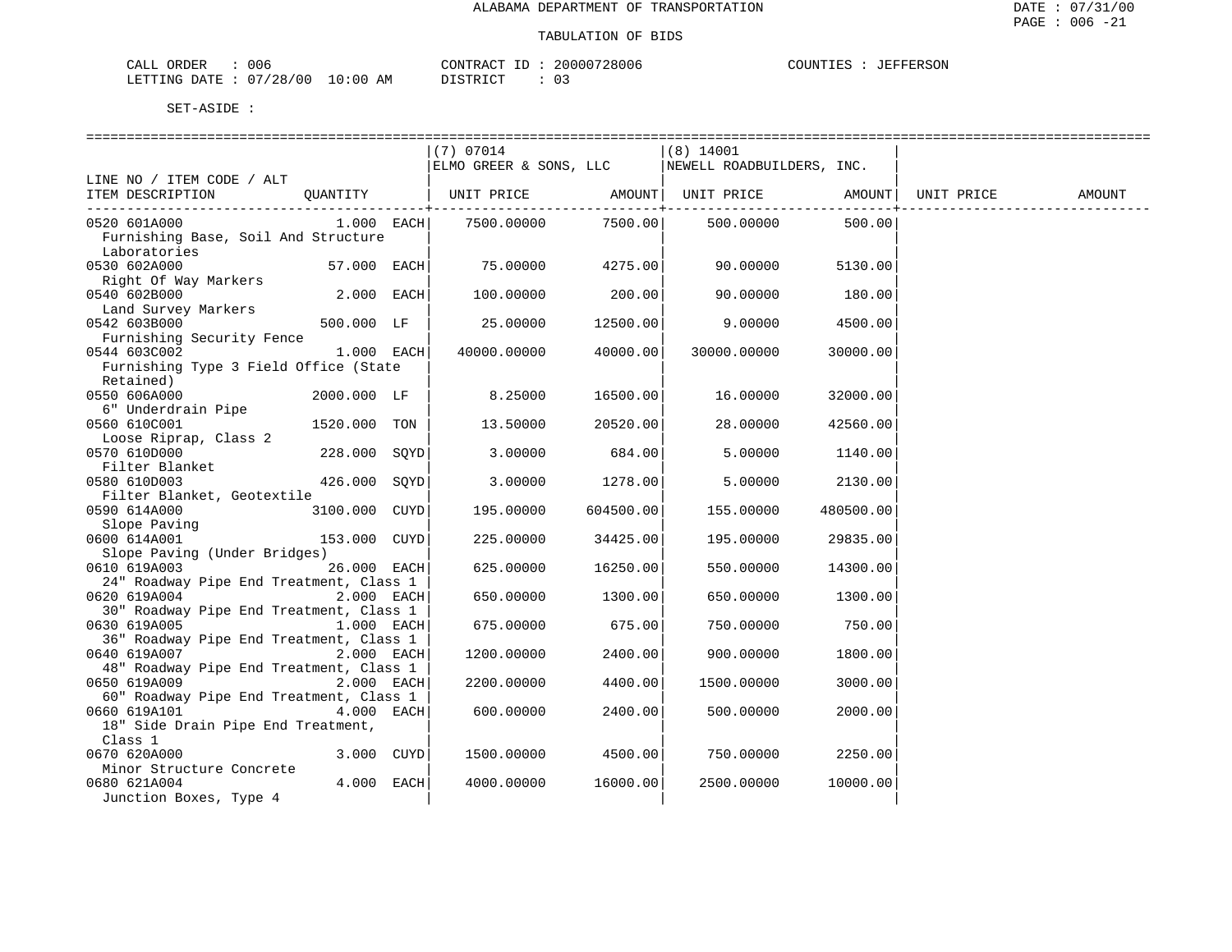| $\sim - -$<br><b>CRDER</b><br>لىلە: | $\sim$ $\sim$<br>uud          |             | סידיזו∩י<br>$\sim$ $\sim$ $\sim$ $\sim$ $\sim$ $\sim$                                                                                        | חחחי<br>- 106<br>بع د<br>. | 1 I M |
|-------------------------------------|-------------------------------|-------------|----------------------------------------------------------------------------------------------------------------------------------------------|----------------------------|-------|
| TNG<br>LETT <sup>-</sup><br>חיד בר. | 40 C<br>່າ ຊ<br>20<br>$\cdot$ | . O C<br>ΑМ | $\sim$<br>תי <i>ים</i> דת<br>the contract of the contract of the contract of the contract of the contract of the contract of the contract of | -<br>◡ –<br>___            |       |

|                                              |                | (7) 07014              |           | $(8)$ 14001                  |           |                    |        |
|----------------------------------------------|----------------|------------------------|-----------|------------------------------|-----------|--------------------|--------|
|                                              |                | ELMO GREER & SONS, LLC |           | NEWELL ROADBUILDERS, INC.    |           |                    |        |
| LINE NO / ITEM CODE / ALT                    |                |                        |           |                              |           |                    |        |
| ITEM DESCRIPTION                             | QUANTITY       |                        |           | UNIT PRICE AMOUNT UNIT PRICE |           | AMOUNT  UNIT PRICE | AMOUNT |
|                                              |                |                        |           |                              |           |                    |        |
| 0520 601A000                                 | $1.000$ EACH   | 7500.00000             | 7500.00   | 500.00000                    | 500.00    |                    |        |
| Furnishing Base, Soil And Structure          |                |                        |           |                              |           |                    |        |
| Laboratories                                 |                |                        |           |                              |           |                    |        |
| 0530 602A000<br>Right Of Way Markers         | $57.000$ EACH  | 75.00000               | 4275.00   | 90.00000                     | 5130.00   |                    |        |
| 0540 602B000                                 | $2.000$ EACH   | 100.00000              | 200.00    | 90.00000                     | 180.00    |                    |        |
| Land Survey Markers                          |                |                        |           |                              |           |                    |        |
| 0542 603B000                                 | 500.000 LF     | 25.00000               | 12500.00  | 9.00000                      | 4500.00   |                    |        |
| Furnishing Security Fence                    |                |                        |           |                              |           |                    |        |
| 0544 603C002                                 | $1.000$ EACH   | 40000.00000            | 40000.00  | 30000.00000                  | 30000.00  |                    |        |
| Furnishing Type 3 Field Office (State        |                |                        |           |                              |           |                    |        |
| Retained)                                    |                |                        |           |                              |           |                    |        |
| 0550 606A000                                 | 2000.000 LF    | 8.25000                | 16500.00  | 16.00000                     | 32000.00  |                    |        |
| 6" Underdrain Pipe                           |                |                        |           |                              |           |                    |        |
| 0560 610C001                                 | 1520.000 TON   | 13.50000               | 20520.00  | 28.00000                     | 42560.00  |                    |        |
| Loose Riprap, Class 2                        |                |                        |           |                              |           |                    |        |
| 0570 610D000                                 | 228.000 SOYD   | 3.00000                | 684.00    | 5.00000                      | 1140.00   |                    |        |
| Filter Blanket                               |                |                        |           |                              |           |                    |        |
| 0580 610D003                                 | 426.000 SOYD   | 3.00000                | 1278.00   | 5.00000                      | 2130.00   |                    |        |
| Filter Blanket, Geotextile                   |                |                        |           |                              |           |                    |        |
| 0590 614A000                                 | 3100.000 CUYD  | 195.00000              | 604500.00 | 155.00000                    | 480500.00 |                    |        |
| Slope Paving                                 |                |                        |           |                              |           |                    |        |
| 0600 614A001                                 | 153.000 CUYD   | 225,00000              | 34425.00  | 195.00000                    | 29835.00  |                    |        |
| Slope Paving (Under Bridges)<br>0610 619A003 |                |                        | 16250.00  |                              |           |                    |        |
| 24" Roadway Pipe End Treatment, Class 1      | 26.000 EACH    | 625.00000              |           | 550.00000                    | 14300.00  |                    |        |
| 0620 619A004                                 | $2.000$ EACH   | 650.00000              | 1300.00   | 650.00000                    | 1300.00   |                    |        |
| 30" Roadway Pipe End Treatment, Class 1      |                |                        |           |                              |           |                    |        |
| 0630 619A005                                 | $1.000$ EACH   | 675.00000              | 675.00    | 750.00000                    | 750.00    |                    |        |
| 36" Roadway Pipe End Treatment, Class 1      |                |                        |           |                              |           |                    |        |
| 0640 619A007                                 | $2.000$ EACH   | 1200.00000             | 2400.00   | 900.00000                    | 1800.00   |                    |        |
| 48" Roadway Pipe End Treatment, Class 1      |                |                        |           |                              |           |                    |        |
| 0650 619A009                                 | $2.000$ EACH   | 2200.00000             | 4400.00   | 1500.00000                   | 3000.00   |                    |        |
| 60" Roadway Pipe End Treatment, Class 1      |                |                        |           |                              |           |                    |        |
| 0660 619A101                                 | $4.000$ EACH   | 600.00000              | 2400.00   | 500.00000                    | 2000.00   |                    |        |
| 18" Side Drain Pipe End Treatment,           |                |                        |           |                              |           |                    |        |
| Class 1                                      |                |                        |           |                              |           |                    |        |
| 0670 620A000                                 | $3.000$ $CUYD$ | 1500.00000             | 4500.00   | 750.00000                    | 2250.00   |                    |        |
| Minor Structure Concrete                     |                |                        |           |                              |           |                    |        |
| 0680 621A004                                 | 4.000 EACH     | 4000.00000             | 16000.00  | 2500.00000                   | 10000.00  |                    |        |
| Junction Boxes, Type 4                       |                |                        |           |                              |           |                    |        |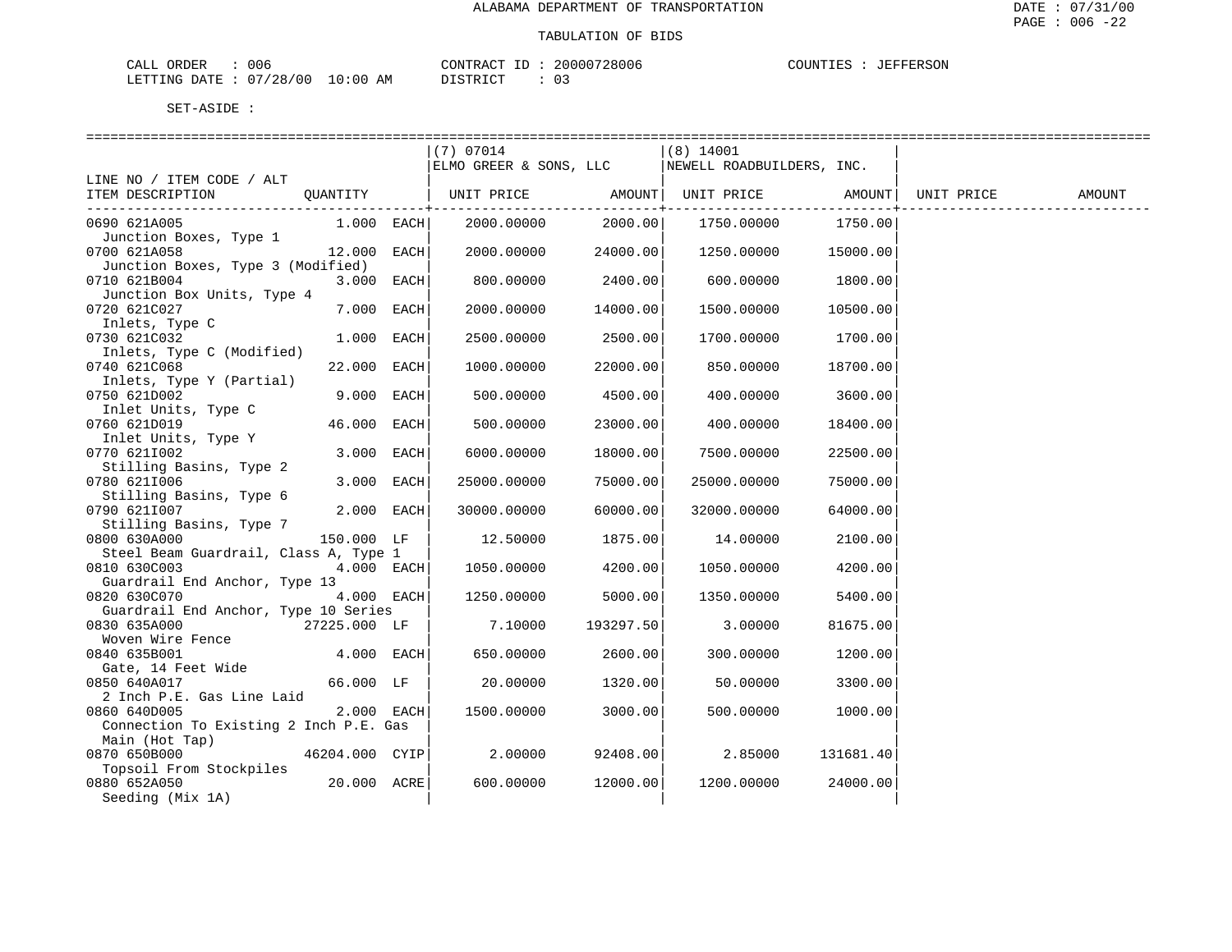| 006<br>CALL ORDER               |          | CONTRACT ID: 20000728006 | COUNTIES : JEFFERSON |  |
|---------------------------------|----------|--------------------------|----------------------|--|
| LETTING DATE: 07/28/00 10:00 AM | DISTRICT |                          |                      |  |

|                                                          | $(7)$ 07014 |                        | $(8)$ 14001                                        |                  |        |
|----------------------------------------------------------|-------------|------------------------|----------------------------------------------------|------------------|--------|
|                                                          |             |                        | ELMO GREER & SONS, LLC   NEWELL ROADBUILDERS, INC. |                  |        |
| LINE NO / ITEM CODE / ALT                                |             |                        |                                                    |                  |        |
| ITEM DESCRIPTION<br>QUANTITY                             |             | --------------+------- |                                                    | --------------+- | AMOUNT |
| 0690 621A005<br>1.000 EACH                               | 2000.00000  | 2000.00                | 1750.00000 1750.00                                 |                  |        |
| Junction Boxes, Type 1                                   |             |                        |                                                    |                  |        |
| 0700 621A058<br>12.000 EACH                              | 2000.00000  | 24000.00               | 1250.00000 15000.00                                |                  |        |
| Junction Boxes, Type 3 (Modified)                        |             |                        |                                                    |                  |        |
| 0710 621B004<br>3.000 EACH                               | 800.00000   | 2400.00                | 600.00000                                          | 1800.00          |        |
| Junction Box Units, Type 4<br>7.000 EACH<br>0720 621C027 | 2000.00000  | 14000.00               | 1500.00000                                         | 10500.00         |        |
| $\frac{1}{2}$<br>Inlets, Type C<br>120 $\frac{1}{2}$     |             |                        |                                                    |                  |        |
| 0730 621C032<br>1.000 EACH                               | 2500.00000  | 2500.00                | 1700.00000                                         | 1700.00          |        |
| Inlets, Type C (Modified)                                |             |                        |                                                    |                  |        |
| 22.000 EACH<br>0740 621C068                              | 1000.00000  | 22000.00               | 850.00000                                          | 18700.00         |        |
| Inlets, Type Y (Partial)                                 |             |                        |                                                    |                  |        |
| 9.000 EACH<br>0750 621D002                               | 500.00000   | 4500.00                | 400.00000                                          | 3600.00          |        |
| Inlet Units, Type C                                      |             |                        |                                                    |                  |        |
| 0760 621D019<br>46.000 EACH                              | 500.00000   | 23000.00               | 400.00000                                          | 18400.00         |        |
| Inlet Units, Type Y<br>0770 6211002<br>3.000 EACH        | 6000.00000  | 18000.00               | 7500.00000                                         | 22500.00         |        |
| Stilling Basins, Type 2                                  |             |                        |                                                    |                  |        |
| 0780 6211006<br>3.000 EACH                               | 25000.00000 | 75000.00               | 25000.00000                                        | 75000.00         |        |
| Stilling Basins, Type 6                                  |             |                        |                                                    |                  |        |
| 2.000 EACH<br>0790 6211007                               | 30000.00000 | 60000.00               | 32000.00000                                        | 64000.00         |        |
| Stilling Basins, Type 7                                  |             |                        |                                                    |                  |        |
| 0800 630A000<br>150.000 LF                               | 12.50000    | 1875.00                | 14.00000                                           | 2100.00          |        |
| Steel Beam Guardrail, Class A, Type 1                    |             |                        |                                                    |                  |        |
| 0810 630C003<br>4.000 EACH                               | 1050.00000  | 4200.001               | 1050.00000                                         | 4200.00          |        |
| Guardrail End Anchor, Type 13<br>4.000 EACH              |             | 5000.00                |                                                    | 5400.00          |        |
| 0820 630C070<br>Guardrail End Anchor, Type 10 Series     | 1250.00000  |                        | 1350.00000                                         |                  |        |
| 27225.000 LF<br>0830 635A000                             | 7.10000     | 193297.50              | 3.00000                                            | 81675.00         |        |
| Woven Wire Fence                                         |             |                        |                                                    |                  |        |
| $4.000$ EACH<br>0840 635B001                             | 650.00000   | 2600.00                | 300,00000                                          | 1200.00          |        |
| Gate, 14 Feet Wide                                       |             |                        |                                                    |                  |        |
| 0850 640A017<br>66.000 LF                                | 20.00000    | 1320.00                | 50.00000                                           | 3300.00          |        |
| 2 Inch P.E. Gas Line Laid                                |             |                        |                                                    |                  |        |
| 2.000 EACH<br>0860 640D005                               | 1500.00000  | 3000.00                | 500,00000                                          | 1000.00          |        |
| Connection To Existing 2 Inch P.E. Gas                   |             |                        |                                                    |                  |        |
| Main (Hot Tap)<br>0870 650B000<br>46204.000 CYIP         | 2.00000     | 92408.00               | 2.85000                                            | 131681.40        |        |
| Topsoil From Stockpiles                                  |             |                        |                                                    |                  |        |
| 0880 652A050<br>20.000 ACRE                              | 600,00000   | 12000.00               | 1200.00000                                         | 24000.00         |        |
| Seeding (Mix 1A)                                         |             |                        |                                                    |                  |        |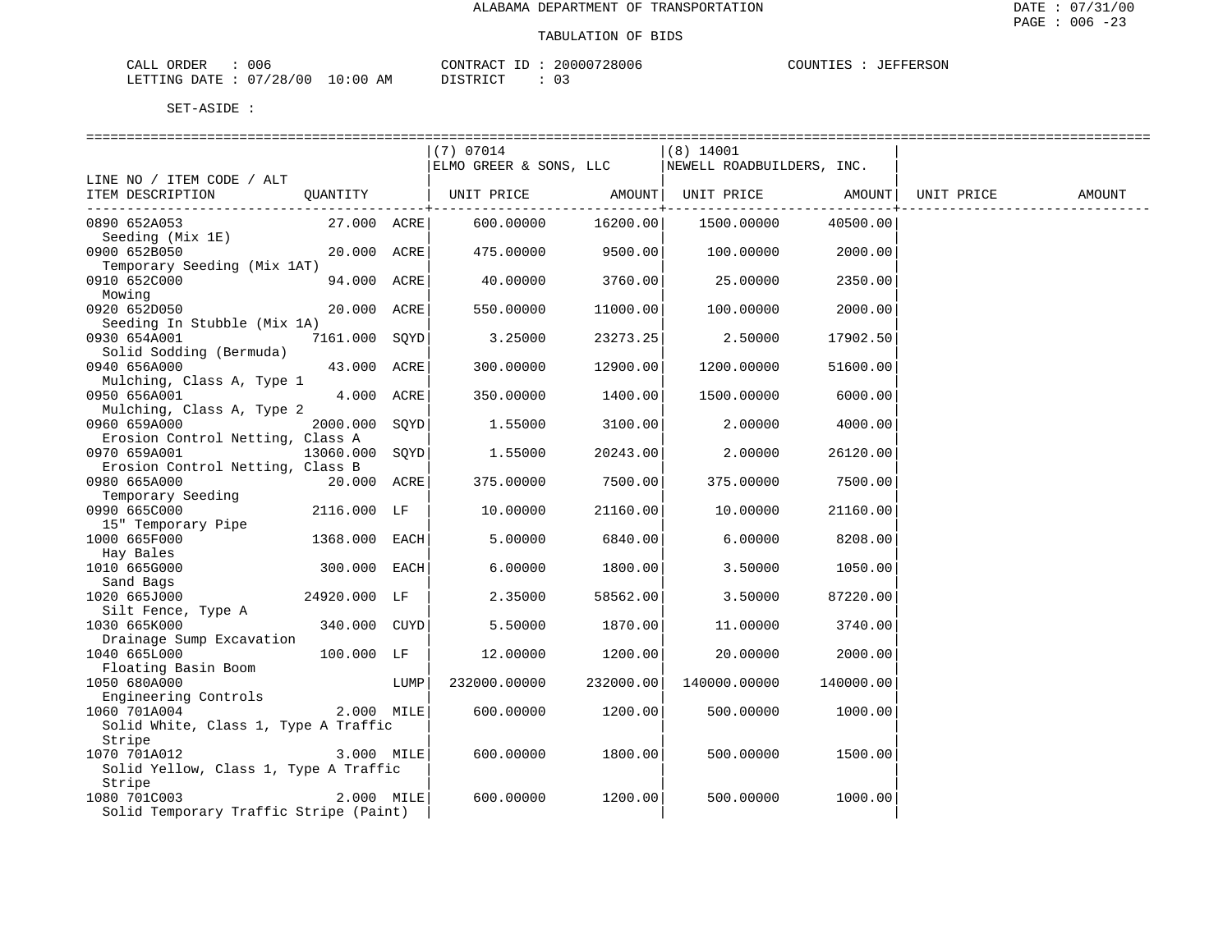| CALL ORDER                      | 006 |  | CONTRACT ID: 20000728006 |  | COUNTIES : JEFFERSON |  |
|---------------------------------|-----|--|--------------------------|--|----------------------|--|
| LETTING DATE: 07/28/00 10:00 AM |     |  | DISTRICT                 |  |                      |  |

|                                                                                     |                |      | (7) 07014                                        |           | $(8)$ 14001           |                   |  |
|-------------------------------------------------------------------------------------|----------------|------|--------------------------------------------------|-----------|-----------------------|-------------------|--|
|                                                                                     |                |      | ELMO GREER & SONS, LLC NEWELL ROADBUILDERS, INC. |           |                       |                   |  |
| LINE NO / ITEM CODE / ALT                                                           |                |      |                                                  |           |                       |                   |  |
| ITEM DESCRIPTION QUANTITY   UNIT PRICE AMOUNT UNIT PRICE AMOUNT   UNIT PRICE AMOUNT |                |      |                                                  |           |                       |                   |  |
|                                                                                     |                |      |                                                  |           |                       |                   |  |
| 0890 652A053                                                                        |                |      | 27.000 ACRE 600.00000                            |           | 16200.00   1500.00000 | 40500.00          |  |
| Seeding (Mix 1E)                                                                    |                |      |                                                  |           |                       |                   |  |
| 0900 652B050                                                                        | 20.000 ACRE    |      | 475.00000 9500.00                                |           |                       | 100.00000 2000.00 |  |
| Temporary Seeding (Mix 1AT)                                                         |                |      |                                                  |           |                       |                   |  |
| 0910 652C000                                                                        | 94.000 ACRE    |      | 40.00000                                         | 3760.00   | 25.00000              | 2350.00           |  |
| Mowing                                                                              |                |      |                                                  |           |                       |                   |  |
| 0920 652D050                                                                        | 20.000 ACRE    |      | 550.00000                                        | 11000.00  | 100.00000             | 2000.00           |  |
| Seeding In Stubble (Mix 1A)                                                         |                |      |                                                  |           |                       |                   |  |
| 0930 654A001                                                                        | 7161.000 SQYD  |      | 3.25000                                          | 23273.25  | 2.50000               | 17902.50          |  |
| Solid Sodding (Bermuda)                                                             |                |      |                                                  |           |                       |                   |  |
| 0940 656A000                                                                        | 43.000 ACRE    |      | 300.00000                                        | 12900.00  | 1200.00000            | 51600.00          |  |
| Mulching, Class A, Type 1                                                           |                |      |                                                  |           |                       |                   |  |
| 0950 656A001                                                                        | 4.000 ACRE     |      | 350.00000                                        | 1400.00   | 1500.00000            | 6000.00           |  |
| Mulching, Class A, Type 2                                                           |                |      |                                                  |           |                       |                   |  |
| 0960 659A000                                                                        | 2000.000 SOYD  |      | 1.55000                                          | 3100.00   | 2.00000               | 4000.00           |  |
| Erosion Control Netting, Class A                                                    |                |      |                                                  |           |                       |                   |  |
| 0970 659A001                                                                        | 13060.000 SOYD |      | 1.55000                                          | 20243.00  | 2,00000               | 26120.00          |  |
| Erosion Control Netting, Class B                                                    |                |      |                                                  |           |                       |                   |  |
| 0980 665A000                                                                        | 20.000 ACRE    |      | 375.00000                                        | 7500.00   | 375.00000             | 7500.00           |  |
| Temporary Seeding                                                                   |                |      |                                                  |           |                       |                   |  |
| 0990 665C000                                                                        | 2116.000 LF    |      | 10.00000                                         | 21160.00  | 10.00000              | 21160.00          |  |
| 15" Temporary Pipe                                                                  |                |      |                                                  |           |                       |                   |  |
| 1000 665F000                                                                        | 1368.000 EACH  |      | 5.00000                                          | 6840.00   | 6.00000               | 8208.00           |  |
| Hay Bales                                                                           |                |      |                                                  |           |                       |                   |  |
| 1010 665G000                                                                        | 300.000 EACH   |      | 6.00000                                          | 1800.00   | 3.50000               | 1050.00           |  |
| Sand Bags                                                                           |                |      |                                                  |           |                       |                   |  |
| 24920.000 LF<br>1020 665J000                                                        |                |      | 2.35000                                          | 58562.00  | 3.50000               | 87220.00          |  |
| Silt Fence, Type A                                                                  |                |      |                                                  |           |                       |                   |  |
| 1030 665K000                                                                        | 340.000 CUYD   |      | 5.50000                                          | 1870.00   | 11,00000              | 3740.00           |  |
| Drainage Sump Excavation                                                            |                |      |                                                  |           |                       |                   |  |
| 1040 665L000                                                                        | 100.000 LF     |      | 12.00000                                         | 1200.00   | 20.00000              | 2000.00           |  |
| Floating Basin Boom                                                                 |                |      |                                                  |           |                       |                   |  |
| 1050 680A000                                                                        |                | LUMP | 232000.00000                                     | 232000.00 | 140000.00000          | 140000.00         |  |
| Engineering Controls                                                                |                |      |                                                  |           |                       |                   |  |
| 1060 701A004                                                                        | 2.000 MILE     |      | 600.00000                                        | 1200.00   | 500.00000             | 1000.00           |  |
| Solid White, Class 1, Type A Traffic                                                |                |      |                                                  |           |                       |                   |  |
| Stripe                                                                              |                |      |                                                  |           |                       |                   |  |
| 1070 701A012                                                                        | 3.000 MILE     |      | 600.00000                                        | 1800.00   | 500.00000             | 1500.00           |  |
| Solid Yellow, Class 1, Type A Traffic                                               |                |      |                                                  |           |                       |                   |  |
| Stripe                                                                              |                |      |                                                  |           |                       |                   |  |
| 1080 701C003                                                                        | 2.000 MILE     |      | 600.00000                                        | 1200.00   | 500.00000             | 1000.00           |  |
| Solid Temporary Traffic Stripe (Paint)                                              |                |      |                                                  |           |                       |                   |  |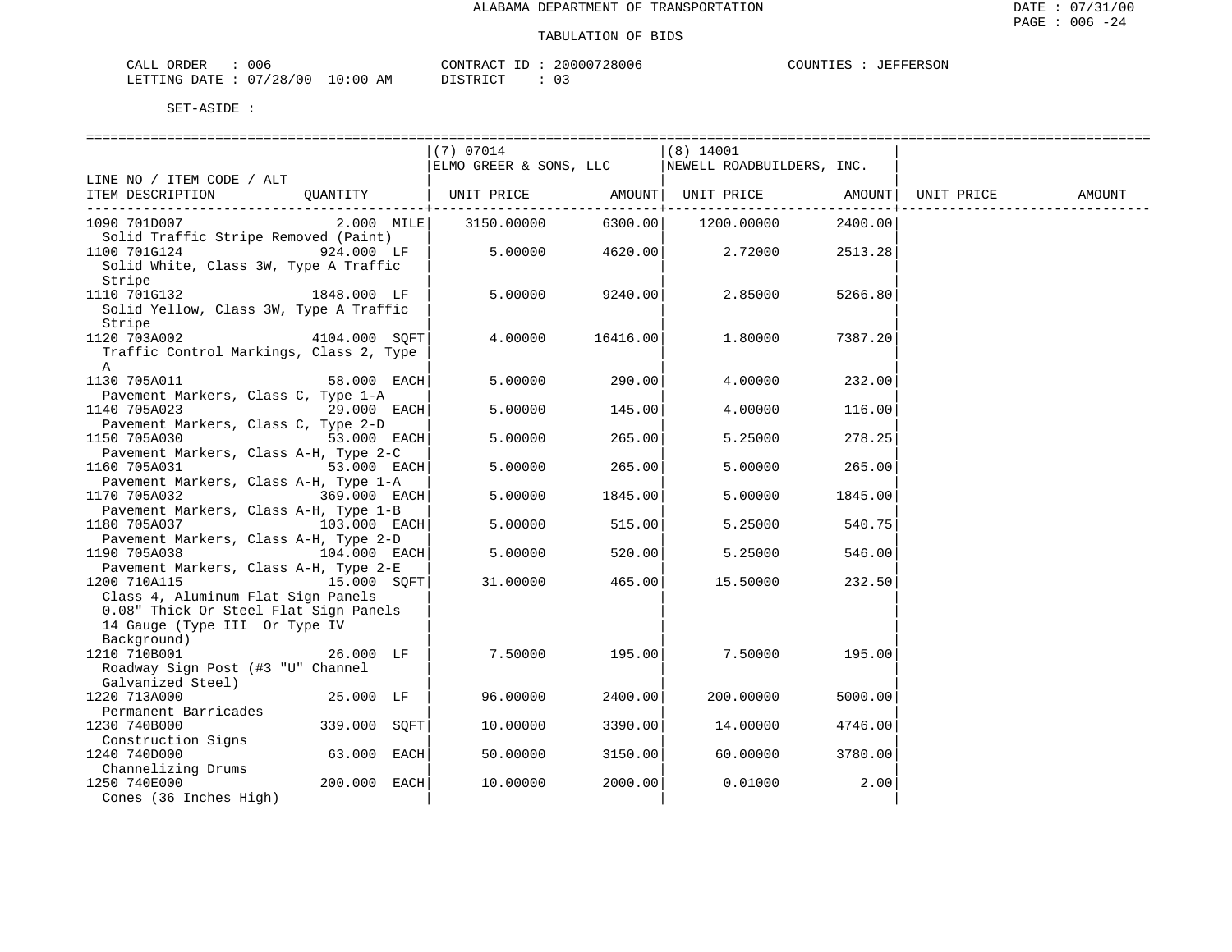| CALL ORDER                      | 006 |          | CONTRACT ID: 20000728006 | COUNTIES : JEFFERSON |  |
|---------------------------------|-----|----------|--------------------------|----------------------|--|
| LETTING DATE: 07/28/00 10:00 AM |     | DISTRICT |                          |                      |  |

|                                                                                                             | (7) 07014<br>ELMO GREER & SONS, LLC |          | $(8)$ 14001<br>NEWELL ROADBUILDERS, INC. |         |            |        |
|-------------------------------------------------------------------------------------------------------------|-------------------------------------|----------|------------------------------------------|---------|------------|--------|
| LINE NO / ITEM CODE / ALT                                                                                   |                                     |          |                                          |         |            |        |
| OUANTITY<br>ITEM DESCRIPTION                                                                                | UNIT PRICE                          |          | AMOUNT   UNIT PRICE                      | AMOUNT  | UNIT PRICE | AMOUNT |
| 1090 701D007<br>$2.000$ MILE<br>Solid Traffic Stripe Removed (Paint)                                        | 3150.00000                          | 6300.00  | 1200.00000                               | 2400.00 |            |        |
| 1100 701G124 924.000 LF<br>Solid White, Class 3W, Type A Traffic                                            | 5.00000                             | 4620.00  | 2.72000                                  | 2513.28 |            |        |
| Stripe<br>1110 701G132 1848.000 LF<br>Solid Yellow, Class 3W, Type A Traffic                                | 5.00000                             | 9240.00  | 2.85000                                  | 5266.80 |            |        |
| Stripe<br>1120 703A002<br>4104.000 SOFT<br>Traffic Control Markings, Class 2, Type                          | 4.00000                             | 16416.00 | 1,80000                                  | 7387.20 |            |        |
| A<br>1130 705A011<br>58.000 EACH                                                                            | 5.00000                             | 290.00   | 4.00000                                  | 232.00  |            |        |
| Pavement Markers, Class C, Type 1-A<br>1140 705A023<br>29.000 EACH                                          | 5.00000                             | 145.00   | 4.00000                                  | 116.00  |            |        |
| Pavement Markers, Class C, Type 2-D<br>1150 705A030<br>53.000 EACH<br>Pavement Markers, Class A-H, Type 2-C | 5.00000                             | 265.00   | 5.25000                                  | 278.25  |            |        |
| 1160 705A031<br>53.000 EACH<br>Pavement Markers, Class A-H, Type 1-A                                        | 5.00000                             | 265.00   | 5.00000                                  | 265.00  |            |        |
| 1170 705A032<br>369.000 EACH<br>Pavement Markers, Class A-H, Type 1-B                                       | 5.00000                             | 1845.00  | 5.00000                                  | 1845.00 |            |        |
| 1180 705A037<br>103.000 EACH <br>Pavement Markers, Class A-H, Type 2-D                                      | 5.00000                             | 515.00   | 5.25000                                  | 540.75  |            |        |
| 1190 705A038<br>104.000 EACH<br>Pavement Markers, Class A-H, Type 2-E                                       | 5.00000                             | 520.00   | 5.25000                                  | 546.00  |            |        |
| 1200 710A115<br>15.000 SOFT<br>Class 4, Aluminum Flat Sign Panels<br>0.08" Thick Or Steel Flat Sign Panels  | 31.00000                            | 465.00   | 15.50000                                 | 232.50  |            |        |
| 14 Gauge (Type III Or Type IV<br>Background)                                                                |                                     |          |                                          |         |            |        |
| 1210 710B001<br>26.000 LF<br>Roadway Sign Post (#3 "U" Channel<br>Galvanized Steel)                         | 7.50000                             | 195.00   | 7.50000                                  | 195.00  |            |        |
| 1220 713A000<br>25.000 LF<br>Permanent Barricades                                                           | 96.00000                            | 2400.00  | 200.00000                                | 5000.00 |            |        |
| 339.000 SOFT<br>1230 740B000<br>Construction Signs                                                          | 10.00000                            | 3390.00  | 14.00000                                 | 4746.00 |            |        |
| 1240 740D000<br>63.000 EACH<br>Channelizing Drums                                                           | 50.00000                            | 3150.00  | 60.00000                                 | 3780.00 |            |        |
| 1250 740E000<br>200.000 EACH<br>Cones (36 Inches High)                                                      | 10.00000                            | 2000.00  | 0.01000                                  | 2.00    |            |        |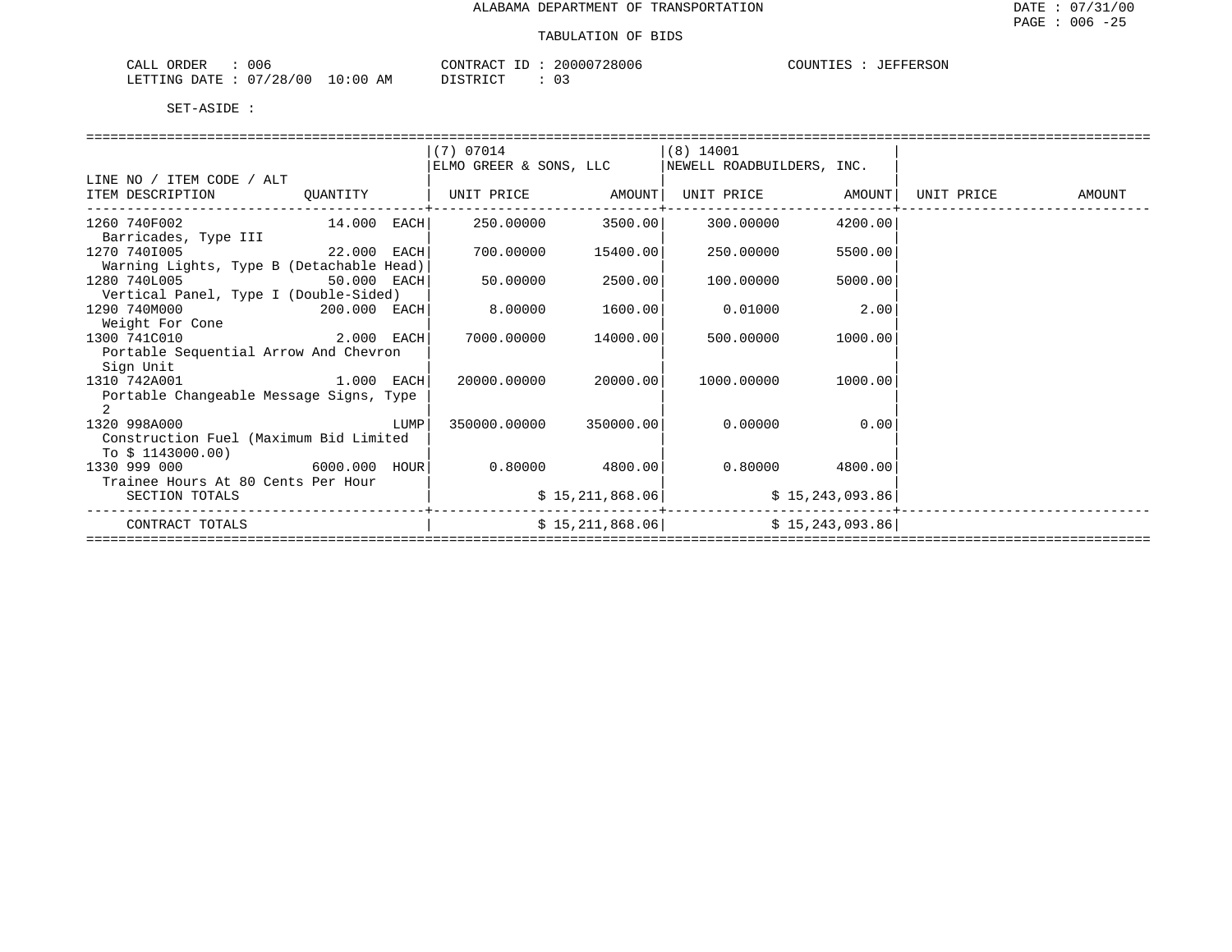| ORDER<br>006<br>لىلط                                |            | ⊾ידיזו∩י־<br>$\sim$<br>$\sim$<br>2800<br>$\sqrt{ }$<br>uub | SON<br>JUN.<br>н. н<br>ᆂᄘ |
|-----------------------------------------------------|------------|------------------------------------------------------------|---------------------------|
| $\sim$ $\sim$<br>00'<br>יידי תר<br>$\sim$ NG $\sim$ | ΑM<br>. 00 | $ \cap$ $\Box$<br>. מחחי                                   |                           |

|                                          |             |      | (7) 07014              |          | (8) 14001                                                                             |         |  |
|------------------------------------------|-------------|------|------------------------|----------|---------------------------------------------------------------------------------------|---------|--|
|                                          |             |      | ELMO GREER & SONS, LLC |          | NEWELL ROADBUILDERS, INC.                                                             |         |  |
| LINE NO / ITEM CODE / ALT                |             |      |                        |          |                                                                                       |         |  |
| ITEM DESCRIPTION                         | OUANTITY    |      |                        |          | UNIT PRICE           AMOUNT  UNIT PRICE           AMOUNT  UNIT PRICE           AMOUNT |         |  |
|                                          |             |      |                        |          |                                                                                       |         |  |
| $14.000$ EACH<br>1260 740F002            |             |      | 250.00000 3500.00      |          | 300.00000                                                                             | 4200.00 |  |
| Barricades, Type III                     |             |      |                        |          |                                                                                       |         |  |
| 22.000 EACH<br>1270 7401005              |             |      | 700.00000              | 15400.00 | 250.00000                                                                             | 5500.00 |  |
| Warning Lights, Type B (Detachable Head) |             |      |                        |          |                                                                                       |         |  |
| 1280 740L005                             | 50.000 EACH |      | 50.00000               | 2500.00  | 100.00000                                                                             | 5000.00 |  |
| Vertical Panel, Type I (Double-Sided)    |             |      |                        |          |                                                                                       |         |  |
| 1290 740M000<br>200.000 EACH             |             |      | 8.00000                | 1600.00  | 0.01000                                                                               | 2.00    |  |
| Weight For Cone                          |             |      |                        |          |                                                                                       |         |  |
| 2.000 EACH<br>1300 741C010               |             |      | 7000.00000             | 14000.00 | 500.00000                                                                             | 1000.00 |  |
| Portable Sequential Arrow And Chevron    |             |      |                        |          |                                                                                       |         |  |
| Sign Unit                                |             |      |                        |          |                                                                                       |         |  |
| 1310 742A001                             |             |      | 20000.00000            | 20000.00 | 1000.00000                                                                            | 1000.00 |  |
| Portable Changeable Message Signs, Type  |             |      |                        |          |                                                                                       |         |  |
| $\overline{2}$                           |             |      |                        |          |                                                                                       |         |  |
| 1320 998A000                             |             | LUMP | 350000.00000 350000.00 |          | 0.00000                                                                               | 0.00    |  |
| Construction Fuel (Maximum Bid Limited   |             |      |                        |          |                                                                                       |         |  |
| To $$1143000.00)$                        |             |      |                        |          |                                                                                       |         |  |
| $6000.000$ HOUR<br>1330 999 000          |             |      | $0.80000$ 4800.00      |          | $0.80000$ 4800.00                                                                     |         |  |
| Trainee Hours At 80 Cents Per Hour       |             |      |                        |          |                                                                                       |         |  |
| SECTION TOTALS                           |             |      |                        |          | $$15,211,868.06$ $$15,243,093.86$                                                     |         |  |
| CONTRACT TOTALS                          |             |      |                        |          | $$15,211,868.06$ $$15,243,093.86$                                                     |         |  |
|                                          |             |      |                        |          |                                                                                       |         |  |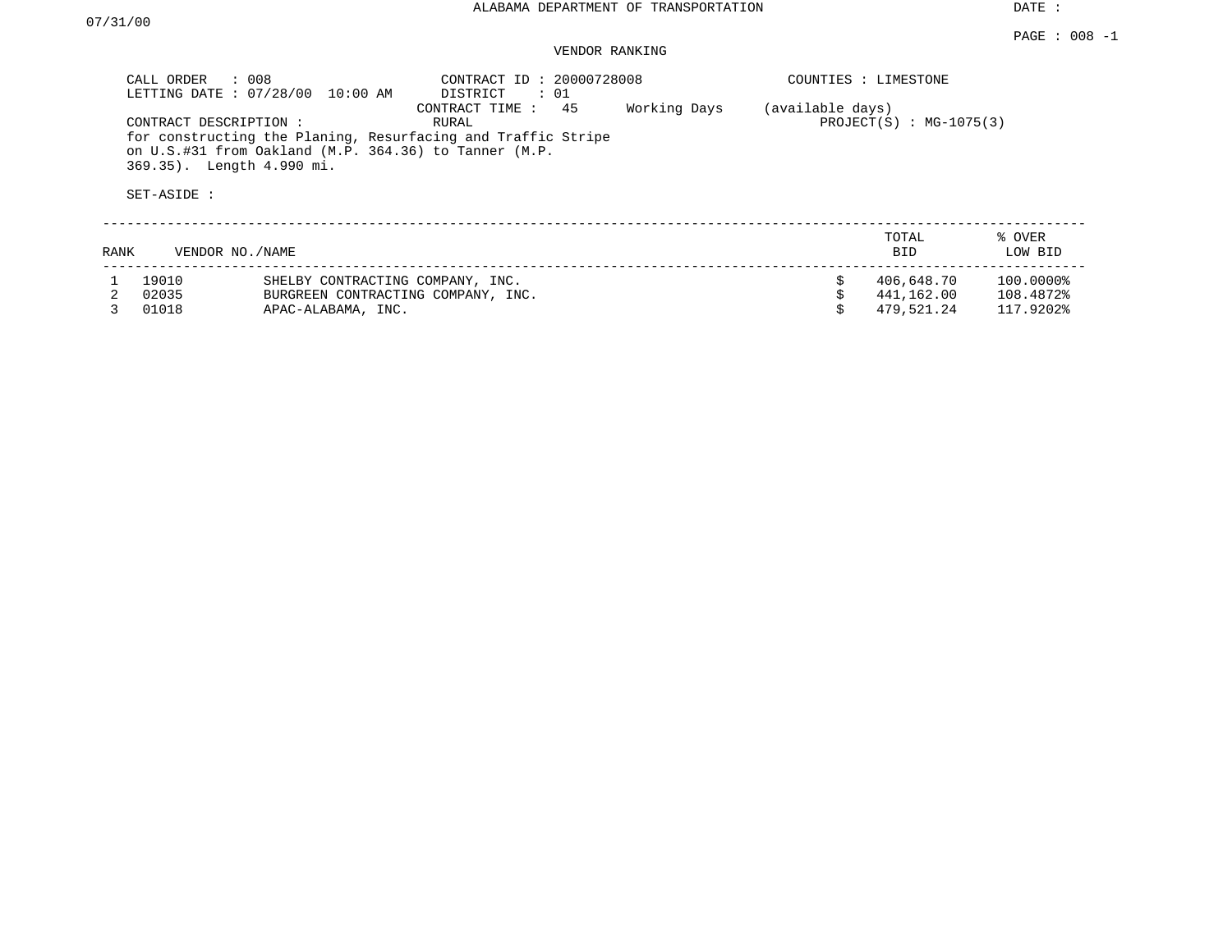DATE :

### VENDOR RANKING

|      | CALL ORDER<br>$\therefore$ 008<br>LETTING DATE: 07/28/00          | 10:00 AM                                                                                     | CONTRACT ID: 20000728008<br>DISTRICT<br>: 01                                                  |              |                  | COUNTIES : LIMESTONE                   |                                     |
|------|-------------------------------------------------------------------|----------------------------------------------------------------------------------------------|-----------------------------------------------------------------------------------------------|--------------|------------------|----------------------------------------|-------------------------------------|
|      | CONTRACT DESCRIPTION:<br>369.35). Length 4.990 mi.<br>SET-ASIDE : | on U.S.#31 from Oakland (M.P. 364.36) to Tanner (M.P.                                        | 45<br>CONTRACT TIME:<br>RURAL<br>for constructing the Planing, Resurfacing and Traffic Stripe | Working Days | (available days) | $PROJECT(S)$ : MG-1075(3)              |                                     |
| RANK | VENDOR NO./NAME                                                   |                                                                                              |                                                                                               |              |                  | TOTAL<br><b>BID</b>                    | % OVER<br>LOW BID                   |
| 3.   | 19010<br>02035<br>01018                                           | SHELBY CONTRACTING COMPANY, INC.<br>BURGREEN CONTRACTING COMPANY, INC.<br>APAC-ALABAMA, INC. |                                                                                               |              | Ŝ.               | 406,648.70<br>441,162.00<br>479,521.24 | 100.0000%<br>108.4872%<br>117.9202% |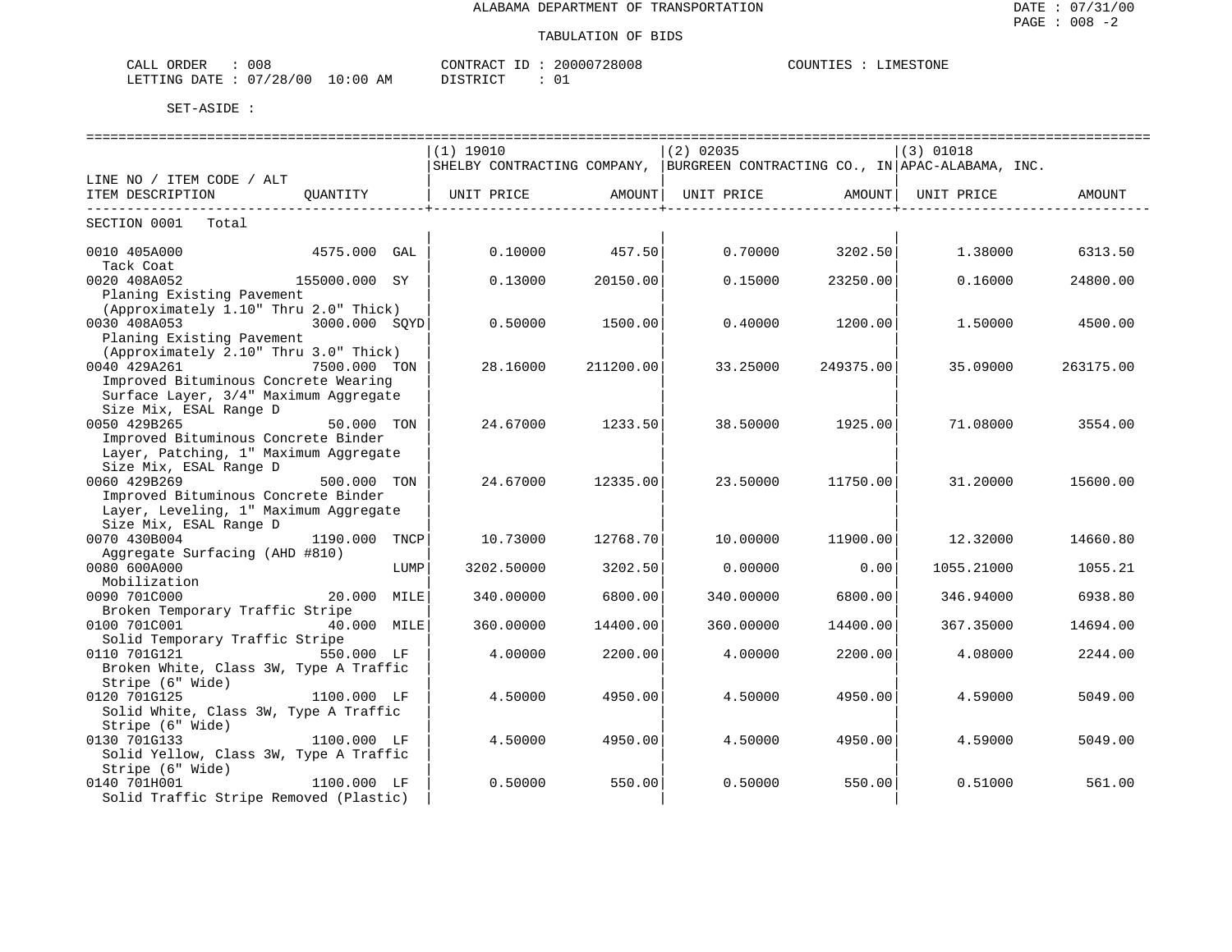| 008<br>ORDER<br>للبلات         |                                  | חידוג∩ר<br>$\sim$<br>ו גו שי | 28008<br>. | TNT ،<br>WH.<br>'ON F<br>그리게 |
|--------------------------------|----------------------------------|------------------------------|------------|------------------------------|
| 00<br>/28<br>DATE.<br>.F.TTTNG | АM<br>$\cdot$ : () ()<br>$\cdot$ | DIAMBIAT<br>. ⊶              | ັ          |                              |

|                                                                              |               |      | $(1)$ 19010                                                                 |           | $(2)$ 02035 |           | $(3)$ 01018 |           |
|------------------------------------------------------------------------------|---------------|------|-----------------------------------------------------------------------------|-----------|-------------|-----------|-------------|-----------|
|                                                                              |               |      | SHELBY CONTRACTING COMPANY, BURGREEN CONTRACTING CO., IN APAC-ALABAMA, INC. |           |             |           |             |           |
| LINE NO / ITEM CODE / ALT                                                    |               |      |                                                                             |           |             |           |             |           |
| ITEM DESCRIPTION OUANTITY   UNIT PRICE AMOUNT  UNIT PRICE AMOUNT  UNIT PRICE |               |      |                                                                             |           |             |           |             | AMOUNT    |
| SECTION 0001 Total                                                           |               |      |                                                                             |           |             |           |             |           |
|                                                                              |               |      |                                                                             |           |             |           |             |           |
| 0010 405A000                                                                 | 4575.000 GAL  |      | 0.10000                                                                     | 457.50    | 0.70000     | 3202.50   | 1.38000     | 6313.50   |
| Tack Coat                                                                    |               |      |                                                                             |           |             |           |             |           |
| 155000.000 SY<br>0020 408A052                                                |               |      | 0.13000                                                                     | 20150.00  | 0.15000     | 23250.00  | 0.16000     | 24800.00  |
| Planing Existing Pavement                                                    |               |      |                                                                             |           |             |           |             |           |
| (Approximately 1.10" Thru 2.0" Thick)                                        |               |      |                                                                             |           |             |           |             |           |
| 0030 408A053                                                                 | 3000.000 SOYD |      | 0.50000                                                                     | 1500.00   | 0.40000     | 1200.00   | 1.50000     | 4500.00   |
| Planing Existing Pavement                                                    |               |      |                                                                             |           |             |           |             |           |
| (Approximately 2.10" Thru 3.0" Thick)                                        |               |      |                                                                             |           |             |           |             |           |
| 0040 429A261                                                                 | 7500.000 TON  |      | 28.16000                                                                    | 211200.00 | 33.25000    | 249375.00 | 35.09000    | 263175.00 |
| Improved Bituminous Concrete Wearing                                         |               |      |                                                                             |           |             |           |             |           |
| Surface Layer, 3/4" Maximum Aggregate                                        |               |      |                                                                             |           |             |           |             |           |
| Size Mix, ESAL Range D                                                       |               |      |                                                                             |           |             |           |             |           |
| 0050 429B265                                                                 | 50.000 TON    |      | 24.67000                                                                    | 1233.50   | 38.50000    | 1925.00   | 71.08000    | 3554.00   |
| Improved Bituminous Concrete Binder                                          |               |      |                                                                             |           |             |           |             |           |
| Layer, Patching, 1" Maximum Aggregate                                        |               |      |                                                                             |           |             |           |             |           |
| Size Mix, ESAL Range D                                                       |               |      |                                                                             |           |             |           |             |           |
| 0060 429B269                                                                 | 500.000 TON   |      | 24.67000                                                                    | 12335.00  | 23.50000    | 11750.00  | 31,20000    | 15600.00  |
| Improved Bituminous Concrete Binder                                          |               |      |                                                                             |           |             |           |             |           |
| Layer, Leveling, 1" Maximum Aggregate                                        |               |      |                                                                             |           |             |           |             |           |
| Size Mix, ESAL Range D<br>0070 430B004                                       | 1190.000 TNCP |      | 10.73000                                                                    | 12768.70  | 10.00000    | 11900.00  | 12.32000    |           |
| Aggregate Surfacing (AHD #810)                                               |               |      |                                                                             |           |             |           |             | 14660.80  |
| 0080 600A000                                                                 |               | LUMP | 3202.50000                                                                  | 3202.50   | 0.00000     | 0.00      | 1055.21000  | 1055.21   |
| Mobilization                                                                 |               |      |                                                                             |           |             |           |             |           |
| 0090 701C000                                                                 | 20.000 MILE   |      | 340.00000                                                                   | 6800.00   | 340.00000   | 6800.00   | 346.94000   | 6938.80   |
| Broken Temporary Traffic Stripe                                              |               |      |                                                                             |           |             |           |             |           |
| 0100 701C001                                                                 | 40.000 MILE   |      | 360.00000                                                                   | 14400.00  | 360.00000   | 14400.00  | 367.35000   | 14694.00  |
| Solid Temporary Traffic Stripe                                               |               |      |                                                                             |           |             |           |             |           |
| 0110 701G121<br>550.000 LF                                                   |               |      | 4.00000                                                                     | 2200.00   | 4.00000     | 2200.00   | 4.08000     | 2244.00   |
| Broken White, Class 3W, Type A Traffic                                       |               |      |                                                                             |           |             |           |             |           |
| Stripe (6" Wide)                                                             |               |      |                                                                             |           |             |           |             |           |
| 0120 701G125                                                                 | $1100.000$ LF |      | 4.50000                                                                     | 4950.00   | 4.50000     | 4950.00   | 4.59000     | 5049.00   |
| Solid White, Class 3W, Type A Traffic                                        |               |      |                                                                             |           |             |           |             |           |
| Stripe (6" Wide)                                                             |               |      |                                                                             |           |             |           |             |           |
| 0130 701G133                                                                 | 1100.000 LF   |      | 4.50000                                                                     | 4950.00   | 4.50000     | 4950.00   | 4.59000     | 5049.00   |
| Solid Yellow, Class 3W, Type A Traffic                                       |               |      |                                                                             |           |             |           |             |           |
| Stripe (6" Wide)                                                             |               |      |                                                                             |           |             |           |             |           |
| 0140 701H001                                                                 | 1100.000 LF   |      | 0.50000                                                                     | 550.00    | 0.50000     | 550.00    | 0.51000     | 561.00    |
| Solid Traffic Stripe Removed (Plastic)                                       |               |      |                                                                             |           |             |           |             |           |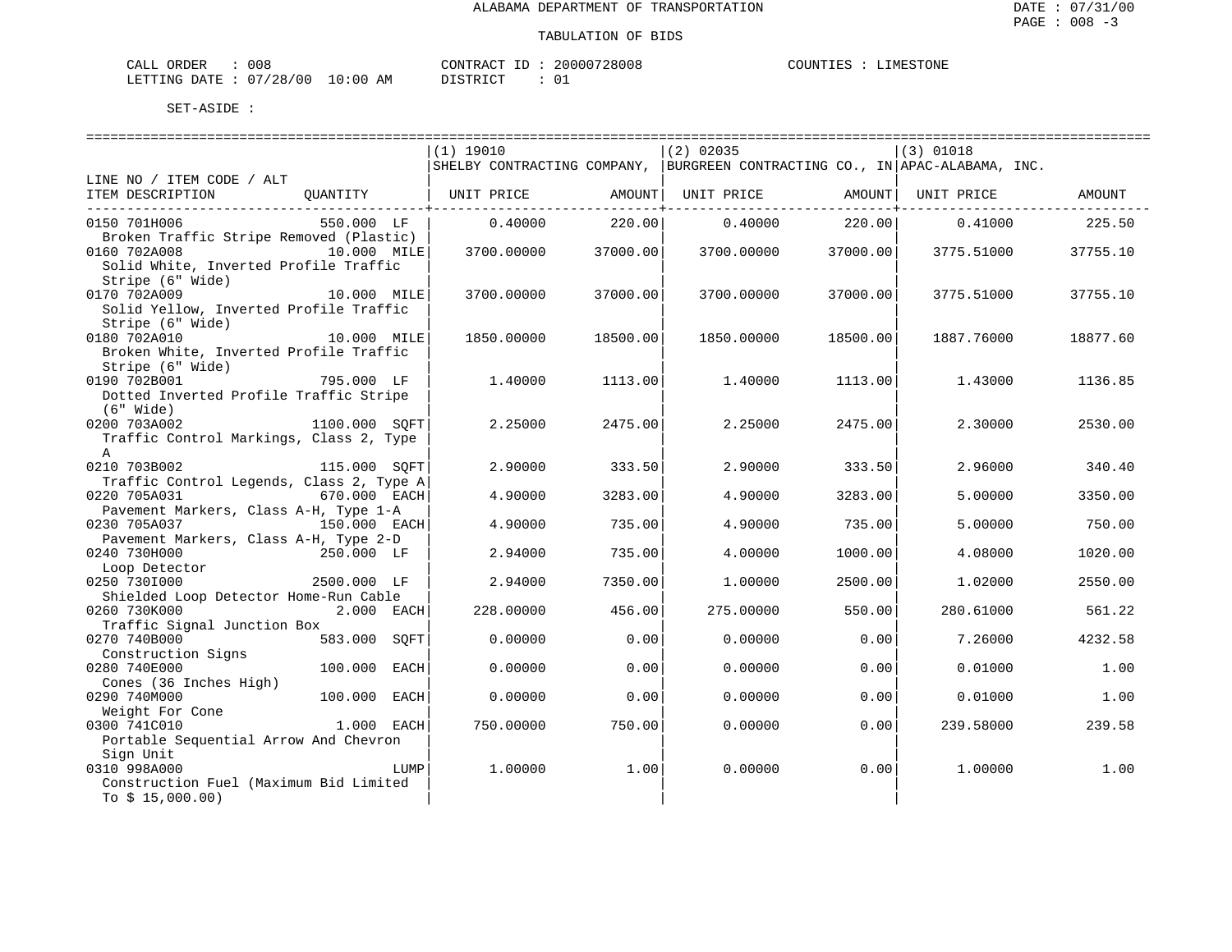| CALL ORDER                      | 008 | CONTRACT ID: 20000728008 |  | COUNTIES : LIMESTONE |  |
|---------------------------------|-----|--------------------------|--|----------------------|--|
| LETTING DATE: 07/28/00 10:00 AM |     | DISTRICT                 |  |                      |  |

==================================================================================================================================== $|(1)$  19010  $|(2)$  02035  $|(3)$  01018 |SHELBY CONTRACTING COMPANY, |BURGREEN CONTRACTING CO., IN|APAC-ALABAMA, INC. LINE NO / ITEM CODE / ALT | | | ITEM DESCRIPTION QUANTITY | UNIT PRICE AMOUNT| UNIT PRICE AMOUNT| UNIT PRICE AMOUNT ------------------------------------------+----------------------------+----------------------------+-------------------------------0150 701H006 550.000 LF | 0.40000 220.00| 0.40000 220.00| 0.41000 225.50 Broken Traffic Stripe Removed (Plastic) 0160 702A008 10.000 MILE| 3700.00000 37000.00| 3700.00000 37000.00| 3775.51000 37755.10 Solid White, Inverted Profile Traffic Stripe (6" Wide) | | | 0170 702A009 10.000 MILE| 3700.00000 37000.00| 3700.00000 37700.0000 3775.51000 37755.10 Solid Yellow, Inverted Profile Traffic Stripe (6" Wide) 0180 702A010 10.000 MILE| 1850.00000 18500.00| 1850.00000 18500.00| 1887.76000 18877.60 Broken White, Inverted Profile Traffic Stripe (6" Wide) | | | 0190 702B001 795.000 LF | 1.40000 1113.00| 1.40000 1113.00| 1.43000 1136.85 Dotted Inverted Profile Traffic Stripe<br>(6" Wide) (6" Wide) | | | 0200 703A002 1100.000 SQFT| 2.25000 2475.00| 2.25000 2475.00| 2.30000 2530.00 Traffic Control Markings, Class 2, Type  $\mathbf A$   $\qquad$ 0210 703B002 115.000 SQFT| 2.90000 333.50| 2.90000 333.50| 2.96000 340.40 Traffic Control Legends, Class 2, Type A| | | 0220 705A031 670.000 EACH| 4.90000 3283.00| 4.90000 3283.00| 5.00000 3350.00 Pavement Markers, Class A-H, Type 1-A | | | 0230 705A037 150.000 EACH| 4.90000 735.00| 4.90000 735.00| 5.00000 750.00 Pavement Markers, Class A-H, Type 2-D 0240 730H000 250.000 LF | 2.94000 735.00| 4.00000 1000.00| 4.08000 1020.00 Loop Detector 0250 730I000 2500.000 LF | 2.94000 7350.00| 1.00000 2500.00| 1.02000 2550.00 Shielded Loop Detector Home-Run Cable 0260 730K000 2.000 EACH| 228.00000 456.00| 275.00000 550.00| 280.61000 561.22 Traffic Signal Junction Box<br>0270 740B000 58  $583.000$   $SQFT$  0.00000 0.00 0.00000 0.00 7.26000 4232.58 Construction Signs<br>0280 740E000  $0.000$  EACH $\vert$   $0.00000$   $0.00$  0.0000 0.0000 0.00 $\vert$  0.0000 0.01000 1.00 Cones (36 Inches High) | | | 0290 740M000 100.000 EACH| 0.00000 0.00| 0.00000 0.00| 0.01000 1.00 Weight For Cone | | | 0300 741C010 1.000 EACH| 750.00000 750.00| 0.00000 0.00| 239.58000 239.58 Portable Sequential Arrow And Chevron Sign Unit | | | 0310 998A000 LUMP| 1.00000 1.00| 0.00000 0.00| 1.00000 1.00 Construction Fuel (Maximum Bid Limited  $TO S 15,000.00)$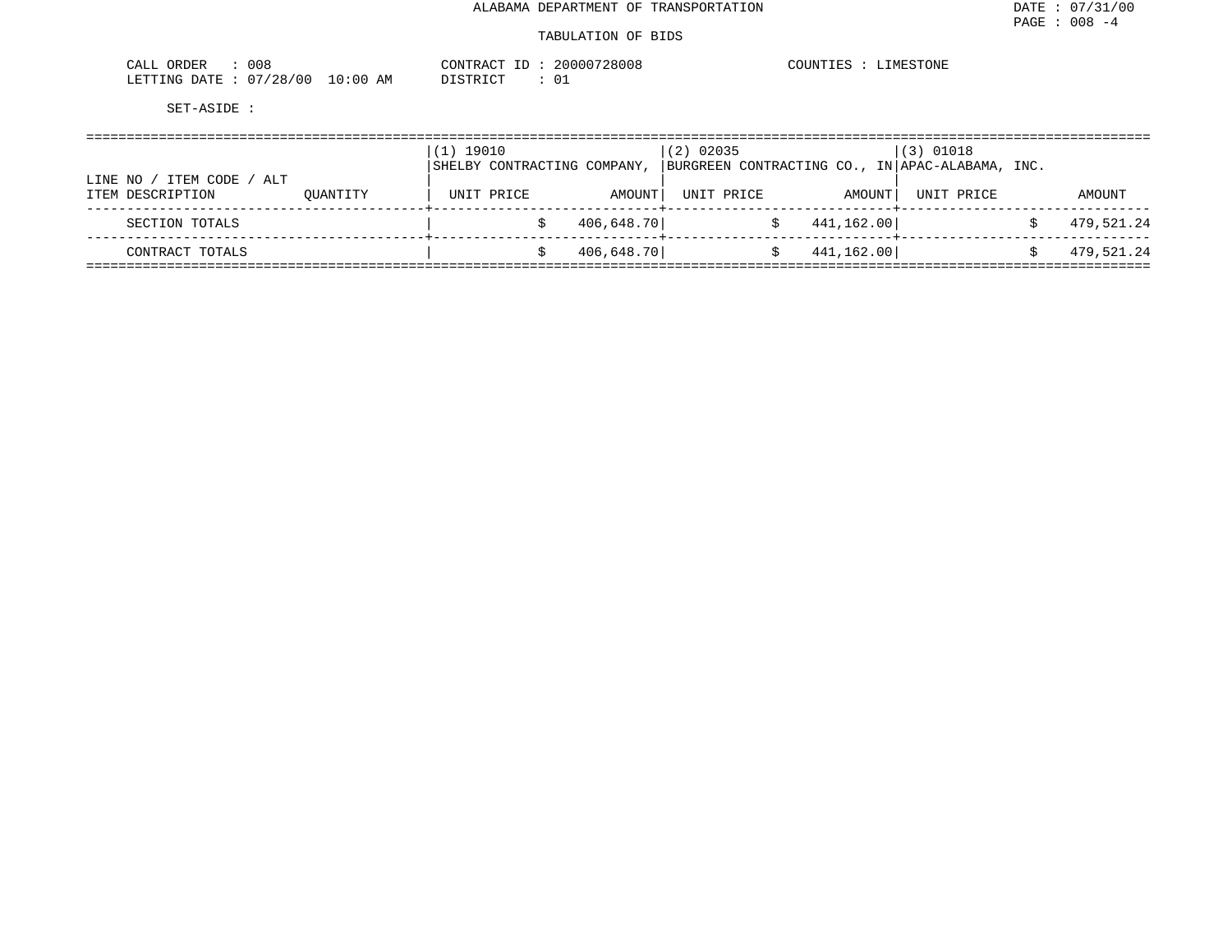| 008<br>ORDER<br>CALL   |          | CONTRACT ID:    | 20000728008 | COUNTIES | <b>IMESTONE</b> |
|------------------------|----------|-----------------|-------------|----------|-----------------|
| LETTING DATE: 07/28/00 | 10:00 AM | חי היה דגודו בת |             |          |                 |

|                                                 | $(1)$ 19010 | SHELBY CONTRACTING COMPANY, |            | $(2)$ 02035 |            | $(3)$ 01018<br> BURGREEN CONTRACTING CO., IN APAC-ALABAMA, INC. |            |            |
|-------------------------------------------------|-------------|-----------------------------|------------|-------------|------------|-----------------------------------------------------------------|------------|------------|
| ITEM CODE<br>ALT<br>LINE NO<br>ITEM DESCRIPTION | OUANTITY    |                             | UNIT PRICE | AMOUNT      | UNIT PRICE | AMOUNT                                                          | UNIT PRICE | AMOUNT     |
| SECTION TOTALS                                  |             |                             |            | 406,648.70  |            | 441,162.00                                                      |            | 479,521.24 |
| CONTRACT TOTALS                                 |             |                             |            | 406,648.70  |            | 441,162.00                                                      |            | 479,521.24 |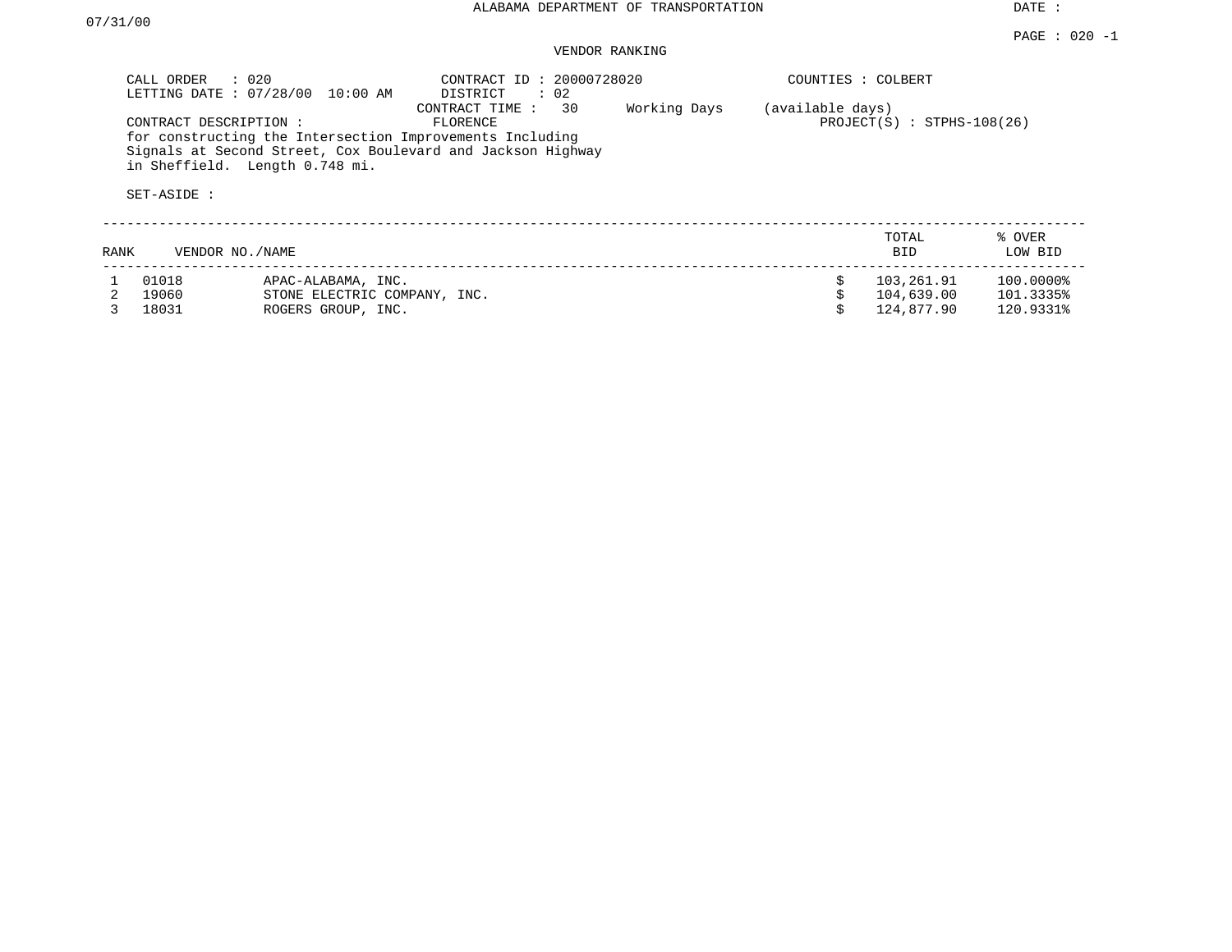DATE :

#### PAGE : 020 -1 VENDOR RANKING

|      | CALL ORDER<br>LETTING DATE: 07/28/00  | $\therefore$ 0.20<br>10:00 AM  | CONTRACT ID: 20000728020<br>DISTRICT<br>$\therefore$ 02                                                                                                     |              | COUNTIES : COLBERT |                              |                   |
|------|---------------------------------------|--------------------------------|-------------------------------------------------------------------------------------------------------------------------------------------------------------|--------------|--------------------|------------------------------|-------------------|
|      | CONTRACT DESCRIPTION :<br>SET-ASIDE : | in Sheffield. Length 0.748 mi. | 30<br>CONTRACT TIME:<br>FLORENCE<br>for constructing the Intersection Improvements Including<br>Signals at Second Street, Cox Boulevard and Jackson Highway | Working Days | (available days)   | $PROJECT(S)$ : STPHS-108(26) |                   |
| RANK | VENDOR NO./NAME                       |                                |                                                                                                                                                             |              |                    | TOTAL<br>BID                 | % OVER<br>LOW BID |
|      | 01018                                 | APAC-ALABAMA, INC.             |                                                                                                                                                             |              | Ŝ.                 | 103,261.91                   | 100.0000%         |
|      | 19060                                 | STONE ELECTRIC COMPANY, INC.   |                                                                                                                                                             |              |                    | 104,639.00                   | 101.3335%         |
|      | 18031                                 | ROGERS GROUP, INC.             |                                                                                                                                                             |              |                    | 124,877.90                   | 120.9331%         |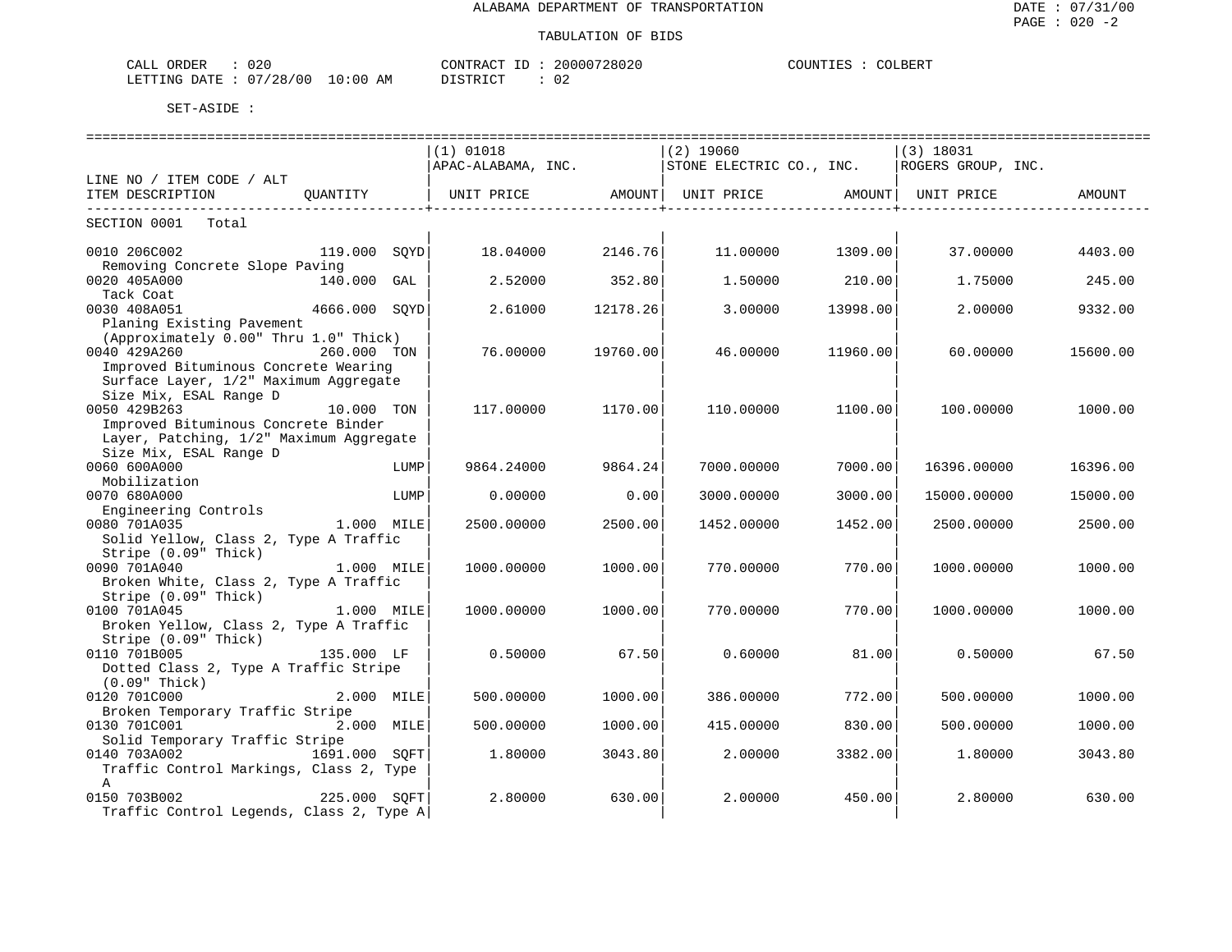### TABULATION OF BIDS

| CALL ORDER                      | 020 |          |  | CONTRACT ID: 20000728020 | COUNTIES | COLBERT |
|---------------------------------|-----|----------|--|--------------------------|----------|---------|
| LETTING DATE: 07/28/00 10:00 AM |     | DISTRICT |  | ∪∠                       |          |         |

|                                                                              |               |      | $(1)$ 01018 |          | $(2)$ 19060                                       |                                         | $(3)$ 18031        |          |
|------------------------------------------------------------------------------|---------------|------|-------------|----------|---------------------------------------------------|-----------------------------------------|--------------------|----------|
|                                                                              |               |      |             |          | $APAC-ALABAMA$ , INC. $ STONE$ ELECTRIC CO., INC. |                                         | ROGERS GROUP, INC. |          |
| LINE NO / ITEM CODE / ALT                                                    |               |      |             |          |                                                   |                                         |                    |          |
| ITEM DESCRIPTION QUANTITY   UNIT PRICE AMOUNT  UNIT PRICE AMOUNT  UNIT PRICE |               |      |             |          |                                                   |                                         |                    | AMOUNT   |
| ---------------------------                                                  |               |      |             |          |                                                   | . _ _ _ _ _ _ _ _ _ _ _ _ _ _ _ _ _ _ + |                    |          |
| SECTION 0001 Total                                                           |               |      |             |          |                                                   |                                         |                    |          |
|                                                                              |               |      |             |          |                                                   |                                         |                    |          |
| 0010 206C002                                                                 | 119.000 SOYD  |      | 18.04000    | 2146.76  | 11.00000                                          | 1309.00                                 | 37.00000           | 4403.00  |
| Removing Concrete Slope Paving                                               |               |      |             |          |                                                   |                                         |                    |          |
| 0020 405A000                                                                 | 140.000 GAL   |      | 2.52000     | 352.80   | 1.50000                                           | 210.00                                  | 1.75000            | 245.00   |
| Tack Coat                                                                    |               |      |             |          |                                                   |                                         |                    |          |
| 0030 408A051                                                                 | 4666.000 SOYD |      | 2.61000     | 12178.26 | 3.00000                                           | 13998.00                                | 2.00000            | 9332.00  |
| Planing Existing Pavement                                                    |               |      |             |          |                                                   |                                         |                    |          |
| (Approximately 0.00" Thru 1.0" Thick)                                        |               |      |             |          |                                                   |                                         |                    |          |
| 0040 429A260                                                                 | 260.000 TON   |      | 76.00000    | 19760.00 | 46.00000                                          | 11960.00                                | 60.00000           | 15600.00 |
| Improved Bituminous Concrete Wearing                                         |               |      |             |          |                                                   |                                         |                    |          |
| Surface Layer, 1/2" Maximum Aggregate                                        |               |      |             |          |                                                   |                                         |                    |          |
| Size Mix, ESAL Range D                                                       |               |      |             |          |                                                   |                                         |                    |          |
| 0050 429B263                                                                 | 10.000 TON    |      | 117.00000   | 1170.00  | 110.00000                                         | 1100.00                                 | 100.00000          | 1000.00  |
| Improved Bituminous Concrete Binder                                          |               |      |             |          |                                                   |                                         |                    |          |
| Layer, Patching, 1/2" Maximum Aggregate                                      |               |      |             |          |                                                   |                                         |                    |          |
| Size Mix, ESAL Range D                                                       |               |      |             |          |                                                   |                                         |                    |          |
| 0060 600A000                                                                 |               | LUMP | 9864.24000  | 9864.24  | 7000.00000                                        | 7000.00                                 | 16396.00000        | 16396.00 |
| Mobilization                                                                 |               |      |             |          |                                                   |                                         |                    |          |
| 0070 680A000                                                                 |               | LUMP | 0.00000     | 0.001    | 3000.00000                                        | 3000.00                                 | 15000.00000        | 15000.00 |
| Engineering Controls<br>190 7011035                                          |               |      |             |          |                                                   |                                         |                    |          |
| 0080 701A035                                                                 | 1.000 MILE    |      | 2500.00000  | 2500.00  | 1452.00000                                        | 1452.00                                 | 2500.00000         | 2500.00  |
| Solid Yellow, Class 2, Type A Traffic                                        |               |      |             |          |                                                   |                                         |                    |          |
| Stripe (0.09" Thick)                                                         |               |      |             |          |                                                   |                                         |                    |          |
| 0090 701A040                                                                 | 1.000 MILE    |      | 1000.00000  | 1000.00  | 770.00000                                         | 770.00                                  | 1000.00000         | 1000.00  |
| Broken White, Class 2, Type A Traffic                                        |               |      |             |          |                                                   |                                         |                    |          |
| Stripe (0.09" Thick)                                                         |               |      |             |          |                                                   |                                         |                    |          |
| 1.000 MILE<br>0100 701A045                                                   |               |      | 1000.00000  | 1000.00  | 770.00000                                         | 770.00                                  | 1000.00000         | 1000.00  |
| Broken Yellow, Class 2, Type A Traffic                                       |               |      |             |          |                                                   |                                         |                    |          |
| Stripe (0.09" Thick)                                                         |               |      |             |          |                                                   |                                         |                    |          |
| 0110 701B005                                                                 | 135.000 LF    |      | 0.50000     | 67.50    | 0.60000                                           | 81.00                                   | 0.50000            | 67.50    |
| Dotted Class 2, Type A Traffic Stripe                                        |               |      |             |          |                                                   |                                         |                    |          |
| $(0.09"$ Thick)                                                              |               |      |             |          |                                                   |                                         |                    |          |
| 0120 701C000                                                                 | 2.000 MILE    |      | 500.00000   | 1000.00  | 386.00000                                         | 772.00                                  | 500.00000          | 1000.00  |
| Broken Temporary Traffic Stripe                                              |               |      |             |          |                                                   |                                         |                    |          |
| 0130 701C001                                                                 | 2.000 MILE    |      | 500.00000   | 1000.00  | 415.00000                                         | 830.00                                  | 500,00000          | 1000.00  |
| Solid Temporary Traffic Stripe                                               |               |      |             |          |                                                   |                                         |                    |          |
| 0140 703A002 1691.000 SOFT                                                   |               |      | 1.80000     | 3043.80  | 2.00000                                           | 3382.00                                 | 1,80000            | 3043.80  |
| Traffic Control Markings, Class 2, Type                                      |               |      |             |          |                                                   |                                         |                    |          |
| $\mathbf{A}$                                                                 |               |      |             |          |                                                   |                                         |                    |          |
| 0150 703B002                                                                 | 225.000 SQFT  |      | 2.80000     | 630.00   | 2.00000                                           | 450.00                                  | 2.80000            | 630.00   |
| Traffic Control Legends, Class 2, Type A                                     |               |      |             |          |                                                   |                                         |                    |          |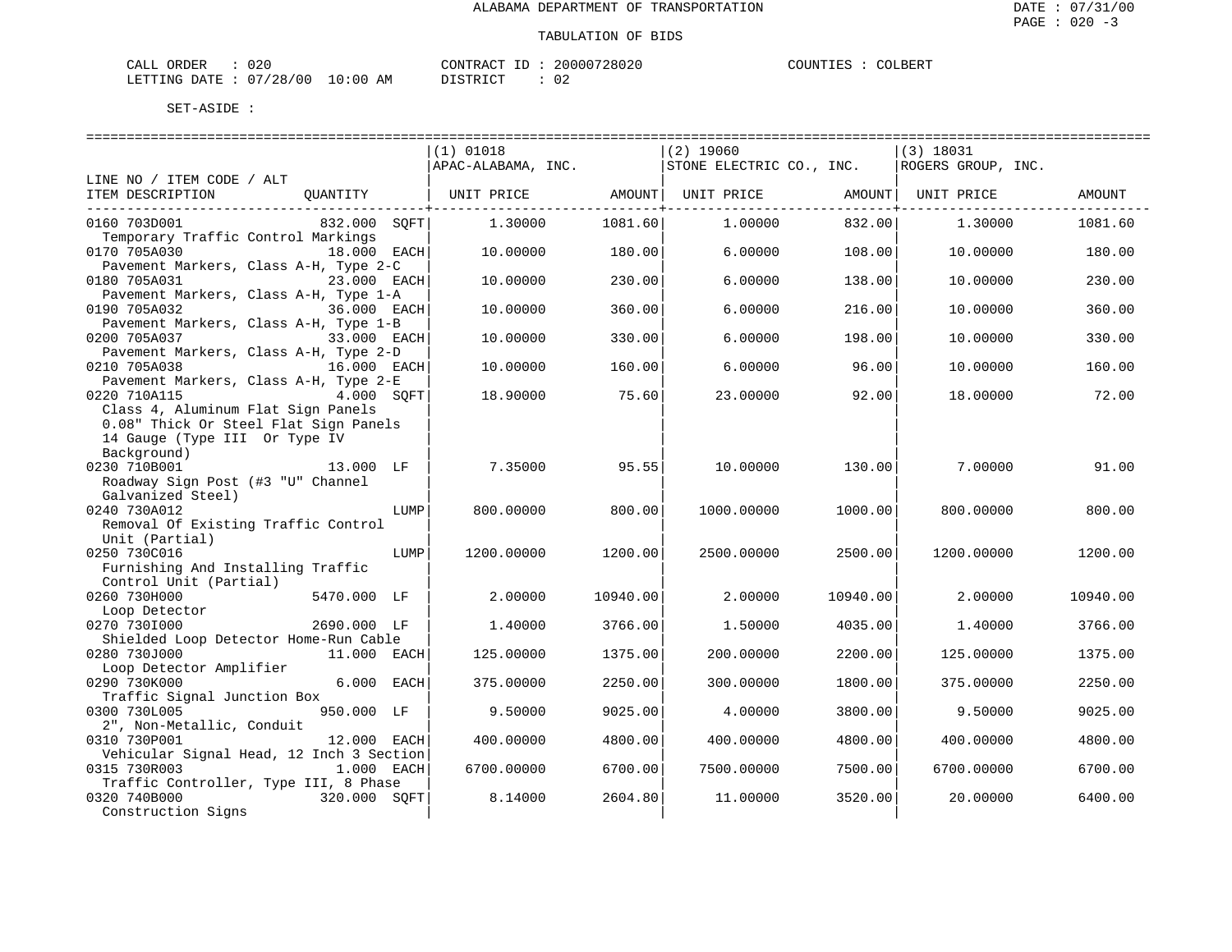| ORDER<br>CALL (        | 020 |            | CONTRACT<br>TD. | 20000728020 | COUNTIES | COLBERT |
|------------------------|-----|------------|-----------------|-------------|----------|---------|
| LETTING DATE: 07/28/00 |     | $10:00$ am | DISTRICT        | 02          |          |         |

|                                          | $(1)$ 01018                                         |                     | $(2)$ 19060 |          | $(3)$ 18031        |          |
|------------------------------------------|-----------------------------------------------------|---------------------|-------------|----------|--------------------|----------|
|                                          | $ $ APAC-ALABAMA, INC. $ $ STONE ELECTRIC CO., INC. |                     |             |          | ROGERS GROUP, INC. |          |
| LINE NO / ITEM CODE / ALT                |                                                     |                     |             |          |                    |          |
| ITEM DESCRIPTION<br>QUANTITY             | UNIT PRICE AMOUNT   UNIT PRICE                      |                     |             | AMOUNT   | UNIT PRICE         | AMOUNT   |
|                                          |                                                     | --------------+---- |             |          |                    |          |
| 832.000 SOFT <br>0160 703D001            | 1,30000                                             | 1081.60             | 1,00000     | 832.00   | 1.30000            | 1081.60  |
| Temporary Traffic Control Markings       |                                                     |                     |             |          |                    |          |
| 0170 705A030<br>18.000 EACH              | 10.00000                                            | 180.00              | 6.00000     | 108.00   | 10.00000           | 180.00   |
| Pavement Markers, Class A-H, Type 2-C    |                                                     |                     |             |          |                    |          |
| 0180 705A031<br>23.000 EACH              | 10.00000                                            | 230.00              | 6.00000     | 138.00   | 10.00000           | 230.00   |
| Pavement Markers, Class A-H, Type 1-A    |                                                     |                     |             |          |                    |          |
| 0190 705A032<br>36.000 EACH              | 10.00000                                            | 360.00              | 6.00000     | 216.00   | 10.00000           | 360.00   |
| Pavement Markers, Class A-H, Type 1-B    |                                                     |                     |             |          |                    |          |
| 0200 705A037<br>33.000 EACH              | 10.00000                                            | 330.00              | 6.00000     | 198.00   | 10.00000           | 330.00   |
| Pavement Markers, Class A-H, Type 2-D    |                                                     |                     |             |          |                    |          |
| 0210 705A038<br>16.000 EACH              | 10.00000                                            | 160.00              | 6.00000     | 96.00    | 10.00000           | 160.00   |
| Pavement Markers, Class A-H, Type 2-E    |                                                     |                     |             |          |                    |          |
| 0220 710A115<br>4.000 SOFT               | 18,90000                                            | 75.60               | 23.00000    | 92.00    | 18,00000           | 72.00    |
| Class 4, Aluminum Flat Sign Panels       |                                                     |                     |             |          |                    |          |
| 0.08" Thick Or Steel Flat Sign Panels    |                                                     |                     |             |          |                    |          |
| 14 Gauge (Type III Or Type IV            |                                                     |                     |             |          |                    |          |
| Background)                              |                                                     |                     |             |          |                    |          |
| 13.000 LF<br>0230 710B001                | 7.35000                                             | 95.55               | 10.00000    | 130.00   | 7.00000            | 91.00    |
| Roadway Sign Post (#3 "U" Channel        |                                                     |                     |             |          |                    |          |
| Galvanized Steel)                        |                                                     |                     |             |          |                    |          |
| 0240 730A012<br>LUMP                     | 800,00000                                           | 800.00              | 1000.00000  | 1000.00  | 800,00000          | 800.00   |
| Removal Of Existing Traffic Control      |                                                     |                     |             |          |                    |          |
| Unit (Partial)                           |                                                     |                     |             |          |                    |          |
| 0250 730C016<br>LUMP                     | 1200.00000                                          | 1200.00             | 2500.00000  | 2500.00  | 1200.00000         | 1200.00  |
| Furnishing And Installing Traffic        |                                                     |                     |             |          |                    |          |
| Control Unit (Partial)                   |                                                     |                     |             |          |                    |          |
| 0260 730H000<br>5470.000 LF              | 2,00000                                             | 10940.00            | 2.00000     | 10940.00 | 2.00000            | 10940.00 |
| Loop Detector                            |                                                     |                     |             |          |                    |          |
| 0270 7301000<br>2690.000 LF              | 1,40000                                             | 3766.00             | 1,50000     | 4035.00  | 1,40000            | 3766.00  |
| Shielded Loop Detector Home-Run Cable    |                                                     |                     |             |          |                    |          |
| 0280 730J000<br>11.000 EACH              | 125,00000                                           | 1375.00             | 200,00000   | 2200.00  | 125,00000          | 1375.00  |
| Loop Detector Amplifier                  |                                                     |                     |             |          |                    |          |
| 6.000 EACH<br>0290 730K000               | 375.00000                                           | 2250.00             | 300.00000   | 1800.00  | 375.00000          | 2250.00  |
| Traffic Signal Junction Box              |                                                     |                     |             |          |                    |          |
| 0300 730L005<br>950.000 LF               | 9.50000                                             | 9025.00             | 4.00000     | 3800.00  | 9.50000            | 9025.00  |
| 2", Non-Metallic, Conduit                |                                                     |                     |             |          |                    |          |
| 0310 730P001<br>12.000 EACH              | 400.00000                                           | 4800.00             | 400.00000   | 4800.00  | 400.00000          | 4800.00  |
| Vehicular Signal Head, 12 Inch 3 Section |                                                     |                     |             |          |                    |          |
| 0315 730R003<br>1.000 EACH               | 6700.00000                                          | 6700.00             | 7500.00000  | 7500.00  | 6700.00000         | 6700.00  |
| Traffic Controller, Type III, 8 Phase    |                                                     |                     |             |          |                    |          |
| 0320 740B000<br>320.000 SQFT             | 8.14000                                             | 2604.80             | 11.00000    | 3520.00  | 20.00000           | 6400.00  |
| Construction Signs                       |                                                     |                     |             |          |                    |          |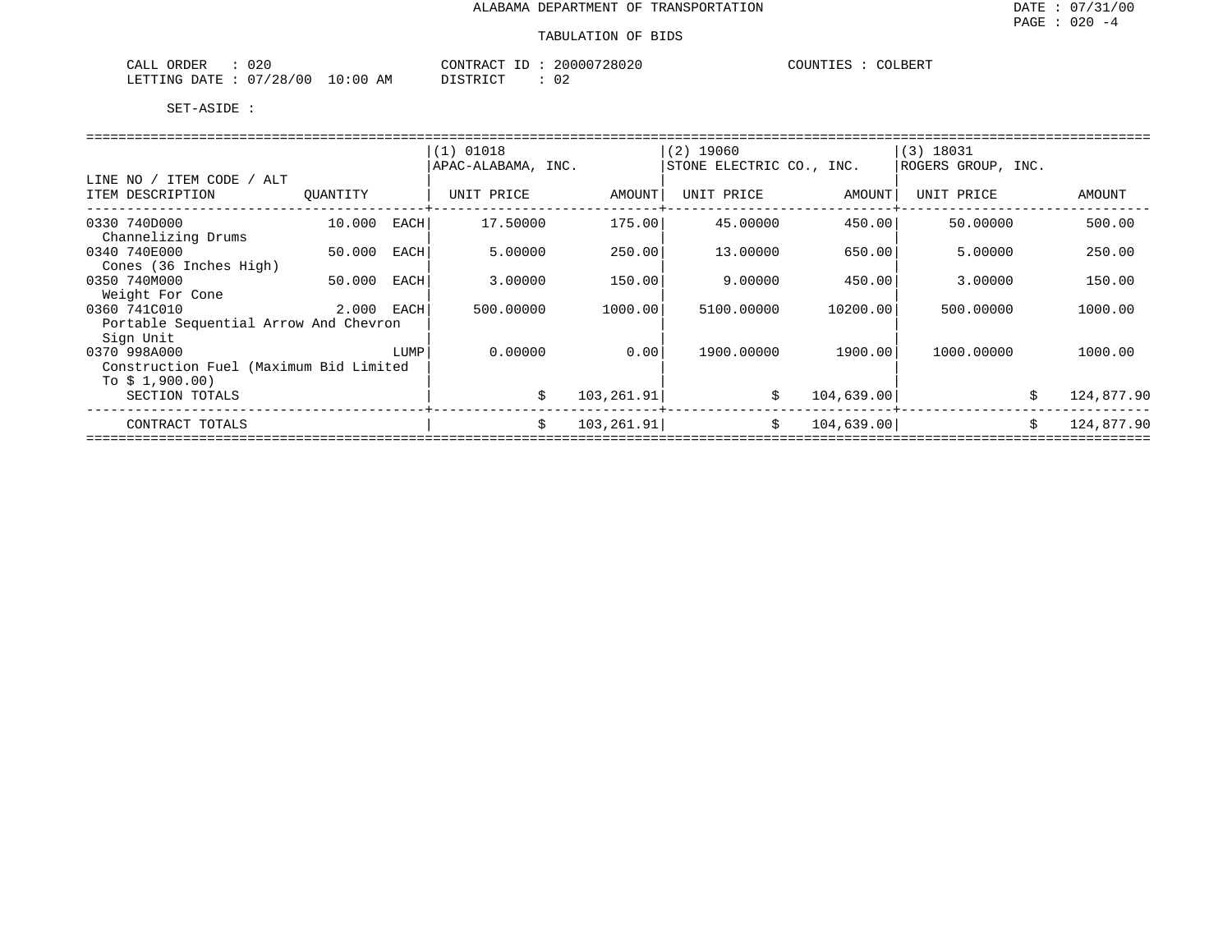### TABULATION OF BIDS

| 020<br>ORDER<br>77 L<br>، بىلمى |                             | MONTR<br>$\sim$ $\sim$ $\sim$<br>ч ні | 020<br>2 በ በ<br>-2801 | COUNTIES<br>RFRT.<br>ЭT |
|---------------------------------|-----------------------------|---------------------------------------|-----------------------|-------------------------|
| <b>ETTING</b><br>ገA TT          | 100<br>:00<br>AΜ<br>.<br>28 | $\cdot$ $\sim$ $\sim$                 | ◡∠                    |                         |

|                                        |          |      | $(1)$ 01018        |             | $(2)$ 19060              |            | (3) 18031          |    |            |  |  |
|----------------------------------------|----------|------|--------------------|-------------|--------------------------|------------|--------------------|----|------------|--|--|
|                                        |          |      | APAC-ALABAMA, INC. |             | STONE ELECTRIC CO., INC. |            | ROGERS GROUP, INC. |    |            |  |  |
| LINE NO / ITEM CODE / ALT              |          |      |                    |             |                          |            |                    |    |            |  |  |
| ITEM DESCRIPTION                       | OUANTITY |      | UNIT PRICE         | AMOUNT      | UNIT PRICE               | AMOUNT     | UNIT PRICE         |    | AMOUNT     |  |  |
|                                        |          |      |                    |             |                          |            |                    |    |            |  |  |
| 0330 740D000                           | 10.000   | EACH | 17.50000           | 175.00      | 45.00000                 | 450.00     | 50.00000           |    | 500.00     |  |  |
| Channelizing Drums                     |          |      |                    |             |                          |            |                    |    |            |  |  |
| 0340 740E000                           | 50.000   | EACH | 5.00000            | 250.00      | 13,00000                 | 650.00     | 5.00000            |    | 250.00     |  |  |
| Cones (36 Inches High)                 |          |      |                    |             |                          |            |                    |    |            |  |  |
| 0350 740M000                           | 50.000   | EACH | 3.00000            | 150.00      | 9,00000                  | 450.00     | 3.00000            |    | 150.00     |  |  |
| Weight For Cone                        |          |      |                    |             |                          |            |                    |    |            |  |  |
| 0360 741C010                           | 2.000    | EACH | 500.00000          | 1000.00     | 5100.00000               | 10200.00   | 500.00000          |    | 1000.00    |  |  |
| Portable Sequential Arrow And Chevron  |          |      |                    |             |                          |            |                    |    |            |  |  |
| Sign Unit                              |          |      |                    |             |                          |            |                    |    |            |  |  |
| 0370 998A000                           |          | LUMP | 0.00000            | 0.00        | 1900.00000               | 1900.00    | 1000.00000         |    | 1000.00    |  |  |
| Construction Fuel (Maximum Bid Limited |          |      |                    |             |                          |            |                    |    |            |  |  |
| To $$1,900.00)$                        |          |      |                    |             |                          |            |                    |    |            |  |  |
| SECTION TOTALS                         |          |      | \$                 | 103, 261.91 | \$                       | 104,639.00 |                    | \$ | 124,877.90 |  |  |
| CONTRACT TOTALS                        |          |      | \$                 | 103, 261.91 | Ŝ.                       | 104,639.00 |                    |    | 124,877.90 |  |  |
|                                        |          |      |                    |             |                          |            |                    |    |            |  |  |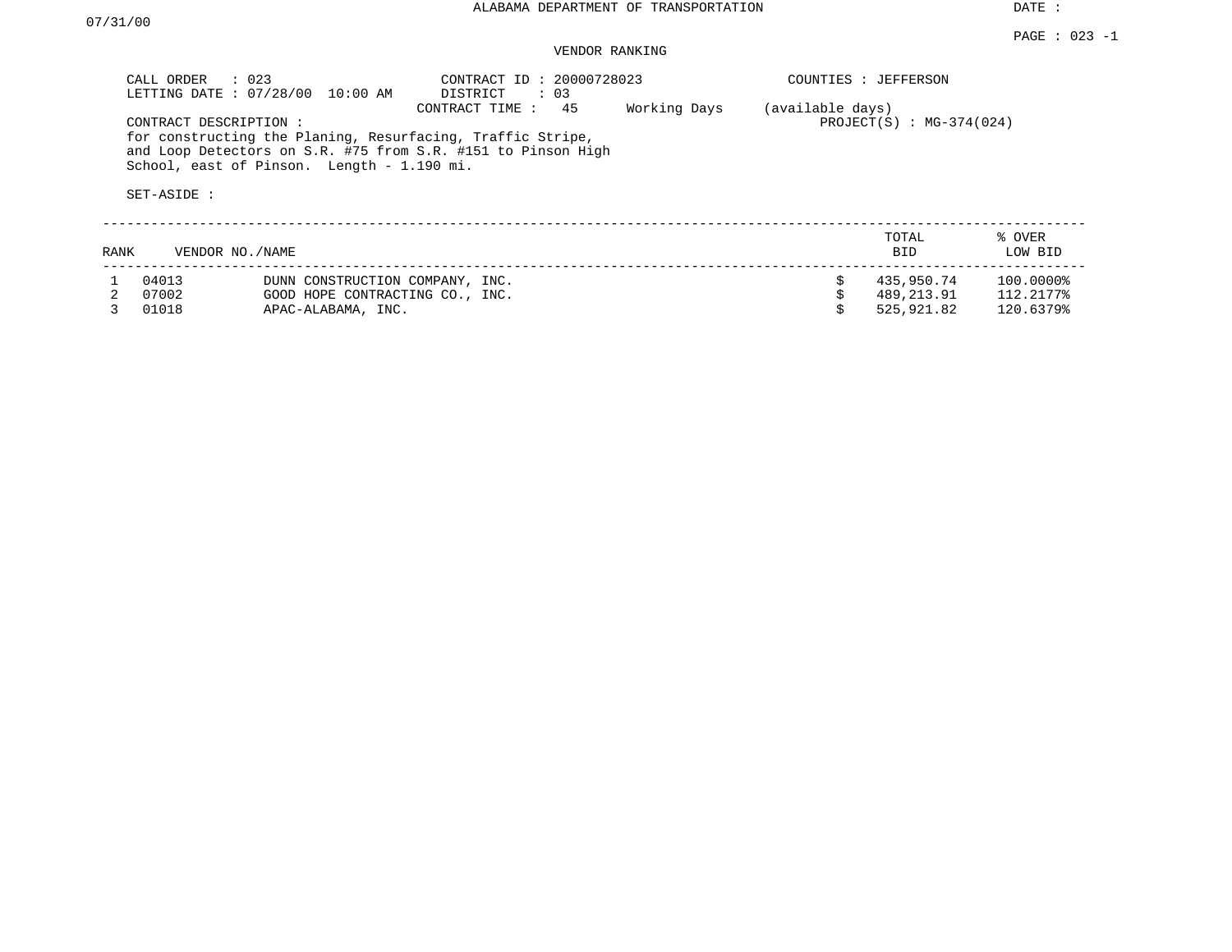DATE :

## VENDOR RANKING

|      | CALL ORDER<br>LETTING DATE: 07/28/00 | $\therefore$ 023<br>10:00 AM               | CONTRACT ID: 20000728023<br>DISTRICT<br>$\therefore$ 03                                                                                            |              |                  | COUNTIES : JEFFERSON       |                   |
|------|--------------------------------------|--------------------------------------------|----------------------------------------------------------------------------------------------------------------------------------------------------|--------------|------------------|----------------------------|-------------------|
|      | CONTRACT DESCRIPTION:<br>SET-ASIDE : | School, east of Pinson. Length - 1.190 mi. | 45<br>CONTRACT TIME:<br>for constructing the Planing, Resurfacing, Traffic Stripe,<br>and Loop Detectors on S.R. #75 from S.R. #151 to Pinson High | Working Days | (available days) | $PROJECT(S) : MG-374(024)$ |                   |
| RANK |                                      | VENDOR NO./NAME                            |                                                                                                                                                    |              |                  | TOTAL<br>BID               | % OVER<br>LOW BID |
|      | 04013                                | DUNN CONSTRUCTION COMPANY, INC.            |                                                                                                                                                    |              |                  | 435,950.74                 | 100.0000%         |
|      | 07002                                | GOOD HOPE CONTRACTING CO., INC.            |                                                                                                                                                    |              |                  | 489,213.91                 | 112.2177%         |
|      | 01018                                | APAC-ALABAMA, INC.                         |                                                                                                                                                    |              |                  | 525,921.82                 | 120.6379%         |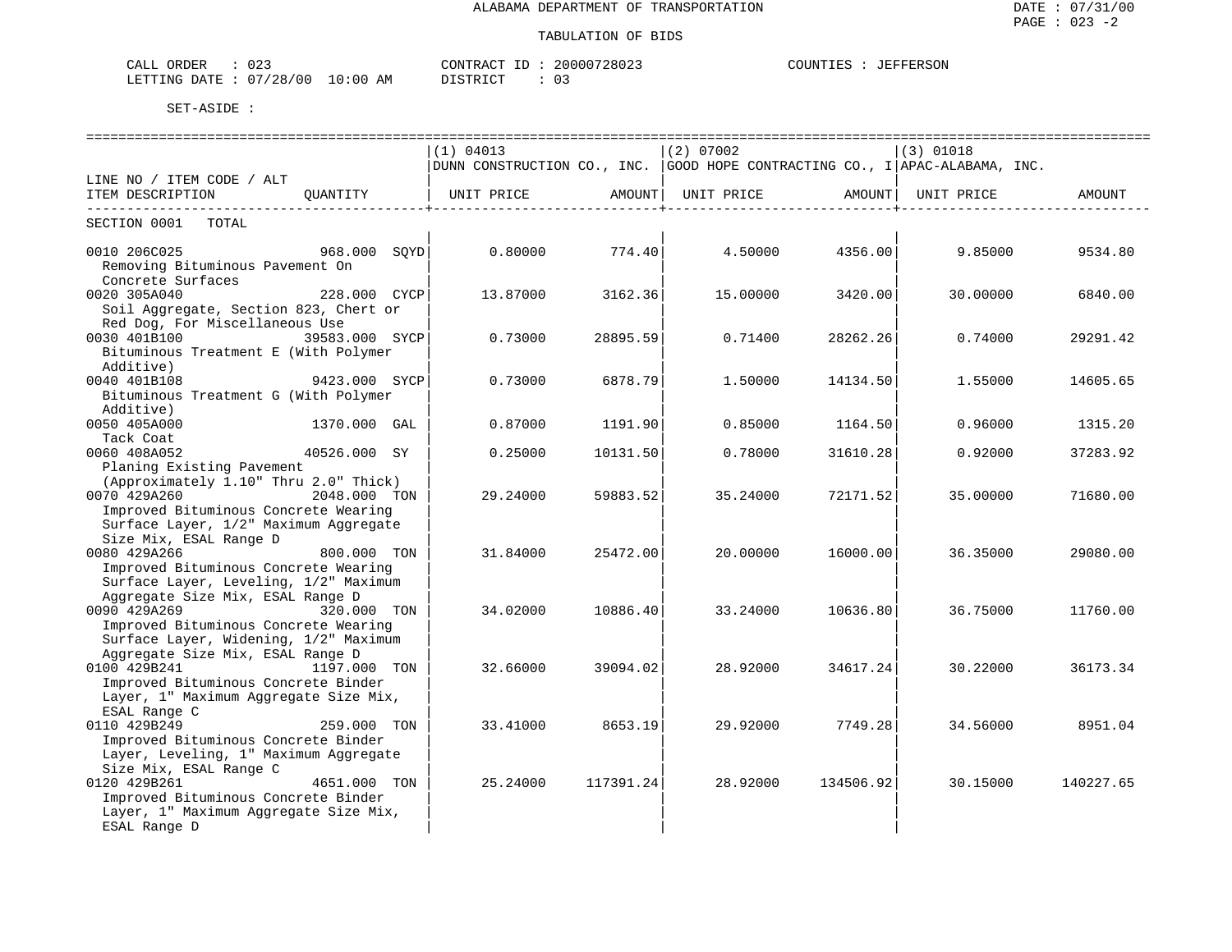| ∩∩^<br>ORDER<br>ـ ىلىمى<br>0 Z J |             | CONTRACT                    | 20000728023 | <b>JEFFERSON</b><br>COUNTIES |
|----------------------------------|-------------|-----------------------------|-------------|------------------------------|
| /28/00<br>- 07<br>LETTING DATE   | 10:00<br>AΜ | $ \alpha$ mn $+$ $\alpha$ m | ◡-          |                              |

|                                       |              | (1) 04013                                                                              |                        | $(2)$ 07002                            |                     | $(3)$ 01018 |           |
|---------------------------------------|--------------|----------------------------------------------------------------------------------------|------------------------|----------------------------------------|---------------------|-------------|-----------|
|                                       |              | DUNN CONSTRUCTION CO., INC. GOOD HOPE CONTRACTING CO., I APAC-ALABAMA, INC.            |                        |                                        |                     |             |           |
| LINE NO / ITEM CODE / ALT             |              |                                                                                        |                        |                                        |                     |             |           |
| ITEM DESCRIPTION QUANTITY             |              | UNIT PRICE                  AMOUNT    UNIT PRICE                  AMOUNT    UNIT PRICE |                        |                                        |                     |             | AMOUNT    |
| -------------------------------       |              |                                                                                        | ---------------+------ |                                        | -----------------+- |             |           |
| SECTION 0001 TOTAL                    |              |                                                                                        |                        |                                        |                     |             |           |
|                                       |              |                                                                                        |                        |                                        |                     |             |           |
| 0010 206C025 968.000 SQYD             |              |                                                                                        |                        | $0.80000$ $774.40$ $4.50000$ $4356.00$ |                     | 9.85000     | 9534.80   |
| Removing Bituminous Pavement On       |              |                                                                                        |                        |                                        |                     |             |           |
| Concrete Surfaces                     |              |                                                                                        |                        |                                        |                     |             |           |
| 0020 305A040                          | 228.000 CYCP | 13.87000                                                                               | 3162.36                | 15.00000                               | 3420.00             | 30.00000    | 6840.00   |
| Soil Aggregate, Section 823, Chert or |              |                                                                                        |                        |                                        |                     |             |           |
| Red Dog, For Miscellaneous Use        |              |                                                                                        |                        |                                        |                     |             |           |
| 0030 401B100<br>39583.000 SYCP        |              | 0.73000                                                                                | 28895.59               | 0.71400                                | 28262.26            | 0.74000     | 29291.42  |
| Bituminous Treatment E (With Polymer  |              |                                                                                        |                        |                                        |                     |             |           |
| Additive)                             |              |                                                                                        |                        |                                        |                     |             |           |
| 9423.000 SYCP<br>0040 401B108         |              | 0.73000                                                                                | 6878.79                | 1.50000                                | 14134.50            | 1.55000     | 14605.65  |
| Bituminous Treatment G (With Polymer  |              |                                                                                        |                        |                                        |                     |             |           |
| Additive)                             |              |                                                                                        |                        |                                        |                     |             |           |
| 0050 405A000                          | 1370.000 GAL | 0.87000                                                                                | 1191.90                | 0.85000                                | 1164.50             | 0.96000     | 1315.20   |
| Tack Coat                             |              |                                                                                        |                        |                                        |                     |             |           |
| 0060 408A052<br>40526.000 SY          |              | 0.25000                                                                                | 10131.50               | 0.78000                                | 31610.28            | 0.92000     | 37283.92  |
| Planing Existing Pavement             |              |                                                                                        |                        |                                        |                     |             |           |
| (Approximately 1.10" Thru 2.0" Thick) |              |                                                                                        |                        |                                        |                     |             |           |
| 2048.000 TON<br>0070 429A260          |              | 29.24000                                                                               | 59883.52               | 35.24000                               | 72171.52            | 35.00000    | 71680.00  |
| Improved Bituminous Concrete Wearing  |              |                                                                                        |                        |                                        |                     |             |           |
| Surface Layer, 1/2" Maximum Aggregate |              |                                                                                        |                        |                                        |                     |             |           |
| Size Mix, ESAL Range D                |              |                                                                                        |                        |                                        |                     |             |           |
| 800.000 TON<br>0080 429A266           |              | 31.84000                                                                               | 25472.00               | 20,00000                               | 16000.00            | 36.35000    | 29080.00  |
| Improved Bituminous Concrete Wearing  |              |                                                                                        |                        |                                        |                     |             |           |
| Surface Layer, Leveling, 1/2" Maximum |              |                                                                                        |                        |                                        |                     |             |           |
| Aggregate Size Mix, ESAL Range D      |              |                                                                                        |                        |                                        |                     |             |           |
| 0090 429A269<br>320.000 TON           |              | 34.02000                                                                               | 10886.40               | 33.24000                               | 10636.80            | 36.75000    | 11760.00  |
| Improved Bituminous Concrete Wearing  |              |                                                                                        |                        |                                        |                     |             |           |
| Surface Layer, Widening, 1/2" Maximum |              |                                                                                        |                        |                                        |                     |             |           |
| Aggregate Size Mix, ESAL Range D      |              |                                                                                        |                        |                                        |                     |             |           |
| 0100 429B241<br>1197.000 TON          |              | 32.66000                                                                               | 39094.02               | 28,92000                               | 34617.24            | 30.22000    | 36173.34  |
| Improved Bituminous Concrete Binder   |              |                                                                                        |                        |                                        |                     |             |           |
| Layer, 1" Maximum Aggregate Size Mix, |              |                                                                                        |                        |                                        |                     |             |           |
| ESAL Range C                          |              |                                                                                        |                        |                                        |                     |             |           |
| 0110 429B249                          | 259.000 TON  | 33.41000                                                                               | 8653.19                | 29.92000                               | 7749.28             | 34.56000    | 8951.04   |
| Improved Bituminous Concrete Binder   |              |                                                                                        |                        |                                        |                     |             |           |
| Layer, Leveling, 1" Maximum Aggregate |              |                                                                                        |                        |                                        |                     |             |           |
| Size Mix, ESAL Range C                |              |                                                                                        |                        |                                        |                     |             |           |
| 0120 429B261                          | 4651.000 TON | 25.24000                                                                               | 117391.24              | 28.92000                               | 134506.92           | 30.15000    | 140227.65 |
| Improved Bituminous Concrete Binder   |              |                                                                                        |                        |                                        |                     |             |           |
| Layer, 1" Maximum Aggregate Size Mix, |              |                                                                                        |                        |                                        |                     |             |           |
| ESAL Range D                          |              |                                                                                        |                        |                                        |                     |             |           |
|                                       |              |                                                                                        |                        |                                        |                     |             |           |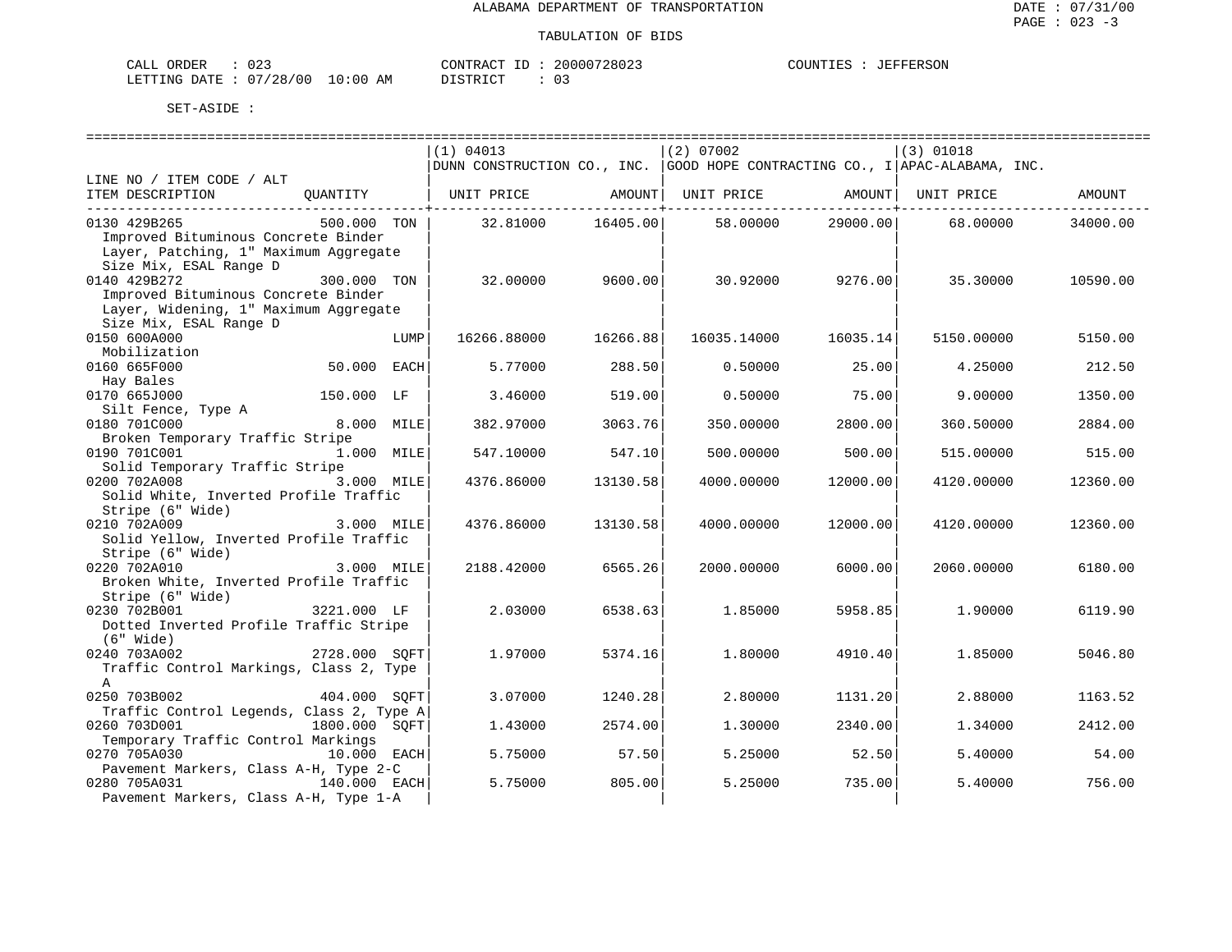| CALL ORDER                      | 023 |          | CONTRACT ID: 20000728023 | COUNTIES | : JEFFERSON |
|---------------------------------|-----|----------|--------------------------|----------|-------------|
| LETTING DATE: 07/28/00 10:00 AM |     | DISTRICT |                          |          |             |

|                                                            |               | (1) 04013                                                   |          | (2) 07002   |          | (3) 01018                                                                   |          |
|------------------------------------------------------------|---------------|-------------------------------------------------------------|----------|-------------|----------|-----------------------------------------------------------------------------|----------|
|                                                            |               |                                                             |          |             |          | DUNN CONSTRUCTION CO., INC. GOOD HOPE CONTRACTING CO., I APAC-ALABAMA, INC. |          |
| LINE NO / ITEM CODE / ALT                                  |               |                                                             |          |             |          |                                                                             |          |
| ITEM DESCRIPTION                                           |               | QUANTITY   UNIT PRICE AMOUNT  UNIT PRICE AMOUNT  UNIT PRICE |          |             |          |                                                                             | AMOUNT   |
| 0130 429B265                                               | 500.000 TON   | 32.81000                                                    | 16405.00 | 58.00000    | 29000.00 | 68.00000                                                                    | 34000.00 |
| Improved Bituminous Concrete Binder                        |               |                                                             |          |             |          |                                                                             |          |
| Layer, Patching, 1" Maximum Aggregate                      |               |                                                             |          |             |          |                                                                             |          |
| Size Mix, ESAL Range D<br>0140 429B272                     | 300.000 TON   | 32.00000                                                    | 9600.00  | 30.92000    | 9276.00  | 35.30000                                                                    | 10590.00 |
| Improved Bituminous Concrete Binder                        |               |                                                             |          |             |          |                                                                             |          |
| Layer, Widening, 1" Maximum Aggregate                      |               |                                                             |          |             |          |                                                                             |          |
| Size Mix, ESAL Range D                                     |               |                                                             |          |             |          |                                                                             |          |
| 0150 600A000                                               | LUMP          | 16266.88000                                                 | 16266.88 | 16035.14000 | 16035.14 | 5150.00000                                                                  | 5150.00  |
| Mobilization                                               | 50.000 EACH   |                                                             |          |             |          |                                                                             |          |
| 0160 665F000<br>Hay Bales                                  |               | 5.77000                                                     | 288.50   | 0.50000     | 25.00    | 4.25000                                                                     | 212.50   |
| 0170 665J000                                               | 150.000 LF    | 3.46000                                                     | 519.00   | 0.50000     | 75.00    | 9.00000                                                                     | 1350.00  |
| Silt Fence, Type A                                         |               |                                                             |          |             |          |                                                                             |          |
| 0180 701C000                                               | 8.000 MILE    | 382.97000                                                   | 3063.76  | 350.00000   | 2800.00  | 360.50000                                                                   | 2884.00  |
| Broken Temporary Traffic Stripe<br>0190 701C001            |               |                                                             |          |             |          |                                                                             |          |
| Solid Temporary Traffic Stripe                             | 1.000 MILE    | 547.10000                                                   | 547.10   | 500.00000   | 500.00   | 515.00000                                                                   | 515.00   |
| 0200 702A008                                               | 3.000 MILE    | 4376.86000                                                  | 13130.58 | 4000.00000  | 12000.00 | 4120.00000                                                                  | 12360.00 |
| Solid White, Inverted Profile Traffic                      |               |                                                             |          |             |          |                                                                             |          |
| Stripe (6" Wide)                                           |               |                                                             |          |             |          |                                                                             |          |
| 0210 702A009                                               | 3.000 MILE    | 4376.86000                                                  | 13130.58 | 4000.00000  | 12000.00 | 4120.00000                                                                  | 12360.00 |
| Solid Yellow, Inverted Profile Traffic<br>Stripe (6" Wide) |               |                                                             |          |             |          |                                                                             |          |
| 0220 702A010                                               | 3.000 MILE    | 2188.42000                                                  | 6565.26  | 2000.00000  | 6000.00  | 2060.00000                                                                  | 6180.00  |
| Broken White, Inverted Profile Traffic                     |               |                                                             |          |             |          |                                                                             |          |
| Stripe (6" Wide)                                           |               |                                                             |          |             |          |                                                                             |          |
| 0230 702B001                                               | 3221.000 LF   | 2.03000                                                     | 6538.63  | 1.85000     | 5958.85  | 1,90000                                                                     | 6119.90  |
| Dotted Inverted Profile Traffic Stripe<br>(6" Wide)        |               |                                                             |          |             |          |                                                                             |          |
| 0240 703A002                                               | 2728.000 SOFT | 1.97000                                                     | 5374.16  | 1,80000     | 4910.40  | 1.85000                                                                     | 5046.80  |
| Traffic Control Markings, Class 2, Type                    |               |                                                             |          |             |          |                                                                             |          |
| A                                                          |               |                                                             |          |             |          |                                                                             |          |
| 0250 703B002                                               | 404.000 SOFT  | 3.07000                                                     | 1240.28  | 2.80000     | 1131.20  | 2.88000                                                                     | 1163.52  |
| Traffic Control Legends, Class 2, Type A<br>0260 703D001   | 1800.000 SOFT | 1.43000                                                     | 2574.00  | 1,30000     | 2340.00  | 1,34000                                                                     | 2412.00  |
| Temporary Traffic Control Markings                         |               |                                                             |          |             |          |                                                                             |          |
| 0270 705A030                                               | 10.000 EACH   | 5.75000                                                     | 57.50    | 5.25000     | 52.50    | 5.40000                                                                     | 54.00    |
| Pavement Markers, Class A-H, Type 2-C                      |               |                                                             |          |             |          |                                                                             |          |
| 0280 705A031                                               | 140.000 EACH  | 5.75000                                                     | 805.00   | 5.25000     | 735.00   | 5.40000                                                                     | 756.00   |
| Pavement Markers, Class A-H, Type 1-A                      |               |                                                             |          |             |          |                                                                             |          |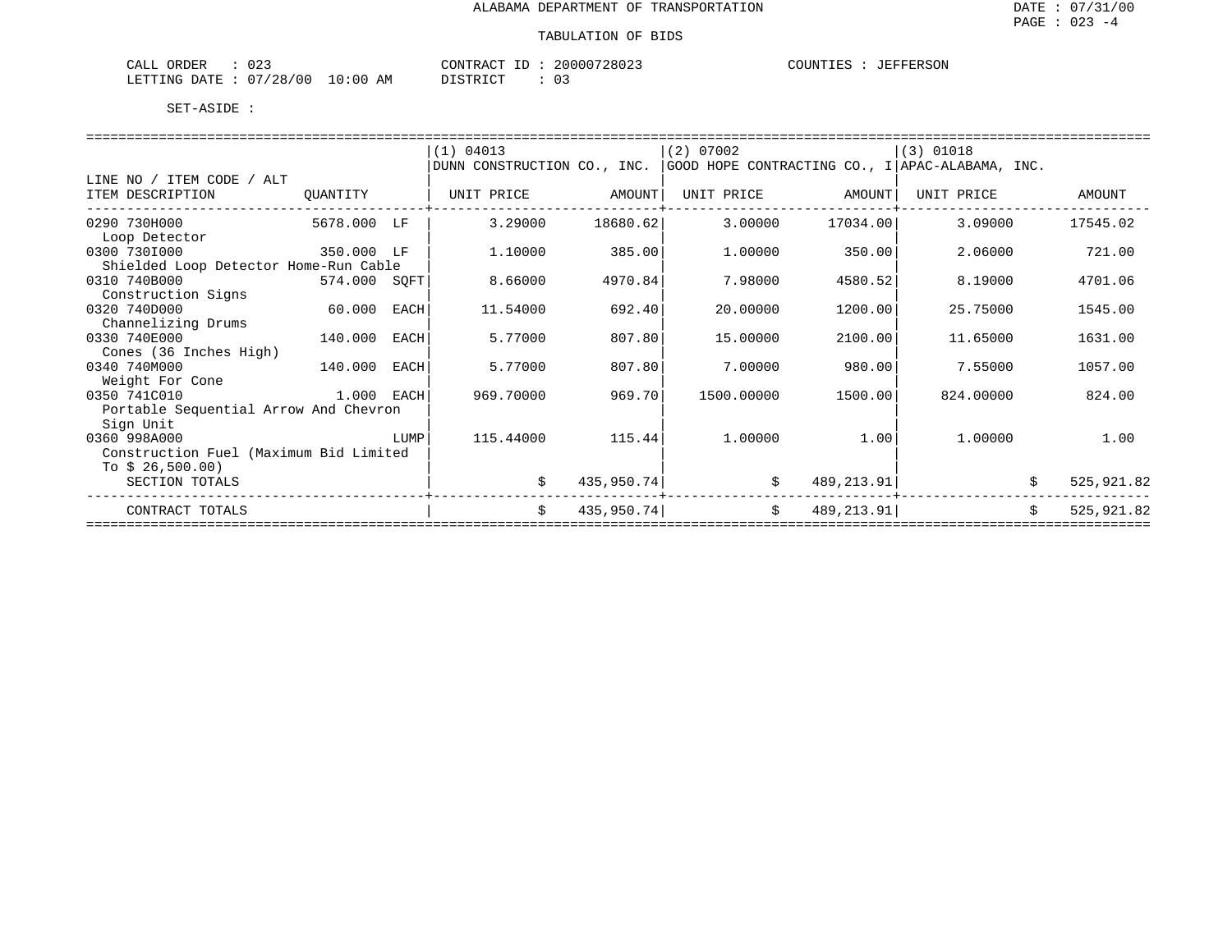| ORDER<br>CALL     | UZ.          |             | CONTRACT<br>--------- | $ -$ | 20000728023 | COUNTIES | JEFFERSON |
|-------------------|--------------|-------------|-----------------------|------|-------------|----------|-----------|
| '.ETTING<br>חת מח | '28/00<br>07 | 10:00<br>ΆM | ידי קידי פרדי<br>.    |      | د 0         |          |           |

|                                        |              |      | (1) 04013                                                                   |            | (2) 07002  |            | $(3)$ 01018 |    |            |  |  |
|----------------------------------------|--------------|------|-----------------------------------------------------------------------------|------------|------------|------------|-------------|----|------------|--|--|
|                                        |              |      | DUNN CONSTRUCTION CO., INC. GOOD HOPE CONTRACTING CO., I APAC-ALABAMA, INC. |            |            |            |             |    |            |  |  |
| LINE NO / ITEM CODE / ALT              |              |      |                                                                             |            |            |            |             |    |            |  |  |
| ITEM DESCRIPTION                       | QUANTITY     |      | UNIT PRICE                                                                  | AMOUNT     | UNIT PRICE | AMOUNT     | UNIT PRICE  |    | AMOUNT     |  |  |
| 0290 730H000                           | 5678.000 LF  |      | 3.29000                                                                     | 18680.62   | 3.00000    | 17034.00   | 3.09000     |    | 17545.02   |  |  |
| Loop Detector                          |              |      |                                                                             |            |            |            |             |    |            |  |  |
| 0300 7301000                           | 350.000 LF   |      | 1,10000                                                                     | 385.00     | 1,00000    | 350.00     | 2.06000     |    | 721.00     |  |  |
| Shielded Loop Detector Home-Run Cable  |              |      |                                                                             |            |            |            |             |    |            |  |  |
| 0310 740B000                           | 574.000 SQFT |      | 8.66000                                                                     | 4970.84    | 7.98000    | 4580.52    | 8.19000     |    | 4701.06    |  |  |
| Construction Signs                     |              |      |                                                                             |            |            |            |             |    |            |  |  |
| 0320 740D000                           | 60.000 EACH  |      | 11.54000                                                                    | 692.40     | 20,00000   | 1200.00    | 25.75000    |    | 1545.00    |  |  |
| Channelizing Drums                     |              |      |                                                                             |            |            |            |             |    |            |  |  |
| 0330 740E000                           | 140.000 EACH |      | 5.77000                                                                     | 807.80     | 15,00000   | 2100.00    | 11.65000    |    | 1631.00    |  |  |
| Cones (36 Inches High)                 |              |      |                                                                             |            |            |            |             |    |            |  |  |
| 0340 740M000<br>140.000                |              | EACH | 5.77000                                                                     | 807.80     | 7.00000    | 980.00     | 7.55000     |    | 1057.00    |  |  |
| Weight For Cone                        |              |      |                                                                             |            |            |            |             |    |            |  |  |
| 0350 741C010                           | $1.000$ EACH |      | 969.70000                                                                   | 969.70     | 1500.00000 | 1500.00    | 824.00000   |    | 824.00     |  |  |
| Portable Sequential Arrow And Chevron  |              |      |                                                                             |            |            |            |             |    |            |  |  |
| Sign Unit                              |              |      |                                                                             |            |            |            |             |    |            |  |  |
| 0360 998A000                           |              | LUMP | 115.44000                                                                   | 115.44     | 1.00000    | 1.00       | 1,00000     |    | 1.00       |  |  |
| Construction Fuel (Maximum Bid Limited |              |      |                                                                             |            |            |            |             |    |            |  |  |
| To $$26,500.00$                        |              |      |                                                                             |            |            |            |             |    |            |  |  |
| SECTION TOTALS                         |              |      | \$                                                                          | 435,950.74 | \$         | 489,213.91 |             |    | 525,921.82 |  |  |
| CONTRACT TOTALS                        |              |      | \$                                                                          | 435,950.74 | $\ddot{s}$ | 489,213.91 |             | \$ | 525,921.82 |  |  |
|                                        |              |      |                                                                             |            |            |            |             |    |            |  |  |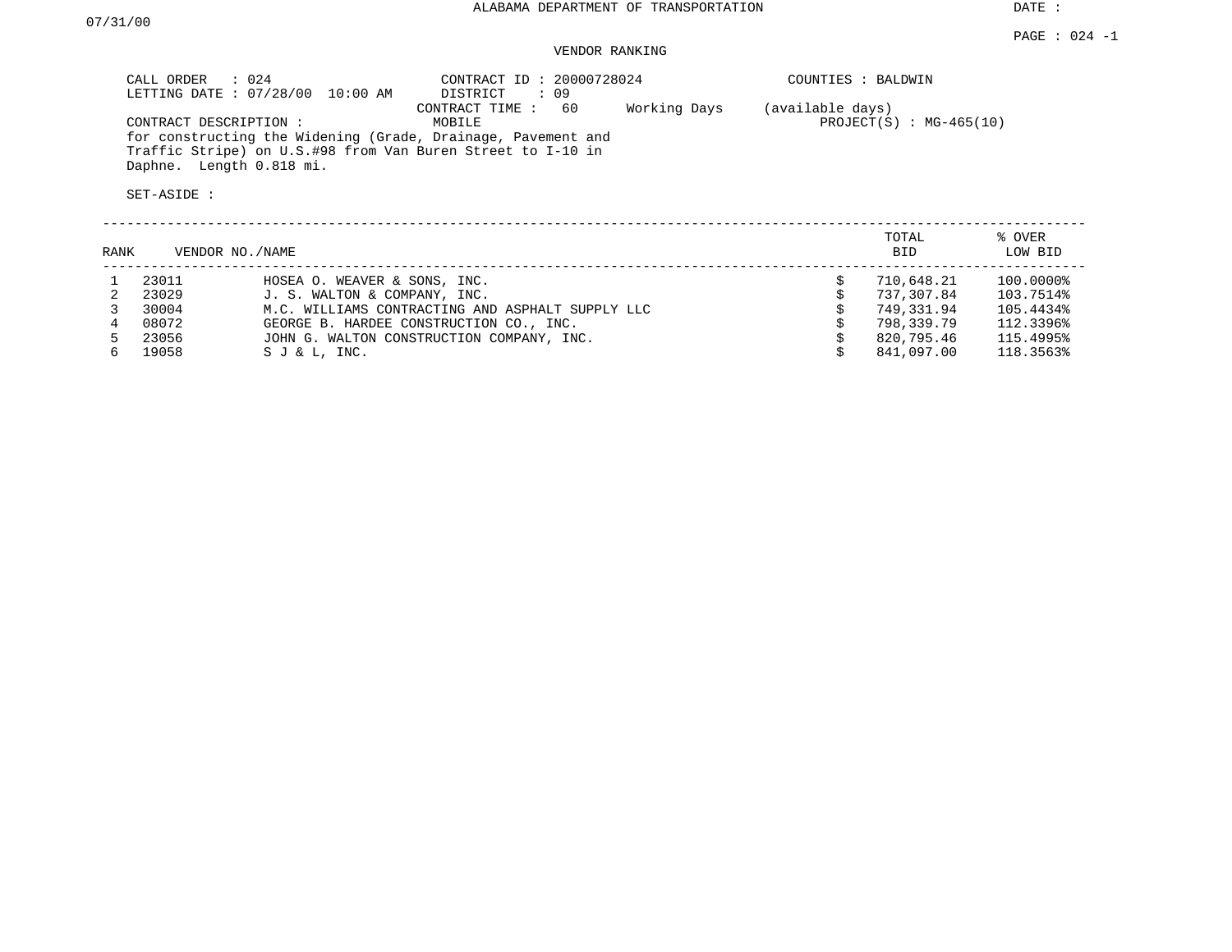PAGE : 024 -1

### VENDOR RANKING

| CALL ORDER : 024<br>LETTING DATE : 07/28/00 10:00 AM                                                                        | CONTRACT ID: 20000728024<br>DISTRICT<br>: 09 | COUNTIES : BALDWIN                            |
|-----------------------------------------------------------------------------------------------------------------------------|----------------------------------------------|-----------------------------------------------|
| CONTRACT DESCRIPTION :                                                                                                      | Working Days<br>CONTRACT TIME : 60<br>MOBILE | (available days)<br>$PROJECT(S) : MG-465(10)$ |
| for constructing the Widening (Grade, Drainage, Pavement and<br>Traffic Stripe) on U.S.#98 from Van Buren Street to I-10 in |                                              |                                               |
| Daphne. Length 0.818 mi.                                                                                                    |                                              |                                               |

| RANK | VENDOR NO. / NAME |                                                  | TOTAL<br>BID. | % OVER<br>LOW BID |
|------|-------------------|--------------------------------------------------|---------------|-------------------|
|      | 23011             | HOSEA O. WEAVER & SONS, INC.                     | 710,648.21    | 100.0000%         |
|      | 23029             | J. S. WALTON & COMPANY, INC.                     | 737,307.84    | 103.7514%         |
|      | 30004             | M.C. WILLIAMS CONTRACTING AND ASPHALT SUPPLY LLC | 749,331.94    | 105.4434%         |
|      | 08072             | GEORGE B. HARDEE CONSTRUCTION CO., INC.          | 798,339.79    | 112.3396%         |
|      | 23056             | JOHN G. WALTON CONSTRUCTION COMPANY, INC.        | 820,795.46    | 115.4995%         |
|      | 19058             | SJ & L, INC.                                     | 841,097.00    | 118.3563%         |
|      |                   |                                                  |               |                   |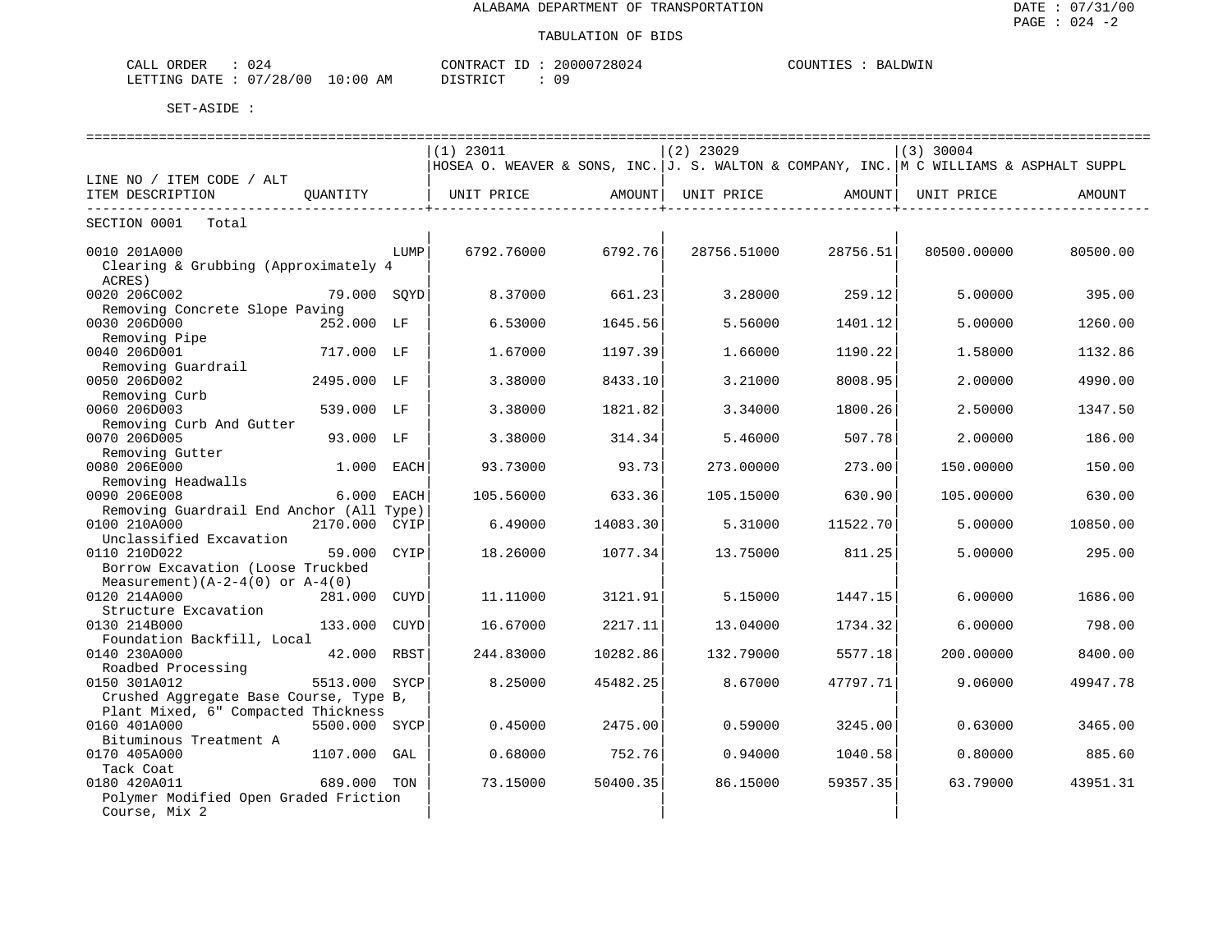| ORDER<br>CALL    | U 4      |             | CONTRACT                     | $ -$ | 20000728024 | COUNTIES | BALDWIN |
|------------------|----------|-------------|------------------------------|------|-------------|----------|---------|
| LETTING<br>DATE. | 07/28/00 | 10:00<br>AΜ | דת לידי את ה<br><i>┙</i> ∸┘∸ |      | 09          |          |         |

|                                          |               |             | $(1)$ 23011                                                                            |          | $(2)$ 23029 |          | $(3)$ 30004 |          |
|------------------------------------------|---------------|-------------|----------------------------------------------------------------------------------------|----------|-------------|----------|-------------|----------|
|                                          |               |             | HOSEA O. WEAVER & SONS, INC. J. S. WALTON & COMPANY, INC. M C WILLIAMS & ASPHALT SUPPL |          |             |          |             |          |
| LINE NO / ITEM CODE / ALT                |               |             |                                                                                        |          |             |          |             |          |
| ITEM DESCRIPTION                         | OUANTITY      |             | UNIT PRICE                                                                             | AMOUNT   | UNIT PRICE  | AMOUNT   | UNIT PRICE  | AMOUNT   |
|                                          |               |             |                                                                                        |          |             |          |             |          |
| SECTION 0001<br>Total                    |               |             |                                                                                        |          |             |          |             |          |
| 0010 201A000                             |               | LUMP        | 6792.76000                                                                             | 6792.76  | 28756.51000 | 28756.51 | 80500.00000 | 80500.00 |
| Clearing & Grubbing (Approximately 4     |               |             |                                                                                        |          |             |          |             |          |
| ACRES)                                   |               |             |                                                                                        |          |             |          |             |          |
| 0020 206C002                             | 79.000 SQYD   |             | 8.37000                                                                                | 661.23   | 3.28000     | 259.12   | 5.00000     | 395.00   |
| Removing Concrete Slope Paving           |               |             |                                                                                        |          |             |          |             |          |
| 0030 206D000                             | 252.000 LF    |             | 6.53000                                                                                | 1645.56  | 5.56000     | 1401.12  | 5,00000     | 1260.00  |
| Removing Pipe                            |               |             |                                                                                        |          |             |          |             |          |
| 0040 206D001                             | 717.000 LF    |             | 1.67000                                                                                | 1197.39  | 1.66000     | 1190.22  | 1.58000     | 1132.86  |
| Removing Guardrail                       |               |             |                                                                                        |          |             |          |             |          |
| 0050 206D002                             | 2495.000 LF   |             | 3.38000                                                                                | 8433.10  | 3.21000     | 8008.95  | 2.00000     | 4990.00  |
| Removing Curb                            |               |             |                                                                                        |          |             |          |             |          |
| 0060 206D003                             | 539.000 LF    |             | 3.38000                                                                                | 1821.82  | 3.34000     | 1800.26  | 2.50000     | 1347.50  |
| Removing Curb And Gutter                 |               |             |                                                                                        |          |             |          |             |          |
| 0070 206D005                             | 93.000 LF     |             | 3.38000                                                                                | 314.34   | 5.46000     | 507.78   | 2.00000     | 186.00   |
| Removing Gutter                          |               |             |                                                                                        |          |             |          |             |          |
| 0080 206E000                             | 1.000         | EACH        | 93.73000                                                                               | 93.73    | 273.00000   | 273.00   | 150.00000   | 150.00   |
| Removing Headwalls                       |               |             |                                                                                        |          |             |          |             |          |
| 0090 206E008                             | 6.000         | EACH        | 105.56000                                                                              | 633.36   | 105.15000   | 630.90   | 105.00000   | 630.00   |
| Removing Guardrail End Anchor (All Type) |               |             |                                                                                        |          |             |          |             |          |
| 0100 210A000                             | 2170.000      | CYIP        | 6.49000                                                                                | 14083.30 | 5.31000     | 11522.70 | 5.00000     | 10850.00 |
| Unclassified Excavation                  |               |             |                                                                                        |          |             |          |             |          |
| 0110 210D022                             | 59.000        | CYIP        | 18.26000                                                                               | 1077.34  | 13.75000    | 811.25   | 5,00000     | 295.00   |
| Borrow Excavation (Loose Truckbed        |               |             |                                                                                        |          |             |          |             |          |
| Measurement) $(A-2-4(0))$ or $A-4(0)$    |               |             |                                                                                        |          |             |          |             |          |
| 0120 214A000                             | 281,000       | CUYD        | 11,11000                                                                               | 3121.91  | 5.15000     | 1447.15  | 6,00000     | 1686.00  |
| Structure Excavation                     |               |             |                                                                                        |          |             |          |             |          |
| 0130 214B000                             | 133.000       | <b>CUYD</b> | 16.67000                                                                               | 2217.11  | 13.04000    | 1734.32  | 6.00000     | 798.00   |
| Foundation Backfill, Local               |               |             |                                                                                        |          |             |          |             |          |
| 0140 230A000                             | 42.000 RBST   |             | 244.83000                                                                              | 10282.86 | 132.79000   | 5577.18  | 200.00000   | 8400.00  |
| Roadbed Processing                       |               |             |                                                                                        |          |             |          |             |          |
| 0150 301A012                             | 5513.000      | SYCP        | 8.25000                                                                                | 45482.25 | 8.67000     | 47797.71 | 9.06000     | 49947.78 |
| Crushed Aggregate Base Course, Type B,   |               |             |                                                                                        |          |             |          |             |          |
| Plant Mixed, 6" Compacted Thickness      |               |             |                                                                                        |          |             |          |             |          |
| 0160 401A000                             | 5500.000 SYCP |             | 0.45000                                                                                | 2475.00  | 0.59000     | 3245.00  | 0.63000     | 3465.00  |
| Bituminous Treatment A                   |               |             |                                                                                        |          |             |          |             |          |
| 0170 405A000                             | 1107.000      | GAL         | 0.68000                                                                                | 752.76   | 0.94000     | 1040.58  | 0.80000     | 885.60   |
| Tack Coat                                |               |             |                                                                                        |          |             |          |             |          |
| 0180 420A011                             | 689.000 TON   |             | 73.15000                                                                               | 50400.35 | 86.15000    | 59357.35 | 63.79000    | 43951.31 |
| Polymer Modified Open Graded Friction    |               |             |                                                                                        |          |             |          |             |          |
| Course, Mix 2                            |               |             |                                                                                        |          |             |          |             |          |
|                                          |               |             |                                                                                        |          |             |          |             |          |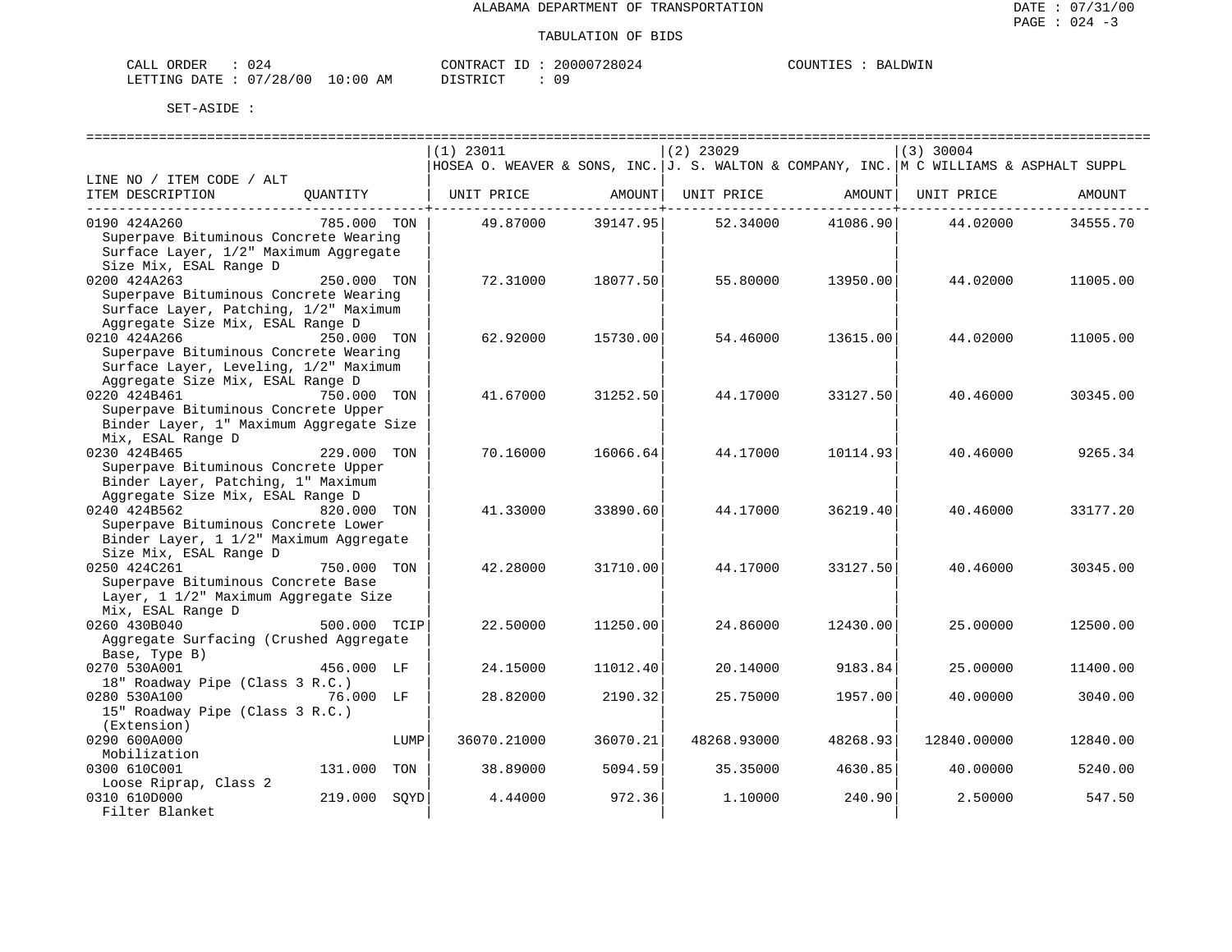| ORDER<br>CALI    |          |            | 'ONTRAC | TD. | '28024<br>20000 | COUNTIES | 'JUMTN'<br>КA. |
|------------------|----------|------------|---------|-----|-----------------|----------|----------------|
| DATE.<br>LETTING | 07/28/00 | 0:00<br>AΜ | romATAT |     | n a             |          |                |

|                                         |              | $(1)$ 23011                                                                            |                  | $(2)$ 23029 |          | $(3)$ 30004 |          |
|-----------------------------------------|--------------|----------------------------------------------------------------------------------------|------------------|-------------|----------|-------------|----------|
|                                         |              | HOSEA O. WEAVER & SONS, INC. J. S. WALTON & COMPANY, INC. M C WILLIAMS & ASPHALT SUPPL |                  |             |          |             |          |
| LINE NO / ITEM CODE / ALT               |              |                                                                                        |                  |             |          |             |          |
| ITEM DESCRIPTION                        | QUANTITY     | UNIT PRICE                                                                             | AMOUNT           | UNIT PRICE  | AMOUNT   | UNIT PRICE  | AMOUNT   |
|                                         |              |                                                                                        | ---------+------ |             |          |             |          |
| 0190 424A260                            | 785.000 TON  | 49.87000                                                                               | 39147.95         | 52.34000    | 41086.90 | 44.02000    | 34555.70 |
| Superpave Bituminous Concrete Wearing   |              |                                                                                        |                  |             |          |             |          |
| Surface Layer, 1/2" Maximum Aggregate   |              |                                                                                        |                  |             |          |             |          |
| Size Mix, ESAL Range D                  |              |                                                                                        |                  |             |          |             |          |
| 0200 424A263                            | 250.000 TON  | 72.31000                                                                               | 18077.50         | 55.80000    | 13950.00 | 44.02000    | 11005.00 |
| Superpave Bituminous Concrete Wearing   |              |                                                                                        |                  |             |          |             |          |
| Surface Layer, Patching, 1/2" Maximum   |              |                                                                                        |                  |             |          |             |          |
| Aggregate Size Mix, ESAL Range D        |              |                                                                                        |                  |             |          |             |          |
| 0210 424A266                            | 250.000 TON  | 62.92000                                                                               | 15730.00         | 54.46000    | 13615.00 | 44.02000    | 11005.00 |
| Superpave Bituminous Concrete Wearing   |              |                                                                                        |                  |             |          |             |          |
| Surface Layer, Leveling, 1/2" Maximum   |              |                                                                                        |                  |             |          |             |          |
| Aggregate Size Mix, ESAL Range D        |              |                                                                                        |                  |             |          |             |          |
| 0220 424B461                            | 750.000 TON  | 41.67000                                                                               | 31252.50         | 44.17000    | 33127.50 | 40.46000    | 30345.00 |
| Superpave Bituminous Concrete Upper     |              |                                                                                        |                  |             |          |             |          |
| Binder Layer, 1" Maximum Aggregate Size |              |                                                                                        |                  |             |          |             |          |
| Mix, ESAL Range D                       |              |                                                                                        |                  |             |          |             |          |
| 0230 424B465                            | 229.000 TON  | 70.16000                                                                               | 16066.64         | 44.17000    | 10114.93 | 40.46000    | 9265.34  |
| Superpave Bituminous Concrete Upper     |              |                                                                                        |                  |             |          |             |          |
| Binder Layer, Patching, 1" Maximum      |              |                                                                                        |                  |             |          |             |          |
| Aggregate Size Mix, ESAL Range D        |              |                                                                                        |                  |             |          |             |          |
| 0240 424B562                            | 820.000 TON  | 41.33000                                                                               | 33890.60         | 44.17000    | 36219.40 | 40.46000    | 33177.20 |
| Superpave Bituminous Concrete Lower     |              |                                                                                        |                  |             |          |             |          |
| Binder Layer, 1 1/2" Maximum Aggregate  |              |                                                                                        |                  |             |          |             |          |
| Size Mix, ESAL Range D                  |              |                                                                                        |                  |             |          |             |          |
| 0250 424C261                            | 750.000 TON  | 42.28000                                                                               | 31710.00         | 44.17000    | 33127.50 | 40.46000    | 30345.00 |
| Superpave Bituminous Concrete Base      |              |                                                                                        |                  |             |          |             |          |
| Layer, 1 1/2" Maximum Aggregate Size    |              |                                                                                        |                  |             |          |             |          |
| Mix, ESAL Range D                       |              |                                                                                        |                  |             |          |             |          |
| 0260 430B040                            | 500.000 TCIP | 22.50000                                                                               | 11250.00         | 24.86000    | 12430.00 | 25.00000    | 12500.00 |
| Aggregate Surfacing (Crushed Aggregate  |              |                                                                                        |                  |             |          |             |          |
| Base, Type B)                           |              |                                                                                        |                  |             |          |             |          |
| 0270 530A001                            | 456.000 LF   | 24.15000                                                                               | 11012.40         | 20.14000    | 9183.84  | 25.00000    | 11400.00 |
| 18" Roadway Pipe (Class 3 R.C.)         |              |                                                                                        |                  |             |          |             |          |
| 0280 530A100                            | 76.000 LF    | 28.82000                                                                               | 2190.32          | 25.75000    | 1957.00  | 40.00000    | 3040.00  |
| 15" Roadway Pipe (Class 3 R.C.)         |              |                                                                                        |                  |             |          |             |          |
| (Extension)                             |              |                                                                                        |                  |             |          |             |          |
| 0290 600A000                            | LUMP         | 36070.21000                                                                            | 36070.21         | 48268.93000 | 48268.93 | 12840.00000 | 12840.00 |
| Mobilization                            |              |                                                                                        |                  |             |          |             |          |
| 0300 610C001                            | 131.000 TON  | 38.89000                                                                               | 5094.59          | 35.35000    | 4630.85  | 40.00000    | 5240.00  |
| Loose Riprap, Class 2                   |              |                                                                                        |                  |             |          |             |          |
| 0310 610D000                            | 219.000 SOYD | 4.44000                                                                                | 972.36           | 1,10000     | 240.90   | 2.50000     | 547.50   |
| Filter Blanket                          |              |                                                                                        |                  |             |          |             |          |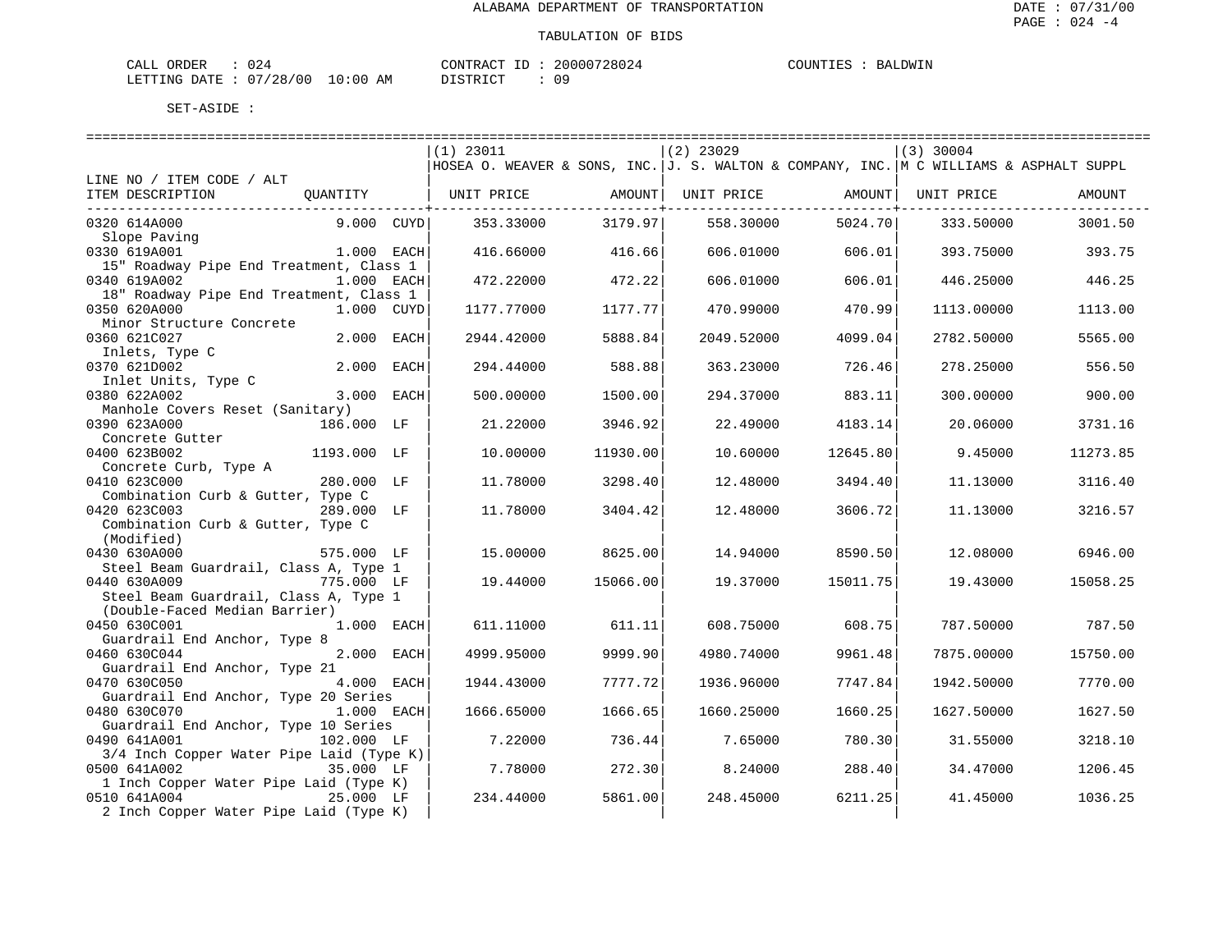| ORDER<br>CALI          | ے ں      |             | 'ONTRAC'    | 20000728024 | COUNTIES | JDWIN<br>RA. |
|------------------------|----------|-------------|-------------|-------------|----------|--------------|
| <b>DATE</b><br>LETTING | 07/28/00 | .0:00<br>AΜ | $\alpha$ mp | n o         |          |              |

|                                                        |                | $(1)$ 23011                                                                            |          | $(2)$ 23029 |                                                | $(3)$ 30004 |          |
|--------------------------------------------------------|----------------|----------------------------------------------------------------------------------------|----------|-------------|------------------------------------------------|-------------|----------|
|                                                        |                | HOSEA O. WEAVER & SONS, INC. J. S. WALTON & COMPANY, INC. M C WILLIAMS & ASPHALT SUPPL |          |             |                                                |             |          |
| LINE NO / ITEM CODE / ALT                              |                |                                                                                        |          |             |                                                |             |          |
| ITEM DESCRIPTION                                       | QUANTITY       |                                                                                        |          |             |                                                | UNIT PRICE  | AMOUNT   |
| ----------------------------<br>0320 614A000           | $9.000$ $CUYD$ | 353.33000                                                                              | 3179.97  | 558.30000   | . _ _ _ _ _ _ _ _ _ _ _ _ _ _ _ _ +<br>5024.70 | 333.50000   | 3001.50  |
| Slope Paving                                           |                |                                                                                        |          |             |                                                |             |          |
| 0330 619A001                                           | $1.000$ EACH   | 416.66000                                                                              | 416.66   | 606.01000   | 606.01                                         | 393.75000   | 393.75   |
| 15" Roadway Pipe End Treatment, Class 1                |                |                                                                                        |          |             |                                                |             |          |
| 0340 619A002                                           | 1.000 EACH     | 472.22000                                                                              | 472.22   | 606.01000   | 606.01                                         | 446.25000   | 446.25   |
| 18" Roadway Pipe End Treatment, Class 1                |                |                                                                                        |          |             |                                                |             |          |
| 0350 620A000                                           | 1.000 CUYD     | 1177.77000                                                                             | 1177.77  | 470.99000   | 470.99                                         | 1113.00000  | 1113.00  |
| Minor Structure Concrete                               |                |                                                                                        |          |             |                                                |             |          |
| 0360 621C027                                           | 2.000 EACH     | 2944.42000                                                                             | 5888.84  | 2049.52000  | 4099.04                                        | 2782.50000  | 5565.00  |
| Inlets, Type C                                         |                |                                                                                        |          |             |                                                |             |          |
| 0370 621D002                                           | 2.000 EACH     | 294.44000                                                                              | 588.88   | 363.23000   | 726.46                                         | 278.25000   | 556.50   |
| Inlet Units, Type C                                    |                |                                                                                        |          |             |                                                |             |          |
| 0380 622A002                                           | 3.000 EACH     | 500.00000                                                                              | 1500.00  | 294.37000   | 883.11                                         | 300,00000   | 900.00   |
| Manhole Covers Reset (Sanitary)                        |                |                                                                                        |          |             |                                                |             |          |
| 0390 623A000                                           | 186.000 LF     | 21,22000                                                                               | 3946.92  | 22.49000    | 4183.14                                        | 20.06000    | 3731.16  |
| Concrete Gutter                                        |                |                                                                                        |          |             |                                                |             |          |
| 0400 623B002                                           | 1193.000 LF    | 10.00000                                                                               | 11930.00 | 10.60000    | 12645.80                                       | 9.45000     | 11273.85 |
| Concrete Curb, Type A                                  |                |                                                                                        |          |             |                                                |             |          |
| 0410 623C000                                           | 280.000 LF     | 11.78000                                                                               | 3298.40  | 12.48000    | 3494.40                                        | 11.13000    | 3116.40  |
| Combination Curb & Gutter, Type C                      |                |                                                                                        |          |             |                                                |             |          |
| 0420 623C003                                           | 289.000 LF     | 11.78000                                                                               | 3404.42  | 12.48000    | 3606.72                                        | 11.13000    | 3216.57  |
| Combination Curb & Gutter, Type C                      |                |                                                                                        |          |             |                                                |             |          |
| (Modified)                                             |                |                                                                                        |          |             |                                                |             |          |
| 0430 630A000                                           | 575.000 LF     | 15.00000                                                                               | 8625.00  | 14.94000    | 8590.50                                        | 12.08000    | 6946.00  |
| Steel Beam Guardrail, Class A, Type 1                  |                |                                                                                        |          |             |                                                |             |          |
| 0440 630A009                                           | 775.000 LF     | 19.44000                                                                               | 15066.00 | 19.37000    | 15011.75                                       | 19.43000    | 15058.25 |
| Steel Beam Guardrail, Class A, Type 1                  |                |                                                                                        |          |             |                                                |             |          |
| (Double-Faced Median Barrier)                          |                |                                                                                        |          |             |                                                |             |          |
| 0450 630C001                                           | 1.000 EACH     | 611.11000                                                                              | 611.11   | 608.75000   | 608.75                                         | 787.50000   | 787.50   |
| Guardrail End Anchor, Type 8                           |                |                                                                                        |          |             |                                                |             |          |
| 0460 630C044                                           | 2.000 EACH     | 4999.95000                                                                             | 9999.90  | 4980.74000  | 9961.48                                        | 7875.00000  | 15750.00 |
| Guardrail End Anchor, Type 21                          |                |                                                                                        |          |             |                                                |             |          |
| 0470 630C050                                           | 4.000 EACH     | 1944.43000                                                                             | 7777.72  | 1936.96000  | 7747.84                                        | 1942.50000  | 7770.00  |
| Guardrail End Anchor, Type 20 Series                   |                |                                                                                        |          |             |                                                |             |          |
| 0480 630C070                                           | 1.000 EACH     | 1666.65000                                                                             | 1666.65  | 1660.25000  | 1660.25                                        | 1627.50000  | 1627.50  |
| Guardrail End Anchor, Type 10 Series                   |                |                                                                                        |          |             |                                                |             |          |
| 0490 641A001                                           | 102.000 LF     | 7.22000                                                                                | 736.44   | 7.65000     | 780.30                                         | 31.55000    | 3218.10  |
| 3/4 Inch Copper Water Pipe Laid (Type K)               |                |                                                                                        |          |             |                                                |             |          |
| 0500 641A002                                           | 35.000 LF      | 7.78000                                                                                | 272.30   | 8.24000     | 288.40                                         | 34.47000    | 1206.45  |
| 1 Inch Copper Water Pipe Laid (Type K)<br>0510 641A004 | 25.000 LF      | 234.44000                                                                              | 5861.00  | 248.45000   | 6211.25                                        | 41.45000    | 1036.25  |
|                                                        |                |                                                                                        |          |             |                                                |             |          |
| 2 Inch Copper Water Pipe Laid (Type K)                 |                |                                                                                        |          |             |                                                |             |          |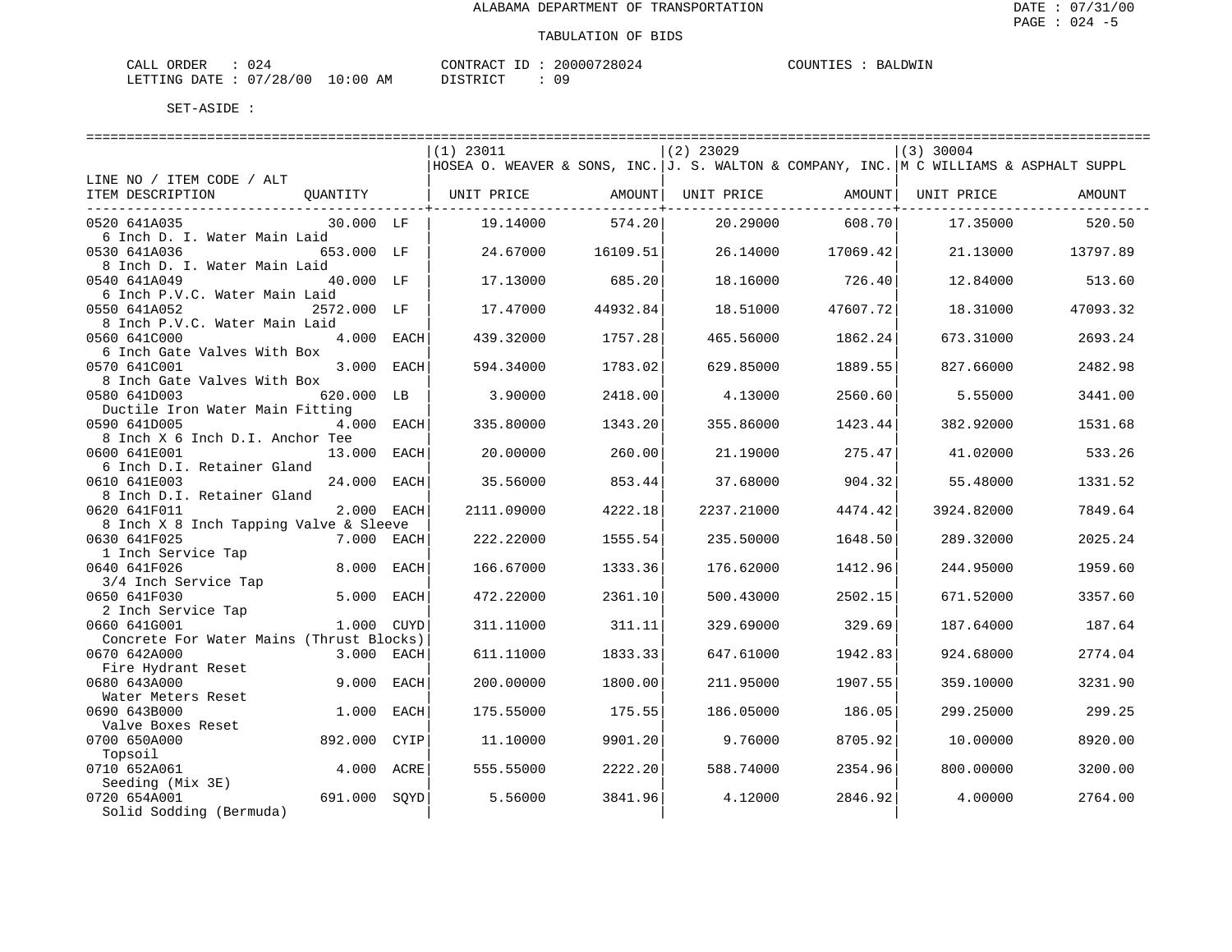| ORDER<br>CALI |          |               | "ONTRACT   | TГ | 20000728024 | COUNTIES | LDWIN<br>RA. |
|---------------|----------|---------------|------------|----|-------------|----------|--------------|
| LETTING DATE  | 07/28/00 | LO : 00<br>ΆM | ד גרוס דרי |    | 09          |          |              |

|                                          |              |             | $(1)$ 23011                                                                              |          | $(2)$ 23029 |          | $(3)$ 30004        |          |  |  |  |  |
|------------------------------------------|--------------|-------------|------------------------------------------------------------------------------------------|----------|-------------|----------|--------------------|----------|--|--|--|--|
|                                          |              |             | HOSEA O. WEAVER & SONS, INC.  J. S. WALTON & COMPANY, INC.  M C WILLIAMS & ASPHALT SUPPL |          |             |          |                    |          |  |  |  |  |
| LINE NO / ITEM CODE / ALT                |              |             |                                                                                          |          |             |          |                    |          |  |  |  |  |
| ITEM DESCRIPTION                         |              |             | OUANTITY   UNIT PRICE AMOUNT  UNIT PRICE                                                 |          |             |          | AMOUNT  UNIT PRICE | AMOUNT   |  |  |  |  |
| __________________________________       |              |             |                                                                                          |          |             |          |                    |          |  |  |  |  |
| 0520 641A035                             | 30.000 LF    |             | 19.14000                                                                                 | 574.20   | 20.29000    | 608.70   | 17.35000           | 520.50   |  |  |  |  |
| 6 Inch D. I. Water Main Laid             |              |             |                                                                                          |          |             |          |                    |          |  |  |  |  |
| 0530 641A036                             | 653.000 LF   |             | 24.67000                                                                                 | 16109.51 | 26.14000    | 17069.42 | 21.13000           | 13797.89 |  |  |  |  |
| 8 Inch D. I. Water Main Laid             |              |             |                                                                                          |          |             |          |                    |          |  |  |  |  |
| 0540 641A049                             | 40.000 LF    |             | 17.13000                                                                                 | 685.20   | 18.16000    | 726.40   | 12.84000           | 513.60   |  |  |  |  |
| 6 Inch P.V.C. Water Main Laid            |              |             |                                                                                          |          |             |          |                    |          |  |  |  |  |
| 0550 641A052                             | 2572.000 LF  |             | 17.47000                                                                                 | 44932.84 | 18.51000    | 47607.72 | 18.31000           | 47093.32 |  |  |  |  |
| 8 Inch P.V.C. Water Main Laid            |              |             |                                                                                          |          |             |          |                    |          |  |  |  |  |
| 0560 641C000                             | 4.000 EACH   |             | 439.32000                                                                                | 1757.28  | 465.56000   | 1862.24  | 673.31000          | 2693.24  |  |  |  |  |
| 6 Inch Gate Valves With Box              |              |             |                                                                                          |          |             |          |                    |          |  |  |  |  |
| 0570 641C001                             | 3.000 EACH   |             | 594.34000                                                                                | 1783.02  | 629.85000   | 1889.55  | 827.66000          | 2482.98  |  |  |  |  |
| 8 Inch Gate Valves With Box              |              |             |                                                                                          |          |             |          |                    |          |  |  |  |  |
| 0580 641D003                             | 620.000 LB   |             | 3.90000                                                                                  | 2418.00  | 4.13000     | 2560.60  | 5.55000            | 3441.00  |  |  |  |  |
| Ductile Iron Water Main Fitting          |              |             |                                                                                          |          |             |          |                    |          |  |  |  |  |
| 0590 641D005                             | 4.000 EACH   |             | 335.80000                                                                                | 1343.20  | 355.86000   | 1423.44  | 382.92000          | 1531.68  |  |  |  |  |
| 8 Inch X 6 Inch D.I. Anchor Tee          |              |             |                                                                                          |          |             |          |                    |          |  |  |  |  |
| 0600 641E001                             | 13.000 EACH  |             | 20.00000                                                                                 | 260.00   | 21.19000    | 275.47   | 41.02000           | 533.26   |  |  |  |  |
| 6 Inch D.I. Retainer Gland               |              |             |                                                                                          |          |             |          |                    |          |  |  |  |  |
| 0610 641E003                             | 24.000 EACH  |             | 35.56000                                                                                 | 853.44   | 37.68000    | 904.32   | 55.48000           | 1331.52  |  |  |  |  |
| 8 Inch D.I. Retainer Gland               |              |             |                                                                                          |          |             |          |                    |          |  |  |  |  |
| 0620 641F011                             | 2.000 EACH   |             | 2111.09000                                                                               | 4222.18  | 2237.21000  | 4474.42  | 3924.82000         | 7849.64  |  |  |  |  |
| 8 Inch X 8 Inch Tapping Valve & Sleeve   |              |             |                                                                                          |          |             |          |                    |          |  |  |  |  |
| 0630 641F025                             | 7.000 EACH   |             | 222.22000                                                                                | 1555.54  | 235.50000   | 1648.50  | 289.32000          | 2025.24  |  |  |  |  |
| 1 Inch Service Tap                       |              |             |                                                                                          |          |             |          |                    |          |  |  |  |  |
| 0640 641F026                             | 8.000 EACH   |             | 166.67000                                                                                | 1333.36  | 176.62000   | 1412.96  | 244.95000          | 1959.60  |  |  |  |  |
| 3/4 Inch Service Tap                     |              |             |                                                                                          |          |             |          |                    |          |  |  |  |  |
| 0650 641F030                             | 5.000 EACH   |             | 472.22000                                                                                | 2361.10  | 500.43000   | 2502.15  | 671.52000          | 3357.60  |  |  |  |  |
| 2 Inch Service Tap                       |              |             |                                                                                          |          |             |          |                    |          |  |  |  |  |
| 0660 641G001                             | 1.000        | <b>CUYD</b> | 311.11000                                                                                | 311.11   | 329.69000   | 329.69   | 187.64000          | 187.64   |  |  |  |  |
| Concrete For Water Mains (Thrust Blocks) |              |             |                                                                                          |          |             |          |                    |          |  |  |  |  |
| 0670 642A000                             | 3.000 EACH   |             | 611.11000                                                                                | 1833.33  | 647.61000   | 1942.83  | 924.68000          | 2774.04  |  |  |  |  |
| Fire Hydrant Reset                       |              |             |                                                                                          |          |             |          |                    |          |  |  |  |  |
| 0680 643A000                             | 9.000        | EACH        | 200.00000                                                                                | 1800.00  | 211.95000   | 1907.55  | 359.10000          | 3231.90  |  |  |  |  |
| Water Meters Reset                       |              |             |                                                                                          |          |             |          |                    |          |  |  |  |  |
| 0690 643B000                             | 1.000 EACH   |             | 175.55000                                                                                | 175.55   | 186.05000   | 186.05   | 299.25000          | 299.25   |  |  |  |  |
| Valve Boxes Reset                        |              |             |                                                                                          |          |             |          |                    |          |  |  |  |  |
| 0700 650A000                             | 892.000      | CYIP        | 11,10000                                                                                 | 9901.20  | 9.76000     | 8705.92  | 10.00000           | 8920.00  |  |  |  |  |
| Topsoil                                  |              |             |                                                                                          |          |             |          |                    |          |  |  |  |  |
| 0710 652A061                             | 4.000 ACRE   |             | 555.55000                                                                                | 2222.20  | 588.74000   | 2354.96  | 800,00000          | 3200.00  |  |  |  |  |
| Seeding (Mix 3E)                         |              |             |                                                                                          |          |             |          |                    |          |  |  |  |  |
| 0720 654A001                             | 691.000 SOYD |             | 5.56000                                                                                  | 3841.96  | 4.12000     | 2846.92  | 4.00000            | 2764.00  |  |  |  |  |
| Solid Sodding (Bermuda)                  |              |             |                                                                                          |          |             |          |                    |          |  |  |  |  |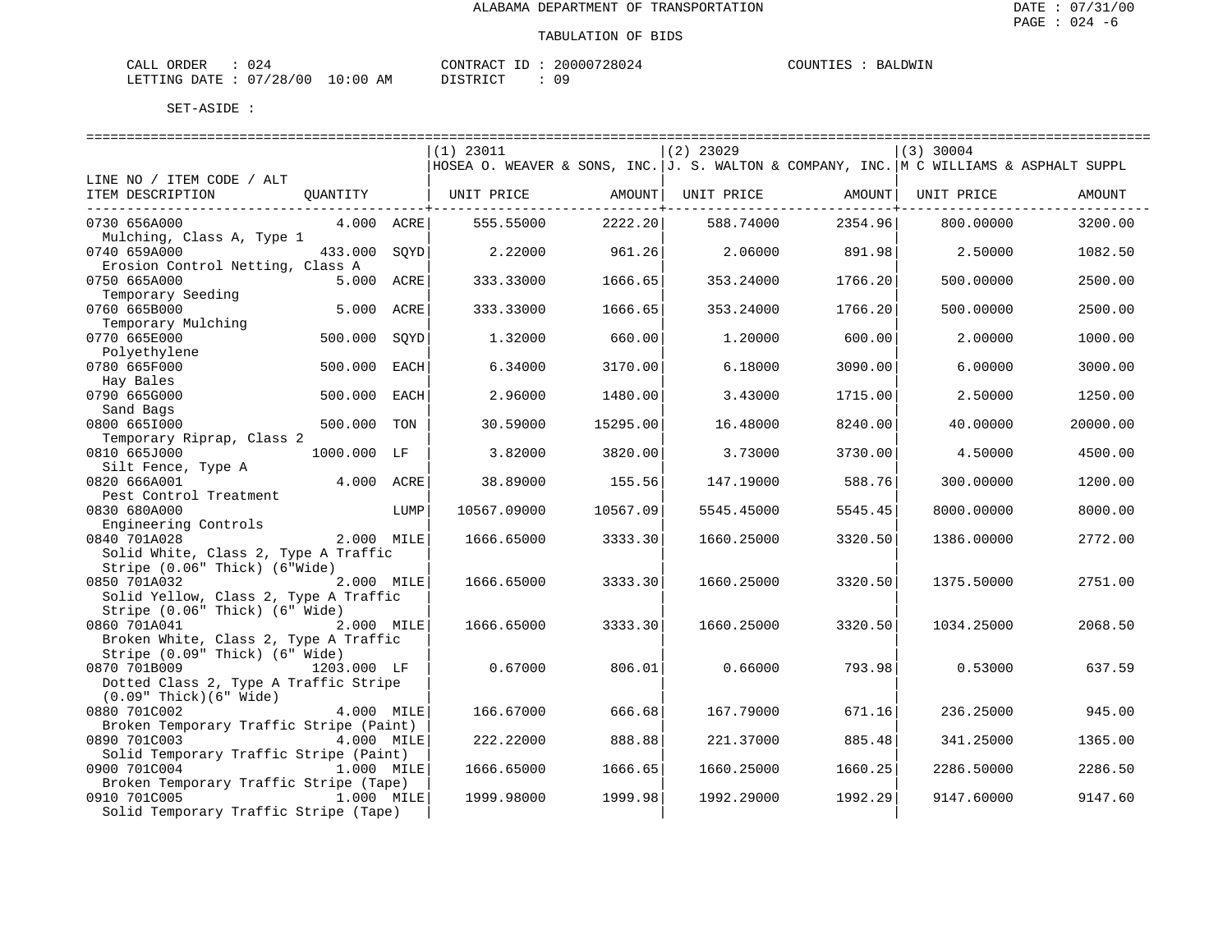| ORDER<br>CALI |            |               | TONTRACT     | TD. | '28024<br>20000 | <b>COUNTIES</b><br>TIES | AT JOW TN<br>RA. |
|---------------|------------|---------------|--------------|-----|-----------------|-------------------------|------------------|
| LETTING DATE  | : 07/28/00 | LO : 00<br>ΆM | דת לידי את ה |     | nα              |                         |                  |

|                                         |             |      | $(1)$ 23011                                                                            |                 | $(2)$ 23029 |                | $(3)$ 30004 |          |
|-----------------------------------------|-------------|------|----------------------------------------------------------------------------------------|-----------------|-------------|----------------|-------------|----------|
|                                         |             |      | HOSEA O. WEAVER & SONS, INC. J. S. WALTON & COMPANY, INC. M C WILLIAMS & ASPHALT SUPPL |                 |             |                |             |          |
| LINE NO / ITEM CODE / ALT               |             |      |                                                                                        |                 |             |                |             |          |
| ITEM DESCRIPTION                        | QUANTITY    |      | UNIT PRICE                                                                             | AMOUNT          | UNIT PRICE  | AMOUNT         | UNIT PRICE  | AMOUNT   |
|                                         |             |      |                                                                                        | ------------+-- |             | ------------+- |             |          |
| 0730 656A000                            | 4.000 ACRE  |      | 555.55000                                                                              | 2222.20         | 588.74000   | 2354.96        | 800,00000   | 3200.00  |
| Mulching, Class A, Type 1               |             |      |                                                                                        |                 |             |                |             |          |
| 0740 659A000                            | 433.000     | SOYD | 2.22000                                                                                | 961.26          | 2.06000     | 891.98         | 2.50000     | 1082.50  |
| Erosion Control Netting, Class A        |             |      |                                                                                        |                 |             |                |             |          |
| 0750 665A000                            | 5.000       | ACRE | 333.33000                                                                              | 1666.65         | 353.24000   | 1766.20        | 500.00000   | 2500.00  |
| Temporary Seeding                       |             |      |                                                                                        |                 |             |                |             |          |
| 0760 665B000                            | 5.000       | ACRE | 333.33000                                                                              | 1666.65         | 353.24000   | 1766.20        | 500.00000   | 2500.00  |
| Temporary Mulching                      |             |      |                                                                                        |                 |             |                |             |          |
| 0770 665E000                            | 500.000     | SOYD | 1.32000                                                                                | 660.00          | 1.20000     | 600.00         | 2.00000     | 1000.00  |
| Polyethylene                            |             |      |                                                                                        |                 |             |                |             |          |
| 0780 665F000                            | 500.000     | EACH | 6.34000                                                                                | 3170.00         | 6.18000     | 3090.00        | 6.00000     | 3000.00  |
| Hay Bales                               |             |      |                                                                                        |                 |             |                |             |          |
| 0790 665G000                            | 500.000     | EACH | 2.96000                                                                                | 1480.00         | 3.43000     | 1715.00        | 2.50000     | 1250.00  |
| Sand Bags                               |             |      |                                                                                        |                 |             |                |             |          |
| 0800 6651000                            | 500.000     | TON  | 30.59000                                                                               | 15295.00        | 16.48000    | 8240.00        | 40.00000    | 20000.00 |
| Temporary Riprap, Class 2               |             |      |                                                                                        |                 |             |                |             |          |
| 0810 665J000                            | 1000.000 LF |      | 3.82000                                                                                | 3820.00         | 3.73000     | 3730.00        | 4.50000     | 4500.00  |
| Silt Fence, Type A                      |             |      |                                                                                        |                 |             |                |             |          |
| 0820 666A001                            | 4.000 ACRE  |      | 38.89000                                                                               | 155.56          | 147.19000   | 588.76         | 300.00000   | 1200.00  |
| Pest Control Treatment                  |             |      |                                                                                        |                 |             |                |             |          |
| 0830 680A000                            |             | LUMP | 10567.09000                                                                            | 10567.09        | 5545.45000  | 5545.45        | 8000.00000  | 8000.00  |
| Engineering Controls                    |             |      |                                                                                        |                 |             |                |             |          |
| 0840 701A028                            | 2.000 MILE  |      | 1666.65000                                                                             | 3333.30         | 1660.25000  | 3320.50        | 1386.00000  | 2772.00  |
| Solid White, Class 2, Type A Traffic    |             |      |                                                                                        |                 |             |                |             |          |
| Stripe (0.06" Thick) (6"Wide)           |             |      |                                                                                        |                 |             |                |             |          |
| 0850 701A032                            | 2.000 MILE  |      | 1666.65000                                                                             | 3333.30         | 1660.25000  | 3320.50        | 1375.50000  | 2751.00  |
| Solid Yellow, Class 2, Type A Traffic   |             |      |                                                                                        |                 |             |                |             |          |
| Stripe (0.06" Thick) (6" Wide)          |             |      |                                                                                        |                 |             |                |             |          |
| 0860 701A041                            | 2.000 MILE  |      | 1666.65000                                                                             | 3333.30         | 1660.25000  | 3320.50        | 1034.25000  | 2068.50  |
| Broken White, Class 2, Type A Traffic   |             |      |                                                                                        |                 |             |                |             |          |
| Stripe (0.09" Thick) (6" Wide)          |             |      |                                                                                        |                 |             |                |             |          |
| 0870 701B009                            | 1203.000 LF |      | 0.67000                                                                                | 806.01          | 0.66000     | 793.98         | 0.53000     | 637.59   |
| Dotted Class 2, Type A Traffic Stripe   |             |      |                                                                                        |                 |             |                |             |          |
| $(0.09"$ Thick $)(6"$ Wide)             |             |      |                                                                                        |                 |             |                |             |          |
| 0880 701C002                            | 4.000 MILE  |      | 166.67000                                                                              | 666.68          | 167.79000   | 671.16         | 236.25000   | 945.00   |
| Broken Temporary Traffic Stripe (Paint) |             |      |                                                                                        |                 |             |                |             |          |
| 0890 701C003                            | 4.000 MILE  |      | 222.22000                                                                              | 888.88          | 221.37000   | 885.48         | 341.25000   | 1365.00  |
| Solid Temporary Traffic Stripe (Paint)  |             |      |                                                                                        |                 |             |                |             |          |
| 0900 701C004                            | 1.000 MILE  |      | 1666.65000                                                                             | 1666.65         | 1660.25000  | 1660.25        | 2286.50000  | 2286.50  |
| Broken Temporary Traffic Stripe (Tape)  |             |      |                                                                                        |                 |             |                |             |          |
| 0910 701C005                            | 1.000 MILE  |      | 1999.98000                                                                             | 1999.98         | 1992.29000  | 1992.29        | 9147.60000  | 9147.60  |
| Solid Temporary Traffic Stripe (Tape)   |             |      |                                                                                        |                 |             |                |             |          |
|                                         |             |      |                                                                                        |                 |             |                |             |          |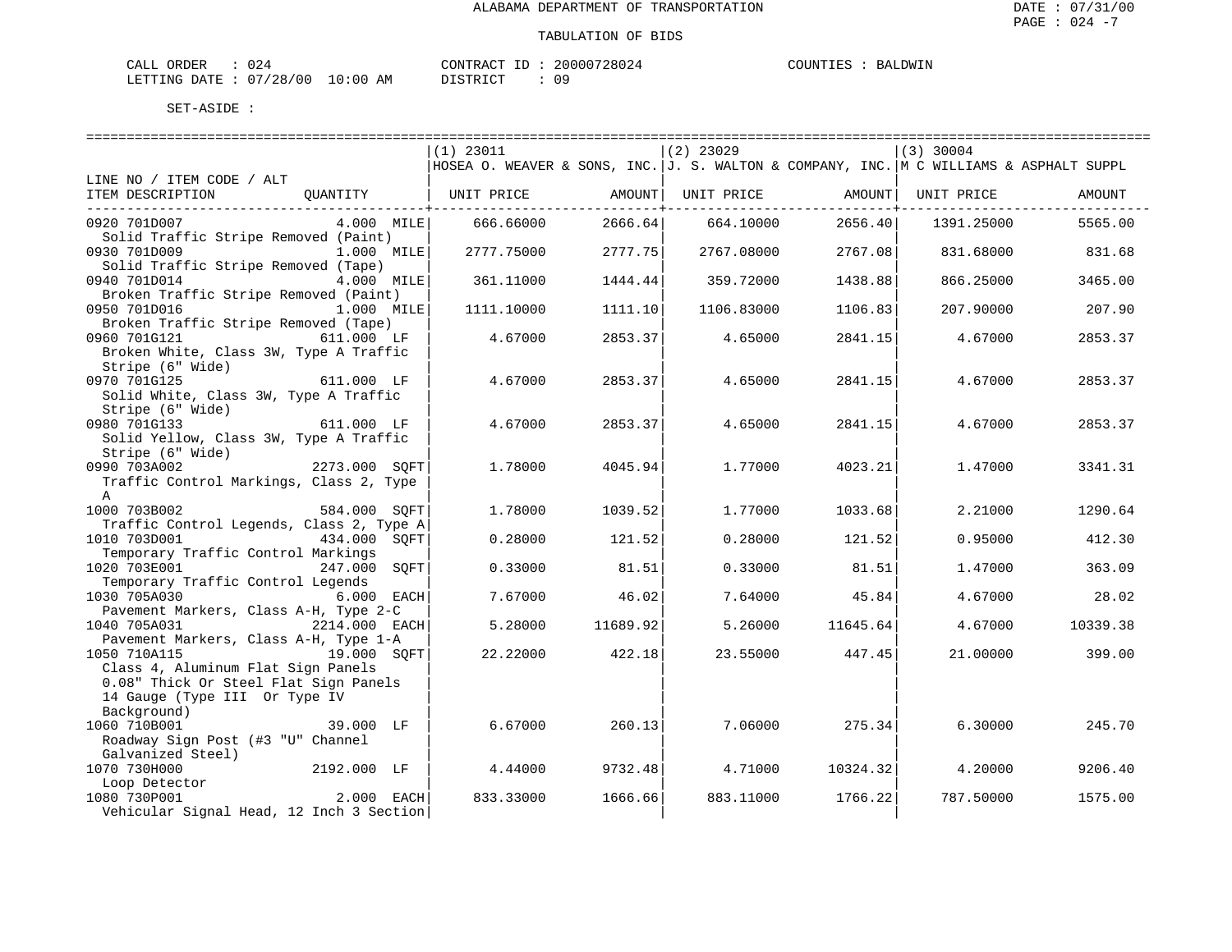| ORDER<br>CALI    |          |            | 'ONTRAC | TD. | '28024<br>20000 | COUNTIES | 'JUMTN'<br>КA. |
|------------------|----------|------------|---------|-----|-----------------|----------|----------------|
| DATE.<br>LETTING | 07/28/00 | 0:00<br>AΜ | romATAT |     | n a             |          |                |

|                                          | $(1)$ 23011                                                                              |                   | $(2)$ 23029 |          | $(3)$ 30004 |          |
|------------------------------------------|------------------------------------------------------------------------------------------|-------------------|-------------|----------|-------------|----------|
|                                          | HOSEA O. WEAVER & SONS, INC.  J. S. WALTON & COMPANY, INC.  M C WILLIAMS & ASPHALT SUPPL |                   |             |          |             |          |
| LINE NO / ITEM CODE / ALT                |                                                                                          |                   |             |          |             |          |
| ITEM DESCRIPTION<br>QUANTITY             | UNIT PRICE                                                                               | AMOUNT            | UNIT PRICE  | AMOUNT   | UNIT PRICE  | AMOUNT   |
|                                          |                                                                                          | $- - - - - - - +$ |             |          |             |          |
| $4.000$ MILE<br>0920 701D007             | 666.66000                                                                                | 2666.64           | 664.10000   | 2656.40  | 1391.25000  | 5565.00  |
| Solid Traffic Stripe Removed (Paint)     |                                                                                          |                   |             |          |             |          |
| 0930 701D009<br>1.000 MILE               | 2777.75000                                                                               | 2777.75           | 2767.08000  | 2767.08  | 831.68000   | 831.68   |
| Solid Traffic Stripe Removed (Tape)      |                                                                                          |                   |             |          |             |          |
| 0940 701D014<br>4.000 MILE               | 361.11000                                                                                | 1444.44           | 359.72000   | 1438.88  | 866.25000   | 3465.00  |
| Broken Traffic Stripe Removed (Paint)    |                                                                                          |                   |             |          |             |          |
| 0950 701D016<br>1.000 MILE               | 1111.10000                                                                               | 1111.10           | 1106.83000  | 1106.83  | 207.90000   | 207.90   |
|                                          |                                                                                          |                   |             |          |             |          |
| Broken Traffic Stripe Removed (Tape)     | 4.67000                                                                                  |                   |             |          |             | 2853.37  |
| 0960 701G121<br>611.000 LF               |                                                                                          | 2853.37           | 4.65000     | 2841.15  | 4.67000     |          |
| Broken White, Class 3W, Type A Traffic   |                                                                                          |                   |             |          |             |          |
| Stripe (6" Wide)                         |                                                                                          |                   |             |          |             |          |
| 0970 701G125<br>611.000 LF               | 4.67000                                                                                  | 2853.37           | 4.65000     | 2841.15  | 4.67000     | 2853.37  |
| Solid White, Class 3W, Type A Traffic    |                                                                                          |                   |             |          |             |          |
| Stripe (6" Wide)                         |                                                                                          |                   |             |          |             |          |
| 0980 701G133<br>611.000 LF               | 4.67000                                                                                  | 2853.37           | 4.65000     | 2841.15  | 4.67000     | 2853.37  |
| Solid Yellow, Class 3W, Type A Traffic   |                                                                                          |                   |             |          |             |          |
| Stripe (6" Wide)                         |                                                                                          |                   |             |          |             |          |
| $2273.000$ SQFT<br>0990 703A002          | 1.78000                                                                                  | 4045.94           | 1,77000     | 4023.21  | 1.47000     | 3341.31  |
| Traffic Control Markings, Class 2, Type  |                                                                                          |                   |             |          |             |          |
| $\mathbb{A}$                             |                                                                                          |                   |             |          |             |          |
| 1000 703B002<br>584.000 SOFT             | 1,78000                                                                                  | 1039.52           | 1,77000     | 1033.68  | 2.21000     | 1290.64  |
| Traffic Control Legends, Class 2, Type A |                                                                                          |                   |             |          |             |          |
| 1010 703D001<br>434.000 SOFT             | 0.28000                                                                                  | 121.521           | 0.28000     | 121.52   | 0.95000     | 412.30   |
| Temporary Traffic Control Markings       |                                                                                          |                   |             |          |             |          |
| 1020 703E001<br>247.000 SOFT             | 0.33000                                                                                  | 81.51             | 0.33000     | 81.51    | 1.47000     | 363.09   |
| Temporary Traffic Control Legends        |                                                                                          |                   |             |          |             |          |
| 1030 705A030<br>6.000 EACH               | 7.67000                                                                                  | 46.02             | 7.64000     | 45.84    | 4.67000     | 28.02    |
| Pavement Markers, Class A-H, Type 2-C    |                                                                                          |                   |             |          |             |          |
| 1040 705A031<br>$2214.000$ EACH          | 5.28000                                                                                  | 11689.92          | 5.26000     | 11645.64 | 4.67000     | 10339.38 |
| Pavement Markers, Class A-H, Type 1-A    |                                                                                          |                   |             |          |             |          |
| 1050 710A115<br>19.000 SOFT              | 22.22000                                                                                 | 422.18            | 23.55000    | 447.45   | 21,00000    | 399.00   |
| Class 4, Aluminum Flat Sign Panels       |                                                                                          |                   |             |          |             |          |
| 0.08" Thick Or Steel Flat Sign Panels    |                                                                                          |                   |             |          |             |          |
| 14 Gauge (Type III Or Type IV            |                                                                                          |                   |             |          |             |          |
| Background)                              |                                                                                          |                   |             |          |             |          |
| 1060 710B001<br>39.000 LF                | 6.67000                                                                                  | 260.13            | 7.06000     | 275.34   | 6.30000     | 245.70   |
| Roadway Sign Post (#3 "U" Channel        |                                                                                          |                   |             |          |             |          |
| Galvanized Steel)                        |                                                                                          |                   |             |          |             |          |
| 1070 730H000<br>2192.000 LF              | 4.44000                                                                                  | 9732.48           | 4.71000     | 10324.32 | 4.20000     | 9206.40  |
| Loop Detector                            |                                                                                          |                   |             |          |             |          |
| 2.000 EACH<br>1080 730P001               | 833.33000                                                                                | 1666.66           | 883.11000   | 1766.22  | 787.50000   | 1575.00  |
| Vehicular Signal Head, 12 Inch 3 Section |                                                                                          |                   |             |          |             |          |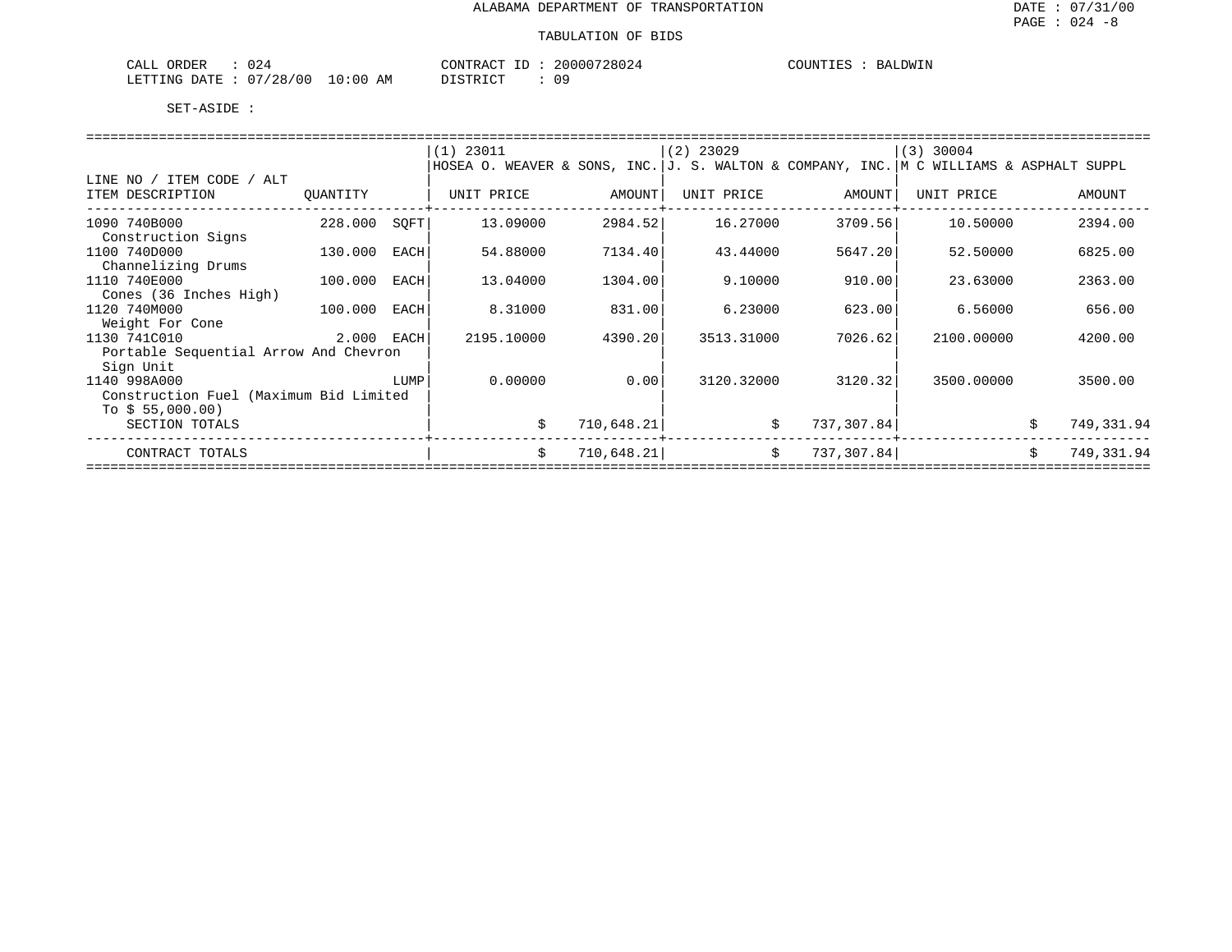| 024<br>ORDER<br>$\sim$ $\sim$ $\sim$ $\sim$<br>ىلىلىك |            | CONTRACT      | 20000728024 | COUNTIES | RAT. |
|-------------------------------------------------------|------------|---------------|-------------|----------|------|
| : 07/28/00<br>LETTING DATE                            | $10:00$ AM | חים סידים דרו |             |          |      |

|                                        |          |      | $(1)$ 23011                                                                            |            | $(2)$ 23029 |            | $(3)$ 30004 |                  |  |  |  |
|----------------------------------------|----------|------|----------------------------------------------------------------------------------------|------------|-------------|------------|-------------|------------------|--|--|--|
|                                        |          |      | HOSEA O. WEAVER & SONS, INC. J. S. WALTON & COMPANY, INC. M C WILLIAMS & ASPHALT SUPPL |            |             |            |             |                  |  |  |  |
| / ITEM CODE /<br>LINE NO<br>ALT        |          |      |                                                                                        |            |             |            |             |                  |  |  |  |
| ITEM DESCRIPTION                       | OUANTITY |      | UNIT PRICE                                                                             | AMOUNT     | UNIT PRICE  | AMOUNT     | UNIT PRICE  | AMOUNT           |  |  |  |
|                                        |          |      |                                                                                        |            |             |            |             |                  |  |  |  |
| 1090 740B000                           | 228,000  | SOFT | 13.09000                                                                               | 2984.52    | 16.27000    | 3709.56    | 10.50000    | 2394.00          |  |  |  |
| Construction Signs                     |          |      |                                                                                        |            |             |            |             |                  |  |  |  |
| 1100 740D000                           | 130.000  | EACH | 54.88000                                                                               | 7134.40    | 43.44000    | 5647.20    | 52.50000    | 6825.00          |  |  |  |
| Channelizing Drums                     |          |      |                                                                                        |            |             |            |             |                  |  |  |  |
| 1110 740E000                           | 100.000  | EACH | 13.04000                                                                               | 1304.00    | 9.10000     | 910.00     | 23.63000    | 2363.00          |  |  |  |
| Cones (36 Inches High)                 |          |      |                                                                                        |            |             |            |             |                  |  |  |  |
| 1120 740M000                           | 100.000  | EACH | 8.31000                                                                                | 831.00     | 6.23000     | 623.00     | 6.56000     | 656.00           |  |  |  |
| Weight For Cone                        |          |      |                                                                                        |            |             |            |             |                  |  |  |  |
| 1130 741C010                           | 2.000    | EACH | 2195.10000                                                                             | 4390.20    | 3513.31000  | 7026.62    | 2100.00000  | 4200.00          |  |  |  |
| Portable Sequential Arrow And Chevron  |          |      |                                                                                        |            |             |            |             |                  |  |  |  |
| Sign Unit                              |          |      |                                                                                        |            |             |            |             |                  |  |  |  |
| 1140 998A000                           |          | LUMP | 0.00000                                                                                | 0.001      | 3120.32000  | 3120.32    | 3500.00000  | 3500.00          |  |  |  |
| Construction Fuel (Maximum Bid Limited |          |      |                                                                                        |            |             |            |             |                  |  |  |  |
| To $$55,000.00)$                       |          |      |                                                                                        |            |             |            |             |                  |  |  |  |
| SECTION TOTALS                         |          |      | \$                                                                                     | 710,648.21 | \$          | 737,307.84 |             | 749,331.94<br>\$ |  |  |  |
| CONTRACT TOTALS                        |          |      | \$                                                                                     | 710,648.21 | \$          | 737,307.84 |             | \$<br>749,331.94 |  |  |  |
|                                        |          |      |                                                                                        |            |             |            |             |                  |  |  |  |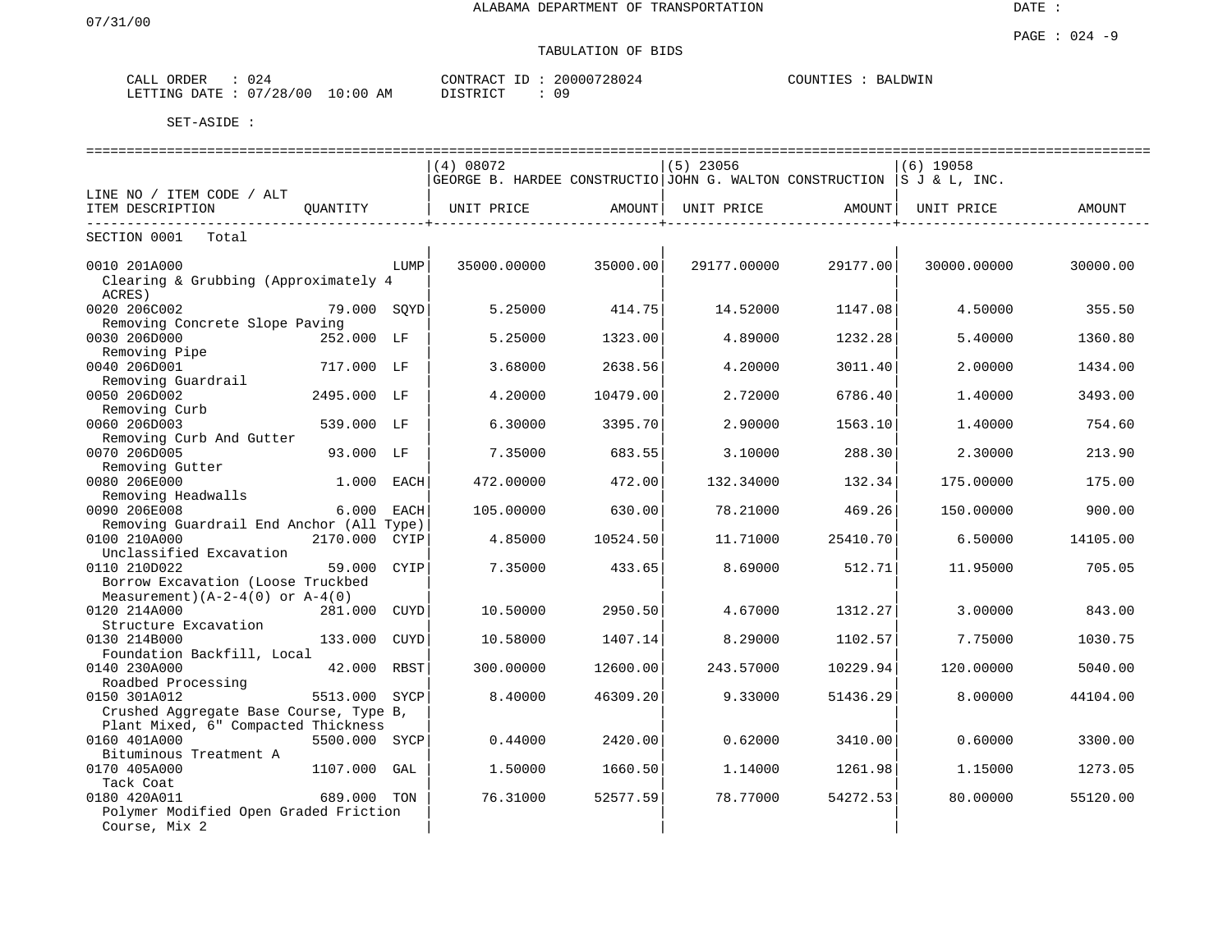# TABULATION OF BIDS

| ORDER<br>CALL | 024      |             | CONTRACT     |  | 20000728024 | COUNTIE<br>н: Ч | <b>BALDWIN</b> |  |
|---------------|----------|-------------|--------------|--|-------------|-----------------|----------------|--|
| LETTING DATE  | 07/28/00 | 10:00<br>AM | יחד פידף דרי |  | Ωq          |                 |                |  |

|                                          |               |      |                                                                        |          |             | ------------------------- |             | ---------------------------------- |
|------------------------------------------|---------------|------|------------------------------------------------------------------------|----------|-------------|---------------------------|-------------|------------------------------------|
|                                          |               |      | (4) 08072                                                              |          | $(5)$ 23056 |                           | $(6)$ 19058 |                                    |
|                                          |               |      | GEORGE B. HARDEE CONSTRUCTIO JOHN G. WALTON CONSTRUCTION S J & L, INC. |          |             |                           |             |                                    |
| LINE NO / ITEM CODE / ALT                |               |      |                                                                        |          |             |                           |             |                                    |
| ITEM DESCRIPTION                         | OUANTITY      |      | UNIT PRICE                                                             | AMOUNT   | UNIT PRICE  | AMOUNT                    | UNIT PRICE  | AMOUNT                             |
| ------------------------                 |               |      |                                                                        |          |             |                           |             |                                    |
| SECTION 0001<br>Total                    |               |      |                                                                        |          |             |                           |             |                                    |
| 0010 201A000                             |               | LUMP | 35000.00000                                                            | 35000.00 | 29177.00000 | 29177.00                  | 30000.00000 | 30000.00                           |
| Clearing & Grubbing (Approximately 4     |               |      |                                                                        |          |             |                           |             |                                    |
| ACRES)                                   |               |      |                                                                        |          |             |                           |             |                                    |
|                                          |               |      | 5.25000                                                                |          |             |                           |             | 355.50                             |
| 0020 206C002                             | 79.000 SOYD   |      |                                                                        | 414.75   | 14.52000    | 1147.08                   | 4.50000     |                                    |
| Removing Concrete Slope Paving           |               |      |                                                                        |          |             |                           |             |                                    |
| 0030 206D000                             | 252.000 LF    |      | 5.25000                                                                | 1323.00  | 4.89000     | 1232.28                   | 5.40000     | 1360.80                            |
| Removing Pipe                            |               |      |                                                                        |          |             |                           |             |                                    |
| 0040 206D001                             | 717.000 LF    |      | 3.68000                                                                | 2638.56  | 4.20000     | 3011.40                   | 2.00000     | 1434.00                            |
| Removing Guardrail                       |               |      |                                                                        |          |             |                           |             |                                    |
| 0050 206D002                             | 2495.000 LF   |      | 4.20000                                                                | 10479.00 | 2.72000     | 6786.40                   | 1.40000     | 3493.00                            |
| Removing Curb                            |               |      |                                                                        |          |             |                           |             |                                    |
| 0060 206D003                             | 539.000 LF    |      | 6.30000                                                                | 3395.70  | 2.90000     | 1563.10                   | 1.40000     | 754.60                             |
| Removing Curb And Gutter                 |               |      |                                                                        |          |             |                           |             |                                    |
| 0070 206D005                             | 93.000 LF     |      | 7.35000                                                                | 683.55   | 3.10000     | 288.30                    | 2.30000     | 213.90                             |
| Removing Gutter                          |               |      |                                                                        |          |             |                           |             |                                    |
| 0080 206E000                             | 1.000         | EACH | 472.00000                                                              | 472.00   | 132.34000   | 132.34                    | 175.00000   | 175.00                             |
| Removing Headwalls                       |               |      |                                                                        |          |             |                           |             |                                    |
| 0090 206E008                             | 6.000         | EACH | 105.00000                                                              | 630.00   | 78.21000    | 469.26                    | 150.00000   | 900.00                             |
| Removing Guardrail End Anchor (All Type) |               |      |                                                                        |          |             |                           |             |                                    |
| 0100 210A000                             | 2170.000 CYIP |      | 4.85000                                                                | 10524.50 | 11.71000    | 25410.70                  | 6.50000     | 14105.00                           |
| Unclassified Excavation                  |               |      |                                                                        |          |             |                           |             |                                    |
| 0110 210D022                             | 59.000        | CYIP | 7.35000                                                                | 433.65   | 8.69000     | 512.71                    | 11.95000    | 705.05                             |
| Borrow Excavation (Loose Truckbed        |               |      |                                                                        |          |             |                           |             |                                    |
| Measurement) $(A-2-4(0))$ or $A-4(0)$    |               |      |                                                                        |          |             |                           |             |                                    |
| 0120 214A000                             | 281.000       | CUYD | 10.50000                                                               | 2950.50  | 4.67000     | 1312.27                   | 3.00000     | 843.00                             |
| Structure Excavation                     |               |      |                                                                        |          |             |                           |             |                                    |
|                                          |               |      |                                                                        |          |             |                           |             |                                    |
| 0130 214B000                             | 133.000       | CUYD | 10.58000                                                               | 1407.14  | 8.29000     | 1102.57                   | 7.75000     | 1030.75                            |
| Foundation Backfill, Local               |               |      |                                                                        |          |             |                           |             |                                    |
| 0140 230A000                             | 42.000        | RBST | 300,00000                                                              | 12600.00 | 243.57000   | 10229.94                  | 120.00000   | 5040.00                            |
| Roadbed Processing                       |               |      |                                                                        |          |             |                           |             |                                    |
| 0150 301A012                             | 5513.000      | SYCP | 8.40000                                                                | 46309.20 | 9.33000     | 51436.29                  | 8,00000     | 44104.00                           |
| Crushed Aggregate Base Course, Type B,   |               |      |                                                                        |          |             |                           |             |                                    |
| Plant Mixed, 6" Compacted Thickness      |               |      |                                                                        |          |             |                           |             |                                    |
| 0160 401A000                             | 5500.000      | SYCP | 0.44000                                                                | 2420.00  | 0.62000     | 3410.00                   | 0.60000     | 3300.00                            |
| Bituminous Treatment A                   |               |      |                                                                        |          |             |                           |             |                                    |
| 0170 405A000                             | 1107.000      | GAL  | 1.50000                                                                | 1660.50  | 1.14000     | 1261.98                   | 1.15000     | 1273.05                            |
| Tack Coat                                |               |      |                                                                        |          |             |                           |             |                                    |
| 0180 420A011                             | 689.000 TON   |      | 76.31000                                                               | 52577.59 | 78.77000    | 54272.53                  | 80.00000    | 55120.00                           |
| Polymer Modified Open Graded Friction    |               |      |                                                                        |          |             |                           |             |                                    |
| Course, Mix 2                            |               |      |                                                                        |          |             |                           |             |                                    |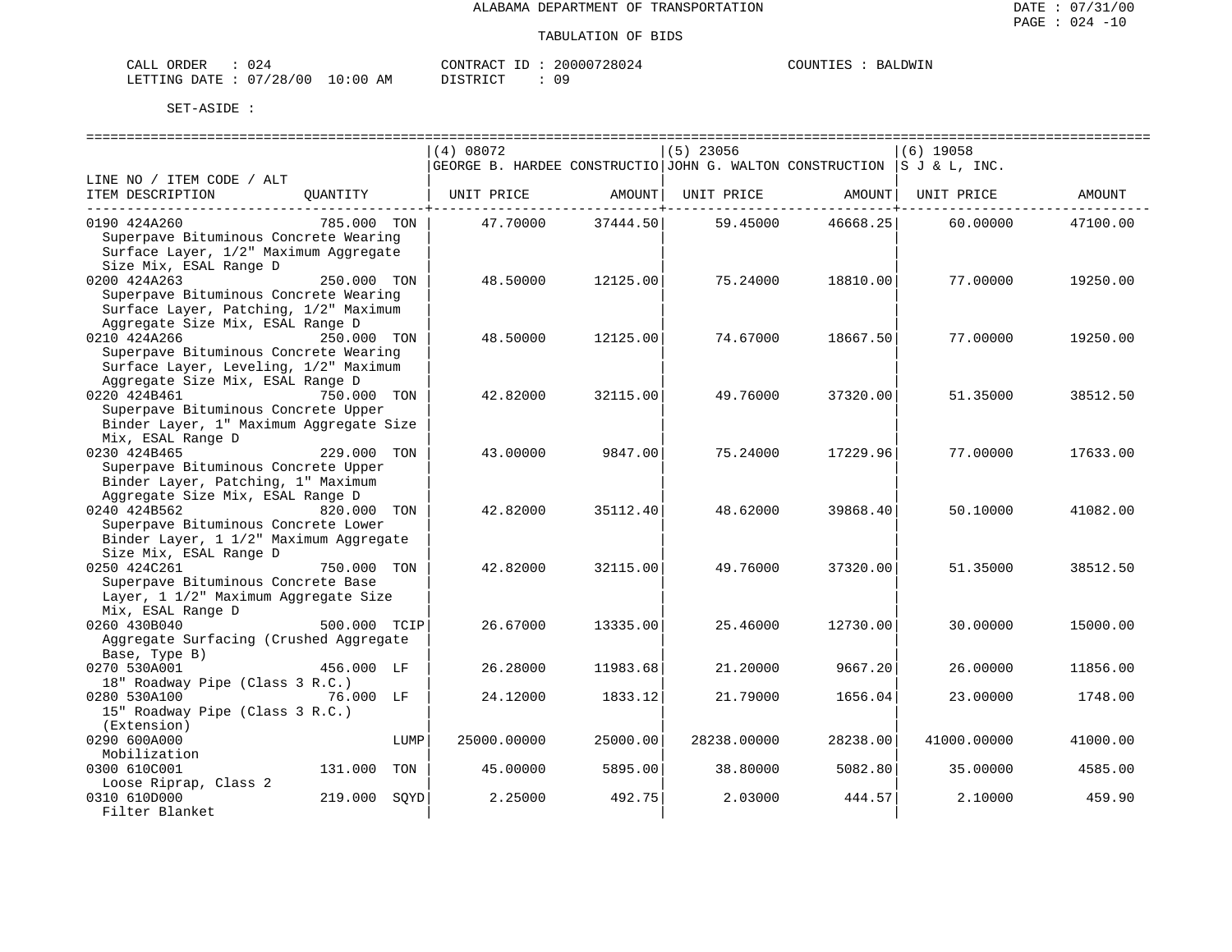| CALL ORDER                       |  | 'ONTRACT<br>- TD | 20000728024 | COUNTIES | <b>BALDWIN</b> |
|----------------------------------|--|------------------|-------------|----------|----------------|
| LETTING DATE : 07/28/00 10:00 AM |  | DISTRICT         | 09          |          |                |

|                                         |                | (4) 08072                                                                      |          | $(5)$ 23056                               |          | $(6)$ 19058 |          |
|-----------------------------------------|----------------|--------------------------------------------------------------------------------|----------|-------------------------------------------|----------|-------------|----------|
|                                         |                | $ GEORGE$ B. HARDEE CONSTRUCTIO JOHN G. WALTON CONSTRUCTION $ S J \& L$ , INC. |          |                                           |          |             |          |
| LINE NO / ITEM CODE / ALT               |                |                                                                                |          |                                           |          |             |          |
| ITEM DESCRIPTION                        | QUANTITY       | UNIT PRICE                                                                     |          | AMOUNT   UNIT PRICE   AMOUNT   UNIT PRICE |          |             | AMOUNT   |
|                                         |                |                                                                                |          |                                           |          |             |          |
| 0190 424A260                            | 785.000 TON    | 47.70000                                                                       | 37444.50 | 59.45000                                  | 46668.25 | 60.00000    | 47100.00 |
| Superpave Bituminous Concrete Wearing   |                |                                                                                |          |                                           |          |             |          |
| Surface Layer, 1/2" Maximum Aggregate   |                |                                                                                |          |                                           |          |             |          |
| Size Mix, ESAL Range D                  |                |                                                                                |          |                                           |          |             |          |
| 0200 424A263                            | 250.000 TON    | 48.50000                                                                       | 12125.00 | 75.24000                                  | 18810.00 | 77.00000    | 19250.00 |
| Superpave Bituminous Concrete Wearing   |                |                                                                                |          |                                           |          |             |          |
| Surface Layer, Patching, 1/2" Maximum   |                |                                                                                |          |                                           |          |             |          |
| Aggregate Size Mix, ESAL Range D        |                |                                                                                |          |                                           |          |             |          |
| 0210 424A266                            | 250.000 TON    | 48.50000                                                                       | 12125.00 | 74.67000                                  | 18667.50 | 77.00000    | 19250.00 |
| Superpave Bituminous Concrete Wearing   |                |                                                                                |          |                                           |          |             |          |
| Surface Layer, Leveling, 1/2" Maximum   |                |                                                                                |          |                                           |          |             |          |
| Aggregate Size Mix, ESAL Range D        |                |                                                                                |          |                                           |          |             |          |
| 0220 424B461                            | 750.000 TON    | 42.82000                                                                       | 32115.00 | 49.76000                                  | 37320.00 | 51.35000    | 38512.50 |
| Superpave Bituminous Concrete Upper     |                |                                                                                |          |                                           |          |             |          |
| Binder Layer, 1" Maximum Aggregate Size |                |                                                                                |          |                                           |          |             |          |
| Mix, ESAL Range D                       |                |                                                                                |          |                                           |          |             |          |
| 0230 424B465                            | 229.000 TON    | 43.00000                                                                       | 9847.00  | 75.24000                                  | 17229.96 | 77.00000    | 17633.00 |
| Superpave Bituminous Concrete Upper     |                |                                                                                |          |                                           |          |             |          |
| Binder Layer, Patching, 1" Maximum      |                |                                                                                |          |                                           |          |             |          |
| Aggregate Size Mix, ESAL Range D        |                |                                                                                |          |                                           |          |             |          |
| 0240 424B562                            | 820.000 TON    | 42.82000                                                                       | 35112.40 | 48.62000                                  | 39868.40 | 50.10000    | 41082.00 |
| Superpave Bituminous Concrete Lower     |                |                                                                                |          |                                           |          |             |          |
| Binder Layer, 1 1/2" Maximum Aggregate  |                |                                                                                |          |                                           |          |             |          |
| Size Mix, ESAL Range D                  |                |                                                                                |          |                                           |          |             |          |
| 0250 424C261                            | 750.000 TON    | 42.82000                                                                       | 32115.00 | 49.76000                                  | 37320.00 | 51.35000    | 38512.50 |
| Superpave Bituminous Concrete Base      |                |                                                                                |          |                                           |          |             |          |
| Layer, 1 1/2" Maximum Aggregate Size    |                |                                                                                |          |                                           |          |             |          |
| Mix, ESAL Range D                       |                |                                                                                |          |                                           |          |             |          |
| 0260 430B040                            | 500.000 TCIP   | 26.67000                                                                       | 13335.00 | 25.46000                                  | 12730.00 | 30.00000    | 15000.00 |
| Aggregate Surfacing (Crushed Aggregate  |                |                                                                                |          |                                           |          |             |          |
| Base, Type B)                           |                |                                                                                |          |                                           |          |             |          |
| 0270 530A001                            | 456.000 LF     | 26.28000                                                                       | 11983.68 | 21.20000                                  | 9667.20  | 26.00000    | 11856.00 |
| 18" Roadway Pipe (Class 3 R.C.)         |                |                                                                                |          |                                           |          |             |          |
| 0280 530A100                            | 76.000 LF      | 24.12000                                                                       | 1833.12  | 21.79000                                  | 1656.04  | 23.00000    | 1748.00  |
| 15" Roadway Pipe (Class 3 R.C.)         |                |                                                                                |          |                                           |          |             |          |
| (Extension)                             |                |                                                                                |          |                                           |          |             |          |
| 0290 600A000                            | LUMP           | 25000.00000                                                                    | 25000.00 | 28238.00000                               | 28238.00 | 41000.00000 | 41000.00 |
| Mobilization                            |                |                                                                                |          |                                           |          |             |          |
| 0300 610C001                            | TON<br>131.000 | 45.00000                                                                       | 5895.00  | 38.80000                                  | 5082.80  | 35.00000    | 4585.00  |
| Loose Riprap, Class 2                   |                |                                                                                |          |                                           |          |             |          |
| 0310 610D000                            | 219.000 SOYD   | 2.25000                                                                        | 492.75   | 2.03000                                   | 444.57   | 2.10000     | 459.90   |
| Filter Blanket                          |                |                                                                                |          |                                           |          |             |          |
|                                         |                |                                                                                |          |                                           |          |             |          |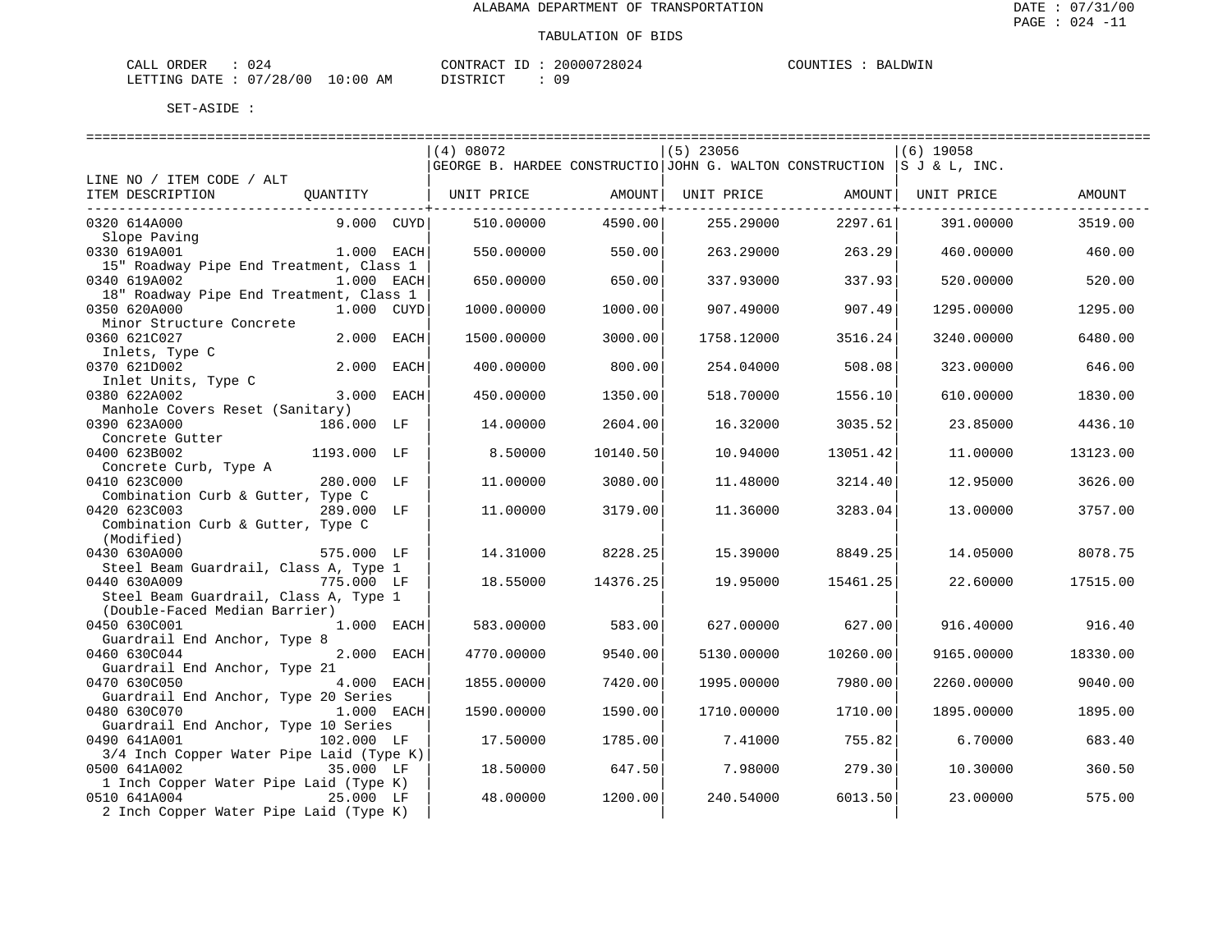| CALL ORDER                      |  | CONTRACT ID : : | 20000728024 | COUNTIES | BALDWIN |
|---------------------------------|--|-----------------|-------------|----------|---------|
| LETTING DATE: 07/28/00 10:00 AM |  | DISTRICT        | 09          |          |         |

|                                          |            | (4) 08072                                                                           |          | $(5)$ 23056 |          | $(6)$ 19058 |          |
|------------------------------------------|------------|-------------------------------------------------------------------------------------|----------|-------------|----------|-------------|----------|
|                                          |            | GEORGE B. HARDEE CONSTRUCTIO JOHN G. WALTON CONSTRUCTION $ S \text{ J} \& L$ , INC. |          |             |          |             |          |
| LINE NO / ITEM CODE / ALT                |            |                                                                                     |          |             |          |             |          |
| ITEM DESCRIPTION<br>QUANTITY             |            | UNIT PRICE                                                                          | AMOUNT   | UNIT PRICE  | AMOUNT   | UNIT PRICE  | AMOUNT   |
|                                          |            |                                                                                     |          |             |          |             |          |
| 0320 614A000                             | 9.000 CUYD | 510.00000                                                                           | 4590.00  | 255.29000   | 2297.61  | 391.00000   | 3519.00  |
| Slope Paving                             |            |                                                                                     |          |             |          |             |          |
| 0330 619A001                             | 1.000 EACH | 550.00000                                                                           | 550.00   | 263.29000   | 263.29   | 460.00000   | 460.00   |
| 15" Roadway Pipe End Treatment, Class 1  |            |                                                                                     |          |             |          |             |          |
| 0340 619A002                             | 1.000 EACH | 650.00000                                                                           | 650.00   | 337.93000   | 337.93   | 520.00000   | 520.00   |
| 18" Roadway Pipe End Treatment, Class 1  |            |                                                                                     |          |             |          |             |          |
| 0350 620A000                             | 1.000 CUYD | 1000.00000                                                                          | 1000.00  | 907.49000   | 907.49   | 1295.00000  | 1295.00  |
| Minor Structure Concrete                 |            |                                                                                     |          |             |          |             |          |
| 0360 621C027                             | 2.000 EACH | 1500.00000                                                                          | 3000.00  | 1758.12000  | 3516.24  | 3240.00000  | 6480.00  |
|                                          |            |                                                                                     |          |             |          |             |          |
| Inlets, Type C                           |            |                                                                                     |          |             |          |             |          |
| 0370 621D002                             | 2.000 EACH | 400.00000                                                                           | 800.00   | 254.04000   | 508.08   | 323.00000   | 646.00   |
| Inlet Units, Type C                      |            |                                                                                     |          |             |          |             |          |
| 0380 622A002                             | 3.000 EACH | 450.00000                                                                           | 1350.00  | 518.70000   | 1556.10  | 610.00000   | 1830.00  |
| Manhole Covers Reset (Sanitary)          |            |                                                                                     |          |             |          |             |          |
| 0390 623A000<br>186.000 LF               |            | 14.00000                                                                            | 2604.00  | 16.32000    | 3035.52  | 23.85000    | 4436.10  |
| Concrete Gutter                          |            |                                                                                     |          |             |          |             |          |
| 0400 623B002<br>1193.000 LF              |            | 8.50000                                                                             | 10140.50 | 10.94000    | 13051.42 | 11,00000    | 13123.00 |
| Concrete Curb, Type A                    |            |                                                                                     |          |             |          |             |          |
| 0410 623C000<br>280.000 LF               |            | 11.00000                                                                            | 3080.00  | 11.48000    | 3214.40  | 12.95000    | 3626.00  |
| Combination Curb & Gutter, Type C        |            |                                                                                     |          |             |          |             |          |
| 0420 623C003<br>289.000 LF               |            | 11,00000                                                                            | 3179.00  | 11.36000    | 3283.04  | 13,00000    | 3757.00  |
| Combination Curb & Gutter, Type C        |            |                                                                                     |          |             |          |             |          |
| (Modified)                               |            |                                                                                     |          |             |          |             |          |
| 0430 630A000<br>575.000 LF               |            | 14.31000                                                                            | 8228.25  | 15.39000    | 8849.25  | 14.05000    | 8078.75  |
| Steel Beam Guardrail, Class A, Type 1    |            |                                                                                     |          |             |          |             |          |
| 0440 630A009<br>775.000 LF               |            | 18.55000                                                                            | 14376.25 | 19.95000    | 15461.25 | 22.60000    | 17515.00 |
| Steel Beam Guardrail, Class A, Type 1    |            |                                                                                     |          |             |          |             |          |
| (Double-Faced Median Barrier)            |            |                                                                                     |          |             |          |             |          |
| 0450 630C001                             | 1.000 EACH | 583.00000                                                                           | 583.00   | 627.00000   | 627.00   | 916.40000   | 916.40   |
| Guardrail End Anchor, Type 8             |            |                                                                                     |          |             |          |             |          |
| 0460 630C044                             | 2.000 EACH | 4770.00000                                                                          | 9540.00  | 5130.00000  | 10260.00 | 9165.00000  | 18330.00 |
| Guardrail End Anchor, Type 21            |            |                                                                                     |          |             |          |             |          |
| 0470 630C050                             | 4.000 EACH | 1855.00000                                                                          | 7420.001 | 1995.00000  | 7980.00  | 2260.00000  | 9040.00  |
| Guardrail End Anchor, Type 20 Series     |            |                                                                                     |          |             |          |             |          |
| 0480 630C070                             | 1.000 EACH | 1590.00000                                                                          | 1590.00  | 1710.00000  | 1710.00  | 1895.00000  | 1895.00  |
| Guardrail End Anchor, Type 10 Series     |            |                                                                                     |          |             |          |             |          |
| 0490 641A001<br>102.000 LF               |            | 17.50000                                                                            | 1785.00  | 7.41000     | 755.82   | 6.70000     | 683.40   |
| 3/4 Inch Copper Water Pipe Laid (Type K) |            |                                                                                     |          |             |          |             |          |
| 0500 641A002                             | 35.000 LF  | 18.50000                                                                            | 647.50   | 7.98000     | 279.30   | 10.30000    | 360.50   |
| 1 Inch Copper Water Pipe Laid (Type K)   |            |                                                                                     |          |             |          |             |          |
| 0510 641A004                             | 25.000 LF  | 48.00000                                                                            | 1200.00  | 240.54000   | 6013.50  | 23.00000    | 575.00   |
| 2 Inch Copper Water Pipe Laid (Type K)   |            |                                                                                     |          |             |          |             |          |
|                                          |            |                                                                                     |          |             |          |             |          |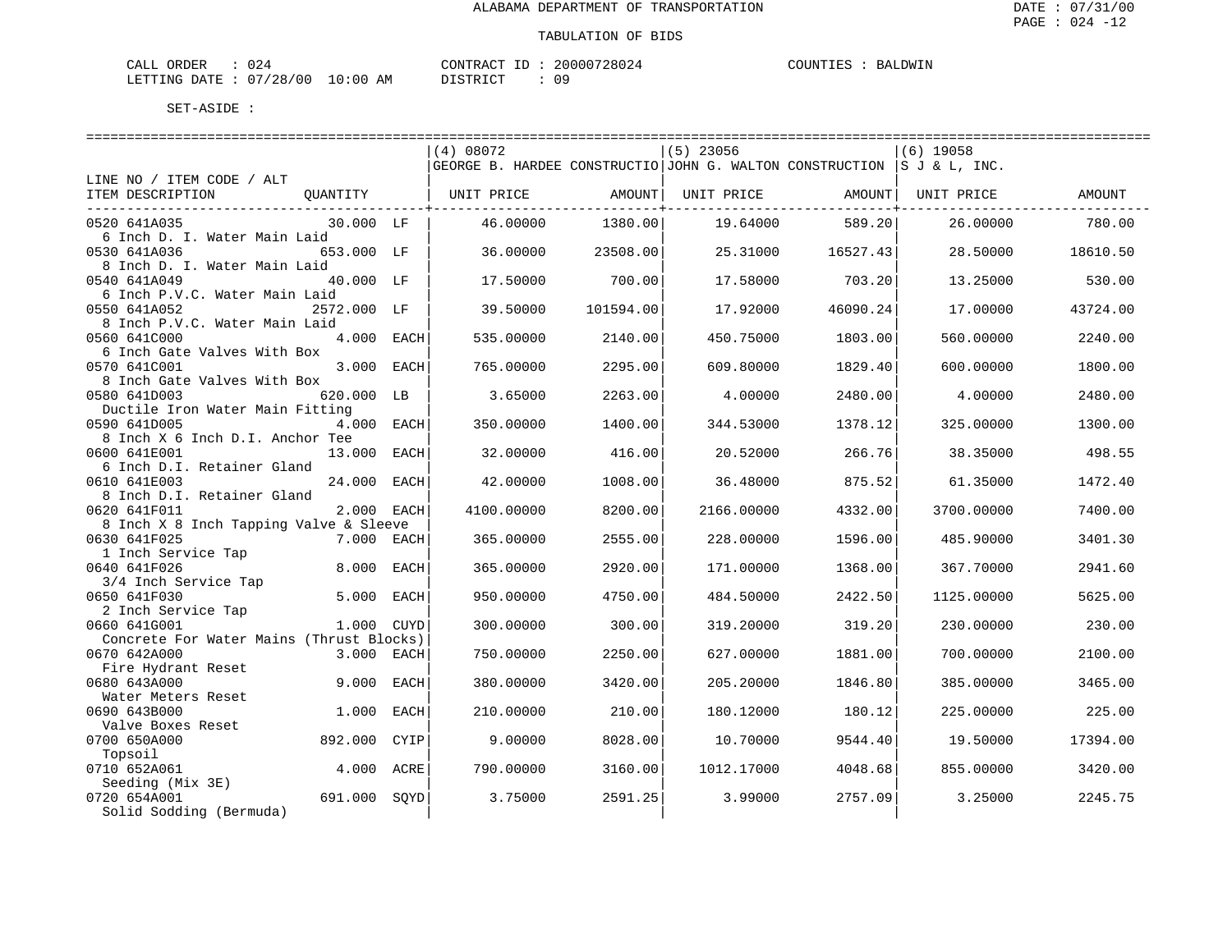| ORDER<br>CALI |            |               | TONTRACT     | TD. | '28024<br>20000 | <b>COUNTIES</b><br>TIES | AT JOW TN<br>RA. |
|---------------|------------|---------------|--------------|-----|-----------------|-------------------------|------------------|
| LETTING DATE  | : 07/28/00 | LO : 00<br>ΆM | דת לידי את ה |     | nα              |                         |                  |

|                                          |             |      | (4) 08072                                                              |                   | $(5)$ 23056 |                    | (6) 19058          |          |
|------------------------------------------|-------------|------|------------------------------------------------------------------------|-------------------|-------------|--------------------|--------------------|----------|
|                                          |             |      | GEORGE B. HARDEE CONSTRUCTIO JOHN G. WALTON CONSTRUCTION S J & L, INC. |                   |             |                    |                    |          |
| LINE NO / ITEM CODE / ALT                |             |      |                                                                        |                   |             |                    |                    |          |
| ITEM DESCRIPTION                         | OUANTITY    |      | UNIT PRICE                                                             | AMOUNT            | UNIT PRICE  |                    | AMOUNT  UNIT PRICE | AMOUNT   |
|                                          |             |      |                                                                        | -------------+--- |             | ---------------+-- |                    |          |
| 0520 641A035                             | 30.000 LF   |      | 46.00000                                                               | 1380.00           | 19.64000    | 589.20             | 26.00000           | 780.00   |
| 6 Inch D. I. Water Main Laid             |             |      |                                                                        |                   |             |                    |                    |          |
| 0530 641A036                             | 653.000 LF  |      | 36.00000                                                               | 23508.00          | 25.31000    | 16527.43           | 28.50000           | 18610.50 |
| 8 Inch D. I. Water Main Laid             |             |      |                                                                        |                   |             |                    |                    |          |
| 0540 641A049                             | 40.000 LF   |      | 17.50000                                                               | 700.00            | 17.58000    | 703.20             | 13.25000           | 530.00   |
| 6 Inch P.V.C. Water Main Laid            |             |      |                                                                        |                   |             |                    |                    |          |
| 0550 641A052                             | 2572.000 LF |      | 39.50000                                                               | 101594.00         | 17.92000    | 46090.24           | 17.00000           | 43724.00 |
| 8 Inch P.V.C. Water Main Laid            |             |      |                                                                        |                   |             |                    |                    |          |
| 0560 641C000                             | 4.000 EACH  |      | 535.00000                                                              | 2140.00           | 450.75000   | 1803.00            | 560,00000          | 2240.00  |
| 6 Inch Gate Valves With Box              |             |      |                                                                        |                   |             |                    |                    |          |
| 0570 641C001                             | 3.000 EACH  |      | 765.00000                                                              | 2295.00           | 609.80000   | 1829.40            | 600.00000          | 1800.00  |
| 8 Inch Gate Valves With Box              |             |      |                                                                        |                   |             |                    |                    |          |
| 0580 641D003                             | 620.000 LB  |      | 3.65000                                                                | 2263.00           | 4.00000     | 2480.00            | 4.00000            | 2480.00  |
| Ductile Iron Water Main Fitting          |             |      |                                                                        |                   |             |                    |                    |          |
| 0590 641D005                             | 4.000 EACH  |      | 350.00000                                                              | 1400.00           | 344.53000   | 1378.12            | 325.00000          | 1300.00  |
| 8 Inch X 6 Inch D.I. Anchor Tee          |             |      |                                                                        |                   |             |                    |                    |          |
| 0600 641E001                             | 13.000 EACH |      | 32.00000                                                               | 416.00            | 20.52000    | 266.76             | 38.35000           | 498.55   |
| 6 Inch D.I. Retainer Gland               |             |      |                                                                        |                   |             |                    |                    |          |
| 0610 641E003                             | 24.000 EACH |      | 42.00000                                                               | 1008.00           | 36.48000    | 875.52             | 61.35000           | 1472.40  |
| 8 Inch D.I. Retainer Gland               |             |      |                                                                        |                   |             |                    |                    |          |
| 0620 641F011                             | 2.000 EACH  |      | 4100.00000                                                             | 8200.00           | 2166.00000  | 4332.00            | 3700.00000         | 7400.00  |
| 8 Inch X 8 Inch Tapping Valve & Sleeve   |             |      |                                                                        |                   |             |                    |                    |          |
| 0630 641F025                             | 7.000 EACH  |      | 365.00000                                                              | 2555.00           | 228,00000   | 1596.00            | 485.90000          | 3401.30  |
| 1 Inch Service Tap                       |             |      |                                                                        |                   |             |                    |                    |          |
| 0640 641F026                             | 8.000       | EACH | 365.00000                                                              | 2920.00           | 171.00000   | 1368.00            | 367.70000          | 2941.60  |
| 3/4 Inch Service Tap                     |             |      |                                                                        |                   |             |                    |                    |          |
| 0650 641F030                             | 5.000 EACH  |      | 950.00000                                                              | 4750.00           | 484.50000   | 2422.50            | 1125.00000         | 5625.00  |
| 2 Inch Service Tap                       |             |      |                                                                        |                   |             |                    |                    |          |
| 0660 641G001                             | 1,000       | CUYD | 300.00000                                                              | 300.00            | 319.20000   | 319.20             | 230.00000          | 230.00   |
| Concrete For Water Mains (Thrust Blocks) |             |      |                                                                        |                   |             |                    |                    |          |
| 0670 642A000                             | 3.000 EACH  |      | 750.00000                                                              | 2250.00           | 627.00000   | 1881.00            | 700.00000          | 2100.00  |
| Fire Hydrant Reset                       |             |      |                                                                        |                   |             |                    |                    |          |
| 0680 643A000                             | 9.000       | EACH | 380.00000                                                              | 3420.00           | 205.20000   | 1846.80            | 385,00000          | 3465.00  |
| Water Meters Reset                       |             |      |                                                                        |                   |             |                    |                    |          |
| 0690 643B000                             | 1.000 EACH  |      | 210.00000                                                              | 210.00            | 180.12000   | 180.12             | 225,00000          | 225.00   |
| Valve Boxes Reset                        |             |      |                                                                        |                   |             |                    |                    |          |
| 0700 650A000                             | 892.000     | CYIP | 9.00000                                                                | 8028.00           | 10.70000    | 9544.40            | 19.50000           | 17394.00 |
| Topsoil                                  |             |      |                                                                        |                   |             |                    |                    |          |
| 0710 652A061                             | 4.000 ACRE  |      | 790.00000                                                              | 3160.00           | 1012.17000  | 4048.68            | 855.00000          | 3420.00  |
| Seeding (Mix 3E)                         |             |      |                                                                        |                   |             |                    |                    |          |
| 0720 654A001                             | 691.000     | SOYD | 3.75000                                                                | 2591.25           | 3.99000     | 2757.09            | 3.25000            | 2245.75  |
| Solid Sodding (Bermuda)                  |             |      |                                                                        |                   |             |                    |                    |          |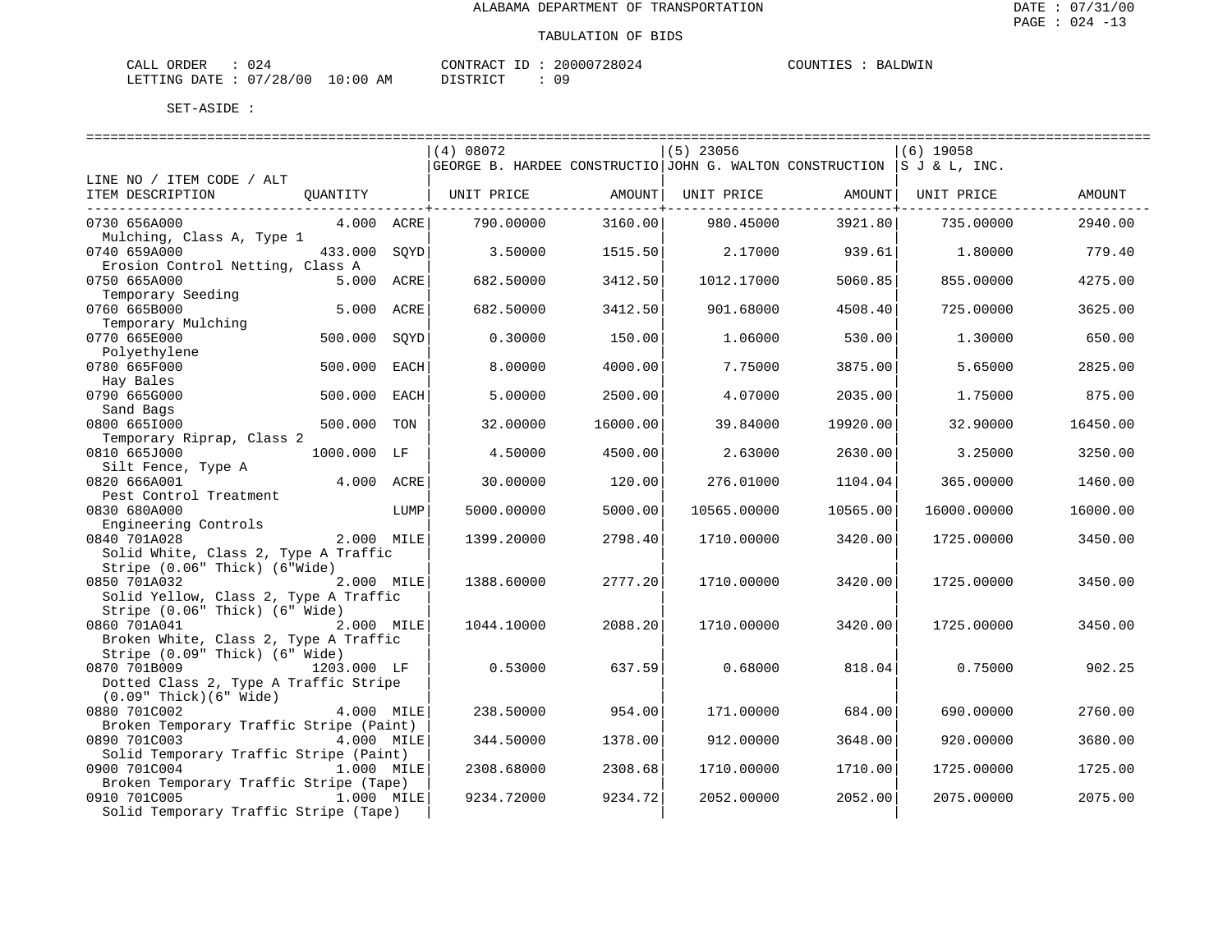| ORDER<br>CALI          |  |               | 'ONTRACT<br>TD. | 20000728024 | COUNTIES | LDWIN<br><b>BAT</b> |
|------------------------|--|---------------|-----------------|-------------|----------|---------------------|
| LETTING DATE: 07/28/00 |  | LO : 00<br>AM | ) T STR T       | 09          |          |                     |

|                                         |             |      | (4) 08072                                                                   |                      | $(5)$ 23056 |                 | $(6)$ 19058 |          |
|-----------------------------------------|-------------|------|-----------------------------------------------------------------------------|----------------------|-------------|-----------------|-------------|----------|
|                                         |             |      | GEORGE B. HARDEE CONSTRUCTIO JOHN G. WALTON CONSTRUCTION $ S J \& L$ , INC. |                      |             |                 |             |          |
| LINE NO / ITEM CODE / ALT               |             |      |                                                                             |                      |             |                 |             |          |
| ITEM DESCRIPTION                        | QUANTITY    |      | UNIT PRICE                                                                  | AMOUNT               | UNIT PRICE  | AMOUNT          | UNIT PRICE  | AMOUNT   |
|                                         |             |      |                                                                             | -----------+-------- |             | -------------+- |             |          |
| 0730 656A000                            | 4.000 ACRE  |      | 790.00000                                                                   | 3160.00              | 980.45000   | 3921.80         | 735.00000   | 2940.00  |
| Mulching, Class A, Type 1               |             |      |                                                                             |                      |             |                 |             |          |
| 0740 659A000                            | 433.000     | SOYD | 3.50000                                                                     | 1515.50              | 2.17000     | 939.61          | 1.80000     | 779.40   |
| Erosion Control Netting, Class A        |             |      |                                                                             |                      |             |                 |             |          |
| 0750 665A000                            | 5.000 ACRE  |      | 682.50000                                                                   | 3412.50              | 1012.17000  | 5060.85         | 855.00000   | 4275.00  |
| Temporary Seeding                       |             |      |                                                                             |                      |             |                 |             |          |
| 0760 665B000                            | 5.000       | ACRE | 682.50000                                                                   | 3412.50              | 901.68000   | 4508.40         | 725.00000   | 3625.00  |
| Temporary Mulching                      |             |      |                                                                             |                      |             |                 |             |          |
| 0770 665E000                            | 500.000     | SOYD | 0.30000                                                                     | 150.00               | 1.06000     | 530.00          | 1,30000     | 650.00   |
| Polyethylene                            |             |      |                                                                             |                      |             |                 |             |          |
| 0780 665F000                            | 500.000     | EACH | 8.00000                                                                     | 4000.00              | 7.75000     | 3875.00         | 5.65000     | 2825.00  |
|                                         |             |      |                                                                             |                      |             |                 |             |          |
| Hay Bales<br>0790 665G000               |             | EACH | 5.00000                                                                     | 2500.00              | 4.07000     | 2035.00         | 1.75000     | 875.00   |
|                                         | 500.000     |      |                                                                             |                      |             |                 |             |          |
| Sand Bags                               |             |      |                                                                             |                      |             |                 |             |          |
| 0800 6651000                            | 500.000     | TON  | 32.00000                                                                    | 16000.00             | 39.84000    | 19920.00        | 32.90000    | 16450.00 |
| Temporary Riprap, Class 2               |             |      |                                                                             |                      |             |                 |             |          |
| 0810 665J000                            | 1000.000 LF |      | 4.50000                                                                     | 4500.00              | 2.63000     | 2630.00         | 3.25000     | 3250.00  |
| Silt Fence, Type A                      |             |      |                                                                             |                      |             |                 |             |          |
| 0820 666A001                            | 4.000 ACRE  |      | 30.00000                                                                    | 120.00               | 276.01000   | 1104.04         | 365.00000   | 1460.00  |
| Pest Control Treatment                  |             |      |                                                                             |                      |             |                 |             |          |
| 0830 680A000                            |             | LUMP | 5000.00000                                                                  | 5000.00              | 10565.00000 | 10565.00        | 16000.00000 | 16000.00 |
| Engineering Controls                    |             |      |                                                                             |                      |             |                 |             |          |
| 0840 701A028                            | 2.000 MILE  |      | 1399.20000                                                                  | 2798.40              | 1710.00000  | 3420.00         | 1725.00000  | 3450.00  |
| Solid White, Class 2, Type A Traffic    |             |      |                                                                             |                      |             |                 |             |          |
| Stripe (0.06" Thick) (6"Wide)           |             |      |                                                                             |                      |             |                 |             |          |
| 0850 701A032                            | 2.000 MILE  |      | 1388.60000                                                                  | 2777.20              | 1710.00000  | 3420.00         | 1725.00000  | 3450.00  |
| Solid Yellow, Class 2, Type A Traffic   |             |      |                                                                             |                      |             |                 |             |          |
| Stripe (0.06" Thick) (6" Wide)          |             |      |                                                                             |                      |             |                 |             |          |
| 0860 701A041                            | 2.000 MILE  |      | 1044.10000                                                                  | 2088.20              | 1710.00000  | 3420.00         | 1725.00000  | 3450.00  |
| Broken White, Class 2, Type A Traffic   |             |      |                                                                             |                      |             |                 |             |          |
| Stripe (0.09" Thick) (6" Wide)          |             |      |                                                                             |                      |             |                 |             |          |
| 0870 701B009                            | 1203.000 LF |      | 0.53000                                                                     | 637.59               | 0.68000     | 818.04          | 0.75000     | 902.25   |
| Dotted Class 2, Type A Traffic Stripe   |             |      |                                                                             |                      |             |                 |             |          |
| $(0.09"$ Thick $)(6"$ Wide)             |             |      |                                                                             |                      |             |                 |             |          |
| 0880 701C002                            | 4.000 MILE  |      | 238.50000                                                                   | 954.00               | 171.00000   | 684.00          | 690.00000   | 2760.00  |
| Broken Temporary Traffic Stripe (Paint) |             |      |                                                                             |                      |             |                 |             |          |
| 0890 701C003                            | 4.000 MILE  |      | 344.50000                                                                   | 1378.00              | 912,00000   | 3648.00         | 920.00000   | 3680.00  |
| Solid Temporary Traffic Stripe (Paint)  |             |      |                                                                             |                      |             |                 |             |          |
| 0900 701C004                            | 1.000 MILE  |      | 2308.68000                                                                  | 2308.68              | 1710.00000  | 1710.00         | 1725.00000  | 1725.00  |
| Broken Temporary Traffic Stripe (Tape)  |             |      |                                                                             |                      |             |                 |             |          |
| 0910 701C005                            | 1.000 MILE  |      | 9234.72000                                                                  | 9234.72              | 2052.00000  | 2052.00         | 2075.00000  | 2075.00  |
| Solid Temporary Traffic Stripe (Tape)   |             |      |                                                                             |                      |             |                 |             |          |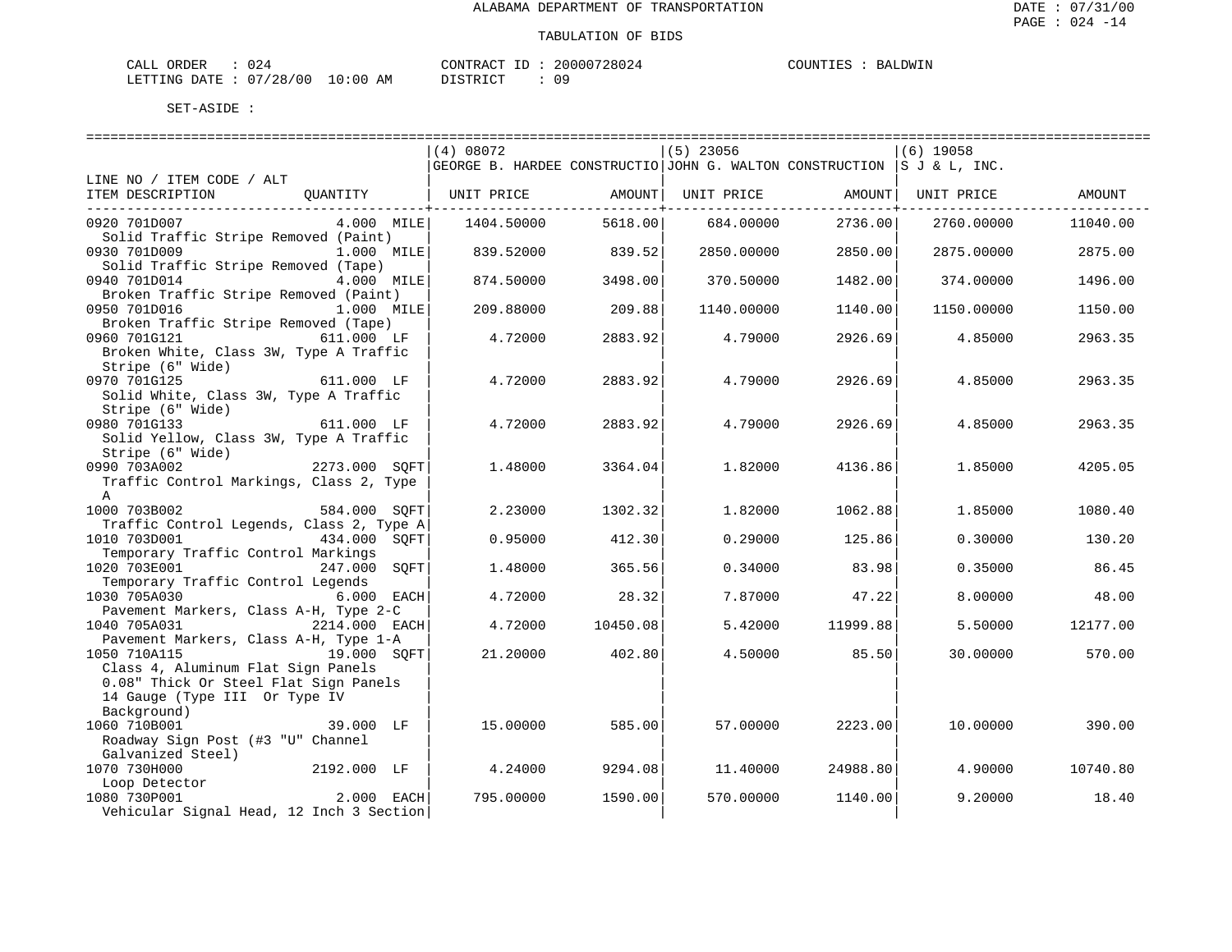| ORDER<br>CALI |            |               | TONTRACT     | TD. | '28024<br>20000 | <b>COUNTIES</b><br>TIES | AT JOW TN<br>RA. |
|---------------|------------|---------------|--------------|-----|-----------------|-------------------------|------------------|
| LETTING DATE  | : 07/28/00 | LO : 00<br>ΆM | דת לידי את ה |     | nα              |                         |                  |

|                                                                             |               | (4) 08072                                                              |          | $(5)$ 23056        |          | $(6)$ 19058 |          |
|-----------------------------------------------------------------------------|---------------|------------------------------------------------------------------------|----------|--------------------|----------|-------------|----------|
|                                                                             |               | GEORGE B. HARDEE CONSTRUCTIO JOHN G. WALTON CONSTRUCTION S J & L, INC. |          |                    |          |             |          |
| LINE NO / ITEM CODE / ALT                                                   |               |                                                                        |          |                    |          |             |          |
| ITEM DESCRIPTION                                                            | OUANTITY      | UNIT PRICE                                                             |          | AMOUNT  UNIT PRICE | AMOUNTI  | UNIT PRICE  | AMOUNT   |
|                                                                             |               |                                                                        |          |                    |          |             |          |
| 0920 701D007                                                                | 4.000 MILE    | 1404.50000                                                             | 5618.00  | 684.00000          | 2736.00  | 2760.00000  | 11040.00 |
| Solid Traffic Stripe Removed (Paint)                                        |               |                                                                        |          |                    |          |             |          |
| 0930 701D009                                                                | 1.000 MILE    | 839.52000                                                              | 839.52   | 2850.00000         | 2850.00  | 2875.00000  | 2875.00  |
| Solid Traffic Stripe Removed (Tape)                                         |               |                                                                        |          |                    |          |             |          |
| 0940 701D014                                                                | 4.000 MILE    | 874.50000                                                              | 3498.00  | 370.50000          | 1482.00  | 374.00000   | 1496.00  |
| Broken Traffic Stripe Removed (Paint)                                       |               |                                                                        |          |                    |          |             |          |
| 0950 701D016                                                                | 1.000 MILE    | 209.88000                                                              | 209.88   | 1140.00000         | 1140.00  | 1150.00000  | 1150.00  |
| Broken Traffic Stripe Removed (Tape)                                        |               |                                                                        |          |                    |          |             |          |
| 0960 701G121<br>611.000 LF                                                  |               | 4.72000                                                                | 2883.92  | 4.79000            | 2926.69  | 4.85000     | 2963.35  |
| Broken White, Class 3W, Type A Traffic                                      |               |                                                                        |          |                    |          |             |          |
| Stripe (6" Wide)                                                            |               |                                                                        |          |                    |          |             |          |
| 0970 701G125                                                                | 611.000 LF    | 4.72000                                                                | 2883.92  | 4.79000            | 2926.69  | 4.85000     | 2963.35  |
| Solid White, Class 3W, Type A Traffic                                       |               |                                                                        |          |                    |          |             |          |
| Stripe (6" Wide)                                                            |               |                                                                        |          |                    |          |             |          |
| 0980 701G133                                                                | 611.000 LF    | 4.72000                                                                | 2883.92  | 4.79000            | 2926.69  | 4.85000     | 2963.35  |
| Solid Yellow, Class 3W, Type A Traffic                                      |               |                                                                        |          |                    |          |             |          |
| Stripe (6" Wide)                                                            |               |                                                                        |          |                    |          |             |          |
| .,<br>2273.000 SQFT<br>0990 703A002                                         |               | 1,48000                                                                | 3364.04  | 1.82000            | 4136.86  | 1.85000     | 4205.05  |
| Traffic Control Markings, Class 2, Type                                     |               |                                                                        |          |                    |          |             |          |
| $\mathbb{A}$                                                                |               |                                                                        |          |                    |          |             |          |
| 1000 703B002                                                                | 584.000 SOFT  | 2.23000                                                                | 1302.32  | 1,82000            | 1062.88  | 1.85000     | 1080.40  |
| Traffic Control Legends, Class 2, Type A                                    |               |                                                                        |          |                    |          |             |          |
| 1010 703D001                                                                | 434.000 SOFT  | 0.95000                                                                | 412.30   | 0.29000            | 125.86   | 0.30000     | 130.20   |
| Temporary Traffic Control Markings                                          |               |                                                                        |          |                    |          |             |          |
| 1020 703E001                                                                | 247.000 SOFT  | 1,48000                                                                | 365.56   | 0.34000            | 83.98    | 0.35000     | 86.45    |
| Temporary Traffic Control Legends                                           |               |                                                                        |          |                    |          |             |          |
| 1030 705A030                                                                | 6.000 EACH    | 4.72000                                                                | 28.32    | 7.87000            | 47.22    | 8.00000     | 48.00    |
| Pavement Markers, Class A-H, Type 2-C                                       |               |                                                                        |          |                    |          |             |          |
|                                                                             |               |                                                                        |          |                    |          |             |          |
| 1040 705A031<br>Pavement Markers, Class A-H, Type 1-A                       | 2214.000 EACH | 4.72000                                                                | 10450.08 | 5.42000            | 11999.88 | 5.50000     | 12177.00 |
|                                                                             |               | 21.20000                                                               | 402.80   | 4.50000            | 85.50    | 30.00000    |          |
| 1050 710A115                                                                | 19.000 SOFT   |                                                                        |          |                    |          |             | 570.00   |
| Class 4, Aluminum Flat Sign Panels<br>0.08" Thick Or Steel Flat Sign Panels |               |                                                                        |          |                    |          |             |          |
|                                                                             |               |                                                                        |          |                    |          |             |          |
| 14 Gauge (Type III Or Type IV                                               |               |                                                                        |          |                    |          |             |          |
| Background)                                                                 |               |                                                                        |          |                    |          |             |          |
| 1060 710B001                                                                | 39.000 LF     | 15,00000                                                               | 585.00   | 57.00000           | 2223.00  | 10.00000    | 390.00   |
| Roadway Sign Post (#3 "U" Channel                                           |               |                                                                        |          |                    |          |             |          |
| Galvanized Steel)                                                           |               |                                                                        |          |                    |          |             |          |
| 1070 730H000                                                                | 2192.000 LF   | 4.24000                                                                | 9294.08  | 11,40000           | 24988.80 | 4.90000     | 10740.80 |
| Loop Detector                                                               |               |                                                                        |          |                    |          |             |          |
| 1080 730P001                                                                | $2.000$ EACH  | 795.00000                                                              | 1590.00  | 570.00000          | 1140.00  | 9.20000     | 18.40    |
| Vehicular Signal Head, 12 Inch 3 Section                                    |               |                                                                        |          |                    |          |             |          |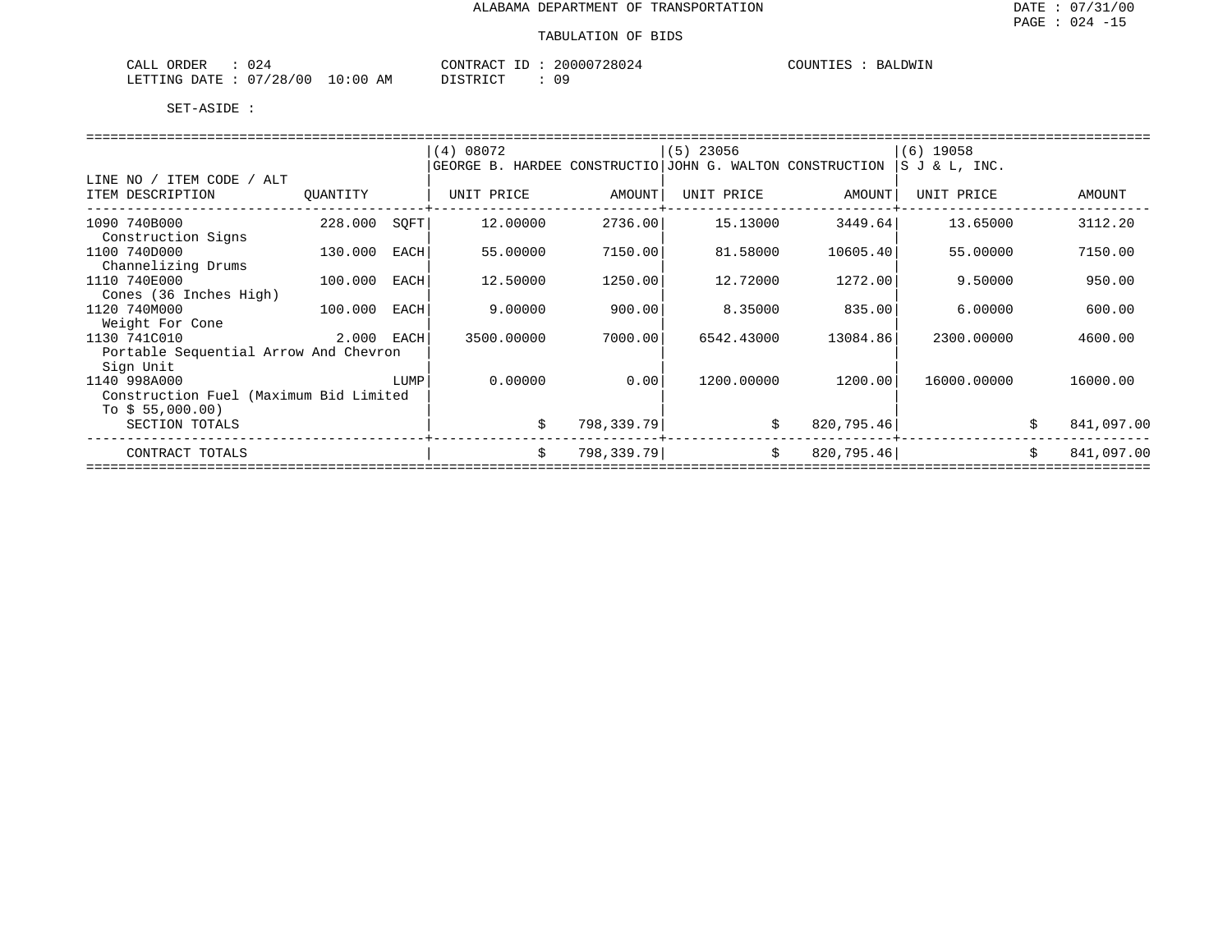| 024<br>ORDER<br>CALL     | 20000728024<br>CONTRACT<br>ID                | BALDWIN<br>COUNTIES |
|--------------------------|----------------------------------------------|---------------------|
| 07/28/00<br>LETTING DATE | $10:00$ AM<br>n a<br>TSTRICT<br>$\mathbf{u}$ |                     |

|                                        |            |      | (4) 08072                                                |            | $(5)$ 23056 |            | $(6)$ 19058    |                  |
|----------------------------------------|------------|------|----------------------------------------------------------|------------|-------------|------------|----------------|------------------|
|                                        |            |      | GEORGE B. HARDEE CONSTRUCTIO JOHN G. WALTON CONSTRUCTION |            |             |            | IS J & L, INC. |                  |
| / ITEM CODE / ALT<br>LINE NO           |            |      |                                                          |            |             |            |                |                  |
| ITEM DESCRIPTION                       | QUANTITY   |      | UNIT PRICE                                               | AMOUNT     | UNIT PRICE  | AMOUNT     | UNIT PRICE     | AMOUNT           |
| 1090 740B000                           | 228.000    | SQFT | 12.00000                                                 | 2736.00    | 15.13000    | 3449.64    | 13.65000       | 3112.20          |
| Construction Signs                     |            |      |                                                          |            |             |            |                |                  |
| 1100 740D000                           | 130.000    | EACH | 55.00000                                                 | 7150.00    | 81.58000    | 10605.40   | 55.00000       | 7150.00          |
| Channelizing Drums                     |            |      |                                                          |            |             |            |                |                  |
| 1110 740E000                           | 100.000    | EACH | 12.50000                                                 | 1250.00    | 12.72000    | 1272.00    | 9.50000        | 950.00           |
| Cones (36 Inches High)                 |            |      |                                                          |            |             |            |                |                  |
| 1120 740M000                           | 100.000    | EACH | 9,00000                                                  | 900.00     | 8.35000     | 835.00     | 6.00000        | 600.00           |
| Weight For Cone                        |            |      |                                                          |            |             |            |                |                  |
| 1130 741C010                           | 2.000 EACH |      | 3500.00000                                               | 7000.001   | 6542.43000  | 13084.86   | 2300.00000     | 4600.00          |
| Portable Sequential Arrow And Chevron  |            |      |                                                          |            |             |            |                |                  |
| Sign Unit<br>1140 998A000              |            | LUMP | 0.00000                                                  | 0.001      | 1200.00000  | 1200.00    | 16000.00000    | 16000.00         |
| Construction Fuel (Maximum Bid Limited |            |      |                                                          |            |             |            |                |                  |
| To $$55,000.00)$                       |            |      |                                                          |            |             |            |                |                  |
| SECTION TOTALS                         |            |      | \$                                                       | 798,339.79 | Ŝ.          | 820,795.46 |                | 841,097.00       |
|                                        |            |      |                                                          |            |             |            |                |                  |
| CONTRACT TOTALS                        |            |      | \$                                                       | 798,339.79 | Ŝ.          | 820,795.46 |                | \$<br>841,097.00 |
|                                        |            |      |                                                          |            |             |            |                |                  |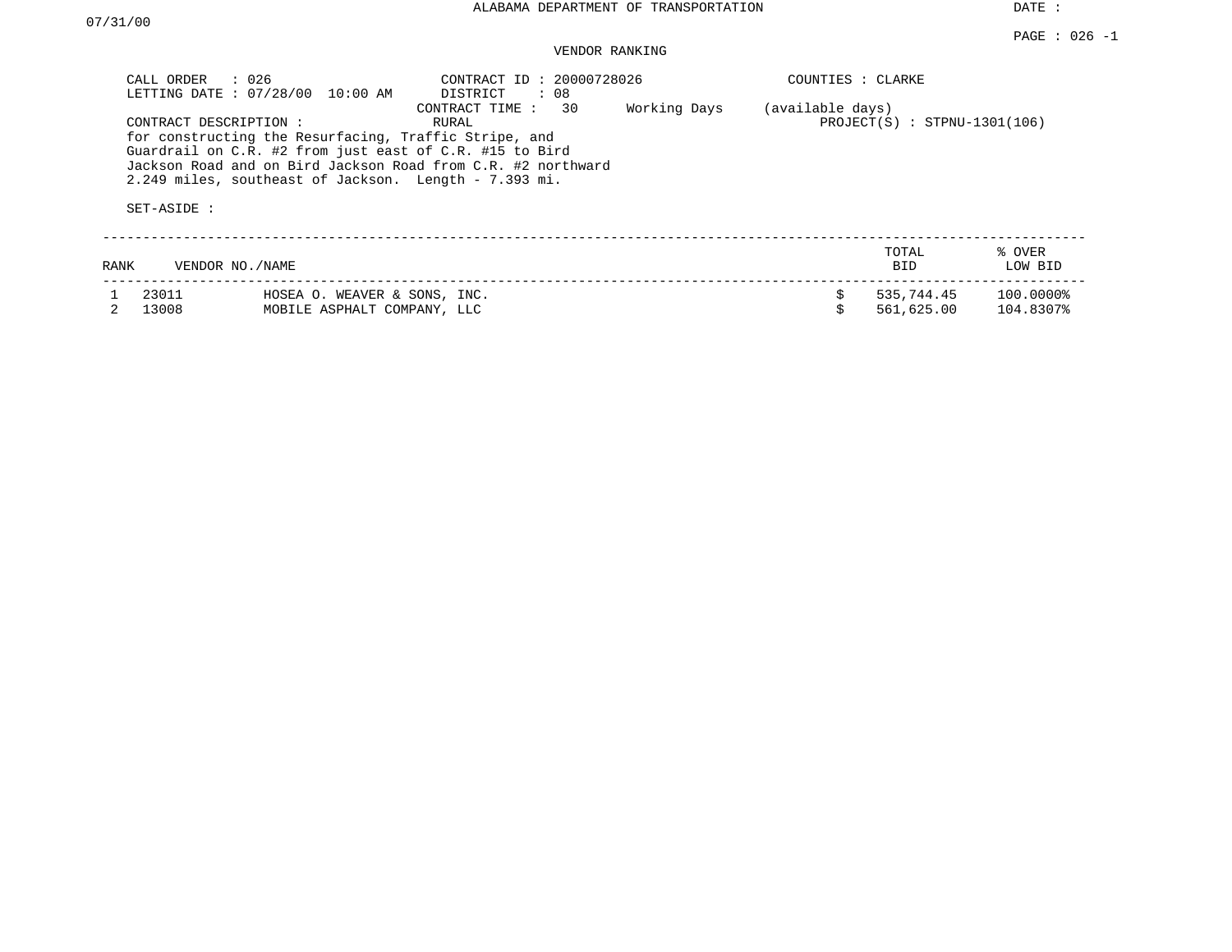# VENDOR RANKING

|      | CALL ORDER<br>: 026<br>LETTING DATE : 07/28/00 10:00 AM                                                                                                                                                           | CONTRACT ID: 20000728026<br>DISTRICT<br>: 08                                                   |              | COUNTIES : CLARKE |                                |                           |
|------|-------------------------------------------------------------------------------------------------------------------------------------------------------------------------------------------------------------------|------------------------------------------------------------------------------------------------|--------------|-------------------|--------------------------------|---------------------------|
|      | CONTRACT DESCRIPTION:<br>for constructing the Resurfacing, Traffic Stripe, and<br>Guardrail on C.R. #2 from just east of C.R. #15 to Bird<br>2.249 miles, southeast of Jackson. Length - 7.393 mi.<br>SET-ASIDE : | 30<br>CONTRACT TIME :<br>RURAL<br>Jackson Road and on Bird Jackson Road from C.R. #2 northward | Working Days | (available days)  | $PROJECT(S)$ : STPNU-1301(106) |                           |
| RANK | VENDOR NO. / NAME                                                                                                                                                                                                 |                                                                                                |              |                   | TOTAL<br><b>BID</b>            | % OVER<br>LOW BID         |
|      | 23011<br>13008<br>MOBILE ASPHALT COMPANY, LLC                                                                                                                                                                     | HOSEA O. WEAVER & SONS, INC.                                                                   |              |                   | 535,744.45<br>561,625.00       | $100.0000\%$<br>104.8307% |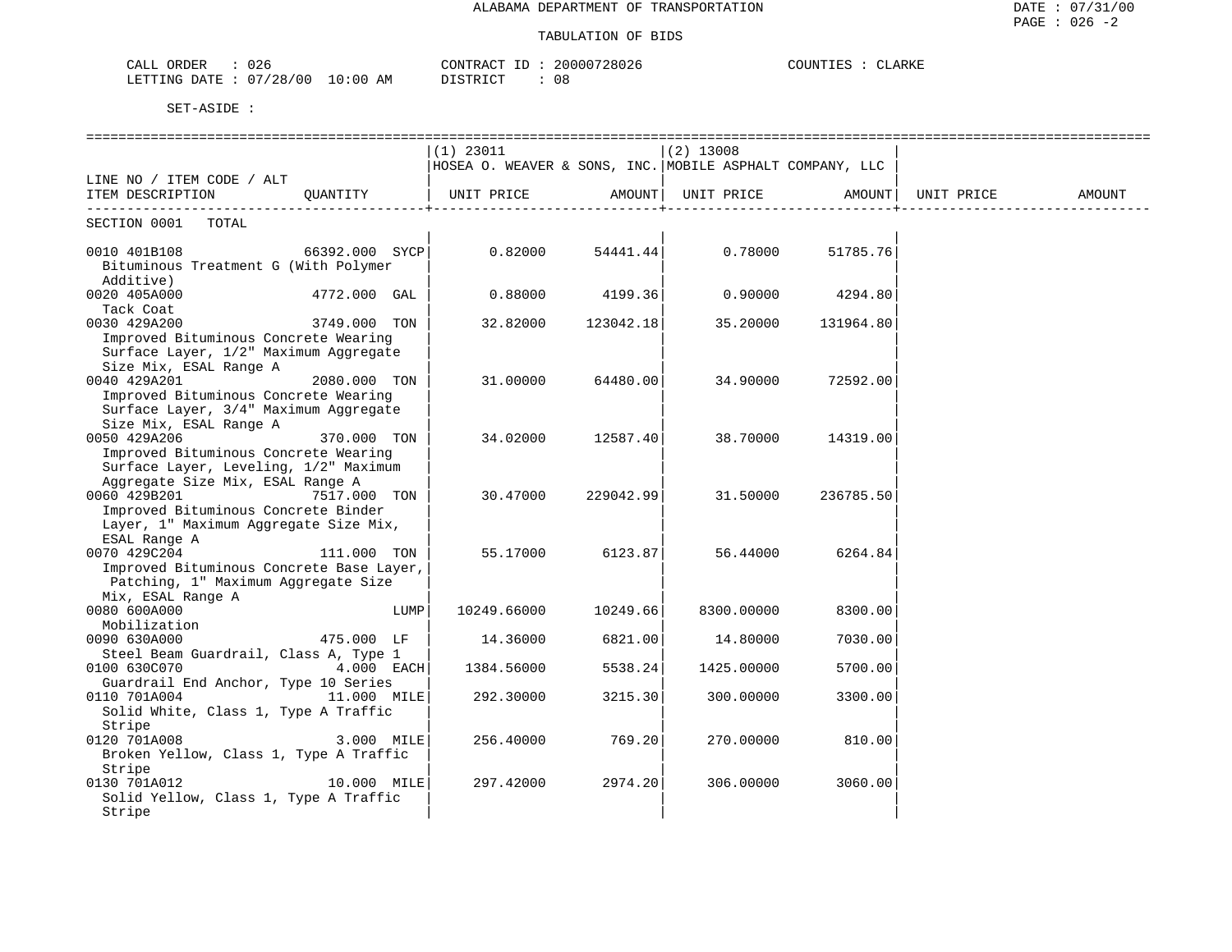| CALL ORDER<br>026                | CONTRACT ID: 20000728026 | COUNTIES : CLARKE |
|----------------------------------|--------------------------|-------------------|
| LETTING DATE : 07/28/00 10:00 AM | DISTRICT<br>- 0.8        |                   |

|                                          |                |      | $(1)$ 23011                                              |                    | $(2)$ 13008      |                    |            |        |
|------------------------------------------|----------------|------|----------------------------------------------------------|--------------------|------------------|--------------------|------------|--------|
|                                          |                |      | HOSEA O. WEAVER & SONS, INC. MOBILE ASPHALT COMPANY, LLC |                    |                  |                    |            |        |
| LINE NO / ITEM CODE / ALT                |                |      |                                                          |                    |                  |                    |            |        |
| ITEM DESCRIPTION                         | OUANTITY       |      | UNIT PRICE AMOUNT                                        |                    |                  | UNIT PRICE AMOUNT  | UNIT PRICE | AMOUNT |
| SECTION 0001 TOTAL                       |                |      |                                                          |                    |                  |                    |            |        |
| 0010 401B108                             | 66392.000 SYCP |      | 0.82000                                                  |                    | 54441.44 0.78000 | 51785.76           |            |        |
| Bituminous Treatment G (With Polymer     |                |      |                                                          |                    |                  |                    |            |        |
| Additive)                                |                |      |                                                          |                    |                  |                    |            |        |
| 0020 405A000                             | 4772.000 GAL   |      | 0.88000                                                  | 4199.36            | 0.90000          | 4294.80            |            |        |
| Tack Coat                                |                |      |                                                          |                    |                  |                    |            |        |
| 0030 429A200                             | 3749.000 TON   |      |                                                          | 32.82000 123042.18 |                  | 35.20000 131964.80 |            |        |
| Improved Bituminous Concrete Wearing     |                |      |                                                          |                    |                  |                    |            |        |
| Surface Layer, 1/2" Maximum Aggregate    |                |      |                                                          |                    |                  |                    |            |        |
| Size Mix, ESAL Range A                   |                |      |                                                          |                    |                  |                    |            |        |
| 0040 429A201                             | 2080.000 TON   |      | 31.00000                                                 | 64480.00           | 34.90000         | 72592.00           |            |        |
| Improved Bituminous Concrete Wearing     |                |      |                                                          |                    |                  |                    |            |        |
| Surface Layer, 3/4" Maximum Aggregate    |                |      |                                                          |                    |                  |                    |            |        |
| Size Mix, ESAL Range A                   |                |      |                                                          |                    |                  |                    |            |        |
| 0050 429A206                             | 370.000 TON    |      | 34.02000                                                 | 12587.40           | 38.70000         | 14319.00           |            |        |
| Improved Bituminous Concrete Wearing     |                |      |                                                          |                    |                  |                    |            |        |
| Surface Layer, Leveling, 1/2" Maximum    |                |      |                                                          |                    |                  |                    |            |        |
| Aggregate Size Mix, ESAL Range A         |                |      |                                                          |                    |                  |                    |            |        |
| 0060 429B201                             | 7517.000 TON   |      | 30.47000                                                 | 229042.99          | 31.50000         | 236785.50          |            |        |
| Improved Bituminous Concrete Binder      |                |      |                                                          |                    |                  |                    |            |        |
| Layer, 1" Maximum Aggregate Size Mix,    |                |      |                                                          |                    |                  |                    |            |        |
| ESAL Range A                             |                |      |                                                          |                    |                  |                    |            |        |
| 0070 429C204                             | 111.000 TON    |      | 55.17000                                                 | 6123.87            | 56.44000         | 6264.84            |            |        |
| Improved Bituminous Concrete Base Layer, |                |      |                                                          |                    |                  |                    |            |        |
| Patching, 1" Maximum Aggregate Size      |                |      |                                                          |                    |                  |                    |            |        |
| Mix, ESAL Range A                        |                |      |                                                          |                    |                  |                    |            |        |
| 0080 600A000                             |                | LUMP | 10249.66000                                              | 10249.66           | 8300.00000       | 8300.00            |            |        |
| Mobilization                             |                |      |                                                          |                    |                  |                    |            |        |
| 0090 630A000                             | 475.000 LF     |      | 14.36000                                                 | 6821.00            | 14.80000         | 7030.00            |            |        |
| Steel Beam Guardrail, Class A, Type 1    |                |      |                                                          |                    |                  |                    |            |        |
| 0100 630C070                             | $4.000$ EACH   |      | 1384.56000                                               | 5538.24            | 1425.00000       | 5700.00            |            |        |
| Guardrail End Anchor, Type 10 Series     |                |      |                                                          |                    |                  |                    |            |        |
| 0110 701A004                             | $11.000$ MILE  |      | 292.30000                                                | 3215.30            | 300.00000        | 3300.00            |            |        |
| Solid White, Class 1, Type A Traffic     |                |      |                                                          |                    |                  |                    |            |        |
| Stripe                                   |                |      |                                                          |                    |                  |                    |            |        |
| 0120 701A008                             | $3.000$ MILE   |      | 256.40000                                                | 769.201            | 270.00000        | 810.00             |            |        |
| Broken Yellow, Class 1, Type A Traffic   |                |      |                                                          |                    |                  |                    |            |        |
| Stripe                                   |                |      |                                                          |                    |                  |                    |            |        |
| 0130 701A012                             | 10.000 MILE    |      | 297.42000                                                | 2974.20            | 306.00000        | 3060.00            |            |        |
| Solid Yellow, Class 1, Type A Traffic    |                |      |                                                          |                    |                  |                    |            |        |
| Stripe                                   |                |      |                                                          |                    |                  |                    |            |        |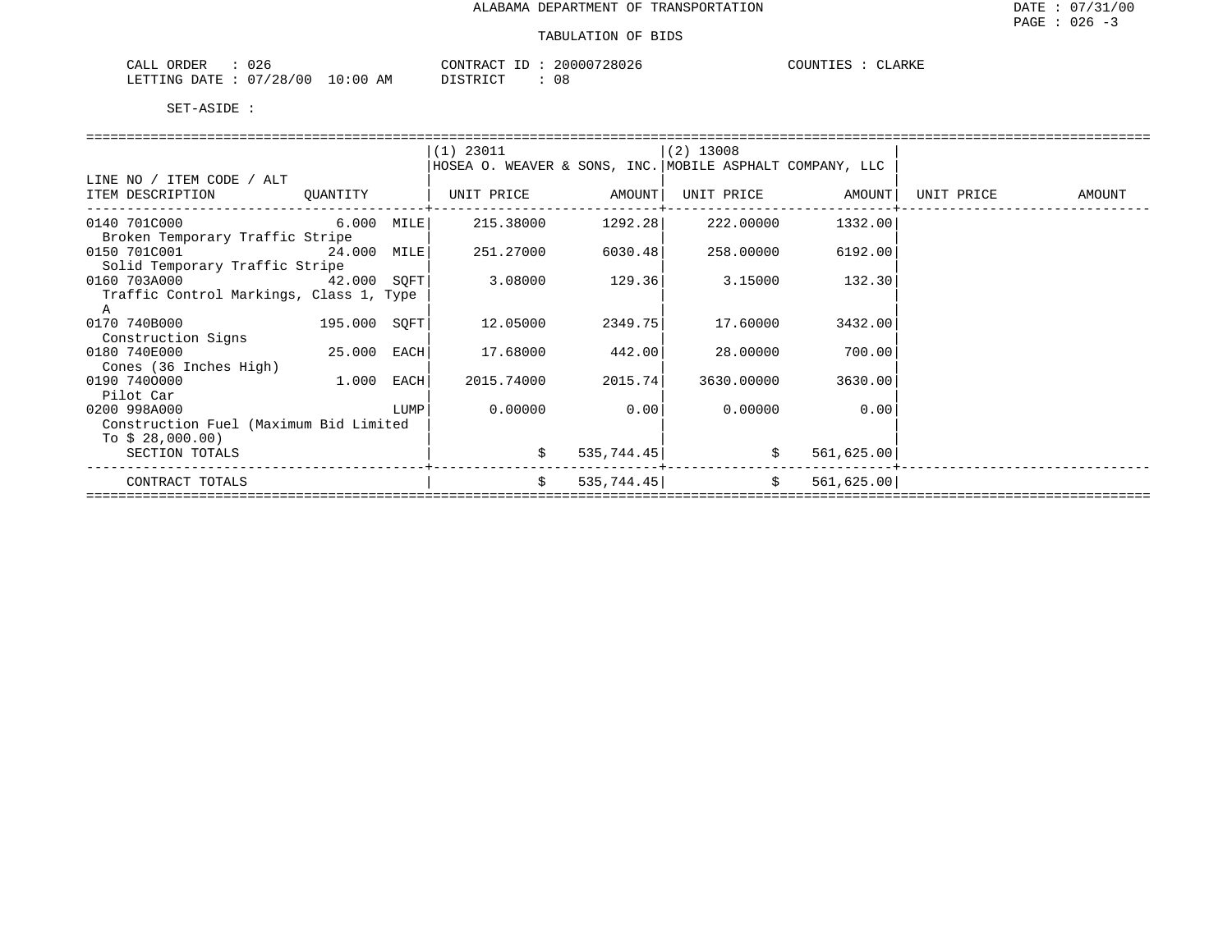| $\cap$<br>$C\Delta T$<br>)RDER<br>∪∠b<br>الللمات                               | $\bigcap_{\Lambda}$<br>' י ∖≀ ש     | 728026<br>200007 | LARKE<br>INT<br>. |
|--------------------------------------------------------------------------------|-------------------------------------|------------------|-------------------|
| /28/00<br>$T$ הודיחים<br>∩⊓<br>$\sqrt{2}$<br>- IN G<br>14 T<br>U<br>1111 1 1 1 | : 00<br>DICTDICT<br>AM<br>`⊥⊥∖⊥ ∪ ⊥ | 08               |                   |

| $(1)$ 23011<br>$(2)$ 13008<br>HOSEA O. WEAVER & SONS, INC. MOBILE ASPHALT COMPANY, LLC<br>LINE NO / ITEM CODE / ALT<br>  UNIT PRICE AMOUNT <br>UNIT PRICE AMOUNT<br>ITEM DESCRIPTION QUANTITY<br>UNIT PRICE<br>AMOUNT |
|-----------------------------------------------------------------------------------------------------------------------------------------------------------------------------------------------------------------------|
|                                                                                                                                                                                                                       |
|                                                                                                                                                                                                                       |
|                                                                                                                                                                                                                       |
|                                                                                                                                                                                                                       |
|                                                                                                                                                                                                                       |
| $6.000$ MILE<br>0140 701C000                                                                                                                                                                                          |
| Broken Temporary Traffic Stripe                                                                                                                                                                                       |
| 0150 701C001<br>24.000 MILE<br>251.27000<br>6030.48<br>258.00000<br>6192.00                                                                                                                                           |
| Solid Temporary Traffic Stripe                                                                                                                                                                                        |
| 3.08000<br>129.36<br>0160 703A000<br>42.000 SOFT<br>3.15000<br>132.30                                                                                                                                                 |
| Traffic Control Markings, Class 1, Type                                                                                                                                                                               |
| A                                                                                                                                                                                                                     |
| 195.000 SOFT<br>12.05000<br>2349.75<br>17.60000<br>3432.00<br>0170 740B000                                                                                                                                            |
| Construction Signs                                                                                                                                                                                                    |
| 25.000 EACH<br>0180 740E000<br>17.68000<br>442.00<br>28.00000<br>700.00                                                                                                                                               |
| Cones (36 Inches High)                                                                                                                                                                                                |
| 0190 7400000<br>$1.000$ EACH<br>2015.74<br>2015.74000<br>3630.00000 3630.00                                                                                                                                           |
| Pilot Car                                                                                                                                                                                                             |
| 0.00<br>0.00000<br>0.00000<br>0.00<br>0200 998A000<br>LUMP                                                                                                                                                            |
| Construction Fuel (Maximum Bid Limited                                                                                                                                                                                |
| To $$28,000.00)$                                                                                                                                                                                                      |
| \$<br>535,744.45<br>\$<br>561,625.00<br>SECTION TOTALS                                                                                                                                                                |
|                                                                                                                                                                                                                       |
| $\ddot{s}$<br>\$<br>535,744.45<br>561, 625.00<br>CONTRACT TOTALS                                                                                                                                                      |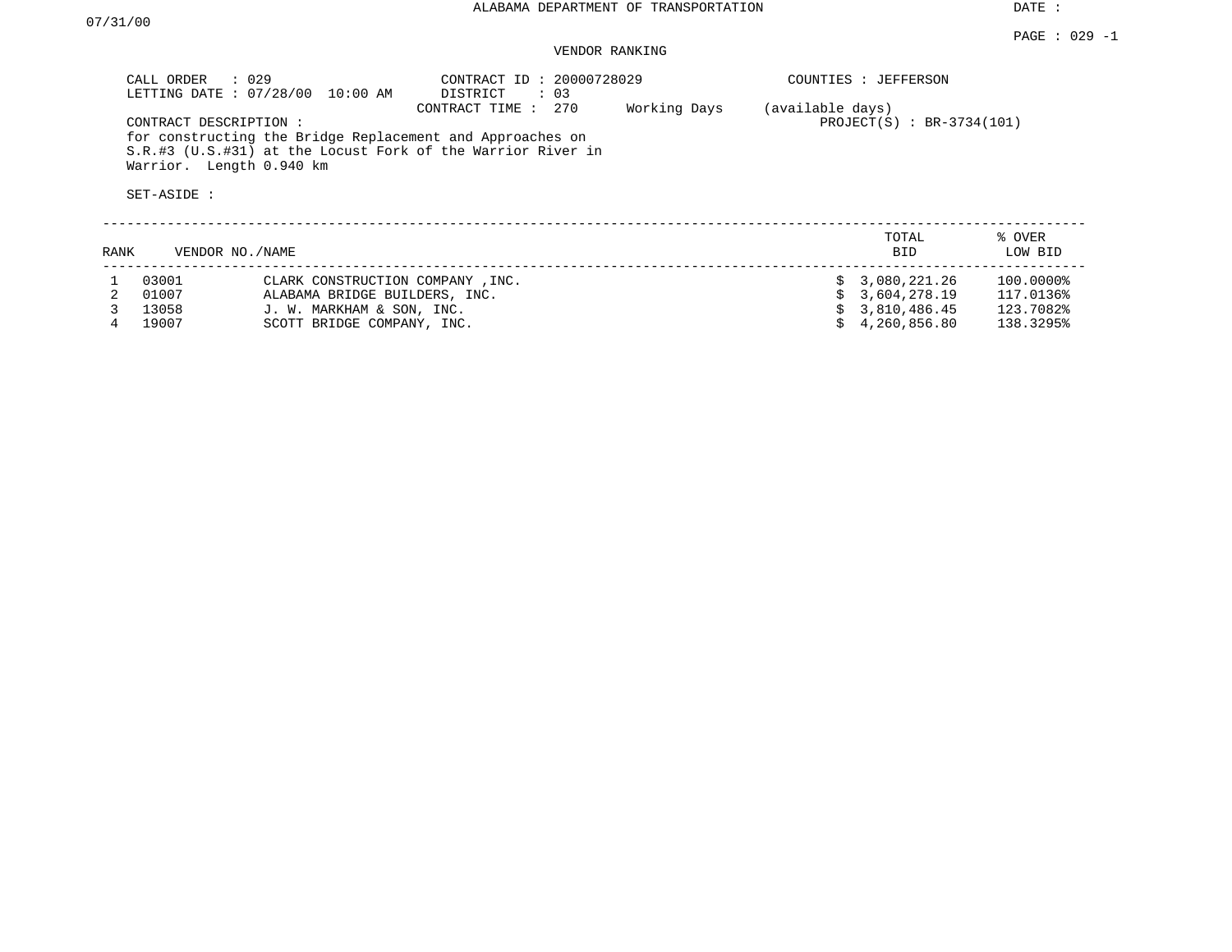DATE :

## VENDOR RANKING

|      | $\therefore$ 029<br>CALL ORDER<br>LETTING DATE: 07/28/00         | 10:00 AM                         | CONTRACT ID: 20000728029<br>DISTRICT<br>: 0.3                                                                                                     |              |                  | COUNTIES : JEFFERSON        |                   |
|------|------------------------------------------------------------------|----------------------------------|---------------------------------------------------------------------------------------------------------------------------------------------------|--------------|------------------|-----------------------------|-------------------|
|      | CONTRACT DESCRIPTION:<br>Warrior. Length 0.940 km<br>SET-ASIDE : |                                  | 270<br>CONTRACT TIME:<br>for constructing the Bridge Replacement and Approaches on<br>S.R.#3 (U.S.#31) at the Locust Fork of the Warrior River in | Working Days | (available days) | $PROJECT(S) : BR-3734(101)$ |                   |
| RANK | VENDOR NO./NAME                                                  |                                  |                                                                                                                                                   |              |                  | TOTAL<br><b>BID</b>         | % OVER<br>LOW BID |
|      | 03001                                                            | CLARK CONSTRUCTION COMPANY, INC. |                                                                                                                                                   |              |                  | \$3,080,221.26              | 100.0000%         |
|      | 01007                                                            | ALABAMA BRIDGE BUILDERS, INC.    |                                                                                                                                                   |              |                  | 3,604,278.19                | 117.0136%         |
|      | 13058                                                            | J. W. MARKHAM & SON, INC.        |                                                                                                                                                   |              |                  | 3,810,486.45                | 123.7082%         |
|      | 19007                                                            | SCOTT BRIDGE COMPANY, INC.       |                                                                                                                                                   |              |                  | 4,260,856.80                | 138.3295%         |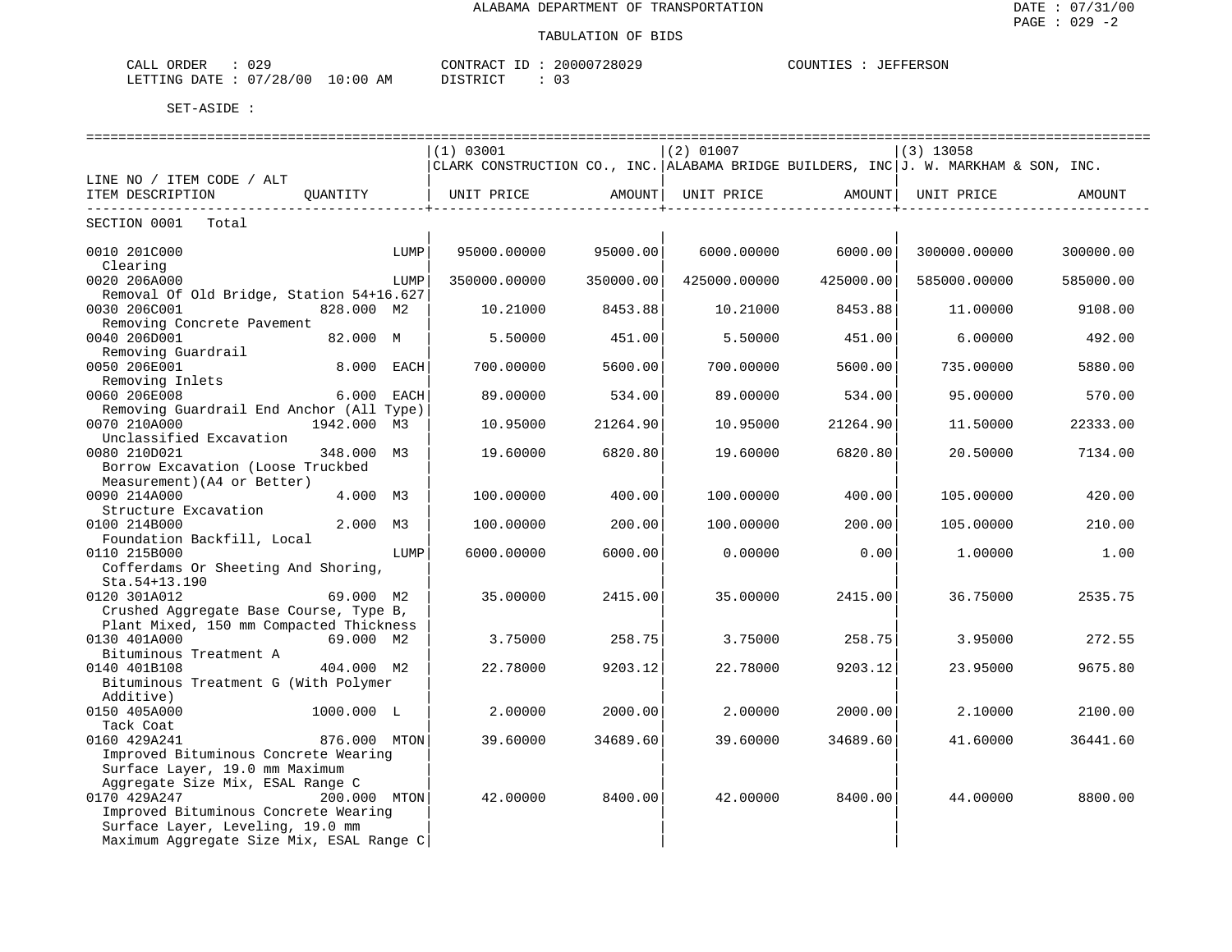| $\sim$ $\sim$<br>ORDER<br>$\sim$ $ -$<br>لىلA'،<br>ے ر |                                      | ≀∆ אידיזורי                       | 200007<br>'286<br>UZ <sup>u</sup> | COUNTILE<br><b>TEFFERSON</b> |
|--------------------------------------------------------|--------------------------------------|-----------------------------------|-----------------------------------|------------------------------|
| 128<br>00<br>LETTING<br>DATE<br>20                     | ΆM<br>$\ldots$ ( ) $\cdots$<br>— ⊥ v | T OMD.<br>. .<br><i>ມ</i> ⊥ມ⊥⊥⊾ພ⊥ | 03                                |                              |

|                                          | (1) 03001                                                                           |           | $(2)$ 01007  |                              | $(3)$ 13058  |           |
|------------------------------------------|-------------------------------------------------------------------------------------|-----------|--------------|------------------------------|--------------|-----------|
|                                          | CLARK CONSTRUCTION CO., INC. ALABAMA BRIDGE BUILDERS, INC J. W. MARKHAM & SON, INC. |           |              |                              |              |           |
| LINE NO / ITEM CODE / ALT                |                                                                                     |           |              |                              |              |           |
| OUANTITY<br>ITEM DESCRIPTION             | UNIT PRICE AMOUNT                                                                   |           |              | UNIT PRICE AMOUNT            | UNIT PRICE   | AMOUNT    |
| -----------------------------------      | ______________________________                                                      |           |              | ---------------------------- |              |           |
| SECTION 0001 Total                       |                                                                                     |           |              |                              |              |           |
| 0010 201C000<br>LUMP                     | 95000.00000                                                                         | 95000.00  | 6000.00000   | 6000.00                      | 300000.00000 | 300000.00 |
| Clearing                                 |                                                                                     |           |              |                              |              |           |
| 0020 206A000<br>LUMP                     | 350000.00000                                                                        | 350000.00 | 425000.00000 | 425000.00                    | 585000.00000 | 585000.00 |
| Removal Of Old Bridge, Station 54+16.627 |                                                                                     |           |              |                              |              |           |
| 0030 206C001<br>828.000 M2               | 10.21000                                                                            | 8453.88   | 10.21000     | 8453.88                      | 11,00000     | 9108.00   |
| Removing Concrete Pavement               |                                                                                     |           |              |                              |              |           |
| 0040 206D001<br>82.000 M                 | 5.50000                                                                             | 451.00    | 5.50000      | 451.00                       | 6.00000      | 492.00    |
| Removing Guardrail                       |                                                                                     |           |              |                              |              |           |
| 8.000 EACH<br>0050 206E001               | 700.00000                                                                           | 5600.00   | 700.00000    | 5600.00                      | 735.00000    | 5880.00   |
| Removing Inlets                          |                                                                                     |           |              |                              |              |           |
| 6.000 EACH<br>0060 206E008               | 89.00000                                                                            | 534.00    | 89,00000     | 534.00                       | 95.00000     | 570.00    |
| Removing Guardrail End Anchor (All Type) |                                                                                     |           |              |                              |              |           |
| 0070 210A000<br>1942.000 M3              | 10.95000                                                                            | 21264.90  | 10.95000     | 21264.90                     | 11.50000     | 22333.00  |
| Unclassified Excavation                  |                                                                                     |           |              |                              |              |           |
| 0080 210D021<br>348.000 M3               | 19,60000                                                                            | 6820.80   | 19,60000     | 6820.80                      | 20.50000     | 7134.00   |
| Borrow Excavation (Loose Truckbed        |                                                                                     |           |              |                              |              |           |
| Measurement) (A4 or Better)              |                                                                                     |           |              |                              |              |           |
| 0090 214A000<br>4.000 M3                 | 100.00000                                                                           | 400.00    | 100.00000    | 400.00                       | 105.00000    | 420.00    |
| Structure Excavation                     |                                                                                     |           |              |                              |              |           |
| 0100 214B000<br>2.000 M3                 | 100.00000                                                                           | 200.00    | 100.00000    | 200.00                       | 105.00000    | 210.00    |
| Foundation Backfill, Local               |                                                                                     |           |              |                              |              |           |
| 0110 215B000<br>LUMP                     | 6000.00000                                                                          | 6000.00   | 0.00000      | 0.00                         | 1,00000      | 1.00      |
| Cofferdams Or Sheeting And Shoring,      |                                                                                     |           |              |                              |              |           |
| Sta.54+13.190                            |                                                                                     |           |              |                              |              |           |
| $69.000$ M2<br>0120 301A012              | 35.00000                                                                            | 2415.00   | 35.00000     | 2415.00                      | 36.75000     | 2535.75   |
| Crushed Aggregate Base Course, Type B,   |                                                                                     |           |              |                              |              |           |
| Plant Mixed, 150 mm Compacted Thickness  |                                                                                     |           |              |                              |              |           |
| 0130 401A000<br>69.000 M2                | 3.75000                                                                             | 258.75    | 3.75000      | 258.75                       | 3.95000      | 272.55    |
| Bituminous Treatment A                   |                                                                                     |           |              |                              |              |           |
| 0140 401B108<br>404.000 M2               | 22.78000                                                                            | 9203.12   | 22.78000     | 9203.12                      | 23.95000     | 9675.80   |
| Bituminous Treatment G (With Polymer     |                                                                                     |           |              |                              |              |           |
| Additive)                                |                                                                                     |           |              |                              |              |           |
| 0150 405A000<br>1000.000 L               | 2.00000                                                                             | 2000.00   | 2.00000      | 2000.00                      | 2.10000      | 2100.00   |
| Tack Coat                                |                                                                                     |           |              |                              |              |           |
| 0160 429A241<br>876.000 MTON             | 39.60000                                                                            | 34689.60  | 39.60000     | 34689.60                     | 41.60000     | 36441.60  |
| Improved Bituminous Concrete Wearing     |                                                                                     |           |              |                              |              |           |
| Surface Layer, 19.0 mm Maximum           |                                                                                     |           |              |                              |              |           |
| Aggregate Size Mix, ESAL Range C         |                                                                                     |           |              |                              |              |           |
| 0170 429A247<br>$200.000$ MTON           | 42.00000                                                                            | 8400.00   | 42.00000     | 8400.00                      | 44.00000     | 8800.00   |
| Improved Bituminous Concrete Wearing     |                                                                                     |           |              |                              |              |           |
| Surface Layer, Leveling, 19.0 mm         |                                                                                     |           |              |                              |              |           |
| Maximum Aggregate Size Mix, ESAL Range C |                                                                                     |           |              |                              |              |           |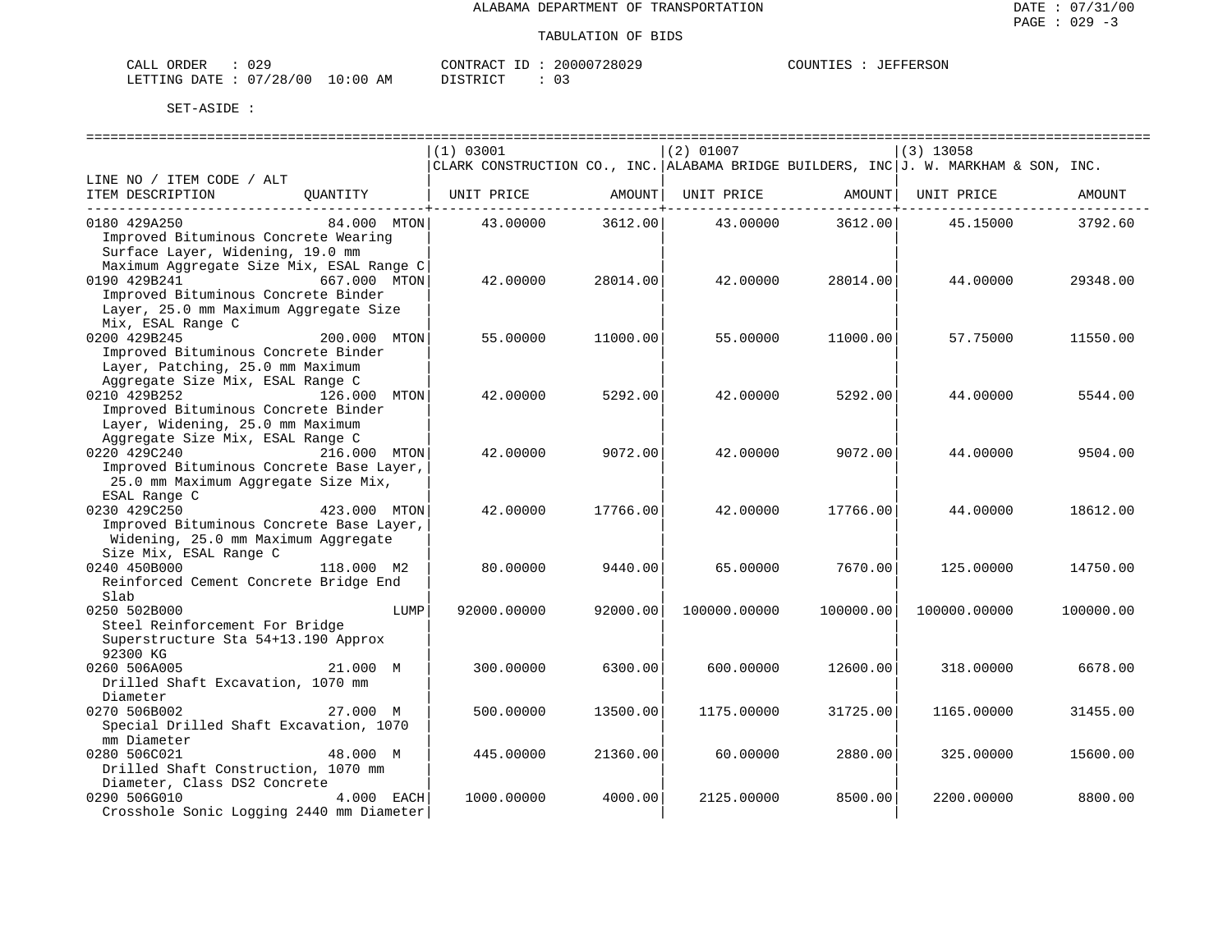| 029<br>CALL ORDER               |          | CONTRACT ID: 20000728029 | : JEFFERSON<br>COUNTIES |
|---------------------------------|----------|--------------------------|-------------------------|
| LETTING DATE: 07/28/00 10:00 AM | DISTRICT |                          |                         |

|                                                                  |      | (1) 03001                                                                           |                              | $(2)$ 01007  |                           | $(3)$ 13058  |           |
|------------------------------------------------------------------|------|-------------------------------------------------------------------------------------|------------------------------|--------------|---------------------------|--------------|-----------|
|                                                                  |      | CLARK CONSTRUCTION CO., INC. ALABAMA BRIDGE BUILDERS, INC J. W. MARKHAM & SON, INC. |                              |              |                           |              |           |
| LINE NO / ITEM CODE / ALT                                        |      |                                                                                     |                              |              |                           |              |           |
| ITEM DESCRIPTION<br>OUANTITY<br>-------------------------------- |      | UNIT PRICE                                                                          | AMOUNT  <br>---------+------ | UNIT PRICE   | AMOUNT  <br>----------+-- | UNIT PRICE   | AMOUNT    |
| 0180 429A250<br>84.000 MTON                                      |      | 43.00000                                                                            | 3612.00                      |              | 43.00000 3612.00          | 45.15000     | 3792.60   |
| Improved Bituminous Concrete Wearing                             |      |                                                                                     |                              |              |                           |              |           |
| Surface Layer, Widening, 19.0 mm                                 |      |                                                                                     |                              |              |                           |              |           |
| Maximum Aggregate Size Mix, ESAL Range C                         |      |                                                                                     |                              |              |                           |              |           |
| 0190 429B241 667.000 MTON                                        |      | 42.00000                                                                            | 28014.00                     | 42.00000     | 28014.00                  | 44.00000     | 29348.00  |
| Improved Bituminous Concrete Binder                              |      |                                                                                     |                              |              |                           |              |           |
| Layer, 25.0 mm Maximum Aggregate Size                            |      |                                                                                     |                              |              |                           |              |           |
| Mix, ESAL Range C                                                |      |                                                                                     |                              |              |                           |              |           |
| 200.000 MTON<br>0200 429B245                                     |      | 55.00000                                                                            | 11000.00                     | 55.00000     | 11000.00                  | 57.75000     | 11550.00  |
| Improved Bituminous Concrete Binder                              |      |                                                                                     |                              |              |                           |              |           |
| Layer, Patching, 25.0 mm Maximum                                 |      |                                                                                     |                              |              |                           |              |           |
| Aggregate Size Mix, ESAL Range C                                 |      |                                                                                     |                              |              |                           |              |           |
| 0210 429B252<br>126.000 MTON                                     |      | 42.00000                                                                            | 5292.00                      | 42.00000     | 5292.00                   | 44.00000     | 5544.00   |
| Improved Bituminous Concrete Binder                              |      |                                                                                     |                              |              |                           |              |           |
| Layer, Widening, 25.0 mm Maximum                                 |      |                                                                                     |                              |              |                           |              |           |
| Aggregate Size Mix, ESAL Range C                                 |      |                                                                                     |                              |              |                           |              |           |
| 0220 429C240<br>216.000 MTON                                     |      | 42.00000                                                                            | 9072.00                      | 42.00000     | 9072.00                   | 44.00000     | 9504.00   |
| Improved Bituminous Concrete Base Layer,                         |      |                                                                                     |                              |              |                           |              |           |
| 25.0 mm Maximum Aggregate Size Mix,                              |      |                                                                                     |                              |              |                           |              |           |
| ESAL Range C                                                     |      |                                                                                     |                              |              |                           |              |           |
| 0230 429C250<br>423.000 MTON                                     |      | 42.00000                                                                            | 17766.00                     | 42.00000     | 17766.00                  | 44.00000     | 18612.00  |
| Improved Bituminous Concrete Base Layer,                         |      |                                                                                     |                              |              |                           |              |           |
| Widening, 25.0 mm Maximum Aggregate                              |      |                                                                                     |                              |              |                           |              |           |
| Size Mix, ESAL Range C                                           |      |                                                                                     |                              |              |                           |              |           |
| 0240 450B000<br>118,000 M2                                       |      | 80.00000                                                                            | 9440.00                      | 65.00000     | 7670.00                   | 125,00000    | 14750.00  |
| Reinforced Cement Concrete Bridge End                            |      |                                                                                     |                              |              |                           |              |           |
| Slab                                                             |      |                                                                                     |                              |              |                           |              |           |
| 0250 502B000                                                     | LUMP | 92000.00000                                                                         | 92000.00                     | 100000.00000 | 100000.00                 | 100000.00000 | 100000.00 |
| Steel Reinforcement For Bridge                                   |      |                                                                                     |                              |              |                           |              |           |
| Superstructure Sta 54+13.190 Approx                              |      |                                                                                     |                              |              |                           |              |           |
| 92300 KG                                                         |      |                                                                                     |                              |              |                           |              |           |
| 0260 506A005<br>21.000 M                                         |      | 300.00000                                                                           | 6300.00                      | 600,00000    | 12600.00                  | 318,00000    | 6678.00   |
| Drilled Shaft Excavation, 1070 mm                                |      |                                                                                     |                              |              |                           |              |           |
| Diameter                                                         |      |                                                                                     |                              |              |                           |              |           |
| 0270 506B002<br>27.000 M                                         |      | 500.00000                                                                           | 13500.00                     | 1175.00000   | 31725.00                  | 1165.00000   | 31455.00  |
| Special Drilled Shaft Excavation, 1070                           |      |                                                                                     |                              |              |                           |              |           |
| mm Diameter                                                      |      |                                                                                     |                              |              |                           |              |           |
| 0280 506C021<br>48.000 M                                         |      | 445.00000                                                                           | 21360.00                     | 60.00000     | 2880.00                   | 325.00000    | 15600.00  |
| Drilled Shaft Construction, 1070 mm                              |      |                                                                                     |                              |              |                           |              |           |
| Diameter, Class DS2 Concrete                                     |      |                                                                                     |                              |              |                           |              |           |
| 0290 506G010<br>4.000 EACH                                       |      | 1000.00000                                                                          | 4000.00                      | 2125.00000   | 8500.00                   | 2200.00000   | 8800.00   |
| Crosshole Sonic Logging 2440 mm Diameter                         |      |                                                                                     |                              |              |                           |              |           |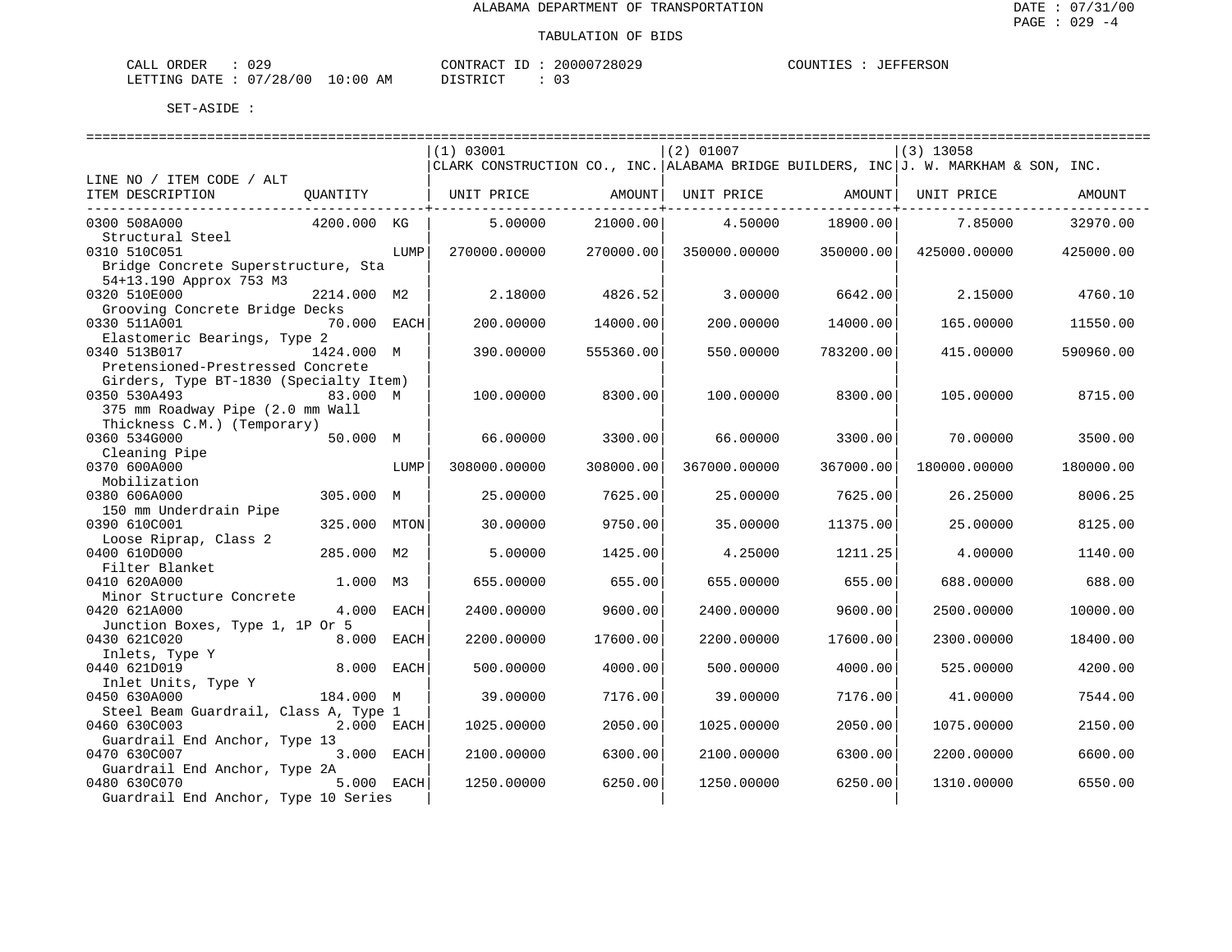| CALL ORDER                      | 029 | CONTRACT ID : | 20000728029 | COUNTIES | JEFFERSON |
|---------------------------------|-----|---------------|-------------|----------|-----------|
| LETTING DATE: 07/28/00 10:00 AM |     | DISTRICT      |             |          |           |

|                                                |             |             | (1) 03001                                                                           |           | $(2)$ 01007  |           | $(3)$ 13058  |           |
|------------------------------------------------|-------------|-------------|-------------------------------------------------------------------------------------|-----------|--------------|-----------|--------------|-----------|
|                                                |             |             | CLARK CONSTRUCTION CO., INC. ALABAMA BRIDGE BUILDERS, INC J. W. MARKHAM & SON, INC. |           |              |           |              |           |
| LINE NO / ITEM CODE / ALT                      |             |             |                                                                                     |           |              |           |              |           |
| ITEM DESCRIPTION                               | QUANTITY    |             | UNIT PRICE                                                                          | AMOUNT    | UNIT PRICE   | AMOUNT    | UNIT PRICE   | AMOUNT    |
| 0300 508A000                                   | 4200.000 KG |             | 5,00000                                                                             | 21000.00  | 4.50000      | 18900.00  | 7.85000      | 32970.00  |
| Structural Steel                               |             |             |                                                                                     |           |              |           |              |           |
| 0310 510C051                                   |             | LUMP        | 270000.00000                                                                        | 270000.00 | 350000.00000 | 350000.00 | 425000.00000 | 425000.00 |
| Bridge Concrete Superstructure, Sta            |             |             |                                                                                     |           |              |           |              |           |
| 54+13.190 Approx 753 M3                        |             |             |                                                                                     |           |              |           |              |           |
| 0320 510E000<br>Grooving Concrete Bridge Decks | 2214.000 M2 |             | 2.18000                                                                             | 4826.52   | 3.00000      | 6642.00   | 2.15000      | 4760.10   |
| 0330 511A001                                   | 70.000 EACH |             | 200,00000                                                                           | 14000.00  | 200.00000    | 14000.00  | 165.00000    | 11550.00  |
| Elastomeric Bearings, Type 2                   |             |             |                                                                                     |           |              |           |              |           |
| 0340 513B017                                   | 1424.000 M  |             | 390.00000                                                                           | 555360.00 | 550.00000    | 783200.00 | 415.00000    | 590960.00 |
| Pretensioned-Prestressed Concrete              |             |             |                                                                                     |           |              |           |              |           |
| Girders, Type BT-1830 (Specialty Item)         |             |             |                                                                                     |           |              |           |              |           |
| 0350 530A493                                   | 83.000 M    |             | 100.00000                                                                           | 8300.00   | 100.00000    | 8300.00   | 105.00000    | 8715.00   |
| 375 mm Roadway Pipe (2.0 mm Wall               |             |             |                                                                                     |           |              |           |              |           |
| Thickness C.M.) (Temporary)<br>0360 534G000    | 50.000 M    |             | 66.00000                                                                            | 3300.00   | 66.00000     | 3300.00   | 70.00000     | 3500.00   |
| Cleaning Pipe                                  |             |             |                                                                                     |           |              |           |              |           |
| 0370 600A000                                   |             | LUMP        | 308000.00000                                                                        | 308000.00 | 367000.00000 | 367000.00 | 180000.00000 | 180000.00 |
| Mobilization                                   |             |             |                                                                                     |           |              |           |              |           |
| 0380 606A000                                   | 305.000 M   |             | 25.00000                                                                            | 7625.00   | 25.00000     | 7625.00   | 26.25000     | 8006.25   |
| 150 mm Underdrain Pipe                         |             |             |                                                                                     |           |              |           |              |           |
| 0390 610C001                                   | 325.000     | MTON        | 30.00000                                                                            | 9750.00   | 35.00000     | 11375.00  | 25.00000     | 8125.00   |
| Loose Riprap, Class 2<br>0400 610D000          | 285.000     | M2          | 5.00000                                                                             | 1425.00   | 4.25000      | 1211.25   | 4,00000      | 1140.00   |
| Filter Blanket                                 |             |             |                                                                                     |           |              |           |              |           |
| 0410 620A000                                   | 1.000       | М3          | 655.00000                                                                           | 655.00    | 655.00000    | 655.00    | 688.00000    | 688.00    |
| Minor Structure Concrete                       |             |             |                                                                                     |           |              |           |              |           |
| 0420 621A000                                   | 4.000       | EACH        | 2400.00000                                                                          | 9600.00   | 2400.00000   | 9600.00   | 2500.00000   | 10000.00  |
| Junction Boxes, Type 1, 1P Or 5                |             |             |                                                                                     |           |              |           |              |           |
| 0430 621C020                                   | 8,000       | <b>EACH</b> | 2200.00000                                                                          | 17600.00  | 2200.00000   | 17600.00  | 2300.00000   | 18400.00  |
| Inlets, Type Y<br>0440 621D019                 | 8.000       | EACH        | 500.00000                                                                           | 4000.00   | 500.00000    | 4000.00   | 525.00000    | 4200.00   |
| Inlet Units, Type Y                            |             |             |                                                                                     |           |              |           |              |           |
| 0450 630A000                                   | 184.000 M   |             | 39.00000                                                                            | 7176.00   | 39.00000     | 7176.00   | 41.00000     | 7544.00   |
| Steel Beam Guardrail, Class A, Type 1          |             |             |                                                                                     |           |              |           |              |           |
| 0460 630C003                                   | 2.000 EACH  |             | 1025.00000                                                                          | 2050.00   | 1025.00000   | 2050.00   | 1075.00000   | 2150.00   |
| Guardrail End Anchor, Type 13                  |             |             |                                                                                     |           |              |           |              |           |
| 0470 630C007                                   | 3.000 EACH  |             | 2100.00000                                                                          | 6300.00   | 2100.00000   | 6300.00   | 2200.00000   | 6600.00   |
| Guardrail End Anchor, Type 2A<br>0480 630C070  |             |             |                                                                                     | 6250.00   |              |           |              |           |
| Guardrail End Anchor, Type 10 Series           | 5.000 EACH  |             | 1250.00000                                                                          |           | 1250.00000   | 6250.00   | 1310.00000   | 6550.00   |
|                                                |             |             |                                                                                     |           |              |           |              |           |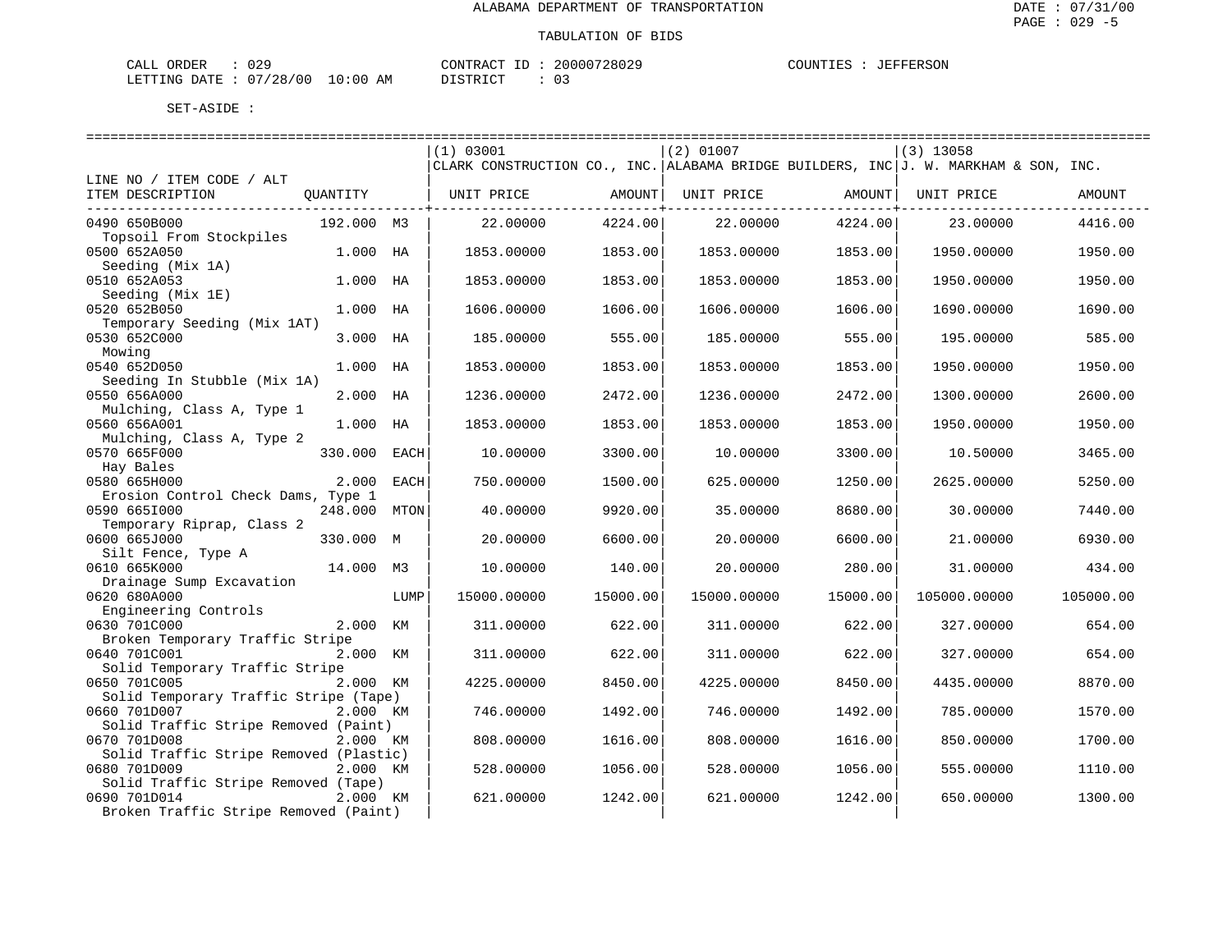| CALL ORDER                      |          | CONTRACT ID: 20000728029 | COUNTIES : JEFFERSON |  |
|---------------------------------|----------|--------------------------|----------------------|--|
| LETTING DATE: 07/28/00 10:00 AM | DISTRICT |                          |                      |  |

|                                                 |            |             | (1) 03001   |          | (2) 01007   |          | $(3)$ 13058                                                                         |           |
|-------------------------------------------------|------------|-------------|-------------|----------|-------------|----------|-------------------------------------------------------------------------------------|-----------|
|                                                 |            |             |             |          |             |          | CLARK CONSTRUCTION CO., INC. ALABAMA BRIDGE BUILDERS, INC J. W. MARKHAM & SON, INC. |           |
| LINE NO / ITEM CODE / ALT                       |            |             |             |          |             |          |                                                                                     |           |
| ITEM DESCRIPTION                                | OUANTITY   |             | UNIT PRICE  | AMOUNT   | UNIT PRICE  | AMOUNT   | UNIT PRICE                                                                          | AMOUNT    |
| 0490 650B000                                    | 192.000 M3 |             | 22.00000    | 4224.00  | 22,00000    | 4224.00  | 23.00000                                                                            | 4416.00   |
| Topsoil From Stockpiles                         |            |             |             |          |             |          |                                                                                     |           |
| 0500 652A050                                    | 1.000 HA   |             | 1853.00000  | 1853.00  | 1853.00000  | 1853.00  | 1950.00000                                                                          | 1950.00   |
| Seeding (Mix 1A)<br>0510 652A053                | 1.000      | HA          | 1853.00000  | 1853.00  | 1853.00000  | 1853.00  | 1950.00000                                                                          | 1950.00   |
| Seeding (Mix 1E)                                |            |             |             |          |             |          |                                                                                     |           |
| 0520 652B050                                    | 1.000      | НA          | 1606.00000  | 1606.00  | 1606.00000  | 1606.00  | 1690.00000                                                                          | 1690.00   |
| Temporary Seeding (Mix 1AT)                     |            |             |             |          |             |          |                                                                                     |           |
| 0530 652C000                                    | 3.000      | HA          | 185.00000   | 555.00   | 185.00000   | 555.00   | 195.00000                                                                           | 585.00    |
| Mowing                                          |            |             |             |          |             |          |                                                                                     |           |
| 0540 652D050                                    | 1,000      | HA          | 1853.00000  | 1853.00  | 1853.00000  | 1853.00  | 1950.00000                                                                          | 1950.00   |
| Seeding In Stubble (Mix 1A)<br>0550 656A000     | 2.000 HA   |             | 1236.00000  | 2472.00  | 1236.00000  | 2472.00  | 1300.00000                                                                          | 2600.00   |
| Mulching, Class A, Type 1                       |            |             |             |          |             |          |                                                                                     |           |
| 0560 656A001                                    | 1,000      | НA          | 1853.00000  | 1853.00  | 1853.00000  | 1853.00  | 1950.00000                                                                          | 1950.00   |
| Mulching, Class A, Type 2                       |            |             |             |          |             |          |                                                                                     |           |
| 0570 665F000                                    | 330.000    | EACH        | 10.00000    | 3300.00  | 10.00000    | 3300.00  | 10.50000                                                                            | 3465.00   |
| Hay Bales                                       |            |             |             |          |             |          |                                                                                     |           |
| 0580 665H000                                    | 2,000      | EACH        | 750.00000   | 1500.00  | 625.00000   | 1250.00  | 2625.00000                                                                          | 5250.00   |
| Erosion Control Check Dams, Type 1              |            |             |             |          |             |          |                                                                                     |           |
| 0590 6651000                                    | 248.000    | <b>MTON</b> | 40.00000    | 9920.00  | 35.00000    | 8680.00  | 30.00000                                                                            | 7440.00   |
| Temporary Riprap, Class 2                       |            |             |             |          |             |          |                                                                                     |           |
| 0600 665J000                                    | 330.000 M  |             | 20.00000    | 6600.00  | 20.00000    | 6600.00  | 21.00000                                                                            | 6930.00   |
| Silt Fence, Type A                              |            |             |             |          |             |          |                                                                                     |           |
| 0610 665K000                                    | 14.000 M3  |             | 10.00000    | 140.00   | 20.00000    | 280.00   | 31.00000                                                                            | 434.00    |
| Drainage Sump Excavation                        |            |             |             |          |             |          |                                                                                     |           |
| 0620 680A000                                    |            | LUMP        | 15000.00000 | 15000.00 | 15000.00000 | 15000.00 | 105000.00000                                                                        | 105000.00 |
| Engineering Controls                            |            |             |             |          |             |          |                                                                                     |           |
| 0630 701C000<br>Broken Temporary Traffic Stripe | 2.000 KM   |             | 311,00000   | 622.00   | 311.00000   | 622.00   | 327.00000                                                                           | 654.00    |
| 0640 701C001                                    | 2.000 KM   |             | 311,00000   | 622.00   | 311.00000   | 622.00   | 327.00000                                                                           | 654.00    |
| Solid Temporary Traffic Stripe                  |            |             |             |          |             |          |                                                                                     |           |
| 0650 701C005                                    | 2.000 KM   |             | 4225.00000  | 8450.00  | 4225.00000  | 8450.00  | 4435.00000                                                                          | 8870.00   |
| Solid Temporary Traffic Stripe (Tape)           |            |             |             |          |             |          |                                                                                     |           |
| 0660 701D007                                    | 2.000 KM   |             | 746.00000   | 1492.00  | 746.00000   | 1492.00  | 785.00000                                                                           | 1570.00   |
| Solid Traffic Stripe Removed (Paint)            |            |             |             |          |             |          |                                                                                     |           |
| 0670 701D008                                    | 2.000 KM   |             | 808.00000   | 1616.00  | 808.00000   | 1616.00  | 850.00000                                                                           | 1700.00   |
| Solid Traffic Stripe Removed (Plastic)          |            |             |             |          |             |          |                                                                                     |           |
| 0680 701D009                                    | 2.000 KM   |             | 528.00000   | 1056.00  | 528.00000   | 1056.00  | 555.00000                                                                           | 1110.00   |
| Solid Traffic Stripe Removed (Tape)             |            |             |             |          |             |          |                                                                                     |           |
| 0690 701D014                                    | 2.000 KM   |             | 621.00000   | 1242.00  | 621.00000   | 1242.00  | 650.00000                                                                           | 1300.00   |
| Broken Traffic Stripe Removed (Paint)           |            |             |             |          |             |          |                                                                                     |           |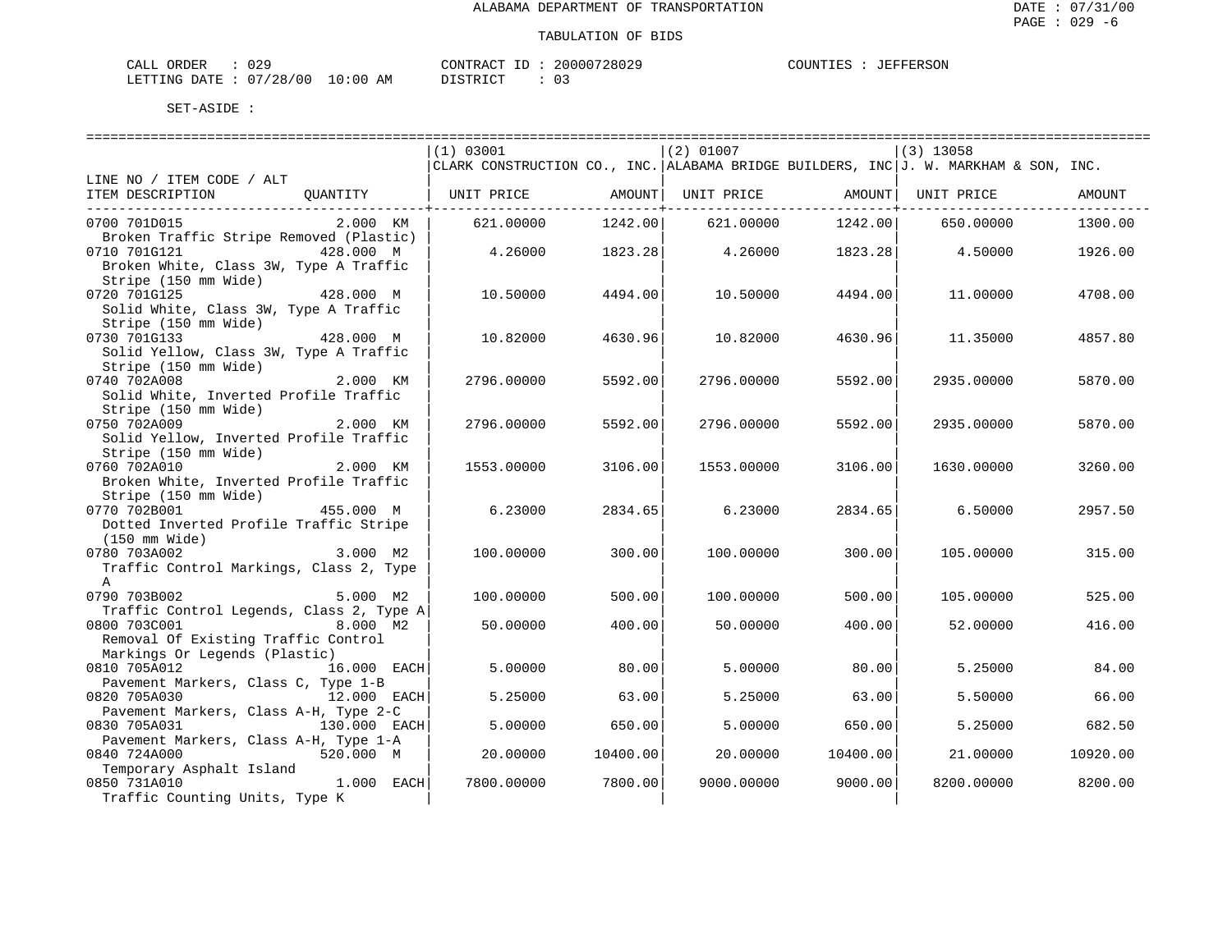| CALL ORDER                      | 029 |  | CONTRACT ID: | 20000728029 | COUNTIES | : JEFFERSON |
|---------------------------------|-----|--|--------------|-------------|----------|-------------|
| LETTING DATE: 07/28/00 10:00 AM |     |  | DISTRICT     |             |          |             |

|                                                                      | (1) 03001                                                                           |                  | $(2)$ 01007 |                   | $(3)$ 13058 |          |
|----------------------------------------------------------------------|-------------------------------------------------------------------------------------|------------------|-------------|-------------------|-------------|----------|
|                                                                      | CLARK CONSTRUCTION CO., INC. ALABAMA BRIDGE BUILDERS, INC J. W. MARKHAM & SON, INC. |                  |             |                   |             |          |
| LINE NO / ITEM CODE / ALT<br>ITEM DESCRIPTION<br>OUANTITY            | UNIT PRICE AMOUNT                                                                   |                  |             | UNIT PRICE AMOUNT | UNIT PRICE  | AMOUNT   |
| -------------------------------                                      |                                                                                     | -------------+-- |             | ---------------+- |             |          |
| 0700 701D015<br>2.000 KM                                             | 621,00000                                                                           | 1242.00          | 621.00000   | 1242.00           | 650.00000   | 1300.00  |
| Broken Traffic Stripe Removed (Plastic)                              |                                                                                     |                  |             |                   |             |          |
| 0710 701G121<br>428.000 M                                            | 4.26000                                                                             | 1823.28          | 4.26000     | 1823.28           | 4.50000     | 1926.00  |
| Broken White, Class 3W, Type A Traffic                               |                                                                                     |                  |             |                   |             |          |
| Stripe (150 mm Wide)                                                 |                                                                                     |                  |             |                   |             |          |
| 0720 701G125<br>428.000 M                                            | 10.50000                                                                            | 4494.00          | 10.50000    | 4494.00           | 11,00000    | 4708.00  |
| Solid White, Class 3W, Type A Traffic                                |                                                                                     |                  |             |                   |             |          |
| Stripe (150 mm Wide)                                                 |                                                                                     |                  |             |                   |             |          |
| 0730 701G133<br>428.000 M                                            | 10.82000                                                                            | 4630.96          | 10.82000    | 4630.96           | 11.35000    | 4857.80  |
| Solid Yellow, Class 3W, Type A Traffic                               |                                                                                     |                  |             |                   |             |          |
| Stripe (150 mm Wide)<br>2.000 KM                                     |                                                                                     |                  |             |                   |             |          |
| 0740 702A008<br>Solid White, Inverted Profile Traffic                | 2796.00000                                                                          | 5592.00          | 2796.00000  | 5592.00           | 2935,00000  | 5870.00  |
| Stripe (150 mm Wide)                                                 |                                                                                     |                  |             |                   |             |          |
| 0750 702A009<br>2.000 KM                                             | 2796.00000                                                                          | 5592.00          | 2796.00000  | 5592.00           | 2935.00000  | 5870.00  |
| Solid Yellow, Inverted Profile Traffic                               |                                                                                     |                  |             |                   |             |          |
| Stripe (150 mm Wide)                                                 |                                                                                     |                  |             |                   |             |          |
| 0760 702A010<br>2.000 KM                                             | 1553.00000                                                                          | 3106.00          | 1553.00000  | 3106.00           | 1630.00000  | 3260.00  |
| Broken White, Inverted Profile Traffic                               |                                                                                     |                  |             |                   |             |          |
| Stripe (150 mm Wide)                                                 |                                                                                     |                  |             |                   |             |          |
| 0770 702B001<br>455.000 M                                            | 6.23000                                                                             | 2834.65          | 6.23000     | 2834.65           | 6.50000     | 2957.50  |
| Dotted Inverted Profile Traffic Stripe                               |                                                                                     |                  |             |                   |             |          |
| (150 mm Wide)                                                        |                                                                                     |                  |             |                   |             |          |
| 3.000 M2<br>0780 703A002                                             | 100.00000                                                                           | 300.00           | 100,00000   | 300.00            | 105.00000   | 315.00   |
| Traffic Control Markings, Class 2, Type                              |                                                                                     |                  |             |                   |             |          |
| $\mathbb{A}$                                                         |                                                                                     |                  |             |                   |             |          |
| 0790 703B002<br>5.000 M2                                             | 100.00000                                                                           | 500.00           | 100.00000   | 500.00            | 105.00000   | 525.00   |
| Traffic Control Legends, Class 2, Type A                             |                                                                                     |                  |             |                   |             |          |
| 0800 703C001<br>8.000 M2                                             | 50.00000                                                                            | 400.00           | 50.00000    | 400.00            | 52.00000    | 416.00   |
| Removal Of Existing Traffic Control<br>Markings Or Legends (Plastic) |                                                                                     |                  |             |                   |             |          |
| 0810 705A012<br>16.000 EACH                                          | 5,00000                                                                             | 80.00            | 5.00000     | 80.00             | 5.25000     | 84.00    |
| Pavement Markers, Class C, Type 1-B                                  |                                                                                     |                  |             |                   |             |          |
| 0820 705A030<br>12.000 EACH                                          | 5.25000                                                                             | 63.00            | 5.25000     | 63.00             | 5.50000     | 66.00    |
| Pavement Markers, Class A-H, Type 2-C                                |                                                                                     |                  |             |                   |             |          |
| 0830 705A031<br>130.000 EACH                                         | 5,00000                                                                             | 650.00           | 5.00000     | 650.00            | 5.25000     | 682.50   |
| Pavement Markers, Class A-H, Type 1-A                                |                                                                                     |                  |             |                   |             |          |
| 0840 724A000<br>520.000 M                                            | 20.00000                                                                            | 10400.00         | 20,00000    | 10400.00          | 21,00000    | 10920.00 |
| Temporary Asphalt Island                                             |                                                                                     |                  |             |                   |             |          |
| 1.000 EACH<br>0850 731A010                                           | 7800.00000                                                                          | 7800.00          | 9000.00000  | 9000.00           | 8200.00000  | 8200.00  |
| Traffic Counting Units, Type K                                       |                                                                                     |                  |             |                   |             |          |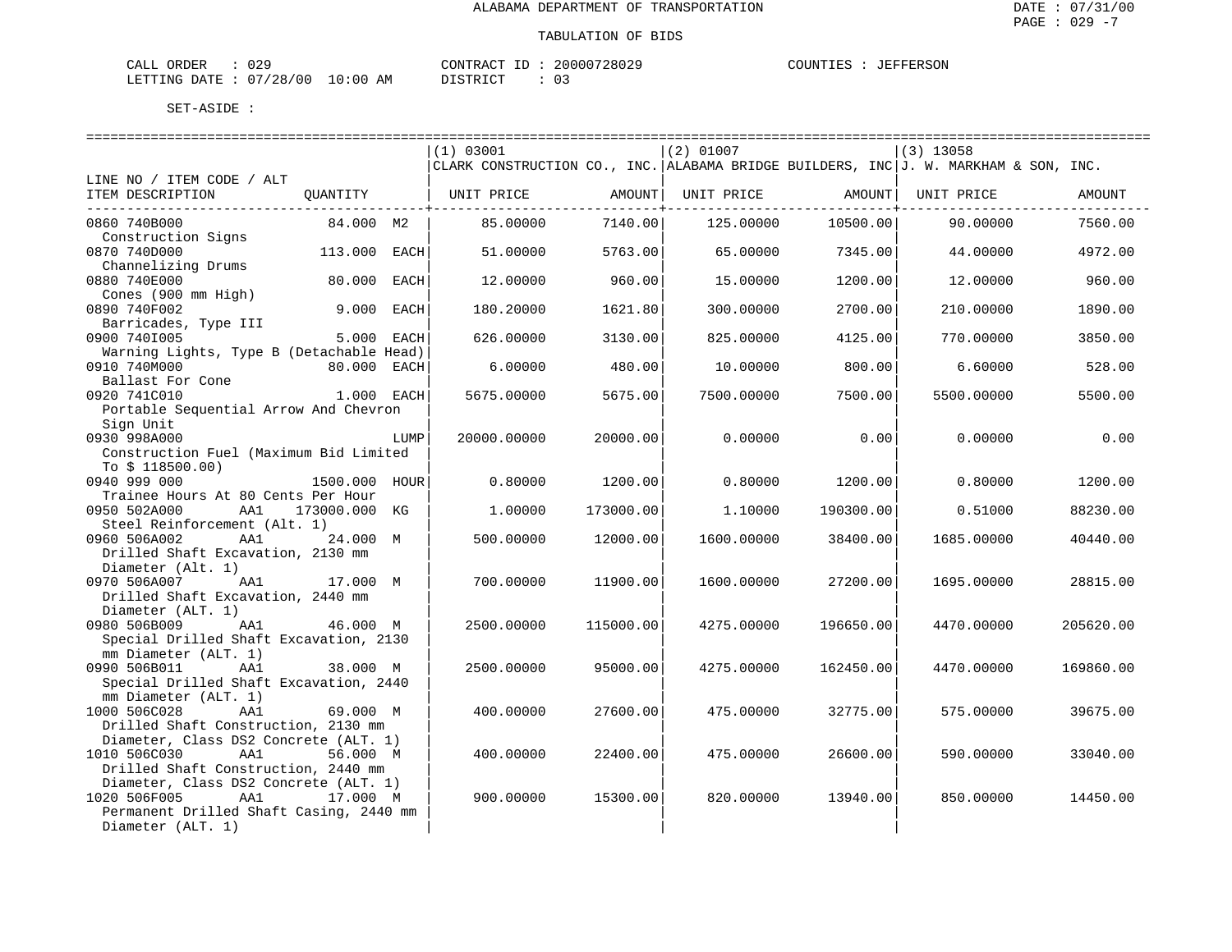| CALI<br>ORDER   | 029                               |             | ידים גם אידוגוסי       | 20000728029 | ANTINTI ES<br>FFERSON<br>. E. 2<br>1 H.H |
|-----------------|-----------------------------------|-------------|------------------------|-------------|------------------------------------------|
| LETTING<br>DATE | 07<br>100<br>/28,<br>$\mathbf{u}$ | 10:00<br>AM | ידי אידי אידי דרי<br>. | ັ           |                                          |

|                                          |               |            | (1) 03001                                                                           |           | $(2)$ 01007 |           | $(3)$ 13058 |           |
|------------------------------------------|---------------|------------|-------------------------------------------------------------------------------------|-----------|-------------|-----------|-------------|-----------|
|                                          |               |            | CLARK CONSTRUCTION CO., INC. ALABAMA BRIDGE BUILDERS, INC J. W. MARKHAM & SON, INC. |           |             |           |             |           |
| LINE NO / ITEM CODE / ALT                |               |            |                                                                                     |           |             |           |             |           |
| ITEM DESCRIPTION                         | QUANTITY      |            | UNIT PRICE                                                                          | AMOUNT    | UNIT PRICE  | AMOUNT    | UNIT PRICE  | AMOUNT    |
|                                          |               |            |                                                                                     |           |             |           |             |           |
| 0860 740B000                             | 84.000 M2     |            | 85.00000                                                                            | 7140.00   | 125.00000   | 10500.00  | 90.00000    | 7560.00   |
| Construction Signs                       |               |            |                                                                                     |           |             |           |             |           |
| 0870 740D000                             | 113.000 EACH  |            | 51.00000                                                                            | 5763.00   | 65,00000    | 7345.00   | 44.00000    | 4972.00   |
| Channelizing Drums                       |               |            |                                                                                     |           |             |           |             |           |
| 0880 740E000                             | 80.000        | EACH       | 12.00000                                                                            | 960.00    | 15.00000    | 1200.00   | 12.00000    | 960.00    |
| Cones (900 mm High)                      |               |            |                                                                                     |           |             |           |             |           |
| 0890 740F002                             | 9.000 EACH    |            | 180.20000                                                                           | 1621.80   | 300.00000   | 2700.00   | 210.00000   | 1890.00   |
| Barricades, Type III                     |               |            |                                                                                     |           |             |           |             |           |
| 0900 7401005                             |               | 5.000 EACH | 626.00000                                                                           | 3130.00   | 825.00000   | 4125.00   | 770.00000   | 3850.00   |
| Warning Lights, Type B (Detachable Head) |               |            |                                                                                     |           |             |           |             |           |
| 0910 740M000                             | 80.000 EACH   |            | 6.00000                                                                             | 480.00    | 10.00000    | 800.00    | 6.60000     | 528.00    |
| Ballast For Cone                         |               |            |                                                                                     |           |             |           |             |           |
| 0920 741C010                             | 1.000 EACH    |            | 5675.00000                                                                          | 5675.00   | 7500.00000  | 7500.00   | 5500.00000  | 5500.00   |
| Portable Sequential Arrow And Chevron    |               |            |                                                                                     |           |             |           |             |           |
| Sign Unit                                |               |            |                                                                                     |           |             |           |             |           |
| 0930 998A000                             |               | LUMP       | 20000.00000                                                                         | 20000.00  | 0.00000     | 0.00      | 0.00000     | 0.00      |
| Construction Fuel (Maximum Bid Limited   |               |            |                                                                                     |           |             |           |             |           |
| To $$118500.00)$                         |               |            |                                                                                     |           |             |           |             |           |
| 0940 999 000                             | 1500.000      | HOUR       | 0.80000                                                                             | 1200.00   | 0.80000     | 1200.00   | 0.80000     | 1200.00   |
| Trainee Hours At 80 Cents Per Hour       |               |            |                                                                                     |           |             |           |             |           |
| 0950 502A000<br>AA1                      | 173000.000 KG |            | 1,00000                                                                             | 173000.00 | 1,10000     | 190300.00 | 0.51000     | 88230.00  |
| Steel Reinforcement (Alt. 1)             |               |            |                                                                                     |           |             |           |             |           |
| 0960 506A002<br>AA1                      | 24.000 M      |            | 500.00000                                                                           | 12000.00  | 1600.00000  | 38400.00  | 1685.00000  | 40440.00  |
| Drilled Shaft Excavation, 2130 mm        |               |            |                                                                                     |           |             |           |             |           |
| Diameter (Alt. 1)                        |               |            |                                                                                     |           |             |           |             |           |
| 0970 506A007<br>AA1                      | 17.000 M      |            | 700.00000                                                                           | 11900.00  | 1600.00000  | 27200.00  | 1695.00000  | 28815.00  |
| Drilled Shaft Excavation, 2440 mm        |               |            |                                                                                     |           |             |           |             |           |
| Diameter (ALT. 1)                        |               |            |                                                                                     |           |             |           |             |           |
| 0980 506B009<br>AA1                      | 46.000 M      |            | 2500.00000                                                                          | 115000.00 | 4275.00000  | 196650.00 | 4470.00000  | 205620.00 |
| Special Drilled Shaft Excavation, 2130   |               |            |                                                                                     |           |             |           |             |           |
| mm Diameter (ALT. 1)                     |               |            |                                                                                     |           |             |           |             |           |
| 0990 506B011<br>AA1                      | 38.000 M      |            | 2500.00000                                                                          | 95000.00  | 4275.00000  | 162450.00 | 4470.00000  | 169860.00 |
| Special Drilled Shaft Excavation, 2440   |               |            |                                                                                     |           |             |           |             |           |
| mm Diameter (ALT. 1)                     |               |            |                                                                                     |           |             |           |             |           |
| 1000 506C028<br>AA1                      | 69.000 M      |            | 400.00000                                                                           | 27600.00  | 475.00000   | 32775.00  | 575.00000   | 39675.00  |
| Drilled Shaft Construction, 2130 mm      |               |            |                                                                                     |           |             |           |             |           |
| Diameter, Class DS2 Concrete (ALT. 1)    |               |            |                                                                                     |           |             |           |             |           |
| 1010 506C030<br>AA1                      | 56.000 M      |            | 400.00000                                                                           | 22400.00  | 475.00000   | 26600.00  | 590.00000   | 33040.00  |
| Drilled Shaft Construction, 2440 mm      |               |            |                                                                                     |           |             |           |             |           |
| Diameter, Class DS2 Concrete (ALT. 1)    |               |            |                                                                                     |           |             |           |             |           |
| 1020 506F005<br>AA1                      | 17.000 M      |            | 900.00000                                                                           | 15300.00  | 820,00000   | 13940.00  | 850.00000   | 14450.00  |
| Permanent Drilled Shaft Casing, 2440 mm  |               |            |                                                                                     |           |             |           |             |           |
| Diameter (ALT. 1)                        |               |            |                                                                                     |           |             |           |             |           |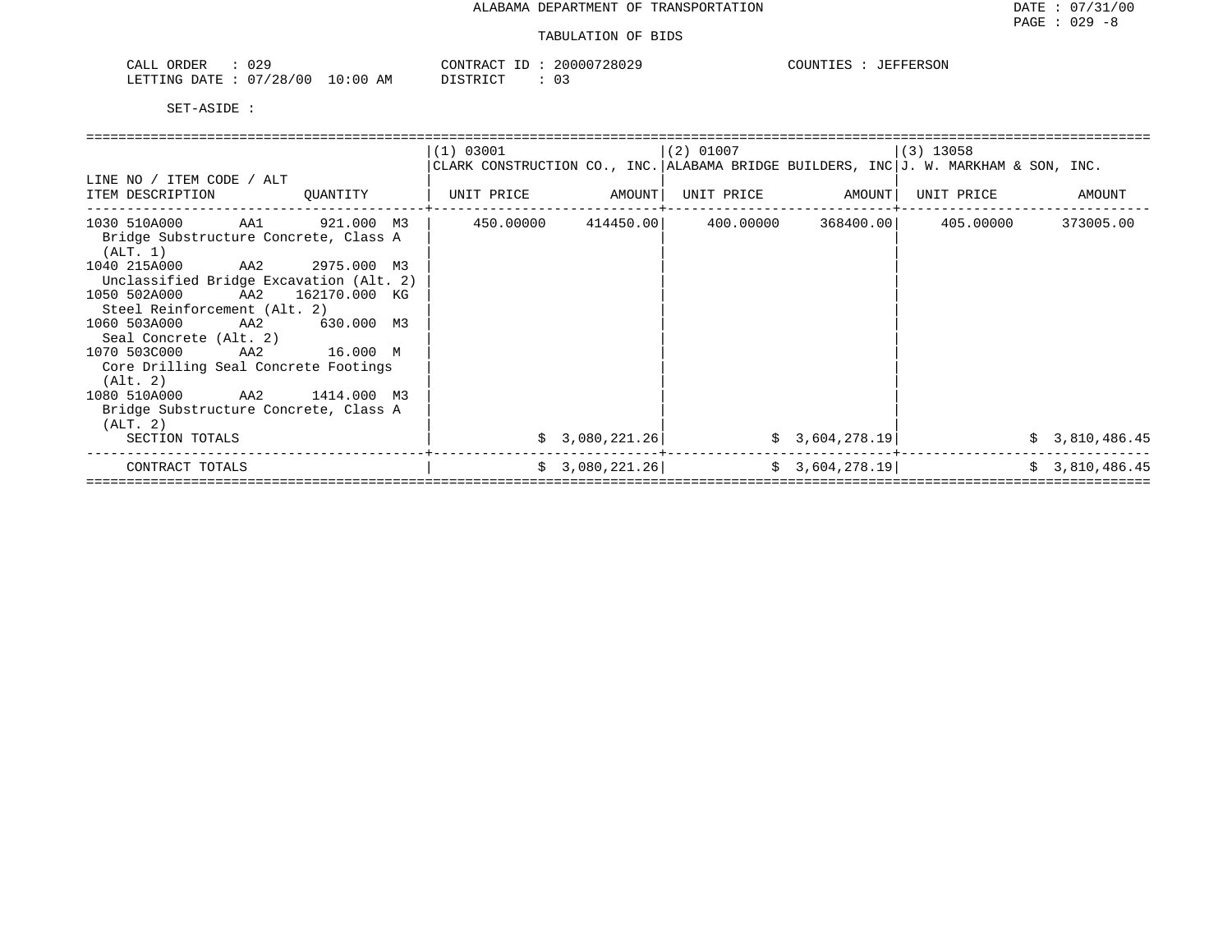## TABULATION OF BIDS

| CALI<br>ORDER   | 029               |             | ידים גם אידוגוסי       | 20000728029 | ANTINTI ES<br>FFERSON<br>. E. 2<br>1 H.H |
|-----------------|-------------------|-------------|------------------------|-------------|------------------------------------------|
| LETTING<br>DATE | 07<br>100<br>/28, | 10:00<br>AM | ידי אידי אידי דרי<br>. | ັ           |                                          |

|                                                                                           |          | (1) 03001                                                                           |                 | $(2)$ 01007 |                 | $(3)$ 13058                           |                                  |
|-------------------------------------------------------------------------------------------|----------|-------------------------------------------------------------------------------------|-----------------|-------------|-----------------|---------------------------------------|----------------------------------|
|                                                                                           |          | CLARK CONSTRUCTION CO., INC. ALABAMA BRIDGE BUILDERS, INC J. W. MARKHAM & SON, INC. |                 |             |                 |                                       |                                  |
| LINE NO / ITEM CODE / ALT                                                                 |          |                                                                                     |                 |             |                 |                                       |                                  |
| ITEM DESCRIPTION                                                                          | QUANTITY | UNIT PRICE AMOUNT                                                                   |                 |             |                 | UNIT PRICE AMOUNT   UNIT PRICE AMOUNT |                                  |
| $1030$ 510A000 AA1 921.000 M3 450.00000 414450.00 400.00000 368400.00 405.00000 373005.00 |          |                                                                                     |                 |             |                 |                                       |                                  |
| Bridge Substructure Concrete, Class A<br>(ALT. 1)                                         |          |                                                                                     |                 |             |                 |                                       |                                  |
| 1040 215A000 AA2 2975.000 M3                                                              |          |                                                                                     |                 |             |                 |                                       |                                  |
| Unclassified Bridge Excavation (Alt. 2)                                                   |          |                                                                                     |                 |             |                 |                                       |                                  |
| 1050 502A000 AA2 162170.000 KG                                                            |          |                                                                                     |                 |             |                 |                                       |                                  |
| Steel Reinforcement (Alt. 2)                                                              |          |                                                                                     |                 |             |                 |                                       |                                  |
| 1060 503A000 AA2 630.000 M3                                                               |          |                                                                                     |                 |             |                 |                                       |                                  |
| Seal Concrete (Alt. 2)                                                                    |          |                                                                                     |                 |             |                 |                                       |                                  |
| 1070 503C000 AA2 16.000 M                                                                 |          |                                                                                     |                 |             |                 |                                       |                                  |
| Core Drilling Seal Concrete Footings                                                      |          |                                                                                     |                 |             |                 |                                       |                                  |
| (Alt. 2)                                                                                  |          |                                                                                     |                 |             |                 |                                       |                                  |
|                                                                                           |          |                                                                                     |                 |             |                 |                                       |                                  |
| Bridge Substructure Concrete, Class A                                                     |          |                                                                                     |                 |             |                 |                                       |                                  |
| (ALT. 2)                                                                                  |          |                                                                                     |                 |             |                 |                                       |                                  |
| SECTION TOTALS                                                                            |          |                                                                                     | \$3,080,221.26] |             | \$3,604,278.19] |                                       |                                  |
| CONTRACT TOTALS                                                                           |          |                                                                                     | \$3,080,221.26] |             | \$3,604,278.19] |                                       |                                  |
| 1080 510A000 AA2 1414.000 M3                                                              |          |                                                                                     |                 |             |                 |                                       | \$3,810,486.45<br>\$3,810,486.45 |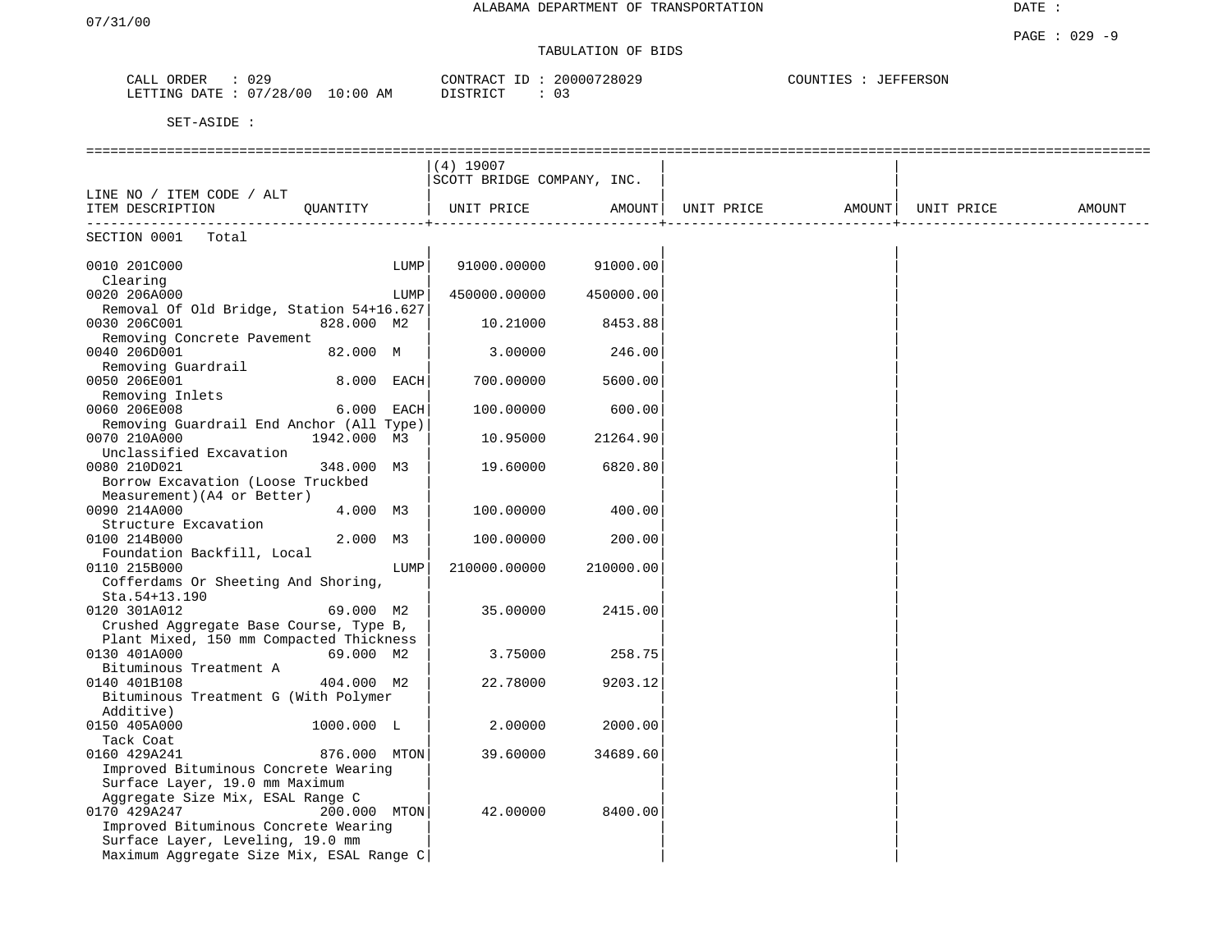## TABULATION OF BIDS

| ORDER<br>CALL  | 029        |            | CONTRACT ID: | 20000728029 | COUNTIES :<br>JEFFERSON |
|----------------|------------|------------|--------------|-------------|-------------------------|
| LETTING DATE : | : 07/28/00 | $10:00$ AM | DISTRICT     | 03          |                         |

|                                                                                                                                                                          |              |      | $(4)$ 19007                |           |            |        |            |        |
|--------------------------------------------------------------------------------------------------------------------------------------------------------------------------|--------------|------|----------------------------|-----------|------------|--------|------------|--------|
|                                                                                                                                                                          |              |      | SCOTT BRIDGE COMPANY, INC. |           |            |        |            |        |
| LINE NO / ITEM CODE / ALT                                                                                                                                                |              |      |                            |           |            |        |            |        |
| ITEM DESCRIPTION                                                                                                                                                         | QUANTITY     |      | UNIT PRICE                 | AMOUNT    | UNIT PRICE | AMOUNT | UNIT PRICE | AMOUNT |
| SECTION 0001<br>Total                                                                                                                                                    |              |      |                            |           |            |        |            |        |
| 0010 201C000<br>Clearing                                                                                                                                                 |              | LUMP | 91000.00000                | 91000.00  |            |        |            |        |
| 0020 206A000<br>Removal Of Old Bridge, Station 54+16.627                                                                                                                 |              | LUMP | 450000.00000               | 450000.00 |            |        |            |        |
| 0030 206C001                                                                                                                                                             | 828.000 M2   |      | 10.21000                   | 8453.88   |            |        |            |        |
| Removing Concrete Pavement<br>0040 206D001                                                                                                                               | 82.000 M     |      | 3.00000                    | 246.00    |            |        |            |        |
| Removing Guardrail<br>0050 206E001                                                                                                                                       | 8.000 EACH   |      | 700.00000                  | 5600.00   |            |        |            |        |
| Removing Inlets<br>0060 206E008                                                                                                                                          | 6.000 EACH   |      | 100.00000                  | 600.00    |            |        |            |        |
| Removing Guardrail End Anchor (All Type)<br>0070 210A000                                                                                                                 | 1942.000 M3  |      | 10.95000                   | 21264.90  |            |        |            |        |
| Unclassified Excavation<br>0080 210D021<br>Borrow Excavation (Loose Truckbed                                                                                             | 348.000 M3   |      | 19.60000                   | 6820.80   |            |        |            |        |
| Measurement) (A4 or Better)<br>0090 214A000                                                                                                                              | 4.000 M3     |      | 100.00000                  | 400.00    |            |        |            |        |
| Structure Excavation<br>0100 214B000                                                                                                                                     | 2.000 M3     |      | 100.00000                  | 200.00    |            |        |            |        |
| Foundation Backfill, Local<br>0110 215B000<br>Cofferdams Or Sheeting And Shoring,                                                                                        |              | LUMP | 210000.00000               | 210000.00 |            |        |            |        |
| Sta.54+13.190<br>0120 301A012                                                                                                                                            | 69.000 M2    |      | 35.00000                   | 2415.00   |            |        |            |        |
| Crushed Aggregate Base Course, Type B,<br>Plant Mixed, 150 mm Compacted Thickness                                                                                        |              |      |                            |           |            |        |            |        |
| 0130 401A000<br>Bituminous Treatment A                                                                                                                                   | 69.000 M2    |      | 3.75000                    | 258.75    |            |        |            |        |
| 0140 401B108<br>Bituminous Treatment G (With Polymer<br>Additive)                                                                                                        | 404.000 M2   |      | 22.78000                   | 9203.12   |            |        |            |        |
| 0150 405A000<br>Tack Coat                                                                                                                                                | 1000.000 L   |      | 2,00000                    | 2000.00   |            |        |            |        |
| 0160 429A241<br>Improved Bituminous Concrete Wearing<br>Surface Layer, 19.0 mm Maximum                                                                                   | 876.000 MTON |      | 39.60000                   | 34689.60  |            |        |            |        |
| Aggregate Size Mix, ESAL Range C<br>0170 429A247<br>Improved Bituminous Concrete Wearing<br>Surface Layer, Leveling, 19.0 mm<br>Maximum Aggregate Size Mix, ESAL Range C | 200.000 MTON |      | 42.00000                   | 8400.00   |            |        |            |        |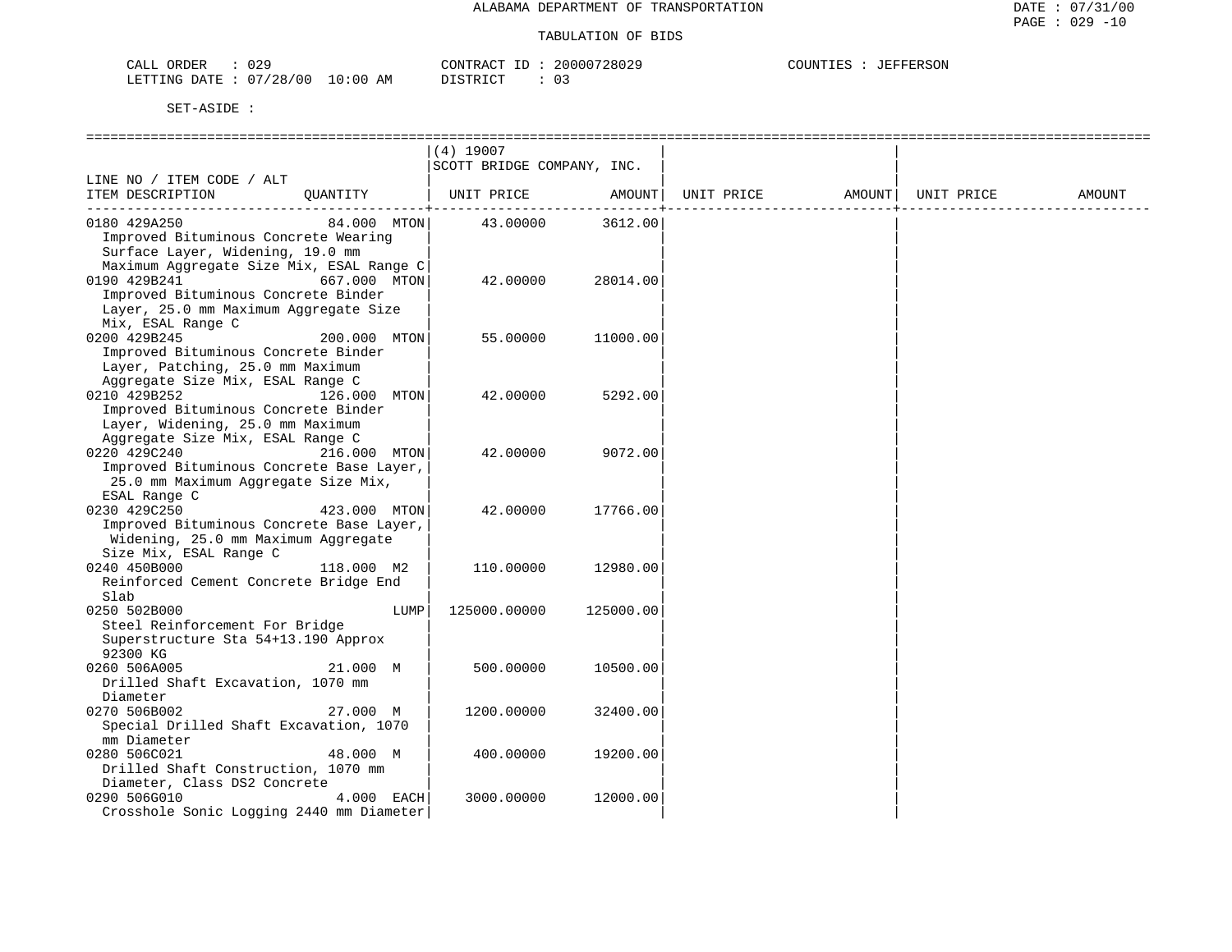| CALL ORDER                      | 029 |  | CONTRACT ID: 20000728029 |  |  | COUNTIES : JEFFERSON |
|---------------------------------|-----|--|--------------------------|--|--|----------------------|
| LETTING DATE: 07/28/00 10:00 AM |     |  | DISTRICT                 |  |  |                      |

|                                                                                 |              | $(4)$ 19007                |           |            |        |            |        |
|---------------------------------------------------------------------------------|--------------|----------------------------|-----------|------------|--------|------------|--------|
|                                                                                 |              | SCOTT BRIDGE COMPANY, INC. |           |            |        |            |        |
| LINE NO / ITEM CODE / ALT<br>ITEM DESCRIPTION                                   | OUANTITY     | UNIT PRICE                 | AMOUNT    | UNIT PRICE | AMOUNT | UNIT PRICE | AMOUNT |
|                                                                                 |              |                            |           |            |        |            |        |
| 0180 429A250                                                                    | 84.000 MTON  | 43.00000                   | 3612.00   |            |        |            |        |
| Improved Bituminous Concrete Wearing                                            |              |                            |           |            |        |            |        |
| Surface Layer, Widening, 19.0 mm                                                |              |                            |           |            |        |            |        |
| Maximum Aggregate Size Mix, ESAL Range C                                        |              |                            |           |            |        |            |        |
| 0190 429B241                                                                    | 667.000 MTON | 42.00000                   | 28014.00  |            |        |            |        |
| Improved Bituminous Concrete Binder                                             |              |                            |           |            |        |            |        |
| Layer, 25.0 mm Maximum Aggregate Size<br>Mix, ESAL Range C                      |              |                            |           |            |        |            |        |
| 0200 429B245                                                                    | 200.000 MTON | 55.00000                   | 11000.00  |            |        |            |        |
| Improved Bituminous Concrete Binder                                             |              |                            |           |            |        |            |        |
| Layer, Patching, 25.0 mm Maximum                                                |              |                            |           |            |        |            |        |
| Aggregate Size Mix, ESAL Range C                                                |              |                            |           |            |        |            |        |
| 0210 429B252                                                                    | 126.000 MTON | 42.00000                   | 5292.00   |            |        |            |        |
| Improved Bituminous Concrete Binder                                             |              |                            |           |            |        |            |        |
| Layer, Widening, 25.0 mm Maximum                                                |              |                            |           |            |        |            |        |
| Aggregate Size Mix, ESAL Range C                                                |              |                            |           |            |        |            |        |
| 0220 429C240                                                                    | 216.000 MTON | 42.00000                   | 9072.00   |            |        |            |        |
| Improved Bituminous Concrete Base Layer,<br>25.0 mm Maximum Aggregate Size Mix, |              |                            |           |            |        |            |        |
| ESAL Range C                                                                    |              |                            |           |            |        |            |        |
| 0230 429C250                                                                    | 423.000 MTON | 42.00000                   | 17766.00  |            |        |            |        |
| Improved Bituminous Concrete Base Layer,                                        |              |                            |           |            |        |            |        |
| Widening, 25.0 mm Maximum Aggregate                                             |              |                            |           |            |        |            |        |
| Size Mix, ESAL Range C                                                          |              |                            |           |            |        |            |        |
| 0240 450B000                                                                    | 118.000 M2   | 110.00000                  | 12980.00  |            |        |            |        |
| Reinforced Cement Concrete Bridge End                                           |              |                            |           |            |        |            |        |
| Slab<br>0250 502B000                                                            | LUMP         |                            | 125000.00 |            |        |            |        |
| Steel Reinforcement For Bridge                                                  |              | 125000.00000               |           |            |        |            |        |
| Superstructure Sta 54+13.190 Approx                                             |              |                            |           |            |        |            |        |
| 92300 KG                                                                        |              |                            |           |            |        |            |        |
| 0260 506A005                                                                    | 21.000 M     | 500.00000                  | 10500.00  |            |        |            |        |
| Drilled Shaft Excavation, 1070 mm                                               |              |                            |           |            |        |            |        |
| Diameter                                                                        |              |                            |           |            |        |            |        |
| 0270 506B002                                                                    | 27.000 M     | 1200.00000                 | 32400.00  |            |        |            |        |
| Special Drilled Shaft Excavation, 1070<br>mm Diameter                           |              |                            |           |            |        |            |        |
| 0280 506C021                                                                    | 48.000 M     | 400.00000                  | 19200.00  |            |        |            |        |
| Drilled Shaft Construction, 1070 mm                                             |              |                            |           |            |        |            |        |
| Diameter, Class DS2 Concrete                                                    |              |                            |           |            |        |            |        |
| 0290 506G010                                                                    | 4.000 EACH   | 3000.00000                 | 12000.00  |            |        |            |        |
| Crosshole Sonic Logging 2440 mm Diameter                                        |              |                            |           |            |        |            |        |
|                                                                                 |              |                            |           |            |        |            |        |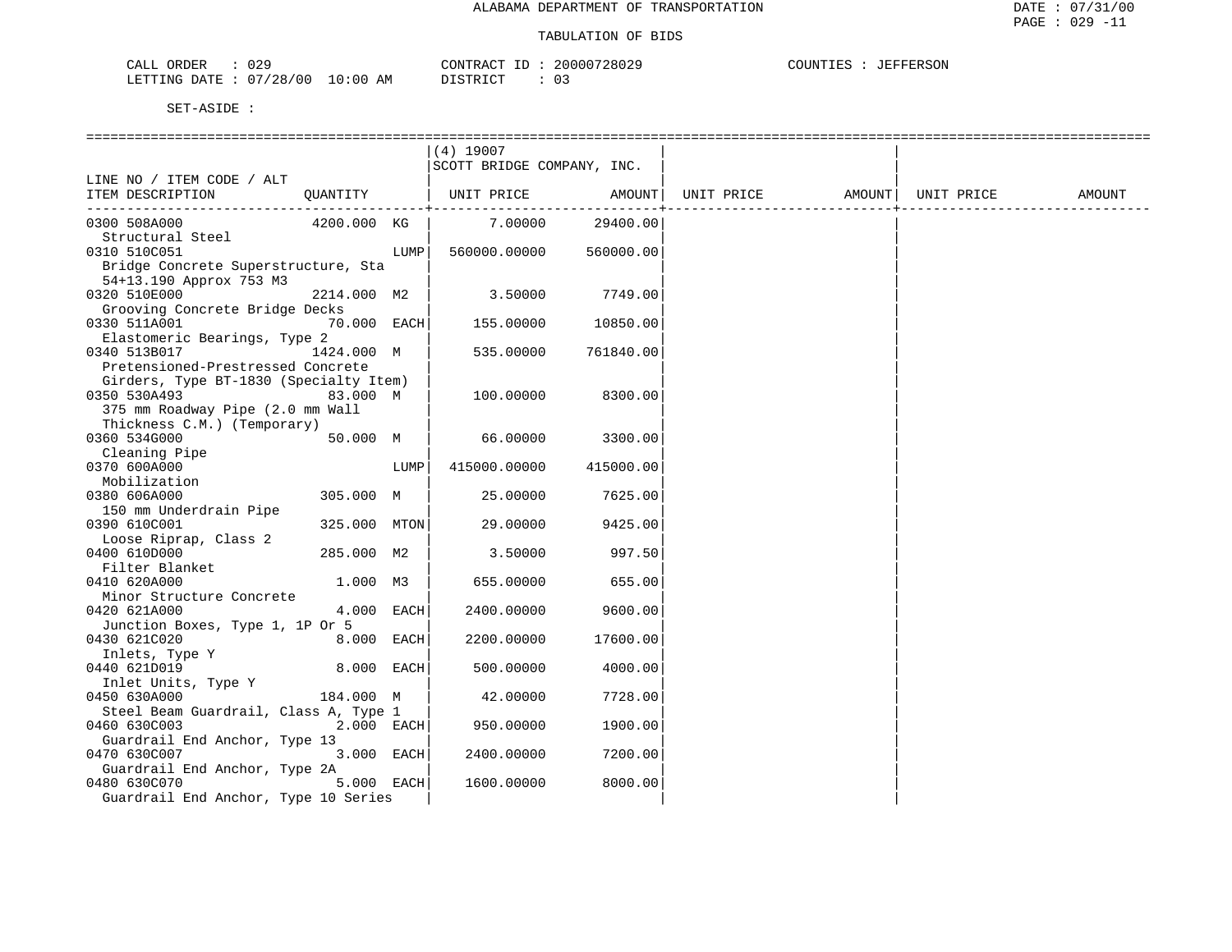| CALL ORDER                       |          | CONTRACT ID: 20000728029 | COUNTIES : JEFFERSON |
|----------------------------------|----------|--------------------------|----------------------|
| LETTING DATE : 07/28/00 10:00 AM | DISTRICT |                          |                      |

|                                        |              |      | $(4)$ 19007                |              |                   |            |        |
|----------------------------------------|--------------|------|----------------------------|--------------|-------------------|------------|--------|
|                                        |              |      | SCOTT BRIDGE COMPANY, INC. |              |                   |            |        |
| LINE NO / ITEM CODE / ALT              |              |      |                            |              |                   |            |        |
| ITEM DESCRIPTION                       | QUANTITY     |      | UNIT PRICE                 | AMOUNT       | UNIT PRICE AMOUNT | UNIT PRICE | AMOUNT |
|                                        |              |      |                            | -----------+ |                   |            |        |
| 0300 508A000                           | 4200.000 KG  |      | 7.00000                    | 29400.00     |                   |            |        |
| Structural Steel                       |              |      |                            |              |                   |            |        |
| 0310 510C051                           |              | LUMP | 560000.00000               | 560000.00    |                   |            |        |
| Bridge Concrete Superstructure, Sta    |              |      |                            |              |                   |            |        |
| 54+13.190 Approx 753 M3                |              |      |                            |              |                   |            |        |
| 0320 510E000                           | 2214.000 M2  |      | 3.50000                    | 7749.00      |                   |            |        |
| Grooving Concrete Bridge Decks         |              |      |                            |              |                   |            |        |
| 0330 511A001                           | 70.000 EACH  |      | 155.00000                  | 10850.00     |                   |            |        |
| Elastomeric Bearings, Type 2           |              |      |                            |              |                   |            |        |
| 0340 513B017                           | 1424.000 M   |      | 535.00000                  | 761840.00    |                   |            |        |
| Pretensioned-Prestressed Concrete      |              |      |                            |              |                   |            |        |
| Girders, Type BT-1830 (Specialty Item) |              |      |                            |              |                   |            |        |
| 0350 530A493                           | 83.000 M     |      | 100.00000                  | 8300.00      |                   |            |        |
|                                        |              |      |                            |              |                   |            |        |
| 375 mm Roadway Pipe (2.0 mm Wall       |              |      |                            |              |                   |            |        |
| Thickness C.M.) (Temporary)            |              |      |                            |              |                   |            |        |
| 0360 534G000                           | 50.000 M     |      | 66,00000                   | 3300.00      |                   |            |        |
| Cleaning Pipe                          |              |      |                            |              |                   |            |        |
| 0370 600A000                           |              | LUMP | 415000.00000               | 415000.00    |                   |            |        |
| Mobilization                           |              |      |                            |              |                   |            |        |
| 0380 606A000                           | 305.000 M    |      | 25.00000                   | 7625.00      |                   |            |        |
| 150 mm Underdrain Pipe                 |              |      |                            |              |                   |            |        |
| 0390 610C001                           | 325.000 MTON |      | 29,00000                   | 9425.00      |                   |            |        |
| Loose Riprap, Class 2                  |              |      |                            |              |                   |            |        |
| 0400 610D000                           | 285.000 M2   |      | 3.50000                    | 997.50       |                   |            |        |
| Filter Blanket                         |              |      |                            |              |                   |            |        |
| 0410 620A000                           | 1.000 M3     |      | 655.00000                  | 655.00       |                   |            |        |
| Minor Structure Concrete               |              |      |                            |              |                   |            |        |
| 0420 621A000                           | 4.000 EACH   |      | 2400.00000                 | 9600.00      |                   |            |        |
| Junction Boxes, Type 1, 1P Or 5        |              |      |                            |              |                   |            |        |
| 0430 621C020                           | 8.000 EACH   |      | 2200.00000                 | 17600.00     |                   |            |        |
| Inlets, Type Y                         |              |      |                            |              |                   |            |        |
| 0440 621D019                           | 8.000 EACH   |      | 500.00000                  | 4000.00      |                   |            |        |
| Inlet Units, Type Y                    |              |      |                            |              |                   |            |        |
| 0450 630A000                           | 184.000 M    |      | 42.00000                   | 7728.00      |                   |            |        |
| Steel Beam Guardrail, Class A, Type 1  |              |      |                            |              |                   |            |        |
| 0460 630C003                           | 2.000 EACH   |      | 950.00000                  | 1900.00      |                   |            |        |
| Guardrail End Anchor, Type 13          |              |      |                            |              |                   |            |        |
| 0470 630C007                           | 3.000 EACH   |      | 2400.00000                 | 7200.00      |                   |            |        |
| Guardrail End Anchor, Type 2A          |              |      |                            |              |                   |            |        |
| 0480 630C070                           | 5.000 EACH   |      | 1600.00000                 | 8000.00      |                   |            |        |
| Guardrail End Anchor, Type 10 Series   |              |      |                            |              |                   |            |        |
|                                        |              |      |                            |              |                   |            |        |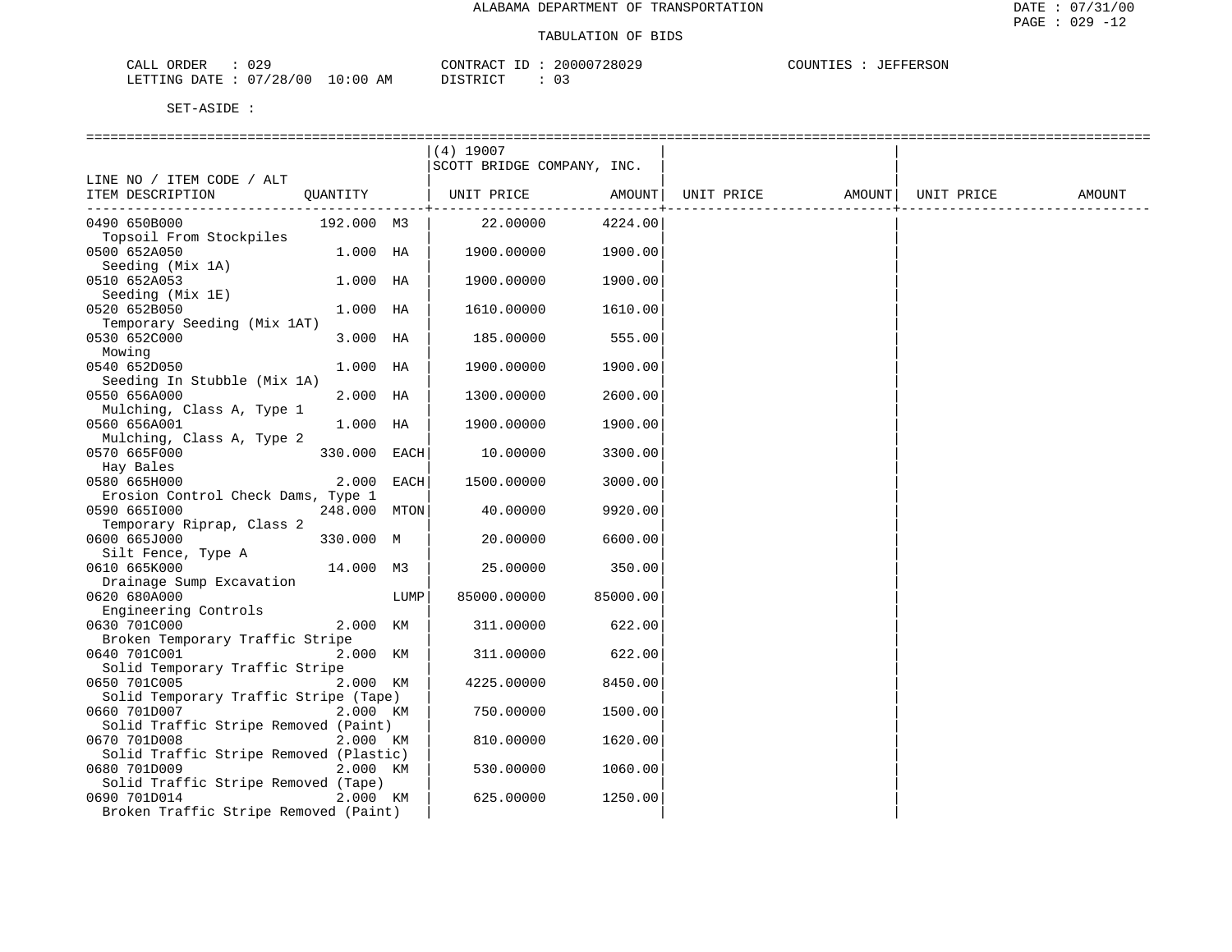| ാ വ<br>ORDER<br>لىلطات<br>U4-           |                    | CONTR<br>$\sim$<br>$\cdots$ | חמי<br>172802 | "ERSON<br>----<br>. TNT<br>.<br>- 130 |
|-----------------------------------------|--------------------|-----------------------------|---------------|---------------------------------------|
| ' 0 0<br>'28.<br><b>DATH</b><br>LETTING | :00<br>AМ<br>— ⊥ ∪ | $T \cap T$<br>סידי          |               |                                       |

|                                                      |              |      | $(4)$ 19007                |          |            |                    |        |
|------------------------------------------------------|--------------|------|----------------------------|----------|------------|--------------------|--------|
|                                                      |              |      | SCOTT BRIDGE COMPANY, INC. |          |            |                    |        |
| LINE NO / ITEM CODE / ALT                            |              |      |                            |          |            |                    |        |
| ITEM DESCRIPTION                                     |              |      | QUANTITY   UNIT PRICE      | AMOUNT   | UNIT PRICE | AMOUNT  UNIT PRICE | AMOUNT |
| 0490 650B000                                         | 192.000 M3   |      | 22.00000                   | 4224.00  |            |                    |        |
| Topsoil From Stockpiles                              |              |      |                            |          |            |                    |        |
| 0500 652A050                                         | 1.000 HA     |      | 1900.00000                 | 1900.00  |            |                    |        |
| Seeding (Mix 1A)                                     |              |      |                            |          |            |                    |        |
| 0510 652A053                                         | $1.000$ HA   |      | 1900.00000                 | 1900.00  |            |                    |        |
| Seeding (Mix 1E)                                     |              |      |                            |          |            |                    |        |
| 0520 652B050                                         | $1.000$ HA   |      | 1610.00000                 | 1610.00  |            |                    |        |
| Temporary Seeding (Mix 1AT)<br>0530 652C000          | 3.000 HA     |      |                            | 555.00   |            |                    |        |
| Mowing                                               |              |      | 185.00000                  |          |            |                    |        |
| 0540 652D050                                         | 1.000 HA     |      | 1900.00000                 | 1900.00  |            |                    |        |
| Seeding In Stubble (Mix 1A)                          |              |      |                            |          |            |                    |        |
| 0550 656A000                                         | 2.000 HA     |      | 1300.00000                 | 2600.00  |            |                    |        |
| Mulching, Class A, Type 1                            |              |      |                            |          |            |                    |        |
| 0560 656A001                                         | 1.000 HA     |      | 1900.00000                 | 1900.00  |            |                    |        |
| Mulching, Class A, Type 2                            |              |      |                            |          |            |                    |        |
| 0570 665F000                                         | 330.000 EACH |      | 10.00000                   | 3300.00  |            |                    |        |
| Hay Bales<br>0580 665H000                            | 2.000 EACH   |      | 1500.00000                 | 3000.00  |            |                    |        |
| Erosion Control Check Dams, Type 1                   |              |      |                            |          |            |                    |        |
| 0590 6651000                                         | 248.000 MTON |      | 40.00000                   | 9920.00  |            |                    |        |
| Temporary Riprap, Class 2                            |              |      |                            |          |            |                    |        |
| 0600 665J000                                         | 330.000 M    |      | 20.00000                   | 6600.00  |            |                    |        |
| Silt Fence, Type A                                   |              |      |                            |          |            |                    |        |
| 0610 665K000                                         | 14.000 M3    |      | 25.00000                   | 350.00   |            |                    |        |
| Drainage Sump Excavation                             |              |      |                            |          |            |                    |        |
| 0620 680A000<br>Engineering Controls                 |              | LUMP | 85000.00000                | 85000.00 |            |                    |        |
| 0630 701C000                                         | 2.000 KM     |      | 311.00000                  | 622.00   |            |                    |        |
| Broken Temporary Traffic Stripe                      |              |      |                            |          |            |                    |        |
| 0640 701C001                                         | 2.000 KM     |      | 311.00000                  | 622.00   |            |                    |        |
| Solid Temporary Traffic Stripe                       |              |      |                            |          |            |                    |        |
| 0650 701C005                                         | 2.000 KM     |      | 4225.00000                 | 8450.00  |            |                    |        |
| Solid Temporary Traffic Stripe (Tape)                |              |      |                            |          |            |                    |        |
| 0660 701D007                                         | 2.000 KM     |      | 750.00000                  | 1500.00  |            |                    |        |
| Solid Traffic Stripe Removed (Paint)<br>0670 701D008 |              |      |                            |          |            |                    |        |
| Solid Traffic Stripe Removed (Plastic)               | 2.000 KM     |      | 810.00000                  | 1620.00  |            |                    |        |
| 0680 701D009                                         | 2.000 KM     |      | 530.00000                  | 1060.00  |            |                    |        |
| Solid Traffic Stripe Removed (Tape)                  |              |      |                            |          |            |                    |        |
| 0690 701D014                                         | 2.000 KM     |      | 625.00000                  | 1250.00  |            |                    |        |
| Broken Traffic Stripe Removed (Paint)                |              |      |                            |          |            |                    |        |
|                                                      |              |      |                            |          |            |                    |        |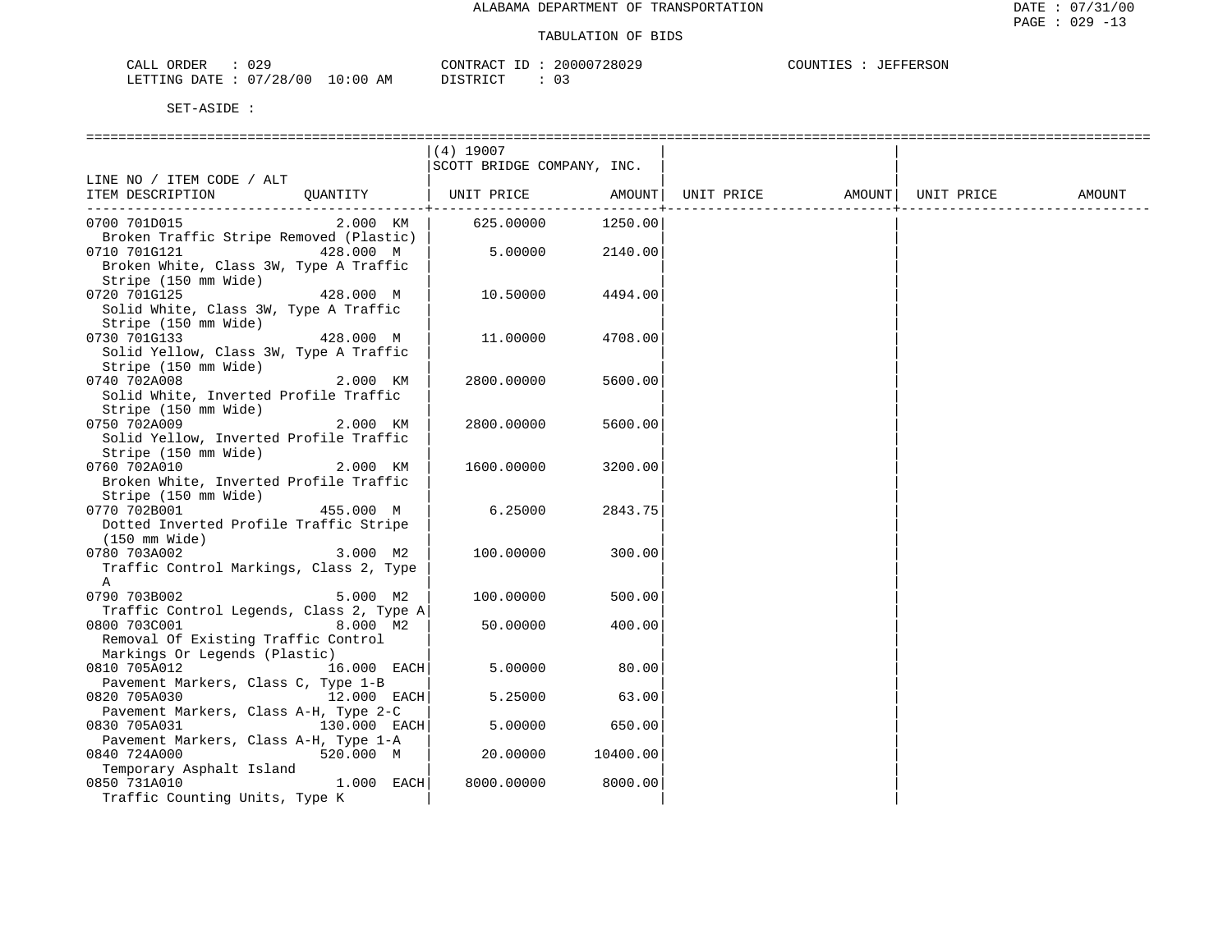| 029<br>CALL ORDER               | CONTRACT<br>' TD : | 20000728029 | JEFFERSON<br>COUNTIES |
|---------------------------------|--------------------|-------------|-----------------------|
| LETTING DATE: 07/28/00 10:00 AM | TSTRICT            |             |                       |

|                                                                                                            | $(4)$ 19007<br>SCOTT BRIDGE COMPANY, INC. |          |                   |            |        |
|------------------------------------------------------------------------------------------------------------|-------------------------------------------|----------|-------------------|------------|--------|
| LINE NO / ITEM CODE / ALT<br>ITEM DESCRIPTION<br>OUANTITY                                                  | UNIT PRICE                                | AMOUNT   | UNIT PRICE AMOUNT | UNIT PRICE | AMOUNT |
| 0700 701D015<br>2.000 KM<br>Broken Traffic Stripe Removed (Plastic)                                        | 625.00000                                 | 1250.00  |                   |            |        |
| 0710 701G121<br>428.000 M<br>Broken White, Class 3W, Type A Traffic<br>Stripe (150 mm Wide)                | 5.00000                                   | 2140.00  |                   |            |        |
| 0720 701G125<br>428.000 M<br>Solid White, Class 3W, Type A Traffic<br>Stripe (150 mm Wide)                 | 10.50000                                  | 4494.00  |                   |            |        |
| 0730 701G133<br>428.000 M<br>Solid Yellow, Class 3W, Type A Traffic<br>Stripe (150 mm Wide)                | 11,00000                                  | 4708.00  |                   |            |        |
| 0740 702A008<br>2.000 KM<br>Solid White, Inverted Profile Traffic<br>Stripe (150 mm Wide)                  | 2800.00000                                | 5600.00  |                   |            |        |
| 0750 702A009<br>2.000 KM<br>Solid Yellow, Inverted Profile Traffic<br>Stripe (150 mm Wide)                 | 2800.00000                                | 5600.00  |                   |            |        |
| 0760 702A010<br>2.000 KM<br>Broken White, Inverted Profile Traffic<br>Stripe (150 mm Wide)                 | 1600.00000                                | 3200.00  |                   |            |        |
| 455.000 M<br>0770 702B001<br>Dotted Inverted Profile Traffic Stripe<br>$(150 \, \text{mm} \, \text{Wide})$ | 6.25000                                   | 2843.75  |                   |            |        |
| 0780 703A002<br>3.000 M2<br>Traffic Control Markings, Class 2, Type<br>Α                                   | 100.00000                                 | 300.00   |                   |            |        |
| 0790 703B002<br>5.000 M2<br>Traffic Control Legends, Class 2, Type A                                       | 100.00000                                 | 500.00   |                   |            |        |
| 0800 703C001<br>8.000 M2<br>Removal Of Existing Traffic Control<br>Markings Or Legends (Plastic)           | 50.00000                                  | 400.00   |                   |            |        |
| 0810 705A012<br>16.000 EACH<br>Pavement Markers, Class C, Type 1-B                                         | 5.00000                                   | 80.00    |                   |            |        |
| 0820 705A030<br>12.000 EACH<br>Pavement Markers, Class A-H, Type 2-C                                       | 5.25000                                   | 63.00    |                   |            |        |
| 0830 705A031<br>130.000 EACH                                                                               | 5.00000                                   | 650.00   |                   |            |        |
| Pavement Markers, Class A-H, Type 1-A<br>0840 724A000<br>520.000 M                                         | 20.00000                                  | 10400.00 |                   |            |        |
| Temporary Asphalt Island<br>1.000 EACH<br>0850 731A010<br>Traffic Counting Units, Type K                   | 8000.00000                                | 8000.00  |                   |            |        |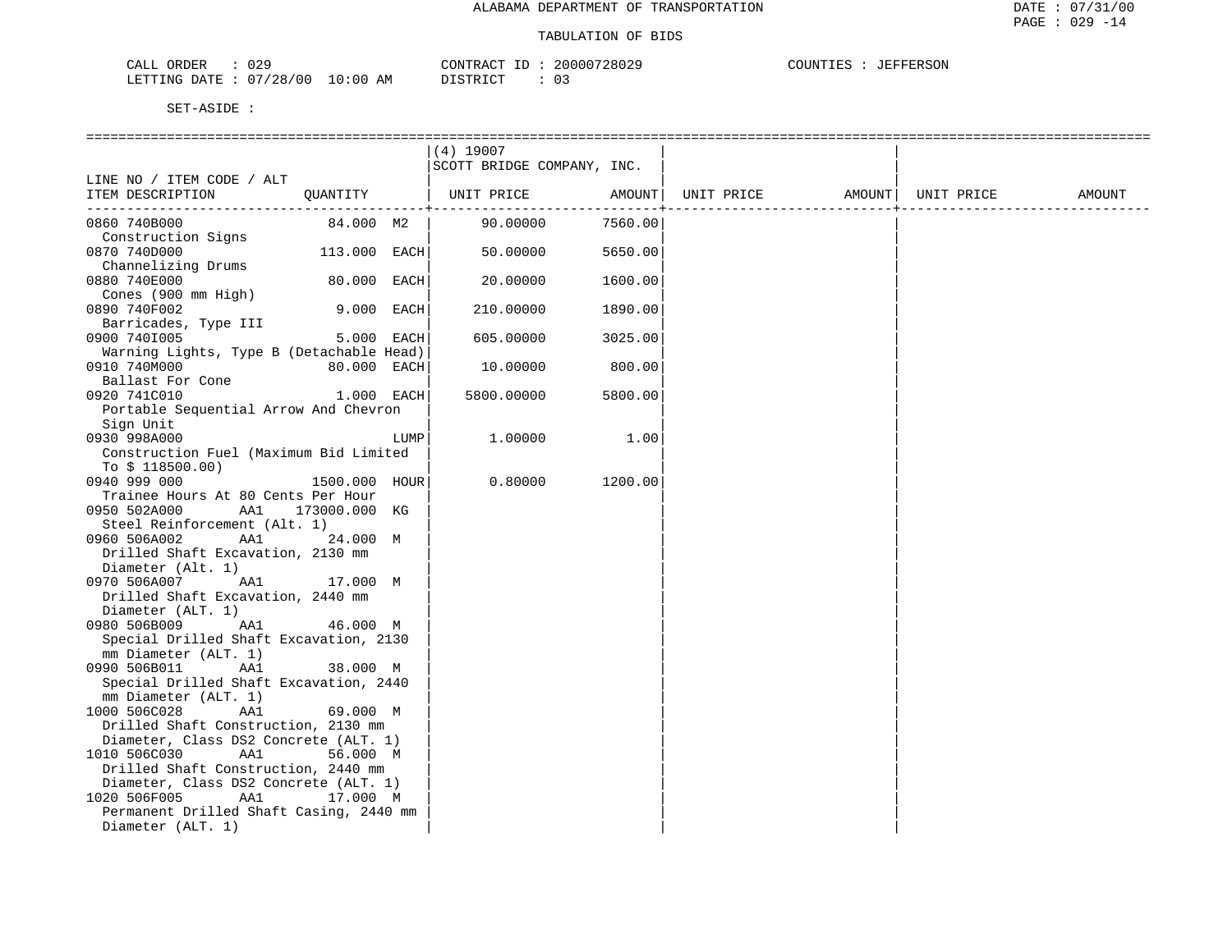| ORDER<br>ىلىل<br>U 43                                 |                                        | $- -$<br>ONTR. | 28029<br>20000 | COUNTIES<br>FERSON<br>. שפתתים ביד |
|-------------------------------------------------------|----------------------------------------|----------------|----------------|------------------------------------|
| . $/$ n r<br>128<br>מתדחים<br>חיד ∆ר.<br>. H.<br>ں ہے | АM<br>$\cup$<br>$(10^{-1})$<br>$\cdot$ | amp.           |                |                                    |

|                                                          |                   |            | (4) 19007                  |         |            |                    |        |
|----------------------------------------------------------|-------------------|------------|----------------------------|---------|------------|--------------------|--------|
|                                                          |                   |            | SCOTT BRIDGE COMPANY, INC. |         |            |                    |        |
| LINE NO / ITEM CODE / ALT<br>ITEM DESCRIPTION            | QUANTITY          |            | UNIT PRICE                 | AMOUNT  | UNIT PRICE | AMOUNT  UNIT PRICE | AMOUNT |
|                                                          |                   |            |                            |         |            |                    |        |
| 0860 740B000                                             | 84.000 M2         |            | 90.00000                   | 7560.00 |            |                    |        |
| Construction Signs                                       |                   |            |                            |         |            |                    |        |
| 0870 740D000                                             | 113.000 EACH      |            | 50.00000                   | 5650.00 |            |                    |        |
| Channelizing Drums                                       |                   |            |                            |         |            |                    |        |
| 0880 740E000                                             | 80.000 EACH       |            | 20.00000                   | 1600.00 |            |                    |        |
| Cones (900 mm High)                                      | 9.000 EACH        |            |                            |         |            |                    |        |
| 0890 740F002                                             |                   |            | 210.00000                  | 1890.00 |            |                    |        |
| Barricades, Type III                                     |                   | 5.000 EACH |                            |         |            |                    |        |
| 0900 7401005                                             |                   |            | 605.00000                  | 3025.00 |            |                    |        |
| Warning Lights, Type B (Detachable Head)<br>0910 740M000 | 80.000 EACH       |            | 10.00000                   | 800.00  |            |                    |        |
| Ballast For Cone                                         |                   |            |                            |         |            |                    |        |
| 0920 741C010                                             | 1.000 EACH        |            | 5800.00000                 | 5800.00 |            |                    |        |
| Portable Sequential Arrow And Chevron                    |                   |            |                            |         |            |                    |        |
| Sign Unit                                                |                   |            |                            |         |            |                    |        |
| 0930 998A000                                             |                   | LUMP       | 1,00000                    | 1.00    |            |                    |        |
| Construction Fuel (Maximum Bid Limited                   |                   |            |                            |         |            |                    |        |
| To $$118500.00)$                                         |                   |            |                            |         |            |                    |        |
| 0940 999 000                                             | 1500.000 HOUR     |            | 0.80000                    | 1200.00 |            |                    |        |
| Trainee Hours At 80 Cents Per Hour                       |                   |            |                            |         |            |                    |        |
| 0950 502A000                                             | AA1 173000.000 KG |            |                            |         |            |                    |        |
| Steel Reinforcement (Alt. 1)                             |                   |            |                            |         |            |                    |        |
| 0960 506A002<br>AA1                                      | 24.000 M          |            |                            |         |            |                    |        |
| Drilled Shaft Excavation, 2130 mm                        |                   |            |                            |         |            |                    |        |
| Diameter (Alt. 1)                                        |                   |            |                            |         |            |                    |        |
| AA1<br>0970 506A007                                      | 17.000 M          |            |                            |         |            |                    |        |
| Drilled Shaft Excavation, 2440 mm                        |                   |            |                            |         |            |                    |        |
| Diameter (ALT. 1)                                        |                   |            |                            |         |            |                    |        |
| AA1<br>0980 506B009                                      | 46.000 M          |            |                            |         |            |                    |        |
| Special Drilled Shaft Excavation, 2130                   |                   |            |                            |         |            |                    |        |
| mm Diameter (ALT. 1)                                     |                   |            |                            |         |            |                    |        |
| AA1<br>0990 506B011                                      | 38.000 M          |            |                            |         |            |                    |        |
| Special Drilled Shaft Excavation, 2440                   |                   |            |                            |         |            |                    |        |
| mm Diameter (ALT. 1)                                     |                   |            |                            |         |            |                    |        |
| 1000 506C028<br>AA1                                      | 69.000 M          |            |                            |         |            |                    |        |
| Drilled Shaft Construction, 2130 mm                      |                   |            |                            |         |            |                    |        |
| Diameter, Class DS2 Concrete (ALT. 1)                    |                   |            |                            |         |            |                    |        |
| AA1<br>1010 506C030                                      | 56.000 M          |            |                            |         |            |                    |        |
| Drilled Shaft Construction, 2440 mm                      |                   |            |                            |         |            |                    |        |
| Diameter, Class DS2 Concrete (ALT. 1)                    |                   |            |                            |         |            |                    |        |
| AA1<br>1020 506F005                                      | 17.000 M          |            |                            |         |            |                    |        |
| Permanent Drilled Shaft Casing, 2440 mm                  |                   |            |                            |         |            |                    |        |
| Diameter (ALT. 1)                                        |                   |            |                            |         |            |                    |        |
|                                                          |                   |            |                            |         |            |                    |        |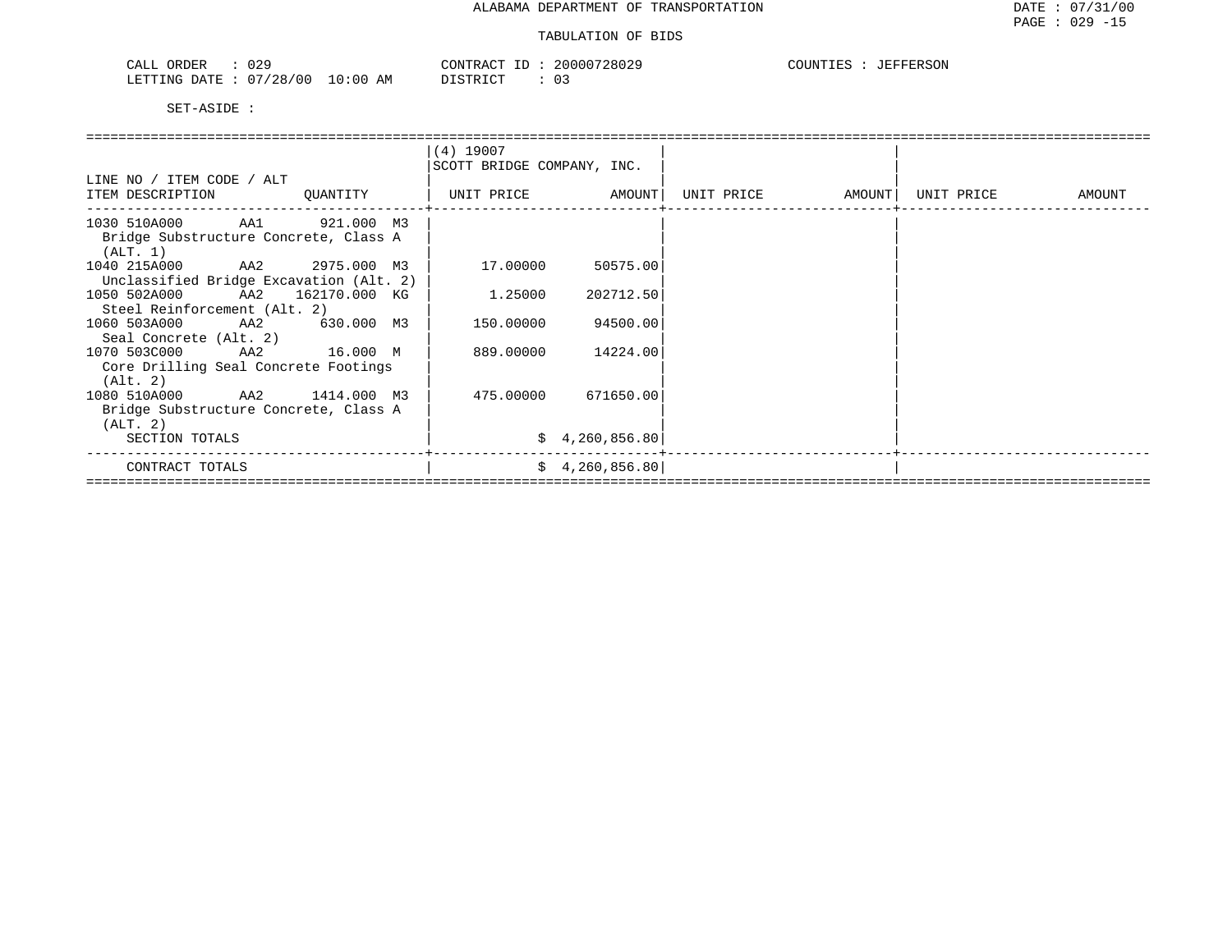| nnn<br>CAT<br>ORDER<br>U 42<br>ىلىمى                                                                    | CONTR<br>'R A (                     | 20000728029 | $\bigcap$ $\bigcap$ $\bigcap$<br>TEFFERSON<br>. |
|---------------------------------------------------------------------------------------------------------|-------------------------------------|-------------|-------------------------------------------------|
| /28/00<br><b>ETTING</b><br>$\cap$<br>D 7 TH<br>$\overline{A}$<br>$\cdots$<br>1111 1 1 1<br>$\mathbf{u}$ | :00<br>חים קידים דרו<br>ΆM<br>----- |             |                                                 |

|                                         |  |          | $(4)$ 19007<br>SCOTT BRIDGE COMPANY, INC. |                   |                     |                   |  |            |        |  |  |  |
|-----------------------------------------|--|----------|-------------------------------------------|-------------------|---------------------|-------------------|--|------------|--------|--|--|--|
| LINE NO / ITEM CODE / ALT               |  |          |                                           |                   |                     |                   |  |            |        |  |  |  |
| ITEM DESCRIPTION                        |  | QUANTITY |                                           | UNIT PRICE AMOUNT |                     | UNIT PRICE AMOUNT |  | UNIT PRICE | AMOUNT |  |  |  |
| 1030 510A000 AA1 921.000 M3             |  |          |                                           |                   |                     |                   |  |            |        |  |  |  |
| Bridge Substructure Concrete, Class A   |  |          |                                           |                   |                     |                   |  |            |        |  |  |  |
| (ALT. 1)                                |  |          |                                           |                   |                     |                   |  |            |        |  |  |  |
| 1040 215A000 AA2 2975.000 M3            |  |          |                                           | 17.00000          | 50575.00            |                   |  |            |        |  |  |  |
| Unclassified Bridge Excavation (Alt. 2) |  |          |                                           |                   |                     |                   |  |            |        |  |  |  |
| 1050 502A000 AA2 162170.000 KG          |  |          |                                           | 1.25000           | 202712.50           |                   |  |            |        |  |  |  |
| Steel Reinforcement (Alt. 2)            |  |          |                                           |                   |                     |                   |  |            |        |  |  |  |
| 1060 503A000 AA2 630.000 M3             |  |          |                                           | 150.00000         | 94500.00            |                   |  |            |        |  |  |  |
| Seal Concrete (Alt. 2)                  |  |          |                                           |                   |                     |                   |  |            |        |  |  |  |
| 1070 503C000 AA2 16.000 M               |  |          |                                           | 889.00000         | 14224.00            |                   |  |            |        |  |  |  |
| Core Drilling Seal Concrete Footings    |  |          |                                           |                   |                     |                   |  |            |        |  |  |  |
| (Alt. 2)                                |  |          |                                           |                   |                     |                   |  |            |        |  |  |  |
| 1080 510A000 AA2 1414.000 M3            |  |          |                                           |                   | 475.00000 671650.00 |                   |  |            |        |  |  |  |
| Bridge Substructure Concrete, Class A   |  |          |                                           |                   |                     |                   |  |            |        |  |  |  |
| (ALT. 2)                                |  |          |                                           |                   |                     |                   |  |            |        |  |  |  |
| SECTION TOTALS                          |  |          |                                           |                   | \$4,260,856.80      |                   |  |            |        |  |  |  |
| CONTRACT TOTALS                         |  |          |                                           |                   | \$4,260,856.80      |                   |  |            |        |  |  |  |
|                                         |  |          |                                           |                   |                     |                   |  |            |        |  |  |  |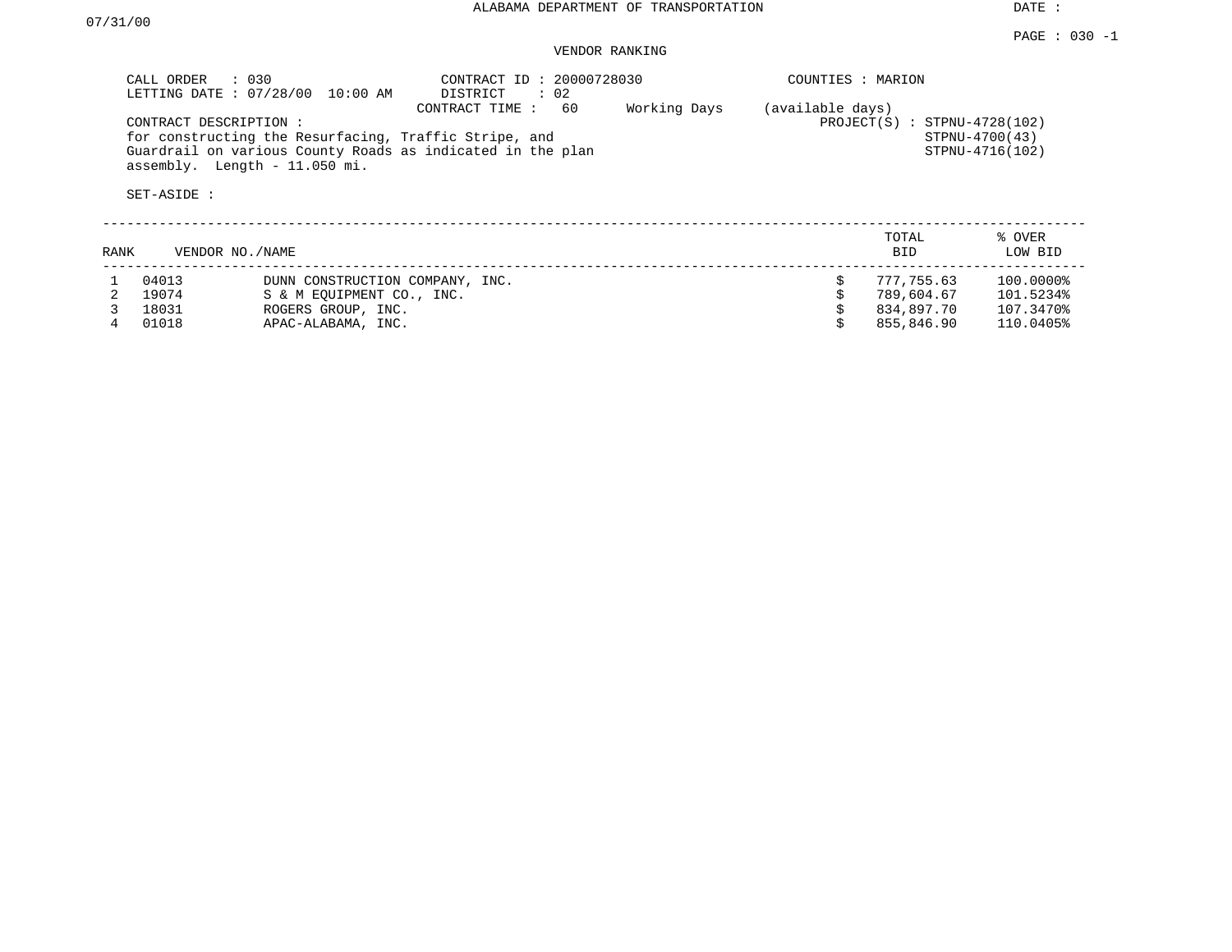DATE :

## VENDOR RANKING

|        | CALL ORDER : 030<br>CONTRACT DESCRIPTION: | LETTING DATE : 07/28/00 10:00 AM<br>for constructing the Resurfacing, Traffic Stripe, and                | CONTRACT ID: 20000728030<br>DISTRICT : 02<br>60<br>CONTRACT TIME : | Working Days | COUNTIES : MARION<br>(available days) | $PROJECT(S) : STPNU-4728(102)$                       | STPNU-4700(43)                                   |
|--------|-------------------------------------------|----------------------------------------------------------------------------------------------------------|--------------------------------------------------------------------|--------------|---------------------------------------|------------------------------------------------------|--------------------------------------------------|
|        | SET-ASIDE :                               | Guardrail on various County Roads as indicated in the plan<br>assembly. Length - 11.050 mi.              |                                                                    |              | STPNU-4716(102)                       |                                                      |                                                  |
| RANK   | VENDOR NO./NAME                           |                                                                                                          |                                                                    |              |                                       | TOTAL<br><b>BID</b>                                  | % OVER<br>LOW BID                                |
| 2<br>4 | 04013<br>19074<br>18031<br>01018          | DUNN CONSTRUCTION COMPANY, INC.<br>S & M EOUIPMENT CO., INC.<br>ROGERS GROUP, INC.<br>APAC-ALABAMA, INC. |                                                                    |              | \$                                    | 777,755.63<br>789,604.67<br>834,897.70<br>855,846.90 | 100.0000%<br>101.5234%<br>107.3470%<br>110.0405% |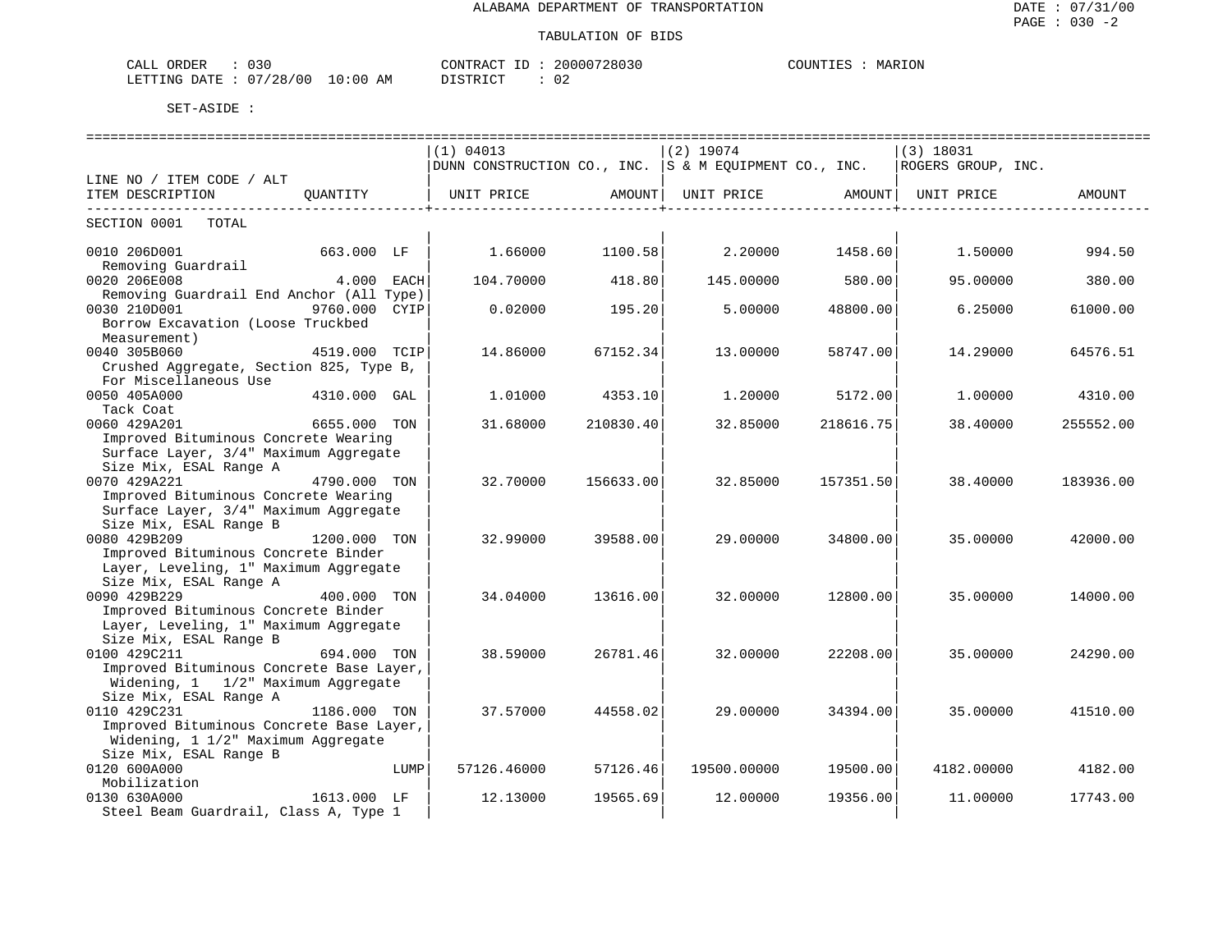| $\sim$ $\sim$ $\sim$<br>ORDER<br>CALL<br>03 C |            | CONTRACT ID | 20000728030 | MARION<br>COUNTIES |
|-----------------------------------------------|------------|-------------|-------------|--------------------|
| LETTING DATE: 07/28/00                        | $10:00$ AM | DISTRICT    | ◡∠          |                    |

|                                                                 |               |      | (1) 04013                                                              |           | $(2)$ 19074 |           | $(3)$ 18031        |           |  |  |
|-----------------------------------------------------------------|---------------|------|------------------------------------------------------------------------|-----------|-------------|-----------|--------------------|-----------|--|--|
|                                                                 |               |      | DUNN CONSTRUCTION CO., INC. $ S \& M$ EQUIPMENT CO., INC.              |           |             |           | ROGERS GROUP, INC. |           |  |  |
| LINE NO / ITEM CODE / ALT                                       |               |      |                                                                        |           |             |           |                    |           |  |  |
| ITEM DESCRIPTION                                                | OUANTITY      |      | UNIT PRICE                 AMOUNT    UNIT PRICE                 AMOUNT |           |             |           | UNIT PRICE         | AMOUNT    |  |  |
|                                                                 |               |      |                                                                        |           |             |           |                    |           |  |  |
| SECTION 0001 TOTAL                                              |               |      |                                                                        |           |             |           |                    |           |  |  |
|                                                                 |               |      |                                                                        |           |             |           |                    |           |  |  |
| 0010 206D001                                                    | 663.000 LF    |      | 1.66000                                                                | 1100.58   | 2,20000     | 1458.60   | 1,50000            | 994.50    |  |  |
| Removing Guardrail                                              |               |      |                                                                        |           |             |           |                    |           |  |  |
| 0020 206E008                                                    | 4.000 EACH    |      | 104.70000                                                              | 418.80    | 145.00000   | 580.00    | 95,00000           | 380.00    |  |  |
| Removing Guardrail End Anchor (All Type)                        |               |      |                                                                        |           |             |           |                    |           |  |  |
| 0030 210D001                                                    | 9760.000 CYIP |      | 0.02000                                                                | 195.20    | 5,00000     | 48800.00  | 6.25000            | 61000.00  |  |  |
| Borrow Excavation (Loose Truckbed                               |               |      |                                                                        |           |             |           |                    |           |  |  |
| Measurement)                                                    |               |      |                                                                        |           |             |           |                    |           |  |  |
| 0040 305B060                                                    | 4519.000 TCIP |      | 14.86000                                                               | 67152.34  | 13,00000    | 58747.00  | 14.29000           | 64576.51  |  |  |
| Crushed Aggregate, Section 825, Type B,                         |               |      |                                                                        |           |             |           |                    |           |  |  |
| For Miscellaneous Use                                           |               |      |                                                                        |           |             |           |                    |           |  |  |
| 0050 405A000                                                    | 4310.000 GAL  |      | 1,01000                                                                | 4353.10   | 1,20000     | 5172.00   | 1,00000            | 4310.00   |  |  |
| Tack Coat                                                       |               |      |                                                                        |           |             |           |                    |           |  |  |
| 0060 429A201                                                    | 6655.000 TON  |      | 31.68000                                                               | 210830.40 | 32.85000    | 218616.75 | 38.40000           | 255552.00 |  |  |
| Improved Bituminous Concrete Wearing                            |               |      |                                                                        |           |             |           |                    |           |  |  |
| Surface Layer, 3/4" Maximum Aggregate                           |               |      |                                                                        |           |             |           |                    |           |  |  |
| Size Mix, ESAL Range A                                          |               |      |                                                                        |           |             |           |                    |           |  |  |
| 0070 429A221                                                    | 4790.000 TON  |      | 32.70000                                                               | 156633.00 | 32.85000    | 157351.50 | 38,40000           | 183936.00 |  |  |
| Improved Bituminous Concrete Wearing                            |               |      |                                                                        |           |             |           |                    |           |  |  |
| Surface Layer, 3/4" Maximum Aggregate                           |               |      |                                                                        |           |             |           |                    |           |  |  |
| Size Mix, ESAL Range B                                          |               |      |                                                                        |           |             |           |                    |           |  |  |
| 0080 429B209                                                    | 1200.000 TON  |      | 32.99000                                                               | 39588.00  | 29,00000    | 34800.00  | 35,00000           | 42000.00  |  |  |
| Improved Bituminous Concrete Binder                             |               |      |                                                                        |           |             |           |                    |           |  |  |
| Layer, Leveling, 1" Maximum Aggregate                           |               |      |                                                                        |           |             |           |                    |           |  |  |
| Size Mix, ESAL Range A                                          |               |      |                                                                        |           |             |           |                    |           |  |  |
| 0090 429B229                                                    | 400.000 TON   |      | 34.04000                                                               | 13616.00  | 32.00000    | 12800.00  | 35,00000           | 14000.00  |  |  |
| Improved Bituminous Concrete Binder                             |               |      |                                                                        |           |             |           |                    |           |  |  |
|                                                                 |               |      |                                                                        |           |             |           |                    |           |  |  |
| Layer, Leveling, 1" Maximum Aggregate<br>Size Mix, ESAL Range B |               |      |                                                                        |           |             |           |                    |           |  |  |
| 0100 429C211                                                    | 694.000 TON   |      | 38.59000                                                               | 26781.46  | 32,00000    | 22208.00  | 35,00000           | 24290.00  |  |  |
| Improved Bituminous Concrete Base Layer,                        |               |      |                                                                        |           |             |           |                    |           |  |  |
| Widening, 1 1/2" Maximum Aggregate                              |               |      |                                                                        |           |             |           |                    |           |  |  |
| Size Mix, ESAL Range A                                          |               |      |                                                                        |           |             |           |                    |           |  |  |
| 0110 429C231                                                    | 1186.000 TON  |      | 37.57000                                                               | 44558.02  | 29.00000    | 34394.00  | 35,00000           | 41510.00  |  |  |
| Improved Bituminous Concrete Base Layer,                        |               |      |                                                                        |           |             |           |                    |           |  |  |
|                                                                 |               |      |                                                                        |           |             |           |                    |           |  |  |
| Widening, 1 1/2" Maximum Aggregate                              |               |      |                                                                        |           |             |           |                    |           |  |  |
| Size Mix, ESAL Range B                                          |               |      |                                                                        |           |             |           |                    |           |  |  |
| 0120 600A000                                                    |               | LUMP | 57126.46000                                                            | 57126.46  | 19500.00000 | 19500.00  | 4182.00000         | 4182.00   |  |  |
| Mobilization                                                    |               |      |                                                                        |           |             |           |                    |           |  |  |
| 0130 630A000                                                    | 1613.000 LF   |      | 12.13000                                                               | 19565.69  | 12.00000    | 19356.00  | 11.00000           | 17743.00  |  |  |
| Steel Beam Guardrail, Class A, Type 1                           |               |      |                                                                        |           |             |           |                    |           |  |  |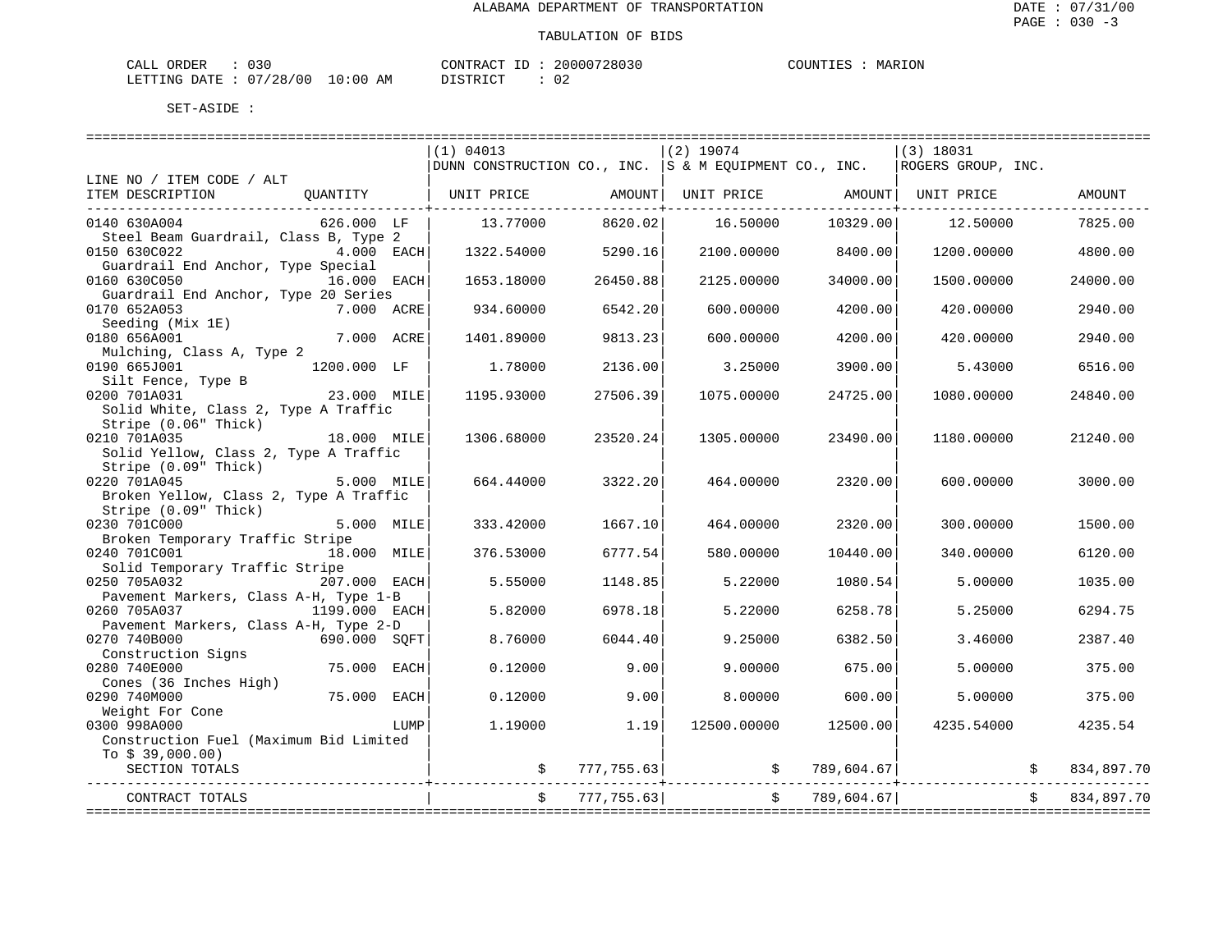| ORDER<br>CALL | ົ່<br>u Ju |             | CONTRACT<br>$\tau$ | 20000728030 | COUNTIES | MARION |
|---------------|------------|-------------|--------------------|-------------|----------|--------|
| LETTING DATE  | : 07/28/00 | 10:00<br>ΑM | DISTRICT           | 02          |          |        |

|                                                   |                    |      | (1) 04013                                                                |            | $(2)$ 19074         |                      | (3) 18031                    |            |
|---------------------------------------------------|--------------------|------|--------------------------------------------------------------------------|------------|---------------------|----------------------|------------------------------|------------|
|                                                   |                    |      | DUNN CONSTRUCTION CO., INC. S & M EQUIPMENT CO., INC. ROGERS GROUP, INC. |            |                     |                      |                              |            |
| LINE NO / ITEM CODE / ALT                         |                    |      |                                                                          |            |                     |                      |                              |            |
| ITEM DESCRIPTION                                  | OUANTITY           |      | UNIT PRICE AMOUNT                                                        |            |                     |                      | UNIT PRICE AMOUNT UNIT PRICE | AMOUNT     |
|                                                   |                    |      |                                                                          |            |                     |                      |                              |            |
| 0140 630A004                                      | 626.000 LF         |      | 13.77000                                                                 | 8620.02    | 16.50000            | 10329.00             | 12.50000                     | 7825.00    |
| Steel Beam Guardrail, Class B, Type 2             |                    |      |                                                                          |            |                     |                      |                              |            |
| 0150 630C022                                      | 4.000 EACH         |      | 1322.54000                                                               | 5290.16    | 2100.00000          | 8400.00              | 1200.00000                   | 4800.00    |
| Guardrail End Anchor, Type Special                |                    |      |                                                                          |            |                     |                      |                              |            |
| 0160 630C050                                      | 16.000 EACH        |      | 1653.18000                                                               | 26450.88   | 2125.00000          | 34000.00             | 1500.00000                   | 24000.00   |
| Guardrail End Anchor, Type 20 Series              |                    |      |                                                                          |            |                     |                      |                              |            |
| 0170 652A053                                      | 7.000 ACRE         |      | 934.60000                                                                | 6542.20    | 600,00000           | 4200.00              | 420.00000                    | 2940.00    |
| Seeding (Mix 1E)                                  |                    |      |                                                                          |            |                     |                      |                              |            |
| 0180 656A001                                      | 7.000 ACRE         |      | 1401.89000                                                               | 9813.23    | 600,00000           | 4200.00              | 420.00000                    | 2940.00    |
| Mulching, Class A, Type 2                         |                    |      |                                                                          |            |                     |                      |                              |            |
| 0190 665J001 1200.000 LF                          |                    |      | 1.78000                                                                  | 2136.00    | 3.25000             | 3900.00              | 5.43000                      | 6516.00    |
| Silt Fence, Type B<br>23.000 MILE<br>0200 701A031 |                    |      | 1195.93000                                                               | 27506.39   | 1075.00000          | 24725.00             | 1080.00000                   | 24840.00   |
| Solid White, Class 2, Type A Traffic              |                    |      |                                                                          |            |                     |                      |                              |            |
| Stripe (0.06" Thick)                              |                    |      |                                                                          |            |                     |                      |                              |            |
| 0210 701A035                                      | 18.000 MILE        |      | 1306.68000                                                               | 23520.24   | 1305.00000          | 23490.00             | 1180.00000                   | 21240.00   |
| Solid Yellow, Class 2, Type A Traffic             |                    |      |                                                                          |            |                     |                      |                              |            |
| Stripe (0.09" Thick)                              |                    |      |                                                                          |            |                     |                      |                              |            |
| 0220 701A045                                      | 5.000 MILE         |      | 664.44000                                                                | 3322.20    | 464.00000           | 2320.00              | 600.00000                    | 3000.00    |
| Broken Yellow, Class 2, Type A Traffic            |                    |      |                                                                          |            |                     |                      |                              |            |
| Stripe (0.09" Thick)                              |                    |      |                                                                          |            |                     |                      |                              |            |
| 0230 701C000                                      | <b>12.000 MILE</b> |      | 333.42000                                                                | 1667.10    | 464.00000           | 2320.00              | 300,00000                    | 1500.00    |
| Broken Temporary Traffic Stripe                   |                    |      |                                                                          |            |                     |                      |                              |            |
| 0240 701C001 18.000 MILE                          |                    |      | 376.53000                                                                | 6777.54    | 580.00000           | 10440.00             | 340.00000                    | 6120.00    |
| Solid Temporary Traffic Stripe                    |                    |      |                                                                          |            |                     |                      |                              |            |
| 0250 705A032                                      | 207.000 EACH       |      | 5.55000                                                                  | 1148.85    | 5.22000             | 1080.54              | 5.00000                      | 1035.00    |
| Pavement Markers, Class A-H, Type 1-B             |                    |      |                                                                          |            |                     |                      |                              |            |
| 0260 705A037                                      | 1199.000 EACH      |      | 5.82000                                                                  | 6978.18    | 5.22000             | 6258.78              | 5.25000                      | 6294.75    |
| Pavement Markers, Class A-H, Type 2-D             |                    |      |                                                                          |            |                     |                      |                              |            |
| 0270 740B000                                      | 690.000 SOFT       |      | 8.76000                                                                  | 6044.40    | 9.25000             | 6382.50              | 3.46000                      | 2387.40    |
| Construction Signs                                |                    |      |                                                                          |            |                     |                      |                              |            |
| 0280 740E000                                      | 75.000 EACH        |      | 0.12000                                                                  | 9.00       | 9,00000             | 675.00               | 5.00000                      | 375.00     |
| Cones (36 Inches High)                            |                    |      |                                                                          |            |                     |                      |                              |            |
| 0290 740M000                                      | 75.000 EACH        |      | 0.12000                                                                  | 9.00       | 8,00000             | 600.00               | 5.00000                      | 375.00     |
| Weight For Cone                                   |                    |      |                                                                          |            |                     |                      |                              |            |
| 0300 998A000                                      |                    | LUMP | 1.19000                                                                  | 1.19       |                     | 12500.00000 12500.00 | 4235.54000                   | 4235.54    |
| Construction Fuel (Maximum Bid Limited            |                    |      |                                                                          |            |                     |                      |                              |            |
| To $$39,000.00)$                                  |                    |      |                                                                          |            |                     |                      |                              |            |
| SECTION TOTALS                                    |                    |      |                                                                          |            | $\sharp$ 777,755.63 | \$789,604.67]        |                              | 834,897.70 |
| CONTRACT TOTALS                                   |                    |      |                                                                          | 777,755.63 |                     | \$789,604.67]        |                              | 834,897.70 |
| =============                                     |                    |      |                                                                          |            |                     |                      |                              |            |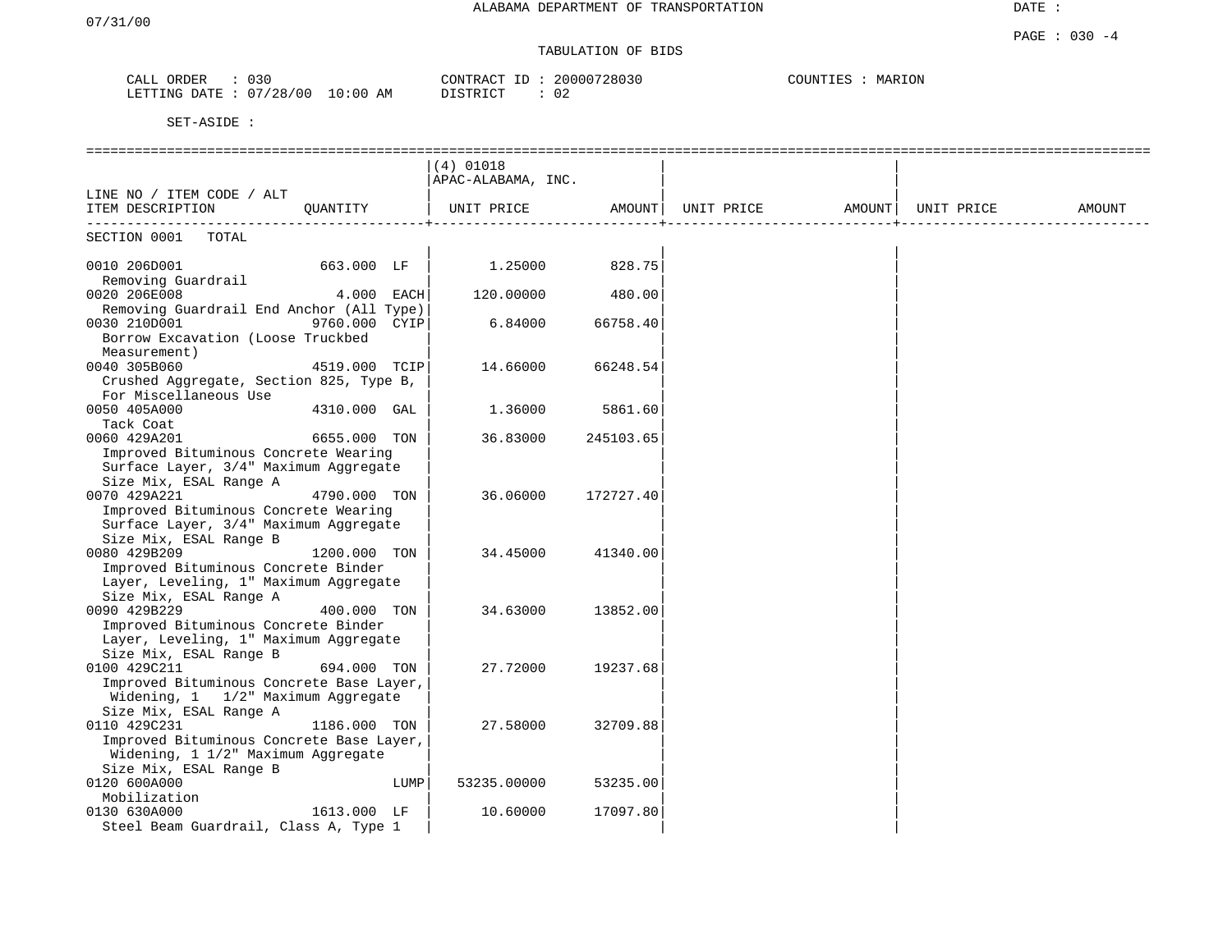# TABULATION OF BIDS

| 030<br>CALL<br>ORDER | CONTRACT                             | 20000728030   | COUNTIES<br>MARION |
|----------------------|--------------------------------------|---------------|--------------------|
| LETTING DATE         | 07/28/00<br>10:00<br>חי חים דת<br>AΜ | $\cap$<br>U 4 |                    |

|                                                                 |               |            | $(4)$ 01018        |           |                                                                                        |  |        |
|-----------------------------------------------------------------|---------------|------------|--------------------|-----------|----------------------------------------------------------------------------------------|--|--------|
|                                                                 |               |            | APAC-ALABAMA, INC. |           |                                                                                        |  |        |
| LINE NO / ITEM CODE / ALT                                       |               |            |                    |           |                                                                                        |  |        |
| ITEM DESCRIPTION                                                | QUANTITY      |            |                    |           | UNIT PRICE                  AMOUNT    UNIT PRICE                  AMOUNT    UNIT PRICE |  | AMOUNT |
|                                                                 |               |            |                    |           |                                                                                        |  |        |
| SECTION 0001<br>TOTAL                                           |               |            |                    |           |                                                                                        |  |        |
|                                                                 |               |            |                    |           |                                                                                        |  |        |
| 0010 206D001                                                    | 663.000 LF    |            | 1.25000            | 828.75    |                                                                                        |  |        |
| Removing Guardrail                                              |               |            |                    |           |                                                                                        |  |        |
| 0020 206E008                                                    |               | 4.000 EACH | 120.00000          | 480.00    |                                                                                        |  |        |
| Removing Guardrail End Anchor (All Type)                        |               |            |                    |           |                                                                                        |  |        |
| 0030 210D001                                                    | 9760.000 CYIP |            | 6.84000            | 66758.40  |                                                                                        |  |        |
| Borrow Excavation (Loose Truckbed                               |               |            |                    |           |                                                                                        |  |        |
| Measurement)                                                    |               |            |                    |           |                                                                                        |  |        |
| 0040 305B060                                                    | 4519.000 TCIP |            | 14.66000           | 66248.54  |                                                                                        |  |        |
| Crushed Aggregate, Section 825, Type B,                         |               |            |                    |           |                                                                                        |  |        |
| For Miscellaneous Use                                           |               |            |                    |           |                                                                                        |  |        |
| 0050 405A000                                                    | 4310.000 GAL  |            | 1.36000            | 5861.60   |                                                                                        |  |        |
| Tack Coat                                                       |               |            |                    |           |                                                                                        |  |        |
| 0060 429A201                                                    | 6655.000 TON  |            | 36.83000           | 245103.65 |                                                                                        |  |        |
| Improved Bituminous Concrete Wearing                            |               |            |                    |           |                                                                                        |  |        |
| Surface Layer, 3/4" Maximum Aggregate<br>Size Mix, ESAL Range A |               |            |                    |           |                                                                                        |  |        |
| 0070 429A221                                                    | 4790.000 TON  |            | 36.06000           | 172727.40 |                                                                                        |  |        |
| Improved Bituminous Concrete Wearing                            |               |            |                    |           |                                                                                        |  |        |
| Surface Layer, 3/4" Maximum Aggregate                           |               |            |                    |           |                                                                                        |  |        |
| Size Mix, ESAL Range B                                          |               |            |                    |           |                                                                                        |  |        |
| 0080 429B209                                                    | 1200.000 TON  |            | 34.45000           | 41340.00  |                                                                                        |  |        |
| Improved Bituminous Concrete Binder                             |               |            |                    |           |                                                                                        |  |        |
| Layer, Leveling, 1" Maximum Aggregate                           |               |            |                    |           |                                                                                        |  |        |
| Size Mix, ESAL Range A                                          |               |            |                    |           |                                                                                        |  |        |
| 0090 429B229                                                    | 400.000 TON   |            | 34.63000           | 13852.00  |                                                                                        |  |        |
| Improved Bituminous Concrete Binder                             |               |            |                    |           |                                                                                        |  |        |
| Layer, Leveling, 1" Maximum Aggregate                           |               |            |                    |           |                                                                                        |  |        |
| Size Mix, ESAL Range B                                          |               |            |                    |           |                                                                                        |  |        |
| 0100 429C211                                                    | 694.000 TON   |            | 27.72000           | 19237.68  |                                                                                        |  |        |
| Improved Bituminous Concrete Base Layer,                        |               |            |                    |           |                                                                                        |  |        |
| Widening, 1 1/2" Maximum Aggregate                              |               |            |                    |           |                                                                                        |  |        |
| Size Mix, ESAL Range A                                          |               |            |                    |           |                                                                                        |  |        |
| 0110 429C231                                                    | 1186.000 TON  |            | 27.58000           | 32709.88  |                                                                                        |  |        |
| Improved Bituminous Concrete Base Layer,                        |               |            |                    |           |                                                                                        |  |        |
| Widening, 1 1/2" Maximum Aggregate                              |               |            |                    |           |                                                                                        |  |        |
| Size Mix, ESAL Range B                                          |               |            |                    |           |                                                                                        |  |        |
| 0120 600A000                                                    |               | LUMP       | 53235.00000        | 53235.00  |                                                                                        |  |        |
| Mobilization                                                    |               |            |                    |           |                                                                                        |  |        |
| 0130 630A000                                                    | 1613.000 LF   |            | 10.60000           | 17097.80  |                                                                                        |  |        |
| Steel Beam Guardrail, Class A, Type 1                           |               |            |                    |           |                                                                                        |  |        |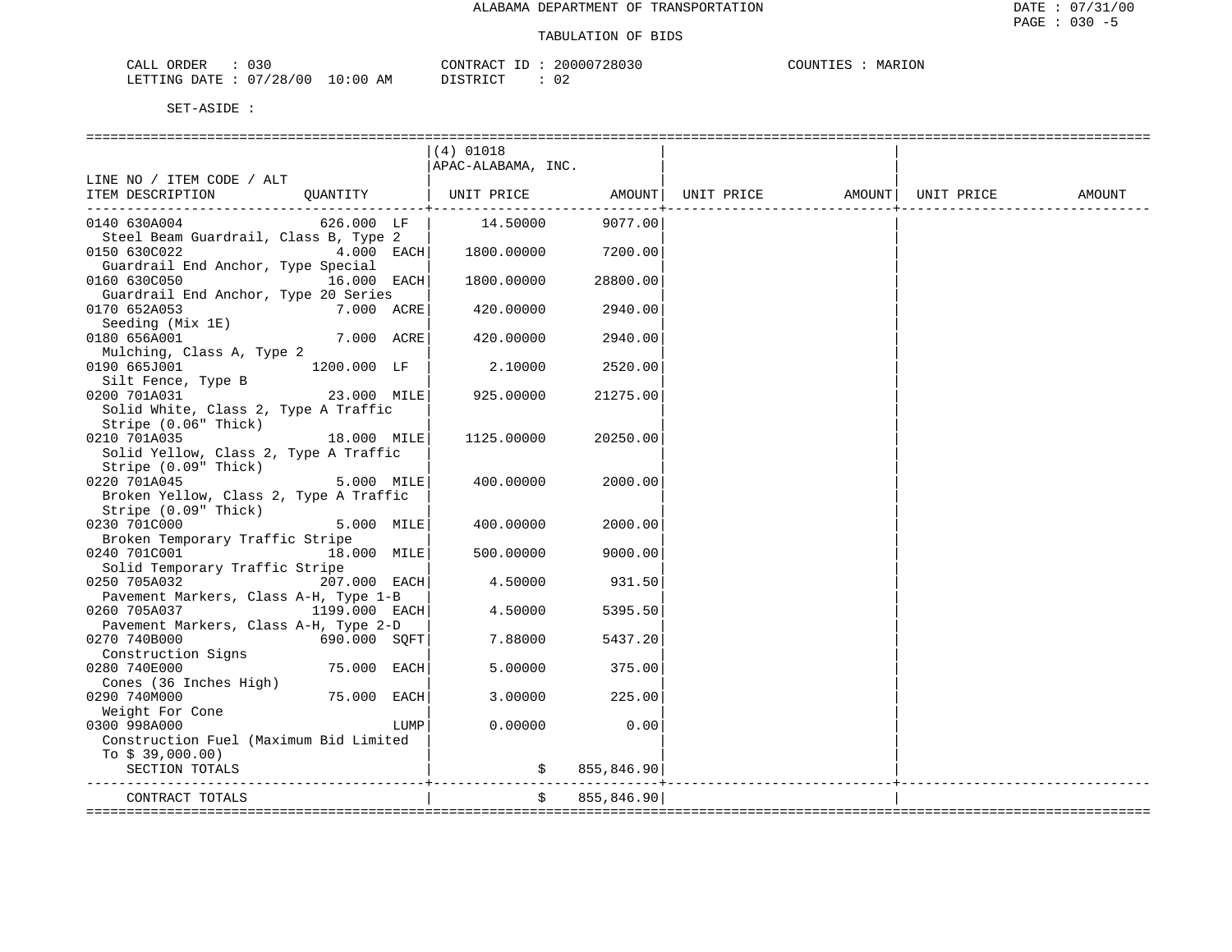| ORDER<br>CALL (        | $\sim$ $\sim$ $\sim$ |            | CONTRACT ID: | 20000728030 | COUNTIES | MARION |
|------------------------|----------------------|------------|--------------|-------------|----------|--------|
| LETTING DATE: 07/28/00 |                      | , 10:00 AM | DISTRICT     |             |          |        |

|                                                                                                | $(4)$ 01018        |               |  |        |
|------------------------------------------------------------------------------------------------|--------------------|---------------|--|--------|
|                                                                                                | APAC-ALABAMA, INC. |               |  |        |
| LINE NO / ITEM CODE / ALT                                                                      |                    |               |  |        |
| QUANTITY $ $ UNIT PRICE AMOUNT UNIT PRICE AMOUNT $ $ AMOUNT $ $ UNIT PRICE<br>ITEM DESCRIPTION |                    |               |  | AMOUNT |
| $626.000$ LF<br>0140 630A004                                                                   | 14.50000           | 9077.00       |  |        |
| Steel Beam Guardrail, Class B, Type 2                                                          |                    |               |  |        |
| 0150 630C022<br>4.000 EACH                                                                     | 1800.00000         | 7200.00       |  |        |
| Guardrail End Anchor, Type Special                                                             |                    |               |  |        |
| 0160 630C050<br>16.000 EACH                                                                    | 1800.00000         | 28800.00      |  |        |
| Guardrail End Anchor, Type 20 Series<br>0170 652A053<br>7.000 ACRE                             | 420.00000          | 2940.00       |  |        |
|                                                                                                |                    |               |  |        |
| Seeding (Mix 1E)<br>7.000 ACRE<br>0180 656A001                                                 | 420.00000          | 2940.00       |  |        |
| Mulching, Class A, Type 2                                                                      |                    |               |  |        |
| 0190 665J001 1200.000 LF                                                                       | 2.10000            | 2520.00       |  |        |
|                                                                                                |                    |               |  |        |
| Silt Fence, Type B<br>000 7014031<br>$23.000$ MILE<br>0200 701A031                             | 925.00000          | 21275.00      |  |        |
| Solid White, Class 2, Type A Traffic                                                           |                    |               |  |        |
| Stripe (0.06" Thick)                                                                           |                    |               |  |        |
| 18.000 MILE<br>0210 701A035                                                                    | 1125.00000         | 20250.00      |  |        |
| Solid Yellow, Class 2, Type A Traffic                                                          |                    |               |  |        |
| Stripe (0.09" Thick)                                                                           |                    |               |  |        |
| 5.000 MILE<br>0220 701A045                                                                     | 400.00000          | 2000.00       |  |        |
| Broken Yellow, Class 2, Type A Traffic                                                         |                    |               |  |        |
| Stripe (0.09" Thick)                                                                           |                    |               |  |        |
| 0230 701C000<br>5.000 MILE                                                                     | 400.00000          | 2000.00       |  |        |
| Broken Temporary Traffic Stripe                                                                |                    |               |  |        |
| 0240 701C001 18.000 MILE                                                                       | 500.00000          | 9000.00       |  |        |
| Solid Temporary Traffic Stripe                                                                 |                    |               |  |        |
| 0250 705A032<br>207.000 EACH                                                                   | 4.50000            | 931.50        |  |        |
| Pavement Markers, Class A-H, Type 1-B                                                          |                    |               |  |        |
| 0260 705A037<br>1199.000 EACH                                                                  | 4.50000            | 5395.50       |  |        |
| Pavement Markers, Class A-H, Type 2-D                                                          |                    |               |  |        |
| 690.000 SQFT<br>0270 740B000                                                                   | 7.88000            | 5437.20       |  |        |
| Construction Signs<br>0280 740E000<br>75.000 EACH                                              | 5,00000            | 375.00        |  |        |
| Cones (36 Inches High)                                                                         |                    |               |  |        |
| 75.000 EACH<br>0290 740M000                                                                    | 3.00000            | 225.00        |  |        |
| Weight For Cone                                                                                |                    |               |  |        |
| 0300 998A000<br>LUMP                                                                           | 0.00000            | 0.00          |  |        |
| Construction Fuel (Maximum Bid Limited                                                         |                    |               |  |        |
| To $$39,000.00)$                                                                               |                    |               |  |        |
| SECTION TOTALS                                                                                 |                    | \$855,846.90] |  |        |
|                                                                                                |                    |               |  |        |
| CONTRACT TOTALS                                                                                | \$                 | 855,846.90    |  |        |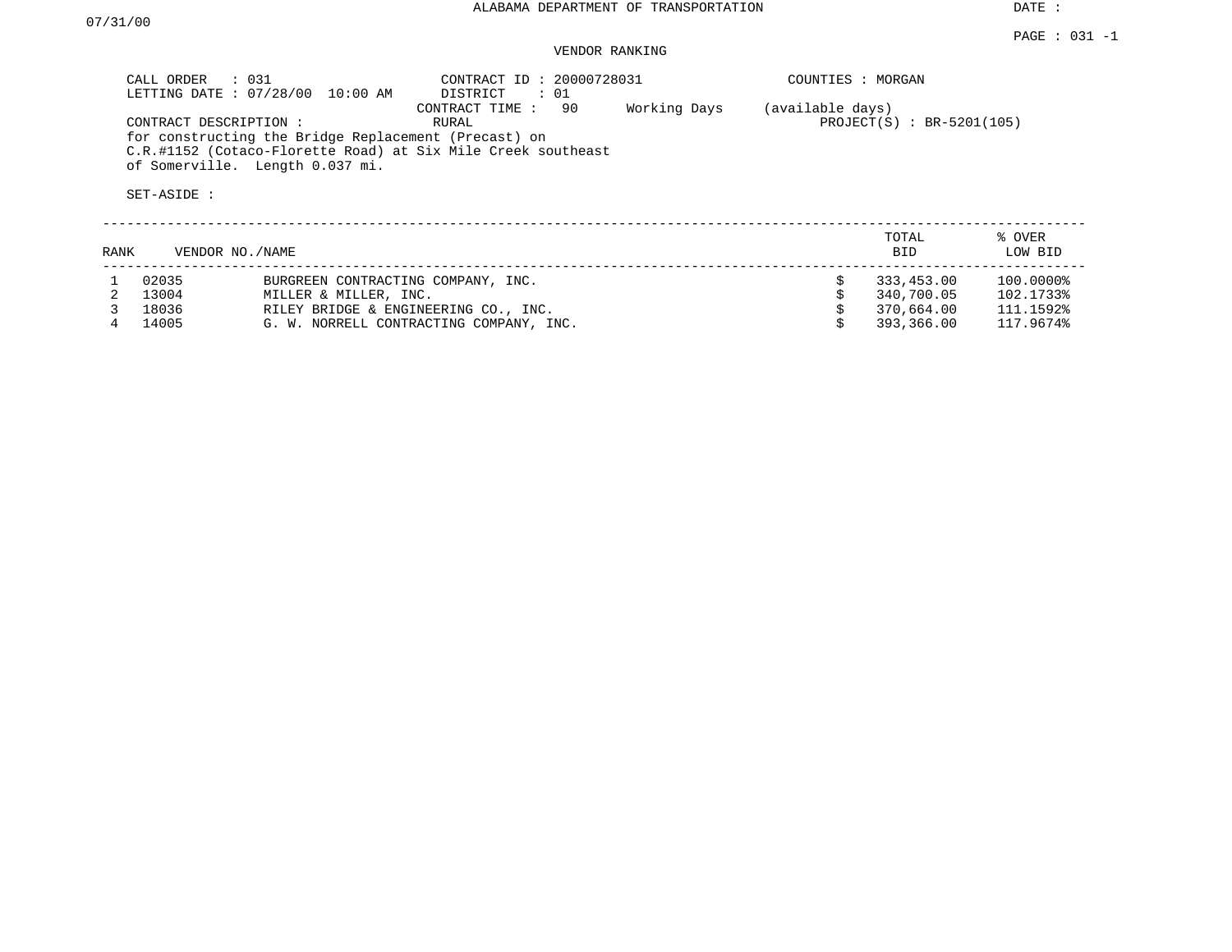DATE :

## VENDOR RANKING

| CALL ORDER : 031<br>LETTING DATE: 07/28/00<br>10:00 AM                                                                                                                           | CONTRACT ID: 20000728031<br>DISTRICT<br>$\therefore$ 01 | COUNTIES : MORGAN                |                                          |
|----------------------------------------------------------------------------------------------------------------------------------------------------------------------------------|---------------------------------------------------------|----------------------------------|------------------------------------------|
| CONTRACT DESCRIPTION:<br>for constructing the Bridge Replacement (Precast) on<br>C.R.#1152 (Cotaco-Florette Road) at Six Mile Creek southeast<br>of Somerville. Length 0.037 mi. | 90<br>CONTRACT TIME:<br>RURAL                           | Working Days<br>(available days) | $PROJECT(S) : BR-5201(105)$              |
| SET-ASIDE :                                                                                                                                                                      |                                                         |                                  |                                          |
| RANK<br>VENDOR NO./NAME                                                                                                                                                          |                                                         |                                  | % OVER<br>TOTAL<br>LOW BID<br><b>BID</b> |

| 02035   | BURGREEN CONTRACTING COMPANY, INC.      | 333.453.00 | 100.0000% |
|---------|-----------------------------------------|------------|-----------|
| 2 13004 | MILLER & MILLER, INC.                   | 340.700.05 | 102.1733% |
| 18036   | RILEY BRIDGE & ENGINEERING CO., INC.    | 370.664.00 | 111.1592% |
| 14005   | G. W. NORRELL CONTRACTING COMPANY, INC. | 393,366.00 | 117.9674% |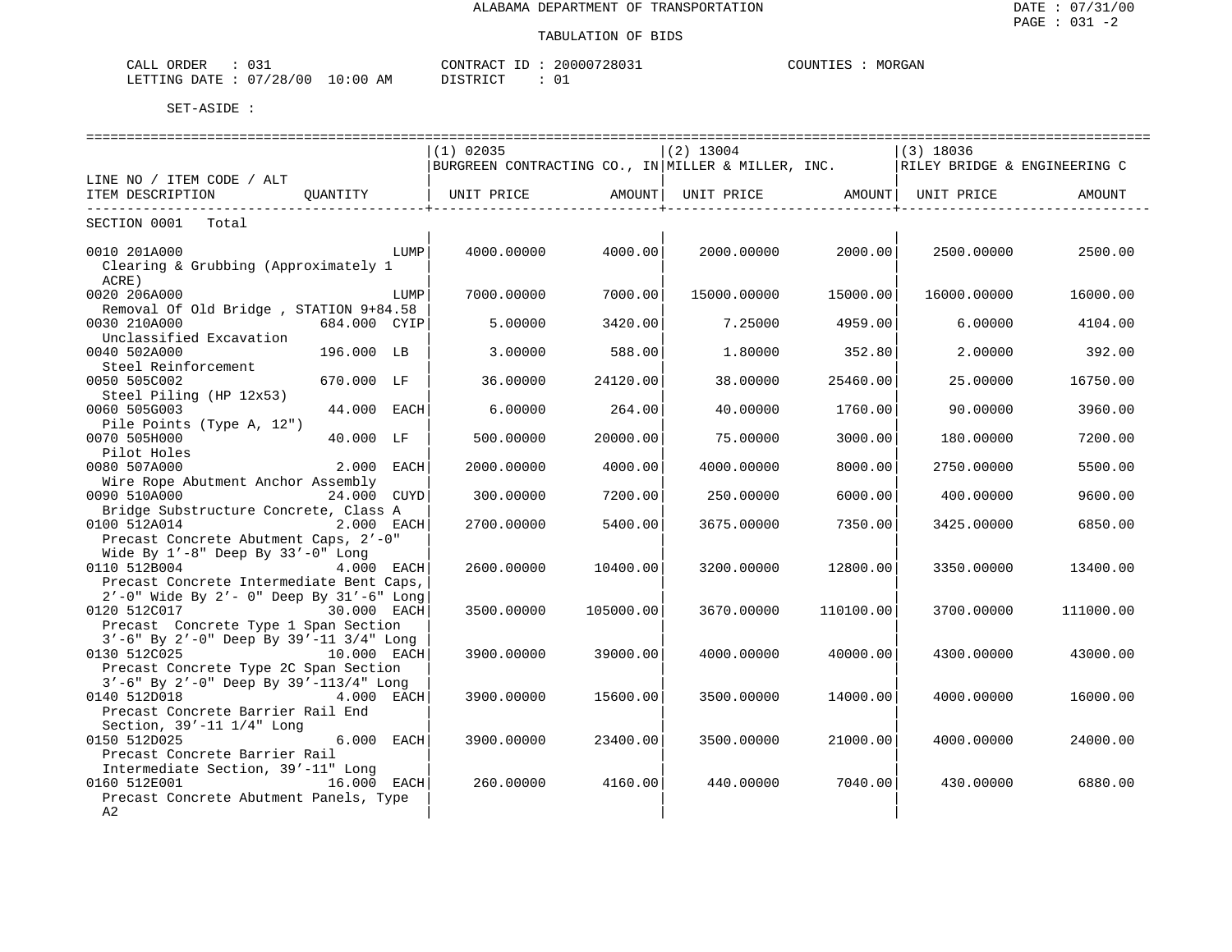| )RDER<br>◡◡∸                                               | 2803<br>ᇧᇚ<br>$\Lambda$ | MORGAN<br>COUN' |
|------------------------------------------------------------|-------------------------|-----------------|
| . ΣΑ ΤΕ<br>00<br>$\cdot$ : nr<br>LETTING<br>40<br>$\cdots$ | AM<br>תחדי<br>ັ         |                 |

|                                                 |               |      | $(1)$ 02035                                                                          |           | $(2)$ 13004 |                    | $(3)$ 18036                  |           |
|-------------------------------------------------|---------------|------|--------------------------------------------------------------------------------------|-----------|-------------|--------------------|------------------------------|-----------|
|                                                 |               |      | BURGREEN CONTRACTING CO., IN MILLER & MILLER, INC.                                   |           |             |                    | RILEY BRIDGE & ENGINEERING C |           |
| LINE NO / ITEM CODE / ALT                       |               |      |                                                                                      |           |             |                    |                              |           |
| ITEM DESCRIPTION                                | OUANTITY      |      | UNIT PRICE                 AMOUNT    UNIT PRICE                 AMOUNT    UNIT PRICE |           |             |                    |                              | AMOUNT    |
|                                                 |               |      |                                                                                      |           |             | ------------------ |                              |           |
| SECTION 0001<br>Total                           |               |      |                                                                                      |           |             |                    |                              |           |
|                                                 |               |      |                                                                                      |           |             |                    |                              |           |
| 0010 201A000                                    |               | LUMP | 4000.00000                                                                           | 4000.00   | 2000.00000  | 2000.00            | 2500.00000                   | 2500.00   |
| Clearing & Grubbing (Approximately 1            |               |      |                                                                                      |           |             |                    |                              |           |
| ACRE)                                           |               |      |                                                                                      |           |             |                    |                              |           |
| 0020 206A000                                    |               | LUMP | 7000.00000                                                                           | 7000.00   | 15000.00000 | 15000.00           | 16000.00000                  | 16000.00  |
| Removal Of Old Bridge, STATION 9+84.58          |               |      |                                                                                      |           |             |                    |                              |           |
| 0030 210A000                                    | 684.000 CYIP  |      | 5.00000                                                                              | 3420.00   | 7.25000     | 4959.00            | 6.00000                      | 4104.00   |
| Unclassified Excavation                         |               |      |                                                                                      |           |             |                    |                              |           |
| 0040 502A000                                    | 196.000 LB    |      | 3.00000                                                                              | 588.00    | 1,80000     | 352.80             | 2.00000                      | 392.00    |
| Steel Reinforcement                             |               |      |                                                                                      |           |             |                    |                              |           |
| 0050 505C002                                    | 670.000 LF    |      | 36.00000                                                                             | 24120.00  | 38.00000    | 25460.00           | 25,00000                     | 16750.00  |
| Steel Piling (HP 12x53)                         |               |      |                                                                                      |           |             |                    |                              |           |
| 0060 505G003                                    | 44.000 EACH   |      | 6.00000                                                                              | 264.00    | 40.00000    | 1760.00            | 90.00000                     | 3960.00   |
| Pile Points (Type A, 12")                       |               |      |                                                                                      |           |             |                    |                              |           |
| 0070 505H000                                    | 40.000 LF     |      | 500.00000                                                                            | 20000.00  | 75.00000    | 3000.00            | 180.00000                    | 7200.00   |
| Pilot Holes                                     |               |      |                                                                                      |           |             |                    |                              |           |
| 0080 507A000                                    | 2.000 EACH    |      | 2000.00000                                                                           | 4000.00   | 4000.00000  | 8000.00            | 2750.00000                   | 5500.00   |
| Wire Rope Abutment Anchor Assembly              |               |      |                                                                                      |           |             |                    |                              |           |
| 0090 510A000                                    | 24.000 CUYD   |      | 300.00000                                                                            | 7200.00   | 250.00000   | 6000.00            | 400.00000                    | 9600.00   |
| Bridge Substructure Concrete, Class A           |               |      |                                                                                      |           |             |                    |                              |           |
| 0100 512A014                                    | 2.000 EACH    |      | 2700.00000                                                                           | 5400.00   | 3675.00000  | 7350.00            | 3425.00000                   | 6850.00   |
| Precast Concrete Abutment Caps, 2'-0"           |               |      |                                                                                      |           |             |                    |                              |           |
| Wide By $1'-8$ " Deep By $33'-0$ " Long         |               |      |                                                                                      |           |             |                    |                              |           |
| 0110 512B004                                    | 4.000 EACH    |      | 2600.00000                                                                           | 10400.00  | 3200.00000  | 12800.00           | 3350.00000                   | 13400.00  |
| Precast Concrete Intermediate Bent Caps,        |               |      |                                                                                      |           |             |                    |                              |           |
| 2'-0" Wide By 2'- 0" Deep By 31'-6" Long        |               |      |                                                                                      |           |             |                    |                              |           |
| 0120 512C017<br>30.000 EACH                     |               |      | 3500.00000                                                                           | 105000.00 | 3670.00000  | 110100.00          | 3700.00000                   | 111000.00 |
| Precast Concrete Type 1 Span Section            |               |      |                                                                                      |           |             |                    |                              |           |
| 3'-6" By 2'-0" Deep By 39'-11 3/4" Long         |               |      |                                                                                      |           |             |                    |                              |           |
| 0130 512C025<br>10.000 EACH                     |               |      | 3900.00000                                                                           | 39000.00  | 4000.00000  | 40000.00           | 4300.00000                   | 43000.00  |
| Precast Concrete Type 2C Span Section           |               |      |                                                                                      |           |             |                    |                              |           |
| $3'-6$ " By $2'-0$ " Deep By $39'-113/4$ " Long |               |      |                                                                                      |           |             |                    |                              |           |
| 0140 512D018                                    | 4.000 EACH    |      | 3900.00000                                                                           | 15600.00  | 3500.00000  | 14000.00           | 4000.00000                   | 16000.00  |
| Precast Concrete Barrier Rail End               |               |      |                                                                                      |           |             |                    |                              |           |
| Section, 39'-11 1/4" Long                       |               |      |                                                                                      |           |             |                    |                              |           |
| 0150 512D025                                    | 6.000 EACH    |      | 3900.00000                                                                           | 23400.00  | 3500.00000  | 21000.00           | 4000.00000                   | 24000.00  |
| Precast Concrete Barrier Rail                   |               |      |                                                                                      |           |             |                    |                              |           |
| Intermediate Section, 39'-11" Long              |               |      |                                                                                      |           |             |                    |                              |           |
| 0160 512E001                                    | $16.000$ EACH |      | 260,00000                                                                            | 4160.00   | 440.00000   | 7040.00            | 430.00000                    | 6880.00   |
| Precast Concrete Abutment Panels, Type          |               |      |                                                                                      |           |             |                    |                              |           |
| A2                                              |               |      |                                                                                      |           |             |                    |                              |           |
|                                                 |               |      |                                                                                      |           |             |                    |                              |           |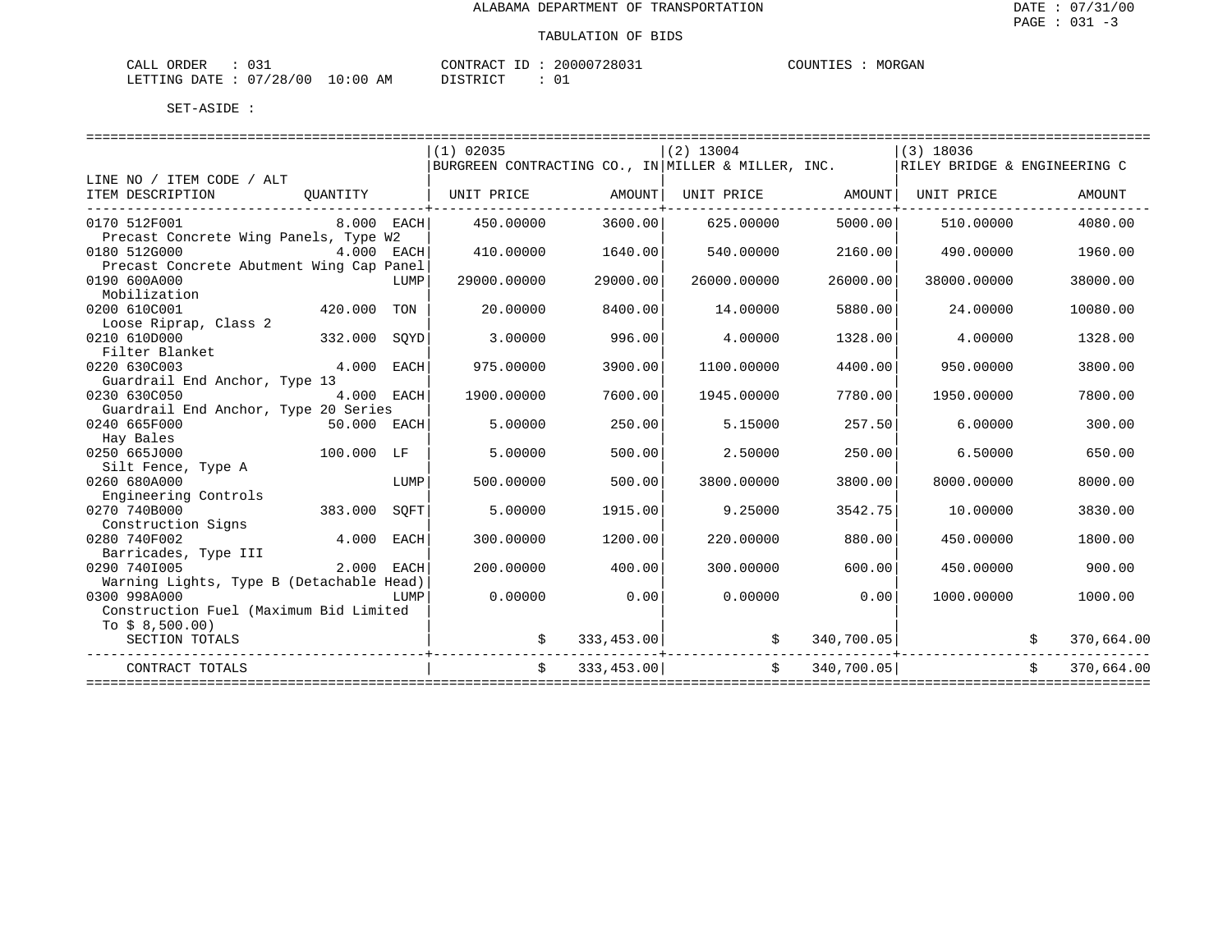| ORDER<br>CALL | $\sim$ $\sim$  |             | $-1$<br>CONTRACT | 20000728031 | COUNTIES | MORGAN |
|---------------|----------------|-------------|------------------|-------------|----------|--------|
| LETTING DATE  | $07/28/00$ $-$ | 10:00<br>ΑM | חימת סידים דרי   |             |          |        |

|                                          |              |      | $(1)$ 02035                                        |            | $(2)$ 13004                      |              | $(3)$ 18036                  |            |
|------------------------------------------|--------------|------|----------------------------------------------------|------------|----------------------------------|--------------|------------------------------|------------|
|                                          |              |      | BURGREEN CONTRACTING CO., IN MILLER & MILLER, INC. |            |                                  |              | RILEY BRIDGE & ENGINEERING C |            |
| LINE NO / ITEM CODE / ALT                |              |      |                                                    |            |                                  |              |                              |            |
| ITEM DESCRIPTION                         | OUANTITY     |      | UNIT PRICE AMOUNT                                  |            | UNIT PRICE AMOUNT                |              | UNIT PRICE                   | AMOUNT     |
|                                          |              |      |                                                    |            |                                  |              |                              |            |
| 0170 512F001                             | $8.000$ EACH |      | 450.00000                                          | 3600.00    | 625.00000                        | 5000.00      | 510,00000                    | 4080.00    |
| Precast Concrete Wing Panels, Type W2    |              |      |                                                    |            |                                  |              |                              |            |
| 0180 512G000                             | 4.000 EACH   |      | 410.00000                                          | 1640.00    | 540.00000                        | 2160.00      | 490.00000                    | 1960.00    |
| Precast Concrete Abutment Wing Cap Panel |              |      |                                                    |            |                                  |              |                              |            |
| 0190 600A000                             |              | LUMP | 29000.00000                                        | 29000.00   | 26000.00000                      | 26000.00     | 38000.00000                  | 38000.00   |
| Mobilization                             |              |      |                                                    |            |                                  |              |                              |            |
| 0200 610C001                             | 420.000      | TON  | 20.00000                                           | 8400.00    | 14.00000                         | 5880.00      | 24.00000                     | 10080.00   |
| Loose Riprap, Class 2                    |              |      |                                                    |            |                                  |              |                              |            |
| 0210 610D000                             | 332.000      | SOYD | 3,00000                                            | 996.00     | 4.00000                          | 1328.00      | 4.00000                      | 1328.00    |
| Filter Blanket                           |              |      |                                                    |            |                                  |              |                              |            |
| 0220 630C003                             | 4.000 EACH   |      | 975.00000                                          | 3900.00    | 1100.00000                       | 4400.00      | 950.00000                    | 3800.00    |
| Guardrail End Anchor, Type 13            |              |      |                                                    |            |                                  |              |                              |            |
| 0230 630C050                             | 4.000 EACH   |      | 1900.00000                                         | 7600.00    | 1945.00000                       | 7780.00      | 1950.00000                   | 7800.00    |
| Guardrail End Anchor, Type 20 Series     |              |      |                                                    |            |                                  |              |                              |            |
| 0240 665F000                             | 50.000 EACH  |      | 5.00000                                            | 250.00     | 5.15000                          | 257.50       | 6.00000                      | 300.00     |
| Hay Bales                                |              |      |                                                    |            |                                  |              |                              |            |
| 0250 665J000                             | 100.000 LF   |      | 5.00000                                            | 500.00     | 2.50000                          | 250.00       | 6.50000                      | 650.00     |
| Silt Fence, Type A                       |              |      |                                                    |            |                                  |              |                              |            |
| 0260 680A000                             |              | LUMP | 500.00000                                          | 500.00     | 3800.00000                       | 3800.00      | 8000.00000                   | 8000.00    |
| Engineering Controls                     |              |      |                                                    |            |                                  |              |                              |            |
| 0270 740B000                             | 383.000      | SOFT | 5.00000                                            | 1915.00    | 9.25000                          | 3542.75      | 10.00000                     | 3830.00    |
| Construction Signs                       |              |      |                                                    |            |                                  |              |                              |            |
| 0280 740F002                             | 4.000 EACH   |      | 300.00000                                          | 1200.00    | 220.00000                        | 880.00       | 450.00000                    | 1800.00    |
| Barricades, Type III                     |              |      |                                                    |            |                                  |              |                              |            |
| 0290 7401005                             | 2.000 EACH   |      | 200,00000                                          | 400.00     | 300,00000                        | 600.00       | 450.00000                    | 900.00     |
| Warning Lights, Type B (Detachable Head) |              |      |                                                    |            |                                  |              |                              |            |
| 0300 998A000                             |              | LUMP | 0.00000                                            | 0.00       | 0.00000                          | 0.00         | 1000.00000                   | 1000.00    |
| Construction Fuel (Maximum Bid Limited   |              |      |                                                    |            |                                  |              |                              |            |
| To $$8,500.00)$                          |              |      |                                                    |            |                                  |              |                              |            |
| SECTION TOTALS                           |              |      |                                                    |            | $333,453.00$ $$\,$ $340,700.05]$ |              |                              | 370,664.00 |
|                                          |              |      |                                                    |            |                                  |              |                              |            |
| CONTRACT TOTALS                          |              |      | S.                                                 | 333,453.00 |                                  | \$340,700.05 |                              | 370,664.00 |
|                                          |              |      |                                                    |            |                                  |              |                              |            |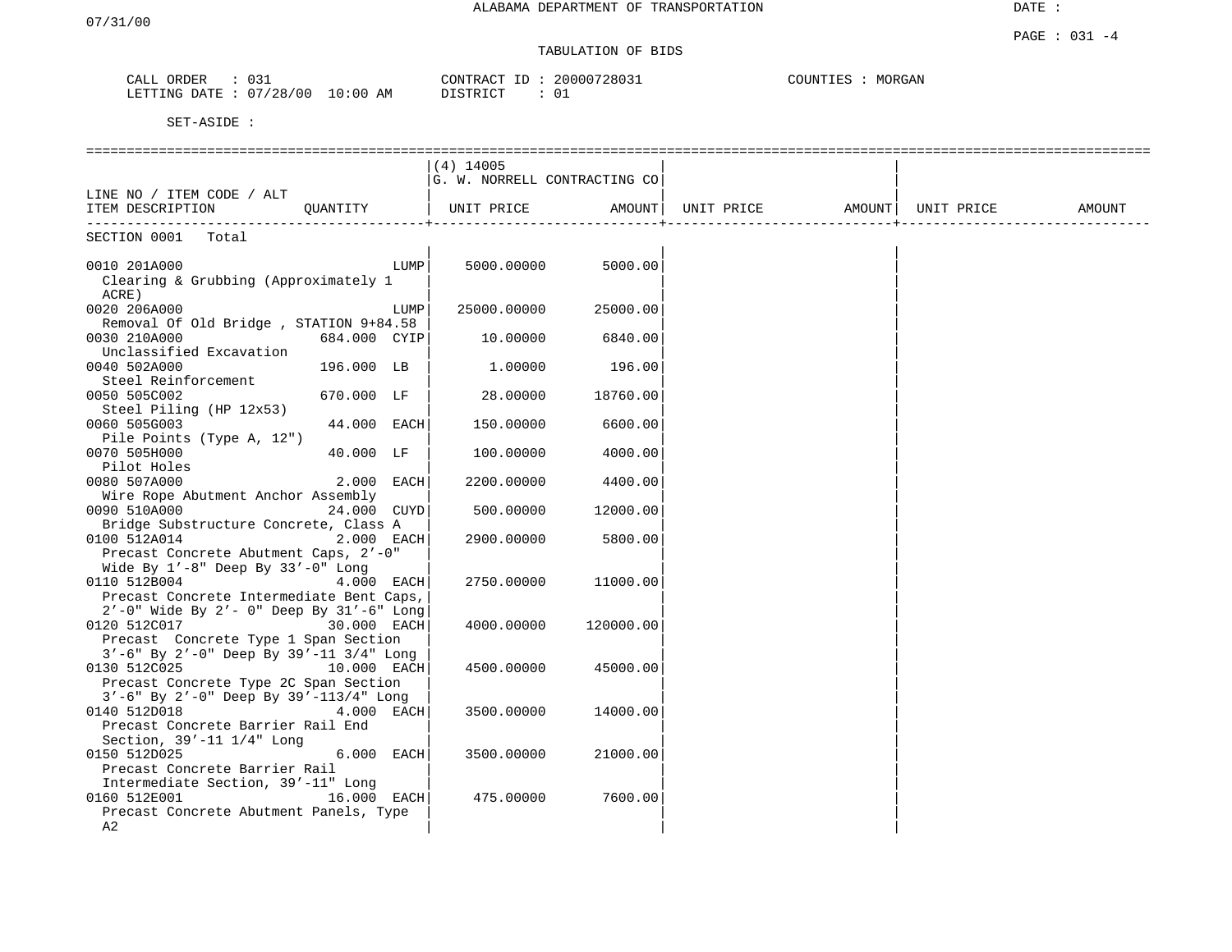## TABULATION OF BIDS

| 13∩<br>ORDER<br>CALL   |                      | 20000728031<br>CONTRACT ID | MORGAN<br>COUNTIES |
|------------------------|----------------------|----------------------------|--------------------|
| LETTING DATE: 07/28/00 | 10:00 AM<br>DISTRICT | $\cap$ 1                   |                    |

|                                                    |               |      | $(4)$ 14005                  |           |                   |            |        |
|----------------------------------------------------|---------------|------|------------------------------|-----------|-------------------|------------|--------|
|                                                    |               |      | G. W. NORRELL CONTRACTING CO |           |                   |            |        |
| LINE NO / ITEM CODE / ALT                          |               |      |                              |           |                   |            |        |
| ITEM DESCRIPTION                                   | QUANTITY      |      | UNIT PRICE                   | AMOUNT    | UNIT PRICE AMOUNT | UNIT PRICE | AMOUNT |
|                                                    |               |      |                              |           |                   |            |        |
| SECTION 0001 Total                                 |               |      |                              |           |                   |            |        |
|                                                    |               |      |                              |           |                   |            |        |
| 0010 201A000                                       |               | LUMP | 5000.00000                   | 5000.00   |                   |            |        |
| Clearing & Grubbing (Approximately 1               |               |      |                              |           |                   |            |        |
| ACRE)                                              |               |      |                              |           |                   |            |        |
| 0020 206A000                                       |               | LUMP | 25000.00000                  | 25000.00  |                   |            |        |
| Removal Of Old Bridge, STATION 9+84.58             |               |      |                              |           |                   |            |        |
| 0030 210A000                                       | 684.000 CYIP  |      | 10.00000                     | 6840.00   |                   |            |        |
| Unclassified Excavation                            |               |      |                              |           |                   |            |        |
| 0040 502A000                                       | 196.000 LB    |      | 1.00000                      | 196.00    |                   |            |        |
| Steel Reinforcement                                |               |      |                              |           |                   |            |        |
| 0050 505C002                                       | 670.000 LF    |      | 28.00000                     | 18760.00  |                   |            |        |
| Steel Piling (HP 12x53)                            |               |      |                              |           |                   |            |        |
| 0060 505G003                                       | 44.000 EACH   |      | 150.00000                    | 6600.00   |                   |            |        |
| Pile Points (Type A, 12")                          |               |      |                              |           |                   |            |        |
| 0070 505H000                                       | 40.000 LF     |      | 100.00000                    | 4000.00   |                   |            |        |
| Pilot Holes                                        |               |      |                              |           |                   |            |        |
| 0080 507A000                                       | $2.000$ EACH  |      | 2200.00000                   | 4400.00   |                   |            |        |
| Wire Rope Abutment Anchor Assembly                 |               |      |                              |           |                   |            |        |
| 0090 510A000                                       | 24.000 CUYD   |      | 500.00000                    | 12000.00  |                   |            |        |
| Bridge Substructure Concrete, Class A              |               |      |                              |           |                   |            |        |
| 0100 512A014                                       | $2.000$ EACH  |      | 2900.00000                   | 5800.00   |                   |            |        |
| Precast Concrete Abutment Caps, 2'-0"              |               |      |                              |           |                   |            |        |
| Wide By $1'-8$ " Deep By $33'-0$ " Long            |               |      |                              |           |                   |            |        |
| 0110 512B004                                       | $4.000$ EACH  |      | 2750.00000                   | 11000.00  |                   |            |        |
| Precast Concrete Intermediate Bent Caps,           |               |      |                              |           |                   |            |        |
| 2'-0" Wide By 2'- 0" Deep By 31'-6" Long           |               |      |                              |           |                   |            |        |
| 0120 512C017                                       | 30.000 EACH   |      | 4000.00000                   | 120000.00 |                   |            |        |
| Precast Concrete Type 1 Span Section               |               |      |                              |           |                   |            |        |
| $3'-6$ " By $2'-0$ " Deep By $39'-11$ $3/4$ " Long |               |      |                              |           |                   |            |        |
| 0130 512C025<br>10.000 EACH                        |               |      | 4500.00000                   | 45000.00  |                   |            |        |
| Precast Concrete Type 2C Span Section              |               |      |                              |           |                   |            |        |
| $3'$ -6" By $2'$ -0" Deep By $39'$ -113/4" Long    |               |      |                              |           |                   |            |        |
| 0140 512D018                                       | 4.000 EACH    |      | 3500.00000                   | 14000.00  |                   |            |        |
| Precast Concrete Barrier Rail End                  |               |      |                              |           |                   |            |        |
| Section, $39' - 11$ $1/4$ " Long                   |               |      |                              |           |                   |            |        |
| 0150 512D025                                       | $6.000$ EACH  |      | 3500.00000                   | 21000.00  |                   |            |        |
| Precast Concrete Barrier Rail                      |               |      |                              |           |                   |            |        |
| Intermediate Section, 39'-11" Long                 |               |      |                              |           |                   |            |        |
| 0160 512E001                                       | $16.000$ EACH |      | 475.00000                    | 7600.00   |                   |            |        |
| Precast Concrete Abutment Panels, Type             |               |      |                              |           |                   |            |        |
| A2                                                 |               |      |                              |           |                   |            |        |
|                                                    |               |      |                              |           |                   |            |        |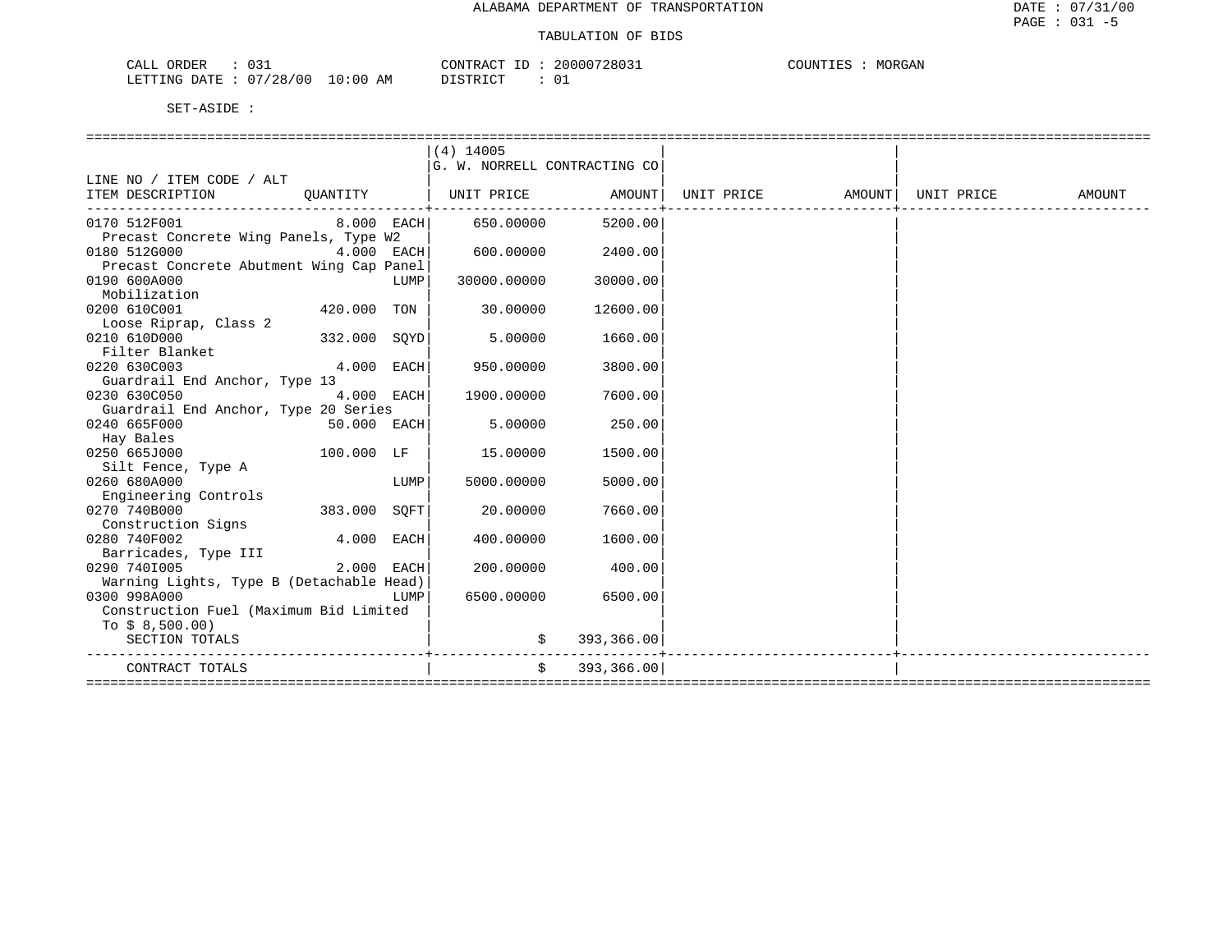| CALL ORDER                      | 031 |          | CONTRACT ID: 20000728031 | COUNTIES | MORGAN |
|---------------------------------|-----|----------|--------------------------|----------|--------|
| LETTING DATE: 07/28/00 10:00 AM |     | DISTRICT |                          |          |        |

|                                                                              |               |      | $(4)$ 14005                  |               |  |        |
|------------------------------------------------------------------------------|---------------|------|------------------------------|---------------|--|--------|
|                                                                              |               |      | G. W. NORRELL CONTRACTING CO |               |  |        |
| LINE NO / ITEM CODE / ALT                                                    |               |      |                              |               |  |        |
| ITEM DESCRIPTION OUANTITY   UNIT PRICE AMOUNT  UNIT PRICE AMOUNT  UNIT PRICE |               |      |                              |               |  | AMOUNT |
|                                                                              |               |      |                              |               |  |        |
| 0170 512F001<br>$8.000$ EACH                                                 |               |      | 650.00000                    | 5200.00       |  |        |
| Precast Concrete Wing Panels, Type W2                                        |               |      |                              |               |  |        |
| 0180 512G000                                                                 | 4.000 EACH    |      | 600.00000                    | 2400.00       |  |        |
| Precast Concrete Abutment Wing Cap Panel                                     |               |      |                              |               |  |        |
| 0190 600A000                                                                 |               | LUMP | 30000.00000                  | 30000.00      |  |        |
| Mobilization                                                                 |               |      |                              |               |  |        |
| 0200 610C001                                                                 | 420.000 TON   |      | 30.00000                     | 12600.00      |  |        |
| Loose Riprap, Class 2                                                        |               |      |                              |               |  |        |
| 0210 610D000                                                                 | 332.000 SQYD  |      | 5.00000                      | 1660.00       |  |        |
| Filter Blanket                                                               |               |      |                              |               |  |        |
| 0220 630C003                                                                 | $4.000$ EACH  |      | 950.00000                    | 3800.00       |  |        |
| Guardrail End Anchor, Type 13                                                |               |      |                              |               |  |        |
| 0230 630C050                                                                 | 4.000 EACH    |      | 1900.00000                   | 7600.00       |  |        |
| Guardrail End Anchor, Type 20 Series                                         |               |      |                              |               |  |        |
| 0240 665F000                                                                 | $50.000$ EACH |      | 5.00000                      | 250.00        |  |        |
| Hay Bales                                                                    |               |      |                              |               |  |        |
| 0250 665J000                                                                 | 100.000 LF    |      | 15.00000                     | 1500.00       |  |        |
| Silt Fence, Type A                                                           |               |      |                              |               |  |        |
| 0260 680A000                                                                 |               | LUMP | 5000.00000                   | 5000.00       |  |        |
| Engineering Controls                                                         |               |      |                              |               |  |        |
| 0270 740B000                                                                 | 383.000 SOFT  |      | 20,00000                     | 7660.00       |  |        |
| Construction Signs                                                           |               |      |                              |               |  |        |
| 0280 740F002                                                                 | 4.000 EACH    |      | 400.00000                    | 1600.00       |  |        |
| Barricades, Type III                                                         |               |      |                              |               |  |        |
| 0290 7401005                                                                 | 2.000 EACH    |      | 200,00000                    | 400.00        |  |        |
| Warning Lights, Type B (Detachable Head)                                     |               |      |                              |               |  |        |
| 0300 998A000                                                                 |               | LUMP | 6500.00000                   | 6500.00       |  |        |
| Construction Fuel (Maximum Bid Limited                                       |               |      |                              |               |  |        |
| To $$8,500.00)$                                                              |               |      |                              |               |  |        |
| SECTION TOTALS                                                               |               |      |                              | \$393,366.00  |  |        |
|                                                                              |               |      |                              |               |  |        |
| CONTRACT TOTALS                                                              |               |      |                              | \$393,366.00] |  |        |
|                                                                              |               |      |                              |               |  |        |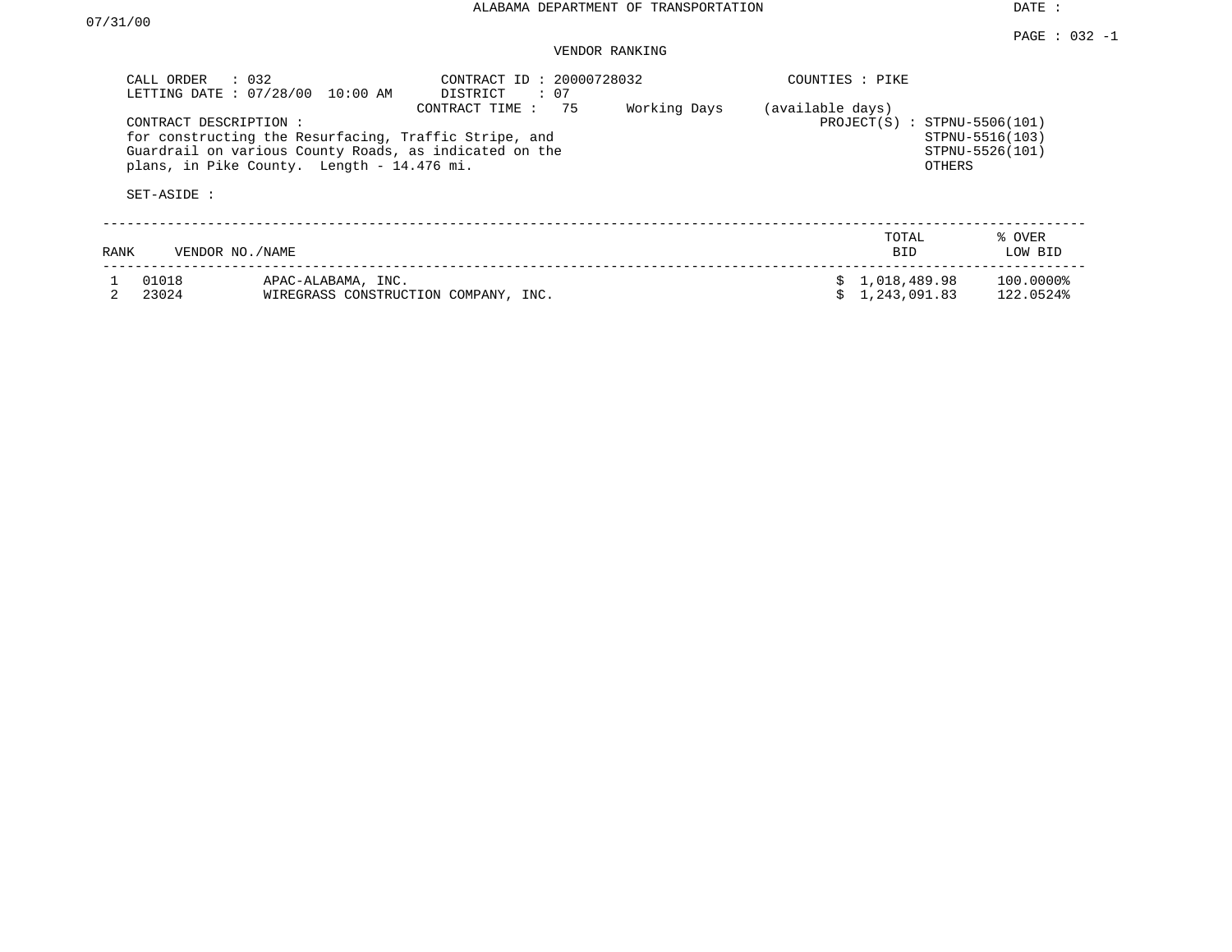DATE :

## VENDOR RANKING

|             | CALL ORDER : 032                     | LETTING DATE : 07/28/00 10:00 AM                                                                                                                              | CONTRACT ID: 20000728032<br>DISTRICT<br>$\colon$ 07 |                                                 | COUNTIES : PIKE                    |                                |                        |
|-------------|--------------------------------------|---------------------------------------------------------------------------------------------------------------------------------------------------------------|-----------------------------------------------------|-------------------------------------------------|------------------------------------|--------------------------------|------------------------|
|             | CONTRACT DESCRIPTION:<br>SET-ASIDE : | for constructing the Resurfacing, Traffic Stripe, and<br>Guardrail on various County Roads, as indicated on the<br>plans, in Pike County. Length - 14.476 mi. | (available days)                                    | $PROJECT(S)$ : STPNU-5506(101)<br><b>OTHERS</b> | STPNU-5516(103)<br>STPNU-5526(101) |                                |                        |
| <b>RANK</b> | VENDOR NO./NAME                      |                                                                                                                                                               |                                                     |                                                 |                                    | TOTAL<br><b>BID</b>            | % OVER<br>LOW BID      |
|             | 01018<br>23024                       | APAC-ALABAMA, INC.<br>WIREGRASS CONSTRUCTION COMPANY, INC.                                                                                                    |                                                     |                                                 |                                    | \$1,018,489.98<br>1,243,091.83 | 100.0000%<br>122.0524% |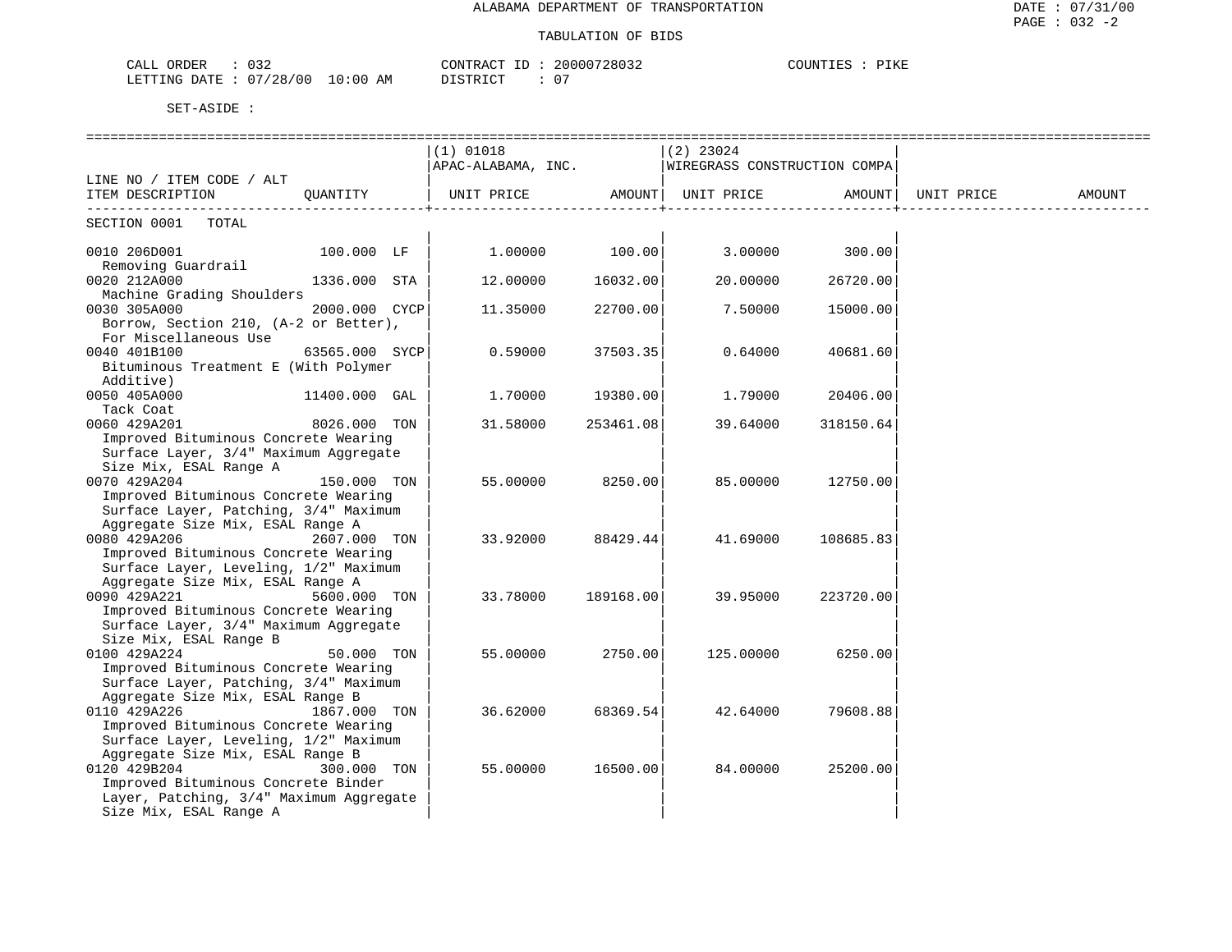| าวว<br>ORDER<br>ັບມ∠<br>للتنعب          | ≀⊿ אב                                                    | ?0000728032 | COUNT<br>ิ⊥⊥∖⊥ |
|-----------------------------------------|----------------------------------------------------------|-------------|----------------|
| 0.7100<br>/00<br>LETTING<br>DATE<br>-48 | LO : 00<br>AM<br>די איד פידי פור<br>$\sim$ $\sim$ $\sim$ | ◡           |                |

|                                                                                      |                | $(1)$ 01018                                                             |           | (2) 23024 |                             |                 |  |
|--------------------------------------------------------------------------------------|----------------|-------------------------------------------------------------------------|-----------|-----------|-----------------------------|-----------------|--|
|                                                                                      |                | $\vert$ APAC-ALABAMA, INC. $\vert$ WIREGRASS CONSTRUCTION COMPA $\vert$ |           |           |                             |                 |  |
| LINE NO / ITEM CODE / ALT                                                            |                |                                                                         |           |           |                             |                 |  |
| ITEM DESCRIPTION QUANTITY   UNIT PRICE AMOUNT  UNIT PRICE AMOUNT   UNIT PRICE AMOUNT |                |                                                                         |           |           | --------------------------- | _______________ |  |
| SECTION 0001 TOTAL                                                                   |                |                                                                         |           |           |                             |                 |  |
| 0010 206D001<br>Removing Guardrail                                                   | $100.000$ LF   | $1.00000$ $100.00$ $3.00000$ $300.00$                                   |           |           |                             |                 |  |
| 0020 212A000                                                                         | 1336.000 STA   | 12.00000                                                                | 16032.00  | 20.00000  | 26720.00                    |                 |  |
| Machine Grading Shoulders                                                            |                |                                                                         |           |           |                             |                 |  |
| 0030 305A000                                                                         | 2000.000 CYCP  | 11.35000                                                                | 22700.00  | 7.50000   | 15000.00                    |                 |  |
| Borrow, Section 210, (A-2 or Better),                                                |                |                                                                         |           |           |                             |                 |  |
| For Miscellaneous Use                                                                |                |                                                                         |           |           |                             |                 |  |
| 0040 401B100                                                                         | 63565.000 SYCP | 0.59000                                                                 | 37503.35  | 0.64000   | 40681.60                    |                 |  |
| Bituminous Treatment E (With Polymer                                                 |                |                                                                         |           |           |                             |                 |  |
| Additive)                                                                            |                |                                                                         |           |           |                             |                 |  |
| 0050 405A000 11400.000 GAL                                                           |                | 1,70000                                                                 | 19380.00  | 1.79000   | 20406.00                    |                 |  |
| Tack Coat                                                                            |                |                                                                         |           |           |                             |                 |  |
| 0060 429A201                                                                         | 8026.000 TON   | 31.58000                                                                | 253461.08 | 39.64000  | 318150.64                   |                 |  |
| Improved Bituminous Concrete Wearing                                                 |                |                                                                         |           |           |                             |                 |  |
| Surface Layer, 3/4" Maximum Aggregate                                                |                |                                                                         |           |           |                             |                 |  |
| Size Mix, ESAL Range A                                                               |                |                                                                         |           |           |                             |                 |  |
| 0070 429A204                                                                         | 150.000 TON    | 55.00000                                                                | 8250.00   | 85.00000  | 12750.00                    |                 |  |
| Improved Bituminous Concrete Wearing                                                 |                |                                                                         |           |           |                             |                 |  |
| Surface Layer, Patching, 3/4" Maximum                                                |                |                                                                         |           |           |                             |                 |  |
| Aggregate Size Mix, ESAL Range A                                                     |                |                                                                         |           |           |                             |                 |  |
| 0080 429A206                                                                         | 2607.000 TON   | 33.92000                                                                | 88429.44  | 41.69000  | 108685.83                   |                 |  |
| Improved Bituminous Concrete Wearing                                                 |                |                                                                         |           |           |                             |                 |  |
| Surface Layer, Leveling, 1/2" Maximum                                                |                |                                                                         |           |           |                             |                 |  |
| Aggregate Size Mix, ESAL Range A<br>0090 429A221                                     |                |                                                                         |           |           |                             |                 |  |
| Improved Bituminous Concrete Wearing                                                 | 5600.000 TON   | 33.78000                                                                | 189168.00 | 39.95000  | 223720.00                   |                 |  |
|                                                                                      |                |                                                                         |           |           |                             |                 |  |
| Surface Layer, 3/4" Maximum Aggregate<br>Size Mix, ESAL Range B                      |                |                                                                         |           |           |                             |                 |  |
| 0100 429A224                                                                         | 50.000 TON     | 55.00000                                                                | 2750.00   | 125.00000 | 6250.00                     |                 |  |
| Improved Bituminous Concrete Wearing                                                 |                |                                                                         |           |           |                             |                 |  |
| Surface Layer, Patching, 3/4" Maximum                                                |                |                                                                         |           |           |                             |                 |  |
| Aggregate Size Mix, ESAL Range B                                                     |                |                                                                         |           |           |                             |                 |  |
| 0110 429A226                                                                         | 1867.000 TON   | 36.62000                                                                | 68369.54  | 42.64000  | 79608.88                    |                 |  |
| Improved Bituminous Concrete Wearing                                                 |                |                                                                         |           |           |                             |                 |  |
| Surface Layer, Leveling, 1/2" Maximum                                                |                |                                                                         |           |           |                             |                 |  |
| Aggregate Size Mix, ESAL Range B                                                     |                |                                                                         |           |           |                             |                 |  |
| 0120 429B204                                                                         | 300.000 TON    | 55.00000                                                                | 16500.00  | 84.00000  | 25200.00                    |                 |  |
| Improved Bituminous Concrete Binder                                                  |                |                                                                         |           |           |                             |                 |  |
| Layer, Patching, 3/4" Maximum Aggregate                                              |                |                                                                         |           |           |                             |                 |  |
| Size Mix, ESAL Range A                                                               |                |                                                                         |           |           |                             |                 |  |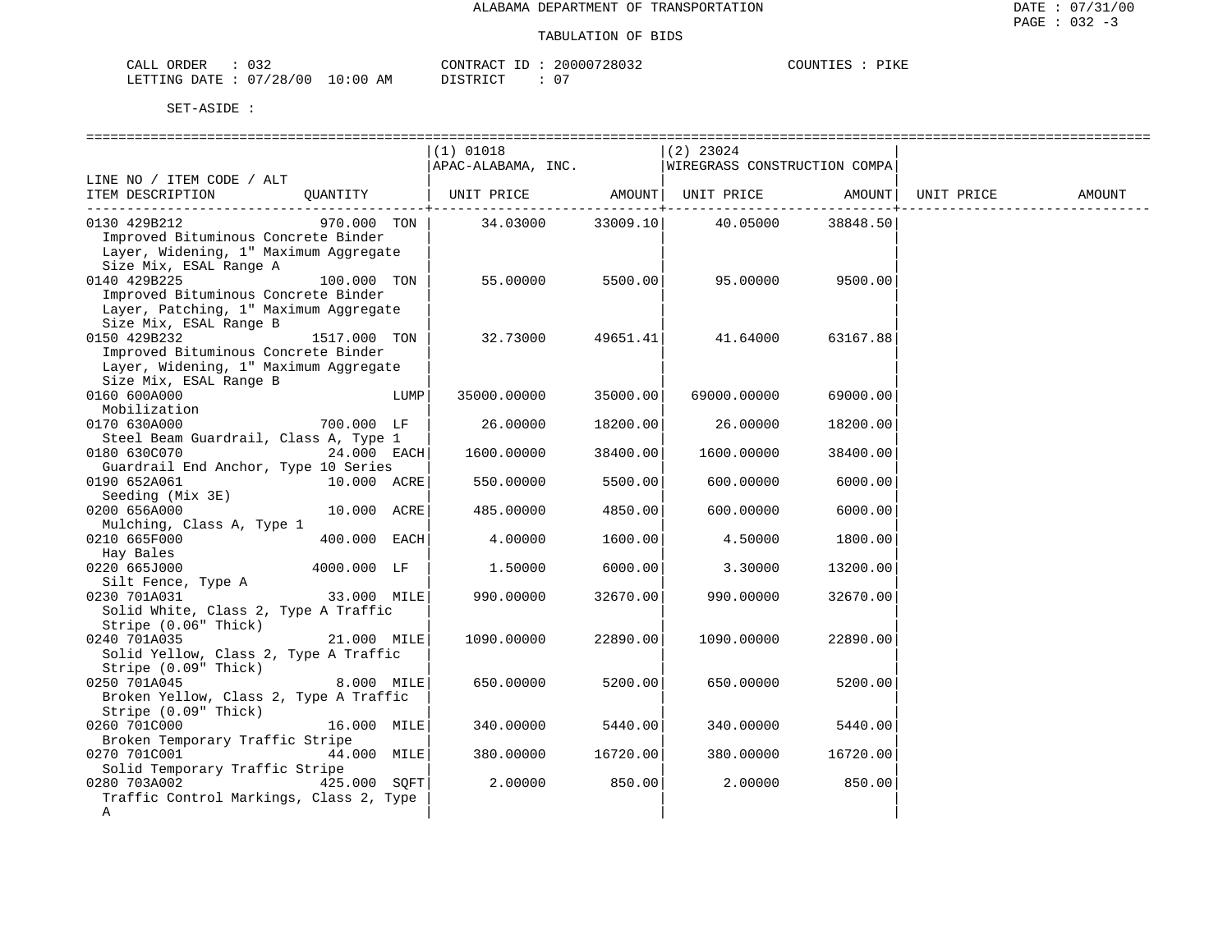| CALL ORDER                       | 032 |          |  | CONTRACT ID: 20000728032 | COUNTIES : PIKE |  |
|----------------------------------|-----|----------|--|--------------------------|-----------------|--|
| LETTING DATE : 07/28/00 10:00 AM |     | DISTRICT |  | $\cap$                   |                 |  |

| SET-ASIDE |  |
|-----------|--|
|           |  |

|                                                              |               |      | $(1)$ 01018                                      |          | $(2)$ 23024                |          |        |
|--------------------------------------------------------------|---------------|------|--------------------------------------------------|----------|----------------------------|----------|--------|
|                                                              |               |      | APAC-ALABAMA, INC. WIREGRASS CONSTRUCTION COMPA  |          |                            |          |        |
| LINE NO / ITEM CODE / ALT                                    |               |      |                                                  |          |                            |          |        |
| ITEM DESCRIPTION                                             | QUANTITY      |      | UNIT PRICE AMOUNT  UNIT PRICE AMOUNT  UNIT PRICE |          |                            |          | AMOUNT |
| 0130 429B212                                                 | 970.000 TON   |      |                                                  |          | 34.03000 33009.10 40.05000 | 38848.50 |        |
| Improved Bituminous Concrete Binder                          |               |      |                                                  |          |                            |          |        |
| Layer, Widening, 1" Maximum Aggregate                        |               |      |                                                  |          |                            |          |        |
| Size Mix, ESAL Range A                                       |               |      |                                                  |          |                            |          |        |
| 0140 429B225                                                 | 100.000 TON   |      | 55.00000                                         | 5500.00  | 95.00000                   | 9500.00  |        |
| Improved Bituminous Concrete Binder                          |               |      |                                                  |          |                            |          |        |
| Layer, Patching, 1" Maximum Aggregate                        |               |      |                                                  |          |                            |          |        |
| Size Mix, ESAL Range B                                       |               |      |                                                  |          |                            |          |        |
| 0150 429B232                                                 | 1517.000 TON  |      | 32.73000                                         | 49651.41 | 41.64000                   | 63167.88 |        |
| Improved Bituminous Concrete Binder                          |               |      |                                                  |          |                            |          |        |
| Layer, Widening, 1" Maximum Aggregate                        |               |      |                                                  |          |                            |          |        |
| Size Mix, ESAL Range B                                       |               |      |                                                  |          |                            |          |        |
| 0160 600A000                                                 |               | LUMP | 35000.00000                                      | 35000.00 | 69000.00000                | 69000.00 |        |
| Mobilization                                                 |               |      |                                                  |          |                            |          |        |
| 0170 630A000                                                 | 700.000 LF    |      | 26.00000                                         | 18200.00 | 26.00000                   | 18200.00 |        |
| Steel Beam Guardrail, Class A, Type 1                        |               |      |                                                  |          |                            |          |        |
| 24.000 EACH<br>0180 630C070                                  |               |      | 1600.00000                                       | 38400.00 | 1600.00000                 | 38400.00 |        |
| Guardrail End Anchor, Type 10 Series                         |               |      |                                                  |          |                            |          |        |
| 10.000 ACRE<br>0190 652A061                                  |               |      | 550.00000                                        | 5500.00  | 600.00000                  | 6000.00  |        |
| Seeding (Mix 3E)                                             |               |      |                                                  |          |                            |          |        |
| 0200 656A000                                                 | 10.000 ACRE   |      | 485.00000                                        | 4850.00  | 600.00000                  | 6000.00  |        |
|                                                              |               |      |                                                  |          |                            |          |        |
| Mulching, Class A, Type 1                                    |               |      |                                                  |          |                            |          |        |
| $400.000$ EACH<br>0210 665F000                               |               |      | 4.00000                                          | 1600.00  | 4.50000                    | 1800.00  |        |
| Hay Bales                                                    |               |      | 1.50000                                          | 6000.00  | 3.30000                    | 13200.00 |        |
| 0220 665J000<br>4000.000 LF                                  |               |      |                                                  |          |                            |          |        |
| Silt Fence, Type A<br>$33.000$ MILE<br>0230 701A031          |               |      | 990.00000                                        | 32670.00 | 990.00000                  | 32670.00 |        |
|                                                              |               |      |                                                  |          |                            |          |        |
| Solid White, Class 2, Type A Traffic<br>Stripe (0.06" Thick) |               |      |                                                  |          |                            |          |        |
| 0240 701A035                                                 | $21.000$ MILE |      | 1090.00000                                       | 22890.00 | 1090.00000                 | 22890.00 |        |
| Solid Yellow, Class 2, Type A Traffic                        |               |      |                                                  |          |                            |          |        |
| Stripe (0.09" Thick)                                         |               |      |                                                  |          |                            |          |        |
| 0250 701A045                                                 | $8.000$ MILE  |      | 650.00000                                        | 5200.00  | 650.00000                  | 5200.00  |        |
| Broken Yellow, Class 2, Type A Traffic                       |               |      |                                                  |          |                            |          |        |
| Stripe (0.09" Thick)                                         |               |      |                                                  |          |                            |          |        |
| 0260 701C000                                                 | 16.000 MILE   |      | 340.00000                                        | 5440.00  |                            | 5440.00  |        |
| Broken Temporary Traffic Stripe                              |               |      |                                                  |          | 340.00000                  |          |        |
| 0270 701C001                                                 | $44.000$ MILE |      | 380.00000                                        | 16720.00 | 380.00000                  | 16720.00 |        |
| Solid Temporary Traffic Stripe                               |               |      |                                                  |          |                            |          |        |
| 0280 703A002                                                 | 425.000 SOFT  |      | 2.00000                                          |          | 2.00000                    |          |        |
| Traffic Control Markings, Class 2, Type                      |               |      |                                                  | 850.00   |                            | 850.00   |        |
|                                                              |               |      |                                                  |          |                            |          |        |
| Α                                                            |               |      |                                                  |          |                            |          |        |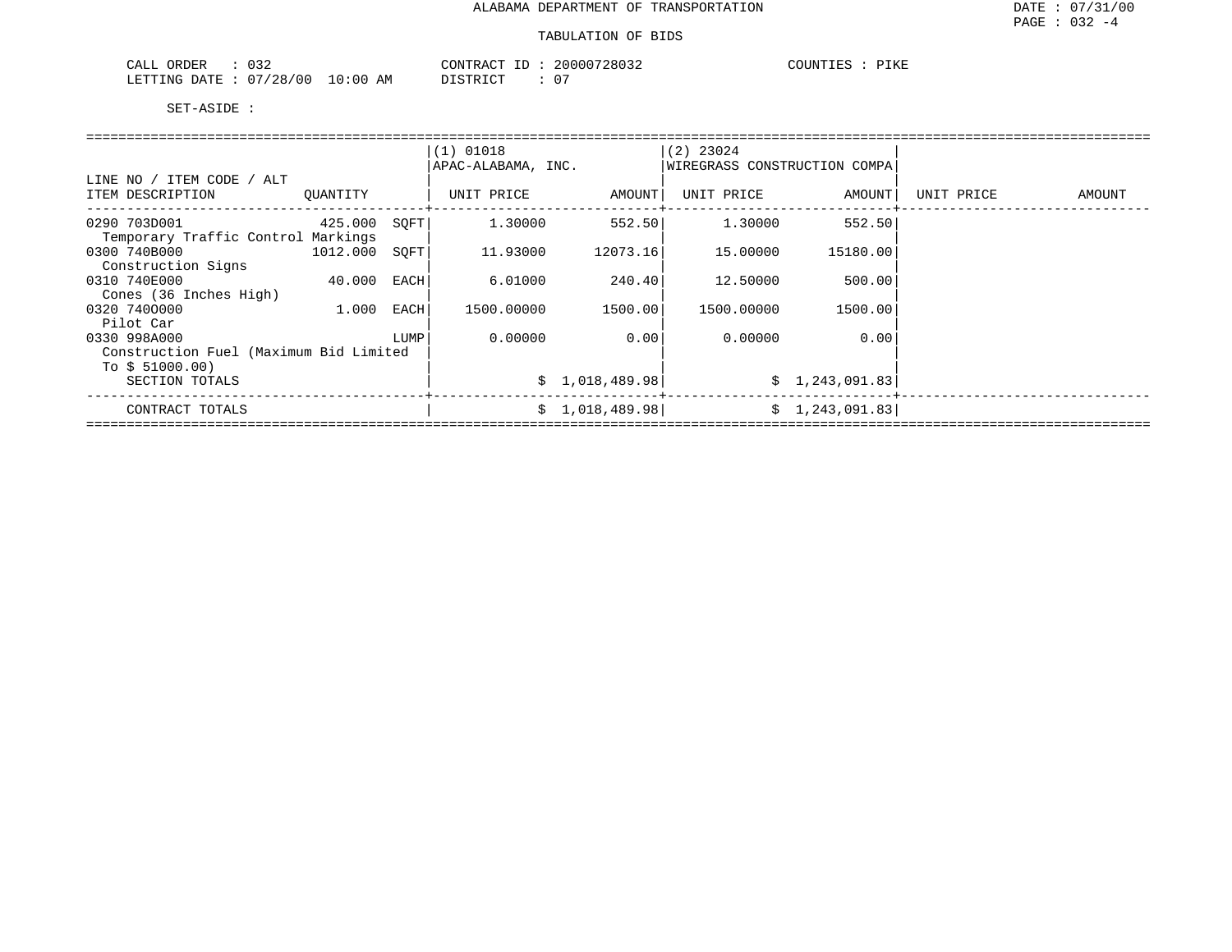| $\sim$ $\sim$ $\sim$<br>ORDER<br>$\sim$ $\sim$ $\sim$<br>ىلىلى | CONTRACT<br>ID                | 20000728032                   | PIKE<br>COUNTIES |
|----------------------------------------------------------------|-------------------------------|-------------------------------|------------------|
| 07/28/00<br>10:00<br>LETTING<br><b>DATE</b>                    | חים דפידים דרו<br>ΆM<br>----- | $\sim$ $\sim$<br>$\mathbf{u}$ |                  |

|                                        |          |      | $(1)$ 01018        |                 | $(2)$ 23024                  |                |            |        |
|----------------------------------------|----------|------|--------------------|-----------------|------------------------------|----------------|------------|--------|
|                                        |          |      | APAC-ALABAMA, INC. |                 | WIREGRASS CONSTRUCTION COMPA |                |            |        |
| LINE NO / ITEM CODE / ALT              |          |      |                    |                 |                              |                |            |        |
| ITEM DESCRIPTION                       | QUANTITY |      | UNIT PRICE         | AMOUNT          | UNIT PRICE                   | AMOUNT         | UNIT PRICE | AMOUNT |
| 0290 703D001                           | 425.000  | SOFT | 1,30000            | 552.50          | 1,30000                      | 552.50         |            |        |
| Temporary Traffic Control Markings     |          |      |                    |                 |                              |                |            |        |
| 0300 740B000                           | 1012.000 | SOFT | 11.93000           | 12073.16        | 15.00000                     | 15180.00       |            |        |
| Construction Signs                     |          |      |                    |                 |                              |                |            |        |
| 0310 740E000                           | 40.000   | EACH | 6.01000            | 240.401         | 12.50000                     | 500.00         |            |        |
| Cones (36 Inches High)                 |          |      |                    |                 |                              |                |            |        |
| 0320 7400000                           | 1.000    | EACH | 1500.00000         | 1500.00         | 1500.00000                   | 1500.00        |            |        |
| Pilot Car                              |          |      |                    |                 |                              |                |            |        |
| 0330 998A000                           |          | LUMP | 0.00000            | 0.001           | 0.00000                      | 0.00           |            |        |
| Construction Fuel (Maximum Bid Limited |          |      |                    |                 |                              |                |            |        |
| To $$51000.00)$                        |          |      |                    |                 |                              |                |            |        |
| SECTION TOTALS                         |          |      |                    | \$1,018,489.98] |                              | \$1,243,091.83 |            |        |
| CONTRACT TOTALS                        |          |      |                    | \$1,018,489.98] |                              | \$1,243,091.83 |            |        |
|                                        |          |      |                    |                 |                              |                |            |        |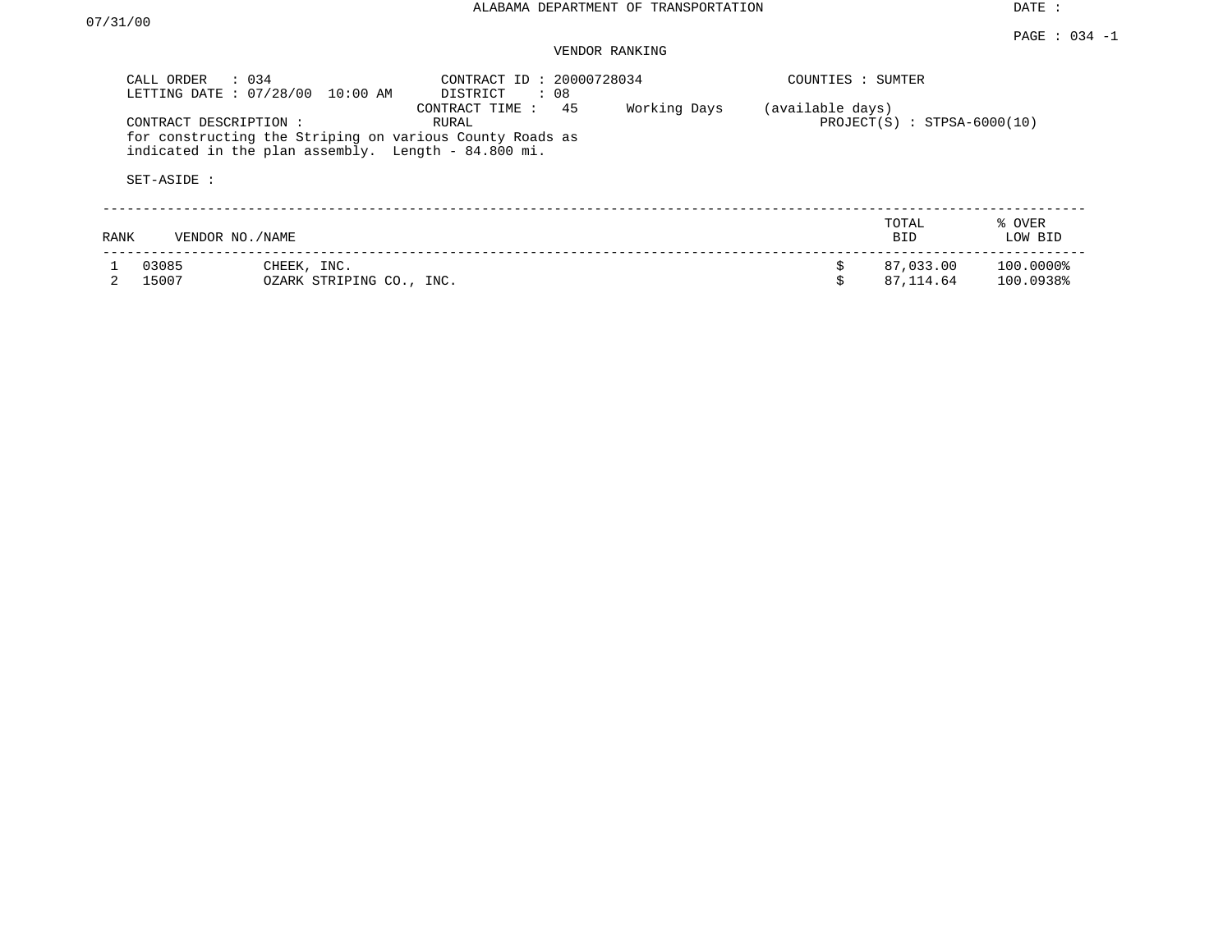DATE :

#### PAGE : 034 -1 VENDOR RANKING

|      | CALL ORDER<br>: 034<br>LETTING DATE: 07/28/00 | 10:00 AM                                                                                                        | CONTRACT ID: 20000728034<br>DISTRICT<br>$\therefore$ 08 |              | COUNTIES : SUMTER |                               |                        |
|------|-----------------------------------------------|-----------------------------------------------------------------------------------------------------------------|---------------------------------------------------------|--------------|-------------------|-------------------------------|------------------------|
|      | CONTRACT DESCRIPTION:<br>SET-ASIDE :          | for constructing the Striping on various County Roads as<br>indicated in the plan assembly. Length - 84.800 mi. | 45<br>CONTRACT TIME :<br>RURAL                          | Working Days | (available days)  | $PROJECT(S)$ : STPSA-6000(10) |                        |
| RANK | VENDOR NO./NAME                               |                                                                                                                 |                                                         |              |                   | TOTAL<br>BID.                 | % OVER<br>LOW BID      |
|      | 03085<br>15007                                | CHEEK, INC.<br>OZARK STRIPING CO., INC.                                                                         |                                                         |              |                   | 87,033.00<br>87, 114, 64      | 100.0000%<br>100.0938% |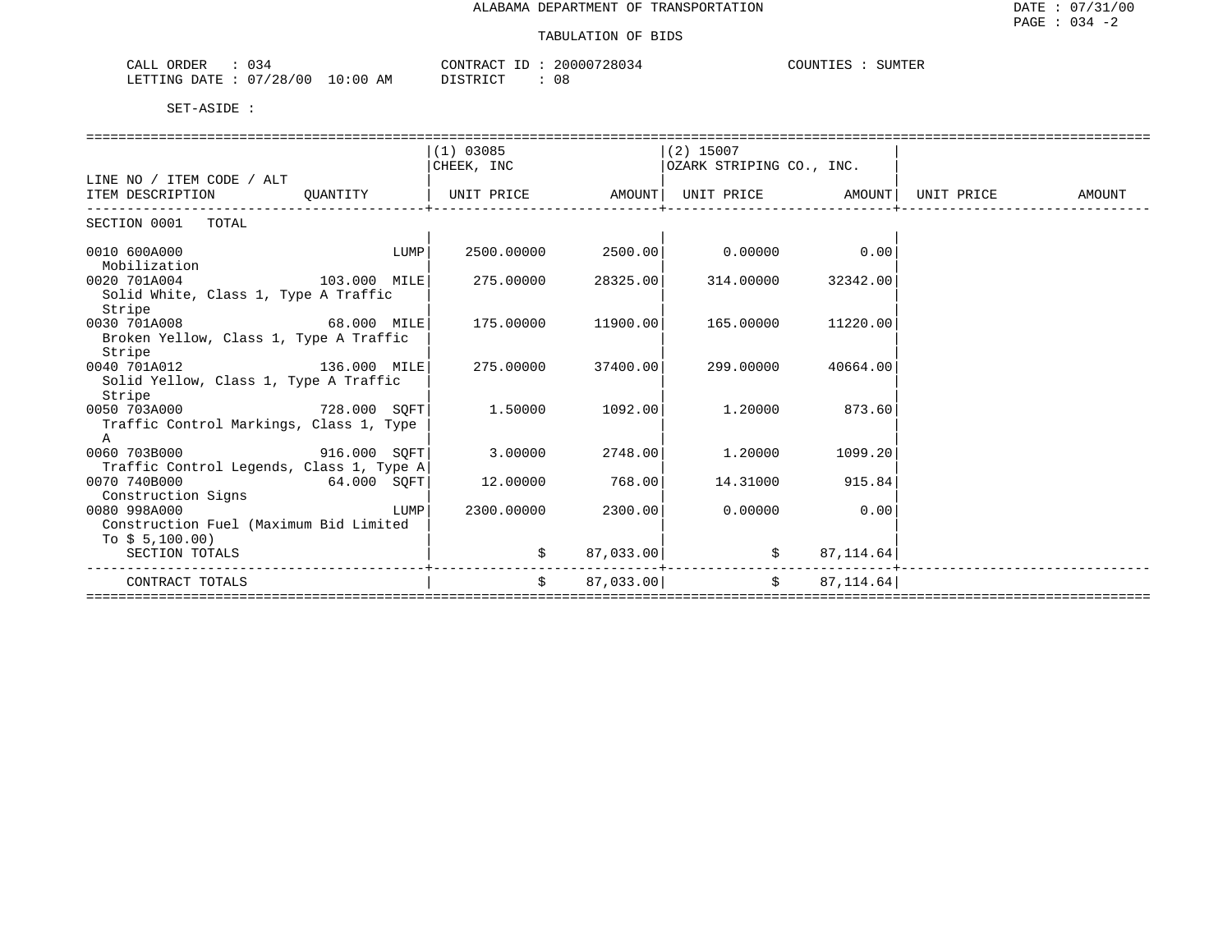| $\sim$ $\sim$<br>ORDER<br>▏≺∠<br>سسدت |             | $\cap$ $\cap$ $\cap$ $\cap$<br>. KACT           | '28034<br>20000 | COUNTIES<br>ATIN<br>SUMIER |
|---------------------------------------|-------------|-------------------------------------------------|-----------------|----------------------------|
| 07/28/00<br>LETTING<br>DATE           | 10:00<br>AΜ | $ +$ $\sim$ $-$<br>$\Gamma$<br><i>ມ</i> ⊥ມ⊥⊥⊾ພ⊥ | ΩC<br>UC.       |                            |

|                                          |              |      | $(1)$ 03085        |                    | $(2)$ 15007                |                                 |            |        |
|------------------------------------------|--------------|------|--------------------|--------------------|----------------------------|---------------------------------|------------|--------|
|                                          |              |      | CHEEK, INC         |                    | OZARK STRIPING CO., INC.   |                                 |            |        |
| LINE NO / ITEM CODE / ALT                |              |      |                    |                    |                            |                                 |            |        |
| ITEM DESCRIPTION                         | OUANTITY     |      | UNIT PRICE         |                    | AMOUNT   UNIT PRICE AMOUNT |                                 | UNIT PRICE | AMOUNT |
|                                          |              |      |                    |                    |                            |                                 |            |        |
| SECTION 0001 TOTAL                       |              |      |                    |                    |                            |                                 |            |        |
|                                          |              |      |                    |                    |                            |                                 |            |        |
| 0010 600A000                             |              | LUMP | 2500.00000 2500.00 |                    | $0.00000$ 0.00             |                                 |            |        |
| Mobilization                             |              |      |                    |                    |                            |                                 |            |        |
| 0020 701A004                             | 103.000 MILE |      |                    | 275.00000 28325.00 |                            | 314.00000 32342.00              |            |        |
| Solid White, Class 1, Type A Traffic     |              |      |                    |                    |                            |                                 |            |        |
| Stripe                                   |              |      |                    |                    |                            |                                 |            |        |
| 0030 701A008 68.000 MILE                 |              |      | 175.00000 11900.00 |                    | 165.00000                  | 11220.00                        |            |        |
| Broken Yellow, Class 1, Type A Traffic   |              |      |                    |                    |                            |                                 |            |        |
| Stripe                                   |              |      |                    |                    |                            |                                 |            |        |
| 0040 701A012 136.000 MILE                |              |      | 275.00000          | 37400.00           | 299.00000                  | 40664.00                        |            |        |
| Solid Yellow, Class 1, Type A Traffic    |              |      |                    |                    |                            |                                 |            |        |
| Stripe                                   |              |      |                    |                    |                            |                                 |            |        |
| 0050 703A000 728.000 SOFT                |              |      | 1.50000            | 1092.00            | 1.20000 873.60             |                                 |            |        |
| Traffic Control Markings, Class 1, Type  |              |      |                    |                    |                            |                                 |            |        |
| $\mathbf{A}$                             |              |      |                    |                    |                            |                                 |            |        |
| 0060 703B000 916.000 SOFT                |              |      | 3.00000 2748.00    |                    |                            | $1.20000$ 1099.20               |            |        |
| Traffic Control Legends, Class 1, Type A |              |      |                    |                    |                            |                                 |            |        |
| 0070 740B000<br>64.000 SQFT              |              |      | 12.00000           | 768.00             |                            | 14.31000 915.84                 |            |        |
| Construction Signs                       |              |      |                    |                    |                            |                                 |            |        |
| 0080 998A000                             |              | LUMP | 2300.00000         | 2300.00            | 0.00000                    | 0.00                            |            |        |
| Construction Fuel (Maximum Bid Limited   |              |      |                    |                    |                            |                                 |            |        |
| To $$5,100.00)$                          |              |      |                    |                    |                            |                                 |            |        |
| SECTION TOTALS                           |              |      | \$                 | 87,033.00          | $\ddot{s}$                 | 87,114.64                       |            |        |
|                                          |              |      |                    |                    |                            |                                 |            |        |
| CONTRACT TOTALS                          |              |      | $\ddot{s}$         | 87,033.00          |                            | $S$ and $S$<br>87, 114.64       |            |        |
|                                          |              |      |                    |                    |                            | =============================== |            |        |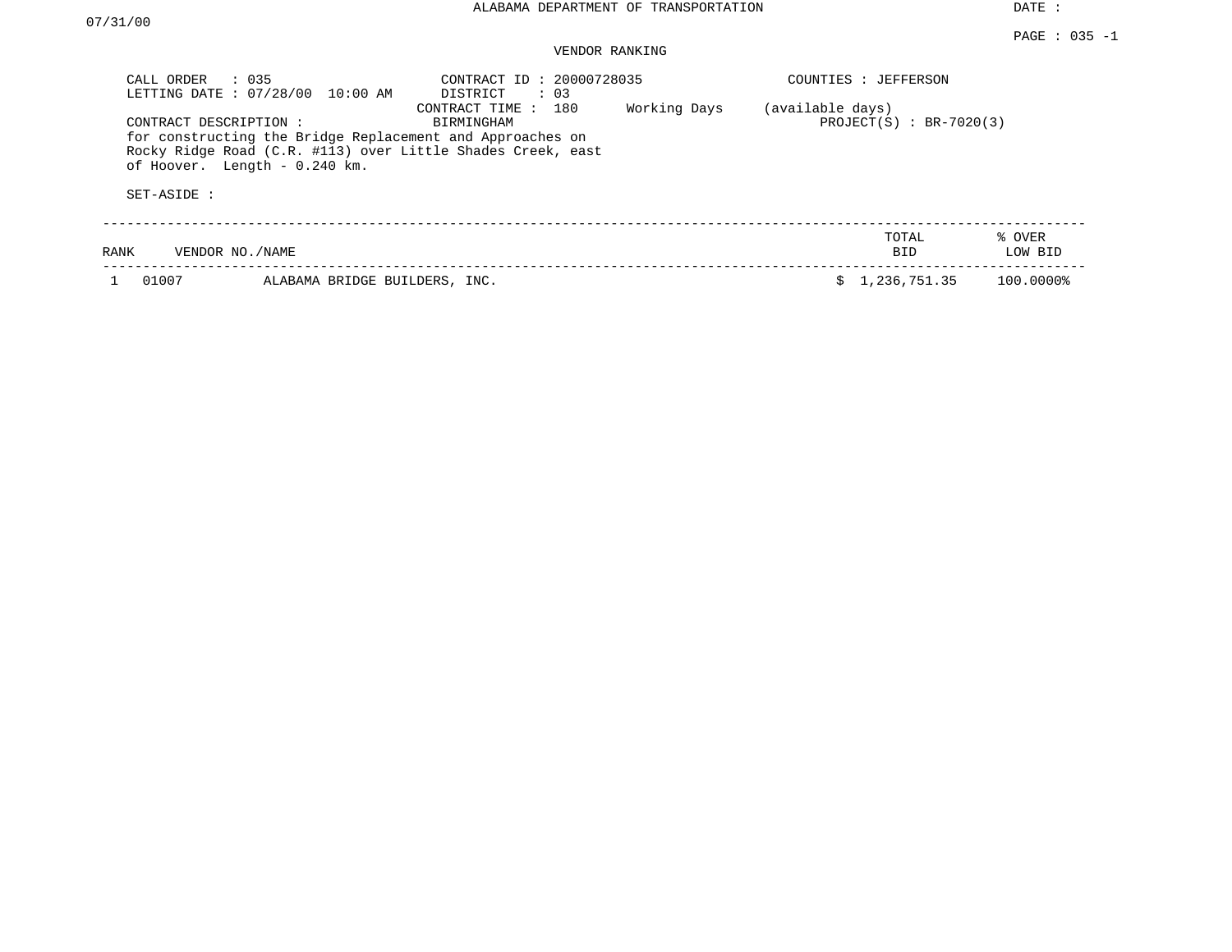DATE :

### VENDOR RANKING

| CALL ORDER<br>LETTING DATE: 07/28/00 | $\therefore$ 035<br>10:00 AM  | CONTRACT ID: 20000728035<br>DISTRICT<br>$\therefore$ 03                                                                                                       |              | COUNTIES : JEFFERSON                          |                   |
|--------------------------------------|-------------------------------|---------------------------------------------------------------------------------------------------------------------------------------------------------------|--------------|-----------------------------------------------|-------------------|
| CONTRACT DESCRIPTION:                | of Hoover. Length - 0.240 km. | CONTRACT TIME : 180<br>BIRMINGHAM<br>for constructing the Bridge Replacement and Approaches on<br>Rocky Ridge Road (C.R. #113) over Little Shades Creek, east | Working Days | (available days)<br>$PROJECT(S) : BR-7020(3)$ |                   |
| SET-ASIDE :                          |                               |                                                                                                                                                               |              |                                               |                   |
| RANK                                 | VENDOR NO./NAME               |                                                                                                                                                               |              | TOTAL<br>BID.                                 | % OVER<br>LOW BID |
| 01007                                | ALABAMA BRIDGE BUILDERS, INC. |                                                                                                                                                               |              | 1,236,751.35                                  | 100.0000%         |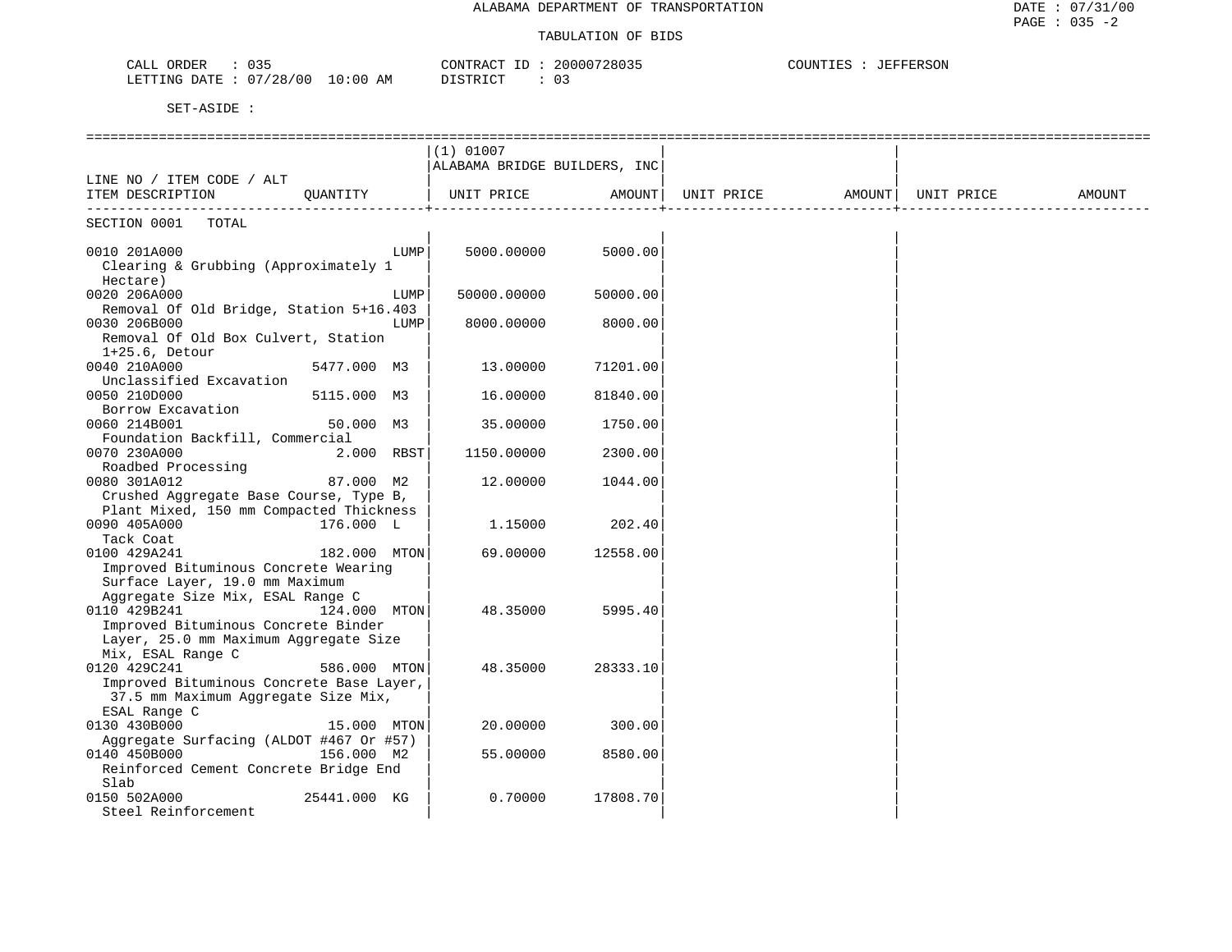| CALL ORDER<br>035               | CONTRACT ID: 20000728035 | COUNTIES : JEFFERSON |
|---------------------------------|--------------------------|----------------------|
| LETTING DATE: 07/28/00 10:00 AM | DISTRICT                 |                      |

|                                                                                 | $(1)$ 01007                  |          |            |        |            |        |
|---------------------------------------------------------------------------------|------------------------------|----------|------------|--------|------------|--------|
|                                                                                 | ALABAMA BRIDGE BUILDERS, INC |          |            |        |            |        |
| LINE NO / ITEM CODE / ALT                                                       |                              |          |            |        |            |        |
| ITEM DESCRIPTION<br>OUANTITY                                                    | UNIT PRICE                   | AMOUNT   | UNIT PRICE | AMOUNT | UNIT PRICE | AMOUNT |
| SECTION 0001<br>TOTAL                                                           |                              |          |            |        |            |        |
| 0010 201A000<br>LUMP                                                            | 5000.00000                   | 5000.00  |            |        |            |        |
| Clearing & Grubbing (Approximately 1                                            |                              |          |            |        |            |        |
| Hectare)                                                                        |                              |          |            |        |            |        |
| 0020 206A000<br>LUMP                                                            | 50000.00000                  | 50000.00 |            |        |            |        |
| Removal Of Old Bridge, Station 5+16.403                                         |                              |          |            |        |            |        |
| 0030 206B000<br>LUMP                                                            | 8000.00000                   | 8000.00  |            |        |            |        |
| Removal Of Old Box Culvert, Station                                             |                              |          |            |        |            |        |
| $1+25.6$ , Detour                                                               |                              |          |            |        |            |        |
| 0040 210A000<br>5477.000 M3                                                     | 13.00000                     | 71201.00 |            |        |            |        |
| Unclassified Excavation                                                         |                              |          |            |        |            |        |
| 0050 210D000<br>5115.000 M3                                                     | 16.00000                     | 81840.00 |            |        |            |        |
| Borrow Excavation                                                               |                              |          |            |        |            |        |
| 0060 214B001<br>50.000 M3                                                       | 35.00000                     | 1750.00  |            |        |            |        |
| Foundation Backfill, Commercial                                                 |                              |          |            |        |            |        |
| 0070 230A000<br>2.000 RBST                                                      | 1150.00000                   | 2300.00  |            |        |            |        |
| Roadbed Processing                                                              |                              |          |            |        |            |        |
| 0080 301A012<br>87.000 M2                                                       | 12.00000                     | 1044.00  |            |        |            |        |
| Crushed Aggregate Base Course, Type B,                                          |                              |          |            |        |            |        |
| Plant Mixed, 150 mm Compacted Thickness                                         |                              |          |            |        |            |        |
| 0090 405A000<br>176.000 L                                                       | 1,15000                      | 202.40   |            |        |            |        |
| Tack Coat                                                                       |                              |          |            |        |            |        |
| 182.000 MTON<br>0100 429A241                                                    | 69.00000                     | 12558.00 |            |        |            |        |
| Improved Bituminous Concrete Wearing                                            |                              |          |            |        |            |        |
| Surface Layer, 19.0 mm Maximum                                                  |                              |          |            |        |            |        |
| Aggregate Size Mix, ESAL Range C                                                |                              |          |            |        |            |        |
| 0110 429B241<br>124.000 MTON                                                    | 48.35000                     | 5995.40  |            |        |            |        |
| Improved Bituminous Concrete Binder                                             |                              |          |            |        |            |        |
| Layer, 25.0 mm Maximum Aggregate Size                                           |                              |          |            |        |            |        |
| Mix, ESAL Range C                                                               |                              |          |            |        |            |        |
| 586.000 MTON<br>0120 429C241                                                    | 48.35000                     | 28333.10 |            |        |            |        |
| Improved Bituminous Concrete Base Layer,<br>37.5 mm Maximum Aggregate Size Mix, |                              |          |            |        |            |        |
| ESAL Range C                                                                    |                              |          |            |        |            |        |
| 0130 430B000<br>15.000 MTON                                                     | 20.00000                     | 300.00   |            |        |            |        |
| Aggregate Surfacing (ALDOT #467 Or #57)                                         |                              |          |            |        |            |        |
| 0140 450B000<br>156.000 M2                                                      | 55.00000                     | 8580.00  |            |        |            |        |
| Reinforced Cement Concrete Bridge End                                           |                              |          |            |        |            |        |
| Slab                                                                            |                              |          |            |        |            |        |
| 0150 502A000<br>25441.000 KG                                                    | 0.70000                      | 17808.70 |            |        |            |        |
| Steel Reinforcement                                                             |                              |          |            |        |            |        |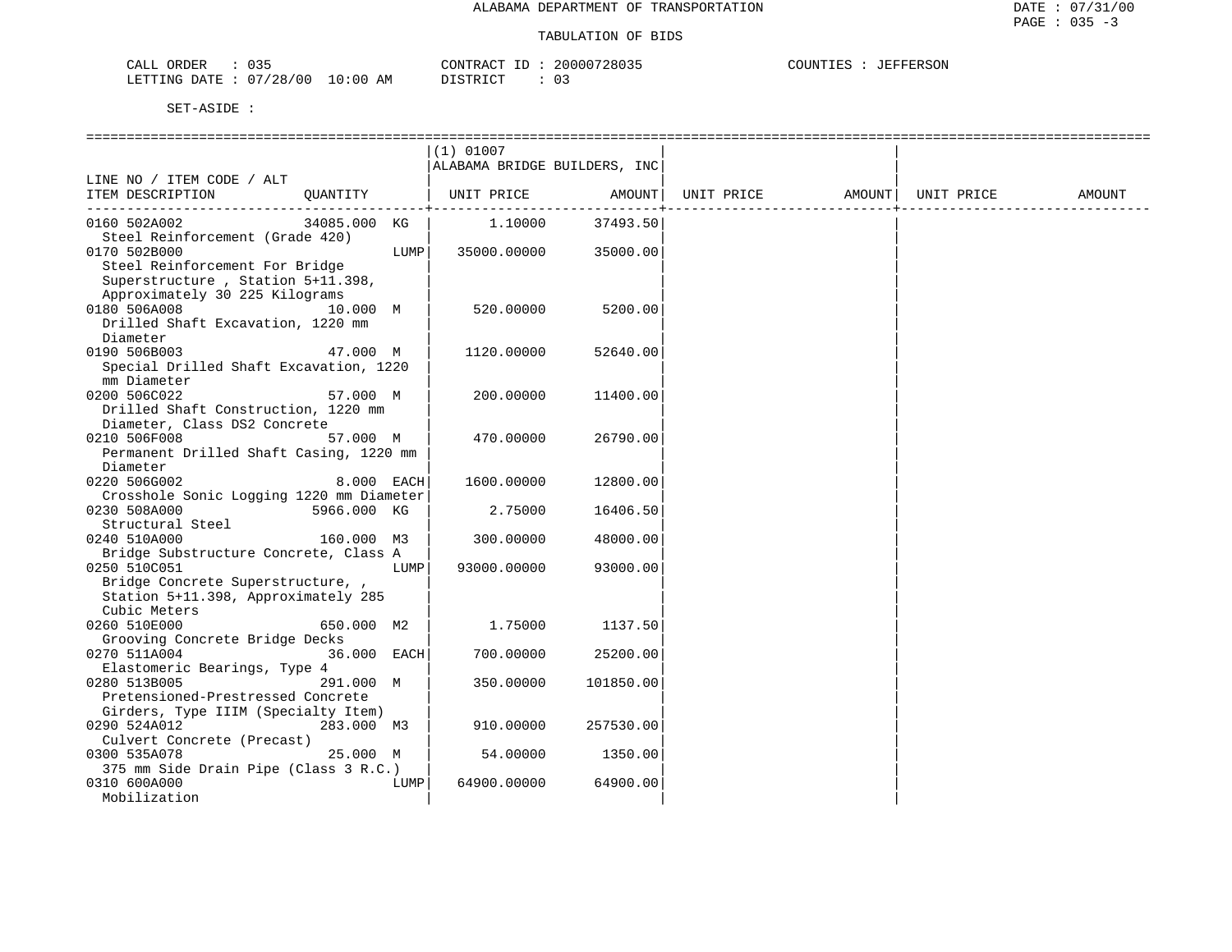| $\sim$ $\sim$ $\sim$<br>CALL<br>ORDER |             | CONTRACT      | 20000728035 | COUNTIES<br>JEFFERSON |
|---------------------------------------|-------------|---------------|-------------|-----------------------|
| 07/28/00<br>LETTING DATE :            | 10:00<br>AM | DISTRICT<br>. |             |                       |

|                                          |              |      | $(1)$ 01007                  |           |            |        |            |        |
|------------------------------------------|--------------|------|------------------------------|-----------|------------|--------|------------|--------|
|                                          |              |      | ALABAMA BRIDGE BUILDERS, INC |           |            |        |            |        |
| LINE NO / ITEM CODE / ALT                |              |      |                              |           |            |        |            |        |
| ITEM DESCRIPTION                         | QUANTITY     |      | UNIT PRICE                   | AMOUNT    | UNIT PRICE | AMOUNT | UNIT PRICE | AMOUNT |
|                                          |              |      |                              |           |            |        |            |        |
| 0160 502A002                             | 34085.000 KG |      | 1,10000                      | 37493.50  |            |        |            |        |
| Steel Reinforcement (Grade 420)          |              |      |                              |           |            |        |            |        |
| 0170 502B000                             |              | LUMP | 35000.00000                  | 35000.00  |            |        |            |        |
| Steel Reinforcement For Bridge           |              |      |                              |           |            |        |            |        |
| Superstructure, Station 5+11.398,        |              |      |                              |           |            |        |            |        |
| Approximately 30 225 Kilograms           |              |      |                              |           |            |        |            |        |
| 0180 506A008                             | 10.000 M     |      | 520.00000                    | 5200.00   |            |        |            |        |
| Drilled Shaft Excavation, 1220 mm        |              |      |                              |           |            |        |            |        |
| Diameter                                 |              |      |                              |           |            |        |            |        |
| 0190 506B003                             | 47.000 M     |      | 1120.00000                   | 52640.00  |            |        |            |        |
| Special Drilled Shaft Excavation, 1220   |              |      |                              |           |            |        |            |        |
| mm Diameter                              |              |      |                              |           |            |        |            |        |
| 0200 506C022                             | 57.000 M     |      | 200.00000                    | 11400.00  |            |        |            |        |
| Drilled Shaft Construction, 1220 mm      |              |      |                              |           |            |        |            |        |
| Diameter, Class DS2 Concrete             |              |      |                              |           |            |        |            |        |
| 0210 506F008                             | 57.000 M     |      | 470.00000                    | 26790.00  |            |        |            |        |
| Permanent Drilled Shaft Casing, 1220 mm  |              |      |                              |           |            |        |            |        |
| Diameter                                 |              |      |                              |           |            |        |            |        |
| 0220 506G002                             | 8.000 EACH   |      | 1600.00000                   | 12800.00  |            |        |            |        |
| Crosshole Sonic Logging 1220 mm Diameter |              |      |                              |           |            |        |            |        |
| 0230 508A000                             | 5966.000 KG  |      | 2.75000                      | 16406.50  |            |        |            |        |
| Structural Steel                         |              |      |                              |           |            |        |            |        |
| 0240 510A000                             | 160.000 M3   |      | 300.00000                    | 48000.00  |            |        |            |        |
| Bridge Substructure Concrete, Class A    |              |      |                              |           |            |        |            |        |
| 0250 510C051                             |              | LUMP | 93000.00000                  | 93000.00  |            |        |            |        |
| Bridge Concrete Superstructure,,         |              |      |                              |           |            |        |            |        |
| Station 5+11.398, Approximately 285      |              |      |                              |           |            |        |            |        |
| Cubic Meters                             |              |      |                              |           |            |        |            |        |
| 0260 510E000                             | 650.000 M2   |      | 1.75000                      | 1137.50   |            |        |            |        |
| Grooving Concrete Bridge Decks           |              |      |                              |           |            |        |            |        |
| 0270 511A004                             | 36.000 EACH  |      | 700.00000                    | 25200.00  |            |        |            |        |
| Elastomeric Bearings, Type 4             |              |      |                              |           |            |        |            |        |
| 0280 513B005                             | 291.000 M    |      | 350.00000                    | 101850.00 |            |        |            |        |
| Pretensioned-Prestressed Concrete        |              |      |                              |           |            |        |            |        |
| Girders, Type IIIM (Specialty Item)      |              |      |                              |           |            |        |            |        |
| 0290 524A012                             | 283.000 M3   |      | 910.00000                    | 257530.00 |            |        |            |        |
| Culvert Concrete (Precast)               |              |      |                              |           |            |        |            |        |
| 0300 535A078                             | 25.000 M     |      | 54.00000                     | 1350.00   |            |        |            |        |
| 375 mm Side Drain Pipe (Class 3 R.C.)    |              |      |                              |           |            |        |            |        |
| 0310 600A000                             |              | LUMP | 64900.00000                  | 64900.00  |            |        |            |        |
| Mobilization                             |              |      |                              |           |            |        |            |        |
|                                          |              |      |                              |           |            |        |            |        |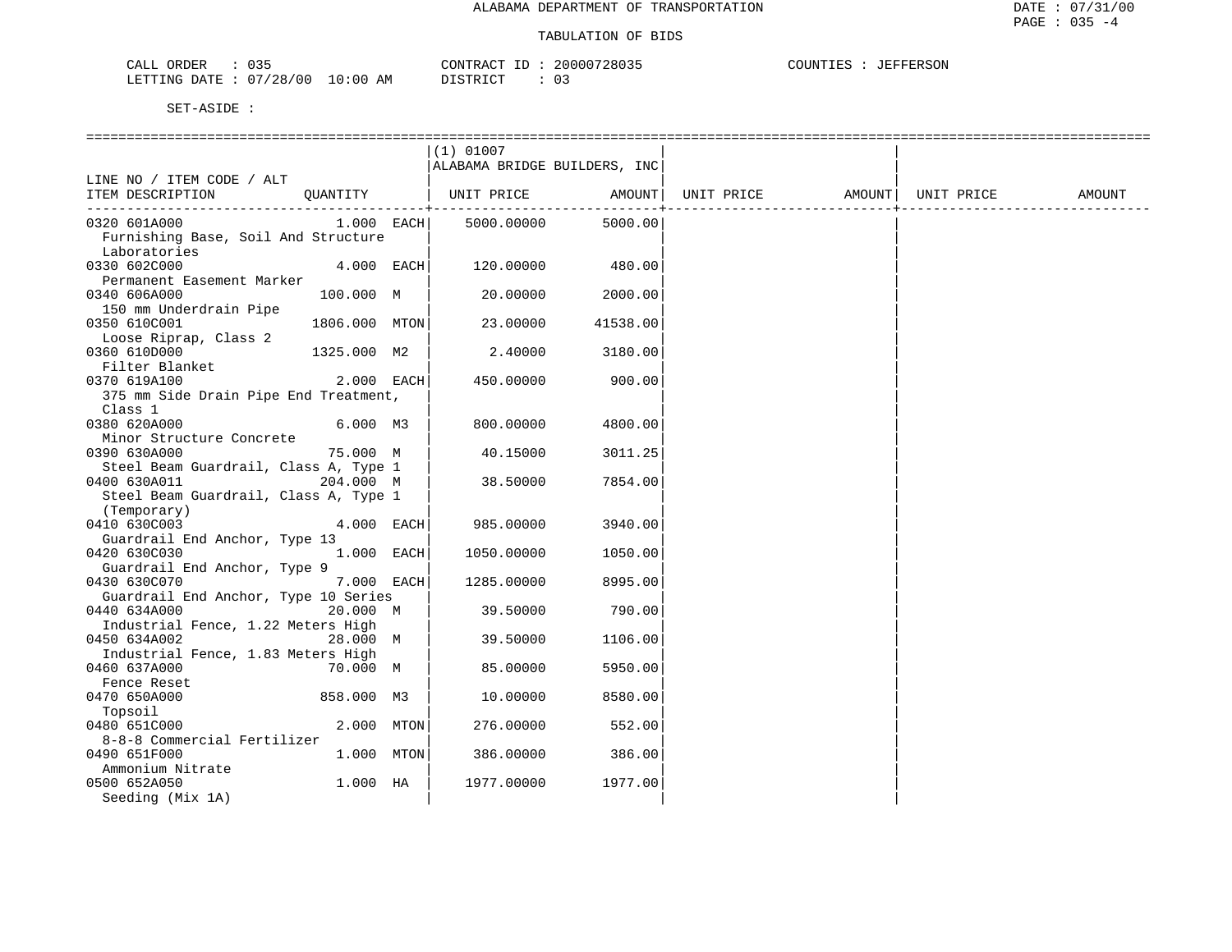| $\sim$ $\sim$ $\sim$<br>ORDER<br>CALL<br>, |                               | אידו וחר<br>$- -$<br>ີ່∺ັນປີຟ     | 20000728035 | COUNTIES<br>roomo gov<br>EFFERSON |
|--------------------------------------------|-------------------------------|-----------------------------------|-------------|-----------------------------------|
| '28/<br>700<br>LETTING DATE                | ΑM<br>$\cdot$ : 00<br>$\cdot$ | $T \cap T$<br>$\alpha$ mp<br>ו שי | ັບ          |                                   |

|                                       |               | $(1)$ 01007                  |                |                                |  |        |
|---------------------------------------|---------------|------------------------------|----------------|--------------------------------|--|--------|
|                                       |               | ALABAMA BRIDGE BUILDERS, INC |                |                                |  |        |
| LINE NO / ITEM CODE / ALT             |               |                              |                |                                |  |        |
| ITEM DESCRIPTION                      |               | QUANTITY   UNIT PRICE        | AMOUNT         | UNIT PRICE AMOUNT   UNIT PRICE |  | AMOUNT |
|                                       |               |                              | -------------+ |                                |  |        |
| 0320 601A000                          | $1.000$ EACH  | 5000.00000                   | 5000.00        |                                |  |        |
| Furnishing Base, Soil And Structure   |               |                              |                |                                |  |        |
|                                       |               |                              |                |                                |  |        |
| Laboratories                          |               |                              |                |                                |  |        |
| 0330 602C000                          | $4.000$ EACH  | 120.00000                    | 480.00         |                                |  |        |
| Permanent Easement Marker             |               |                              |                |                                |  |        |
| 0340 606A000                          | 100.000 M     | 20.00000                     | 2000.00        |                                |  |        |
| 150 mm Underdrain Pipe                |               |                              |                |                                |  |        |
| 0350 610C001                          | 1806.000 MTON | 23.00000                     | 41538.00       |                                |  |        |
| Loose Riprap, Class 2                 |               |                              |                |                                |  |        |
| 0360 610D000                          | 1325.000 M2   | 2.40000                      | 3180.00        |                                |  |        |
| Filter Blanket                        |               |                              |                |                                |  |        |
| 0370 619A100                          | $2.000$ EACH  | 450.00000                    | 900.00         |                                |  |        |
| 375 mm Side Drain Pipe End Treatment, |               |                              |                |                                |  |        |
|                                       |               |                              |                |                                |  |        |
| Class 1                               |               |                              |                |                                |  |        |
| 0380 620A000                          | 6.000 M3      | 800.00000                    | 4800.00        |                                |  |        |
| Minor Structure Concrete              |               |                              |                |                                |  |        |
| 0390 630A000                          | 75.000 M      | 40.15000                     | 3011.25        |                                |  |        |
| Steel Beam Guardrail, Class A, Type 1 |               |                              |                |                                |  |        |
| 0400 630A011                          | 204.000 M     | 38.50000                     | 7854.00        |                                |  |        |
| Steel Beam Guardrail, Class A, Type 1 |               |                              |                |                                |  |        |
| (Temporary)                           |               |                              |                |                                |  |        |
| 0410 630C003                          | 4.000 EACH    | 985.00000                    | 3940.00        |                                |  |        |
| Guardrail End Anchor, Type 13         |               |                              |                |                                |  |        |
| 0420 630C030                          | 1.000 EACH    | 1050.00000                   | 1050.00        |                                |  |        |
| Guardrail End Anchor, Type 9          |               |                              |                |                                |  |        |
|                                       |               |                              |                |                                |  |        |
| 0430 630C070                          | 7.000 EACH    | 1285.00000                   | 8995.00        |                                |  |        |
| Guardrail End Anchor, Type 10 Series  |               |                              |                |                                |  |        |
| 0440 634A000                          | 20.000 M      | 39.50000                     | 790.00         |                                |  |        |
| Industrial Fence, 1.22 Meters High    |               |                              |                |                                |  |        |
| 0450 634A002                          | 28.000 M      | 39.50000                     | 1106.00        |                                |  |        |
| Industrial Fence, 1.83 Meters High    |               |                              |                |                                |  |        |
| 0460 637A000                          | 70.000 M      | 85,00000                     | 5950.00        |                                |  |        |
| Fence Reset                           |               |                              |                |                                |  |        |
| 0470 650A000                          | 858.000 M3    | 10.00000                     | 8580.00        |                                |  |        |
| Topsoil                               |               |                              |                |                                |  |        |
| 0480 651C000                          | 2.000 MTON    | 276.00000                    | 552.00         |                                |  |        |
| 8-8-8 Commercial Fertilizer           |               |                              |                |                                |  |        |
| 0490 651F000                          | 1.000 MTON    | 386.00000                    | 386.00         |                                |  |        |
|                                       |               |                              |                |                                |  |        |
| Ammonium Nitrate                      |               |                              |                |                                |  |        |
| 0500 652A050                          | $1.000$ HA    | 1977.00000                   | 1977.00        |                                |  |        |
| Seeding (Mix 1A)                      |               |                              |                |                                |  |        |
|                                       |               |                              |                |                                |  |        |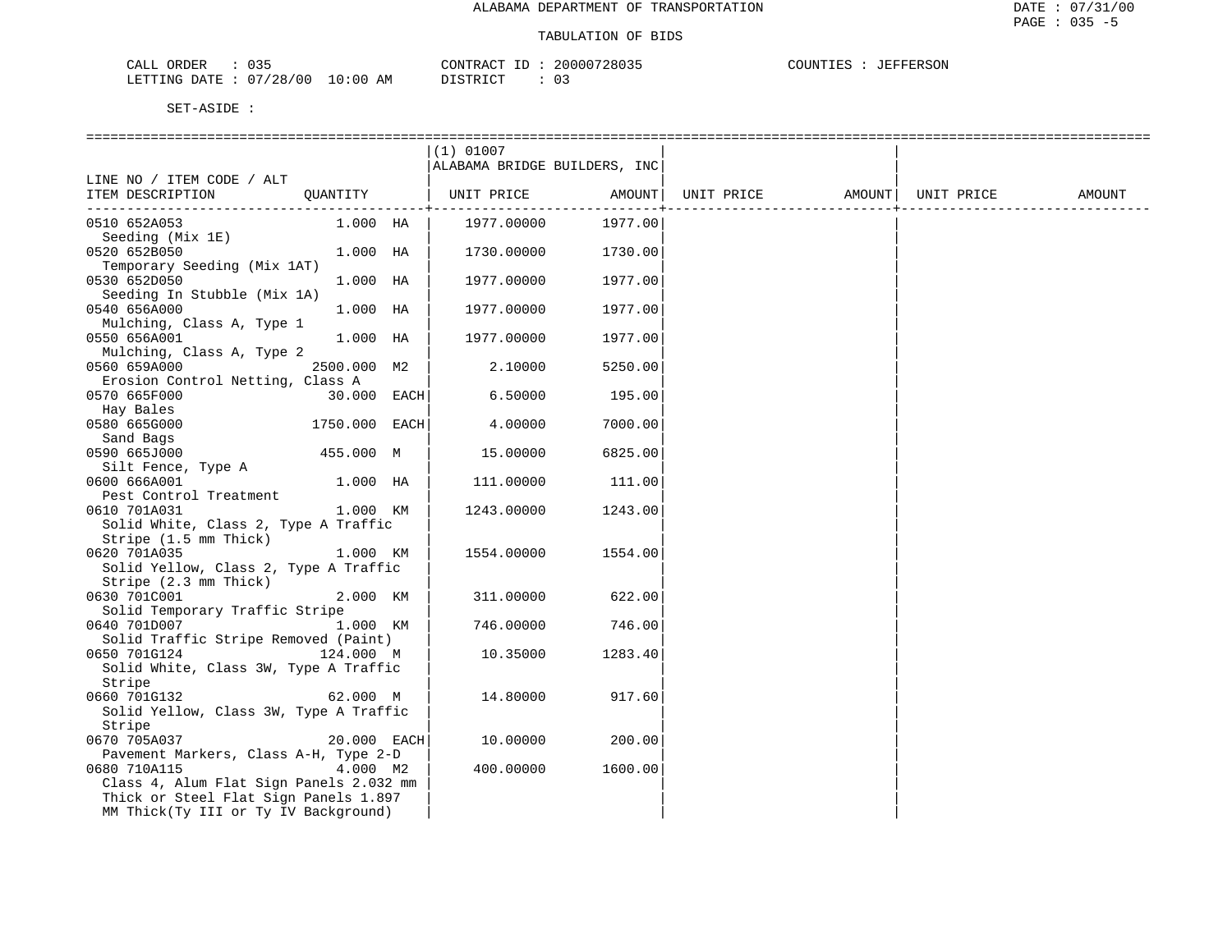| $\sim$ $\sim$ $\sim$<br>CALL<br>ORDER |             | CONTRACT      | 20000728035 | COUNTIES<br>JEFFERSON |
|---------------------------------------|-------------|---------------|-------------|-----------------------|
| 07/28/00<br>LETTING DATE :            | 10:00<br>AM | DISTRICT<br>. |             |                       |

|                                                  |               |      | $(1)$ 01007                  |          |            |        |            |        |
|--------------------------------------------------|---------------|------|------------------------------|----------|------------|--------|------------|--------|
|                                                  |               |      | ALABAMA BRIDGE BUILDERS, INC |          |            |        |            |        |
| LINE NO / ITEM CODE / ALT                        |               |      |                              |          |            |        |            |        |
| ITEM DESCRIPTION                                 | OUANTITY      |      | UNIT PRICE                   | AMOUNT   | UNIT PRICE | AMOUNT | UNIT PRICE | AMOUNT |
|                                                  |               |      |                              | -------- |            |        |            |        |
| 0510 652A053<br>Seeding (Mix 1E)                 | 1.000 HA      |      | 1977.00000                   | 1977.00  |            |        |            |        |
| 0520 652B050                                     | 1.000 HA      |      | 1730.00000                   | 1730.00  |            |        |            |        |
| Temporary Seeding (Mix 1AT)                      |               |      |                              |          |            |        |            |        |
| 0530 652D050                                     | 1.000 HA      |      | 1977.00000                   | 1977.00  |            |        |            |        |
| Seeding In Stubble (Mix 1A)                      |               |      |                              |          |            |        |            |        |
| 0540 656A000                                     | 1.000 HA      |      | 1977.00000                   | 1977.00  |            |        |            |        |
| Mulching, Class A, Type 1                        |               |      |                              |          |            |        |            |        |
| 0550 656A001<br>Mulching, Class A, Type 2        | 1.000 HA      |      | 1977.00000                   | 1977.00  |            |        |            |        |
| 0560 659A000                                     | 2500.000 M2   |      | 2.10000                      | 5250.00  |            |        |            |        |
| Erosion Control Netting, Class A                 |               |      |                              |          |            |        |            |        |
| 0570 665F000                                     | 30.000        | EACH | 6.50000                      | 195.00   |            |        |            |        |
| Hay Bales                                        |               |      |                              |          |            |        |            |        |
| 0580 665G000                                     | 1750.000 EACH |      | 4.00000                      | 7000.00  |            |        |            |        |
| Sand Bags                                        |               |      |                              |          |            |        |            |        |
| 0590 665J000                                     | 455.000 M     |      | 15.00000                     | 6825.00  |            |        |            |        |
| Silt Fence, Type A                               |               |      |                              |          |            |        |            |        |
| 0600 666A001                                     | 1.000 HA      |      | 111.00000                    | 111.00   |            |        |            |        |
| Pest Control Treatment                           |               |      |                              |          |            |        |            |        |
| 0610 701A031                                     | 1.000 KM      |      | 1243.00000                   | 1243.00  |            |        |            |        |
| Solid White, Class 2, Type A Traffic             |               |      |                              |          |            |        |            |        |
| Stripe (1.5 mm Thick)<br>0620 701A035            | 1.000 KM      |      | 1554.00000                   | 1554.00  |            |        |            |        |
| Solid Yellow, Class 2, Type A Traffic            |               |      |                              |          |            |        |            |        |
| Stripe (2.3 mm Thick)                            |               |      |                              |          |            |        |            |        |
| 0630 701C001                                     | 2.000 KM      |      | 311.00000                    | 622.00   |            |        |            |        |
| Solid Temporary Traffic Stripe                   |               |      |                              |          |            |        |            |        |
| 0640 701D007                                     | 1.000 KM      |      | 746.00000                    | 746.00   |            |        |            |        |
| Solid Traffic Stripe Removed (Paint)             |               |      |                              |          |            |        |            |        |
| 0650 701G124                                     | 124.000 M     |      | 10.35000                     | 1283.40  |            |        |            |        |
| Solid White, Class 3W, Type A Traffic            |               |      |                              |          |            |        |            |        |
| Stripe                                           |               |      |                              |          |            |        |            |        |
| 0660 701G132                                     | 62.000 M      |      | 14.80000                     | 917.60   |            |        |            |        |
| Solid Yellow, Class 3W, Type A Traffic<br>Stripe |               |      |                              |          |            |        |            |        |
| 0670 705A037                                     | 20.000 EACH   |      | 10.00000                     | 200.00   |            |        |            |        |
| Pavement Markers, Class A-H, Type 2-D            |               |      |                              |          |            |        |            |        |
| 0680 710A115                                     | 4.000 M2      |      | 400.00000                    | 1600.00  |            |        |            |        |
| Class 4, Alum Flat Sign Panels 2.032 mm          |               |      |                              |          |            |        |            |        |
| Thick or Steel Flat Sign Panels 1.897            |               |      |                              |          |            |        |            |        |
| MM Thick(Ty III or Ty IV Background)             |               |      |                              |          |            |        |            |        |
|                                                  |               |      |                              |          |            |        |            |        |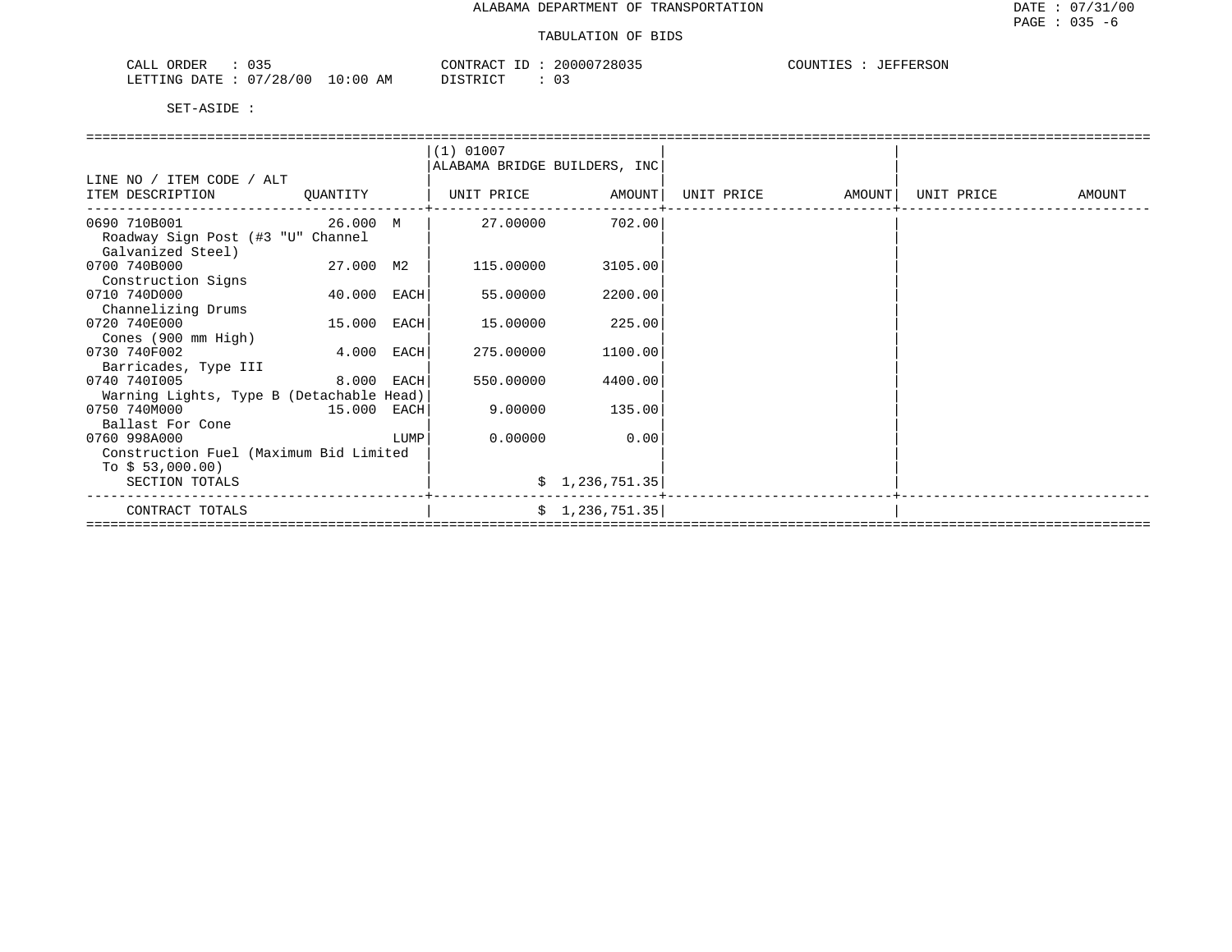| $\sim$ $\sim$ $\sim$<br>ORDER<br>CALL<br>U35 | CONTRACT                        | 20000728035 | COUNTIES<br>JEFFERSON |
|----------------------------------------------|---------------------------------|-------------|-----------------------|
| 1/00<br>/28<br>LETTING<br>Λ7<br>RATE:        | LO : 00<br><b>TOMOTOM</b><br>AΜ | UJ.         |                       |

|                                                            |             |      | $(1)$ 01007                  |                 |            |        |            |        |
|------------------------------------------------------------|-------------|------|------------------------------|-----------------|------------|--------|------------|--------|
|                                                            |             |      | ALABAMA BRIDGE BUILDERS, INC |                 |            |        |            |        |
| LINE NO / ITEM CODE / ALT                                  |             |      |                              |                 |            |        |            |        |
| ITEM DESCRIPTION                                           | OUANTITY    |      | UNIT PRICE                   | AMOUNT          | UNIT PRICE | AMOUNT | UNIT PRICE | AMOUNT |
| 0690 710B001                                               | — 26.000 м  |      | 27.00000                     | 702.00          |            |        |            |        |
| Roadway Sign Post (#3 "U" Channel                          |             |      |                              |                 |            |        |            |        |
| Galvanized Steel)                                          |             |      |                              |                 |            |        |            |        |
| 0700 740B000                                               | 27.000 M2   |      | 115,00000                    | 3105.00         |            |        |            |        |
| Construction Signs                                         |             |      |                              |                 |            |        |            |        |
| 0710 740D000                                               | 40.000 EACH |      | 55.00000                     | 2200.00         |            |        |            |        |
| Channelizing Drums                                         |             |      |                              |                 |            |        |            |        |
| 0720 740E000                                               | 15.000 EACH |      | 15.00000                     | 225.00          |            |        |            |        |
| Cones (900 mm High)                                        |             |      |                              |                 |            |        |            |        |
| 0730 740F002                                               | 4.000 EACH  |      | 275.00000                    | 1100.00         |            |        |            |        |
| Barricades, Type III                                       |             |      |                              |                 |            |        |            |        |
| 0740 7401005                                               | 8.000 EACH  |      | 550.00000                    | 4400.00         |            |        |            |        |
| Warning Lights, Type B (Detachable Head)                   |             |      |                              |                 |            |        |            |        |
| 0750 740M000                                               | 15.000 EACH |      | 9.00000                      | 135.00          |            |        |            |        |
| Ballast For Cone                                           |             |      | 0.00000                      |                 |            |        |            |        |
| 0760 998A000                                               |             | LUMP |                              | 0.00            |            |        |            |        |
| Construction Fuel (Maximum Bid Limited<br>To $$53,000.00)$ |             |      |                              |                 |            |        |            |        |
| SECTION TOTALS                                             |             |      |                              | \$1,236,751.35  |            |        |            |        |
|                                                            |             |      |                              |                 |            |        |            |        |
| CONTRACT TOTALS                                            |             |      |                              | \$1,236,751.35] |            |        |            |        |
|                                                            |             |      |                              |                 |            |        |            |        |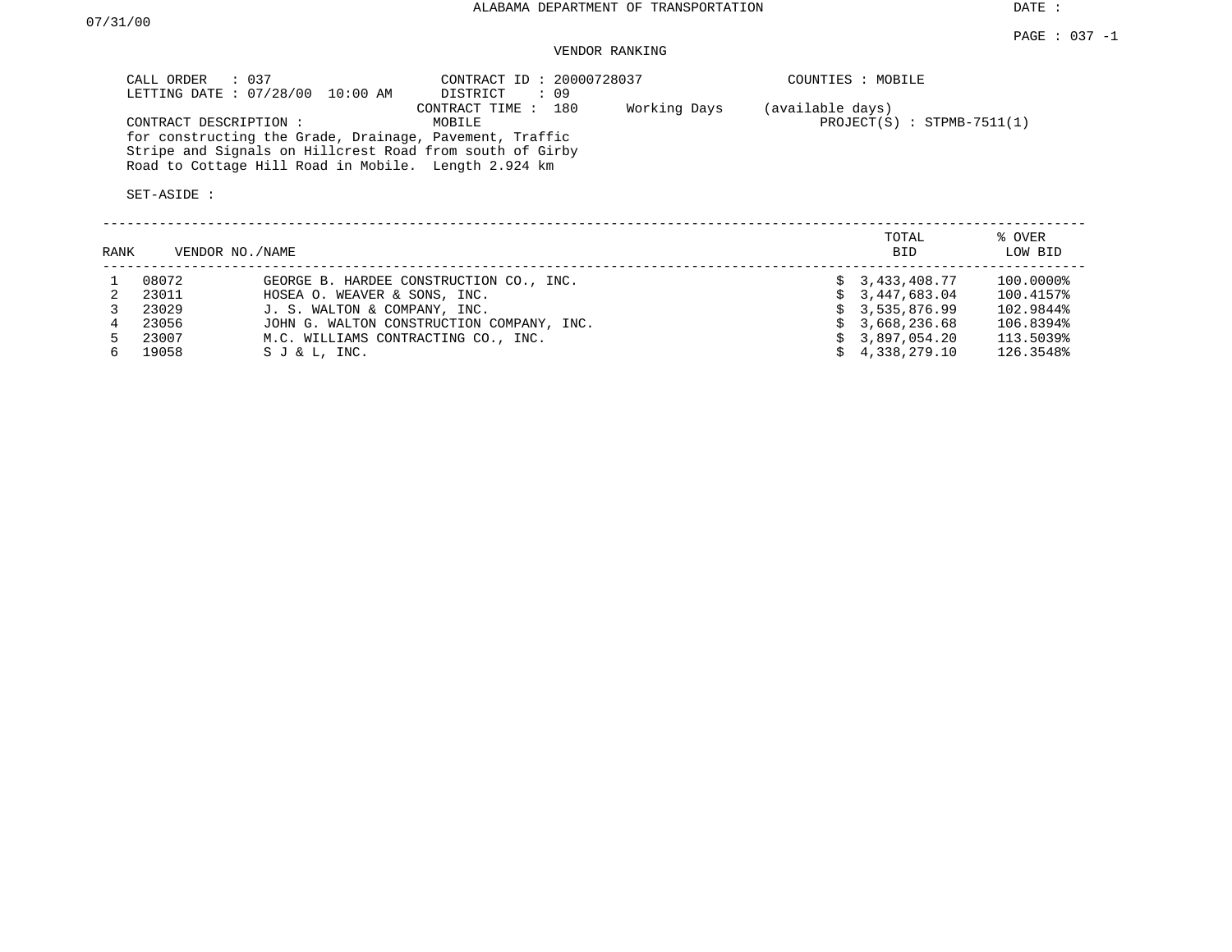## VENDOR RANKING

| CALL ORDER : 037<br>LETTING DATE: 07/28/00 10:00 AM                                                                                                                                                  | CONTRACT ID: 20000728037<br>$\therefore$ 09<br>DISTRICT | COUNTIES : MOBILE                                |
|------------------------------------------------------------------------------------------------------------------------------------------------------------------------------------------------------|---------------------------------------------------------|--------------------------------------------------|
| CONTRACT DESCRIPTION:<br>for constructing the Grade, Drainage, Pavement, Traffic<br>Stripe and Signals on Hillcrest Road from south of Girby<br>Road to Cottage Hill Road in Mobile. Length 2.924 km | Working Days<br>CONTRACT TIME : 180<br>MOBILE           | (available days)<br>$PROJECT(S)$ : STPMB-7511(1) |
| SET-ASIDE:                                                                                                                                                                                           |                                                         |                                                  |

| RANK |       | VENDOR NO./NAME                           | TOTAL<br><b>BID</b>    | % OVER<br>LOW BID |
|------|-------|-------------------------------------------|------------------------|-------------------|
|      | 08072 | GEORGE B. HARDEE CONSTRUCTION CO., INC.   | \$3,433,408.77         | 100.0000%         |
|      | 23011 | HOSEA O. WEAVER & SONS, INC.              | \$3,447,683.04         | 100.4157%         |
|      | 23029 | J. S. WALTON & COMPANY, INC.              | \$3,535,876.99         | 102.9844%         |
|      | 23056 | JOHN G. WALTON CONSTRUCTION COMPANY, INC. | \$3,668,236.68         | 106.8394%         |
|      | 23007 | M.C. WILLIAMS CONTRACTING CO., INC.       | \$3.897.054.20         | 113.5039%         |
| 6.   | 19058 | $S J & L$ , INC.                          | $\sin 4, 338, 279, 10$ | 126.3548%         |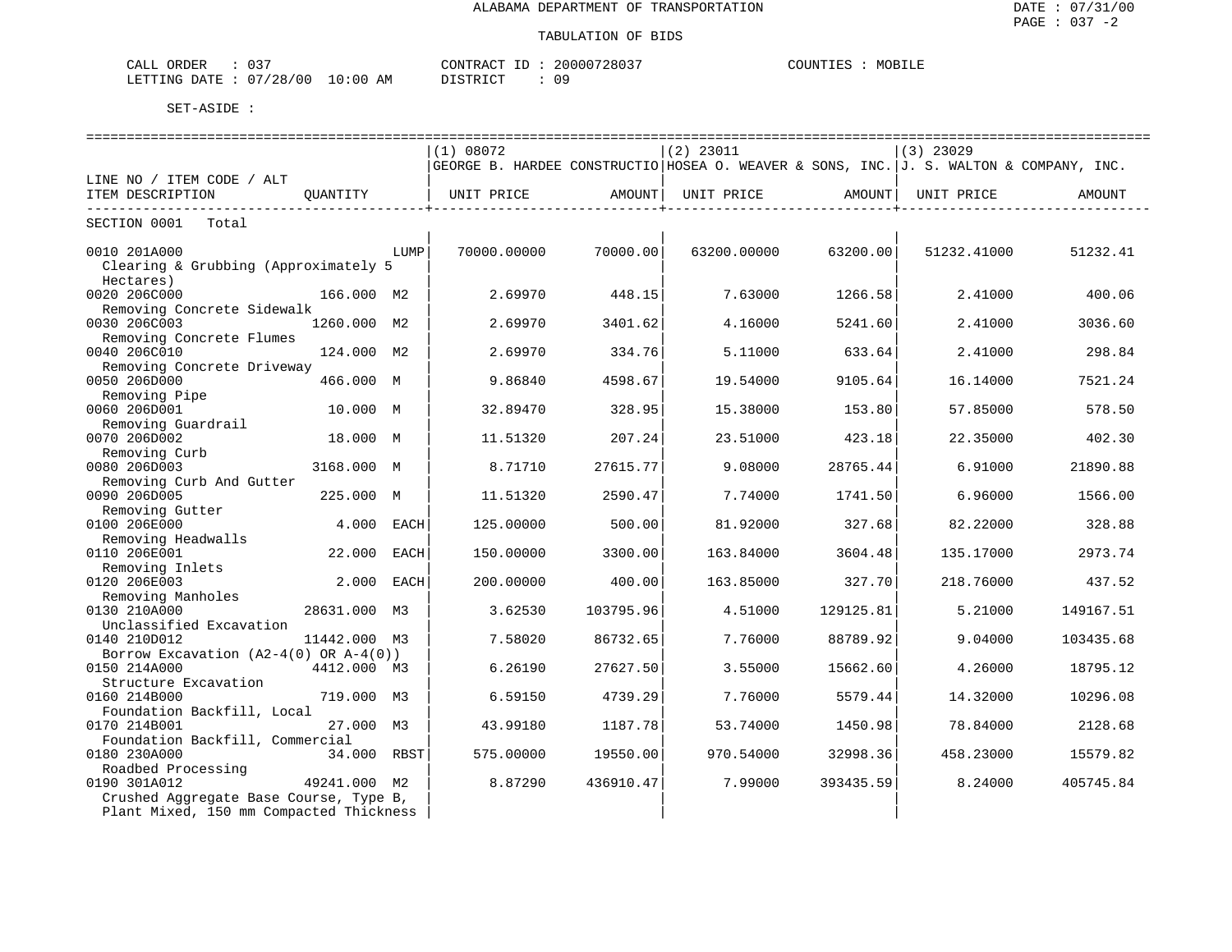| $\cap$ $\cap$<br>ORDER<br>CALL<br>ັບລ        |             | CONTRACT<br>$- -$ | 20000728037 | COUNTIES<br>๚∪฿⊥⊥แ |
|----------------------------------------------|-------------|-------------------|-------------|--------------------|
| 07/28/00<br>'ETTING<br>DATE<br>___<br>$\sim$ | 10:00<br>AΜ | דת דפידי את       | ററ          |                    |

|                                            |              |      | (1) 08072   |           | $(2)$ 23011                                                                            |           | $(3)$ 23029 |           |  |  |
|--------------------------------------------|--------------|------|-------------|-----------|----------------------------------------------------------------------------------------|-----------|-------------|-----------|--|--|
|                                            |              |      |             |           | GEORGE B. HARDEE CONSTRUCTIO HOSEA O. WEAVER & SONS, INC. J. S. WALTON & COMPANY, INC. |           |             |           |  |  |
| LINE NO / ITEM CODE / ALT                  |              |      |             |           |                                                                                        |           |             |           |  |  |
| ITEM DESCRIPTION                           | OUANTITY     |      | UNIT PRICE  | AMOUNT    | UNIT PRICE                                                                             | AMOUNT    | UNIT PRICE  | AMOUNT    |  |  |
|                                            |              |      |             |           |                                                                                        |           |             |           |  |  |
| SECTION 0001<br>Total                      |              |      |             |           |                                                                                        |           |             |           |  |  |
| 0010 201A000                               |              | LUMP | 70000.00000 | 70000.00  | 63200.00000                                                                            | 63200.00  | 51232.41000 | 51232.41  |  |  |
| Clearing & Grubbing (Approximately 5       |              |      |             |           |                                                                                        |           |             |           |  |  |
| Hectares)                                  |              |      |             |           |                                                                                        |           |             |           |  |  |
| 0020 206C000                               | 166.000 M2   |      | 2.69970     | 448.15    | 7.63000                                                                                | 1266.58   | 2.41000     | 400.06    |  |  |
| Removing Concrete Sidewalk                 |              |      |             |           |                                                                                        |           |             |           |  |  |
| 0030 206C003                               | 1260.000 M2  |      | 2.69970     | 3401.62   | 4.16000                                                                                | 5241.60   | 2.41000     | 3036.60   |  |  |
| Removing Concrete Flumes                   |              |      |             |           |                                                                                        |           |             |           |  |  |
| 0040 206C010                               | 124.000 M2   |      | 2.69970     | 334.76    | 5.11000                                                                                | 633.64    | 2.41000     | 298.84    |  |  |
| Removing Concrete Driveway                 |              |      |             |           |                                                                                        |           |             |           |  |  |
| 0050 206D000                               | 466.000 M    |      | 9.86840     | 4598.67   | 19.54000                                                                               | 9105.64   | 16.14000    | 7521.24   |  |  |
| Removing Pipe                              |              |      |             |           |                                                                                        |           |             |           |  |  |
| 0060 206D001                               | 10.000 M     |      | 32.89470    | 328.95    | 15.38000                                                                               | 153.80    | 57.85000    | 578.50    |  |  |
| Removing Guardrail                         |              |      |             |           |                                                                                        |           |             |           |  |  |
| 0070 206D002                               | 18.000 M     |      | 11.51320    | 207.24    | 23.51000                                                                               | 423.18    | 22.35000    | 402.30    |  |  |
| Removing Curb                              |              |      |             |           |                                                                                        |           |             |           |  |  |
| 0080 206D003                               | 3168.000 M   |      | 8.71710     | 27615.77  | 9.08000                                                                                | 28765.44  | 6.91000     | 21890.88  |  |  |
| Removing Curb And Gutter                   |              |      |             |           |                                                                                        |           |             |           |  |  |
| 0090 206D005                               | 225.000 M    |      | 11.51320    | 2590.47   | 7.74000                                                                                | 1741.50   | 6.96000     | 1566.00   |  |  |
| Removing Gutter                            |              |      |             |           |                                                                                        |           |             |           |  |  |
| 0100 206E000                               | 4.000 EACH   |      | 125.00000   | 500.00    | 81.92000                                                                               | 327.68    | 82.22000    | 328.88    |  |  |
| Removing Headwalls                         |              |      |             |           |                                                                                        |           |             |           |  |  |
| 0110 206E001                               | 22.000       | EACH | 150.00000   | 3300.00   | 163.84000                                                                              | 3604.48   | 135.17000   | 2973.74   |  |  |
| Removing Inlets                            |              |      |             |           |                                                                                        |           |             |           |  |  |
| 0120 206E003                               | 2.000 EACH   |      | 200.00000   | 400.00    | 163.85000                                                                              | 327.70    | 218.76000   | 437.52    |  |  |
| Removing Manholes                          |              |      |             |           |                                                                                        |           |             |           |  |  |
| 0130 210A000                               | 28631.000 M3 |      | 3.62530     | 103795.96 | 4.51000                                                                                | 129125.81 | 5.21000     | 149167.51 |  |  |
| Unclassified Excavation                    |              |      |             |           |                                                                                        |           |             |           |  |  |
| 0140 210D012                               | 11442.000 M3 |      | 7.58020     | 86732.65  | 7.76000                                                                                | 88789.92  | 9.04000     | 103435.68 |  |  |
| Borrow Excavation $(A2-4(0)$ OR $A-4(0)$ ) |              |      |             |           |                                                                                        |           |             |           |  |  |
| 0150 214A000                               | 4412.000 M3  |      | 6.26190     | 27627.50  | 3.55000                                                                                | 15662.60  | 4.26000     | 18795.12  |  |  |
| Structure Excavation                       |              |      |             |           |                                                                                        |           |             |           |  |  |
| 0160 214B000                               | 719.000 M3   |      | 6.59150     | 4739.29   | 7.76000                                                                                | 5579.44   | 14.32000    | 10296.08  |  |  |
| Foundation Backfill, Local                 |              |      |             |           |                                                                                        |           |             |           |  |  |
| 0170 214B001                               | 27.000 M3    |      | 43.99180    | 1187.78   | 53.74000                                                                               | 1450.98   | 78.84000    | 2128.68   |  |  |
| Foundation Backfill, Commercial            |              |      |             |           |                                                                                        |           |             |           |  |  |
| 0180 230A000                               | 34.000 RBST  |      | 575.00000   | 19550.00  | 970.54000                                                                              | 32998.36  | 458.23000   | 15579.82  |  |  |
| Roadbed Processing                         |              |      |             |           |                                                                                        |           |             |           |  |  |
| 0190 301A012                               | 49241.000 M2 |      | 8.87290     | 436910.47 | 7.99000                                                                                | 393435.59 | 8.24000     | 405745.84 |  |  |
| Crushed Aggregate Base Course, Type B,     |              |      |             |           |                                                                                        |           |             |           |  |  |
| Plant Mixed, 150 mm Compacted Thickness    |              |      |             |           |                                                                                        |           |             |           |  |  |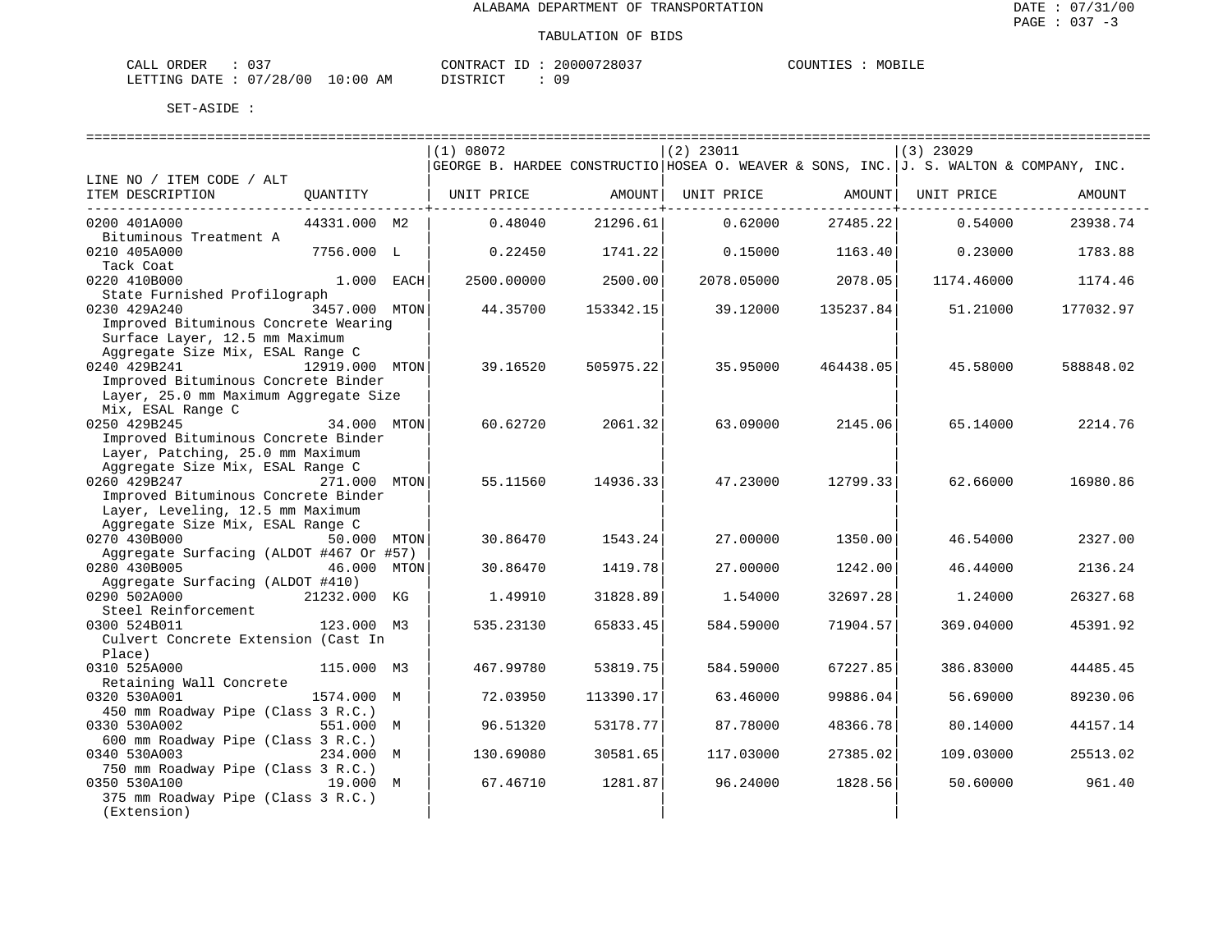| CALL ORDER                       |  |          | CONTRACT ID: 20000728037 | COUNTIES | MOBILE |
|----------------------------------|--|----------|--------------------------|----------|--------|
| LETTING DATE : 07/28/00 10:00 AM |  | PISTRICT |                          |          |        |

|                                                                      |                | (1) 08072                                                                              |                                    | $(2)$ 23011 |                    | $(3)$ 23029 |           |
|----------------------------------------------------------------------|----------------|----------------------------------------------------------------------------------------|------------------------------------|-------------|--------------------|-------------|-----------|
|                                                                      |                | GEORGE B. HARDEE CONSTRUCTIO HOSEA O. WEAVER & SONS, INC. J. S. WALTON & COMPANY, INC. |                                    |             |                    |             |           |
| LINE NO / ITEM CODE / ALT<br>ITEM DESCRIPTION                        | QUANTITY       | UNIT PRICE                                                                             | AMOUNT                             | UNIT PRICE  | AMOUNT             | UNIT PRICE  | AMOUNT    |
|                                                                      |                |                                                                                        | ------------- <del>-------</del> - |             | ------------------ |             |           |
| 0200 401A000                                                         | 44331.000 M2   | 0.48040                                                                                | 21296.61                           | 0.62000     | 27485.22           | 0.54000     | 23938.74  |
| Bituminous Treatment A                                               |                |                                                                                        |                                    |             |                    |             |           |
| 0210 405A000                                                         | 7756.000 L     | 0.22450                                                                                | 1741.22                            | 0.15000     | 1163.40            | 0.23000     | 1783.88   |
| Tack Coat<br>0220 410B000                                            | 1.000 EACH     | 2500.00000                                                                             | 2500.00                            | 2078.05000  | 2078.05            | 1174.46000  | 1174.46   |
| State Furnished Profilograph                                         |                |                                                                                        |                                    |             |                    |             |           |
| 0230 429A240                                                         | 3457.000 MTON  | 44.35700                                                                               | 153342.15                          | 39.12000    | 135237.84          | 51.21000    | 177032.97 |
| Improved Bituminous Concrete Wearing                                 |                |                                                                                        |                                    |             |                    |             |           |
| Surface Layer, 12.5 mm Maximum                                       |                |                                                                                        |                                    |             |                    |             |           |
| Aggregate Size Mix, ESAL Range C                                     |                |                                                                                        |                                    |             |                    |             |           |
| 0240 429B241                                                         | 12919.000 MTON | 39.16520                                                                               | 505975.22                          | 35.95000    | 464438.05          | 45.58000    | 588848.02 |
| Improved Bituminous Concrete Binder                                  |                |                                                                                        |                                    |             |                    |             |           |
| Layer, 25.0 mm Maximum Aggregate Size                                |                |                                                                                        |                                    |             |                    |             |           |
| Mix, ESAL Range C                                                    |                |                                                                                        |                                    |             |                    |             |           |
| 0250 429B245                                                         | 34.000 MTON    | 60.62720                                                                               | 2061.32                            | 63.09000    | 2145.06            | 65.14000    | 2214.76   |
| Improved Bituminous Concrete Binder                                  |                |                                                                                        |                                    |             |                    |             |           |
| Layer, Patching, 25.0 mm Maximum                                     |                |                                                                                        |                                    |             |                    |             |           |
| Aggregate Size Mix, ESAL Range C                                     |                |                                                                                        |                                    |             |                    |             |           |
| 0260 429B247                                                         | 271.000 MTON   | 55.11560                                                                               | 14936.33                           | 47.23000    | 12799.33           | 62.66000    | 16980.86  |
| Improved Bituminous Concrete Binder                                  |                |                                                                                        |                                    |             |                    |             |           |
| Layer, Leveling, 12.5 mm Maximum<br>Aggregate Size Mix, ESAL Range C |                |                                                                                        |                                    |             |                    |             |           |
| 0270 430B000                                                         | 50.000 MTON    | 30.86470                                                                               | 1543.24                            | 27.00000    | 1350.00            | 46.54000    | 2327.00   |
| Aggregate Surfacing (ALDOT #467 Or #57)                              |                |                                                                                        |                                    |             |                    |             |           |
| 0280 430B005                                                         | 46.000 MTON    | 30.86470                                                                               | 1419.78                            | 27.00000    | 1242.00            | 46.44000    | 2136.24   |
| Aggregate Surfacing (ALDOT #410)                                     |                |                                                                                        |                                    |             |                    |             |           |
| 0290 502A000                                                         | 21232.000 KG   | 1.49910                                                                                | 31828.89                           | 1.54000     | 32697.28           | 1,24000     | 26327.68  |
| Steel Reinforcement                                                  |                |                                                                                        |                                    |             |                    |             |           |
| 0300 524B011                                                         | 123.000 M3     | 535.23130                                                                              | 65833.45                           | 584.59000   | 71904.57           | 369.04000   | 45391.92  |
| Culvert Concrete Extension (Cast In                                  |                |                                                                                        |                                    |             |                    |             |           |
| Place)                                                               |                |                                                                                        |                                    |             |                    |             |           |
| 0310 525A000                                                         | 115.000 M3     | 467.99780                                                                              | 53819.75                           | 584.59000   | 67227.85           | 386.83000   | 44485.45  |
| Retaining Wall Concrete                                              |                |                                                                                        |                                    |             |                    |             |           |
| 0320 530A001                                                         | 1574.000 M     | 72.03950                                                                               | 113390.17                          | 63.46000    | 99886.04           | 56.69000    | 89230.06  |
| 450 mm Roadway Pipe (Class 3 R.C.)                                   |                |                                                                                        |                                    |             |                    |             |           |
| 0330 530A002<br>600 mm Roadway Pipe (Class 3 R.C.)                   | 551.000 M      | 96.51320                                                                               | 53178.77                           | 87.78000    | 48366.78           | 80.14000    | 44157.14  |
| 0340 530A003                                                         | 234.000 M      | 130.69080                                                                              | 30581.65                           | 117.03000   | 27385.02           | 109.03000   | 25513.02  |
| 750 mm Roadway Pipe (Class 3 R.C.)                                   |                |                                                                                        |                                    |             |                    |             |           |
| 0350 530A100                                                         | 19.000 M       | 67.46710                                                                               | 1281.87                            | 96.24000    | 1828.56            | 50.60000    | 961.40    |
| 375 mm Roadway Pipe (Class 3 R.C.)                                   |                |                                                                                        |                                    |             |                    |             |           |
| (Extension)                                                          |                |                                                                                        |                                    |             |                    |             |           |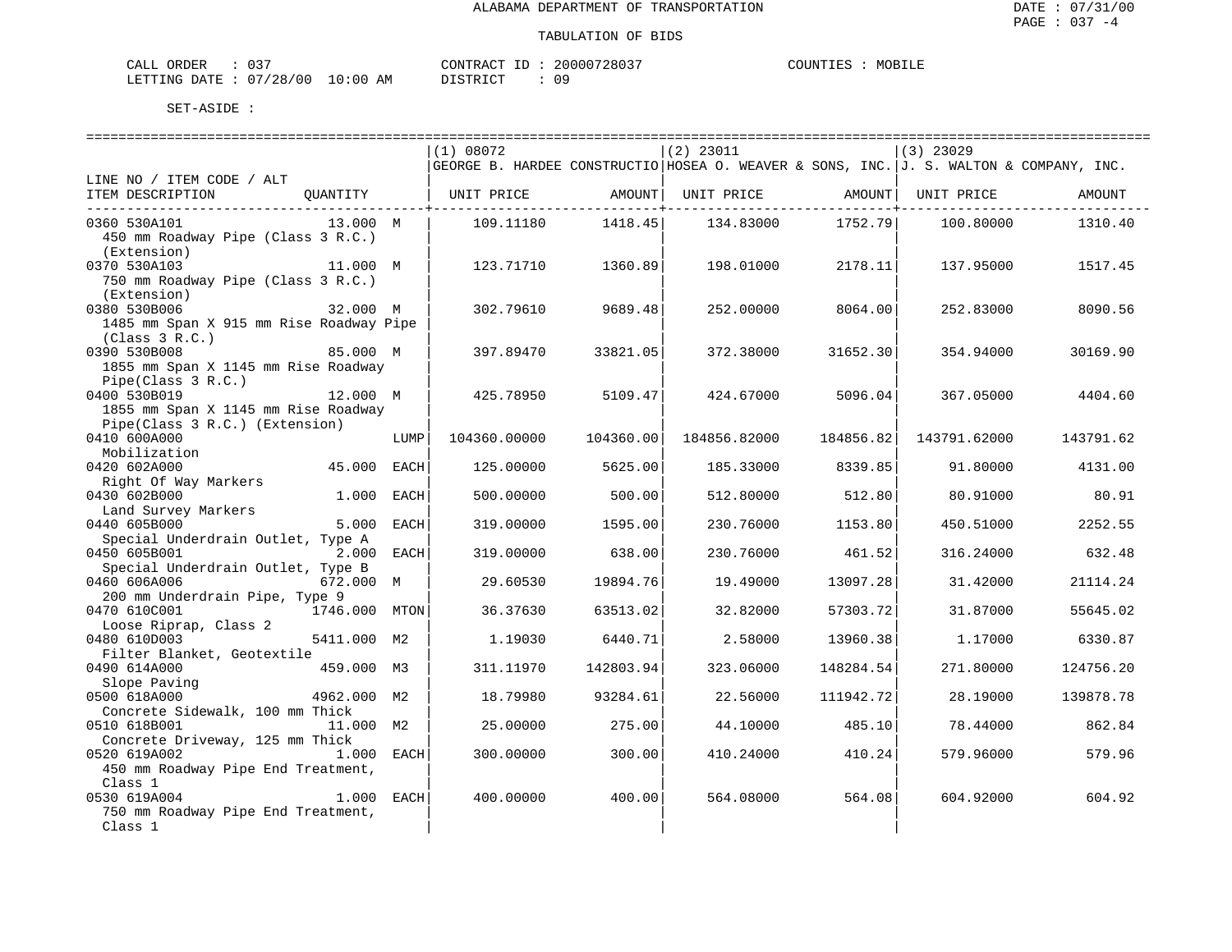| <b>ORDER</b><br>CALL | $\sim$ $\sim$ $\sim$<br>ັ |                                                                                                                                | TD<br>CONTRACT | 20000728037 | MOBILF<br>™™™ |
|----------------------|---------------------------|--------------------------------------------------------------------------------------------------------------------------------|----------------|-------------|---------------|
| LETTING DATE         | : 07/28/00                | 10:00<br>ΆM<br>the contract of the contract of the contract of the contract of the contract of the contract of the contract of |                |             |               |

|                                                                       |               |      | (1) 08072                                                                              |                                  | $(2)$ 23011                  |                               | $(3)$ 23029  |           |
|-----------------------------------------------------------------------|---------------|------|----------------------------------------------------------------------------------------|----------------------------------|------------------------------|-------------------------------|--------------|-----------|
|                                                                       |               |      | GEORGE B. HARDEE CONSTRUCTIO HOSEA O. WEAVER & SONS, INC. J. S. WALTON & COMPANY, INC. |                                  |                              |                               |              |           |
| LINE NO / ITEM CODE / ALT                                             |               |      |                                                                                        |                                  |                              |                               |              |           |
| ITEM DESCRIPTION                                                      | OUANTITY      |      | UNIT PRICE                                                                             | AMOUNT                           | UNIT PRICE AMOUNT UNIT PRICE |                               |              | AMOUNT    |
| 0360 530A101                                                          | 13.000 M      |      | 109.11180                                                                              | ---------------------<br>1418.45 | 134.83000                    | ---------------+--<br>1752.79 | 100.80000    | 1310.40   |
| 450 mm Roadway Pipe (Class 3 R.C.)                                    |               |      |                                                                                        |                                  |                              |                               |              |           |
| (Extension)                                                           |               |      |                                                                                        |                                  |                              |                               |              |           |
| 0370 530A103                                                          | 11.000 M      |      | 123.71710                                                                              | 1360.89                          | 198.01000                    | 2178.11                       | 137.95000    | 1517.45   |
| 750 mm Roadway Pipe (Class 3 R.C.)                                    |               |      |                                                                                        |                                  |                              |                               |              |           |
| (Extension)                                                           |               |      |                                                                                        |                                  |                              |                               |              |           |
| 0380 530B006                                                          | 32.000 M      |      | 302.79610                                                                              | 9689.48                          | 252.00000                    | 8064.00                       | 252.83000    | 8090.56   |
| 1485 mm Span X 915 mm Rise Roadway Pipe                               |               |      |                                                                                        |                                  |                              |                               |              |           |
| (Class 3 R.C.)                                                        |               |      |                                                                                        |                                  |                              |                               |              |           |
| 0390 530B008                                                          | 85.000 M      |      | 397.89470                                                                              | 33821.05                         | 372.38000                    | 31652.30                      | 354.94000    | 30169.90  |
| 1855 mm Span X 1145 mm Rise Roadway                                   |               |      |                                                                                        |                                  |                              |                               |              |           |
| Pipe(Class 3 R.C.)                                                    |               |      |                                                                                        |                                  |                              |                               |              |           |
| 0400 530B019                                                          | 12.000 M      |      | 425.78950                                                                              | 5109.47                          | 424.67000                    | 5096.04                       | 367.05000    | 4404.60   |
| 1855 mm Span X 1145 mm Rise Roadway<br>Pipe(Class 3 R.C.) (Extension) |               |      |                                                                                        |                                  |                              |                               |              |           |
| 0410 600A000                                                          |               | LUMP | 104360.00000                                                                           | 104360.00                        | 184856.82000                 | 184856.82                     | 143791.62000 | 143791.62 |
| Mobilization                                                          |               |      |                                                                                        |                                  |                              |                               |              |           |
| 0420 602A000                                                          | 45.000        | EACH | 125.00000                                                                              | 5625.00                          | 185.33000                    | 8339.85                       | 91.80000     | 4131.00   |
| Right Of Way Markers                                                  |               |      |                                                                                        |                                  |                              |                               |              |           |
| 0430 602B000                                                          | 1.000 EACH    |      | 500.00000                                                                              | 500.00                           | 512,80000                    | 512.80                        | 80.91000     | 80.91     |
| Land Survey Markers                                                   |               |      |                                                                                        |                                  |                              |                               |              |           |
| 0440 605B000                                                          | 5.000         | EACH | 319.00000                                                                              | 1595.00                          | 230.76000                    | 1153.80                       | 450.51000    | 2252.55   |
| Special Underdrain Outlet, Type A                                     |               |      |                                                                                        |                                  |                              |                               |              |           |
| 0450 605B001                                                          | 2.000 EACH    |      | 319.00000                                                                              | 638.00                           | 230.76000                    | 461.52                        | 316.24000    | 632.48    |
| Special Underdrain Outlet, Type B                                     |               |      |                                                                                        |                                  |                              |                               |              |           |
| 0460 606A006                                                          | 672.000 M     |      | 29.60530                                                                               | 19894.76                         | 19.49000                     | 13097.28                      | 31.42000     | 21114.24  |
| 200 mm Underdrain Pipe, Type 9<br>0470 610C001                        | 1746.000 MTON |      |                                                                                        |                                  |                              |                               |              |           |
| Loose Riprap, Class 2                                                 |               |      | 36.37630                                                                               | 63513.02                         | 32.82000                     | 57303.72                      | 31.87000     | 55645.02  |
| 0480 610D003                                                          | 5411.000 M2   |      | 1.19030                                                                                | 6440.71                          | 2.58000                      | 13960.38                      | 1,17000      | 6330.87   |
| Filter Blanket, Geotextile                                            |               |      |                                                                                        |                                  |                              |                               |              |           |
| 0490 614A000                                                          | 459.000 M3    |      | 311.11970                                                                              | 142803.94                        | 323.06000                    | 148284.54                     | 271,80000    | 124756.20 |
| Slope Paving                                                          |               |      |                                                                                        |                                  |                              |                               |              |           |
| 0500 618A000                                                          | 4962.000 M2   |      | 18.79980                                                                               | 93284.61                         | 22.56000                     | 111942.72                     | 28.19000     | 139878.78 |
| Concrete Sidewalk, 100 mm Thick                                       |               |      |                                                                                        |                                  |                              |                               |              |           |
| 0510 618B001                                                          | 11.000 M2     |      | 25.00000                                                                               | 275.00                           | 44.10000                     | 485.10                        | 78.44000     | 862.84    |
| Concrete Driveway, 125 mm Thick                                       |               |      |                                                                                        |                                  |                              |                               |              |           |
| 0520 619A002                                                          | 1.000 EACH    |      | 300.00000                                                                              | 300.00                           | 410.24000                    | 410.24                        | 579.96000    | 579.96    |
| 450 mm Roadway Pipe End Treatment,                                    |               |      |                                                                                        |                                  |                              |                               |              |           |
| Class 1                                                               |               |      |                                                                                        |                                  |                              |                               |              |           |
| 0530 619A004                                                          | 1.000 EACH    |      | 400.00000                                                                              | 400.00                           | 564.08000                    | 564.08                        | 604.92000    | 604.92    |
| 750 mm Roadway Pipe End Treatment,                                    |               |      |                                                                                        |                                  |                              |                               |              |           |
| Class 1                                                               |               |      |                                                                                        |                                  |                              |                               |              |           |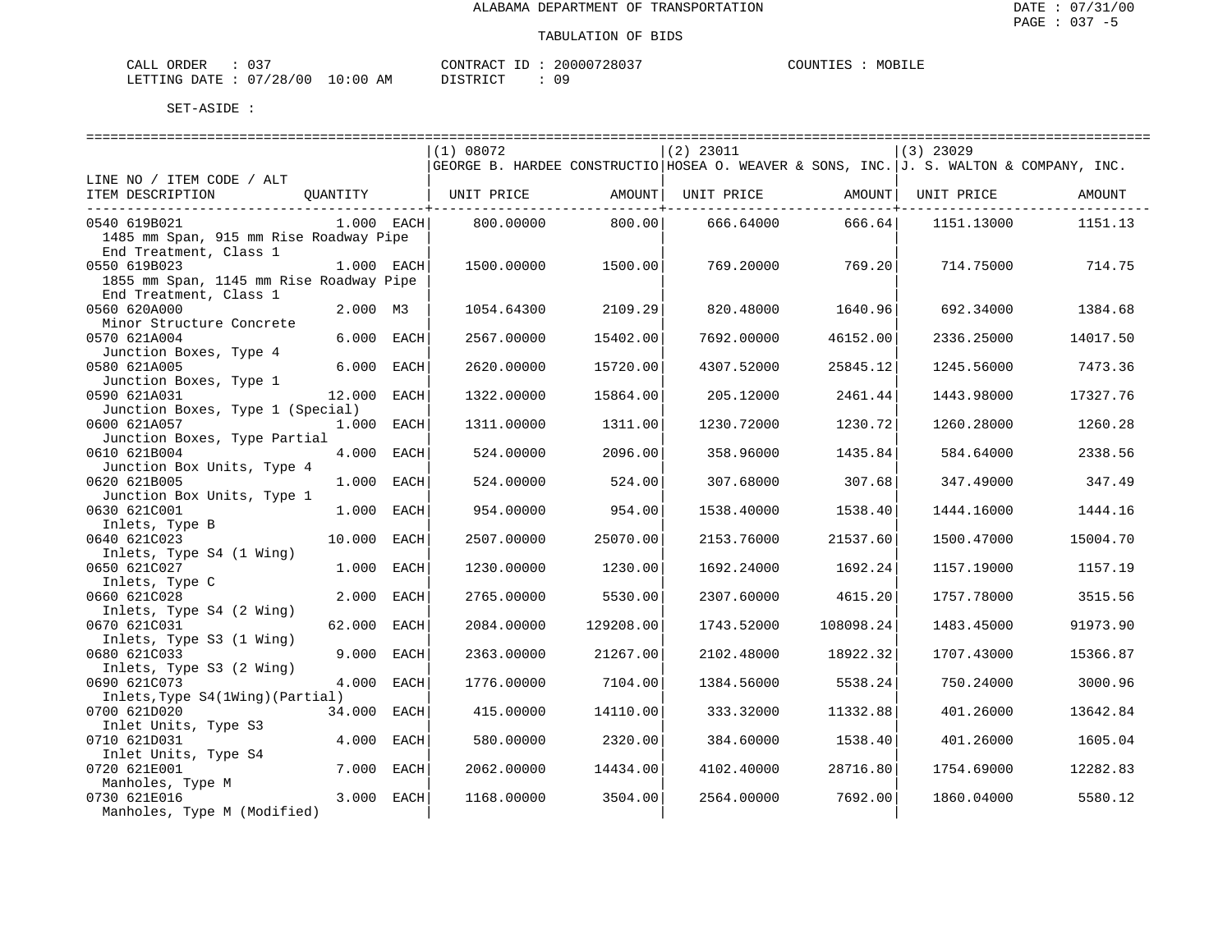| ORDER<br>CALL          | $\sim$ $\sim$ $\sim$ |             | CONTRACT ID     | 20000728037 | COUNTIES | MOBILE |
|------------------------|----------------------|-------------|-----------------|-------------|----------|--------|
| LETTING DATE: 07/28/00 |                      | 10:00<br>AM | חי חי קידי את ה |             |          |        |

|                                         |              | (1) 08072  |           | $(2)$ 23011                                                                            |           | $(3)$ 23029 |          |
|-----------------------------------------|--------------|------------|-----------|----------------------------------------------------------------------------------------|-----------|-------------|----------|
|                                         |              |            |           | GEORGE B. HARDEE CONSTRUCTIO HOSEA O. WEAVER & SONS, INC. J. S. WALTON & COMPANY, INC. |           |             |          |
| LINE NO / ITEM CODE / ALT               |              |            |           |                                                                                        |           |             |          |
| ITEM DESCRIPTION                        | OUANTITY     | UNIT PRICE | AMOUNT    | UNIT PRICE                                                                             | AMOUNT    | UNIT PRICE  | AMOUNT   |
|                                         |              |            |           |                                                                                        |           |             |          |
| 0540 619B021                            | $1.000$ EACH | 800.00000  | 800.00    | 666.64000                                                                              | 666.64    | 1151.13000  | 1151.13  |
| 1485 mm Span, 915 mm Rise Roadway Pipe  |              |            |           |                                                                                        |           |             |          |
| End Treatment, Class 1                  |              |            |           |                                                                                        |           |             |          |
| 0550 619B023                            | 1.000 EACH   | 1500.00000 | 1500.00   | 769.20000                                                                              | 769.201   | 714.75000   | 714.75   |
| 1855 mm Span, 1145 mm Rise Roadway Pipe |              |            |           |                                                                                        |           |             |          |
| End Treatment, Class 1                  |              |            |           |                                                                                        |           |             |          |
| 0560 620A000                            | 2.000 M3     | 1054.64300 | 2109.29   | 820.48000                                                                              | 1640.96   | 692.34000   | 1384.68  |
| Minor Structure Concrete                |              |            |           |                                                                                        |           |             |          |
| 0570 621A004                            | 6.000 EACH   | 2567.00000 | 15402.00  | 7692.00000                                                                             | 46152.00  | 2336.25000  | 14017.50 |
| Junction Boxes, Type 4                  |              |            |           |                                                                                        |           |             |          |
| 0580 621A005                            | 6.000 EACH   | 2620.00000 | 15720.00  | 4307.52000                                                                             | 25845.12  | 1245.56000  | 7473.36  |
| Junction Boxes, Type 1                  |              |            |           |                                                                                        |           |             |          |
| 0590 621A031                            | 12.000 EACH  | 1322.00000 | 15864.00  | 205.12000                                                                              | 2461.44   | 1443.98000  | 17327.76 |
| Junction Boxes, Type 1 (Special)        |              |            |           |                                                                                        |           |             |          |
| 0600 621A057                            | 1.000 EACH   | 1311.00000 | 1311.00   | 1230.72000                                                                             | 1230.72   | 1260.28000  | 1260.28  |
| Junction Boxes, Type Partial            |              |            |           |                                                                                        |           |             |          |
| 0610 621B004                            | 4.000 EACH   | 524.00000  | 2096.00   | 358.96000                                                                              | 1435.84   | 584.64000   | 2338.56  |
| Junction Box Units, Type 4              |              |            |           |                                                                                        |           |             |          |
| 0620 621B005                            | 1.000 EACH   | 524.00000  | 524.00    | 307.68000                                                                              | 307.68    | 347.49000   | 347.49   |
| Junction Box Units, Type 1              |              |            |           |                                                                                        |           |             |          |
| 0630 621C001                            | 1.000 EACH   | 954.00000  | 954.00    | 1538.40000                                                                             | 1538.40   | 1444.16000  | 1444.16  |
| Inlets, Type B                          |              |            |           |                                                                                        |           |             |          |
| 0640 621C023                            | 10.000 EACH  | 2507.00000 | 25070.00  | 2153.76000                                                                             | 21537.60  | 1500.47000  | 15004.70 |
| Inlets, Type S4 (1 Wing)                |              |            |           |                                                                                        |           |             |          |
| 0650 621C027                            | 1.000 EACH   | 1230.00000 | 1230.00   | 1692.24000                                                                             | 1692.24   | 1157.19000  | 1157.19  |
| Inlets, Type C                          |              |            |           |                                                                                        |           |             |          |
| 0660 621C028                            | 2.000 EACH   | 2765.00000 | 5530.00   | 2307.60000                                                                             | 4615.20   | 1757.78000  | 3515.56  |
| Inlets, Type S4 (2 Wing)                |              |            |           |                                                                                        |           |             |          |
| 0670 621C031                            | 62.000 EACH  | 2084.00000 | 129208.00 | 1743.52000                                                                             | 108098.24 | 1483.45000  | 91973.90 |
| Inlets, Type S3 (1 Wing)                |              |            |           |                                                                                        |           |             |          |
| 0680 621C033                            | 9.000 EACH   | 2363.00000 | 21267.00  | 2102.48000                                                                             | 18922.32  | 1707.43000  | 15366.87 |
| Inlets, Type S3 (2 Wing)                |              |            |           |                                                                                        |           |             |          |
| 0690 621C073                            | 4.000 EACH   | 1776.00000 | 7104.00   | 1384.56000                                                                             | 5538.24   | 750.24000   | 3000.96  |
| Inlets, Type S4(1Wing) (Partial)        |              |            |           |                                                                                        |           |             |          |
| 0700 621D020                            | 34.000 EACH  | 415.00000  | 14110.00  | 333.32000                                                                              | 11332.88  | 401.26000   | 13642.84 |
| Inlet Units, Type S3                    |              |            |           |                                                                                        |           |             |          |
| 0710 621D031                            | 4.000 EACH   | 580.00000  | 2320.00   | 384.60000                                                                              | 1538.40   | 401.26000   | 1605.04  |
| Inlet Units, Type S4                    |              |            |           |                                                                                        |           |             |          |
| 0720 621E001                            | 7.000 EACH   | 2062.00000 | 14434.00  | 4102.40000                                                                             | 28716.80  | 1754.69000  | 12282.83 |
| Manholes, Type M                        |              |            |           |                                                                                        |           |             |          |
| 0730 621E016                            | 3.000 EACH   | 1168.00000 | 3504.00   | 2564.00000                                                                             | 7692.00   | 1860.04000  | 5580.12  |
| Manholes, Type M (Modified)             |              |            |           |                                                                                        |           |             |          |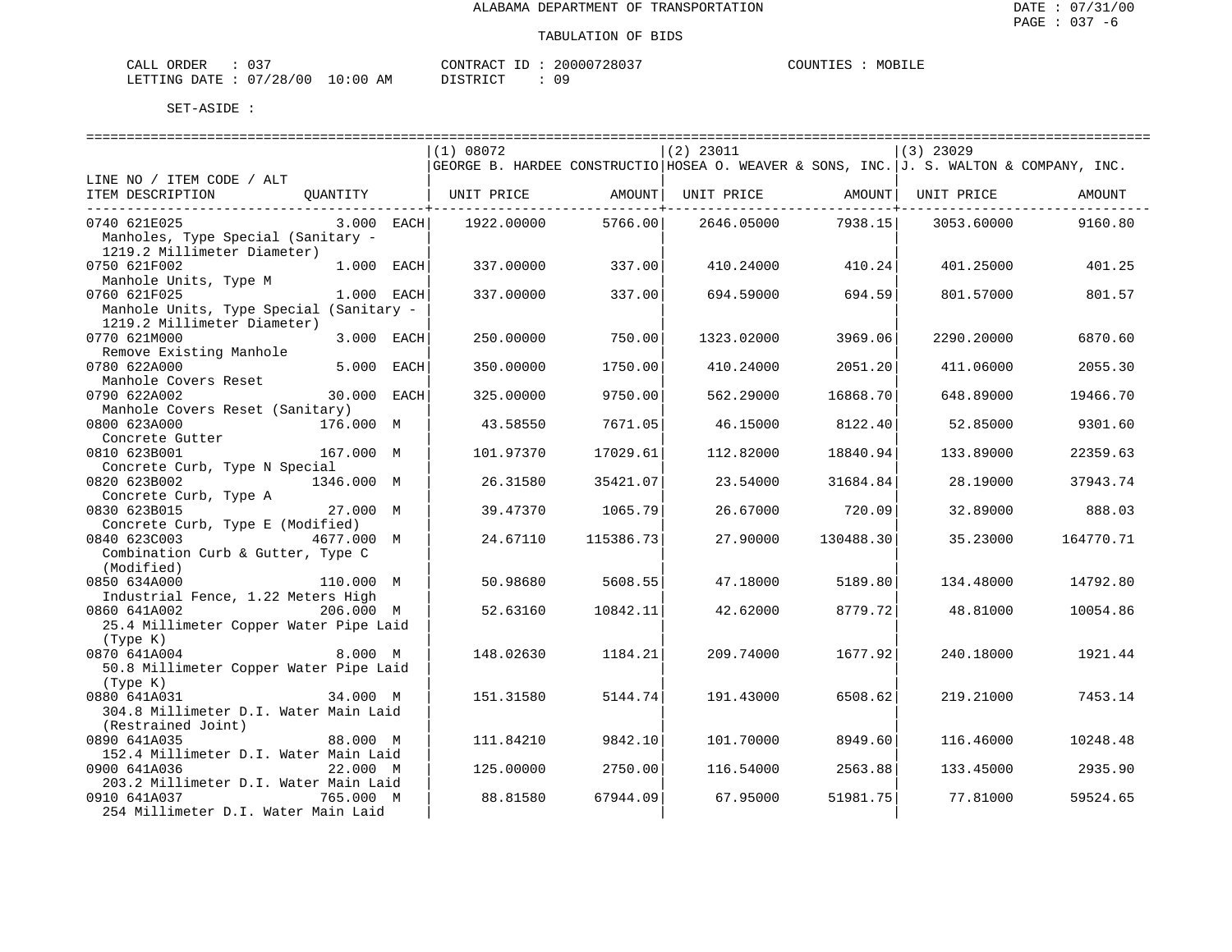| ORDER<br>CALL (              | 037 |    | CONTRACT ID: | 20000728037 | COUNTIES | MOBILE |
|------------------------------|-----|----|--------------|-------------|----------|--------|
| LETTING DATE: 07/28/00 10:00 |     | AM | DISTRICT     |             |          |        |

|                                         |             | (1) 08072                                                                              |                         | $(2)$ 23011 |           | $(3)$ 23029 |           |
|-----------------------------------------|-------------|----------------------------------------------------------------------------------------|-------------------------|-------------|-----------|-------------|-----------|
|                                         |             | GEORGE B. HARDEE CONSTRUCTIO HOSEA O. WEAVER & SONS, INC. J. S. WALTON & COMPANY, INC. |                         |             |           |             |           |
| LINE NO / ITEM CODE / ALT               |             |                                                                                        |                         |             |           |             |           |
| ITEM DESCRIPTION                        | OUANTITY    | UNIT PRICE                                                                             | AMOUNT<br>------------+ | UNIT PRICE  | AMOUNT    | UNIT PRICE  | AMOUNT    |
| 0740 621E025                            | 3.000 EACH  | 1922.00000                                                                             | 5766.00                 | 2646.05000  | 7938.15   | 3053.60000  | 9160.80   |
| Manholes, Type Special (Sanitary -      |             |                                                                                        |                         |             |           |             |           |
| 1219.2 Millimeter Diameter)             |             |                                                                                        |                         |             |           |             |           |
| 0750 621F002                            | 1.000 EACH  | 337.00000                                                                              | 337.00                  | 410.24000   | 410.24    | 401.25000   | 401.25    |
| Manhole Units, Type M                   |             |                                                                                        |                         |             |           |             |           |
| 0760 621F025                            | 1.000 EACH  | 337.00000                                                                              | 337.00                  | 694.59000   | 694.59    | 801.57000   | 801.57    |
| Manhole Units, Type Special (Sanitary - |             |                                                                                        |                         |             |           |             |           |
| 1219.2 Millimeter Diameter)             |             |                                                                                        |                         |             |           |             |           |
|                                         |             |                                                                                        |                         |             |           |             |           |
| 0770 621M000                            | 3.000 EACH  | 250.00000                                                                              | 750.00                  | 1323.02000  | 3969.06   | 2290.20000  | 6870.60   |
| Remove Existing Manhole                 |             |                                                                                        |                         |             |           |             |           |
| 0780 622A000                            | 5.000 EACH  | 350.00000                                                                              | 1750.00                 | 410.24000   | 2051.20   | 411.06000   | 2055.30   |
| Manhole Covers Reset                    |             |                                                                                        |                         |             |           |             |           |
| 0790 622A002                            | 30.000 EACH | 325.00000                                                                              | 9750.00                 | 562.29000   | 16868.70  | 648.89000   | 19466.70  |
| Manhole Covers Reset (Sanitary)         |             |                                                                                        |                         |             |           |             |           |
| 0800 623A000                            | 176.000 M   | 43.58550                                                                               | 7671.05                 | 46.15000    | 8122.40   | 52.85000    | 9301.60   |
| Concrete Gutter                         |             |                                                                                        |                         |             |           |             |           |
| 0810 623B001                            | 167.000 M   | 101.97370                                                                              | 17029.61                | 112,82000   | 18840.94  | 133.89000   | 22359.63  |
| Concrete Curb, Type N Special           |             |                                                                                        |                         |             |           |             |           |
| 1346.000 M<br>0820 623B002              |             | 26.31580                                                                               | 35421.07                | 23.54000    | 31684.84  | 28.19000    | 37943.74  |
| Concrete Curb, Type A                   |             |                                                                                        |                         |             |           |             |           |
| 0830 623B015                            | 27.000 M    | 39.47370                                                                               | 1065.79                 | 26.67000    | 720.09    | 32.89000    | 888.03    |
| Concrete Curb, Type E (Modified)        |             |                                                                                        |                         |             |           |             |           |
| 0840 623C003                            | 4677.000 M  | 24.67110                                                                               | 115386.73               | 27.90000    | 130488.30 | 35.23000    | 164770.71 |
| Combination Curb & Gutter, Type C       |             |                                                                                        |                         |             |           |             |           |
| (Modified)                              |             |                                                                                        |                         |             |           |             |           |
| 0850 634A000                            | 110.000 M   | 50.98680                                                                               | 5608.55                 | 47.18000    | 5189.80   | 134.48000   | 14792.80  |
| Industrial Fence, 1.22 Meters High      |             |                                                                                        |                         |             |           |             |           |
| 0860 641A002                            |             | 52.63160                                                                               | 10842.11                | 42.62000    | 8779.72   | 48.81000    | 10054.86  |
| 25.4 Millimeter Copper Water Pipe Laid  |             |                                                                                        |                         |             |           |             |           |
| (Type K)                                |             |                                                                                        |                         |             |           |             |           |
| 0870 641A004                            | 8.000 M     | 148.02630                                                                              | 1184.21                 | 209.74000   | 1677.921  | 240.18000   | 1921.44   |
| 50.8 Millimeter Copper Water Pipe Laid  |             |                                                                                        |                         |             |           |             |           |
| (Type K)                                |             |                                                                                        |                         |             |           |             |           |
| 0880 641A031                            | 34.000 M    | 151.31580                                                                              | 5144.74                 | 191.43000   | 6508.62   | 219.21000   | 7453.14   |
| 304.8 Millimeter D.I. Water Main Laid   |             |                                                                                        |                         |             |           |             |           |
| (Restrained Joint)                      |             |                                                                                        |                         |             |           |             |           |
| 0890 641A035                            | 88.000 M    | 111.84210                                                                              | 9842.10                 | 101.70000   | 8949.60   | 116.46000   | 10248.48  |
| 152.4 Millimeter D.I. Water Main Laid   |             |                                                                                        |                         |             |           |             |           |
| 0900 641A036                            | 22.000 M    | 125.00000                                                                              | 2750.00                 | 116.54000   | 2563.88   | 133.45000   | 2935.90   |
| 203.2 Millimeter D.I. Water Main Laid   |             |                                                                                        |                         |             |           |             |           |
| 0910 641A037                            | 765.000 M   | 88.81580                                                                               | 67944.09                | 67.95000    | 51981.75  | 77.81000    | 59524.65  |
| 254 Millimeter D.I. Water Main Laid     |             |                                                                                        |                         |             |           |             |           |
|                                         |             |                                                                                        |                         |             |           |             |           |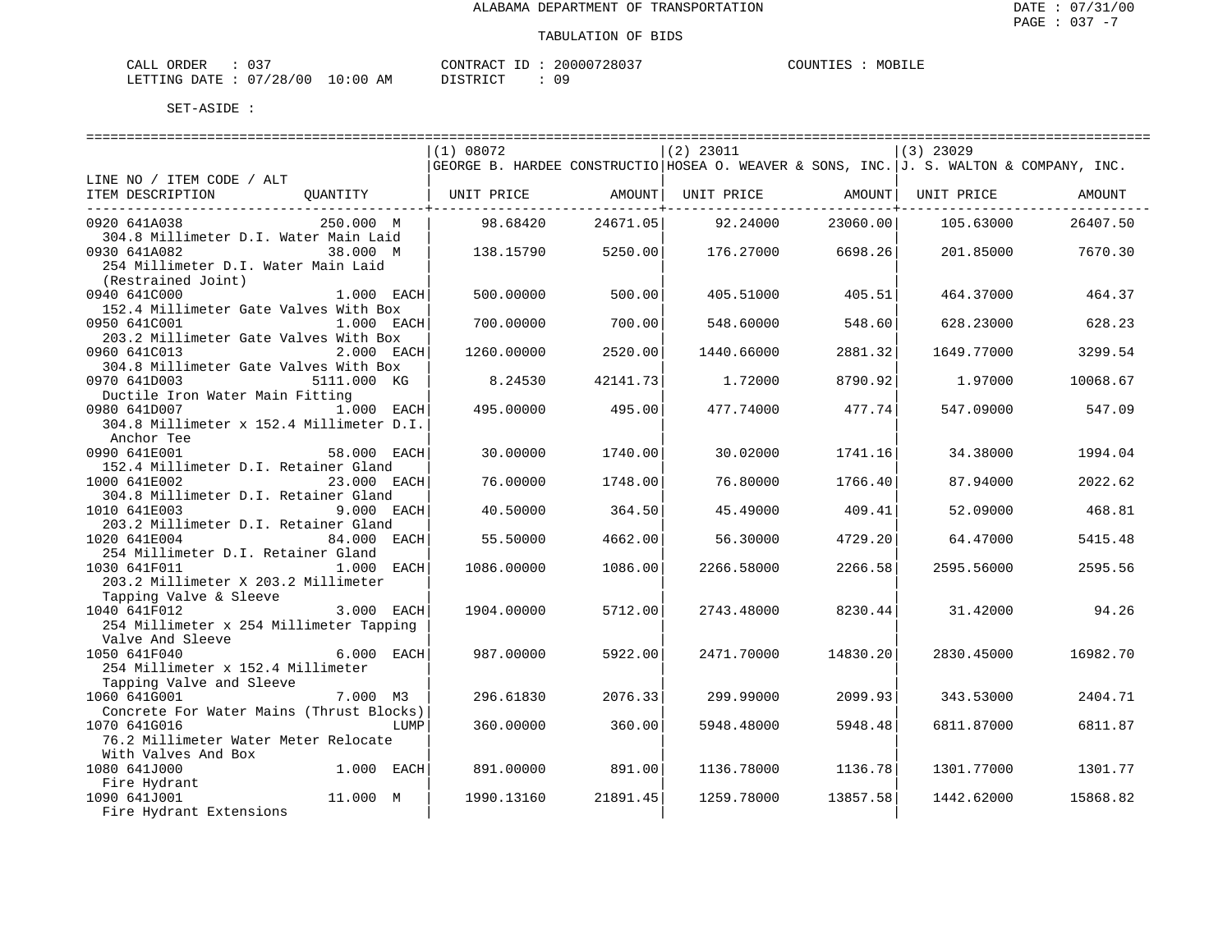| ORDER<br>CALL  | $\cap$ $\cap$<br>ັ |             | CONTRACT ID                | 20000728037 | COUNTIES | MOBILE |
|----------------|--------------------|-------------|----------------------------|-------------|----------|--------|
| LETTING DATE : | : 07/28/00         | 10:00<br>AΜ | חי חי חידו פידי פ<br>----- | n c         |          |        |

|                                          | (1) 08072  |          | $(2)$ 23011                                                                            |           | $(3)$ 23029 |          |
|------------------------------------------|------------|----------|----------------------------------------------------------------------------------------|-----------|-------------|----------|
|                                          |            |          | GEORGE B. HARDEE CONSTRUCTIO HOSEA O. WEAVER & SONS, INC. J. S. WALTON & COMPANY, INC. |           |             |          |
| LINE NO / ITEM CODE / ALT                |            |          |                                                                                        |           |             |          |
| ITEM DESCRIPTION<br>QUANTITY             | UNIT PRICE | AMOUNT   | UNIT PRICE                                                                             | AMOUNT    | UNIT PRICE  | AMOUNT   |
|                                          |            |          |                                                                                        |           |             |          |
| 0920 641A038<br>250.000 M                | 98.68420   | 24671.05 | 92.24000                                                                               | 23060.00  | 105.63000   | 26407.50 |
| 304.8 Millimeter D.I. Water Main Laid    |            |          |                                                                                        |           |             |          |
| 0930 641A082<br>38.000 M                 | 138.15790  | 5250.00  | 176.27000                                                                              | 6698.26   | 201.85000   | 7670.30  |
| 254 Millimeter D.I. Water Main Laid      |            |          |                                                                                        |           |             |          |
|                                          |            |          |                                                                                        |           |             |          |
| (Restrained Joint)                       |            |          |                                                                                        |           |             |          |
| 0940 641C000<br>1.000 EACH               | 500.00000  | 500.00   | 405.51000                                                                              | 405.51    | 464.37000   | 464.37   |
| 152.4 Millimeter Gate Valves With Box    |            |          |                                                                                        |           |             |          |
| 0950 641C001<br>1.000 EACH               | 700.00000  | 700.00   | 548.60000                                                                              | 548.60    | 628.23000   | 628.23   |
| 203.2 Millimeter Gate Valves With Box    |            |          |                                                                                        |           |             |          |
| 0960 641C013<br>$2.000$ EACH             | 1260.00000 | 2520.00  | 1440.66000                                                                             | 2881.32   | 1649.77000  | 3299.54  |
| 304.8 Millimeter Gate Valves With Box    |            |          |                                                                                        |           |             |          |
| 0970 641D003<br>5111.000 KG              | 8.24530    | 42141.73 | 1,72000                                                                                | 8790.92   | 1,97000     | 10068.67 |
| Ductile Iron Water Main Fitting          |            |          |                                                                                        |           |             |          |
| 0980 641D007<br>1.000 EACH               | 495.00000  | 495.00   | 477.74000                                                                              | 477.74    | 547.09000   | 547.09   |
| 304.8 Millimeter x 152.4 Millimeter D.I. |            |          |                                                                                        |           |             |          |
| Anchor Tee                               |            |          |                                                                                        |           |             |          |
| 0990 641E001<br>58.000 EACH              | 30.00000   | 1740.00  | 30.02000                                                                               | 1741.16   | 34.38000    | 1994.04  |
| 152.4 Millimeter D.I. Retainer Gland     |            |          |                                                                                        |           |             |          |
|                                          |            |          |                                                                                        |           |             |          |
| 1000 641E002<br>23.000 EACH              | 76.00000   | 1748.00  | 76.80000                                                                               | 1766.40   | 87.94000    | 2022.62  |
| 304.8 Millimeter D.I. Retainer Gland     |            |          |                                                                                        |           |             |          |
| 1010 641E003<br>9.000 EACH               | 40.50000   | 364.50   | 45.49000                                                                               | 409.41    | 52.09000    | 468.81   |
| 203.2 Millimeter D.I. Retainer Gland     |            |          |                                                                                        |           |             |          |
| 1020 641E004<br>84.000<br>EACH           | 55.50000   | 4662.00  | 56.30000                                                                               | 4729.20   | 64.47000    | 5415.48  |
| 254 Millimeter D.I. Retainer Gland       |            |          |                                                                                        |           |             |          |
| 1030 641F011<br>$1.000$ EACH             | 1086.00000 | 1086.00  | 2266.58000                                                                             | 2266.58   | 2595.56000  | 2595.56  |
| 203.2 Millimeter X 203.2 Millimeter      |            |          |                                                                                        |           |             |          |
| Tapping Valve & Sleeve                   |            |          |                                                                                        |           |             |          |
| $3.000$ EACH<br>1040 641F012             | 1904.00000 | 5712.00  | 2743.48000                                                                             | 8230.44   | 31.42000    | 94.26    |
| 254 Millimeter x 254 Millimeter Tapping  |            |          |                                                                                        |           |             |          |
| Valve And Sleeve                         |            |          |                                                                                        |           |             |          |
| 1050 641F040<br>$6.000$ EACH             | 987.00000  | 5922.00  | 2471.70000                                                                             | 14830.201 | 2830.45000  | 16982.70 |
| 254 Millimeter x 152.4 Millimeter        |            |          |                                                                                        |           |             |          |
| Tapping Valve and Sleeve                 |            |          |                                                                                        |           |             |          |
|                                          |            |          |                                                                                        |           |             |          |
| 1060 641G001<br>7.000 M3                 | 296.61830  | 2076.33  | 299.99000                                                                              | 2099.93   | 343.53000   | 2404.71  |
| Concrete For Water Mains (Thrust Blocks) |            |          |                                                                                        |           |             |          |
| 1070 641G016<br>LUMP                     | 360.00000  | 360.00   | 5948.48000                                                                             | 5948.48   | 6811.87000  | 6811.87  |
| 76.2 Millimeter Water Meter Relocate     |            |          |                                                                                        |           |             |          |
| With Valves And Box                      |            |          |                                                                                        |           |             |          |
| 1080 641J000<br>$1.000$ EACH             | 891.00000  | 891.00   | 1136.78000                                                                             | 1136.78   | 1301.77000  | 1301.77  |
| Fire Hydrant<br>Fire Hydrant             |            |          |                                                                                        |           |             |          |
| 11.000 M<br>1090 641J001                 | 1990.13160 | 21891.45 | 1259.78000                                                                             | 13857.58  | 1442.62000  | 15868.82 |
| Fire Hydrant Extensions                  |            |          |                                                                                        |           |             |          |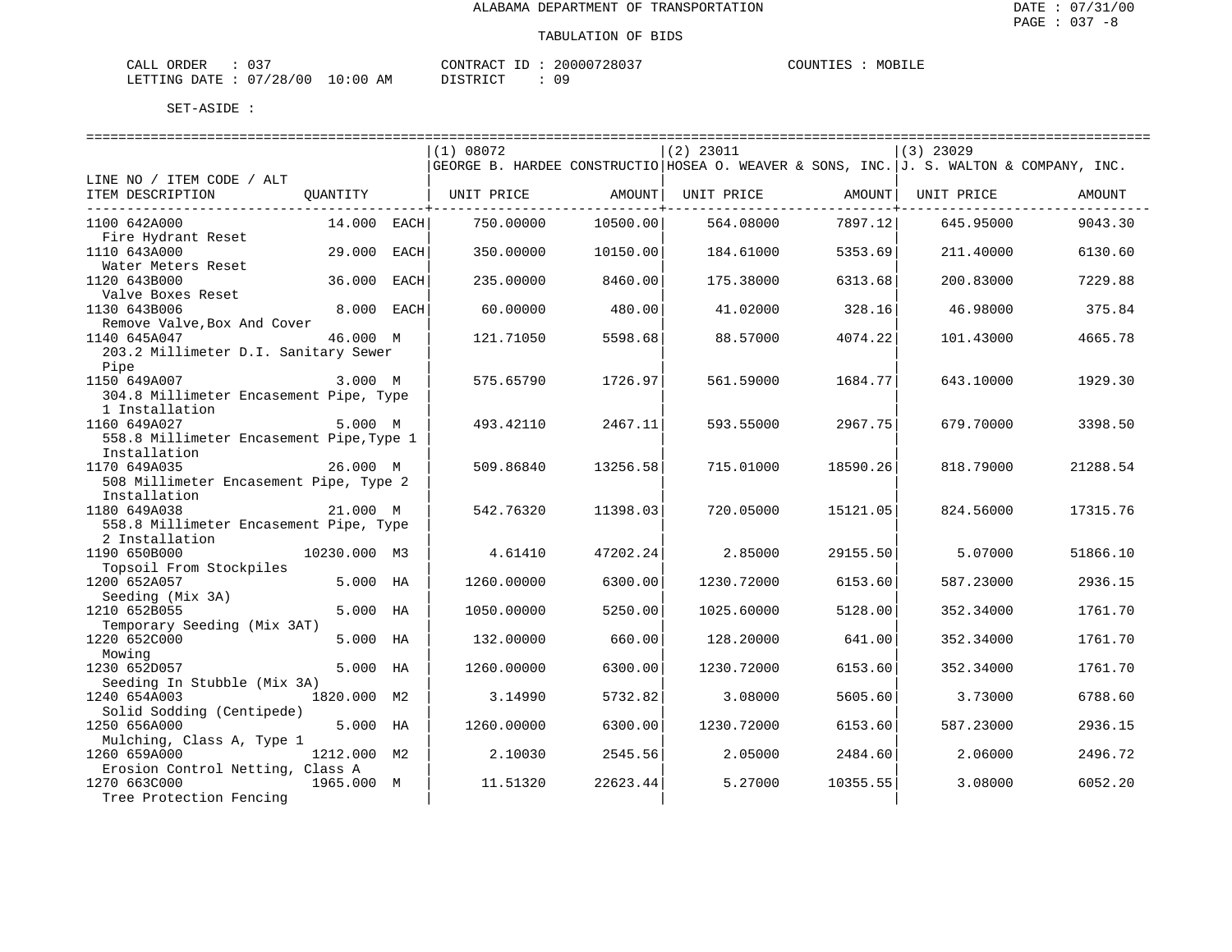| CALL ORDER |                                  | CONTRACT ID: | 20000728037 | COUNTIES | MOBILE |
|------------|----------------------------------|--------------|-------------|----------|--------|
|            | LETTING DATE : 07/28/00 10:00 AM | DISTRICT     | 09          |          |        |

|                                                  |              |      | (1) 08072  |          | $(2)$ 23011                                                                            |          | $(3)$ 23029 |          |
|--------------------------------------------------|--------------|------|------------|----------|----------------------------------------------------------------------------------------|----------|-------------|----------|
|                                                  |              |      |            |          | GEORGE B. HARDEE CONSTRUCTIO HOSEA O. WEAVER & SONS, INC. J. S. WALTON & COMPANY, INC. |          |             |          |
| LINE NO / ITEM CODE / ALT                        |              |      |            |          |                                                                                        |          |             |          |
| ITEM DESCRIPTION                                 | OUANTITY     |      | UNIT PRICE | AMOUNT   | UNIT PRICE                                                                             | AMOUNT   | UNIT PRICE  | AMOUNT   |
|                                                  |              |      |            |          |                                                                                        |          |             |          |
| 1100 642A000                                     | 14.000 EACH  |      | 750.00000  | 10500.00 | 564.08000                                                                              | 7897.12  | 645.95000   | 9043.30  |
| Fire Hydrant Reset<br>1110 643A000               | 29.000       | EACH | 350.00000  | 10150.00 | 184.61000                                                                              | 5353.69  | 211.40000   | 6130.60  |
| Water Meters Reset                               |              |      |            |          |                                                                                        |          |             |          |
| 1120 643B000                                     | 36.000       | EACH | 235.00000  | 8460.00  | 175.38000                                                                              | 6313.68  | 200.83000   | 7229.88  |
| Valve Boxes Reset                                |              |      |            |          |                                                                                        |          |             |          |
| 1130 643B006                                     | 8.000        | EACH | 60.00000   | 480.00   | 41.02000                                                                               | 328.16   | 46.98000    | 375.84   |
| Remove Valve, Box And Cover                      |              |      |            |          |                                                                                        |          |             |          |
| 1140 645A047                                     | 46.000 M     |      | 121.71050  | 5598.68  | 88.57000                                                                               | 4074.22  | 101.43000   | 4665.78  |
| 203.2 Millimeter D.I. Sanitary Sewer             |              |      |            |          |                                                                                        |          |             |          |
| Pipe                                             |              |      |            |          |                                                                                        |          |             |          |
| 1150 649A007                                     | 3.000 M      |      | 575.65790  | 1726.97  | 561.59000                                                                              | 1684.77  | 643.10000   | 1929.30  |
| 304.8 Millimeter Encasement Pipe, Type           |              |      |            |          |                                                                                        |          |             |          |
| 1 Installation<br>1160 649A027                   | 5.000 M      |      | 493.42110  | 2467.11  |                                                                                        | 2967.75  | 679.70000   | 3398.50  |
| 558.8 Millimeter Encasement Pipe, Type 1         |              |      |            |          | 593.55000                                                                              |          |             |          |
| Installation                                     |              |      |            |          |                                                                                        |          |             |          |
| 1170 649A035                                     | 26.000 M     |      | 509.86840  | 13256.58 | 715.01000                                                                              | 18590.26 | 818.79000   | 21288.54 |
| 508 Millimeter Encasement Pipe, Type 2           |              |      |            |          |                                                                                        |          |             |          |
| Installation                                     |              |      |            |          |                                                                                        |          |             |          |
| 1180 649A038                                     | 21.000 M     |      | 542.76320  | 11398.03 | 720.05000                                                                              | 15121.05 | 824.56000   | 17315.76 |
| 558.8 Millimeter Encasement Pipe, Type           |              |      |            |          |                                                                                        |          |             |          |
| 2 Installation                                   |              |      |            |          |                                                                                        |          |             |          |
| 1190 650B000                                     | 10230.000 M3 |      | 4.61410    | 47202.24 | 2.85000                                                                                | 29155.50 | 5.07000     | 51866.10 |
| Topsoil From Stockpiles                          |              |      |            |          |                                                                                        |          |             |          |
| 1200 652A057                                     | 5.000        | НA   | 1260.00000 | 6300.00  | 1230.72000                                                                             | 6153.60  | 587.23000   | 2936.15  |
| Seeding (Mix 3A)<br>1210 652B055                 | 5.000 HA     |      | 1050.00000 | 5250.00  | 1025.60000                                                                             | 5128.00  | 352.34000   | 1761.70  |
| Temporary Seeding (Mix 3AT)                      |              |      |            |          |                                                                                        |          |             |          |
| 1220 652C000                                     | 5.000 HA     |      | 132.00000  | 660.00   | 128.20000                                                                              | 641.00   | 352.34000   | 1761.70  |
| Mowing                                           |              |      |            |          |                                                                                        |          |             |          |
| 1230 652D057                                     | 5.000 HA     |      | 1260.00000 | 6300.00  | 1230.72000                                                                             | 6153.60  | 352.34000   | 1761.70  |
| Seeding In Stubble (Mix 3A)                      |              |      |            |          |                                                                                        |          |             |          |
| 1240 654A003                                     | 1820.000     | M2   | 3.14990    | 5732.82  | 3.08000                                                                                | 5605.60  | 3.73000     | 6788.60  |
| Solid Sodding (Centipede)                        |              |      |            |          |                                                                                        |          |             |          |
| 1250 656A000                                     | 5.000 HA     |      | 1260.00000 | 6300.00  | 1230.72000                                                                             | 6153.60  | 587.23000   | 2936.15  |
| Mulching, Class A, Type 1                        |              |      |            |          |                                                                                        |          |             |          |
| 1260 659A000                                     | 1212.000 M2  |      | 2.10030    | 2545.56  | 2.05000                                                                                | 2484.60  | 2.06000     | 2496.72  |
| Erosion Control Netting, Class A<br>1270 663C000 | 1965.000 M   |      | 11.51320   | 22623.44 | 5.27000                                                                                | 10355.55 | 3.08000     | 6052.20  |
| Tree Protection Fencing                          |              |      |            |          |                                                                                        |          |             |          |
|                                                  |              |      |            |          |                                                                                        |          |             |          |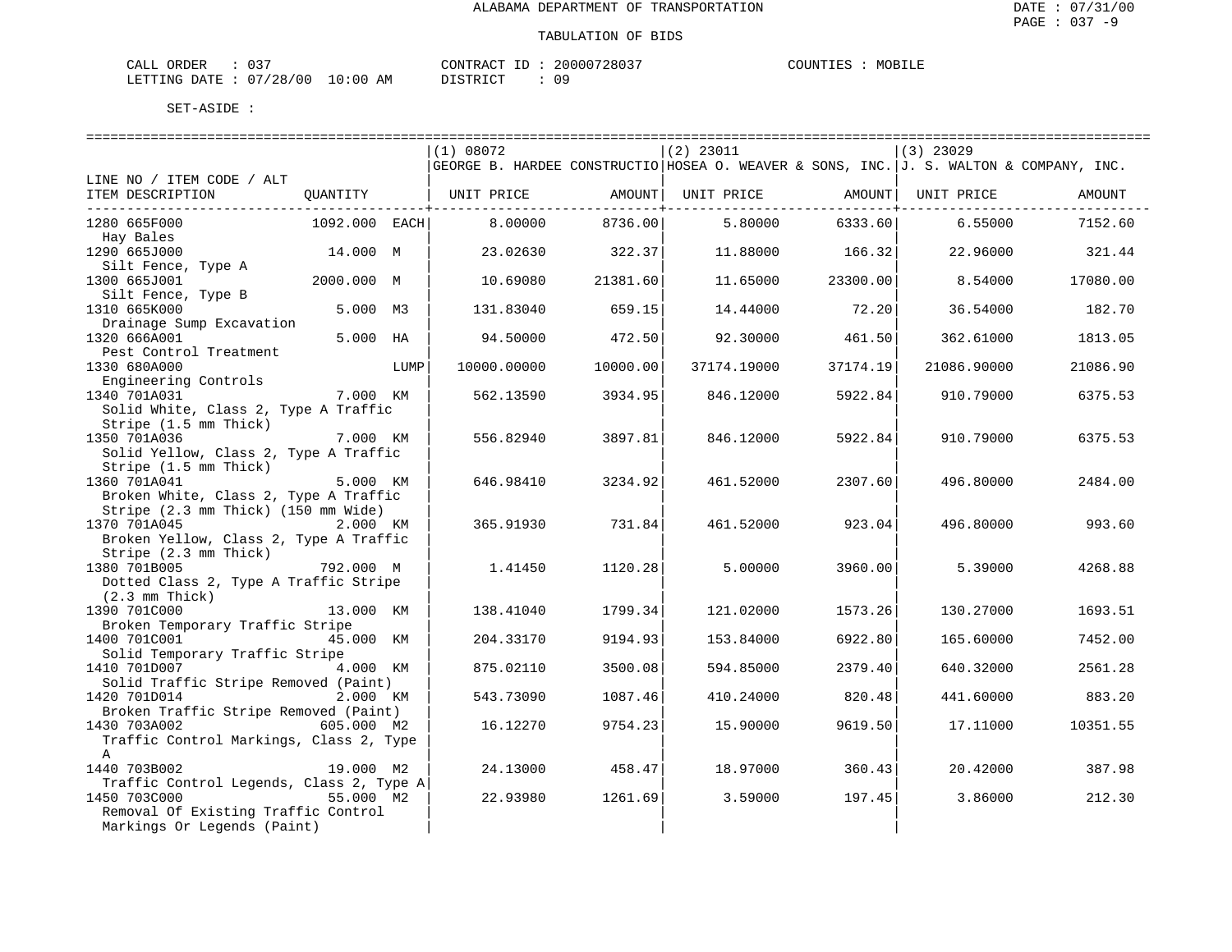|                        |          | 20000728037     | MOBILE   |
|------------------------|----------|-----------------|----------|
| CALL ORDER             |          | CONTRACT        | COUNTIES |
| LETTING DATE: 07/28/00 | 10:00 AM | 0 S<br>DISTRICT |          |

|                                                 |               |      |             | ========================= |                                                                                        |          |                    |          |
|-------------------------------------------------|---------------|------|-------------|---------------------------|----------------------------------------------------------------------------------------|----------|--------------------|----------|
|                                                 |               |      | (1) 08072   |                           | $(2)$ 23011                                                                            |          | $(3)$ 23029        |          |
|                                                 |               |      |             |                           | GEORGE B. HARDEE CONSTRUCTIO HOSEA O. WEAVER & SONS, INC. J. S. WALTON & COMPANY, INC. |          |                    |          |
| LINE NO / ITEM CODE / ALT                       |               |      |             |                           |                                                                                        |          |                    |          |
| ITEM DESCRIPTION                                | QUANTITY      |      | UNIT PRICE  | AMOUNT                    | UNIT PRICE                                                                             |          | AMOUNT  UNIT PRICE | AMOUNT   |
|                                                 |               |      |             |                           |                                                                                        |          |                    |          |
| 1280 665F000                                    | 1092.000 EACH |      | 8.00000     | 8736.00                   | 5.80000                                                                                | 6333.60  | 6.55000            | 7152.60  |
| Hay Bales                                       |               |      |             |                           |                                                                                        |          |                    |          |
| 1290 665J000                                    | 14.000 M      |      | 23.02630    | 322.37                    | 11.88000                                                                               | 166.32   | 22.96000           | 321.44   |
| Silt Fence, Type A                              |               |      |             |                           |                                                                                        |          |                    |          |
| 1300 665J001                                    | 2000.000 M    |      | 10.69080    | 21381.60                  | 11.65000                                                                               | 23300.00 | 8.54000            | 17080.00 |
| Silt Fence, Type B<br>1310 665K000              | 5.000 M3      |      | 131.83040   | 659.15                    | 14.44000                                                                               | 72.20    | 36.54000           | 182.70   |
| Drainage Sump Excavation                        |               |      |             |                           |                                                                                        |          |                    |          |
| 1320 666A001                                    | 5.000 HA      |      | 94.50000    | 472.50                    | 92.30000                                                                               | 461.50   | 362.61000          | 1813.05  |
| Pest Control Treatment                          |               |      |             |                           |                                                                                        |          |                    |          |
| 1330 680A000                                    |               | LUMP | 10000.00000 | 10000.00                  | 37174.19000                                                                            | 37174.19 | 21086.90000        | 21086.90 |
| Engineering Controls                            |               |      |             |                           |                                                                                        |          |                    |          |
| 1340 701A031                                    | 7.000 KM      |      | 562.13590   | 3934.95                   | 846.12000                                                                              | 5922.84  | 910.79000          | 6375.53  |
| Solid White, Class 2, Type A Traffic            |               |      |             |                           |                                                                                        |          |                    |          |
| Stripe (1.5 mm Thick)                           |               |      |             |                           |                                                                                        |          |                    |          |
| 1350 701A036                                    | 7.000 KM      |      | 556.82940   | 3897.81                   | 846.12000                                                                              | 5922.84  | 910.79000          | 6375.53  |
| Solid Yellow, Class 2, Type A Traffic           |               |      |             |                           |                                                                                        |          |                    |          |
| Stripe (1.5 mm Thick)                           |               |      |             |                           |                                                                                        |          |                    |          |
| 1360 701A041                                    | 5.000 KM      |      | 646.98410   | 3234.92                   | 461.52000                                                                              | 2307.60  | 496.80000          | 2484.00  |
| Broken White, Class 2, Type A Traffic           |               |      |             |                           |                                                                                        |          |                    |          |
| Stripe (2.3 mm Thick) (150 mm Wide)             |               |      |             |                           |                                                                                        |          |                    |          |
| 1370 701A045                                    | 2.000 KM      |      | 365.91930   | 731.84                    | 461.52000                                                                              | 923.04   | 496.80000          | 993.60   |
| Broken Yellow, Class 2, Type A Traffic          |               |      |             |                           |                                                                                        |          |                    |          |
| Stripe (2.3 mm Thick)                           |               |      |             |                           |                                                                                        |          |                    |          |
| 1380 701B005                                    | 792.000 M     |      | 1.41450     | 1120.28                   | 5.00000                                                                                | 3960.00  | 5.39000            | 4268.88  |
| Dotted Class 2, Type A Traffic Stripe           |               |      |             |                           |                                                                                        |          |                    |          |
| $(2.3 \,$ mm Thick)                             |               |      |             |                           |                                                                                        |          |                    |          |
| 1390 701C000                                    | 13.000 KM     |      | 138.41040   | 1799.34                   | 121.02000                                                                              | 1573.26  | 130.27000          | 1693.51  |
| Broken Temporary Traffic Stripe<br>1400 701C001 | 45.000 KM     |      | 204.33170   | 9194.93                   | 153.84000                                                                              | 6922.80  | 165.60000          | 7452.00  |
| Solid Temporary Traffic Stripe                  |               |      |             |                           |                                                                                        |          |                    |          |
| 1410 701D007                                    | 4.000 KM      |      | 875.02110   | 3500.08                   | 594.85000                                                                              | 2379.40  | 640.32000          | 2561.28  |
| Solid Traffic Stripe Removed (Paint)            |               |      |             |                           |                                                                                        |          |                    |          |
| 1420 701D014                                    | 2.000 KM      |      | 543.73090   | 1087.46                   | 410.24000                                                                              | 820.48   | 441.60000          | 883.20   |
| Broken Traffic Stripe Removed (Paint)           |               |      |             |                           |                                                                                        |          |                    |          |
| 1430 703A002                                    | 605.000 M2    |      | 16.12270    | 9754.23                   | 15.90000                                                                               | 9619.50  | 17.11000           | 10351.55 |
| Traffic Control Markings, Class 2, Type         |               |      |             |                           |                                                                                        |          |                    |          |
| A                                               |               |      |             |                           |                                                                                        |          |                    |          |
| 1440 703B002                                    | 19.000 M2     |      | 24.13000    | 458.47                    | 18.97000                                                                               | 360.43   | 20.42000           | 387.98   |
| Traffic Control Legends, Class 2, Type A        |               |      |             |                           |                                                                                        |          |                    |          |
| 1450 703C000                                    | 55.000 M2     |      | 22.93980    | 1261.69                   | 3.59000                                                                                | 197.45   | 3.86000            | 212.30   |
| Removal Of Existing Traffic Control             |               |      |             |                           |                                                                                        |          |                    |          |
| Markings Or Legends (Paint)                     |               |      |             |                           |                                                                                        |          |                    |          |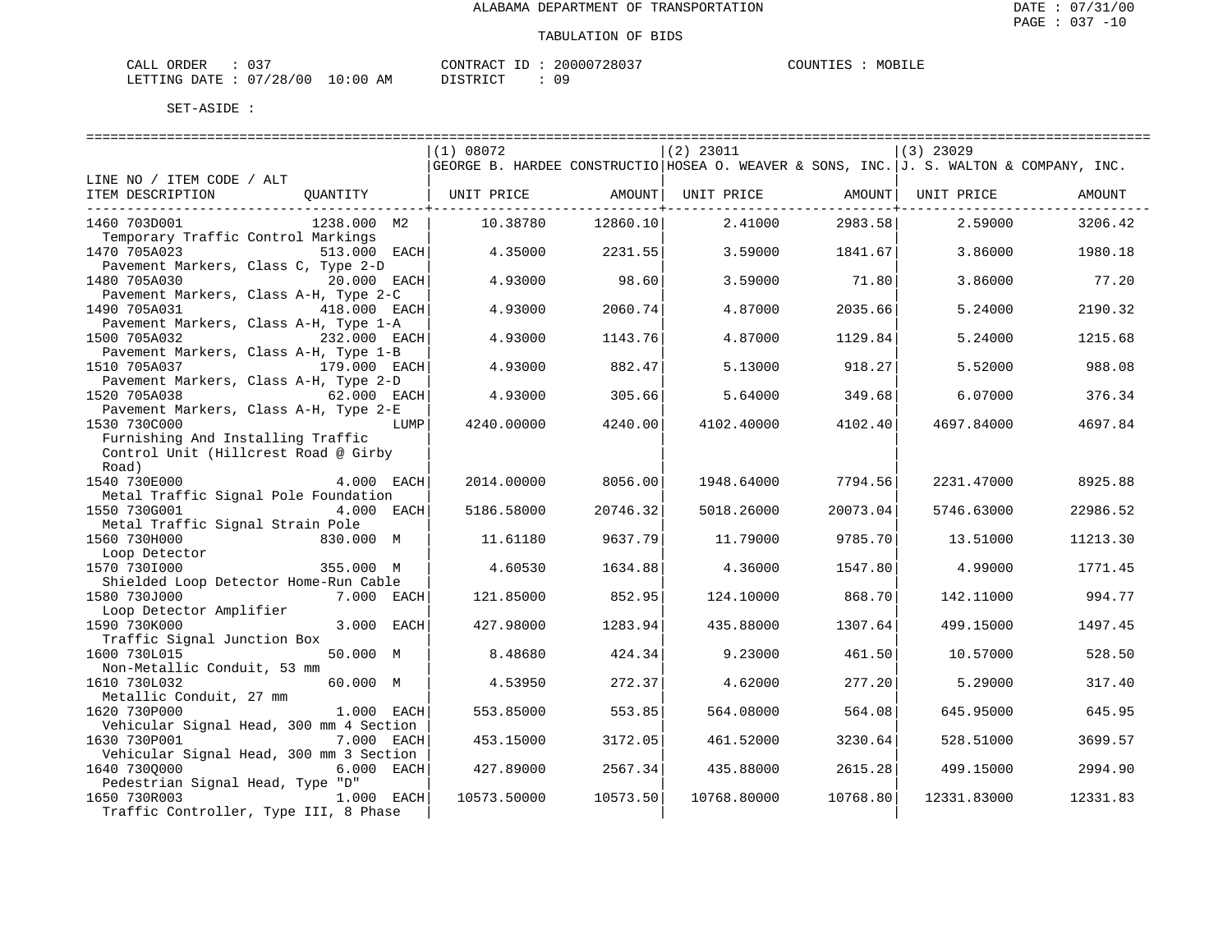| CALL ORDER                       | 037 | CONTRACT ID: 20000728037 |  | COUNTIES | MOBILE |
|----------------------------------|-----|--------------------------|--|----------|--------|
| LETTING DATE : 07/28/00 10:00 AM |     | DISTRICT                 |  |          |        |

|                                         | (1) 08072                                                                              |          | $(2)$ 23011 |          | $(3)$ 23029        |          |
|-----------------------------------------|----------------------------------------------------------------------------------------|----------|-------------|----------|--------------------|----------|
|                                         | GEORGE B. HARDEE CONSTRUCTIO HOSEA O. WEAVER & SONS, INC. J. S. WALTON & COMPANY, INC. |          |             |          |                    |          |
| LINE NO / ITEM CODE / ALT               |                                                                                        |          |             |          |                    |          |
| ITEM DESCRIPTION<br>OUANTITY            | UNIT PRICE                                                                             | AMOUNT   | UNIT PRICE  |          | AMOUNT  UNIT PRICE | AMOUNT   |
|                                         |                                                                                        |          |             |          |                    |          |
| 1460 703D001<br>1238.000 M2             | 10.38780                                                                               | 12860.10 | 2.41000     | 2983.58  | 2.59000            | 3206.42  |
| Temporary Traffic Control Markings      |                                                                                        |          |             |          |                    |          |
| 1470 705A023<br>513.000 EACH            | 4.35000                                                                                | 2231.55  | 3.59000     | 1841.67  | 3.86000            | 1980.18  |
| Pavement Markers, Class C, Type 2-D     |                                                                                        |          |             |          |                    |          |
| 1480 705A030<br>20.000 EACH             | 4.93000                                                                                | 98.60    | 3.59000     | 71.80    | 3.86000            | 77.20    |
| Pavement Markers, Class A-H, Type 2-C   |                                                                                        |          |             |          |                    |          |
| 418.000 EACH<br>1490 705A031            | 4.93000                                                                                | 2060.74  | 4.87000     | 2035.66  | 5.24000            | 2190.32  |
| Pavement Markers, Class A-H, Type 1-A   |                                                                                        |          |             |          |                    |          |
| 1500 705A032<br>232.000 EACH            | 4.93000                                                                                | 1143.76  | 4.87000     | 1129.84  | 5.24000            | 1215.68  |
| Pavement Markers, Class A-H, Type 1-B   |                                                                                        |          |             |          |                    |          |
| 1510 705A037<br>179.000 EACH            | 4.93000                                                                                | 882.47   | 5.13000     | 918.27   | 5.52000            | 988.08   |
| Pavement Markers, Class A-H, Type 2-D   |                                                                                        |          |             |          |                    |          |
| 1520 705A038<br>62.000 EACH             | 4.93000                                                                                | 305.66   | 5.64000     | 349.68   | 6.07000            | 376.34   |
| Pavement Markers, Class A-H, Type 2-E   |                                                                                        |          |             |          |                    |          |
| 1530 730C000<br>LUMP                    | 4240.00000                                                                             | 4240.00  | 4102.40000  | 4102.40  | 4697.84000         | 4697.84  |
| Furnishing And Installing Traffic       |                                                                                        |          |             |          |                    |          |
| Control Unit (Hillcrest Road @ Girby    |                                                                                        |          |             |          |                    |          |
| Road)                                   |                                                                                        |          |             |          |                    |          |
| 1540 730E000<br>4.000 EACH              | 2014.00000                                                                             | 8056.00  | 1948.64000  | 7794.56  | 2231.47000         | 8925.88  |
| Metal Traffic Signal Pole Foundation    |                                                                                        |          |             |          |                    |          |
| 1550 730G001<br>4.000 EACH              | 5186.58000                                                                             | 20746.32 | 5018.26000  | 20073.04 | 5746.63000         | 22986.52 |
| Metal Traffic Signal Strain Pole        |                                                                                        |          |             |          |                    |          |
| 1560 730H000<br>830.000 M               | 11.61180                                                                               | 9637.79  | 11.79000    | 9785.70  | 13.51000           | 11213.30 |
| Loop Detector                           |                                                                                        |          |             |          |                    |          |
| 1570 730I000<br>355.000 M               | 4.60530                                                                                | 1634.88  | 4.36000     | 1547.80  | 4.99000            | 1771.45  |
| Shielded Loop Detector Home-Run Cable   |                                                                                        |          |             |          |                    |          |
| 1580 730J000<br>7.000 EACH              | 121.85000                                                                              | 852.95   | 124.10000   | 868.70   | 142.11000          | 994.77   |
| Loop Detector Amplifier                 |                                                                                        |          |             |          |                    |          |
| 1590 730K000<br>3.000 EACH              | 427.98000                                                                              | 1283.94  | 435.88000   | 1307.64  | 499.15000          | 1497.45  |
| Traffic Signal Junction Box             |                                                                                        |          |             |          |                    |          |
| 1600 730L015<br>50.000 M                | 8.48680                                                                                | 424.34   | 9.23000     | 461.50   | 10.57000           | 528.50   |
| Non-Metallic Conduit, 53 mm             |                                                                                        |          |             |          |                    |          |
| 1610 730L032<br>60.000 M                | 4.53950                                                                                | 272.37   | 4.62000     | 277.20   | 5.29000            | 317.40   |
| Metallic Conduit, 27 mm                 |                                                                                        |          |             |          |                    |          |
| 1620 730P000<br>1.000 EACH              | 553.85000                                                                              | 553.85   | 564.08000   | 564.08   | 645.95000          | 645.95   |
| Vehicular Signal Head, 300 mm 4 Section |                                                                                        |          |             |          |                    |          |
| 1630 730P001<br>7.000 EACH              | 453.15000                                                                              | 3172.05  | 461.52000   | 3230.64  | 528.51000          | 3699.57  |
| Vehicular Signal Head, 300 mm 3 Section |                                                                                        |          |             |          |                    |          |
| 1640 7300000<br>6.000 EACH              | 427.89000                                                                              | 2567.34  | 435.88000   | 2615.28  | 499.15000          | 2994.90  |
| Pedestrian Signal Head, Type "D"        |                                                                                        |          |             |          |                    |          |
| 1.000 EACH<br>1650 730R003              | 10573.50000                                                                            | 10573.50 | 10768.80000 | 10768.80 | 12331.83000        | 12331.83 |
| Traffic Controller, Type III, 8 Phase   |                                                                                        |          |             |          |                    |          |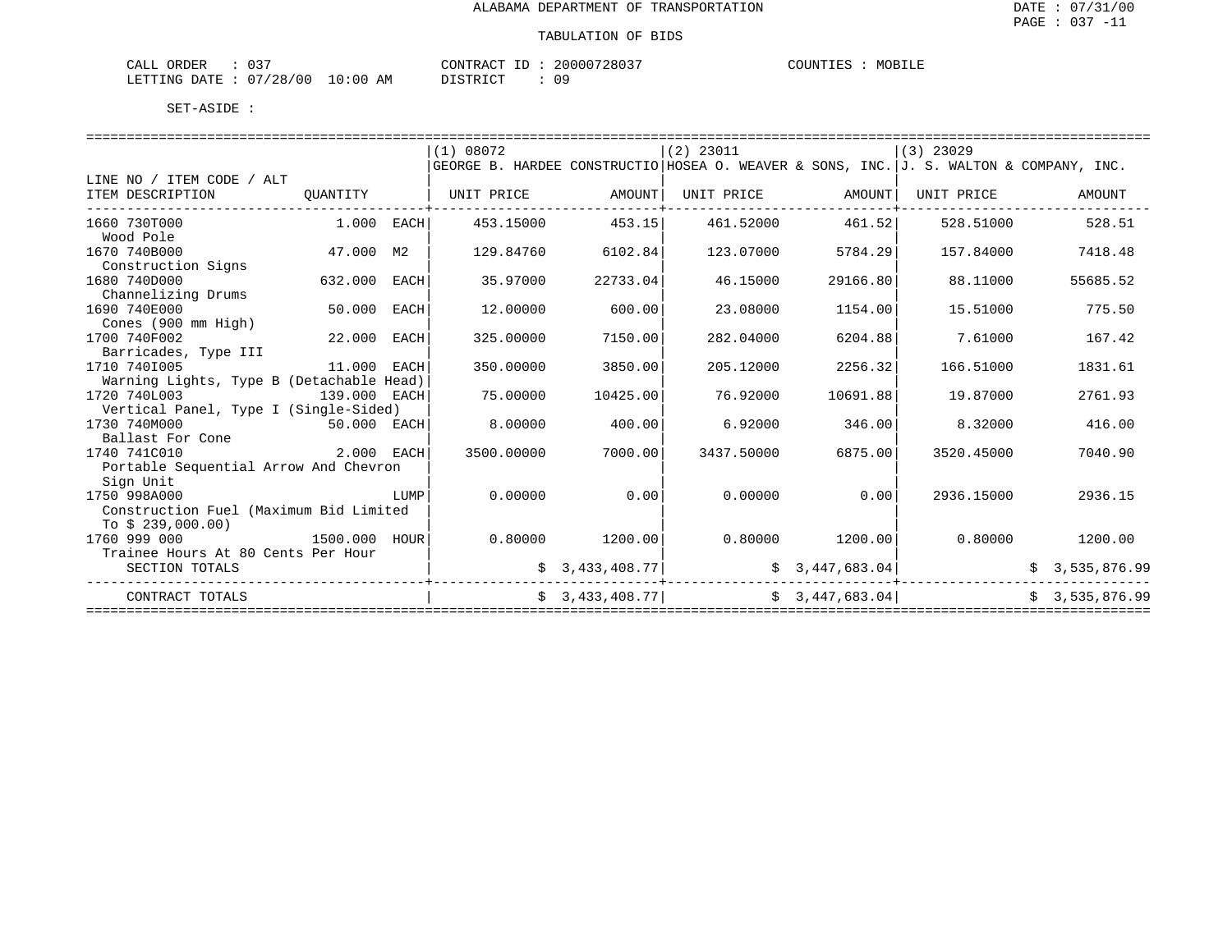| $\sqrt{2}$<br>ORDER<br>CALL         |             | CONTRACT<br>$- -$<br>⊥ப        | 20000728037 | COUNTIES<br>MOBILE |
|-------------------------------------|-------------|--------------------------------|-------------|--------------------|
| /28/00<br>LETTING DATE<br>--------- | 10:00<br>АM | <b>CTD TOT</b><br><i>┙</i> ∸┘∸ | 09          |                    |

|                                                |               |      | (1) 08072                                                                              |                   | $(2)$ 23011                                                                                       |                   | $(3)$ 23029                 |                   |
|------------------------------------------------|---------------|------|----------------------------------------------------------------------------------------|-------------------|---------------------------------------------------------------------------------------------------|-------------------|-----------------------------|-------------------|
|                                                |               |      | GEORGE B. HARDEE CONSTRUCTIO HOSEA O. WEAVER & SONS, INC. J. S. WALTON & COMPANY, INC. |                   |                                                                                                   |                   |                             |                   |
| LINE NO / ITEM CODE / ALT                      |               |      |                                                                                        |                   |                                                                                                   |                   |                             |                   |
| ITEM DESCRIPTION<br>-------------------------- |               |      | QUANTITY   UNIT PRICE AMOUNT                                                           |                   | UNIT PRICE AMOUNT UNIT PRICE                                                                      |                   |                             | AMOUNT            |
| 1660 730T000                                   | $1.000$ EACH  |      | 453.15000                                                                              | 453.15            | 461.52000                                                                                         | 461.52            | 528.51000                   | 528.51            |
| Wood Pole                                      |               |      |                                                                                        |                   |                                                                                                   |                   |                             |                   |
| 1670 740B000                                   | 47.000 M2     |      | 129.84760                                                                              | 6102.84           | 123.07000                                                                                         | 5784.29           | 157.84000                   | 7418.48           |
| Construction Signs                             |               |      |                                                                                        |                   |                                                                                                   |                   |                             |                   |
| 1680 740D000                                   | 632.000 EACH  |      | 35.97000                                                                               | 22733.04          | 46.15000                                                                                          | 29166.80          | 88.11000                    | 55685.52          |
| Channelizing Drums                             |               |      |                                                                                        |                   |                                                                                                   |                   |                             |                   |
| 1690 740E000                                   | 50.000 EACH   |      | 12.00000                                                                               | 600.00            | 23.08000                                                                                          | 1154.00           | 15.51000                    | 775.50            |
| Cones (900 mm High)                            |               |      |                                                                                        |                   |                                                                                                   |                   |                             |                   |
| 1700 740F002                                   | 22.000 EACH   |      | 325.00000                                                                              | 7150.00           | 282.04000                                                                                         | 6204.88           | 7.61000                     | 167.42            |
| Barricades, Type III                           |               |      |                                                                                        |                   |                                                                                                   |                   |                             |                   |
| 1710 7401005                                   | 11.000 EACH   |      | 350.00000                                                                              | 3850.00           | 205.12000                                                                                         | 2256.32           | 166.51000                   | 1831.61           |
| Warning Lights, Type B (Detachable Head)       |               |      |                                                                                        |                   |                                                                                                   |                   |                             |                   |
| 1720 740L003                                   | 139.000 EACH  |      | 75.00000                                                                               | 10425.00          | 76.92000                                                                                          | 10691.88          | 19.87000                    | 2761.93           |
| Vertical Panel, Type I (Single-Sided)          |               |      |                                                                                        |                   |                                                                                                   |                   |                             |                   |
| 1730 740M000                                   | $50.000$ EACH |      | 8.00000                                                                                | 400.00            | 6.92000                                                                                           | 346.00            | 8.32000                     | 416.00            |
| Ballast For Cone                               |               |      |                                                                                        |                   |                                                                                                   |                   |                             |                   |
| 1740 741C010                                   | 2.000 EACH    |      | 3500.00000                                                                             | 7000.00           | 3437.50000                                                                                        | 6875.00           | 3520.45000                  | 7040.90           |
| Portable Sequential Arrow And Chevron          |               |      |                                                                                        |                   |                                                                                                   |                   |                             |                   |
| Sign Unit                                      |               |      |                                                                                        |                   |                                                                                                   |                   |                             |                   |
| 1750 998A000                                   |               | LUMP | 0.00000                                                                                | 0.00              | 0.00000                                                                                           | 0.00              | 2936.15000                  | 2936.15           |
| Construction Fuel (Maximum Bid Limited         |               |      |                                                                                        |                   |                                                                                                   |                   |                             |                   |
| To $$239,000.00)$                              |               |      |                                                                                        |                   |                                                                                                   |                   |                             |                   |
| 1760 999 000                                   | 1500.000 HOUR |      |                                                                                        | $0.80000$ 1200.00 |                                                                                                   | $0.80000$ 1200.00 |                             | $0.80000$ 1200.00 |
| Trainee Hours At 80 Cents Per Hour             |               |      |                                                                                        |                   |                                                                                                   |                   |                             |                   |
| SECTION TOTALS                                 |               |      |                                                                                        |                   | $\sharp$ 3,433,408.77   $\sharp$ 3,447,683.04<br>__________                                       |                   |                             | \$3,535,876.99    |
| CONTRACT TOTALS                                |               |      |                                                                                        |                   | $\begin{bmatrix} 5 & 3,433,408.77 \end{bmatrix}$ $\begin{bmatrix} 5 & 3,447,683.04 \end{bmatrix}$ |                   |                             | \$3.535.876.99    |
|                                                |               |      |                                                                                        |                   |                                                                                                   |                   | =========================== |                   |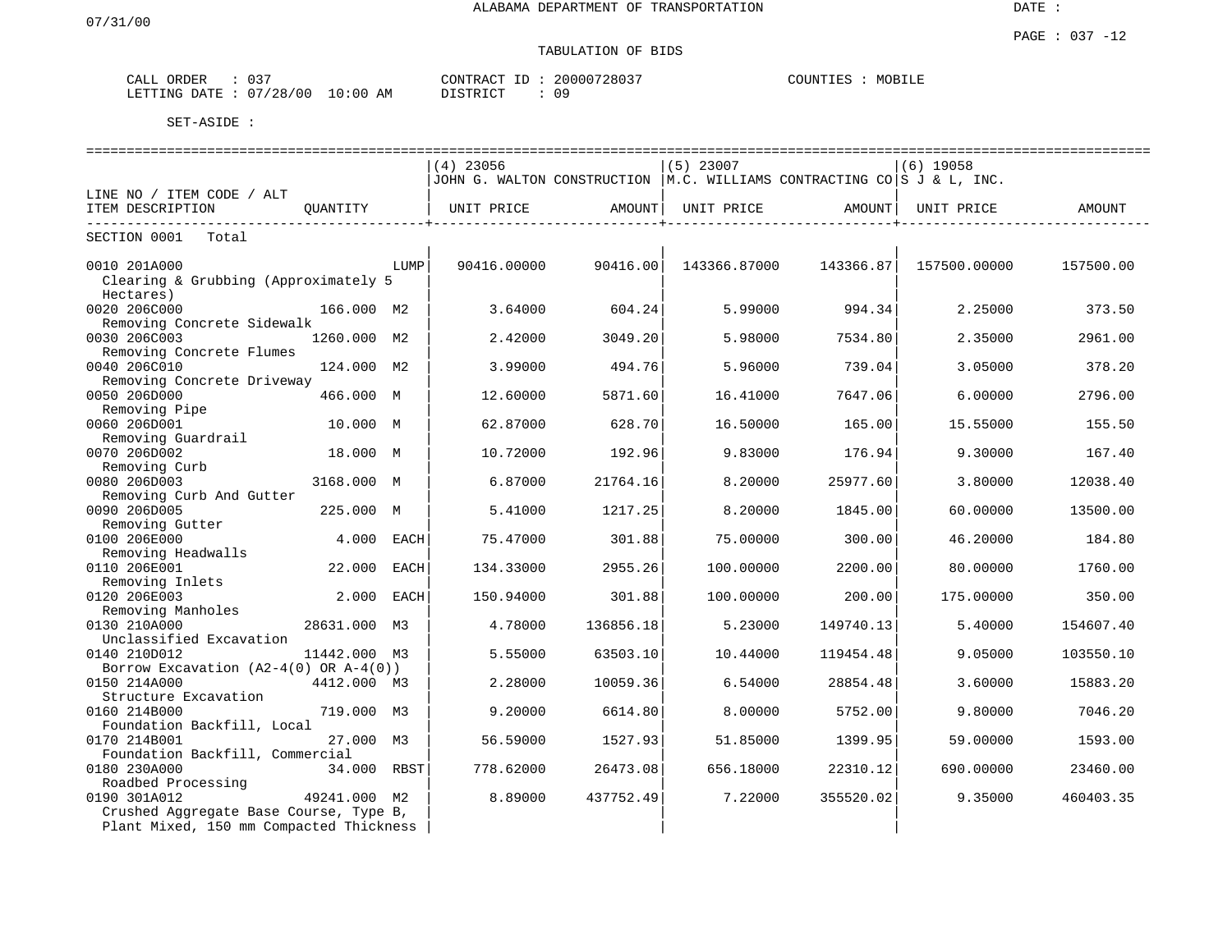DATE :

## TABULATION OF BIDS

| ORDER<br>CALL | $\sim$ $\sim$ $\sim$<br>U31 |          | CONTRACT ID | 20000728037 | COUNTIES<br>MOBILE |  |
|---------------|-----------------------------|----------|-------------|-------------|--------------------|--|
| LETTING DATE  | 07/28/00                    | 10:00 AM | דת TSTR דרי | -09         |                    |  |

|                                            |              |      | $(4)$ 23056                                                              |           | $(5)$ 23007  |           | $(6)$ 19058  |           |
|--------------------------------------------|--------------|------|--------------------------------------------------------------------------|-----------|--------------|-----------|--------------|-----------|
|                                            |              |      | JOHN G. WALTON CONSTRUCTION   M.C. WILLIAMS CONTRACTING CO S J & L, INC. |           |              |           |              |           |
| LINE NO / ITEM CODE / ALT                  |              |      |                                                                          |           |              |           |              |           |
| ITEM DESCRIPTION                           | OUANTITY     |      | UNIT PRICE                                                               | AMOUNT    | UNIT PRICE   | AMOUNT    | UNIT PRICE   | AMOUNT    |
| SECTION 0001<br>Total                      |              |      |                                                                          |           |              |           |              |           |
|                                            |              |      |                                                                          |           |              |           |              |           |
| 0010 201A000                               |              | LUMP | 90416.00000                                                              | 90416.00  | 143366.87000 | 143366.87 | 157500.00000 | 157500.00 |
| Clearing & Grubbing (Approximately 5       |              |      |                                                                          |           |              |           |              |           |
| Hectares)                                  |              |      |                                                                          |           |              |           |              |           |
| 0020 206C000                               | 166.000 M2   |      | 3.64000                                                                  | 604.24    | 5.99000      | 994.34    | 2.25000      | 373.50    |
| Removing Concrete Sidewalk                 |              |      |                                                                          |           |              |           |              |           |
| 0030 206C003                               | 1260.000 M2  |      | 2.42000                                                                  | 3049.20   | 5.98000      | 7534.80   | 2.35000      | 2961.00   |
| Removing Concrete Flumes                   |              |      |                                                                          |           |              |           |              |           |
| 0040 206C010                               | 124.000 M2   |      | 3.99000                                                                  | 494.76    | 5.96000      | 739.04    | 3.05000      | 378.20    |
| Removing Concrete Driveway                 |              |      |                                                                          |           |              |           |              |           |
| 0050 206D000                               | 466.000 M    |      | 12.60000                                                                 | 5871.60   | 16.41000     | 7647.06   | 6.00000      | 2796.00   |
| Removing Pipe                              |              |      |                                                                          |           |              |           |              |           |
| 0060 206D001                               | 10.000 M     |      | 62.87000                                                                 | 628.70    | 16.50000     | 165.00    | 15.55000     | 155.50    |
| Removing Guardrail                         |              |      |                                                                          |           |              |           |              |           |
| 0070 206D002                               | 18.000 M     |      | 10.72000                                                                 | 192.96    | 9.83000      | 176.94    | 9.30000      | 167.40    |
| Removing Curb                              |              |      |                                                                          |           |              |           |              |           |
| 0080 206D003                               | 3168.000 M   |      | 6.87000                                                                  | 21764.16  | 8.20000      | 25977.60  | 3.80000      | 12038.40  |
| Removing Curb And Gutter                   |              |      |                                                                          |           |              |           |              |           |
| 0090 206D005                               | 225.000 M    |      | 5.41000                                                                  | 1217.25   | 8.20000      | 1845.00   | 60.00000     | 13500.00  |
| Removing Gutter                            |              |      |                                                                          |           |              |           |              |           |
| 0100 206E000                               | 4.000        | EACH | 75.47000                                                                 | 301.88    | 75.00000     | 300.00    | 46.20000     | 184.80    |
| Removing Headwalls                         |              |      |                                                                          |           |              |           |              |           |
| 0110 206E001                               | 22.000       | EACH | 134.33000                                                                | 2955.26   | 100.00000    | 2200.00   | 80.00000     | 1760.00   |
| Removing Inlets                            |              |      |                                                                          |           |              |           |              |           |
| 0120 206E003                               | 2.000        | EACH | 150.94000                                                                | 301.88    | 100.00000    | 200.00    | 175.00000    | 350.00    |
| Removing Manholes                          |              |      |                                                                          |           |              |           |              |           |
| 0130 210A000                               | 28631.000    | M3   | 4.78000                                                                  | 136856.18 | 5.23000      | 149740.13 | 5.40000      | 154607.40 |
| Unclassified Excavation                    |              |      |                                                                          |           |              |           |              |           |
| 0140 210D012                               | 11442.000 M3 |      | 5.55000                                                                  | 63503.10  | 10.44000     | 119454.48 | 9.05000      | 103550.10 |
| Borrow Excavation $(A2-4(0)$ OR $A-4(0)$ ) |              |      |                                                                          |           |              |           |              |           |
| 0150 214A000                               | 4412.000 M3  |      | 2.28000                                                                  | 10059.36  | 6.54000      | 28854.48  | 3.60000      | 15883.20  |
| Structure Excavation                       |              |      |                                                                          |           |              |           |              |           |
| 0160 214B000                               | 719.000 M3   |      | 9.20000                                                                  | 6614.80   | 8,00000      | 5752.00   | 9.80000      | 7046.20   |
| Foundation Backfill, Local                 |              |      |                                                                          |           |              |           |              |           |
| 0170 214B001                               | 27.000 M3    |      | 56.59000                                                                 | 1527.93   | 51.85000     | 1399.95   | 59.00000     | 1593.00   |
| Foundation Backfill, Commercial            |              |      |                                                                          |           |              |           |              |           |
| 0180 230A000                               | 34.000 RBST  |      | 778.62000                                                                | 26473.08  | 656.18000    | 22310.12  | 690.00000    | 23460.00  |
| Roadbed Processing                         |              |      |                                                                          |           |              |           |              |           |
| 0190 301A012                               | 49241.000 M2 |      | 8.89000                                                                  | 437752.49 | 7.22000      | 355520.02 | 9.35000      | 460403.35 |
| Crushed Aggregate Base Course, Type B,     |              |      |                                                                          |           |              |           |              |           |
| Plant Mixed, 150 mm Compacted Thickness    |              |      |                                                                          |           |              |           |              |           |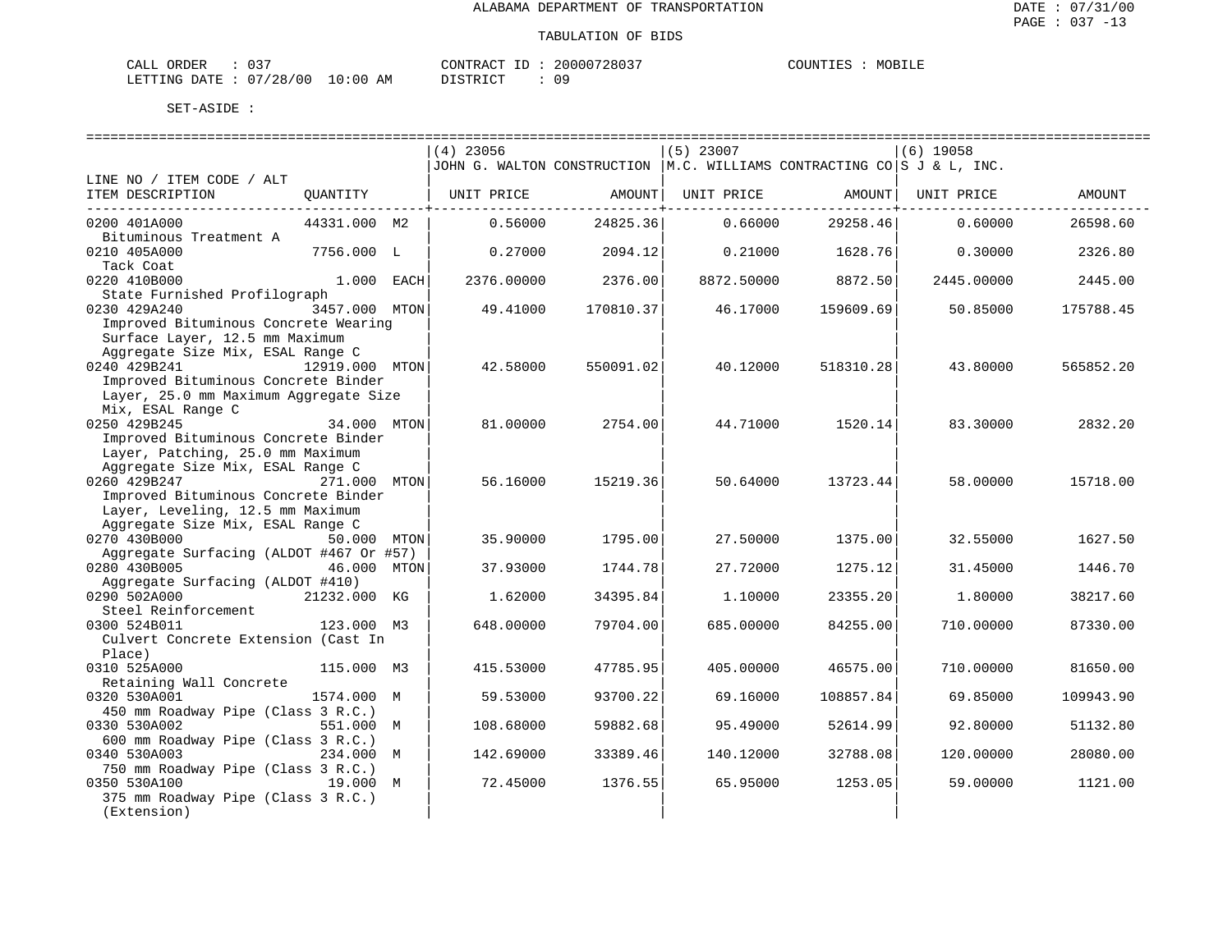| $\cap$ $\cap$<br>CALL ORDER     | CONTRACT ID: 20000728037 |    | MOBILE<br>COUNTIES |
|---------------------------------|--------------------------|----|--------------------|
| LETTING DATE: 07/28/00 10:00 AM | DISTRICT                 | 09 |                    |

|                                         |                | $(4)$ 23056                                                              |           | $(5)$ 23007 |           | $(6)$ 19058 |           |
|-----------------------------------------|----------------|--------------------------------------------------------------------------|-----------|-------------|-----------|-------------|-----------|
|                                         |                | JOHN G. WALTON CONSTRUCTION   M.C. WILLIAMS CONTRACTING CO S J & L, INC. |           |             |           |             |           |
| LINE NO / ITEM CODE / ALT               |                |                                                                          |           |             |           |             |           |
| ITEM DESCRIPTION                        | QUANTITY       | UNIT PRICE                                                               | AMOUNT    | UNIT PRICE  | AMOUNT    | UNIT PRICE  | AMOUNT    |
|                                         |                |                                                                          |           |             |           |             |           |
| 0200 401A000                            | 44331.000 M2   | 0.56000                                                                  | 24825.36  | 0.66000     | 29258.46  | 0.60000     | 26598.60  |
| Bituminous Treatment A                  |                |                                                                          |           |             |           |             |           |
| 0210 405A000                            | 7756.000 L     | 0.27000                                                                  | 2094.12   | 0.21000     | 1628.76   | 0.30000     | 2326.80   |
| Tack Coat<br>0220 410B000               | 1.000 EACH     | 2376.00000                                                               | 2376.00   | 8872.50000  | 8872.50   | 2445.00000  | 2445.00   |
| State Furnished Profilograph            |                |                                                                          |           |             |           |             |           |
| 0230 429A240                            | 3457.000 MTON  | 49.41000                                                                 | 170810.37 | 46.17000    | 159609.69 | 50.85000    | 175788.45 |
| Improved Bituminous Concrete Wearing    |                |                                                                          |           |             |           |             |           |
| Surface Layer, 12.5 mm Maximum          |                |                                                                          |           |             |           |             |           |
| Aggregate Size Mix, ESAL Range C        |                |                                                                          |           |             |           |             |           |
| 0240 429B241                            | 12919.000 MTON | 42.58000                                                                 | 550091.02 | 40.12000    | 518310.28 | 43.80000    | 565852.20 |
| Improved Bituminous Concrete Binder     |                |                                                                          |           |             |           |             |           |
| Layer, 25.0 mm Maximum Aggregate Size   |                |                                                                          |           |             |           |             |           |
| Mix, ESAL Range C                       |                |                                                                          |           |             |           |             |           |
| 0250 429B245                            | 34.000 MTON    | 81.00000                                                                 | 2754.00   | 44.71000    | 1520.14   | 83.30000    | 2832.20   |
| Improved Bituminous Concrete Binder     |                |                                                                          |           |             |           |             |           |
| Layer, Patching, 25.0 mm Maximum        |                |                                                                          |           |             |           |             |           |
| Aggregate Size Mix, ESAL Range C        |                |                                                                          |           |             |           |             |           |
| 0260 429B247                            | 271.000 MTON   | 56.16000                                                                 | 15219.36  | 50.64000    | 13723.44  | 58.00000    | 15718.00  |
| Improved Bituminous Concrete Binder     |                |                                                                          |           |             |           |             |           |
| Layer, Leveling, 12.5 mm Maximum        |                |                                                                          |           |             |           |             |           |
| Aggregate Size Mix, ESAL Range C        |                |                                                                          |           |             |           |             |           |
| 0270 430B000                            | 50.000 MTON    | 35.90000                                                                 | 1795.00   | 27.50000    | 1375.00   | 32.55000    | 1627.50   |
| Aggregate Surfacing (ALDOT #467 Or #57) |                |                                                                          |           |             |           |             |           |
| 0280 430B005                            | 46.000 MTON    | 37.93000                                                                 | 1744.78   | 27.72000    | 1275.12   | 31.45000    | 1446.70   |
| Aggregate Surfacing (ALDOT #410)        |                |                                                                          |           |             |           |             |           |
| 0290 502A000                            | 21232.000 KG   | 1.62000                                                                  | 34395.84  | 1,10000     | 23355.20  | 1.80000     | 38217.60  |
| Steel Reinforcement<br>0300 524B011     | 123.000 M3     | 648.00000                                                                | 79704.00  |             |           | 710.00000   |           |
| Culvert Concrete Extension (Cast In     |                |                                                                          |           | 685.00000   | 84255.00  |             | 87330.00  |
| Place)                                  |                |                                                                          |           |             |           |             |           |
| 0310 525A000                            | 115.000 M3     | 415.53000                                                                | 47785.95  | 405.00000   | 46575.00  | 710.00000   | 81650.00  |
| Retaining Wall Concrete                 |                |                                                                          |           |             |           |             |           |
| 0320 530A001                            | 1574.000 M     | 59.53000                                                                 | 93700.22  | 69.16000    | 108857.84 | 69.85000    | 109943.90 |
| 450 mm Roadway Pipe (Class 3 R.C.)      |                |                                                                          |           |             |           |             |           |
| 0330 530A002                            | 551.000 M      | 108.68000                                                                | 59882.68  | 95.49000    | 52614.99  | 92.80000    | 51132.80  |
| 600 mm Roadway Pipe (Class 3 R.C.)      |                |                                                                          |           |             |           |             |           |
| 0340 530A003                            | 234.000 M      | 142.69000                                                                | 33389.46  | 140.12000   | 32788.08  | 120.00000   | 28080.00  |
| 750 mm Roadway Pipe (Class 3 R.C.)      |                |                                                                          |           |             |           |             |           |
| 0350 530A100                            | 19.000 M       | 72.45000                                                                 | 1376.55   | 65.95000    | 1253.05   | 59.00000    | 1121.00   |
| 375 mm Roadway Pipe (Class 3 R.C.)      |                |                                                                          |           |             |           |             |           |
| (Extension)                             |                |                                                                          |           |             |           |             |           |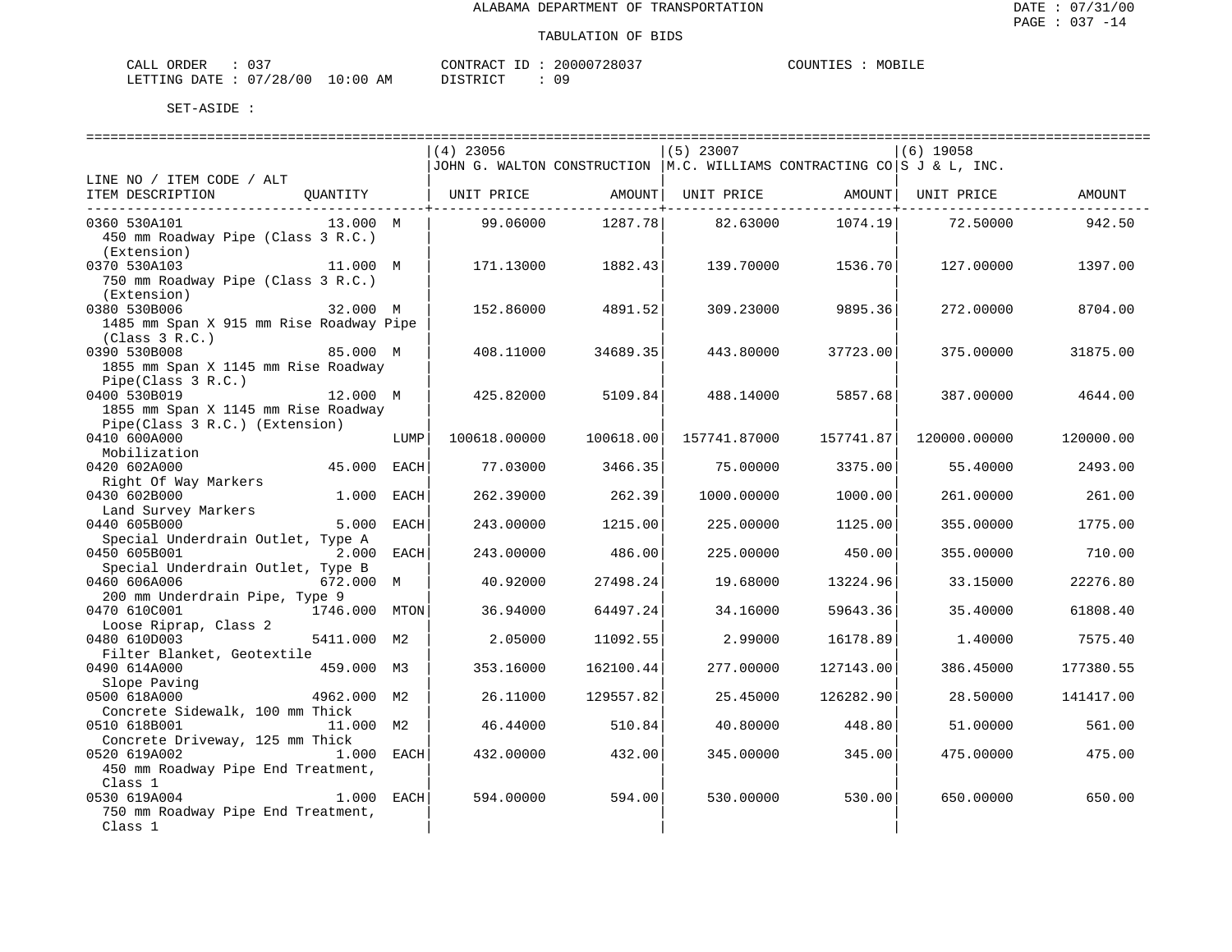| $\sim$ $\sim$ $\sim$<br>ORDER<br>CALL |            | CONTRACT ID | 20000728037 | MOBILE<br>COUNTIES |
|---------------------------------------|------------|-------------|-------------|--------------------|
| LETTING DATE: 07/28/00                | $10:00$ AM | DISTRICT    | 09          |                    |

|                                                |               |             | $(4)$ 23056                                                               |           | $(5)$ 23007        |           | $(6)$ 19058        |           |
|------------------------------------------------|---------------|-------------|---------------------------------------------------------------------------|-----------|--------------------|-----------|--------------------|-----------|
|                                                |               |             | JJOHN G. WALTON CONSTRUCTION   M.C. WILLIAMS CONTRACTING CO S J & L, INC. |           |                    |           |                    |           |
| LINE NO / ITEM CODE / ALT                      |               |             |                                                                           |           |                    |           |                    |           |
| ITEM DESCRIPTION                               | OUANTITY      |             | UNIT PRICE                                                                |           | AMOUNT  UNIT PRICE |           | AMOUNT  UNIT PRICE | AMOUNT    |
| 0360 530A101                                   | 13.000 M      |             | 99.06000                                                                  | 1287.78   | 82.63000           | 1074.19   | 72.50000           | 942.50    |
| 450 mm Roadway Pipe (Class 3 R.C.)             |               |             |                                                                           |           |                    |           |                    |           |
| (Extension)                                    |               |             |                                                                           |           |                    |           |                    |           |
| 0370 530A103                                   | 11.000 M      |             | 171.13000                                                                 | 1882.43   | 139.70000          | 1536.70   | 127.00000          | 1397.00   |
| 750 mm Roadway Pipe (Class 3 R.C.)             |               |             |                                                                           |           |                    |           |                    |           |
| (Extension)                                    |               |             |                                                                           |           |                    |           |                    |           |
| 0380 530B006                                   | 32.000 M      |             | 152.86000                                                                 | 4891.52   | 309.23000          | 9895.36   | 272,00000          | 8704.00   |
| 1485 mm Span X 915 mm Rise Roadway Pipe        |               |             |                                                                           |           |                    |           |                    |           |
| (Class 3 R.C.)                                 |               |             |                                                                           |           |                    |           |                    |           |
| 0390 530B008                                   | 85.000 M      |             | 408.11000                                                                 | 34689.35  | 443.80000          | 37723.00  | 375,00000          | 31875.00  |
| 1855 mm Span X 1145 mm Rise Roadway            |               |             |                                                                           |           |                    |           |                    |           |
| Pipe(Class 3 R.C.)                             |               |             |                                                                           |           |                    |           |                    |           |
| 0400 530B019                                   | 12.000 M      |             | 425.82000                                                                 | 5109.84   | 488.14000          | 5857.68   | 387.00000          | 4644.00   |
| 1855 mm Span X 1145 mm Rise Roadway            |               |             |                                                                           |           |                    |           |                    |           |
| Pipe(Class 3 R.C.) (Extension)<br>0410 600A000 |               |             |                                                                           |           |                    |           |                    |           |
| Mobilization                                   |               | LUMP        | 100618.00000                                                              | 100618.00 | 157741.87000       | 157741.87 | 120000.00000       | 120000.00 |
| 0420 602A000                                   | 45.000 EACH   |             | 77.03000                                                                  | 3466.35   | 75,00000           | 3375.00   | 55.40000           | 2493.00   |
| Right Of Way Markers                           |               |             |                                                                           |           |                    |           |                    |           |
| 0430 602B000                                   | 1.000         | EACH        | 262.39000                                                                 | 262.39    | 1000.00000         | 1000.00   | 261,00000          | 261.00    |
| Land Survey Markers                            |               |             |                                                                           |           |                    |           |                    |           |
| 0440 605B000                                   | 5.000         | <b>EACH</b> | 243.00000                                                                 | 1215.00   | 225.00000          | 1125.00   | 355.00000          | 1775.00   |
| Special Underdrain Outlet, Type A              |               |             |                                                                           |           |                    |           |                    |           |
| 0450 605B001                                   | 2.000         | EACH        | 243.00000                                                                 | 486.00    | 225,00000          | 450.00    | 355,00000          | 710.00    |
| Special Underdrain Outlet, Type B              |               |             |                                                                           |           |                    |           |                    |           |
| 0460 606A006                                   | 672.000 M     |             | 40.92000                                                                  | 27498.24  | 19.68000           | 13224.96  | 33.15000           | 22276.80  |
| 200 mm Underdrain Pipe, Type 9                 |               |             |                                                                           |           |                    |           |                    |           |
| 0470 610C001<br>Loose Riprap, Class 2          | 1746.000 MTON |             | 36.94000                                                                  | 64497.24  | 34.16000           | 59643.36  | 35.40000           | 61808.40  |
| 0480 610D003                                   | 5411.000 M2   |             | 2.05000                                                                   | 11092.55  | 2.99000            | 16178.89  | 1.40000            | 7575.40   |
| Filter Blanket, Geotextile                     |               |             |                                                                           |           |                    |           |                    |           |
| 0490 614A000                                   | 459.000 M3    |             | 353.16000                                                                 | 162100.44 | 277.00000          | 127143.00 | 386.45000          | 177380.55 |
| Slope Paving                                   |               |             |                                                                           |           |                    |           |                    |           |
| 0500 618A000                                   | 4962.000 M2   |             | 26.11000                                                                  | 129557.82 | 25.45000           | 126282.90 | 28.50000           | 141417.00 |
| Concrete Sidewalk, 100 mm Thick                |               |             |                                                                           |           |                    |           |                    |           |
| 0510 618B001                                   | 11.000 M2     |             | 46.44000                                                                  | 510.84    | 40.80000           | 448.80    | 51.00000           | 561.00    |
| Concrete Driveway, 125 mm Thick                |               |             |                                                                           |           |                    |           |                    |           |
| 0520 619A002                                   | 1.000         | EACH        | 432.00000                                                                 | 432.00    | 345.00000          | 345.00    | 475.00000          | 475.00    |
| 450 mm Roadway Pipe End Treatment,             |               |             |                                                                           |           |                    |           |                    |           |
| Class 1<br>0530 619A004                        | 1.000 EACH    |             | 594.00000                                                                 | 594.00    | 530.00000          | 530.00    | 650.00000          | 650.00    |
| 750 mm Roadway Pipe End Treatment,             |               |             |                                                                           |           |                    |           |                    |           |
| Class 1                                        |               |             |                                                                           |           |                    |           |                    |           |
|                                                |               |             |                                                                           |           |                    |           |                    |           |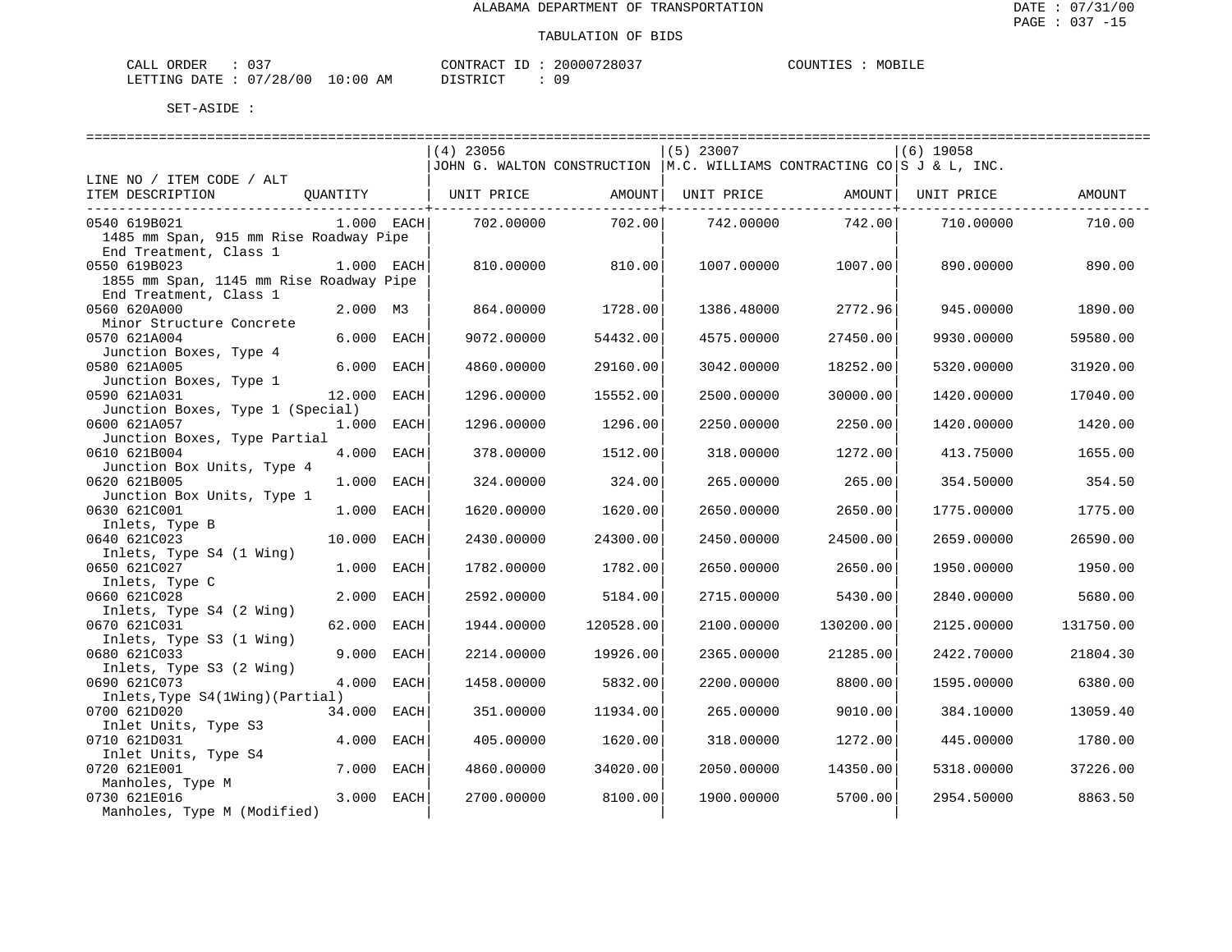| ORDER<br>CALL (              | 037 |    | CONTRACT ID: | 20000728037 | COUNTIES | MOBILE |
|------------------------------|-----|----|--------------|-------------|----------|--------|
| LETTING DATE: 07/28/00 10:00 |     | AM | DISTRICT     |             |          |        |

|                                              |              |      | $(4)$ 23056                                                               |           | $(5)$ 23007 |           | $(6)$ 19058 |           |
|----------------------------------------------|--------------|------|---------------------------------------------------------------------------|-----------|-------------|-----------|-------------|-----------|
|                                              |              |      | JOHN G. WALTON CONSTRUCTION $ M.C.$ WILLIAMS CONTRACTING CO S J & L, INC. |           |             |           |             |           |
| LINE NO / ITEM CODE / ALT                    |              |      |                                                                           |           |             |           |             |           |
| ITEM DESCRIPTION                             | OUANTITY     |      | UNIT PRICE                                                                | AMOUNT    | UNIT PRICE  | AMOUNT    | UNIT PRICE  | AMOUNT    |
|                                              |              |      |                                                                           |           |             |           |             |           |
| 0540 619B021                                 | $1.000$ EACH |      | 702.00000                                                                 | 702.00    | 742.00000   | 742.00    | 710.00000   | 710.00    |
| 1485 mm Span, 915 mm Rise Roadway Pipe       |              |      |                                                                           |           |             |           |             |           |
| End Treatment, Class 1                       |              |      |                                                                           |           |             |           |             |           |
| 0550 619B023                                 | 1.000 EACH   |      | 810.00000                                                                 | 810.00    | 1007.00000  | 1007.00   | 890,00000   | 890.00    |
| 1855 mm Span, 1145 mm Rise Roadway Pipe      |              |      |                                                                           |           |             |           |             |           |
| End Treatment, Class 1                       |              |      |                                                                           |           |             |           |             |           |
| 0560 620A000                                 | 2.000 M3     |      | 864.00000                                                                 | 1728.00   | 1386.48000  | 2772.96   | 945.00000   | 1890.00   |
| Minor Structure Concrete                     |              |      |                                                                           |           |             |           |             |           |
| 0570 621A004                                 | 6.000 EACH   |      | 9072.00000                                                                | 54432.00  | 4575.00000  | 27450.00  | 9930.00000  | 59580.00  |
| Junction Boxes, Type 4                       |              |      |                                                                           |           |             |           |             |           |
| 0580 621A005                                 | 6.000 EACH   |      | 4860.00000                                                                | 29160.00  | 3042.00000  | 18252.00  | 5320.00000  | 31920.00  |
| Junction Boxes, Type 1                       |              |      |                                                                           |           |             |           |             |           |
| 0590 621A031                                 | 12.000 EACH  |      | 1296.00000                                                                | 15552.00  | 2500.00000  | 30000.00  | 1420.00000  | 17040.00  |
| Junction Boxes, Type 1 (Special)             |              |      |                                                                           |           |             |           |             |           |
| 0600 621A057                                 | 1.000 EACH   |      | 1296.00000                                                                | 1296.00   | 2250.00000  | 2250.00   | 1420.00000  | 1420.00   |
| Junction Boxes, Type Partial<br>0610 621B004 |              |      |                                                                           |           |             |           |             |           |
|                                              | 4.000 EACH   |      | 378.00000                                                                 | 1512.00   | 318.00000   | 1272.00   | 413.75000   | 1655.00   |
| Junction Box Units, Type 4<br>0620 621B005   | 1.000        | EACH | 324.00000                                                                 | 324.00    | 265.00000   | 265.00    | 354.50000   | 354.50    |
| Junction Box Units, Type 1                   |              |      |                                                                           |           |             |           |             |           |
| 0630 621C001                                 | 1.000 EACH   |      | 1620.00000                                                                | 1620.00   | 2650.00000  | 2650.00   | 1775.00000  | 1775.00   |
| Inlets, Type B                               |              |      |                                                                           |           |             |           |             |           |
| 0640 621C023                                 | 10.000 EACH  |      | 2430.00000                                                                | 24300.00  | 2450.00000  | 24500.00  | 2659.00000  | 26590.00  |
| Inlets, Type S4 (1 Wing)                     |              |      |                                                                           |           |             |           |             |           |
| 0650 621C027                                 | 1.000 EACH   |      | 1782.00000                                                                | 1782.00   | 2650.00000  | 2650.00   | 1950.00000  | 1950.00   |
| Inlets, Type C                               |              |      |                                                                           |           |             |           |             |           |
| 0660 621C028                                 | 2.000 EACH   |      | 2592.00000                                                                | 5184.00   | 2715.00000  | 5430.00   | 2840.00000  | 5680.00   |
| Inlets, Type S4 (2 Wing)                     |              |      |                                                                           |           |             |           |             |           |
| 0670 621C031                                 | 62.000       | EACH | 1944.00000                                                                | 120528.00 | 2100.00000  | 130200.00 | 2125.00000  | 131750.00 |
| Inlets, Type S3 (1 Wing)                     |              |      |                                                                           |           |             |           |             |           |
| 0680 621C033                                 | 9.000 EACH   |      | 2214.00000                                                                | 19926.00  | 2365.00000  | 21285.00  | 2422.70000  | 21804.30  |
| Inlets, Type S3 (2 Wing)                     |              |      |                                                                           |           |             |           |             |           |
| 0690 621C073                                 | 4.000 EACH   |      | 1458.00000                                                                | 5832.00   | 2200.00000  | 8800.00   | 1595.00000  | 6380.00   |
| Inlets, Type S4(1Wing) (Partial)             |              |      |                                                                           |           |             |           |             |           |
| 0700 621D020                                 | 34.000 EACH  |      | 351.00000                                                                 | 11934.00  | 265.00000   | 9010.00   | 384.10000   | 13059.40  |
| Inlet Units, Type S3                         |              |      |                                                                           |           |             |           |             |           |
| 0710 621D031                                 | 4.000        | EACH | 405.00000                                                                 | 1620.00   | 318.00000   | 1272.00   | 445.00000   | 1780.00   |
| Inlet Units, Type S4                         |              |      |                                                                           |           |             |           |             |           |
| 0720 621E001                                 | 7.000 EACH   |      | 4860.00000                                                                | 34020.00  | 2050.00000  | 14350.00  | 5318.00000  | 37226.00  |
| Manholes, Type M                             |              |      |                                                                           |           |             |           |             |           |
| 0730 621E016                                 | 3.000 EACH   |      | 2700.00000                                                                | 8100.00   | 1900.00000  | 5700.00   | 2954.50000  | 8863.50   |
| Manholes, Type M (Modified)                  |              |      |                                                                           |           |             |           |             |           |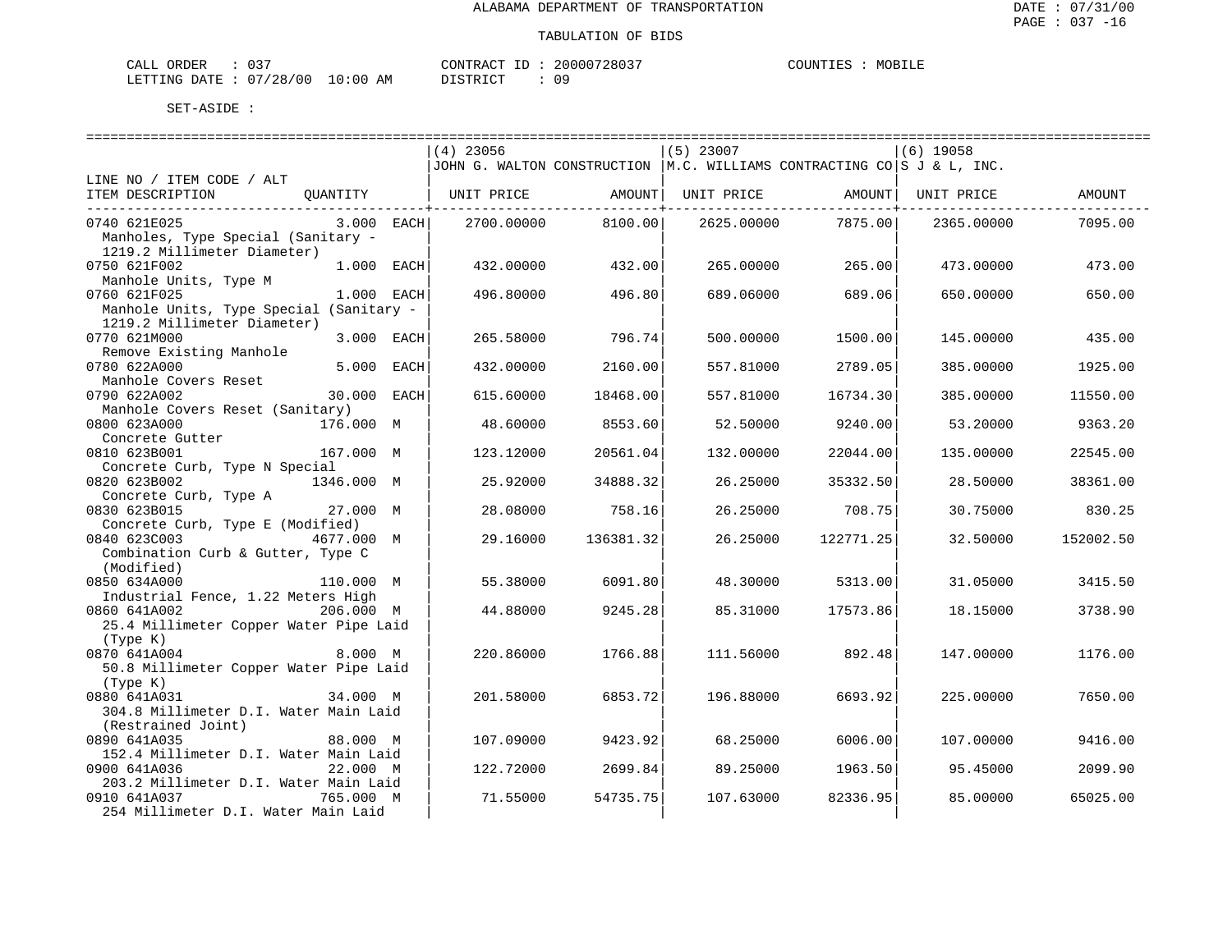| CALL ORDER                       |  |          | CONTRACT ID: 20000728037 | COUNTIES | MOBILE |
|----------------------------------|--|----------|--------------------------|----------|--------|
| LETTING DATE : 07/28/00 10:00 AM |  | PISTRICT |                          |          |        |

|                                         |              | $(4)$ 23056 |               | $(5)$ 23007                                                                    |           | $(6)$ 19058 |           |
|-----------------------------------------|--------------|-------------|---------------|--------------------------------------------------------------------------------|-----------|-------------|-----------|
|                                         |              |             |               | JJOHN G. WALTON CONSTRUCTION $ M.C.$ WILLIAMS CONTRACTING CO $ S J \& L,$ INC. |           |             |           |
| LINE NO / ITEM CODE / ALT               |              |             |               |                                                                                |           |             |           |
| ITEM DESCRIPTION<br>QUANTITY            |              | UNIT PRICE  | AMOUNT        | UNIT PRICE                                                                     | AMOUNT    | UNIT PRICE  | AMOUNT    |
|                                         |              |             | ----------+-- |                                                                                |           |             |           |
| 0740 621E025                            | $3.000$ EACH | 2700.00000  | 8100.00       | 2625.00000                                                                     | 7875.00   | 2365.00000  | 7095.00   |
| Manholes, Type Special (Sanitary -      |              |             |               |                                                                                |           |             |           |
| 1219.2 Millimeter Diameter)             |              |             |               |                                                                                |           |             |           |
| 0750 621F002                            | 1.000 EACH   | 432.00000   | 432.00        | 265.00000                                                                      | 265.00    | 473.00000   | 473.00    |
| Manhole Units, Type M                   |              |             |               |                                                                                |           |             |           |
| 0760 621F025                            | 1.000 EACH   | 496.80000   | 496.80        | 689.06000                                                                      | 689.06    | 650.00000   | 650.00    |
| Manhole Units, Type Special (Sanitary - |              |             |               |                                                                                |           |             |           |
| 1219.2 Millimeter Diameter)             |              |             |               |                                                                                |           |             |           |
| 0770 621M000                            |              |             |               |                                                                                |           |             |           |
|                                         | 3.000 EACH   | 265.58000   | 796.74        | 500.00000                                                                      | 1500.00   | 145.00000   | 435.00    |
| Remove Existing Manhole                 |              |             |               |                                                                                |           |             |           |
| 0780 622A000                            | 5.000 EACH   | 432.00000   | 2160.00       | 557.81000                                                                      | 2789.05   | 385.00000   | 1925.00   |
| Manhole Covers Reset                    |              |             |               |                                                                                |           |             |           |
| 0790 622A002                            | 30.000 EACH  | 615.60000   | 18468.00      | 557.81000                                                                      | 16734.30  | 385.00000   | 11550.00  |
| Manhole Covers Reset (Sanitary)         |              |             |               |                                                                                |           |             |           |
| 176.000 M<br>0800 623A000               |              | 48.60000    | 8553.60       | 52.50000                                                                       | 9240.00   | 53.20000    | 9363.20   |
| Concrete Gutter                         |              |             |               |                                                                                |           |             |           |
| 0810 623B001<br>167.000 M               |              | 123.12000   | 20561.04      | 132.00000                                                                      | 22044.00  | 135.00000   | 22545.00  |
| Concrete Curb, Type N Special           |              |             |               |                                                                                |           |             |           |
| 0820 623B002<br>1346.000 M              |              | 25.92000    | 34888.32      | 26.25000                                                                       | 35332.50  | 28.50000    | 38361.00  |
| Concrete Curb, Type A                   |              |             |               |                                                                                |           |             |           |
| 0830 623B015                            | 27.000 M     | 28.08000    | 758.16        | 26.25000                                                                       | 708.75    | 30.75000    | 830.25    |
| Concrete Curb, Type E (Modified)        |              |             |               |                                                                                |           |             |           |
| 0840 623C003<br>4677.000 M              |              | 29.16000    | 136381.32     | 26.25000                                                                       | 122771.25 | 32.50000    | 152002.50 |
| Combination Curb & Gutter, Type C       |              |             |               |                                                                                |           |             |           |
| (Modified)                              |              |             |               |                                                                                |           |             |           |
| 0850 634A000<br>110.000 M               |              | 55.38000    | 6091.80       | 48.30000                                                                       | 5313.00   | 31.05000    | 3415.50   |
| Industrial Fence, 1.22 Meters High      |              |             |               |                                                                                |           |             |           |
| 0860 641A002<br>206.000 M               |              | 44.88000    | 9245.28       | 85.31000                                                                       | 17573.86  | 18.15000    | 3738.90   |
| 25.4 Millimeter Copper Water Pipe Laid  |              |             |               |                                                                                |           |             |           |
| (Type K)                                |              |             |               |                                                                                |           |             |           |
| 0870 641A004                            | 8.000 M      | 220.86000   | 1766.88       | 111.56000                                                                      | 892.48    | 147.00000   | 1176.00   |
| 50.8 Millimeter Copper Water Pipe Laid  |              |             |               |                                                                                |           |             |           |
| (Type K)                                |              |             |               |                                                                                |           |             |           |
| 0880 641A031                            | 34.000 M     | 201.58000   | 6853.72       | 196.88000                                                                      | 6693.92   | 225.00000   | 7650.00   |
| 304.8 Millimeter D.I. Water Main Laid   |              |             |               |                                                                                |           |             |           |
| (Restrained Joint)                      |              |             |               |                                                                                |           |             |           |
| 0890 641A035                            | 88.000 M     | 107.09000   | 9423.92       | 68.25000                                                                       | 6006.00   | 107.00000   | 9416.00   |
| 152.4 Millimeter D.I. Water Main Laid   |              |             |               |                                                                                |           |             |           |
| 0900 641A036                            | 22.000 M     | 122.72000   | 2699.84       | 89.25000                                                                       | 1963.50   | 95.45000    | 2099.90   |
|                                         |              |             |               |                                                                                |           |             |           |
| 203.2 Millimeter D.I. Water Main Laid   |              |             |               |                                                                                |           |             |           |
| 0910 641A037<br>765.000 M               |              | 71.55000    | 54735.75      | 107.63000                                                                      | 82336.95  | 85.00000    | 65025.00  |
| 254 Millimeter D.I. Water Main Laid     |              |             |               |                                                                                |           |             |           |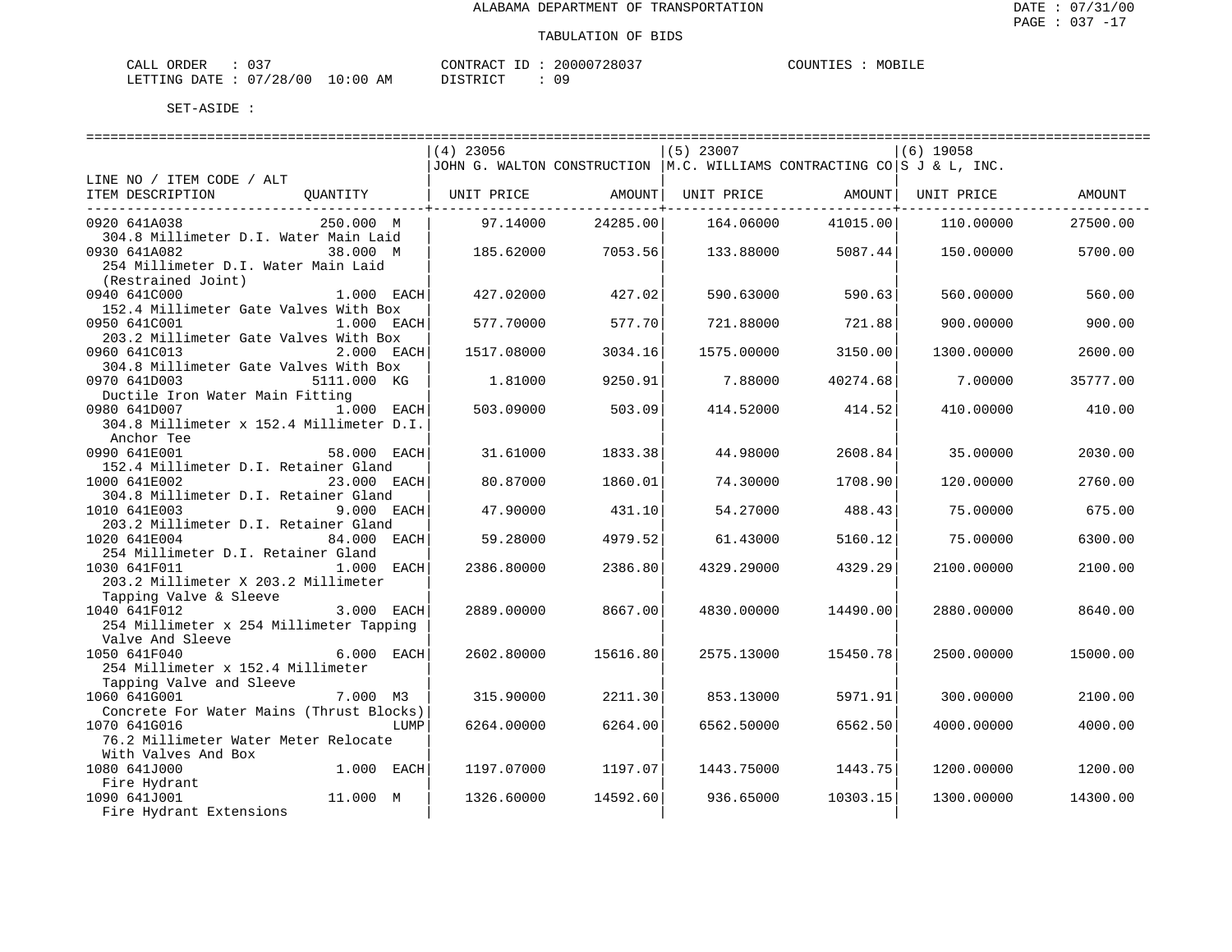| CALL ORDER                       | $\therefore$ 037 |  |
|----------------------------------|------------------|--|
| LETTING DATE : 07/28/00 10:00 AM |                  |  |

CONTRACT ID : 20000728037 DISTRICT : 09

COUNTIES : MOBILE

|                                          |              | $(4)$ 23056 |          | $(5)$ 23007                                                                          |          | $(6)$ 19058 |          |
|------------------------------------------|--------------|-------------|----------|--------------------------------------------------------------------------------------|----------|-------------|----------|
|                                          |              |             |          | JOHN G. WALTON CONSTRUCTION $ M.C.$ WILLIAMS CONTRACTING CO $ S J \& L, \text{INC.}$ |          |             |          |
| LINE NO / ITEM CODE / ALT                |              |             |          |                                                                                      |          |             |          |
| ITEM DESCRIPTION                         | OUANTITY     | UNIT PRICE  | AMOUNT   | UNIT PRICE                                                                           | AMOUNT   | UNIT PRICE  | AMOUNT   |
|                                          |              |             |          |                                                                                      |          |             |          |
| 0920 641A038                             | 250.000 M    | 97.14000    | 24285.00 | 164.06000                                                                            | 41015.00 | 110,00000   | 27500.00 |
| 304.8 Millimeter D.I. Water Main Laid    |              |             |          |                                                                                      |          |             |          |
| 0930 641A082                             | 38.000 M     | 185.62000   | 7053.56  | 133.88000                                                                            | 5087.44  | 150.00000   | 5700.00  |
| 254 Millimeter D.I. Water Main Laid      |              |             |          |                                                                                      |          |             |          |
| (Restrained Joint)                       |              |             |          |                                                                                      |          |             |          |
| 0940 641C000                             | 1.000 EACH   | 427.02000   | 427.02   | 590.63000                                                                            | 590.63   | 560.00000   | 560.00   |
| 152.4 Millimeter Gate Valves With Box    |              |             |          |                                                                                      |          |             |          |
| 0950 641C001                             | 1.000 EACH   | 577.70000   | 577.70   | 721.88000                                                                            | 721.88   | 900,00000   | 900.00   |
| 203.2 Millimeter Gate Valves With Box    |              |             |          |                                                                                      |          |             |          |
|                                          |              |             |          |                                                                                      |          |             |          |
| 0960 641C013                             | 2.000 EACH   | 1517.08000  | 3034.16  | 1575.00000                                                                           | 3150.00  | 1300.00000  | 2600.00  |
| 304.8 Millimeter Gate Valves With Box    |              |             |          |                                                                                      |          |             |          |
| 0970 641D003                             | 5111.000 KG  | 1.81000     | 9250.91  | 7.88000                                                                              | 40274.68 | 7.00000     | 35777.00 |
| Ductile Iron Water Main Fitting          |              |             |          |                                                                                      |          |             |          |
| 0980 641D007                             | $1.000$ EACH | 503.09000   | 503.09   | 414.52000                                                                            | 414.52   | 410.00000   | 410.00   |
| 304.8 Millimeter x 152.4 Millimeter D.I. |              |             |          |                                                                                      |          |             |          |
| Anchor Tee                               |              |             |          |                                                                                      |          |             |          |
| 0990 641E001                             | 58.000 EACH  | 31.61000    | 1833.38  | 44.98000                                                                             | 2608.84  | 35,00000    | 2030.00  |
| 152.4 Millimeter D.I. Retainer Gland     |              |             |          |                                                                                      |          |             |          |
| 1000 641E002                             | 23.000 EACH  | 80.87000    | 1860.01  | 74.30000                                                                             | 1708.90  | 120.00000   | 2760.00  |
| 304.8 Millimeter D.I. Retainer Gland     |              |             |          |                                                                                      |          |             |          |
| 1010 641E003                             | 9.000 EACH   | 47.90000    | 431.10   | 54.27000                                                                             | 488.43   | 75.00000    | 675.00   |
| 203.2 Millimeter D.I. Retainer Gland     |              |             |          |                                                                                      |          |             |          |
| 1020 641E004                             | 84.000 EACH  | 59.28000    | 4979.52  | 61.43000                                                                             | 5160.12  | 75.00000    | 6300.00  |
| 254 Millimeter D.I. Retainer Gland       |              |             |          |                                                                                      |          |             |          |
| 1030 641F011                             | 1.000 EACH   | 2386.80000  | 2386.80  | 4329.29000                                                                           | 4329.29  | 2100.00000  | 2100.00  |
| 203.2 Millimeter X 203.2 Millimeter      |              |             |          |                                                                                      |          |             |          |
| Tapping Valve & Sleeve                   |              |             |          |                                                                                      |          |             |          |
| 1040 641F012                             | 3.000 EACH   | 2889.00000  | 8667.00  | 4830.00000                                                                           | 14490.00 | 2880.00000  | 8640.00  |
| 254 Millimeter x 254 Millimeter Tapping  |              |             |          |                                                                                      |          |             |          |
| Valve And Sleeve                         |              |             |          |                                                                                      |          |             |          |
| 1050 641F040                             | 6.000 EACH   | 2602.80000  | 15616.80 | 2575.13000                                                                           | 15450.78 | 2500.00000  | 15000.00 |
| 254 Millimeter x 152.4 Millimeter        |              |             |          |                                                                                      |          |             |          |
| Tapping Valve and Sleeve                 |              |             |          |                                                                                      |          |             |          |
| 1060 641G001                             | 7.000 M3     | 315,90000   | 2211.30  | 853.13000                                                                            | 5971.91  | 300,00000   | 2100.00  |
| Concrete For Water Mains (Thrust Blocks) |              |             |          |                                                                                      |          |             |          |
| 1070 641G016                             | LUMP         | 6264.00000  | 6264.00  | 6562.50000                                                                           | 6562.50  | 4000.00000  | 4000.00  |
|                                          |              |             |          |                                                                                      |          |             |          |
| 76.2 Millimeter Water Meter Relocate     |              |             |          |                                                                                      |          |             |          |
| With Valves And Box                      |              |             |          |                                                                                      |          |             |          |
| 1080 641J000                             | 1.000 EACH   | 1197.07000  | 1197.07  | 1443.75000                                                                           | 1443.75  | 1200.00000  | 1200.00  |
| Fire Hydrant                             |              |             |          |                                                                                      |          |             |          |
| 1090 641J001                             | 11.000 M     | 1326.60000  | 14592.60 | 936.65000                                                                            | 10303.15 | 1300.00000  | 14300.00 |
| Fire Hydrant Extensions                  |              |             |          |                                                                                      |          |             |          |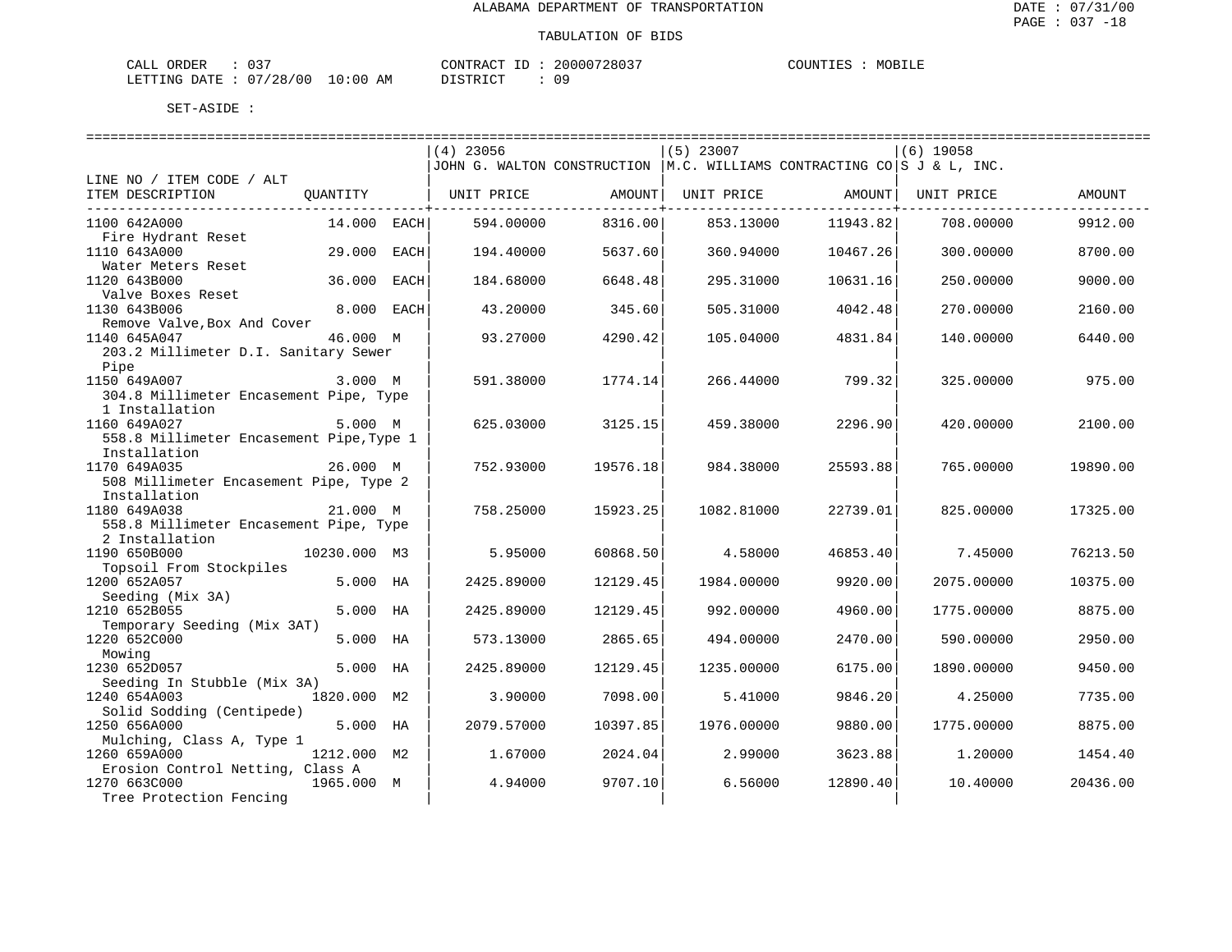| CALL ORDER             | ົາ - |            | CONTRACT<br>$\perp$ ID $\cdot$ | 20000728037 | COUNTIES | MOBILE |
|------------------------|------|------------|--------------------------------|-------------|----------|--------|
| LETTING DATE: 07/28/00 |      | $10:00$ AM | DISTRICT                       |             |          |        |

|                                           |              |      | $(4)$ 23056                                                              |                          | $(5)$ 23007 |                        | $(6)$ 19058 |          |
|-------------------------------------------|--------------|------|--------------------------------------------------------------------------|--------------------------|-------------|------------------------|-------------|----------|
|                                           |              |      | JOHN G. WALTON CONSTRUCTION   M.C. WILLIAMS CONTRACTING CO S J & L, INC. |                          |             |                        |             |          |
| LINE NO / ITEM CODE / ALT                 |              |      |                                                                          |                          |             |                        |             |          |
| ITEM DESCRIPTION                          | QUANTITY     |      | UNIT PRICE                                                               | AMOUNT  <br>----------+- | UNIT PRICE  | AMOUNT<br>-----------+ | UNIT PRICE  | AMOUNT   |
| 1100 642A000                              | 14.000 EACH  |      | 594.00000                                                                | 8316.00                  | 853.13000   | 11943.82               | 708,00000   | 9912.00  |
| Fire Hydrant Reset                        |              |      |                                                                          |                          |             |                        |             |          |
| 1110 643A000<br>Water Meters Reset        | 29,000       | EACH | 194.40000                                                                | 5637.60                  | 360.94000   | 10467.26               | 300.00000   | 8700.00  |
| 1120 643B000                              | 36.000       | EACH | 184.68000                                                                | 6648.48                  | 295.31000   | 10631.16               | 250.00000   | 9000.00  |
| Valve Boxes Reset                         |              |      |                                                                          |                          |             |                        |             |          |
| 1130 643B006                              | 8.000 EACH   |      | 43.20000                                                                 | 345.60                   | 505.31000   | 4042.48                | 270.00000   | 2160.00  |
| Remove Valve, Box And Cover               |              |      |                                                                          |                          |             |                        |             |          |
| 1140 645A047                              | 46.000 M     |      | 93.27000                                                                 | 4290.42                  | 105.04000   | 4831.84                | 140.00000   | 6440.00  |
| 203.2 Millimeter D.I. Sanitary Sewer      |              |      |                                                                          |                          |             |                        |             |          |
| Pipe<br>1150 649A007                      | 3.000 M      |      | 591.38000                                                                | 1774.14                  | 266.44000   | 799.32                 | 325.00000   | 975.00   |
| 304.8 Millimeter Encasement Pipe, Type    |              |      |                                                                          |                          |             |                        |             |          |
| 1 Installation                            |              |      |                                                                          |                          |             |                        |             |          |
| 1160 649A027                              | 5.000 M      |      | 625.03000                                                                | 3125.15                  | 459.38000   | 2296.90                | 420.00000   | 2100.00  |
| 558.8 Millimeter Encasement Pipe, Type 1  |              |      |                                                                          |                          |             |                        |             |          |
| Installation                              |              |      |                                                                          |                          |             |                        |             |          |
| 1170 649A035                              | 26.000 M     |      | 752.93000                                                                | 19576.18                 | 984.38000   | 25593.88               | 765.00000   | 19890.00 |
| 508 Millimeter Encasement Pipe, Type 2    |              |      |                                                                          |                          |             |                        |             |          |
| Installation                              |              |      |                                                                          |                          |             |                        |             |          |
| 1180 649A038                              | 21.000 M     |      | 758.25000                                                                | 15923.25                 | 1082.81000  | 22739.01               | 825,00000   | 17325.00 |
| 558.8 Millimeter Encasement Pipe, Type    |              |      |                                                                          |                          |             |                        |             |          |
| 2 Installation                            |              |      |                                                                          |                          |             |                        |             |          |
| 1190 650B000                              | 10230.000 M3 |      | 5.95000                                                                  | 60868.50                 | 4.58000     | 46853.40               | 7.45000     | 76213.50 |
| Topsoil From Stockpiles<br>1200 652A057   | 5.000 HA     |      |                                                                          | 12129.45                 |             | 9920.00                | 2075.00000  | 10375.00 |
| Seeding (Mix 3A)                          |              |      | 2425.89000                                                               |                          | 1984.00000  |                        |             |          |
| 1210 652B055                              | 5.000 HA     |      | 2425.89000                                                               | 12129.45                 | 992.00000   | 4960.00                | 1775.00000  | 8875.00  |
| Temporary Seeding (Mix 3AT)               |              |      |                                                                          |                          |             |                        |             |          |
| 1220 652C000                              | 5.000 HA     |      | 573.13000                                                                | 2865.65                  | 494.00000   | 2470.00                | 590.00000   | 2950.00  |
| Mowing                                    |              |      |                                                                          |                          |             |                        |             |          |
| 1230 652D057                              | 5.000 HA     |      | 2425.89000                                                               | 12129.45                 | 1235.00000  | 6175.00                | 1890.00000  | 9450.00  |
| Seeding In Stubble (Mix 3A)               |              |      |                                                                          |                          |             |                        |             |          |
| 1240 654A003                              | 1820.000 M2  |      | 3.90000                                                                  | 7098.00                  | 5.41000     | 9846.20                | 4.25000     | 7735.00  |
| Solid Sodding (Centipede)<br>1250 656A000 |              |      |                                                                          |                          |             |                        |             |          |
| Mulching, Class A, Type 1                 | 5.000 HA     |      | 2079.57000                                                               | 10397.85                 | 1976.00000  | 9880.00                | 1775.00000  | 8875.00  |
| 1260 659A000                              | 1212.000 M2  |      | 1.67000                                                                  | 2024.04                  | 2.99000     | 3623.88                | 1,20000     | 1454.40  |
| Erosion Control Netting, Class A          |              |      |                                                                          |                          |             |                        |             |          |
| 1270 663C000                              | 1965.000 M   |      | 4.94000                                                                  | 9707.10                  | 6.56000     | 12890.40               | 10.40000    | 20436.00 |
| Tree Protection Fencing                   |              |      |                                                                          |                          |             |                        |             |          |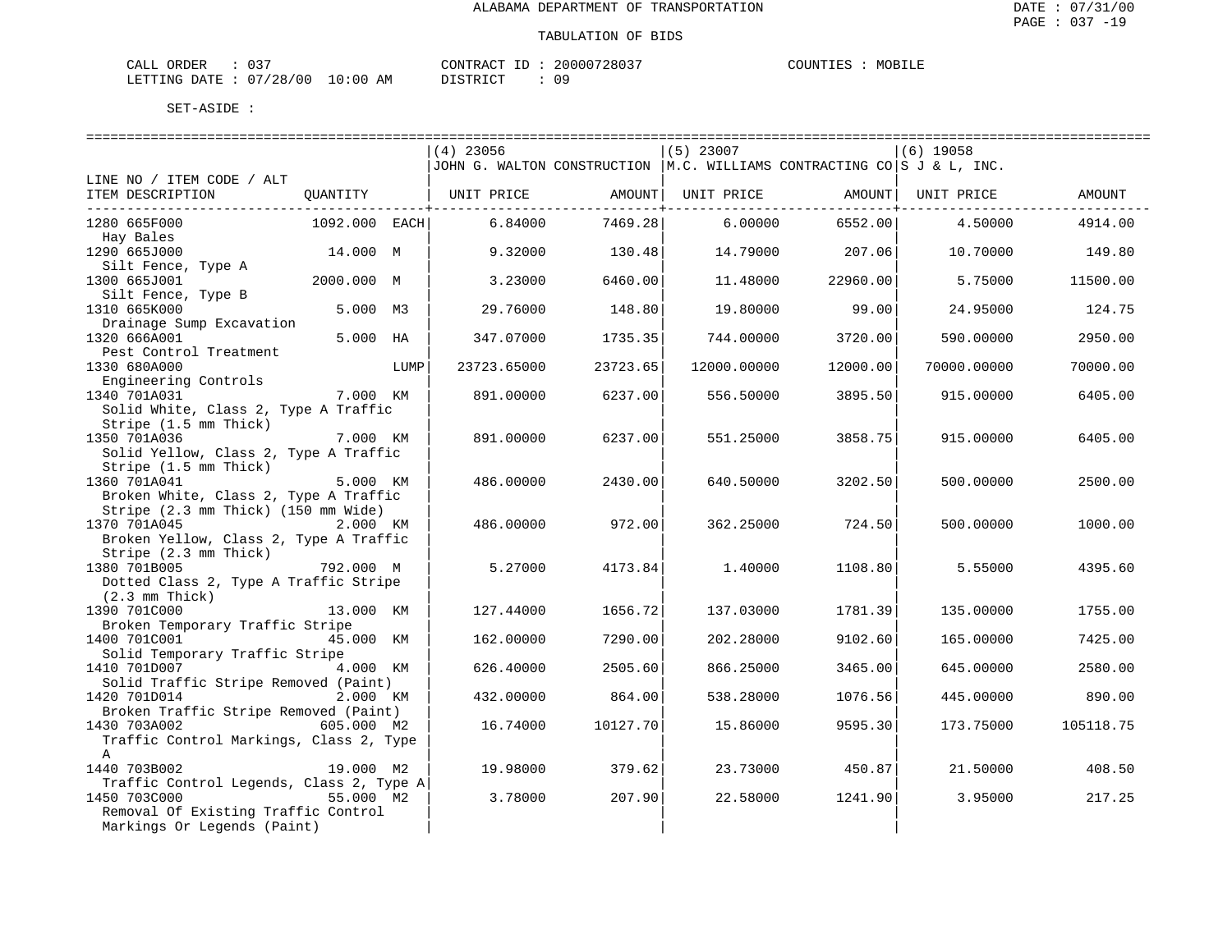| CALL ORDER                       | CONTRACT ID: 20000728037 |    | MOBILE<br>COUNTIES |
|----------------------------------|--------------------------|----|--------------------|
| LETTING DATE : 07/28/00 10:00 AM | DISTRICT                 | 09 |                    |

|                                          |               |      | $(4)$ 23056                  |          | $(5)$ 23007                                                               |                 | $(6)$ 19058                  |           |
|------------------------------------------|---------------|------|------------------------------|----------|---------------------------------------------------------------------------|-----------------|------------------------------|-----------|
|                                          |               |      |                              |          | JJOHN G. WALTON CONSTRUCTION   M.C. WILLIAMS CONTRACTING CO S J & L, INC. |                 |                              |           |
| LINE NO / ITEM CODE / ALT                |               |      |                              |          |                                                                           |                 |                              |           |
| ITEM DESCRIPTION                         |               |      | QUANTITY   UNIT PRICE AMOUNT |          |                                                                           |                 | UNIT PRICE AMOUNT UNIT PRICE | AMOUNT    |
|                                          |               |      |                              |          |                                                                           |                 |                              |           |
| 1280 665F000                             | 1092.000 EACH |      | 6.84000                      | 7469.28  | 6.00000                                                                   | 6552.00         | 4.50000                      | 4914.00   |
| Hay Bales                                |               |      |                              |          |                                                                           |                 |                              |           |
| 1290 665J000                             | 14.000 M      |      | 9.32000                      | 130.48   |                                                                           | 14.79000 207.06 | 10.70000                     | 149.80    |
| Silt Fence, Type A                       |               |      |                              |          |                                                                           |                 |                              |           |
| 1300 665J001                             | 2000.000 M    |      | 3.23000                      | 6460.00  | 11.48000                                                                  | 22960.00        | 5.75000                      | 11500.00  |
| Silt Fence, Type B                       |               |      |                              |          |                                                                           |                 |                              |           |
| 1310 665K000                             | 5.000 M3      |      | 29.76000                     | 148.80   | 19.80000                                                                  | 99.00           | 24.95000                     | 124.75    |
| Drainage Sump Excavation                 |               |      |                              |          |                                                                           |                 |                              |           |
| 1320 666A001                             | 5.000 HA      |      | 347.07000                    | 1735.35  | 744.00000                                                                 | 3720.00         | 590.00000                    | 2950.00   |
| Pest Control Treatment                   |               |      |                              |          |                                                                           |                 |                              |           |
| 1330 680A000                             |               | LUMP | 23723.65000                  | 23723.65 | 12000.00000                                                               | 12000.00        | 70000.00000                  | 70000.00  |
| Engineering Controls                     |               |      |                              |          |                                                                           |                 |                              |           |
| 1340 701A031                             | 7.000 KM      |      | 891.00000                    | 6237.00  | 556.50000                                                                 | 3895.50         | 915.00000                    | 6405.00   |
| Solid White, Class 2, Type A Traffic     |               |      |                              |          |                                                                           |                 |                              |           |
|                                          |               |      |                              |          |                                                                           |                 |                              |           |
| Stripe (1.5 mm Thick)                    |               |      |                              |          |                                                                           |                 |                              |           |
| 1350 701A036                             | 7.000 KM      |      | 891.00000                    | 6237.00  | 551.25000                                                                 | 3858.75         | 915.00000                    | 6405.00   |
| Solid Yellow, Class 2, Type A Traffic    |               |      |                              |          |                                                                           |                 |                              |           |
| Stripe (1.5 mm Thick)                    |               |      |                              |          |                                                                           |                 |                              |           |
| 1360 701A041                             | 5.000 KM      |      | 486.00000                    | 2430.00  | 640.50000                                                                 | 3202.50         | 500.00000                    | 2500.00   |
| Broken White, Class 2, Type A Traffic    |               |      |                              |          |                                                                           |                 |                              |           |
| Stripe (2.3 mm Thick) (150 mm Wide)      |               |      |                              |          |                                                                           |                 |                              |           |
| 1370 701A045                             | 2.000 KM      |      | 486.00000                    | 972.00   | 362.25000                                                                 | 724.50          | 500.00000                    | 1000.00   |
| Broken Yellow, Class 2, Type A Traffic   |               |      |                              |          |                                                                           |                 |                              |           |
| Stripe (2.3 mm Thick)                    |               |      |                              |          |                                                                           |                 |                              |           |
| 1380 701B005<br>792.000 M                |               |      | 5.27000                      | 4173.84  | 1.40000                                                                   | 1108.80         | 5.55000                      | 4395.60   |
| Dotted Class 2, Type A Traffic Stripe    |               |      |                              |          |                                                                           |                 |                              |           |
| $(2.3 \,$ mm Thick)                      |               |      |                              |          |                                                                           |                 |                              |           |
| 1390 701C000                             | 13.000 KM     |      | 127.44000                    | 1656.72  | 137.03000                                                                 | 1781.39         | 135,00000                    | 1755.00   |
| Broken Temporary Traffic Stripe          |               |      |                              |          |                                                                           |                 |                              |           |
| 1400 701C001                             | 45.000 KM     |      | 162.00000                    | 7290.00  | 202.28000                                                                 | 9102.60         | 165.00000                    | 7425.00   |
| Solid Temporary Traffic Stripe           |               |      |                              |          |                                                                           |                 |                              |           |
| 1410 701D007                             | 4.000 KM      |      | 626.40000                    | 2505.60  | 866.25000                                                                 | 3465.00         | 645.00000                    | 2580.00   |
| Solid Traffic Stripe Removed (Paint)     |               |      |                              |          |                                                                           |                 |                              |           |
| 1420 701D014                             | 2.000 KM      |      | 432.00000                    | 864.00   | 538.28000                                                                 | 1076.56         | 445.00000                    | 890.00    |
| Broken Traffic Stripe Removed (Paint)    |               |      |                              |          |                                                                           |                 |                              |           |
| 1430 703A002                             | 605.000 M2    |      | 16.74000                     | 10127.70 | 15.86000                                                                  | 9595.30         | 173.75000                    | 105118.75 |
| Traffic Control Markings, Class 2, Type  |               |      |                              |          |                                                                           |                 |                              |           |
| $\mathbb{A}$                             |               |      |                              |          |                                                                           |                 |                              |           |
| 1440 703B002                             | 19.000 M2     |      | 19,98000                     | 379.62   | 23.73000                                                                  | 450.87          | 21.50000                     | 408.50    |
| Traffic Control Legends, Class 2, Type A |               |      |                              |          |                                                                           |                 |                              |           |
| 1450 703C000                             | 55.000 M2     |      | 3.78000                      | 207.90   | 22.58000                                                                  | 1241.90         | 3.95000                      | 217.25    |
| Removal Of Existing Traffic Control      |               |      |                              |          |                                                                           |                 |                              |           |
| Markings Or Legends (Paint)              |               |      |                              |          |                                                                           |                 |                              |           |
|                                          |               |      |                              |          |                                                                           |                 |                              |           |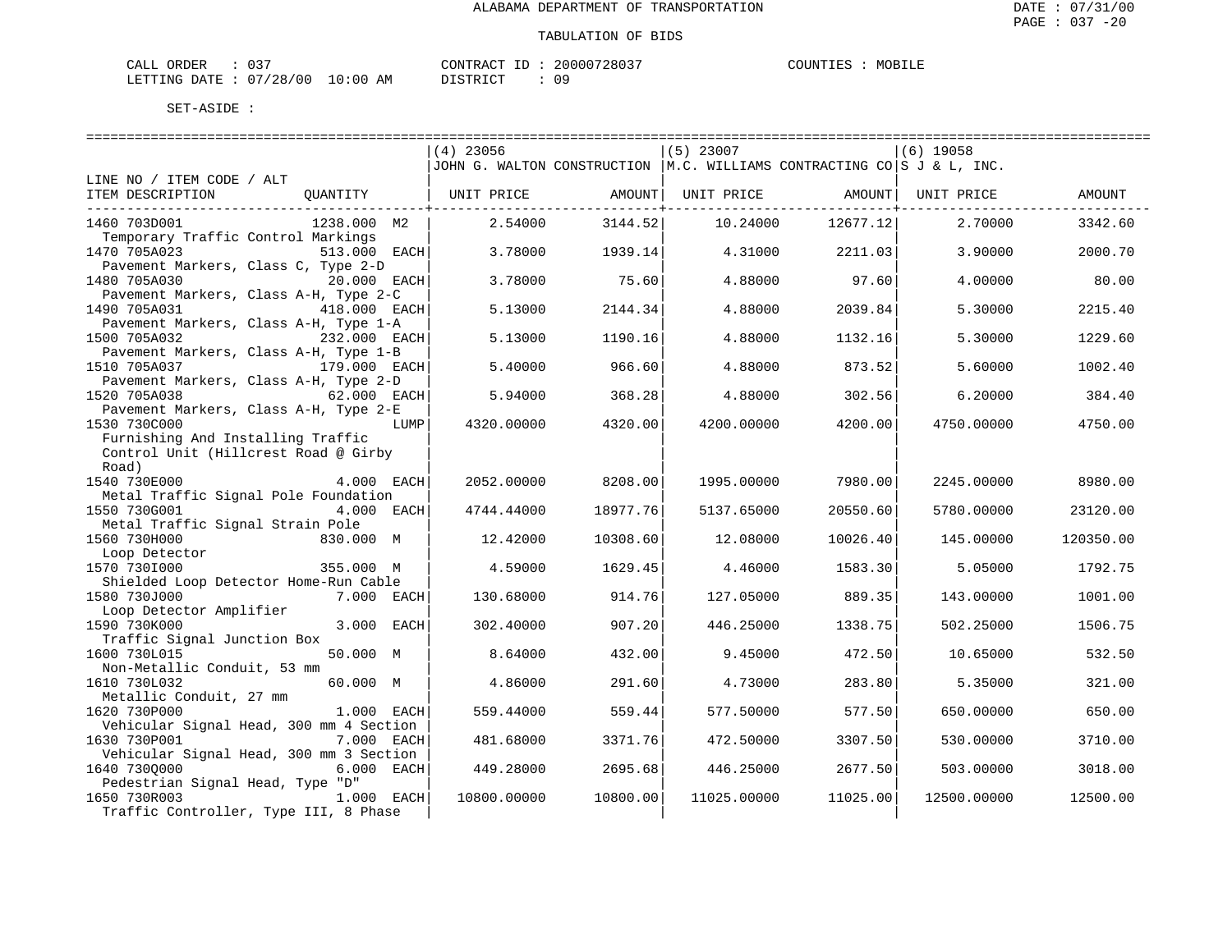| ORDER<br>CALL (              | 037 |    | CONTRACT ID: | 20000728037 | COUNTIES | MOBILE |
|------------------------------|-----|----|--------------|-------------|----------|--------|
| LETTING DATE: 07/28/00 10:00 |     | AM | DISTRICT     |             |          |        |

|                                         | $(4)$ 23056                                                                           |          | $(5)$ 23007 |          | $(6)$ 19058 |           |
|-----------------------------------------|---------------------------------------------------------------------------------------|----------|-------------|----------|-------------|-----------|
|                                         | JJOHN G. WALTON CONSTRUCTION $ M.C.$ WILLIAMS CONTRACTING CO $ S J \& L, \text{INC.}$ |          |             |          |             |           |
| LINE NO / ITEM CODE / ALT               |                                                                                       |          |             |          |             |           |
| ITEM DESCRIPTION<br>QUANTITY            | UNIT PRICE                                                                            | AMOUNT   | UNIT PRICE  | AMOUNT   | UNIT PRICE  | AMOUNT    |
|                                         |                                                                                       |          |             |          |             |           |
| 1460 703D001<br>1238.000 M2             | 2.54000                                                                               | 3144.52  | 10.24000    | 12677.12 | 2,70000     | 3342.60   |
| Temporary Traffic Control Markings      |                                                                                       |          |             |          |             |           |
| 1470 705A023<br>513.000 EACH            | 3.78000                                                                               | 1939.14  | 4.31000     | 2211.03  | 3.90000     | 2000.70   |
| Pavement Markers, Class C, Type 2-D     |                                                                                       |          |             |          |             |           |
| 1480 705A030<br>20.000 EACH             | 3.78000                                                                               | 75.60    | 4.88000     | 97.60    | 4,00000     | 80.00     |
| Pavement Markers, Class A-H, Type 2-C   |                                                                                       |          |             |          |             |           |
| 418.000 EACH<br>1490 705A031            | 5.13000                                                                               | 2144.34  | 4.88000     | 2039.84  | 5.30000     | 2215.40   |
| Pavement Markers, Class A-H, Type 1-A   |                                                                                       |          |             |          |             |           |
| 1500 705A032<br>232.000 EACH            | 5.13000                                                                               | 1190.16  | 4.88000     | 1132.16  | 5.30000     | 1229.60   |
| Pavement Markers, Class A-H, Type 1-B   |                                                                                       |          |             |          |             |           |
| 1510 705A037<br>179.000 EACH            | 5.40000                                                                               | 966.60   | 4.88000     | 873.52   | 5.60000     | 1002.40   |
| Pavement Markers, Class A-H, Type 2-D   |                                                                                       |          |             |          |             |           |
| 1520 705A038<br>62.000 EACH             | 5.94000                                                                               | 368.28   | 4.88000     | 302.56   | 6.20000     | 384.40    |
| Pavement Markers, Class A-H, Type 2-E   |                                                                                       |          |             |          |             |           |
| 1530 730C000<br>LUMP                    | 4320.00000                                                                            | 4320.00  | 4200.00000  | 4200.00  | 4750.00000  | 4750.00   |
| Furnishing And Installing Traffic       |                                                                                       |          |             |          |             |           |
| Control Unit (Hillcrest Road @ Girby    |                                                                                       |          |             |          |             |           |
|                                         |                                                                                       |          |             |          |             |           |
| Road)<br>1540 730E000<br>4.000 EACH     | 2052.00000                                                                            | 8208.00  | 1995.00000  | 7980.00  | 2245.00000  | 8980.00   |
|                                         |                                                                                       |          |             |          |             |           |
| Metal Traffic Signal Pole Foundation    |                                                                                       | 18977.76 |             |          |             |           |
| 1550 730G001<br>4.000 EACH              | 4744.44000                                                                            |          | 5137.65000  | 20550.60 | 5780.00000  | 23120.00  |
| Metal Traffic Signal Strain Pole        |                                                                                       |          |             |          |             |           |
| 1560 730H000<br>830.000 M               | 12.42000                                                                              | 10308.60 | 12.08000    | 10026.40 | 145.00000   | 120350.00 |
| Loop Detector                           |                                                                                       |          |             |          |             |           |
| 1570 730I000<br>355.000 M               | 4.59000                                                                               | 1629.45  | 4.46000     | 1583.30  | 5.05000     | 1792.75   |
| Shielded Loop Detector Home-Run Cable   |                                                                                       |          |             |          |             |           |
| 1580 730J000<br>7.000 EACH              | 130.68000                                                                             | 914.76   | 127.05000   | 889.35   | 143.00000   | 1001.00   |
| Loop Detector Amplifier                 |                                                                                       |          |             |          |             |           |
| 1590 730K000<br>3.000 EACH              | 302.40000                                                                             | 907.20   | 446.25000   | 1338.75  | 502.25000   | 1506.75   |
| Traffic Signal Junction Box             |                                                                                       |          |             |          |             |           |
| 1600 730L015<br>50.000 M                | 8.64000                                                                               | 432.00   | 9.45000     | 472.50   | 10.65000    | 532.50    |
| Non-Metallic Conduit, 53 mm             |                                                                                       |          |             |          |             |           |
| 1610 730L032<br>60.000 M                | 4.86000                                                                               | 291.60   | 4.73000     | 283.80   | 5.35000     | 321.00    |
| Metallic Conduit, 27 mm                 |                                                                                       |          |             |          |             |           |
| 1.000 EACH<br>1620 730P000              | 559.44000                                                                             | 559.44   | 577.50000   | 577.50   | 650.00000   | 650.00    |
| Vehicular Signal Head, 300 mm 4 Section |                                                                                       |          |             |          |             |           |
| 1630 730P001<br><b>7.000 EACH</b>       | 481.68000                                                                             | 3371.76  | 472.50000   | 3307.50  | 530.00000   | 3710.00   |
| Vehicular Signal Head, 300 mm 3 Section |                                                                                       |          |             |          |             |           |
| 1640 7300000<br>6.000 EACH              | 449.28000                                                                             | 2695.68  | 446.25000   | 2677.50  | 503.00000   | 3018.00   |
| Pedestrian Signal Head, Type "D"        |                                                                                       |          |             |          |             |           |
| 1.000 EACH<br>1650 730R003              | 10800.00000                                                                           | 10800.00 | 11025.00000 | 11025.00 | 12500.00000 | 12500.00  |
| Traffic Controller, Type III, 8 Phase   |                                                                                       |          |             |          |             |           |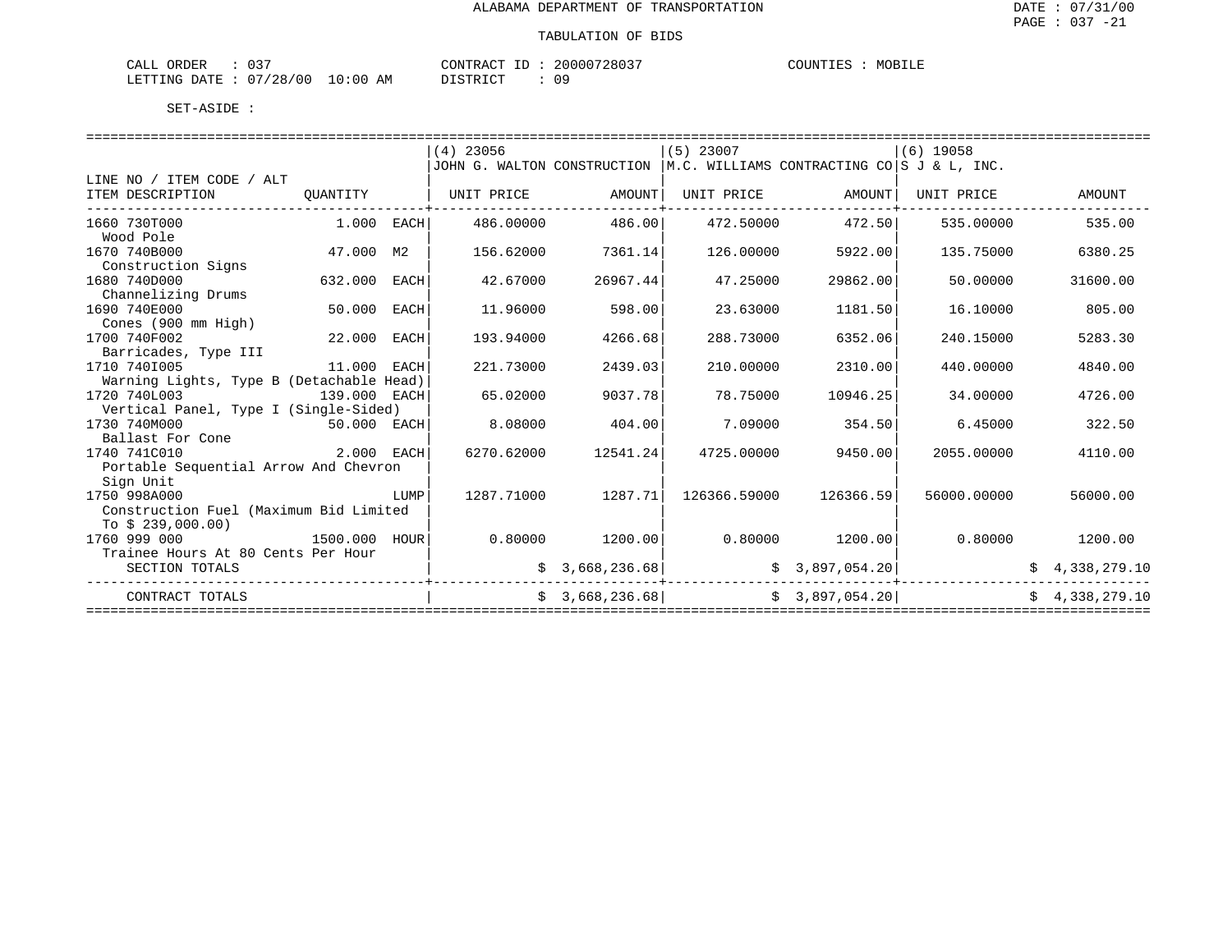| $\cap$ $\cap$<br>ORDER<br>CALL<br>ັບ |            | CONTRACT<br>$\tau$ | 20000728037  | COUNTIES<br>MOBILE |
|--------------------------------------|------------|--------------------|--------------|--------------------|
| 07/28/00<br>LETTING DATE             | $10:00$ AM | DISTRICT           | n n<br>— ∪ ∽ |                    |

|                                          |               |      | $(4)$ 23056                                                               |                   | $(5)$ 23007          |                   | $(6)$ 19058                 |                |
|------------------------------------------|---------------|------|---------------------------------------------------------------------------|-------------------|----------------------|-------------------|-----------------------------|----------------|
|                                          |               |      | JOHN G. WALTON CONSTRUCTION $ M.C.$ WILLIAMS CONTRACTING CO S J & L, INC. |                   |                      |                   |                             |                |
| LINE NO / ITEM CODE / ALT                |               |      |                                                                           |                   |                      |                   |                             |                |
| ITEM DESCRIPTION                         | QUANTITY      |      | UNIT PRICE                                                                | AMOUNT            | UNIT PRICE           | AMOUNT            | UNIT PRICE                  | AMOUNT         |
|                                          |               |      |                                                                           |                   |                      |                   |                             |                |
| 1660 730T000                             | $1.000$ EACH  |      | 486.00000                                                                 | 486.00            | 472.50000            | 472.50            | 535,00000                   | 535.00         |
| Wood Pole                                |               |      |                                                                           |                   |                      |                   |                             |                |
| 1670 740B000                             | 47.000 M2     |      | 156.62000                                                                 | 7361.14           | 126.00000            | 5922.00           | 135.75000                   | 6380.25        |
| Construction Signs                       |               |      |                                                                           |                   |                      |                   |                             |                |
| 1680 740D000                             | 632.000       | EACH | 42.67000                                                                  | 26967.44          | 47.25000             | 29862.00          | 50.00000                    | 31600.00       |
| Channelizing Drums                       |               |      |                                                                           |                   |                      |                   |                             |                |
| 1690 740E000                             | 50.000        | EACH | 11,96000                                                                  | 598.00            | 23.63000             | 1181.50           | 16.10000                    | 805.00         |
| Cones (900 mm High)                      |               |      |                                                                           |                   |                      |                   |                             |                |
| 1700 740F002                             | 22.000 EACH   |      | 193.94000                                                                 | 4266.68           | 288.73000            | 6352.06           | 240.15000                   | 5283.30        |
| Barricades, Type III                     |               |      |                                                                           |                   |                      |                   |                             |                |
| 1710 7401005                             | 11.000 EACH   |      | 221.73000                                                                 | 2439.03           | 210.00000            | 2310.00           | 440.00000                   | 4840.00        |
| Warning Lights, Type B (Detachable Head) |               |      |                                                                           |                   |                      |                   |                             |                |
| 1720 740L003                             | 139.000 EACH  |      | 65.02000                                                                  | 9037.78           | 78.75000             | 10946.25          | 34.00000                    | 4726.00        |
| Vertical Panel, Type I (Single-Sided)    |               |      |                                                                           |                   |                      |                   |                             |                |
| 1730 740M000                             | 50.000 EACH   |      | 8.08000                                                                   | 404.00            | 7.09000              | 354.50            | 6.45000                     | 322.50         |
| Ballast For Cone                         |               |      |                                                                           |                   |                      |                   |                             |                |
| 1740 741C010                             | 2.000 EACH    |      | 6270.62000                                                                | 12541.24          | 4725.00000           | 9450.00           | 2055.00000                  | 4110.00        |
| Portable Sequential Arrow And Chevron    |               |      |                                                                           |                   |                      |                   |                             |                |
| Sign Unit                                |               |      |                                                                           |                   |                      |                   |                             |                |
| 1750 998A000                             |               | LUMP | 1287.71000                                                                | 1287.71           | 126366.59000         | 126366.59         | 56000.00000                 | 56000.00       |
| Construction Fuel (Maximum Bid Limited   |               |      |                                                                           |                   |                      |                   |                             |                |
| To $$239,000.00)$                        |               |      |                                                                           |                   |                      |                   |                             |                |
| 1760 999 000                             | 1500.000 HOUR |      |                                                                           | $0.80000$ 1200.00 |                      | $0.80000$ 1200.00 | 0.80000                     | 1200.00        |
| Trainee Hours At 80 Cents Per Hour       |               |      |                                                                           |                   |                      |                   |                             |                |
| SECTION TOTALS                           |               |      |                                                                           | \$3,668,236.68]   | <u> ----------</u> - | \$3,897,054.20]   | . _ _ _ _ _ _ _ _ _ _ _ _ _ | \$4,338,279.10 |
| CONTRACT TOTALS                          |               |      |                                                                           | \$3,668,236.68]   | \$3,897,054.20]      |                   |                             | \$4,338,279.10 |
|                                          |               |      |                                                                           |                   |                      |                   |                             |                |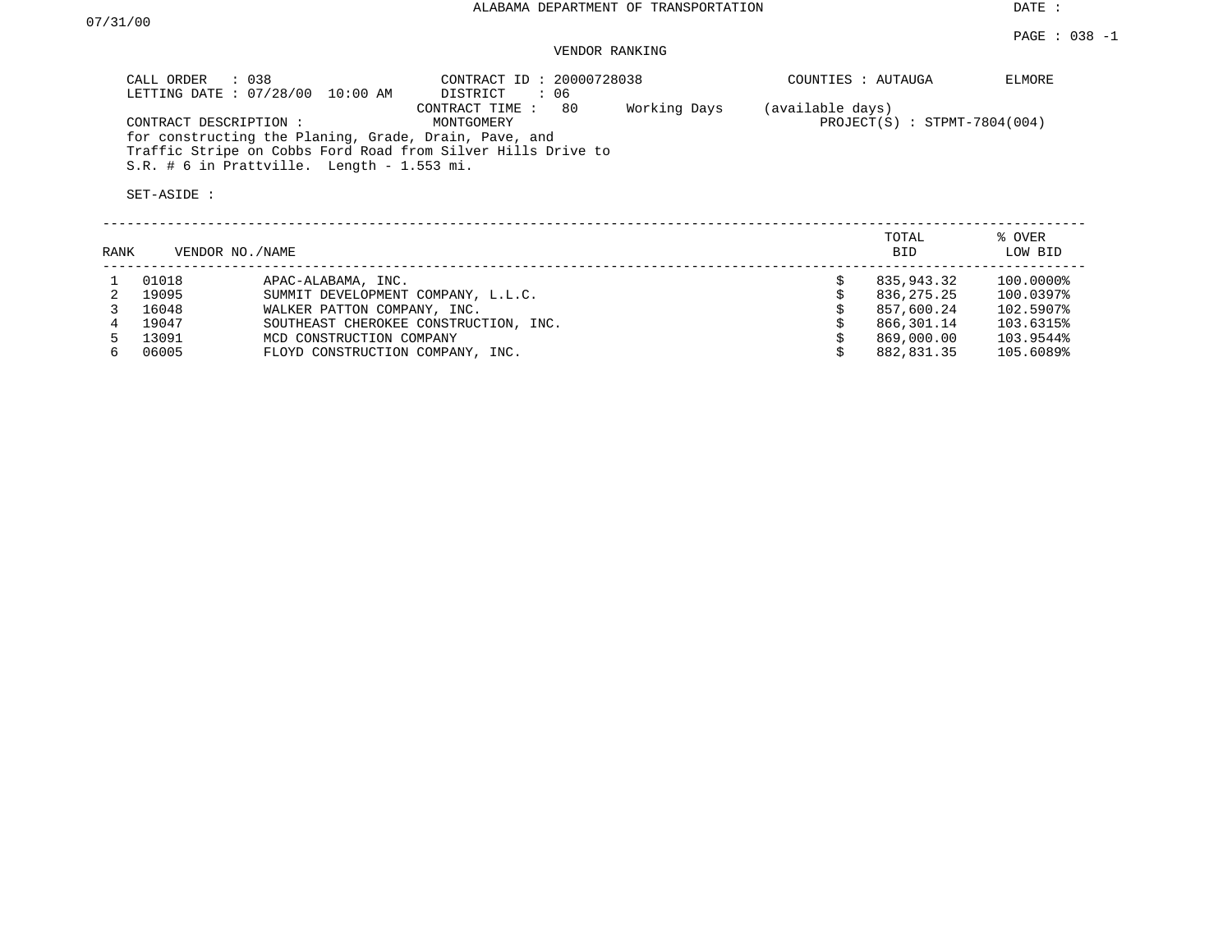#### VENDOR RANKING

PAGE : 038 -1

| CALL ORDER : 038<br>LETTING DATE : 07/28/00 10:00 AM                                                                                                                                           | CONTRACT ID: 20000728038<br>: 06<br>DISTRICT        | COUNTIES : AUTAUGA                                 | ELMORE |
|------------------------------------------------------------------------------------------------------------------------------------------------------------------------------------------------|-----------------------------------------------------|----------------------------------------------------|--------|
| CONTRACT DESCRIPTION:<br>for constructing the Planing, Grade, Drain, Pave, and<br>Traffic Stripe on Cobbs Ford Road from Silver Hills Drive to<br>$S.R.$ # 6 in Prattville. Length - 1.553 mi. | Working Days<br>-80<br>CONTRACT TIME:<br>MONTGOMERY | (available days)<br>$PROJECT(S) : STPMT-7804(004)$ |        |
| SET-ASIDE :                                                                                                                                                                                    |                                                     |                                                    |        |

| RANK |       | VENDOR NO./NAME                       | TOTAL<br><b>BID</b> | % OVER<br>LOW BID |
|------|-------|---------------------------------------|---------------------|-------------------|
|      | 01018 | APAC-ALABAMA, INC.                    | 835,943.32          | 100.0000%         |
|      | 19095 | SUMMIT DEVELOPMENT COMPANY, L.L.C.    | 836,275.25          | 100.0397%         |
|      | 16048 | WALKER PATTON COMPANY, INC.           | 857,600.24          | 102.5907%         |
|      | 19047 | SOUTHEAST CHEROKEE CONSTRUCTION, INC. | 866,301.14          | 103.6315%         |
|      | 13091 | MCD CONSTRUCTION COMPANY              | 869,000.00          | 103.9544%         |
| 6.   | 06005 | FLOYD CONSTRUCTION COMPANY, INC.      | 882,831.35          | 105.6089%         |
|      |       |                                       |                     |                   |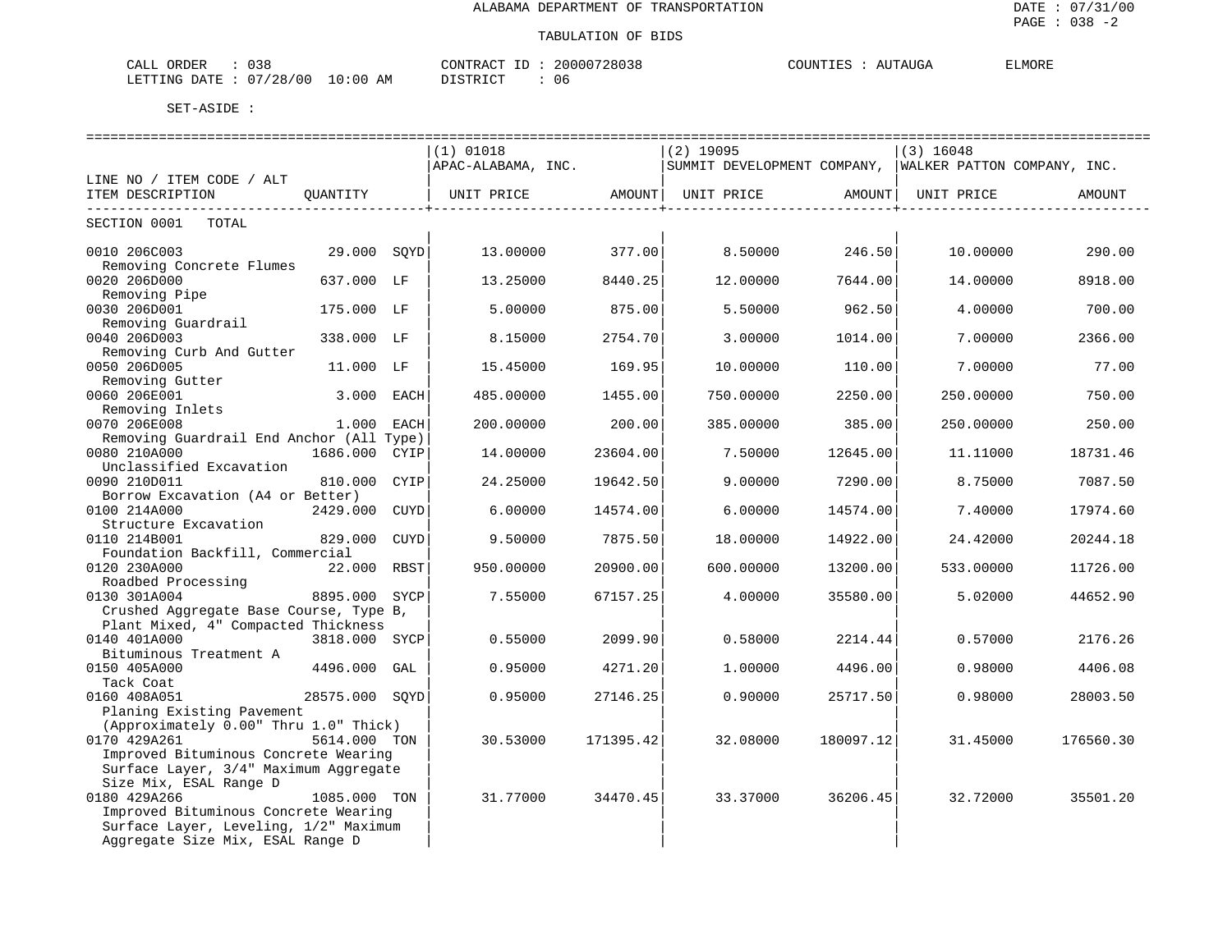| 038<br>CALL ORDER                                                                                                                                       | 20000728038<br>CONTRACT<br>ID : | COUNTIES<br>AUTAUGA | <b>ELMORE</b> |
|---------------------------------------------------------------------------------------------------------------------------------------------------------|---------------------------------|---------------------|---------------|
| LETTING DATE: 07/28/00<br>$10:00$ AM<br>the contract of the contract of the contract of the contract of the contract of the contract of the contract of | DISTRICT<br>06                  |                     |               |

|                                                     |                |      | $(1)$ 01018        |           | $(2)$ 19095                                             |           | $(3)$ 16048 |           |
|-----------------------------------------------------|----------------|------|--------------------|-----------|---------------------------------------------------------|-----------|-------------|-----------|
|                                                     |                |      | APAC-ALABAMA, INC. |           | SUMMIT DEVELOPMENT COMPANY, WALKER PATTON COMPANY, INC. |           |             |           |
| LINE NO / ITEM CODE / ALT                           |                |      |                    |           |                                                         |           |             |           |
| ITEM DESCRIPTION                                    | OUANTITY       |      | UNIT PRICE         | AMOUNT    | UNIT PRICE                                              | AMOUNT    | UNIT PRICE  | AMOUNT    |
|                                                     |                |      |                    |           | --------------------                                    |           |             |           |
| SECTION 0001<br>TOTAL                               |                |      |                    |           |                                                         |           |             |           |
| 0010 206C003                                        | 29.000 SQYD    |      | 13.00000           | 377.00    | 8.50000                                                 | 246.50    | 10.00000    | 290.00    |
| Removing Concrete Flumes                            |                |      |                    |           |                                                         |           |             |           |
| 0020 206D000                                        | 637.000 LF     |      | 13.25000           | 8440.25   | 12.00000                                                | 7644.00   | 14.00000    | 8918.00   |
| Removing Pipe                                       |                |      |                    |           |                                                         |           |             |           |
| 0030 206D001                                        | 175.000 LF     |      | 5.00000            | 875.00    | 5.50000                                                 | 962.50    | 4.00000     | 700.00    |
| Removing Guardrail                                  |                |      |                    |           |                                                         |           |             |           |
| 0040 206D003                                        | 338.000 LF     |      | 8.15000            | 2754.70   | 3.00000                                                 | 1014.00   | 7.00000     | 2366.00   |
| Removing Curb And Gutter                            |                |      |                    |           |                                                         |           |             |           |
| 0050 206D005                                        | 11.000 LF      |      | 15.45000           | 169.95    | 10.00000                                                | 110.00    | 7.00000     | 77.00     |
| Removing Gutter                                     |                |      |                    |           |                                                         |           |             |           |
| 0060 206E001                                        | 3.000 EACH     |      | 485.00000          | 1455.00   | 750.00000                                               | 2250.00   | 250.00000   | 750.00    |
| Removing Inlets                                     |                |      |                    |           |                                                         |           |             |           |
| 0070 206E008                                        | 1.000 EACH     |      | 200.00000          | 200.00    | 385.00000                                               | 385.00    | 250.00000   | 250.00    |
| Removing Guardrail End Anchor (All Type)            |                |      |                    |           |                                                         |           |             |           |
| 0080 210A000                                        | 1686.000 CYIP  |      | 14.00000           | 23604.00  | 7.50000                                                 | 12645.00  | 11,11000    | 18731.46  |
| Unclassified Excavation                             |                |      |                    |           |                                                         |           |             |           |
| 0090 210D011                                        | 810.000 CYIP   |      | 24.25000           | 19642.50  | 9.00000                                                 | 7290.00   | 8.75000     | 7087.50   |
| Borrow Excavation (A4 or Better)                    |                |      |                    |           |                                                         |           |             |           |
| 0100 214A000                                        | 2429.000 CUYD  |      | 6.00000            | 14574.00  | 6.00000                                                 | 14574.00  | 7.40000     | 17974.60  |
| Structure Excavation                                |                |      |                    |           |                                                         |           |             |           |
| 0110 214B001                                        | 829.000        | CUYD | 9.50000            | 7875.50   | 18,00000                                                | 14922.00  | 24.42000    | 20244.18  |
| Foundation Backfill, Commercial                     |                |      |                    |           |                                                         |           |             |           |
| 0120 230A000                                        | 22.000 RBST    |      | 950.00000          | 20900.00  | 600.00000                                               | 13200.00  | 533.00000   | 11726.00  |
| Roadbed Processing                                  |                |      |                    |           |                                                         |           |             |           |
| 0130 301A004                                        | 8895.000 SYCP  |      | 7.55000            | 67157.25  | 4.00000                                                 | 35580.00  | 5.02000     | 44652.90  |
| Crushed Aggregate Base Course, Type B,              |                |      |                    |           |                                                         |           |             |           |
| Plant Mixed, 4" Compacted Thickness<br>0140 401A000 |                |      |                    |           |                                                         |           |             |           |
|                                                     | 3818.000 SYCP  |      | 0.55000            | 2099.90   | 0.58000                                                 | 2214.44   | 0.57000     | 2176.26   |
| Bituminous Treatment A<br>0150 405A000              | 4496.000 GAL   |      | 0.95000            | 4271.20   | 1,00000                                                 | 4496.00   | 0.98000     | 4406.08   |
| Tack Coat                                           |                |      |                    |           |                                                         |           |             |           |
| 0160 408A051                                        | 28575.000 SOYD |      | 0.95000            | 27146.25  | 0.90000                                                 | 25717.50  | 0.98000     | 28003.50  |
| Planing Existing Pavement                           |                |      |                    |           |                                                         |           |             |           |
| (Approximately 0.00" Thru 1.0" Thick)               |                |      |                    |           |                                                         |           |             |           |
| 0170 429A261                                        | 5614.000 TON   |      | 30.53000           | 171395.42 | 32.08000                                                | 180097.12 | 31.45000    | 176560.30 |
| Improved Bituminous Concrete Wearing                |                |      |                    |           |                                                         |           |             |           |
| Surface Layer, 3/4" Maximum Aggregate               |                |      |                    |           |                                                         |           |             |           |
| Size Mix, ESAL Range D                              |                |      |                    |           |                                                         |           |             |           |
| 0180 429A266                                        | 1085.000 TON   |      | 31.77000           | 34470.45  | 33.37000                                                | 36206.45  | 32.72000    | 35501.20  |
| Improved Bituminous Concrete Wearing                |                |      |                    |           |                                                         |           |             |           |
| Surface Layer, Leveling, 1/2" Maximum               |                |      |                    |           |                                                         |           |             |           |
| Aggregate Size Mix, ESAL Range D                    |                |      |                    |           |                                                         |           |             |           |
|                                                     |                |      |                    |           |                                                         |           |             |           |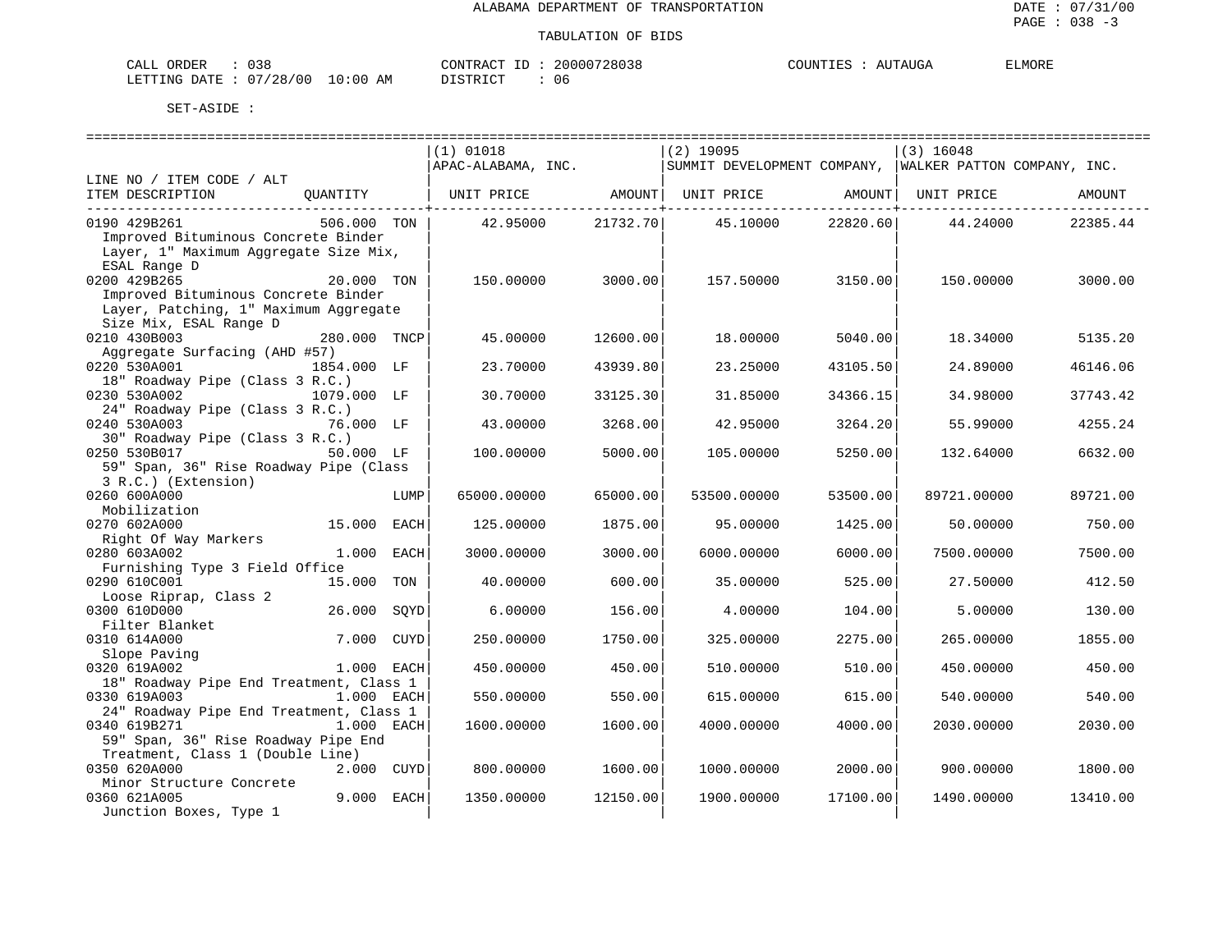| 038<br>$\bigcap \pi$ T<br>ORDER<br>للطائب                         | דיר ג סידיזורי<br>ous. | T T T T<br>COUNT<br>$\sqrt{1}$<br>AUGA | ELMORE |
|-------------------------------------------------------------------|------------------------|----------------------------------------|--------|
| 100 V<br>. .<br>28<br>LETTING<br>AM<br>חמר<br>:00<br>$\mathbf{u}$ | יי חד פידי פי<br>06    |                                        |        |

|                                                                                                        |              |      | ============================<br>$(1)$ 01018<br>APAC-ALABAMA, INC. |          | $(2)$ 19095<br> SUMMIT DEVELOPMENT COMPANY,  WALKER PATTON COMPANY, INC. |          | $(3)$ 16048 |          |
|--------------------------------------------------------------------------------------------------------|--------------|------|-------------------------------------------------------------------|----------|--------------------------------------------------------------------------|----------|-------------|----------|
| LINE NO / ITEM CODE / ALT                                                                              |              |      |                                                                   |          |                                                                          |          |             |          |
| ITEM DESCRIPTION                                                                                       | OUANTITY     |      | UNIT PRICE                                                        | AMOUNT   | UNIT PRICE                                                               | AMOUNT   | UNIT PRICE  | AMOUNT   |
| 0190 429B261<br>Improved Bituminous Concrete Binder<br>Layer, 1" Maximum Aggregate Size Mix,           | 506.000 TON  |      | 42.95000                                                          | 21732.70 | 45.10000                                                                 | 22820.60 | 44.24000    | 22385.44 |
| ESAL Range D                                                                                           |              |      |                                                                   |          |                                                                          |          |             |          |
| 0200 429B265                                                                                           | 20.000 TON   |      | 150.00000                                                         | 3000.00  | 157.50000                                                                | 3150.00  | 150.00000   | 3000.00  |
| Improved Bituminous Concrete Binder<br>Layer, Patching, 1" Maximum Aggregate<br>Size Mix, ESAL Range D |              |      |                                                                   |          |                                                                          |          |             |          |
| 0210 430B003                                                                                           | 280.000 TNCP |      | 45.00000                                                          | 12600.00 | 18,00000                                                                 | 5040.00  | 18.34000    | 5135.20  |
| Aggregate Surfacing (AHD #57)                                                                          |              |      |                                                                   |          |                                                                          |          |             |          |
| 0220 530A001                                                                                           | 1854.000 LF  |      | 23.70000                                                          | 43939.80 | 23.25000                                                                 | 43105.50 | 24.89000    | 46146.06 |
| 18" Roadway Pipe (Class 3 R.C.)                                                                        |              |      |                                                                   |          |                                                                          |          |             |          |
| 0230 530A002                                                                                           | 1079.000 LF  |      | 30.70000                                                          | 33125.30 | 31.85000                                                                 | 34366.15 | 34.98000    | 37743.42 |
| 24" Roadway Pipe (Class 3 R.C.)                                                                        |              |      |                                                                   |          |                                                                          |          |             |          |
| 0240 530A003                                                                                           | 76.000 LF    |      | 43.00000                                                          | 3268.00  | 42.95000                                                                 | 3264.20  | 55.99000    | 4255.24  |
| 30" Roadway Pipe (Class 3 R.C.)                                                                        |              |      |                                                                   |          |                                                                          |          |             |          |
| 0250 530B017                                                                                           | 50.000 LF    |      | 100.00000                                                         | 5000.00  | 105.00000                                                                | 5250.00  | 132.64000   | 6632.00  |
| 59" Span, 36" Rise Roadway Pipe (Class                                                                 |              |      |                                                                   |          |                                                                          |          |             |          |
| 3 R.C.) (Extension)                                                                                    |              |      |                                                                   |          |                                                                          |          |             |          |
| 0260 600A000                                                                                           |              | LUMP | 65000.00000                                                       | 65000.00 | 53500.00000                                                              | 53500.00 | 89721.00000 | 89721.00 |
| Mobilization                                                                                           |              |      |                                                                   |          |                                                                          |          |             |          |
| 0270 602A000                                                                                           | 15.000 EACH  |      | 125.00000                                                         | 1875.00  | 95,00000                                                                 | 1425.00  | 50.00000    | 750.00   |
| Right Of Way Markers                                                                                   |              |      |                                                                   |          |                                                                          |          |             |          |
| 0280 603A002                                                                                           | 1.000 EACH   |      | 3000.00000                                                        | 3000.00  | 6000.00000                                                               | 6000.00  | 7500.00000  | 7500.00  |
| Furnishing Type 3 Field Office                                                                         |              |      |                                                                   |          |                                                                          |          |             |          |
| 0290 610C001                                                                                           | 15.000 TON   |      | 40.00000                                                          | 600.00   | 35.00000                                                                 | 525.00   | 27.50000    | 412.50   |
| Loose Riprap, Class 2<br>0300 610D000                                                                  | 26.000       | SOYD |                                                                   |          |                                                                          |          |             | 130.00   |
| Filter Blanket                                                                                         |              |      | 6.00000                                                           | 156.00   | 4.00000                                                                  | 104.00   | 5.00000     |          |
| 0310 614A000                                                                                           | 7.000 CUYD   |      | 250.00000                                                         | 1750.00  | 325.00000                                                                | 2275.00  | 265.00000   | 1855.00  |
| Slope Paving                                                                                           |              |      |                                                                   |          |                                                                          |          |             |          |
| 0320 619A002                                                                                           | 1.000 EACH   |      | 450.00000                                                         | 450.00   | 510.00000                                                                | 510.00   | 450.00000   | 450.00   |
| 18" Roadway Pipe End Treatment, Class 1                                                                |              |      |                                                                   |          |                                                                          |          |             |          |
| 0330 619A003                                                                                           | 1.000 EACH   |      | 550.00000                                                         | 550.00   | 615.00000                                                                | 615.00   | 540.00000   | 540.00   |
| 24" Roadway Pipe End Treatment, Class 1                                                                |              |      |                                                                   |          |                                                                          |          |             |          |
| 0340 619B271                                                                                           | 1.000 EACH   |      | 1600.00000                                                        | 1600.00  | 4000.00000                                                               | 4000.00  | 2030.00000  | 2030.00  |
| 59" Span, 36" Rise Roadway Pipe End                                                                    |              |      |                                                                   |          |                                                                          |          |             |          |
| Treatment, Class 1 (Double Line)                                                                       |              |      |                                                                   |          |                                                                          |          |             |          |
| 0350 620A000                                                                                           | 2.000 CUYD   |      | 800.00000                                                         | 1600.00  | 1000.00000                                                               | 2000.00  | 900.00000   | 1800.00  |
| Minor Structure Concrete                                                                               |              |      |                                                                   |          |                                                                          |          |             |          |
| 0360 621A005                                                                                           | 9.000 EACH   |      | 1350.00000                                                        | 12150.00 | 1900.00000                                                               | 17100.00 | 1490.00000  | 13410.00 |
| Junction Boxes, Type 1                                                                                 |              |      |                                                                   |          |                                                                          |          |             |          |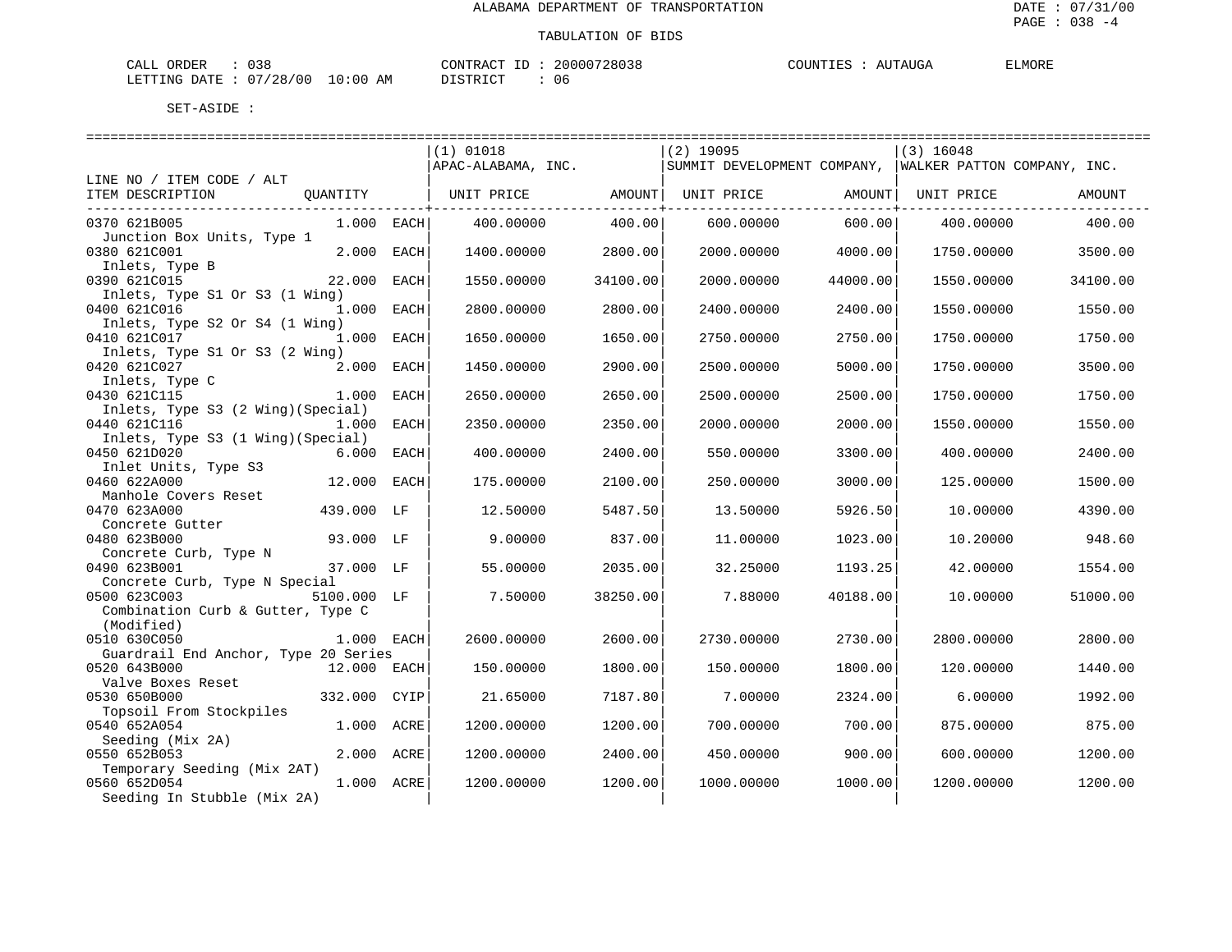| 038<br>CALL ORDER                        | 20000728038<br>CONTRACT | COUNTIES<br>AUTAUGA | <b>ELMORE</b> |
|------------------------------------------|-------------------------|---------------------|---------------|
| : 07/28/00<br>$10:00$ AM<br>LETTING DATE | 06<br>DISTRICT          |                     |               |

|                                                |              |      | =============================== |          | -----------------------------                           |          | ================================== |          |
|------------------------------------------------|--------------|------|---------------------------------|----------|---------------------------------------------------------|----------|------------------------------------|----------|
|                                                |              |      | $(1)$ 01018                     |          | $(2)$ 19095                                             |          | $(3)$ 16048                        |          |
|                                                |              |      | APAC-ALABAMA, INC.              |          | SUMMIT DEVELOPMENT COMPANY, WALKER PATTON COMPANY, INC. |          |                                    |          |
| LINE NO / ITEM CODE / ALT                      |              |      |                                 |          |                                                         |          |                                    |          |
| ITEM DESCRIPTION                               | QUANTITY     |      | UNIT PRICE AMOUNT               |          | UNIT PRICE                                              | AMOUNT   | UNIT PRICE                         | AMOUNT   |
| 0370 621B005                                   | $1.000$ EACH |      | 400.00000                       | 400.00   | 600.00000                                               | 600.00   | 400.00000                          | 400.00   |
| Junction Box Units, Type 1                     |              |      |                                 |          |                                                         |          |                                    |          |
| 0380 621C001                                   | 2.000        | EACH | 1400.00000                      | 2800.00  | 2000.00000                                              | 4000.00  | 1750.00000                         | 3500.00  |
| Inlets, Type B<br>0390 621C015                 | 22.000       | EACH | 1550.00000                      | 34100.00 | 2000.00000                                              | 44000.00 | 1550.00000                         | 34100.00 |
| Inlets, Type S1 Or S3 (1 Wing)                 |              |      |                                 |          |                                                         |          |                                    |          |
| 0400 621C016                                   | $1.000$ EACH |      | 2800.00000                      | 2800.00  | 2400.00000                                              | 2400.00  | 1550.00000                         | 1550.00  |
| Inlets, Type S2 Or S4 (1 Wing)                 |              |      |                                 |          |                                                         |          |                                    |          |
| 0410 621C017                                   | 1.000 EACH   |      | 1650.00000                      | 1650.00  | 2750.00000                                              | 2750.00  | 1750.00000                         | 1750.00  |
| Inlets, Type S1 Or S3 (2 Wing)<br>0420 621C027 | 2.000        | EACH | 1450.00000                      | 2900.00  | 2500.00000                                              | 5000.00  | 1750.00000                         | 3500.00  |
| Inlets, Type C                                 |              |      |                                 |          |                                                         |          |                                    |          |
| 0430 621C115                                   | 1.000        | EACH | 2650.00000                      | 2650.00  | 2500.00000                                              | 2500.00  | 1750.00000                         | 1750.00  |
| Inlets, Type S3 (2 Wing) (Special)             |              |      |                                 |          |                                                         |          |                                    |          |
| 0440 621C116                                   | 1.000        | EACH | 2350.00000                      | 2350.00  | 2000.00000                                              | 2000.00  | 1550.00000                         | 1550.00  |
| Inlets, Type S3 (1 Wing) (Special)             |              |      |                                 |          |                                                         |          |                                    |          |
| 0450 621D020<br>Inlet Units, Type S3           | 6.000        | EACH | 400.00000                       | 2400.00  | 550.00000                                               | 3300.00  | 400.00000                          | 2400.00  |
| 0460 622A000                                   | 12.000 EACH  |      | 175.00000                       | 2100.00  | 250.00000                                               | 3000.00  | 125.00000                          | 1500.00  |
| Manhole Covers Reset                           |              |      |                                 |          |                                                         |          |                                    |          |
| 0470 623A000                                   | 439.000      | LF   | 12.50000                        | 5487.50  | 13.50000                                                | 5926.50  | 10.00000                           | 4390.00  |
| Concrete Gutter                                |              |      |                                 |          |                                                         |          |                                    |          |
| 0480 623B000                                   | 93.000 LF    |      | 9.00000                         | 837.00   | 11.00000                                                | 1023.00  | 10.20000                           | 948.60   |
| Concrete Curb, Type N                          |              |      |                                 |          |                                                         |          |                                    |          |
| 0490 623B001<br>Concrete Curb, Type N Special  | 37.000 LF    |      | 55.00000                        | 2035.00  | 32.25000                                                | 1193.25  | 42.00000                           | 1554.00  |
| 0500 623C003                                   | 5100.000 LF  |      | 7.50000                         | 38250.00 | 7.88000                                                 | 40188.00 | 10.00000                           | 51000.00 |
| Combination Curb & Gutter, Type C              |              |      |                                 |          |                                                         |          |                                    |          |
| (Modified)                                     |              |      |                                 |          |                                                         |          |                                    |          |
| 0510 630C050                                   | 1.000 EACH   |      | 2600.00000                      | 2600.00  | 2730.00000                                              | 2730.00  | 2800.00000                         | 2800.00  |
| Guardrail End Anchor, Type 20 Series           |              |      |                                 |          |                                                         |          |                                    |          |
| 0520 643B000                                   | 12.000 EACH  |      | 150.00000                       | 1800.00  | 150.00000                                               | 1800.00  | 120.00000                          | 1440.00  |
| Valve Boxes Reset                              |              |      |                                 |          |                                                         |          |                                    |          |
| 0530 650B000<br>Topsoil From Stockpiles        | 332.000      | CYIP | 21.65000                        | 7187.80  | 7.00000                                                 | 2324.00  | 6.00000                            | 1992.00  |
| 0540 652A054                                   | 1.000        | ACRE | 1200.00000                      | 1200.00  | 700.00000                                               | 700.00   | 875.00000                          | 875.00   |
| Seeding (Mix 2A)                               |              |      |                                 |          |                                                         |          |                                    |          |
| 0550 652B053                                   | 2.000 ACRE   |      | 1200.00000                      | 2400.00  | 450.00000                                               | 900.00   | 600.00000                          | 1200.00  |
| Temporary Seeding (Mix 2AT)                    |              |      |                                 |          |                                                         |          |                                    |          |
| 0560 652D054                                   | 1.000 ACRE   |      | 1200.00000                      | 1200.00  | 1000.00000                                              | 1000.00  | 1200.00000                         | 1200.00  |
| Seeding In Stubble (Mix 2A)                    |              |      |                                 |          |                                                         |          |                                    |          |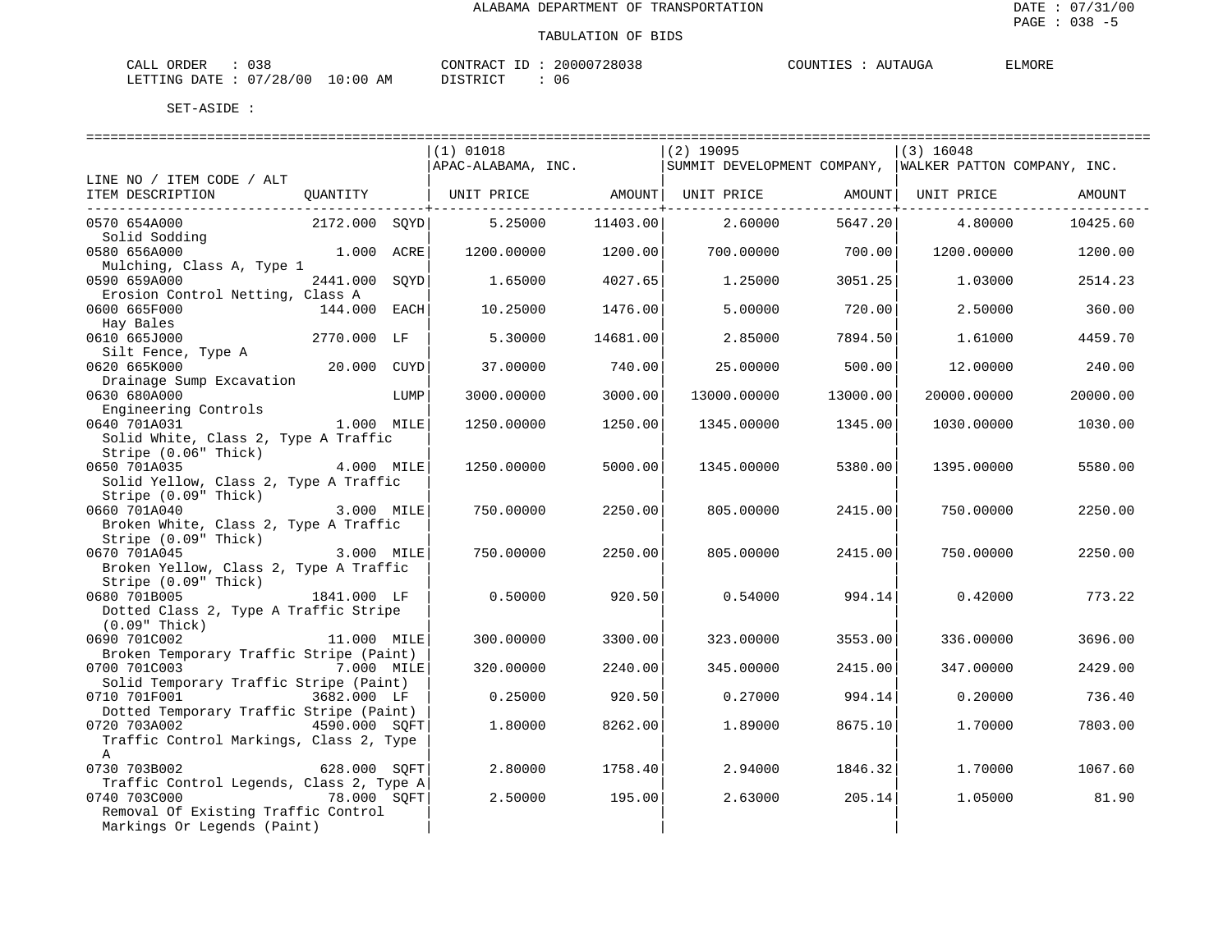| 038<br>ORDER<br>CALL                      | 20000728038<br>CONTRACT<br>111 | AUTAUGA<br>COUNTIES | <b>ELMORE</b> |
|-------------------------------------------|--------------------------------|---------------------|---------------|
| 07/28/00<br>$10:00$ AM<br>LETTING<br>DATE | DISTRICT<br>06<br>-----        |                     |               |

| $(1)$ 01018<br>$(2)$ 19095<br>$(3)$ 16048<br>APAC-ALABAMA, INC. SUMMIT DEVELOPMENT COMPANY, WALKER PATTON COMPANY, INC.<br>LINE NO / ITEM CODE / ALT<br>ITEM DESCRIPTION<br>QUANTITY   UNIT PRICE       AMOUNT  UNIT PRICE       AMOUNT  UNIT PRICE<br>AMOUNT<br>2172.000 SQYD<br>5.25000<br>11403.00<br>2.60000<br>5647.20<br>0570 654A000<br>4.80000<br>10425.60<br>Solid Sodding<br>0580 656A000<br>1.000 ACRE<br>1200.00000<br>1200.00<br>700.00000 700.00 1200.00000<br>1200.00<br>Mulching, Class A, Type 1<br>0590 659A000<br>2441.000 SOYD<br>4027.65<br>3051.25<br>1.65000<br>1.25000<br>1.03000<br>2514.23<br>Erosion Control Netting, Class A<br>$144.000$ EACH<br>10.25000<br>5,00000<br>720.00<br>0600 665F000<br>1476.00<br>2.50000<br>360.00<br>Hay Bales<br>2770.000 LF<br>0610 665J000<br>5.30000<br>14681.00<br>2.85000<br>7894.50<br>1.61000<br>4459.70<br>Silt Fence, Type A<br>20.000 CUYD<br>0620 665K000<br>37.00000<br>740.00<br>25.00000<br>500.00<br>12.00000<br>240.00<br>Drainage Sump Excavation<br>0630 680A000<br>LUMP<br>3000.00000<br>3000.00<br>13000.00000<br>13000.00<br>20000.00000<br>20000.00<br>Engineering Controls<br>1.000 MILE<br>0640 701A031<br>1345.00000<br>1030.00000<br>1250.00000<br>1250.00<br>1345.00<br>1030.00<br>Solid White, Class 2, Type A Traffic<br>Stripe (0.06" Thick)<br>0650 701A035<br>4.000 MILE<br>5000.00<br>1250.00000<br>1345.00000<br>5380.00<br>1395.00000<br>5580.00<br>Solid Yellow, Class 2, Type A Traffic<br>Stripe (0.09" Thick)<br>0660 701A040<br>3.000 MILE<br>750.00000<br>2250.00<br>805.00000<br>2415.00<br>750.00000<br>2250.00<br>Broken White, Class 2, Type A Traffic<br>Stripe (0.09" Thick)<br><br>3.000 MILE<br>0670 701A045<br>750.00000<br>2250.00<br>805.00000<br>2415.00<br>750.00000<br>2250.00<br>Broken Yellow, Class 2, Type A Traffic<br>Stripe (0.09" Thick)<br>1841.000 LF<br>0680 701B005<br>0.50000<br>920.50<br>0.54000<br>994.14<br>0.42000<br>773.22<br>Dotted Class 2, Type A Traffic Stripe<br>(0.09" Thick)<br>323.00000<br>0690 701C002<br>11.000 MILE<br>300.00000<br>3300.00<br>3553.00<br>336.00000<br>3696.00<br>Broken Temporary Traffic Stripe (Paint)<br>0700 701C003<br>7.000 MILE<br>2240.00<br>345.00000<br>2415.00<br>2429.00<br>320.00000<br>347.00000<br>Solid Temporary Traffic Stripe (Paint)<br>0710 701F001<br>0.25000<br>920.50<br>736.40<br>3682.000 LF<br>0.27000<br>994.14<br>0.20000<br>Dotted Temporary Traffic Stripe (Paint)<br>0720 703A002<br>4590.000 SOFT<br>1.80000<br>8262.00<br>1.89000<br>8675.10<br>1,70000<br>7803.00<br>Traffic Control Markings, Class 2, Type<br>$\mathbb{A}$<br>0730 703B002<br>628.000 SOFT<br>1758.40<br>2.80000<br>2.94000<br>1846.32<br>1,70000<br>1067.60<br>Traffic Control Legends, Class 2, Type A<br>0740 703C000<br>78.000 SOFT<br>2.50000<br>195.00<br>205.14<br>2.63000<br>1.05000<br>81.90<br>Removal Of Existing Traffic Control<br>Markings Or Legends (Paint) | ======================== |  |  |  |  |
|------------------------------------------------------------------------------------------------------------------------------------------------------------------------------------------------------------------------------------------------------------------------------------------------------------------------------------------------------------------------------------------------------------------------------------------------------------------------------------------------------------------------------------------------------------------------------------------------------------------------------------------------------------------------------------------------------------------------------------------------------------------------------------------------------------------------------------------------------------------------------------------------------------------------------------------------------------------------------------------------------------------------------------------------------------------------------------------------------------------------------------------------------------------------------------------------------------------------------------------------------------------------------------------------------------------------------------------------------------------------------------------------------------------------------------------------------------------------------------------------------------------------------------------------------------------------------------------------------------------------------------------------------------------------------------------------------------------------------------------------------------------------------------------------------------------------------------------------------------------------------------------------------------------------------------------------------------------------------------------------------------------------------------------------------------------------------------------------------------------------------------------------------------------------------------------------------------------------------------------------------------------------------------------------------------------------------------------------------------------------------------------------------------------------------------------------------------------------------------------------------------------------------------------------------------------------------------------------------------------------------------------------------------------------------------------------------------------------------------------------------------------------------------------------------------------------------------------------------------------------------------------------------------------------------------------------------|--------------------------|--|--|--|--|
|                                                                                                                                                                                                                                                                                                                                                                                                                                                                                                                                                                                                                                                                                                                                                                                                                                                                                                                                                                                                                                                                                                                                                                                                                                                                                                                                                                                                                                                                                                                                                                                                                                                                                                                                                                                                                                                                                                                                                                                                                                                                                                                                                                                                                                                                                                                                                                                                                                                                                                                                                                                                                                                                                                                                                                                                                                                                                                                                                      |                          |  |  |  |  |
|                                                                                                                                                                                                                                                                                                                                                                                                                                                                                                                                                                                                                                                                                                                                                                                                                                                                                                                                                                                                                                                                                                                                                                                                                                                                                                                                                                                                                                                                                                                                                                                                                                                                                                                                                                                                                                                                                                                                                                                                                                                                                                                                                                                                                                                                                                                                                                                                                                                                                                                                                                                                                                                                                                                                                                                                                                                                                                                                                      |                          |  |  |  |  |
|                                                                                                                                                                                                                                                                                                                                                                                                                                                                                                                                                                                                                                                                                                                                                                                                                                                                                                                                                                                                                                                                                                                                                                                                                                                                                                                                                                                                                                                                                                                                                                                                                                                                                                                                                                                                                                                                                                                                                                                                                                                                                                                                                                                                                                                                                                                                                                                                                                                                                                                                                                                                                                                                                                                                                                                                                                                                                                                                                      |                          |  |  |  |  |
|                                                                                                                                                                                                                                                                                                                                                                                                                                                                                                                                                                                                                                                                                                                                                                                                                                                                                                                                                                                                                                                                                                                                                                                                                                                                                                                                                                                                                                                                                                                                                                                                                                                                                                                                                                                                                                                                                                                                                                                                                                                                                                                                                                                                                                                                                                                                                                                                                                                                                                                                                                                                                                                                                                                                                                                                                                                                                                                                                      |                          |  |  |  |  |
|                                                                                                                                                                                                                                                                                                                                                                                                                                                                                                                                                                                                                                                                                                                                                                                                                                                                                                                                                                                                                                                                                                                                                                                                                                                                                                                                                                                                                                                                                                                                                                                                                                                                                                                                                                                                                                                                                                                                                                                                                                                                                                                                                                                                                                                                                                                                                                                                                                                                                                                                                                                                                                                                                                                                                                                                                                                                                                                                                      |                          |  |  |  |  |
|                                                                                                                                                                                                                                                                                                                                                                                                                                                                                                                                                                                                                                                                                                                                                                                                                                                                                                                                                                                                                                                                                                                                                                                                                                                                                                                                                                                                                                                                                                                                                                                                                                                                                                                                                                                                                                                                                                                                                                                                                                                                                                                                                                                                                                                                                                                                                                                                                                                                                                                                                                                                                                                                                                                                                                                                                                                                                                                                                      |                          |  |  |  |  |
|                                                                                                                                                                                                                                                                                                                                                                                                                                                                                                                                                                                                                                                                                                                                                                                                                                                                                                                                                                                                                                                                                                                                                                                                                                                                                                                                                                                                                                                                                                                                                                                                                                                                                                                                                                                                                                                                                                                                                                                                                                                                                                                                                                                                                                                                                                                                                                                                                                                                                                                                                                                                                                                                                                                                                                                                                                                                                                                                                      |                          |  |  |  |  |
|                                                                                                                                                                                                                                                                                                                                                                                                                                                                                                                                                                                                                                                                                                                                                                                                                                                                                                                                                                                                                                                                                                                                                                                                                                                                                                                                                                                                                                                                                                                                                                                                                                                                                                                                                                                                                                                                                                                                                                                                                                                                                                                                                                                                                                                                                                                                                                                                                                                                                                                                                                                                                                                                                                                                                                                                                                                                                                                                                      |                          |  |  |  |  |
|                                                                                                                                                                                                                                                                                                                                                                                                                                                                                                                                                                                                                                                                                                                                                                                                                                                                                                                                                                                                                                                                                                                                                                                                                                                                                                                                                                                                                                                                                                                                                                                                                                                                                                                                                                                                                                                                                                                                                                                                                                                                                                                                                                                                                                                                                                                                                                                                                                                                                                                                                                                                                                                                                                                                                                                                                                                                                                                                                      |                          |  |  |  |  |
|                                                                                                                                                                                                                                                                                                                                                                                                                                                                                                                                                                                                                                                                                                                                                                                                                                                                                                                                                                                                                                                                                                                                                                                                                                                                                                                                                                                                                                                                                                                                                                                                                                                                                                                                                                                                                                                                                                                                                                                                                                                                                                                                                                                                                                                                                                                                                                                                                                                                                                                                                                                                                                                                                                                                                                                                                                                                                                                                                      |                          |  |  |  |  |
|                                                                                                                                                                                                                                                                                                                                                                                                                                                                                                                                                                                                                                                                                                                                                                                                                                                                                                                                                                                                                                                                                                                                                                                                                                                                                                                                                                                                                                                                                                                                                                                                                                                                                                                                                                                                                                                                                                                                                                                                                                                                                                                                                                                                                                                                                                                                                                                                                                                                                                                                                                                                                                                                                                                                                                                                                                                                                                                                                      |                          |  |  |  |  |
|                                                                                                                                                                                                                                                                                                                                                                                                                                                                                                                                                                                                                                                                                                                                                                                                                                                                                                                                                                                                                                                                                                                                                                                                                                                                                                                                                                                                                                                                                                                                                                                                                                                                                                                                                                                                                                                                                                                                                                                                                                                                                                                                                                                                                                                                                                                                                                                                                                                                                                                                                                                                                                                                                                                                                                                                                                                                                                                                                      |                          |  |  |  |  |
|                                                                                                                                                                                                                                                                                                                                                                                                                                                                                                                                                                                                                                                                                                                                                                                                                                                                                                                                                                                                                                                                                                                                                                                                                                                                                                                                                                                                                                                                                                                                                                                                                                                                                                                                                                                                                                                                                                                                                                                                                                                                                                                                                                                                                                                                                                                                                                                                                                                                                                                                                                                                                                                                                                                                                                                                                                                                                                                                                      |                          |  |  |  |  |
|                                                                                                                                                                                                                                                                                                                                                                                                                                                                                                                                                                                                                                                                                                                                                                                                                                                                                                                                                                                                                                                                                                                                                                                                                                                                                                                                                                                                                                                                                                                                                                                                                                                                                                                                                                                                                                                                                                                                                                                                                                                                                                                                                                                                                                                                                                                                                                                                                                                                                                                                                                                                                                                                                                                                                                                                                                                                                                                                                      |                          |  |  |  |  |
|                                                                                                                                                                                                                                                                                                                                                                                                                                                                                                                                                                                                                                                                                                                                                                                                                                                                                                                                                                                                                                                                                                                                                                                                                                                                                                                                                                                                                                                                                                                                                                                                                                                                                                                                                                                                                                                                                                                                                                                                                                                                                                                                                                                                                                                                                                                                                                                                                                                                                                                                                                                                                                                                                                                                                                                                                                                                                                                                                      |                          |  |  |  |  |
|                                                                                                                                                                                                                                                                                                                                                                                                                                                                                                                                                                                                                                                                                                                                                                                                                                                                                                                                                                                                                                                                                                                                                                                                                                                                                                                                                                                                                                                                                                                                                                                                                                                                                                                                                                                                                                                                                                                                                                                                                                                                                                                                                                                                                                                                                                                                                                                                                                                                                                                                                                                                                                                                                                                                                                                                                                                                                                                                                      |                          |  |  |  |  |
|                                                                                                                                                                                                                                                                                                                                                                                                                                                                                                                                                                                                                                                                                                                                                                                                                                                                                                                                                                                                                                                                                                                                                                                                                                                                                                                                                                                                                                                                                                                                                                                                                                                                                                                                                                                                                                                                                                                                                                                                                                                                                                                                                                                                                                                                                                                                                                                                                                                                                                                                                                                                                                                                                                                                                                                                                                                                                                                                                      |                          |  |  |  |  |
|                                                                                                                                                                                                                                                                                                                                                                                                                                                                                                                                                                                                                                                                                                                                                                                                                                                                                                                                                                                                                                                                                                                                                                                                                                                                                                                                                                                                                                                                                                                                                                                                                                                                                                                                                                                                                                                                                                                                                                                                                                                                                                                                                                                                                                                                                                                                                                                                                                                                                                                                                                                                                                                                                                                                                                                                                                                                                                                                                      |                          |  |  |  |  |
|                                                                                                                                                                                                                                                                                                                                                                                                                                                                                                                                                                                                                                                                                                                                                                                                                                                                                                                                                                                                                                                                                                                                                                                                                                                                                                                                                                                                                                                                                                                                                                                                                                                                                                                                                                                                                                                                                                                                                                                                                                                                                                                                                                                                                                                                                                                                                                                                                                                                                                                                                                                                                                                                                                                                                                                                                                                                                                                                                      |                          |  |  |  |  |
|                                                                                                                                                                                                                                                                                                                                                                                                                                                                                                                                                                                                                                                                                                                                                                                                                                                                                                                                                                                                                                                                                                                                                                                                                                                                                                                                                                                                                                                                                                                                                                                                                                                                                                                                                                                                                                                                                                                                                                                                                                                                                                                                                                                                                                                                                                                                                                                                                                                                                                                                                                                                                                                                                                                                                                                                                                                                                                                                                      |                          |  |  |  |  |
|                                                                                                                                                                                                                                                                                                                                                                                                                                                                                                                                                                                                                                                                                                                                                                                                                                                                                                                                                                                                                                                                                                                                                                                                                                                                                                                                                                                                                                                                                                                                                                                                                                                                                                                                                                                                                                                                                                                                                                                                                                                                                                                                                                                                                                                                                                                                                                                                                                                                                                                                                                                                                                                                                                                                                                                                                                                                                                                                                      |                          |  |  |  |  |
|                                                                                                                                                                                                                                                                                                                                                                                                                                                                                                                                                                                                                                                                                                                                                                                                                                                                                                                                                                                                                                                                                                                                                                                                                                                                                                                                                                                                                                                                                                                                                                                                                                                                                                                                                                                                                                                                                                                                                                                                                                                                                                                                                                                                                                                                                                                                                                                                                                                                                                                                                                                                                                                                                                                                                                                                                                                                                                                                                      |                          |  |  |  |  |
|                                                                                                                                                                                                                                                                                                                                                                                                                                                                                                                                                                                                                                                                                                                                                                                                                                                                                                                                                                                                                                                                                                                                                                                                                                                                                                                                                                                                                                                                                                                                                                                                                                                                                                                                                                                                                                                                                                                                                                                                                                                                                                                                                                                                                                                                                                                                                                                                                                                                                                                                                                                                                                                                                                                                                                                                                                                                                                                                                      |                          |  |  |  |  |
|                                                                                                                                                                                                                                                                                                                                                                                                                                                                                                                                                                                                                                                                                                                                                                                                                                                                                                                                                                                                                                                                                                                                                                                                                                                                                                                                                                                                                                                                                                                                                                                                                                                                                                                                                                                                                                                                                                                                                                                                                                                                                                                                                                                                                                                                                                                                                                                                                                                                                                                                                                                                                                                                                                                                                                                                                                                                                                                                                      |                          |  |  |  |  |
|                                                                                                                                                                                                                                                                                                                                                                                                                                                                                                                                                                                                                                                                                                                                                                                                                                                                                                                                                                                                                                                                                                                                                                                                                                                                                                                                                                                                                                                                                                                                                                                                                                                                                                                                                                                                                                                                                                                                                                                                                                                                                                                                                                                                                                                                                                                                                                                                                                                                                                                                                                                                                                                                                                                                                                                                                                                                                                                                                      |                          |  |  |  |  |
|                                                                                                                                                                                                                                                                                                                                                                                                                                                                                                                                                                                                                                                                                                                                                                                                                                                                                                                                                                                                                                                                                                                                                                                                                                                                                                                                                                                                                                                                                                                                                                                                                                                                                                                                                                                                                                                                                                                                                                                                                                                                                                                                                                                                                                                                                                                                                                                                                                                                                                                                                                                                                                                                                                                                                                                                                                                                                                                                                      |                          |  |  |  |  |
|                                                                                                                                                                                                                                                                                                                                                                                                                                                                                                                                                                                                                                                                                                                                                                                                                                                                                                                                                                                                                                                                                                                                                                                                                                                                                                                                                                                                                                                                                                                                                                                                                                                                                                                                                                                                                                                                                                                                                                                                                                                                                                                                                                                                                                                                                                                                                                                                                                                                                                                                                                                                                                                                                                                                                                                                                                                                                                                                                      |                          |  |  |  |  |
|                                                                                                                                                                                                                                                                                                                                                                                                                                                                                                                                                                                                                                                                                                                                                                                                                                                                                                                                                                                                                                                                                                                                                                                                                                                                                                                                                                                                                                                                                                                                                                                                                                                                                                                                                                                                                                                                                                                                                                                                                                                                                                                                                                                                                                                                                                                                                                                                                                                                                                                                                                                                                                                                                                                                                                                                                                                                                                                                                      |                          |  |  |  |  |
|                                                                                                                                                                                                                                                                                                                                                                                                                                                                                                                                                                                                                                                                                                                                                                                                                                                                                                                                                                                                                                                                                                                                                                                                                                                                                                                                                                                                                                                                                                                                                                                                                                                                                                                                                                                                                                                                                                                                                                                                                                                                                                                                                                                                                                                                                                                                                                                                                                                                                                                                                                                                                                                                                                                                                                                                                                                                                                                                                      |                          |  |  |  |  |
|                                                                                                                                                                                                                                                                                                                                                                                                                                                                                                                                                                                                                                                                                                                                                                                                                                                                                                                                                                                                                                                                                                                                                                                                                                                                                                                                                                                                                                                                                                                                                                                                                                                                                                                                                                                                                                                                                                                                                                                                                                                                                                                                                                                                                                                                                                                                                                                                                                                                                                                                                                                                                                                                                                                                                                                                                                                                                                                                                      |                          |  |  |  |  |
|                                                                                                                                                                                                                                                                                                                                                                                                                                                                                                                                                                                                                                                                                                                                                                                                                                                                                                                                                                                                                                                                                                                                                                                                                                                                                                                                                                                                                                                                                                                                                                                                                                                                                                                                                                                                                                                                                                                                                                                                                                                                                                                                                                                                                                                                                                                                                                                                                                                                                                                                                                                                                                                                                                                                                                                                                                                                                                                                                      |                          |  |  |  |  |
|                                                                                                                                                                                                                                                                                                                                                                                                                                                                                                                                                                                                                                                                                                                                                                                                                                                                                                                                                                                                                                                                                                                                                                                                                                                                                                                                                                                                                                                                                                                                                                                                                                                                                                                                                                                                                                                                                                                                                                                                                                                                                                                                                                                                                                                                                                                                                                                                                                                                                                                                                                                                                                                                                                                                                                                                                                                                                                                                                      |                          |  |  |  |  |
|                                                                                                                                                                                                                                                                                                                                                                                                                                                                                                                                                                                                                                                                                                                                                                                                                                                                                                                                                                                                                                                                                                                                                                                                                                                                                                                                                                                                                                                                                                                                                                                                                                                                                                                                                                                                                                                                                                                                                                                                                                                                                                                                                                                                                                                                                                                                                                                                                                                                                                                                                                                                                                                                                                                                                                                                                                                                                                                                                      |                          |  |  |  |  |
|                                                                                                                                                                                                                                                                                                                                                                                                                                                                                                                                                                                                                                                                                                                                                                                                                                                                                                                                                                                                                                                                                                                                                                                                                                                                                                                                                                                                                                                                                                                                                                                                                                                                                                                                                                                                                                                                                                                                                                                                                                                                                                                                                                                                                                                                                                                                                                                                                                                                                                                                                                                                                                                                                                                                                                                                                                                                                                                                                      |                          |  |  |  |  |
|                                                                                                                                                                                                                                                                                                                                                                                                                                                                                                                                                                                                                                                                                                                                                                                                                                                                                                                                                                                                                                                                                                                                                                                                                                                                                                                                                                                                                                                                                                                                                                                                                                                                                                                                                                                                                                                                                                                                                                                                                                                                                                                                                                                                                                                                                                                                                                                                                                                                                                                                                                                                                                                                                                                                                                                                                                                                                                                                                      |                          |  |  |  |  |
|                                                                                                                                                                                                                                                                                                                                                                                                                                                                                                                                                                                                                                                                                                                                                                                                                                                                                                                                                                                                                                                                                                                                                                                                                                                                                                                                                                                                                                                                                                                                                                                                                                                                                                                                                                                                                                                                                                                                                                                                                                                                                                                                                                                                                                                                                                                                                                                                                                                                                                                                                                                                                                                                                                                                                                                                                                                                                                                                                      |                          |  |  |  |  |
|                                                                                                                                                                                                                                                                                                                                                                                                                                                                                                                                                                                                                                                                                                                                                                                                                                                                                                                                                                                                                                                                                                                                                                                                                                                                                                                                                                                                                                                                                                                                                                                                                                                                                                                                                                                                                                                                                                                                                                                                                                                                                                                                                                                                                                                                                                                                                                                                                                                                                                                                                                                                                                                                                                                                                                                                                                                                                                                                                      |                          |  |  |  |  |
|                                                                                                                                                                                                                                                                                                                                                                                                                                                                                                                                                                                                                                                                                                                                                                                                                                                                                                                                                                                                                                                                                                                                                                                                                                                                                                                                                                                                                                                                                                                                                                                                                                                                                                                                                                                                                                                                                                                                                                                                                                                                                                                                                                                                                                                                                                                                                                                                                                                                                                                                                                                                                                                                                                                                                                                                                                                                                                                                                      |                          |  |  |  |  |
|                                                                                                                                                                                                                                                                                                                                                                                                                                                                                                                                                                                                                                                                                                                                                                                                                                                                                                                                                                                                                                                                                                                                                                                                                                                                                                                                                                                                                                                                                                                                                                                                                                                                                                                                                                                                                                                                                                                                                                                                                                                                                                                                                                                                                                                                                                                                                                                                                                                                                                                                                                                                                                                                                                                                                                                                                                                                                                                                                      |                          |  |  |  |  |
|                                                                                                                                                                                                                                                                                                                                                                                                                                                                                                                                                                                                                                                                                                                                                                                                                                                                                                                                                                                                                                                                                                                                                                                                                                                                                                                                                                                                                                                                                                                                                                                                                                                                                                                                                                                                                                                                                                                                                                                                                                                                                                                                                                                                                                                                                                                                                                                                                                                                                                                                                                                                                                                                                                                                                                                                                                                                                                                                                      |                          |  |  |  |  |
|                                                                                                                                                                                                                                                                                                                                                                                                                                                                                                                                                                                                                                                                                                                                                                                                                                                                                                                                                                                                                                                                                                                                                                                                                                                                                                                                                                                                                                                                                                                                                                                                                                                                                                                                                                                                                                                                                                                                                                                                                                                                                                                                                                                                                                                                                                                                                                                                                                                                                                                                                                                                                                                                                                                                                                                                                                                                                                                                                      |                          |  |  |  |  |
|                                                                                                                                                                                                                                                                                                                                                                                                                                                                                                                                                                                                                                                                                                                                                                                                                                                                                                                                                                                                                                                                                                                                                                                                                                                                                                                                                                                                                                                                                                                                                                                                                                                                                                                                                                                                                                                                                                                                                                                                                                                                                                                                                                                                                                                                                                                                                                                                                                                                                                                                                                                                                                                                                                                                                                                                                                                                                                                                                      |                          |  |  |  |  |
|                                                                                                                                                                                                                                                                                                                                                                                                                                                                                                                                                                                                                                                                                                                                                                                                                                                                                                                                                                                                                                                                                                                                                                                                                                                                                                                                                                                                                                                                                                                                                                                                                                                                                                                                                                                                                                                                                                                                                                                                                                                                                                                                                                                                                                                                                                                                                                                                                                                                                                                                                                                                                                                                                                                                                                                                                                                                                                                                                      |                          |  |  |  |  |
|                                                                                                                                                                                                                                                                                                                                                                                                                                                                                                                                                                                                                                                                                                                                                                                                                                                                                                                                                                                                                                                                                                                                                                                                                                                                                                                                                                                                                                                                                                                                                                                                                                                                                                                                                                                                                                                                                                                                                                                                                                                                                                                                                                                                                                                                                                                                                                                                                                                                                                                                                                                                                                                                                                                                                                                                                                                                                                                                                      |                          |  |  |  |  |
|                                                                                                                                                                                                                                                                                                                                                                                                                                                                                                                                                                                                                                                                                                                                                                                                                                                                                                                                                                                                                                                                                                                                                                                                                                                                                                                                                                                                                                                                                                                                                                                                                                                                                                                                                                                                                                                                                                                                                                                                                                                                                                                                                                                                                                                                                                                                                                                                                                                                                                                                                                                                                                                                                                                                                                                                                                                                                                                                                      |                          |  |  |  |  |
|                                                                                                                                                                                                                                                                                                                                                                                                                                                                                                                                                                                                                                                                                                                                                                                                                                                                                                                                                                                                                                                                                                                                                                                                                                                                                                                                                                                                                                                                                                                                                                                                                                                                                                                                                                                                                                                                                                                                                                                                                                                                                                                                                                                                                                                                                                                                                                                                                                                                                                                                                                                                                                                                                                                                                                                                                                                                                                                                                      |                          |  |  |  |  |
|                                                                                                                                                                                                                                                                                                                                                                                                                                                                                                                                                                                                                                                                                                                                                                                                                                                                                                                                                                                                                                                                                                                                                                                                                                                                                                                                                                                                                                                                                                                                                                                                                                                                                                                                                                                                                                                                                                                                                                                                                                                                                                                                                                                                                                                                                                                                                                                                                                                                                                                                                                                                                                                                                                                                                                                                                                                                                                                                                      |                          |  |  |  |  |
|                                                                                                                                                                                                                                                                                                                                                                                                                                                                                                                                                                                                                                                                                                                                                                                                                                                                                                                                                                                                                                                                                                                                                                                                                                                                                                                                                                                                                                                                                                                                                                                                                                                                                                                                                                                                                                                                                                                                                                                                                                                                                                                                                                                                                                                                                                                                                                                                                                                                                                                                                                                                                                                                                                                                                                                                                                                                                                                                                      |                          |  |  |  |  |
|                                                                                                                                                                                                                                                                                                                                                                                                                                                                                                                                                                                                                                                                                                                                                                                                                                                                                                                                                                                                                                                                                                                                                                                                                                                                                                                                                                                                                                                                                                                                                                                                                                                                                                                                                                                                                                                                                                                                                                                                                                                                                                                                                                                                                                                                                                                                                                                                                                                                                                                                                                                                                                                                                                                                                                                                                                                                                                                                                      |                          |  |  |  |  |
|                                                                                                                                                                                                                                                                                                                                                                                                                                                                                                                                                                                                                                                                                                                                                                                                                                                                                                                                                                                                                                                                                                                                                                                                                                                                                                                                                                                                                                                                                                                                                                                                                                                                                                                                                                                                                                                                                                                                                                                                                                                                                                                                                                                                                                                                                                                                                                                                                                                                                                                                                                                                                                                                                                                                                                                                                                                                                                                                                      |                          |  |  |  |  |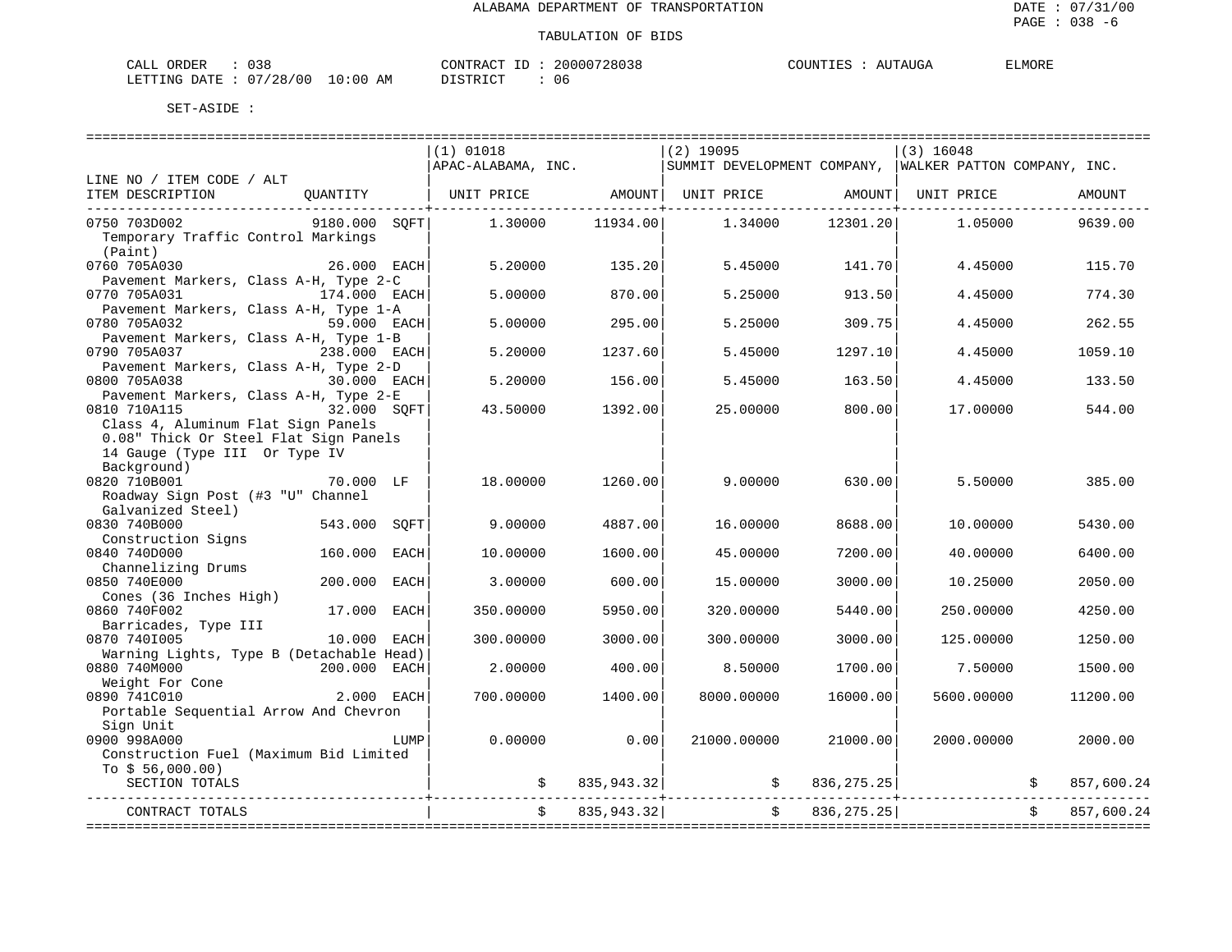| 038<br>$\bigcap \pi$ T<br>ORDER<br>للطات                          | דיר ג סידיזורי<br>ous. | T T T T<br>COUNT<br>$\sqrt{1}$<br>AUGA | ELMORE |
|-------------------------------------------------------------------|------------------------|----------------------------------------|--------|
| 100 V<br>. .<br>28<br>LETTING<br>AM<br>חמר<br>:00<br>$\mathbf{u}$ | יי חד פידי פי<br>06    |                                        |        |

|                                                          |               |      | $(1)$ 01018        |               | $(2)$ 19095                                             |              | $(3)$ 16048               |                  |
|----------------------------------------------------------|---------------|------|--------------------|---------------|---------------------------------------------------------|--------------|---------------------------|------------------|
|                                                          |               |      | APAC-ALABAMA, INC. |               | SUMMIT DEVELOPMENT COMPANY, WALKER PATTON COMPANY, INC. |              |                           |                  |
| LINE NO / ITEM CODE / ALT                                |               |      |                    |               |                                                         |              |                           |                  |
| ITEM DESCRIPTION                                         | QUANTITY      |      | UNIT PRICE         | AMOUNT        | UNIT PRICE                                              | AMOUNT       | UNIT PRICE                | AMOUNT           |
|                                                          |               |      |                    |               |                                                         |              |                           |                  |
| 0750 703D002                                             | 9180.000 SOFT |      | 1.30000            | 11934.00      | 1.34000                                                 | 12301.20     | 1.05000                   | 9639.00          |
| Temporary Traffic Control Markings                       |               |      |                    |               |                                                         |              |                           |                  |
| (Paint)                                                  |               |      |                    |               |                                                         |              |                           |                  |
| 0760 705A030                                             | 26.000 EACH   |      | 5.20000            | 135.20        | 5.45000                                                 | 141.70       | 4.45000                   | 115.70           |
| Pavement Markers, Class A-H, Type 2-C                    |               |      |                    |               |                                                         |              |                           |                  |
| 0770 705A031                                             | 174.000 EACH  |      | 5.00000            | 870.00        | 5.25000                                                 | 913.50       | 4.45000                   | 774.30           |
| Pavement Markers, Class A-H, Type 1-A<br>0780 705A032    | 59.000 EACH   |      |                    |               |                                                         |              |                           | 262.55           |
| Pavement Markers, Class A-H, Type 1-B                    |               |      | 5.00000            | 295.00        | 5.25000                                                 | 309.75       | 4.45000                   |                  |
| 0790 705A037                                             | 238.000 EACH  |      | 5.20000            | 1237.60       | 5.45000                                                 | 1297.10      | 4.45000                   | 1059.10          |
| Pavement Markers, Class A-H, Type 2-D                    |               |      |                    |               |                                                         |              |                           |                  |
| 0800 705A038                                             | 30.000 EACH   |      | 5.20000            | 156.00        | 5.45000                                                 | 163.50       | 4.45000                   | 133.50           |
| Pavement Markers, Class A-H, Type 2-E                    |               |      |                    |               |                                                         |              |                           |                  |
| 32.000 SOFT<br>0810 710A115                              |               |      | 43.50000           | 1392.00       | 25.00000                                                | 800.00       | 17.00000                  | 544.00           |
| Class 4, Aluminum Flat Sign Panels                       |               |      |                    |               |                                                         |              |                           |                  |
| 0.08" Thick Or Steel Flat Sign Panels                    |               |      |                    |               |                                                         |              |                           |                  |
| 14 Gauge (Type III Or Type IV                            |               |      |                    |               |                                                         |              |                           |                  |
| Background)                                              |               |      |                    |               |                                                         |              |                           |                  |
| 0820 710B001                                             | 70.000 LF     |      | 18,00000           | 1260.00       | 9,00000                                                 | 630.00       | 5.50000                   | 385.00           |
| Roadway Sign Post (#3 "U" Channel                        |               |      |                    |               |                                                         |              |                           |                  |
| Galvanized Steel)                                        |               |      |                    |               |                                                         |              |                           |                  |
| 0830 740B000                                             | 543.000       | SOFT | 9,00000            | 4887.00       | 16.00000                                                | 8688.00      | 10.00000                  | 5430.00          |
| Construction Signs                                       |               |      |                    |               |                                                         |              |                           |                  |
| 0840 740D000                                             | 160.000       | EACH | 10.00000           | 1600.00       | 45.00000                                                | 7200.00      | 40.00000                  | 6400.00          |
| Channelizing Drums                                       |               |      |                    |               |                                                         |              |                           |                  |
| 0850 740E000                                             | 200.000       | EACH | 3.00000            | 600.00        | 15.00000                                                | 3000.00      | 10.25000                  | 2050.00          |
| Cones (36 Inches High)                                   |               |      |                    |               |                                                         |              |                           |                  |
| 0860 740F002                                             | 17.000 EACH   |      | 350.00000          | 5950.00       | 320.00000                                               | 5440.00      | 250.00000                 | 4250.00          |
| Barricades, Type III                                     |               |      |                    |               |                                                         |              |                           |                  |
| 0870 7401005                                             | 10.000 EACH   |      | 300.00000          | 3000.00       | 300.00000                                               | 3000.00      | 125.00000                 | 1250.00          |
| Warning Lights, Type B (Detachable Head)<br>0880 740M000 | 200.000 EACH  |      | 2.00000            | 400.00        | 8.50000                                                 | 1700.00      | 7.50000                   | 1500.00          |
| Weight For Cone                                          |               |      |                    |               |                                                         |              |                           |                  |
| 0890 741C010                                             | 2.000 EACH    |      | 700.00000          | 1400.00       | 8000.00000                                              | 16000.00     | 5600.00000                | 11200.00         |
| Portable Sequential Arrow And Chevron                    |               |      |                    |               |                                                         |              |                           |                  |
| Sign Unit                                                |               |      |                    |               |                                                         |              |                           |                  |
| 0900 998A000                                             |               | LUMP | 0.00000            | 0.00          | 21000.00000                                             | 21000.00     | 2000.00000                | 2000.00          |
| Construction Fuel (Maximum Bid Limited                   |               |      |                    |               |                                                         |              |                           |                  |
| To $$56,000.00)$                                         |               |      |                    |               |                                                         |              |                           |                  |
| SECTION TOTALS                                           |               |      |                    | \$835,943.32] | $\ddot{s}$                                              | 836, 275.25  |                           | \$<br>857,600.24 |
|                                                          |               |      |                    |               |                                                         |              |                           |                  |
| CONTRACT TOTALS                                          |               |      |                    | 835.943.32    | Ŝ.                                                      | 836, 275. 25 |                           | 857,600.24       |
|                                                          |               |      |                    |               | ====================                                    |              | ------------------------- |                  |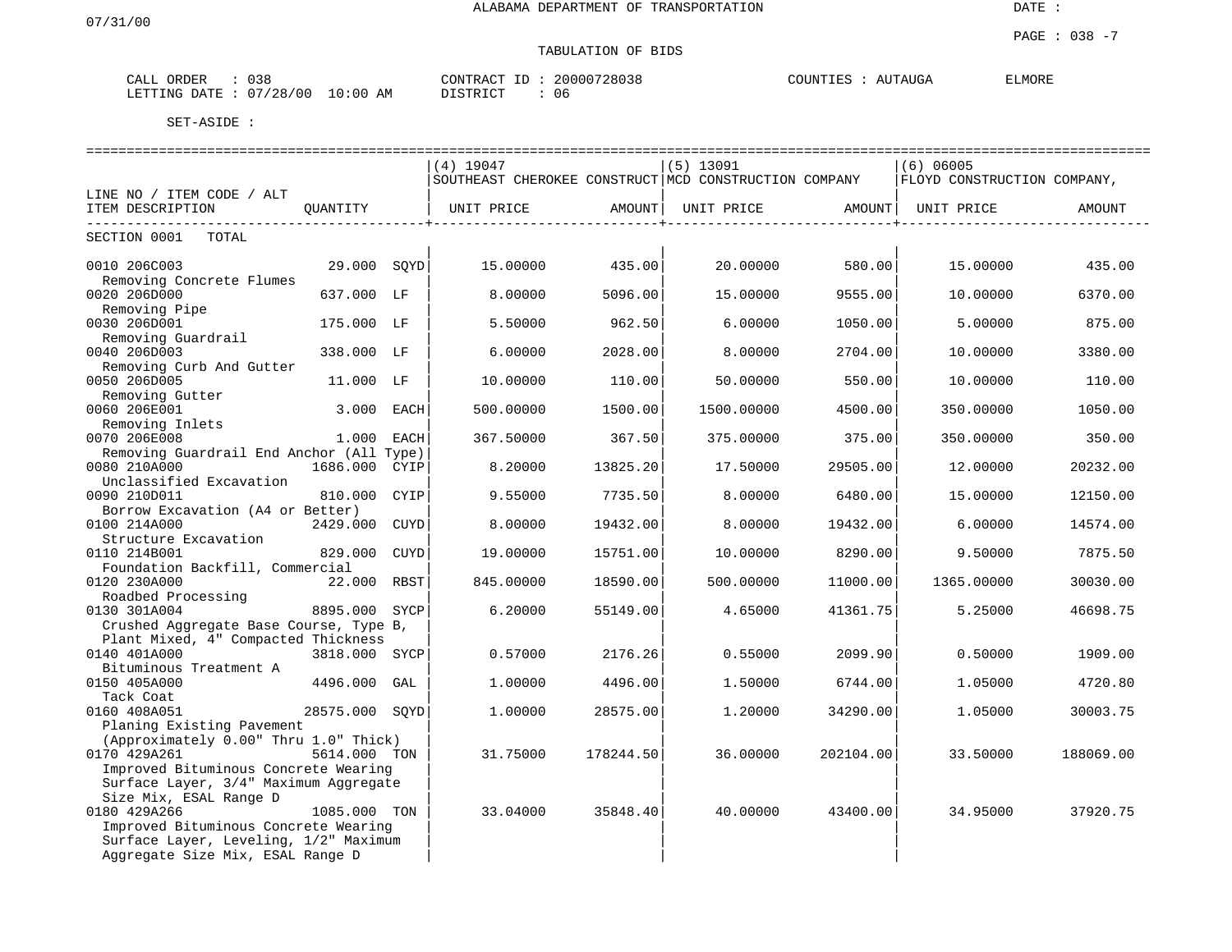| 038<br>ORDER<br>CALL                   | 20000728038<br>CONTRACT ID | COUNTIES<br><i>E</i> LMORE<br>AUTAUGA |
|----------------------------------------|----------------------------|---------------------------------------|
| $10:00$ AM<br>07/28/00<br>LETTING DATE | DISTRICT<br>06             |                                       |

|                                                                    |                |      |                                                       |                              |             |                              | ================================= |           |
|--------------------------------------------------------------------|----------------|------|-------------------------------------------------------|------------------------------|-------------|------------------------------|-----------------------------------|-----------|
|                                                                    |                |      | $(4)$ 19047                                           |                              | $(5)$ 13091 |                              | $(6)$ 06005                       |           |
|                                                                    |                |      | SOUTHEAST CHEROKEE CONSTRUCT MCD CONSTRUCTION COMPANY |                              |             |                              | FLOYD CONSTRUCTION COMPANY,       |           |
| LINE NO / ITEM CODE / ALT                                          |                |      |                                                       |                              |             |                              |                                   |           |
| ITEM DESCRIPTION                                                   | QUANTITY       |      | UNIT PRICE                                            | AMOUNT<br>------------------ | UNIT PRICE  | AMOUNT  <br>---------------- | UNIT PRICE                        | AMOUNT    |
| SECTION 0001<br>TOTAL                                              |                |      |                                                       |                              |             |                              |                                   |           |
| 0010 206C003                                                       | 29.000 SQYD    |      | 15.00000                                              | 435.00                       | 20.00000    | 580.00                       | 15.00000                          | 435.00    |
| Removing Concrete Flumes<br>0020 206D000                           | 637.000 LF     |      | 8.00000                                               | 5096.00                      | 15.00000    | 9555.00                      | 10.00000                          | 6370.00   |
| Removing Pipe<br>0030 206D001                                      | 175.000 LF     |      | 5.50000                                               | 962.50                       | 6,00000     | 1050.00                      | 5.00000                           | 875.00    |
| Removing Guardrail<br>0040 206D003                                 | 338.000 LF     |      | 6.00000                                               | 2028.00                      | 8.00000     | 2704.00                      | 10.00000                          | 3380.00   |
| Removing Curb And Gutter<br>0050 206D005                           | 11.000 LF      |      | 10.00000                                              | 110.00                       | 50.00000    | 550.00                       | 10.00000                          | 110.00    |
| Removing Gutter<br>0060 206E001                                    | 3.000 EACH     |      | 500.00000                                             | 1500.00                      | 1500.00000  | 4500.00                      | 350.00000                         | 1050.00   |
| Removing Inlets<br>0070 206E008                                    | 1.000 EACH     |      | 367.50000                                             | 367.50                       | 375.00000   | 375.00                       | 350.00000                         | 350.00    |
| Removing Guardrail End Anchor (All Type)                           |                |      |                                                       |                              |             |                              |                                   |           |
| 0080 210A000<br>Unclassified Excavation                            | 1686.000 CYIP  |      | 8,20000                                               | 13825.20                     | 17.50000    | 29505.00                     | 12.00000                          | 20232.00  |
| 0090 210D011<br>Borrow Excavation (A4 or Better)                   | 810.000 CYIP   |      | 9.55000                                               | 7735.50                      | 8,00000     | 6480.00                      | 15,00000                          | 12150.00  |
| 0100 214A000                                                       | 2429.000 CUYD  |      | 8.00000                                               | 19432.00                     | 8.00000     | 19432.00                     | 6.00000                           | 14574.00  |
| Structure Excavation<br>0110 214B001                               | 829.000        | CUYD | 19,00000                                              | 15751.00                     | 10,00000    | 8290.00                      | 9.50000                           | 7875.50   |
| Foundation Backfill, Commercial                                    |                |      |                                                       |                              |             |                              |                                   |           |
| 0120 230A000<br>Roadbed Processing                                 | 22.000 RBST    |      | 845.00000                                             | 18590.00                     | 500.00000   | 11000.00                     | 1365.00000                        | 30030.00  |
| 0130 301A004<br>Crushed Aggregate Base Course, Type B,             | 8895.000 SYCP  |      | 6.20000                                               | 55149.00                     | 4.65000     | 41361.75                     | 5.25000                           | 46698.75  |
| Plant Mixed, 4" Compacted Thickness                                |                |      |                                                       |                              |             |                              |                                   |           |
| 0140 401A000<br>Bituminous Treatment A                             | 3818.000 SYCP  |      | 0.57000                                               | 2176.26                      | 0.55000     | 2099.90                      | 0.50000                           | 1909.00   |
| 0150 405A000<br>Tack Coat                                          | 4496.000 GAL   |      | 1,00000                                               | 4496.00                      | 1.50000     | 6744.00                      | 1.05000                           | 4720.80   |
| 0160 408A051                                                       | 28575.000 SOYD |      | 1,00000                                               | 28575.00                     | 1,20000     | 34290.00                     | 1.05000                           | 30003.75  |
| Planing Existing Pavement<br>(Approximately 0.00" Thru 1.0" Thick) |                |      |                                                       |                              |             |                              |                                   |           |
| 0170 429A261                                                       | 5614.000 TON   |      | 31.75000                                              | 178244.50                    | 36.00000    | 202104.00                    | 33.50000                          | 188069.00 |
| Improved Bituminous Concrete Wearing                               |                |      |                                                       |                              |             |                              |                                   |           |
| Surface Layer, 3/4" Maximum Aggregate                              |                |      |                                                       |                              |             |                              |                                   |           |
| Size Mix, ESAL Range D                                             |                |      |                                                       |                              |             |                              |                                   |           |
| 0180 429A266                                                       | 1085.000 TON   |      | 33.04000                                              | 35848.40                     | 40.00000    | 43400.00                     | 34.95000                          | 37920.75  |
| Improved Bituminous Concrete Wearing                               |                |      |                                                       |                              |             |                              |                                   |           |
| Surface Layer, Leveling, 1/2" Maximum                              |                |      |                                                       |                              |             |                              |                                   |           |
| Aggregate Size Mix, ESAL Range D                                   |                |      |                                                       |                              |             |                              |                                   |           |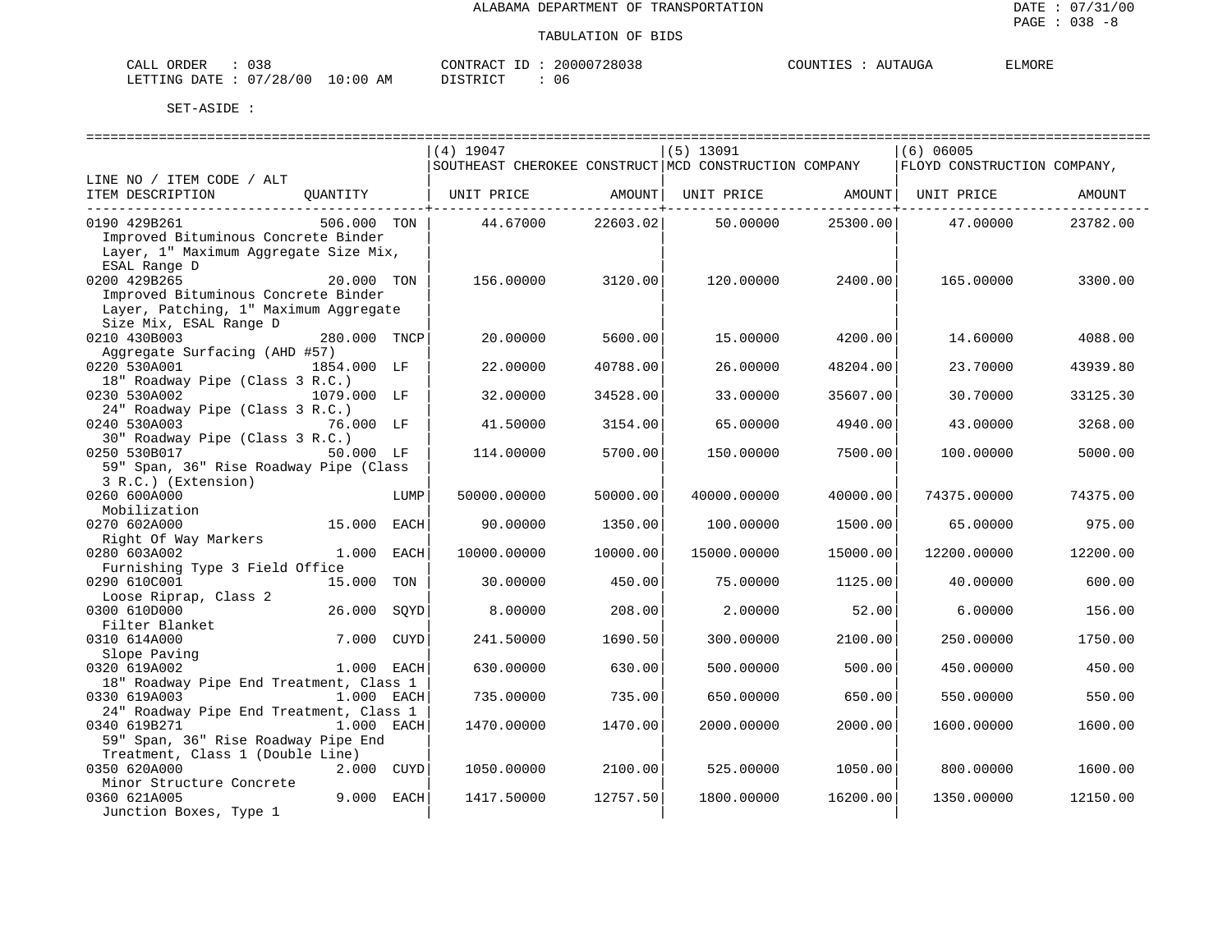ELMORE

#### TABULATION OF BIDS

| CALL ORDER                      | : 0.38 |  |
|---------------------------------|--------|--|
| LETTING DATE: 07/28/00 10:00 AM |        |  |

 $CONTRACT ID : 20000728038$  COUNTIES : AUTAUGA DISTRICT : 06

|                                         |              |      | $(4)$ 19047                                           |          | $(5)$ 13091 |          | $(6)$ 06005                 |          |
|-----------------------------------------|--------------|------|-------------------------------------------------------|----------|-------------|----------|-----------------------------|----------|
|                                         |              |      | SOUTHEAST CHEROKEE CONSTRUCT MCD CONSTRUCTION COMPANY |          |             |          | FLOYD CONSTRUCTION COMPANY, |          |
| LINE NO / ITEM CODE / ALT               |              |      |                                                       |          |             |          |                             |          |
| ITEM DESCRIPTION                        | OUANTITY     |      | UNIT PRICE                                            | AMOUNT   | UNIT PRICE  | AMOUNT   | UNIT PRICE                  | AMOUNT   |
|                                         |              |      |                                                       |          |             |          |                             |          |
| 0190 429B261                            | 506.000 TON  |      | 44.67000                                              | 22603.02 | 50.00000    | 25300.00 | 47.00000                    | 23782.00 |
| Improved Bituminous Concrete Binder     |              |      |                                                       |          |             |          |                             |          |
| Layer, 1" Maximum Aggregate Size Mix,   |              |      |                                                       |          |             |          |                             |          |
| ESAL Range D                            |              |      |                                                       |          |             |          |                             |          |
| 0200 429B265                            | 20.000 TON   |      | 156,00000                                             | 3120.00  | 120.00000   | 2400.00  | 165,00000                   | 3300.00  |
| Improved Bituminous Concrete Binder     |              |      |                                                       |          |             |          |                             |          |
| Layer, Patching, 1" Maximum Aggregate   |              |      |                                                       |          |             |          |                             |          |
| Size Mix, ESAL Range D                  |              |      |                                                       |          |             |          |                             |          |
| 0210 430B003                            | 280.000 TNCP |      | 20.00000                                              | 5600.00  | 15,00000    | 4200.00  | 14.60000                    | 4088.00  |
| Aggregate Surfacing (AHD #57)           |              |      |                                                       |          |             |          |                             |          |
| 0220 530A001                            | 1854.000 LF  |      | 22.00000                                              | 40788.00 | 26.00000    | 48204.00 | 23.70000                    | 43939.80 |
| 18" Roadway Pipe (Class 3 R.C.)         |              |      |                                                       |          |             |          |                             |          |
| 0230 530A002                            | 1079.000 LF  |      | 32.00000                                              | 34528.00 | 33.00000    | 35607.00 | 30.70000                    | 33125.30 |
| 24" Roadway Pipe (Class 3 R.C.)         |              |      |                                                       |          |             |          |                             |          |
| 0240 530A003                            | 76.000 LF    |      | 41.50000                                              | 3154.00  | 65.00000    | 4940.00  | 43.00000                    | 3268.00  |
| 30" Roadway Pipe (Class 3 R.C.)         |              |      |                                                       |          |             |          |                             |          |
| 0250 530B017                            | 50.000 LF    |      | 114.00000                                             | 5700.00  | 150.00000   | 7500.00  | 100.00000                   | 5000.00  |
| 59" Span, 36" Rise Roadway Pipe (Class  |              |      |                                                       |          |             |          |                             |          |
| 3 R.C.) (Extension)                     |              |      |                                                       |          |             |          |                             |          |
| 0260 600A000                            |              | LUMP | 50000.00000                                           | 50000.00 | 40000.00000 | 40000.00 | 74375.00000                 | 74375.00 |
| Mobilization                            |              |      |                                                       |          |             |          |                             |          |
| 0270 602A000                            | 15.000       | EACH | 90.00000                                              | 1350.00  | 100.00000   | 1500.00  | 65.00000                    | 975.00   |
| Right Of Way Markers                    |              |      |                                                       |          |             |          |                             |          |
| 0280 603A002                            | 1,000        | EACH | 10000.00000                                           | 10000.00 | 15000.00000 | 15000.00 | 12200.00000                 | 12200.00 |
| Furnishing Type 3 Field Office          |              |      |                                                       |          |             |          |                             |          |
| 0290 610C001                            | 15.000       | TON  | 30.00000                                              | 450.00   | 75.00000    | 1125.00  | 40.00000                    | 600.00   |
| Loose Riprap, Class 2                   |              |      |                                                       |          |             |          |                             |          |
| 0300 610D000                            | 26.000       | SOYD | 8,00000                                               | 208.00   | 2.00000     | 52.00    | 6.00000                     | 156.00   |
| Filter Blanket                          |              |      |                                                       |          |             |          |                             |          |
| 0310 614A000                            | 7.000        | CUYD | 241.50000                                             | 1690.50  | 300.00000   | 2100.00  | 250.00000                   | 1750.00  |
| Slope Paving                            |              |      |                                                       |          |             |          |                             |          |
| 0320 619A002                            | 1.000 EACH   |      | 630.00000                                             | 630.00   | 500.00000   | 500.00   | 450.00000                   | 450.00   |
| 18" Roadway Pipe End Treatment, Class 1 |              |      |                                                       |          |             |          |                             |          |
| 0330 619A003                            | 1.000 EACH   |      | 735.00000                                             | 735.00   | 650.00000   | 650.00   | 550.00000                   | 550.00   |
| 24" Roadway Pipe End Treatment, Class 1 |              |      |                                                       |          |             |          |                             |          |
| 0340 619B271                            | 1.000 EACH   |      | 1470.00000                                            | 1470.00  | 2000.00000  | 2000.00  | 1600.00000                  | 1600.00  |
| 59" Span, 36" Rise Roadway Pipe End     |              |      |                                                       |          |             |          |                             |          |
| Treatment, Class 1 (Double Line)        |              |      |                                                       |          |             |          |                             |          |
| 0350 620A000                            | 2.000 CUYD   |      | 1050.00000                                            | 2100.00  | 525.00000   | 1050.00  | 800.00000                   | 1600.00  |
| Minor Structure Concrete                |              |      |                                                       |          |             |          |                             |          |
| 0360 621A005                            | 9.000 EACH   |      | 1417.50000                                            | 12757.50 | 1800.00000  | 16200.00 | 1350.00000                  | 12150.00 |
| Junction Boxes, Type 1                  |              |      |                                                       |          |             |          |                             |          |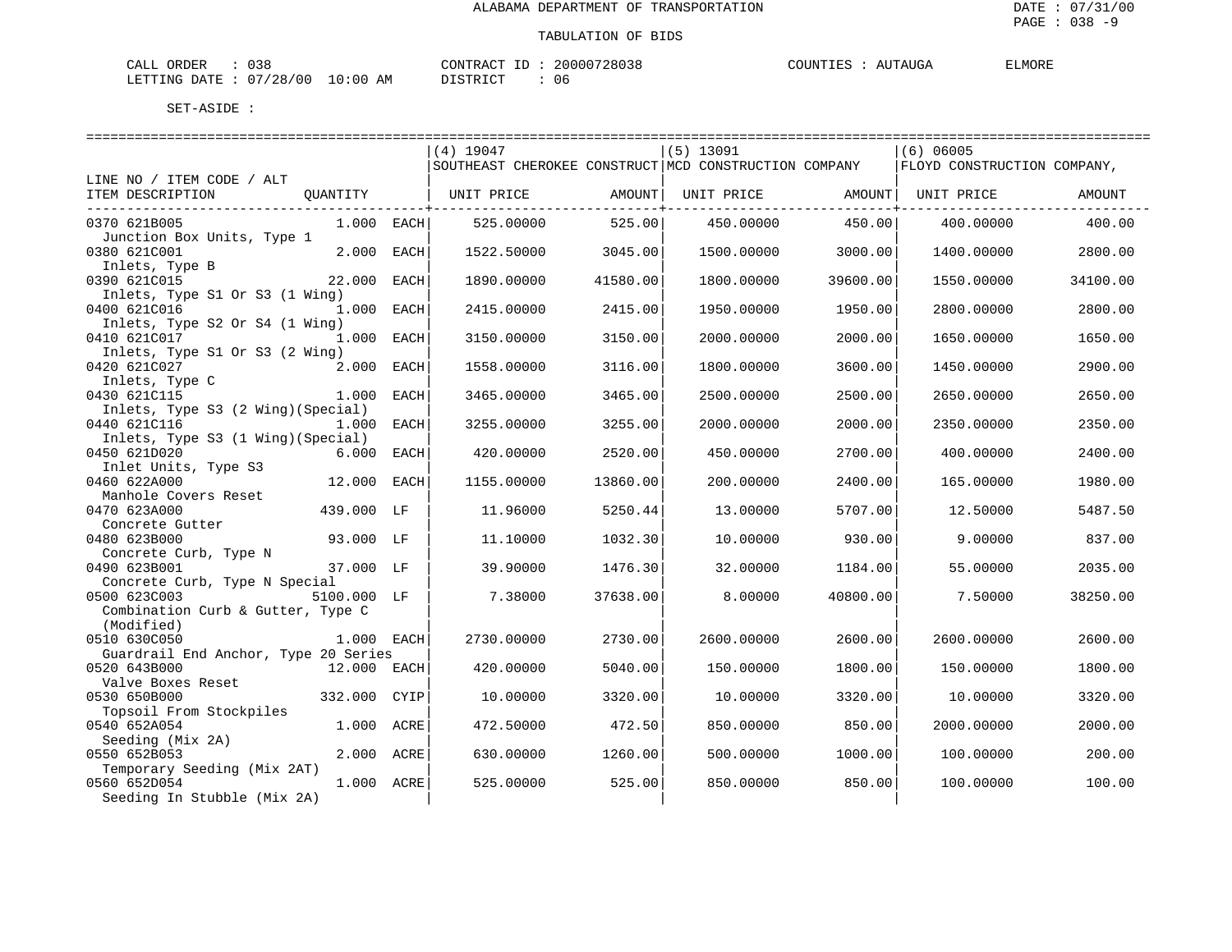| 038<br>ORDER<br>CALL (                     | 20000728038<br>CONTRACT | AUTAUGA<br>COUNTIES | ELMORE |
|--------------------------------------------|-------------------------|---------------------|--------|
| : : 07/28/00<br>$10:00$ AM<br>LETTING DATE | DISTRICT<br>06          |                     |        |

|                                                      |               | $(4)$ 19047                                           |          | $(5)$ 13091 |          | (6) 06005                   |          |
|------------------------------------------------------|---------------|-------------------------------------------------------|----------|-------------|----------|-----------------------------|----------|
|                                                      |               | SOUTHEAST CHEROKEE CONSTRUCT MCD CONSTRUCTION COMPANY |          |             |          | FLOYD CONSTRUCTION COMPANY, |          |
| LINE NO / ITEM CODE / ALT<br>ITEM DESCRIPTION        |               |                                                       | AMOUNT   | UNIT PRICE  | AMOUNT   | UNIT PRICE                  |          |
| QUANTITY                                             |               | UNIT PRICE                                            |          |             |          |                             | AMOUNT   |
| 0370 621B005                                         | $1.000$ EACH  | 525,00000                                             | 525.00   | 450.00000   | 450.00   | 400.00000                   | 400.00   |
| Junction Box Units, Type 1                           |               |                                                       |          |             |          |                             |          |
| 0380 621C001                                         | 2.000<br>EACH | 1522.50000                                            | 3045.00  | 1500.00000  | 3000.00  | 1400.00000                  | 2800.00  |
| Inlets, Type B<br>0390 621C015<br>22.000             | EACH          | 1890.00000                                            | 41580.00 | 1800.00000  | 39600.00 | 1550.00000                  | 34100.00 |
| Inlets, Type S1 Or S3 (1 Wing)                       |               |                                                       |          |             |          |                             |          |
| 0400 621C016                                         | 1.000 EACH    | 2415.00000                                            | 2415.00  | 1950.00000  | 1950.00  | 2800.00000                  | 2800.00  |
| Inlets, Type S2 Or S4 (1 Wing)                       |               |                                                       |          |             |          |                             |          |
| 0410 621C017                                         | 1.000 EACH    | 3150.00000                                            | 3150.00  | 2000.00000  | 2000.00  | 1650.00000                  | 1650.00  |
| Inlets, Type S1 Or S3 (2 Wing)                       |               |                                                       |          |             |          |                             |          |
| 0420 621C027<br>Inlets, Type C                       | 2.000 EACH    | 1558.00000                                            | 3116.00  | 1800.00000  | 3600.00  | 1450.00000                  | 2900.00  |
| 0430 621C115                                         | 1.000<br>EACH | 3465.00000                                            | 3465.00  | 2500.00000  | 2500.00  | 2650.00000                  | 2650.00  |
| Inlets, Type S3 (2 Wing) (Special)                   |               |                                                       |          |             |          |                             |          |
| 0440 621C116                                         | 1.000<br>EACH | 3255.00000                                            | 3255.00  | 2000.00000  | 2000.00  | 2350.00000                  | 2350.00  |
| Inlets, Type S3 (1 Wing) (Special)                   |               |                                                       |          |             |          |                             |          |
| 0450 621D020                                         | 6.000<br>EACH | 420.00000                                             | 2520.00  | 450.00000   | 2700.00  | 400.00000                   | 2400.00  |
| Inlet Units, Type S3<br>0460 622A000                 |               |                                                       |          |             |          |                             |          |
| Manhole Covers Reset                                 | 12.000 EACH   | 1155.00000                                            | 13860.00 | 200.00000   | 2400.00  | 165.00000                   | 1980.00  |
| 0470 623A000                                         | 439.000 LF    | 11,96000                                              | 5250.44  | 13,00000    | 5707.00  | 12.50000                    | 5487.50  |
| Concrete Gutter                                      |               |                                                       |          |             |          |                             |          |
| 0480 623B000                                         | 93.000 LF     | 11,10000                                              | 1032.30  | 10.00000    | 930.00   | 9.00000                     | 837.00   |
| Concrete Curb, Type N                                |               |                                                       |          |             |          |                             |          |
| 0490 623B001                                         | 37.000 LF     | 39.90000                                              | 1476.30  | 32.00000    | 1184.00  | 55.00000                    | 2035.00  |
| Concrete Curb, Type N Special                        |               |                                                       |          |             |          |                             |          |
| 0500 623C003                                         | 5100.000 LF   | 7.38000                                               | 37638.00 | 8.00000     | 40800.00 | 7.50000                     | 38250.00 |
| Combination Curb & Gutter, Type C                    |               |                                                       |          |             |          |                             |          |
| (Modified)                                           |               |                                                       |          |             |          |                             |          |
| 0510 630C050<br>Guardrail End Anchor, Type 20 Series | $1.000$ EACH  | 2730.00000                                            | 2730.00  | 2600.00000  | 2600.00  | 2600.00000                  | 2600.00  |
| 0520 643B000                                         | 12.000 EACH   | 420.00000                                             | 5040.00  | 150.00000   | 1800.00  | 150.00000                   | 1800.00  |
| Valve Boxes Reset                                    |               |                                                       |          |             |          |                             |          |
| 0530 650B000                                         | 332.000 CYIP  | 10.00000                                              | 3320.00  | 10.00000    | 3320.00  | 10.00000                    | 3320.00  |
| Topsoil From Stockpiles                              |               |                                                       |          |             |          |                             |          |
| 0540 652A054                                         | 1.000<br>ACRE | 472.50000                                             | 472.50   | 850.00000   | 850.00   | 2000.00000                  | 2000.00  |
| Seeding (Mix 2A)                                     |               |                                                       |          |             |          |                             |          |
| 0550 652B053                                         | 2.000 ACRE    | 630.00000                                             | 1260.00  | 500.00000   | 1000.00  | 100.00000                   | 200.00   |
| Temporary Seeding (Mix 2AT)                          |               |                                                       |          |             |          |                             |          |
| 0560 652D054                                         | 1.000 ACRE    | 525.00000                                             | 525.00   | 850.00000   | 850.00   | 100,00000                   | 100.00   |
| Seeding In Stubble (Mix 2A)                          |               |                                                       |          |             |          |                             |          |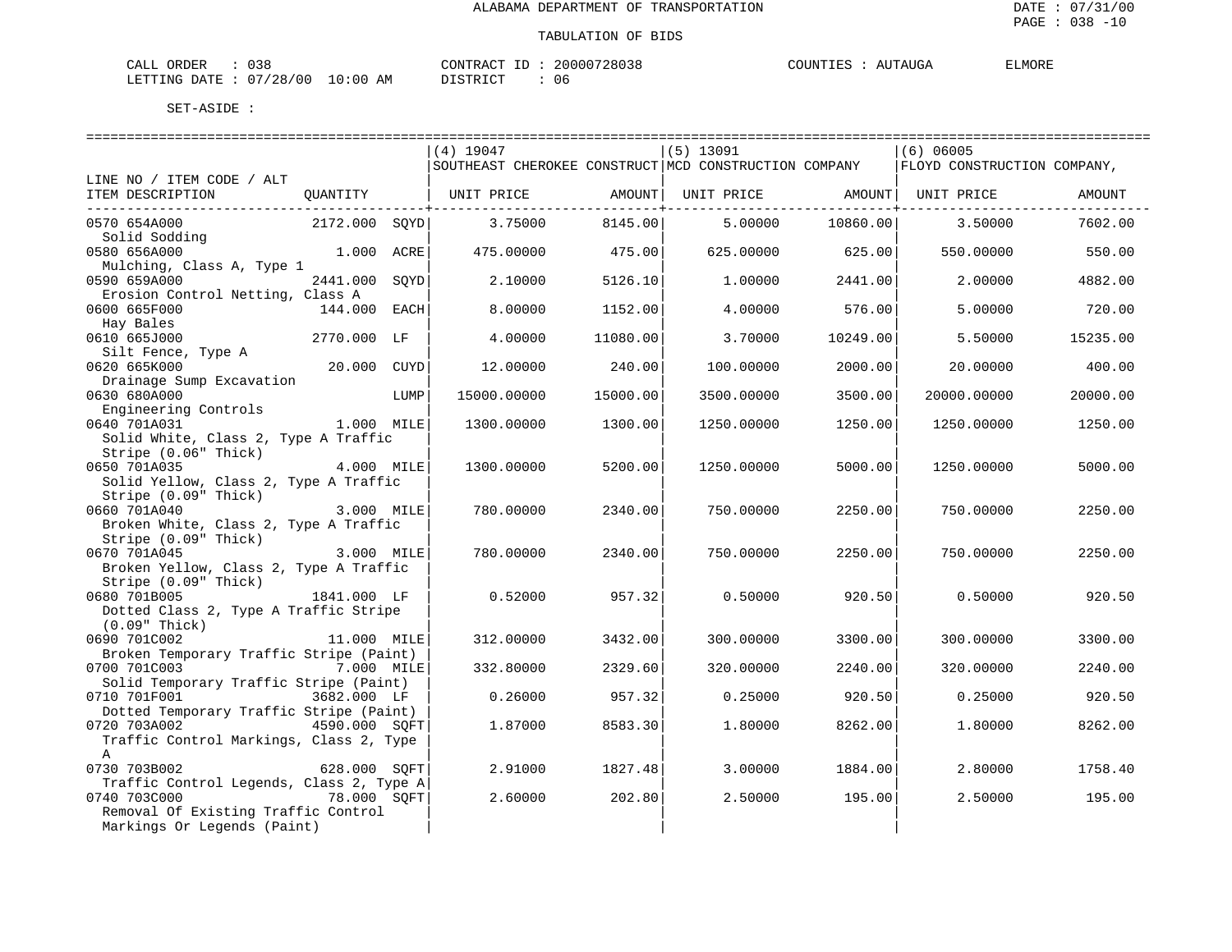| 038<br>CALL ORDER                    | 20000728038<br>CONTRACT ID | COUNTIES<br>AUTAUGA | <b>ELMORE</b> |
|--------------------------------------|----------------------------|---------------------|---------------|
| LETTING DATE: 07/28/00<br>$10:00$ AM | DISTRICT<br>06             |                     |               |

|                                                                              |               |      | -----------------------------                                                       |          | ============================= |          | =========================== |          |
|------------------------------------------------------------------------------|---------------|------|-------------------------------------------------------------------------------------|----------|-------------------------------|----------|-----------------------------|----------|
|                                                                              |               |      | (4) 19047                                                                           |          | $(5)$ 13091                   |          | $(6)$ 06005                 |          |
|                                                                              |               |      | SOUTHEAST CHEROKEE CONSTRUCT MCD CONSTRUCTION COMPANY   FLOYD CONSTRUCTION COMPANY, |          |                               |          |                             |          |
| LINE NO / ITEM CODE / ALT                                                    |               |      |                                                                                     |          |                               |          |                             |          |
| ITEM DESCRIPTION QUANTITY   UNIT PRICE AMOUNT  UNIT PRICE AMOUNT  UNIT PRICE |               |      |                                                                                     |          |                               |          |                             | AMOUNT   |
| -----------------------------<br>0570 654A000                                |               |      | 2172.000 SOYD 3.75000                                                               | 8145.00  | 5.00000                       | 10860.00 | 3.50000                     | 7602.00  |
| Solid Sodding                                                                |               |      |                                                                                     |          |                               |          |                             |          |
| 0580 656A000                                                                 | $1.000$ ACRE  |      | 475.00000                                                                           | 475.00   | $625.00000$ 625.00            |          | 550.00000                   | 550.00   |
| Mulching, Class A, Type 1                                                    |               |      |                                                                                     |          |                               |          |                             |          |
| 0590 659A000                                                                 | 2441.000 SOYD |      | 2.10000                                                                             | 5126.10  | 1.00000                       | 2441.00  | 2.00000                     | 4882.00  |
| Erosion Control Netting, Class A                                             |               |      |                                                                                     |          |                               |          |                             |          |
| 0600 665F000                                                                 | 144.000 EACH  |      | 8,00000                                                                             | 1152.00  | 4.00000                       | 576.00   | 5.00000                     | 720.00   |
| Hay Bales                                                                    |               |      |                                                                                     |          |                               |          |                             |          |
| 0610 665J000                                                                 | 2770.000 LF   |      | 4,00000                                                                             | 11080.00 | 3.70000                       | 10249.00 | 5.50000                     | 15235.00 |
| Silt Fence, Type A                                                           |               |      |                                                                                     |          |                               |          |                             |          |
| 0620 665K000                                                                 | 20.000 CUYD   |      | 12,00000                                                                            | 240.00   | 100.00000                     | 2000.00  | 20.00000                    | 400.00   |
| Drainage Sump Excavation                                                     |               |      |                                                                                     |          |                               |          |                             |          |
| 0630 680A000                                                                 |               | LUMP | 15000.00000                                                                         | 15000.00 | 3500.00000                    | 3500.00  | 20000.00000                 | 20000.00 |
| Engineering Controls                                                         |               |      |                                                                                     |          |                               |          |                             |          |
| 0640 701A031                                                                 | $1.000$ MILE  |      | 1300.00000                                                                          | 1300.00  | 1250.00000                    | 1250.00  | 1250.00000                  | 1250.00  |
| Solid White, Class 2, Type A Traffic                                         |               |      |                                                                                     |          |                               |          |                             |          |
| Stripe (0.06" Thick)                                                         |               |      |                                                                                     |          |                               |          |                             |          |
| 0650 701A035                                                                 | 4.000 MILE    |      | 1300.00000                                                                          | 5200.00  | 1250.00000                    | 5000.00  | 1250.00000                  | 5000.00  |
| Solid Yellow, Class 2, Type A Traffic                                        |               |      |                                                                                     |          |                               |          |                             |          |
| Stripe (0.09" Thick)                                                         |               |      |                                                                                     |          |                               |          |                             |          |
| 0660 701A040                                                                 | 3.000 MILE    |      | 780.00000                                                                           | 2340.00  | 750.00000                     | 2250.00  | 750.00000                   | 2250.00  |
| Broken White, Class 2, Type A Traffic                                        |               |      |                                                                                     |          |                               |          |                             |          |
| Stripe (0.09" Thick)<br>0670 701A045                                         | $3.000$ MILE  |      | 780.00000                                                                           | 2340.00  | 750.00000                     | 2250.00  | 750.00000                   | 2250.00  |
| Broken Yellow, Class 2, Type A Traffic                                       |               |      |                                                                                     |          |                               |          |                             |          |
| Stripe (0.09" Thick)                                                         |               |      |                                                                                     |          |                               |          |                             |          |
| 0680 701B005                                                                 | 1841.000 LF   |      | 0.52000                                                                             | 957.32   | 0.50000                       | 920.50   | 0.50000                     | 920.50   |
| Dotted Class 2, Type A Traffic Stripe                                        |               |      |                                                                                     |          |                               |          |                             |          |
| $(0.09"$ Thick)                                                              |               |      |                                                                                     |          |                               |          |                             |          |
| 0690 701C002                                                                 | 11.000 MILE   |      | 312,00000                                                                           | 3432.00  | 300,00000                     | 3300.00  | 300,00000                   | 3300.00  |
| Broken Temporary Traffic Stripe (Paint)                                      |               |      |                                                                                     |          |                               |          |                             |          |
| 0700 701C003                                                                 | 7.000 MILE    |      | 332.80000                                                                           | 2329.60  | 320,00000                     | 2240.00  | 320,00000                   | 2240.00  |
| Solid Temporary Traffic Stripe (Paint)                                       |               |      |                                                                                     |          |                               |          |                             |          |
| 0710 701F001                                                                 | 3682.000 LF   |      | 0.26000                                                                             | 957.32   | 0.25000                       | 920.50   | 0.25000                     | 920.50   |
| Dotted Temporary Traffic Stripe (Paint)                                      |               |      |                                                                                     |          |                               |          |                             |          |
| 0720 703A002                                                                 | 4590.000 SOFT |      | 1.87000                                                                             | 8583.30  | 1,80000                       | 8262.00  | 1.80000                     | 8262.00  |
| Traffic Control Markings, Class 2, Type                                      |               |      |                                                                                     |          |                               |          |                             |          |
| $\mathsf{A}$                                                                 |               |      |                                                                                     |          |                               |          |                             |          |
| 0730 703B002                                                                 | 628.000 SOFT  |      | 2.91000                                                                             | 1827.48  | 3.00000                       | 1884.00  | 2.80000                     | 1758.40  |
| Traffic Control Legends, Class 2, Type A                                     |               |      |                                                                                     |          |                               |          |                             |          |
| 0740 703C000                                                                 | 78.000 SOFT   |      | 2.60000                                                                             | 202.80   | 2.50000                       | 195.00   | 2.50000                     | 195.00   |
| Removal Of Existing Traffic Control                                          |               |      |                                                                                     |          |                               |          |                             |          |
| Markings Or Legends (Paint)                                                  |               |      |                                                                                     |          |                               |          |                             |          |
|                                                                              |               |      |                                                                                     |          |                               |          |                             |          |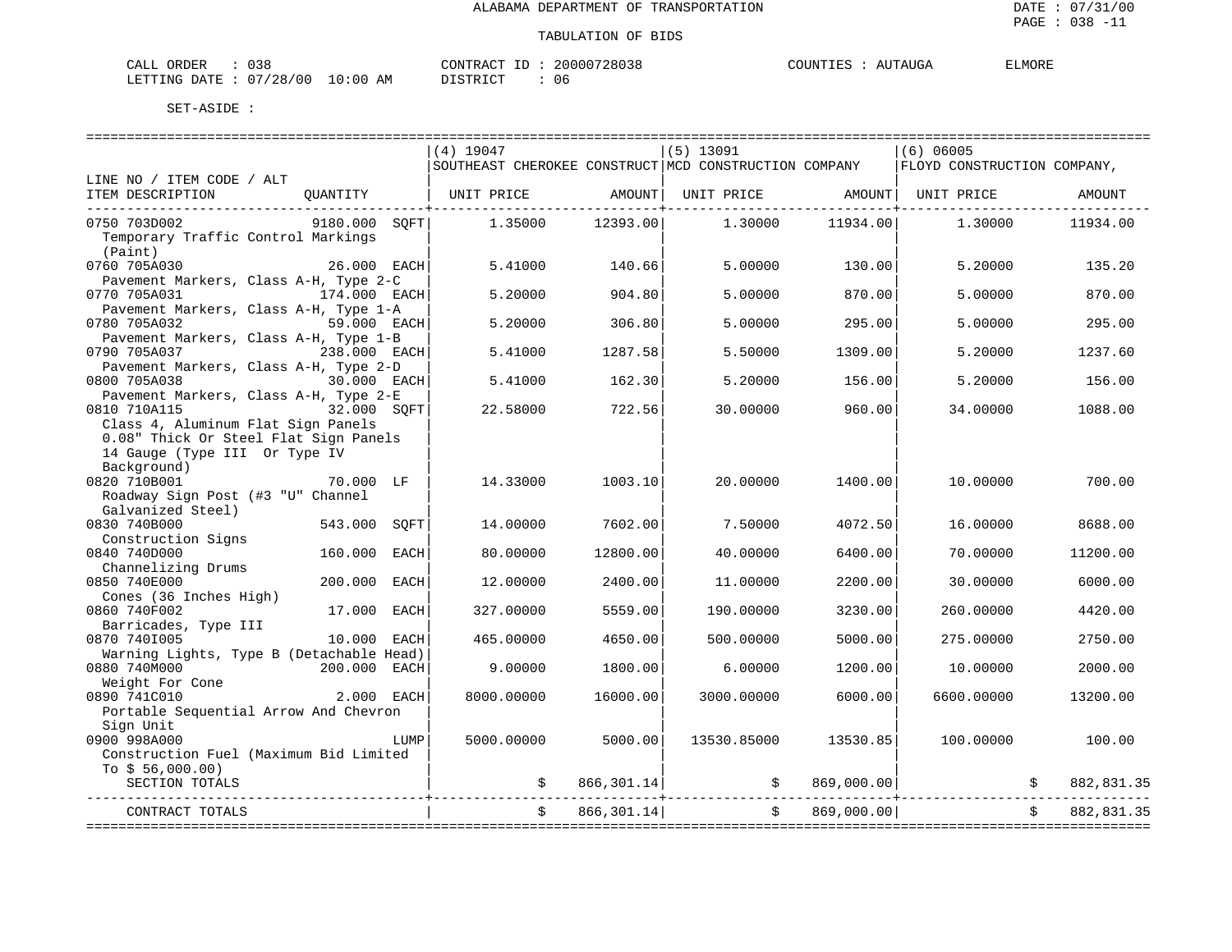| $\sim$<br>ORDER<br>138<br>--<br><b>UJU</b>                                                                                                                        | דגר ר<br>$\sqrt{2}$ | $\mathbf{r}$<br>ם הש |
|-------------------------------------------------------------------------------------------------------------------------------------------------------------------|---------------------|----------------------|
| ' O C<br>AΜ<br>DATF<br>ົດດ<br>∷0u<br>nm:<br>ZΩ<br>the contract of the contract of the contract of the contract of the contract of the contract of the contract of | Ub                  |                      |

|                                          | $(4)$ 19047                                                                         |                                                             | $(5)$ 13091                       |               | $(6)$ 06005 |            |
|------------------------------------------|-------------------------------------------------------------------------------------|-------------------------------------------------------------|-----------------------------------|---------------|-------------|------------|
|                                          | SOUTHEAST CHEROKEE CONSTRUCT MCD CONSTRUCTION COMPANY   FLOYD CONSTRUCTION COMPANY, |                                                             |                                   |               |             |            |
| LINE NO / ITEM CODE / ALT                |                                                                                     |                                                             |                                   |               |             |            |
| ITEM DESCRIPTION                         | QUANTITY   UNIT PRICE AMOUNT                                                        |                                                             | UNIT PRICE AMOUNT   UNIT PRICE    |               |             | AMOUNT     |
| 9180.000 SQFT<br>0750 703D002            | 1,35000                                                                             | . _ _ _ _ _ _ _ _ _ _ _ _ _ _ _ + _ _ _ _ _ _ _<br>12393.00 | 1,30000                           | 11934.00      | 1,30000     | 11934.00   |
| Temporary Traffic Control Markings       |                                                                                     |                                                             |                                   |               |             |            |
| (Paint)                                  |                                                                                     |                                                             |                                   |               |             |            |
| 0760 705A030<br>26.000 EACH              | 5.41000                                                                             | 140.66                                                      | 5,00000                           | 130.00        | 5.20000     | 135.20     |
| Pavement Markers, Class A-H, Type 2-C    |                                                                                     |                                                             |                                   |               |             |            |
| 0770 705A031<br>174.000 EACH             | 5.20000                                                                             | 904.80                                                      | 5,00000                           | 870.00        | 5.00000     | 870.00     |
| Pavement Markers, Class A-H, Type 1-A    |                                                                                     |                                                             |                                   |               |             |            |
| 0780 705A032<br>59.000 EACH              | 5.20000                                                                             | 306.80                                                      | 5.00000                           | 295.00        | 5.00000     | 295.00     |
| Pavement Markers, Class A-H, Type 1-B    |                                                                                     |                                                             |                                   |               |             |            |
| 0790 705A037<br>238.000 EACH             | 5.41000                                                                             | 1287.58                                                     | 5.50000                           | 1309.00       | 5.20000     | 1237.60    |
| Pavement Markers, Class A-H, Type 2-D    |                                                                                     |                                                             |                                   |               |             |            |
| 0800 705A038<br>30.000 EACH              | 5.41000                                                                             | 162.30                                                      | 5.20000                           | 156.00        | 5.20000     | 156.00     |
| Pavement Markers, Class A-H, Type 2-E    |                                                                                     |                                                             |                                   |               |             |            |
| 0810 710A115<br>32.000 SOFT              | 22.58000                                                                            | 722.56                                                      | 30.00000                          | 960.00        | 34.00000    | 1088.00    |
| Class 4, Aluminum Flat Sign Panels       |                                                                                     |                                                             |                                   |               |             |            |
| 0.08" Thick Or Steel Flat Sign Panels    |                                                                                     |                                                             |                                   |               |             |            |
| 14 Gauge (Type III Or Type IV            |                                                                                     |                                                             |                                   |               |             |            |
| Background)                              |                                                                                     |                                                             |                                   |               |             |            |
| 0820 710B001<br>70.000 LF                | 14.33000                                                                            | 1003.10                                                     | 20,00000                          | 1400.00       | 10.00000    | 700.00     |
| Roadway Sign Post (#3 "U" Channel        |                                                                                     |                                                             |                                   |               |             |            |
| Galvanized Steel)                        |                                                                                     |                                                             |                                   |               |             |            |
| 0830 740B000<br>543.000<br>SQFT          | 14.00000                                                                            | 7602.00                                                     | 7.50000                           | 4072.50       | 16.00000    | 8688.00    |
| Construction Signs                       |                                                                                     |                                                             |                                   |               |             |            |
| 0840 740D000<br>160.000 EACH             | 80.00000                                                                            | 12800.00                                                    | 40.00000                          | 6400.00       | 70.00000    | 11200.00   |
| Channelizing Drums                       |                                                                                     |                                                             |                                   |               |             |            |
| 0850 740E000<br>200,000<br>EACH          | 12.00000                                                                            | 2400.00                                                     | 11,00000                          | 2200.00       | 30,00000    | 6000.00    |
| Cones (36 Inches High)                   |                                                                                     |                                                             |                                   |               |             |            |
| 0860 740F002<br>17.000<br>EACH           | 327.00000                                                                           | 5559.00                                                     | 190.00000                         | 3230.00       | 260.00000   | 4420.00    |
| Barricades, Type III                     |                                                                                     |                                                             |                                   |               |             |            |
| 0870 7401005<br>10.000 EACH              | 465.00000                                                                           | 4650.00                                                     | 500.00000                         | 5000.00       | 275.00000   | 2750.00    |
| Warning Lights, Type B (Detachable Head) |                                                                                     |                                                             |                                   |               |             |            |
| 0880 740M000<br>200.000 EACH             | 9.00000                                                                             | 1800.00                                                     | 6.00000                           | 1200.00       | 10.00000    | 2000.00    |
| Weight For Cone                          |                                                                                     |                                                             |                                   |               |             |            |
| 2.000 EACH<br>0890 741C010               | 8000.00000                                                                          | 16000.00                                                    | 3000.00000                        | 6000.00       | 6600,00000  | 13200.00   |
| Portable Sequential Arrow And Chevron    |                                                                                     |                                                             |                                   |               |             |            |
| Sign Unit                                |                                                                                     |                                                             |                                   |               |             |            |
| 0900 998A000<br>LUMP                     | 5000.00000                                                                          | 5000.00                                                     | 13530.85000                       | 13530.85      | 100.00000   | 100.00     |
| Construction Fuel (Maximum Bid Limited   |                                                                                     |                                                             |                                   |               |             |            |
| To $$56,000.00)$<br>SECTION TOTALS       |                                                                                     | 866,301.14                                                  |                                   | 869,000.00    |             | 882,831.35 |
|                                          |                                                                                     |                                                             | $\mathfrak{S}$ and $\mathfrak{S}$ |               |             |            |
| CONTRACT TOTALS                          | $\ddot{s}$                                                                          | 866,301.14                                                  |                                   | \$869,000.00] |             | 882,831.35 |
|                                          |                                                                                     |                                                             |                                   |               |             |            |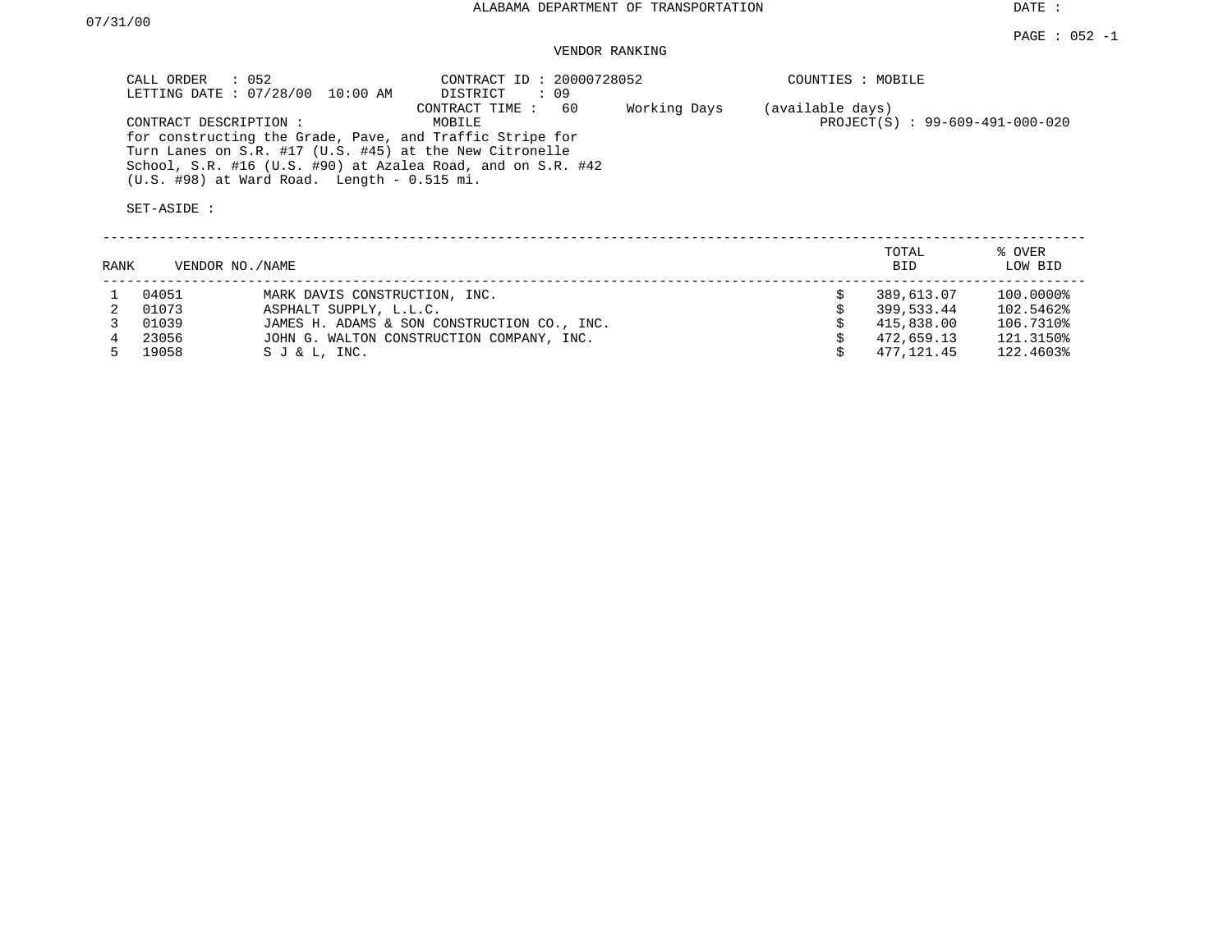DATE :

### VENDOR RANKING

| CALL ORDER : 052<br>LETTING DATE: 07/28/00 10:00 AM                                                                                                                                                                                                          | CONTRACT ID: 20000728052<br>: 09<br>DISTRICT    | COUNTIES : MOBILE                                     |
|--------------------------------------------------------------------------------------------------------------------------------------------------------------------------------------------------------------------------------------------------------------|-------------------------------------------------|-------------------------------------------------------|
| CONTRACT DESCRIPTION:<br>for constructing the Grade, Pave, and Traffic Stripe for<br>Turn Lanes on S.R. #17 (U.S. #45) at the New Citronelle<br>School, S.R. #16 (U.S. #90) at Azalea Road, and on S.R. #42<br>$(U.S.$ #98) at Ward Road. Length - 0.515 mi. | 60<br>CONTRACT TIME :<br>Working Days<br>MOBILE | (available days)<br>$PROJECT(S)$ : 99-609-491-000-020 |

| <b>RANK</b> | VENDOR NO./NAME |                                             | TOTAL<br><b>BID</b> | % OVER<br>LOW BID |
|-------------|-----------------|---------------------------------------------|---------------------|-------------------|
|             | 04051           | MARK DAVIS CONSTRUCTION, INC.               | 389,613.07          | 100.0000%         |
|             | 01073           | ASPHALT SUPPLY, L.L.C.                      | 399,533.44          | 102.5462%         |
|             | 01039           | JAMES H. ADAMS & SON CONSTRUCTION CO., INC. | 415,838.00          | 106.7310%         |
|             | 23056           | JOHN G. WALTON CONSTRUCTION COMPANY, INC.   | 472,659.13          | 121.3150%         |
|             | 19058           | SJ & L, INC.                                | 477.121.45          | 122.4603%         |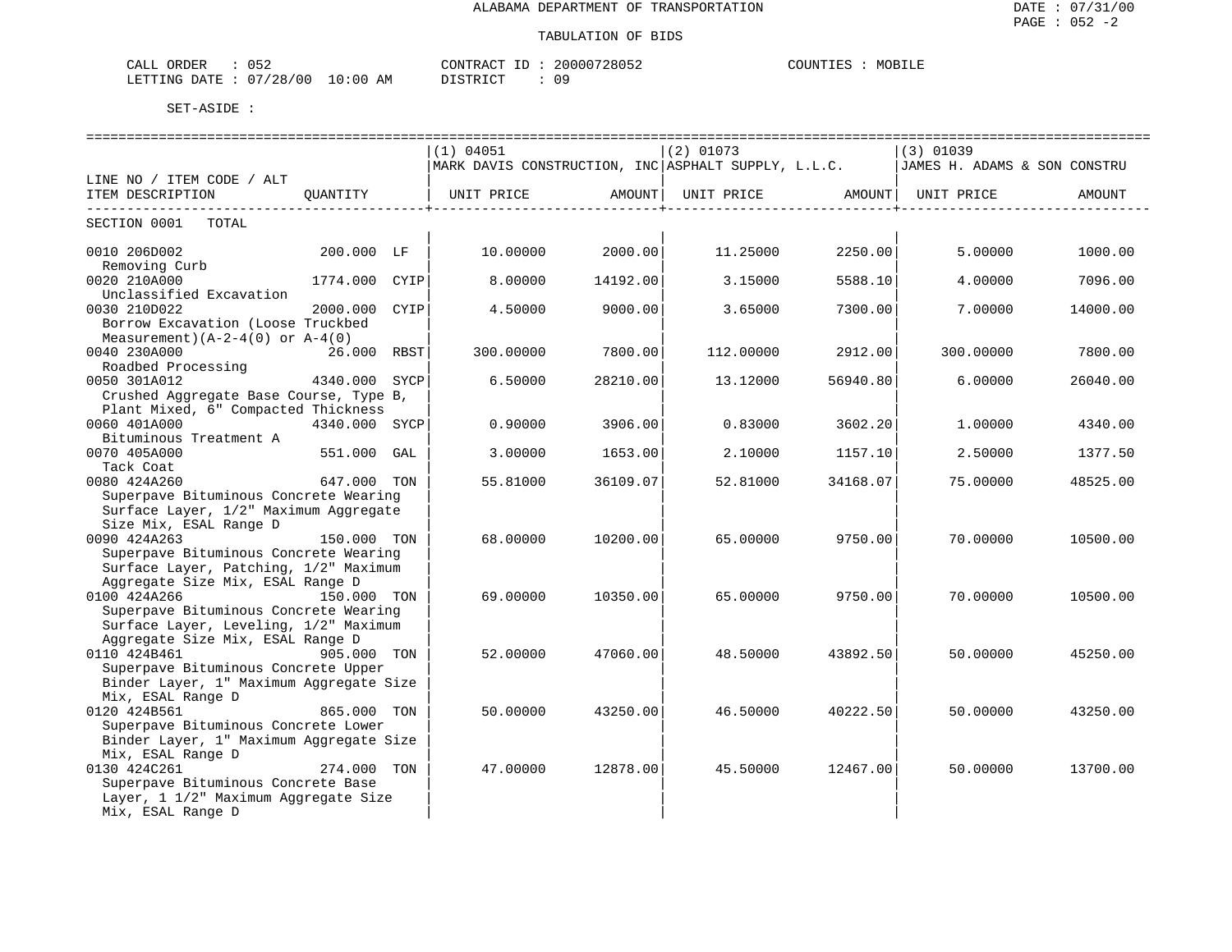| ORDER<br>CALL<br>$\overline{\phantom{a}}$ |             | CONTRACT<br>ШĽ                            | 20000728052 | COUNTIES<br>MOBILE |
|-------------------------------------------|-------------|-------------------------------------------|-------------|--------------------|
| /28/00<br>07<br>LETTING DATE              | 10:00<br>ΑM | ח <i>ר</i> ת סידים דרי<br><u>DIOINICI</u> | u           |                    |

|                                         |               | (1) 04051                                                                         |          | $(2)$ 01073 |          | (3) 01039 |          |
|-----------------------------------------|---------------|-----------------------------------------------------------------------------------|----------|-------------|----------|-----------|----------|
|                                         |               | MARK DAVIS CONSTRUCTION, INC ASPHALT SUPPLY, L.L.C.  JAMES H. ADAMS & SON CONSTRU |          |             |          |           |          |
| LINE NO / ITEM CODE / ALT               |               |                                                                                   |          |             |          |           |          |
| ITEM DESCRIPTION                        |               |                                                                                   |          |             |          |           | AMOUNT   |
| --------------------------              |               |                                                                                   |          |             |          |           |          |
| SECTION 0001 TOTAL                      |               |                                                                                   |          |             |          |           |          |
| 0010 206D002                            | 200.000 LF    | 10.00000                                                                          | 2000.00  | 11.25000    | 2250.00  | 5.00000   | 1000.00  |
| Removing Curb                           |               |                                                                                   |          |             |          |           |          |
| 0020 210A000                            | 1774.000 CYIP | 8,00000                                                                           | 14192.00 | 3.15000     | 5588.10  | 4.00000   | 7096.00  |
| Unclassified Excavation                 |               |                                                                                   |          |             |          |           |          |
| 0030 210D022                            | 2000.000 CYIP | 4.50000                                                                           | 9000.00  | 3.65000     | 7300.00  | 7.00000   | 14000.00 |
| Borrow Excavation (Loose Truckbed       |               |                                                                                   |          |             |          |           |          |
| Measurement) $(A-2-4(0)$ or $A-4(0)$    |               |                                                                                   |          |             |          |           |          |
| 0040 230A000                            | 26.000 RBST   | 300.00000                                                                         | 7800.00  | 112.00000   | 2912.00  | 300.00000 | 7800.00  |
| Roadbed Processing                      |               |                                                                                   |          |             |          |           |          |
| 0050 301A012                            | 4340.000 SYCP | 6.50000                                                                           | 28210.00 | 13.12000    | 56940.80 | 6.00000   | 26040.00 |
| Crushed Aggregate Base Course, Type B,  |               |                                                                                   |          |             |          |           |          |
| Plant Mixed, 6" Compacted Thickness     |               |                                                                                   |          |             |          |           |          |
| 0060 401A000                            | 4340.000 SYCP | 0.90000                                                                           | 3906.00  | 0.83000     | 3602.20  | 1,00000   | 4340.00  |
| Bituminous Treatment A                  |               |                                                                                   |          |             |          |           |          |
| 0070 405A000                            | 551.000 GAL   | 3.00000                                                                           | 1653.00  | 2.10000     | 1157.10  | 2.50000   | 1377.50  |
| Tack Coat                               |               |                                                                                   |          |             |          |           |          |
| 0080 424A260                            | 647.000 TON   | 55.81000                                                                          | 36109.07 | 52.81000    | 34168.07 | 75.00000  | 48525.00 |
| Superpave Bituminous Concrete Wearing   |               |                                                                                   |          |             |          |           |          |
| Surface Layer, 1/2" Maximum Aggregate   |               |                                                                                   |          |             |          |           |          |
| Size Mix, ESAL Range D                  |               |                                                                                   |          |             |          |           |          |
| 0090 424A263                            | 150.000 TON   | 68,00000                                                                          | 10200.00 | 65.00000    | 9750.00  | 70.00000  | 10500.00 |
| Superpave Bituminous Concrete Wearing   |               |                                                                                   |          |             |          |           |          |
| Surface Layer, Patching, 1/2" Maximum   |               |                                                                                   |          |             |          |           |          |
| Aggregate Size Mix, ESAL Range D        |               |                                                                                   |          |             |          |           |          |
| 0100 424A266                            | 150.000 TON   | 69,00000                                                                          | 10350.00 | 65,00000    | 9750.00  | 70.00000  | 10500.00 |
| Superpave Bituminous Concrete Wearing   |               |                                                                                   |          |             |          |           |          |
| Surface Layer, Leveling, 1/2" Maximum   |               |                                                                                   |          |             |          |           |          |
| Aggregate Size Mix, ESAL Range D        |               |                                                                                   |          |             |          |           |          |
| 0110 424B461                            | 905.000 TON   | 52.00000                                                                          | 47060.00 | 48.50000    | 43892.50 | 50.00000  | 45250.00 |
| Superpave Bituminous Concrete Upper     |               |                                                                                   |          |             |          |           |          |
| Binder Layer, 1" Maximum Aggregate Size |               |                                                                                   |          |             |          |           |          |
| Mix, ESAL Range D                       |               |                                                                                   |          |             |          |           |          |
| 0120 424B561                            | 865.000 TON   | 50.00000                                                                          | 43250.00 | 46.50000    | 40222.50 | 50.00000  | 43250.00 |
| Superpave Bituminous Concrete Lower     |               |                                                                                   |          |             |          |           |          |
| Binder Layer, 1" Maximum Aggregate Size |               |                                                                                   |          |             |          |           |          |
| Mix, ESAL Range D                       |               |                                                                                   |          |             |          |           |          |
| 0130 424C261                            | 274.000 TON   | 47.00000                                                                          | 12878.00 | 45.50000    | 12467.00 | 50.00000  | 13700.00 |
| Superpave Bituminous Concrete Base      |               |                                                                                   |          |             |          |           |          |
| Layer, 1 1/2" Maximum Aggregate Size    |               |                                                                                   |          |             |          |           |          |
| Mix, ESAL Range D                       |               |                                                                                   |          |             |          |           |          |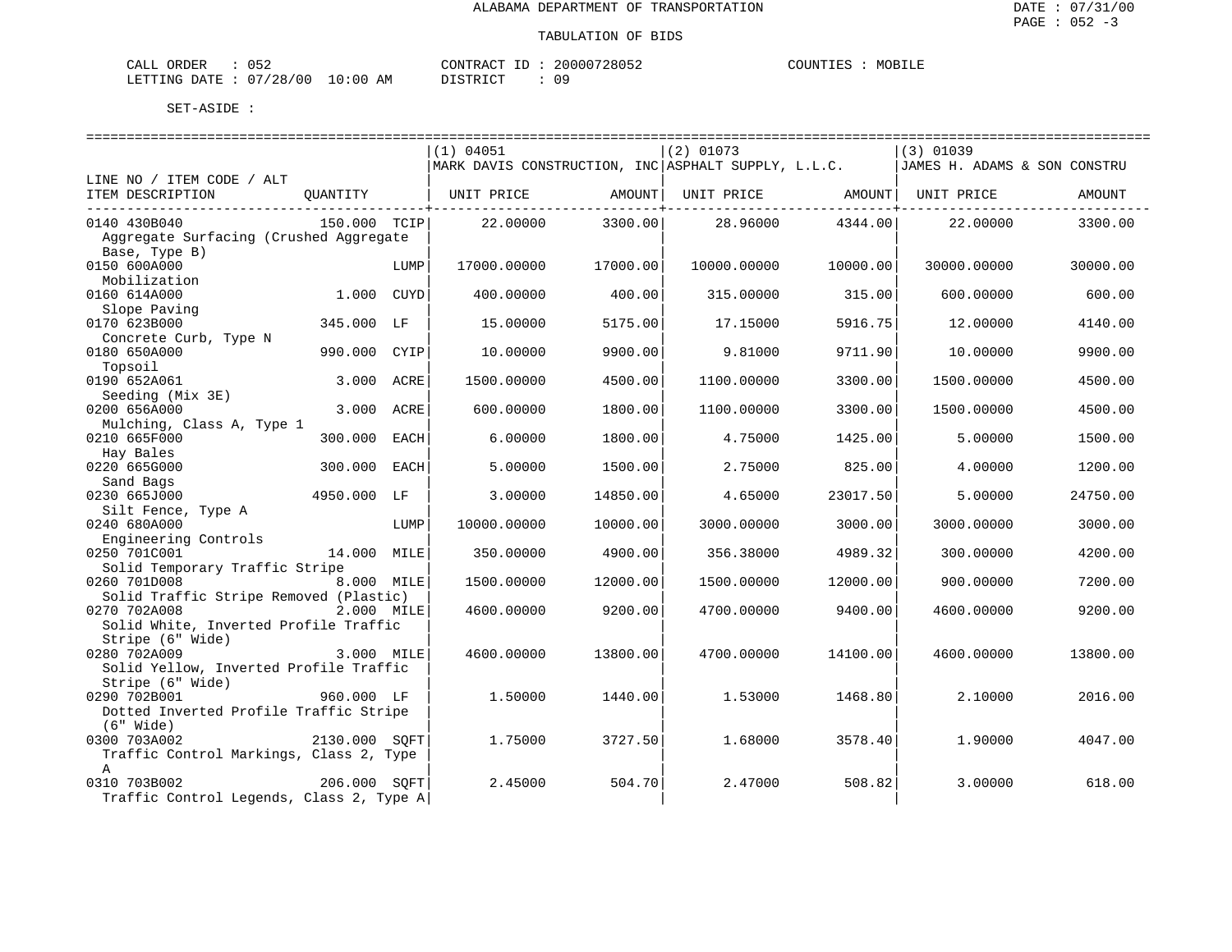MOBILE

| CALL ( | ORDER | 052                          |    | CONTRACT ID: | 20000728052 | COUNTIES | MOBILE |
|--------|-------|------------------------------|----|--------------|-------------|----------|--------|
|        |       | LETTING DATE: 07/28/00 10:00 | AM | DISTRICT     |             |          |        |

|                                                       |               |      | (1) 04051                                           |          | $(2)$ 01073                    |          | $(3)$ 01039                  |          |  |  |  |
|-------------------------------------------------------|---------------|------|-----------------------------------------------------|----------|--------------------------------|----------|------------------------------|----------|--|--|--|
|                                                       |               |      | MARK DAVIS CONSTRUCTION, INC ASPHALT SUPPLY, L.L.C. |          |                                |          | JAMES H. ADAMS & SON CONSTRU |          |  |  |  |
| LINE NO / ITEM CODE / ALT                             |               |      |                                                     |          |                                |          |                              |          |  |  |  |
| ITEM DESCRIPTION                                      | QUANTITY      |      | UNIT PRICE                                          | AMOUNT   | UNIT PRICE AMOUNT   UNIT PRICE |          |                              | AMOUNT   |  |  |  |
| 0140 430B040                                          | 150.000 TCIP  |      | 22,00000                                            | 3300.00  | 28.96000                       | 4344.00  | 22.00000                     | 3300.00  |  |  |  |
| Aggregate Surfacing (Crushed Aggregate                |               |      |                                                     |          |                                |          |                              |          |  |  |  |
| Base, Type B)                                         |               |      |                                                     |          |                                |          |                              |          |  |  |  |
| 0150 600A000                                          |               | LUMP | 17000.00000                                         | 17000.00 | 10000.00000                    | 10000.00 | 30000.00000                  | 30000.00 |  |  |  |
| Mobilization                                          |               |      |                                                     |          |                                |          |                              |          |  |  |  |
| 0160 614A000                                          | 1.000 CUYD    |      | 400.00000                                           | 400.00   | 315.00000                      | 315.00   | 600.00000                    | 600.00   |  |  |  |
| Slope Paving                                          |               |      |                                                     |          |                                |          |                              |          |  |  |  |
| 0170 623B000                                          | 345.000 LF    |      | 15.00000                                            | 5175.00  | 17.15000                       | 5916.75  | 12.00000                     | 4140.00  |  |  |  |
| Concrete Curb, Type N                                 |               |      |                                                     |          |                                |          |                              |          |  |  |  |
| 0180 650A000                                          | 990.000 CYIP  |      | 10.00000                                            | 9900.00  | 9.81000                        | 9711.90  | 10,00000                     | 9900.00  |  |  |  |
| Topsoil                                               |               |      |                                                     |          |                                |          |                              |          |  |  |  |
| 0190 652A061                                          | 3.000         | ACRE | 1500.00000                                          | 4500.00  | 1100.00000                     | 3300.00  | 1500.00000                   | 4500.00  |  |  |  |
| Seeding (Mix 3E)<br>0200 656A000                      | 3.000 ACRE    |      | 600.00000                                           | 1800.00  | 1100.00000                     | 3300.00  | 1500.00000                   | 4500.00  |  |  |  |
| Mulching, Class A, Type 1                             |               |      |                                                     |          |                                |          |                              |          |  |  |  |
| 0210 665F000                                          | 300.000       | EACH | 6.00000                                             | 1800.00  | 4.75000                        | 1425.00  | 5.00000                      | 1500.00  |  |  |  |
| Hay Bales                                             |               |      |                                                     |          |                                |          |                              |          |  |  |  |
| 0220 665G000                                          | 300.000 EACH  |      | 5.00000                                             | 1500.00  | 2.75000                        | 825.00   | 4.00000                      | 1200.00  |  |  |  |
| Sand Bags                                             |               |      |                                                     |          |                                |          |                              |          |  |  |  |
| 0230 665J000                                          | 4950.000 LF   |      | 3.00000                                             | 14850.00 | 4.65000                        | 23017.50 | 5.00000                      | 24750.00 |  |  |  |
| Silt Fence, Type A                                    |               |      |                                                     |          |                                |          |                              |          |  |  |  |
| 0240 680A000                                          |               | LUMP | 10000.00000                                         | 10000.00 | 3000.00000                     | 3000.00  | 3000.00000                   | 3000.00  |  |  |  |
| Engineering Controls                                  |               |      |                                                     |          |                                |          |                              |          |  |  |  |
| 0250 701C001                                          | 14.000 MILE   |      | 350.00000                                           | 4900.00  | 356.38000                      | 4989.32  | 300.00000                    | 4200.00  |  |  |  |
| Solid Temporary Traffic Stripe                        |               |      |                                                     |          |                                |          |                              |          |  |  |  |
| 0260 701D008                                          | 8.000 MILE    |      | 1500.00000                                          | 12000.00 | 1500.00000                     | 12000.00 | 900.00000                    | 7200.00  |  |  |  |
| Solid Traffic Stripe Removed (Plastic)                |               |      |                                                     |          |                                |          |                              |          |  |  |  |
| 0270 702A008<br>Solid White, Inverted Profile Traffic | 2.000 MILE    |      | 4600.00000                                          | 9200.00  | 4700.00000                     | 9400.00  | 4600.00000                   | 9200.00  |  |  |  |
| Stripe (6" Wide)                                      |               |      |                                                     |          |                                |          |                              |          |  |  |  |
| 0280 702A009                                          | 3.000 MILE    |      | 4600.00000                                          | 13800.00 | 4700.00000                     | 14100.00 | 4600.00000                   | 13800.00 |  |  |  |
| Solid Yellow, Inverted Profile Traffic                |               |      |                                                     |          |                                |          |                              |          |  |  |  |
| Stripe (6" Wide)                                      |               |      |                                                     |          |                                |          |                              |          |  |  |  |
| 0290 702B001                                          | 960.000 LF    |      | 1.50000                                             | 1440.00  | 1.53000                        | 1468.80  | 2.10000                      | 2016.00  |  |  |  |
| Dotted Inverted Profile Traffic Stripe                |               |      |                                                     |          |                                |          |                              |          |  |  |  |
| $(6"$ Wide)                                           |               |      |                                                     |          |                                |          |                              |          |  |  |  |
| 0300 703A002                                          | 2130.000 SOFT |      | 1.75000                                             | 3727.50  | 1.68000                        | 3578.40  | 1.90000                      | 4047.00  |  |  |  |
| Traffic Control Markings, Class 2, Type               |               |      |                                                     |          |                                |          |                              |          |  |  |  |
| $\mathsf{A}$                                          |               |      |                                                     |          |                                |          |                              |          |  |  |  |
| 206.000 SOFT<br>0310 703B002                          |               |      | 2.45000                                             | 504.70   | 2.47000                        | 508.82   | 3.00000                      | 618.00   |  |  |  |
| Traffic Control Legends, Class 2, Type A              |               |      |                                                     |          |                                |          |                              |          |  |  |  |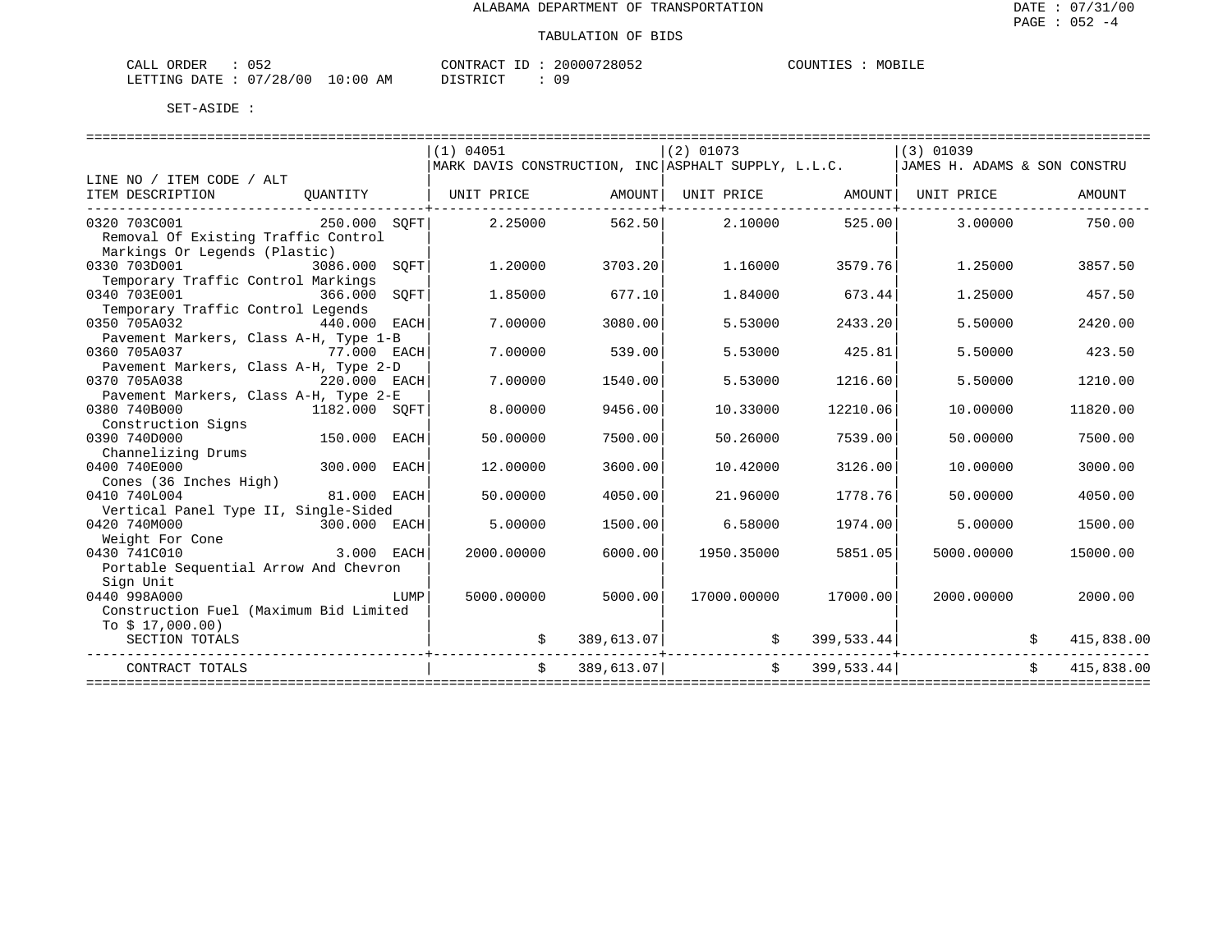| ORDER<br>CALL          | ۱ҕ |             | CONTRACT ID: | 20000728052 | COUNTIES | MOBILE |
|------------------------|----|-------------|--------------|-------------|----------|--------|
| LETTING DATE: 07/28/00 |    | 10:00<br>AM | DISTRICT     |             |          |        |

| MARK DAVIS CONSTRUCTION, INC ASPHALT SUPPLY, L.L.C.   JAMES H. ADAMS & SON CONSTRU<br>LINE NO / ITEM CODE / ALT<br>OUANTITY   UNIT PRICE AMOUNT<br>UNIT PRICE AMOUNT UNIT PRICE<br>ITEM DESCRIPTION<br>AMOUNT<br>---------------+------<br>0320 703C001 250.000 SOFT<br>$2.25000$ $562.50$ $2.10000$<br>525.00<br>3.00000<br>750.00<br>Removal Of Existing Traffic Control<br>Markings Or Legends (Plastic)<br>0330 703D001 3086.000 SQFT<br>1,20000<br>3703.20<br>1,16000<br>3579.76<br>1.25000<br>3857.50<br>Temporary Traffic Control Markings<br>0340 703E001<br>366.000<br>SOFT<br>1.85000<br>677.10<br>457.50<br>1.84000<br>673.44<br>1,25000<br>Temporary Traffic Control Legends<br>0350 705A032<br>440.000 EACH<br>7.00000<br>3080.00<br>2420.00<br>5.53000<br>2433.20<br>5.50000<br>Pavement Markers, Class A-H, Type 1-B<br>0360 705A037<br>77.000 EACH<br>7.00000<br>539.00<br>425.81<br>5.53000<br>5.50000<br>423.50<br>Pavement Markers, Class A-H, Type 2-D<br>0370 705A038<br>220.000 EACH<br>7.00000<br>1540.00<br>5.53000<br>1216.60<br>5.50000<br>1210.00<br>Pavement Markers, Class A-H, Type 2-E<br>8,00000<br>0380 740B000<br>1182.000 SOFT<br>9456.00<br>10.33000<br>12210.06<br>10.00000<br>11820.00<br>Construction Signs<br>150.000 EACH<br>0390 740D000<br>50.00000<br>7500.00<br>50.26000<br>50.00000<br>7500.00<br>7539.00<br>Channelizing Drums<br>300.000 EACH<br>0400 740E000<br>12.00000<br>3600.00<br>10.42000<br>3126.00<br>10.00000<br>3000.00<br>Cones (36 Inches High)<br>0410 740L004<br>81.000 EACH<br>50.00000<br>4050.00<br>21,96000<br>1778.76<br>50.00000<br>4050.00<br>Vertical Panel Type II, Single-Sided<br>0420 740M000<br>300.000 EACH<br>5.00000<br>1500.00<br>6.58000<br>1974.00<br>5.00000<br>1500.00<br>Weight For Cone<br>0430 741C010<br>3.000 EACH<br>2000.00000<br>6000.00<br>1950.35000<br>5851.05<br>5000.00000<br>15000.00<br>Portable Sequential Arrow And Chevron<br>Sign Unit<br>0440 998A000<br>LUMP<br>5000.00000<br>5000.00<br>17000.00000<br>17000.00<br>2000.00000<br>2000.00<br>Construction Fuel (Maximum Bid Limited<br>To $$17,000.00)$<br>$389,613.07$ $\uparrow$ $\qquad$ $399,533.44$<br>SECTION TOTALS<br>415,838.00<br>.<br>+------------------------------<br>\$399,533.44]<br>$\ddot{s}$<br>389,613.07<br>415,838.00<br>CONTRACT TOTALS |  |           |             |             |  |
|-------------------------------------------------------------------------------------------------------------------------------------------------------------------------------------------------------------------------------------------------------------------------------------------------------------------------------------------------------------------------------------------------------------------------------------------------------------------------------------------------------------------------------------------------------------------------------------------------------------------------------------------------------------------------------------------------------------------------------------------------------------------------------------------------------------------------------------------------------------------------------------------------------------------------------------------------------------------------------------------------------------------------------------------------------------------------------------------------------------------------------------------------------------------------------------------------------------------------------------------------------------------------------------------------------------------------------------------------------------------------------------------------------------------------------------------------------------------------------------------------------------------------------------------------------------------------------------------------------------------------------------------------------------------------------------------------------------------------------------------------------------------------------------------------------------------------------------------------------------------------------------------------------------------------------------------------------------------------------------------------------------------------------------------------------------------------------------------------------------------------------------------------------------------------------------------------------------------------------------------------------------------------------------------------------------------------|--|-----------|-------------|-------------|--|
|                                                                                                                                                                                                                                                                                                                                                                                                                                                                                                                                                                                                                                                                                                                                                                                                                                                                                                                                                                                                                                                                                                                                                                                                                                                                                                                                                                                                                                                                                                                                                                                                                                                                                                                                                                                                                                                                                                                                                                                                                                                                                                                                                                                                                                                                                                                         |  | (1) 04051 | $(2)$ 01073 | $(3)$ 01039 |  |
|                                                                                                                                                                                                                                                                                                                                                                                                                                                                                                                                                                                                                                                                                                                                                                                                                                                                                                                                                                                                                                                                                                                                                                                                                                                                                                                                                                                                                                                                                                                                                                                                                                                                                                                                                                                                                                                                                                                                                                                                                                                                                                                                                                                                                                                                                                                         |  |           |             |             |  |
|                                                                                                                                                                                                                                                                                                                                                                                                                                                                                                                                                                                                                                                                                                                                                                                                                                                                                                                                                                                                                                                                                                                                                                                                                                                                                                                                                                                                                                                                                                                                                                                                                                                                                                                                                                                                                                                                                                                                                                                                                                                                                                                                                                                                                                                                                                                         |  |           |             |             |  |
|                                                                                                                                                                                                                                                                                                                                                                                                                                                                                                                                                                                                                                                                                                                                                                                                                                                                                                                                                                                                                                                                                                                                                                                                                                                                                                                                                                                                                                                                                                                                                                                                                                                                                                                                                                                                                                                                                                                                                                                                                                                                                                                                                                                                                                                                                                                         |  |           |             |             |  |
|                                                                                                                                                                                                                                                                                                                                                                                                                                                                                                                                                                                                                                                                                                                                                                                                                                                                                                                                                                                                                                                                                                                                                                                                                                                                                                                                                                                                                                                                                                                                                                                                                                                                                                                                                                                                                                                                                                                                                                                                                                                                                                                                                                                                                                                                                                                         |  |           |             |             |  |
|                                                                                                                                                                                                                                                                                                                                                                                                                                                                                                                                                                                                                                                                                                                                                                                                                                                                                                                                                                                                                                                                                                                                                                                                                                                                                                                                                                                                                                                                                                                                                                                                                                                                                                                                                                                                                                                                                                                                                                                                                                                                                                                                                                                                                                                                                                                         |  |           |             |             |  |
|                                                                                                                                                                                                                                                                                                                                                                                                                                                                                                                                                                                                                                                                                                                                                                                                                                                                                                                                                                                                                                                                                                                                                                                                                                                                                                                                                                                                                                                                                                                                                                                                                                                                                                                                                                                                                                                                                                                                                                                                                                                                                                                                                                                                                                                                                                                         |  |           |             |             |  |
|                                                                                                                                                                                                                                                                                                                                                                                                                                                                                                                                                                                                                                                                                                                                                                                                                                                                                                                                                                                                                                                                                                                                                                                                                                                                                                                                                                                                                                                                                                                                                                                                                                                                                                                                                                                                                                                                                                                                                                                                                                                                                                                                                                                                                                                                                                                         |  |           |             |             |  |
|                                                                                                                                                                                                                                                                                                                                                                                                                                                                                                                                                                                                                                                                                                                                                                                                                                                                                                                                                                                                                                                                                                                                                                                                                                                                                                                                                                                                                                                                                                                                                                                                                                                                                                                                                                                                                                                                                                                                                                                                                                                                                                                                                                                                                                                                                                                         |  |           |             |             |  |
|                                                                                                                                                                                                                                                                                                                                                                                                                                                                                                                                                                                                                                                                                                                                                                                                                                                                                                                                                                                                                                                                                                                                                                                                                                                                                                                                                                                                                                                                                                                                                                                                                                                                                                                                                                                                                                                                                                                                                                                                                                                                                                                                                                                                                                                                                                                         |  |           |             |             |  |
|                                                                                                                                                                                                                                                                                                                                                                                                                                                                                                                                                                                                                                                                                                                                                                                                                                                                                                                                                                                                                                                                                                                                                                                                                                                                                                                                                                                                                                                                                                                                                                                                                                                                                                                                                                                                                                                                                                                                                                                                                                                                                                                                                                                                                                                                                                                         |  |           |             |             |  |
|                                                                                                                                                                                                                                                                                                                                                                                                                                                                                                                                                                                                                                                                                                                                                                                                                                                                                                                                                                                                                                                                                                                                                                                                                                                                                                                                                                                                                                                                                                                                                                                                                                                                                                                                                                                                                                                                                                                                                                                                                                                                                                                                                                                                                                                                                                                         |  |           |             |             |  |
|                                                                                                                                                                                                                                                                                                                                                                                                                                                                                                                                                                                                                                                                                                                                                                                                                                                                                                                                                                                                                                                                                                                                                                                                                                                                                                                                                                                                                                                                                                                                                                                                                                                                                                                                                                                                                                                                                                                                                                                                                                                                                                                                                                                                                                                                                                                         |  |           |             |             |  |
|                                                                                                                                                                                                                                                                                                                                                                                                                                                                                                                                                                                                                                                                                                                                                                                                                                                                                                                                                                                                                                                                                                                                                                                                                                                                                                                                                                                                                                                                                                                                                                                                                                                                                                                                                                                                                                                                                                                                                                                                                                                                                                                                                                                                                                                                                                                         |  |           |             |             |  |
|                                                                                                                                                                                                                                                                                                                                                                                                                                                                                                                                                                                                                                                                                                                                                                                                                                                                                                                                                                                                                                                                                                                                                                                                                                                                                                                                                                                                                                                                                                                                                                                                                                                                                                                                                                                                                                                                                                                                                                                                                                                                                                                                                                                                                                                                                                                         |  |           |             |             |  |
|                                                                                                                                                                                                                                                                                                                                                                                                                                                                                                                                                                                                                                                                                                                                                                                                                                                                                                                                                                                                                                                                                                                                                                                                                                                                                                                                                                                                                                                                                                                                                                                                                                                                                                                                                                                                                                                                                                                                                                                                                                                                                                                                                                                                                                                                                                                         |  |           |             |             |  |
|                                                                                                                                                                                                                                                                                                                                                                                                                                                                                                                                                                                                                                                                                                                                                                                                                                                                                                                                                                                                                                                                                                                                                                                                                                                                                                                                                                                                                                                                                                                                                                                                                                                                                                                                                                                                                                                                                                                                                                                                                                                                                                                                                                                                                                                                                                                         |  |           |             |             |  |
|                                                                                                                                                                                                                                                                                                                                                                                                                                                                                                                                                                                                                                                                                                                                                                                                                                                                                                                                                                                                                                                                                                                                                                                                                                                                                                                                                                                                                                                                                                                                                                                                                                                                                                                                                                                                                                                                                                                                                                                                                                                                                                                                                                                                                                                                                                                         |  |           |             |             |  |
|                                                                                                                                                                                                                                                                                                                                                                                                                                                                                                                                                                                                                                                                                                                                                                                                                                                                                                                                                                                                                                                                                                                                                                                                                                                                                                                                                                                                                                                                                                                                                                                                                                                                                                                                                                                                                                                                                                                                                                                                                                                                                                                                                                                                                                                                                                                         |  |           |             |             |  |
|                                                                                                                                                                                                                                                                                                                                                                                                                                                                                                                                                                                                                                                                                                                                                                                                                                                                                                                                                                                                                                                                                                                                                                                                                                                                                                                                                                                                                                                                                                                                                                                                                                                                                                                                                                                                                                                                                                                                                                                                                                                                                                                                                                                                                                                                                                                         |  |           |             |             |  |
|                                                                                                                                                                                                                                                                                                                                                                                                                                                                                                                                                                                                                                                                                                                                                                                                                                                                                                                                                                                                                                                                                                                                                                                                                                                                                                                                                                                                                                                                                                                                                                                                                                                                                                                                                                                                                                                                                                                                                                                                                                                                                                                                                                                                                                                                                                                         |  |           |             |             |  |
|                                                                                                                                                                                                                                                                                                                                                                                                                                                                                                                                                                                                                                                                                                                                                                                                                                                                                                                                                                                                                                                                                                                                                                                                                                                                                                                                                                                                                                                                                                                                                                                                                                                                                                                                                                                                                                                                                                                                                                                                                                                                                                                                                                                                                                                                                                                         |  |           |             |             |  |
|                                                                                                                                                                                                                                                                                                                                                                                                                                                                                                                                                                                                                                                                                                                                                                                                                                                                                                                                                                                                                                                                                                                                                                                                                                                                                                                                                                                                                                                                                                                                                                                                                                                                                                                                                                                                                                                                                                                                                                                                                                                                                                                                                                                                                                                                                                                         |  |           |             |             |  |
|                                                                                                                                                                                                                                                                                                                                                                                                                                                                                                                                                                                                                                                                                                                                                                                                                                                                                                                                                                                                                                                                                                                                                                                                                                                                                                                                                                                                                                                                                                                                                                                                                                                                                                                                                                                                                                                                                                                                                                                                                                                                                                                                                                                                                                                                                                                         |  |           |             |             |  |
|                                                                                                                                                                                                                                                                                                                                                                                                                                                                                                                                                                                                                                                                                                                                                                                                                                                                                                                                                                                                                                                                                                                                                                                                                                                                                                                                                                                                                                                                                                                                                                                                                                                                                                                                                                                                                                                                                                                                                                                                                                                                                                                                                                                                                                                                                                                         |  |           |             |             |  |
|                                                                                                                                                                                                                                                                                                                                                                                                                                                                                                                                                                                                                                                                                                                                                                                                                                                                                                                                                                                                                                                                                                                                                                                                                                                                                                                                                                                                                                                                                                                                                                                                                                                                                                                                                                                                                                                                                                                                                                                                                                                                                                                                                                                                                                                                                                                         |  |           |             |             |  |
|                                                                                                                                                                                                                                                                                                                                                                                                                                                                                                                                                                                                                                                                                                                                                                                                                                                                                                                                                                                                                                                                                                                                                                                                                                                                                                                                                                                                                                                                                                                                                                                                                                                                                                                                                                                                                                                                                                                                                                                                                                                                                                                                                                                                                                                                                                                         |  |           |             |             |  |
|                                                                                                                                                                                                                                                                                                                                                                                                                                                                                                                                                                                                                                                                                                                                                                                                                                                                                                                                                                                                                                                                                                                                                                                                                                                                                                                                                                                                                                                                                                                                                                                                                                                                                                                                                                                                                                                                                                                                                                                                                                                                                                                                                                                                                                                                                                                         |  |           |             |             |  |
|                                                                                                                                                                                                                                                                                                                                                                                                                                                                                                                                                                                                                                                                                                                                                                                                                                                                                                                                                                                                                                                                                                                                                                                                                                                                                                                                                                                                                                                                                                                                                                                                                                                                                                                                                                                                                                                                                                                                                                                                                                                                                                                                                                                                                                                                                                                         |  |           |             |             |  |
|                                                                                                                                                                                                                                                                                                                                                                                                                                                                                                                                                                                                                                                                                                                                                                                                                                                                                                                                                                                                                                                                                                                                                                                                                                                                                                                                                                                                                                                                                                                                                                                                                                                                                                                                                                                                                                                                                                                                                                                                                                                                                                                                                                                                                                                                                                                         |  |           |             |             |  |
|                                                                                                                                                                                                                                                                                                                                                                                                                                                                                                                                                                                                                                                                                                                                                                                                                                                                                                                                                                                                                                                                                                                                                                                                                                                                                                                                                                                                                                                                                                                                                                                                                                                                                                                                                                                                                                                                                                                                                                                                                                                                                                                                                                                                                                                                                                                         |  |           |             |             |  |
|                                                                                                                                                                                                                                                                                                                                                                                                                                                                                                                                                                                                                                                                                                                                                                                                                                                                                                                                                                                                                                                                                                                                                                                                                                                                                                                                                                                                                                                                                                                                                                                                                                                                                                                                                                                                                                                                                                                                                                                                                                                                                                                                                                                                                                                                                                                         |  |           |             |             |  |
|                                                                                                                                                                                                                                                                                                                                                                                                                                                                                                                                                                                                                                                                                                                                                                                                                                                                                                                                                                                                                                                                                                                                                                                                                                                                                                                                                                                                                                                                                                                                                                                                                                                                                                                                                                                                                                                                                                                                                                                                                                                                                                                                                                                                                                                                                                                         |  |           |             |             |  |
|                                                                                                                                                                                                                                                                                                                                                                                                                                                                                                                                                                                                                                                                                                                                                                                                                                                                                                                                                                                                                                                                                                                                                                                                                                                                                                                                                                                                                                                                                                                                                                                                                                                                                                                                                                                                                                                                                                                                                                                                                                                                                                                                                                                                                                                                                                                         |  |           |             |             |  |
|                                                                                                                                                                                                                                                                                                                                                                                                                                                                                                                                                                                                                                                                                                                                                                                                                                                                                                                                                                                                                                                                                                                                                                                                                                                                                                                                                                                                                                                                                                                                                                                                                                                                                                                                                                                                                                                                                                                                                                                                                                                                                                                                                                                                                                                                                                                         |  |           |             |             |  |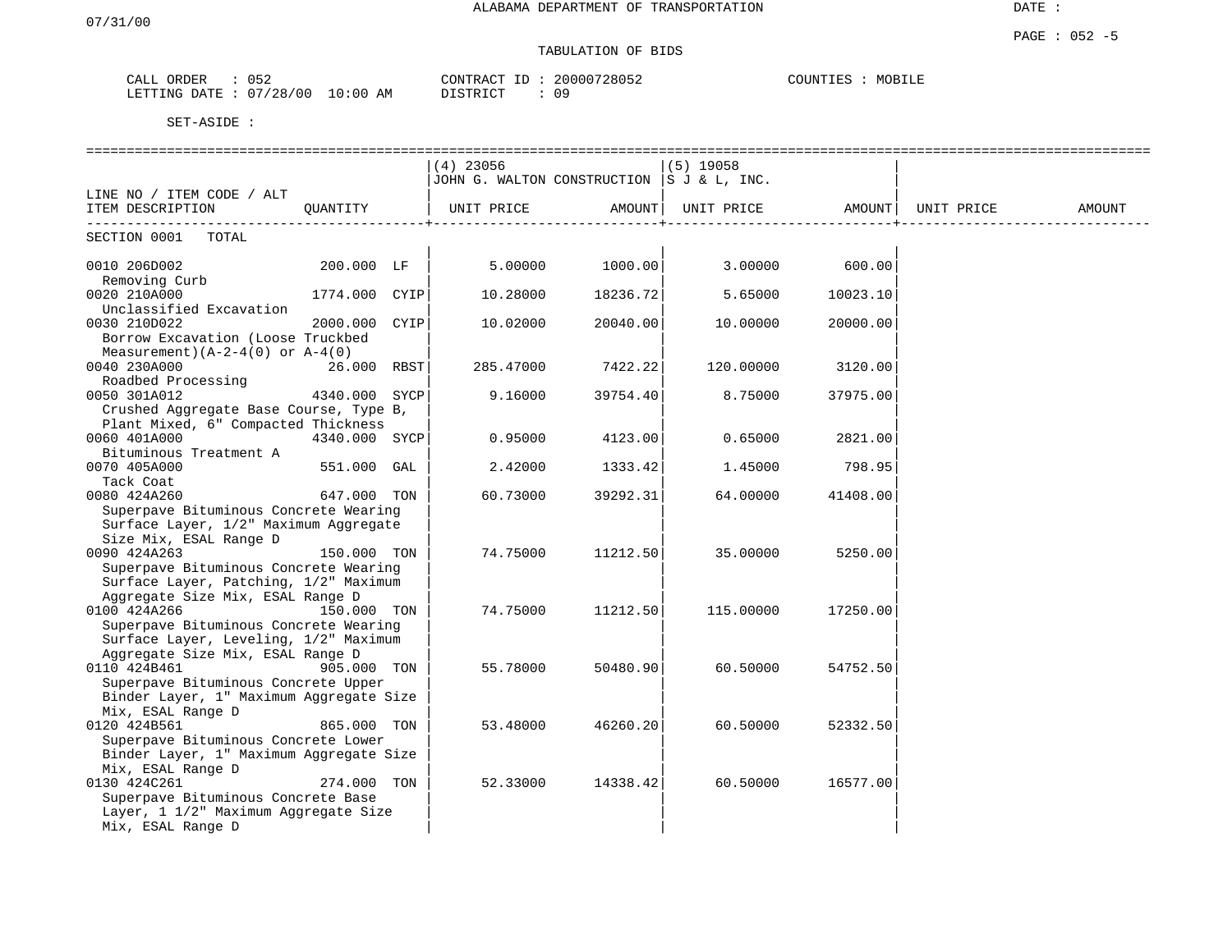| ORDER<br>$\mathbf{v}$<br>ىلىل | <b>⊥ ⊢</b><br>0 J 4               | CONTRAC'<br>$\pi$ $\sim$<br>$- -$<br>⊥ | 20000728052 | COUNTIES<br>MOBIL <sup>T</sup> |
|-------------------------------|-----------------------------------|----------------------------------------|-------------|--------------------------------|
| LETTING<br>DATE.              | 10:00<br>07<br>'28/<br>00 /<br>ΑM | TAT<br><b>DIOTE</b>                    | ററ          |                                |

|                                         |               |      | $(4)$ 23056                               |          | $(5)$ 19058 |          |            |        |
|-----------------------------------------|---------------|------|-------------------------------------------|----------|-------------|----------|------------|--------|
|                                         |               |      | JOHN G. WALTON CONSTRUCTION S J & L, INC. |          |             |          |            |        |
| LINE NO / ITEM CODE / ALT               |               |      |                                           |          |             |          |            |        |
| ITEM DESCRIPTION                        | OUANTITY      |      | UNIT PRICE                                | AMOUNT   | UNIT PRICE  | AMOUNT   | UNIT PRICE | AMOUNT |
| SECTION 0001<br>TOTAL                   |               |      |                                           |          |             |          |            |        |
| 0010 206D002<br>Removing Curb           | 200.000 LF    |      | 5.00000                                   | 1000.00  | 3.00000     | 600.00   |            |        |
| 0020 210A000<br>Unclassified Excavation | 1774.000 CYIP |      | 10.28000                                  | 18236.72 | 5.65000     | 10023.10 |            |        |
| 0030 210D022                            | 2000.000      | CYIP | 10.02000                                  | 20040.00 | 10.00000    | 20000.00 |            |        |
| Borrow Excavation (Loose Truckbed       |               |      |                                           |          |             |          |            |        |
| Measurement) $(A-2-4(0))$ or $A-4(0)$   |               |      |                                           |          |             |          |            |        |
| 0040 230A000                            | 26.000 RBST   |      | 285.47000                                 | 7422.22  | 120.00000   | 3120.00  |            |        |
| Roadbed Processing                      |               |      |                                           |          |             |          |            |        |
| 0050 301A012                            | 4340.000 SYCP |      | 9.16000                                   | 39754.40 | 8.75000     | 37975.00 |            |        |
| Crushed Aggregate Base Course, Type B,  |               |      |                                           |          |             |          |            |        |
| Plant Mixed, 6" Compacted Thickness     |               |      |                                           |          |             |          |            |        |
| 0060 401A000                            | 4340.000 SYCP |      | 0.95000                                   | 4123.00  | 0.65000     | 2821.00  |            |        |
| Bituminous Treatment A                  |               |      |                                           |          |             |          |            |        |
| 0070 405A000                            | 551.000 GAL   |      | 2.42000                                   | 1333.42  | 1.45000     | 798.95   |            |        |
| Tack Coat                               |               |      |                                           |          |             |          |            |        |
| 0080 424A260                            | 647.000 TON   |      | 60.73000                                  | 39292.31 | 64.00000    | 41408.00 |            |        |
| Superpave Bituminous Concrete Wearing   |               |      |                                           |          |             |          |            |        |
| Surface Layer, 1/2" Maximum Aggregate   |               |      |                                           |          |             |          |            |        |
| Size Mix, ESAL Range D                  |               |      |                                           |          |             |          |            |        |
| 0090 424A263                            | 150.000 TON   |      | 74.75000                                  | 11212.50 | 35.00000    | 5250.00  |            |        |
| Superpave Bituminous Concrete Wearing   |               |      |                                           |          |             |          |            |        |
| Surface Layer, Patching, 1/2" Maximum   |               |      |                                           |          |             |          |            |        |
| Aggregate Size Mix, ESAL Range D        |               |      |                                           |          |             |          |            |        |
| 0100 424A266                            | 150.000 TON   |      | 74.75000                                  | 11212.50 | 115,00000   | 17250.00 |            |        |
| Superpave Bituminous Concrete Wearing   |               |      |                                           |          |             |          |            |        |
| Surface Layer, Leveling, 1/2" Maximum   |               |      |                                           |          |             |          |            |        |
| Aggregate Size Mix, ESAL Range D        |               |      |                                           |          |             |          |            |        |
| 0110 424B461                            | 905.000 TON   |      | 55.78000                                  | 50480.90 | 60.50000    | 54752.50 |            |        |
| Superpave Bituminous Concrete Upper     |               |      |                                           |          |             |          |            |        |
| Binder Layer, 1" Maximum Aggregate Size |               |      |                                           |          |             |          |            |        |
| Mix, ESAL Range D                       |               |      |                                           |          |             |          |            |        |
| 0120 424B561                            | 865.000 TON   |      | 53.48000                                  | 46260.20 | 60.50000    | 52332.50 |            |        |
| Superpave Bituminous Concrete Lower     |               |      |                                           |          |             |          |            |        |
| Binder Layer, 1" Maximum Aggregate Size |               |      |                                           |          |             |          |            |        |
| Mix, ESAL Range D                       |               |      |                                           |          |             |          |            |        |
| 0130 424C261                            | 274.000 TON   |      | 52.33000                                  | 14338.42 | 60.50000    | 16577.00 |            |        |
| Superpave Bituminous Concrete Base      |               |      |                                           |          |             |          |            |        |
| Layer, 1 1/2" Maximum Aggregate Size    |               |      |                                           |          |             |          |            |        |
| Mix, ESAL Range D                       |               |      |                                           |          |             |          |            |        |
|                                         |               |      |                                           |          |             |          |            |        |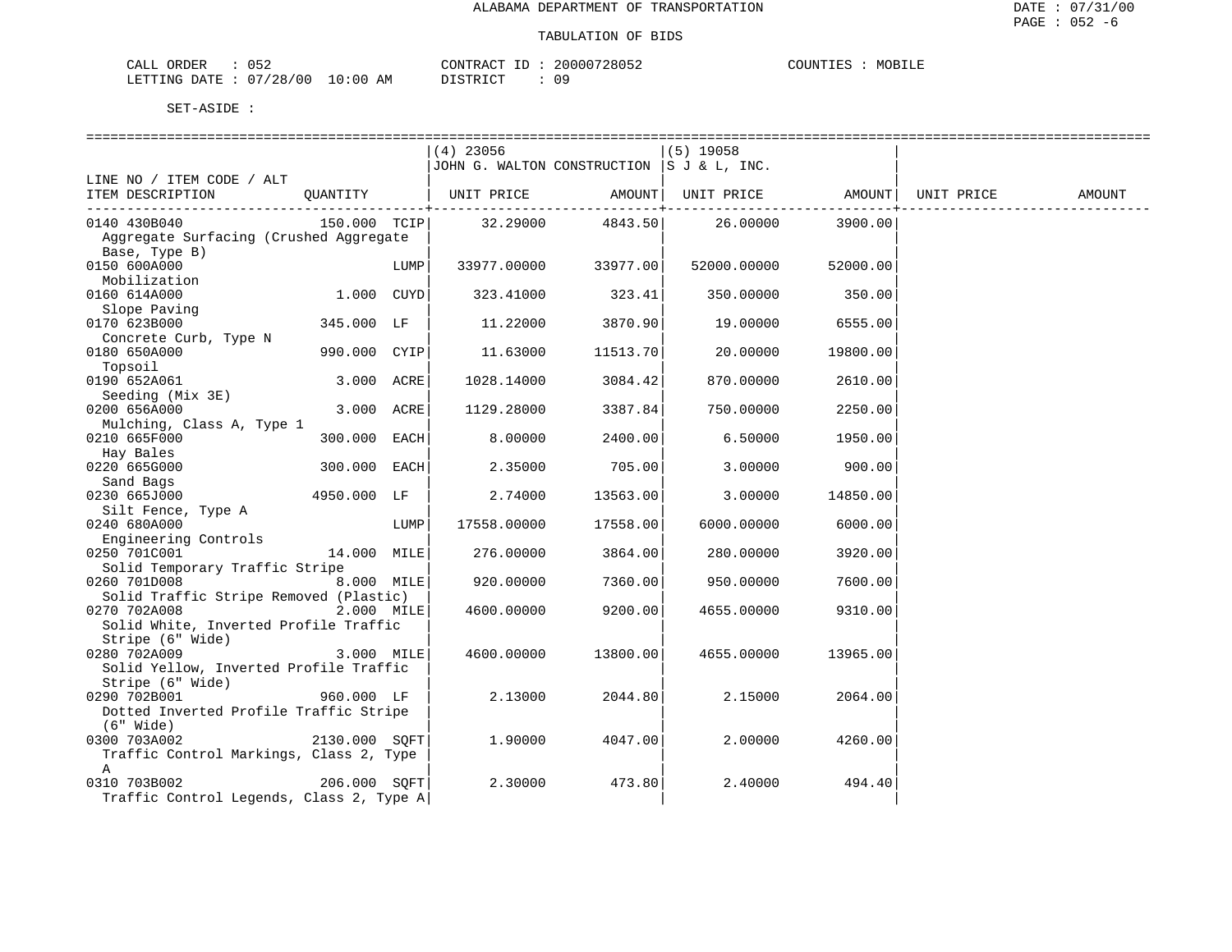| CALL ORDER             | צפו' |            | CONTRACT<br>ID                       | 20000728052 | COUNTIES | MOBILE |
|------------------------|------|------------|--------------------------------------|-------------|----------|--------|
| LETTING DATE: 07/28/00 |      | $10:00$ AM | TSTRICT <sup>.</sup><br><i>┙</i> ∸┘∸ | በ ዓ         |          |        |

|                                          |                |      | $(4)$ 23056                                      |                      | (5) 19058   |          |        |
|------------------------------------------|----------------|------|--------------------------------------------------|----------------------|-------------|----------|--------|
|                                          |                |      | JOHN G. WALTON CONSTRUCTION  S J & L, INC.       |                      |             |          |        |
| LINE NO / ITEM CODE / ALT                |                |      |                                                  |                      |             |          |        |
| ITEM DESCRIPTION                         | QUANTITY       |      | UNIT PRICE AMOUNT  UNIT PRICE AMOUNT  UNIT PRICE |                      |             |          | AMOUNT |
|                                          |                |      |                                                  |                      |             |          |        |
| 0140 430B040                             |                |      | 150.000 TCIP 32.29000 4843.50                    |                      | 26.00000    | 3900.00  |        |
| Aggregate Surfacing (Crushed Aggregate   |                |      |                                                  |                      |             |          |        |
| Base, Type B)                            |                |      |                                                  |                      |             |          |        |
| 0150 600A000                             |                | LUMP |                                                  | 33977.00000 33977.00 | 52000.00000 | 52000.00 |        |
| Mobilization                             |                |      |                                                  |                      |             |          |        |
| 0160 614A000                             | $1.000$ $CUYD$ |      | 323.41000                                        | 323.41               | 350.00000   | 350.00   |        |
| Slope Paving                             |                |      |                                                  |                      |             |          |        |
| 0170 623B000                             | 345.000 LF     |      | 11.22000                                         | 3870.90              | 19.00000    | 6555.00  |        |
| Concrete Curb, Type N                    |                |      |                                                  |                      |             |          |        |
| 0180 650A000                             | 990.000 CYIP   |      | 11.63000                                         | 11513.70             | 20.00000    | 19800.00 |        |
| Topsoil                                  |                |      |                                                  |                      |             |          |        |
| 0190 652A061                             | 3.000 ACRE     |      | 1028.14000                                       | 3084.42              | 870.00000   | 2610.00  |        |
| Seeding (Mix 3E)                         |                |      |                                                  |                      |             |          |        |
| 0200 656A000                             | 3.000 ACRE     |      | 1129.28000                                       | 3387.84              | 750.00000   | 2250.00  |        |
| Mulching, Class A, Type 1                |                |      |                                                  |                      |             |          |        |
| 0210 665F000                             | 300.000 EACH   |      | 8.00000                                          | 2400.00              | 6.50000     | 1950.00  |        |
| Hay Bales                                |                |      |                                                  |                      |             |          |        |
| 0220 665G000                             | 300.000 EACH   |      | 2.35000                                          | 705.00               | 3.00000     | 900.00   |        |
| Sand Bags                                |                |      |                                                  |                      |             |          |        |
| 0230 665J000                             | 4950.000 LF    |      | 2.74000                                          | 13563.00             | 3.00000     | 14850.00 |        |
| Silt Fence, Type A                       |                |      |                                                  |                      |             |          |        |
| 0240 680A000                             |                | LUMP | 17558.00000                                      | 17558.00             | 6000.00000  | 6000.00  |        |
| Engineering Controls                     |                |      |                                                  |                      |             |          |        |
| 0250 701C001                             | 14.000 MILE    |      | 276.00000                                        | 3864.00              | 280.00000   | 3920.00  |        |
| Solid Temporary Traffic Stripe           |                |      |                                                  |                      |             |          |        |
| 0260 701D008 8.000 MILE                  |                |      | 920.00000                                        | 7360.00              | 950.00000   | 7600.00  |        |
| Solid Traffic Stripe Removed (Plastic)   |                |      |                                                  |                      |             |          |        |
| 0270 702A008                             | 2.000 MILE     |      | 4600.00000                                       | 9200.00              | 4655.00000  | 9310.00  |        |
| Solid White, Inverted Profile Traffic    |                |      |                                                  |                      |             |          |        |
| Stripe (6" Wide)                         |                |      |                                                  |                      |             |          |        |
| 0280 702A009                             | 3.000 MILE     |      | 4600.00000                                       | 13800.00             | 4655.00000  | 13965.00 |        |
| Solid Yellow, Inverted Profile Traffic   |                |      |                                                  |                      |             |          |        |
| Stripe (6" Wide)                         |                |      |                                                  |                      |             |          |        |
| 0290 702B001                             | 960.000 LF     |      | 2.13000                                          | 2044.80              | 2.15000     | 2064.00  |        |
| Dotted Inverted Profile Traffic Stripe   |                |      |                                                  |                      |             |          |        |
| (6" Wide)                                |                |      |                                                  |                      |             |          |        |
| 0300 703A002                             | 2130.000 SOFT  |      | 1,90000                                          | 4047.00              | 2,00000     | 4260.00  |        |
| Traffic Control Markings, Class 2, Type  |                |      |                                                  |                      |             |          |        |
| A                                        |                |      |                                                  |                      |             |          |        |
| 0310 703B002                             | 206.000 SOFT   |      | 2.30000                                          | 473.80               | 2.40000     | 494.40   |        |
| Traffic Control Legends, Class 2, Type A |                |      |                                                  |                      |             |          |        |
|                                          |                |      |                                                  |                      |             |          |        |